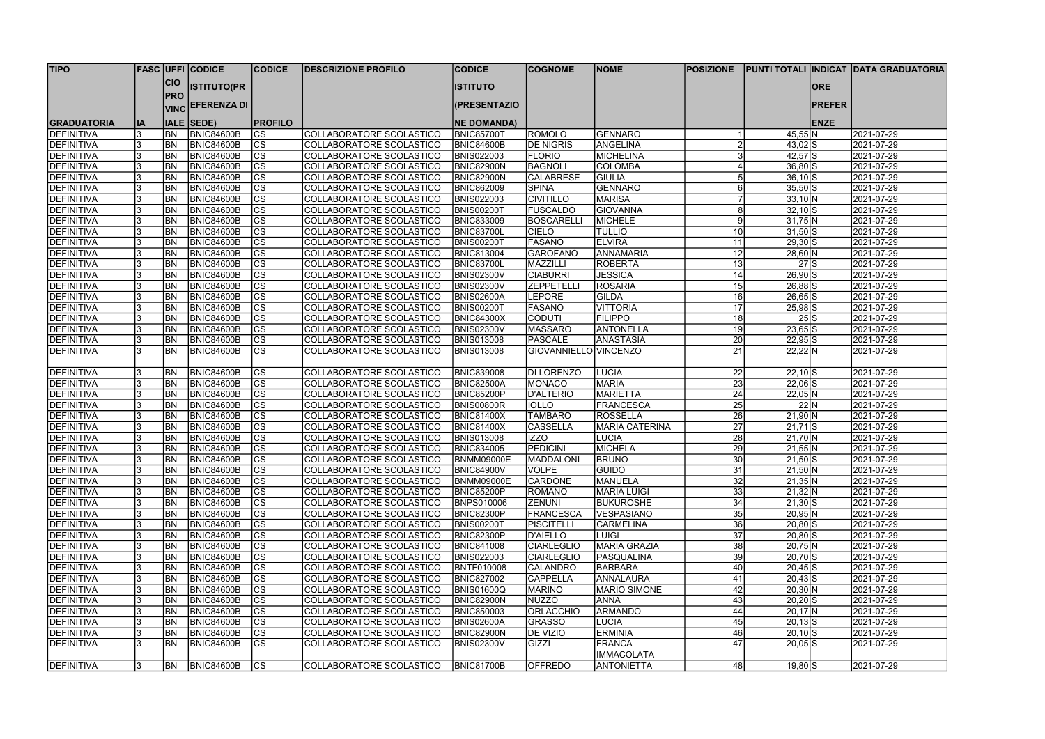| <b>TIPO</b>        |    |                | <b>FASC UFFI CODICE</b> | <b>CODICE</b>            | <b>DESCRIZIONE PROFILO</b> | <b>CODICE</b>      | <b>COGNOME</b>        | <b>NOME</b>           | <b>POSIZIONE</b> |                            |               | <b>PUNTI TOTALI INDICAT DATA GRADUATORIA</b> |
|--------------------|----|----------------|-------------------------|--------------------------|----------------------------|--------------------|-----------------------|-----------------------|------------------|----------------------------|---------------|----------------------------------------------|
|                    |    | <b>CIO</b>     |                         |                          |                            |                    |                       |                       |                  |                            |               |                                              |
|                    |    | <b>PRO</b>     | <b>ISTITUTO(PR</b>      |                          |                            | <b>ISTITUTO</b>    |                       |                       |                  |                            | <b>ORE</b>    |                                              |
|                    |    | <b>VINC</b>    | <b>EFERENZA DI</b>      |                          |                            | (PRESENTAZIO       |                       |                       |                  |                            | <b>PREFER</b> |                                              |
| <b>GRADUATORIA</b> | IA |                | <b>IALE SEDE)</b>       | <b>PROFILO</b>           |                            | <b>NE DOMANDA)</b> |                       |                       |                  |                            | <b>ENZE</b>   |                                              |
| <b>DEFINITIVA</b>  |    | <b>BN</b>      | <b>BNIC84600B</b>       | <b>CS</b>                | COLLABORATORE SCOLASTICO   | <b>BNIC85700T</b>  | <b>ROMOLO</b>         | GENNARO               |                  | 45,55 N                    |               | 2021-07-29                                   |
| DEFINITIVA         |    | BN <sub></sub> | <b>BNIC84600B</b>       | $\overline{\text{cs}}$   | COLLABORATORE SCOLASTICO   | BNIC84600B         | <b>DE NIGRIS</b>      | ANGELINA              |                  | $43,02$ S                  |               | 2021-07-29                                   |
| DEFINITIVA         |    | BN <sub></sub> | BNIC84600B              | $\overline{\text{cs}}$   | COLLABORATORE SCOLASTICO   | <b>BNIS022003</b>  | <b>FLORIO</b>         | MICHELINA             |                  | $42,57$ S                  |               | 2021-07-29                                   |
| DEFINITIVA         |    | <b>BN</b>      | <b>BNIC84600B</b>       | $ \overline{\text{cs}} $ | COLLABORATORE SCOLASTICO   | <b>BNIC82900N</b>  | <b>BAGNOLI</b>        | <b>COLOMBA</b>        |                  | $36,80$ $S$                |               | 2021-07-29                                   |
| DEFINITIVA         |    | BN <sub></sub> | <b>BNIC84600B</b>       | $ \overline{\text{cs}} $ | COLLABORATORE SCOLASTICO   | <b>BNIC82900N</b>  | <b>CALABRESE</b>      | <b>GIULIA</b>         |                  | $36,10\overline{S}$        |               | 2021-07-29                                   |
| DEFINITIVA         |    | <b>BN</b>      | <b>BNIC84600B</b>       | $\overline{\text{CS}}$   | COLLABORATORE SCOLASTICO   | <b>BNIC862009</b>  | <b>SPINA</b>          | GENNARO               | 6                | $35,50$ S                  |               | 2021-07-29                                   |
| <b>DEFINITIVA</b>  |    | BN             | <b>BNIC84600B</b>       | $\overline{\text{cs}}$   | COLLABORATORE SCOLASTICO   | <b>BNIS022003</b>  | <b>CIVITILLO</b>      | <b>MARISA</b>         |                  | $33,10 \vert N$            |               | 2021-07-29                                   |
| <b>DEFINITIVA</b>  |    | BN             | <b>BNIC84600B</b>       | CS                       | COLLABORATORE SCOLASTICO   | BNIS00200T         | <b>FUSCALDO</b>       | <b>GIOVANNA</b>       | 8                | $32,10$ S                  |               | 2021-07-29                                   |
| <b>DEFINITIVA</b>  |    | BN             | <b>BNIC84600B</b>       | $ \overline{\text{CS}} $ | COLLABORATORE SCOLASTICO   | <b>BNIC833009</b>  | <b>BOSCARELL</b>      | MICHELE               | 9                | $31,75$ N                  |               | 2021-07-29                                   |
| <b>DEFINITIVA</b>  |    | <b>BN</b>      | <b>BNIC84600B</b>       | $\overline{\text{CS}}$   | COLLABORATORE SCOLASTICO   | <b>BNIC83700L</b>  | <b>CIELO</b>          | <b>TULLIO</b>         | 10 <sup>1</sup>  | $31,50$ S                  |               | 2021-07-29                                   |
| <b>DEFINITIVA</b>  |    | <b>BN</b>      | <b>BNIC84600B</b>       | $\overline{\text{CS}}$   | COLLABORATORE SCOLASTICO   | BNIS00200T         | <b>FASANO</b>         | <b>ELVIRA</b>         | 11               | $29,30$ S                  |               | 2021-07-29                                   |
| <b>DEFINITIVA</b>  |    | BN             | <b>BNIC84600B</b>       | $\overline{\text{CS}}$   | COLLABORATORE SCOLASTICO   | <b>BNIC813004</b>  | <b>GAROFANO</b>       | ANNAMARIA             | 12               | 28,60 N                    |               | 2021-07-29                                   |
| <b>DEFINITIVA</b>  |    | <b>BN</b>      | <b>BNIC84600B</b>       | CS                       | COLLABORATORE SCOLASTICO   | <b>BNIC83700L</b>  | MAZZILLI              | <b>ROBERTA</b>        | 13               | $27$ S                     |               | 2021-07-29                                   |
| DEFINITIVA         |    | BN             | <b>BNIC84600B</b>       | $\overline{\text{CS}}$   | COLLABORATORE SCOLASTICO   | <b>BNIS02300V</b>  | <b>CIABURRI</b>       | <b>JESSICA</b>        | 14               | $26,90$ S                  |               | 2021-07-29                                   |
| <b>DEFINITIVA</b>  |    | <b>BN</b>      | <b>BNIC84600B</b>       | $ \overline{\text{CS}} $ | COLLABORATORE SCOLASTICO   | <b>BNIS02300V</b>  | <b>ZEPPETELLI</b>     | <b>ROSARIA</b>        | 15               | $26,88$ S                  |               | 2021-07-29                                   |
| <b>DEFINITIVA</b>  |    | <b>BN</b>      | <b>BNIC84600B</b>       | CS                       | COLLABORATORE SCOLASTICO   | <b>BNIS02600A</b>  | <b>LEPORE</b>         | <b>GILDA</b>          | 16               | $26,65$ S                  |               | 2021-07-29                                   |
| DEFINITIVA         |    | <b>BN</b>      | <b>BNIC84600B</b>       | $ \mathsf{CS} $          | COLLABORATORE SCOLASTICO   | <b>BNIS00200T</b>  | <b>FASANO</b>         | <b>VITTORIA</b>       | 17               | $25,98$ S                  |               | 2021-07-29                                   |
| DEFINITIVA         |    | <b>BN</b>      | <b>BNIC84600B</b>       | $ \mathsf{CS} $          | COLLABORATORE SCOLASTICO   | <b>BNIC84300X</b>  | <b>CODUTI</b>         | <b>FILIPPO</b>        | 18               | 25S                        |               | 2021-07-29                                   |
| DEFINITIVA         |    | BN <sub></sub> | <b>BNIC84600B</b>       | cs                       | COLLABORATORE SCOLASTICO   | <b>BNIS02300V</b>  | <b>MASSARO</b>        | <b>ANTONELLA</b>      | 19               | $23,65$ S                  |               | 2021-07-29                                   |
| <b>DEFINITIVA</b>  |    | BN             | <b>BNIC84600B</b>       | cs                       | COLLABORATORE SCOLASTICO   | <b>BNIS013008</b>  | <b>PASCALE</b>        | <b>ANASTASIA</b>      | 20               | $22,95$ S                  |               | 2021-07-29                                   |
| <b>DEFINITIVA</b>  |    | <b>BN</b>      | <b>BNIC84600B</b>       | $\overline{\text{CS}}$   | COLLABORATORE SCOLASTICO   | <b>BNIS013008</b>  | GIOVANNIELLO VINCENZO |                       | 21               | 22,22 N                    |               | 2021-07-29                                   |
|                    |    |                |                         |                          |                            |                    |                       |                       |                  |                            |               |                                              |
| <b>DEFINITIVA</b>  |    | <b>BN</b>      | <b>BNIC84600B</b>       | <b>CS</b>                | COLLABORATORE SCOLASTICO   | <b>BNIC839008</b>  | DI LORENZO            | <b>LUCIA</b>          | 22               | $22,10$ S                  |               | 2021-07-29                                   |
| <b>DEFINITIVA</b>  |    | <b>BN</b>      | <b>BNIC84600B</b>       | cs                       | COLLABORATORE SCOLASTICO   | <b>BNIC82500A</b>  | <b>MONACO</b>         | MARIA                 | 23               | $22,06$ S                  |               | 2021-07-29                                   |
| <b>DEFINITIVA</b>  |    | BN             | <b>BNIC84600B</b>       | $ \overline{\text{CS}} $ | COLLABORATORE SCOLASTICO   | <b>BNIC85200P</b>  | <b>D'ALTERIO</b>      | MARIETTA              | 24               | $22,05$ N                  |               | 2021-07-29                                   |
| <b>IDEFINITIVA</b> |    | BN             | <b>BNIC84600B</b>       | $\overline{\text{CS}}$   | COLLABORATORE SCOLASTICO   | <b>BNIS00800R</b>  | <b>IOLLO</b>          | FRANCESCA             | 25               | 22 N                       |               | 2021-07-29                                   |
| DEFINITIVA         |    | BN             | <b>BNIC84600B</b>       | $\overline{\text{CS}}$   | COLLABORATORE SCOLASTICO   | <b>BNIC81400X</b>  | <b>TAMBARO</b>        | <b>ROSSELLA</b>       | $\overline{26}$  | $21,90$ N                  |               | 2021-07-29                                   |
| <b>DEFINITIVA</b>  |    | BN             | <b>BNIC84600B</b>       | cs                       | COLLABORATORE SCOLASTICO   | <b>BNIC81400X</b>  | <b>CASSELLA</b>       | <b>MARIA CATERINA</b> | $\overline{27}$  | $21,71$ S                  |               | 2021-07-29                                   |
| DEFINITIVA         |    | BN             | <b>BNIC84600B</b>       | cs                       | COLLABORATORE SCOLASTICO   | <b>BNIS013008</b>  | <b>IZZO</b>           | <b>LUCIA</b>          | 28               | $21,70$ N                  |               | 2021-07-29                                   |
| <b>DEFINITIVA</b>  |    | <b>BN</b>      | <b>BNIC84600B</b>       | $\overline{\text{CS}}$   | COLLABORATORE SCOLASTICO   | <b>BNIC834005</b>  | <b>PEDICINI</b>       | MICHELA               | 29               | $21,55\overline{\text{N}}$ |               | 2021-07-29                                   |
| <b>DEFINITIVA</b>  |    | BN             | BNIC84600B              | CS                       | COLLABORATORE SCOLASTICO   | <b>BNMM09000E</b>  | MADDALONI             | <b>BRUNO</b>          | 30 <sup>2</sup>  | $21,50$ S                  |               | 2021-07-29                                   |
| DEFINITIVA         |    | <b>BN</b>      | <b>BNIC84600B</b>       | <b>CS</b>                | COLLABORATORE SCOLASTICO   | <b>BNIC84900V</b>  | <b>VOLPE</b>          | <b>GUIDO</b>          | 31               | $21,50 \ N$                |               | 2021-07-29                                   |
| <b>DEFINITIVA</b>  |    | <b>BN</b>      | <b>BNIC84600B</b>       | CS                       | COLLABORATORE SCOLASTICO   | <b>BNMM09000E</b>  | <b>CARDONE</b>        | MANUELA               | 32               | $21,35$ N                  |               | 2021-07-29                                   |
| <b>DEFINITIVA</b>  |    | <b>BN</b>      | <b>BNIC84600B</b>       | CS                       | COLLABORATORE SCOLASTICO   | <b>BNIC85200P</b>  | <b>ROMANO</b>         | <b>MARIA LUIGI</b>    | 33               | 21,32 N                    |               | 2021-07-29                                   |
| DEFINITIVA         |    | <b>BN</b>      | <b>BNIC84600B</b>       | $\overline{\text{cs}}$   | COLLABORATORE SCOLASTICO   | <b>BNPS010006</b>  | <b>ZENUNI</b>         | <b>BUKUROSHE</b>      | 34               | $21,30$ S                  |               | 2021-07-29                                   |
| DEFINITIVA         |    | BN <sub></sub> | <b>BNIC84600B</b>       | cs                       | COLLABORATORE SCOLASTICO   | <b>BNIC82300P</b>  | <b>FRANCESCA</b>      | <b>VESPASIANO</b>     | 35               | $20,95$ N                  |               | 2021-07-29                                   |
| <b>DEFINITIVA</b>  |    | BN <sub></sub> | <b>BNIC84600B</b>       | $\overline{\text{cs}}$   | COLLABORATORE SCOLASTICO   | <b>BNIS00200T</b>  | <b>PISCITELLI</b>     | <b>CARMELINA</b>      | 36               | $20,80$ S                  |               | 2021-07-29                                   |
| <b>DEFINITIVA</b>  |    | BN <sub></sub> | <b>BNIC84600B</b>       | cs                       | COLLABORATORE SCOLASTICO   | BNIC82300P         | D'AIELLO              | <b>LUIGI</b>          | 37               | $20,80$ S                  |               | 2021-07-29                                   |
| DEFINITIVA         |    | <b>BN</b>      | <b>BNIC84600B</b>       | $ \overline{\text{cs}} $ | COLLABORATORE SCOLASTICO   | <b>BNIC841008</b>  | <b>CIARLEGLIO</b>     | MARIA GRAZIA          | 38               | $20,75$ N                  |               | 2021-07-29                                   |
| <b>DEFINITIVA</b>  |    | <b>BN</b>      | <b>BNIC84600B</b>       | $ \overline{\text{cs}} $ | COLLABORATORE SCOLASTICO   | <b>BNIS022003</b>  | <b>CIARLEGLIO</b>     | PASQUALINA            | 39               | $20,70$ S                  |               | 2021-07-29                                   |
| <b>DEFINITIVA</b>  |    | <b>BN</b>      | <b>BNIC84600B</b>       | $\overline{\text{cs}}$   | COLLABORATORE SCOLASTICO   | BNTF010008         | <b>CALANDRO</b>       | BARBARA               | 40               | $20,45$ S                  |               | 2021-07-29                                   |
| <b>DEFINITIVA</b>  |    | <b>BN</b>      | <b>BNIC84600B</b>       | <b>CS</b>                | COLLABORATORE SCOLASTICO   | <b>BNIC827002</b>  | <b>CAPPELLA</b>       | <b>ANNALAURA</b>      | 41               | $20,43$ S                  |               | 2021-07-29                                   |
| <b>DEFINITIVA</b>  |    | <b>BN</b>      | <b>BNIC84600B</b>       | $ \overline{\text{CS}} $ | COLLABORATORE SCOLASTICO   | <b>BNIS01600Q</b>  | <b>MARINO</b>         | <b>MARIO SIMONE</b>   | 42               | $20,30$ N                  |               | 2021-07-29                                   |
| <b>DEFINITIVA</b>  |    | <b>BN</b>      | <b>BNIC84600B</b>       | $ \overline{\text{CS}} $ | COLLABORATORE SCOLASTICO   | <b>BNIC82900N</b>  | <b>NUZZO</b>          | <b>ANNA</b>           | 43               | $20,20$ S                  |               | 2021-07-29                                   |
| <b>DEFINITIVA</b>  |    | <b>BN</b>      | <b>BNIC84600B</b>       | cs                       | COLLABORATORE SCOLASTICO   | <b>BNIC850003</b>  | <b>ORLACCHIO</b>      | <b>ARMANDO</b>        | 44               | $20,17$ N                  |               | 2021-07-29                                   |
| <b>DEFINITIVA</b>  |    | <b>BN</b>      | <b>BNIC84600B</b>       | CS                       | COLLABORATORE SCOLASTICO   | <b>BNIS02600A</b>  | <b>GRASSO</b>         | <b>LUCIA</b>          | 45               | $20,13$ S                  |               | 2021-07-29                                   |
| DEFINITIVA         |    | <b>BN</b>      | <b>BNIC84600B</b>       | CS                       | COLLABORATORE SCOLASTICO   | <b>BNIC82900N</b>  | <b>DE VIZIO</b>       | <b>ERMINIA</b>        | 46               | $20,10$ S                  |               | 2021-07-29                                   |
| <b>DEFINITIVA</b>  |    | <b>BN</b>      | <b>BNIC84600B</b>       | $\overline{\text{CS}}$   | COLLABORATORE SCOLASTICO   | <b>BNIS02300V</b>  | GIZZI                 | FRANCA                | 47               | $20,05$ S                  |               | 2021-07-29                                   |
|                    |    |                |                         |                          |                            |                    |                       | <b>IMMACOLATA</b>     |                  |                            |               |                                              |
| DEFINITIVA         | 3  | <b>BN</b>      | BNIC84600B              | $ {\rm cs} $             | COLLABORATORE SCOLASTICO   | <b>BNIC81700B</b>  | <b>OFFREDO</b>        | <b>ANTONIETTA</b>     | 48               | $19,80$ $S$                |               | 2021-07-29                                   |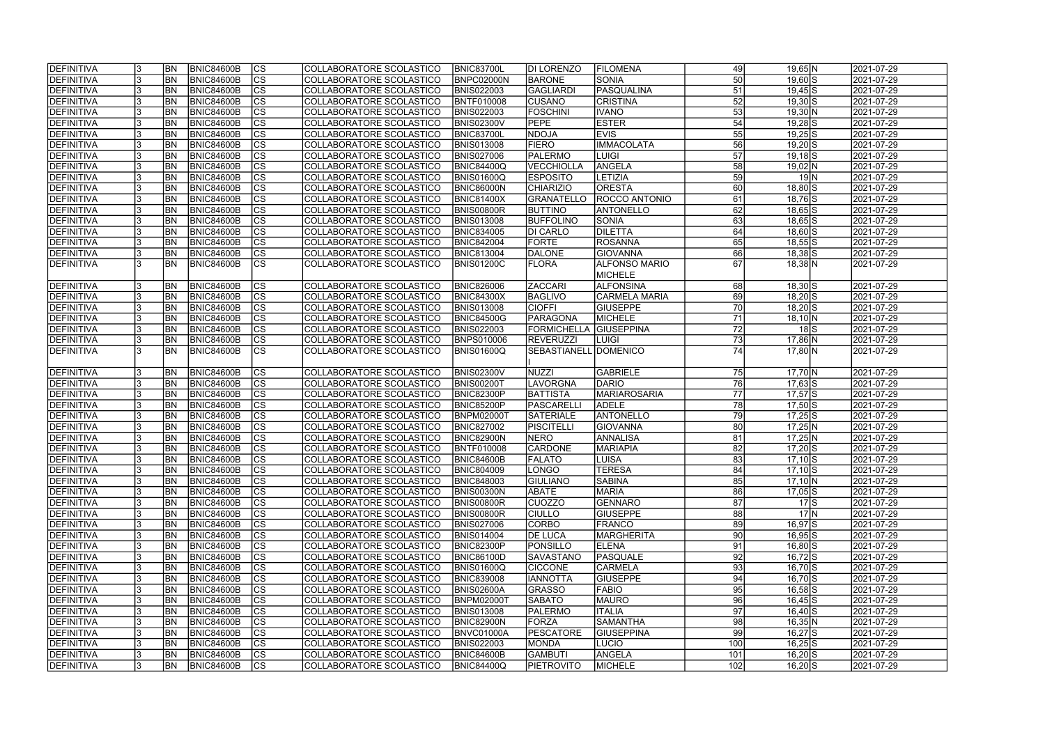| <b>IDEFINITIVA</b> |     | <b>BN</b>      | <b>BNIC84600B</b> | lcs                      | COLLABORATORE SCOLASTICO        | <b>BNIC83700L</b> | DI LORENZO            | <b>FILOMENA</b>      | 49              | $19,65$ N            | 2021-07-29              |
|--------------------|-----|----------------|-------------------|--------------------------|---------------------------------|-------------------|-----------------------|----------------------|-----------------|----------------------|-------------------------|
| <b>DEFINITIVA</b>  |     | <b>BN</b>      | <b>BNIC84600B</b> | cs                       | COLLABORATORE SCOLASTICO        | BNPC02000N        | <b>BARONE</b>         | SONIA                | 50              | $\overline{19,60}$ S | 2021-07-29              |
| DEFINITIVA         |     | BN             | <b>BNIC84600B</b> | $\overline{\text{cs}}$   | COLLABORATORE SCOLASTICO        | <b>BNIS022003</b> | <b>GAGLIARDI</b>      | PASQUALINA           | 51              | $19,45$ S            | 2021-07-29              |
| DEFINITIVA         |     | BN             | <b>BNIC84600B</b> | cs                       | COLLABORATORE SCOLASTICO        | BNTF010008        | <b>CUSANO</b>         | <b>CRISTINA</b>      | 52              | $19,30$ S            | 2021-07-29              |
| DEFINITIVA         |     | BN             | <b>BNIC84600B</b> | cs                       | COLLABORATORE SCOLASTICO        | <b>BNIS022003</b> | <b>FOSCHINI</b>       | <b>IVANO</b>         | $\overline{53}$ | 19,30 N              | 2021-07-29              |
| DEFINITIVA         |     | BN             | <b>BNIC84600B</b> | cs                       | COLLABORATORE SCOLASTICO        | <b>BNIS02300V</b> | <b>PEPE</b>           | <b>ESTER</b>         | 54              | $19,28$ S            | 2021-07-29              |
| DEFINITIVA         |     | BN             | <b>BNIC84600B</b> | cs                       | COLLABORATORE SCOLASTICO        | <b>BNIC83700L</b> | <b>NDOJA</b>          | <b>EVIS</b>          | 55              | $19,25$ S            | 2021-07-29              |
| DEFINITIVA         |     | BN             | <b>BNIC84600B</b> | cs                       | COLLABORATORE SCOLASTICO        | <b>BNIS013008</b> | <b>FIERO</b>          | <b>IMMACOLATA</b>    | 56              | $19,20$ S            | 2021-07-29              |
| DEFINITIVA         |     | BN             | BNIC84600B        | cs                       | COLLABORATORE SCOLASTICO        | <b>BNIS027006</b> | PALERMO               | <b>LUIGI</b>         | 57              | $19,18$ $S$          | 2021-07-29              |
| DEFINITIVA         |     | BN             | <b>BNIC84600B</b> | cs                       | COLLABORATORE SCOLASTICO        | <b>BNIC84400Q</b> | <b>VECCHIOLLA</b>     | ANGELA               | 58              | $19,02$ N            | 2021-07-29              |
| DEFINITIVA         |     | <b>BN</b>      | <b>BNIC84600B</b> | cs                       | <b>COLLABORATORE SCOLASTICO</b> | <b>BNIS01600Q</b> | <b>ESPOSITO</b>       | LETIZIA              | 59              | 19 N                 | 2021-07-29              |
| DEFINITIVA         |     | <b>BN</b>      | <b>BNIC84600B</b> | $\overline{\text{cs}}$   | COLLABORATORE SCOLASTICO        | <b>BNIC86000N</b> | <b>CHIARIZIO</b>      | <b>ORESTA</b>        | 60              | $18,80$ S            | 2021-07-29              |
| DEFINITIVA         |     | <b>BN</b>      | <b>BNIC84600B</b> | $\overline{\text{cs}}$   | COLLABORATORE SCOLASTICO        | <b>BNIC81400X</b> | <b>GRANATELLO</b>     | <b>ROCCO ANTONIO</b> | 61              | 18,76 S              | 2021-07-29              |
| DEFINITIVA         |     | <b>BN</b>      | <b>BNIC84600B</b> | $\overline{\text{cs}}$   | COLLABORATORE SCOLASTICO        | <b>BNIS00800R</b> | <b>BUTTINO</b>        | <b>ANTONELLO</b>     | 62              | $18,65$ S            | 2021-07-29              |
| DEFINITIVA         |     | <b>BN</b>      | <b>BNIC84600B</b> | $ \overline{\text{cs}} $ | COLLABORATORE SCOLASTICO        | <b>BNIS013008</b> | <b>BUFFOLINO</b>      | SONIA                | 63              | $18,65$ S            | 2021-07-29              |
| DEFINITIVA         |     | <b>BN</b>      | <b>BNIC84600B</b> | $ \overline{\text{cs}} $ | COLLABORATORE SCOLASTICO        | <b>BNIC834005</b> | DI CARLO              | <b>DILETTA</b>       | 64              | $18,60$ S            | 2021-07-29              |
| DEFINITIVA         |     | <b>BN</b>      | BNIC84600B        | $\overline{\text{CS}}$   | COLLABORATORE SCOLASTICO        | <b>BNIC842004</b> | <b>FORTE</b>          | <b>ROSANNA</b>       | 65              | $18,55$ S            | 2021-07-29              |
| DEFINITIVA         |     | <b>BN</b>      | <b>BNIC84600B</b> | $ \mathsf{CS} $          | COLLABORATORE SCOLASTICO        | <b>BNIC813004</b> | <b>DALONE</b>         | <b>GIOVANNA</b>      | 66              | $18,38$ $S$          | 2021-07-29              |
| DEFINITIVA         |     | <b>BN</b>      | <b>BNIC84600B</b> | <b>CS</b>                | COLLABORATORE SCOLASTICO        | <b>BNIS01200C</b> | <b>FLORA</b>          | <b>ALFONSO MARIO</b> | 67              | $18,38$ N            | 2021-07-29              |
|                    |     |                |                   |                          |                                 |                   |                       | <b>MICHELE</b>       |                 |                      |                         |
| DEFINITIVA         |     | <b>BN</b>      | <b>BNIC84600B</b> | <b>CS</b>                | COLLABORATORE SCOLASTICO        | <b>BNIC826006</b> | <b>ZACCARI</b>        | <b>ALFONSINA</b>     | 68              | $18,30$ S            | 2021-07-29              |
| DEFINITIVA         |     | <b>BN</b>      | <b>BNIC84600B</b> | <b>CS</b>                | COLLABORATORE SCOLASTICO        | <b>BNIC84300X</b> | <b>BAGLIVO</b>        | CARMELA MARIA        | 69              | $18,20$ S            | 2021-07-29              |
| DEFINITIVA         |     | <b>BN</b>      | <b>BNIC84600B</b> | CS                       | COLLABORATORE SCOLASTICO        | <b>BNIS013008</b> | <b>CIOFFI</b>         | <b>GIUSEPPE</b>      | 70              | $18,20$ S            | 2021-07-29              |
| DEFINITIVA         |     | BN             | <b>BNIC84600B</b> | <b>CS</b>                | COLLABORATORE SCOLASTICO        | <b>BNIC84500G</b> | <b>PARAGONA</b>       | <b>MICHELE</b>       | 71              | $18,10 \, N$         | 2021-07-29              |
| DEFINITIVA         |     | <b>BN</b>      | <b>BNIC84600B</b> | CS                       | COLLABORATORE SCOLASTICO        | <b>BNIS022003</b> | <b>FORMICHELLA</b>    | <b>GIUSEPPINA</b>    | 72              | 18 S                 | 2021-07-29              |
| DEFINITIVA         |     | <b>BN</b>      | <b>BNIC84600B</b> | CS                       | COLLABORATORE SCOLASTICO        | <b>BNPS010006</b> | <b>REVERUZZI</b>      | <b>LUIGI</b>         | 73              | $17,86$ N            | 2021-07-29              |
| DEFINITIVA         |     | <b>BN</b>      | <b>BNIC84600B</b> | lcs                      | COLLABORATORE SCOLASTICO        | BNIS01600Q        | SEBASTIANELL DOMENICO |                      | 74              | 17,80 N              | 2021-07-29              |
|                    |     |                |                   |                          |                                 |                   |                       |                      |                 |                      |                         |
| DEFINITIVA         |     | BN <sub></sub> | <b>BNIC84600B</b> | <sub>cs</sub>            | COLLABORATORE SCOLASTICO        | <b>BNIS02300V</b> | <b>NUZZI</b>          | GABRIELE             | 75              | 17,70 N              | 2021-07-29              |
| DEFINITIVA         |     | <b>BN</b>      | <b>BNIC84600B</b> | cs                       | COLLABORATORE SCOLASTICO        | <b>BNIS00200T</b> | <b>LAVORGNA</b>       | DARIO                | 76              | 17,63 S              | 2021-07-29              |
| DEFINITIVA         |     | <b>BN</b>      | <b>BNIC84600B</b> | $\overline{\text{cs}}$   | COLLABORATORE SCOLASTICO        | <b>BNIC82300P</b> | BATTISTA              | MARIAROSARIA         | 77              | 17,57 S              | 2021-07-29              |
| DEFINITIVA         |     | <b>BN</b>      | <b>BNIC84600B</b> | cs                       | COLLABORATORE SCOLASTICO        | <b>BNIC85200P</b> | PASCARELLI            | <b>ADELE</b>         | 78              | 17,50 S              | 2021-07-29              |
| DEFINITIVA         |     | <b>BN</b>      | <b>BNIC84600B</b> | cs                       | COLLABORATORE SCOLASTICO        | BNPM02000T        | <b>SATERIALE</b>      | <b>ANTONELLO</b>     | 79              | $\overline{17,25}$ S | 2021-07-29              |
| DEFINITIVA         |     | <b>BN</b>      | BNIC84600B        | cs                       | COLLABORATORE SCOLASTICO        | <b>BNIC827002</b> | <b>PISCITELLI</b>     | GIOVANNA             | 80              | $17,25$ N            | 2021-07-29              |
| DEFINITIVA         |     | BN             | <b>BNIC84600B</b> | cs                       | COLLABORATORE SCOLASTICO        | <b>BNIC82900N</b> | NERO                  | ANNALISA             | 81              | $17,25$ N            | 2021-07-29              |
| DEFINITIVA         |     | <b>BN</b>      | <b>BNIC84600B</b> | cs                       | COLLABORATORE SCOLASTICO        | <b>BNTF010008</b> | <b>CARDONE</b>        | <b>MARIAPIA</b>      | 82              | $17,20$ S            | 2021-07-29              |
| <b>DEFINITIVA</b>  |     | <b>BN</b>      | <b>BNIC84600B</b> | ျပၖ                      | COLLABORATORE SCOLASTICO        | <b>BNIC84600B</b> | <b>FALATO</b>         | <b>LUISA</b>         | ४३।             | $17,10$ S            | 2021-07-29              |
| DEFINITIVA         |     | BN <sub></sub> | <b>BNIC84600B</b> | <b>CS</b>                | COLLABORATORE SCOLASTICO        | <b>BNIC804009</b> | <b>LONGO</b>          | <b>TERESA</b>        | 84              | 17,10 S              | 2021-07-29              |
| DEFINITIVA         |     | <b>BN</b>      | BNIC84600B        | <b>CS</b>                | COLLABORATORE SCOLASTICO        | <b>BNIC848003</b> | <b>GIULIANO</b>       | <b>SABINA</b>        | 85              | $17,10 \, N$         | 2021-07-29              |
| DEFINITIVA         |     | BN <sub></sub> | <b>BNIC84600B</b> | CS                       | COLLABORATORE SCOLASTICO        | <b>BNIS00300N</b> | <b>ABATE</b>          | <b>MARIA</b>         | 86              | 17,05 S              | 2021-07-29              |
| DEFINITIVA         | 13  | <b>BN</b>      | <b>BNIC84600B</b> | CS                       | COLLABORATORE SCOLASTICO        | <b>BNIS00800R</b> | <b>CUOZZO</b>         | GENNARO              | 87              | 17 S                 | 2021-07-29              |
| DEFINITIVA         |     | <b>BN</b>      | <b>BNIC84600B</b> | <b>CS</b>                | COLLABORATORE SCOLASTICO        | <b>BNIS00800R</b> | <b>CIULLO</b>         | <b>GIUSEPPE</b>      | 88              | $17\text{N}$         | 2021-07-29              |
| DEFINITIVA         |     | <b>BN</b>      | <b>BNIC84600B</b> | <b>CS</b>                | COLLABORATORE SCOLASTICO        | <b>BNIS027006</b> | CORBO                 | FRANCO               | 89              | $16,97$ $S$          | 2021-07-29              |
| DEFINITIVA         |     | <b>BN</b>      | BNIC84600B        | <b>CS</b>                | COLLABORATORE SCOLASTICO        | <b>BNIS014004</b> | <b>DE LUCA</b>        | MARGHERITA           | 90              | $16,95$ S            | 2021-07-29              |
| DEFINITIVA         |     | <b>BN</b>      | <b>BNIC84600B</b> | cs                       | COLLABORATORE SCOLASTICO        | <b>BNIC82300P</b> | PONSILLO              | <b>ELENA</b>         | 91              | $16,80$ S            | $\sqrt{2021} - 07 - 29$ |
| DEFINITIVA         |     | <b>BN</b>      | <b>BNIC84600B</b> | cs                       | COLLABORATORE SCOLASTICO        | <b>BNIC86100D</b> | <b>SAVASTANO</b>      | <b>PASQUALE</b>      | 92              | $16,72$ S            | 2021-07-29              |
| DEFINITIVA         |     | <b>BN</b>      | <b>BNIC84600B</b> | cs                       | COLLABORATORE SCOLASTICO        | BNIS01600Q        | <b>CICCONE</b>        | <b>CARMELA</b>       | 93              | 16,70 S              | 2021-07-29              |
| DEFINITIVA         |     | <b>BN</b>      | <b>BNIC84600B</b> | <b>CS</b>                | COLLABORATORE SCOLASTICO        | <b>BNIC839008</b> | <b>IANNOTTA</b>       | <b>GIUSEPPE</b>      | 94              | 16,70 S              | 2021-07-29              |
| DEFINITIVA         |     | <b>BN</b>      | <b>BNIC84600B</b> | <b>CS</b>                | COLLABORATORE SCOLASTICO        | <b>BNIS02600A</b> | <b>GRASSO</b>         | FABIO                | 95              | $16,58$ S            | 2021-07-29              |
| DEFINITIVA         |     | <b>BN</b>      | <b>BNIC84600B</b> | <b>CS</b>                | COLLABORATORE SCOLASTICO        | <b>BNPM02000T</b> | <b>SABATO</b>         | <b>MAURO</b>         | 96              | $16,45$ S            | 2021-07-29              |
| DEFINITIVA         |     | <b>BN</b>      | <b>BNIC84600B</b> | <b>CS</b>                | COLLABORATORE SCOLASTICO        | <b>BNIS013008</b> | <b>PALERMO</b>        | <b>ITALIA</b>        | 97              | $16,40$ S            | 2021-07-29              |
| DEFINITIVA         |     | <b>BN</b>      | BNIC84600B        | <b>CS</b>                | COLLABORATORE SCOLASTICO        | <b>BNIC82900N</b> | <b>FORZA</b>          | <b>SAMANTHA</b>      | 98              | $16,35$ N            | 2021-07-29              |
| DEFINITIVA         |     | <b>BN</b>      | <b>BNIC84600B</b> | <b>CS</b>                | COLLABORATORE SCOLASTICO        | BNVC01000A        | <b>PESCATORE</b>      | <b>GIUSEPPINA</b>    | 99              | $16,27$ S            | 2021-07-29              |
| DEFINITIVA         |     | <b>BN</b>      | <b>BNIC84600B</b> | <b>CS</b>                | COLLABORATORE SCOLASTICO        | <b>BNIS022003</b> | MONDA                 | LUCIO                | 100             | $16,25$ S            | 2021-07-29              |
| DEFINITIVA         |     | <b>BN</b>      | <b>BNIC84600B</b> | <b>CS</b>                | COLLABORATORE SCOLASTICO        | <b>BNIC84600B</b> | <b>GAMBUTI</b>        | ANGELA               | 101             | $16,20$ $S$          | 2021-07-29              |
| DEFINITIVA         | 13. | BN <sub></sub> | <b>BNIC84600B</b> | <b>CS</b>                | COLLABORATORE SCOLASTICO        | <b>BNIC84400Q</b> | <b>PIETROVITO</b>     | MICHELE              | 102             | $16,20$ S            | 2021-07-29              |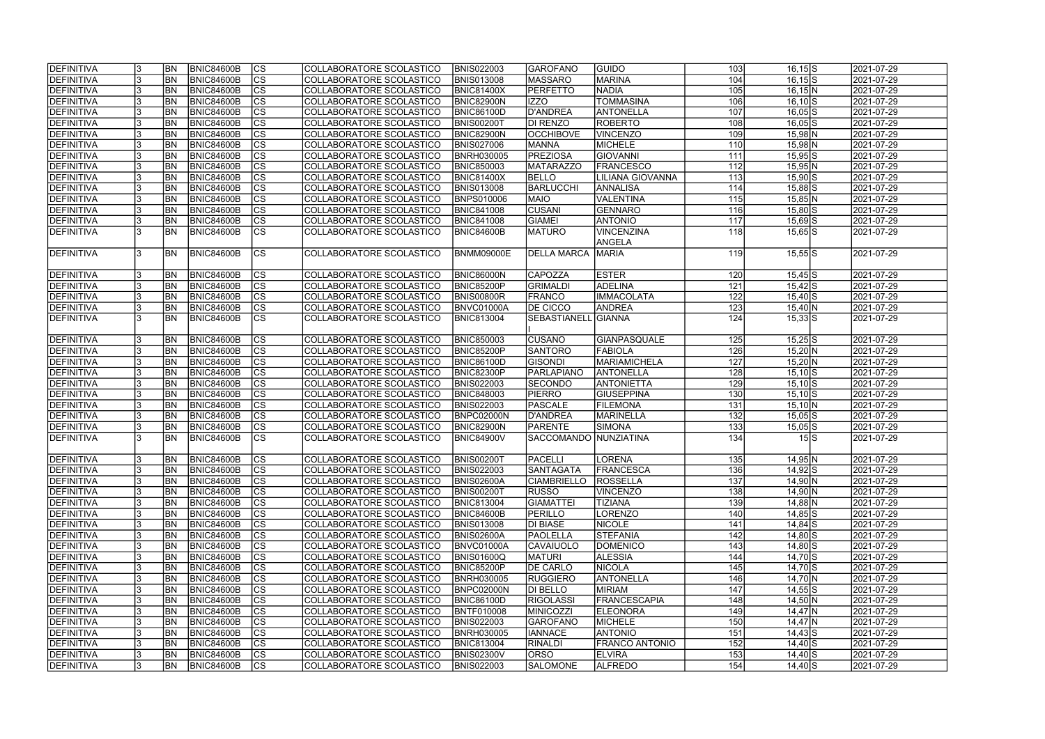| cs <br>BN<br>104<br><b>DEFINITIVA</b><br><b>BNIC84600B</b><br><b>MASSARO</b><br><b>MARINA</b><br>$16,15$ S<br>COLLABORATORE SCOLASTICO<br><b>BNIS013008</b><br>$\overline{\text{cs}}$<br>105<br><b>BN</b><br><b>BNIC84600B</b><br><b>PERFETTO</b><br><b>NADIA</b><br>$16,15$ N<br>DEFINITIVA<br>COLLABORATORE SCOLASTICO<br><b>BNIC81400X</b><br>$\overline{\text{cs}}$<br><b>TOMMASINA</b><br>106<br>DEFINITIVA<br>BN <br>BNIC84600B<br><b>BNIC82900N</b><br><b>IZZO</b><br>$16,10$ S<br>COLLABORATORE SCOLASTICO<br> cs <br>107<br>DEFINITIVA<br>BN <br><b>BNIC84600B</b><br>D'ANDREA<br>ANTONELLA<br>$16,05$ S<br>COLLABORATORE SCOLASTICO<br><b>BNIC86100D</b><br> cs <br>108<br>BN <br><b>BNIC84600B</b><br><b>BNIS00200T</b><br>DI RENZO<br>$16,05$ S<br>DEFINITIVA<br>COLLABORATORE SCOLASTICO<br><b>ROBERTO</b><br>BNIC84600B<br> cs <br>BN <br><b>BNIC82900N</b><br><b>OCCHIBOVE</b><br><b>VINCENZO</b><br>109<br>$15,98$ N<br>DEFINITIVA<br>COLLABORATORE SCOLASTICO<br> cs <br>BN<br>BNIC84600B<br>110<br>DEFINITIVA<br>COLLABORATORE SCOLASTICO<br><b>BNIS027006</b><br><b>MANNA</b><br><b>MICHELE</b><br>$15,98$ N<br>BN<br> cs <br>DEFINITIVA<br>BNIC84600B<br><b>BNRH030005</b><br><b>PREZIOSA</b><br>GIOVANNI<br>111<br>$15,95$ S<br>COLLABORATORE SCOLASTICO<br>BN<br> cs <br>DEFINITIVA<br><b>BNIC84600B</b><br>COLLABORATORE SCOLASTICO<br><b>BNIC850003</b><br>MATARAZZO<br><b>FRANCESCO</b><br>112<br>$15,95$ N<br>$\overline{c}$<br>DEFINITIVA<br><b>BN</b><br><b>BNIC84600B</b><br>COLLABORATORE SCOLASTICO<br><b>BNIC81400X</b><br><b>BELLO</b><br>113<br>LILIANA GIOVANNA | 2021-07-29<br>2021-07-29<br>2021-07-29<br>2021-07-29<br>2021-07-29<br>2021-07-29<br>2021-07-29 |
|----------------------------------------------------------------------------------------------------------------------------------------------------------------------------------------------------------------------------------------------------------------------------------------------------------------------------------------------------------------------------------------------------------------------------------------------------------------------------------------------------------------------------------------------------------------------------------------------------------------------------------------------------------------------------------------------------------------------------------------------------------------------------------------------------------------------------------------------------------------------------------------------------------------------------------------------------------------------------------------------------------------------------------------------------------------------------------------------------------------------------------------------------------------------------------------------------------------------------------------------------------------------------------------------------------------------------------------------------------------------------------------------------------------------------------------------------------------------------------------------------------------------------------------------------------------------------------------------------|------------------------------------------------------------------------------------------------|
|                                                                                                                                                                                                                                                                                                                                                                                                                                                                                                                                                                                                                                                                                                                                                                                                                                                                                                                                                                                                                                                                                                                                                                                                                                                                                                                                                                                                                                                                                                                                                                                                    |                                                                                                |
|                                                                                                                                                                                                                                                                                                                                                                                                                                                                                                                                                                                                                                                                                                                                                                                                                                                                                                                                                                                                                                                                                                                                                                                                                                                                                                                                                                                                                                                                                                                                                                                                    |                                                                                                |
|                                                                                                                                                                                                                                                                                                                                                                                                                                                                                                                                                                                                                                                                                                                                                                                                                                                                                                                                                                                                                                                                                                                                                                                                                                                                                                                                                                                                                                                                                                                                                                                                    |                                                                                                |
|                                                                                                                                                                                                                                                                                                                                                                                                                                                                                                                                                                                                                                                                                                                                                                                                                                                                                                                                                                                                                                                                                                                                                                                                                                                                                                                                                                                                                                                                                                                                                                                                    |                                                                                                |
|                                                                                                                                                                                                                                                                                                                                                                                                                                                                                                                                                                                                                                                                                                                                                                                                                                                                                                                                                                                                                                                                                                                                                                                                                                                                                                                                                                                                                                                                                                                                                                                                    |                                                                                                |
|                                                                                                                                                                                                                                                                                                                                                                                                                                                                                                                                                                                                                                                                                                                                                                                                                                                                                                                                                                                                                                                                                                                                                                                                                                                                                                                                                                                                                                                                                                                                                                                                    |                                                                                                |
|                                                                                                                                                                                                                                                                                                                                                                                                                                                                                                                                                                                                                                                                                                                                                                                                                                                                                                                                                                                                                                                                                                                                                                                                                                                                                                                                                                                                                                                                                                                                                                                                    |                                                                                                |
|                                                                                                                                                                                                                                                                                                                                                                                                                                                                                                                                                                                                                                                                                                                                                                                                                                                                                                                                                                                                                                                                                                                                                                                                                                                                                                                                                                                                                                                                                                                                                                                                    | 2021-07-29                                                                                     |
|                                                                                                                                                                                                                                                                                                                                                                                                                                                                                                                                                                                                                                                                                                                                                                                                                                                                                                                                                                                                                                                                                                                                                                                                                                                                                                                                                                                                                                                                                                                                                                                                    | 2021-07-29                                                                                     |
| $15,90$ S                                                                                                                                                                                                                                                                                                                                                                                                                                                                                                                                                                                                                                                                                                                                                                                                                                                                                                                                                                                                                                                                                                                                                                                                                                                                                                                                                                                                                                                                                                                                                                                          | 2021-07-29                                                                                     |
| $\overline{\text{cs}}$<br><b>BNIC84600B</b><br><b>BARLUCCHI</b><br>114<br>DEFINITIVA<br><b>BN</b><br>COLLABORATORE SCOLASTICO<br><b>BNIS013008</b><br><b>ANNALISA</b><br>15,88 S                                                                                                                                                                                                                                                                                                                                                                                                                                                                                                                                                                                                                                                                                                                                                                                                                                                                                                                                                                                                                                                                                                                                                                                                                                                                                                                                                                                                                   | 2021-07-29                                                                                     |
| $\overline{\text{cs}}$<br><b>BNIC84600B</b><br>VALENTINA<br>115<br>DEFINITIVA<br><b>BN</b><br>COLLABORATORE SCOLASTICO<br><b>BNPS010006</b><br><b>MAIO</b><br>$15,85$ N                                                                                                                                                                                                                                                                                                                                                                                                                                                                                                                                                                                                                                                                                                                                                                                                                                                                                                                                                                                                                                                                                                                                                                                                                                                                                                                                                                                                                            | 2021-07-29                                                                                     |
| $\overline{\text{cs}}$<br><b>CUSANI</b><br>DEFINITIVA<br><b>BN</b><br><b>BNIC84600B</b><br>COLLABORATORE SCOLASTICO<br><b>BNIC841008</b><br>GENNARO<br>116<br>$15,80$ S                                                                                                                                                                                                                                                                                                                                                                                                                                                                                                                                                                                                                                                                                                                                                                                                                                                                                                                                                                                                                                                                                                                                                                                                                                                                                                                                                                                                                            | 2021-07-29                                                                                     |
| $ \mathsf{CS} $<br>DEFINITIVA<br><b>BN</b><br><b>BNIC84600B</b><br>COLLABORATORE SCOLASTICO<br><b>BNIC841008</b><br>GIAMEI<br><b>ANTONIO</b><br>117<br>$15,69$ S                                                                                                                                                                                                                                                                                                                                                                                                                                                                                                                                                                                                                                                                                                                                                                                                                                                                                                                                                                                                                                                                                                                                                                                                                                                                                                                                                                                                                                   | 2021-07-29                                                                                     |
| $\overline{\text{CS}}$<br><b>VINCENZINA</b><br>DEFINITIVA<br><b>IBN</b><br>BNIC84600B<br>COLLABORATORE SCOLASTICO<br><b>MATURO</b><br>118<br><b>BNIC84600B</b><br>$15,65$ S                                                                                                                                                                                                                                                                                                                                                                                                                                                                                                                                                                                                                                                                                                                                                                                                                                                                                                                                                                                                                                                                                                                                                                                                                                                                                                                                                                                                                        | 2021-07-29                                                                                     |
| ANGELA                                                                                                                                                                                                                                                                                                                                                                                                                                                                                                                                                                                                                                                                                                                                                                                                                                                                                                                                                                                                                                                                                                                                                                                                                                                                                                                                                                                                                                                                                                                                                                                             |                                                                                                |
| $\overline{\text{CS}}$<br>DEFINITIVA<br><b>BN</b><br>BNIC84600B<br>COLLABORATORE SCOLASTICO<br><b>BNMM09000E</b><br><b>DELLA MARCA</b><br><b>MARIA</b><br>119<br>$15,55$ S                                                                                                                                                                                                                                                                                                                                                                                                                                                                                                                                                                                                                                                                                                                                                                                                                                                                                                                                                                                                                                                                                                                                                                                                                                                                                                                                                                                                                         | 2021-07-29                                                                                     |
|                                                                                                                                                                                                                                                                                                                                                                                                                                                                                                                                                                                                                                                                                                                                                                                                                                                                                                                                                                                                                                                                                                                                                                                                                                                                                                                                                                                                                                                                                                                                                                                                    |                                                                                                |
| <b>CS</b><br>DEFINITIVA<br><b>BNIC84600B</b><br>BNIC86000N<br><b>CAPOZZA</b><br><b>ESTER</b><br>BN <sub></sub><br>COLLABORATORE SCOLASTICO<br>120<br>$15,45$ S                                                                                                                                                                                                                                                                                                                                                                                                                                                                                                                                                                                                                                                                                                                                                                                                                                                                                                                                                                                                                                                                                                                                                                                                                                                                                                                                                                                                                                     | 2021-07-29                                                                                     |
| $\overline{\text{cs}}$<br>121<br>DEFINITIVA<br>BN <br><b>BNIC84600B</b><br><b>BNIC85200P</b><br><b>ADELINA</b><br>$15,42$ S<br>COLLABORATORE SCOLASTICO<br><b>GRIMALDI</b>                                                                                                                                                                                                                                                                                                                                                                                                                                                                                                                                                                                                                                                                                                                                                                                                                                                                                                                                                                                                                                                                                                                                                                                                                                                                                                                                                                                                                         | 2021-07-29                                                                                     |
| cs <br>122<br>DEFINITIVA<br><b>BN</b><br><b>BNIC84600B</b><br>COLLABORATORE SCOLASTICO<br><b>BNIS00800R</b><br><b>FRANCO</b><br><b>IMMACOLATA</b><br>$15,40$ S                                                                                                                                                                                                                                                                                                                                                                                                                                                                                                                                                                                                                                                                                                                                                                                                                                                                                                                                                                                                                                                                                                                                                                                                                                                                                                                                                                                                                                     | 2021-07-29                                                                                     |
| $\overline{\text{CS}}$<br>123<br><b>BN</b><br><b>BNIC84600B</b><br><b>DE CICCO</b><br>ANDREA<br>DEFINITIVA<br>COLLABORATORE SCOLASTICO<br>BNVC01000A<br>$15,40$ N                                                                                                                                                                                                                                                                                                                                                                                                                                                                                                                                                                                                                                                                                                                                                                                                                                                                                                                                                                                                                                                                                                                                                                                                                                                                                                                                                                                                                                  | 2021-07-29                                                                                     |
| <b>CS</b><br>124<br><b>BN</b><br><b>BNIC84600B</b><br><b>GIANNA</b><br>DEFINITIVA<br>COLLABORATORE SCOLASTICO<br><b>BNIC813004</b><br><b>SEBASTIANELL</b><br>$15,33$ S                                                                                                                                                                                                                                                                                                                                                                                                                                                                                                                                                                                                                                                                                                                                                                                                                                                                                                                                                                                                                                                                                                                                                                                                                                                                                                                                                                                                                             | 2021-07-29                                                                                     |
|                                                                                                                                                                                                                                                                                                                                                                                                                                                                                                                                                                                                                                                                                                                                                                                                                                                                                                                                                                                                                                                                                                                                                                                                                                                                                                                                                                                                                                                                                                                                                                                                    |                                                                                                |
| <b>BN</b><br>BNIC84600B<br><b>CS</b><br>125<br>DEFINITIVA<br>COLLABORATORE SCOLASTICO<br><b>BNIC850003</b><br><b>CUSANO</b><br>GIANPASQUALE<br>$15,25$ S                                                                                                                                                                                                                                                                                                                                                                                                                                                                                                                                                                                                                                                                                                                                                                                                                                                                                                                                                                                                                                                                                                                                                                                                                                                                                                                                                                                                                                           | 2021-07-29                                                                                     |
| cs <br><b>BN</b><br>126<br>DEFINITIVA<br><b>BNIC84600B</b><br>COLLABORATORE SCOLASTICO<br><b>BNIC85200P</b><br><b>SANTORO</b><br><b>FABIOLA</b><br>$15,20 \text{N}$                                                                                                                                                                                                                                                                                                                                                                                                                                                                                                                                                                                                                                                                                                                                                                                                                                                                                                                                                                                                                                                                                                                                                                                                                                                                                                                                                                                                                                | 2021-07-29                                                                                     |
| cs <br>127<br>DEFINITIVA<br><b>BN</b><br><b>BNIC84600B</b><br>COLLABORATORE SCOLASTICO<br><b>BNIC86100D</b><br><b>GISONDI</b><br>MARIAMICHELA<br>$15,20 \text{N}$                                                                                                                                                                                                                                                                                                                                                                                                                                                                                                                                                                                                                                                                                                                                                                                                                                                                                                                                                                                                                                                                                                                                                                                                                                                                                                                                                                                                                                  | 2021-07-29                                                                                     |
| cs <br><b>BN</b><br><b>BNIC84600B</b><br><b>BNIC82300P</b><br>128<br>DEFINITIVA<br>COLLABORATORE SCOLASTICO<br>PARLAPIANO<br>ANTONELLA<br>$15,10$ S                                                                                                                                                                                                                                                                                                                                                                                                                                                                                                                                                                                                                                                                                                                                                                                                                                                                                                                                                                                                                                                                                                                                                                                                                                                                                                                                                                                                                                                | 2021-07-29                                                                                     |
| cs <br><b>BNIC84600B</b><br>129<br>DEFINITIVA<br><b>BN</b><br>COLLABORATORE SCOLASTICO<br><b>BNIS022003</b><br><b>SECONDO</b><br><b>ANTONIETTA</b><br>$15,10$ S                                                                                                                                                                                                                                                                                                                                                                                                                                                                                                                                                                                                                                                                                                                                                                                                                                                                                                                                                                                                                                                                                                                                                                                                                                                                                                                                                                                                                                    | 2021-07-29                                                                                     |
| $\overline{\text{cs}}$<br>130<br>DEFINITIVA<br><b>BN</b><br><b>BNIC84600B</b><br>COLLABORATORE SCOLASTICO<br><b>BNIC848003</b><br><b>PIERRO</b><br>GIUSEPPINA<br>$15,10$ S                                                                                                                                                                                                                                                                                                                                                                                                                                                                                                                                                                                                                                                                                                                                                                                                                                                                                                                                                                                                                                                                                                                                                                                                                                                                                                                                                                                                                         | 2021-07-29                                                                                     |
| cs <br>BNIC84600B<br>131<br>DEFINITIVA<br><b>BN</b><br><b>BNIS022003</b><br>PASCALE<br><b>FILEMONA</b><br>COLLABORATORE SCOLASTICO<br>$15,10 \, N$                                                                                                                                                                                                                                                                                                                                                                                                                                                                                                                                                                                                                                                                                                                                                                                                                                                                                                                                                                                                                                                                                                                                                                                                                                                                                                                                                                                                                                                 | 2021-07-29                                                                                     |
| cs <br>$\overline{132}$<br>BNIC84600B<br>DEFINITIVA<br><b>BN</b><br>COLLABORATORE SCOLASTICO<br>BNPC02000N<br><b>D'ANDREA</b><br><b>MARINELLA</b><br>$15,05$ S                                                                                                                                                                                                                                                                                                                                                                                                                                                                                                                                                                                                                                                                                                                                                                                                                                                                                                                                                                                                                                                                                                                                                                                                                                                                                                                                                                                                                                     | 2021-07-29                                                                                     |
| cs <br>$\overline{133}$<br>DEFINITIVA<br><b>BN</b><br>BNIC84600B<br><b>BNIC82900N</b><br>SIMONA<br>COLLABORATORE SCOLASTICO<br>PARENTE<br>$15,05$ S                                                                                                                                                                                                                                                                                                                                                                                                                                                                                                                                                                                                                                                                                                                                                                                                                                                                                                                                                                                                                                                                                                                                                                                                                                                                                                                                                                                                                                                | 2021-07-29                                                                                     |
| $\overline{\text{cs}}$<br>$\frac{134}{x}$<br>DEFINITIVA<br><b>BN</b><br>SACCOMANDO NUNZIATINA<br><b>BNIC84600B</b><br>COLLABORATORE SCOLASTICO<br><b>BNIC84900V</b><br>15S                                                                                                                                                                                                                                                                                                                                                                                                                                                                                                                                                                                                                                                                                                                                                                                                                                                                                                                                                                                                                                                                                                                                                                                                                                                                                                                                                                                                                         | 2021-07-29                                                                                     |
|                                                                                                                                                                                                                                                                                                                                                                                                                                                                                                                                                                                                                                                                                                                                                                                                                                                                                                                                                                                                                                                                                                                                                                                                                                                                                                                                                                                                                                                                                                                                                                                                    |                                                                                                |
| <b>DEFINITIVA</b><br>BNIC84600B<br>PACELLI<br><b>BN</b><br>COLLABORATORE SCOLASTICO<br><b>BNIS00200T</b><br><b>LORENA</b><br>$14,95$ N<br>ျပၖ<br>135                                                                                                                                                                                                                                                                                                                                                                                                                                                                                                                                                                                                                                                                                                                                                                                                                                                                                                                                                                                                                                                                                                                                                                                                                                                                                                                                                                                                                                               | 2021-07-29                                                                                     |
| <b>CS</b><br>136<br>DEFINITIVA<br>BN <sub></sub><br><b>BNIC84600B</b><br>FRANCESCA<br>$14,92$ S<br>COLLABORATORE SCOLASTICO<br><b>BNIS022003</b><br><b>SANTAGATA</b>                                                                                                                                                                                                                                                                                                                                                                                                                                                                                                                                                                                                                                                                                                                                                                                                                                                                                                                                                                                                                                                                                                                                                                                                                                                                                                                                                                                                                               | 2021-07-29                                                                                     |
| <b>CS</b><br>137<br>DEFINITIVA<br><b>BN</b><br><b>BNIC84600B</b><br><b>CIAMBRIELLO</b><br>ROSSELLA<br>COLLABORATORE SCOLASTICO<br>BNIS02600A<br>14,90 N                                                                                                                                                                                                                                                                                                                                                                                                                                                                                                                                                                                                                                                                                                                                                                                                                                                                                                                                                                                                                                                                                                                                                                                                                                                                                                                                                                                                                                            | 2021-07-29                                                                                     |
| CS<br>DEFINITIVA<br>BN <sub></sub><br>BNIC84600B<br><b>RUSSO</b><br><b>VINCENZO</b><br>138<br>COLLABORATORE SCOLASTICO<br>BNIS00200T<br>$14,90 \, N$                                                                                                                                                                                                                                                                                                                                                                                                                                                                                                                                                                                                                                                                                                                                                                                                                                                                                                                                                                                                                                                                                                                                                                                                                                                                                                                                                                                                                                               | 2021-07-29                                                                                     |
| DEFINITIVA<br><b>BNIC84600B</b><br> CS<br>139<br>13<br><b>BN</b><br>COLLABORATORE SCOLASTICO<br><b>BNIC813004</b><br><b>GIAMATTEI</b><br><b>TIZIANA</b><br>14,88 N                                                                                                                                                                                                                                                                                                                                                                                                                                                                                                                                                                                                                                                                                                                                                                                                                                                                                                                                                                                                                                                                                                                                                                                                                                                                                                                                                                                                                                 | 2021-07-29                                                                                     |
| DEFINITIVA<br><b>CS</b><br><b>BN</b><br><b>BNIC84600B</b><br>COLLABORATORE SCOLASTICO<br><b>BNIC84600B</b><br>PERILLO<br>LORENZO<br>140<br>14,85 S                                                                                                                                                                                                                                                                                                                                                                                                                                                                                                                                                                                                                                                                                                                                                                                                                                                                                                                                                                                                                                                                                                                                                                                                                                                                                                                                                                                                                                                 | 2021-07-29                                                                                     |
| DEFINITIVA<br><b>BN</b><br><b>BNIC84600B</b><br><b>CS</b><br>141<br>COLLABORATORE SCOLASTICO<br><b>BNIS013008</b><br><b>DI BIASE</b><br><b>NICOLE</b><br>14,84 S                                                                                                                                                                                                                                                                                                                                                                                                                                                                                                                                                                                                                                                                                                                                                                                                                                                                                                                                                                                                                                                                                                                                                                                                                                                                                                                                                                                                                                   | 2021-07-29                                                                                     |
| <b>CS</b><br>DEFINITIVA<br><b>BN</b><br><b>BNIC84600B</b><br>COLLABORATORE SCOLASTICO<br><b>BNIS02600A</b><br>PAOLELLA<br><b>STEFANIA</b><br>142<br>$14,80$ S                                                                                                                                                                                                                                                                                                                                                                                                                                                                                                                                                                                                                                                                                                                                                                                                                                                                                                                                                                                                                                                                                                                                                                                                                                                                                                                                                                                                                                      | 2021-07-29                                                                                     |
| cs <br>DEFINITIVA<br>BNIC84600B<br><b>CAVAIUOLO</b><br>143<br><b>BN</b><br>COLLABORATORE SCOLASTICO<br>BNVC01000A<br><b>DOMENICO</b><br>$14,80$ S                                                                                                                                                                                                                                                                                                                                                                                                                                                                                                                                                                                                                                                                                                                                                                                                                                                                                                                                                                                                                                                                                                                                                                                                                                                                                                                                                                                                                                                  | 2021-07-29                                                                                     |
| cs <br><b>DEFINITIVA</b><br><b>BNIC84600B</b><br><b>ALESSIA</b><br>144<br>COLLABORATORE SCOLASTICO<br><b>BNIS01600Q</b><br><b>MATURI</b><br>$14,70$ S<br><b>BN</b>                                                                                                                                                                                                                                                                                                                                                                                                                                                                                                                                                                                                                                                                                                                                                                                                                                                                                                                                                                                                                                                                                                                                                                                                                                                                                                                                                                                                                                 | 2021-07-29                                                                                     |
| cs <br>145<br>DEFINITIVA<br><b>BN</b><br><b>BNIC84600B</b><br>COLLABORATORE SCOLASTICO<br>BNIC85200P<br><b>DE CARLO</b><br><b>NICOLA</b><br>$14,70$ S                                                                                                                                                                                                                                                                                                                                                                                                                                                                                                                                                                                                                                                                                                                                                                                                                                                                                                                                                                                                                                                                                                                                                                                                                                                                                                                                                                                                                                              | 2021-07-29                                                                                     |
| cs <br>DEFINITIVA<br><b>BNIC84600B</b><br><b>ANTONELLA</b><br><b>BN</b><br>COLLABORATORE SCOLASTICO<br><b>BNRH030005</b><br><b>RUGGIERO</b><br>146<br>14,70 N                                                                                                                                                                                                                                                                                                                                                                                                                                                                                                                                                                                                                                                                                                                                                                                                                                                                                                                                                                                                                                                                                                                                                                                                                                                                                                                                                                                                                                      | 2021-07-29                                                                                     |
| <b>CS</b><br>DEFINITIVA<br><b>BNIC84600B</b><br><b>MIRIAM</b><br>147<br><b>BN</b><br>COLLABORATORE SCOLASTICO<br>BNPC02000N<br><b>DI BELLO</b><br>$14,55$ S                                                                                                                                                                                                                                                                                                                                                                                                                                                                                                                                                                                                                                                                                                                                                                                                                                                                                                                                                                                                                                                                                                                                                                                                                                                                                                                                                                                                                                        | 2021-07-29                                                                                     |
| <b>CS</b><br>DEFINITIVA<br><b>BNIC84600B</b><br><b>RIGOLASSI</b><br>FRANCESCAPIA<br>148<br>$14,50 \ N$<br><b>BN</b><br>COLLABORATORE SCOLASTICO<br><b>BNIC86100D</b>                                                                                                                                                                                                                                                                                                                                                                                                                                                                                                                                                                                                                                                                                                                                                                                                                                                                                                                                                                                                                                                                                                                                                                                                                                                                                                                                                                                                                               | 2021-07-29                                                                                     |
| <b>CS</b><br>DEFINITIVA<br><b>BNIC84600B</b><br>149<br>$14,47$ N<br><b>BN</b><br>COLLABORATORE SCOLASTICO<br><b>BNTF010008</b><br><b>MINICOZZI</b><br><b>ELEONORA</b>                                                                                                                                                                                                                                                                                                                                                                                                                                                                                                                                                                                                                                                                                                                                                                                                                                                                                                                                                                                                                                                                                                                                                                                                                                                                                                                                                                                                                              | 2021-07-29                                                                                     |
| <b>CS</b><br>DEFINITIVA<br><b>BN</b><br>BNIC84600B<br><b>BNIS022003</b><br><b>GAROFANO</b><br>MICHELE<br>150<br>$14,47$ N<br> COLLABORATORE SCOLASTICO                                                                                                                                                                                                                                                                                                                                                                                                                                                                                                                                                                                                                                                                                                                                                                                                                                                                                                                                                                                                                                                                                                                                                                                                                                                                                                                                                                                                                                             | 2021-07-29                                                                                     |
| <b>CS</b><br>151<br>DEFINITIVA<br><b>BN</b><br><b>BNIC84600B</b><br><b>BNRH030005</b><br><b>IANNACE</b><br><b>ANTONIO</b><br>$14,43$ S<br> COLLABORATORE SCOLASTICO                                                                                                                                                                                                                                                                                                                                                                                                                                                                                                                                                                                                                                                                                                                                                                                                                                                                                                                                                                                                                                                                                                                                                                                                                                                                                                                                                                                                                                | 2021-07-29                                                                                     |
| <b>CS</b><br>152<br>DEFINITIVA<br><b>BNIC84600B</b><br><b>FRANCO ANTONIO</b><br>$14,40$ S<br>BN <br>COLLABORATORE SCOLASTICO<br><b>BNIC813004</b><br><b>RINALDI</b>                                                                                                                                                                                                                                                                                                                                                                                                                                                                                                                                                                                                                                                                                                                                                                                                                                                                                                                                                                                                                                                                                                                                                                                                                                                                                                                                                                                                                                | 2021-07-29                                                                                     |
| <b>CS</b><br>DEFINITIVA<br><b>BNIC84600B</b><br>ORSO<br>153<br><b>BN</b><br>COLLABORATORE SCOLASTICO<br><b>BNIS02300V</b><br><b>ELVIRA</b><br>$14,40$ S                                                                                                                                                                                                                                                                                                                                                                                                                                                                                                                                                                                                                                                                                                                                                                                                                                                                                                                                                                                                                                                                                                                                                                                                                                                                                                                                                                                                                                            | 2021-07-29                                                                                     |
| <b>CS</b><br>154<br>DEFINITIVA<br>BN <sub></sub><br><b>BNIC84600B</b><br><b>SALOMONE</b><br><b>ALFREDO</b><br>13.<br>COLLABORATORE SCOLASTICO<br><b>BNIS022003</b><br>14,40 S                                                                                                                                                                                                                                                                                                                                                                                                                                                                                                                                                                                                                                                                                                                                                                                                                                                                                                                                                                                                                                                                                                                                                                                                                                                                                                                                                                                                                      | 2021-07-29                                                                                     |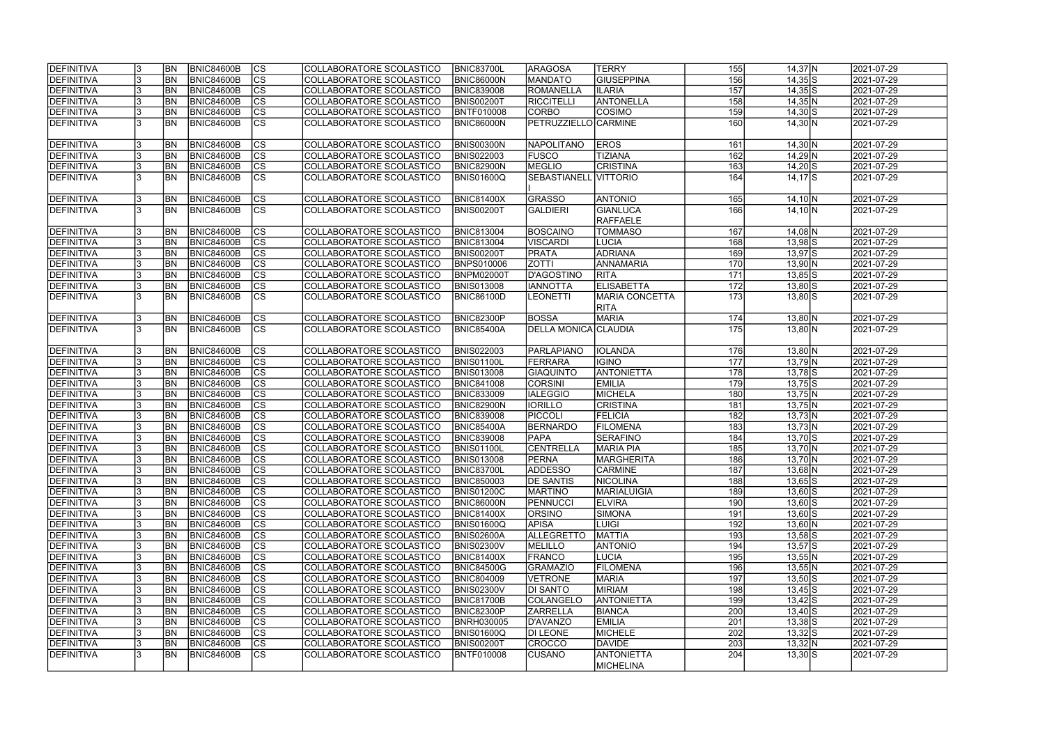| DEFINITIVA                      | 13. | <b>BN</b>               | <b>BNIC84600B</b>                      | <sub>lcs</sub>           | COLLABORATORE SCOLASTICO                             | <b>BNIC83700L</b>                      | <b>ARAGOSA</b>            | <b>TERRY</b>                         | 155        | $14,37$ N            | 2021-07-29               |
|---------------------------------|-----|-------------------------|----------------------------------------|--------------------------|------------------------------------------------------|----------------------------------------|---------------------------|--------------------------------------|------------|----------------------|--------------------------|
| <b>DEFINITIVA</b>               |     | <b>BN</b>               | <b>BNIC84600B</b>                      | $\overline{\text{cs}}$   | COLLABORATORE SCOLASTICO                             | <b>BNIC86000N</b>                      | MANDATO                   | <b>GIUSEPPINA</b>                    | 156        | $14,35$ S            | 2021-07-29               |
| <b>DEFINITIVA</b>               |     | <b>BN</b>               | <b>BNIC84600B</b>                      | $\overline{c}$           | COLLABORATORE SCOLASTICO                             | <b>BNIC839008</b>                      | <b>ROMANELLA</b>          | <b>ILARIA</b>                        | 157        | $14,35$ S            | 2021-07-29               |
| <b>DEFINITIVA</b>               |     | <b>BN</b>               | <b>BNIC84600B</b>                      | $\overline{\text{cs}}$   | COLLABORATORE SCOLASTICO                             | <b>BNIS00200T</b>                      | RICCITELLI                | <b>ANTONELLA</b>                     | 158        | $14,35$ N            | 2021-07-29               |
| <b>DEFINITIVA</b>               |     | <b>BN</b>               | <b>BNIC84600B</b>                      | $\overline{\text{cs}}$   | COLLABORATORE SCOLASTICO                             | BNTF010008                             | <b>CORBO</b>              | <b>COSIMO</b>                        | 159        | $14,30$ S            | 2021-07-29               |
| <b>DEFINITIVA</b>               |     | <b>BN</b>               | BNIC84600B                             | $\overline{\text{cs}}$   | COLLABORATORE SCOLASTICO                             | BNIC86000N                             | PETRUZZIELLO CARMINE      |                                      | 160        | $14,30 \overline{N}$ | 2021-07-29               |
| <b>DEFINITIVA</b>               |     | <b>BN</b>               | BNIC84600B                             | $\overline{\text{CS}}$   | COLLABORATORE SCOLASTICO                             | <b>BNIS00300N</b>                      | <b>NAPOLITANO</b>         | <b>EROS</b>                          | 161        | $14,30 \ N$          | 2021-07-29               |
| DEFINITIVA                      |     | BN                      | <b>BNIC84600B</b>                      | cs                       | COLLABORATORE SCOLASTICO                             | <b>BNIS022003</b>                      | <b>FUSCO</b>              | <b>TIZIANA</b>                       | 162        | $14,29$ N            | 2021-07-29               |
| <b>DEFINITIVA</b>               |     | <b>BN</b>               | BNIC84600B                             | cs                       | COLLABORATORE SCOLASTICO                             | <b>BNIC82900N</b>                      | MEGLIO                    | <b>CRISTINA</b>                      | 163        | $14,20$ S            | 2021-07-29               |
| <b>DEFINITIVA</b>               |     | <b>BN</b>               | BNIC84600B                             | <b>CS</b>                | COLLABORATORE SCOLASTICO                             | BNIS01600Q                             | SEBASTIANELL VITTORIO     |                                      | 164        | $14,17$ $S$          | 2021-07-29               |
|                                 |     |                         |                                        |                          |                                                      |                                        |                           |                                      |            |                      |                          |
| <b>DEFINITIVA</b>               |     | <b>BN</b>               | BNIC84600B                             | $\overline{\text{CS}}$   | COLLABORATORE SCOLASTICO                             | <b>BNIC81400X</b>                      | GRASSO                    | <b>ANTONIO</b>                       | 165        | $14,10 \ N$          | 2021-07-29               |
| <b>DEFINITIVA</b>               |     | <b>IBN</b>              | <b>BNIC84600B</b>                      | $\overline{\text{cs}}$   | COLLABORATORE SCOLASTICO                             | <b>BNIS00200T</b>                      | <b>GALDIERI</b>           | GIANLUCA                             | 166        | $14,10 \, N$         | 2021-07-29               |
|                                 |     |                         |                                        |                          |                                                      |                                        |                           | <b>RAFFAELE</b>                      |            |                      |                          |
| <b>DEFINITIVA</b>               |     | <b>BN</b>               | <b>BNIC84600B</b>                      | $\overline{\text{CS}}$   | COLLABORATORE SCOLASTICO                             | <b>BNIC813004</b>                      | BOSCAINO                  | <b>TOMMASO</b>                       | 167        | $14,08$ N            | 2021-07-29               |
| <b>DEFINITIVA</b>               |     | <b>BN</b>               | <b>BNIC84600B</b>                      | $ \overline{\text{cs}} $ | COLLABORATORE SCOLASTICO                             | <b>BNIC813004</b>                      | <b>VISCARDI</b>           | <b>LUCIA</b>                         | 168        | $13,98$ S            | 2021-07-29               |
| <b>DEFINITIVA</b>               |     | <b>BN</b>               | BNIC84600B                             | $ \mathsf{CS} $          | COLLABORATORE SCOLASTICO                             | <b>BNIS00200T</b>                      | PRATA                     | <b>ADRIANA</b>                       | 169        | $13,97$ $S$          | 2021-07-29               |
| <b>DEFINITIVA</b>               |     | <b>BN</b>               | <b>BNIC84600B</b>                      | cs                       | COLLABORATORE SCOLASTICO                             | BNPS010006                             | <b>ZOTTI</b>              | <b>ANNAMARIA</b>                     | 170        | $13,90$ N            | 2021-07-29               |
| <b>DEFINITIVA</b>               |     | <b>BN</b>               | <b>BNIC84600B</b>                      | $\overline{\text{CS}}$   | COLLABORATORE SCOLASTICO                             | BNPM02000T                             | <b>D'AGOSTINO</b>         | <b>RITA</b>                          | 171        | $13,85$ S            | 2021-07-29               |
| <b>DEFINITIVA</b>               |     | <b>BN</b>               | <b>BNIC84600B</b>                      | $\overline{\text{cs}}$   | COLLABORATORE SCOLASTICO                             | <b>BNIS013008</b>                      | <b>IANNOTTA</b>           | <b>ELISABETTA</b>                    | 172        | $13,80$ S            | 2021-07-29               |
| <b>DEFINITIVA</b>               |     | <b>IBN</b>              | BNIC84600B                             | <b>CS</b>                | COLLABORATORE SCOLASTICO                             | <b>BNIC86100D</b>                      | <b>LEONETTI</b>           | <b>MARIA CONCETTA</b><br><b>RITA</b> | 173        | $13,80$ S            | 2021-07-29               |
| <b>DEFINITIVA</b>               |     | <b>BN</b>               | <b>BNIC84600B</b>                      | <b>CS</b>                | COLLABORATORE SCOLASTICO                             | <b>BNIC82300P</b>                      | <b>BOSSA</b>              | <b>MARIA</b>                         | 174        | $13,80$ N            | 2021-07-29               |
| <b>DEFINITIVA</b>               |     | <b>BN</b>               | BNIC84600B                             | <b>CS</b>                | COLLABORATORE SCOLASTICO                             | <b>BNIC85400A</b>                      | DELLA MONICA CLAUDIA      |                                      | 175        | $13,80 \, N$         | 2021-07-29               |
| <b>DEFINITIVA</b>               |     | <b>BN</b>               | <b>BNIC84600B</b>                      | CS                       | COLLABORATORE SCOLASTICO                             | <b>BNIS022003</b>                      | PARLAPIANO                | <b>IOLANDA</b>                       | <b>176</b> | $13,80$ N            | 2021-07-29               |
| <b>DEFINITIVA</b>               |     | <b>BN</b>               | <b>BNIC84600B</b>                      | cs                       | <b>COLLABORATORE SCOLASTICO</b>                      | <b>BNIS01100L</b>                      | FERRARA                   | IGINO                                | 177        | $13,79$ N            | 2021-07-29               |
| <b>DEFINITIVA</b>               |     | <b>BN</b>               | <b>BNIC84600B</b>                      | cs                       | COLLABORATORE SCOLASTICO                             | <b>BNIS013008</b>                      | <b>GIAQUINTO</b>          | <b>ANTONIETTA</b>                    | 178        | $13,78$ S            | 2021-07-29               |
| <b>DEFINITIVA</b>               |     | <b>BN</b>               | <b>BNIC84600B</b>                      | cs                       | COLLABORATORE SCOLASTICO                             | <b>BNIC841008</b>                      | <b>CORSINI</b>            | <b>EMILIA</b>                        | 179        | $13,75$ S            | 2021-07-29               |
| <b>DEFINITIVA</b>               |     | <b>BN</b>               | <b>BNIC84600B</b>                      | $\overline{\text{cs}}$   | COLLABORATORE SCOLASTICO                             | <b>BNIC833009</b>                      | <b>IALEGGIO</b>           | <b>MICHELA</b>                       | 180        | $13,75$ N            | 2021-07-29               |
| <b>DEFINITIVA</b>               |     | <b>BN</b>               | <b>BNIC84600B</b>                      | $\overline{\text{cs}}$   | COLLABORATORE SCOLASTICO                             | <b>BNIC82900N</b>                      | <b>IORILLO</b>            | <b>CRISTINA</b>                      | 181        | $13,75$ N            | 2021-07-29               |
| <b>DEFINITIVA</b>               | 13. | <b>BN</b>               | BNIC84600B                             | cs                       | COLLABORATORE SCOLASTICO                             | <b>BNIC839008</b>                      | PICCOLI                   | <b>FELICIA</b>                       | 182        | 13,73 N              | 2021-07-29               |
| <b>DEFINITIVA</b>               |     | <b>BN</b>               | <b>BNIC84600B</b>                      | cs                       | COLLABORATORE SCOLASTICO                             | <b>BNIC85400A</b>                      | <b>BERNARDO</b>           | <b>FILOMENA</b>                      | 183        | 13,73 N              | 2021-07-29               |
| <b>DEFINITIVA</b>               |     | <b>BN</b>               | <b>BNIC84600B</b>                      | cs                       | COLLABORATORE SCOLASTICO                             | <b>BNIC839008</b>                      | <b>PAPA</b>               | <b>SERAFINO</b>                      | 184        | $13,70$ S            | 2021-07-29               |
| <b>DEFINITIVA</b>               |     | <b>BN</b>               | <b>BNIC84600B</b>                      | cs                       | COLLABORATORE SCOLASTICO                             | <b>BNIS01100L</b>                      | <b>CENTRELLA</b>          | <b>MARIA PIA</b>                     | 185        | $13,70 \ N$          | 2021-07-29               |
| <b>DEFINITIVA</b>               | Iن  | <b>BN</b>               | <b>BNIC84600B</b>                      | CS                       | COLLABORATORE SCOLASTICO                             | <b>BNIS013008</b>                      | <b>PERNA</b>              | MARGHERITA                           | 186        | 13,70 N              | 2021-07-29               |
| DEFINITIVA                      |     | <b>BN</b>               | <b>BNIC84600B</b>                      | cs                       | COLLABORATORE SCOLASTICO                             | <b>BNIC83700L</b>                      | <b>ADDESSO</b>            | <b>CARMINE</b>                       | 187        | $13,68$ N            | 2021-07-29               |
| DEFINITIVA                      | 13. | <b>BN</b>               | BNIC84600B                             | cs                       | COLLABORATORE SCOLASTICO                             | <b>BNIC850003</b>                      | <b>DE SANTIS</b>          | NICOLINA                             | 188        | $13,65$ $S$          | 2021-07-29               |
| DEFINITIVA                      | 13. | <b>BN</b>               | <b>BNIC84600B</b>                      | CS                       | COLLABORATORE SCOLASTICO                             | <b>BNIS01200C</b>                      | <b>MARTINO</b>            | <b>MARIALUIGIA</b>                   | 189        | $13,60$ S            | 2021-07-29               |
| DEFINITIVA                      | 13. | <b>BN</b>               | <b>BNIC84600B</b>                      | CS                       | COLLABORATORE SCOLASTICO                             | <b>BNIC86000N</b>                      | PENNUCCI                  | <b>ELVIRA</b>                        | 190        | $13,60$ S            | 2021-07-29               |
| DEFINITIVA                      |     | <b>BN</b>               | <b>BNIC84600B</b>                      | CS                       | COLLABORATORE SCOLASTICO                             | <b>BNIC81400X</b>                      | <b>ORSINO</b>             | SIMONA                               | 191        | $13,60$ S            | 2021-07-29               |
| DEFINITIVA                      |     | <b>BN</b>               | <b>BNIC84600B</b>                      | cs                       | COLLABORATORE SCOLASTICO                             | <b>BNIS01600Q</b>                      | <b>APISA</b>              | <b>LUIGI</b>                         | 192        | $13,60 \, N$         | 2021-07-29               |
| DEFINITIVA                      |     | <b>BN</b>               | <b>BNIC84600B</b>                      | <sub>lcs</sub>           | COLLABORATORE SCOLASTICO                             | <b>BNIS02600A</b>                      | <b>ALLEGRETTO</b>         | <b>MATTIA</b>                        | 193        | $13,58$ $S$          | 2021-07-29               |
| <b>DEFINITIVA</b>               |     | <b>BN</b>               | <b>BNIC84600B</b>                      | cs                       | COLLABORATORE SCOLASTICO                             | <b>BNIS02300V</b>                      | MELILLO                   | <b>ANTONIO</b>                       | 194        | $13,57$ $S$          | 2021-07-29               |
| DEFINITIVA                      |     | <b>BN</b>               | <b>BNIC84600B</b>                      | cs                       | COLLABORATORE SCOLASTICO                             | <b>BNIC81400X</b>                      | <b>FRANCO</b>             | LUCIA                                | 195        | $13,55$ N            | 2021-07-29               |
| DEFINITIVA                      |     | <b>BN</b>               | <b>BNIC84600B</b>                      | <b>CS</b>                | COLLABORATORE SCOLASTICO                             | <b>BNIC84500G</b>                      | <b>GRAMAZIO</b>           | <b>FILOMENA</b>                      | 196        | $13,55$ N            | 2021-07-29               |
| <b>DEFINITIVA</b>               |     | <b>BN</b>               | <b>BNIC84600B</b>                      | <b>CS</b>                | COLLABORATORE SCOLASTICO                             | <b>BNIC804009</b>                      | <b>VETRONE</b>            | MARIA                                | 197        | $13,50$ S            | 2021-07-29               |
| DEFINITIVA                      | 13. | <b>BN</b>               | <b>BNIC84600B</b>                      | <b>CS</b>                | COLLABORATORE SCOLASTICO                             | <b>BNIS02300V</b>                      | <b>DI SANTO</b>           | <b>MIRIAM</b>                        | 198        | $13,45$ $S$          | 2021-07-29               |
| DEFINITIVA                      |     | <b>BN</b>               | <b>BNIC84600B</b>                      | <b>CS</b>                | COLLABORATORE SCOLASTICO                             | <b>BNIC81700B</b>                      | COLANGELO                 | <b>ANTONIETTA</b>                    | 199        | $13,42$ $S$          | 2021-07-29               |
| DEFINITIVA                      |     | <b>BN</b>               | <b>BNIC84600B</b>                      | cs                       | COLLABORATORE SCOLASTICO                             | <b>BNIC82300P</b>                      | <b>ZARRELLA</b>           | <b>BIANCA</b>                        | 200        | $13,40$ $S$          | 2021-07-29               |
| <b>DEFINITIVA</b>               |     | <b>BN</b>               | <b>BNIC84600B</b>                      | <b>CS</b>                | COLLABORATORE SCOLASTICO                             | <b>BNRH030005</b>                      | D'AVANZO                  | <b>EMILIA</b>                        | 201        | $13,38$ $S$          | 2021-07-29               |
| <b>DEFINITIVA</b><br>DEFINITIVA |     | <b>BN</b>               | <b>BNIC84600B</b><br><b>BNIC84600B</b> | <b>CS</b><br>lcs         | COLLABORATORE SCOLASTICO                             | <b>BNIS01600Q</b><br><b>BNIS00200T</b> | DI LEONE<br><b>CROCCO</b> | MICHELE<br>DAVIDE                    | 202<br>203 | $13,32$ S            | 2021-07-29               |
| <b>DEFINITIVA</b>               |     | <b>BN</b><br><b>IBN</b> | <b>BNIC84600B</b>                      | $\overline{\text{CS}}$   | COLLABORATORE SCOLASTICO<br>COLLABORATORE SCOLASTICO | BNTF010008                             | <b>CUSANO</b>             | <b>ANTONIETTA</b>                    | 204        | 13,32 N<br>$13,30$ S | 2021-07-29<br>2021-07-29 |
|                                 |     |                         |                                        |                          |                                                      |                                        |                           | <b>MICHELINA</b>                     |            |                      |                          |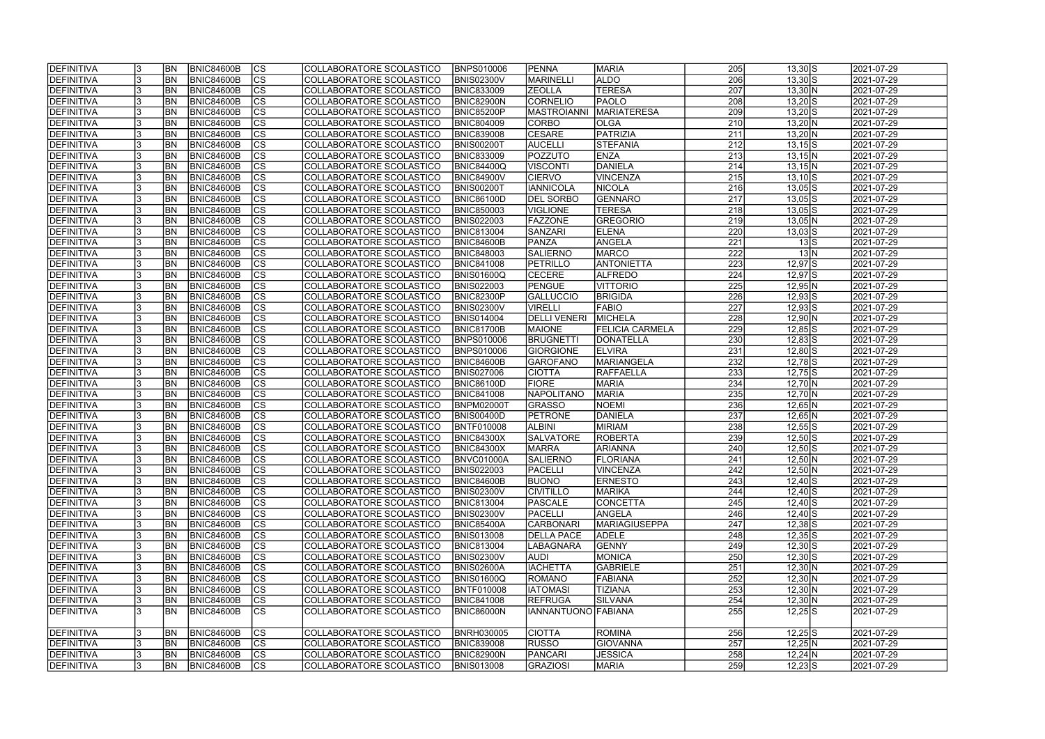| <b>IDEFINITIVA</b> | <b>BN</b> | <b>BNIC84600B</b> | <b>CS</b>                | COLLABORATORE SCOLASTICO | <b>IBNPS010006</b> | <b>PENNA</b>         | <b>MARIA</b>           | 205              | $13,30$ S                            | 2021-07-29 |
|--------------------|-----------|-------------------|--------------------------|--------------------------|--------------------|----------------------|------------------------|------------------|--------------------------------------|------------|
| <b>DEFINITIVA</b>  | <b>BN</b> | <b>BNIC84600B</b> | cs                       | COLLABORATORE SCOLASTICO | <b>BNIS02300V</b>  | MARINELLI            | <b>ALDO</b>            | $\overline{206}$ | $13,30$ S                            | 2021-07-29 |
| <b>DEFINITIVA</b>  | <b>BN</b> | <b>BNIC84600B</b> | cs                       | COLLABORATORE SCOLASTICO | <b>BNIC833009</b>  | <b>ZEOLLA</b>        | <b>TERESA</b>          | $\overline{207}$ | $13,30 \, N$                         | 2021-07-29 |
| <b>DEFINITIVA</b>  | <b>BN</b> | <b>BNIC84600B</b> | $\overline{\text{CS}}$   | COLLABORATORE SCOLASTICO | BNIC82900N         | CORNELIO             | PAOLO                  | 208              | $13,20$ S                            | 2021-07-29 |
| <b>DEFINITIVA</b>  | <b>BN</b> | <b>BNIC84600B</b> | $\overline{\text{CS}}$   | COLLABORATORE SCOLASTICO | <b>BNIC85200P</b>  | <b>MASTROIANNI</b>   | <b>MARIATERESA</b>     | 209              | $13,20$ S                            | 2021-07-29 |
| <b>DEFINITIVA</b>  | <b>BN</b> | <b>BNIC84600B</b> | $\overline{\text{CS}}$   | COLLABORATORE SCOLASTICO | <b>BNIC804009</b>  | CORBO                | <b>OLGA</b>            | 210              | $13,20 \, N$                         | 2021-07-29 |
| DEFINITIVA         | <b>BN</b> | <b>BNIC84600B</b> | <b>CS</b>                | COLLABORATORE SCOLASTICO | <b>BNIC839008</b>  | <b>CESARE</b>        | PATRIZIA               | 211              | $13,20 \text{N}$                     | 2021-07-29 |
| <b>DEFINITIVA</b>  | <b>BN</b> | <b>BNIC84600B</b> | $\overline{\text{CS}}$   | COLLABORATORE SCOLASTICO | BNIS00200T         | <b>AUCELLI</b>       | <b>STEFANIA</b>        | 212              | $13,15$ $S$                          | 2021-07-29 |
| DEFINITIVA         | <b>BN</b> | <b>BNIC84600B</b> | <b>CS</b>                | COLLABORATORE SCOLASTICO | <b>BNIC833009</b>  | POZZUTO              | <b>ENZA</b>            | 213              | $13,15$ N                            | 2021-07-29 |
| <b>DEFINITIVA</b>  | <b>BN</b> | <b>BNIC84600B</b> | cs                       | COLLABORATORE SCOLASTICO | <b>BNIC84400Q</b>  | <b>VISCONTI</b>      | DANIELA                | 214              | $13,15$ N                            | 2021-07-29 |
| <b>DEFINITIVA</b>  | <b>BN</b> | <b>BNIC84600B</b> | <b>CS</b>                | COLLABORATORE SCOLASTICO | <b>BNIC84900V</b>  | <b>CIERVO</b>        | VINCENZA               | 215              | $13,10$ S                            | 2021-07-29 |
| <b>DEFINITIVA</b>  | BN        | <b>BNIC84600B</b> | cs                       | COLLABORATORE SCOLASTICO | BNIS00200T         | <b>IANNICOLA</b>     | <b>NICOLA</b>          | 216              | $13,05$ S                            | 2021-07-29 |
| <b>DEFINITIVA</b>  | <b>BN</b> | <b>BNIC84600B</b> | cs                       | COLLABORATORE SCOLASTICO | <b>BNIC86100D</b>  | <b>DEL SORBO</b>     | GENNARO                | 217              | $13,05$ S                            | 2021-07-29 |
| <b>DEFINITIVA</b>  | <b>BN</b> | <b>BNIC84600B</b> | $\overline{\text{CS}}$   | COLLABORATORE SCOLASTICO | <b>BNIC850003</b>  | <b>VIGLIONE</b>      | <b>TERESA</b>          | 218              | $13,05$ S                            | 2021-07-29 |
| <b>DEFINITIVA</b>  | <b>BN</b> | <b>BNIC84600B</b> | $\overline{\text{CS}}$   | COLLABORATORE SCOLASTICO | <b>BNIS022003</b>  | <b>FAZZONE</b>       | <b>GREGORIO</b>        | 219              | $13,05$ N                            | 2021-07-29 |
| <b>DEFINITIVA</b>  | <b>BN</b> | <b>BNIC84600B</b> | CS                       | COLLABORATORE SCOLASTICO | <b>BNIC813004</b>  | <b>SANZARI</b>       | <b>ELENA</b>           | 220              | $13,03$ $S$                          | 2021-07-29 |
| DEFINITIVA         | <b>BN</b> | <b>BNIC84600B</b> | $\overline{\text{CS}}$   | COLLABORATORE SCOLASTICO | BNIC84600B         | PANZA                | ANGELA                 | $\overline{221}$ | $13\overline{\smash{\vert S \vert}}$ | 2021-07-29 |
| <b>DEFINITIVA</b>  | <b>BN</b> | <b>BNIC84600B</b> | CS                       | COLLABORATORE SCOLASTICO | <b>BNIC848003</b>  | <b>SALIERNO</b>      | <b>MARCO</b>           | 222              | 13 N                                 | 2021-07-29 |
| DEFINITIVA         | BN        | <b>BNIC84600B</b> | CS                       | COLLABORATORE SCOLASTICO | <b>BNIC841008</b>  | PETRILLO             | <b>ANTONIETTA</b>      | 223              | $12,97$ $S$                          | 2021-07-29 |
| <b>DEFINITIVA</b>  | <b>BN</b> | <b>BNIC84600B</b> | CS                       | COLLABORATORE SCOLASTICO | BNIS01600Q         | <b>CECERE</b>        | <b>ALFREDO</b>         | 224              | 12,97 S                              | 2021-07-29 |
| DEFINITIVA         | BN        | <b>BNIC84600B</b> | CS                       | COLLABORATORE SCOLASTICO | <b>BNIS022003</b>  | PENGUE               | <b>VITTORIO</b>        | 225              | $12,95$ N                            | 2021-07-29 |
| DEFINITIVA         | <b>BN</b> | <b>BNIC84600B</b> | <b>CS</b>                | COLLABORATORE SCOLASTICO | <b>BNIC82300P</b>  | <b>GALLUCCIO</b>     | <b>BRIGIDA</b>         | 226              | $12,93$ S                            | 2021-07-29 |
| <b>DEFINITIVA</b>  | <b>BN</b> | <b>BNIC84600B</b> | <b>CS</b>                | COLLABORATORE SCOLASTICO | <b>BNIS02300V</b>  | <b>VIRELLI</b>       | <b>FABIO</b>           | 227              | $12,93$ S                            | 2021-07-29 |
| DEFINITIVA         | <b>BN</b> | <b>BNIC84600B</b> | <b>CS</b>                | COLLABORATORE SCOLASTICO | <b>BNIS014004</b>  | <b>DELLI VENERI</b>  | <b>MICHELA</b>         | 228              | $12,90 \text{N}$                     | 2021-07-29 |
| <b>DEFINITIVA</b>  | <b>BN</b> | <b>BNIC84600B</b> | <b>CS</b>                | COLLABORATORE SCOLASTICO | <b>BNIC81700B</b>  | <b>MAIONE</b>        | <b>FELICIA CARMELA</b> | 229              | $12,85$ S                            | 2021-07-29 |
| <b>DEFINITIVA</b>  | <b>BN</b> | <b>BNIC84600B</b> | <b>CS</b>                | COLLABORATORE SCOLASTICO | <b>BNPS010006</b>  | <b>BRUGNETTI</b>     | DONATELLA              | 230              | $12,83$ S                            | 2021-07-29 |
| <b>DEFINITIVA</b>  | <b>BN</b> | <b>BNIC84600B</b> | lcs                      | COLLABORATORE SCOLASTICO | <b>BNPS010006</b>  | <b>GIORGIONE</b>     | <b>ELVIRA</b>          | 231              | $12,80$ S                            | 2021-07-29 |
| <b>DEFINITIVA</b>  | <b>BN</b> | <b>BNIC84600B</b> | <b>CS</b>                | COLLABORATORE SCOLASTICO | BNIC84600B         | GAROFANO             | <b>MARIANGELA</b>      | 232              | $12,78$ S                            | 2021-07-29 |
| <b>DEFINITIVA</b>  | <b>BN</b> | <b>BNIC84600B</b> | $ \overline{\text{cs}} $ | COLLABORATORE SCOLASTICO | <b>BNIS027006</b>  | <b>CIOTTA</b>        | <b>RAFFAELLA</b>       | 233              | $12,75$ S                            | 2021-07-29 |
| DEFINITIVA         | <b>BN</b> | <b>BNIC84600B</b> | lcs                      | COLLABORATORE SCOLASTICO | <b>BNIC86100D</b>  | <b>FIORE</b>         | <b>MARIA</b>           | 234              | $12,70 \text{N}$                     | 2021-07-29 |
| DEFINITIVA         | <b>BN</b> | <b>BNIC84600B</b> | $ \overline{\text{CS}} $ | COLLABORATORE SCOLASTICO | <b>BNIC841008</b>  | <b>NAPOLITANO</b>    | <b>MARIA</b>           | 235              | $12,70 \, N$                         | 2021-07-29 |
| DEFINITIVA         | <b>BN</b> | <b>BNIC84600B</b> | <b>CS</b>                | COLLABORATORE SCOLASTICO | <b>BNPM02000T</b>  | <b>GRASSO</b>        | <b>NOEMI</b>           | 236              | $12,65$ N                            | 2021-07-29 |
| DEFINITIVA         | <b>BN</b> | <b>BNIC84600B</b> | $\overline{\text{CS}}$   | COLLABORATORE SCOLASTICO | <b>BNIS00400D</b>  | <b>PETRONE</b>       | DANIELA                | $\overline{237}$ | $12,65$ N                            | 2021-07-29 |
| DEFINITIVA         | BN        | <b>BNIC84600B</b> | $\overline{\text{CS}}$   | COLLABORATORE SCOLASTICO | <b>BNTF010008</b>  | <b>ALBINI</b>        | <b>MIRIAM</b>          | 238              | $12,55$ S                            | 2021-07-29 |
| <b>DEFINITIVA</b>  | <b>BN</b> | <b>BNIC84600B</b> | $\overline{\text{CS}}$   | COLLABORATORE SCOLASTICO | <b>BNIC84300X</b>  | <b>SALVATORE</b>     | <b>ROBERTA</b>         | 239              | $12,50$ S                            | 2021-07-29 |
| <b>DEFINITIVA</b>  | <b>BN</b> | <b>BNIC84600B</b> | $\overline{\text{CS}}$   | COLLABORATORE SCOLASTICO | <b>BNIC84300X</b>  | <b>MARRA</b>         | <b>ARIANNA</b>         | 240              | $12,50$ S                            | 2021-07-29 |
| <b>DEFINITIVA</b>  | <b>BN</b> | BNIC84600B        | $ {\rm cs}$              | COLLABORATORE SCOLASTICO | BNVC01000A         | SALIERNO             | FLORIANA               | 241              | $12,50 \, N$                         | 2021-07-29 |
| DEFINITIVA         | <b>BN</b> | <b>BNIC84600B</b> | lcs                      | COLLABORATORE SCOLASTICO | <b>BNIS022003</b>  | <b>PACELLI</b>       | <b>VINCENZA</b>        | 242              | $12,50$ N                            | 2021-07-29 |
| <b>DEFINITIVA</b>  | <b>BN</b> | <b>BNIC84600B</b> | CS                       | COLLABORATORE SCOLASTICO | <b>BNIC84600B</b>  | <b>BUONO</b>         | <b>ERNESTO</b>         | 243              | $12,40$ S                            | 2021-07-29 |
| <b>DEFINITIVA</b>  | <b>BN</b> | <b>BNIC84600B</b> | <b>CS</b>                | COLLABORATORE SCOLASTICO | <b>BNIS02300V</b>  | <b>CIVITILLO</b>     | <b>MARIKA</b>          | 244              | $12,40$ S                            | 2021-07-29 |
| <b>DEFINITIVA</b>  | <b>BN</b> | <b>BNIC84600B</b> | <b>CS</b>                | COLLABORATORE SCOLASTICO | <b>BNIC813004</b>  | PASCALE              | <b>CONCETTA</b>        | 245              | $12,40$ S                            | 2021-07-29 |
| <b>DEFINITIVA</b>  | <b>BN</b> | <b>BNIC84600B</b> | CS                       | COLLABORATORE SCOLASTICO | <b>BNIS02300V</b>  | <b>PACELLI</b>       | ANGELA                 | 246              | $12,40$ S                            | 2021-07-29 |
| <b>DEFINITIVA</b>  | <b>BN</b> | <b>BNIC84600B</b> | CS                       | COLLABORATORE SCOLASTICO | <b>BNIC85400A</b>  | <b>CARBONARI</b>     | <b>MARIAGIUSEPPA</b>   | 247              | $12,38$ $S$                          | 2021-07-29 |
| DEFINITIVA         | <b>BN</b> | <b>BNIC84600B</b> | <b>CS</b>                | COLLABORATORE SCOLASTICO | <b>BNIS013008</b>  | <b>DELLA PACE</b>    | <b>ADELE</b>           | 248              | $12,35$ S                            | 2021-07-29 |
| <b>DEFINITIVA</b>  | <b>BN</b> | BNIC84600B        | cs                       | COLLABORATORE SCOLASTICO | <b>BNIC813004</b>  | LABAGNARA            | GENNY                  | 249              | $12,30$ S                            | 2021-07-29 |
| <b>DEFINITIVA</b>  | <b>BN</b> | <b>BNIC84600B</b> | CS                       | COLLABORATORE SCOLASTICO | <b>BNIS02300V</b>  | <b>AUDI</b>          | MONICA                 | 250              | $12,30$ S                            | 2021-07-29 |
| <b>DEFINITIVA</b>  | <b>BN</b> | <b>BNIC84600B</b> | $\overline{\text{CS}}$   | COLLABORATORE SCOLASTICO | <b>BNIS02600A</b>  | <b>IACHETTA</b>      | <b>GABRIELE</b>        | 251              | $12,30\ N$                           | 2021-07-29 |
| <b>DEFINITIVA</b>  | <b>BN</b> | <b>BNIC84600B</b> | <b>CS</b>                | COLLABORATORE SCOLASTICO | <b>BNIS01600Q</b>  | ROMANO               | FABIANA                | 252              | $12,30\ N$                           | 2021-07-29 |
| <b>DEFINITIVA</b>  | <b>BN</b> | <b>BNIC84600B</b> | $\overline{\text{CS}}$   | COLLABORATORE SCOLASTICO | <b>BNTF010008</b>  | <b>IATOMASI</b>      | <b>TIZIANA</b>         | 253              | $12,30 \ N$                          | 2021-07-29 |
| <b>DEFINITIVA</b>  | <b>BN</b> | <b>BNIC84600B</b> | $\overline{\text{CS}}$   | COLLABORATORE SCOLASTICO | <b>BNIC841008</b>  | <b>REFRUGA</b>       | SILVANA                | 254              | $12,30 \text{N}$                     | 2021-07-29 |
| <b>DEFINITIVA</b>  | <b>BN</b> | <b>BNIC84600B</b> | <b>CS</b>                | COLLABORATORE SCOLASTICO | <b>BNIC86000N</b>  | IIANNANTUONO FABIANA |                        | 255              | $12,25$ S                            | 2021-07-29 |
|                    |           |                   |                          |                          |                    |                      |                        |                  |                                      |            |
| <b>DEFINITIVA</b>  | <b>BN</b> | BNIC84600B        | CS                       | COLLABORATORE SCOLASTICO | <b>BNRH030005</b>  | <b>CIOTTA</b>        | <b>ROMINA</b>          | 256              | $12,25$ S                            | 2021-07-29 |
| <b>DEFINITIVA</b>  | IBN       | <b>BNIC84600B</b> | CS                       | COLLABORATORE SCOLASTICO | <b>BNIC839008</b>  | <b>RUSSO</b>         | <b>GIOVANNA</b>        | 257              | $12,25$ N                            | 2021-07-29 |
| <b>DEFINITIVA</b>  | IBN       | <b>BNIC84600B</b> | CS                       | COLLABORATORE SCOLASTICO | <b>BNIC82900N</b>  | PANCARI              | <b>JESSICA</b>         | 258              | $12,24$ N                            | 2021-07-29 |
| <b>DEFINITIVA</b>  | <b>BN</b> | <b>BNIC84600B</b> | CS                       | COLLABORATORE SCOLASTICO | <b>BNIS013008</b>  | <b>GRAZIOSI</b>      | <b>MARIA</b>           | 259              | $12,23$ S                            | 2021-07-29 |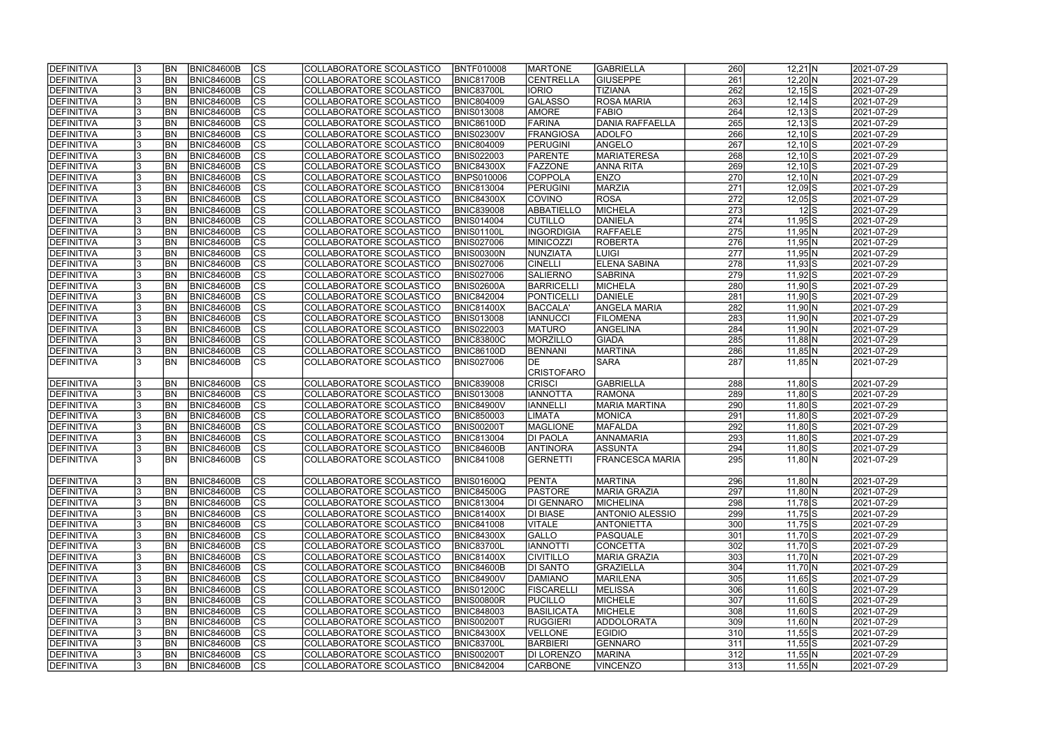| <b>IDEFINITIVA</b> | <b>BN</b> | <b>BNIC84600B</b> | lcs                      | COLLABORATORE SCOLASTICO | <b>BNTF010008</b> | <b>IMARTONE</b>   | <b>GABRIELLA</b>       | 260              | $12,21$ N        | 2021-07-29 |
|--------------------|-----------|-------------------|--------------------------|--------------------------|-------------------|-------------------|------------------------|------------------|------------------|------------|
| DEFINITIVA         | <b>BN</b> | <b>BNIC84600B</b> | cs                       | COLLABORATORE SCOLASTICO | <b>BNIC81700B</b> | <b>CENTRELLA</b>  | <b>GIUSEPPE</b>        | $\overline{261}$ | $12,20 \text{N}$ | 2021-07-29 |
| <b>DEFINITIVA</b>  | <b>BN</b> | BNIC84600B        | cs                       | COLLABORATORE SCOLASTICO | BNIC83700L        | <b>IORIO</b>      | <b>TIZIANA</b>         | 262              | $12,15$ S        | 2021-07-29 |
| DEFINITIVA         | <b>BN</b> | <b>BNIC84600B</b> | $\overline{\text{cs}}$   | COLLABORATORE SCOLASTICO | <b>BNIC804009</b> | <b>GALASSO</b>    | <b>ROSA MARIA</b>      | 263              | $12,14$ S        | 2021-07-29 |
| <b>DEFINITIVA</b>  | <b>BN</b> | <b>BNIC84600B</b> | cs                       | COLLABORATORE SCOLASTICO | <b>BNIS013008</b> | <b>AMORE</b>      | FABIO                  | 264              | $12,13$ S        | 2021-07-29 |
| <b>DEFINITIVA</b>  | <b>BN</b> | <b>BNIC84600B</b> | $\overline{\text{CS}}$   | COLLABORATORE SCOLASTICO | <b>BNIC86100D</b> | FARINA            | <b>DANIA RAFFAELLA</b> | 265              | $12,13$ S        | 2021-07-29 |
| <b>DEFINITIVA</b>  | <b>BN</b> | <b>BNIC84600B</b> | <b>CS</b>                | COLLABORATORE SCOLASTICO | <b>BNIS02300V</b> | FRANGIOSA         | <b>ADOLFO</b>          | 266              | $12,10\sqrt{S}$  | 2021-07-29 |
| <b>DEFINITIVA</b>  | <b>BN</b> | <b>BNIC84600B</b> | $\overline{\text{CS}}$   | COLLABORATORE SCOLASTICO | <b>BNIC804009</b> | PERUGINI          | ANGELO                 | 267              | $12,10$ S        | 2021-07-29 |
| <b>DEFINITIVA</b>  | <b>BN</b> | <b>BNIC84600B</b> | cs                       | COLLABORATORE SCOLASTICO | <b>BNIS022003</b> | <b>PARENTE</b>    | <b>MARIATERESA</b>     | 268              | $12,10$ S        | 2021-07-29 |
| DEFINITIVA         | <b>BN</b> | <b>BNIC84600B</b> | cs                       | COLLABORATORE SCOLASTICO | <b>BNIC84300X</b> | <b>FAZZONE</b>    | <b>ANNA RITA</b>       | 269              | $12,10$ S        | 2021-07-29 |
| DEFINITIVA         | <b>BN</b> | <b>BNIC84600B</b> | <b>CS</b>                | COLLABORATORE SCOLASTICO | <b>BNPS010006</b> | <b>COPPOLA</b>    | <b>ENZO</b>            | 270              | $12,10 \ N$      | 2021-07-29 |
| DEFINITIVA         | BN        | <b>BNIC84600B</b> | $ \overline{\text{CS}} $ | COLLABORATORE SCOLASTICO | <b>BNIC813004</b> | PERUGINI          | MARZIA                 | 271              | $12,09$ $S$      | 2021-07-29 |
| <b>DEFINITIVA</b>  | <b>BN</b> | <b>BNIC84600B</b> | <b>CS</b>                | COLLABORATORE SCOLASTICO | <b>BNIC84300X</b> | <b>COVINO</b>     | ROSA                   | 272              | $12,05$ S        | 2021-07-29 |
| <b>DEFINITIVA</b>  | <b>BN</b> | <b>BNIC84600B</b> | cs                       | COLLABORATORE SCOLASTICO | <b>BNIC839008</b> | <b>ABBATIELLO</b> | MICHELA                | 273              | $12$ $S$         | 2021-07-29 |
| <b>DEFINITIVA</b>  | <b>BN</b> | <b>BNIC84600B</b> | CS                       | COLLABORATORE SCOLASTICO | BNIS014004        | <b>CUTILLO</b>    | DANIELA                | 274              | $11,95$ S        | 2021-07-29 |
| <b>DEFINITIVA</b>  | <b>BN</b> | <b>BNIC84600B</b> | CS                       | COLLABORATORE SCOLASTICO | BNIS01100L        | <b>INGORDIGIA</b> | RAFFAELE               | 275              | $11,95$ N        | 2021-07-29 |
| <b>DEFINITIVA</b>  | <b>BN</b> | <b>BNIC84600B</b> | CS                       | COLLABORATORE SCOLASTICO | <b>BNIS027006</b> | <b>MINICOZZI</b>  | <b>ROBERTA</b>         | 276              | $11,95$ N        | 2021-07-29 |
| DEFINITIVA         | <b>BN</b> | <b>BNIC84600B</b> | <b>CS</b>                | COLLABORATORE SCOLASTICO | BNIS00300N        | NUNZIATA          | <b>LUIGI</b>           | 277              | $11,95$ N        | 2021-07-29 |
| <b>DEFINITIVA</b>  | <b>BN</b> | <b>BNIC84600B</b> | $ \overline{\text{CS}} $ | COLLABORATORE SCOLASTICO | <b>BNIS027006</b> | <b>CINELLI</b>    | <b>ELENA SABINA</b>    | 278              | $11,93$ S        | 2021-07-29 |
| <b>DEFINITIVA</b>  | <b>BN</b> | <b>BNIC84600B</b> | $\overline{\text{CS}}$   | COLLABORATORE SCOLASTICO | <b>BNIS027006</b> | <b>SALIERNO</b>   | <b>SABRINA</b>         | 279              | $11,92$ S        | 2021-07-29 |
| DEFINITIVA         | <b>BN</b> | <b>BNIC84600B</b> | $ \overline{\text{CS}} $ | COLLABORATORE SCOLASTICO | BNIS02600A        | BARRICELL         | MICHELA                | 280              | $11,90$ S        | 2021-07-29 |
| <b>DEFINITIVA</b>  | <b>BN</b> | <b>BNIC84600B</b> | <b>CS</b>                | COLLABORATORE SCOLASTICO | <b>BNIC842004</b> | <b>PONTICELL</b>  | DANIELE                | 281              | $11,90$ S        | 2021-07-29 |
| <b>DEFINITIVA</b>  | <b>BN</b> | <b>BNIC84600B</b> | CS                       | COLLABORATORE SCOLASTICO | <b>BNIC81400X</b> | BACCALA'          | <b>ANGELA MARIA</b>    | 282              | $11,90 \ N$      | 2021-07-29 |
| <b>DEFINITIVA</b>  | <b>BN</b> | <b>BNIC84600B</b> | <b>CS</b>                | COLLABORATORE SCOLASTICO | <b>BNIS013008</b> | <b>IANNUCCI</b>   | <b>FILOMENA</b>        | 283              | $11,90 \ N$      | 2021-07-29 |
| <b>DEFINITIVA</b>  | <b>BN</b> | <b>BNIC84600B</b> | lcs                      | COLLABORATORE SCOLASTICO | <b>BNIS022003</b> | <b>MATURO</b>     | ANGELINA               | 284              | $11,90 \ N$      | 2021-07-29 |
| <b>DEFINITIVA</b>  | <b>BN</b> | <b>BNIC84600B</b> | lcs                      | COLLABORATORE SCOLASTICO | <b>BNIC83800C</b> | MORZILLO          | <b>GIADA</b>           | 285              | $11,88$ N        | 2021-07-29 |
| <b>DEFINITIVA</b>  | <b>BN</b> | <b>BNIC84600B</b> | CS                       | COLLABORATORE SCOLASTICO | <b>BNIC86100D</b> | <b>BENNANI</b>    | MARTINA                | 286              | $11,85$ N        | 2021-07-29 |
| <b>DEFINITIVA</b>  | <b>BN</b> | <b>BNIC84600B</b> | <b>CS</b>                | COLLABORATORE SCOLASTICO | <b>BNIS027006</b> | <b>IDE</b>        | <b>SARA</b>            | 287              | $11,85$ N        | 2021-07-29 |
|                    |           |                   |                          |                          |                   | CRISTOFARO        |                        |                  |                  |            |
| <b>DEFINITIVA</b>  | <b>BN</b> | <b>BNIC84600B</b> | <b>CS</b>                | COLLABORATORE SCOLASTICO | <b>BNIC839008</b> | <b>CRISCI</b>     | GABRIELLA              | 288              | 11,80 S          | 2021-07-29 |
| <b>DEFINITIVA</b>  | <b>BN</b> | <b>BNIC84600B</b> | $ \overline{\text{CS}} $ | COLLABORATORE SCOLASTICO | <b>BNIS013008</b> | <b>IANNOTTA</b>   | <b>RAMONA</b>          | 289              | $11,80$ S        | 2021-07-29 |
| DEFINITIVA         | <b>BN</b> | <b>BNIC84600B</b> | $\overline{\text{CS}}$   | COLLABORATORE SCOLASTICO | <b>BNIC84900V</b> | <b>IANNELLI</b>   | <b>MARIA MARTINA</b>   | 290              | $11,80$ S        | 2021-07-29 |
| <b>DEFINITIVA</b>  | <b>BN</b> | <b>BNIC84600B</b> | $\overline{\text{CS}}$   | COLLABORATORE SCOLASTICO | <b>BNIC850003</b> | <b>LIMATA</b>     | MONICA                 | $\overline{291}$ | $11,80$ S        | 2021-07-29 |
| DEFINITIVA         | <b>BN</b> | <b>BNIC84600B</b> | cs                       | COLLABORATORE SCOLASTICO | <b>BNIS00200T</b> | <b>MAGLIONE</b>   | <b>MAFALDA</b>         | 292              | $11,80$ S        | 2021-07-29 |
| <b>DEFINITIVA</b>  | <b>BN</b> | <b>BNIC84600B</b> | $\overline{\text{cs}}$   | COLLABORATORE SCOLASTICO | <b>BNIC813004</b> | <b>DI PAOLA</b>   | ANNAMARIA              | 293              | $11,80$ S        | 2021-07-29 |
| <b>DEFINITIVA</b>  | <b>BN</b> | <b>BNIC84600B</b> | $\overline{\text{CS}}$   | COLLABORATORE SCOLASTICO | <b>BNIC84600B</b> | <b>ANTINORA</b>   | ASSUNTA                | 294              | $11,80$ S        | 2021-07-29 |
| <b>DEFINITIVA</b>  |           | BN BNIC84600B     | cs                       | COLLABORATORE SCOLASTICO | <b>BNIC841008</b> | GERNETTI          | <b>FRANCESCA MARIA</b> | 295              | 11,80 N          | 2021-07-29 |
|                    |           |                   |                          |                          |                   |                   |                        |                  |                  |            |
| <b>DEFINITIVA</b>  | <b>BN</b> | BNIC84600B        | CS                       | COLLABORATORE SCOLASTICO | <b>BNIS01600Q</b> | <b>PENTA</b>      | <b>MARTINA</b>         | 296              | 11,80 N          | 2021-07-29 |
| <b>DEFINITIVA</b>  | <b>BN</b> | BNIC84600B        | CS                       | COLLABORATORE SCOLASTICO | <b>BNIC84500G</b> | <b>PASTORE</b>    | <b>MARIA GRAZIA</b>    | 297              | $11,80 \, N$     | 2021-07-29 |
| <b>DEFINITIVA</b>  | <b>BN</b> | <b>BNIC84600B</b> | CS                       | COLLABORATORE SCOLASTICO | <b>BNIC813004</b> | DI GENNARO        | <b>MICHELINA</b>       | 298              | $11,78$ S        | 2021-07-29 |
| DEFINITIVA         | <b>BN</b> | <b>BNIC84600B</b> | CS                       | COLLABORATORE SCOLASTICO | <b>BNIC81400X</b> | <b>DI BIASE</b>   | ANTONIO ALESSIO        | 299              | $11,75$ S        | 2021-07-29 |
| <b>DEFINITIVA</b>  | <b>BN</b> | <b>BNIC84600B</b> | CS                       | COLLABORATORE SCOLASTICO | <b>BNIC841008</b> | <b>VITALE</b>     | <b>ANTONIETTA</b>      | 300              | $11,75$ S        | 2021-07-29 |
| <b>DEFINITIVA</b>  | <b>BN</b> | BNIC84600B        | CS                       | COLLABORATORE SCOLASTICO | <b>BNIC84300X</b> | <b>GALLO</b>      | <b>PASQUALE</b>        | 301              | $11,70$ S        | 2021-07-29 |
| DEFINITIVA         | <b>BN</b> | BNIC84600B        | cs                       | COLLABORATORE SCOLASTICO | <b>BNIC83700L</b> | <b>IANNOTTI</b>   | CONCETTA               | 302              | $11,70$ S        | 2021-07-29 |
| DEFINITIVA         | <b>BN</b> | BNIC84600B        | CS                       | COLLABORATORE SCOLASTICO | <b>BNIC81400X</b> | <b>CIVITILLO</b>  | MARIA GRAZIA           | 303              | 11,70 N          | 2021-07-29 |
| DEFINITIVA         | <b>BN</b> | BNIC84600B        | cs                       | COLLABORATORE SCOLASTICO | <b>BNIC84600B</b> | <b>DI SANTO</b>   | <b>GRAZIELLA</b>       | 304              | 11,70 N          | 2021-07-29 |
| <b>DEFINITIVA</b>  | <b>BN</b> | <b>BNIC84600B</b> | $\overline{\text{CS}}$   | COLLABORATORE SCOLASTICO | <b>BNIC84900V</b> | DAMIANO           | MARILENA               | 305              | $11,65$ S        | 2021-07-29 |
| <b>DEFINITIVA</b>  | <b>BN</b> | BNIC84600B        | cs                       | COLLABORATORE SCOLASTICO | <b>BNIS01200C</b> | FISCARELLI        | <b>MELISSA</b>         | 306              | $11,60$ S        | 2021-07-29 |
| DEFINITIVA         | <b>BN</b> | <b>BNIC84600B</b> | cs                       | COLLABORATORE SCOLASTICO | <b>BNIS00800R</b> | <b>PUCILLO</b>    | MICHELE                | 307              | $11,60$ S        | 2021-07-29 |
| <b>DEFINITIVA</b>  | <b>BN</b> | <b>BNIC84600B</b> | cs                       | COLLABORATORE SCOLASTICO | <b>BNIC848003</b> | BASILICATA        | MICHELE                | 308              | $11,60$ S        | 2021-07-29 |
| <b>DEFINITIVA</b>  | BN        | <b>BNIC84600B</b> | CS                       | COLLABORATORE SCOLASTICO | BNIS00200T        | <b>RUGGIERI</b>   | ADDOLORATA             | 309              | $11,60$ N        | 2021-07-29 |
| DEFINITIVA         | BN        | <b>BNIC84600B</b> | <b>CS</b>                | COLLABORATORE SCOLASTICO | <b>BNIC84300X</b> | <b>VELLONE</b>    | <b>EGIDIO</b>          | 310              | $11,55$ S        | 2021-07-29 |
| <b>DEFINITIVA</b>  | IBN.      | <b>BNIC84600B</b> | lcs                      | COLLABORATORE SCOLASTICO | <b>BNIC83700L</b> | <b>BARBIERI</b>   | GENNARO                | 311              | $11,55$ S        | 2021-07-29 |
| <b>DEFINITIVA</b>  | BN        | <b>BNIC84600B</b> | CS                       | COLLABORATORE SCOLASTICO | <b>BNIS00200T</b> | <b>DI LORENZO</b> | <b>MARINA</b>          | 312              | $11,55$ N        | 2021-07-29 |
| <b>DEFINITIVA</b>  | <b>BN</b> | <b>BNIC84600B</b> | lcs                      | COLLABORATORE SCOLASTICO | <b>BNIC842004</b> | <b>CARBONE</b>    | VINCENZO               | 313              | $11,55$ N        | 2021-07-29 |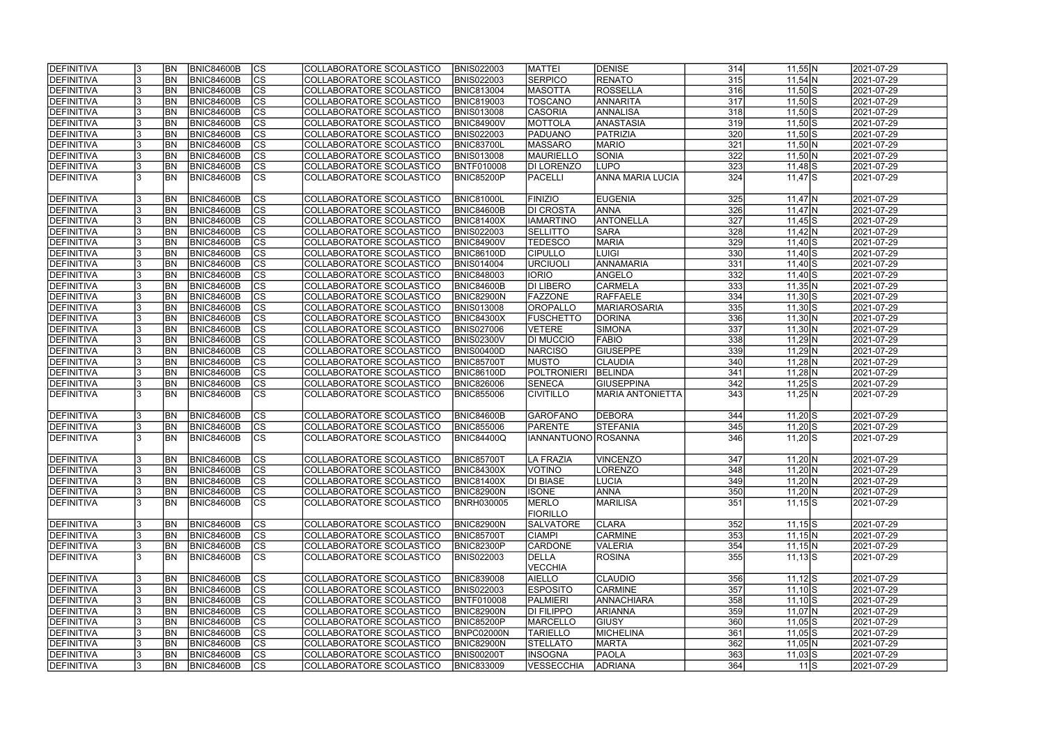| cs <br><b>RENATO</b><br>315<br><b>BN</b><br><b>BNIC84600B</b><br><b>BNIS022003</b><br><b>SERPICO</b><br>$11,54$ N<br>2021-07-29<br>COLLABORATORE SCOLASTICO<br>$\overline{\text{cs}}$<br><b>BN</b><br><b>BNIC84600B</b><br><b>MASOTTA</b><br><b>ROSSELLA</b><br>316<br>2021-07-29<br>COLLABORATORE SCOLASTICO<br><b>BNIC813004</b><br>$11,50$ S<br>$\overline{\text{CS}}$<br>$\overline{317}$<br><b>BNIC84600B</b><br>TOSCANO<br>ANNARITA<br>$11,50$ S<br>2021-07-29<br>BN <br>COLLABORATORE SCOLASTICO<br><b>BNIC819003</b><br>$\overline{\text{cs}}$<br>318<br><b>BN</b><br><b>BNIC84600B</b><br><b>BNIS013008</b><br><b>CASORIA</b><br>$11,50$ S<br>2021-07-29<br>COLLABORATORE SCOLASTICO<br><b>ANNALISA</b><br>$\overline{\text{CS}}$<br><b>BN</b><br><b>BNIC84600B</b><br>ANASTASIA<br>319<br>$11,50$ S<br>2021-07-29<br>COLLABORATORE SCOLASTICO<br><b>BNIC84900V</b><br><b>MOTTOLA</b><br>$\overline{\text{CS}}$<br><b>BN</b><br><b>BNIC84600B</b><br>PATRIZIA<br>320<br>$11,50$ S<br>2021-07-29<br><b>DEFINITIVA</b><br>COLLABORATORE SCOLASTICO<br><b>BNIS022003</b><br><b>PADUANO</b><br>321<br><b>BNIC84600B</b><br>$\overline{\text{CS}}$<br>DEFINITIVA<br><b>BN</b><br>COLLABORATORE SCOLASTICO<br>BNIC83700L<br><b>MASSARO</b><br>$11,50$ N<br>2021-07-29<br><b>MARIO</b><br>$\overline{\text{CS}}$<br>322<br><b>DEFINITIVA</b><br><b>BN</b><br><b>BNIC84600B</b><br><b>BNIS013008</b><br>MAURIELLO<br>$11,50$ N<br>2021-07-29<br>COLLABORATORE SCOLASTICO<br>SONIA<br>BN<br> cs <br>323<br><b>DEFINITIVA</b><br><b>BNIC84600B</b><br><b>BNTF010008</b><br><b>LUPO</b><br>2021-07-29<br>COLLABORATORE SCOLASTICO<br><b>DI LORENZO</b><br>$11,48$ S<br>$\overline{\text{CS}}$<br>324<br><b>BN</b><br><b>ANNA MARIA LUCIA</b><br>$11,47$ $S$<br><b>DEFINITIVA</b><br><b>BNIC84600B</b><br>COLLABORATORE SCOLASTICO<br><b>BNIC85200P</b><br><b>PACELLI</b><br>2021-07-29<br><b>BNIC84600B</b><br><b>EUGENIA</b><br>DEFINITIVA<br><b>BN</b><br>lcs<br>COLLABORATORE SCOLASTICO<br><b>BNIC81000L</b><br><b>FINIZIO</b><br>325<br>$11,47$ N<br>2021-07-29<br> cs <br>326<br><b>BN</b><br><b>BNIC84600B</b><br><b>DI CROSTA</b><br><b>ANNA</b><br>2021-07-29<br><b>DEFINITIVA</b><br>COLLABORATORE SCOLASTICO<br>BNIC84600B<br>$11,47$ N<br>$ \overline{\text{CS}} $<br>ANTONELLA<br>327<br>DEFINITIVA<br><b>BN</b><br><b>BNIC84600B</b><br>COLLABORATORE SCOLASTICO<br><b>BNIC81400X</b><br><b>IAMARTINO</b><br>2021-07-29<br>$11,45$ S<br>$\overline{\text{CS}}$<br>328<br>DEFINITIVA<br><b>BN</b><br><b>BNIC84600B</b><br>COLLABORATORE SCOLASTICO<br><b>BNIS022003</b><br><b>SELLITTO</b><br><b>SARA</b><br>2021-07-29<br>$11,42$ N<br>$\overline{\text{CS}}$<br><b>MARIA</b><br>329<br>2021-07-29<br>DEFINITIVA<br><b>BN</b><br><b>BNIC84600B</b><br>COLLABORATORE SCOLASTICO<br><b>BNIC84900V</b><br><b>TEDESCO</b><br>$11,40$ S<br>CS<br>330<br>DEFINITIVA<br><b>BN</b><br><b>BNIC84600B</b><br><b>CIPULLO</b><br>2021-07-29<br>COLLABORATORE SCOLASTICO<br><b>BNIC86100D</b><br>LUIGI<br>$11,40$ S<br>$\overline{\text{CS}}$<br>ANNAMARIA<br>331<br><b>DEFINITIVA</b><br><b>BN</b><br><b>BNIC84600B</b><br>2021-07-29<br>COLLABORATORE SCOLASTICO<br><b>BNIS014004</b><br>URCIUOLI<br>$11,40$ S<br>$\overline{\text{CS}}$<br>332<br><b>DEFINITIVA</b><br><b>BNIC84600B</b><br>ANGELO<br>$11,40$ S<br>2021-07-29<br>BN <br>COLLABORATORE SCOLASTICO<br><b>BNIC848003</b><br><b>IORIO</b><br>$\overline{\text{CS}}$<br>$\frac{1}{333}$<br>DEFINITIVA<br><b>BN</b><br><b>BNIC84600B</b><br>DI LIBERO<br><b>CARMELA</b><br>$11,35$ N<br>2021-07-29<br>COLLABORATORE SCOLASTICO<br>BNIC84600B<br>CS<br>334<br>DEFINITIVA<br><b>BN</b><br><b>BNIC84600B</b><br><b>RAFFAELE</b><br>COLLABORATORE SCOLASTICO<br>BNIC82900N<br><b>FAZZONE</b><br>$11,30$ S<br>2021-07-29<br><b>CS</b><br>335<br><b>BN</b><br><b>BNIC84600B</b><br>OROPALLO<br>$11,30$ S<br>2021-07-29<br><b>DEFINITIVA</b><br>COLLABORATORE SCOLASTICO<br><b>BNIS013008</b><br><b>MARIAROSARIA</b><br><b>CS</b><br>336<br><b>DEFINITIVA</b><br><b>BN</b><br><b>BNIC84600B</b><br>COLLABORATORE SCOLASTICO<br><b>BNIC84300X</b><br>$11,30 \text{N}$<br>2021-07-29<br><b>FUSCHETTO</b><br><b>DORINA</b><br>$\overline{\text{CS}}$<br>$\frac{1}{337}$<br><b>BN</b><br>DEFINITIVA<br><b>BNIC84600B</b><br>COLLABORATORE SCOLASTICO<br><b>BNIS027006</b><br>VETERE<br>SIMONA<br>$11,30 \text{N}$<br>2021-07-29<br><b>BN</b><br><b>CS</b><br>338<br>DEFINITIVA<br><b>BNIC84600B</b><br><b>BNIS02300V</b><br><b>FABIO</b><br>2021-07-29<br>COLLABORATORE SCOLASTICO<br><b>DI MUCCIO</b><br>$11,29$ N<br> cs <br><b>BN</b><br><b>BNIC84600B</b><br>339<br>DEFINITIVA<br>COLLABORATORE SCOLASTICO<br><b>NARCISO</b><br><b>GIUSEPPE</b><br>2021-07-29<br>BNIS00400D<br>$11,29$ N<br>$\overline{\text{CS}}$<br><b>DEFINITIVA</b><br><b>BN</b><br><b>BNIC84600B</b><br><b>MUSTO</b><br><b>CLAUDIA</b><br>340<br>2021-07-29<br>COLLABORATORE SCOLASTICO<br><b>BNIC85700T</b><br>$11,28$ N<br>$ \overline{\text{cs}} $<br><b>BNIC84600B</b><br>POLTRONIERI<br>BELINDA<br>341<br><b>DEFINITIVA</b><br><b>BN</b><br>COLLABORATORE SCOLASTICO<br><b>BNIC86100D</b><br>$11,28$ N<br>2021-07-29<br><b>BNIC84600B</b><br>lcs<br>342<br><b>BN</b><br>COLLABORATORE SCOLASTICO<br><b>BNIC826006</b><br><b>SENECA</b><br><b>GIUSEPPINA</b><br>2021-07-29<br><b>DEFINITIVA</b><br>$11,25$ S<br>$\overline{\text{CS}}$<br><b>BNIC84600B</b><br><b>BNIC855006</b><br>343<br><b>DEFINITIVA</b><br><b>BN</b><br>COLLABORATORE SCOLASTICO<br><b>CIVITILLO</b><br><b>MARIA ANTONIETTA</b><br>$11,25$ N<br>2021-07-29<br><b>DEBORA</b><br><b>DEFINITIVA</b><br><b>BN</b><br><b>BNIC84600B</b><br><b>CS</b><br>COLLABORATORE SCOLASTICO<br><b>BNIC84600B</b><br>344<br>2021-07-29<br><b>GAROFANO</b><br>$11,20$ S<br>$\overline{\text{CS}}$<br><b>BN</b><br><b>BNIC84600B</b><br><b>BNIC855006</b><br><b>STEFANIA</b><br>345<br>2021-07-29<br><b>DEFINITIVA</b><br>COLLABORATORE SCOLASTICO<br><b>PARENTE</b><br>$11,20$ S<br>$\overline{\text{cs}}$<br>346<br>DEFINITIVA<br><b>BN</b><br>IIANNANTUONO ROSANNA<br>2021-07-29<br><b>BNIC84600B</b><br>COLLABORATORE SCOLASTICO<br>BNIC84400Q<br>$11,20$ S<br><b>DEFINITIVA</b><br>BNIC84600B<br><b>BN</b><br>COLLABORATORE SCOLASTICO<br><b>BNIC857001</b><br>LA FRAZIA<br>2021-07-29<br><b>VINCENZO</b><br> CS <br>347<br>11,20 N<br>DEFINITIVA<br>lcs<br><b>BN</b><br><b>BNIC84600B</b><br>COLLABORATORE SCOLASTICO<br>VOTINO<br><b>LORENZO</b><br>348<br>$11,20 \, N$<br>2021-07-29<br><b>BNIC84300X</b><br>BNIC84600B<br> CS<br><b>DEFINITIVA</b><br><b>BN</b><br><b>DI BIASE</b><br><b>LUCIA</b><br>349<br>2021-07-29<br>COLLABORATORE SCOLASTICO<br><b>BNIC81400X</b><br>11,20 N<br><b>DEFINITIVA</b><br><b>BN</b><br><b>BNIC84600B</b><br><b>CS</b><br>COLLABORATORE SCOLASTICO<br><b>BNIC82900N</b><br><b>ISONE</b><br><b>ANNA</b><br>350<br>11,20 N<br>2021-07-29<br>351<br>DEFINITIVA<br><b>CS</b><br>MERLO<br><b>MARILISA</b><br><b>BN</b><br>BNIC84600B<br>COLLABORATORE SCOLASTICO<br><b>BNRH030005</b><br>$11,15$ S<br>2021-07-29<br><b>FIORILLO</b><br><b>DEFINITIVA</b><br><b>BN</b><br>BNIC84600B<br><b>CS</b><br>COLLABORATORE SCOLASTICO<br><b>BNIC82900N</b><br><b>SALVATORE</b><br><b>CLARA</b><br>2021-07-29<br>352<br>$11,15$ S<br>DEFINITIVA<br><b>BNIC84600B</b><br> CS<br><b>CARMINE</b><br><b>BN</b><br>COLLABORATORE SCOLASTICO<br><b>BNIC85700T</b><br><b>CIAMPI</b><br>353<br>$11,15$ N<br>2021-07-29<br> cs <br>DEFINITIVA<br><b>BN</b><br>BNIC84600B<br>COLLABORATORE SCOLASTICO<br><b>BNIC82300P</b><br><b>CARDONE</b><br><b>VALERIA</b><br>354<br>2021-07-29<br>$11,15$ N<br>DEFINITIVA<br><b>CS</b><br>BNIC84600B<br>COLLABORATORE SCOLASTICO<br><b>BNIS022003</b><br>DELLA<br><b>ROSINA</b><br>355<br>2021-07-29<br>IBN<br>$11,13$ $S$<br>VECCHIA<br><b>DEFINITIVA</b><br><b>BN</b><br><b>CS</b><br><b>AIELLO</b><br><b>CLAUDIO</b><br>2021-07-29<br>BNIC84600B<br>COLLABORATORE SCOLASTICO<br><b>BNIC839008</b><br>356<br>$11,12$ $S$<br>$\overline{\text{CS}}$<br>357<br>BNIC84600B<br><b>BNIS022003</b><br><b>ESPOSITO</b><br><b>CARMINE</b><br>$11,10$ S<br>2021-07-29<br><b>BN</b><br>COLLABORATORE SCOLASTICO<br>$\overline{\text{CS}}$<br><b>BNIC84600B</b><br>PALMIERI<br>ANNACHIARA<br>358<br>2021-07-29<br><b>BN</b><br>COLLABORATORE SCOLASTICO<br><b>BNTF010008</b><br>$11,10$ S<br><b>BNIC84600B</b><br><b>CS</b><br><b>ARIANNA</b><br>2021-07-29<br><b>BN</b><br>COLLABORATORE SCOLASTICO<br><b>BNIC82900N</b><br><b>DI FILIPPO</b><br>359<br>11,07 N<br>CS<br><b>BNIC84600B</b><br>360<br>2021-07-29<br><b>DEFINITIVA</b><br><b>BN</b><br>COLLABORATORE SCOLASTICO<br><b>BNIC85200P</b><br><b>MARCELLO</b><br><b>GIUSY</b><br>$11,05$ S<br>CS<br><b>BNIC84600B</b><br>MICHELINA<br>361<br><b>DEFINITIVA</b><br>COLLABORATORE SCOLASTICO<br>BNPC02000N<br><b>TARIELLO</b><br>$11,05$ S<br>2021-07-29<br><b>BN</b><br><b>CS</b><br>362<br><b>DEFINITIVA</b><br><b>BNIC84600B</b><br>BNIC82900N<br><b>STELLATO</b><br>$11,05$ N<br>2021-07-29<br><b>BN</b><br>COLLABORATORE SCOLASTICO<br><b>MARTA</b><br> CS<br><b>DEFINITIVA</b><br><b>BNIC84600B</b><br><b>BNIS00200T</b><br><b>INSOGNA</b><br><b>PAOLA</b><br>363<br>$11,03$ S<br>2021-07-29<br>BN <br>COLLABORATORE SCOLASTICO<br> CS<br>364<br>$11\text{S}$<br><b>BN</b><br><b>BNIC84600B</b><br>COLLABORATORE SCOLASTICO<br><b>VESSECCHIA</b><br><b>ADRIANA</b><br>2021-07-29<br><b>BNIC833009</b> | <b>IDEFINITIVA</b> | <b>BN</b> | <b>BNIC84600B</b> | <b>CS</b> | COLLABORATORE SCOLASTICO | <b>BNIS022003</b> | <b>MATTEI</b> | <b>DENISE</b> | 314 | $11,55$ N | 2021-07-29 |
|-------------------------------------------------------------------------------------------------------------------------------------------------------------------------------------------------------------------------------------------------------------------------------------------------------------------------------------------------------------------------------------------------------------------------------------------------------------------------------------------------------------------------------------------------------------------------------------------------------------------------------------------------------------------------------------------------------------------------------------------------------------------------------------------------------------------------------------------------------------------------------------------------------------------------------------------------------------------------------------------------------------------------------------------------------------------------------------------------------------------------------------------------------------------------------------------------------------------------------------------------------------------------------------------------------------------------------------------------------------------------------------------------------------------------------------------------------------------------------------------------------------------------------------------------------------------------------------------------------------------------------------------------------------------------------------------------------------------------------------------------------------------------------------------------------------------------------------------------------------------------------------------------------------------------------------------------------------------------------------------------------------------------------------------------------------------------------------------------------------------------------------------------------------------------------------------------------------------------------------------------------------------------------------------------------------------------------------------------------------------------------------------------------------------------------------------------------------------------------------------------------------------------------------------------------------------------------------------------------------------------------------------------------------------------------------------------------------------------------------------------------------------------------------------------------------------------------------------------------------------------------------------------------------------------------------------------------------------------------------------------------------------------------------------------------------------------------------------------------------------------------------------------------------------------------------------------------------------------------------------------------------------------------------------------------------------------------------------------------------------------------------------------------------------------------------------------------------------------------------------------------------------------------------------------------------------------------------------------------------------------------------------------------------------------------------------------------------------------------------------------------------------------------------------------------------------------------------------------------------------------------------------------------------------------------------------------------------------------------------------------------------------------------------------------------------------------------------------------------------------------------------------------------------------------------------------------------------------------------------------------------------------------------------------------------------------------------------------------------------------------------------------------------------------------------------------------------------------------------------------------------------------------------------------------------------------------------------------------------------------------------------------------------------------------------------------------------------------------------------------------------------------------------------------------------------------------------------------------------------------------------------------------------------------------------------------------------------------------------------------------------------------------------------------------------------------------------------------------------------------------------------------------------------------------------------------------------------------------------------------------------------------------------------------------------------------------------------------------------------------------------------------------------------------------------------------------------------------------------------------------------------------------------------------------------------------------------------------------------------------------------------------------------------------------------------------------------------------------------------------------------------------------------------------------------------------------------------------------------------------------------------------------------------------------------------------------------------------------------------------------------------------------------------------------------------------------------------------------------------------------------------------------------------------------------------------------------------------------------------------------------------------------------------------------------------------------------------------------------------------------------------------------------------------------------------------------------------------------------------------------------------------------------------------------------------------------------------------------------------------------------------------------------------------------------------------------------------------------------------------------------------------------------------------------------------------------------------------------------------------------------------------------------------------------------------------------------------------------------------------------------------------------------------------------------------------------------------------------------------------------------------------------------------------------------------------------------------------------------------------------------------------------------------------------------------------------------------------------------------------------------------------------------------------------------------------------------------------------------------------------------------------------------------------------------------------------------------------------------------------------------------------------------------------------------------------------------------------------------------------------------------------------------------------------------------------------------------------------------------------------------------------------------------------------------------------------------------------------------------------------------------------------------------------------------------------------------------------------------------------------------------------------------------------------------------------------------------------------------------------------------------------------------------------------------------------------------------------------------------------------------------------------------------------------------------------------------------------------------------------------------------------------------------------------------------------------------------------------------------------------------------------------------------------------------------------------------------------------------------------------------------------------------------------------------------------------------------------------------------------------------------------------------------------------------------------------------------------------------------------------------------------------------------------------------------------------------------------------------------------------------------------------------------------------------------------------------------------------------------------------------------------------------------------------------------------------------------------------------------------------------------------------|--------------------|-----------|-------------------|-----------|--------------------------|-------------------|---------------|---------------|-----|-----------|------------|
|                                                                                                                                                                                                                                                                                                                                                                                                                                                                                                                                                                                                                                                                                                                                                                                                                                                                                                                                                                                                                                                                                                                                                                                                                                                                                                                                                                                                                                                                                                                                                                                                                                                                                                                                                                                                                                                                                                                                                                                                                                                                                                                                                                                                                                                                                                                                                                                                                                                                                                                                                                                                                                                                                                                                                                                                                                                                                                                                                                                                                                                                                                                                                                                                                                                                                                                                                                                                                                                                                                                                                                                                                                                                                                                                                                                                                                                                                                                                                                                                                                                                                                                                                                                                                                                                                                                                                                                                                                                                                                                                                                                                                                                                                                                                                                                                                                                                                                                                                                                                                                                                                                                                                                                                                                                                                                                                                                                                                                                                                                                                                                                                                                                                                                                                                                                                                                                                                                                                                                                                                                                                                                                                                                                                                                                                                                                                                                                                                                                                                                                                                                                                                                                                                                                                                                                                                                                                                                                                                                                                                                                                                                                                                                                                                                                                                                                                                                                                                                                                                                                                                                                                                                                                                                                                                                                                                                                                                                                                                                                                                                                                                                                                                                                                                                                                                                                                                                                                                                                                                                                                                                                                                                                                                                                                                                                                                                                                                                                                                                                                                                                                                                                                                                                                                                                                                                                                                                                                 | DEFINITIVA         |           |                   |           |                          |                   |               |               |     |           |            |
|                                                                                                                                                                                                                                                                                                                                                                                                                                                                                                                                                                                                                                                                                                                                                                                                                                                                                                                                                                                                                                                                                                                                                                                                                                                                                                                                                                                                                                                                                                                                                                                                                                                                                                                                                                                                                                                                                                                                                                                                                                                                                                                                                                                                                                                                                                                                                                                                                                                                                                                                                                                                                                                                                                                                                                                                                                                                                                                                                                                                                                                                                                                                                                                                                                                                                                                                                                                                                                                                                                                                                                                                                                                                                                                                                                                                                                                                                                                                                                                                                                                                                                                                                                                                                                                                                                                                                                                                                                                                                                                                                                                                                                                                                                                                                                                                                                                                                                                                                                                                                                                                                                                                                                                                                                                                                                                                                                                                                                                                                                                                                                                                                                                                                                                                                                                                                                                                                                                                                                                                                                                                                                                                                                                                                                                                                                                                                                                                                                                                                                                                                                                                                                                                                                                                                                                                                                                                                                                                                                                                                                                                                                                                                                                                                                                                                                                                                                                                                                                                                                                                                                                                                                                                                                                                                                                                                                                                                                                                                                                                                                                                                                                                                                                                                                                                                                                                                                                                                                                                                                                                                                                                                                                                                                                                                                                                                                                                                                                                                                                                                                                                                                                                                                                                                                                                                                                                                                                                 | <b>DEFINITIVA</b>  |           |                   |           |                          |                   |               |               |     |           |            |
|                                                                                                                                                                                                                                                                                                                                                                                                                                                                                                                                                                                                                                                                                                                                                                                                                                                                                                                                                                                                                                                                                                                                                                                                                                                                                                                                                                                                                                                                                                                                                                                                                                                                                                                                                                                                                                                                                                                                                                                                                                                                                                                                                                                                                                                                                                                                                                                                                                                                                                                                                                                                                                                                                                                                                                                                                                                                                                                                                                                                                                                                                                                                                                                                                                                                                                                                                                                                                                                                                                                                                                                                                                                                                                                                                                                                                                                                                                                                                                                                                                                                                                                                                                                                                                                                                                                                                                                                                                                                                                                                                                                                                                                                                                                                                                                                                                                                                                                                                                                                                                                                                                                                                                                                                                                                                                                                                                                                                                                                                                                                                                                                                                                                                                                                                                                                                                                                                                                                                                                                                                                                                                                                                                                                                                                                                                                                                                                                                                                                                                                                                                                                                                                                                                                                                                                                                                                                                                                                                                                                                                                                                                                                                                                                                                                                                                                                                                                                                                                                                                                                                                                                                                                                                                                                                                                                                                                                                                                                                                                                                                                                                                                                                                                                                                                                                                                                                                                                                                                                                                                                                                                                                                                                                                                                                                                                                                                                                                                                                                                                                                                                                                                                                                                                                                                                                                                                                                                                 | DEFINITIVA         |           |                   |           |                          |                   |               |               |     |           |            |
|                                                                                                                                                                                                                                                                                                                                                                                                                                                                                                                                                                                                                                                                                                                                                                                                                                                                                                                                                                                                                                                                                                                                                                                                                                                                                                                                                                                                                                                                                                                                                                                                                                                                                                                                                                                                                                                                                                                                                                                                                                                                                                                                                                                                                                                                                                                                                                                                                                                                                                                                                                                                                                                                                                                                                                                                                                                                                                                                                                                                                                                                                                                                                                                                                                                                                                                                                                                                                                                                                                                                                                                                                                                                                                                                                                                                                                                                                                                                                                                                                                                                                                                                                                                                                                                                                                                                                                                                                                                                                                                                                                                                                                                                                                                                                                                                                                                                                                                                                                                                                                                                                                                                                                                                                                                                                                                                                                                                                                                                                                                                                                                                                                                                                                                                                                                                                                                                                                                                                                                                                                                                                                                                                                                                                                                                                                                                                                                                                                                                                                                                                                                                                                                                                                                                                                                                                                                                                                                                                                                                                                                                                                                                                                                                                                                                                                                                                                                                                                                                                                                                                                                                                                                                                                                                                                                                                                                                                                                                                                                                                                                                                                                                                                                                                                                                                                                                                                                                                                                                                                                                                                                                                                                                                                                                                                                                                                                                                                                                                                                                                                                                                                                                                                                                                                                                                                                                                                                                 | DEFINITIVA         |           |                   |           |                          |                   |               |               |     |           |            |
|                                                                                                                                                                                                                                                                                                                                                                                                                                                                                                                                                                                                                                                                                                                                                                                                                                                                                                                                                                                                                                                                                                                                                                                                                                                                                                                                                                                                                                                                                                                                                                                                                                                                                                                                                                                                                                                                                                                                                                                                                                                                                                                                                                                                                                                                                                                                                                                                                                                                                                                                                                                                                                                                                                                                                                                                                                                                                                                                                                                                                                                                                                                                                                                                                                                                                                                                                                                                                                                                                                                                                                                                                                                                                                                                                                                                                                                                                                                                                                                                                                                                                                                                                                                                                                                                                                                                                                                                                                                                                                                                                                                                                                                                                                                                                                                                                                                                                                                                                                                                                                                                                                                                                                                                                                                                                                                                                                                                                                                                                                                                                                                                                                                                                                                                                                                                                                                                                                                                                                                                                                                                                                                                                                                                                                                                                                                                                                                                                                                                                                                                                                                                                                                                                                                                                                                                                                                                                                                                                                                                                                                                                                                                                                                                                                                                                                                                                                                                                                                                                                                                                                                                                                                                                                                                                                                                                                                                                                                                                                                                                                                                                                                                                                                                                                                                                                                                                                                                                                                                                                                                                                                                                                                                                                                                                                                                                                                                                                                                                                                                                                                                                                                                                                                                                                                                                                                                                                                                 | <b>DEFINITIVA</b>  |           |                   |           |                          |                   |               |               |     |           |            |
|                                                                                                                                                                                                                                                                                                                                                                                                                                                                                                                                                                                                                                                                                                                                                                                                                                                                                                                                                                                                                                                                                                                                                                                                                                                                                                                                                                                                                                                                                                                                                                                                                                                                                                                                                                                                                                                                                                                                                                                                                                                                                                                                                                                                                                                                                                                                                                                                                                                                                                                                                                                                                                                                                                                                                                                                                                                                                                                                                                                                                                                                                                                                                                                                                                                                                                                                                                                                                                                                                                                                                                                                                                                                                                                                                                                                                                                                                                                                                                                                                                                                                                                                                                                                                                                                                                                                                                                                                                                                                                                                                                                                                                                                                                                                                                                                                                                                                                                                                                                                                                                                                                                                                                                                                                                                                                                                                                                                                                                                                                                                                                                                                                                                                                                                                                                                                                                                                                                                                                                                                                                                                                                                                                                                                                                                                                                                                                                                                                                                                                                                                                                                                                                                                                                                                                                                                                                                                                                                                                                                                                                                                                                                                                                                                                                                                                                                                                                                                                                                                                                                                                                                                                                                                                                                                                                                                                                                                                                                                                                                                                                                                                                                                                                                                                                                                                                                                                                                                                                                                                                                                                                                                                                                                                                                                                                                                                                                                                                                                                                                                                                                                                                                                                                                                                                                                                                                                                                                 |                    |           |                   |           |                          |                   |               |               |     |           |            |
|                                                                                                                                                                                                                                                                                                                                                                                                                                                                                                                                                                                                                                                                                                                                                                                                                                                                                                                                                                                                                                                                                                                                                                                                                                                                                                                                                                                                                                                                                                                                                                                                                                                                                                                                                                                                                                                                                                                                                                                                                                                                                                                                                                                                                                                                                                                                                                                                                                                                                                                                                                                                                                                                                                                                                                                                                                                                                                                                                                                                                                                                                                                                                                                                                                                                                                                                                                                                                                                                                                                                                                                                                                                                                                                                                                                                                                                                                                                                                                                                                                                                                                                                                                                                                                                                                                                                                                                                                                                                                                                                                                                                                                                                                                                                                                                                                                                                                                                                                                                                                                                                                                                                                                                                                                                                                                                                                                                                                                                                                                                                                                                                                                                                                                                                                                                                                                                                                                                                                                                                                                                                                                                                                                                                                                                                                                                                                                                                                                                                                                                                                                                                                                                                                                                                                                                                                                                                                                                                                                                                                                                                                                                                                                                                                                                                                                                                                                                                                                                                                                                                                                                                                                                                                                                                                                                                                                                                                                                                                                                                                                                                                                                                                                                                                                                                                                                                                                                                                                                                                                                                                                                                                                                                                                                                                                                                                                                                                                                                                                                                                                                                                                                                                                                                                                                                                                                                                                                                 |                    |           |                   |           |                          |                   |               |               |     |           |            |
|                                                                                                                                                                                                                                                                                                                                                                                                                                                                                                                                                                                                                                                                                                                                                                                                                                                                                                                                                                                                                                                                                                                                                                                                                                                                                                                                                                                                                                                                                                                                                                                                                                                                                                                                                                                                                                                                                                                                                                                                                                                                                                                                                                                                                                                                                                                                                                                                                                                                                                                                                                                                                                                                                                                                                                                                                                                                                                                                                                                                                                                                                                                                                                                                                                                                                                                                                                                                                                                                                                                                                                                                                                                                                                                                                                                                                                                                                                                                                                                                                                                                                                                                                                                                                                                                                                                                                                                                                                                                                                                                                                                                                                                                                                                                                                                                                                                                                                                                                                                                                                                                                                                                                                                                                                                                                                                                                                                                                                                                                                                                                                                                                                                                                                                                                                                                                                                                                                                                                                                                                                                                                                                                                                                                                                                                                                                                                                                                                                                                                                                                                                                                                                                                                                                                                                                                                                                                                                                                                                                                                                                                                                                                                                                                                                                                                                                                                                                                                                                                                                                                                                                                                                                                                                                                                                                                                                                                                                                                                                                                                                                                                                                                                                                                                                                                                                                                                                                                                                                                                                                                                                                                                                                                                                                                                                                                                                                                                                                                                                                                                                                                                                                                                                                                                                                                                                                                                                                                 |                    |           |                   |           |                          |                   |               |               |     |           |            |
|                                                                                                                                                                                                                                                                                                                                                                                                                                                                                                                                                                                                                                                                                                                                                                                                                                                                                                                                                                                                                                                                                                                                                                                                                                                                                                                                                                                                                                                                                                                                                                                                                                                                                                                                                                                                                                                                                                                                                                                                                                                                                                                                                                                                                                                                                                                                                                                                                                                                                                                                                                                                                                                                                                                                                                                                                                                                                                                                                                                                                                                                                                                                                                                                                                                                                                                                                                                                                                                                                                                                                                                                                                                                                                                                                                                                                                                                                                                                                                                                                                                                                                                                                                                                                                                                                                                                                                                                                                                                                                                                                                                                                                                                                                                                                                                                                                                                                                                                                                                                                                                                                                                                                                                                                                                                                                                                                                                                                                                                                                                                                                                                                                                                                                                                                                                                                                                                                                                                                                                                                                                                                                                                                                                                                                                                                                                                                                                                                                                                                                                                                                                                                                                                                                                                                                                                                                                                                                                                                                                                                                                                                                                                                                                                                                                                                                                                                                                                                                                                                                                                                                                                                                                                                                                                                                                                                                                                                                                                                                                                                                                                                                                                                                                                                                                                                                                                                                                                                                                                                                                                                                                                                                                                                                                                                                                                                                                                                                                                                                                                                                                                                                                                                                                                                                                                                                                                                                                                 |                    |           |                   |           |                          |                   |               |               |     |           |            |
|                                                                                                                                                                                                                                                                                                                                                                                                                                                                                                                                                                                                                                                                                                                                                                                                                                                                                                                                                                                                                                                                                                                                                                                                                                                                                                                                                                                                                                                                                                                                                                                                                                                                                                                                                                                                                                                                                                                                                                                                                                                                                                                                                                                                                                                                                                                                                                                                                                                                                                                                                                                                                                                                                                                                                                                                                                                                                                                                                                                                                                                                                                                                                                                                                                                                                                                                                                                                                                                                                                                                                                                                                                                                                                                                                                                                                                                                                                                                                                                                                                                                                                                                                                                                                                                                                                                                                                                                                                                                                                                                                                                                                                                                                                                                                                                                                                                                                                                                                                                                                                                                                                                                                                                                                                                                                                                                                                                                                                                                                                                                                                                                                                                                                                                                                                                                                                                                                                                                                                                                                                                                                                                                                                                                                                                                                                                                                                                                                                                                                                                                                                                                                                                                                                                                                                                                                                                                                                                                                                                                                                                                                                                                                                                                                                                                                                                                                                                                                                                                                                                                                                                                                                                                                                                                                                                                                                                                                                                                                                                                                                                                                                                                                                                                                                                                                                                                                                                                                                                                                                                                                                                                                                                                                                                                                                                                                                                                                                                                                                                                                                                                                                                                                                                                                                                                                                                                                                                                 |                    |           |                   |           |                          |                   |               |               |     |           |            |
|                                                                                                                                                                                                                                                                                                                                                                                                                                                                                                                                                                                                                                                                                                                                                                                                                                                                                                                                                                                                                                                                                                                                                                                                                                                                                                                                                                                                                                                                                                                                                                                                                                                                                                                                                                                                                                                                                                                                                                                                                                                                                                                                                                                                                                                                                                                                                                                                                                                                                                                                                                                                                                                                                                                                                                                                                                                                                                                                                                                                                                                                                                                                                                                                                                                                                                                                                                                                                                                                                                                                                                                                                                                                                                                                                                                                                                                                                                                                                                                                                                                                                                                                                                                                                                                                                                                                                                                                                                                                                                                                                                                                                                                                                                                                                                                                                                                                                                                                                                                                                                                                                                                                                                                                                                                                                                                                                                                                                                                                                                                                                                                                                                                                                                                                                                                                                                                                                                                                                                                                                                                                                                                                                                                                                                                                                                                                                                                                                                                                                                                                                                                                                                                                                                                                                                                                                                                                                                                                                                                                                                                                                                                                                                                                                                                                                                                                                                                                                                                                                                                                                                                                                                                                                                                                                                                                                                                                                                                                                                                                                                                                                                                                                                                                                                                                                                                                                                                                                                                                                                                                                                                                                                                                                                                                                                                                                                                                                                                                                                                                                                                                                                                                                                                                                                                                                                                                                                                                 |                    |           |                   |           |                          |                   |               |               |     |           |            |
|                                                                                                                                                                                                                                                                                                                                                                                                                                                                                                                                                                                                                                                                                                                                                                                                                                                                                                                                                                                                                                                                                                                                                                                                                                                                                                                                                                                                                                                                                                                                                                                                                                                                                                                                                                                                                                                                                                                                                                                                                                                                                                                                                                                                                                                                                                                                                                                                                                                                                                                                                                                                                                                                                                                                                                                                                                                                                                                                                                                                                                                                                                                                                                                                                                                                                                                                                                                                                                                                                                                                                                                                                                                                                                                                                                                                                                                                                                                                                                                                                                                                                                                                                                                                                                                                                                                                                                                                                                                                                                                                                                                                                                                                                                                                                                                                                                                                                                                                                                                                                                                                                                                                                                                                                                                                                                                                                                                                                                                                                                                                                                                                                                                                                                                                                                                                                                                                                                                                                                                                                                                                                                                                                                                                                                                                                                                                                                                                                                                                                                                                                                                                                                                                                                                                                                                                                                                                                                                                                                                                                                                                                                                                                                                                                                                                                                                                                                                                                                                                                                                                                                                                                                                                                                                                                                                                                                                                                                                                                                                                                                                                                                                                                                                                                                                                                                                                                                                                                                                                                                                                                                                                                                                                                                                                                                                                                                                                                                                                                                                                                                                                                                                                                                                                                                                                                                                                                                                                 |                    |           |                   |           |                          |                   |               |               |     |           |            |
|                                                                                                                                                                                                                                                                                                                                                                                                                                                                                                                                                                                                                                                                                                                                                                                                                                                                                                                                                                                                                                                                                                                                                                                                                                                                                                                                                                                                                                                                                                                                                                                                                                                                                                                                                                                                                                                                                                                                                                                                                                                                                                                                                                                                                                                                                                                                                                                                                                                                                                                                                                                                                                                                                                                                                                                                                                                                                                                                                                                                                                                                                                                                                                                                                                                                                                                                                                                                                                                                                                                                                                                                                                                                                                                                                                                                                                                                                                                                                                                                                                                                                                                                                                                                                                                                                                                                                                                                                                                                                                                                                                                                                                                                                                                                                                                                                                                                                                                                                                                                                                                                                                                                                                                                                                                                                                                                                                                                                                                                                                                                                                                                                                                                                                                                                                                                                                                                                                                                                                                                                                                                                                                                                                                                                                                                                                                                                                                                                                                                                                                                                                                                                                                                                                                                                                                                                                                                                                                                                                                                                                                                                                                                                                                                                                                                                                                                                                                                                                                                                                                                                                                                                                                                                                                                                                                                                                                                                                                                                                                                                                                                                                                                                                                                                                                                                                                                                                                                                                                                                                                                                                                                                                                                                                                                                                                                                                                                                                                                                                                                                                                                                                                                                                                                                                                                                                                                                                                                 |                    |           |                   |           |                          |                   |               |               |     |           |            |
|                                                                                                                                                                                                                                                                                                                                                                                                                                                                                                                                                                                                                                                                                                                                                                                                                                                                                                                                                                                                                                                                                                                                                                                                                                                                                                                                                                                                                                                                                                                                                                                                                                                                                                                                                                                                                                                                                                                                                                                                                                                                                                                                                                                                                                                                                                                                                                                                                                                                                                                                                                                                                                                                                                                                                                                                                                                                                                                                                                                                                                                                                                                                                                                                                                                                                                                                                                                                                                                                                                                                                                                                                                                                                                                                                                                                                                                                                                                                                                                                                                                                                                                                                                                                                                                                                                                                                                                                                                                                                                                                                                                                                                                                                                                                                                                                                                                                                                                                                                                                                                                                                                                                                                                                                                                                                                                                                                                                                                                                                                                                                                                                                                                                                                                                                                                                                                                                                                                                                                                                                                                                                                                                                                                                                                                                                                                                                                                                                                                                                                                                                                                                                                                                                                                                                                                                                                                                                                                                                                                                                                                                                                                                                                                                                                                                                                                                                                                                                                                                                                                                                                                                                                                                                                                                                                                                                                                                                                                                                                                                                                                                                                                                                                                                                                                                                                                                                                                                                                                                                                                                                                                                                                                                                                                                                                                                                                                                                                                                                                                                                                                                                                                                                                                                                                                                                                                                                                                                 |                    |           |                   |           |                          |                   |               |               |     |           |            |
|                                                                                                                                                                                                                                                                                                                                                                                                                                                                                                                                                                                                                                                                                                                                                                                                                                                                                                                                                                                                                                                                                                                                                                                                                                                                                                                                                                                                                                                                                                                                                                                                                                                                                                                                                                                                                                                                                                                                                                                                                                                                                                                                                                                                                                                                                                                                                                                                                                                                                                                                                                                                                                                                                                                                                                                                                                                                                                                                                                                                                                                                                                                                                                                                                                                                                                                                                                                                                                                                                                                                                                                                                                                                                                                                                                                                                                                                                                                                                                                                                                                                                                                                                                                                                                                                                                                                                                                                                                                                                                                                                                                                                                                                                                                                                                                                                                                                                                                                                                                                                                                                                                                                                                                                                                                                                                                                                                                                                                                                                                                                                                                                                                                                                                                                                                                                                                                                                                                                                                                                                                                                                                                                                                                                                                                                                                                                                                                                                                                                                                                                                                                                                                                                                                                                                                                                                                                                                                                                                                                                                                                                                                                                                                                                                                                                                                                                                                                                                                                                                                                                                                                                                                                                                                                                                                                                                                                                                                                                                                                                                                                                                                                                                                                                                                                                                                                                                                                                                                                                                                                                                                                                                                                                                                                                                                                                                                                                                                                                                                                                                                                                                                                                                                                                                                                                                                                                                                                                 |                    |           |                   |           |                          |                   |               |               |     |           |            |
|                                                                                                                                                                                                                                                                                                                                                                                                                                                                                                                                                                                                                                                                                                                                                                                                                                                                                                                                                                                                                                                                                                                                                                                                                                                                                                                                                                                                                                                                                                                                                                                                                                                                                                                                                                                                                                                                                                                                                                                                                                                                                                                                                                                                                                                                                                                                                                                                                                                                                                                                                                                                                                                                                                                                                                                                                                                                                                                                                                                                                                                                                                                                                                                                                                                                                                                                                                                                                                                                                                                                                                                                                                                                                                                                                                                                                                                                                                                                                                                                                                                                                                                                                                                                                                                                                                                                                                                                                                                                                                                                                                                                                                                                                                                                                                                                                                                                                                                                                                                                                                                                                                                                                                                                                                                                                                                                                                                                                                                                                                                                                                                                                                                                                                                                                                                                                                                                                                                                                                                                                                                                                                                                                                                                                                                                                                                                                                                                                                                                                                                                                                                                                                                                                                                                                                                                                                                                                                                                                                                                                                                                                                                                                                                                                                                                                                                                                                                                                                                                                                                                                                                                                                                                                                                                                                                                                                                                                                                                                                                                                                                                                                                                                                                                                                                                                                                                                                                                                                                                                                                                                                                                                                                                                                                                                                                                                                                                                                                                                                                                                                                                                                                                                                                                                                                                                                                                                                                                 |                    |           |                   |           |                          |                   |               |               |     |           |            |
|                                                                                                                                                                                                                                                                                                                                                                                                                                                                                                                                                                                                                                                                                                                                                                                                                                                                                                                                                                                                                                                                                                                                                                                                                                                                                                                                                                                                                                                                                                                                                                                                                                                                                                                                                                                                                                                                                                                                                                                                                                                                                                                                                                                                                                                                                                                                                                                                                                                                                                                                                                                                                                                                                                                                                                                                                                                                                                                                                                                                                                                                                                                                                                                                                                                                                                                                                                                                                                                                                                                                                                                                                                                                                                                                                                                                                                                                                                                                                                                                                                                                                                                                                                                                                                                                                                                                                                                                                                                                                                                                                                                                                                                                                                                                                                                                                                                                                                                                                                                                                                                                                                                                                                                                                                                                                                                                                                                                                                                                                                                                                                                                                                                                                                                                                                                                                                                                                                                                                                                                                                                                                                                                                                                                                                                                                                                                                                                                                                                                                                                                                                                                                                                                                                                                                                                                                                                                                                                                                                                                                                                                                                                                                                                                                                                                                                                                                                                                                                                                                                                                                                                                                                                                                                                                                                                                                                                                                                                                                                                                                                                                                                                                                                                                                                                                                                                                                                                                                                                                                                                                                                                                                                                                                                                                                                                                                                                                                                                                                                                                                                                                                                                                                                                                                                                                                                                                                                                                 |                    |           |                   |           |                          |                   |               |               |     |           |            |
|                                                                                                                                                                                                                                                                                                                                                                                                                                                                                                                                                                                                                                                                                                                                                                                                                                                                                                                                                                                                                                                                                                                                                                                                                                                                                                                                                                                                                                                                                                                                                                                                                                                                                                                                                                                                                                                                                                                                                                                                                                                                                                                                                                                                                                                                                                                                                                                                                                                                                                                                                                                                                                                                                                                                                                                                                                                                                                                                                                                                                                                                                                                                                                                                                                                                                                                                                                                                                                                                                                                                                                                                                                                                                                                                                                                                                                                                                                                                                                                                                                                                                                                                                                                                                                                                                                                                                                                                                                                                                                                                                                                                                                                                                                                                                                                                                                                                                                                                                                                                                                                                                                                                                                                                                                                                                                                                                                                                                                                                                                                                                                                                                                                                                                                                                                                                                                                                                                                                                                                                                                                                                                                                                                                                                                                                                                                                                                                                                                                                                                                                                                                                                                                                                                                                                                                                                                                                                                                                                                                                                                                                                                                                                                                                                                                                                                                                                                                                                                                                                                                                                                                                                                                                                                                                                                                                                                                                                                                                                                                                                                                                                                                                                                                                                                                                                                                                                                                                                                                                                                                                                                                                                                                                                                                                                                                                                                                                                                                                                                                                                                                                                                                                                                                                                                                                                                                                                                                                 |                    |           |                   |           |                          |                   |               |               |     |           |            |
|                                                                                                                                                                                                                                                                                                                                                                                                                                                                                                                                                                                                                                                                                                                                                                                                                                                                                                                                                                                                                                                                                                                                                                                                                                                                                                                                                                                                                                                                                                                                                                                                                                                                                                                                                                                                                                                                                                                                                                                                                                                                                                                                                                                                                                                                                                                                                                                                                                                                                                                                                                                                                                                                                                                                                                                                                                                                                                                                                                                                                                                                                                                                                                                                                                                                                                                                                                                                                                                                                                                                                                                                                                                                                                                                                                                                                                                                                                                                                                                                                                                                                                                                                                                                                                                                                                                                                                                                                                                                                                                                                                                                                                                                                                                                                                                                                                                                                                                                                                                                                                                                                                                                                                                                                                                                                                                                                                                                                                                                                                                                                                                                                                                                                                                                                                                                                                                                                                                                                                                                                                                                                                                                                                                                                                                                                                                                                                                                                                                                                                                                                                                                                                                                                                                                                                                                                                                                                                                                                                                                                                                                                                                                                                                                                                                                                                                                                                                                                                                                                                                                                                                                                                                                                                                                                                                                                                                                                                                                                                                                                                                                                                                                                                                                                                                                                                                                                                                                                                                                                                                                                                                                                                                                                                                                                                                                                                                                                                                                                                                                                                                                                                                                                                                                                                                                                                                                                                                                 |                    |           |                   |           |                          |                   |               |               |     |           |            |
|                                                                                                                                                                                                                                                                                                                                                                                                                                                                                                                                                                                                                                                                                                                                                                                                                                                                                                                                                                                                                                                                                                                                                                                                                                                                                                                                                                                                                                                                                                                                                                                                                                                                                                                                                                                                                                                                                                                                                                                                                                                                                                                                                                                                                                                                                                                                                                                                                                                                                                                                                                                                                                                                                                                                                                                                                                                                                                                                                                                                                                                                                                                                                                                                                                                                                                                                                                                                                                                                                                                                                                                                                                                                                                                                                                                                                                                                                                                                                                                                                                                                                                                                                                                                                                                                                                                                                                                                                                                                                                                                                                                                                                                                                                                                                                                                                                                                                                                                                                                                                                                                                                                                                                                                                                                                                                                                                                                                                                                                                                                                                                                                                                                                                                                                                                                                                                                                                                                                                                                                                                                                                                                                                                                                                                                                                                                                                                                                                                                                                                                                                                                                                                                                                                                                                                                                                                                                                                                                                                                                                                                                                                                                                                                                                                                                                                                                                                                                                                                                                                                                                                                                                                                                                                                                                                                                                                                                                                                                                                                                                                                                                                                                                                                                                                                                                                                                                                                                                                                                                                                                                                                                                                                                                                                                                                                                                                                                                                                                                                                                                                                                                                                                                                                                                                                                                                                                                                                                 |                    |           |                   |           |                          |                   |               |               |     |           |            |
|                                                                                                                                                                                                                                                                                                                                                                                                                                                                                                                                                                                                                                                                                                                                                                                                                                                                                                                                                                                                                                                                                                                                                                                                                                                                                                                                                                                                                                                                                                                                                                                                                                                                                                                                                                                                                                                                                                                                                                                                                                                                                                                                                                                                                                                                                                                                                                                                                                                                                                                                                                                                                                                                                                                                                                                                                                                                                                                                                                                                                                                                                                                                                                                                                                                                                                                                                                                                                                                                                                                                                                                                                                                                                                                                                                                                                                                                                                                                                                                                                                                                                                                                                                                                                                                                                                                                                                                                                                                                                                                                                                                                                                                                                                                                                                                                                                                                                                                                                                                                                                                                                                                                                                                                                                                                                                                                                                                                                                                                                                                                                                                                                                                                                                                                                                                                                                                                                                                                                                                                                                                                                                                                                                                                                                                                                                                                                                                                                                                                                                                                                                                                                                                                                                                                                                                                                                                                                                                                                                                                                                                                                                                                                                                                                                                                                                                                                                                                                                                                                                                                                                                                                                                                                                                                                                                                                                                                                                                                                                                                                                                                                                                                                                                                                                                                                                                                                                                                                                                                                                                                                                                                                                                                                                                                                                                                                                                                                                                                                                                                                                                                                                                                                                                                                                                                                                                                                                                                 |                    |           |                   |           |                          |                   |               |               |     |           |            |
|                                                                                                                                                                                                                                                                                                                                                                                                                                                                                                                                                                                                                                                                                                                                                                                                                                                                                                                                                                                                                                                                                                                                                                                                                                                                                                                                                                                                                                                                                                                                                                                                                                                                                                                                                                                                                                                                                                                                                                                                                                                                                                                                                                                                                                                                                                                                                                                                                                                                                                                                                                                                                                                                                                                                                                                                                                                                                                                                                                                                                                                                                                                                                                                                                                                                                                                                                                                                                                                                                                                                                                                                                                                                                                                                                                                                                                                                                                                                                                                                                                                                                                                                                                                                                                                                                                                                                                                                                                                                                                                                                                                                                                                                                                                                                                                                                                                                                                                                                                                                                                                                                                                                                                                                                                                                                                                                                                                                                                                                                                                                                                                                                                                                                                                                                                                                                                                                                                                                                                                                                                                                                                                                                                                                                                                                                                                                                                                                                                                                                                                                                                                                                                                                                                                                                                                                                                                                                                                                                                                                                                                                                                                                                                                                                                                                                                                                                                                                                                                                                                                                                                                                                                                                                                                                                                                                                                                                                                                                                                                                                                                                                                                                                                                                                                                                                                                                                                                                                                                                                                                                                                                                                                                                                                                                                                                                                                                                                                                                                                                                                                                                                                                                                                                                                                                                                                                                                                                                 |                    |           |                   |           |                          |                   |               |               |     |           |            |
|                                                                                                                                                                                                                                                                                                                                                                                                                                                                                                                                                                                                                                                                                                                                                                                                                                                                                                                                                                                                                                                                                                                                                                                                                                                                                                                                                                                                                                                                                                                                                                                                                                                                                                                                                                                                                                                                                                                                                                                                                                                                                                                                                                                                                                                                                                                                                                                                                                                                                                                                                                                                                                                                                                                                                                                                                                                                                                                                                                                                                                                                                                                                                                                                                                                                                                                                                                                                                                                                                                                                                                                                                                                                                                                                                                                                                                                                                                                                                                                                                                                                                                                                                                                                                                                                                                                                                                                                                                                                                                                                                                                                                                                                                                                                                                                                                                                                                                                                                                                                                                                                                                                                                                                                                                                                                                                                                                                                                                                                                                                                                                                                                                                                                                                                                                                                                                                                                                                                                                                                                                                                                                                                                                                                                                                                                                                                                                                                                                                                                                                                                                                                                                                                                                                                                                                                                                                                                                                                                                                                                                                                                                                                                                                                                                                                                                                                                                                                                                                                                                                                                                                                                                                                                                                                                                                                                                                                                                                                                                                                                                                                                                                                                                                                                                                                                                                                                                                                                                                                                                                                                                                                                                                                                                                                                                                                                                                                                                                                                                                                                                                                                                                                                                                                                                                                                                                                                                                                 |                    |           |                   |           |                          |                   |               |               |     |           |            |
|                                                                                                                                                                                                                                                                                                                                                                                                                                                                                                                                                                                                                                                                                                                                                                                                                                                                                                                                                                                                                                                                                                                                                                                                                                                                                                                                                                                                                                                                                                                                                                                                                                                                                                                                                                                                                                                                                                                                                                                                                                                                                                                                                                                                                                                                                                                                                                                                                                                                                                                                                                                                                                                                                                                                                                                                                                                                                                                                                                                                                                                                                                                                                                                                                                                                                                                                                                                                                                                                                                                                                                                                                                                                                                                                                                                                                                                                                                                                                                                                                                                                                                                                                                                                                                                                                                                                                                                                                                                                                                                                                                                                                                                                                                                                                                                                                                                                                                                                                                                                                                                                                                                                                                                                                                                                                                                                                                                                                                                                                                                                                                                                                                                                                                                                                                                                                                                                                                                                                                                                                                                                                                                                                                                                                                                                                                                                                                                                                                                                                                                                                                                                                                                                                                                                                                                                                                                                                                                                                                                                                                                                                                                                                                                                                                                                                                                                                                                                                                                                                                                                                                                                                                                                                                                                                                                                                                                                                                                                                                                                                                                                                                                                                                                                                                                                                                                                                                                                                                                                                                                                                                                                                                                                                                                                                                                                                                                                                                                                                                                                                                                                                                                                                                                                                                                                                                                                                                                                 |                    |           |                   |           |                          |                   |               |               |     |           |            |
|                                                                                                                                                                                                                                                                                                                                                                                                                                                                                                                                                                                                                                                                                                                                                                                                                                                                                                                                                                                                                                                                                                                                                                                                                                                                                                                                                                                                                                                                                                                                                                                                                                                                                                                                                                                                                                                                                                                                                                                                                                                                                                                                                                                                                                                                                                                                                                                                                                                                                                                                                                                                                                                                                                                                                                                                                                                                                                                                                                                                                                                                                                                                                                                                                                                                                                                                                                                                                                                                                                                                                                                                                                                                                                                                                                                                                                                                                                                                                                                                                                                                                                                                                                                                                                                                                                                                                                                                                                                                                                                                                                                                                                                                                                                                                                                                                                                                                                                                                                                                                                                                                                                                                                                                                                                                                                                                                                                                                                                                                                                                                                                                                                                                                                                                                                                                                                                                                                                                                                                                                                                                                                                                                                                                                                                                                                                                                                                                                                                                                                                                                                                                                                                                                                                                                                                                                                                                                                                                                                                                                                                                                                                                                                                                                                                                                                                                                                                                                                                                                                                                                                                                                                                                                                                                                                                                                                                                                                                                                                                                                                                                                                                                                                                                                                                                                                                                                                                                                                                                                                                                                                                                                                                                                                                                                                                                                                                                                                                                                                                                                                                                                                                                                                                                                                                                                                                                                                                                 |                    |           |                   |           |                          |                   |               |               |     |           |            |
|                                                                                                                                                                                                                                                                                                                                                                                                                                                                                                                                                                                                                                                                                                                                                                                                                                                                                                                                                                                                                                                                                                                                                                                                                                                                                                                                                                                                                                                                                                                                                                                                                                                                                                                                                                                                                                                                                                                                                                                                                                                                                                                                                                                                                                                                                                                                                                                                                                                                                                                                                                                                                                                                                                                                                                                                                                                                                                                                                                                                                                                                                                                                                                                                                                                                                                                                                                                                                                                                                                                                                                                                                                                                                                                                                                                                                                                                                                                                                                                                                                                                                                                                                                                                                                                                                                                                                                                                                                                                                                                                                                                                                                                                                                                                                                                                                                                                                                                                                                                                                                                                                                                                                                                                                                                                                                                                                                                                                                                                                                                                                                                                                                                                                                                                                                                                                                                                                                                                                                                                                                                                                                                                                                                                                                                                                                                                                                                                                                                                                                                                                                                                                                                                                                                                                                                                                                                                                                                                                                                                                                                                                                                                                                                                                                                                                                                                                                                                                                                                                                                                                                                                                                                                                                                                                                                                                                                                                                                                                                                                                                                                                                                                                                                                                                                                                                                                                                                                                                                                                                                                                                                                                                                                                                                                                                                                                                                                                                                                                                                                                                                                                                                                                                                                                                                                                                                                                                                                 |                    |           |                   |           |                          |                   |               |               |     |           |            |
|                                                                                                                                                                                                                                                                                                                                                                                                                                                                                                                                                                                                                                                                                                                                                                                                                                                                                                                                                                                                                                                                                                                                                                                                                                                                                                                                                                                                                                                                                                                                                                                                                                                                                                                                                                                                                                                                                                                                                                                                                                                                                                                                                                                                                                                                                                                                                                                                                                                                                                                                                                                                                                                                                                                                                                                                                                                                                                                                                                                                                                                                                                                                                                                                                                                                                                                                                                                                                                                                                                                                                                                                                                                                                                                                                                                                                                                                                                                                                                                                                                                                                                                                                                                                                                                                                                                                                                                                                                                                                                                                                                                                                                                                                                                                                                                                                                                                                                                                                                                                                                                                                                                                                                                                                                                                                                                                                                                                                                                                                                                                                                                                                                                                                                                                                                                                                                                                                                                                                                                                                                                                                                                                                                                                                                                                                                                                                                                                                                                                                                                                                                                                                                                                                                                                                                                                                                                                                                                                                                                                                                                                                                                                                                                                                                                                                                                                                                                                                                                                                                                                                                                                                                                                                                                                                                                                                                                                                                                                                                                                                                                                                                                                                                                                                                                                                                                                                                                                                                                                                                                                                                                                                                                                                                                                                                                                                                                                                                                                                                                                                                                                                                                                                                                                                                                                                                                                                                                                 |                    |           |                   |           |                          |                   |               |               |     |           |            |
|                                                                                                                                                                                                                                                                                                                                                                                                                                                                                                                                                                                                                                                                                                                                                                                                                                                                                                                                                                                                                                                                                                                                                                                                                                                                                                                                                                                                                                                                                                                                                                                                                                                                                                                                                                                                                                                                                                                                                                                                                                                                                                                                                                                                                                                                                                                                                                                                                                                                                                                                                                                                                                                                                                                                                                                                                                                                                                                                                                                                                                                                                                                                                                                                                                                                                                                                                                                                                                                                                                                                                                                                                                                                                                                                                                                                                                                                                                                                                                                                                                                                                                                                                                                                                                                                                                                                                                                                                                                                                                                                                                                                                                                                                                                                                                                                                                                                                                                                                                                                                                                                                                                                                                                                                                                                                                                                                                                                                                                                                                                                                                                                                                                                                                                                                                                                                                                                                                                                                                                                                                                                                                                                                                                                                                                                                                                                                                                                                                                                                                                                                                                                                                                                                                                                                                                                                                                                                                                                                                                                                                                                                                                                                                                                                                                                                                                                                                                                                                                                                                                                                                                                                                                                                                                                                                                                                                                                                                                                                                                                                                                                                                                                                                                                                                                                                                                                                                                                                                                                                                                                                                                                                                                                                                                                                                                                                                                                                                                                                                                                                                                                                                                                                                                                                                                                                                                                                                                                 |                    |           |                   |           |                          |                   |               |               |     |           |            |
|                                                                                                                                                                                                                                                                                                                                                                                                                                                                                                                                                                                                                                                                                                                                                                                                                                                                                                                                                                                                                                                                                                                                                                                                                                                                                                                                                                                                                                                                                                                                                                                                                                                                                                                                                                                                                                                                                                                                                                                                                                                                                                                                                                                                                                                                                                                                                                                                                                                                                                                                                                                                                                                                                                                                                                                                                                                                                                                                                                                                                                                                                                                                                                                                                                                                                                                                                                                                                                                                                                                                                                                                                                                                                                                                                                                                                                                                                                                                                                                                                                                                                                                                                                                                                                                                                                                                                                                                                                                                                                                                                                                                                                                                                                                                                                                                                                                                                                                                                                                                                                                                                                                                                                                                                                                                                                                                                                                                                                                                                                                                                                                                                                                                                                                                                                                                                                                                                                                                                                                                                                                                                                                                                                                                                                                                                                                                                                                                                                                                                                                                                                                                                                                                                                                                                                                                                                                                                                                                                                                                                                                                                                                                                                                                                                                                                                                                                                                                                                                                                                                                                                                                                                                                                                                                                                                                                                                                                                                                                                                                                                                                                                                                                                                                                                                                                                                                                                                                                                                                                                                                                                                                                                                                                                                                                                                                                                                                                                                                                                                                                                                                                                                                                                                                                                                                                                                                                                                                 |                    |           |                   |           |                          |                   |               |               |     |           |            |
|                                                                                                                                                                                                                                                                                                                                                                                                                                                                                                                                                                                                                                                                                                                                                                                                                                                                                                                                                                                                                                                                                                                                                                                                                                                                                                                                                                                                                                                                                                                                                                                                                                                                                                                                                                                                                                                                                                                                                                                                                                                                                                                                                                                                                                                                                                                                                                                                                                                                                                                                                                                                                                                                                                                                                                                                                                                                                                                                                                                                                                                                                                                                                                                                                                                                                                                                                                                                                                                                                                                                                                                                                                                                                                                                                                                                                                                                                                                                                                                                                                                                                                                                                                                                                                                                                                                                                                                                                                                                                                                                                                                                                                                                                                                                                                                                                                                                                                                                                                                                                                                                                                                                                                                                                                                                                                                                                                                                                                                                                                                                                                                                                                                                                                                                                                                                                                                                                                                                                                                                                                                                                                                                                                                                                                                                                                                                                                                                                                                                                                                                                                                                                                                                                                                                                                                                                                                                                                                                                                                                                                                                                                                                                                                                                                                                                                                                                                                                                                                                                                                                                                                                                                                                                                                                                                                                                                                                                                                                                                                                                                                                                                                                                                                                                                                                                                                                                                                                                                                                                                                                                                                                                                                                                                                                                                                                                                                                                                                                                                                                                                                                                                                                                                                                                                                                                                                                                                                                 |                    |           |                   |           |                          |                   |               |               |     |           |            |
|                                                                                                                                                                                                                                                                                                                                                                                                                                                                                                                                                                                                                                                                                                                                                                                                                                                                                                                                                                                                                                                                                                                                                                                                                                                                                                                                                                                                                                                                                                                                                                                                                                                                                                                                                                                                                                                                                                                                                                                                                                                                                                                                                                                                                                                                                                                                                                                                                                                                                                                                                                                                                                                                                                                                                                                                                                                                                                                                                                                                                                                                                                                                                                                                                                                                                                                                                                                                                                                                                                                                                                                                                                                                                                                                                                                                                                                                                                                                                                                                                                                                                                                                                                                                                                                                                                                                                                                                                                                                                                                                                                                                                                                                                                                                                                                                                                                                                                                                                                                                                                                                                                                                                                                                                                                                                                                                                                                                                                                                                                                                                                                                                                                                                                                                                                                                                                                                                                                                                                                                                                                                                                                                                                                                                                                                                                                                                                                                                                                                                                                                                                                                                                                                                                                                                                                                                                                                                                                                                                                                                                                                                                                                                                                                                                                                                                                                                                                                                                                                                                                                                                                                                                                                                                                                                                                                                                                                                                                                                                                                                                                                                                                                                                                                                                                                                                                                                                                                                                                                                                                                                                                                                                                                                                                                                                                                                                                                                                                                                                                                                                                                                                                                                                                                                                                                                                                                                                                                 |                    |           |                   |           |                          |                   |               |               |     |           |            |
|                                                                                                                                                                                                                                                                                                                                                                                                                                                                                                                                                                                                                                                                                                                                                                                                                                                                                                                                                                                                                                                                                                                                                                                                                                                                                                                                                                                                                                                                                                                                                                                                                                                                                                                                                                                                                                                                                                                                                                                                                                                                                                                                                                                                                                                                                                                                                                                                                                                                                                                                                                                                                                                                                                                                                                                                                                                                                                                                                                                                                                                                                                                                                                                                                                                                                                                                                                                                                                                                                                                                                                                                                                                                                                                                                                                                                                                                                                                                                                                                                                                                                                                                                                                                                                                                                                                                                                                                                                                                                                                                                                                                                                                                                                                                                                                                                                                                                                                                                                                                                                                                                                                                                                                                                                                                                                                                                                                                                                                                                                                                                                                                                                                                                                                                                                                                                                                                                                                                                                                                                                                                                                                                                                                                                                                                                                                                                                                                                                                                                                                                                                                                                                                                                                                                                                                                                                                                                                                                                                                                                                                                                                                                                                                                                                                                                                                                                                                                                                                                                                                                                                                                                                                                                                                                                                                                                                                                                                                                                                                                                                                                                                                                                                                                                                                                                                                                                                                                                                                                                                                                                                                                                                                                                                                                                                                                                                                                                                                                                                                                                                                                                                                                                                                                                                                                                                                                                                                                 |                    |           |                   |           |                          |                   |               |               |     |           |            |
|                                                                                                                                                                                                                                                                                                                                                                                                                                                                                                                                                                                                                                                                                                                                                                                                                                                                                                                                                                                                                                                                                                                                                                                                                                                                                                                                                                                                                                                                                                                                                                                                                                                                                                                                                                                                                                                                                                                                                                                                                                                                                                                                                                                                                                                                                                                                                                                                                                                                                                                                                                                                                                                                                                                                                                                                                                                                                                                                                                                                                                                                                                                                                                                                                                                                                                                                                                                                                                                                                                                                                                                                                                                                                                                                                                                                                                                                                                                                                                                                                                                                                                                                                                                                                                                                                                                                                                                                                                                                                                                                                                                                                                                                                                                                                                                                                                                                                                                                                                                                                                                                                                                                                                                                                                                                                                                                                                                                                                                                                                                                                                                                                                                                                                                                                                                                                                                                                                                                                                                                                                                                                                                                                                                                                                                                                                                                                                                                                                                                                                                                                                                                                                                                                                                                                                                                                                                                                                                                                                                                                                                                                                                                                                                                                                                                                                                                                                                                                                                                                                                                                                                                                                                                                                                                                                                                                                                                                                                                                                                                                                                                                                                                                                                                                                                                                                                                                                                                                                                                                                                                                                                                                                                                                                                                                                                                                                                                                                                                                                                                                                                                                                                                                                                                                                                                                                                                                                                                 |                    |           |                   |           |                          |                   |               |               |     |           |            |
|                                                                                                                                                                                                                                                                                                                                                                                                                                                                                                                                                                                                                                                                                                                                                                                                                                                                                                                                                                                                                                                                                                                                                                                                                                                                                                                                                                                                                                                                                                                                                                                                                                                                                                                                                                                                                                                                                                                                                                                                                                                                                                                                                                                                                                                                                                                                                                                                                                                                                                                                                                                                                                                                                                                                                                                                                                                                                                                                                                                                                                                                                                                                                                                                                                                                                                                                                                                                                                                                                                                                                                                                                                                                                                                                                                                                                                                                                                                                                                                                                                                                                                                                                                                                                                                                                                                                                                                                                                                                                                                                                                                                                                                                                                                                                                                                                                                                                                                                                                                                                                                                                                                                                                                                                                                                                                                                                                                                                                                                                                                                                                                                                                                                                                                                                                                                                                                                                                                                                                                                                                                                                                                                                                                                                                                                                                                                                                                                                                                                                                                                                                                                                                                                                                                                                                                                                                                                                                                                                                                                                                                                                                                                                                                                                                                                                                                                                                                                                                                                                                                                                                                                                                                                                                                                                                                                                                                                                                                                                                                                                                                                                                                                                                                                                                                                                                                                                                                                                                                                                                                                                                                                                                                                                                                                                                                                                                                                                                                                                                                                                                                                                                                                                                                                                                                                                                                                                                                                 |                    |           |                   |           |                          |                   |               |               |     |           |            |
|                                                                                                                                                                                                                                                                                                                                                                                                                                                                                                                                                                                                                                                                                                                                                                                                                                                                                                                                                                                                                                                                                                                                                                                                                                                                                                                                                                                                                                                                                                                                                                                                                                                                                                                                                                                                                                                                                                                                                                                                                                                                                                                                                                                                                                                                                                                                                                                                                                                                                                                                                                                                                                                                                                                                                                                                                                                                                                                                                                                                                                                                                                                                                                                                                                                                                                                                                                                                                                                                                                                                                                                                                                                                                                                                                                                                                                                                                                                                                                                                                                                                                                                                                                                                                                                                                                                                                                                                                                                                                                                                                                                                                                                                                                                                                                                                                                                                                                                                                                                                                                                                                                                                                                                                                                                                                                                                                                                                                                                                                                                                                                                                                                                                                                                                                                                                                                                                                                                                                                                                                                                                                                                                                                                                                                                                                                                                                                                                                                                                                                                                                                                                                                                                                                                                                                                                                                                                                                                                                                                                                                                                                                                                                                                                                                                                                                                                                                                                                                                                                                                                                                                                                                                                                                                                                                                                                                                                                                                                                                                                                                                                                                                                                                                                                                                                                                                                                                                                                                                                                                                                                                                                                                                                                                                                                                                                                                                                                                                                                                                                                                                                                                                                                                                                                                                                                                                                                                                                 |                    |           |                   |           |                          |                   |               |               |     |           |            |
|                                                                                                                                                                                                                                                                                                                                                                                                                                                                                                                                                                                                                                                                                                                                                                                                                                                                                                                                                                                                                                                                                                                                                                                                                                                                                                                                                                                                                                                                                                                                                                                                                                                                                                                                                                                                                                                                                                                                                                                                                                                                                                                                                                                                                                                                                                                                                                                                                                                                                                                                                                                                                                                                                                                                                                                                                                                                                                                                                                                                                                                                                                                                                                                                                                                                                                                                                                                                                                                                                                                                                                                                                                                                                                                                                                                                                                                                                                                                                                                                                                                                                                                                                                                                                                                                                                                                                                                                                                                                                                                                                                                                                                                                                                                                                                                                                                                                                                                                                                                                                                                                                                                                                                                                                                                                                                                                                                                                                                                                                                                                                                                                                                                                                                                                                                                                                                                                                                                                                                                                                                                                                                                                                                                                                                                                                                                                                                                                                                                                                                                                                                                                                                                                                                                                                                                                                                                                                                                                                                                                                                                                                                                                                                                                                                                                                                                                                                                                                                                                                                                                                                                                                                                                                                                                                                                                                                                                                                                                                                                                                                                                                                                                                                                                                                                                                                                                                                                                                                                                                                                                                                                                                                                                                                                                                                                                                                                                                                                                                                                                                                                                                                                                                                                                                                                                                                                                                                                                 |                    |           |                   |           |                          |                   |               |               |     |           |            |
|                                                                                                                                                                                                                                                                                                                                                                                                                                                                                                                                                                                                                                                                                                                                                                                                                                                                                                                                                                                                                                                                                                                                                                                                                                                                                                                                                                                                                                                                                                                                                                                                                                                                                                                                                                                                                                                                                                                                                                                                                                                                                                                                                                                                                                                                                                                                                                                                                                                                                                                                                                                                                                                                                                                                                                                                                                                                                                                                                                                                                                                                                                                                                                                                                                                                                                                                                                                                                                                                                                                                                                                                                                                                                                                                                                                                                                                                                                                                                                                                                                                                                                                                                                                                                                                                                                                                                                                                                                                                                                                                                                                                                                                                                                                                                                                                                                                                                                                                                                                                                                                                                                                                                                                                                                                                                                                                                                                                                                                                                                                                                                                                                                                                                                                                                                                                                                                                                                                                                                                                                                                                                                                                                                                                                                                                                                                                                                                                                                                                                                                                                                                                                                                                                                                                                                                                                                                                                                                                                                                                                                                                                                                                                                                                                                                                                                                                                                                                                                                                                                                                                                                                                                                                                                                                                                                                                                                                                                                                                                                                                                                                                                                                                                                                                                                                                                                                                                                                                                                                                                                                                                                                                                                                                                                                                                                                                                                                                                                                                                                                                                                                                                                                                                                                                                                                                                                                                                                                 |                    |           |                   |           |                          |                   |               |               |     |           |            |
|                                                                                                                                                                                                                                                                                                                                                                                                                                                                                                                                                                                                                                                                                                                                                                                                                                                                                                                                                                                                                                                                                                                                                                                                                                                                                                                                                                                                                                                                                                                                                                                                                                                                                                                                                                                                                                                                                                                                                                                                                                                                                                                                                                                                                                                                                                                                                                                                                                                                                                                                                                                                                                                                                                                                                                                                                                                                                                                                                                                                                                                                                                                                                                                                                                                                                                                                                                                                                                                                                                                                                                                                                                                                                                                                                                                                                                                                                                                                                                                                                                                                                                                                                                                                                                                                                                                                                                                                                                                                                                                                                                                                                                                                                                                                                                                                                                                                                                                                                                                                                                                                                                                                                                                                                                                                                                                                                                                                                                                                                                                                                                                                                                                                                                                                                                                                                                                                                                                                                                                                                                                                                                                                                                                                                                                                                                                                                                                                                                                                                                                                                                                                                                                                                                                                                                                                                                                                                                                                                                                                                                                                                                                                                                                                                                                                                                                                                                                                                                                                                                                                                                                                                                                                                                                                                                                                                                                                                                                                                                                                                                                                                                                                                                                                                                                                                                                                                                                                                                                                                                                                                                                                                                                                                                                                                                                                                                                                                                                                                                                                                                                                                                                                                                                                                                                                                                                                                                                                 |                    |           |                   |           |                          |                   |               |               |     |           |            |
|                                                                                                                                                                                                                                                                                                                                                                                                                                                                                                                                                                                                                                                                                                                                                                                                                                                                                                                                                                                                                                                                                                                                                                                                                                                                                                                                                                                                                                                                                                                                                                                                                                                                                                                                                                                                                                                                                                                                                                                                                                                                                                                                                                                                                                                                                                                                                                                                                                                                                                                                                                                                                                                                                                                                                                                                                                                                                                                                                                                                                                                                                                                                                                                                                                                                                                                                                                                                                                                                                                                                                                                                                                                                                                                                                                                                                                                                                                                                                                                                                                                                                                                                                                                                                                                                                                                                                                                                                                                                                                                                                                                                                                                                                                                                                                                                                                                                                                                                                                                                                                                                                                                                                                                                                                                                                                                                                                                                                                                                                                                                                                                                                                                                                                                                                                                                                                                                                                                                                                                                                                                                                                                                                                                                                                                                                                                                                                                                                                                                                                                                                                                                                                                                                                                                                                                                                                                                                                                                                                                                                                                                                                                                                                                                                                                                                                                                                                                                                                                                                                                                                                                                                                                                                                                                                                                                                                                                                                                                                                                                                                                                                                                                                                                                                                                                                                                                                                                                                                                                                                                                                                                                                                                                                                                                                                                                                                                                                                                                                                                                                                                                                                                                                                                                                                                                                                                                                                                                 |                    |           |                   |           |                          |                   |               |               |     |           |            |
|                                                                                                                                                                                                                                                                                                                                                                                                                                                                                                                                                                                                                                                                                                                                                                                                                                                                                                                                                                                                                                                                                                                                                                                                                                                                                                                                                                                                                                                                                                                                                                                                                                                                                                                                                                                                                                                                                                                                                                                                                                                                                                                                                                                                                                                                                                                                                                                                                                                                                                                                                                                                                                                                                                                                                                                                                                                                                                                                                                                                                                                                                                                                                                                                                                                                                                                                                                                                                                                                                                                                                                                                                                                                                                                                                                                                                                                                                                                                                                                                                                                                                                                                                                                                                                                                                                                                                                                                                                                                                                                                                                                                                                                                                                                                                                                                                                                                                                                                                                                                                                                                                                                                                                                                                                                                                                                                                                                                                                                                                                                                                                                                                                                                                                                                                                                                                                                                                                                                                                                                                                                                                                                                                                                                                                                                                                                                                                                                                                                                                                                                                                                                                                                                                                                                                                                                                                                                                                                                                                                                                                                                                                                                                                                                                                                                                                                                                                                                                                                                                                                                                                                                                                                                                                                                                                                                                                                                                                                                                                                                                                                                                                                                                                                                                                                                                                                                                                                                                                                                                                                                                                                                                                                                                                                                                                                                                                                                                                                                                                                                                                                                                                                                                                                                                                                                                                                                                                                                 |                    |           |                   |           |                          |                   |               |               |     |           |            |
|                                                                                                                                                                                                                                                                                                                                                                                                                                                                                                                                                                                                                                                                                                                                                                                                                                                                                                                                                                                                                                                                                                                                                                                                                                                                                                                                                                                                                                                                                                                                                                                                                                                                                                                                                                                                                                                                                                                                                                                                                                                                                                                                                                                                                                                                                                                                                                                                                                                                                                                                                                                                                                                                                                                                                                                                                                                                                                                                                                                                                                                                                                                                                                                                                                                                                                                                                                                                                                                                                                                                                                                                                                                                                                                                                                                                                                                                                                                                                                                                                                                                                                                                                                                                                                                                                                                                                                                                                                                                                                                                                                                                                                                                                                                                                                                                                                                                                                                                                                                                                                                                                                                                                                                                                                                                                                                                                                                                                                                                                                                                                                                                                                                                                                                                                                                                                                                                                                                                                                                                                                                                                                                                                                                                                                                                                                                                                                                                                                                                                                                                                                                                                                                                                                                                                                                                                                                                                                                                                                                                                                                                                                                                                                                                                                                                                                                                                                                                                                                                                                                                                                                                                                                                                                                                                                                                                                                                                                                                                                                                                                                                                                                                                                                                                                                                                                                                                                                                                                                                                                                                                                                                                                                                                                                                                                                                                                                                                                                                                                                                                                                                                                                                                                                                                                                                                                                                                                                                 |                    |           |                   |           |                          |                   |               |               |     |           |            |
|                                                                                                                                                                                                                                                                                                                                                                                                                                                                                                                                                                                                                                                                                                                                                                                                                                                                                                                                                                                                                                                                                                                                                                                                                                                                                                                                                                                                                                                                                                                                                                                                                                                                                                                                                                                                                                                                                                                                                                                                                                                                                                                                                                                                                                                                                                                                                                                                                                                                                                                                                                                                                                                                                                                                                                                                                                                                                                                                                                                                                                                                                                                                                                                                                                                                                                                                                                                                                                                                                                                                                                                                                                                                                                                                                                                                                                                                                                                                                                                                                                                                                                                                                                                                                                                                                                                                                                                                                                                                                                                                                                                                                                                                                                                                                                                                                                                                                                                                                                                                                                                                                                                                                                                                                                                                                                                                                                                                                                                                                                                                                                                                                                                                                                                                                                                                                                                                                                                                                                                                                                                                                                                                                                                                                                                                                                                                                                                                                                                                                                                                                                                                                                                                                                                                                                                                                                                                                                                                                                                                                                                                                                                                                                                                                                                                                                                                                                                                                                                                                                                                                                                                                                                                                                                                                                                                                                                                                                                                                                                                                                                                                                                                                                                                                                                                                                                                                                                                                                                                                                                                                                                                                                                                                                                                                                                                                                                                                                                                                                                                                                                                                                                                                                                                                                                                                                                                                                                                 |                    |           |                   |           |                          |                   |               |               |     |           |            |
|                                                                                                                                                                                                                                                                                                                                                                                                                                                                                                                                                                                                                                                                                                                                                                                                                                                                                                                                                                                                                                                                                                                                                                                                                                                                                                                                                                                                                                                                                                                                                                                                                                                                                                                                                                                                                                                                                                                                                                                                                                                                                                                                                                                                                                                                                                                                                                                                                                                                                                                                                                                                                                                                                                                                                                                                                                                                                                                                                                                                                                                                                                                                                                                                                                                                                                                                                                                                                                                                                                                                                                                                                                                                                                                                                                                                                                                                                                                                                                                                                                                                                                                                                                                                                                                                                                                                                                                                                                                                                                                                                                                                                                                                                                                                                                                                                                                                                                                                                                                                                                                                                                                                                                                                                                                                                                                                                                                                                                                                                                                                                                                                                                                                                                                                                                                                                                                                                                                                                                                                                                                                                                                                                                                                                                                                                                                                                                                                                                                                                                                                                                                                                                                                                                                                                                                                                                                                                                                                                                                                                                                                                                                                                                                                                                                                                                                                                                                                                                                                                                                                                                                                                                                                                                                                                                                                                                                                                                                                                                                                                                                                                                                                                                                                                                                                                                                                                                                                                                                                                                                                                                                                                                                                                                                                                                                                                                                                                                                                                                                                                                                                                                                                                                                                                                                                                                                                                                                                 |                    |           |                   |           |                          |                   |               |               |     |           |            |
|                                                                                                                                                                                                                                                                                                                                                                                                                                                                                                                                                                                                                                                                                                                                                                                                                                                                                                                                                                                                                                                                                                                                                                                                                                                                                                                                                                                                                                                                                                                                                                                                                                                                                                                                                                                                                                                                                                                                                                                                                                                                                                                                                                                                                                                                                                                                                                                                                                                                                                                                                                                                                                                                                                                                                                                                                                                                                                                                                                                                                                                                                                                                                                                                                                                                                                                                                                                                                                                                                                                                                                                                                                                                                                                                                                                                                                                                                                                                                                                                                                                                                                                                                                                                                                                                                                                                                                                                                                                                                                                                                                                                                                                                                                                                                                                                                                                                                                                                                                                                                                                                                                                                                                                                                                                                                                                                                                                                                                                                                                                                                                                                                                                                                                                                                                                                                                                                                                                                                                                                                                                                                                                                                                                                                                                                                                                                                                                                                                                                                                                                                                                                                                                                                                                                                                                                                                                                                                                                                                                                                                                                                                                                                                                                                                                                                                                                                                                                                                                                                                                                                                                                                                                                                                                                                                                                                                                                                                                                                                                                                                                                                                                                                                                                                                                                                                                                                                                                                                                                                                                                                                                                                                                                                                                                                                                                                                                                                                                                                                                                                                                                                                                                                                                                                                                                                                                                                                                                 |                    |           |                   |           |                          |                   |               |               |     |           |            |
|                                                                                                                                                                                                                                                                                                                                                                                                                                                                                                                                                                                                                                                                                                                                                                                                                                                                                                                                                                                                                                                                                                                                                                                                                                                                                                                                                                                                                                                                                                                                                                                                                                                                                                                                                                                                                                                                                                                                                                                                                                                                                                                                                                                                                                                                                                                                                                                                                                                                                                                                                                                                                                                                                                                                                                                                                                                                                                                                                                                                                                                                                                                                                                                                                                                                                                                                                                                                                                                                                                                                                                                                                                                                                                                                                                                                                                                                                                                                                                                                                                                                                                                                                                                                                                                                                                                                                                                                                                                                                                                                                                                                                                                                                                                                                                                                                                                                                                                                                                                                                                                                                                                                                                                                                                                                                                                                                                                                                                                                                                                                                                                                                                                                                                                                                                                                                                                                                                                                                                                                                                                                                                                                                                                                                                                                                                                                                                                                                                                                                                                                                                                                                                                                                                                                                                                                                                                                                                                                                                                                                                                                                                                                                                                                                                                                                                                                                                                                                                                                                                                                                                                                                                                                                                                                                                                                                                                                                                                                                                                                                                                                                                                                                                                                                                                                                                                                                                                                                                                                                                                                                                                                                                                                                                                                                                                                                                                                                                                                                                                                                                                                                                                                                                                                                                                                                                                                                                                                 |                    |           |                   |           |                          |                   |               |               |     |           |            |
|                                                                                                                                                                                                                                                                                                                                                                                                                                                                                                                                                                                                                                                                                                                                                                                                                                                                                                                                                                                                                                                                                                                                                                                                                                                                                                                                                                                                                                                                                                                                                                                                                                                                                                                                                                                                                                                                                                                                                                                                                                                                                                                                                                                                                                                                                                                                                                                                                                                                                                                                                                                                                                                                                                                                                                                                                                                                                                                                                                                                                                                                                                                                                                                                                                                                                                                                                                                                                                                                                                                                                                                                                                                                                                                                                                                                                                                                                                                                                                                                                                                                                                                                                                                                                                                                                                                                                                                                                                                                                                                                                                                                                                                                                                                                                                                                                                                                                                                                                                                                                                                                                                                                                                                                                                                                                                                                                                                                                                                                                                                                                                                                                                                                                                                                                                                                                                                                                                                                                                                                                                                                                                                                                                                                                                                                                                                                                                                                                                                                                                                                                                                                                                                                                                                                                                                                                                                                                                                                                                                                                                                                                                                                                                                                                                                                                                                                                                                                                                                                                                                                                                                                                                                                                                                                                                                                                                                                                                                                                                                                                                                                                                                                                                                                                                                                                                                                                                                                                                                                                                                                                                                                                                                                                                                                                                                                                                                                                                                                                                                                                                                                                                                                                                                                                                                                                                                                                                                                 |                    |           |                   |           |                          |                   |               |               |     |           |            |
|                                                                                                                                                                                                                                                                                                                                                                                                                                                                                                                                                                                                                                                                                                                                                                                                                                                                                                                                                                                                                                                                                                                                                                                                                                                                                                                                                                                                                                                                                                                                                                                                                                                                                                                                                                                                                                                                                                                                                                                                                                                                                                                                                                                                                                                                                                                                                                                                                                                                                                                                                                                                                                                                                                                                                                                                                                                                                                                                                                                                                                                                                                                                                                                                                                                                                                                                                                                                                                                                                                                                                                                                                                                                                                                                                                                                                                                                                                                                                                                                                                                                                                                                                                                                                                                                                                                                                                                                                                                                                                                                                                                                                                                                                                                                                                                                                                                                                                                                                                                                                                                                                                                                                                                                                                                                                                                                                                                                                                                                                                                                                                                                                                                                                                                                                                                                                                                                                                                                                                                                                                                                                                                                                                                                                                                                                                                                                                                                                                                                                                                                                                                                                                                                                                                                                                                                                                                                                                                                                                                                                                                                                                                                                                                                                                                                                                                                                                                                                                                                                                                                                                                                                                                                                                                                                                                                                                                                                                                                                                                                                                                                                                                                                                                                                                                                                                                                                                                                                                                                                                                                                                                                                                                                                                                                                                                                                                                                                                                                                                                                                                                                                                                                                                                                                                                                                                                                                                                                 |                    |           |                   |           |                          |                   |               |               |     |           |            |
|                                                                                                                                                                                                                                                                                                                                                                                                                                                                                                                                                                                                                                                                                                                                                                                                                                                                                                                                                                                                                                                                                                                                                                                                                                                                                                                                                                                                                                                                                                                                                                                                                                                                                                                                                                                                                                                                                                                                                                                                                                                                                                                                                                                                                                                                                                                                                                                                                                                                                                                                                                                                                                                                                                                                                                                                                                                                                                                                                                                                                                                                                                                                                                                                                                                                                                                                                                                                                                                                                                                                                                                                                                                                                                                                                                                                                                                                                                                                                                                                                                                                                                                                                                                                                                                                                                                                                                                                                                                                                                                                                                                                                                                                                                                                                                                                                                                                                                                                                                                                                                                                                                                                                                                                                                                                                                                                                                                                                                                                                                                                                                                                                                                                                                                                                                                                                                                                                                                                                                                                                                                                                                                                                                                                                                                                                                                                                                                                                                                                                                                                                                                                                                                                                                                                                                                                                                                                                                                                                                                                                                                                                                                                                                                                                                                                                                                                                                                                                                                                                                                                                                                                                                                                                                                                                                                                                                                                                                                                                                                                                                                                                                                                                                                                                                                                                                                                                                                                                                                                                                                                                                                                                                                                                                                                                                                                                                                                                                                                                                                                                                                                                                                                                                                                                                                                                                                                                                                                 | <b>DEFINITIVA</b>  |           |                   |           |                          |                   |               |               |     |           |            |
|                                                                                                                                                                                                                                                                                                                                                                                                                                                                                                                                                                                                                                                                                                                                                                                                                                                                                                                                                                                                                                                                                                                                                                                                                                                                                                                                                                                                                                                                                                                                                                                                                                                                                                                                                                                                                                                                                                                                                                                                                                                                                                                                                                                                                                                                                                                                                                                                                                                                                                                                                                                                                                                                                                                                                                                                                                                                                                                                                                                                                                                                                                                                                                                                                                                                                                                                                                                                                                                                                                                                                                                                                                                                                                                                                                                                                                                                                                                                                                                                                                                                                                                                                                                                                                                                                                                                                                                                                                                                                                                                                                                                                                                                                                                                                                                                                                                                                                                                                                                                                                                                                                                                                                                                                                                                                                                                                                                                                                                                                                                                                                                                                                                                                                                                                                                                                                                                                                                                                                                                                                                                                                                                                                                                                                                                                                                                                                                                                                                                                                                                                                                                                                                                                                                                                                                                                                                                                                                                                                                                                                                                                                                                                                                                                                                                                                                                                                                                                                                                                                                                                                                                                                                                                                                                                                                                                                                                                                                                                                                                                                                                                                                                                                                                                                                                                                                                                                                                                                                                                                                                                                                                                                                                                                                                                                                                                                                                                                                                                                                                                                                                                                                                                                                                                                                                                                                                                                                                 | <b>DEFINITIVA</b>  |           |                   |           |                          |                   |               |               |     |           |            |
|                                                                                                                                                                                                                                                                                                                                                                                                                                                                                                                                                                                                                                                                                                                                                                                                                                                                                                                                                                                                                                                                                                                                                                                                                                                                                                                                                                                                                                                                                                                                                                                                                                                                                                                                                                                                                                                                                                                                                                                                                                                                                                                                                                                                                                                                                                                                                                                                                                                                                                                                                                                                                                                                                                                                                                                                                                                                                                                                                                                                                                                                                                                                                                                                                                                                                                                                                                                                                                                                                                                                                                                                                                                                                                                                                                                                                                                                                                                                                                                                                                                                                                                                                                                                                                                                                                                                                                                                                                                                                                                                                                                                                                                                                                                                                                                                                                                                                                                                                                                                                                                                                                                                                                                                                                                                                                                                                                                                                                                                                                                                                                                                                                                                                                                                                                                                                                                                                                                                                                                                                                                                                                                                                                                                                                                                                                                                                                                                                                                                                                                                                                                                                                                                                                                                                                                                                                                                                                                                                                                                                                                                                                                                                                                                                                                                                                                                                                                                                                                                                                                                                                                                                                                                                                                                                                                                                                                                                                                                                                                                                                                                                                                                                                                                                                                                                                                                                                                                                                                                                                                                                                                                                                                                                                                                                                                                                                                                                                                                                                                                                                                                                                                                                                                                                                                                                                                                                                                                 | <b>DEFINITIVA</b>  |           |                   |           |                          |                   |               |               |     |           |            |
|                                                                                                                                                                                                                                                                                                                                                                                                                                                                                                                                                                                                                                                                                                                                                                                                                                                                                                                                                                                                                                                                                                                                                                                                                                                                                                                                                                                                                                                                                                                                                                                                                                                                                                                                                                                                                                                                                                                                                                                                                                                                                                                                                                                                                                                                                                                                                                                                                                                                                                                                                                                                                                                                                                                                                                                                                                                                                                                                                                                                                                                                                                                                                                                                                                                                                                                                                                                                                                                                                                                                                                                                                                                                                                                                                                                                                                                                                                                                                                                                                                                                                                                                                                                                                                                                                                                                                                                                                                                                                                                                                                                                                                                                                                                                                                                                                                                                                                                                                                                                                                                                                                                                                                                                                                                                                                                                                                                                                                                                                                                                                                                                                                                                                                                                                                                                                                                                                                                                                                                                                                                                                                                                                                                                                                                                                                                                                                                                                                                                                                                                                                                                                                                                                                                                                                                                                                                                                                                                                                                                                                                                                                                                                                                                                                                                                                                                                                                                                                                                                                                                                                                                                                                                                                                                                                                                                                                                                                                                                                                                                                                                                                                                                                                                                                                                                                                                                                                                                                                                                                                                                                                                                                                                                                                                                                                                                                                                                                                                                                                                                                                                                                                                                                                                                                                                                                                                                                                                 |                    |           |                   |           |                          |                   |               |               |     |           |            |
|                                                                                                                                                                                                                                                                                                                                                                                                                                                                                                                                                                                                                                                                                                                                                                                                                                                                                                                                                                                                                                                                                                                                                                                                                                                                                                                                                                                                                                                                                                                                                                                                                                                                                                                                                                                                                                                                                                                                                                                                                                                                                                                                                                                                                                                                                                                                                                                                                                                                                                                                                                                                                                                                                                                                                                                                                                                                                                                                                                                                                                                                                                                                                                                                                                                                                                                                                                                                                                                                                                                                                                                                                                                                                                                                                                                                                                                                                                                                                                                                                                                                                                                                                                                                                                                                                                                                                                                                                                                                                                                                                                                                                                                                                                                                                                                                                                                                                                                                                                                                                                                                                                                                                                                                                                                                                                                                                                                                                                                                                                                                                                                                                                                                                                                                                                                                                                                                                                                                                                                                                                                                                                                                                                                                                                                                                                                                                                                                                                                                                                                                                                                                                                                                                                                                                                                                                                                                                                                                                                                                                                                                                                                                                                                                                                                                                                                                                                                                                                                                                                                                                                                                                                                                                                                                                                                                                                                                                                                                                                                                                                                                                                                                                                                                                                                                                                                                                                                                                                                                                                                                                                                                                                                                                                                                                                                                                                                                                                                                                                                                                                                                                                                                                                                                                                                                                                                                                                                                 |                    |           |                   |           |                          |                   |               |               |     |           |            |
|                                                                                                                                                                                                                                                                                                                                                                                                                                                                                                                                                                                                                                                                                                                                                                                                                                                                                                                                                                                                                                                                                                                                                                                                                                                                                                                                                                                                                                                                                                                                                                                                                                                                                                                                                                                                                                                                                                                                                                                                                                                                                                                                                                                                                                                                                                                                                                                                                                                                                                                                                                                                                                                                                                                                                                                                                                                                                                                                                                                                                                                                                                                                                                                                                                                                                                                                                                                                                                                                                                                                                                                                                                                                                                                                                                                                                                                                                                                                                                                                                                                                                                                                                                                                                                                                                                                                                                                                                                                                                                                                                                                                                                                                                                                                                                                                                                                                                                                                                                                                                                                                                                                                                                                                                                                                                                                                                                                                                                                                                                                                                                                                                                                                                                                                                                                                                                                                                                                                                                                                                                                                                                                                                                                                                                                                                                                                                                                                                                                                                                                                                                                                                                                                                                                                                                                                                                                                                                                                                                                                                                                                                                                                                                                                                                                                                                                                                                                                                                                                                                                                                                                                                                                                                                                                                                                                                                                                                                                                                                                                                                                                                                                                                                                                                                                                                                                                                                                                                                                                                                                                                                                                                                                                                                                                                                                                                                                                                                                                                                                                                                                                                                                                                                                                                                                                                                                                                                                                 |                    |           |                   |           |                          |                   |               |               |     |           |            |
|                                                                                                                                                                                                                                                                                                                                                                                                                                                                                                                                                                                                                                                                                                                                                                                                                                                                                                                                                                                                                                                                                                                                                                                                                                                                                                                                                                                                                                                                                                                                                                                                                                                                                                                                                                                                                                                                                                                                                                                                                                                                                                                                                                                                                                                                                                                                                                                                                                                                                                                                                                                                                                                                                                                                                                                                                                                                                                                                                                                                                                                                                                                                                                                                                                                                                                                                                                                                                                                                                                                                                                                                                                                                                                                                                                                                                                                                                                                                                                                                                                                                                                                                                                                                                                                                                                                                                                                                                                                                                                                                                                                                                                                                                                                                                                                                                                                                                                                                                                                                                                                                                                                                                                                                                                                                                                                                                                                                                                                                                                                                                                                                                                                                                                                                                                                                                                                                                                                                                                                                                                                                                                                                                                                                                                                                                                                                                                                                                                                                                                                                                                                                                                                                                                                                                                                                                                                                                                                                                                                                                                                                                                                                                                                                                                                                                                                                                                                                                                                                                                                                                                                                                                                                                                                                                                                                                                                                                                                                                                                                                                                                                                                                                                                                                                                                                                                                                                                                                                                                                                                                                                                                                                                                                                                                                                                                                                                                                                                                                                                                                                                                                                                                                                                                                                                                                                                                                                                                 |                    |           |                   |           |                          |                   |               |               |     |           |            |
|                                                                                                                                                                                                                                                                                                                                                                                                                                                                                                                                                                                                                                                                                                                                                                                                                                                                                                                                                                                                                                                                                                                                                                                                                                                                                                                                                                                                                                                                                                                                                                                                                                                                                                                                                                                                                                                                                                                                                                                                                                                                                                                                                                                                                                                                                                                                                                                                                                                                                                                                                                                                                                                                                                                                                                                                                                                                                                                                                                                                                                                                                                                                                                                                                                                                                                                                                                                                                                                                                                                                                                                                                                                                                                                                                                                                                                                                                                                                                                                                                                                                                                                                                                                                                                                                                                                                                                                                                                                                                                                                                                                                                                                                                                                                                                                                                                                                                                                                                                                                                                                                                                                                                                                                                                                                                                                                                                                                                                                                                                                                                                                                                                                                                                                                                                                                                                                                                                                                                                                                                                                                                                                                                                                                                                                                                                                                                                                                                                                                                                                                                                                                                                                                                                                                                                                                                                                                                                                                                                                                                                                                                                                                                                                                                                                                                                                                                                                                                                                                                                                                                                                                                                                                                                                                                                                                                                                                                                                                                                                                                                                                                                                                                                                                                                                                                                                                                                                                                                                                                                                                                                                                                                                                                                                                                                                                                                                                                                                                                                                                                                                                                                                                                                                                                                                                                                                                                                                                 | <b>DEFINITIVA</b>  |           |                   |           |                          |                   |               |               |     |           |            |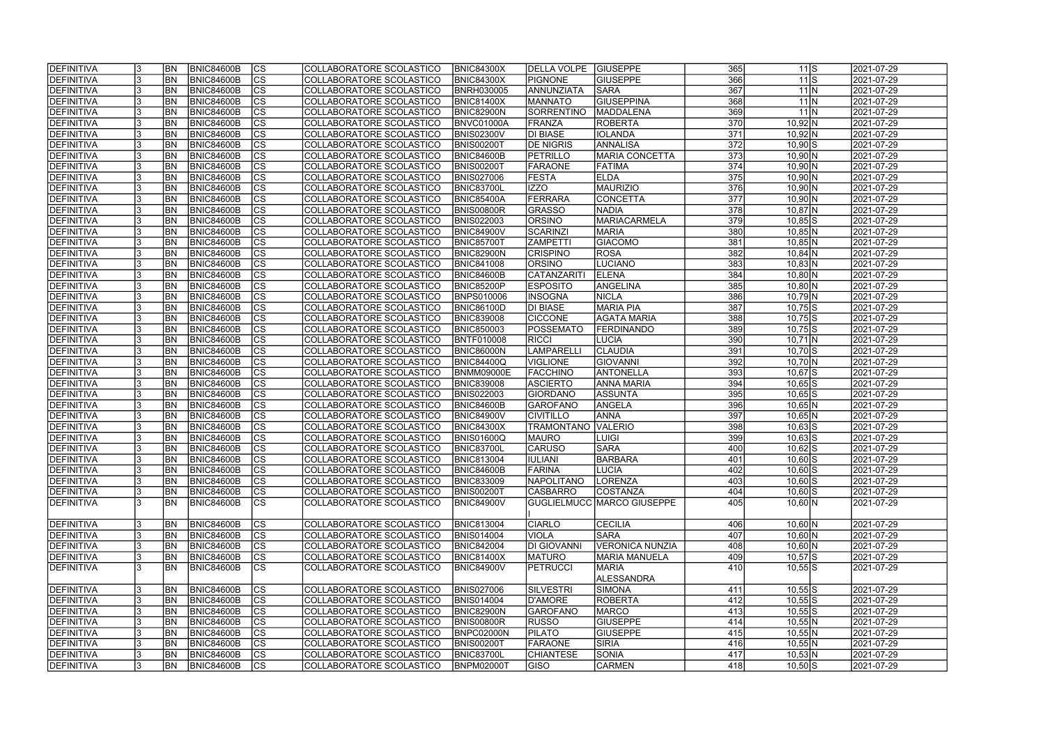| <b>IDEFINITIVA</b>                     | <b>BN</b> | <b>BNIC84600B</b> | <b>CS</b>                | COLLABORATORE SCOLASTICO | <b>BNIC84300X</b> | DELLA VOLPE GIUSEPPE      |                             | 365              | $11$ S               | 2021-07-29 |
|----------------------------------------|-----------|-------------------|--------------------------|--------------------------|-------------------|---------------------------|-----------------------------|------------------|----------------------|------------|
| <b>DEFINITIVA</b>                      | <b>BN</b> | <b>BNIC84600B</b> | cs                       | COLLABORATORE SCOLASTICO | <b>BNIC84300X</b> | PIGNONE                   | <b>GIUSEPPE</b>             | 366              | $11$ S               | 2021-07-29 |
| <b>DEFINITIVA</b>                      | <b>BN</b> | <b>BNIC84600B</b> | cs                       | COLLABORATORE SCOLASTICO | <b>BNRH030005</b> | ANNUNZIATA                | <b>SARA</b>                 | 367              | $11$ N               | 2021-07-29 |
| <b>DEFINITIVA</b>                      | <b>BN</b> | <b>BNIC84600B</b> | $\overline{\text{CS}}$   | COLLABORATORE SCOLASTICO | <b>BNIC81400X</b> | <b>MANNATO</b>            | <b>GIUSEPPINA</b>           | 368              | $11$ N               | 2021-07-29 |
| <b>DEFINITIVA</b>                      | <b>BN</b> | <b>BNIC84600B</b> | $\overline{\text{CS}}$   | COLLABORATORE SCOLASTICO | <b>BNIC82900N</b> | SORRENTINO                | <b>MADDALENA</b>            | 369              | $11$ N               | 2021-07-29 |
| <b>DEFINITIVA</b>                      | <b>BN</b> | <b>BNIC84600B</b> | $\overline{\text{CS}}$   | COLLABORATORE SCOLASTICO | BNVC01000A        | <b>FRANZA</b>             | <b>ROBERTA</b>              | 370              | $10,92$ N            | 2021-07-29 |
| DEFINITIVA                             | <b>BN</b> | <b>BNIC84600B</b> | <b>CS</b>                | COLLABORATORE SCOLASTICO | <b>BNIS02300V</b> | <b>DI BIASE</b>           | <b>IOLANDA</b>              | 371              | $10,92$ N            | 2021-07-29 |
| <b>DEFINITIVA</b>                      | <b>BN</b> | <b>BNIC84600B</b> | $\overline{\text{CS}}$   | COLLABORATORE SCOLASTICO | <b>BNIS00200T</b> | <b>DE NIGRIS</b>          | ANNALISA                    | $\overline{372}$ | $10,90$ S            | 2021-07-29 |
| DEFINITIVA                             | <b>BN</b> | <b>BNIC84600B</b> | <b>CS</b>                | COLLABORATORE SCOLASTICO | BNIC84600B        | PETRILLO                  | <b>MARIA CONCETTA</b>       | 373              | $10,90$ N            | 2021-07-29 |
| <b>DEFINITIVA</b>                      | <b>BN</b> | <b>BNIC84600B</b> | cs                       | COLLABORATORE SCOLASTICO | BNIS00200T        | FARAONE                   | FATIMA                      | 374              | $10,90$ N            | 2021-07-29 |
| <b>DEFINITIVA</b>                      | <b>BN</b> | <b>BNIC84600B</b> | $\overline{\text{CS}}$   | COLLABORATORE SCOLASTICO | <b>BNIS027006</b> | <b>FESTA</b>              | <b>ELDA</b>                 | 375              | $10,90$ N            | 2021-07-29 |
| <b>DEFINITIVA</b>                      | BN        | <b>BNIC84600B</b> | cs                       | COLLABORATORE SCOLASTICO | <b>BNIC83700L</b> | IZZO                      | <b>MAURIZIO</b>             | 376              | $10,90$ N            | 2021-07-29 |
| <b>DEFINITIVA</b>                      | <b>BN</b> | <b>BNIC84600B</b> | cs                       | COLLABORATORE SCOLASTICO | BNIC85400A        | FERRARA                   | CONCETTA                    | 377              | $10,90$ N            | 2021-07-29 |
|                                        | <b>BN</b> |                   | $\overline{\text{CS}}$   |                          |                   | <b>GRASSO</b>             |                             | 378              |                      | 2021-07-29 |
| <b>DEFINITIVA</b>                      |           | <b>BNIC84600B</b> |                          | COLLABORATORE SCOLASTICO | BNIS00800R        |                           | <b>NADIA</b>                |                  | $10,87$ N            |            |
| <b>DEFINITIVA</b>                      | <b>BN</b> | <b>BNIC84600B</b> | $\overline{\text{CS}}$   | COLLABORATORE SCOLASTICO | <b>BNIS022003</b> | <b>ORSINO</b>             | MARIACARMELA                | 379              | $10,85$ S            | 2021-07-29 |
| <b>DEFINITIVA</b>                      | <b>BN</b> | <b>BNIC84600B</b> | CS                       | COLLABORATORE SCOLASTICO | <b>BNIC84900V</b> | SCARINZI                  | <b>MARIA</b>                | 380              | $10,85$ N            | 2021-07-29 |
| DEFINITIVA                             | <b>BN</b> | <b>BNIC84600B</b> | $\overline{\text{CS}}$   | COLLABORATORE SCOLASTICO | <b>BNIC85700T</b> | <b>ZAMPETTI</b>           | <b>GIACOMO</b>              | 381              | $10,85$ N            | 2021-07-29 |
| <b>DEFINITIVA</b>                      | <b>BN</b> | <b>BNIC84600B</b> | CS                       | COLLABORATORE SCOLASTICO | BNIC82900N        | <b>CRISPINO</b>           | <b>ROSA</b>                 | 382              | $10,84$ N            | 2021-07-29 |
| DEFINITIVA                             | BN        | <b>BNIC84600B</b> | CS                       | COLLABORATORE SCOLASTICO | <b>BNIC841008</b> | <b>ORSINO</b>             | LUCIANO                     | 383              | $10,83$ N            | 2021-07-29 |
| <b>DEFINITIVA</b>                      | <b>BN</b> | <b>BNIC84600B</b> | CS                       | COLLABORATORE SCOLASTICO | BNIC84600B        | CATANZARITI               | <b>ELENA</b>                | 384              | $10,80$ N            | 2021-07-29 |
| <b>DEFINITIVA</b>                      | BN        | <b>BNIC84600B</b> | CS                       | COLLABORATORE SCOLASTICO | BNIC85200P        | <b>ESPOSITO</b>           | ANGELINA                    | 385              | $10,80$ N            | 2021-07-29 |
| DEFINITIVA                             | BN        | <b>BNIC84600B</b> | <b>CS</b>                | COLLABORATORE SCOLASTICO | <b>BNPS010006</b> | <b>INSOGNA</b>            | <b>NICLA</b>                | 386              | $10,79$ N            | 2021-07-29 |
| <b>DEFINITIVA</b>                      | <b>BN</b> | <b>BNIC84600B</b> | <b>CS</b>                | COLLABORATORE SCOLASTICO | BNIC86100D        | <b>DI BIASE</b>           | <b>MARIA PIA</b>            | 387              | $10,75$ S            | 2021-07-29 |
| <b>DEFINITIVA</b>                      | <b>BN</b> | <b>BNIC84600B</b> | <b>CS</b>                | COLLABORATORE SCOLASTICO | <b>BNIC839008</b> | <b>CICCONE</b>            | <b>AGATA MARIA</b>          | 388              | $10,75$ S            | 2021-07-29 |
| DEFINITIVA                             | <b>BN</b> | <b>BNIC84600B</b> | <b>CS</b>                | COLLABORATORE SCOLASTICO | <b>BNIC850003</b> | <b>POSSEMATO</b>          | <b>FERDINANDO</b>           | 389              | $10,75$ S            | 2021-07-29 |
| <b>DEFINITIVA</b>                      | <b>BN</b> | <b>BNIC84600B</b> | <b>CS</b>                | COLLABORATORE SCOLASTICO | <b>BNTF010008</b> | RICCI                     | <b>LUCIA</b>                | 390              | $10,71$ N            | 2021-07-29 |
| <b>DEFINITIVA</b>                      | <b>BN</b> | <b>BNIC84600B</b> | lcs                      | COLLABORATORE SCOLASTICO | BNIC86000N        | <b>LAMPARELLI</b>         | <b>CLAUDIA</b>              | 391              | $10,70$ S            | 2021-07-29 |
| <b>DEFINITIVA</b>                      | <b>BN</b> | <b>BNIC84600B</b> | <b>CS</b>                | COLLABORATORE SCOLASTICO | <b>BNIC84400Q</b> | VIGLIONE                  | GIOVANNI                    | 392              | $10,70$ N            | 2021-07-29 |
| <b>DEFINITIVA</b>                      | <b>BN</b> | <b>BNIC84600B</b> | $ \overline{\text{cs}} $ | COLLABORATORE SCOLASTICO | <b>BNMM09000E</b> | <b>FACCHINO</b>           | ANTONELLA                   | 393              | $10,67$ $S$          | 2021-07-29 |
| DEFINITIVA                             | <b>BN</b> | <b>BNIC84600B</b> | lcs                      | COLLABORATORE SCOLASTICO | <b>BNIC839008</b> | <b>ASCIERTO</b>           | <b>ANNA MARIA</b>           | 394              | $10,65$ S            | 2021-07-29 |
| DEFINITIVA                             | <b>BN</b> | <b>BNIC84600B</b> | $ \overline{\text{CS}} $ | COLLABORATORE SCOLASTICO | <b>BNIS022003</b> | GIORDANO                  | <b>ASSUNTA</b>              | 395              | $10,65$ S            | 2021-07-29 |
| DEFINITIVA                             | <b>BN</b> | <b>BNIC84600B</b> | $\overline{\text{CS}}$   | COLLABORATORE SCOLASTICO | BNIC84600B        | <b>GAROFANO</b>           | ANGELA                      | 396              | $10,65$ N            | 2021-07-29 |
| DEFINITIVA                             | <b>BN</b> | <b>BNIC84600B</b> | $\overline{\text{CS}}$   | COLLABORATORE SCOLASTICO | <b>BNIC84900V</b> | <b>CIVITILLO</b>          | <b>ANNA</b>                 | 397              | $10,65$ N            | 2021-07-29 |
| DEFINITIVA                             | BN        | <b>BNIC84600B</b> | $\overline{\text{CS}}$   | COLLABORATORE SCOLASTICO | <b>BNIC84300X</b> | <b>TRAMONTANO VALERIO</b> |                             | 398              | $10,63$ $S$          | 2021-07-29 |
| <b>DEFINITIVA</b>                      | <b>BN</b> | <b>BNIC84600B</b> | $\overline{\text{CS}}$   | COLLABORATORE SCOLASTICO | BNIS01600Q        | <b>MAURO</b>              | <b>LUIGI</b>                | 399              | $10,63$ $S$          | 2021-07-29 |
| <b>DEFINITIVA</b>                      | <b>BN</b> | <b>BNIC84600B</b> | $\overline{\text{CS}}$   | COLLABORATORE SCOLASTICO | <b>BNIC83700L</b> | <b>CARUSO</b>             | <b>SARA</b>                 | 400              | $10,62$ $S$          | 2021-07-29 |
| <b>DEFINITIVA</b>                      | <b>BN</b> | BNIC84600B        | <sub>cs</sub>            | COLLABORATORE SCOLASTICO | <b>BNIC813004</b> | <b>IULIANI</b>            | <b>BARBARA</b>              | 401              | $10,60$ S            | 2021-07-29 |
| DEFINITIVA                             | <b>BN</b> | <b>BNIC84600B</b> | lcs                      | COLLABORATORE SCOLASTICO | <b>BNIC84600B</b> | FARINA                    | <b>LUCIA</b>                | 402              | $\overline{10,60}$ S | 2021-07-29 |
| <b>DEFINITIVA</b>                      | <b>BN</b> | <b>BNIC84600B</b> | <b>CS</b>                | COLLABORATORE SCOLASTICO | <b>BNIC833009</b> | <b>NAPOLITANO</b>         | <b>LORENZA</b>              | 403              | $10,60$ S            | 2021-07-29 |
| <b>DEFINITIVA</b>                      | <b>BN</b> | <b>BNIC84600B</b> | <b>CS</b>                | COLLABORATORE SCOLASTICO | <b>BNIS00200T</b> | <b>CASBARRO</b>           | COSTANZA                    | 404              | $10,60$ S            | 2021-07-29 |
| DEFINITIVA                             | <b>BN</b> | <b>BNIC84600B</b> | <b>CS</b>                | COLLABORATORE SCOLASTICO | <b>BNIC84900V</b> |                           | GUGLIELMUCC  MARCO GIUSEPPE | 405              | $10,60 \, N$         | 2021-07-29 |
|                                        |           |                   |                          |                          |                   |                           |                             |                  |                      |            |
| <b>DEFINITIVA</b>                      | <b>BN</b> | <b>BNIC84600B</b> | <b>CS</b>                | COLLABORATORE SCOLASTICO | <b>BNIC813004</b> | <b>CIARLO</b>             | <b>CECILIA</b>              | 406              | $10,60 \, N$         | 2021-07-29 |
| DEFINITIVA                             | <b>BN</b> | <b>BNIC84600B</b> | CS                       | COLLABORATORE SCOLASTICO | <b>BNIS014004</b> | <b>VIOLA</b>              | <b>SARA</b>                 | 407              | $10,60$ N            | 2021-07-29 |
| DEFINITIVA                             | <b>BN</b> | BNIC84600B        | cs                       | COLLABORATORE SCOLASTICO | <b>BNIC842004</b> | DI GIOVANNI               | <b>VERONICA NUNZIA</b>      | 408              | $10,60$ N            | 2021-07-29 |
| DEFINITIVA                             | <b>BN</b> | <b>BNIC84600B</b> | CS                       | COLLABORATORE SCOLASTICO | <b>BNIC81400X</b> | <b>MATURO</b>             | <b>MARIA MANUELA</b>        | 409              | $10,57$ S            | 2021-07-29 |
| DEFINITIVA                             | <b>BN</b> | BNIC84600B        | <b>CS</b>                | COLLABORATORE SCOLASTICO | <b>BNIC84900V</b> | <b>PETRUCCI</b>           | <b>MARIA</b>                | 410              | $10,55$ S            | 2021-07-29 |
|                                        |           |                   |                          |                          |                   |                           | ALESSANDRA                  |                  |                      |            |
| <b>DEFINITIVA</b>                      | <b>BN</b> | BNIC84600B        | <b>CS</b>                | COLLABORATORE SCOLASTICO | <b>BNIS027006</b> | SILVESTRI                 | SIMONA                      | 411              | $10,55$ S            | 2021-07-29 |
| DEFINITIVA                             | <b>BN</b> | <b>BNIC84600B</b> | cs                       | COLLABORATORE SCOLASTICO | <b>BNIS014004</b> | D'AMORE                   | ROBERTA                     | 412              | $10,55$ S            | 2021-07-29 |
| <b>DEFINITIVA</b>                      | <b>BN</b> | <b>BNIC84600B</b> | <b>CS</b>                | COLLABORATORE SCOLASTICO | <b>BNIC82900N</b> | <b>GAROFANO</b>           | <b>MARCO</b>                | 413              | $10,55$ S            | 2021-07-29 |
| <b>DEFINITIVA</b>                      | BN        | <b>BNIC84600B</b> | CS                       | COLLABORATORE SCOLASTICO | BNIS00800R        | RUSSO                     | <b>GIUSEPPE</b>             | 414              | $10,55$ N            | 2021-07-29 |
|                                        |           | <b>BNIC84600B</b> | CS                       | COLLABORATORE SCOLASTICO | BNPC02000N        | <b>PILATO</b>             | <b>GIUSEPPE</b>             | 415              | $10,55$ N            |            |
| <b>DEFINITIVA</b><br><b>DEFINITIVA</b> | <b>BN</b> |                   |                          |                          |                   |                           |                             |                  |                      | 2021-07-29 |
|                                        | <b>BN</b> | <b>BNIC84600B</b> | <b>CS</b>                | COLLABORATORE SCOLASTICO | <b>BNIS00200T</b> | <b>FARAONE</b>            | SIRIA                       | 416              | $10,55$ N            | 2021-07-29 |
| <b>DEFINITIVA</b>                      | BN        | <b>BNIC84600B</b> | CS                       | COLLABORATORE SCOLASTICO | <b>BNIC83700L</b> | <b>CHIANTESE</b>          | SONIA                       | 417              | $10,53$ N            | 2021-07-29 |
| <b>DEFINITIVA</b>                      | <b>BN</b> | <b>BNIC84600B</b> | CS                       | COLLABORATORE SCOLASTICO | <b>BNPM02000T</b> | <b>GISO</b>               | <b>CARMEN</b>               | 418              | $10,50$ S            | 2021-07-29 |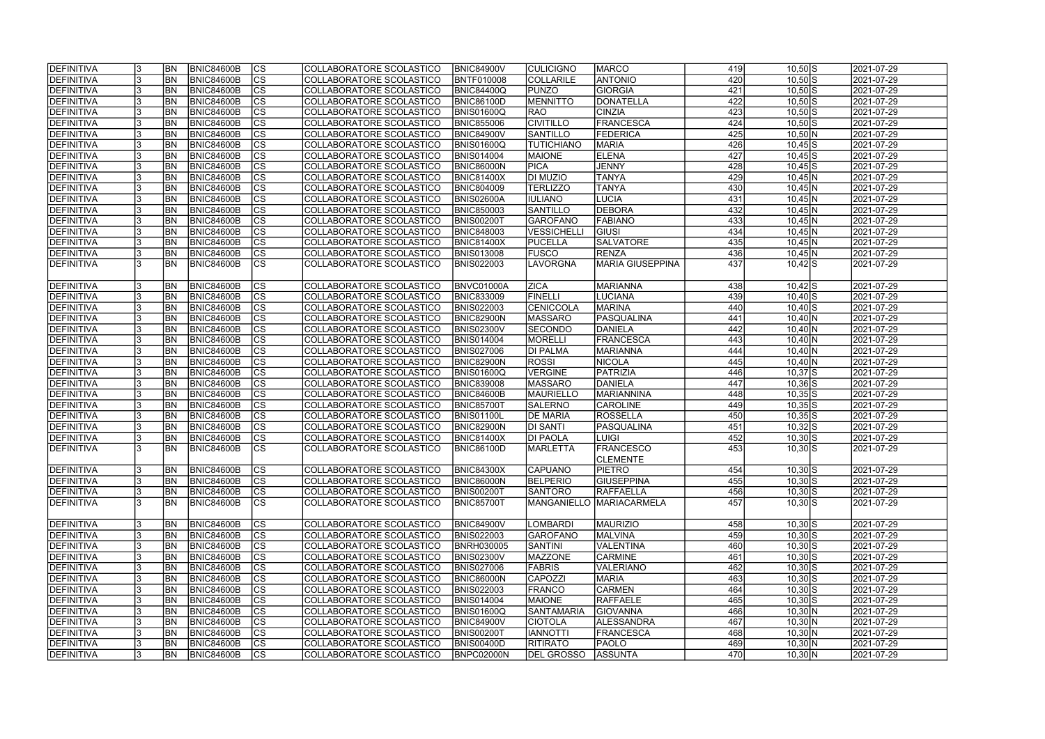| <b>DEFINITIVA</b> |    | <b>BN</b> | BNIC84600B        | <sub>Ics</sub>         | COLLABORATORE SCOLASTICO | <b>BNIC84900V</b> | <b>CULICIGNO</b>  | <b>MARCO</b>             | 419 | $10,50$ S    | 2021-07-29 |
|-------------------|----|-----------|-------------------|------------------------|--------------------------|-------------------|-------------------|--------------------------|-----|--------------|------------|
| DEFINITIVA        |    | <b>BN</b> | <b>BNIC84600B</b> | $\overline{c}$         | COLLABORATORE SCOLASTICO | <b>BNTF010008</b> | COLLARILE         | <b>ANTONIO</b>           | 420 | $10,50$ S    | 2021-07-29 |
| DEFINITIVA        |    | BN        | <b>BNIC84600B</b> | $\overline{c}$         | COLLABORATORE SCOLASTICO | BNIC84400Q        | <b>PUNZO</b>      | <b>GIORGIA</b>           | 421 | $10,50$ S    | 2021-07-29 |
| DEFINITIVA        |    | BN        | <b>BNIC84600B</b> | $\overline{c}$         | COLLABORATORE SCOLASTICO | <b>BNIC86100D</b> | <b>MENNITTO</b>   | DONATELLA                | 422 | $10,50$ S    | 2021-07-29 |
| DEFINITIVA        |    | <b>BN</b> | <b>BNIC84600B</b> | cs                     | COLLABORATORE SCOLASTICO | BNIS01600Q        | <b>RAO</b>        | <b>CINZIA</b>            | 423 | $10,50$ S    | 2021-07-29 |
| DEFINITIVA        |    | BN        | <b>BNIC84600B</b> | cs                     | COLLABORATORE SCOLASTICO | <b>BNIC855006</b> | <b>CIVITILLO</b>  | FRANCESCA                | 424 | $10,50$ S    | 2021-07-29 |
| DEFINITIVA        |    | BN        | <b>BNIC84600B</b> | cs                     | COLLABORATORE SCOLASTICO | <b>BNIC84900V</b> | <b>SANTILLO</b>   | <b>FEDERICA</b>          | 425 | $10,50$ N    | 2021-07-29 |
| DEFINITIVA        |    | <b>BN</b> | <b>BNIC84600B</b> | cs                     | COLLABORATORE SCOLASTICO | <b>BNIS01600Q</b> | <b>TUTICHIANO</b> | <b>MARIA</b>             | 426 | $10,45$ S    | 2021-07-29 |
| DEFINITIVA        |    | <b>BN</b> | <b>BNIC84600B</b> | cs                     | COLLABORATORE SCOLASTICO | <b>BNIS014004</b> | <b>MAIONE</b>     | <b>ELENA</b>             | 427 | $10,45$ S    | 2021-07-29 |
| DEFINITIVA        |    | <b>BN</b> | <b>BNIC84600B</b> | cs                     | COLLABORATORE SCOLASTICO | <b>BNIC86000N</b> | <b>PICA</b>       | JENNY                    | 428 | $10,45$ S    | 2021-07-29 |
| DEFINITIVA        |    | <b>BN</b> | <b>BNIC84600B</b> | cs                     | COLLABORATORE SCOLASTICO | <b>BNIC81400X</b> | <b>DI MUZIO</b>   | <b>TANYA</b>             | 429 | $10,45$ N    | 2021-07-29 |
| DEFINITIVA        |    | <b>BN</b> | <b>BNIC84600B</b> | $ {\rm cs} $           | COLLABORATORE SCOLASTICO | <b>BNIC804009</b> | <b>TERLIZZO</b>   | <b>TANYA</b>             | 430 | $10,45$ N    | 2021-07-29 |
| DEFINITIVA        |    | <b>BN</b> | <b>BNIC84600B</b> | $ {\rm CS} $           | COLLABORATORE SCOLASTICO | BNIS02600A        | <b>IULIANO</b>    | LUCIA                    | 431 | $10,45$ N    | 2021-07-29 |
| DEFINITIVA        |    | <b>BN</b> | <b>BNIC84600B</b> | cs                     | COLLABORATORE SCOLASTICO | <b>BNIC850003</b> | SANTILLO          | <b>DEBORA</b>            | 432 | $10,45$ N    | 2021-07-29 |
| DEFINITIVA        |    | <b>BN</b> | <b>BNIC84600B</b> | cs                     | COLLABORATORE SCOLASTICO | <b>BNIS00200T</b> | GAROFANO          | <b>FABIANO</b>           | 433 | $10,45$ N    | 2021-07-29 |
| DEFINITIVA        |    | <b>BN</b> | <b>BNIC84600B</b> | cs                     | COLLABORATORE SCOLASTICO | <b>BNIC848003</b> | VESSICHELLI       | <b>GIUSI</b>             | 434 | $10,45$ N    | 2021-07-29 |
| DEFINITIVA        |    | <b>BN</b> | <b>BNIC84600B</b> | cs                     | COLLABORATORE SCOLASTICO | <b>BNIC81400X</b> | <b>PUCELLA</b>    | <b>SALVATORE</b>         | 435 | $10,45$ N    | 2021-07-29 |
| DEFINITIVA        |    | <b>BN</b> | <b>BNIC84600B</b> | CS                     | COLLABORATORE SCOLASTICO | <b>BNIS013008</b> | <b>FUSCO</b>      | <b>RENZA</b>             | 436 | $10,45$ N    | 2021-07-29 |
| <b>DEFINITIVA</b> |    | BN        | <b>BNIC84600B</b> | <b>CS</b>              | COLLABORATORE SCOLASTICO | <b>BNIS022003</b> | <b>LAVORGNA</b>   | <b>MARIA GIUSEPPINA</b>  | 437 | $10,42$ S    | 2021-07-29 |
|                   |    |           |                   |                        |                          |                   |                   |                          |     |              |            |
| DEFINITIVA        |    | BN        | <b>BNIC84600B</b> | <sub>Ics</sub>         | COLLABORATORE SCOLASTICO | BNVC01000A        | <b>ZICA</b>       | <b>MARIANNA</b>          | 438 | $10,42$ S    | 2021-07-29 |
| <b>DEFINITIVA</b> |    | BN        | <b>BNIC84600B</b> | $ {\rm cs} $           | COLLABORATORE SCOLASTICO | <b>BNIC833009</b> | FINELLI           | LUCIANA                  | 439 | $10,40$ S    | 2021-07-29 |
| DEFINITIVA        |    | BN        | <b>BNIC84600B</b> | <b>CS</b>              | COLLABORATORE SCOLASTICO | <b>BNIS022003</b> | <b>CENICCOLA</b>  | MARINA                   | 440 | $10,40$ S    | 2021-07-29 |
| DEFINITIVA        |    | <b>BN</b> | <b>BNIC84600B</b> | CS                     | COLLABORATORE SCOLASTICO | BNIC82900N        | <b>MASSARO</b>    | <b>PASQUALINA</b>        | 441 | $10,40$ N    | 2021-07-29 |
| DEFINITIVA        |    | lbn       | <b>BNIC84600B</b> | <sub>lcs</sub>         | COLLABORATORE SCOLASTICO | <b>BNIS02300V</b> | <b>SECONDO</b>    | DANIELA                  | 442 | $10,40$ N    | 2021-07-29 |
| DEFINITIVA        |    | <b>BN</b> | <b>BNIC84600B</b> | $ {\rm cs} $           | COLLABORATORE SCOLASTICO | <b>BNIS014004</b> | <b>MORELLI</b>    | FRANCESCA                | 443 | $10,40$ N    | 2021-07-29 |
| DEFINITIVA        |    | <b>BN</b> | <b>BNIC84600B</b> | cs                     | COLLABORATORE SCOLASTICO | <b>BNIS027006</b> | <b>DI PALMA</b>   | MARIANNA                 | 444 | $10,40$ N    | 2021-07-29 |
| DEFINITIVA        |    | <b>BN</b> | <b>BNIC84600B</b> | $ {\rm cs} $           | COLLABORATORE SCOLASTICO | <b>BNIC82900N</b> | <b>ROSSI</b>      | <b>NICOLA</b>            | 445 | $10,40$ N    | 2021-07-29 |
| DEFINITIVA        |    | <b>BN</b> | <b>BNIC84600B</b> | cs                     | COLLABORATORE SCOLASTICO | <b>BNIS01600Q</b> | VERGINE           | PATRIZIA                 | 446 | $10,37$ S    | 2021-07-29 |
| DEFINITIVA        |    | <b>BN</b> | <b>BNIC84600B</b> | cs                     | COLLABORATORE SCOLASTICO | <b>BNIC839008</b> | <b>MASSARO</b>    | DANIELA                  | 447 | $10,36$ S    | 2021-07-29 |
| DEFINITIVA        |    | <b>BN</b> | <b>BNIC84600B</b> | $\overline{\text{cs}}$ | COLLABORATORE SCOLASTICO | BNIC84600B        | <b>MAURIELLO</b>  | MARIANNINA               | 448 | $10,35$ S    | 2021-07-29 |
| DEFINITIVA        |    | <b>BN</b> | <b>BNIC84600B</b> | cs                     | COLLABORATORE SCOLASTICO | <b>BNIC85700T</b> | <b>SALERNO</b>    | <b>CAROLINE</b>          | 449 | $10,35$ S    | 2021-07-29 |
| DEFINITIVA        |    | <b>BN</b> | <b>BNIC84600B</b> | $\overline{c}$         | COLLABORATORE SCOLASTICO | <b>BNIS01100L</b> | <b>DE MARIA</b>   | <b>ROSSELLA</b>          | 450 | $10,35$ S    | 2021-07-29 |
| DEFINITIVA        |    | <b>BN</b> | <b>BNIC84600B</b> | cs                     | COLLABORATORE SCOLASTICO | <b>BNIC82900N</b> | <b>DI SANTI</b>   | PASQUALINA               | 451 | $10,32$ S    | 2021-07-29 |
| <b>DEFINITIVA</b> |    | <b>BN</b> | <b>BNIC84600B</b> | $\overline{c}$         | COLLABORATORE SCOLASTICO | <b>BNIC81400X</b> | <b>DI PAOLA</b>   | <b>LUIGI</b>             | 452 | $10,30$ S    | 2021-07-29 |
| DEFINITIVA        |    | <b>BN</b> | <b>BNIC84600B</b> | $\overline{\text{cs}}$ | COLLABORATORE SCOLASTICO | <b>BNIC86100D</b> | <b>MARLETTA</b>   | <b>FRANCESCO</b>         | 453 | $10,30$ S    | 2021-07-29 |
|                   |    |           |                   |                        |                          |                   |                   | <b>CLEMENTE</b>          |     |              |            |
| DEFINITIVA        |    | <b>BN</b> | <b>BNIC84600B</b> | ICS                    | COLLABORATORE SCOLASTICO | <b>BNIC84300X</b> | <b>CAPUANO</b>    | <b>PIETRO</b>            | 454 | $10,30$ S    | 2021-07-29 |
| DEFINITIVA        |    | BN        | <b>BNIC84600B</b> | cs                     | COLLABORATORE SCOLASTICO | BNIC86000N        | BELPERIO          | <b>GIUSEPPINA</b>        | 455 | $10,30$ S    | 2021-07-29 |
| DEFINITIVA        |    | BN        | <b>BNIC84600B</b> | CS                     | COLLABORATORE SCOLASTICO | <b>BNIS00200T</b> | <b>SANTORO</b>    | <b>RAFFAELLA</b>         | 456 | $10,30$ S    | 2021-07-29 |
| <b>DEFINITIVA</b> | 13 | <b>BN</b> | <b>BNIC84600B</b> | lcs                    | COLLABORATORE SCOLASTICO | BNIC85700T        |                   | MANGANIELLO MARIACARMELA | 457 | $10,30$ S    | 2021-07-29 |
|                   |    |           |                   |                        |                          |                   |                   |                          |     |              |            |
| DEFINITIVA        |    | <b>BN</b> | <b>BNIC84600B</b> | <sub>Ics</sub>         | COLLABORATORE SCOLASTICO | <b>BNIC84900V</b> | <b>LOMBARDI</b>   | <b>MAURIZIO</b>          | 458 | $10,30$ S    | 2021-07-29 |
| DEFINITIVA        |    | BN        | <b>BNIC84600B</b> | <sub>Ics</sub>         | COLLABORATORE SCOLASTICO | <b>BNIS022003</b> | <b>GAROFANO</b>   | <b>MALVINA</b>           | 459 | $10,30$ S    | 2021-07-29 |
| DEFINITIVA        |    | <b>BN</b> | <b>BNIC84600B</b> | cs                     | COLLABORATORE SCOLASTICO | <b>BNRH030005</b> | <b>SANTINI</b>    | VALENTINA                | 460 | $10,30$ S    | 2021-07-29 |
| DEFINITIVA        |    | <b>BN</b> | <b>BNIC84600B</b> | cs                     | COLLABORATORE SCOLASTICO | <b>BNIS02300V</b> | <b>MAZZONE</b>    | <b>CARMINE</b>           | 461 | $10,30$ S    | 2021-07-29 |
| DEFINITIVA        |    | <b>BN</b> | <b>BNIC84600B</b> | cs                     | COLLABORATORE SCOLASTICO | <b>BNIS027006</b> | <b>FABRIS</b>     | VALERIANO                | 462 | $10,30$ S    | 2021-07-29 |
| DEFINITIVA        |    | <b>BN</b> | <b>BNIC84600B</b> | cs                     | COLLABORATORE SCOLASTICO | <b>BNIC86000N</b> | <b>CAPOZZI</b>    | <b>MARIA</b>             | 463 | $10,30$ S    | 2021-07-29 |
| DEFINITIVA        |    | <b>BN</b> | <b>BNIC84600B</b> | $\overline{c}$         | COLLABORATORE SCOLASTICO | <b>BNIS022003</b> | <b>FRANCO</b>     | <b>CARMEN</b>            | 464 | $10,30$ S    | 2021-07-29 |
| DEFINITIVA        |    | <b>BN</b> | <b>BNIC84600B</b> | cs                     | COLLABORATORE SCOLASTICO | <b>BNIS014004</b> | <b>MAIONE</b>     | RAFFAELE                 | 465 | $10,30$ S    | 2021-07-29 |
| DEFINITIVA        |    | BN        | <b>BNIC84600B</b> | <b>CS</b>              | COLLABORATORE SCOLASTICO | <b>BNIS01600Q</b> | <b>SANTAMARIA</b> | GIOVANNA                 | 466 | $10,30 \, N$ | 2021-07-29 |
| DEFINITIVA        |    | BN        | <b>BNIC84600B</b> | cs                     | COLLABORATORE SCOLASTICO | <b>BNIC84900V</b> | <b>CIOTOLA</b>    | ALESSANDRA               | 467 | $10,30$ N    | 2021-07-29 |
| DEFINITIVA        |    | BN        | <b>BNIC84600B</b> | cs                     | COLLABORATORE SCOLASTICO | <b>BNIS00200T</b> | <b>IANNOTTI</b>   | FRANCESCA                | 468 | $10,30$ N    | 2021-07-29 |
| DEFINITIVA        |    | BN        | <b>BNIC84600B</b> | cs                     | COLLABORATORE SCOLASTICO | <b>BNIS00400D</b> | <b>RITIRATO</b>   | <b>PAOLO</b>             | 469 | $10,30$ N    | 2021-07-29 |
| <b>DEFINITIVA</b> | 13 | BN        | <b>BNIC84600B</b> | cs                     | COLLABORATORE SCOLASTICO | BNPC02000N        | <b>DEL GROSSO</b> | <b>ASSUNTA</b>           | 470 | $10,30$ N    | 2021-07-29 |
|                   |    |           |                   |                        |                          |                   |                   |                          |     |              |            |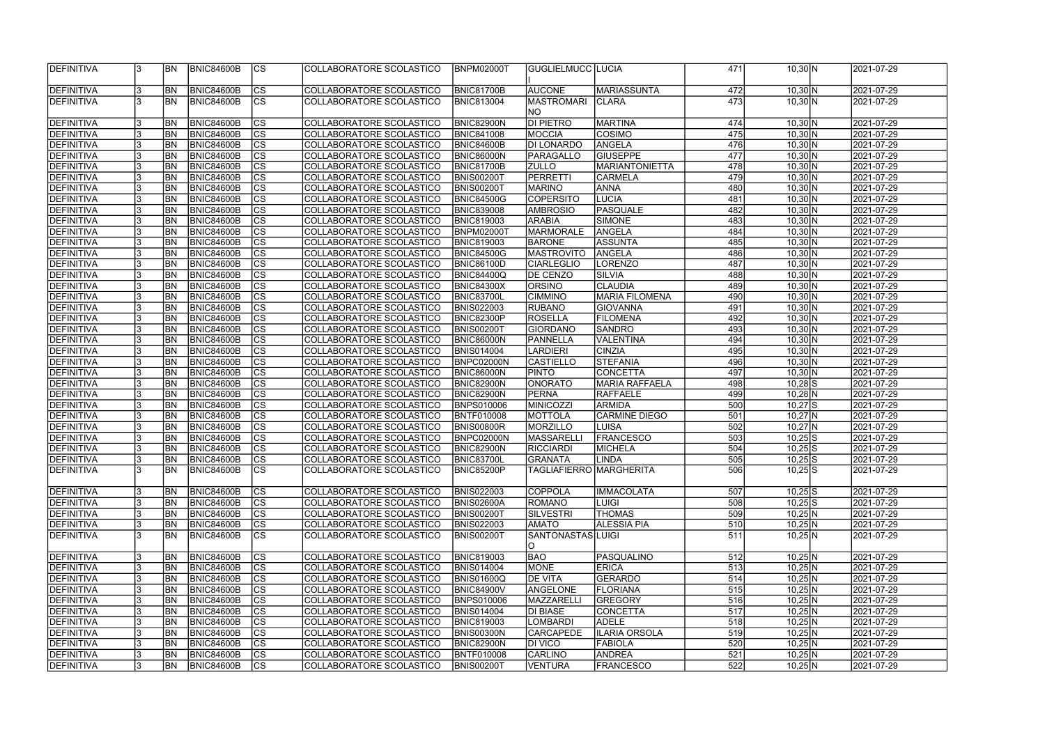| <b>DEFINITIVA</b> |     | IBN.           | BNIC84600B        | lcs                      | COLLABORATORE SCOLASTICO | <b>BNPM02000T</b> | GUGLIELMUCC  LUCIA        |                       | 471 | $10,30$ N    | 2021-07-29 |
|-------------------|-----|----------------|-------------------|--------------------------|--------------------------|-------------------|---------------------------|-----------------------|-----|--------------|------------|
|                   |     |                |                   |                          |                          |                   |                           |                       |     |              |            |
| <b>DEFINITIVA</b> |     | BN             | <b>BNIC84600B</b> | <b>CS</b>                | COLLABORATORE SCOLASTICO | <b>BNIC81700B</b> | <b>AUCONE</b>             | MARIASSUNTA           | 472 | $10,30$ N    | 2021-07-29 |
| <b>DEFINITIVA</b> |     | <b>BN</b>      | <b>BNIC84600B</b> | $\overline{\text{CS}}$   | COLLABORATORE SCOLASTICO | <b>BNIC813004</b> | <b>MASTROMARI</b>         | <b>CLARA</b>          | 473 | $10,30 \, N$ | 2021-07-29 |
|                   |     |                |                   |                          |                          |                   | NO                        |                       |     |              |            |
| <b>DEFINITIVA</b> |     | BN             | <b>BNIC84600B</b> | <b>CS</b>                | COLLABORATORE SCOLASTICO | BNIC82900N        | <b>DI PIETRO</b>          | <b>MARTINA</b>        | 474 | $10,30$ N    | 2021-07-29 |
| <b>DEFINITIVA</b> |     | BN             | <b>BNIC84600B</b> | cs                       | COLLABORATORE SCOLASTICO | <b>BNIC841008</b> | <b>MOCCIA</b>             | <b>COSIMO</b>         | 475 | $10,30$ N    | 2021-07-29 |
| <b>DEFINITIVA</b> |     | BN             | <b>BNIC84600B</b> | $ \overline{\text{cs}} $ | COLLABORATORE SCOLASTICO | <b>BNIC84600B</b> | <b>DI LONARDO</b>         | ANGELA                | 476 | $10,30$ N    | 2021-07-29 |
| <b>DEFINITIVA</b> |     | BN             | <b>BNIC84600B</b> | $\overline{\text{CS}}$   | COLLABORATORE SCOLASTICO | <b>BNIC86000N</b> | PARAGALLO                 | <b>GIUSEPPE</b>       | 477 | $10,30$ N    | 2021-07-29 |
| DEFINITIVA        |     | <b>BN</b>      | <b>BNIC84600B</b> | $ \overline{\text{cs}} $ | COLLABORATORE SCOLASTICO | <b>BNIC81700B</b> | <b>ZULLO</b>              | MARIANTONIETTA        | 478 | 10,30 N      | 2021-07-29 |
| DEFINITIVA        |     | <b>BN</b>      | <b>BNIC84600B</b> | $ \overline{\text{cs}} $ | COLLABORATORE SCOLASTICO | <b>BNIS00200T</b> | PERRETTI                  | <b>CARMELA</b>        | 479 | $10,30$ N    | 2021-07-29 |
| <b>DEFINITIVA</b> |     | <b>BN</b>      | <b>BNIC84600B</b> | $\overline{\text{CS}}$   | COLLABORATORE SCOLASTICO | BNIS00200T        | <b>MARINO</b>             | <b>ANNA</b>           | 480 | $10,30 \, N$ | 2021-07-29 |
| <b>DEFINITIVA</b> |     | <b>BN</b>      | <b>BNIC84600B</b> | $\overline{\text{CS}}$   | COLLABORATORE SCOLASTICO | <b>BNIC84500G</b> | <b>COPERSITO</b>          | <b>LUCIA</b>          | 481 | $10,30$ N    | 2021-07-29 |
| DEFINITIVA        |     | <b>BN</b>      | <b>BNIC84600B</b> | $\overline{\text{CS}}$   | COLLABORATORE SCOLASTICO | <b>BNIC839008</b> | <b>AMBROSIO</b>           | PASQUALE              | 482 | $10,30$ N    | 2021-07-29 |
| DEFINITIVA        |     | <b>BN</b>      | <b>BNIC84600B</b> | $\overline{\text{cs}}$   | COLLABORATORE SCOLASTICO | <b>BNIC819003</b> | <b>ARABIA</b>             | SIMONE                | 483 | 10,30 N      | 2021-07-29 |
| <b>DEFINITIVA</b> |     | <b>BN</b>      | <b>BNIC84600B</b> | $\overline{\text{CS}}$   | COLLABORATORE SCOLASTICO | BNPM02000T        | MARMORALE                 | ANGELA                | 484 | $10,30$ N    | 2021-07-29 |
| <b>DEFINITIVA</b> |     | <b>BN</b>      | <b>BNIC84600B</b> | $\overline{\text{CS}}$   | COLLABORATORE SCOLASTICO | <b>BNIC819003</b> | <b>BARONE</b>             | <b>ASSUNTA</b>        | 485 | $10,30 \, N$ | 2021-07-29 |
| DEFINITIVA        |     | BN             | <b>BNIC84600B</b> | $\overline{\text{CS}}$   | COLLABORATORE SCOLASTICO | <b>BNIC84500G</b> | MASTROVITO                | ANGELA                | 486 | $10,30$ N    | 2021-07-29 |
| DEFINITIVA        |     | <b>BN</b>      | <b>BNIC84600B</b> | $\overline{\text{CS}}$   | COLLABORATORE SCOLASTICO | BNIC86100D        | <b>CIARLEGLIO</b>         | LORENZO               | 487 | $10,30$ N    | 2021-07-29 |
| DEFINITIVA        |     | <b>BN</b>      | <b>BNIC84600B</b> | $\overline{\text{CS}}$   | COLLABORATORE SCOLASTICO | <b>BNIC84400Q</b> | DE CENZO                  | SILVIA                | 488 | $10,30$ N    | 2021-07-29 |
| DEFINITIVA        |     | <b>BN</b>      | <b>BNIC84600B</b> | CS                       | COLLABORATORE SCOLASTICO | <b>BNIC84300X</b> | <b>ORSINO</b>             | <b>CLAUDIA</b>        | 489 | $10,30$ N    | 2021-07-29 |
| DEFINITIVA        |     | <b>BN</b>      | <b>BNIC84600B</b> | $\overline{\text{CS}}$   | COLLABORATORE SCOLASTICO | <b>BNIC83700L</b> | <b>CIMMINO</b>            | <b>MARIA FILOMENA</b> | 490 | $10,30$ N    | 2021-07-29 |
| DEFINITIVA        |     | <b>BN</b>      | <b>BNIC84600B</b> | $\overline{\text{cs}}$   | COLLABORATORE SCOLASTICO | <b>BNIS022003</b> | <b>RUBANO</b>             | <b>GIOVANNA</b>       | 491 | $10,30$ N    | 2021-07-29 |
| <b>DEFINITIVA</b> |     | <b>BN</b>      | <b>BNIC84600B</b> | <b>CS</b>                | COLLABORATORE SCOLASTICO | <b>BNIC82300P</b> | <b>ROSELLA</b>            | <b>FILOMENA</b>       | 492 | $10,30$ N    | 2021-07-29 |
| DEFINITIVA        |     | <b>BN</b>      | <b>BNIC84600B</b> | cs                       | COLLABORATORE SCOLASTICO | <b>BNIS00200T</b> | <b>GIORDANO</b>           | <b>SANDRO</b>         | 493 | $10,30$ N    | 2021-07-29 |
| DEFINITIVA        |     | <b>BN</b>      | <b>BNIC84600B</b> | cs                       | COLLABORATORE SCOLASTICO | BNIC86000N        | PANNELLA                  | VALENTINA             | 494 | $10,30$ N    | 2021-07-29 |
| DEFINITIVA        |     | <b>BN</b>      | <b>BNIC84600B</b> | cs                       | COLLABORATORE SCOLASTICO | <b>BNIS014004</b> | LARDIERI                  | <b>CINZIA</b>         | 495 | $10,30$ N    | 2021-07-29 |
| <b>DEFINITIVA</b> |     | <b>BN</b>      | <b>BNIC84600B</b> | cs                       | COLLABORATORE SCOLASTICO | BNPC02000N        | <b>CASTIELLO</b>          | <b>STEFANIA</b>       | 496 | $10,30$ N    | 2021-07-29 |
| DEFINITIVA        |     | <b>BN</b>      | <b>BNIC84600B</b> | $\overline{\text{CS}}$   | COLLABORATORE SCOLASTICO | BNIC86000N        | <b>PINTO</b>              | <b>CONCETTA</b>       | 497 | $10,30$ N    | 2021-07-29 |
| DEFINITIVA        |     | <b>BN</b>      | <b>BNIC84600B</b> | $\overline{\text{CS}}$   | COLLABORATORE SCOLASTICO | BNIC82900N        | <b>ONORATO</b>            | MARIA RAFFAELA        | 498 | $10,28$ S    | 2021-07-29 |
| DEFINITIVA        |     | <b>BN</b>      | <b>BNIC84600B</b> | $\overline{\text{CS}}$   | COLLABORATORE SCOLASTICO | <b>BNIC82900N</b> | <b>PERNA</b>              | <b>RAFFAELE</b>       | 499 | $10,28$ N    | 2021-07-29 |
| DEFINITIVA        |     | <b>BN</b>      | <b>BNIC84600B</b> | $\overline{\text{CS}}$   | COLLABORATORE SCOLASTICO | <b>BNPS010006</b> | MINICOZZI                 | <b>ARMIDA</b>         | 500 | $10,27$ S    | 2021-07-29 |
| <b>DEFINITIVA</b> |     | <b>BN</b>      | <b>BNIC84600B</b> | $ \overline{\text{CS}} $ | COLLABORATORE SCOLASTICO | <b>BNTF010008</b> | <b>MOTTOLA</b>            | <b>CARMINE DIEGO</b>  | 501 | $10,27$ N    | 2021-07-29 |
| <b>DEFINITIVA</b> |     | BN             | <b>BNIC84600B</b> | $\overline{\text{cs}}$   | COLLABORATORE SCOLASTICO | BNIS00800R        | MORZILLO                  | <b>LUISA</b>          | 502 | $10,27$ N    | 2021-07-29 |
| DEFINITIVA        |     | BN             | <b>BNIC84600B</b> | $\overline{\text{CS}}$   | COLLABORATORE SCOLASTICO | BNPC02000N        | MASSARELL                 | <b>FRANCESCO</b>      | 503 | $10,25$ S    | 2021-07-29 |
| <b>DEFINITIVA</b> |     | <b>BN</b>      | <b>BNIC84600B</b> | $\overline{\text{CS}}$   | COLLABORATORE SCOLASTICO | <b>BNIC82900N</b> | <b>RICCIARDI</b>          | MICHELA               | 504 | $10,25$ S    | 2021-07-29 |
| <b>DEFINITIVA</b> |     | BN             | BNIC84600B        | CS                       | COLLABORATORE SCOLASTICO | <b>BNIC83700L</b> | <b>JGRANATA</b>           | LINDA                 | 505 | $10,25$ S    | 2021-07-29 |
| <b>DEFINITIVA</b> |     | <b>BN</b>      | BNIC84600B        | <b>CS</b>                | COLLABORATORE SCOLASTICO | <b>BNIC85200P</b> | ITAGLIAFIERRO IMARGHERITA |                       | 506 | $10,25$ S    | 2021-07-29 |
|                   |     |                |                   |                          |                          |                   |                           |                       |     |              |            |
| DEFINITIVA        |     | <b>BN</b>      | BNIC84600B        | <b>CS</b>                | COLLABORATORE SCOLASTICO | <b>BNIS022003</b> | <b>COPPOLA</b>            | <b>IMMACOLATA</b>     | 507 | $10,25$ S    | 2021-07-29 |
| <b>DEFINITIVA</b> |     | <b>BN</b>      | <b>BNIC84600B</b> | CS                       | COLLABORATORE SCOLASTICO | <b>BNIS02600A</b> | ROMANO                    | <b>LUIGI</b>          | 508 | $10,25$ S    | 2021-07-29 |
| <b>DEFINITIVA</b> |     | <b>BN</b>      | BNIC84600B        | CS                       | COLLABORATORE SCOLASTICO | <b>BNIS00200T</b> | <b>SILVESTRI</b>          | <b>THOMAS</b>         | 509 | $10,25$ N    | 2021-07-29 |
| DEFINITIVA        |     | <b>BN</b>      | BNIC84600B        | cs                       | COLLABORATORE SCOLASTICO | <b>BNIS022003</b> | <b>AMATO</b>              | <b>ALESSIA PIA</b>    | 510 | $10,25$ N    | 2021-07-29 |
| <b>DEFINITIVA</b> |     | <b>BN</b>      | BNIC84600B        | <b>CS</b>                | COLLABORATORE SCOLASTICO | <b>BNIS00200T</b> | SANTONASTAS LUIGI         |                       | 511 | 10,25 N      | 2021-07-29 |
|                   |     |                |                   |                          |                          |                   | IO.                       |                       |     |              |            |
| DEFINITIVA        |     | <b>BN</b>      | BNIC84600B        | <b>CS</b>                | COLLABORATORE SCOLASTICO | <b>BNIC819003</b> | <b>BAO</b>                | PASQUALINO            | 512 | $10,25$ N    | 2021-07-29 |
| DEFINITIVA        |     | <b>BN</b>      | <b>BNIC84600B</b> | $\overline{\text{CS}}$   | COLLABORATORE SCOLASTICO | <b>BNIS014004</b> | MONE                      | <b>ERICA</b>          | 513 | $10,25$ N    | 2021-07-29 |
| <b>DEFINITIVA</b> |     | <b>BN</b>      | <b>BNIC84600B</b> | cs                       | COLLABORATORE SCOLASTICO | <b>BNIS01600Q</b> | <b>DE VITA</b>            | GERARDO               | 514 | $10,25$ N    | 2021-07-29 |
| <b>DEFINITIVA</b> |     | <b>BN</b>      | <b>BNIC84600B</b> | <b>CS</b>                | COLLABORATORE SCOLASTICO | <b>BNIC84900V</b> | ANGELONE                  | <b>FLORIANA</b>       | 515 | $10,25$ N    | 2021-07-29 |
| <b>DEFINITIVA</b> |     | <b>BN</b>      | <b>BNIC84600B</b> | $\overline{\text{CS}}$   | COLLABORATORE SCOLASTICO | <b>BNPS010006</b> | MAZZARELLI                | <b>GREGORY</b>        | 516 | $10,25$ N    | 2021-07-29 |
| <b>DEFINITIVA</b> |     | BN <sub></sub> | <b>BNIC84600B</b> | $\overline{\text{CS}}$   | COLLABORATORE SCOLASTICO | <b>BNIS014004</b> | <b>DI BIASE</b>           | <b>CONCETTA</b>       | 517 | $10,25$ N    | 2021-07-29 |
| <b>DEFINITIVA</b> |     | BN <sub></sub> | <b>BNIC84600B</b> | CS                       | COLLABORATORE SCOLASTICO | <b>BNIC819003</b> | <b>LOMBARDI</b>           | <b>ADELE</b>          | 518 | $10,25$ N    | 2021-07-29 |
| <b>DEFINITIVA</b> |     | <b>BN</b>      | <b>BNIC84600B</b> | <b>CS</b>                | COLLABORATORE SCOLASTICO | <b>BNIS00300N</b> | <b>CARCAPEDE</b>          | <b>ILARIA ORSOLA</b>  | 519 | $10,25$ N    | 2021-07-29 |
| <b>DEFINITIVA</b> |     | <b>BN</b>      | <b>BNIC84600B</b> | <b>CS</b>                | COLLABORATORE SCOLASTICO | <b>BNIC82900N</b> | <b>DI VICO</b>            | <b>FABIOLA</b>        | 520 | $10,25$ N    | 2021-07-29 |
| DEFINITIVA        |     | <b>BN</b>      | <b>BNIC84600B</b> | CS                       | COLLABORATORE SCOLASTICO | <b>BNTF010008</b> | <b>CARLINO</b>            | <b>ANDREA</b>         | 521 | $10,25$ N    | 2021-07-29 |
| DEFINITIVA        |     | <b>BN</b>      |                   | <sub>lcs</sub>           | COLLABORATORE SCOLASTICO |                   |                           | <b>FRANCESCO</b>      | 522 |              |            |
|                   | 13. |                | <b>BNIC84600B</b> |                          |                          | <b>BNIS00200T</b> | VENTURA                   |                       |     | $10,25$ N    | 2021-07-29 |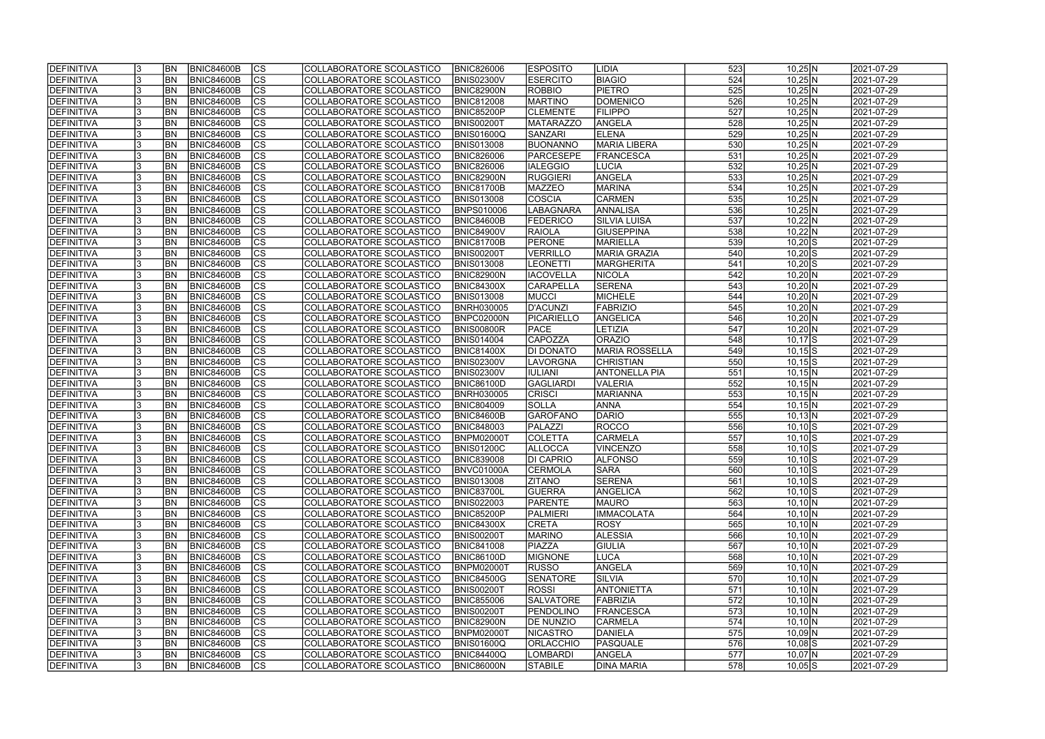| <b>IDEFINITIVA</b> | <b>BN</b> | <b>BNIC84600B</b> | <b>CS</b>                | COLLABORATORE SCOLASTICO | <b>BNIC826006</b> | <b>IESPOSITO</b> | <b>LIDIA</b>          | 523              | $10,25$ N            | 2021-07-29 |
|--------------------|-----------|-------------------|--------------------------|--------------------------|-------------------|------------------|-----------------------|------------------|----------------------|------------|
| <b>DEFINITIVA</b>  | <b>BN</b> | <b>BNIC84600B</b> | $\overline{\text{CS}}$   | COLLABORATORE SCOLASTICO | <b>BNIS02300V</b> | <b>ESERCITO</b>  | <b>BIAGIO</b>         | 524              | $10,25$ N            | 2021-07-29 |
| <b>DEFINITIVA</b>  | <b>BN</b> | <b>BNIC84600B</b> | cs                       | COLLABORATORE SCOLASTICO | <b>BNIC82900N</b> | <b>ROBBIO</b>    | <b>PIETRO</b>         | 525              | $10,25$ N            | 2021-07-29 |
| <b>DEFINITIVA</b>  | <b>BN</b> | <b>BNIC84600B</b> | $\overline{\text{CS}}$   | COLLABORATORE SCOLASTICO | <b>BNIC812008</b> | <b>MARTINO</b>   | <b>DOMENICO</b>       | 526              | $10,25$ N            | 2021-07-29 |
| DEFINITIVA         | <b>BN</b> | <b>BNIC84600B</b> | $\overline{\text{CS}}$   | COLLABORATORE SCOLASTICO | <b>BNIC85200P</b> | <b>CLEMENTE</b>  | <b>FILIPPO</b>        | $\overline{527}$ | $10,25$ N            | 2021-07-29 |
| <b>DEFINITIVA</b>  | <b>BN</b> | <b>BNIC84600B</b> | $\overline{\text{CS}}$   | COLLABORATORE SCOLASTICO | BNIS00200T        | <b>MATARAZZO</b> | ANGELA                | 528              | $10,25$ N            | 2021-07-29 |
| DEFINITIVA         | <b>BN</b> | <b>BNIC84600B</b> | <b>CS</b>                | COLLABORATORE SCOLASTICO | BNIS01600Q        | <b>SANZARI</b>   | <b>ELENA</b>          | 529              | $10,25$ N            | 2021-07-29 |
| <b>DEFINITIVA</b>  | <b>BN</b> | <b>BNIC84600B</b> | $\overline{\text{CS}}$   | COLLABORATORE SCOLASTICO | <b>BNIS013008</b> | BUONANNO         | <b>MARIA LIBERA</b>   | 530              | $10,25$ N            | 2021-07-29 |
| DEFINITIVA         | <b>BN</b> | <b>BNIC84600B</b> | <b>CS</b>                | COLLABORATORE SCOLASTICO | <b>BNIC826006</b> | <b>PARCESEPE</b> | FRANCESCA             | 531              | $10,25$ N            | 2021-07-29 |
| <b>DEFINITIVA</b>  | <b>BN</b> | <b>BNIC84600B</b> | cs                       | COLLABORATORE SCOLASTICO | <b>BNIC826006</b> | <b>IALEGGIO</b>  | <b>LUCIA</b>          | 532              | $10,25$ N            | 2021-07-29 |
| <b>DEFINITIVA</b>  | <b>BN</b> | <b>BNIC84600B</b> | <b>CS</b>                | COLLABORATORE SCOLASTICO | BNIC82900N        | <b>RUGGIERI</b>  | ANGELA                | 533              | $10,25$ N            | 2021-07-29 |
| <b>DEFINITIVA</b>  | BN        | <b>BNIC84600B</b> | cs                       | COLLABORATORE SCOLASTICO | BNIC81700B        | <b>MAZZEO</b>    | <b>MARINA</b>         | 534              | $10,25$ N            | 2021-07-29 |
| <b>DEFINITIVA</b>  | <b>BN</b> | <b>BNIC84600B</b> | cs                       | COLLABORATORE SCOLASTICO | <b>BNIS013008</b> | <b>COSCIA</b>    | <b>CARMEN</b>         | 535              | $10,25$ N            | 2021-07-29 |
| <b>DEFINITIVA</b>  | <b>BN</b> | <b>BNIC84600B</b> | $\overline{\text{CS}}$   | COLLABORATORE SCOLASTICO | <b>BNPS010006</b> | LABAGNARA        | ANNALISA              | 536              | $10,25$ N            | 2021-07-29 |
| <b>DEFINITIVA</b>  | <b>BN</b> | <b>BNIC84600B</b> | $\overline{\text{CS}}$   | COLLABORATORE SCOLASTICO | BNIC84600B        | <b>FEDERICO</b>  | SILVIA LUISA          | 537              | $10,22$ N            | 2021-07-29 |
| <b>DEFINITIVA</b>  | <b>BN</b> | <b>BNIC84600B</b> | CS                       | COLLABORATORE SCOLASTICO | <b>BNIC84900V</b> | <b>RAIOLA</b>    | GIUSEPPINA            | 538              | $10,22$ N            | 2021-07-29 |
| <b>DEFINITIVA</b>  | <b>BN</b> | <b>BNIC84600B</b> | $\overline{\text{CS}}$   | COLLABORATORE SCOLASTICO | <b>BNIC81700B</b> | PERONE           | MARIELLA              | 539              | $10,20$ S            | 2021-07-29 |
| <b>DEFINITIVA</b>  | <b>BN</b> | <b>BNIC84600B</b> | CS                       | COLLABORATORE SCOLASTICO | BNIS00200T        | VERRILLO         | <b>MARIA GRAZIA</b>   | 540              | $10,20$ S            | 2021-07-29 |
| DEFINITIVA         | BN        | <b>BNIC84600B</b> | CS                       | COLLABORATORE SCOLASTICO | <b>BNIS013008</b> | <b>LEONETTI</b>  | <b>MARGHERITA</b>     | 541              | $10,20$ S            | 2021-07-29 |
| <b>DEFINITIVA</b>  | <b>BN</b> | <b>BNIC84600B</b> | CS                       | COLLABORATORE SCOLASTICO | BNIC82900N        | <b>IACOVELLA</b> | <b>NICOLA</b>         | 542              | $10,20$ N            | 2021-07-29 |
| <b>DEFINITIVA</b>  | BN        | <b>BNIC84600B</b> | CS                       | COLLABORATORE SCOLASTICO | <b>BNIC84300X</b> | CARAPELLA        | <b>SERENA</b>         | 543              | $10,20$ N            | 2021-07-29 |
| DEFINITIVA         | <b>BN</b> | <b>BNIC84600B</b> | CS                       | COLLABORATORE SCOLASTICO | <b>BNIS013008</b> | <b>MUCCI</b>     | <b>MICHELE</b>        | 544              | $10,20 \, N$         | 2021-07-29 |
| <b>DEFINITIVA</b>  | <b>BN</b> | <b>BNIC84600B</b> | <b>CS</b>                | COLLABORATORE SCOLASTICO | <b>BNRH030005</b> | D'ACUNZI         | FABRIZIO              | 545              | $10,20$ N            | 2021-07-29 |
| DEFINITIVA         | <b>BN</b> | <b>BNIC84600B</b> | <b>CS</b>                | COLLABORATORE SCOLASTICO | BNPC02000N        | PICARIELLO       | ANGELICA              | 546              | $10,20$ N            | 2021-07-29 |
| DEFINITIVA         | <b>BN</b> | <b>BNIC84600B</b> | <b>CS</b>                | COLLABORATORE SCOLASTICO | BNIS00800R        | <b>PACE</b>      | LETIZIA               | 547              | $10,20$ N            | 2021-07-29 |
| <b>DEFINITIVA</b>  | <b>BN</b> | <b>BNIC84600B</b> | <b>CS</b>                | COLLABORATORE SCOLASTICO | <b>BNIS014004</b> | <b>CAPOZZA</b>   | <b>ORAZIO</b>         | 548              | $10,17$ $S$          | 2021-07-29 |
| <b>DEFINITIVA</b>  | <b>BN</b> | <b>BNIC84600B</b> | lcs                      | COLLABORATORE SCOLASTICO | <b>BNIC81400X</b> | <b>DI DONATO</b> | <b>MARIA ROSSELLA</b> | 549              | $10,15$ S            | 2021-07-29 |
| <b>DEFINITIVA</b>  | <b>BN</b> | <b>BNIC84600B</b> | <b>CS</b>                | COLLABORATORE SCOLASTICO | <b>BNIS02300V</b> | LAVORGNA         | <b>CHRISTIAN</b>      | 550              | $10,15$ $S$          | 2021-07-29 |
| <b>DEFINITIVA</b>  | <b>BN</b> | <b>BNIC84600B</b> | $ \overline{\text{cs}} $ | COLLABORATORE SCOLASTICO | <b>BNIS02300V</b> | <b>IULIANI</b>   | <b>ANTONELLA PIA</b>  | 551              | $10,15 \overline{N}$ | 2021-07-29 |
| DEFINITIVA         | <b>BN</b> | <b>BNIC84600B</b> | lcs                      | COLLABORATORE SCOLASTICO | <b>BNIC86100D</b> | <b>GAGLIARDI</b> | <b>VALERIA</b>        | 552              | $10,15$ N            | 2021-07-29 |
| DEFINITIVA         | <b>BN</b> | <b>BNIC84600B</b> | $ \overline{\text{CS}} $ | COLLABORATORE SCOLASTICO | <b>BNRH030005</b> | <b>CRISCI</b>    | MARIANNA              | 553              | $10,15$ N            | 2021-07-29 |
| DEFINITIVA         | <b>BN</b> | <b>BNIC84600B</b> | <b>CS</b>                | COLLABORATORE SCOLASTICO | <b>BNIC804009</b> | <b>SOLLA</b>     | <b>ANNA</b>           | 554              | $10,15$ N            | 2021-07-29 |
| DEFINITIVA         | <b>BN</b> | <b>BNIC84600B</b> | $\overline{\text{CS}}$   | COLLABORATORE SCOLASTICO | <b>BNIC84600B</b> | <b>GAROFANO</b>  | DARIO                 | 555              | $10,13$ N            | 2021-07-29 |
| DEFINITIVA         | BN        | <b>BNIC84600B</b> | <b>CS</b>                | COLLABORATORE SCOLASTICO | <b>BNIC848003</b> | PALAZZI          | ROCCO                 | 556              | $10,10$ S            | 2021-07-29 |
| <b>DEFINITIVA</b>  | <b>BN</b> | <b>BNIC84600B</b> | $\overline{\text{CS}}$   | COLLABORATORE SCOLASTICO | BNPM02000T        | <b>COLETTA</b>   | <b>CARMELA</b>        | $\overline{557}$ | $10,10$ S            | 2021-07-29 |
| DEFINITIVA         | <b>BN</b> | <b>BNIC84600B</b> | $\overline{\text{CS}}$   | COLLABORATORE SCOLASTICO | <b>BNIS01200C</b> | <b>ALLOCCA</b>   | <b>VINCENZO</b>       | 558              | $10,10$ S            | 2021-07-29 |
| <b>DEFINITIVA</b>  | <b>BN</b> | BNIC84600B        | $ {\rm cs}$              | COLLABORATORE SCOLASTICO | <b>BNIC839008</b> | <b>DI CAPRIO</b> | <b>ALFONSO</b>        |                  | $10,10$ S            | 2021-07-29 |
| DEFINITIVA         | <b>BN</b> | <b>BNIC84600B</b> | lcs                      | COLLABORATORE SCOLASTICO | BNVC01000A        | <b>CERMOLA</b>   | <b>SARA</b>           | 5591<br>560      | $10,10$ S            | 2021-07-29 |
| <b>DEFINITIVA</b>  | <b>BN</b> | <b>BNIC84600B</b> | CS                       | COLLABORATORE SCOLASTICO | <b>BNIS013008</b> | <b>ZITANO</b>    | <b>SERENA</b>         | 561              | $10,10$ S            | 2021-07-29 |
| <b>DEFINITIVA</b>  | <b>BN</b> | <b>BNIC84600B</b> | <b>CS</b>                | COLLABORATORE SCOLASTICO | <b>BNIC83700L</b> | <b>GUERRA</b>    | <b>ANGELICA</b>       | 562              | $10,10$ S            | 2021-07-29 |
| <b>DEFINITIVA</b>  | <b>BN</b> | <b>BNIC84600B</b> | <b>CS</b>                | COLLABORATORE SCOLASTICO | <b>BNIS022003</b> | <b>PARENTE</b>   | <b>MAURO</b>          | 563              | $10,10 \, N$         | 2021-07-29 |
| <b>DEFINITIVA</b>  | <b>BN</b> | <b>BNIC84600B</b> | CS                       | COLLABORATORE SCOLASTICO | <b>BNIC85200P</b> | PALMIERI         | <b>IMMACOLATA</b>     | 564              | $10,10 \, N$         | 2021-07-29 |
| DEFINITIVA         | <b>BN</b> | <b>BNIC84600B</b> | CS                       | COLLABORATORE SCOLASTICO | <b>BNIC84300X</b> | <b>CRETA</b>     | ROSY                  | 565              | $10,10 \, N$         | 2021-07-29 |
| DEFINITIVA         | <b>BN</b> | <b>BNIC84600B</b> | <b>CS</b>                | COLLABORATORE SCOLASTICO | <b>BNIS00200T</b> | <b>MARINO</b>    | <b>ALESSIA</b>        | 566              | $10,10 \, N$         | 2021-07-29 |
| <b>DEFINITIVA</b>  | <b>BN</b> | BNIC84600B        | cs                       | COLLABORATORE SCOLASTICO | <b>BNIC841008</b> | PIAZZA           | GIULIA                | 567              | $10,10 \, N$         | 2021-07-29 |
| <b>DEFINITIVA</b>  | <b>BN</b> | BNIC84600B        | CS                       | COLLABORATORE SCOLASTICO | <b>BNIC86100D</b> | <b>MIGNONE</b>   | LUCA                  | 568              | $10,10 \, N$         | 2021-07-29 |
| <b>DEFINITIVA</b>  | <b>BN</b> | <b>BNIC84600B</b> | CS                       | COLLABORATORE SCOLASTICO | <b>BNPM02000T</b> | <b>RUSSO</b>     | ANGELA                | 569              | $10,10$ N            | 2021-07-29 |
| <b>DEFINITIVA</b>  | <b>BN</b> | <b>BNIC84600B</b> | <b>CS</b>                | COLLABORATORE SCOLASTICO | <b>BNIC84500G</b> | <b>SENATORE</b>  | <b>SILVIA</b>         | 570              | $10,10$ N            | 2021-07-29 |
| <b>DEFINITIVA</b>  | <b>BN</b> | <b>BNIC84600B</b> | <b>CS</b>                | COLLABORATORE SCOLASTICO | <b>BNIS00200T</b> | <b>ROSSI</b>     | <b>ANTONIETTA</b>     | 571              | $10,10 \, N$         | 2021-07-29 |
| <b>DEFINITIVA</b>  | <b>BN</b> | <b>BNIC84600B</b> | $\overline{\text{CS}}$   | COLLABORATORE SCOLASTICO | <b>BNIC855006</b> | <b>SALVATORE</b> | FABRIZIA              | 572              | $10,10 \, N$         | 2021-07-29 |
| <b>DEFINITIVA</b>  | <b>BN</b> | <b>BNIC84600B</b> | <b>CS</b>                | COLLABORATORE SCOLASTICO | <b>BNIS00200T</b> | PENDOLINO        | FRANCESCA             | 573              | $10,10$ N            | 2021-07-29 |
| <b>DEFINITIVA</b>  | <b>BN</b> | <b>BNIC84600B</b> | CS                       | COLLABORATORE SCOLASTICO | <b>BNIC82900N</b> | <b>DE NUNZIO</b> | <b>CARMELA</b>        | 574              | $10,10 \, N$         | 2021-07-29 |
| <b>DEFINITIVA</b>  | IBN       | <b>BNIC84600B</b> | CS                       | COLLABORATORE SCOLASTICO | <b>BNPM02000T</b> | <b>NICASTRO</b>  | DANIELA               | 575              | $10,09$ N            | 2021-07-29 |
| <b>DEFINITIVA</b>  | IBN       | <b>BNIC84600B</b> | <b>CS</b>                | COLLABORATORE SCOLASTICO | <b>BNIS01600Q</b> | <b>ORLACCHIO</b> | <b>PASQUALE</b>       | 576              | $10,08$ S            | 2021-07-29 |
| <b>DEFINITIVA</b>  | IBN       | <b>BNIC84600B</b> | CS                       | COLLABORATORE SCOLASTICO | <b>BNIC84400Q</b> | <b>LOMBARDI</b>  | ANGELA                | 577              | $10,07$ N            | 2021-07-29 |
| <b>DEFINITIVA</b>  | <b>BN</b> | <b>BNIC84600B</b> | CS                       | COLLABORATORE SCOLASTICO | <b>BNIC86000N</b> | <b>STABILE</b>   | <b>DINA MARIA</b>     | 578              | $10,05$ S            | 2021-07-29 |
|                    |           |                   |                          |                          |                   |                  |                       |                  |                      |            |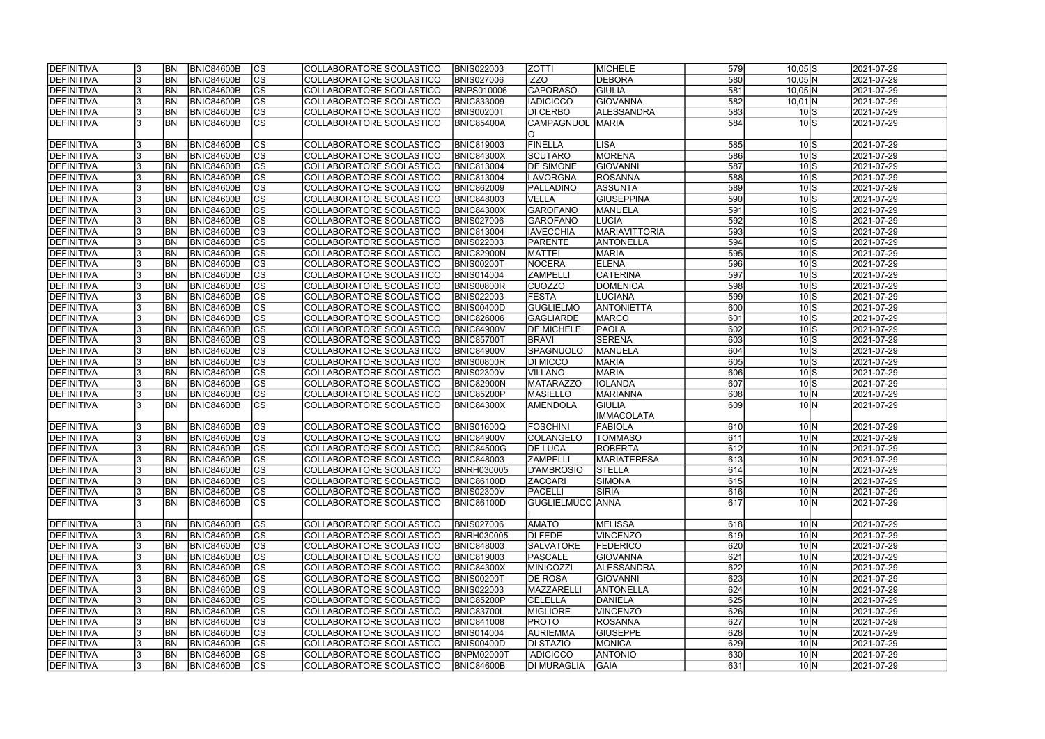| DEFINITIVA        |     | <b>BN</b> | <b>BNIC84600B</b> | <b>CS</b>                | COLLABORATORE SCOLASTICO | <b>BNIS022003</b> | <b>ZOTTI</b>            | MICHELE              | 579        | $10,05$ S                             | 2021-07-29 |
|-------------------|-----|-----------|-------------------|--------------------------|--------------------------|-------------------|-------------------------|----------------------|------------|---------------------------------------|------------|
| DEFINITIVA        |     | <b>BN</b> | <b>BNIC84600B</b> | cs                       | COLLABORATORE SCOLASTICO | <b>BNIS027006</b> | <b>IZZO</b>             | <b>DEBORA</b>        | 580        | $10,05$ N                             | 2021-07-29 |
| DEFINITIVA        |     | BN        | <b>BNIC84600B</b> | $\overline{\text{cs}}$   | COLLABORATORE SCOLASTICO | BNPS010006        | <b>CAPORASO</b>         | GIULIA               | 581        | $10,05$ N                             | 2021-07-29 |
| DEFINITIVA        |     | BN        | BNIC84600B        | cs                       | COLLABORATORE SCOLASTICO | <b>BNIC833009</b> | <b>IADICICCO</b>        | GIOVANNA             | 582        | $10,01$ N                             | 2021-07-29 |
| DEFINITIVA        |     | BN        | <b>BNIC84600B</b> | cs                       | COLLABORATORE SCOLASTICO | BNIS00200T        | DI CERBO                | ALESSANDRA           | 583        | $10\text{S}$                          | 2021-07-29 |
| DEFINITIVA        |     | <b>BN</b> | BNIC84600B        | $\overline{\text{CS}}$   | COLLABORATORE SCOLASTICO | <b>BNIC85400A</b> | CAMPAGNUOL              | <b>MARIA</b>         | 584        | $10\text{S}$                          | 2021-07-29 |
|                   |     |           |                   |                          |                          |                   | O                       |                      |            |                                       |            |
| DEFINITIVA        |     | <b>BN</b> | BNIC84600B        | <b>CS</b>                | COLLABORATORE SCOLASTICO | <b>BNIC819003</b> | <b>FINELLA</b>          | <b>LISA</b>          | 585        | $10\text{S}$                          | 2021-07-29 |
| DEFINITIVA        |     | BN        | <b>BNIC84600B</b> | cs                       | COLLABORATORE SCOLASTICO | <b>BNIC84300X</b> | <b>SCUTARO</b>          | <b>MORENA</b>        | 586        | $10\text{S}$                          | 2021-07-29 |
| DEFINITIVA        |     | <b>BN</b> | <b>BNIC84600B</b> | cs                       | COLLABORATORE SCOLASTICO | <b>BNIC813004</b> | <b>DE SIMONE</b>        | <b>GIOVANNI</b>      | 587        | $10\text{S}$                          | 2021-07-29 |
| DEFINITIVA        |     | <b>BN</b> | BNIC84600B        | $ \mathsf{CS} $          | COLLABORATORE SCOLASTICO | <b>BNIC813004</b> | <b>LAVORGNA</b>         | <b>ROSANNA</b>       | 588        | $10\text{S}$                          | 2021-07-29 |
| DEFINITIVA        |     | <b>BN</b> | <b>BNIC84600B</b> | $\overline{\text{cs}}$   | COLLABORATORE SCOLASTICO | <b>BNIC862009</b> | PALLADINO               | <b>ASSUNTA</b>       | 589        | $10\overline{\text{S}}$               | 2021-07-29 |
| DEFINITIVA        |     | <b>BN</b> | <b>BNIC84600B</b> | $\overline{\text{cs}}$   | COLLABORATORE SCOLASTICO | <b>BNIC848003</b> | <b>VELLA</b>            | <b>GIUSEPPINA</b>    | 590        | $10\overline{\smash{\big)}\mathrm{s}$ | 2021-07-29 |
| DEFINITIVA        |     | <b>BN</b> | <b>BNIC84600B</b> | $ \mathsf{CS} $          | COLLABORATORE SCOLASTICO | <b>BNIC84300X</b> | GAROFANO                | MANUELA              | 591        | $10\overline{\text{S}}$               | 2021-07-29 |
|                   |     |           |                   | $ \overline{\text{cs}} $ |                          |                   |                         | <b>LUCIA</b>         | 592        |                                       |            |
| DEFINITIVA        |     | <b>BN</b> | <b>BNIC84600B</b> |                          | COLLABORATORE SCOLASTICO | <b>BNIS027006</b> | <b>GAROFANO</b>         |                      |            | $10\text{S}$                          | 2021-07-29 |
| DEFINITIVA        |     | <b>BN</b> | BNIC84600B        | $ \mathsf{CS} $          | COLLABORATORE SCOLASTICO | <b>BNIC813004</b> | <b>IAVECCHIA</b>        | <b>MARIAVITTORIA</b> | 593        | $10\text{S}$                          | 2021-07-29 |
| DEFINITIVA        |     | BN        | BNIC84600B        | $ \mathsf{CS} $          | COLLABORATORE SCOLASTICO | <b>BNIS022003</b> | <b>PARENTE</b>          | ANTONELLA            | 594        | $10\text{S}$                          | 2021-07-29 |
| DEFINITIVA        |     | BN        | <b>BNIC84600B</b> | cs                       | COLLABORATORE SCOLASTICO | <b>BNIC82900N</b> | <b>MATTEI</b>           | <b>MARIA</b>         | 595        | $10\text{S}$                          | 2021-07-29 |
| DEFINITIVA        |     | BN        | BNIC84600B        | $ \mathsf{CS} $          | COLLABORATORE SCOLASTICO | <b>BNIS00200T</b> | <b>NOCERA</b>           | <b>ELENA</b>         | 596        | $10\text{S}$                          | 2021-07-29 |
| DEFINITIVA        |     | BN        | BNIC84600B        | cs                       | COLLABORATORE SCOLASTICO | <b>BNIS014004</b> | <b>ZAMPELLI</b>         | <b>CATERINA</b>      | 597        | $10\text{S}$                          | 2021-07-29 |
| <b>DEFINITIVA</b> |     | <b>BN</b> | <b>BNIC84600B</b> | <b>CS</b>                | COLLABORATORE SCOLASTICO | <b>BNIS00800R</b> | <b>CUOZZO</b>           | <b>DOMENICA</b>      | 598        | $10\text{S}$                          | 2021-07-29 |
| DEFINITIVA        |     | <b>BN</b> | <b>BNIC84600B</b> | cs                       | COLLABORATORE SCOLASTICO | <b>BNIS022003</b> | <b>FESTA</b>            | LUCIANA              | 599        | $10\text{S}$                          | 2021-07-29 |
| DEFINITIVA        |     | <b>BN</b> | <b>BNIC84600B</b> | <b>CS</b>                | COLLABORATORE SCOLASTICO | <b>BNIS00400D</b> | <b>GUGLIELMO</b>        | <b>ANTONIETTA</b>    | 600        | $10\text{S}$                          | 2021-07-29 |
| DEFINITIVA        |     | <b>BN</b> | <b>BNIC84600B</b> | cs                       | COLLABORATORE SCOLASTICO | <b>BNIC826006</b> | <b>GAGLIARDE</b>        | <b>MARCO</b>         | 601        | $10\text{S}$                          | 2021-07-29 |
| DEFINITIVA        |     | <b>BN</b> | <b>BNIC84600B</b> | <b>CS</b>                | COLLABORATORE SCOLASTICO | <b>BNIC84900V</b> | <b>DE MICHELE</b>       | <b>PAOLA</b>         | 602        | $10\text{S}$                          | 2021-07-29 |
| DEFINITIVA        |     | <b>BN</b> | <b>BNIC84600B</b> | cs                       | COLLABORATORE SCOLASTICO | <b>BNIC85700T</b> | <b>BRAVI</b>            | <b>SERENA</b>        | 603        | $10\text{S}$                          | 2021-07-29 |
| DEFINITIVA        |     | <b>BN</b> | <b>BNIC84600B</b> | cs                       | COLLABORATORE SCOLASTICO | <b>BNIC84900V</b> | <b>SPAGNUOLO</b>        | MANUELA              | 604        | $10\text{S}$                          | 2021-07-29 |
| DEFINITIVA        |     | <b>BN</b> | <b>BNIC84600B</b> | cs                       | COLLABORATORE SCOLASTICO | <b>BNIS00800R</b> | <b>DI MICCO</b>         | <b>MARIA</b>         | 605        | $10\text{S}$                          | 2021-07-29 |
| DEFINITIVA        |     | <b>BN</b> | <b>BNIC84600B</b> | cs                       | COLLABORATORE SCOLASTICO | <b>BNIS02300V</b> | <b>VILLANO</b>          | <b>MARIA</b>         | 606        | $10\text{S}$                          | 2021-07-29 |
| DEFINITIVA        |     | <b>BN</b> | <b>BNIC84600B</b> | cs                       | COLLABORATORE SCOLASTICO | BNIC82900N        | <b>MATARAZZO</b>        | <b>IOLANDA</b>       | 607        | $10\text{S}$                          | 2021-07-29 |
| DEFINITIVA        |     | <b>BN</b> | <b>BNIC84600B</b> | cs                       | COLLABORATORE SCOLASTICO | <b>BNIC85200P</b> | <b>MASIELLO</b>         | MARIANNA             | 608        | 10 <sub>N</sub>                       | 2021-07-29 |
| <b>DEFINITIVA</b> |     | <b>BN</b> | BNIC84600B        | $\overline{\text{cs}}$   | COLLABORATORE SCOLASTICO | <b>BNIC84300X</b> | <b>AMENDOLA</b>         | <b>GIULIA</b>        | 609        | 10 <sub>N</sub>                       | 2021-07-29 |
|                   |     |           |                   |                          |                          |                   |                         | <b>IMMACOLATA</b>    |            |                                       |            |
| DEFINITIVA        |     | <b>BN</b> | <b>BNIC84600B</b> | cs                       | COLLABORATORE SCOLASTICO | <b>BNIS01600Q</b> | <b>FOSCHINI</b>         | <b>FABIOLA</b>       | 610        | $10\vert N$                           | 2021-07-29 |
| DEFINITIVA        |     | <b>BN</b> | BNIC84600B        | cs                       | COLLABORATORE SCOLASTICO | <b>BNIC84900V</b> | COLANGELO               | <b>TOMMASO</b>       | 611        | $10\vert N$                           | 2021-07-29 |
| DEFINITIVA        |     | <b>BN</b> | <b>BNIC84600B</b> | $\overline{\text{cs}}$   | COLLABORATORE SCOLASTICO | <b>BNIC84500G</b> | <b>DE LUCA</b>          | <b>ROBERTA</b>       | 612        | $10\vert N$                           | 2021-07-29 |
| DEFINITIVA        |     | IBN.      | BNIC84600B        | CS                       | COLLABORATORE SCOLASTICO | <b>BNIC848003</b> | ZAMPELLI                | MARIATERESA          | 613        | 10   N                                | 2021-07-29 |
| DEFINITIVA        |     | <b>BN</b> | <b>BNIC84600B</b> | <b>CS</b>                | COLLABORATORE SCOLASTICO | <b>BNRH030005</b> | D'AMBROSIO              | <b>STELLA</b>        | 614        | $10\vert N$                           | 2021-07-29 |
| DEFINITIVA        |     | <b>BN</b> | <b>BNIC84600B</b> | <b>CS</b>                | COLLABORATORE SCOLASTICO | <b>BNIC86100D</b> | <b>ZACCARI</b>          | SIMONA               | 615        | $10\vert N$                           | 2021-07-29 |
| DEFINITIVA        | 13. | <b>BN</b> | <b>BNIC84600B</b> | lcs                      | COLLABORATORE SCOLASTICO | <b>BNIS02300V</b> | PACELLI                 | <b>SIRIA</b>         | 616        | $10\vert N$                           | 2021-07-29 |
| DEFINITIVA        |     | <b>BN</b> | <b>BNIC84600B</b> | lcs                      | COLLABORATORE SCOLASTICO | BNIC86100D        | <b>GUGLIELMUCC ANNA</b> |                      | 617        | 10 N                                  | 2021-07-29 |
|                   |     |           |                   |                          |                          |                   |                         |                      |            |                                       |            |
| <b>DEFINITIVA</b> |     | <b>BN</b> | <b>BNIC84600B</b> | CS                       | COLLABORATORE SCOLASTICO | <b>BNIS027006</b> | <b>AMATO</b>            | <b>MELISSA</b>       | 618        | $10\vert N$                           | 2021-07-29 |
| DEFINITIVA        |     | <b>BN</b> | <b>BNIC84600B</b> | cs                       | COLLABORATORE SCOLASTICO | <b>BNRH030005</b> | DI FEDE                 | <b>VINCENZO</b>      | 619        | $10\text{N}$                          | 2021-07-29 |
| DEFINITIVA        |     | <b>BN</b> | <b>BNIC84600B</b> | cs                       | COLLABORATORE SCOLASTICO | <b>BNIC848003</b> | <b>SALVATORE</b>        | <b>FEDERICO</b>      | 620        | $10\text{N}$                          | 2021-07-29 |
| DEFINITIVA        |     | <b>BN</b> | BNIC84600B        | cs                       | COLLABORATORE SCOLASTICO | <b>BNIC819003</b> | PASCALE                 | <b>GIOVANNA</b>      | 621        | $10\vert N$                           | 2021-07-29 |
| DEFINITIVA        |     | <b>BN</b> | <b>BNIC84600B</b> | cs                       | COLLABORATORE SCOLASTICO | <b>BNIC84300X</b> | <b>MINICOZZI</b>        | ALESSANDRA           | 622        | $10\vert N$                           | 2021-07-29 |
| DEFINITIVA        |     | <b>BN</b> | <b>BNIC84600B</b> | <b>CS</b>                | COLLABORATORE SCOLASTICO | <b>BNIS00200T</b> | <b>DE ROSA</b>          | <b>GIOVANNI</b>      | 623        | $10\vert N$                           | 2021-07-29 |
| DEFINITIVA        |     | <b>BN</b> | <b>BNIC84600B</b> | <b>CS</b>                | COLLABORATORE SCOLASTICO | <b>BNIS022003</b> | MAZZARELL               | <b>ANTONELLA</b>     | 624        | $10\vert N$                           | 2021-07-29 |
| DEFINITIVA        |     | <b>BN</b> | <b>BNIC84600B</b> | <b>CS</b>                | COLLABORATORE SCOLASTICO | <b>BNIC85200P</b> | <b>CELELLA</b>          | DANIELA              | 625        | $10\vert N$                           | 2021-07-29 |
| DEFINITIVA        |     | <b>BN</b> | BNIC84600B        | <b>CS</b>                |                          | <b>BNIC83700L</b> | MIGLIORE                | <b>VINCENZO</b>      |            | $10\vert N$                           | 2021-07-29 |
|                   |     |           |                   |                          | COLLABORATORE SCOLASTICO |                   |                         |                      | 626<br>627 |                                       |            |
| DEFINITIVA        |     | <b>BN</b> | <b>BNIC84600B</b> | <b>CS</b>                | COLLABORATORE SCOLASTICO | <b>BNIC841008</b> | <b>PROTO</b>            | <b>ROSANNA</b>       |            | $10\vert N$                           | 2021-07-29 |
| DEFINITIVA        |     | <b>BN</b> | <b>BNIC84600B</b> | <b>CS</b>                | COLLABORATORE SCOLASTICO | <b>BNIS014004</b> | AURIEMMA                | <b>GIUSEPPE</b>      | 628        | $10\text{N}$                          | 2021-07-29 |
| <b>DEFINITIVA</b> |     | <b>BN</b> | <b>BNIC84600B</b> | <b>CS</b>                | COLLABORATORE SCOLASTICO | <b>BNIS00400D</b> | <b>DI STAZIO</b>        | MONICA               | 629        | $10\text{N}$                          | 2021-07-29 |
| DEFINITIVA        |     | <b>BN</b> | <b>BNIC84600B</b> | <b>CS</b>                | COLLABORATORE SCOLASTICO | <b>BNPM02000T</b> | <b>IADICICCO</b>        | <b>ANTONIO</b>       | 630        | $10\text{N}$                          | 2021-07-29 |
| DEFINITIVA        | 13. | <b>BN</b> | <b>BNIC84600B</b> | CS                       | COLLABORATORE SCOLASTICO | <b>BNIC84600B</b> | <b>DI MURAGLIA</b>      | <b>GAIA</b>          | 631        | $10\vert N$                           | 2021-07-29 |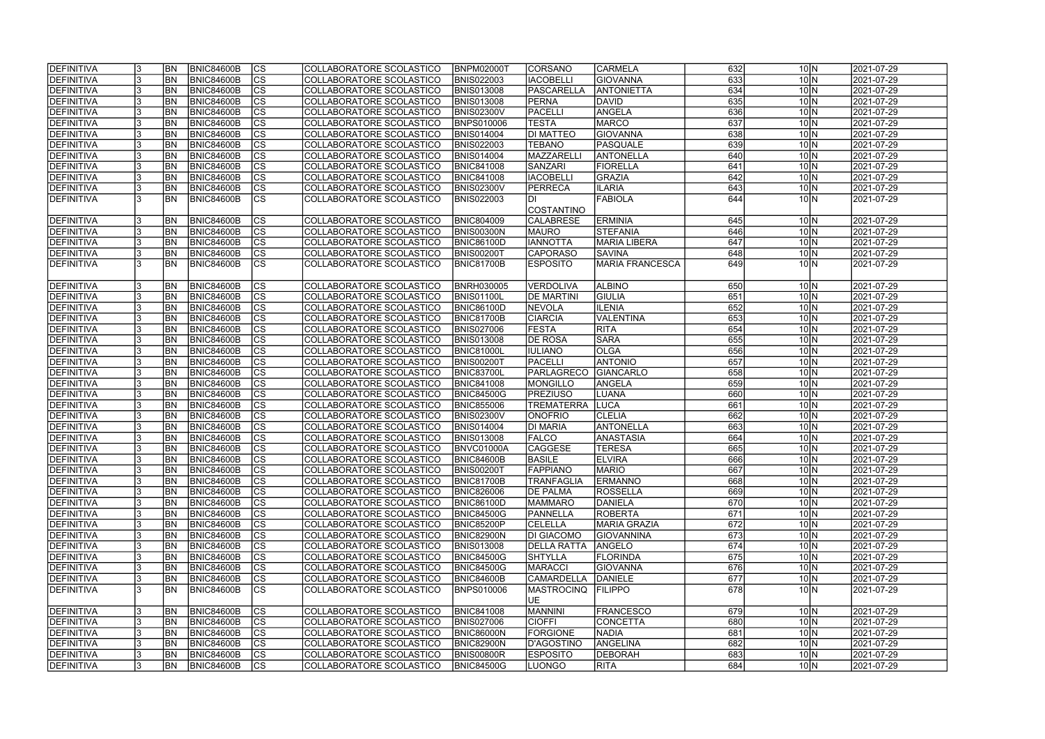| <b>IDEFINITIVA</b> | BN <sub></sub> | <b>BNIC84600B</b> | CS                       | COLLABORATORE SCOLASTICO | <b>BNPM02000T</b> | <b>CORSANO</b>     | <b>CARMELA</b>         | 632 | $10\vert N$     | 2021-07-29              |
|--------------------|----------------|-------------------|--------------------------|--------------------------|-------------------|--------------------|------------------------|-----|-----------------|-------------------------|
| <b>DEFINITIVA</b>  | <b>BN</b>      | <b>BNIC84600B</b> | cs                       | COLLABORATORE SCOLASTICO | <b>BNIS022003</b> | <b>IACOBELLI</b>   | <b>GIOVANNA</b>        | 633 | $10\vert N$     | 2021-07-29              |
| <b>DEFINITIVA</b>  | <b>BN</b>      | <b>BNIC84600B</b> | $\overline{\text{cs}}$   | COLLABORATORE SCOLASTICO | <b>BNIS013008</b> | <b>PASCARELLA</b>  | <b>ANTONIETTA</b>      | 634 | $10\vert N$     | 2021-07-29              |
| <b>DEFINITIVA</b>  | <b>BN</b>      | <b>BNIC84600B</b> | $\overline{\text{CS}}$   | COLLABORATORE SCOLASTICO | <b>BNIS013008</b> | <b>PERNA</b>       | <b>DAVID</b>           | 635 | 10 <sub>N</sub> | 2021-07-29              |
| <b>DEFINITIVA</b>  | <b>BN</b>      | BNIC84600B        | $\overline{\text{cs}}$   | COLLABORATORE SCOLASTICO | <b>BNIS02300V</b> | PACELLI            | ANGELA                 | 636 | 10 <sub>N</sub> | 2021-07-29              |
| <b>DEFINITIVA</b>  | <b>BN</b>      | <b>BNIC84600B</b> | $\overline{\text{CS}}$   | COLLABORATORE SCOLASTICO | <b>BNPS010006</b> | <b>TESTA</b>       | <b>MARCO</b>           | 637 | $10\vert N$     | 2021-07-29              |
| <b>DEFINITIVA</b>  | <b>BN</b>      | <b>BNIC84600B</b> | $\overline{\text{CS}}$   | COLLABORATORE SCOLASTICO | <b>BNIS014004</b> | <b>DI MATTEO</b>   | <b>GIOVANNA</b>        | 638 | 10 <sub>N</sub> | 2021-07-29              |
| DEFINITIVA         | <b>BN</b>      | <b>BNIC84600B</b> | $\overline{\text{CS}}$   | COLLABORATORE SCOLASTICO | <b>BNIS022003</b> | <b>TEBANO</b>      | PASQUALE               | 639 | $10\vert N$     | 2021-07-29              |
| <b>DEFINITIVA</b>  | <b>BN</b>      | <b>BNIC84600B</b> | $\overline{\text{CS}}$   | COLLABORATORE SCOLASTICO | <b>BNIS014004</b> | MAZZARELLI         | <b>ANTONELLA</b>       | 640 | $10\vert N$     | 2021-07-29              |
| DEFINITIVA         | <b>BN</b>      | <b>BNIC84600B</b> | cs                       | COLLABORATORE SCOLASTICO | <b>BNIC841008</b> | <b>SANZARI</b>     | FIORELLA               | 641 | 10 <sub>N</sub> | $\sqrt{2021} - 07 - 29$ |
| DEFINITIVA         | <b>BN</b>      | <b>BNIC84600B</b> | cs                       | COLLABORATORE SCOLASTICO | <b>BNIC841008</b> | <b>IACOBELLI</b>   | <b>GRAZIA</b>          | 642 | $10\vert N$     | 2021-07-29              |
| DEFINITIVA         | <b>BN</b>      | <b>BNIC84600B</b> | cs                       | COLLABORATORE SCOLASTICO | <b>BNIS02300V</b> | <b>PERRECA</b>     | <b>ILARIA</b>          | 643 | 10 <sub>N</sub> | 2021-07-29              |
| <b>DEFINITIVA</b>  | IBN            | <b>BNIC84600B</b> | $\overline{\text{CS}}$   | COLLABORATORE SCOLASTICO | <b>BNIS022003</b> | DI                 | <b>FABIOLA</b>         | 644 | 10 <sub>N</sub> | 2021-07-29              |
|                    |                |                   |                          |                          |                   | <b>COSTANTINO</b>  |                        |     |                 |                         |
| DEFINITIVA         | <b>BN</b>      | <b>BNIC84600B</b> | <b>CS</b>                | COLLABORATORE SCOLASTICO | <b>BNIC804009</b> | <b>CALABRESE</b>   | <b>ERMINIA</b>         | 645 | 10 <sub>N</sub> | 2021-07-29              |
| <b>DEFINITIVA</b>  | <b>BN</b>      | <b>BNIC84600B</b> | $\overline{\text{CS}}$   | COLLABORATORE SCOLASTICO | <b>BNIS00300N</b> | <b>MAURO</b>       | <b>STEFANIA</b>        | 646 | $10\vert N$     | 2021-07-29              |
| <b>DEFINITIVA</b>  | <b>BN</b>      | <b>BNIC84600B</b> | $ \overline{\text{CS}} $ | COLLABORATORE SCOLASTICO | <b>BNIC86100D</b> | <b>IANNOTTA</b>    | <b>MARIA LIBERA</b>    | 647 | $10\vert N$     | 2021-07-29              |
| <b>DEFINITIVA</b>  | <b>BN</b>      | <b>BNIC84600B</b> | CS                       | COLLABORATORE SCOLASTICO | <b>BNIS00200T</b> | <b>CAPORASO</b>    | <b>SAVINA</b>          | 648 | $10\vert N$     | 2021-07-29              |
| DEFINITIVA         | <b>BN</b>      | <b>BNIC84600B</b> | CS                       | COLLABORATORE SCOLASTICO | <b>BNIC81700B</b> | <b>ESPOSITO</b>    | <b>MARIA FRANCESCA</b> | 649 | 10 <sub>N</sub> | 2021-07-29              |
|                    |                |                   |                          |                          |                   |                    |                        |     |                 |                         |
| <b>DEFINITIVA</b>  | BN <sub></sub> | <b>BNIC84600B</b> | <b>CS</b>                | COLLABORATORE SCOLASTICO | BNRH030005        | <b>VERDOLIVA</b>   | <b>ALBINO</b>          | 650 | $10\vert N$     | 2021-07-29              |
| <b>DEFINITIVA</b>  | <b>BN</b>      | <b>BNIC84600B</b> | <b>CS</b>                | COLLABORATORE SCOLASTICO | BNIS01100L        | <b>DE MARTINI</b>  | <b>GIULIA</b>          | 651 | $10\vert N$     | 2021-07-29              |
| <b>DEFINITIVA</b>  | <b>BN</b>      | <b>BNIC84600B</b> | <b>CS</b>                | COLLABORATORE SCOLASTICO | <b>BNIC86100D</b> | <b>NEVOLA</b>      | <b>ILENIA</b>          | 652 | 10 <sub>N</sub> | 2021-07-29              |
| <b>DEFINITIVA</b>  | <b>BN</b>      | <b>BNIC84600B</b> | <b>CS</b>                | COLLABORATORE SCOLASTICO | <b>BNIC81700B</b> | <b>CIARCIA</b>     | VALENTINA              | 653 | $10\vert N$     | 2021-07-29              |
| DEFINITIVA         | <b>BN</b>      | <b>BNIC84600B</b> | $ \overline{\text{CS}} $ | COLLABORATORE SCOLASTICO | <b>BNIS027006</b> | <b>FESTA</b>       | <b>RITA</b>            | 654 | $10\vert N$     | 2021-07-29              |
| <b>DEFINITIVA</b>  | <b>BN</b>      | <b>BNIC84600B</b> | <b>CS</b>                | COLLABORATORE SCOLASTICO | <b>BNIS013008</b> | <b>DE ROSA</b>     | <b>SARA</b>            | 655 | $10\vert N$     | 2021-07-29              |
| DEFINITIVA         | <b>BN</b>      | <b>BNIC84600B</b> | cs                       | COLLABORATORE SCOLASTICO | <b>BNIC81000L</b> | <b>IULIANO</b>     | <b>OLGA</b>            | 656 | $10\vert N$     | 2021-07-29              |
| <b>DEFINITIVA</b>  | BN <sub></sub> | <b>BNIC84600B</b> | lcs                      | COLLABORATORE SCOLASTICO | <b>BNIS00200T</b> | PACELLI            | <b>ANTONIO</b>         | 657 | $10\vert N$     | 2021-07-29              |
| <b>DEFINITIVA</b>  | BN <sub></sub> | <b>BNIC84600B</b> | cs                       | COLLABORATORE SCOLASTICO | <b>BNIC83700L</b> | PARLAGRECO         | GIANCARLO              | 658 | $10\vert N$     | 2021-07-29              |
| DEFINITIVA         | BN <sub></sub> | <b>BNIC84600B</b> | cs                       | COLLABORATORE SCOLASTICO | <b>BNIC841008</b> | <b>MONGILLO</b>    | ANGELA                 | 659 | $10\vert N$     | 2021-07-29              |
| <b>DEFINITIVA</b>  | <b>BN</b>      | <b>BNIC84600B</b> | $ \mathsf{CS} $          | COLLABORATORE SCOLASTICO | <b>BNIC84500G</b> | <b>PREZIUSO</b>    | LUANA                  | 660 | $10\vert N$     | 2021-07-29              |
| <b>DEFINITIVA</b>  | BN <sub></sub> | <b>BNIC84600B</b> | $\overline{\text{CS}}$   | COLLABORATORE SCOLASTICO | <b>BNIC855006</b> | <b>TREMATERRA</b>  | <b>LUCA</b>            | 661 | 10 <sub>N</sub> | 2021-07-29              |
| DEFINITIVA         | <b>BN</b>      | <b>BNIC84600B</b> | $\overline{\text{CS}}$   | COLLABORATORE SCOLASTICO | <b>BNIS02300V</b> | <b>ONOFRIO</b>     | <b>CLELIA</b>          | 662 | 10 <sub>N</sub> | 2021-07-29              |
| DEFINITIVA         | <b>BN</b>      | <b>BNIC84600B</b> | $\overline{\text{CS}}$   | COLLABORATORE SCOLASTICO | <b>BNIS014004</b> | <b>DI MARIA</b>    | ANTONELLA              | 663 | $10\vert N$     | 2021-07-29              |
| DEFINITIVA         | <b>BN</b>      | <b>BNIC84600B</b> | $\overline{\text{cs}}$   | COLLABORATORE SCOLASTICO | <b>BNIS013008</b> | <b>FALCO</b>       | ANASTASIA              | 664 | $10\vert N$     | 2021-07-29              |
| <b>DEFINITIVA</b>  | <b>BN</b>      | <b>BNIC84600B</b> | $\overline{\text{cs}}$   | COLLABORATORE SCOLASTICO | BNVC01000A        | <b>CAGGESE</b>     | <b>TERESA</b>          | 665 | $10\vert N$     | 2021-07-29              |
| <b>DEFINITIVA</b>  | <b>BN</b>      | BNIC84600B        | CS                       | COLLABORATORE SCOLASTICO | <b>BNIC84600B</b> | <b>BASILE</b>      | <b>ELVIRA</b>          | 666 | 10   N          | 2021-07-29              |
| DEFINITIVA         | <b>BN</b>      | <b>BNIC84600B</b> | <sub>lcs</sub>           | COLLABORATORE SCOLASTICO | <b>BNIS00200T</b> | <b>FAPPIANO</b>    | <b>MARIO</b>           | 667 | $10\vert N$     | 2021-07-29              |
| <b>DEFINITIVA</b>  | <b>BN</b>      | BNIC84600B        | CS                       | COLLABORATORE SCOLASTICO | <b>BNIC81700B</b> | <b>TRANFAGLIA</b>  | <b>ERMANNO</b>         | 668 | $10\vert N$     | 2021-07-29              |
| <b>DEFINITIVA</b>  | <b>BN</b>      | <b>BNIC84600B</b> | <b>CS</b>                | COLLABORATORE SCOLASTICO | <b>BNIC826006</b> | <b>DE PALMA</b>    | IROSSELLA              | 669 | $10\vert N$     | 2021-07-29              |
| DEFINITIVA         | <b>BN</b>      | <b>BNIC84600B</b> | <b>CS</b>                | COLLABORATORE SCOLASTICO | <b>BNIC86100D</b> | <b>MAMMARO</b>     | DANIELA                | 670 | $10\vert N$     | 2021-07-29              |
| <b>DEFINITIVA</b>  | <b>BN</b>      | <b>BNIC84600B</b> | CS                       | COLLABORATORE SCOLASTICO | <b>BNIC84500G</b> | <b>PANNELLA</b>    | <b>ROBERTA</b>         | 671 | $10\vert N$     | 2021-07-29              |
| <b>DEFINITIVA</b>  | <b>BN</b>      | <b>BNIC84600B</b> | CS                       | COLLABORATORE SCOLASTICO | <b>BNIC85200P</b> | <b>CELELLA</b>     | <b>MARIA GRAZIA</b>    | 672 | $10\vert N$     | 2021-07-29              |
| <b>DEFINITIVA</b>  | <b>BN</b>      | <b>BNIC84600B</b> | <b>CS</b>                | COLLABORATORE SCOLASTICO | <b>BNIC82900N</b> | <b>DI GIACOMO</b>  | <b>GIOVANNINA</b>      | 673 | $10\vert N$     | 2021-07-29              |
| <b>DEFINITIVA</b>  | <b>BN</b>      | <b>BNIC84600B</b> | cs                       | COLLABORATORE SCOLASTICO | <b>BNIS013008</b> | <b>DELLA RATTA</b> | ANGELO                 | 674 | $10\vert N$     | 2021-07-29              |
| <b>DEFINITIVA</b>  | <b>BN</b>      | <b>BNIC84600B</b> | CS                       | COLLABORATORE SCOLASTICO | <b>BNIC84500G</b> | <b>SHTYLLA</b>     | FLORINDA               | 675 | $10\vert N$     | 2021-07-29              |
| <b>DEFINITIVA</b>  | BN <sub></sub> | <b>BNIC84600B</b> | cs                       | COLLABORATORE SCOLASTICO | <b>BNIC84500G</b> | <b>MARACCI</b>     | <b>GIOVANNA</b>        | 676 | $10\vert N$     | 2021-07-29              |
| <b>DEFINITIVA</b>  | <b>BN</b>      | <b>BNIC84600B</b> | CS                       | COLLABORATORE SCOLASTICO | <b>BNIC84600B</b> | <b>CAMARDELLA</b>  | DANIELE                | 677 | $10\vert N$     | 2021-07-29              |
| <b>DEFINITIVA</b>  | <b>BN</b>      | BNIC84600B        | <b>CS</b>                | COLLABORATORE SCOLASTICO | <b>BNPS010006</b> | <b>MASTROCINQ</b>  | <b>FILIPPO</b>         | 678 | 10 <sub>N</sub> | 2021-07-29              |
|                    |                |                   |                          |                          |                   | <b>UE</b>          |                        |     |                 |                         |
| <b>DEFINITIVA</b>  | <b>BN</b>      | <b>BNIC84600B</b> | <b>CS</b>                | COLLABORATORE SCOLASTICO | <b>BNIC841008</b> | <b>MANNINI</b>     | <b>FRANCESCO</b>       | 679 | $10\vert N$     | 2021-07-29              |
| <b>DEFINITIVA</b>  | <b>BN</b>      | <b>BNIC84600B</b> | cs                       | COLLABORATORE SCOLASTICO | <b>BNIS027006</b> | <b>CIOFFI</b>      | <b>CONCETTA</b>        | 680 | $10\vert N$     | 2021-07-29              |
| <b>DEFINITIVA</b>  | <b>BN</b>      | <b>BNIC84600B</b> | cs                       | COLLABORATORE SCOLASTICO | <b>BNIC86000N</b> | <b>FORGIONE</b>    | <b>NADIA</b>           | 681 | $10\vert N$     | 2021-07-29              |
| <b>DEFINITIVA</b>  | BN <sub></sub> | <b>BNIC84600B</b> | <b>CS</b>                | COLLABORATORE SCOLASTICO | <b>BNIC82900N</b> | D'AGOSTINO         | ANGELINA               | 682 | $10\vert N$     | 2021-07-29              |
| <b>DEFINITIVA</b>  | <b>BN</b>      | <b>BNIC84600B</b> | CS                       | COLLABORATORE SCOLASTICO | <b>BNIS00800R</b> | <b>ESPOSITO</b>    | DEBORAH                | 683 | $10\vert N$     | 2021-07-29              |
| <b>DEFINITIVA</b>  | <b>BN</b>      | <b>BNIC84600B</b> | CS                       | COLLABORATORE SCOLASTICO | <b>BNIC84500G</b> | <b>LUONGO</b>      | <b>RITA</b>            | 684 | $10\vert N$     | 2021-07-29              |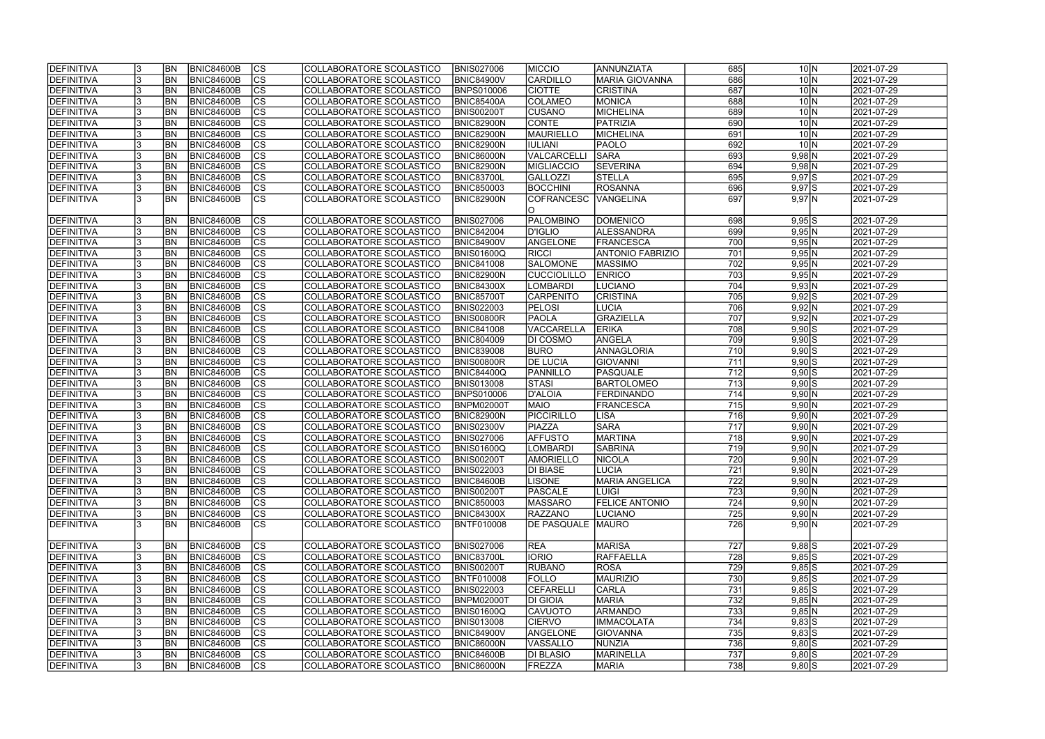| <b>DEFINITIVA</b> | BN <sub></sub> | <b>BNIC84600B</b> | CS                       | COLLABORATORE SCOLASTICO | <b>BNIS027006</b> | <b>MICCIO</b>      | ANNUNZIATA              | 685              | $10\vert N$               | 2021-07-29 |
|-------------------|----------------|-------------------|--------------------------|--------------------------|-------------------|--------------------|-------------------------|------------------|---------------------------|------------|
| <b>DEFINITIVA</b> | <b>BN</b>      | <b>BNIC84600B</b> | cs                       | COLLABORATORE SCOLASTICO | <b>BNIC84900V</b> | <b>CARDILLO</b>    | <b>MARIA GIOVANNA</b>   | 686              | $10\overline{\mathrm{N}}$ | 2021-07-29 |
| <b>DEFINITIVA</b> | <b>BN</b>      | <b>BNIC84600B</b> | $\overline{\text{cs}}$   | COLLABORATORE SCOLASTICO | <b>BNPS010006</b> | <b>CIOTTE</b>      | <b>CRISTINA</b>         | 687              | $10\vert N$               | 2021-07-29 |
| DEFINITIVA        | BN <sub></sub> | <b>BNIC84600B</b> | $\overline{\text{CS}}$   | COLLABORATORE SCOLASTICO | <b>BNIC85400A</b> | <b>COLAMEO</b>     | <b>MONICA</b>           | 688              | $10\overline{\mathrm{N}}$ | 2021-07-29 |
| <b>DEFINITIVA</b> | <b>BN</b>      | <b>BNIC84600B</b> | $\overline{\text{cs}}$   | COLLABORATORE SCOLASTICO | <b>BNIS00200T</b> | <b>CUSANO</b>      | <b>MICHELINA</b>        | 689              | 10 <sub>N</sub>           | 2021-07-29 |
| <b>DEFINITIVA</b> | <b>BN</b>      | <b>BNIC84600B</b> | $\overline{\text{CS}}$   | COLLABORATORE SCOLASTICO | <b>BNIC82900N</b> | <b>CONTE</b>       | <b>PATRIZIA</b>         | 690              | $10\vert N$               | 2021-07-29 |
| <b>DEFINITIVA</b> | <b>BN</b>      | <b>BNIC84600B</b> | $\overline{\text{CS}}$   | COLLABORATORE SCOLASTICO | <b>BNIC82900N</b> | MAURIELLO          | MICHELINA               | 691              | 10 <sub>N</sub>           | 2021-07-29 |
| <b>DEFINITIVA</b> | <b>BN</b>      | <b>BNIC84600B</b> | $\overline{\text{CS}}$   | COLLABORATORE SCOLASTICO | <b>BNIC82900N</b> | <b>IULIANI</b>     | <b>PAOLO</b>            | 692              | $10\vert N$               | 2021-07-29 |
| DEFINITIVA        | <b>BN</b>      | <b>BNIC84600B</b> | $\overline{\text{CS}}$   | COLLABORATORE SCOLASTICO | <b>BNIC86000N</b> | VALCARCELLI        | SARA                    | 693              | $9,98$ N                  | 2021-07-29 |
| <b>DEFINITIVA</b> | <b>BN</b>      | <b>BNIC84600B</b> | cs                       | COLLABORATORE SCOLASTICO | <b>BNIC82900N</b> | <b>MIGLIACCIO</b>  | <b>SEVERINA</b>         | 694              | $9,98$ N                  | 2021-07-29 |
| DEFINITIVA        | <b>BN</b>      | <b>BNIC84600B</b> | cs                       | COLLABORATORE SCOLASTICO | <b>BNIC83700L</b> | <b>GALLOZZI</b>    | <b>STELLA</b>           | 695              | $9,97$ $S$                | 2021-07-29 |
| DEFINITIVA        | <b>BN</b>      | <b>BNIC84600B</b> | cs                       | COLLABORATORE SCOLASTICO | <b>BNIC850003</b> | <b>BOCCHINI</b>    | <b>ROSANNA</b>          | 696              | $9,97$ $S$                | 2021-07-29 |
| <b>DEFINITIVA</b> | IBN            | <b>BNIC84600B</b> | $\overline{\text{CS}}$   | COLLABORATORE SCOLASTICO | BNIC82900N        | <b>COFRANCESC</b>  | <b>VANGELINA</b>        | 697              | $9,97$ N                  | 2021-07-29 |
|                   |                |                   |                          |                          |                   |                    |                         |                  |                           |            |
| DEFINITIVA        | <b>BN</b>      | <b>BNIC84600B</b> | <b>CS</b>                | COLLABORATORE SCOLASTICO | <b>BNIS027006</b> | <b>PALOMBINO</b>   | <b>DOMENICO</b>         | 698              | $9,95$ S                  | 2021-07-29 |
| <b>DEFINITIVA</b> | <b>BN</b>      | <b>BNIC84600B</b> | $\overline{\text{CS}}$   | COLLABORATORE SCOLASTICO | <b>BNIC842004</b> | <b>D'IGLIO</b>     | <b>ALESSANDRA</b>       | 699              | 9,95 N                    | 2021-07-29 |
| <b>DEFINITIVA</b> | <b>BN</b>      | <b>BNIC84600B</b> | $ \overline{\text{CS}} $ | COLLABORATORE SCOLASTICO | <b>BNIC84900V</b> | ANGELONE           | FRANCESCA               | 700              | $9,95$ N                  | 2021-07-29 |
| <b>DEFINITIVA</b> | <b>BN</b>      | <b>BNIC84600B</b> | CS                       | COLLABORATORE SCOLASTICO | BNIS01600Q        | RICCI              | <b>ANTONIO FABRIZIO</b> | 701              | 9,95 N                    | 2021-07-29 |
| DEFINITIVA        | BN             | <b>BNIC84600B</b> | CS                       | COLLABORATORE SCOLASTICO | <b>BNIC841008</b> | <b>SALOMONE</b>    | <b>MASSIMO</b>          | 702              | 9,95 N                    | 2021-07-29 |
| <b>DEFINITIVA</b> | BN <sub></sub> | <b>BNIC84600B</b> | $\overline{\text{CS}}$   | COLLABORATORE SCOLASTICO | <b>BNIC82900N</b> | <b>CUCCIOLILLO</b> | <b>ENRICO</b>           | 703              | 9,95 N                    | 2021-07-29 |
| DEFINITIVA        | <b>BN</b>      | <b>BNIC84600B</b> | $\overline{\text{CS}}$   | COLLABORATORE SCOLASTICO | <b>BNIC84300X</b> | <b>LOMBARDI</b>    | LUCIANO                 | 704              | 9,93 N                    | 2021-07-29 |
| DEFINITIVA        | <b>BN</b>      | <b>BNIC84600B</b> | <b>CS</b>                | COLLABORATORE SCOLASTICO | <b>BNIC85700T</b> | <b>CARPENITO</b>   | <b>CRISTINA</b>         | 705              | $9,92$ S                  | 2021-07-29 |
| <b>DEFINITIVA</b> | <b>BN</b>      | <b>BNIC84600B</b> | <b>CS</b>                | COLLABORATORE SCOLASTICO | <b>BNIS022003</b> | <b>PELOSI</b>      | LUCIA                   | 706              | 9,92 N                    | 2021-07-29 |
| <b>DEFINITIVA</b> | <b>BN</b>      | <b>BNIC84600B</b> | <b>CS</b>                | COLLABORATORE SCOLASTICO | <b>BNIS00800R</b> | <b>PAOLA</b>       | <b>GRAZIELLA</b>        | 707              | 9,92 N                    | 2021-07-29 |
| DEFINITIVA        | <b>BN</b>      | <b>BNIC84600B</b> | $ \overline{\text{CS}} $ | COLLABORATORE SCOLASTICO | <b>BNIC841008</b> | VACCARELLA         | <b>ERIKA</b>            | 708              | $9,90$ $S$                | 2021-07-29 |
| <b>DEFINITIVA</b> | <b>BN</b>      | <b>BNIC84600B</b> | lcs                      | COLLABORATORE SCOLASTICO | <b>BNIC804009</b> | <b>DI COSMO</b>    | ANGELA                  | 709              | $9,90$ $S$                | 2021-07-29 |
| DEFINITIVA        | <b>BN</b>      | <b>BNIC84600B</b> | cs                       | COLLABORATORE SCOLASTICO | <b>BNIC839008</b> | <b>BURO</b>        | <b>ANNAGLORIA</b>       | 710              | $9,90$ S                  | 2021-07-29 |
| <b>DEFINITIVA</b> | BN <sub></sub> | <b>BNIC84600B</b> | lcs                      | COLLABORATORE SCOLASTICO | <b>BNIS00800R</b> | <b>DE LUCIA</b>    | GIOVANNI                | 711              | $9,90$ S                  | 2021-07-29 |
| <b>DEFINITIVA</b> | BN <sub></sub> | <b>BNIC84600B</b> | cs                       | COLLABORATORE SCOLASTICO | <b>BNIC84400Q</b> | PANNILLO           | PASQUALE                | $\overline{712}$ | $9,90$ S                  | 2021-07-29 |
| DEFINITIVA        | <b>BN</b>      | <b>BNIC84600B</b> | cs                       | COLLABORATORE SCOLASTICO | <b>BNIS013008</b> | <b>STASI</b>       | <b>BARTOLOMEO</b>       | 713              | $9,90$ S                  | 2021-07-29 |
| DEFINITIVA        | <b>BN</b>      | <b>BNIC84600B</b> | $ \mathsf{CS} $          | COLLABORATORE SCOLASTICO | <b>BNPS010006</b> | <b>D'ALOIA</b>     | <b>FERDINANDO</b>       | 714              | 9,90 N                    | 2021-07-29 |
| DEFINITIVA        | BN <sub></sub> | <b>BNIC84600B</b> | $\overline{\text{CS}}$   | COLLABORATORE SCOLASTICO | BNPM02000T        | <b>MAIO</b>        | <b>FRANCESCA</b>        | 715              | 9,90 N                    | 2021-07-29 |
| DEFINITIVA        | <b>BN</b>      | <b>BNIC84600B</b> | $\overline{\text{CS}}$   | COLLABORATORE SCOLASTICO | <b>BNIC82900N</b> | PICCIRILLO         | <b>LISA</b>             | $\overline{716}$ | 9,90 N                    | 2021-07-29 |
| DEFINITIVA        | <b>BN</b>      | <b>BNIC84600B</b> | $\overline{\text{CS}}$   | COLLABORATORE SCOLASTICO | <b>BNIS02300V</b> | PIAZZA             | <b>SARA</b>             | $\overline{717}$ | 9,90 N                    | 2021-07-29 |
| <b>DEFINITIVA</b> | <b>BN</b>      | <b>BNIC84600B</b> | $\overline{\text{cs}}$   | COLLABORATORE SCOLASTICO | <b>BNIS027006</b> | <b>AFFUSTO</b>     | <b>MARTINA</b>          | $\overline{718}$ | 9,90 N                    | 2021-07-29 |
| <b>DEFINITIVA</b> | <b>BN</b>      | <b>BNIC84600B</b> | $\overline{\text{cs}}$   | COLLABORATORE SCOLASTICO | <b>BNIS01600Q</b> | LOMBARDI           | SABRINA                 | 719              | 9,90 N                    | 2021-07-29 |
| <b>DEFINITIVA</b> | <b>BN</b>      | BNIC84600B        | $ {\rm CS}$              | COLLABORATORE SCOLASTICO | <b>BNIS00200T</b> | <b>AMORIELLO</b>   | <b>NICOLA</b>           | 720              | $9,90 \, N$               | 2021-07-29 |
| DEFINITIVA        | <b>BN</b>      | <b>BNIC84600B</b> | <sub>lcs</sub>           | COLLABORATORE SCOLASTICO | <b>BNIS022003</b> | <b>DI BIASE</b>    | <b>LUCIA</b>            | 721              | 9,90 N                    | 2021-07-29 |
| <b>DEFINITIVA</b> | <b>BN</b>      | <b>BNIC84600B</b> | CS                       | COLLABORATORE SCOLASTICO | BNIC84600B        | <b>LISONE</b>      | <b>MARIA ANGELICA</b>   | 722              | 9,90 N                    | 2021-07-29 |
| <b>DEFINITIVA</b> | <b>BN</b>      | <b>BNIC84600B</b> | <b>CS</b>                | COLLABORATORE SCOLASTICO | <b>BNIS00200T</b> | <b>PASCALE</b>     | <b>LUIGI</b>            | 723              | $9,90 \overline{N}$       | 2021-07-29 |
| <b>DEFINITIVA</b> | <b>BN</b>      | <b>BNIC84600B</b> | <b>CS</b>                | COLLABORATORE SCOLASTICO | <b>BNIC850003</b> | <b>MASSARO</b>     | <b>FELICE ANTONIO</b>   | 724              | 9,90 N                    | 2021-07-29 |
| DEFINITIVA        | <b>BN</b>      | <b>BNIC84600B</b> | CS                       | COLLABORATORE SCOLASTICO | <b>BNIC84300X</b> | RAZZANO            | <b>LUCIANO</b>          | 725              | $9,90 \ N$                | 2021-07-29 |
| <b>DEFINITIVA</b> | <b>BN</b>      | BNIC84600B        | <b>CS</b>                | COLLABORATORE SCOLASTICO | <b>BNTF010008</b> | DE PASQUALE        | MAURO                   | 726              | $9,90 \, N$               | 2021-07-29 |
|                   |                |                   |                          |                          |                   |                    |                         |                  |                           |            |
| <b>DEFINITIVA</b> | <b>BN</b>      | <b>BNIC84600B</b> | CS                       | COLLABORATORE SCOLASTICO | <b>BNIS027006</b> | <b>REA</b>         | <b>MARISA</b>           | 727              | $9,88$ S                  | 2021-07-29 |
| <b>DEFINITIVA</b> | <b>BN</b>      | <b>BNIC84600B</b> | <sub>lcs</sub>           | COLLABORATORE SCOLASTICO | BNIC83700L        | <b>IORIO</b>       | RAFFAELLA               | 728              | $9,85$ S                  | 2021-07-29 |
| <b>DEFINITIVA</b> | BN <sub></sub> | <b>BNIC84600B</b> | cs                       | COLLABORATORE SCOLASTICO | <b>BNIS00200T</b> | <b>RUBANO</b>      | <b>ROSA</b>             | 729              | $9,85$ S                  | 2021-07-29 |
| <b>DEFINITIVA</b> | <b>BN</b>      | <b>BNIC84600B</b> | CS                       | COLLABORATORE SCOLASTICO | <b>BNTF010008</b> | <b>FOLLO</b>       | <b>MAURIZIO</b>         | 730              | 9,85S                     | 2021-07-29 |
| <b>DEFINITIVA</b> | <b>BN</b>      | <b>BNIC84600B</b> | $\overline{\text{CS}}$   | COLLABORATORE SCOLASTICO | <b>BNIS022003</b> | <b>CEFARELLI</b>   | CARLA                   | 731              | $9,85$ S                  | 2021-07-29 |
| <b>DEFINITIVA</b> | <b>BN</b>      | <b>BNIC84600B</b> | $\overline{\text{CS}}$   | COLLABORATORE SCOLASTICO | <b>BNPM02000T</b> | <b>DI GIOIA</b>    | <b>MARIA</b>            | 732              | $9,85$ N                  | 2021-07-29 |
| <b>DEFINITIVA</b> | <b>BN</b>      | <b>BNIC84600B</b> | <b>CS</b>                | COLLABORATORE SCOLASTICO | <b>BNIS01600Q</b> | <b>CAVUOTO</b>     | <b>ARMANDO</b>          | 733              | 9,85 N                    | 2021-07-29 |
| <b>DEFINITIVA</b> | <b>BN</b>      | <b>BNIC84600B</b> | CS                       | COLLABORATORE SCOLASTICO | <b>BNIS013008</b> | <b>CIERVO</b>      | <b>IMMACOLATA</b>       | 734              | $9,83$ S                  | 2021-07-29 |
| <b>DEFINITIVA</b> | BN <sub></sub> | <b>BNIC84600B</b> | CS                       | COLLABORATORE SCOLASTICO | <b>BNIC84900V</b> | ANGELONE           | <b>GIOVANNA</b>         | 735              | 9,835                     | 2021-07-29 |
| <b>DEFINITIVA</b> | BN <sub></sub> | <b>BNIC84600B</b> | <b>CS</b>                | COLLABORATORE SCOLASTICO | <b>BNIC86000N</b> | VASSALLO           | NUNZIA                  | 736              | $9,80$ $S$                | 2021-07-29 |
| <b>DEFINITIVA</b> | <b>BN</b>      | <b>BNIC84600B</b> | <b>CS</b>                | COLLABORATORE SCOLASTICO | BNIC84600B        | <b>DI BLASIO</b>   | MARINELLA               | 737              | $9,80$ S                  | 2021-07-29 |
| <b>DEFINITIVA</b> | BN <sub></sub> | <b>BNIC84600B</b> | <b>CS</b>                | COLLABORATORE SCOLASTICO | <b>BNIC86000N</b> | FREZZA             | <b>MARIA</b>            | 738              | $9,80$ S                  | 2021-07-29 |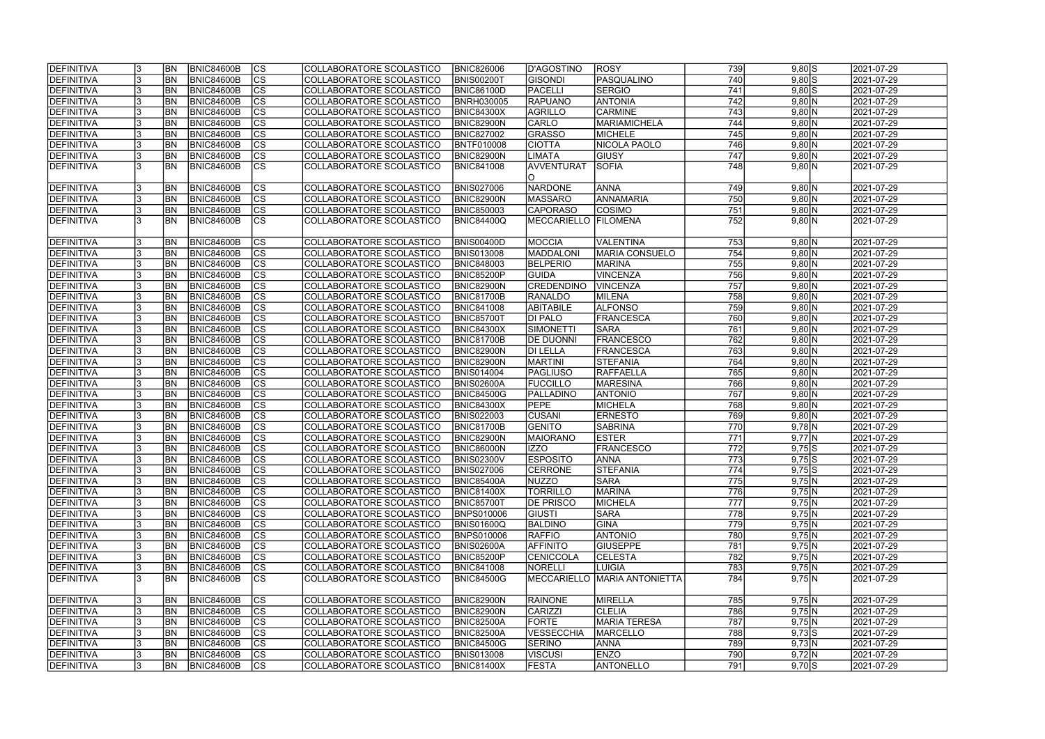| <b>DEFINITIVA</b> | <b>BN</b> | <b>BNIC84600B</b> | CS                       | COLLABORATORE SCOLASTICO | <b>BNIC826006</b> | D'AGOSTINO                  | <b>ROSY</b>                  | 739              | $9,80$ $S$ | 2021-07-29 |
|-------------------|-----------|-------------------|--------------------------|--------------------------|-------------------|-----------------------------|------------------------------|------------------|------------|------------|
| DEFINITIVA        | <b>BN</b> | <b>BNIC84600B</b> | cs                       | COLLABORATORE SCOLASTICO | <b>BNIS00200T</b> | <b>GISONDI</b>              | PASQUALINO                   | 740              | $9,80$ S   | 2021-07-29 |
| <b>DEFINITIVA</b> | <b>BN</b> | <b>BNIC84600B</b> | $ \overline{\text{cs}} $ | COLLABORATORE SCOLASTICO | <b>BNIC86100D</b> | PACELLI                     | <b>SERGIO</b>                | 741              | $9,80$ S   | 2021-07-29 |
| DEFINITIVA        | BN        | <b>BNIC84600B</b> | $\overline{\text{CS}}$   | COLLABORATORE SCOLASTICO | <b>BNRH030005</b> | <b>RAPUANO</b>              | <b>ANTONIA</b>               | $\overline{742}$ | $9,80$ N   | 2021-07-29 |
| <b>DEFINITIVA</b> | <b>BN</b> | <b>BNIC84600B</b> | $\overline{\text{cs}}$   | COLLABORATORE SCOLASTICO | <b>BNIC84300X</b> | AGRILLO                     | <b>CARMINE</b>               | 743              | 9,80 N     | 2021-07-29 |
| <b>DEFINITIVA</b> | <b>BN</b> | <b>BNIC84600B</b> | $\overline{\text{CS}}$   | COLLABORATORE SCOLASTICO | BNIC82900N        | <b>CARLO</b>                | <b>MARIAMICHELA</b>          | 744              | 9,80 N     | 2021-07-29 |
| <b>DEFINITIVA</b> | <b>BN</b> | <b>BNIC84600B</b> | $\overline{\text{CS}}$   | COLLABORATORE SCOLASTICO | <b>BNIC827002</b> | <b>GRASSO</b>               | <b>MICHELE</b>               | 745              | 9,80 N     | 2021-07-29 |
| <b>DEFINITIVA</b> | <b>BN</b> | <b>BNIC84600B</b> | $\overline{\text{CS}}$   | COLLABORATORE SCOLASTICO | <b>BNTF010008</b> | <b>CIOTTA</b>               | NICOLA PAOLO                 | 746              | 9,80 N     | 2021-07-29 |
| DEFINITIVA        | <b>BN</b> | <b>BNIC84600B</b> | $\overline{\text{CS}}$   | COLLABORATORE SCOLASTICO | BNIC82900N        | LIMATA                      | <b>GIUSY</b>                 | 747              | 9,80 N     | 2021-07-29 |
| <b>DEFINITIVA</b> | <b>BN</b> | <b>BNIC84600B</b> | $\overline{\text{CS}}$   | COLLABORATORE SCOLASTICO | <b>BNIC841008</b> | AVVENTURAT                  | <b>SOFIA</b>                 | 748              | 9,80 N     | 2021-07-29 |
|                   |           |                   |                          |                          |                   | IO.                         |                              |                  |            |            |
| DEFINITIVA        | <b>BN</b> | <b>BNIC84600B</b> | CS                       | COLLABORATORE SCOLASTICO | <b>BNIS027006</b> | NARDONE                     | ANNA                         | 749              | 9,80 N     | 2021-07-29 |
| <b>DEFINITIVA</b> | <b>BN</b> | <b>BNIC84600B</b> | <b>CS</b>                | COLLABORATORE SCOLASTICO | BNIC82900N        | <b>MASSARO</b>              | ANNAMARIA                    | 750              | $9,80$ N   | 2021-07-29 |
| <b>DEFINITIVA</b> | <b>BN</b> | <b>BNIC84600B</b> | cs                       | COLLABORATORE SCOLASTICO | <b>BNIC850003</b> | CAPORASO                    | <b>COSIMO</b>                | 751              | $9,80$ N   | 2021-07-29 |
| <b>DEFINITIVA</b> | IBN       | <b>BNIC84600B</b> | $\overline{\text{CS}}$   | COLLABORATORE SCOLASTICO | <b>BNIC84400Q</b> | <b>MECCARIELLO FILOMENA</b> |                              | 752              | 9,80 N     | 2021-07-29 |
|                   |           |                   |                          |                          |                   |                             |                              |                  |            |            |
| DEFINITIVA        | <b>BN</b> | <b>BNIC84600B</b> | <b>CS</b>                | COLLABORATORE SCOLASTICO | <b>BNIS00400D</b> | <b>MOCCIA</b>               | VALENTINA                    | 753              | 9,80 N     | 2021-07-29 |
| <b>DEFINITIVA</b> | <b>BN</b> | <b>BNIC84600B</b> | <b>CS</b>                | COLLABORATORE SCOLASTICO | <b>BNIS013008</b> | <b>MADDALONI</b>            | <b>MARIA CONSUELO</b>        | 754              | 9,80 N     | 2021-07-29 |
| DEFINITIVA        | <b>BN</b> | <b>BNIC84600B</b> | $\overline{\text{CS}}$   | COLLABORATORE SCOLASTICO | <b>BNIC848003</b> | <b>BELPERIO</b>             | <b>MARINA</b>                | 755              | $9,80$ N   | 2021-07-29 |
| <b>DEFINITIVA</b> | BN        | <b>BNIC84600B</b> | $\overline{\text{CS}}$   | COLLABORATORE SCOLASTICO | BNIC85200P        | GUIDA                       | <b>VINCENZA</b>              | 756              | $9,80$ N   | 2021-07-29 |
| <b>DEFINITIVA</b> | BN        | <b>BNIC84600B</b> | $\overline{\text{CS}}$   | COLLABORATORE SCOLASTICO | BNIC82900N        | <b>CREDENDINO</b>           | VINCENZA                     | 757              | 9,80 N     | 2021-07-29 |
| DEFINITIVA        | <b>BN</b> | <b>BNIC84600B</b> | <b>CS</b>                | COLLABORATORE SCOLASTICO | <b>BNIC81700B</b> | <b>RANALDO</b>              | <b>MILENA</b>                | 758              | 9,80 N     | 2021-07-29 |
| <b>DEFINITIVA</b> | <b>BN</b> | <b>BNIC84600B</b> | <b>CS</b>                | COLLABORATORE SCOLASTICO | <b>BNIC841008</b> | <b>ABITABILE</b>            | <b>ALFONSO</b>               | 759              | 9,80 N     | 2021-07-29 |
| <b>DEFINITIVA</b> | <b>BN</b> | <b>BNIC84600B</b> | <b>CS</b>                | COLLABORATORE SCOLASTICO | <b>BNIC85700T</b> | <b>DI PALO</b>              | <b>FRANCESCA</b>             | 760              | 9,80 N     | 2021-07-29 |
| DEFINITIVA        | <b>BN</b> | <b>BNIC84600B</b> | $\overline{\text{CS}}$   | COLLABORATORE SCOLASTICO | <b>BNIC84300X</b> | SIMONETTI                   | <b>SARA</b>                  | 761              | $9,80$ N   | 2021-07-29 |
| <b>DEFINITIVA</b> | <b>BN</b> | <b>BNIC84600B</b> | <b>CS</b>                | COLLABORATORE SCOLASTICO | <b>BNIC81700B</b> | <b>DE DUONNI</b>            | <b>FRANCESCO</b>             | 762              | 9,80 N     | 2021-07-29 |
| DEFINITIVA        | <b>BN</b> | <b>BNIC84600B</b> | cs                       | COLLABORATORE SCOLASTICO | BNIC82900N        | <b>DI LELLA</b>             | FRANCESCA                    | 763              | 9,80 N     | 2021-07-29 |
| <b>DEFINITIVA</b> | <b>BN</b> | <b>BNIC84600B</b> | <b>CS</b>                | COLLABORATORE SCOLASTICO | BNIC82900N        | <b>MARTINI</b>              | <b>STEFANIA</b>              | 764              | $9,80$ N   | 2021-07-29 |
| <b>DEFINITIVA</b> | <b>BN</b> | <b>BNIC84600B</b> | cs                       | COLLABORATORE SCOLASTICO | <b>BNIS014004</b> | PAGLIUSO                    | RAFFAELLA                    | 765              | $9,80$ N   | 2021-07-29 |
| DEFINITIVA        | <b>BN</b> | <b>BNIC84600B</b> | lcs                      | COLLABORATORE SCOLASTICO | <b>BNIS02600A</b> | <b>FUCCILLO</b>             | <b>MARESINA</b>              | 766              | 9,80 N     | 2021-07-29 |
| <b>DEFINITIVA</b> | <b>BN</b> | <b>BNIC84600B</b> | $ \mathsf{CS} $          | COLLABORATORE SCOLASTICO | <b>BNIC84500G</b> | PALLADINO                   | <b>ANTONIO</b>               | 767              | $9,80$ N   | 2021-07-29 |
| DEFINITIVA        | <b>BN</b> | <b>BNIC84600B</b> | $\overline{\text{CS}}$   | COLLABORATORE SCOLASTICO | <b>BNIC84300X</b> | <b>PEPE</b>                 | <b>MICHELA</b>               | 768              | 9,80 N     | 2021-07-29 |
| DEFINITIVA        | <b>BN</b> | <b>BNIC84600B</b> | $\overline{\text{CS}}$   | COLLABORATORE SCOLASTICO | <b>BNIS022003</b> | <b>CUSANI</b>               | <b>ERNESTO</b>               | 769              | 9,80 N     | 2021-07-29 |
| DEFINITIVA        | <b>BN</b> | <b>BNIC84600B</b> | $\overline{\text{CS}}$   | COLLABORATORE SCOLASTICO | <b>BNIC81700B</b> | <b>GENITO</b>               | <b>SABRINA</b>               | 770              | $9,78$ N   | 2021-07-29 |
| DEFINITIVA        | <b>BN</b> | <b>BNIC84600B</b> | $\overline{\text{cs}}$   | COLLABORATORE SCOLASTICO | BNIC82900N        | <b>MAIORANO</b>             | <b>ESTER</b>                 | $\overline{771}$ | $9,77$ N   | 2021-07-29 |
| <b>DEFINITIVA</b> | <b>BN</b> | <b>BNIC84600B</b> | $\overline{\text{CS}}$   | COLLABORATORE SCOLASTICO | <b>BNIC86000N</b> | <b>IZZO</b>                 | <b>FRANCESCO</b>             | $\overline{772}$ | $9,75$ S   | 2021-07-29 |
| <b>DEFINITIVA</b> | <b>BN</b> | BNIC84600B        | $ {\rm cs}$              | COLLABORATORE SCOLASTICO | <b>BNIS02300V</b> | <b>ESPOSITO</b>             | <b>JANNA</b>                 | (13)             | $9,75$  S  | 2021-07-29 |
| DEFINITIVA        | <b>BN</b> | <b>BNIC84600B</b> | lcs                      | COLLABORATORE SCOLASTICO | <b>BNIS027006</b> | <b>CERRONE</b>              | <b>STEFANIA</b>              | 774              | $9,75$ S   | 2021-07-29 |
| <b>DEFINITIVA</b> | <b>BN</b> | BNIC84600B        | CS                       | COLLABORATORE SCOLASTICO | <b>BNIC85400A</b> | NUZZO                       | <b>SARA</b>                  | 775              | 9,75 N     | 2021-07-29 |
| <b>DEFINITIVA</b> | <b>BN</b> | <b>BNIC84600B</b> | <b>CS</b>                | COLLABORATORE SCOLASTICO | <b>BNIC81400X</b> | <b>TORRILLO</b>             | <b>MARINA</b>                | 776              | 9,75 N     | 2021-07-29 |
| DEFINITIVA        | <b>BN</b> | <b>BNIC84600B</b> | <b>CS</b>                | COLLABORATORE SCOLASTICO | <b>BNIC85700T</b> | <b>DE PRISCO</b>            | MICHELA                      | 777              | 9,75 N     | 2021-07-29 |
| <b>DEFINITIVA</b> | <b>BN</b> | <b>BNIC84600B</b> | CS                       | COLLABORATORE SCOLASTICO | <b>BNPS010006</b> | <b>GIUSTI</b>               | <b>SARA</b>                  | 778              | 9,75 N     | 2021-07-29 |
| DEFINITIVA        | <b>BN</b> | <b>BNIC84600B</b> | CS                       | COLLABORATORE SCOLASTICO | <b>BNIS01600Q</b> | <b>BALDINO</b>              | GINA                         | 779              | 9,75 N     | 2021-07-29 |
| <b>DEFINITIVA</b> | <b>BN</b> | BNIC84600B        | <b>CS</b>                | COLLABORATORE SCOLASTICO | <b>BNPS010006</b> | <b>RAFFIO</b>               | <b>ANTONIO</b>               | 780              | 9,75 N     | 2021-07-29 |
| <b>DEFINITIVA</b> | <b>BN</b> | BNIC84600B        | cs                       | COLLABORATORE SCOLASTICO | <b>BNIS02600A</b> | <b>AFFINITO</b>             | <b>GIUSEPPE</b>              | 781              | 9,75 N     | 2021-07-29 |
| <b>DEFINITIVA</b> | <b>BN</b> | BNIC84600B        | lcs                      | COLLABORATORE SCOLASTICO | <b>BNIC85200P</b> | <b>CENICCOLA</b>            | <b>CELESTA</b>               | 782              | 9,75 N     | 2021-07-29 |
| <b>DEFINITIVA</b> | <b>BN</b> | BNIC84600B        | CS                       | COLLABORATORE SCOLASTICO | <b>BNIC841008</b> | <b>NORELLI</b>              | LUIGIA                       | 783              | 9,75 N     | 2021-07-29 |
| <b>DEFINITIVA</b> | IBN       | BNIC84600B        | <b>CS</b>                | COLLABORATORE SCOLASTICO | <b>BNIC84500G</b> |                             | MECCARIELLO MARIA ANTONIETTA | 784              | $9,75$ N   | 2021-07-29 |
|                   |           |                   |                          |                          |                   |                             |                              |                  |            |            |
| <b>DEFINITIVA</b> | <b>BN</b> | BNIC84600B        | lcs                      | COLLABORATORE SCOLASTICO | <b>BNIC82900N</b> | <b>RAINONE</b>              | MIRELLA                      | 785              | 9,75 N     | 2021-07-29 |
| <b>DEFINITIVA</b> | <b>BN</b> | <b>BNIC84600B</b> | $\overline{\text{CS}}$   | COLLABORATORE SCOLASTICO | <b>BNIC82900N</b> | CARIZZI                     | <b>CLELIA</b>                | 786              | 9,75 N     | 2021-07-29 |
| <b>DEFINITIVA</b> | <b>BN</b> | <b>BNIC84600B</b> | cs                       | COLLABORATORE SCOLASTICO | <b>BNIC82500A</b> | <b>FORTE</b>                | MARIA TERESA                 | 787              | $9,75$ N   | 2021-07-29 |
| <b>DEFINITIVA</b> | <b>BN</b> | <b>BNIC84600B</b> | CS                       | COLLABORATORE SCOLASTICO | <b>BNIC82500A</b> | <b>VESSECCHIA</b>           | MARCELLO                     | 788              | $9,73$ S   | 2021-07-29 |
| <b>DEFINITIVA</b> | <b>BN</b> | <b>BNIC84600B</b> | <b>CS</b>                | COLLABORATORE SCOLASTICO | <b>BNIC84500G</b> | <b>SERINO</b>               | <b>ANNA</b>                  | 789              | 9,73 N     | 2021-07-29 |
| <b>DEFINITIVA</b> | IBN.      | <b>BNIC84600B</b> | CS                       | COLLABORATORE SCOLASTICO | <b>BNIS013008</b> | VISCUSI                     | <b>ENZO</b>                  | 790              | 9,72 N     | 2021-07-29 |
| <b>DEFINITIVA</b> | <b>BN</b> | <b>BNIC84600B</b> | lcs                      | COLLABORATORE SCOLASTICO | <b>BNIC81400X</b> | <b>FESTA</b>                | <b>ANTONELLO</b>             | 791              | $9,70$ $S$ | 2021-07-29 |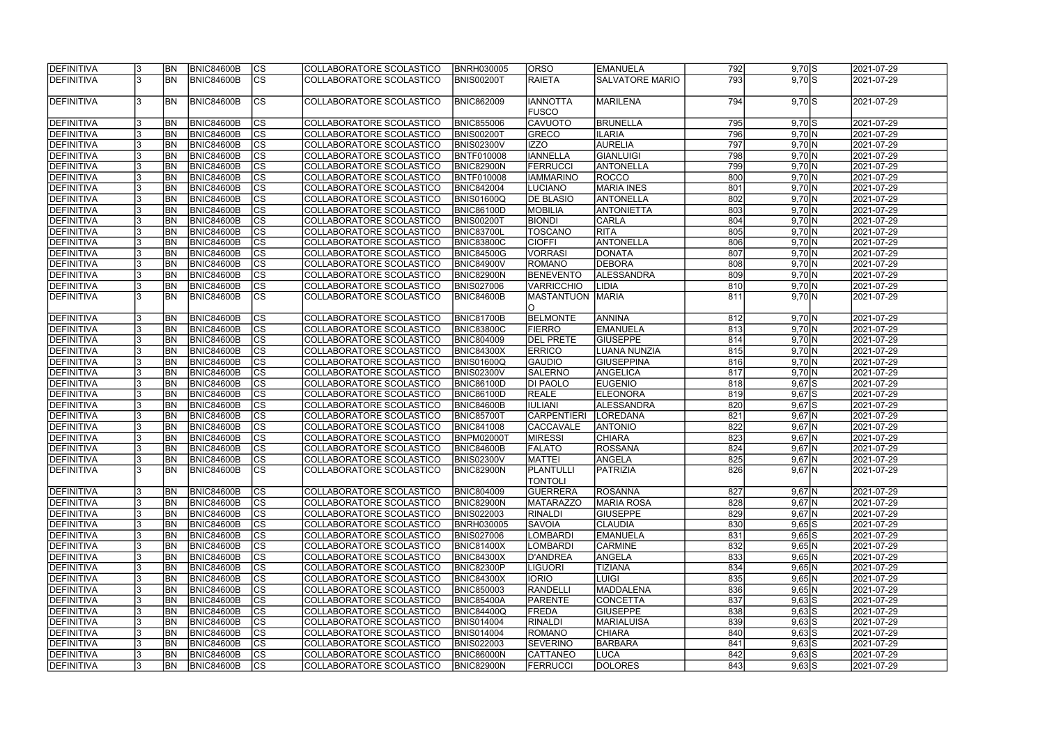| <b>DEFINITIVA</b>                      | <b>BN</b> | BNIC84600B                             | CS                       | COLLABORATORE SCOLASTICO                             | <b>BNRH030005</b> | <b>ORSO</b>                     | <b>EMANUELA</b>        | 792        | $9,70$ $S$             | 2021-07-29 |
|----------------------------------------|-----------|----------------------------------------|--------------------------|------------------------------------------------------|-------------------|---------------------------------|------------------------|------------|------------------------|------------|
| DEFINITIVA                             | <b>BN</b> | BNIC84600B                             | $\overline{\text{CS}}$   | COLLABORATORE SCOLASTICO                             | <b>BNIS00200T</b> | <b>RAIETA</b>                   | <b>SALVATORE MARIO</b> | 793        | $9,70$ $S$             | 2021-07-29 |
|                                        |           |                                        |                          |                                                      |                   |                                 |                        |            |                        |            |
| <b>DEFINITIVA</b>                      | <b>BN</b> | BNIC84600B                             | $\overline{\text{CS}}$   | COLLABORATORE SCOLASTICO                             | <b>BNIC862009</b> | <b>IANNOTTA</b><br><b>FUSCO</b> | MARILENA               | 794        | $9,70$ S               | 2021-07-29 |
| DEFINITIVA                             | <b>BN</b> | <b>BNIC84600B</b>                      | <b>CS</b>                | COLLABORATORE SCOLASTICO                             | <b>BNIC855006</b> | <b>CAVUOTO</b>                  | <b>BRUNELLA</b>        | 795        | $9,70$ $S$             | 2021-07-29 |
| <b>DEFINITIVA</b>                      | <b>BN</b> | <b>BNIC84600B</b>                      | CS                       | COLLABORATORE SCOLASTICO                             | <b>BNIS00200T</b> | <b>GRECO</b>                    | <b>ILARIA</b>          | 796        | 9,70 N                 | 2021-07-29 |
| DEFINITIVA                             | <b>BN</b> | <b>BNIC84600B</b>                      | $\overline{\text{CS}}$   | COLLABORATORE SCOLASTICO                             | <b>BNIS02300V</b> | <b>IZZO</b>                     | <b>AURELIA</b>         | 797        | 9,70 N                 | 2021-07-29 |
| <b>DEFINITIVA</b>                      | <b>BN</b> | <b>BNIC84600B</b>                      | cs                       | COLLABORATORE SCOLASTICO                             | <b>BNTF010008</b> | <b>IANNELLA</b>                 | GIANLUIGI              | 798        | 9,70 N                 | 2021-07-29 |
| DEFINITIVA                             | <b>BN</b> | <b>BNIC84600B</b>                      | cs                       | COLLABORATORE SCOLASTICO                             | <b>BNIC82900N</b> | FERRUCCI                        | <b>ANTONELLA</b>       | 799        | 9,70 N                 | 2021-07-29 |
| <b>DEFINITIVA</b>                      | <b>BN</b> | <b>BNIC84600B</b>                      | $\overline{\text{cs}}$   | COLLABORATORE SCOLASTICO                             | <b>BNTF010008</b> | <b>IAMMARINO</b>                | ROCCO                  | 800        | 9,70 N                 | 2021-07-29 |
| DEFINITIVA                             | BN        | <b>BNIC84600B</b>                      | $ \overline{\text{CS}} $ | COLLABORATORE SCOLASTICO                             | <b>BNIC842004</b> | <b>LUCIANO</b>                  | <b>MARIA INES</b>      | 801        | 9,70 N                 | 2021-07-29 |
| DEFINITIVA                             | <b>BN</b> | <b>BNIC84600B</b>                      | <b>CS</b>                | COLLABORATORE SCOLASTICO                             | <b>BNIS01600Q</b> | <b>DE BLASIO</b>                | <b>ANTONELLA</b>       | 802        | 9,70 N                 | 2021-07-29 |
| <b>DEFINITIVA</b>                      | <b>BN</b> | <b>BNIC84600B</b>                      | cs                       | COLLABORATORE SCOLASTICO                             | <b>BNIC86100D</b> | <b>MOBILIA</b>                  | <b>ANTONIETTA</b>      | 803        | 9,70 N                 | 2021-07-29 |
| DEFINITIVA                             | <b>BN</b> | <b>BNIC84600B</b>                      | $\overline{\text{CS}}$   | COLLABORATORE SCOLASTICO                             | <b>BNIS00200T</b> | <b>BIONDI</b>                   | <b>CARLA</b>           | 804        | $9,70 \overline{N}$    | 2021-07-29 |
| DEFINITIVA                             | <b>BN</b> | <b>BNIC84600B</b>                      | $\overline{\text{cs}}$   | COLLABORATORE SCOLASTICO                             | <b>BNIC83700L</b> | <b>TOSCANO</b>                  | <b>RITA</b>            | 805        | 9,70 N                 | 2021-07-29 |
| <b>DEFINITIVA</b>                      | <b>BN</b> | <b>BNIC84600B</b>                      | $\overline{\text{cs}}$   | COLLABORATORE SCOLASTICO                             | <b>BNIC83800C</b> | <b>CIOFFI</b>                   | ANTONELLA              | 806        | 9,70 N                 | 2021-07-29 |
| <b>DEFINITIVA</b>                      | <b>BN</b> | <b>BNIC84600B</b>                      | $ \overline{\text{CS}} $ | COLLABORATORE SCOLASTICO                             | <b>BNIC84500G</b> | <b>VORRASI</b>                  | <b>DONATA</b>          | 807        | 9,70 N                 | 2021-07-29 |
| <b>DEFINITIVA</b>                      | <b>BN</b> | <b>BNIC84600B</b>                      | $ \overline{\text{CS}} $ | COLLABORATORE SCOLASTICO                             | BNIC84900V        | <b>ROMANO</b>                   | <b>DEBORA</b>          | 808        | 9,70 N                 | 2021-07-29 |
| DEFINITIVA                             | BN        | <b>BNIC84600B</b>                      | $\overline{\text{CS}}$   | COLLABORATORE SCOLASTICO                             | BNIC82900N        | <b>BENEVENTO</b>                | ALESSANDRA             | 809        | 9,70 N                 | 2021-07-29 |
| DEFINITIVA                             | BN        | <b>BNIC84600B</b>                      | $ \overline{\text{CS}} $ | COLLABORATORE SCOLASTICO                             | <b>BNIS027006</b> | <b>VARRICCHIO</b>               | <b>LIDIA</b>           | 810        | 9,70 N                 | 2021-07-29 |
| <b>DEFINITIVA</b>                      | BN        | <b>BNIC84600B</b>                      | <b>CS</b>                | COLLABORATORE SCOLASTICO                             | BNIC84600B        | <b>MASTANTUON</b>               | <b>MARIA</b>           | 811        | 9,70 N                 | 2021-07-29 |
|                                        |           |                                        |                          |                                                      |                   | IO.                             |                        |            |                        |            |
| <b>DEFINITIVA</b>                      | <b>BN</b> | <b>BNIC84600B</b>                      | <b>CS</b>                | COLLABORATORE SCOLASTICO                             | <b>BNIC81700B</b> | BELMONTE                        | ANNINA                 | 812        | 9,70 N                 | 2021-07-29 |
| <b>DEFINITIVA</b>                      | <b>BN</b> | <b>BNIC84600B</b>                      | lcs                      | COLLABORATORE SCOLASTICO                             | <b>BNIC83800C</b> | <b>FIERRO</b>                   | <b>EMANUELA</b>        | 813        | 9,70 N                 | 2021-07-29 |
| DEFINITIVA                             | <b>BN</b> | <b>BNIC84600B</b>                      | CS                       | COLLABORATORE SCOLASTICO                             | <b>BNIC804009</b> | <b>DEL PRETE</b>                | <b>GIUSEPPE</b>        | 814        | 9,70 N                 | 2021-07-29 |
| DEFINITIVA                             | <b>BN</b> | <b>BNIC84600B</b>                      | cs                       | COLLABORATORE SCOLASTICO                             | <b>BNIC84300X</b> | <b>ERRICO</b>                   | <b>LUANA NUNZIA</b>    | 815        | 9,70 N                 | 2021-07-29 |
| DEFINITIVA                             | <b>BN</b> | <b>BNIC84600B</b>                      | cs                       | COLLABORATORE SCOLASTICO                             | <b>BNIS01600Q</b> | <b>GAUDIO</b>                   | <b>GIUSEPPINA</b>      | 816        | 9,70 N                 | 2021-07-29 |
| DEFINITIVA                             | <b>BN</b> | <b>BNIC84600B</b>                      | cs                       | COLLABORATORE SCOLASTICO                             | <b>BNIS02300V</b> | <b>SALERNO</b>                  | ANGELICA               | 817        | 9,70 N                 | 2021-07-29 |
| <b>DEFINITIVA</b>                      | <b>BN</b> | <b>BNIC84600B</b>                      | CS                       | COLLABORATORE SCOLASTICO                             | <b>BNIC86100D</b> | <b>DI PAOLO</b>                 | <b>EUGENIO</b>         | 818        | $9,67$ S               | 2021-07-29 |
| <b>DEFINITIVA</b>                      | <b>BN</b> | <b>BNIC84600B</b>                      | $ \mathsf{CS} $          | COLLABORATORE SCOLASTICO                             | <b>BNIC86100D</b> | <b>REALE</b>                    | <b>ELEONORA</b>        | 819        | $9,67$ $S$             | 2021-07-29 |
| <b>DEFINITIVA</b>                      | BN        | <b>BNIC84600B</b>                      | $\overline{\text{CS}}$   | COLLABORATORE SCOLASTICO                             | <b>BNIC84600B</b> | <b>IULIANI</b>                  | <b>ALESSANDRA</b>      | 820        | $9,67$ $S$             | 2021-07-29 |
| DEFINITIVA                             | <b>BN</b> | <b>BNIC84600B</b>                      | $\overline{\text{cs}}$   | COLLABORATORE SCOLASTICO                             | <b>BNIC85700T</b> | <b>CARPENTIERI</b>              | LOREDANA               | 821        | $9,67$ N               | 2021-07-29 |
| DEFINITIVA                             | <b>BN</b> | <b>BNIC84600B</b>                      | cs                       | COLLABORATORE SCOLASTICO                             | <b>BNIC841008</b> | <b>CACCAVALE</b>                | <b>ANTONIO</b>         | 822        | $9,67$ N               | 2021-07-29 |
| DEFINITIVA                             | <b>BN</b> | <b>BNIC84600B</b>                      | $\overline{\text{cs}}$   | COLLABORATORE SCOLASTICO                             | BNPM02000T        | <b>MIRESSI</b>                  | <b>CHIARA</b>          | 823        | $9,67$ N               | 2021-07-29 |
| <b>DEFINITIVA</b>                      | <b>BN</b> | <b>BNIC84600B</b>                      | $\overline{\text{CS}}$   | COLLABORATORE SCOLASTICO                             | <b>BNIC84600B</b> | <b>FALATO</b>                   | ROSSANA                | 824        | $9,67$ N               | 2021-07-29 |
| <b>DEFINITIVA</b>                      | IBN       | <b>BNIC84600B</b>                      |                          | COLLABORATORE SCOLASTICO                             | <b>BNIS02300V</b> | <b>MATTEI</b>                   | ANGELA                 |            |                        | 2021-07-29 |
| <b>DEFINITIVA</b>                      | <b>BN</b> | BNIC84600B                             | CS <br>lcs               | COLLABORATORE SCOLASTICO                             | <b>BNIC82900N</b> | <b>PLANTULLI</b>                | PATRIZIA               | 825<br>826 | 9,67   N<br>$9,67$ N   | 2021-07-29 |
|                                        |           |                                        |                          |                                                      |                   | <b>TONTOLI</b>                  |                        |            |                        |            |
| <b>DEFINITIVA</b>                      | <b>BN</b> | BNIC84600B                             | CS                       | COLLABORATORE SCOLASTICO                             | <b>BNIC804009</b> | <b>GUERRERA</b>                 | ROSANNA                | 827        | $9,67$ N               | 2021-07-29 |
| DEFINITIVA                             | <b>BN</b> | BNIC84600B                             | CS                       | COLLABORATORE SCOLASTICO                             | <b>BNIC82900N</b> | <b>MATARAZZO</b>                | MARIA ROSA             | 828        | $9,67$ N               | 2021-07-29 |
| <b>DEFINITIVA</b>                      | <b>BN</b> | <b>BNIC84600B</b>                      | CS                       | COLLABORATORE SCOLASTICO                             | <b>BNIS022003</b> | <b>RINALDI</b>                  | <b>GIUSEPPE</b>        | 829        | $9,67$ N               | 2021-07-29 |
| <b>DEFINITIVA</b>                      | <b>BN</b> | <b>BNIC84600B</b>                      | CS                       | COLLABORATORE SCOLASTICO                             | <b>BNRH030005</b> | <b>SAVOIA</b>                   | <b>CLAUDIA</b>         | 830        | $9,65$ S               | 2021-07-29 |
| <b>DEFINITIVA</b>                      | <b>BN</b> | BNIC84600B                             | CS                       | COLLABORATORE SCOLASTICO                             | <b>BNIS027006</b> | <b>LOMBARDI</b>                 | <b>EMANUELA</b>        | 831        | $9,65$ S               | 2021-07-29 |
| DEFINITIVA                             | <b>BN</b> | BNIC84600B                             | cs                       | COLLABORATORE SCOLASTICO                             | <b>BNIC81400X</b> | <b>LOMBARDI</b>                 | <b>CARMINE</b>         | 832        | $9,65$ N               | 2021-07-29 |
| <b>DEFINITIVA</b>                      | <b>BN</b> | BNIC84600B                             | CS                       | COLLABORATORE SCOLASTICO                             | <b>BNIC84300X</b> | D'ANDREA                        | ANGELA                 | 833        | $9,65$ N               | 2021-07-29 |
| <b>DEFINITIVA</b>                      | <b>BN</b> | BNIC84600B                             | CS                       | COLLABORATORE SCOLASTICO                             | <b>BNIC82300P</b> | <b>LIGUORI</b>                  | <b>TIZIANA</b>         | 834        | $9,65$ N               | 2021-07-29 |
| DEFINITIVA                             | <b>BN</b> | BNIC84600B                             | $\overline{\text{CS}}$   | COLLABORATORE SCOLASTICO                             | <b>BNIC84300X</b> | <b>IORIO</b>                    | LUIGI                  | 835        | $9,65$ N               | 2021-07-29 |
| <b>DEFINITIVA</b>                      | <b>BN</b> | BNIC84600B                             | cs                       | COLLABORATORE SCOLASTICO                             | <b>BNIC850003</b> | <b>RANDELLI</b>                 | MADDALENA              | 836        | 9,65 N                 | 2021-07-29 |
| DEFINITIVA                             | <b>BN</b> | <b>BNIC84600B</b>                      | cs                       |                                                      | <b>BNIC85400A</b> | PARENTE                         | CONCETTA               | 837        |                        | 2021-07-29 |
| <b>DEFINITIVA</b>                      | <b>BN</b> | <b>BNIC84600B</b>                      | cs                       | COLLABORATORE SCOLASTICO<br>COLLABORATORE SCOLASTICO | <b>BNIC84400Q</b> | FREDA                           | <b>GIUSEPPE</b>        | 838        | $9,63$ S<br>$9,63$ $S$ | 2021-07-29 |
| <b>DEFINITIVA</b>                      | <b>BN</b> | <b>BNIC84600B</b>                      | CS                       | COLLABORATORE SCOLASTICO                             | <b>BNIS014004</b> | <b>RINALDI</b>                  | <b>MARIALUISA</b>      | 839        | $9,63$ S               | 2021-07-29 |
|                                        |           |                                        |                          |                                                      |                   |                                 |                        |            |                        |            |
| <b>DEFINITIVA</b><br><b>DEFINITIVA</b> | <b>BN</b> | <b>BNIC84600B</b><br><b>BNIC84600B</b> | <b>CS</b><br>lcs         | COLLABORATORE SCOLASTICO                             | <b>BNIS014004</b> | ROMANO                          | <b>CHIARA</b>          | 840<br>841 | $9,63$ S               | 2021-07-29 |
|                                        | IBN.      |                                        |                          | COLLABORATORE SCOLASTICO                             | <b>BNIS022003</b> | <b>SEVERINO</b>                 | BARBARA                |            | $9,63$ S               | 2021-07-29 |
| <b>DEFINITIVA</b>                      | BN        | <b>BNIC84600B</b>                      | CS                       | COLLABORATORE SCOLASTICO                             | <b>BNIC86000N</b> | <b>CATTANEO</b>                 | LUCA                   | 842        | $9,63$ $S$             | 2021-07-29 |
| <b>DEFINITIVA</b>                      | <b>BN</b> | <b>BNIC84600B</b>                      | lcs                      | COLLABORATORE SCOLASTICO                             | <b>BNIC82900N</b> | FERRUCCI                        | DOLORES                | 843        | $9,63$ $S$             | 2021-07-29 |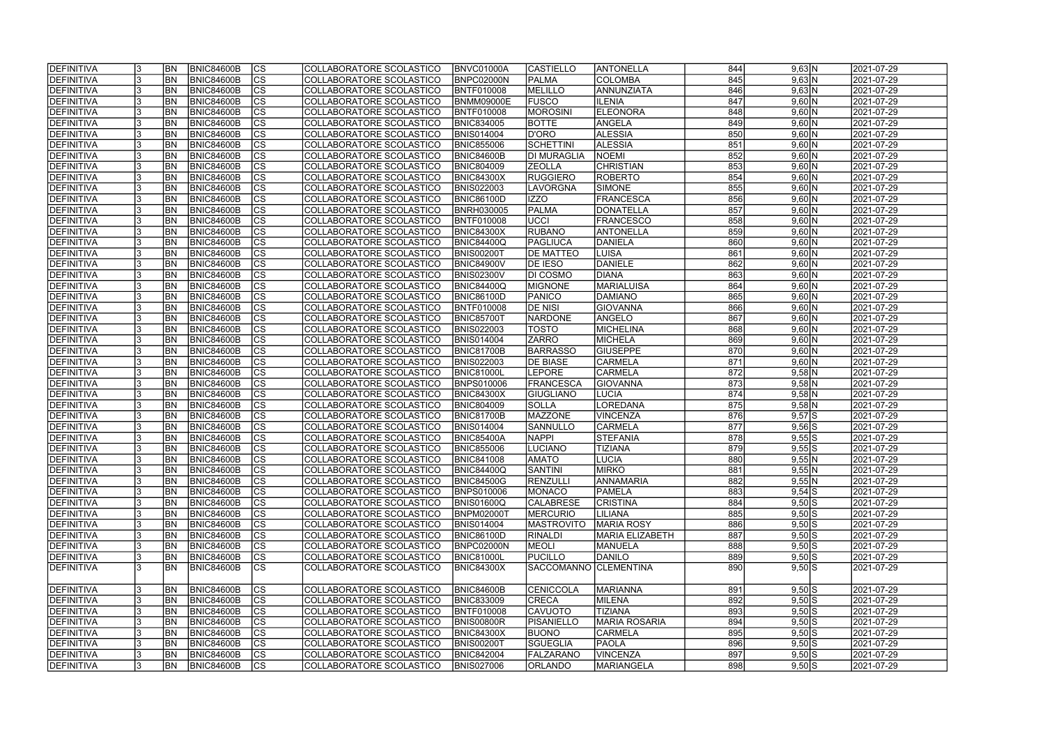| DEFINITIVA        |    | <b>BN</b>      | <b>BNIC84600B</b> | <sub>Ics</sub> | COLLABORATORE SCOLASTICO        | BNVC01000A        | <b>CASTIELLO</b>      | ANTONELLA               | 844 | 9,63 N                    | 2021-07-29 |
|-------------------|----|----------------|-------------------|----------------|---------------------------------|-------------------|-----------------------|-------------------------|-----|---------------------------|------------|
| DEFINITIVA        |    | <b>BN</b>      | <b>BNIC84600B</b> | cs             | COLLABORATORE SCOLASTICO        | BNPC02000N        | PALMA                 | <b>COLOMBA</b>          | 845 | 9,63 N                    | 2021-07-29 |
| DEFINITIVA        |    | BN             | <b>BNIC84600B</b> | cs             | COLLABORATORE SCOLASTICO        | <b>BNTF010008</b> | MELILLO               | ANNUNZIATA              | 846 | 9,63 N                    | 2021-07-29 |
| DEFINITIVA        |    | BN             | <b>BNIC84600B</b> | $\overline{c}$ | COLLABORATORE SCOLASTICO        | <b>BNMM09000E</b> | <b>FUSCO</b>          | <b>ILENIA</b>           | 847 | $9,60$ N                  | 2021-07-29 |
| DEFINITIVA        |    | BN             | <b>BNIC84600B</b> | cs             | COLLABORATORE SCOLASTICO        | <b>BNTF010008</b> | <b>MOROSINI</b>       | <b>ELEONORA</b>         | 848 | 9,60 N                    | 2021-07-29 |
| DEFINITIVA        |    | BN             | <b>BNIC84600B</b> | cs             | COLLABORATORE SCOLASTICO        | <b>BNIC834005</b> | <b>BOTTE</b>          | ANGELA                  | 849 | 9,60 N                    | 2021-07-29 |
| DEFINITIVA        |    | BN             | <b>BNIC84600B</b> | cs             | COLLABORATORE SCOLASTICO        | <b>BNIS014004</b> | D'ORO                 | <b>ALESSIA</b>          | 850 | 9,60 N                    | 2021-07-29 |
| DEFINITIVA        |    | <b>BN</b>      | <b>BNIC84600B</b> | cs             | COLLABORATORE SCOLASTICO        | <b>BNIC855006</b> | <b>SCHETTINI</b>      | <b>ALESSIA</b>          | 851 | 9,60 N                    | 2021-07-29 |
| DEFINITIVA        |    | <b>BN</b>      | <b>BNIC84600B</b> | cs             | COLLABORATORE SCOLASTICO        | <b>BNIC84600B</b> | <b>DI MURAGLIA</b>    | NOEMI                   | 852 | 9,60 N                    | 2021-07-29 |
| DEFINITIVA        |    | <b>BN</b>      | <b>BNIC84600B</b> | cs             | COLLABORATORE SCOLASTICO        | <b>BNIC804009</b> | <b>ZEOLLA</b>         | <b>CHRISTIAN</b>        | 853 | 9,60 N                    | 2021-07-29 |
| DEFINITIVA        |    | <b>BN</b>      | <b>BNIC84600B</b> | cs             | COLLABORATORE SCOLASTICO        | <b>BNIC84300X</b> | <b>RUGGIERO</b>       | ROBERTO                 | 854 | 9,60 N                    | 2021-07-29 |
| DEFINITIVA        |    | <b>BN</b>      | <b>BNIC84600B</b> | $ {\rm cs} $   | COLLABORATORE SCOLASTICO        | <b>BNIS022003</b> | LAVORGNA              | SIMONE                  | 855 | 9,60 N                    | 2021-07-29 |
| DEFINITIVA        |    | <b>BN</b>      | <b>BNIC84600B</b> | $ {\rm CS} $   | COLLABORATORE SCOLASTICO        | <b>BNIC86100D</b> | IZZO                  | FRANCESCA               | 856 | 9,60 N                    | 2021-07-29 |
| DEFINITIVA        |    | <b>BN</b>      | <b>BNIC84600B</b> | cs             | COLLABORATORE SCOLASTICO        | <b>BNRH030005</b> | PALMA                 | DONATELLA               | 857 | 9,60 N                    | 2021-07-29 |
| DEFINITIVA        |    | <b>BN</b>      | <b>BNIC84600B</b> | cs             | COLLABORATORE SCOLASTICO        | <b>BNTF010008</b> | <b>UCCI</b>           | <b>FRANCESCO</b>        | 858 | 9,60 N                    | 2021-07-29 |
| DEFINITIVA        |    | <b>BN</b>      | <b>BNIC84600B</b> | cs             | COLLABORATORE SCOLASTICO        | <b>BNIC84300X</b> | <b>RUBANO</b>         | <b>ANTONELLA</b>        | 859 | 9,60 N                    | 2021-07-29 |
| DEFINITIVA        |    | <b>BN</b>      | <b>BNIC84600B</b> | cs             | COLLABORATORE SCOLASTICO        | <b>BNIC84400Q</b> | PAGLIUCA              | DANIELA                 | 860 | 9,60 N                    | 2021-07-29 |
|                   |    | <b>BN</b>      |                   | cs             |                                 |                   |                       |                         | 861 |                           |            |
| DEFINITIVA        |    | BN             | <b>BNIC84600B</b> | cs             | COLLABORATORE SCOLASTICO        | BNIS00200T        | <b>DE MATTEO</b>      | LUISA<br><b>DANIELE</b> | 862 | 9,60 N                    | 2021-07-29 |
| <b>DEFINITIVA</b> |    |                | <b>BNIC84600B</b> |                | COLLABORATORE SCOLASTICO        | <b>BNIC84900V</b> | <b>DE IESO</b>        |                         |     | 9,60 N                    | 2021-07-29 |
| <b>DEFINITIVA</b> |    | BN             | <b>BNIC84600B</b> | cs             | COLLABORATORE SCOLASTICO        | <b>BNIS02300V</b> | <b>DI COSMO</b>       | <b>DIANA</b>            | 863 | 9,60 N                    | 2021-07-29 |
| <b>DEFINITIVA</b> |    | BN             | <b>BNIC84600B</b> | <b>CS</b>      | COLLABORATORE SCOLASTICO        | <b>BNIC84400Q</b> | <b>MIGNONE</b>        | <b>MARIALUISA</b>       | 864 | $9,60\overline{\text{N}}$ | 2021-07-29 |
| <b>DEFINITIVA</b> |    | BN             | <b>BNIC84600B</b> | <b>CS</b>      | COLLABORATORE SCOLASTICO        | <b>BNIC86100D</b> | PANICO                | <b>DAMIANO</b>          | 865 | 9,60 N                    | 2021-07-29 |
| DEFINITIVA        |    | BN             | <b>BNIC84600B</b> | <b>CS</b>      | COLLABORATORE SCOLASTICO        | <b>BNTF010008</b> | <b>DE NISI</b>        | <b>GIOVANNA</b>         | 866 | 9,60 N                    | 2021-07-29 |
| DEFINITIVA        |    | <b>BN</b>      | <b>BNIC84600B</b> | CS             | COLLABORATORE SCOLASTICO        | <b>BNIC85700T</b> | <b>NARDONE</b>        | ANGELO                  | 867 | 9,60 N                    | 2021-07-29 |
| DEFINITIVA        |    | <b>BN</b>      | <b>BNIC84600B</b> | <sub>lcs</sub> | COLLABORATORE SCOLASTICO        | <b>BNIS022003</b> | TOSTO                 | MICHELINA               | 868 | 9,60 N                    | 2021-07-29 |
| DEFINITIVA        |    | <b>BN</b>      | <b>BNIC84600B</b> | $ {\rm cs} $   | COLLABORATORE SCOLASTICO        | <b>BNIS014004</b> | <b>ZARRO</b>          | MICHELA                 | 869 | 9,60 N                    | 2021-07-29 |
| DEFINITIVA        |    | BN             | <b>BNIC84600B</b> | $ {\rm cs} $   | COLLABORATORE SCOLASTICO        | BNIC81700B        | <b>BARRASSO</b>       | <b>GIUSEPPE</b>         | 870 | 9,60 N                    | 2021-07-29 |
| DEFINITIVA        |    | <b>BN</b>      | <b>BNIC84600B</b> | $ {\rm cs} $   | COLLABORATORE SCOLASTICO        | <b>BNIS022003</b> | <b>DE BIASE</b>       | <b>CARMELA</b>          | 871 | 9,60 N                    | 2021-07-29 |
| DEFINITIVA        |    | <b>BN</b>      | <b>BNIC84600B</b> | cs             | COLLABORATORE SCOLASTICO        | <b>BNIC81000L</b> | <b>LEPORE</b>         | <b>CARMELA</b>          | 872 | $9,58$ N                  | 2021-07-29 |
| DEFINITIVA        |    | <b>BN</b>      | <b>BNIC84600B</b> | $ {\rm cs} $   | COLLABORATORE SCOLASTICO        | <b>BNPS010006</b> | FRANCESCA             | GIOVANNA                | 873 | $9,58$ N                  | 2021-07-29 |
| DEFINITIVA        |    | <b>BN</b>      | <b>BNIC84600B</b> | cs             | COLLABORATORE SCOLASTICO        | <b>BNIC84300X</b> | <b>GIUGLIANO</b>      | LUCIA                   | 874 | $9,58$ N                  | 2021-07-29 |
| DEFINITIVA        |    | <b>BN</b>      | <b>BNIC84600B</b> | cs             | COLLABORATORE SCOLASTICO        | <b>BNIC804009</b> | <b>SOLLA</b>          | LOREDANA                | 875 | $9,58$ N                  | 2021-07-29 |
| DEFINITIVA        |    | <b>BN</b>      | <b>BNIC84600B</b> | $\overline{c}$ | <b>COLLABORATORE SCOLASTICO</b> | <b>BNIC81700B</b> | MAZZONE               | VINCENZA                | 876 | $9,57$ $S$                | 2021-07-29 |
| DEFINITIVA        |    | <b>BN</b>      | <b>BNIC84600B</b> | cs             | COLLABORATORE SCOLASTICO        | <b>BNIS014004</b> | SANNULLO              | <b>CARMELA</b>          | 877 | $9,56$ S                  | 2021-07-29 |
| DEFINITIVA        |    | <b>BN</b>      | <b>BNIC84600B</b> | $\overline{c}$ | COLLABORATORE SCOLASTICO        | BNIC85400A        | <b>NAPPI</b>          | STEFANIA                | 878 | 9,55S                     | 2021-07-29 |
| DEFINITIVA        |    | BN             | <b>BNIC84600B</b> | cs             | COLLABORATORE SCOLASTICO        | <b>BNIC855006</b> | <b>LUCIANO</b>        | <b>TIZIANA</b>          | 879 | 9,55S                     | 2021-07-29 |
| <b>DEFINITIVA</b> | 13 | <b>BN</b>      | BNIC84600B        | CS             | COLLABORATORE SCOLASTICO        | <b>BNIC841008</b> | <b>AMATO</b>          | <b>LUCIA</b>            | 880 | 9,55 N                    | 2021-07-29 |
| DEFINITIVA        |    | <b>BN</b>      | BNIC84600B        | $ {\rm CS} $   | COLLABORATORE SCOLASTICO        | <b>BNIC84400Q</b> | <b>SANTINI</b>        | <b>MIRKO</b>            | 881 | $9,55$ N                  | 2021-07-29 |
| DEFINITIVA        |    | BN             | <b>BNIC84600B</b> | <sub>Ics</sub> | COLLABORATORE SCOLASTICO        | <b>BNIC84500G</b> | RENZULLI              | <b>ANNAMARIA</b>        | 882 | 9,55 N                    | 2021-07-29 |
| DEFINITIVA        |    | <b>BN</b>      | <b>BNIC84600B</b> | CS             | COLLABORATORE SCOLASTICO        | <b>BNPS010006</b> | <b>MONACO</b>         | <b>PAMELA</b>           | 883 | $9,54$ $S$                | 2021-07-29 |
| DEFINITIVA        | 13 | <b>BN</b>      | <b>BNIC84600B</b> | <sub>Ics</sub> | COLLABORATORE SCOLASTICO        | <b>BNIS01600Q</b> | <b>CALABRESE</b>      | <b>CRISTINA</b>         | 884 | $9,50$ S                  | 2021-07-29 |
| DEFINITIVA        |    | <b>BN</b>      | <b>BNIC84600B</b> | $ {\rm CS} $   | COLLABORATORE SCOLASTICO        | <b>BNPM02000T</b> | <b>MERCURIO</b>       | LILIANA                 | 885 | $9,50$ S                  | 2021-07-29 |
| DEFINITIVA        |    | <b>BN</b>      | <b>BNIC84600B</b> | <sub>Ics</sub> | COLLABORATORE SCOLASTICO        | <b>BNIS014004</b> | <b>MASTROVITO</b>     | <b>MARIA ROSY</b>       | 886 | $9,50$ S                  | 2021-07-29 |
| <b>DEFINITIVA</b> |    | <b>BN</b>      | <b>BNIC84600B</b> | <sub>Ics</sub> | COLLABORATORE SCOLASTICO        | <b>BNIC86100D</b> | <b>RINALDI</b>        | MARIA ELIZABETH         | 887 | $9,50$ S                  | 2021-07-29 |
| DEFINITIVA        |    | <b>BN</b>      | <b>BNIC84600B</b> | cs             | COLLABORATORE SCOLASTICO        | BNPC02000N        | MEOLI                 | <b>MANUELA</b>          | 888 | $9,50$ S                  | 2021-07-29 |
| DEFINITIVA        |    | BN <sub></sub> | <b>BNIC84600B</b> | $ {\rm CS} $   | COLLABORATORE SCOLASTICO        | <b>BNIC81000L</b> | <b>PUCILLO</b>        | DANILO                  | 889 | $9,50$ S                  | 2021-07-29 |
| DEFINITIVA        |    | BN             | BNIC84600B        | <sub>Ics</sub> | COLLABORATORE SCOLASTICO        | <b>BNIC84300X</b> | SACCOMANNO CLEMENTINA |                         | 890 | $9,50$ S                  | 2021-07-29 |
| DEFINITIVA        |    | <b>BN</b>      | <b>BNIC84600B</b> | $ {\rm CS} $   | COLLABORATORE SCOLASTICO        | <b>BNIC84600B</b> | CENICCOLA             | MARIANNA                | 891 | $9,50$ $S$                | 2021-07-29 |
| <b>DEFINITIVA</b> |    | <b>BN</b>      | <b>BNIC84600B</b> | cs             | COLLABORATORE SCOLASTICO        | <b>BNIC833009</b> | <b>CRECA</b>          | MILENA                  | 892 | $9,50$ $S$                | 2021-07-29 |
| DEFINITIVA        |    | <b>BN</b>      | <b>BNIC84600B</b> | cs             | COLLABORATORE SCOLASTICO        | <b>BNTF010008</b> | <b>CAVUOTO</b>        | <b>TIZIANA</b>          | 893 | $9,50$ S                  | 2021-07-29 |
| DEFINITIVA        |    | BN             | <b>BNIC84600B</b> | cs             | COLLABORATORE SCOLASTICO        | <b>BNIS00800R</b> | PISANIELLO            | <b>MARIA ROSARIA</b>    | 894 | $9,50$ S                  | 2021-07-29 |
| <b>DEFINITIVA</b> |    | <b>BN</b>      | <b>BNIC84600B</b> | cs             | COLLABORATORE SCOLASTICO        | <b>BNIC84300X</b> | <b>BUONO</b>          | <b>CARMELA</b>          | 895 | $9,50$ S                  | 2021-07-29 |
| DEFINITIVA        |    | BN             | <b>BNIC84600B</b> | <sub>Ics</sub> | COLLABORATORE SCOLASTICO        | <b>BNIS00200T</b> | <b>SGUEGLIA</b>       | <b>PAOLA</b>            | 896 | $9,50$ S                  | 2021-07-29 |
| DEFINITIVA        |    | BN             | <b>BNIC84600B</b> | <sub>Ics</sub> | COLLABORATORE SCOLASTICO        | <b>BNIC842004</b> | FALZARANO             | <b>VINCENZA</b>         | 897 | $9,50$ S                  | 2021-07-29 |
| <b>DEFINITIVA</b> | 13 | <b>BN</b>      | <b>BNIC84600B</b> | <b>CS</b>      | COLLABORATORE SCOLASTICO        | <b>BNIS027006</b> | <b>ORLANDO</b>        | <b>MARIANGELA</b>       | 898 | $9,50$ S                  | 2021-07-29 |
|                   |    |                |                   |                |                                 |                   |                       |                         |     |                           |            |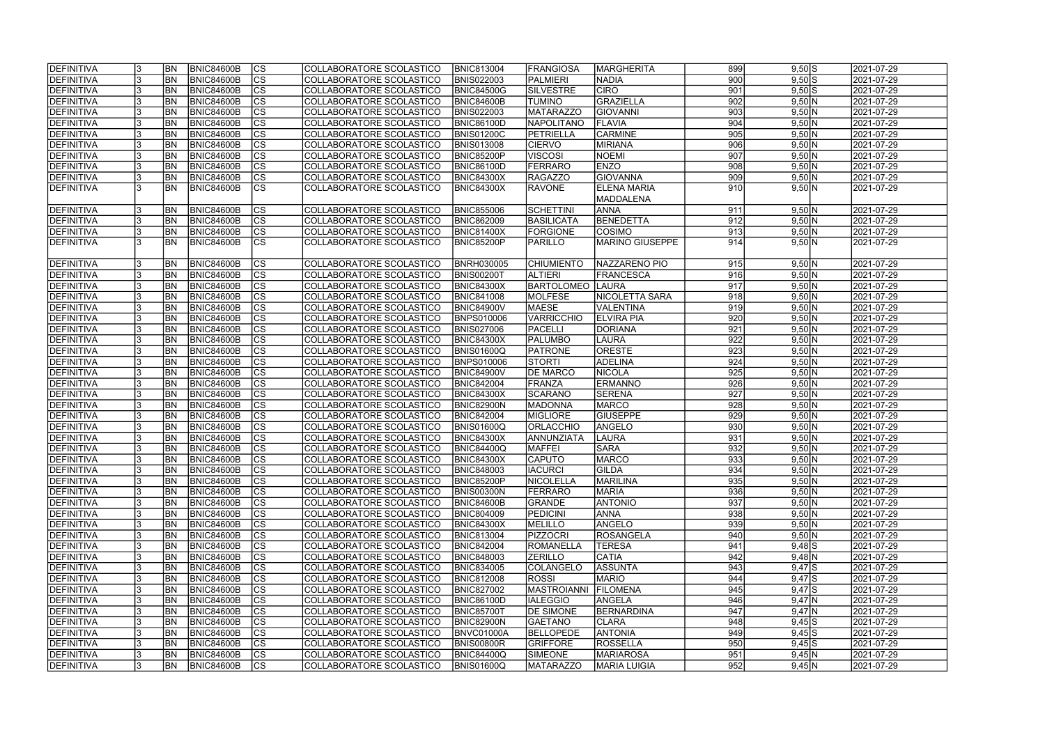| <b>DEFINITIVA</b> |     | <b>BN</b>              | <b>BNIC84600B</b>                      | <b>CS</b>                     | COLLABORATORE SCOLASTICO                             | <b>BNIC813004</b> | <b>FRANGIOSA</b>                  | <b>IMARGHERITA</b>              | 899                     | $9,50$ S    | 2021-07-29               |
|-------------------|-----|------------------------|----------------------------------------|-------------------------------|------------------------------------------------------|-------------------|-----------------------------------|---------------------------------|-------------------------|-------------|--------------------------|
| <b>DEFINITIVA</b> |     | <b>BN</b>              | <b>BNIC84600B</b>                      | $\overline{\text{cs}}$        | COLLABORATORE SCOLASTICO                             | <b>BNIS022003</b> | <b>PALMIERI</b>                   | <b>NADIA</b>                    | 900                     | $9,50$ S    | 2021-07-29               |
| DEFINITIVA        |     | <b>BN</b>              | <b>BNIC84600B</b>                      | $\overline{\text{cs}}$        | COLLABORATORE SCOLASTICO                             | <b>BNIC84500G</b> | <b>SILVESTRE</b>                  | <b>CIRO</b>                     | 901                     | $9,50$ S    | 2021-07-29               |
| DEFINITIVA        |     | <b>BN</b>              | BNIC84600B                             | $\overline{\text{cs}}$        | COLLABORATORE SCOLASTICO                             | BNIC84600B        | <b>TUMINO</b>                     | <b>GRAZIELLA</b>                | 902                     | $9,50$ N    | 2021-07-29               |
| <b>DEFINITIVA</b> |     | <b>BN</b>              | <b>BNIC84600B</b>                      | $\overline{\text{cs}}$        | COLLABORATORE SCOLASTICO                             | <b>BNIS022003</b> | <b>MATARAZZO</b>                  | GIOVANNI                        | 903                     | 9,50N       | 2021-07-29               |
| DEFINITIVA        |     | <b>BN</b>              | <b>BNIC84600B</b>                      | cs                            | COLLABORATORE SCOLASTICO                             | <b>BNIC86100D</b> | <b>NAPOLITANO</b>                 | <b>FLAVIA</b>                   | 904                     | 9,50 N      | 2021-07-29               |
| DEFINITIVA        |     | <b>BN</b>              | BNIC84600B                             | cs                            | COLLABORATORE SCOLASTICO                             | <b>BNIS01200C</b> | <b>PETRIELLA</b>                  | <b>CARMINE</b>                  | 905                     | 9,50 N      | 2021-07-29               |
| DEFINITIVA        |     | <b>BN</b>              | <b>BNIC84600B</b>                      | cs                            | COLLABORATORE SCOLASTICO                             | <b>BNIS013008</b> | <b>CIERVO</b>                     | MIRIANA                         | 906                     | 9,50 N      | 2021-07-29               |
| DEFINITIVA        |     | <b>BN</b>              | BNIC84600B                             | cs                            | COLLABORATORE SCOLASTICO                             | BNIC85200P        | <b>VISCOSI</b>                    | <b>NOEMI</b>                    | 907                     | 9,50 N      | 2021-07-29               |
| DEFINITIVA        |     | <b>BN</b>              | <b>BNIC84600B</b>                      | cs                            | COLLABORATORE SCOLASTICO                             | <b>BNIC86100D</b> | FERRARO                           | <b>ENZO</b>                     | 908                     | 9,50 N      | 2021-07-29               |
| DEFINITIVA        |     | <b>BN</b>              | BNIC84600B                             | <b>CS</b>                     | COLLABORATORE SCOLASTICO                             | <b>BNIC84300X</b> | <b>RAGAZZO</b>                    | GIOVANNA                        | 909                     | 9,50 N      | 2021-07-29               |
| DEFINITIVA        |     | <b>BN</b>              | BNIC84600B                             | <b>CS</b>                     | COLLABORATORE SCOLASTICO                             | <b>BNIC84300X</b> | <b>RAVONE</b>                     | <b>ELENA MARIA</b>              | 910                     | 9,50 N      | $[2021 - 07 - 29]$       |
|                   |     |                        |                                        |                               |                                                      |                   |                                   | <b>MADDALENA</b>                |                         |             |                          |
| DEFINITIVA        |     | <b>BN</b>              | BNIC84600B                             | <b>CS</b>                     | COLLABORATORE SCOLASTICO                             | <b>BNIC855006</b> | <b>SCHETTINI</b>                  | <b>ANNA</b>                     | 911                     | 9,50 N      | 2021-07-29               |
| DEFINITIVA        |     | <b>BN</b>              | <b>BNIC84600B</b>                      | $\overline{\text{cs}}$        | COLLABORATORE SCOLASTICO                             | <b>BNIC862009</b> | BASILICATA                        | BENEDETTA                       | 912                     | 9,50 N      | 2021-07-29               |
| DEFINITIVA        |     | <b>BN</b>              | <b>BNIC84600B</b>                      | $ \overline{\text{cs}} $      | COLLABORATORE SCOLASTICO                             | <b>BNIC81400X</b> | <b>FORGIONE</b>                   | <b>COSIMO</b>                   | 913                     | 9,50 N      | 2021-07-29               |
| <b>DEFINITIVA</b> |     | İBN                    | <b>BNIC84600B</b>                      | $\overline{\text{cs}}$        | COLLABORATORE SCOLASTICO                             | <b>BNIC85200P</b> | <b>PARILLO</b>                    | <b>MARINO GIUSEPPE</b>          | 914                     | 9,50 N      | 2021-07-29               |
|                   |     |                        |                                        |                               |                                                      |                   |                                   |                                 |                         |             |                          |
|                   |     |                        |                                        |                               |                                                      |                   |                                   |                                 |                         |             |                          |
| DEFINITIVA        |     | <b>BN</b>              | <b>BNIC84600B</b>                      | <b>CS</b><br> cs              | COLLABORATORE SCOLASTICO                             | <b>BNRH030005</b> | <b>CHIUMIENTO</b>                 | NAZZARENO PIO                   | 915                     | 9,50 N      | 2021-07-29               |
| DEFINITIVA        |     | <b>BN</b>              | BNIC84600B                             |                               | COLLABORATORE SCOLASTICO                             | <b>BNIS00200T</b> | ALTIERI                           | <b>FRANCESCA</b>                | 916<br>917              | 9,50 N      | 2021-07-29               |
| <b>DEFINITIVA</b> |     | <b>BN</b>              | BNIC84600B                             | cs                            | COLLABORATORE SCOLASTICO                             | <b>BNIC84300X</b> | <b>BARTOLOMEO</b>                 | <b>LAURA</b><br>NICOLETTA SARA  |                         | 9,50 N      | 2021-07-29               |
| DEFINITIVA        |     | <b>BN</b>              | <b>BNIC84600B</b>                      | cs                            | COLLABORATORE SCOLASTICO                             | <b>BNIC841008</b> | <b>MOLFESE</b>                    |                                 | 918                     | 9,50 N      | 2021-07-29               |
| DEFINITIVA        |     | <b>BN</b>              | <b>BNIC84600B</b><br><b>BNIC84600B</b> | CS                            | COLLABORATORE SCOLASTICO                             | <b>BNIC84900V</b> | <b>MAESE</b>                      | VALENTINA                       | 919                     | 9,50 N      | 2021-07-29               |
| DEFINITIVA        |     | <b>BN</b>              |                                        | <b>CS</b>                     | COLLABORATORE SCOLASTICO                             | <b>BNPS010006</b> | <b>VARRICCHIO</b>                 | <b>ELVIRA PIA</b>               | 920                     | 9,50 N      | 2021-07-29               |
| DEFINITIVA        | 13. | <b>BN</b>              | <b>BNIC84600B</b>                      | cs                            | COLLABORATORE SCOLASTICO                             | <b>BNIS027006</b> | PACELLI                           | DORIANA                         | 921                     | 9,50 N      | 2021-07-29               |
| DEFINITIVA        |     | <b>BN</b>              | <b>BNIC84600B</b>                      | <sub>cs</sub>                 | COLLABORATORE SCOLASTICO                             | <b>BNIC84300X</b> | <b>PALUMBO</b>                    | <b>LAURA</b>                    | 922                     | 9,50 N      | 2021-07-29               |
| DEFINITIVA        |     | <b>BN</b>              | <b>BNIC84600B</b>                      | cs                            | COLLABORATORE SCOLASTICO                             | <b>BNIS01600Q</b> | <b>PATRONE</b>                    | <b>ORESTE</b>                   | 923                     | 9,50 N      | 2021-07-29               |
| DEFINITIVA        |     | <b>BN</b>              | <b>BNIC84600B</b>                      | cs                            | COLLABORATORE SCOLASTICO                             | <b>BNPS010006</b> | <b>STORTI</b>                     | <b>ADELINA</b>                  | 924                     | 9,50 N      | 2021-07-29               |
| DEFINITIVA        |     | <b>BN</b>              | <b>BNIC84600B</b>                      | cs                            | COLLABORATORE SCOLASTICO                             | <b>BNIC84900V</b> | <b>DE MARCO</b>                   | <b>NICOLA</b>                   | 925                     | 9,50 N      | 2021-07-29               |
| DEFINITIVA        |     | <b>BN</b><br><b>BN</b> | <b>BNIC84600B</b>                      | cs <br>$\overline{\text{cs}}$ | COLLABORATORE SCOLASTICO                             | <b>BNIC842004</b> | FRANZA                            | <b>ERMANNO</b>                  | 926<br>$\overline{927}$ | 9,50 N      | 2021-07-29               |
| DEFINITIVA        |     | <b>BN</b>              | <b>BNIC84600B</b>                      | cs                            | COLLABORATORE SCOLASTICO                             | <b>BNIC84300X</b> | <b>SCARANO</b>                    | <b>SERENA</b>                   | 928                     | 9,50 N      | 2021-07-29               |
| DEFINITIVA        |     | <b>BN</b>              | <b>BNIC84600B</b><br>BNIC84600B        | $\overline{\text{cs}}$        | COLLABORATORE SCOLASTICO<br>COLLABORATORE SCOLASTICO | <b>BNIC82900N</b> | <b>MADONNA</b><br><b>MIGLIORE</b> | <b>MARCO</b><br><b>GIUSEPPE</b> | 929                     | 9,50 N      | 2021-07-29<br>2021-07-29 |
| DEFINITIVA        |     | <b>BN</b>              |                                        |                               |                                                      | <b>BNIC842004</b> |                                   |                                 | 930                     | 9,50 N      |                          |
| DEFINITIVA        |     |                        | BNIC84600B                             | cs                            | COLLABORATORE SCOLASTICO                             | <b>BNIS01600Q</b> | ORLACCHIO                         | ANGELO                          |                         | 9,50 N      | 2021-07-29               |
| DEFINITIVA        |     | <b>BN</b>              | <b>BNIC84600B</b>                      | $\overline{\text{cs}}$        | COLLABORATORE SCOLASTICO                             | <b>BNIC84300X</b> | ANNUNZIATA                        | <b>LAURA</b>                    | 931                     | 9,50 N      | 2021-07-29               |
| DEFINITIVA        |     | <b>BN</b>              | BNIC84600B                             | cs                            | COLLABORATORE SCOLASTICO                             | <b>BNIC84400Q</b> | <b>MAFFEI</b>                     | <b>SARA</b>                     | 932                     | 9,50 N      | 2021-07-29               |
| <b>DEFINITIVA</b> |     | <b>BN</b>              | BNIC84600B                             | ျပၖ                           | COLLABORATORE SCOLASTICO                             | <b>BNIC84300X</b> | <b>CAPUTO</b>                     | MARCO                           | 933                     | $9,50 \, N$ | 2021-07-29               |
| DEFINITIVA        |     | <b>BN</b>              | <b>BNIC84600B</b>                      | <b>CS</b>                     | COLLABORATORE SCOLASTICO                             | <b>BNIC848003</b> | <b>IACURCI</b>                    | <b>GILDA</b>                    | 934                     | 9,50 N      | 2021-07-29               |
| DEFINITIVA        |     | <b>BN</b>              | <b>BNIC84600B</b>                      | <b>CS</b>                     | COLLABORATORE SCOLASTICO                             | <b>BNIC85200P</b> | NICOLELLA                         | MARILINA                        | 935                     | 9,50 N      | 2021-07-29               |
| DEFINITIVA        |     | <b>BN</b>              | <b>BNIC84600B</b>                      | <b>CS</b>                     | COLLABORATORE SCOLASTICO                             | <b>BNIS00300N</b> | <b>FERRARO</b>                    | MARIA                           | 936                     | 9,50 N      | 2021-07-29               |
| DEFINITIVA        | 13. | <b>BN</b>              | <b>BNIC84600B</b>                      | <b>CS</b>                     | COLLABORATORE SCOLASTICO                             | BNIC84600B        | <b>GRANDE</b>                     | <b>ANTONIO</b>                  | 937                     | 9,50 N      | 2021-07-29               |
| DEFINITIVA        |     | <b>BN</b>              | <b>BNIC84600B</b>                      | <b>CS</b>                     | COLLABORATORE SCOLASTICO                             | <b>BNIC804009</b> | <b>PEDICINI</b>                   | <b>ANNA</b>                     | 938                     | 9,50 N      | 2021-07-29               |
| DEFINITIVA        |     | <b>BN</b>              | <b>BNIC84600B</b>                      | <b>CS</b>                     | COLLABORATORE SCOLASTICO                             | <b>BNIC84300X</b> | <b>MELILLO</b>                    | ANGELO                          | 939                     | 9,50 N      | 2021-07-29               |
| DEFINITIVA        |     | <b>BN</b>              | <b>BNIC84600B</b>                      | CS                            | COLLABORATORE SCOLASTICO                             | <b>BNIC813004</b> | <b>PIZZOCRI</b>                   | ROSANGELA                       | 940                     | 9,50 N      | 2021-07-29               |
| DEFINITIVA        |     | <b>BN</b>              | BNIC84600B                             | cs                            | COLLABORATORE SCOLASTICO                             | <b>BNIC842004</b> | <b>ROMANELLA</b>                  | <b>TERESA</b>                   | 941                     | $9,48$ S    | 2021-07-29               |
| DEFINITIVA        |     | <b>BN</b>              | <b>BNIC84600B</b>                      | cs                            | COLLABORATORE SCOLASTICO                             | <b>BNIC848003</b> | <b>ZERILLO</b>                    | <b>CATIA</b>                    | 942                     | $9,48$ N    | 2021-07-29               |
| DEFINITIVA        |     | <b>BN</b>              | BNIC84600B                             | cs                            | COLLABORATORE SCOLASTICO                             | <b>BNIC834005</b> | COLANGELO                         | ASSUNTA                         | 943                     | $9,47$ S    | 2021-07-29               |
| DEFINITIVA        |     | <b>BN</b>              | <b>BNIC84600B</b>                      | cs                            | COLLABORATORE SCOLASTICO                             | <b>BNIC812008</b> | <b>ROSSI</b>                      | <b>MARIO</b>                    | 944                     | 9,47S       | 2021-07-29               |
| DEFINITIVA        |     | <b>BN</b>              | <b>BNIC84600B</b>                      | cs                            | COLLABORATORE SCOLASTICO                             | <b>BNIC827002</b> | <b>MASTROIANNI</b>                | <b>FILOMENA</b>                 | 945                     | $9,47$ $S$  | 2021-07-29               |
| DEFINITIVA        |     | <b>BN</b>              | <b>BNIC84600B</b>                      | cs                            | COLLABORATORE SCOLASTICO                             | <b>BNIC86100D</b> | <b>IALEGGIO</b>                   | ANGELA                          | 946                     | $9,47$ N    | 2021-07-29               |
| DEFINITIVA        |     | <b>BN</b>              | BNIC84600B                             | <b>CS</b>                     | COLLABORATORE SCOLASTICO                             | <b>BNIC85700T</b> | <b>DE SIMONE</b>                  | BERNARDINA                      | 947                     | $9,47$ N    | 2021-07-29               |
| DEFINITIVA        |     | <b>BN</b>              | BNIC84600B                             | CS                            | COLLABORATORE SCOLASTICO                             | <b>BNIC82900N</b> | <b>GAETANO</b>                    | <b>CLARA</b>                    | 948                     | $9,45$ S    | 2021-07-29               |
| DEFINITIVA        |     | <b>BN</b>              | <b>BNIC84600B</b>                      | cs                            | COLLABORATORE SCOLASTICO                             | BNVC01000A        | <b>BELLOPEDE</b>                  | <b>ANTONIA</b>                  | 949                     | $9,45$ S    | 2021-07-29               |
| DEFINITIVA        |     | BN                     | <b>BNIC84600B</b>                      | <b>CS</b>                     | COLLABORATORE SCOLASTICO                             | BNIS00800R        | <b>GRIFFORE</b>                   | <b>ROSSELLA</b>                 | 950                     | $9,45$ S    | 2021-07-29               |
| DEFINITIVA        |     | <b>BN</b>              | <b>BNIC84600B</b>                      | <b>CS</b>                     | COLLABORATORE SCOLASTICO                             | <b>BNIC84400Q</b> | <b>SIMEONE</b>                    | <b>MARIAROSA</b>                | 951                     | $9,45$ N    | 2021-07-29               |
| DEFINITIVA        | 13. | BN <sub></sub>         | <b>BNIC84600B</b>                      | <b>CS</b>                     | COLLABORATORE SCOLASTICO                             | <b>BNIS01600Q</b> | <b>MATARAZZO</b>                  | <b>MARIA LUIGIA</b>             | 952                     | 9,45 N      | 2021-07-29               |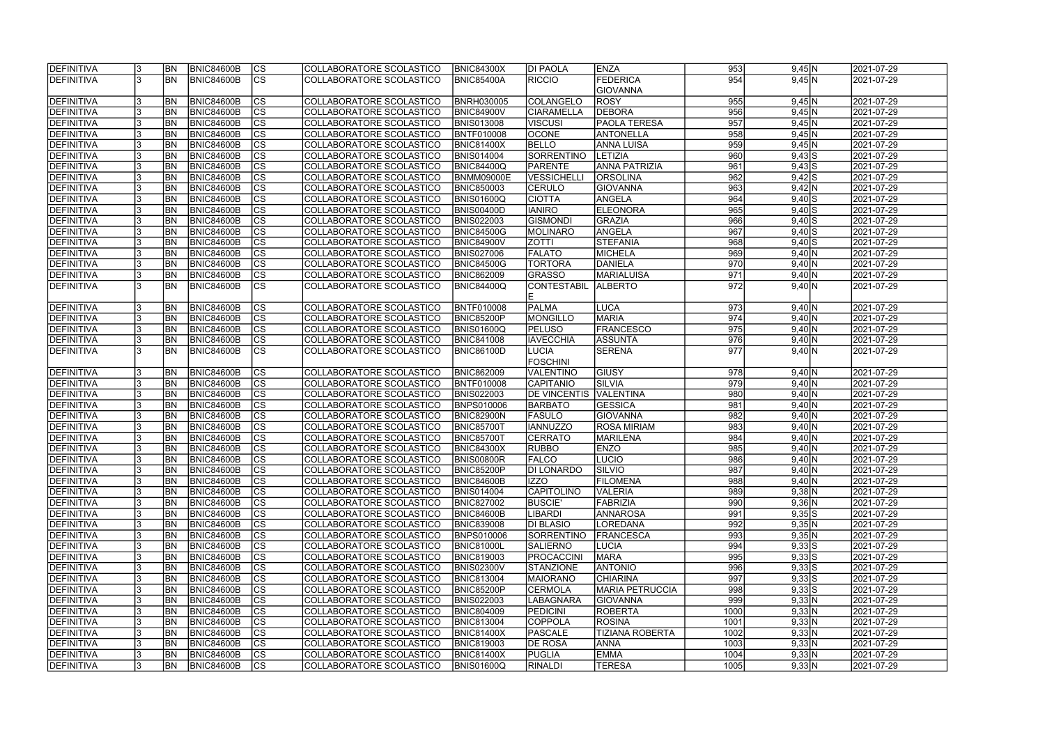| <b>DEFINITIVA</b> |     | <b>BN</b>      | <b>BNIC84600B</b> | CS                       | COLLABORATORE SCOLASTICO | <b>BNIC84300X</b> | <b>DI PAOLA</b>     | <b>ENZA</b>            | 953              | 9,45 N             | 2021-07-29              |
|-------------------|-----|----------------|-------------------|--------------------------|--------------------------|-------------------|---------------------|------------------------|------------------|--------------------|-------------------------|
| DEFINITIVA        |     | <b>BN</b>      | BNIC84600B        | $\overline{\text{CS}}$   | COLLABORATORE SCOLASTICO | <b>BNIC85400A</b> | <b>RICCIO</b>       | <b>FEDERICA</b>        | 954              | 9,45 N             | 2021-07-29              |
|                   |     |                |                   |                          |                          |                   |                     | <b>GIOVANNA</b>        |                  |                    |                         |
| DEFINITIVA        |     | <b>BN</b>      | <b>BNIC84600B</b> | $\overline{\text{CS}}$   | COLLABORATORE SCOLASTICO | <b>BNRH030005</b> | <b>COLANGELO</b>    | <b>ROSY</b>            | 955              | $9,45$ N           | 2021-07-29              |
| DEFINITIVA        |     | <b>BN</b>      | <b>BNIC84600B</b> | $\overline{\text{cs}}$   | COLLABORATORE SCOLASTICO | <b>BNIC84900V</b> | <b>CIARAMELLA</b>   | <b>DEBORA</b>          | 956              | $9,45$ N           | 2021-07-29              |
| DEFINITIVA        |     | <b>BN</b>      | <b>BNIC84600B</b> | $\overline{\text{cs}}$   | COLLABORATORE SCOLASTICO | <b>BNIS013008</b> | <b>VISCUSI</b>      | <b>PAOLA TERESA</b>    | 957              | $9,45$ N           | 2021-07-29              |
| DEFINITIVA        |     | <b>BN</b>      | <b>BNIC84600B</b> | cs                       | COLLABORATORE SCOLASTICO | BNTF010008        | <b>OCONE</b>        | <b>ANTONELLA</b>       | 958              | $9,45$ N           | 2021-07-29              |
| DEFINITIVA        |     | BN             | BNIC84600B        | cs                       | COLLABORATORE SCOLASTICO | <b>BNIC81400X</b> | <b>BELLO</b>        | <b>ANNA LUISA</b>      | 959              | $9,45$ N           | 2021-07-29              |
| DEFINITIVA        |     | BN             | <b>BNIC84600B</b> | cs                       | COLLABORATORE SCOLASTICO | <b>BNIS014004</b> | <b>SORRENTINO</b>   | LETIZIA                | 960              | $9,43$ S           | 2021-07-29              |
| DEFINITIVA        |     | BN             | <b>BNIC84600B</b> | cs                       | COLLABORATORE SCOLASTICO | <b>BNIC84400Q</b> | <b>PARENTE</b>      | <b>ANNA PATRIZIA</b>   | 961              | $9,43$ $S$         | 2021-07-29              |
| DEFINITIVA        |     | <b>BN</b>      | <b>BNIC84600B</b> | cs                       | COLLABORATORE SCOLASTICO | <b>BNMM09000E</b> | <b>VESSICHELLI</b>  | <b>ORSOLINA</b>        | 962              | $9,42$ S           | 2021-07-29              |
| DEFINITIVA        |     | <b>BN</b>      | <b>BNIC84600B</b> | cs                       | COLLABORATORE SCOLASTICO | <b>BNIC850003</b> | <b>CERULO</b>       | <b>GIOVANNA</b>        | 963              | 9,42 N             | 2021-07-29              |
| DEFINITIVA        |     | <b>BN</b>      | <b>BNIC84600B</b> | $\overline{\text{cs}}$   | COLLABORATORE SCOLASTICO | <b>BNIS01600Q</b> | <b>CIOTTA</b>       | ANGELA                 | 964              | $9,40$ S           | 2021-07-29              |
| DEFINITIVA        |     | <b>BN</b>      | <b>BNIC84600B</b> | $\overline{\text{cs}}$   | COLLABORATORE SCOLASTICO | <b>BNIS00400D</b> | <b>IANIRO</b>       | <b>ELEONORA</b>        | 965              | $9,40$ S           | 2021-07-29              |
|                   |     |                |                   |                          |                          |                   |                     |                        | 966              |                    |                         |
| DEFINITIVA        |     | <b>BN</b>      | <b>BNIC84600B</b> | $ \mathsf{CS} $          | COLLABORATORE SCOLASTICO | <b>BNIS022003</b> | <b>GISMONDI</b>     | GRAZIA                 |                  | $9,40\overline{S}$ | 2021-07-29              |
| DEFINITIVA        |     | <b>BN</b>      | <b>BNIC84600B</b> | $ \overline{\text{cs}} $ | COLLABORATORE SCOLASTICO | <b>BNIC84500G</b> | MOLINARO            | ANGELA                 | 967              | $9,40$ $S$         | 2021-07-29              |
| DEFINITIVA        |     | <b>BN</b>      | BNIC84600B        | cs                       | COLLABORATORE SCOLASTICO | <b>BNIC84900V</b> | <b>ZOTTI</b>        | <b>STEFANIA</b>        | 968              | $9,40$ $S$         | 2021-07-29              |
| DEFINITIVA        |     | <b>BN</b>      | BNIC84600B        | $ \mathsf{CS} $          | COLLABORATORE SCOLASTICO | <b>BNIS027006</b> | <b>FALATO</b>       | <b>MICHELA</b>         | 969              | 9,40 N             | 2021-07-29              |
| DEFINITIVA        |     | BN             | BNIC84600B        | cs                       | COLLABORATORE SCOLASTICO | <b>BNIC84500G</b> | <b>TORTORA</b>      | DANIELA                | 970              | 9,40 N             | 2021-07-29              |
| DEFINITIVA        |     | <b>BN</b>      | BNIC84600B        | $\overline{\text{CS}}$   | COLLABORATORE SCOLASTICO | <b>BNIC862009</b> | <b>GRASSO</b>       | <b>MARIALUISA</b>      | 971              | 9,40 N             | 2021-07-29              |
| DEFINITIVA        |     | <b>BN</b>      | <b>BNIC84600B</b> | $\overline{\text{CS}}$   | COLLABORATORE SCOLASTICO | <b>BNIC84400Q</b> | <b>CONTESTABIL</b>  | <b>ALBERTO</b>         | $\overline{972}$ | 9,40 N             | 2021-07-29              |
|                   |     |                |                   |                          |                          |                   | Е                   |                        |                  |                    |                         |
| DEFINITIVA        |     | <b>BN</b>      | <b>BNIC84600B</b> | CS                       | COLLABORATORE SCOLASTICO | BNTF010008        | <b>PALMA</b>        | LUCA                   | 973              | 9,40 N             | 2021-07-29              |
| DEFINITIVA        |     | BN             | <b>BNIC84600B</b> | <b>CS</b>                | COLLABORATORE SCOLASTICO | <b>BNIC85200P</b> | MONGILLO            | <b>MARIA</b>           | 974              | 9,40 N             | 2021-07-29              |
| DEFINITIVA        |     | <b>BN</b>      | <b>BNIC84600B</b> | <sub>cs</sub>            | COLLABORATORE SCOLASTICO | <b>BNIS01600Q</b> | <b>PELUSO</b>       | <b>FRANCESCO</b>       | 975              | 9,40 N             | 2021-07-29              |
| DEFINITIVA        |     | <b>BN</b>      | <b>BNIC84600B</b> | <sub>cs</sub>            | COLLABORATORE SCOLASTICO | <b>BNIC841008</b> | <b>IAVECCHIA</b>    | ASSUNTA                | 976              | 9,40 N             | 2021-07-29              |
| DEFINITIVA        |     | <b>BN</b>      | <b>BNIC84600B</b> | lcs                      | COLLABORATORE SCOLASTICO | <b>BNIC86100D</b> | <b>LUCIA</b>        | <b>SERENA</b>          | 977              | 9,40 N             | 2021-07-29              |
|                   |     |                |                   |                          |                          |                   | <b>FOSCHINI</b>     |                        |                  |                    |                         |
| DEFINITIVA        |     | <b>BN</b>      | <b>BNIC84600B</b> | <sub>cs</sub>            | COLLABORATORE SCOLASTICO | <b>BNIC862009</b> | <b>VALENTINO</b>    | GIUSY                  | 978              | 9,40 N             | 2021-07-29              |
| DEFINITIVA        |     | BN <sub></sub> | <b>BNIC84600B</b> | cs                       | COLLABORATORE SCOLASTICO | BNTF010008        | CAPITANIO           | SILVIA                 | 979              | $9,40$ N           | 2021-07-29              |
| DEFINITIVA        |     | <b>BN</b>      | <b>BNIC84600B</b> | $\overline{\text{cs}}$   | COLLABORATORE SCOLASTICO | <b>BNIS022003</b> | <b>DE VINCENTIS</b> | <b>VALENTINA</b>       | 980              | 9,40 N             | 2021-07-29              |
| DEFINITIVA        |     | <b>BN</b>      | <b>BNIC84600B</b> | cs                       | COLLABORATORE SCOLASTICO | <b>BNPS010006</b> | <b>BARBATO</b>      | GESSICA                | 981              | 9,40 N             | 2021-07-29              |
| DEFINITIVA        |     | <b>BN</b>      | BNIC84600B        | $\overline{\text{cs}}$   | COLLABORATORE SCOLASTICO | <b>BNIC82900N</b> | <b>FASULO</b>       | GIOVANNA               | $\overline{982}$ | 9,40 N             | 2021-07-29              |
| <b>DEFINITIVA</b> |     | <b>BN</b>      | <b>BNIC84600B</b> | cs                       | COLLABORATORE SCOLASTICO | <b>BNIC85700T</b> | <b>IANNUZZO</b>     | <b>ROSA MIRIAM</b>     | 983              | 9,40 N             | 2021-07-29              |
| DEFINITIVA        |     | BN             | <b>BNIC84600B</b> | $\overline{\text{cs}}$   | COLLABORATORE SCOLASTICO | <b>BNIC857001</b> | <b>CERRATO</b>      | MARILENA               | 984              | 9,40 N             | 2021-07-29              |
| DEFINITIVA        |     | <b>BN</b>      | <b>BNIC84600B</b> | cs                       | COLLABORATORE SCOLASTICO | <b>BNIC84300X</b> | <b>RUBBO</b>        | <b>ENZO</b>            | 985              | 9,40 N             | 2021-07-29              |
| <b>DEFINITIVA</b> |     | <b>BN</b>      | <b>BNIC84600B</b> | ျပၖ                      | COLLABORATORE SCOLASTICO | <b>BNIS00800R</b> | <b>FALCO</b>        | <b>LUCIO</b>           | 9861             | $9,40 \, N$        | 2021-07-29              |
| DEFINITIVA        |     | BN <sub></sub> | <b>BNIC84600B</b> | <b>CS</b>                | COLLABORATORE SCOLASTICO | <b>BNIC85200P</b> | <b>DI LONARDO</b>   | <b>SILVIO</b>          | 987              | 9,40 N             | 2021-07-29              |
| DEFINITIVA        |     | <b>BN</b>      | <b>BNIC84600B</b> | <b>CS</b>                | COLLABORATORE SCOLASTICO | BNIC84600B        | <b>IIZZO</b>        | <b>FILOMENA</b>        | 988              | 9,40 N             | 2021-07-29              |
| DEFINITIVA        |     | BN <sub></sub> | BNIC84600B        | CS                       | COLLABORATORE SCOLASTICO | <b>BNIS014004</b> | <b>CAPITOLINO</b>   | VALERIA                | 989              | $9,38$ N           | 2021-07-29              |
| DEFINITIVA        | 13  | <b>BN</b>      | <b>BNIC84600B</b> | CS                       | COLLABORATORE SCOLASTICO | <b>BNIC827002</b> | <b>BUSCIE'</b>      | FABRIZIA               | 990              | 9,36 N             | 2021-07-29              |
| DEFINITIVA        |     | <b>BN</b>      | <b>BNIC84600B</b> | <b>CS</b>                | COLLABORATORE SCOLASTICO | <b>BNIC84600B</b> | LIBARDI             | <b>ANNAROSA</b>        | 991              | $9,35$ S           | 2021-07-29              |
| DEFINITIVA        |     | <b>BN</b>      | <b>BNIC84600B</b> | <b>CS</b>                | COLLABORATORE SCOLASTICO | <b>BNIC839008</b> | <b>DI BLASIO</b>    | <b>LOREDANA</b>        | 992              | 9,35 N             | 2021-07-29              |
| DEFINITIVA        |     | <b>BN</b>      | BNIC84600B        | <b>CS</b>                | COLLABORATORE SCOLASTICO | <b>BNPS010006</b> | SORRENTINO          | FRANCESCA              | 993              | 9,35 N             | 2021-07-29              |
| DEFINITIVA        |     | <b>BN</b>      | BNIC84600B        | cs                       | COLLABORATORE SCOLASTICO | <b>BNIC81000L</b> | SALIERNO            | LUCIA                  | 994              | $9,33$ $S$         | $\sqrt{2021} - 07 - 29$ |
| DEFINITIVA        |     | <b>BN</b>      | <b>BNIC84600B</b> | cs                       | COLLABORATORE SCOLASTICO | <b>BNIC819003</b> | PROCACCINI          | <b>MARA</b>            | 995              | $9,33$ $S$         | 2021-07-29              |
| DEFINITIVA        |     | <b>BN</b>      | BNIC84600B        | cs                       | COLLABORATORE SCOLASTICO | <b>BNIS02300V</b> | <b>STANZIONE</b>    | <b>ANTONIO</b>         | 996              | $9,33$ $S$         | 2021-07-29              |
|                   |     |                |                   |                          |                          |                   |                     |                        |                  |                    |                         |
| DEFINITIVA        |     | <b>BN</b>      | <b>BNIC84600B</b> | cs                       | COLLABORATORE SCOLASTICO | <b>BNIC813004</b> | <b>MAIORANO</b>     | CHIARINA               | 997              | $9,33$ $S$         | 2021-07-29              |
| DEFINITIVA        |     | <b>BN</b>      | <b>BNIC84600B</b> | <b>CS</b>                | COLLABORATORE SCOLASTICO | <b>BNIC85200P</b> | <b>CERMOLA</b>      | <b>MARIA PETRUCCIA</b> | 998              | $9,33$ $S$         | 2021-07-29              |
| DEFINITIVA        |     | <b>BN</b>      | <b>BNIC84600B</b> | <b>CS</b>                | COLLABORATORE SCOLASTICO | <b>BNIS022003</b> | <b>LABAGNARA</b>    | <b>GIOVANNA</b>        | 999              | 9,33 N             | 2021-07-29              |
| DEFINITIVA        |     | <b>BN</b>      | <b>BNIC84600B</b> | <b>CS</b>                | COLLABORATORE SCOLASTICO | <b>BNIC804009</b> | <b>PEDICINI</b>     | <b>ROBERTA</b>         | 1000             | 9,33 N             | 2021-07-29              |
| DEFINITIVA        |     | <b>BN</b>      | BNIC84600B        | <b>CS</b>                | COLLABORATORE SCOLASTICO | <b>BNIC813004</b> | <b>COPPOLA</b>      | <b>ROSINA</b>          | 1001             | 9,33 N             | 2021-07-29              |
| DEFINITIVA        |     | <b>BN</b>      | <b>BNIC84600B</b> | <b>CS</b>                | COLLABORATORE SCOLASTICO | <b>BNIC81400X</b> | <b>PASCALE</b>      | <b>TIZIANA ROBERTA</b> | 1002             | 9,33 N             | 2021-07-29              |
| DEFINITIVA        |     | <b>BN</b>      | <b>BNIC84600B</b> | <b>CS</b>                | COLLABORATORE SCOLASTICO | <b>BNIC819003</b> | <b>DE ROSA</b>      | <b>ANNA</b>            | 1003             | 9,33 N             | 2021-07-29              |
| DEFINITIVA        |     | <b>BN</b>      | <b>BNIC84600B</b> | <b>CS</b>                | COLLABORATORE SCOLASTICO | <b>BNIC81400X</b> | <b>PUGLIA</b>       | <b>EMMA</b>            | 1004             | 9,33 N             | 2021-07-29              |
| DEFINITIVA        | 13. | BN <sub></sub> | <b>BNIC84600B</b> | cs                       | COLLABORATORE SCOLASTICO | <b>BNIS01600Q</b> | <b>RINALDI</b>      | <b>TERESA</b>          | 1005             | 9,33 N             | 2021-07-29              |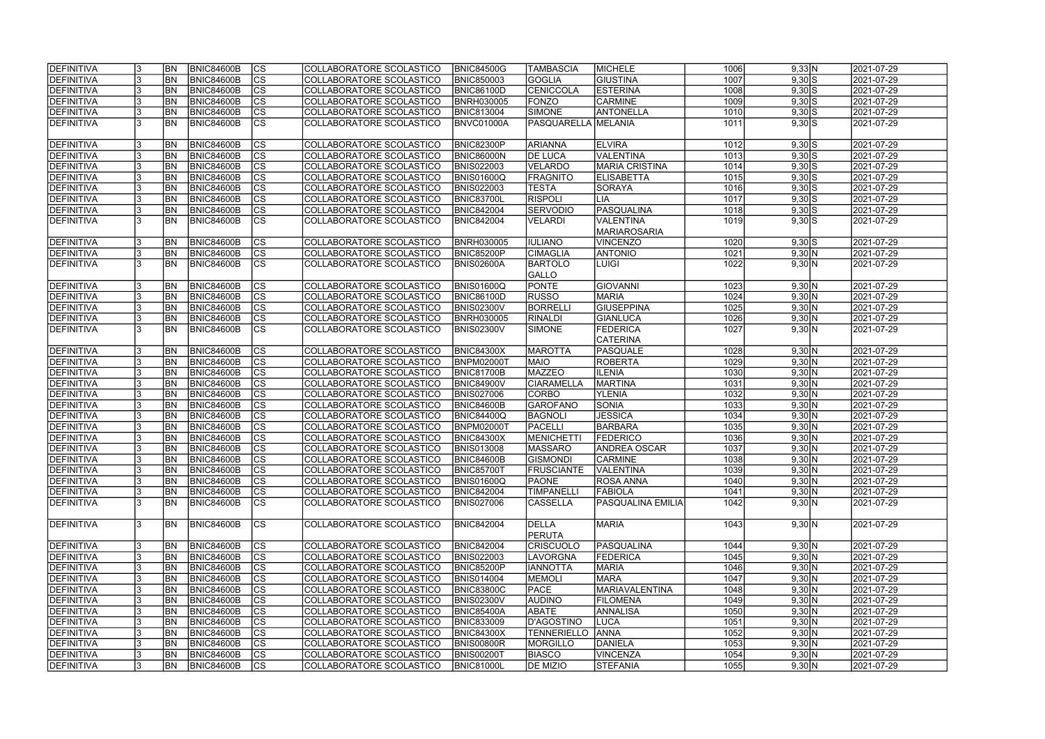| <b>DEFINITIVA</b> | <b>BN</b> | <b>BNIC84600B</b> | CS                       | COLLABORATORE SCOLASTICO        | <b>BNIC84500G</b> | ITAMBASCIA                 | MICHELE               | 1006 | 9,33 N      | 2021-07-29 |
|-------------------|-----------|-------------------|--------------------------|---------------------------------|-------------------|----------------------------|-----------------------|------|-------------|------------|
| <b>DEFINITIVA</b> | <b>BN</b> | <b>BNIC84600B</b> | cs                       | COLLABORATORE SCOLASTICO        | <b>BNIC850003</b> | <b>GOGLIA</b>              | <b>GIUSTINA</b>       | 1007 | $9,30$ $S$  | 2021-07-29 |
| <b>DEFINITIVA</b> | <b>BN</b> | <b>BNIC84600B</b> | $\overline{\text{cs}}$   | COLLABORATORE SCOLASTICO        | <b>BNIC86100D</b> | CENICCOLA                  | <b>ESTERINA</b>       | 1008 | $9,30$ S    | 2021-07-29 |
| DEFINITIVA        | <b>BN</b> | <b>BNIC84600B</b> | $\overline{\text{cs}}$   | COLLABORATORE SCOLASTICO        | <b>BNRH030005</b> | <b>FONZO</b>               | <b>CARMINE</b>        | 1009 | $9,30$ S    | 2021-07-29 |
| DEFINITIVA        | <b>BN</b> | <b>BNIC84600B</b> | cs                       | COLLABORATORE SCOLASTICO        | <b>BNIC813004</b> | <b>SIMONE</b>              | <b>ANTONELLA</b>      | 1010 | $9,30$ S    | 2021-07-29 |
| <b>DEFINITIVA</b> | <b>BN</b> | <b>BNIC84600B</b> | $\overline{\text{CS}}$   | COLLABORATORE SCOLASTICO        | BNVC01000A        | <b>PASQUARELLA MELANIA</b> |                       | 1011 | $9,30$ $S$  | 2021-07-29 |
|                   |           |                   |                          |                                 |                   |                            |                       |      |             |            |
| <b>DEFINITIVA</b> | <b>BN</b> | <b>BNIC84600B</b> | <b>CS</b>                | COLLABORATORE SCOLASTICO        | <b>BNIC82300P</b> | <b>ARIANNA</b>             | <b>ELVIRA</b>         | 1012 | $9,30$ $S$  | 2021-07-29 |
| DEFINITIVA        | <b>BN</b> | <b>BNIC84600B</b> | cs                       | COLLABORATORE SCOLASTICO        | <b>BNIC86000N</b> | <b>DE LUCA</b>             | <b>VALENTINA</b>      | 1013 | $9,30$ $S$  | 2021-07-29 |
| DEFINITIVA        | <b>BN</b> | <b>BNIC84600B</b> | cs                       | COLLABORATORE SCOLASTICO        | <b>BNIS022003</b> | VELARDO                    | <b>MARIA CRISTINA</b> | 1014 | $9,30$ $S$  | 2021-07-29 |
| DEFINITIVA        | <b>BN</b> | <b>BNIC84600B</b> | <b>CS</b>                | COLLABORATORE SCOLASTICO        | BNIS01600Q        | <b>FRAGNITO</b>            | <b>ELISABETTA</b>     | 1015 | $9,30$ $S$  | 2021-07-29 |
| DEFINITIVA        | BN        | <b>BNIC84600B</b> | $ \overline{\text{CS}} $ | COLLABORATORE SCOLASTICO        | <b>BNIS022003</b> | <b>TESTA</b>               | SORAYA                | 1016 | $9,30$ $S$  | 2021-07-29 |
| DEFINITIVA        | <b>BN</b> | <b>BNIC84600B</b> | <b>CS</b>                | COLLABORATORE SCOLASTICO        | BNIC83700L        | <b>RISPOLI</b>             | LIA                   | 1017 | $9,30$ S    | 2021-07-29 |
| <b>DEFINITIVA</b> | <b>BN</b> | <b>BNIC84600B</b> | cs                       | COLLABORATORE SCOLASTICO        | <b>BNIC842004</b> | <b>SERVODIO</b>            | PASQUALINA            | 1018 | $9,30$ $S$  | 2021-07-29 |
| <b>DEFINITIVA</b> | <b>BN</b> | BNIC84600B        | $\overline{\text{CS}}$   | COLLABORATORE SCOLASTICO        | <b>BNIC842004</b> | <b>VELARDI</b>             | VALENTINA             | 1019 | $9,30$ $S$  | 2021-07-29 |
|                   |           |                   |                          |                                 |                   |                            | <b>MARIAROSARIA</b>   |      |             |            |
| DEFINITIVA        | <b>BN</b> | <b>BNIC84600B</b> | <b>CS</b>                | COLLABORATORE SCOLASTICO        | <b>BNRH030005</b> | <b>IULIANO</b>             | <b>VINCENZO</b>       | 1020 | $9,30$ $S$  | 2021-07-29 |
| <b>DEFINITIVA</b> | <b>BN</b> | <b>BNIC84600B</b> | $ \overline{\text{CS}} $ | COLLABORATORE SCOLASTICO        | <b>BNIC85200P</b> | <b>CIMAGLIA</b>            | <b>ANTONIO</b>        | 1021 | 9,30 N      | 2021-07-29 |
| <b>DEFINITIVA</b> | <b>BN</b> | <b>BNIC84600B</b> | $\overline{\text{cs}}$   | COLLABORATORE SCOLASTICO        | BNIS02600A        | <b>BARTOLO</b>             | LUIGI                 | 1022 | 9,30 N      | 2021-07-29 |
|                   |           |                   |                          |                                 |                   | <b>GALLO</b>               |                       |      |             |            |
| DEFINITIVA        | <b>BN</b> | <b>BNIC84600B</b> | <b>CS</b>                | COLLABORATORE SCOLASTICO        | <b>BNIS01600Q</b> | PONTE                      | <b>GIOVANNI</b>       | 1023 | 9,30 N      | 2021-07-29 |
| <b>DEFINITIVA</b> | <b>BN</b> | <b>BNIC84600B</b> | <b>CS</b>                | COLLABORATORE SCOLASTICO        | <b>BNIC86100D</b> | <b>RUSSO</b>               | <b>MARIA</b>          | 1024 | 9,30 N      | 2021-07-29 |
| <b>DEFINITIVA</b> | <b>BN</b> | <b>BNIC84600B</b> | CS                       | COLLABORATORE SCOLASTICO        | <b>BNIS02300V</b> | <b>BORRELLI</b>            | <b>GIUSEPPINA</b>     | 1025 | 9,30 N      | 2021-07-29 |
| <b>DEFINITIVA</b> | <b>BN</b> | <b>BNIC84600B</b> | CS                       | COLLABORATORE SCOLASTICO        | <b>BNRH030005</b> | <b>RINALDI</b>             | GIANLUCA              | 1026 | 9,30 N      | 2021-07-29 |
| <b>DEFINITIVA</b> | <b>BN</b> | <b>BNIC84600B</b> | <b>CS</b>                | COLLABORATORE SCOLASTICO        | <b>BNIS02300V</b> | <b>SIMONE</b>              | <b>FEDERICA</b>       | 1027 | 9,30 N      | 2021-07-29 |
|                   |           |                   |                          |                                 |                   |                            | <b>CATERINA</b>       |      |             |            |
| DEFINITIVA        | <b>BN</b> | <b>BNIC84600B</b> | lcs                      | COLLABORATORE SCOLASTICO        | <b>BNIC84300X</b> | <b>MAROTTA</b>             | PASQUALE              | 1028 | 9,30 N      | 2021-07-29 |
| <b>DEFINITIVA</b> | BN        | <b>BNIC84600B</b> | cs                       | <b>COLLABORATORE SCOLASTICO</b> | <b>BNPM02000T</b> | <b>MAIO</b>                | <b>ROBERTA</b>        | 1029 | 9,30 N      | 2021-07-29 |
| DEFINITIVA        | <b>BN</b> | <b>BNIC84600B</b> | cs                       | COLLABORATORE SCOLASTICO        | <b>BNIC81700B</b> | <b>MAZZEO</b>              | <b>ILENIA</b>         | 1030 | 9,30 N      | 2021-07-29 |
| <b>DEFINITIVA</b> | <b>BN</b> | <b>BNIC84600B</b> | CS                       | COLLABORATORE SCOLASTICO        | <b>BNIC84900V</b> | <b>CIARAMELLA</b>          | <b>MARTINA</b>        | 1031 | 9,30 N      | 2021-07-29 |
| <b>DEFINITIVA</b> | <b>BN</b> | <b>BNIC84600B</b> | $ \mathsf{CS} $          | COLLABORATORE SCOLASTICO        | <b>BNIS027006</b> | <b>CORBO</b>               | <b>YLENIA</b>         | 1032 | 9,30 N      | 2021-07-29 |
| <b>DEFINITIVA</b> | <b>BN</b> | <b>BNIC84600B</b> | $\overline{\text{CS}}$   | COLLABORATORE SCOLASTICO        | <b>BNIC84600B</b> | GAROFANO                   | <b>SONIA</b>          | 1033 | 9,30 N      | 2021-07-29 |
| DEFINITIVA        | <b>BN</b> | <b>BNIC84600B</b> | $\overline{\text{cs}}$   | COLLABORATORE SCOLASTICO        | <b>BNIC84400Q</b> | BAGNOLI                    | <b>JESSICA</b>        | 1034 | 9,30 N      | 2021-07-29 |
| <b>DEFINITIVA</b> | <b>BN</b> | <b>BNIC84600B</b> | cs                       | COLLABORATORE SCOLASTICO        | <b>BNPM02000T</b> | <b>PACELLI</b>             | <b>BARBARA</b>        | 1035 | 9,30 N      | 2021-07-29 |
| DEFINITIVA        | <b>BN</b> | <b>BNIC84600B</b> | $\overline{\text{cs}}$   | COLLABORATORE SCOLASTICO        | <b>BNIC84300X</b> | MENICHETT                  | <b>FEDERICO</b>       | 1036 | 9,30 N      | 2021-07-29 |
| <b>DEFINITIVA</b> | <b>BN</b> | <b>BNIC84600B</b> | $\overline{\text{CS}}$   | COLLABORATORE SCOLASTICO        | <b>BNIS013008</b> | <b>MASSARO</b>             | <b>ANDREA OSCAR</b>   | 1037 | 9,30 N      | 2021-07-29 |
| <b>DEFINITIVA</b> | <b>BN</b> | <b>BNIC84600B</b> | $ {\rm CS}$              | COLLABORATORE SCOLASTICO        | <b>BNIC84600B</b> | GISMONDI                   | <b>CARMINE</b>        | 1038 | $9,30 \, N$ | 2021-07-29 |
| <b>DEFINITIVA</b> | <b>BN</b> | BNIC84600B        | lcs                      | COLLABORATORE SCOLASTICO        | <b>BNIC85700T</b> | <b>FRUSCIANTE</b>          | <b>VALENTINA</b>      | 1039 | 9,30 N      | 2021-07-29 |
| <b>DEFINITIVA</b> | <b>BN</b> | BNIC84600B        | CS                       | COLLABORATORE SCOLASTICO        | <b>BNIS01600Q</b> | <b>PAONE</b>               | ROSA ANNA             | 1040 | 9,30 N      | 2021-07-29 |
| <b>DEFINITIVA</b> | <b>BN</b> | <b>BNIC84600B</b> | CS                       | COLLABORATORE SCOLASTICO        | <b>BNIC842004</b> | <b>TIMPANELLI</b>          | <b>FABIOLA</b>        | 1041 | 9,30 N      | 2021-07-29 |
| <b>DEFINITIVA</b> | <b>BN</b> | BNIC84600B        | <b>CS</b>                | COLLABORATORE SCOLASTICO        | <b>BNIS027006</b> | <b>CASSELLA</b>            | PASQUALINA EMILIA     | 1042 | 9,30 N      | 2021-07-29 |
|                   |           |                   |                          |                                 |                   |                            |                       |      |             |            |
| DEFINITIVA        | <b>BN</b> | BNIC84600B        | lcs                      | COLLABORATORE SCOLASTICO        | <b>BNIC842004</b> | DELLA                      | <b>MARIA</b>          | 1043 | 9,30 N      | 2021-07-29 |
|                   |           |                   |                          |                                 |                   | PERUTA                     |                       |      |             |            |
| <b>DEFINITIVA</b> | <b>BN</b> | BNIC84600B        | <sub>lcs</sub>           | COLLABORATORE SCOLASTICO        | <b>BNIC842004</b> | <b>CRISCUOLO</b>           | PASQUALINA            | 1044 | 9,30 N      | 2021-07-29 |
| <b>DEFINITIVA</b> | <b>BN</b> | BNIC84600B        | cs                       | COLLABORATORE SCOLASTICO        | <b>BNIS022003</b> | <b>LAVORGNA</b>            | <b>FEDERICA</b>       | 1045 | 9,30 N      | 2021-07-29 |
| <b>DEFINITIVA</b> | <b>BN</b> | BNIC84600B        | CS                       | COLLABORATORE SCOLASTICO        | <b>BNIC85200P</b> | <b>IANNOTTA</b>            | <b>MARIA</b>          | 1046 | 9,30 N      | 2021-07-29 |
| DEFINITIVA        | <b>BN</b> | <b>BNIC84600B</b> | $\overline{\text{CS}}$   | COLLABORATORE SCOLASTICO        | <b>BNIS014004</b> | MEMOLI                     | <b>MARA</b>           | 1047 | 9,30 N      | 2021-07-29 |
| <b>DEFINITIVA</b> | <b>BN</b> | BNIC84600B        | cs                       | COLLABORATORE SCOLASTICO        | <b>BNIC83800C</b> | <b>PACE</b>                | MARIAVALENTINA        | 1048 | 9,30 N      | 2021-07-29 |
| DEFINITIVA        | <b>BN</b> | <b>BNIC84600B</b> | cs                       | COLLABORATORE SCOLASTICO        | <b>BNIS02300V</b> | <b>AUDINO</b>              | <b>FILOMENA</b>       | 1049 | 9,30 N      | 2021-07-29 |
| <b>DEFINITIVA</b> | <b>BN</b> | <b>BNIC84600B</b> | cs                       | COLLABORATORE SCOLASTICO        | <b>BNIC85400A</b> | <b>ABATE</b>               | ANNALISA              | 1050 | 9,30 N      | 2021-07-29 |
| <b>DEFINITIVA</b> | <b>BN</b> | <b>BNIC84600B</b> | CS                       | COLLABORATORE SCOLASTICO        | <b>BNIC833009</b> | D'AGOSTINO                 | LUCA                  | 1051 | 9,30 N      | 2021-07-29 |
| <b>DEFINITIVA</b> | <b>BN</b> | <b>BNIC84600B</b> | CS                       | COLLABORATORE SCOLASTICO        | <b>BNIC84300X</b> | TENNERIELLO                | <b>ANNA</b>           | 1052 | 9,30 N      | 2021-07-29 |
| <b>DEFINITIVA</b> | IBN.      | <b>BNIC84600B</b> | lcs                      | COLLABORATORE SCOLASTICO        | <b>BNIS00800R</b> | <b>MORGILLO</b>            | DANIELA               | 1053 | 9,30 N      | 2021-07-29 |
| <b>DEFINITIVA</b> | BN        | <b>BNIC84600B</b> | CS                       | COLLABORATORE SCOLASTICO        | <b>BNIS00200T</b> | <b>BIASCO</b>              | <b>VINCENZA</b>       | 1054 | 9,30 N      | 2021-07-29 |
| <b>DEFINITIVA</b> | <b>BN</b> | <b>BNIC84600B</b> | lcs                      | COLLABORATORE SCOLASTICO        | <b>BNIC81000L</b> | <b>DE MIZIO</b>            | STEFANIA              | 1055 | 9,30 N      | 2021-07-29 |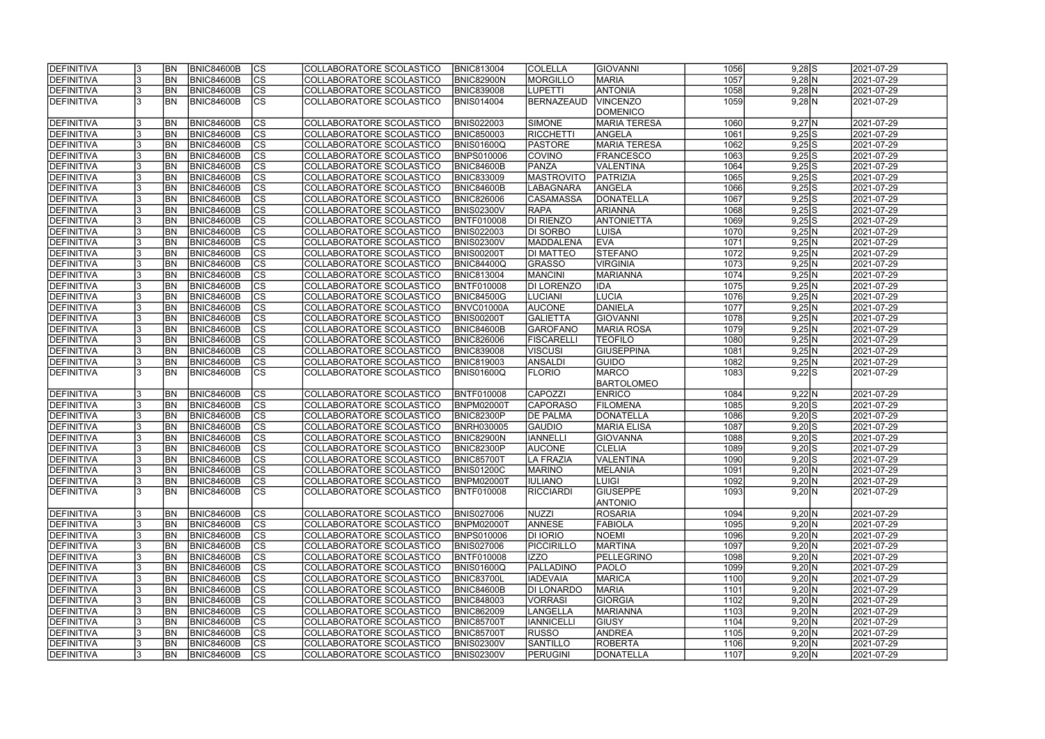| <b>IDEFINITIVA</b>              |     | <b>BN</b> | <b>BNIC84600B</b>                      | lcs                                 | COLLABORATORE SCOLASTICO                             | <b>BNIC813004</b>                      | <b>COLELLA</b>    | <b>GIOVANNI</b>           | 1056         | $9,28$ S               | 2021-07-29               |  |
|---------------------------------|-----|-----------|----------------------------------------|-------------------------------------|------------------------------------------------------|----------------------------------------|-------------------|---------------------------|--------------|------------------------|--------------------------|--|
| DEFINITIVA                      |     | <b>BN</b> | <b>BNIC84600B</b>                      | cs                                  | COLLABORATORE SCOLASTICO                             | BNIC82900N                             | MORGILLO          | <b>MARIA</b>              | 1057         | $9,28$ N               | 2021-07-29               |  |
| <b>DEFINITIVA</b>               |     | <b>BN</b> | <b>BNIC84600B</b>                      | $ \overline{\text{cs}} $            | COLLABORATORE SCOLASTICO                             | <b>BNIC839008</b>                      | <b>LUPETTI</b>    | <b>ANTONIA</b>            | 1058         | $9,28$ N               | 2021-07-29               |  |
| <b>DEFINITIVA</b>               |     | <b>BN</b> | <b>BNIC84600B</b>                      | $\overline{\text{cs}}$              | COLLABORATORE SCOLASTICO                             | <b>BNIS014004</b>                      | <b>BERNAZEAUD</b> | <b>VINCENZO</b>           | 1059         | $9,28$ N               | 2021-07-29               |  |
|                                 |     |           |                                        |                                     |                                                      |                                        |                   | <b>DOMENICO</b>           |              |                        |                          |  |
| DEFINITIVA                      |     | <b>BN</b> | <b>BNIC84600B</b>                      | <b>CS</b>                           | COLLABORATORE SCOLASTICO                             | <b>BNIS022003</b>                      | SIMONE            | <b>MARIA TERESA</b>       | 1060         | $9,27$ N               | 2021-07-29               |  |
| <b>DEFINITIVA</b>               |     | <b>BN</b> | <b>BNIC84600B</b>                      | <b>CS</b>                           | COLLABORATORE SCOLASTICO                             | <b>BNIC850003</b>                      | RICCHETTI         | ANGELA                    | 1061         | $9,25$ S               | 2021-07-29               |  |
| DEFINITIVA                      |     | <b>BN</b> | <b>BNIC84600B</b>                      | $\overline{\text{CS}}$              | COLLABORATORE SCOLASTICO                             | <b>BNIS01600Q</b>                      | <b>PASTORE</b>    | MARIA TERESA              | 1062         | $9,25$ S               | 2021-07-29               |  |
| <b>DEFINITIVA</b>               |     | <b>BN</b> | <b>BNIC84600B</b>                      | $\overline{\text{CS}}$              | COLLABORATORE SCOLASTICO                             | <b>BNPS010006</b>                      | COVINO            | <b>FRANCESCO</b>          | 1063         | $9,25$ S               | 2021-07-29               |  |
| <b>DEFINITIVA</b>               |     | BN        | <b>BNIC84600B</b>                      | cs                                  | COLLABORATORE SCOLASTICO                             | <b>BNIC84600B</b>                      | PANZA             | VALENTINA                 | 1064         | $9,25$ S               | 2021-07-29               |  |
| <b>DEFINITIVA</b>               |     | <b>BN</b> | <b>BNIC84600B</b>                      | $\overline{\text{CS}}$              | COLLABORATORE SCOLASTICO                             | <b>BNIC833009</b>                      | <b>MASTROVITO</b> | PATRIZIA                  | 1065         | $9,25$ S               | 2021-07-29               |  |
| DEFINITIVA                      |     | <b>BN</b> | <b>BNIC84600B</b>                      | cs                                  | COLLABORATORE SCOLASTICO                             | BNIC84600B                             | <b>LABAGNARA</b>  | ANGELA                    | 1066         | $9,25$ S               | 2021-07-29               |  |
| <b>DEFINITIVA</b>               |     | <b>BN</b> | <b>BNIC84600B</b>                      | cs                                  | <b>COLLABORATORE SCOLASTICO</b>                      | <b>BNIC826006</b>                      | CASAMASSA         | DONATELLA                 | 1067         | $9,25$ S               | 2021-07-29               |  |
| <b>DEFINITIVA</b>               |     | <b>BN</b> | <b>BNIC84600B</b>                      | $\overline{\text{CS}}$              | COLLABORATORE SCOLASTICO                             | <b>BNIS02300V</b>                      | <b>RAPA</b>       | <b>ARIANNA</b>            | 1068         | $9,25$ S               | 2021-07-29               |  |
| <b>DEFINITIVA</b>               |     | <b>BN</b> | <b>BNIC84600B</b>                      | $\overline{\text{CS}}$              | COLLABORATORE SCOLASTICO                             | <b>BNTF010008</b>                      | DI RIENZO         | <b>ANTONIETTA</b>         | 1069         | 9,25S                  | 2021-07-29               |  |
| <b>DEFINITIVA</b>               |     | <b>BN</b> | <b>BNIC84600B</b>                      | $\overline{\text{CS}}$              | COLLABORATORE SCOLASTICO                             | <b>BNIS022003</b>                      | DI SORBO          | <b>LUISA</b>              | 1070         | 9,25 N                 | 2021-07-29               |  |
| DEFINITIVA                      |     | <b>BN</b> | <b>BNIC84600B</b>                      | $\overline{\text{CS}}$              | COLLABORATORE SCOLASTICO                             | <b>BNIS02300V</b>                      | MADDALENA         | <b>EVA</b>                | 1071         | 9,25 N                 | 2021-07-29               |  |
| <b>DEFINITIVA</b>               |     | <b>BN</b> | <b>BNIC84600B</b>                      | CS                                  | COLLABORATORE SCOLASTICO                             | BNIS00200T                             | <b>DI MATTEO</b>  | <b>STEFANO</b>            | 1072         | 9,25 N                 | 2021-07-29               |  |
| DEFINITIVA                      |     | <b>BN</b> | <b>BNIC84600B</b>                      | $\overline{\text{CS}}$              | COLLABORATORE SCOLASTICO                             | <b>BNIC84400Q</b>                      | <b>GRASSO</b>     | <b>VIRGINIA</b>           | 1073         | 9,25 N                 | 2021-07-29               |  |
| <b>DEFINITIVA</b>               |     | BN        | <b>BNIC84600B</b>                      | $\overline{\text{CS}}$              | COLLABORATORE SCOLASTICO                             | <b>BNIC813004</b>                      | <b>MANCINI</b>    | <b>MARIANNA</b>           | 1074         | 9,25 N                 | 2021-07-29               |  |
| <b>DEFINITIVA</b>               |     | <b>BN</b> | <b>BNIC84600B</b>                      | $\overline{\text{CS}}$              | COLLABORATORE SCOLASTICO                             | BNTF010008                             | DI LORENZO        | <b>IDA</b>                | 1075         | 9,25 N                 | 2021-07-29               |  |
| DEFINITIVA                      |     | <b>BN</b> | <b>BNIC84600B</b>                      | CS                                  | COLLABORATORE SCOLASTICO                             | <b>BNIC84500G</b>                      | <b>LUCIANI</b>    | <b>LUCIA</b>              | 1076         | 9,25 N                 | 2021-07-29               |  |
| <b>DEFINITIVA</b>               |     | <b>BN</b> | <b>BNIC84600B</b>                      | <b>CS</b>                           | COLLABORATORE SCOLASTICO                             | BNVC01000A                             | <b>AUCONE</b>     | DANIELA                   | 1077         | 9,25 N                 | 2021-07-29               |  |
| <b>DEFINITIVA</b>               |     | <b>BN</b> | <b>BNIC84600B</b>                      | <b>CS</b>                           | COLLABORATORE SCOLASTICO                             | BNIS00200T                             | <b>GALIETTA</b>   | GIOVANNI                  | 1078         | 9,25 N                 | 2021-07-29               |  |
| DEFINITIVA                      |     | <b>BN</b> | <b>BNIC84600B</b>                      | $ \overline{\text{CS}} $            | COLLABORATORE SCOLASTICO                             | BNIC84600B                             | <b>GAROFANO</b>   | <b>MARIA ROSA</b>         | 1079         | 9,25 N                 | 2021-07-29               |  |
| <b>DEFINITIVA</b>               |     | <b>BN</b> | <b>BNIC84600B</b>                      | <b>CS</b>                           | COLLABORATORE SCOLASTICO                             | <b>BNIC826006</b>                      | <b>FISCARELL</b>  | <b>TEOFILO</b>            | 1080         | 9,25 N                 | 2021-07-29               |  |
| DEFINITIVA                      |     | <b>BN</b> | <b>BNIC84600B</b>                      | cs                                  | COLLABORATORE SCOLASTICO                             | <b>BNIC839008</b>                      | VISCUSI           | <b>GIUSEPPINA</b>         | 1081         | 9,25 N                 | 2021-07-29               |  |
| <b>DEFINITIVA</b>               |     | <b>BN</b> | <b>BNIC84600B</b>                      | <b>CS</b>                           | COLLABORATORE SCOLASTICO                             | <b>BNIC819003</b>                      | ANSALDI           | <b>GUIDO</b>              | 1082         | 9,25 N                 | 2021-07-29               |  |
| <b>DEFINITIVA</b>               |     | <b>BN</b> | <b>BNIC84600B</b>                      | <b>CS</b>                           | COLLABORATORE SCOLASTICO                             | BNIS01600Q                             | <b>FLORIO</b>     | <b>MARCO</b>              | 1083         | $9,22$ S               | 2021-07-29               |  |
|                                 |     | <b>BN</b> |                                        |                                     |                                                      |                                        | CAPOZZI           | BARTOLOMEO                |              |                        |                          |  |
| <b>DEFINITIVA</b><br>DEFINITIVA |     | <b>BN</b> | <b>BNIC84600B</b><br><b>BNIC84600B</b> | <b>CS</b><br>$\overline{\text{CS}}$ | COLLABORATORE SCOLASTICO                             | BNTF010008                             | <b>CAPORASO</b>   | <b>ENRICO</b><br>FILOMENA | 1084<br>1085 | 9,22 N                 | 2021-07-29               |  |
| <b>DEFINITIVA</b>               |     | <b>BN</b> | <b>BNIC84600B</b>                      | $\overline{\text{CS}}$              | COLLABORATORE SCOLASTICO<br>COLLABORATORE SCOLASTICO | <b>BNPM02000T</b><br><b>BNIC82300P</b> | <b>DE PALMA</b>   | DONATELLA                 | 1086         | $9,20$ S<br>$9,20$ S   | 2021-07-29<br>2021-07-29 |  |
| DEFINITIVA                      |     | <b>BN</b> | <b>BNIC84600B</b>                      | $\overline{\text{CS}}$              | COLLABORATORE SCOLASTICO                             | <b>BNRH030005</b>                      | <b>GAUDIO</b>     | <b>MARIA ELISA</b>        | 1087         | $9,20$ S               | 2021-07-29               |  |
| DEFINITIVA                      |     | <b>BN</b> | <b>BNIC84600B</b>                      | $\overline{\text{cs}}$              | COLLABORATORE SCOLASTICO                             | BNIC82900N                             | <b>IANNELLI</b>   | GIOVANNA                  | 1088         | $9,20$ S               | 2021-07-29               |  |
| DEFINITIVA                      |     | <b>BN</b> | <b>BNIC84600B</b>                      | $\overline{\text{CS}}$              | COLLABORATORE SCOLASTICO                             | <b>BNIC82300P</b>                      | <b>AUCONE</b>     | <b>CLELIA</b>             | 1089         | $9,20$ S               | 2021-07-29               |  |
| <b>DEFINITIVA</b>               |     | <b>BN</b> | BNIC84600B                             | CS                                  | COLLABORATORE SCOLASTICO                             | <b>BNIC857001</b>                      | LA FRAZIA         | <b>VALENTINA</b>          | 1090         |                        | 2021-07-29               |  |
| DEFINITIVA                      |     | <b>BN</b> | <b>BNIC84600B</b>                      | lcs                                 | COLLABORATORE SCOLASTICO                             | <b>BNIS01200C</b>                      | <b>MARINO</b>     | <b>MELANIA</b>            | 1091         | $9,20$ S<br>9,20 N     | 2021-07-29               |  |
| <b>DEFINITIVA</b>               |     | <b>BN</b> | BNIC84600B                             | CS                                  | COLLABORATORE SCOLASTICO                             | <b>BNPM02000T</b>                      | <b>IIULIANO</b>   | LUIGI                     | 1092         | 9,20 N                 | 2021-07-29               |  |
| <b>DEFINITIVA</b>               | 13. | <b>BN</b> | BNIC84600B                             | <b>CS</b>                           | COLLABORATORE SCOLASTICO                             | <b>BNTF010008</b>                      | RICCIARDI         | <b>GIUSEPPE</b>           | 1093         | 9,20 N                 | 2021-07-29               |  |
|                                 |     |           |                                        |                                     |                                                      |                                        |                   | <b>ANTONIO</b>            |              |                        |                          |  |
| DEFINITIVA                      |     | <b>BN</b> | <b>BNIC84600B</b>                      | <b>CS</b>                           | COLLABORATORE SCOLASTICO                             | <b>BNIS027006</b>                      | NUZZI             | <b>ROSARIA</b>            | 1094         | 9,20 N                 | 2021-07-29               |  |
| DEFINITIVA                      |     | <b>BN</b> | <b>BNIC84600B</b>                      | cs                                  | COLLABORATORE SCOLASTICO                             | <b>BNPM02000T</b>                      | <b>ANNESE</b>     | FABIOLA                   | 1095         | 9,20 N                 | 2021-07-29               |  |
| <b>DEFINITIVA</b>               |     | <b>BN</b> | BNIC84600B                             | CS                                  | COLLABORATORE SCOLASTICO                             | <b>BNPS010006</b>                      | <b>DI IORIO</b>   | <b>NOEMI</b>              | 1096         | 9,20 N                 | 2021-07-29               |  |
| <b>DEFINITIVA</b>               |     | <b>BN</b> | BNIC84600B                             | cs                                  | COLLABORATORE SCOLASTICO                             | <b>BNIS027006</b>                      | <b>PICCIRILLO</b> | <b>MARTINA</b>            | 1097         | 9,20 N                 | 2021-07-29               |  |
| <b>DEFINITIVA</b>               |     | <b>BN</b> | BNIC84600B                             | CS                                  | COLLABORATORE SCOLASTICO                             | <b>BNTF010008</b>                      | <b>IZZO</b>       | PELLEGRINO                | 1098         | $9,20\overline{\rm N}$ | 2021-07-29               |  |
| <b>DEFINITIVA</b>               |     | <b>BN</b> | <b>BNIC84600B</b>                      | cs                                  | COLLABORATORE SCOLASTICO                             | <b>BNIS01600Q</b>                      | PALLADINO         | <b>PAOLO</b>              | 1099         | 9,20 N                 | 2021-07-29               |  |
| <b>DEFINITIVA</b>               |     | <b>BN</b> | <b>BNIC84600B</b>                      | $\overline{\text{CS}}$              | COLLABORATORE SCOLASTICO                             | <b>BNIC83700L</b>                      | <b>IADEVAIA</b>   | MARICA                    | 1100         | 9,20 N                 | 2021-07-29               |  |
| <b>DEFINITIVA</b>               |     | <b>BN</b> | <b>BNIC84600B</b>                      | $\overline{\text{CS}}$              | COLLABORATORE SCOLASTICO                             | <b>BNIC84600B</b>                      | <b>DI LONARDO</b> | <b>MARIA</b>              | 1101         | 9,20 N                 | 2021-07-29               |  |
| <b>DEFINITIVA</b>               |     | <b>BN</b> | <b>BNIC84600B</b>                      | $\overline{\text{CS}}$              | COLLABORATORE SCOLASTICO                             | <b>BNIC848003</b>                      | VORRASI           | GIORGIA                   | 1102         | 9,20 N                 | 2021-07-29               |  |
| <b>DEFINITIVA</b>               |     | <b>BN</b> | <b>BNIC84600B</b>                      | $\overline{\text{CS}}$              | COLLABORATORE SCOLASTICO                             | <b>BNIC862009</b>                      | LANGELLA          | MARIANNA                  | 1103         | 9,20 N                 | 2021-07-29               |  |
| <b>DEFINITIVA</b>               |     | <b>BN</b> | <b>BNIC84600B</b>                      | CS                                  | COLLABORATORE SCOLASTICO                             | <b>BNIC85700T</b>                      | <b>IANNICELLI</b> | <b>GIUSY</b>              | 1104         | 9,20 N                 | 2021-07-29               |  |
| <b>DEFINITIVA</b>               |     | <b>BN</b> | <b>BNIC84600B</b>                      | CS                                  | COLLABORATORE SCOLASTICO                             | <b>BNIC85700T</b>                      | <b>RUSSO</b>      | <b>ANDREA</b>             | 1105         | 9,20 N                 | 2021-07-29               |  |
| <b>DEFINITIVA</b>               |     | <b>BN</b> | <b>BNIC84600B</b>                      | CS                                  | COLLABORATORE SCOLASTICO                             | <b>BNIS02300V</b>                      | <b>SANTILLO</b>   | ROBERTA                   | 1106         | $9,20\overline{\rm N}$ | 2021-07-29               |  |
| <b>DEFINITIVA</b>               |     | <b>BN</b> | <b>BNIC84600B</b>                      | CS                                  | COLLABORATORE SCOLASTICO                             | <b>BNIS02300V</b>                      | <b>PERUGINI</b>   | DONATELLA                 | 1107         | $9,20 \, N$            | 2021-07-29               |  |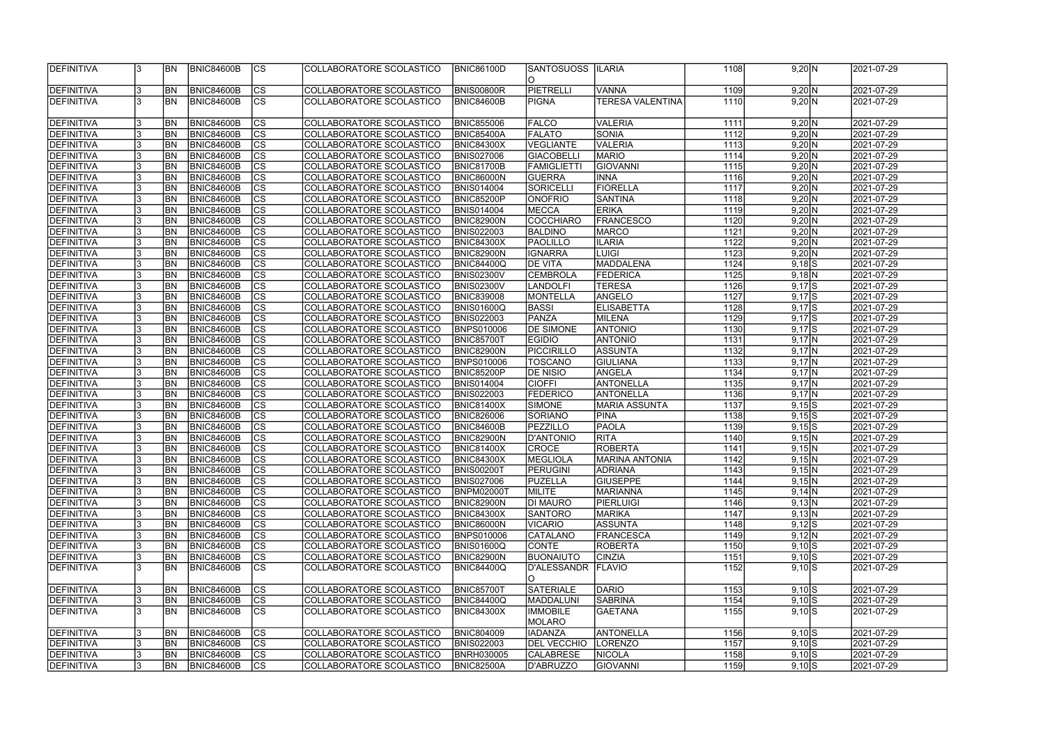| DEFINITIVA         |    | <b>BN</b>  | <b>BNIC84600B</b> | $ {\rm CS} $   | COLLABORATORE SCOLASTICO | <b>BNIC86100D</b> | <b>SANTOSUOSS</b>       | <b>ILARIA</b>           | 1108  | 9,20 N              | 2021-07-29 |
|--------------------|----|------------|-------------------|----------------|--------------------------|-------------------|-------------------------|-------------------------|-------|---------------------|------------|
|                    |    |            |                   |                |                          |                   | IO.                     |                         |       |                     |            |
| DEFINITIVA         |    | <b>BN</b>  | <b>BNIC84600B</b> | cs             | COLLABORATORE SCOLASTICO | <b>BNIS00800R</b> | PIETRELLI               | <b>VANNA</b>            | 1109  | 9,20 N              | 2021-07-29 |
| DEFINITIVA         |    | <b>BN</b>  | BNIC84600B        | cs             | COLLABORATORE SCOLASTICO | <b>BNIC84600B</b> | <b>PIGNA</b>            | <b>TERESA VALENTINA</b> | 1110  | 9,20 N              | 2021-07-29 |
|                    |    |            |                   |                |                          |                   |                         |                         |       |                     |            |
|                    |    |            | BNIC84600B        |                |                          |                   | FALCO                   | <b>VALERIA</b>          |       |                     | 2021-07-29 |
| DEFINITIVA         |    | <b>BN</b>  |                   | CS             | COLLABORATORE SCOLASTICO | <b>BNIC855006</b> |                         |                         | 1111  | 9,20 N              |            |
| DEFINITIVA         |    | <b>BN</b>  | <b>BNIC84600B</b> | cs             | COLLABORATORE SCOLASTICO | <b>BNIC85400A</b> | <b>FALATO</b>           | <b>SONIA</b>            | 1112  | 9,20 N              | 2021-07-29 |
| DEFINITIVA         |    | BN         | <b>BNIC84600B</b> | cs             | COLLABORATORE SCOLASTICO | <b>BNIC84300X</b> | <b>VEGLIANTE</b>        | <b>VALERIA</b>          | 1113  | 9,20 N              | 2021-07-29 |
| DEFINITIVA         |    | BN         | <b>BNIC84600B</b> | cs             | COLLABORATORE SCOLASTICO | <b>BNIS027006</b> | <b>GIACOBELLI</b>       | <b>MARIO</b>            | 1114  | 9,20 N              | 2021-07-29 |
| DEFINITIVA         |    | <b>BN</b>  | <b>BNIC84600B</b> | $ {\rm cs} $   | COLLABORATORE SCOLASTICO | <b>BNIC81700B</b> | <b>FAMIGLIETTI</b>      | GIOVANNI                | 1115  | 9,20 N              | 2021-07-29 |
| <b>DEFINITIVA</b>  |    | <b>BN</b>  | <b>BNIC84600B</b> | cs             | COLLABORATORE SCOLASTICO | <b>BNIC86000N</b> | <b>GUERRA</b>           | <b>INNA</b>             | 1116  | 9,20 N              | 2021-07-29 |
| DEFINITIVA         |    | <b>BN</b>  | <b>BNIC84600B</b> | cs             | COLLABORATORE SCOLASTICO | <b>BNIS014004</b> | SORICELLI               | FIORELLA                | 1117  | $9,20$ N            | 2021-07-29 |
| DEFINITIVA         |    | <b>BN</b>  | <b>BNIC84600B</b> | cs             | COLLABORATORE SCOLASTICO | <b>BNIC85200P</b> | <b>ONOFRIO</b>          | SANTINA                 | 1118  | 9,20 N              | 2021-07-29 |
| DEFINITIVA         |    | <b>BN</b>  | <b>BNIC84600B</b> | cs             | COLLABORATORE SCOLASTICO | <b>BNIS014004</b> | MECCA                   | <b>ERIKA</b>            | 1119  | 9,20 N              | 2021-07-29 |
| DEFINITIVA         |    | BN         | <b>BNIC84600B</b> | cs             | COLLABORATORE SCOLASTICO | BNIC82900N        | COCCHIARO               | <b>FRANCESCO</b>        | 1120  | 9,20 N              | 2021-07-29 |
| DEFINITIVA         |    | BN         | BNIC84600B        | cs             | COLLABORATORE SCOLASTICO | <b>BNIS022003</b> | <b>BALDINO</b>          | MARCO                   | 1121  | $9,20$ N            | 2021-07-29 |
| DEFINITIVA         |    | <b>BN</b>  | <b>BNIC84600B</b> | cs             | COLLABORATORE SCOLASTICO | <b>BNIC84300X</b> | PAOLILLO                | <b>ILARIA</b>           | 1122  | $9,20 \overline{N}$ | 2021-07-29 |
| <b>DEFINITIVA</b>  |    | <b>BN</b>  | BNIC84600B        | cs             | COLLABORATORE SCOLASTICO | <b>BNIC82900N</b> | <b>IGNARRA</b>          | <b>LUIGI</b>            | 1123  | 9,20 N              | 2021-07-29 |
|                    |    |            |                   |                |                          |                   |                         | MADDALENA               |       |                     |            |
| <b>DEFINITIVA</b>  |    | <b>BN</b>  | <b>BNIC84600B</b> | cs             | COLLABORATORE SCOLASTICO | <b>BNIC84400Q</b> | <b>DE VITA</b>          |                         | 1124  | $9,18$ S            | 2021-07-29 |
| <b>DEFINITIVA</b>  |    | <b>BN</b>  | BNIC84600B        | cs             | COLLABORATORE SCOLASTICO | <b>BNIS02300V</b> | <b>CEMBROLA</b>         | FEDERICA                | 1125  | $9,18$ <sub>N</sub> | 2021-07-29 |
| <b>DEFINITIVA</b>  |    | <b>BN</b>  | BNIC84600B        | $ {\rm CS} $   | COLLABORATORE SCOLASTICO | <b>BNIS02300V</b> | <b>LANDOLFI</b>         | <b>TERESA</b>           | 1126  | $9,17$ S            | 2021-07-29 |
| <b>DEFINITIVA</b>  |    | <b>BN</b>  | <b>BNIC84600B</b> | <b>CS</b>      | COLLABORATORE SCOLASTICO | <b>BNIC839008</b> | <b>MONTELLA</b>         | ANGELO                  | 1127  | $9,17$ S            | 2021-07-29 |
| <b>DEFINITIVA</b>  |    | BN         | <b>BNIC84600B</b> | CS             | COLLABORATORE SCOLASTICO | <b>BNIS01600Q</b> | <b>BASSI</b>            | <b>ELISABETTA</b>       | 1128  | $9,17$ S            | 2021-07-29 |
| DEFINITIVA         |    | BN         | <b>BNIC84600B</b> | cs             | COLLABORATORE SCOLASTICO | <b>BNIS022003</b> | PANZA                   | MILENA                  | 1129  | $9,17$ S            | 2021-07-29 |
| DEFINITIVA         |    | BN         | <b>BNIC84600B</b> | $ {\rm cs} $   | COLLABORATORE SCOLASTICO | <b>BNPS010006</b> | <b>DE SIMONE</b>        | <b>ANTONIO</b>          | 1130  | $9,17$ S            | 2021-07-29 |
| DEFINITIVA         |    | BN         | <b>BNIC84600B</b> | cs             | COLLABORATORE SCOLASTICO | <b>BNIC85700T</b> | <b>EGIDIO</b>           | <b>ANTONIO</b>          | 1131  | $9,17$ N            | 2021-07-29 |
| DEFINITIVA         |    | <b>BN</b>  | <b>BNIC84600B</b> | cs             | COLLABORATORE SCOLASTICO | <b>BNIC82900N</b> | <b>PICCIRILLO</b>       | <b>ASSUNTA</b>          | 1132  | $9,17$ N            | 2021-07-29 |
| <b>DEFINITIVA</b>  |    | <b>BN</b>  | BNIC84600B        | cs             | COLLABORATORE SCOLASTICO | <b>BNPS010006</b> | TOSCANO                 | <b>GIULIANA</b>         | 1133  | $9,17$ N            | 2021-07-29 |
| DEFINITIVA         |    | <b>BN</b>  | <b>BNIC84600B</b> | cs             | COLLABORATORE SCOLASTICO | <b>BNIC85200P</b> | <b>DE NISIO</b>         | ANGELA                  | 1134  | $9,17 \overline{N}$ | 2021-07-29 |
| DEFINITIVA         |    | <b>BN</b>  | <b>BNIC84600B</b> | cs             | COLLABORATORE SCOLASTICO | <b>BNIS014004</b> | <b>CIOFFI</b>           | ANTONELLA               | 1135  | $9,17$ N            | 2021-07-29 |
| <b>DEFINITIVA</b>  |    | <b>BN</b>  | <b>BNIC84600B</b> | $\overline{c}$ | COLLABORATORE SCOLASTICO | <b>BNIS022003</b> | <b>FEDERICO</b>         | <b>ANTONELLA</b>        | 1136  | $9,17$ N            | 2021-07-29 |
| <b>DEFINITIVA</b>  |    | BN         | BNIC84600B        | $\overline{c}$ | COLLABORATORE SCOLASTICO | <b>BNIC81400X</b> | SIMONE                  | <b>MARIA ASSUNTA</b>    | 1137  | $9,15$ S            | 2021-07-29 |
|                    |    |            |                   |                |                          |                   |                         |                         |       |                     |            |
| <b>DEFINITIVA</b>  |    | BN         | <b>BNIC84600B</b> | $ {\rm cs} $   | COLLABORATORE SCOLASTICO | <b>BNIC826006</b> | SORIANO                 | <b>PINA</b>             | 1138  | $9,15$ S            | 2021-07-29 |
| <b>DEFINITIVA</b>  |    | <b>BN</b>  | BNIC84600B        | $\overline{c}$ | COLLABORATORE SCOLASTICO | <b>BNIC84600B</b> | <b>PEZZILLO</b>         | <b>PAOLA</b>            | 1139  | $9,15$ S            | 2021-07-29 |
| <b>DEFINITIVA</b>  |    | <b>BN</b>  | BNIC84600B        | cs             | COLLABORATORE SCOLASTICO | <b>BNIC82900N</b> | D'ANTONIO               | <b>RITA</b>             | 1140  | $9,15$ N            | 2021-07-29 |
| DEFINITIVA         |    | BN         | <b>BNIC84600B</b> | $\overline{c}$ | COLLABORATORE SCOLASTICO | <b>BNIC81400X</b> | CROCE                   | <b>ROBERTA</b>          | 1141  | 9,15 N              | 2021-07-29 |
| <b>IDEFINITIVA</b> |    | IBN        | BNIC84600B        | <sub>ICS</sub> | COLLABORATORE SCOLASTICO | <b>BNIC84300X</b> | <b>IMEGLIOLA</b>        | MARINA ANTONIA          | 11421 | 9,15 N              | 2021-07-29 |
| DEFINITIVA         |    | <b>IBN</b> | <b>BNIC84600B</b> | $ {\rm CS} $   | COLLABORATORE SCOLASTICO | <b>BNIS00200T</b> | <b>PERUGINI</b>         | <b>ADRIANA</b>          | 1143  | 9,15 N              | 2021-07-29 |
| DEFINITIVA         |    | <b>BN</b>  | <b>BNIC84600B</b> | <sub>Ics</sub> | COLLABORATORE SCOLASTICO | <b>BNIS027006</b> | PUZELLA                 | <b>GIUSEPPE</b>         | 1144  | 9,15 N              | 2021-07-29 |
| <b>DEFINITIVA</b>  |    | <b>BN</b>  | <b>BNIC84600B</b> | $ {\rm CS} $   | COLLABORATORE SCOLASTICO | <b>BNPM02000T</b> | MILITE                  | <b>MARIANNA</b>         | 1145  | 9,14 N              | 2021-07-29 |
| DEFINITIVA         |    | <b>BN</b>  | <b>BNIC84600B</b> | $ {\rm CS} $   | COLLABORATORE SCOLASTICO | <b>BNIC82900N</b> | <b>DI MAURO</b>         | PIERLUIGI               | 1146  | 9,13 N              | 2021-07-29 |
| DEFINITIVA         |    | <b>BN</b>  | <b>BNIC84600B</b> | $ {\rm CS} $   | COLLABORATORE SCOLASTICO | <b>BNIC84300X</b> | <b>SANTORO</b>          | <b>MARIKA</b>           | 1147  | 9,13 N              | 2021-07-29 |
| DEFINITIVA         |    | <b>BN</b>  | <b>BNIC84600B</b> | $ {\rm CS} $   | COLLABORATORE SCOLASTICO | <b>BNIC86000N</b> | <b>VICARIO</b>          | ASSUNTA                 | 1148  | $9,12$ $S$          | 2021-07-29 |
| DEFINITIVA         |    | <b>BN</b>  | <b>BNIC84600B</b> | cs             | COLLABORATORE SCOLASTICO | <b>BNPS010006</b> | CATALANO                | <b>FRANCESCA</b>        | 1149  | 9,12 N              | 2021-07-29 |
| DEFINITIVA         |    | <b>BN</b>  | <b>BNIC84600B</b> | $ {\rm CS} $   | COLLABORATORE SCOLASTICO | <b>BNIS01600Q</b> | <b>CONTE</b>            | ROBERTA                 | 1150  | $9,10$ $S$          | 2021-07-29 |
| DEFINITIVA         |    | <b>BN</b>  | <b>BNIC84600B</b> | cs             | COLLABORATORE SCOLASTICO | BNIC82900N        | <b>BUONAIUTO</b>        | <b>CINZIA</b>           | 1151  | $9,10$ $S$          | 2021-07-29 |
| DEFINITIVA         |    | <b>BN</b>  | <b>BNIC84600B</b> | $ {\rm CS} $   | COLLABORATORE SCOLASTICO | <b>BNIC84400Q</b> | D'ALESSANDR             | <b>FLAVIO</b>           | 1152  | $9,10$ $S$          | 2021-07-29 |
|                    |    |            |                   |                |                          |                   |                         |                         |       |                     |            |
| DEFINITIVA         |    | <b>BN</b>  | <b>BNIC84600B</b> | $ {\rm CS} $   | COLLABORATORE SCOLASTICO |                   | IO.<br><b>SATERIALE</b> | DARIO                   | 1153  |                     | 2021-07-29 |
|                    |    |            |                   |                |                          | <b>BNIC85700T</b> |                         |                         |       | $9,10$ $S$          |            |
| DEFINITIVA         |    | <b>BN</b>  | <b>BNIC84600B</b> | $ {\rm CS} $   | COLLABORATORE SCOLASTICO | <b>BNIC84400Q</b> | MADDALUNI               | <b>SABRINA</b>          | 1154  | $9,10$ $S$          | 2021-07-29 |
| DEFINITIVA         |    | <b>BN</b>  | <b>BNIC84600B</b> | $ {\rm CS} $   | COLLABORATORE SCOLASTICO | <b>BNIC84300X</b> | <b>IMMOBILE</b>         | <b>GAETANA</b>          | 1155  | $9,10$ $S$          | 2021-07-29 |
|                    |    |            |                   |                |                          |                   | MOLARO                  |                         |       |                     |            |
| DEFINITIVA         |    | <b>BN</b>  | <b>BNIC84600B</b> | $ {\rm CS} $   | COLLABORATORE SCOLASTICO | <b>BNIC804009</b> | <b>IADANZA</b>          | ANTONELLA               | 1156  | $9,10$ S            | 2021-07-29 |
| DEFINITIVA         |    | <b>IBN</b> | <b>BNIC84600B</b> | $ {\rm CS} $   | COLLABORATORE SCOLASTICO | <b>BNIS022003</b> | <b>DEL VECCHIO</b>      | LORENZO                 | 1157  | $9,10$ $S$          | 2021-07-29 |
| <b>DEFINITIVA</b>  |    | <b>IBN</b> | <b>BNIC84600B</b> | <sub>Ics</sub> | COLLABORATORE SCOLASTICO | <b>BNRH030005</b> | <b>CALABRESE</b>        | <b>NICOLA</b>           | 1158  | $9,10$ $S$          | 2021-07-29 |
| DEFINITIVA         | 13 | <b>BN</b>  | BNIC84600B        | $ {\rm CS}$    | COLLABORATORE SCOLASTICO | <b>BNIC82500A</b> | D'ABRUZZO               | <b>GIOVANNI</b>         | 1159  | $9,10$ S            | 2021-07-29 |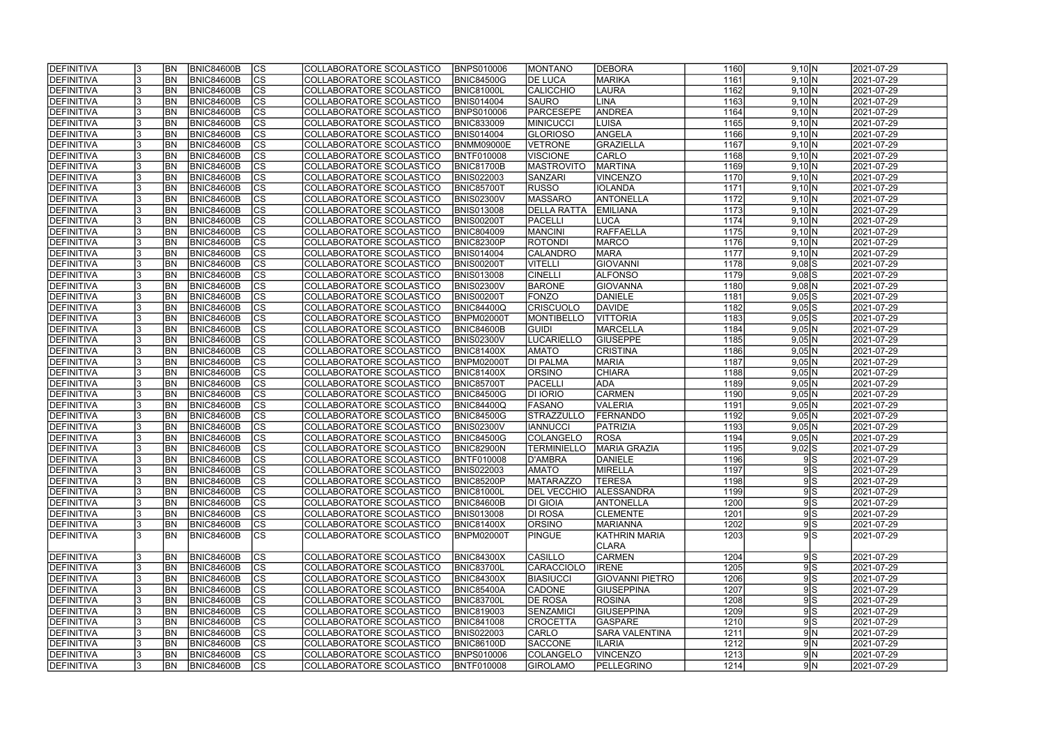| DEFINITIVA               |     | <b>BN</b>              | <b>BNIC84600B</b>                      | <sub>Ics</sub>      | COLLABORATORE SCOLASTICO                             | <b>BNPS010006</b>                      | <b>MONTANO</b>                      | DEBORA                        | 1160         | 9,10 N              | 2021-07-29               |
|--------------------------|-----|------------------------|----------------------------------------|---------------------|------------------------------------------------------|----------------------------------------|-------------------------------------|-------------------------------|--------------|---------------------|--------------------------|
| DEFINITIVA               |     | <b>BN</b>              | <b>BNIC84600B</b>                      | cs                  | COLLABORATORE SCOLASTICO                             | <b>BNIC84500G</b>                      | <b>DE LUCA</b>                      | <b>MARIKA</b>                 | 1161         | 9,10 N              | 2021-07-29               |
| DEFINITIVA               |     | BN                     | <b>BNIC84600B</b>                      | cs                  | COLLABORATORE SCOLASTICO                             | <b>BNIC81000L</b>                      | <b>CALICCHIO</b>                    | <b>LAURA</b>                  | 1162         | 9,10 N              | 2021-07-29               |
| DEFINITIVA               |     | BN                     | <b>BNIC84600B</b>                      | $\overline{c}$      | COLLABORATORE SCOLASTICO                             | <b>BNIS014004</b>                      | <b>SAURO</b>                        | <b>LINA</b>                   | 1163         | 9,10 N              | 2021-07-29               |
| DEFINITIVA               |     | BN                     | <b>BNIC84600B</b>                      | cs                  | COLLABORATORE SCOLASTICO                             | <b>BNPS010006</b>                      | PARCESEPE                           | <b>ANDREA</b>                 | 1164         | 9,10 N              | 2021-07-29               |
| DEFINITIVA               |     | BN                     | <b>BNIC84600B</b>                      | cs                  | COLLABORATORE SCOLASTICO                             | <b>BNIC833009</b>                      | <b>MINICUCCI</b>                    | <b>LUISA</b>                  | 1165         | 9,10 N              | 2021-07-29               |
| DEFINITIVA               |     | BN                     | <b>BNIC84600B</b>                      | cs                  | COLLABORATORE SCOLASTICO                             | <b>BNIS014004</b>                      | <b>GLORIOSO</b>                     | ANGELA                        | 1166         | 9,10 N              | 2021-07-29               |
| DEFINITIVA               |     | <b>BN</b>              | <b>BNIC84600B</b>                      | cs                  | COLLABORATORE SCOLASTICO                             | <b>BNMM09000E</b>                      | <b>VETRONE</b>                      | <b>GRAZIELLA</b>              | 1167         | 9,10 N              | 2021-07-29               |
| DEFINITIVA               |     | <b>BN</b>              | <b>BNIC84600B</b>                      | cs                  | COLLABORATORE SCOLASTICO                             | <b>BNTF010008</b>                      | VISCIONE                            | CARLO                         | 1168         | 9,10 N              | 2021-07-29               |
| DEFINITIVA               |     | <b>BN</b>              | <b>BNIC84600B</b>                      | cs                  | COLLABORATORE SCOLASTICO                             | <b>BNIC81700B</b>                      | <b>MASTROVITO</b>                   | <b>MARTINA</b>                | 1169         | 9,10 N              | 2021-07-29               |
| DEFINITIVA               |     | <b>BN</b>              | <b>BNIC84600B</b>                      | cs                  | COLLABORATORE SCOLASTICO                             | <b>BNIS022003</b>                      | <b>SANZARI</b>                      | <b>VINCENZO</b>               | 1170         | 9,10 N              | 2021-07-29               |
| DEFINITIVA               |     | <b>BN</b>              | <b>BNIC84600B</b>                      | $ {\rm cs} $        | COLLABORATORE SCOLASTICO                             | <b>BNIC85700T</b>                      | <b>RUSSO</b>                        | <b>IOLANDA</b>                | 1171         | 9,10 N              | 2021-07-29               |
| DEFINITIVA               |     | <b>BN</b>              | <b>BNIC84600B</b>                      | $ {\rm CS} $        | COLLABORATORE SCOLASTICO                             | <b>BNIS02300V</b>                      | MASSARO                             | <b>ANTONELLA</b>              | 1172         | 9,10 N              | 2021-07-29               |
| DEFINITIVA               |     | <b>BN</b>              | <b>BNIC84600B</b>                      | cs                  | COLLABORATORE SCOLASTICO                             | <b>BNIS013008</b>                      | <b>DELLA RATTA</b>                  | <b>EMILIANA</b>               | 1173         | 9,10 N              | 2021-07-29               |
| DEFINITIVA               |     | <b>BN</b>              | <b>BNIC84600B</b>                      | cs                  | COLLABORATORE SCOLASTICO                             | <b>BNIS00200T</b>                      | PACELLI                             | <b>LUCA</b>                   | 1174         | 9,10 N              | 2021-07-29               |
| DEFINITIVA               |     | <b>BN</b>              | <b>BNIC84600B</b>                      | cs                  | COLLABORATORE SCOLASTICO                             | <b>BNIC804009</b>                      | <b>MANCINI</b>                      | RAFFAELLA                     | 1175         | 9,10 N              | 2021-07-29               |
| DEFINITIVA               |     | <b>BN</b>              | <b>BNIC84600B</b>                      | cs                  | COLLABORATORE SCOLASTICO                             | BNIC82300P                             | <b>ROTONDI</b>                      | MARCO                         | 1176         | 9,10 N              | 2021-07-29               |
| DEFINITIVA               |     | <b>BN</b>              | <b>BNIC84600B</b>                      | cs                  | COLLABORATORE SCOLASTICO                             | <b>BNIS014004</b>                      | CALANDRO                            | <b>MARA</b>                   | 1177         | 9,10 N              | 2021-07-29               |
| <b>DEFINITIVA</b>        |     | BN                     | <b>BNIC84600B</b>                      | cs                  | COLLABORATORE SCOLASTICO                             | BNIS00200T                             | <b>VITELLI</b>                      | <b>GIOVANNI</b>               | 1178         | $9,08$ $S$          | 2021-07-29               |
| <b>DEFINITIVA</b>        |     | BN                     | <b>BNIC84600B</b>                      | cs                  | COLLABORATORE SCOLASTICO                             | <b>BNIS013008</b>                      | <b>CINELLI</b>                      | <b>ALFONSO</b>                | 1179         | $9,08$ S            | 2021-07-29               |
| <b>DEFINITIVA</b>        |     | BN                     | <b>BNIC84600B</b>                      | $ {\rm CS} $        | COLLABORATORE SCOLASTICO                             | <b>BNIS02300V</b>                      | <b>BARONE</b>                       | GIOVANNA                      | 1180         | $9,08$ <sub>N</sub> | 2021-07-29               |
| <b>DEFINITIVA</b>        |     | BN                     | <b>BNIC84600B</b>                      | <b>CS</b>           | COLLABORATORE SCOLASTICO                             | <b>BNIS00200T</b>                      | FONZO                               | <b>DANIELE</b>                | 1181         | $9,05$ $S$          | 2021-07-29               |
| DEFINITIVA               |     | BN                     | <b>BNIC84600B</b>                      | <b>CS</b>           | COLLABORATORE SCOLASTICO                             | BNIC84400Q                             | <b>CRISCUOLO</b>                    | <b>DAVIDE</b>                 | 1182         | 9,05S               | 2021-07-29               |
| DEFINITIVA               |     | <b>BN</b>              | <b>BNIC84600B</b>                      | CS                  | COLLABORATORE SCOLASTICO                             | <b>BNPM02000T</b>                      | <b>MONTIBELLO</b>                   | <b>VITTORIA</b>               | 1183         | $9,05$ S            | 2021-07-29               |
| DEFINITIVA               |     | <b>BN</b>              | <b>BNIC84600B</b>                      | <sub>lcs</sub>      | COLLABORATORE SCOLASTICO                             | BNIC84600B                             | <b>GUIDI</b>                        | <b>MARCELLA</b>               | 1184         | 9,05 N              | 2021-07-29               |
| DEFINITIVA               |     | <b>BN</b>              | <b>BNIC84600B</b>                      | $ {\rm cs} $        | COLLABORATORE SCOLASTICO                             | <b>BNIS02300V</b>                      | <b>LUCARIELLO</b>                   | <b>GIUSEPPE</b>               | 1185         | 9,05 N              | 2021-07-29               |
| DEFINITIVA               |     | <b>BN</b>              | <b>BNIC84600B</b>                      | $ {\rm cs} $        | COLLABORATORE SCOLASTICO                             | <b>BNIC81400X</b>                      | <b>AMATO</b>                        | <b>CRISTINA</b>               | 1186         | 9,05 N              | 2021-07-29               |
| DEFINITIVA               |     | <b>BN</b>              | <b>BNIC84600B</b>                      | $ {\rm cs} $        | COLLABORATORE SCOLASTICO                             | <b>BNPM02000T</b>                      | <b>DI PALMA</b>                     | <b>MARIA</b>                  | 1187         | 9,05 N              | 2021-07-29               |
| DEFINITIVA               |     | <b>BN</b>              | <b>BNIC84600B</b>                      | cs                  | COLLABORATORE SCOLASTICO                             | <b>BNIC81400X</b>                      | <b>ORSINO</b>                       | <b>CHIARA</b>                 | 1188         | $9,05$ N            | 2021-07-29               |
| DEFINITIVA               |     | <b>BN</b>              | <b>BNIC84600B</b>                      | $ {\rm cs} $        | COLLABORATORE SCOLASTICO                             | <b>BNIC85700T</b>                      | PACELLI                             | <b>ADA</b>                    | 1189         | $9,05$ N            | 2021-07-29               |
| DEFINITIVA               |     | <b>BN</b>              | <b>BNIC84600B</b>                      | cs                  | COLLABORATORE SCOLASTICO                             | <b>BNIC84500G</b>                      | <b>DI IORIO</b>                     | <b>CARMEN</b>                 | 1190         | $9,05$ N            | 2021-07-29               |
| DEFINITIVA               |     | <b>BN</b>              | <b>BNIC84600B</b>                      | cs                  | COLLABORATORE SCOLASTICO                             | <b>BNIC84400Q</b>                      | <b>FASANO</b>                       | <b>VALERIA</b>                | 1191         | 9,05 N              | 2021-07-29               |
| DEFINITIVA               |     | <b>BN</b>              | <b>BNIC84600B</b>                      | $\overline{c}$      | <b>COLLABORATORE SCOLASTICO</b>                      | <b>BNIC84500G</b>                      | STRAZZULLO                          | <b>FERNANDO</b>               | 1192         | $9,05$ N            | 2021-07-29               |
| DEFINITIVA               |     | <b>BN</b>              | <b>BNIC84600B</b>                      | cs                  | COLLABORATORE SCOLASTICO                             | <b>BNIS02300V</b>                      | <b>IANNUCCI</b>                     | PATRIZIA                      | 1193         | $9,05$ N            | 2021-07-29               |
| DEFINITIVA               |     | <b>BN</b>              | <b>BNIC84600B</b>                      | $\overline{c}$      | COLLABORATORE SCOLASTICO                             | <b>BNIC84500G</b>                      | COLANGELO                           | ROSA                          | 1194         | 9,05 N              | 2021-07-29               |
| DEFINITIVA               |     | BN                     | <b>BNIC84600B</b>                      | cs                  | COLLABORATORE SCOLASTICO                             | <b>BNIC82900N</b>                      | <b>TERMINIELLO</b>                  | <b>MARIA GRAZIA</b>           | 1195         | $9,02$ $S$          | 2021-07-29               |
| <b>DEFINITIVA</b>        | 13  | <b>BN</b>              | BNIC84600B                             | CS                  | COLLABORATORE SCOLASTICO                             | <b>BNTF010008</b>                      | D'AMBRA                             | DANIELE                       | 1196         | 9 S                 | 2021-07-29               |
| DEFINITIVA               |     | <b>BN</b>              | BNIC84600B                             | $ {\rm CS} $        | COLLABORATORE SCOLASTICO                             | <b>BNIS022003</b>                      | <b>AMATO</b>                        | MIRELLA                       | 1197         | 9S                  | 2021-07-29               |
| DEFINITIVA               |     | BN                     | <b>BNIC84600B</b>                      | <sub>Ics</sub>      | COLLABORATORE SCOLASTICO                             | <b>BNIC85200P</b>                      | <b>MATARAZZO</b>                    | <b>TERESA</b>                 | 1198         | 9S                  | 2021-07-29               |
| DEFINITIVA               |     | <b>BN</b>              | <b>BNIC84600B</b>                      | CS                  | COLLABORATORE SCOLASTICO                             | <b>BNIC81000L</b>                      | <b>DEL VECCHIO</b>                  | <b>ALESSANDRA</b>             | 1199         | 9S                  | 2021-07-29               |
| DEFINITIVA               | 13  | <b>BN</b>              | <b>BNIC84600B</b>                      | <b>CS</b>           | COLLABORATORE SCOLASTICO                             | <b>BNIC84600B</b>                      | <b>DI GIOIA</b>                     | <b>ANTONELLA</b>              | 1200         | 9S                  | 2021-07-29               |
| DEFINITIVA               |     | <b>BN</b>              | <b>BNIC84600B</b>                      | $ {\rm CS} $        | COLLABORATORE SCOLASTICO                             | <b>BNIS013008</b>                      | <b>DI ROSA</b>                      | <b>CLEMENTE</b>               | 1201         | 9 S                 | 2021-07-29               |
| DEFINITIVA               |     | <b>BN</b>              | <b>BNIC84600B</b>                      | <sub>Ics</sub>      | COLLABORATORE SCOLASTICO                             | <b>BNIC81400X</b>                      | <b>ORSINO</b>                       | <b>MARIANNA</b>               | 1202         | 9S                  | 2021-07-29               |
| DEFINITIVA               |     | BN                     | BNIC84600B                             | ICS                 | COLLABORATORE SCOLASTICO                             | <b>BNPM02000T</b>                      | <b>PINGUE</b>                       | KATHRIN MARIA                 | 1203         | 9S                  | 2021-07-29               |
|                          |     |                        |                                        |                     |                                                      |                                        |                                     | CLARA                         |              |                     |                          |
| DEFINITIVA<br>DEFINITIVA |     | <b>BN</b><br><b>BN</b> | <b>BNIC84600B</b><br><b>BNIC84600B</b> | $ {\rm CS} $<br> cs | COLLABORATORE SCOLASTICO<br>COLLABORATORE SCOLASTICO | <b>BNIC84300X</b><br><b>BNIC83700L</b> | <b>CASILLO</b><br><b>CARACCIOLO</b> | <b>CARMEN</b><br><b>IRENE</b> | 1204<br>1205 | 9 S <br>9S          | 2021-07-29<br>2021-07-29 |
| DEFINITIVA               |     | <b>BN</b>              | <b>BNIC84600B</b>                      | <sub>Ics</sub>      | COLLABORATORE SCOLASTICO                             | <b>BNIC84300X</b>                      | <b>BIASIUCCI</b>                    | <b>GIOVANNI PIETRO</b>        | 1206         | 9S                  | 2021-07-29               |
| DEFINITIVA               |     | <b>BN</b>              | <b>BNIC84600B</b>                      | $ {\rm CS} $        | COLLABORATORE SCOLASTICO                             | <b>BNIC85400A</b>                      | <b>CADONE</b>                       | <b>GIUSEPPINA</b>             | 1207         | 9S                  | 2021-07-29               |
| <b>DEFINITIVA</b>        |     | <b>BN</b>              | <b>BNIC84600B</b>                      | $ {\rm CS} $        | COLLABORATORE SCOLASTICO                             | <b>BNIC83700L</b>                      | <b>DE ROSA</b>                      | <b>ROSINA</b>                 | 1208         | 9S                  | 2021-07-29               |
| DEFINITIVA               |     | <b>BN</b>              | <b>BNIC84600B</b>                      | cs                  | COLLABORATORE SCOLASTICO                             | <b>BNIC819003</b>                      | SENZAMICI                           | <b>GIUSEPPINA</b>             | 1209         | 9 S                 | 2021-07-29               |
| DEFINITIVA               |     | BN                     | <b>BNIC84600B</b>                      | cs                  | COLLABORATORE SCOLASTICO                             | <b>BNIC841008</b>                      | <b>CROCETTA</b>                     | <b>GASPARE</b>                | 1210         | 9S                  | 2021-07-29               |
| <b>DEFINITIVA</b>        |     | <b>BN</b>              | <b>BNIC84600B</b>                      | cs                  | COLLABORATORE SCOLASTICO                             | <b>BNIS022003</b>                      | <b>CARLO</b>                        | SARA VALENTINA                | 1211         | $9\vert N$          | 2021-07-29               |
| DEFINITIVA               |     | <b>BN</b>              | <b>BNIC84600B</b>                      | <sub>Ics</sub>      | COLLABORATORE SCOLASTICO                             | <b>BNIC86100D</b>                      | <b>SACCONE</b>                      | <b>ILARIA</b>                 | 1212         | $9\vert N$          | 2021-07-29               |
| DEFINITIVA               |     | BN                     | <b>BNIC84600B</b>                      | <b>CS</b>           | COLLABORATORE SCOLASTICO                             | <b>BNPS010006</b>                      | <b>COLANGELO</b>                    | <b>VINCENZO</b>               | 1213         | $9\vert N$          | 2021-07-29               |
| <b>DEFINITIVA</b>        | 13. | <b>BN</b>              | <b>BNIC84600B</b>                      | <b>CS</b>           | COLLABORATORE SCOLASTICO                             | <b>BNTF010008</b>                      | <b>GIROLAMO</b>                     | PELLEGRINO                    | 1214         | 9 N                 | 2021-07-29               |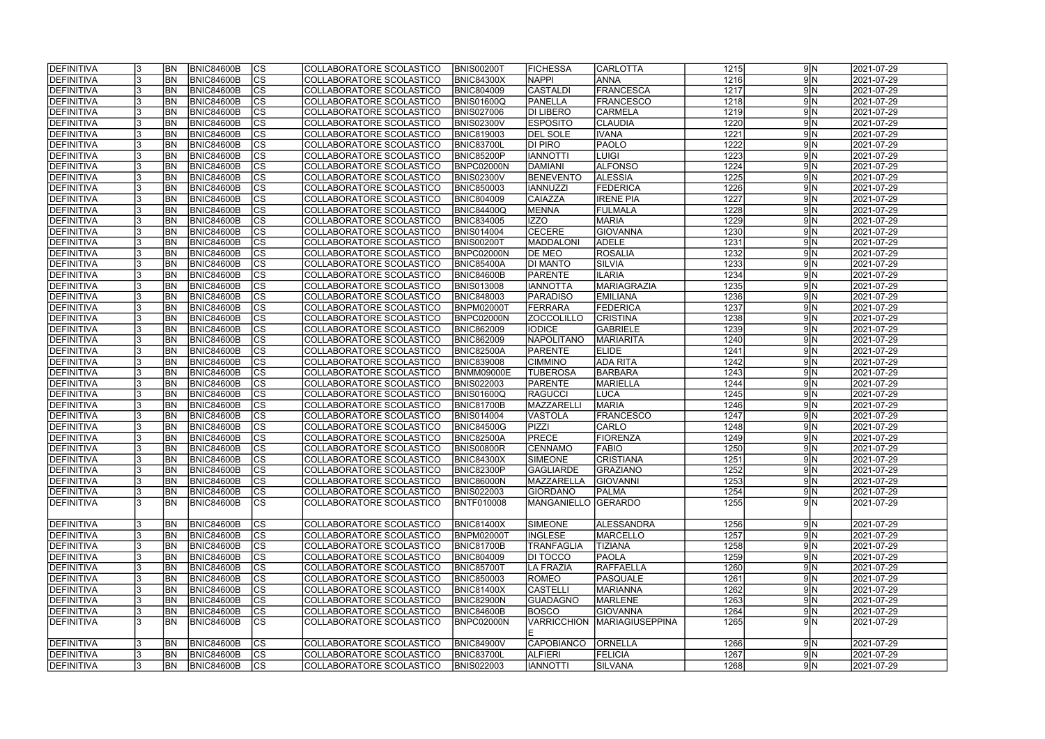| <b>DEFINITIVA</b> |    | <b>BN</b>      | <b>BNIC84600B</b> | $ {\rm CS} $   | COLLABORATORE SCOLASTICO        | <b>BNIS00200T</b> | <b>FICHESSA</b>            | <b>CARLOTTA</b>        | 1215              | 9 N        | 2021-07-29 |
|-------------------|----|----------------|-------------------|----------------|---------------------------------|-------------------|----------------------------|------------------------|-------------------|------------|------------|
| <b>DEFINITIVA</b> |    | <b>BN</b>      | <b>BNIC84600B</b> | cs             | COLLABORATORE SCOLASTICO        | <b>BNIC84300X</b> | <b>NAPPI</b>               | <b>ANNA</b>            | 1216              | $9\vert N$ | 2021-07-29 |
| DEFINITIVA        |    | BN             | <b>BNIC84600B</b> | cs             | COLLABORATORE SCOLASTICO        | <b>BNIC804009</b> | <b>CASTALDI</b>            | FRANCESCA              | 1217              | $9\vert N$ | 2021-07-29 |
| <b>DEFINITIVA</b> |    | BN             | <b>BNIC84600B</b> | $\overline{c}$ | COLLABORATORE SCOLASTICO        | BNIS01600Q        | PANELLA                    | <b>FRANCESCO</b>       | 1218              | $9\vert N$ | 2021-07-29 |
| <b>DEFINITIVA</b> |    | BN             | <b>BNIC84600B</b> | cs             | COLLABORATORE SCOLASTICO        | <b>BNIS027006</b> | <b>DI LIBERO</b>           | <b>CARMELA</b>         | 1219              | $9\vert N$ | 2021-07-29 |
| <b>DEFINITIVA</b> |    | <b>BN</b>      | <b>BNIC84600B</b> | cs             | COLLABORATORE SCOLASTICO        | <b>BNIS02300V</b> | <b>ESPOSITO</b>            | <b>CLAUDIA</b>         | 1220              | $9\vert N$ | 2021-07-29 |
| <b>DEFINITIVA</b> |    | <b>BN</b>      | <b>BNIC84600B</b> | <b>CS</b>      | COLLABORATORE SCOLASTICO        | <b>BNIC819003</b> | <b>DEL SOLE</b>            | <b>IVANA</b>           | 1221              | $9\vert N$ | 2021-07-29 |
| DEFINITIVA        |    | <b>BN</b>      | <b>BNIC84600B</b> | $ {\rm CS} $   | COLLABORATORE SCOLASTICO        | <b>BNIC83700L</b> | DI PIRO                    | <b>PAOLO</b>           | 1222              | $9\vert N$ | 2021-07-29 |
| DEFINITIVA        |    | BN             | <b>BNIC84600B</b> | $ {\rm CS} $   | COLLABORATORE SCOLASTICO        | <b>BNIC85200P</b> | <b>IANNOTTI</b>            | LUIGI                  | 1223              | 9 N        | 2021-07-29 |
| <b>DEFINITIVA</b> |    | <b>BN</b>      | <b>BNIC84600B</b> | cs             | COLLABORATORE SCOLASTICO        | BNPC02000N        | DAMIANI                    | <b>ALFONSO</b>         | 1224              | $9\vert N$ | 2021-07-29 |
| <b>DEFINITIVA</b> |    | <b>BN</b>      | <b>BNIC84600B</b> | $ {\rm CS} $   | COLLABORATORE SCOLASTICO        | <b>BNIS02300V</b> | <b>BENEVENTO</b>           | <b>ALESSIA</b>         | 1225              | 9 N        | 2021-07-29 |
| <b>DEFINITIVA</b> |    | <b>BN</b>      | <b>BNIC84600B</b> | cs             | COLLABORATORE SCOLASTICO        | <b>BNIC850003</b> | <b>IANNUZZI</b>            | <b>FEDERICA</b>        | 1226              | $9\vert N$ | 2021-07-29 |
| DEFINITIVA        |    | <b>BN</b>      | <b>BNIC84600B</b> | cs             | COLLABORATORE SCOLASTICO        | <b>BNIC804009</b> | <b>CAIAZZA</b>             | <b>IRENE PIA</b>       | 1227              | $9\vert N$ | 2021-07-29 |
| DEFINITIVA        |    | <b>BN</b>      | <b>BNIC84600B</b> | $ {\rm CS} $   | COLLABORATORE SCOLASTICO        | <b>BNIC84400Q</b> | <b>MENNA</b>               | FULMALA                | 1228              | $9\vert N$ | 2021-07-29 |
| DEFINITIVA        |    | <b>BN</b>      | <b>BNIC84600B</b> | cs             | COLLABORATORE SCOLASTICO        | <b>BNIC834005</b> | IZZO                       | <b>MARIA</b>           | 1229              | 9N         | 2021-07-29 |
| DEFINITIVA        |    | <b>BN</b>      | <b>BNIC84600B</b> | $ {\rm CS} $   | COLLABORATORE SCOLASTICO        | <b>BNIS014004</b> | <b>CECERE</b>              | <b>GIOVANNA</b>        | 1230              | $9\vert N$ | 2021-07-29 |
| DEFINITIVA        |    | BN             | <b>BNIC84600B</b> | $ {\rm CS} $   | COLLABORATORE SCOLASTICO        | <b>BNIS00200T</b> | MADDALONI                  | <b>ADELE</b>           | 1231              | $9\vert N$ | 2021-07-29 |
| DEFINITIVA        |    | BN             | <b>BNIC84600B</b> | $ {\rm CS} $   | COLLABORATORE SCOLASTICO        | BNPC02000N        | <b>DE MEO</b>              | <b>ROSALIA</b>         | 1232              | 9 N        | 2021-07-29 |
| <b>DEFINITIVA</b> |    | BN             | <b>BNIC84600B</b> | <b>CS</b>      | COLLABORATORE SCOLASTICO        | <b>BNIC85400A</b> | <b>DI MANTO</b>            | SILVIA                 | 1233              | $9\vert N$ | 2021-07-29 |
| <b>DEFINITIVA</b> |    | BN             | <b>BNIC84600B</b> | $ {\rm CS} $   | COLLABORATORE SCOLASTICO        | BNIC84600B        | <b>PARENTE</b>             | <b>ILARIA</b>          | 1234              | 9 N        | 2021-07-29 |
| <b>DEFINITIVA</b> |    | BN             | <b>BNIC84600B</b> | $ {\rm CS} $   | COLLABORATORE SCOLASTICO        | <b>BNIS013008</b> | <b>IANNOTTA</b>            | MARIAGRAZIA            | 1235              | $9\vert N$ | 2021-07-29 |
| <b>DEFINITIVA</b> |    | <b>BN</b>      | <b>BNIC84600B</b> | <b>CS</b>      | COLLABORATORE SCOLASTICO        | <b>BNIC848003</b> | <b>PARADISO</b>            | <b>EMILIANA</b>        | 1236              | $9\vert N$ | 2021-07-29 |
| <b>DEFINITIVA</b> |    | <b>BN</b>      | <b>BNIC84600B</b> | <b>CS</b>      | COLLABORATORE SCOLASTICO        | <b>BNPM02000T</b> | FERRARA                    | <b>FEDERICA</b>        | 1237              | $9\vert N$ | 2021-07-29 |
| DEFINITIVA        |    | <b>BN</b>      | <b>BNIC84600B</b> | <b>CS</b>      | COLLABORATORE SCOLASTICO        | BNPC02000N        | <b>ZOCCOLILLO</b>          | <b>CRISTINA</b>        | 1238              | $9\vert N$ | 2021-07-29 |
| DEFINITIVA        |    | BN             | <b>BNIC84600B</b> | $ {\rm cs} $   | COLLABORATORE SCOLASTICO        | <b>BNIC862009</b> | <b>IODICE</b>              | <b>GABRIELE</b>        | 1239              | $9\vert N$ | 2021-07-29 |
| DEFINITIVA        |    | BN             | <b>BNIC84600B</b> | $ {\rm CS} $   | COLLABORATORE SCOLASTICO        | <b>BNIC862009</b> | NAPOLITANO                 | <b>MARIARITA</b>       | 1240              | 9 N        | 2021-07-29 |
| DEFINITIVA        |    | BN             | <b>BNIC84600B</b> | $ {\rm cs} $   | COLLABORATORE SCOLASTICO        | <b>BNIC82500A</b> | PARENTE                    | <b>ELIDE</b>           | 1241              | $9\vert N$ | 2021-07-29 |
| <b>DEFINITIVA</b> |    | <b>BN</b>      | <b>BNIC84600B</b> | $ {\rm cs} $   | COLLABORATORE SCOLASTICO        | <b>BNIC839008</b> | <b>CIMMINO</b>             | ADA RITA               | 1242              | 9 N        | 2021-07-29 |
| DEFINITIVA        |    | <b>BN</b>      | <b>BNIC84600B</b> | $ {\rm cs} $   | COLLABORATORE SCOLASTICO        | <b>BNMM09000E</b> | <b>TUBEROSA</b>            | <b>BARBARA</b>         | 1243              | $9\vert N$ | 2021-07-29 |
| DEFINITIVA        |    | <b>BN</b>      | <b>BNIC84600B</b> | $ {\rm cs} $   | COLLABORATORE SCOLASTICO        | <b>BNIS022003</b> | <b>PARENTE</b>             | MARIELLA               | 1244              | $9\vert N$ | 2021-07-29 |
| DEFINITIVA        |    | <b>BN</b>      | <b>BNIC84600B</b> | cs             | COLLABORATORE SCOLASTICO        | <b>BNIS01600Q</b> | <b>RAGUCCI</b>             | <b>LUCA</b>            | 1245              | 9N         | 2021-07-29 |
| DEFINITIVA        |    | <b>BN</b>      | <b>BNIC84600B</b> | CS             | COLLABORATORE SCOLASTICO        | <b>BNIC81700B</b> | MAZZARELLI                 | <b>MARIA</b>           | 1246              | 9N         | 2021-07-29 |
| <b>DEFINITIVA</b> |    | BN             | <b>BNIC84600B</b> | cs             | COLLABORATORE SCOLASTICO        | <b>BNIS014004</b> | VASTOLA                    | <b>FRANCESCO</b>       | 1247              | $9\vert N$ | 2021-07-29 |
| <b>DEFINITIVA</b> |    | <b>BN</b>      | <b>BNIC84600B</b> | $ {\rm CS} $   | COLLABORATORE SCOLASTICO        | <b>BNIC84500G</b> | <b>PIZZI</b>               | CARLO                  | 1248              | 9 N        | 2021-07-29 |
| DEFINITIVA        |    | <b>BN</b>      | <b>BNIC84600B</b> | cs             | <b>COLLABORATORE SCOLASTICO</b> | <b>BNIC82500A</b> | <b>PRECE</b>               | <b>FIORENZA</b>        | 1249              | 9 N        | 2021-07-29 |
| DEFINITIVA        |    | <b>BN</b>      | <b>BNIC84600B</b> | cs             | COLLABORATORE SCOLASTICO        | <b>BNIS00800R</b> | <b>CENNAMO</b>             | FABIO                  | 1250              | 9 N        | 2021-07-29 |
| <b>DEFINITIVA</b> |    | IBN            | BNIC84600B        | CS             | COLLABORATORE SCOLASTICO        | <b>BNIC84300X</b> | <b>SIMEONE</b>             | <b>CRISTIANA</b>       | $\overline{1251}$ | 9 N        | 2021-07-29 |
| DEFINITIVA        |    | <b>IBN</b>     | BNIC84600B        | $ {\rm CS} $   | COLLABORATORE SCOLASTICO        | <b>BNIC82300P</b> | <b>GAGLIARDE</b>           | GRAZIANO               | 1252              | $9\vert N$ | 2021-07-29 |
| DEFINITIVA        |    | <b>IBN</b>     | <b>BNIC84600B</b> | <b>CS</b>      | COLLABORATORE SCOLASTICO        | <b>BNIC86000N</b> | <b>IMAZZARELLA</b>         | GIOVANNI               | 1253              | 9 N        | 2021-07-29 |
| DEFINITIVA        |    | <b>BN</b>      | <b>BNIC84600B</b> | <b>CS</b>      | COLLABORATORE SCOLASTICO        | <b>BNIS022003</b> | <b>GIORDANO</b>            | <b>PALMA</b>           | 1254              | $9\vert N$ | 2021-07-29 |
| DEFINITIVA        |    | <b>BN</b>      | <b>BNIC84600B</b> | <sub>Ics</sub> | COLLABORATORE SCOLASTICO        | <b>BNTF010008</b> | <b>MANGANIELLO GERARDO</b> |                        | 1255              | 9N         | 2021-07-29 |
|                   |    |                |                   |                |                                 |                   |                            |                        |                   |            |            |
| DEFINITIVA        |    | BN <sub></sub> | <b>BNIC84600B</b> | $ {\rm CS} $   | COLLABORATORE SCOLASTICO        | <b>BNIC81400X</b> | <b>SIMEONE</b>             | ALESSANDRA             | 1256              | $9\vert N$ | 2021-07-29 |
| <b>DEFINITIVA</b> |    | <b>BN</b>      | <b>BNIC84600B</b> | $ {\rm CS} $   | COLLABORATORE SCOLASTICO        | <b>BNPM02000T</b> | <b>INGLESE</b>             | MARCELLO               | 1257              | 9 N        | 2021-07-29 |
| DEFINITIVA        |    | BN <sub></sub> | <b>BNIC84600B</b> | cs             | COLLABORATORE SCOLASTICO        | <b>BNIC81700B</b> | <b>TRANFAGLIA</b>          | <b>TIZIANA</b>         | 1258              | $9\vert N$ | 2021-07-29 |
| DEFINITIVA        |    | <b>BN</b>      | <b>BNIC84600B</b> | $ {\rm cs} $   | COLLABORATORE SCOLASTICO        | <b>BNIC804009</b> | <b>DI TOCCO</b>            | <b>PAOLA</b>           | 1259              | $9\vert N$ | 2021-07-29 |
| DEFINITIVA        |    | <b>BN</b>      | <b>BNIC84600B</b> | cs             | COLLABORATORE SCOLASTICO        | <b>BNIC85700T</b> | LA FRAZIA                  | RAFFAELLA              | 1260              | $9\vert N$ | 2021-07-29 |
| DEFINITIVA        |    | <b>BN</b>      | <b>BNIC84600B</b> | cs             | COLLABORATORE SCOLASTICO        | <b>BNIC850003</b> | <b>ROMEO</b>               | PASQUALE               | 1261              | 9N         | 2021-07-29 |
| DEFINITIVA        |    | <b>BN</b>      | <b>BNIC84600B</b> | $ {\rm cs} $   | COLLABORATORE SCOLASTICO        | <b>BNIC81400X</b> | <b>CASTELLI</b>            | MARIANNA               | 1262              | $9\vert N$ | 2021-07-29 |
| DEFINITIVA        |    | <b>BN</b>      | <b>BNIC84600B</b> | $ {\rm CS} $   | COLLABORATORE SCOLASTICO        | <b>BNIC82900N</b> | GUADAGNO                   | MARLENE                | 1263              | $9\vert N$ | 2021-07-29 |
| DEFINITIVA        |    | BN             | <b>BNIC84600B</b> | CS             | COLLABORATORE SCOLASTICO        | <b>BNIC84600B</b> | <b>BOSCO</b>               | <b>GIOVANNA</b>        | 1264              | $9\vert N$ | 2021-07-29 |
| DEFINITIVA        |    | IBN            | <b>BNIC84600B</b> | <b>CS</b>      | COLLABORATORE SCOLASTICO        | BNPC02000N        | <b>VARRICCHION</b>         | <b>MARIAGIUSEPPINA</b> | 1265              | 9N         | 2021-07-29 |
|                   |    |                |                   |                |                                 |                   |                            |                        |                   |            |            |
| DEFINITIVA        |    | <b>BN</b>      | <b>BNIC84600B</b> | $ {\rm CS} $   | COLLABORATORE SCOLASTICO        | <b>BNIC84900V</b> | <b>CAPOBIANCO</b>          | <b>ORNELLA</b>         | 1266              | 9 N        | 2021-07-29 |
| DEFINITIVA        |    | <b>IBN</b>     | <b>BNIC84600B</b> | $ {\rm cs} $   | COLLABORATORE SCOLASTICO        | <b>BNIC83700L</b> | <b>ALFIERI</b>             | <b>FELICIA</b>         | 1267              | $9\vert N$ | 2021-07-29 |
| DEFINITIVA        | 13 | <b>BN</b>      | <b>BNIC84600B</b> | <sub>Ics</sub> | COLLABORATORE SCOLASTICO        | <b>BNIS022003</b> | <b>ITTONNI</b>             | <b>SILVANA</b>         | 1268              | $9\vert N$ | 2021-07-29 |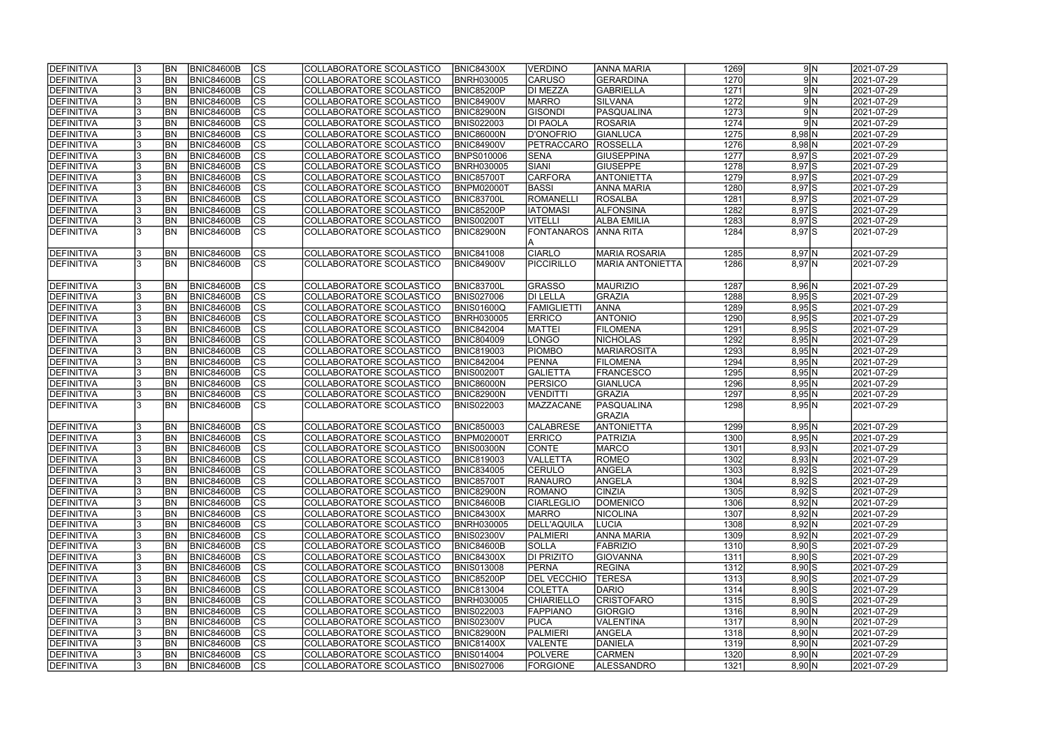| <b>IDEFINITIVA</b> | BN <sub></sub> | <b>BNIC84600B</b> | CS                       | COLLABORATORE SCOLASTICO | <b>BNIC84300X</b> | <b>VERDINO</b>     | <b>ANNA MARIA</b>       | 1269 | 9 N       | 2021-07-29              |
|--------------------|----------------|-------------------|--------------------------|--------------------------|-------------------|--------------------|-------------------------|------|-----------|-------------------------|
| <b>DEFINITIVA</b>  | <b>BN</b>      | <b>BNIC84600B</b> | $ \overline{\text{cs}} $ | COLLABORATORE SCOLASTICO | <b>BNRH030005</b> | <b>CARUSO</b>      | GERARDINA               | 1270 | 9N        | 2021-07-29              |
| DEFINITIVA         | <b>BN</b>      | <b>BNIC84600B</b> | $\overline{\text{cs}}$   | COLLABORATORE SCOLASTICO | BNIC85200P        | <b>DI MEZZA</b>    | <b>GABRIELLA</b>        | 1271 | 9N        | 2021-07-29              |
| <b>DEFINITIVA</b>  | <b>BN</b>      | <b>BNIC84600B</b> | $\overline{\text{CS}}$   | COLLABORATORE SCOLASTICO | <b>BNIC84900V</b> | <b>MARRO</b>       | SILVANA                 | 1272 | 9N        | 2021-07-29              |
| <b>DEFINITIVA</b>  | <b>BN</b>      | BNIC84600B        | $\overline{\text{cs}}$   | COLLABORATORE SCOLASTICO | BNIC82900N        | <b>GISONDI</b>     | <b>PASQUALINA</b>       | 1273 | 9N        | 2021-07-29              |
| <b>DEFINITIVA</b>  | <b>BN</b>      | <b>BNIC84600B</b> | cs                       | COLLABORATORE SCOLASTICO | <b>BNIS022003</b> | <b>DI PAOLA</b>    | <b>ROSARIA</b>          | 1274 | 9N        | 2021-07-29              |
| <b>DEFINITIVA</b>  | <b>BN</b>      | <b>BNIC84600B</b> | $\overline{\text{CS}}$   | COLLABORATORE SCOLASTICO | <b>BNIC86000N</b> | <b>D'ONOFRIO</b>   | <b>GIANLUCA</b>         | 1275 | $8,98$ N  | 2021-07-29              |
| DEFINITIVA         | <b>BN</b>      | <b>BNIC84600B</b> | $\overline{\text{CS}}$   | COLLABORATORE SCOLASTICO | <b>BNIC84900V</b> | PETRACCARO         | <b>ROSSELLA</b>         | 1276 | $8,98$ N  | 2021-07-29              |
| DEFINITIVA         | <b>BN</b>      | <b>BNIC84600B</b> | $\overline{\text{CS}}$   | COLLABORATORE SCOLASTICO | BNPS010006        | <b>SENA</b>        | <b>GIUSEPPINA</b>       | 1277 | $8,97$ S  | 2021-07-29              |
| DEFINITIVA         | BN             | <b>BNIC84600B</b> | cs                       | COLLABORATORE SCOLASTICO | <b>BNRH030005</b> | <b>SIANI</b>       | <b>GIUSEPPE</b>         | 1278 | $8,97$ S  | $\sqrt{2021} - 07 - 29$ |
| DEFINITIVA         | <b>BN</b>      | <b>BNIC84600B</b> | cs                       | COLLABORATORE SCOLASTICO | <b>BNIC85700T</b> | <b>CARFORA</b>     | <b>ANTONIETTA</b>       | 1279 | $8,97$ S  | 2021-07-29              |
| DEFINITIVA         | <b>BN</b>      | BNIC84600B        | $ \overline{\text{CS}} $ | COLLABORATORE SCOLASTICO | BNPM02000T        | <b>BASSI</b>       | <b>ANNA MARIA</b>       | 1280 | $8,97$ S  | 2021-07-29              |
| <b>DEFINITIVA</b>  | BN <sub></sub> | <b>BNIC84600B</b> | cs                       | COLLABORATORE SCOLASTICO | <b>BNIC83700L</b> | <b>ROMANELLI</b>   | <b>ROSALBA</b>          | 1281 | $8,97$ S  | 2021-07-29              |
| <b>DEFINITIVA</b>  | <b>BN</b>      | <b>BNIC84600B</b> | cs                       | COLLABORATORE SCOLASTICO | <b>BNIC85200P</b> | <b>IATOMASI</b>    | <b>ALFONSINA</b>        | 1282 | $8,97$ S  | 2021-07-29              |
| <b>DEFINITIVA</b>  | BN <sub></sub> | <b>BNIC84600B</b> | $ \overline{\text{CS}} $ | COLLABORATORE SCOLASTICO | <b>BNIS00200T</b> | <b>VITELLI</b>     | <b>ALBA EMILIA</b>      | 1283 | $8,97$ S  | 2021-07-29              |
| <b>DEFINITIVA</b>  | lbn            | <b>BNIC84600B</b> | $\overline{\text{CS}}$   | COLLABORATORE SCOLASTICO | <b>BNIC82900N</b> | <b>FONTANAROS</b>  | <b>ANNA RITA</b>        | 1284 | $8,97$ S  | 2021-07-29              |
|                    |                |                   |                          |                          |                   |                    |                         |      |           |                         |
| DEFINITIVA         | <b>BN</b>      | <b>BNIC84600B</b> | <b>CS</b>                | COLLABORATORE SCOLASTICO | <b>BNIC841008</b> | <b>CIARLO</b>      | <b>MARIA ROSARIA</b>    | 1285 | $8,97$ N  | 2021-07-29              |
| <b>DEFINITIVA</b>  | <b>BN</b>      | <b>BNIC84600B</b> | CS                       | COLLABORATORE SCOLASTICO | <b>BNIC84900V</b> | <b>PICCIRILLO</b>  | <b>MARIA ANTONIETTA</b> | 1286 | $8,97$ N  | 2021-07-29              |
|                    |                |                   |                          |                          |                   |                    |                         |      |           |                         |
| DEFINITIVA         | BN <sub></sub> | <b>BNIC84600B</b> | <b>CS</b>                | COLLABORATORE SCOLASTICO | <b>BNIC83700L</b> | <b>GRASSO</b>      | <b>MAURIZIO</b>         | 1287 | 8,96 N    | 2021-07-29              |
| DEFINITIVA         | <b>BN</b>      | <b>BNIC84600B</b> | <b>CS</b>                | COLLABORATORE SCOLASTICO | <b>BNIS027006</b> | <b>DI LELLA</b>    | <b>GRAZIA</b>           | 1288 | $8,95$ S  | 2021-07-29              |
| <b>DEFINITIVA</b>  | <b>BN</b>      | <b>BNIC84600B</b> | <b>CS</b>                | COLLABORATORE SCOLASTICO | BNIS01600Q        | FAMIGLIETTI        | <b>ANNA</b>             | 1289 | $8,95$ S  | 2021-07-29              |
| <b>DEFINITIVA</b>  | <b>BN</b>      | <b>BNIC84600B</b> | <b>CS</b>                | COLLABORATORE SCOLASTICO | <b>BNRH030005</b> | <b>ERRICO</b>      | <b>ANTONIO</b>          | 1290 | $8,95$ S  | 2021-07-29              |
| DEFINITIVA         | <b>BN</b>      | <b>BNIC84600B</b> | cs                       | COLLABORATORE SCOLASTICO | <b>BNIC842004</b> | <b>MATTEI</b>      | <b>FILOMENA</b>         | 1291 | $8,95$ S  | 2021-07-29              |
| <b>DEFINITIVA</b>  | <b>BN</b>      | <b>BNIC84600B</b> | <b>CS</b>                | COLLABORATORE SCOLASTICO | <b>BNIC804009</b> | <b>LONGO</b>       | <b>NICHOLAS</b>         | 1292 | 8,95 N    | 2021-07-29              |
| DEFINITIVA         | <b>BN</b>      | <b>BNIC84600B</b> | cs                       | COLLABORATORE SCOLASTICO | <b>BNIC819003</b> | <b>PIOMBO</b>      | MARIAROSITA             | 1293 | 8,95 N    | 2021-07-29              |
| <b>DEFINITIVA</b>  | BN <sub></sub> | <b>BNIC84600B</b> | cs                       | COLLABORATORE SCOLASTICO | <b>BNIC842004</b> | <b>PENNA</b>       | <b>FILOMENA</b>         | 1294 | 8,95 N    | 2021-07-29              |
| DEFINITIVA         | BN <sub></sub> | <b>BNIC84600B</b> | cs                       | COLLABORATORE SCOLASTICO | <b>BNIS00200T</b> | <b>GALIETTA</b>    | <b>FRANCESCO</b>        | 1295 | 8,95 N    | 2021-07-29              |
| <b>DEFINITIVA</b>  | BN <sub></sub> | <b>BNIC84600B</b> | cs                       | COLLABORATORE SCOLASTICO | <b>BNIC86000N</b> | <b>PERSICO</b>     | GIANLUCA                | 1296 | $8,95$ N  | 2021-07-29              |
| <b>DEFINITIVA</b>  | <b>BN</b>      | <b>BNIC84600B</b> | $ \mathsf{CS} $          | COLLABORATORE SCOLASTICO | <b>BNIC82900N</b> | <b>VENDITTI</b>    | GRAZIA                  | 1297 | 8,95 N    | 2021-07-29              |
| <b>DEFINITIVA</b>  | <b>BN</b>      | <b>BNIC84600B</b> | $\overline{\text{CS}}$   | COLLABORATORE SCOLASTICO | <b>BNIS022003</b> | <b>MAZZACANE</b>   | PASQUALINA              | 1298 | 8,95 N    | 2021-07-29              |
|                    |                |                   |                          |                          |                   |                    | <b>GRAZIA</b>           |      |           |                         |
| <b>DEFINITIVA</b>  | <b>BN</b>      | <b>BNIC84600B</b> | <b>CS</b>                | COLLABORATORE SCOLASTICO | <b>BNIC850003</b> | <b>CALABRESE</b>   | <b>ANTONIETTA</b>       | 1299 | 8,95 N    | 2021-07-29              |
| <b>DEFINITIVA</b>  | <b>BN</b>      | <b>BNIC84600B</b> | $\overline{\text{cs}}$   | COLLABORATORE SCOLASTICO | BNPM02000T        | <b>ERRICO</b>      | PATRIZIA                | 1300 | 8,95 N    | 2021-07-29              |
| DEFINITIVA         | <b>BN</b>      | <b>BNIC84600B</b> | $\overline{\text{cs}}$   | COLLABORATORE SCOLASTICO | <b>BNIS00300N</b> | <b>CONTE</b>       | MARCO                   | 1301 | 8,93 N    | 2021-07-29              |
| <b>DEFINITIVA</b>  | <b>BN</b>      | BNIC84600B        | CS                       | COLLABORATORE SCOLASTICO | <b>BNIC819003</b> | <b>VALLETTA</b>    | <b>ROMEO</b>            | 1302 | 8,93 N    | 2021-07-29              |
| DEFINITIVA         | <b>BN</b>      | <b>BNIC84600B</b> | <sub>lcs</sub>           | COLLABORATORE SCOLASTICO | <b>BNIC834005</b> | <b>CERULO</b>      | ANGELA                  | 1303 | $8,92$ S  | 2021-07-29              |
| <b>DEFINITIVA</b>  | <b>BN</b>      | BNIC84600B        | CS                       | COLLABORATORE SCOLASTICO | <b>BNIC85700T</b> | <b>RANAURO</b>     | ANGELA                  | 1304 | $8,92$ S  | 2021-07-29              |
| <b>DEFINITIVA</b>  | <b>BN</b>      | <b>BNIC84600B</b> | <b>CS</b>                | COLLABORATORE SCOLASTICO | <b>BNIC82900N</b> | <b>ROMANO</b>      | <b>CINZIA</b>           | 1305 | $8,92$ S  | 2021-07-29              |
| <b>DEFINITIVA</b>  | <b>BN</b>      | <b>BNIC84600B</b> | <b>CS</b>                | COLLABORATORE SCOLASTICO | <b>BNIC84600B</b> | <b>CIARLEGLIO</b>  | DOMENICO                | 1306 | 8,92 N    | 2021-07-29              |
| <b>DEFINITIVA</b>  | <b>BN</b>      | <b>BNIC84600B</b> | CS                       | COLLABORATORE SCOLASTICO | <b>BNIC84300X</b> | <b>MARRO</b>       | <b>NICOLINA</b>         | 1307 | 8,92 N    | 2021-07-29              |
| DEFINITIVA         | <b>BN</b>      | <b>BNIC84600B</b> | CS                       | COLLABORATORE SCOLASTICO | <b>BNRH030005</b> | <b>DELL'AQUILA</b> | <b>LUCIA</b>            | 1308 | 8,92 N    | 2021-07-29              |
| <b>DEFINITIVA</b>  | <b>BN</b>      | <b>BNIC84600B</b> | <b>CS</b>                | COLLABORATORE SCOLASTICO | <b>BNIS02300V</b> | PALMIERI           | <b>ANNA MARIA</b>       | 1309 | 8,92 N    | 2021-07-29              |
| <b>DEFINITIVA</b>  | <b>BN</b>      | <b>BNIC84600B</b> | cs                       | COLLABORATORE SCOLASTICO | <b>BNIC84600B</b> | <b>SOLLA</b>       | FABRIZIO                | 1310 | $8,90$ S  | 2021-07-29              |
| <b>DEFINITIVA</b>  | BN             | <b>BNIC84600B</b> | CS                       | COLLABORATORE SCOLASTICO | <b>BNIC84300X</b> | <b>DI PRIZITO</b>  | <b>GIOVANNA</b>         | 1311 | $8,90$ S  | 2021-07-29              |
| <b>DEFINITIVA</b>  | <b>BN</b>      | <b>BNIC84600B</b> | cs                       | COLLABORATORE SCOLASTICO | <b>BNIS013008</b> | PERNA              | <b>REGINA</b>           | 1312 | $8,90$ S  | 2021-07-29              |
| <b>DEFINITIVA</b>  | <b>BN</b>      | <b>BNIC84600B</b> | CS                       | COLLABORATORE SCOLASTICO | <b>BNIC85200P</b> | <b>DEL VECCHIO</b> | <b>TERESA</b>           | 1313 | $8,90$ S  | 2021-07-29              |
| <b>DEFINITIVA</b>  | <b>BN</b>      | <b>BNIC84600B</b> | $\overline{\text{CS}}$   | COLLABORATORE SCOLASTICO | <b>BNIC813004</b> | <b>COLETTA</b>     | DARIO                   | 1314 | $8,90$ S  | 2021-07-29              |
| <b>DEFINITIVA</b>  | <b>BN</b>      | <b>BNIC84600B</b> | cs                       | COLLABORATORE SCOLASTICO | <b>BNRH030005</b> | <b>CHIARIELLO</b>  | <b>CRISTOFARO</b>       | 1315 | $8,90$ S  | 2021-07-29              |
| <b>DEFINITIVA</b>  | <b>BN</b>      | <b>BNIC84600B</b> | <b>CS</b>                | COLLABORATORE SCOLASTICO | <b>BNIS022003</b> | <b>FAPPIANO</b>    | GIORGIO                 | 1316 | 8,90 N    | 2021-07-29              |
| <b>DEFINITIVA</b>  | <b>BN</b>      | <b>BNIC84600B</b> | cs                       | COLLABORATORE SCOLASTICO | <b>BNIS02300V</b> | <b>PUCA</b>        | <b>VALENTINA</b>        | 1317 | 8,90 N    | 2021-07-29              |
| <b>DEFINITIVA</b>  | BN <sub></sub> | <b>BNIC84600B</b> | CS                       | COLLABORATORE SCOLASTICO | <b>BNIC82900N</b> | PALMIERI           | ANGELA                  | 1318 | 8,90 N    | 2021-07-29              |
| <b>DEFINITIVA</b>  | BN <sub></sub> | <b>BNIC84600B</b> | cs                       | COLLABORATORE SCOLASTICO | <b>BNIC81400X</b> | VALENTE            | DANIELA                 | 1319 | 8,90 N    | 2021-07-29              |
| <b>DEFINITIVA</b>  | <b>BN</b>      | <b>BNIC84600B</b> | <b>CS</b>                | COLLABORATORE SCOLASTICO | <b>BNIS014004</b> | <b>POLVERE</b>     | <b>CARMEN</b>           | 1320 | $8,90\ N$ | 2021-07-29              |
| <b>DEFINITIVA</b>  | BN <sub></sub> | <b>BNIC84600B</b> | <b>CS</b>                | COLLABORATORE SCOLASTICO | <b>BNIS027006</b> | <b>FORGIONE</b>    | ALESSANDRO              | 1321 | 8,90 N    | 2021-07-29              |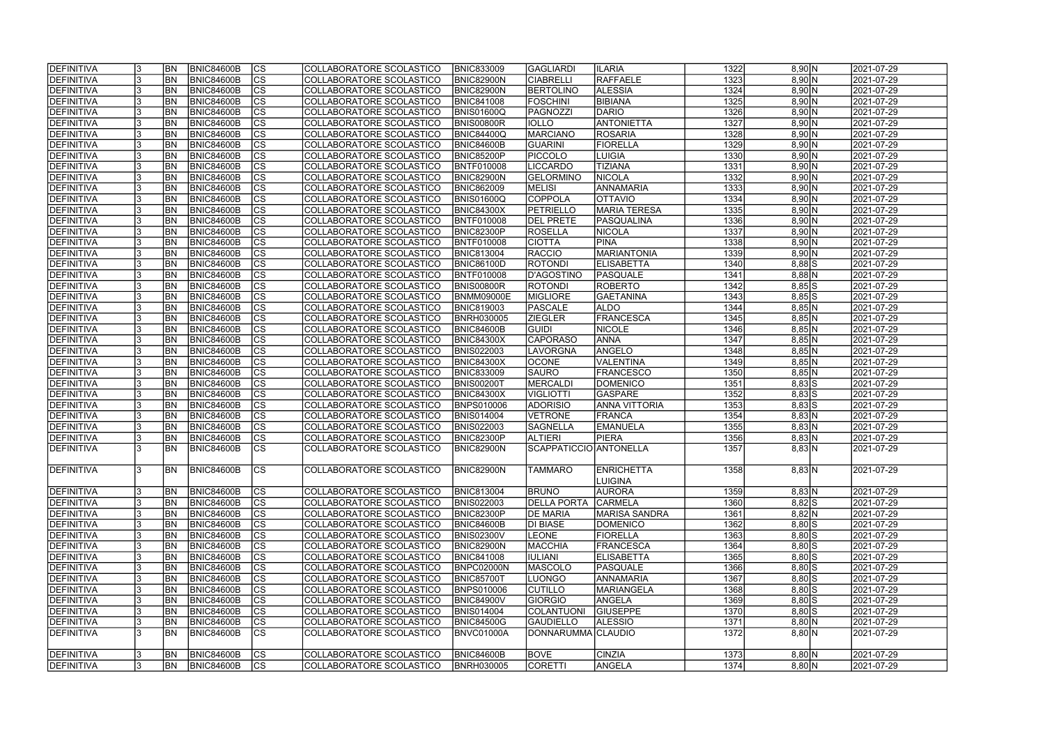| <b>DEFINITIVA</b> |    | <b>BN</b> | <b>BNIC84600B</b> | <sub>Ics</sub> | COLLABORATORE SCOLASTICO | <b>BNIC833009</b> | <b>GAGLIARDI</b>       | <b>ILARIA</b>      | 1322 | 8,90 N     | 2021-07-29 |
|-------------------|----|-----------|-------------------|----------------|--------------------------|-------------------|------------------------|--------------------|------|------------|------------|
| <b>DEFINITIVA</b> |    | <b>BN</b> | <b>BNIC84600B</b> | cs             | COLLABORATORE SCOLASTICO | <b>BNIC82900N</b> | <b>CIABRELLI</b>       | <b>RAFFAELE</b>    | 1323 | 8,90 N     | 2021-07-29 |
| DEFINITIVA        |    | <b>BN</b> | <b>BNIC84600B</b> | cs             | COLLABORATORE SCOLASTICO | BNIC82900N        | BERTOLINO              | <b>ALESSIA</b>     | 1324 | 8,90 N     | 2021-07-29 |
| <b>DEFINITIVA</b> |    | <b>BN</b> | BNIC84600B        | $\overline{c}$ | COLLABORATORE SCOLASTICO | <b>BNIC841008</b> | <b>FOSCHINI</b>        | <b>BIBIANA</b>     | 1325 | 8,90 N     | 2021-07-29 |
| <b>DEFINITIVA</b> |    | <b>BN</b> | BNIC84600B        | cs             | COLLABORATORE SCOLASTICO | <b>BNIS01600Q</b> | PAGNOZZI               | DARIO              | 1326 | 8,90 N     | 2021-07-29 |
| <b>DEFINITIVA</b> |    | <b>BN</b> | BNIC84600B        | cs             | COLLABORATORE SCOLASTICO | <b>BNIS00800R</b> | <b>IOLLO</b>           | <b>ANTONIETTA</b>  | 1327 | 8,90 N     | 2021-07-29 |
| <b>DEFINITIVA</b> |    | <b>BN</b> | BNIC84600B        | cs             | COLLABORATORE SCOLASTICO | <b>BNIC84400Q</b> | <b>MARCIANO</b>        | <b>ROSARIA</b>     | 1328 | 8,90 N     | 2021-07-29 |
| DEFINITIVA        |    | <b>BN</b> | <b>BNIC84600B</b> | cs             | COLLABORATORE SCOLASTICO | <b>BNIC84600B</b> | <b>GUARINI</b>         | <b>FIORELLA</b>    | 1329 | 8,90 N     | 2021-07-29 |
| DEFINITIVA        |    | BN        | <b>BNIC84600B</b> | $ {\rm CS} $   | COLLABORATORE SCOLASTICO | <b>BNIC85200P</b> | <b>PICCOLO</b>         | LUIGIA             | 1330 | 8,90 N     | 2021-07-29 |
| DEFINITIVA        |    | <b>BN</b> | <b>BNIC84600B</b> | cs             | COLLABORATORE SCOLASTICO | <b>BNTF010008</b> | <b>LICCARDO</b>        | <b>TIZIANA</b>     | 1331 | 8,90 N     | 2021-07-29 |
| DEFINITIVA        |    | <b>BN</b> | <b>BNIC84600B</b> | $ {\rm CS} $   | COLLABORATORE SCOLASTICO | <b>BNIC82900N</b> | <b>GELORMINO</b>       | <b>NICOLA</b>      | 1332 | 8,90 N     | 2021-07-29 |
| <b>DEFINITIVA</b> |    | <b>BN</b> | <b>BNIC84600B</b> | cs             | COLLABORATORE SCOLASTICO | <b>BNIC862009</b> | <b>MELISI</b>          | ANNAMARIA          | 1333 | 8,90 N     | 2021-07-29 |
| DEFINITIVA        |    | <b>BN</b> | <b>BNIC84600B</b> | cs             | COLLABORATORE SCOLASTICO | <b>BNIS01600Q</b> | COPPOLA                | <b>OIVATTO</b>     | 1334 | 8,90 N     | 2021-07-29 |
| DEFINITIVA        |    | <b>BN</b> | <b>BNIC84600B</b> | $ {\rm CS} $   | COLLABORATORE SCOLASTICO | <b>BNIC84300X</b> | PETRIELLO              | MARIA TERESA       | 1335 | 8,90 N     | 2021-07-29 |
| DEFINITIVA        |    | <b>BN</b> | <b>BNIC84600B</b> | $ {\rm CS} $   | COLLABORATORE SCOLASTICO | <b>BNTF010008</b> | <b>DEL PRETE</b>       | PASQUALINA         | 1336 | 8,90 N     | 2021-07-29 |
| DEFINITIVA        |    | <b>BN</b> | <b>BNIC84600B</b> | $ {\rm CS} $   | COLLABORATORE SCOLASTICO | <b>BNIC82300P</b> | <b>ROSELLA</b>         | <b>NICOLA</b>      | 1337 | 8,90 N     | 2021-07-29 |
|                   |    |           |                   | cs             |                          |                   |                        |                    | 1338 |            |            |
| DEFINITIVA        |    | BN        | BNIC84600B        |                | COLLABORATORE SCOLASTICO | <b>BNTF010008</b> | <b>CIOTTA</b>          | <b>PINA</b>        |      | 8,90 N     | 2021-07-29 |
| <b>DEFINITIVA</b> |    | <b>BN</b> | <b>BNIC84600B</b> | $ {\rm CS} $   | COLLABORATORE SCOLASTICO | <b>BNIC813004</b> | RACCIO                 | <b>MARIANTONIA</b> | 1339 | 8,90 N     | 2021-07-29 |
| <b>DEFINITIVA</b> |    | <b>BN</b> | BNIC84600B        | <b>CS</b>      | COLLABORATORE SCOLASTICO | <b>BNIC86100D</b> | <b>ROTONDI</b>         | <b>ELISABETTA</b>  | 1340 | $8,88$ S   | 2021-07-29 |
| <b>DEFINITIVA</b> |    | <b>BN</b> | <b>BNIC84600B</b> | cs             | COLLABORATORE SCOLASTICO | <b>BNTF010008</b> | D'AGOSTINO             | <b>PASQUALE</b>    | 1341 | $8,88$ N   | 2021-07-29 |
| <b>DEFINITIVA</b> |    | <b>BN</b> | BNIC84600B        | $ {\rm cs} $   | COLLABORATORE SCOLASTICO | <b>BNIS00800R</b> | ROTONDI                | ROBERTO            | 1342 | $8,85$ S   | 2021-07-29 |
| <b>DEFINITIVA</b> |    | <b>BN</b> | BNIC84600B        | <b>CS</b>      | COLLABORATORE SCOLASTICO | <b>BNMM09000E</b> | <b>MIGLIORE</b>        | GAETANINA          | 1343 | $8,85$ S   | 2021-07-29 |
| <b>DEFINITIVA</b> |    | <b>BN</b> | BNIC84600B        | <b>CS</b>      | COLLABORATORE SCOLASTICO | <b>BNIC819003</b> | PASCALE                | <b>ALDO</b>        | 1344 | 8,85 N     | 2021-07-29 |
| <b>DEFINITIVA</b> |    | <b>BN</b> | BNIC84600B        | CS             | COLLABORATORE SCOLASTICO | <b>BNRH030005</b> | <b>ZIEGLER</b>         | <b>FRANCESCA</b>   | 1345 | 8,85 N     | 2021-07-29 |
| DEFINITIVA        |    | BN        | <b>BNIC84600B</b> | $ {\rm cs} $   | COLLABORATORE SCOLASTICO | <b>BNIC84600B</b> | <b>GUIDI</b>           | <b>NICOLE</b>      | 1346 | 8,85 N     | 2021-07-29 |
| DEFINITIVA        |    | BN        | <b>BNIC84600B</b> | $ {\rm CS} $   | COLLABORATORE SCOLASTICO | <b>BNIC84300X</b> | <b>CAPORASO</b>        | <b>ANNA</b>        | 1347 | 8,85 N     | 2021-07-29 |
| <b>DEFINITIVA</b> |    | <b>BN</b> | <b>BNIC84600B</b> | $ {\rm cs} $   | COLLABORATORE SCOLASTICO | <b>BNIS022003</b> | LAVORGNA               | ANGELO             | 1348 | 8,85 N     | 2021-07-29 |
| DEFINITIVA        |    | <b>BN</b> | <b>BNIC84600B</b> | $ {\rm cs} $   | COLLABORATORE SCOLASTICO | <b>BNIC84300X</b> | <b>OCONE</b>           | VALENTINA          | 1349 | 8,85 N     | 2021-07-29 |
| DEFINITIVA        |    | <b>BN</b> | <b>BNIC84600B</b> | $ {\rm cs} $   | COLLABORATORE SCOLASTICO | <b>BNIC833009</b> | <b>SAURO</b>           | <b>FRANCESCO</b>   | 1350 | $8,85$ N   | 2021-07-29 |
| DEFINITIVA        |    | <b>BN</b> | <b>BNIC84600B</b> | $ {\rm cs} $   | COLLABORATORE SCOLASTICO | <b>BNIS00200T</b> | MERCALDI               | <b>DOMENICO</b>    | 1351 | $8,83$ S   | 2021-07-29 |
| DEFINITIVA        |    | <b>BN</b> | <b>BNIC84600B</b> | $\overline{c}$ | COLLABORATORE SCOLASTICO | <b>BNIC84300X</b> | <b>VIGLIOTTI</b>       | <b>GASPARE</b>     | 1352 | $8,83$ S   | 2021-07-29 |
| DEFINITIVA        |    | <b>BN</b> | <b>BNIC84600B</b> | cs             | COLLABORATORE SCOLASTICO | <b>BNPS010006</b> | <b>ADORISIO</b>        | ANNA VITTORIA      | 1353 | $8,83$ S   | 2021-07-29 |
| <b>DEFINITIVA</b> |    | <b>BN</b> | <b>BNIC84600B</b> | $\overline{c}$ | COLLABORATORE SCOLASTICO | <b>BNIS014004</b> | <b>VETRONE</b>         | FRANCA             | 1354 | 8,83 N     | 2021-07-29 |
| <b>DEFINITIVA</b> |    | <b>BN</b> | <b>BNIC84600B</b> | cs             | COLLABORATORE SCOLASTICO | <b>BNIS022003</b> | <b>SAGNELLA</b>        | <b>EMANUELA</b>    | 1355 | 8,83 N     | 2021-07-29 |
| <b>DEFINITIVA</b> |    | <b>BN</b> | BNIC84600B        | cs             | COLLABORATORE SCOLASTICO | <b>BNIC82300P</b> | <b>ALTIERI</b>         | <b>PIERA</b>       | 1356 | 8,83 N     | 2021-07-29 |
| DEFINITIVA        |    | <b>BN</b> | <b>BNIC84600B</b> | $\overline{c}$ | COLLABORATORE SCOLASTICO | <b>BNIC82900N</b> | SCAPPATICCIO ANTONELLA |                    | 1357 | 8,83 N     | 2021-07-29 |
| <b>DEFINITIVA</b> |    | <b>BN</b> | <b>BNIC84600B</b> | ICS            | COLLABORATORE SCOLASTICO | BNIC82900N        | <b>TAMMARO</b>         | <b>ENRICHETTA</b>  | 1358 | 8,83 N     | 2021-07-29 |
|                   |    |           |                   |                |                          |                   |                        | LUIGINA            |      |            |            |
| DEFINITIVA        |    | <b>BN</b> | <b>BNIC84600B</b> | CS             | COLLABORATORE SCOLASTICO | <b>BNIC813004</b> | <b>BRUNO</b>           | <b>AURORA</b>      | 1359 | 8,83 N     | 2021-07-29 |
| DEFINITIVA        |    | <b>BN</b> | <b>BNIC84600B</b> | cs             | COLLABORATORE SCOLASTICO | <b>BNIS022003</b> | <b>DELLA PORTA</b>     | <b>CARMELA</b>     | 1360 | $8,82$ S   | 2021-07-29 |
| DEFINITIVA        |    | <b>BN</b> | <b>BNIC84600B</b> | $ {\rm CS} $   | COLLABORATORE SCOLASTICO | <b>BNIC82300P</b> | <b>DE MARIA</b>        | MARISA SANDRA      | 1361 | 8,82 N     | 2021-07-29 |
| DEFINITIVA        |    | BN        | <b>BNIC84600B</b> | cs             | COLLABORATORE SCOLASTICO | <b>BNIC84600B</b> | <b>DI BIASE</b>        | <b>DOMENICO</b>    | 1362 | $8,80$ S   | 2021-07-29 |
| DEFINITIVA        |    | BN        | <b>BNIC84600B</b> | $ {\rm CS} $   | COLLABORATORE SCOLASTICO | <b>BNIS02300V</b> | <b>LEONE</b>           | <b>FIORELLA</b>    | 1363 | $8,80$ S   | 2021-07-29 |
| DEFINITIVA        |    | BN        | <b>BNIC84600B</b> | cs             | COLLABORATORE SCOLASTICO | <b>BNIC82900N</b> | MACCHIA                | <b>FRANCESCA</b>   | 1364 | $8,80$ S   | 2021-07-29 |
| DEFINITIVA        |    | <b>BN</b> | <b>BNIC84600B</b> | cs             | COLLABORATORE SCOLASTICO | <b>BNIC841008</b> | <b>IULIANI</b>         | <b>ELISABETTA</b>  | 1365 | $8,80$ $S$ | 2021-07-29 |
| <b>DEFINITIVA</b> |    | <b>BN</b> | <b>BNIC84600B</b> | cs             | COLLABORATORE SCOLASTICO | BNPC02000N        | MASCOLO                | PASQUALE           | 1366 | $8,80$ S   | 2021-07-29 |
| DEFINITIVA        |    | <b>BN</b> | <b>BNIC84600B</b> | cs             | COLLABORATORE SCOLASTICO | <b>BNIC85700T</b> | <b>LUONGO</b>          | ANNAMARIA          | 1367 | $8,80$ S   | 2021-07-29 |
|                   |    |           |                   | $\overline{c}$ | COLLABORATORE SCOLASTICO |                   |                        | MARIANGELA         | 1368 |            |            |
| DEFINITIVA        |    | <b>BN</b> | <b>BNIC84600B</b> |                |                          | <b>BNPS010006</b> | <b>CUTILLO</b>         |                    |      | $8,80$ $S$ | 2021-07-29 |
| DEFINITIVA        |    | <b>BN</b> | <b>BNIC84600B</b> | cs             | COLLABORATORE SCOLASTICO | <b>BNIC84900V</b> | <b>GIORGIO</b>         | ANGELA             | 1369 | $8,80$ $S$ | 2021-07-29 |
| DEFINITIVA        |    | BN        | <b>BNIC84600B</b> | $ {\rm CS} $   | COLLABORATORE SCOLASTICO | <b>BNIS014004</b> | <b>COLANTUONI</b>      | <b>GIUSEPPE</b>    | 1370 | $8,80$ S   | 2021-07-29 |
| DEFINITIVA        |    | BN        | BNIC84600B        | $ {\rm CS} $   | COLLABORATORE SCOLASTICO | <b>BNIC84500G</b> | <b>GAUDIELLO</b>       | <b>ALESSIO</b>     | 1371 | 8,80 N     | 2021-07-29 |
| DEFINITIVA        |    | <b>BN</b> | <b>BNIC84600B</b> | <b>CS</b>      | COLLABORATORE SCOLASTICO | BNVC01000A        | DONNARUMMA CLAUDIO     |                    | 1372 | 8,80 N     | 2021-07-29 |
| DEFINITIVA        |    | <b>BN</b> | <b>BNIC84600B</b> | $ {\rm CS} $   | COLLABORATORE SCOLASTICO | <b>BNIC84600B</b> | <b>BOVE</b>            | <b>CINZIA</b>      | 1373 | 8,80 N     | 2021-07-29 |
| <b>DEFINITIVA</b> | Ι3 | <b>BN</b> | <b>BNIC84600B</b> | $ {\rm CS} $   | COLLABORATORE SCOLASTICO | <b>BNRH030005</b> | <b>CORETTI</b>         | ANGELA             | 1374 | 8,80 N     | 2021-07-29 |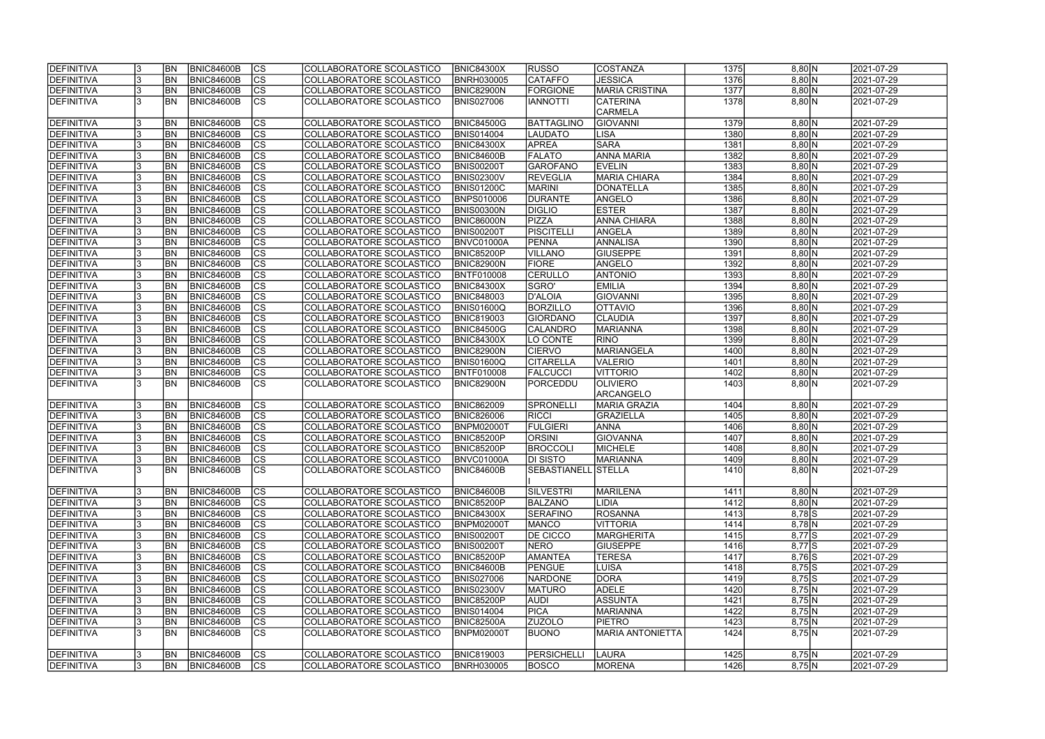| <b>DEFINITIVA</b>        |     | <b>BN</b>      | <b>BNIC84600B</b>                      | <sub>Ics</sub>         | COLLABORATORE SCOLASTICO        | <b>BNIC84300X</b> | <b>RUSSO</b>        | COSTANZA              | 1375 | 8,80 N    | 2021-07-29 |
|--------------------------|-----|----------------|----------------------------------------|------------------------|---------------------------------|-------------------|---------------------|-----------------------|------|-----------|------------|
| DEFINITIVA               |     | <b>BN</b>      | <b>BNIC84600B</b>                      | $\overline{c}$         | COLLABORATORE SCOLASTICO        | <b>BNRH030005</b> | <b>CATAFFO</b>      | <b>JESSICA</b>        | 1376 | 8,80 N    | 2021-07-29 |
| DEFINITIVA               |     | <b>BN</b>      | <b>BNIC84600B</b>                      | $\overline{c}$         | COLLABORATORE SCOLASTICO        | <b>BNIC82900N</b> | FORGIONE            | <b>MARIA CRISTINA</b> | 1377 | 8,80 N    | 2021-07-29 |
| <b>DEFINITIVA</b>        |     | BN             | <b>BNIC84600B</b>                      | $\overline{\text{cs}}$ | COLLABORATORE SCOLASTICO        | <b>BNIS027006</b> | <b>ITTONNI</b>      | <b>CATERINA</b>       | 1378 | 8,80 N    | 2021-07-29 |
|                          |     |                |                                        |                        |                                 |                   |                     | <b>CARMELA</b>        |      |           |            |
| DEFINITIVA               |     | BN             | <b>BNIC84600B</b>                      | <b>CS</b>              | COLLABORATORE SCOLASTICO        | <b>BNIC84500G</b> | BATTAGLINO          | <b>GIOVANNI</b>       | 1379 | 8,80 N    | 2021-07-29 |
| DEFINITIVA               |     | <b>BN</b>      | <b>BNIC84600B</b>                      | cs                     | COLLABORATORE SCOLASTICO        | <b>BNIS014004</b> | <b>LAUDATO</b>      | <b>LISA</b>           | 1380 | 8,80 N    | 2021-07-29 |
| DEFINITIVA               |     | <b>BN</b>      | <b>BNIC84600B</b>                      | cs                     | COLLABORATORE SCOLASTICO        | <b>BNIC84300X</b> | <b>APREA</b>        | <b>SARA</b>           | 1381 | 8,80 N    | 2021-07-29 |
| DEFINITIVA               |     | BN             | <b>BNIC84600B</b>                      | cs                     | COLLABORATORE SCOLASTICO        | <b>BNIC84600B</b> | <b>FALATO</b>       | <b>ANNA MARIA</b>     | 1382 | 8,80 N    | 2021-07-29 |
| <b>DEFINITIVA</b>        |     | <b>BN</b>      | <b>BNIC84600B</b>                      | cs                     | COLLABORATORE SCOLASTICO        | <b>BNIS00200T</b> | GAROFANO            | <b>EVELIN</b>         | 1383 | 8,80 N    | 2021-07-29 |
| DEFINITIVA               |     | <b>BN</b>      | <b>BNIC84600B</b>                      | cs                     | COLLABORATORE SCOLASTICO        | <b>BNIS02300V</b> | <b>REVEGLIA</b>     | <b>MARIA CHIARA</b>   | 1384 | 8,80 N    | 2021-07-29 |
| DEFINITIVA               |     | <b>BN</b>      | <b>BNIC84600B</b>                      | cs                     | COLLABORATORE SCOLASTICO        | <b>BNIS01200C</b> | <b>MARINI</b>       | DONATELLA             | 1385 | 8,80 N    | 2021-07-29 |
| DEFINITIVA               |     | <b>BN</b>      | <b>BNIC84600B</b>                      | $ {\rm CS} $           | COLLABORATORE SCOLASTICO        | <b>BNPS010006</b> | <b>DURANTE</b>      | ANGELO                | 1386 | 8,80 N    | 2021-07-29 |
| DEFINITIVA               |     | <b>BN</b>      | <b>BNIC84600B</b>                      | cs                     | COLLABORATORE SCOLASTICO        | <b>BNIS00300N</b> | <b>DIGLIO</b>       | <b>ESTER</b>          | 1387 | 8,80 N    | 2021-07-29 |
| DEFINITIVA               |     | <b>BN</b>      | <b>BNIC84600B</b>                      | cs                     | COLLABORATORE SCOLASTICO        | <b>BNIC86000N</b> | PIZZA               | <b>ANNA CHIARA</b>    | 1388 | $8,80$ N  | 2021-07-29 |
| DEFINITIVA               |     | <b>BN</b>      | <b>BNIC84600B</b>                      | $ {\rm CS} $           | COLLABORATORE SCOLASTICO        | <b>BNIS00200T</b> | <b>PISCITELLI</b>   | ANGELA                | 1389 | 8,80 N    | 2021-07-29 |
|                          |     | <b>BN</b>      |                                        | cs                     | COLLABORATORE SCOLASTICO        |                   | PENNA               | ANNALISA              | 1390 | 8,80 N    | 2021-07-29 |
| DEFINITIVA<br>DEFINITIVA |     | <b>BN</b>      | <b>BNIC84600B</b><br><b>BNIC84600B</b> | CS                     | COLLABORATORE SCOLASTICO        | BNVC01000A        | <b>VILLANO</b>      | <b>GIUSEPPE</b>       | 1391 | 8,80 N    | 2021-07-29 |
|                          |     |                |                                        |                        |                                 | <b>BNIC85200P</b> |                     |                       | 1392 |           |            |
| <b>DEFINITIVA</b>        |     | BN             | <b>BNIC84600B</b>                      | $ {\rm CS} $           | COLLABORATORE SCOLASTICO        | BNIC82900N        | <b>FIORE</b>        | ANGELO                |      | 8,80 N    | 2021-07-29 |
| <b>DEFINITIVA</b>        |     | BN             | <b>BNIC84600B</b>                      | cs                     | COLLABORATORE SCOLASTICO        | BNTF010008        | <b>CERULLO</b>      | <b>ANTONIO</b>        | 1393 | 8,80 N    | 2021-07-29 |
| <b>DEFINITIVA</b>        |     | <b>BN</b>      | <b>BNIC84600B</b>                      | cs                     | COLLABORATORE SCOLASTICO        | <b>BNIC84300X</b> | SGRO'               | <b>EMILIA</b>         | 1394 | 8,80 N    | 2021-07-29 |
| <b>DEFINITIVA</b>        |     | BN             | <b>BNIC84600B</b>                      | <b>CS</b>              | COLLABORATORE SCOLASTICO        | <b>BNIC848003</b> | D'ALOIA             | <b>GIOVANNI</b>       | 1395 | 8,80 N    | 2021-07-29 |
| DEFINITIVA               |     | BN             | <b>BNIC84600B</b>                      | <b>CS</b>              | COLLABORATORE SCOLASTICO        | BNIS01600Q        | <b>BORZILLO</b>     | OIVATTO               | 1396 | 8,80 N    | 2021-07-29 |
| DEFINITIVA               |     | <b>BN</b>      | <b>BNIC84600B</b>                      | CS                     | COLLABORATORE SCOLASTICO        | <b>BNIC819003</b> | <b>GIORDANO</b>     | <b>CLAUDIA</b>        | 1397 | 8,80 N    | 2021-07-29 |
| DEFINITIVA               |     | lbn            | <b>BNIC84600B</b>                      | cs                     | COLLABORATORE SCOLASTICO        | <b>BNIC84500G</b> | <b>CALANDRO</b>     | MARIANNA              | 1398 | 8,80 N    | 2021-07-29 |
| DEFINITIVA               |     | <b>BN</b>      | <b>BNIC84600B</b>                      | $ {\rm cs} $           | COLLABORATORE SCOLASTICO        | <b>BNIC84300X</b> | LO CONTE            | RINO                  | 1399 | 8,80 N    | 2021-07-29 |
| DEFINITIVA               |     | <b>BN</b>      | <b>BNIC84600B</b>                      | cs                     | COLLABORATORE SCOLASTICO        | <b>BNIC82900N</b> | <b>CIERVO</b>       | MARIANGELA            | 1400 | 8,80 N    | 2021-07-29 |
| DEFINITIVA               |     | <b>BN</b>      | <b>BNIC84600B</b>                      | cs                     | COLLABORATORE SCOLASTICO        | <b>BNIS01600Q</b> | <b>CITARELLA</b>    | <b>VALERIO</b>        | 1401 | 8,80 N    | 2021-07-29 |
| DEFINITIVA               |     | <b>BN</b>      | <b>BNIC84600B</b>                      | cs                     | COLLABORATORE SCOLASTICO        | <b>BNTF010008</b> | <b>FALCUCCI</b>     | VITTORIO              | 1402 | $8,80$ N  | 2021-07-29 |
| DEFINITIVA               |     | <b>BN</b>      | <b>BNIC84600B</b>                      | lcs                    | COLLABORATORE SCOLASTICO        | <b>BNIC82900N</b> | PORCEDDU            | <b>OLIVIERO</b>       | 1403 | 8,80 N    | 2021-07-29 |
|                          |     |                |                                        |                        |                                 |                   |                     | ARCANGELO             |      |           |            |
| DEFINITIVA               |     | <b>BN</b>      | <b>BNIC84600B</b>                      | CS                     | COLLABORATORE SCOLASTICO        | <b>BNIC862009</b> | SPRONELLI           | MARIA GRAZIA          | 1404 | 8,80 N    | 2021-07-29 |
| DEFINITIVA               |     | <b>BN</b>      | <b>BNIC84600B</b>                      | $\overline{c}$         | <b>COLLABORATORE SCOLASTICO</b> | <b>BNIC826006</b> | <b>RICCI</b>        | GRAZIELLA             | 1405 | 8,80 N    | 2021-07-29 |
| DEFINITIVA               |     | <b>BN</b>      | <b>BNIC84600B</b>                      | cs                     | COLLABORATORE SCOLASTICO        | <b>BNPM02000T</b> | <b>FULGIERI</b>     | <b>ANNA</b>           | 1406 | 8,80 N    | 2021-07-29 |
| DEFINITIVA               |     | <b>BN</b>      | <b>BNIC84600B</b>                      | $\overline{c}$         | COLLABORATORE SCOLASTICO        | BNIC85200P        | <b>ORSINI</b>       | <b>GIOVANNA</b>       | 1407 | 8,80 N    | 2021-07-29 |
| DEFINITIVA               |     | <b>BN</b>      | <b>BNIC84600B</b>                      | cs                     | COLLABORATORE SCOLASTICO        | <b>BNIC85200P</b> | <b>BROCCOLI</b>     | MICHELE               | 1408 | 8,80 N    | 2021-07-29 |
| <b>DEFINITIVA</b>        | 13  | <b>BN</b>      | BNIC84600B                             | CS                     | COLLABORATORE SCOLASTICO        | BNVC01000A        | <b>DI SISTO</b>     | MARIANNA              | 1409 | $8,80$  N | 2021-07-29 |
| <b>DEFINITIVA</b>        |     | <b>BN</b>      | BNIC84600B                             | <b>ICS</b>             | COLLABORATORE SCOLASTICO        | BNIC84600B        | SEBASTIANELL STELLA |                       | 1410 | 8,80 N    | 2021-07-29 |
|                          |     |                |                                        |                        |                                 |                   |                     |                       |      |           |            |
| DEFINITIVA               |     | <b>BN</b>      | <b>BNIC84600B</b>                      | CS                     | COLLABORATORE SCOLASTICO        | <b>BNIC84600B</b> | <b>SILVESTRI</b>    | MARILENA              | 1411 | 8,80 N    | 2021-07-29 |
| DEFINITIVA               | 13  | <b>BN</b>      | <b>BNIC84600B</b>                      | <sub>Ics</sub>         | COLLABORATORE SCOLASTICO        | <b>BNIC85200P</b> | BALZANO             | LIDIA                 | 1412 | 8,80 N    | 2021-07-29 |
| DEFINITIVA               |     | <b>BN</b>      | <b>BNIC84600B</b>                      | $ {\rm CS} $           | COLLABORATORE SCOLASTICO        | <b>BNIC84300X</b> | <b>SERAFINO</b>     | <b>ROSANNA</b>        | 1413 | $8,78$ S  | 2021-07-29 |
| DEFINITIVA               |     | <b>BN</b>      | <b>BNIC84600B</b>                      | cs                     | COLLABORATORE SCOLASTICO        | <b>BNPM02000T</b> | <b>MANCO</b>        | VITTORIA              | 1414 | $8,78$ N  | 2021-07-29 |
| <b>DEFINITIVA</b>        |     | <b>BN</b>      | <b>BNIC84600B</b>                      | CS                     | COLLABORATORE SCOLASTICO        | <b>BNIS00200T</b> | <b>DE CICCO</b>     | <b>MARGHERITA</b>     | 1415 | $8,77$ S  | 2021-07-29 |
| DEFINITIVA               |     | <b>BN</b>      | <b>BNIC84600B</b>                      | cs                     | COLLABORATORE SCOLASTICO        | <b>BNIS00200T</b> | NERO                | <b>GIUSEPPE</b>       | 1416 | $8,77$ S  | 2021-07-29 |
| DEFINITIVA               |     | BN <sub></sub> | <b>BNIC84600B</b>                      | cs                     | COLLABORATORE SCOLASTICO        | <b>BNIC85200P</b> | <b>AMANTEA</b>      | <b>TERESA</b>         | 1417 | $8,76$ S  | 2021-07-29 |
| DEFINITIVA               |     | <b>BN</b>      | <b>BNIC84600B</b>                      | cs                     | COLLABORATORE SCOLASTICO        | <b>BNIC84600B</b> | PENGUE              | LUISA                 | 1418 | $8,75$ S  | 2021-07-29 |
| DEFINITIVA               |     | <b>BN</b>      | <b>BNIC84600B</b>                      | cs                     | COLLABORATORE SCOLASTICO        | <b>BNIS027006</b> | <b>NARDONE</b>      | DORA                  | 1419 | $8,75$ S  | 2021-07-29 |
| DEFINITIVA               |     | <b>BN</b>      | <b>BNIC84600B</b>                      | $ {\rm CS} $           | COLLABORATORE SCOLASTICO        | <b>BNIS02300V</b> | <b>MATURO</b>       | <b>ADELE</b>          | 1420 | 8,75 N    | 2021-07-29 |
| DEFINITIVA               | 13  | <b>BN</b>      | <b>BNIC84600B</b>                      | cs                     | COLLABORATORE SCOLASTICO        | <b>BNIC85200P</b> | <b>AUDI</b>         | ASSUNTA               | 1421 | 8,75 N    | 2021-07-29 |
| DEFINITIVA               |     | <b>BN</b>      | <b>BNIC84600B</b>                      | cs                     | COLLABORATORE SCOLASTICO        | <b>BNIS014004</b> | <b>PICA</b>         | MARIANNA              | 1422 | 8,75 N    | 2021-07-29 |
| DEFINITIVA               |     | BN             | <b>BNIC84600B</b>                      | cs                     | COLLABORATORE SCOLASTICO        | <b>BNIC82500A</b> | <b>ZUZOLO</b>       | <b>PIETRO</b>         | 1423 | 8,75 N    | 2021-07-29 |
| DEFINITIVA               |     | BN             | <b>BNIC84600B</b>                      | <b>CS</b>              | COLLABORATORE SCOLASTICO        | BNPM02000T        | <b>BUONO</b>        | MARIA ANTONIETTA      | 1424 | 8,75 N    | 2021-07-29 |
|                          |     |                |                                        |                        |                                 |                   |                     |                       |      |           |            |
| DEFINITIVA               |     | <b>BN</b>      | BNIC84600B                             | $ {\rm CS} $           | COLLABORATORE SCOLASTICO        | <b>BNIC819003</b> | PERSICHELLI         | LAURA                 | 1425 | 8,75 N    | 2021-07-29 |
| <b>DEFINITIVA</b>        | 13. | <b>BN</b>      | <b>BNIC84600B</b>                      | <sub>Ics</sub>         | COLLABORATORE SCOLASTICO        | <b>BNRH030005</b> | <b>BOSCO</b>        | <b>MORENA</b>         | 1426 | 8,75 N    | 2021-07-29 |
|                          |     |                |                                        |                        |                                 |                   |                     |                       |      |           |            |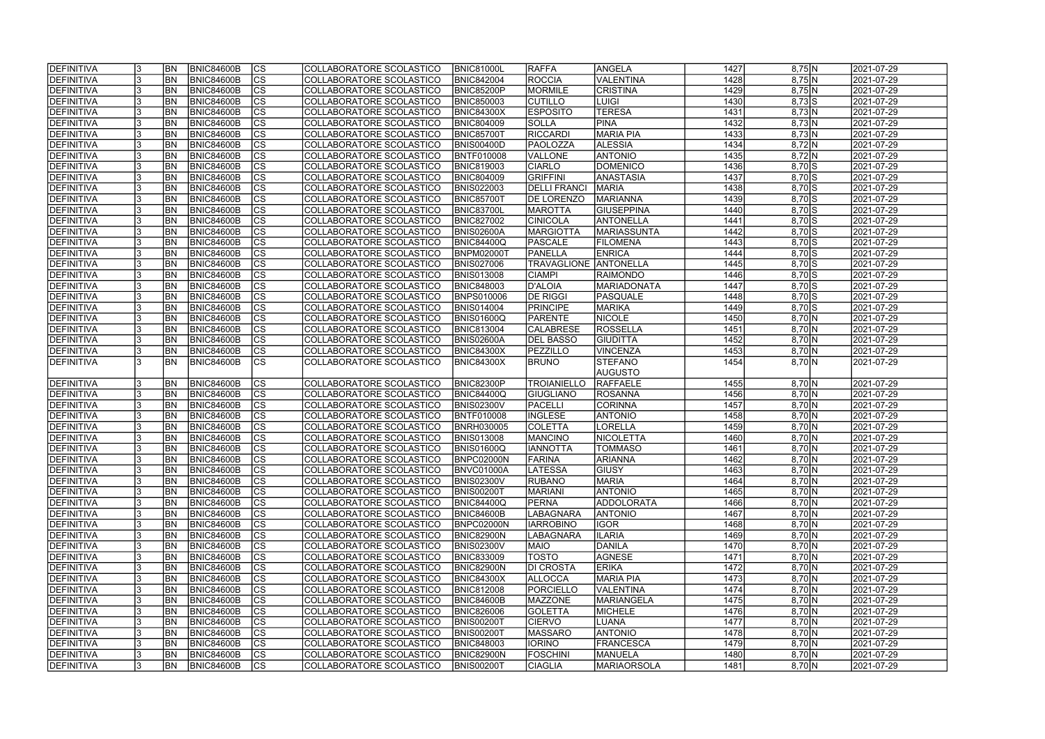| <b>IDEFINITIVA</b> | <b>BN</b> | <b>BNIC84600B</b> | lcs                      | COLLABORATORE SCOLASTICO | <b>BNIC81000L</b> | <b>RAFFA</b>        | ANGELA             | 1427 | 8,75 N                    | 2021-07-29 |
|--------------------|-----------|-------------------|--------------------------|--------------------------|-------------------|---------------------|--------------------|------|---------------------------|------------|
| <b>DEFINITIVA</b>  | <b>BN</b> | <b>BNIC84600B</b> | cs                       | COLLABORATORE SCOLASTICO | <b>BNIC842004</b> | <b>ROCCIA</b>       | <b>VALENTINA</b>   | 1428 | 8,75 N                    | 2021-07-29 |
| <b>DEFINITIVA</b>  | <b>BN</b> | <b>BNIC84600B</b> | cs                       | COLLABORATORE SCOLASTICO | <b>BNIC85200P</b> | MORMILE             | <b>CRISTINA</b>    | 1429 | 8,75 N                    | 2021-07-29 |
| <b>DEFINITIVA</b>  | <b>BN</b> | <b>BNIC84600B</b> | $\overline{\text{cs}}$   | COLLABORATORE SCOLASTICO | <b>BNIC850003</b> | <b>CUTILLO</b>      | LUIGI              | 1430 | $8,73$ S                  | 2021-07-29 |
| <b>DEFINITIVA</b>  | <b>BN</b> | <b>BNIC84600B</b> | cs                       | COLLABORATORE SCOLASTICO | <b>BNIC84300X</b> | <b>ESPOSITO</b>     | <b>TERESA</b>      | 1431 | 8,73 N                    | 2021-07-29 |
| <b>DEFINITIVA</b>  | <b>BN</b> | <b>BNIC84600B</b> | cs                       | COLLABORATORE SCOLASTICO | <b>BNIC804009</b> | <b>SOLLA</b>        | <b>PINA</b>        | 1432 | 8,73 N                    | 2021-07-29 |
| <b>DEFINITIVA</b>  | <b>BN</b> | <b>BNIC84600B</b> | <b>CS</b>                | COLLABORATORE SCOLASTICO | <b>BNIC85700T</b> | <b>RICCARDI</b>     | <b>MARIA PIA</b>   | 1433 | 8,73 N                    | 2021-07-29 |
| <b>DEFINITIVA</b>  | <b>BN</b> | <b>BNIC84600B</b> | $\overline{\text{CS}}$   | COLLABORATORE SCOLASTICO | BNIS00400D        | PAOLOZZA            | <b>ALESSIA</b>     | 1434 | 8,72 N                    | 2021-07-29 |
| DEFINITIVA         | <b>BN</b> | <b>BNIC84600B</b> | cs                       | COLLABORATORE SCOLASTICO | <b>BNTF010008</b> | VALLONE             | <b>ANTONIO</b>     | 1435 | 8,72 N                    | 2021-07-29 |
| <b>DEFINITIVA</b>  | <b>BN</b> | <b>BNIC84600B</b> | cs                       | COLLABORATORE SCOLASTICO | <b>BNIC819003</b> | <b>CIARLO</b>       | <b>DOMENICO</b>    | 1436 | $8,70$ S                  | 2021-07-29 |
| DEFINITIVA         | <b>BN</b> | <b>BNIC84600B</b> | <b>CS</b>                | COLLABORATORE SCOLASTICO | <b>BNIC804009</b> | <b>GRIFFINI</b>     | ANASTASIA          | 1437 | $8,70$ S                  | 2021-07-29 |
| DEFINITIVA         | BN        | <b>BNIC84600B</b> | $ \overline{\text{CS}} $ | COLLABORATORE SCOLASTICO | <b>BNIS022003</b> | <b>DELLI FRANCI</b> | <b>MARIA</b>       | 1438 | $8,70$ S                  | 2021-07-29 |
| <b>DEFINITIVA</b>  | <b>BN</b> | <b>BNIC84600B</b> | <b>CS</b>                | COLLABORATORE SCOLASTICO | BNIC85700T        | <b>DE LORENZO</b>   | MARIANNA           | 1439 | $8,70$ S                  | 2021-07-29 |
| <b>DEFINITIVA</b>  | <b>BN</b> | <b>BNIC84600B</b> | cs                       | COLLABORATORE SCOLASTICO | <b>BNIC83700L</b> | <b>MAROTTA</b>      | <b>GIUSEPPINA</b>  | 1440 | $8,70$ S                  | 2021-07-29 |
| <b>DEFINITIVA</b>  | <b>BN</b> | <b>BNIC84600B</b> | CS                       | COLLABORATORE SCOLASTICO | <b>BNIC827002</b> | <b>CINICOLA</b>     | <b>ANTONELLA</b>   | 1441 | $8,70$ S                  | 2021-07-29 |
| <b>DEFINITIVA</b>  | <b>BN</b> | <b>BNIC84600B</b> | CS                       | COLLABORATORE SCOLASTICO | <b>BNIS02600A</b> | <b>MARGIOTTA</b>    | <b>MARIASSUNTA</b> | 1442 | $8,70$ S                  | 2021-07-29 |
| <b>DEFINITIVA</b>  | <b>BN</b> | <b>BNIC84600B</b> | CS                       | COLLABORATORE SCOLASTICO | <b>BNIC84400Q</b> | PASCALE             | <b>FILOMENA</b>    | 1443 | $8,70$ S                  | 2021-07-29 |
| DEFINITIVA         | <b>BN</b> | <b>BNIC84600B</b> | <b>CS</b>                | COLLABORATORE SCOLASTICO | BNPM02000T        | PANELLA             | <b>ENRICA</b>      | 1444 | $8,70$ S                  | 2021-07-29 |
| DEFINITIVA         | <b>BN</b> | <b>BNIC84600B</b> | $ \overline{\text{CS}} $ | COLLABORATORE SCOLASTICO | <b>BNIS027006</b> | <b>TRAVAGLIONE</b>  | ANTONELLA          | 1445 | $8,70$ S                  | 2021-07-29 |
| DEFINITIVA         | <b>BN</b> | <b>BNIC84600B</b> | $\overline{\text{CS}}$   | COLLABORATORE SCOLASTICO | <b>BNIS013008</b> | <b>CIAMPI</b>       | <b>RAIMONDO</b>    | 1446 | $8,70$ S                  | 2021-07-29 |
| DEFINITIVA         | <b>BN</b> | <b>BNIC84600B</b> | $ \overline{\text{CS}} $ | COLLABORATORE SCOLASTICO | <b>BNIC848003</b> | D'ALOIA             | <b>MARIADONATA</b> | 1447 | $8,70$ S                  | 2021-07-29 |
| <b>DEFINITIVA</b>  | <b>BN</b> | <b>BNIC84600B</b> | <b>CS</b>                | COLLABORATORE SCOLASTICO | <b>BNPS010006</b> | <b>DE RIGGI</b>     | <b>PASQUALE</b>    | 1448 | $8,70$ S                  | 2021-07-29 |
| <b>DEFINITIVA</b>  | <b>BN</b> | <b>BNIC84600B</b> | CS                       | COLLABORATORE SCOLASTICO | <b>BNIS014004</b> | <b>PRINCIPE</b>     | <b>MARIKA</b>      | 1449 | $8,70\overline{\text{S}}$ | 2021-07-29 |
| DEFINITIVA         | <b>BN</b> | <b>BNIC84600B</b> | <b>CS</b>                | COLLABORATORE SCOLASTICO | BNIS01600Q        | PARENTE             | <b>NICOLE</b>      | 1450 | 8,70 N                    | 2021-07-29 |
| <b>DEFINITIVA</b>  | <b>BN</b> | <b>BNIC84600B</b> | lcs                      | COLLABORATORE SCOLASTICO | <b>BNIC813004</b> | <b>CALABRESE</b>    | ROSSELLA           | 1451 | 8,70 N                    | 2021-07-29 |
| <b>DEFINITIVA</b>  | <b>BN</b> | <b>BNIC84600B</b> | lcs                      | COLLABORATORE SCOLASTICO | BNIS02600A        | <b>DEL BASSO</b>    | <b>GIUDITTA</b>    | 1452 | 8,70 N                    | 2021-07-29 |
| <b>DEFINITIVA</b>  | <b>BN</b> | <b>BNIC84600B</b> | CS                       | COLLABORATORE SCOLASTICO | <b>BNIC84300X</b> | PEZZILLO            | <b>VINCENZA</b>    | 1453 | 8,70 N                    | 2021-07-29 |
| <b>DEFINITIVA</b>  | <b>BN</b> | <b>BNIC84600B</b> | <b>CS</b>                | COLLABORATORE SCOLASTICO | <b>BNIC84300X</b> | <b>BRUNO</b>        | <b>STEFANO</b>     | 1454 | 8,70 N                    | 2021-07-29 |
|                    |           |                   |                          |                          |                   |                     | AUGUSTO            |      |                           |            |
| <b>DEFINITIVA</b>  | <b>BN</b> | <b>BNIC84600B</b> | <b>CS</b>                | COLLABORATORE SCOLASTICO | <b>BNIC82300P</b> | <b>TROIANIELLO</b>  | RAFFAELE           | 1455 | 8,70 N                    | 2021-07-29 |
| <b>DEFINITIVA</b>  | <b>BN</b> | <b>BNIC84600B</b> | $ \overline{\text{CS}} $ | COLLABORATORE SCOLASTICO | <b>BNIC84400Q</b> | GIUGLIANO           | ROSANNA            | 1456 | 8,70 N                    | 2021-07-29 |
| DEFINITIVA         | <b>BN</b> | <b>BNIC84600B</b> | $\overline{\text{CS}}$   | COLLABORATORE SCOLASTICO | <b>BNIS02300V</b> | PACELLI             | <b>CORINNA</b>     | 1457 | 8,70 N                    | 2021-07-29 |
| <b>DEFINITIVA</b>  | <b>BN</b> | <b>BNIC84600B</b> | $\overline{\text{CS}}$   | COLLABORATORE SCOLASTICO | <b>BNTF010008</b> | <b>INGLESE</b>      | <b>ANTONIO</b>     | 1458 | 8,70 N                    | 2021-07-29 |
| DEFINITIVA         | <b>BN</b> | <b>BNIC84600B</b> | cs                       | COLLABORATORE SCOLASTICO | <b>BNRH030005</b> | <b>COLETTA</b>      | <b>LORELLA</b>     | 1459 | 8,70 N                    | 2021-07-29 |
| <b>DEFINITIVA</b>  | <b>BN</b> | <b>BNIC84600B</b> | $\overline{\text{cs}}$   | COLLABORATORE SCOLASTICO | <b>BNIS013008</b> | <b>MANCINO</b>      | NICOLETTA          | 1460 | 8,70 N                    | 2021-07-29 |
| <b>DEFINITIVA</b>  | <b>BN</b> | <b>BNIC84600B</b> | $\overline{\text{CS}}$   | COLLABORATORE SCOLASTICO | <b>BNIS01600Q</b> | <b>IANNOTTA</b>     | <b>TOMMASO</b>     | 1461 | 8,70 N                    | 2021-07-29 |
| <b>DEFINITIVA</b>  | <b>BN</b> | <b>BNIC84600B</b> | $ {\rm CS}$              | COLLABORATORE SCOLASTICO | BNPC02000N        | FARINA              | <b>ARIANNA</b>     | 1462 | 8,70JN                    | 2021-07-29 |
| DEFINITIVA         | <b>BN</b> | BNIC84600B        | lcs                      | COLLABORATORE SCOLASTICO | BNVC01000A        | <b>LATESSA</b>      | <b>GIUSY</b>       | 1463 | 8,70 N                    | 2021-07-29 |
| <b>DEFINITIVA</b>  | IBN.      | BNIC84600B        | CS                       | COLLABORATORE SCOLASTICO | <b>BNIS02300V</b> | <b>RUBANO</b>       | <b>MARIA</b>       | 1464 | 8,70 N                    | 2021-07-29 |
| <b>DEFINITIVA</b>  | <b>BN</b> | BNIC84600B        | CS                       | COLLABORATORE SCOLASTICO | <b>BNIS00200T</b> | <b>MARIANI</b>      | <b>ANTONIO</b>     | 1465 | 8,70 N                    | 2021-07-29 |
| DEFINITIVA         | <b>BN</b> | <b>BNIC84600B</b> | lcs                      | COLLABORATORE SCOLASTICO | <b>BNIC84400Q</b> | <b>PERNA</b>        | ADDOLORATA         | 1466 | 8,70 N                    | 2021-07-29 |
| <b>DEFINITIVA</b>  | <b>BN</b> | <b>BNIC84600B</b> | CS                       | COLLABORATORE SCOLASTICO | <b>BNIC84600B</b> | <b>LABAGNARA</b>    | <b>ANTONIO</b>     | 1467 | 8,70 N                    | 2021-07-29 |
| DEFINITIVA         | <b>BN</b> | <b>BNIC84600B</b> | CS                       | COLLABORATORE SCOLASTICO | BNPC02000N        | <b>IARROBINO</b>    | <b>IGOR</b>        | 1468 | 8,70 N                    | 2021-07-29 |
| <b>DEFINITIVA</b>  | <b>BN</b> | BNIC84600B        | CS                       | COLLABORATORE SCOLASTICO | <b>BNIC82900N</b> | <b>LABAGNARA</b>    | <b>ILARIA</b>      | 1469 | 8,70 N                    | 2021-07-29 |
| DEFINITIVA         | <b>BN</b> | BNIC84600B        | cs                       | COLLABORATORE SCOLASTICO | <b>BNIS02300V</b> | <b>MAIO</b>         | DANILA             | 1470 | 8,70 N                    | 2021-07-29 |
| <b>DEFINITIVA</b>  | <b>BN</b> | BNIC84600B        | lcs                      | COLLABORATORE SCOLASTICO | <b>BNIC833009</b> | <b>TOSTO</b>        | AGNESE             | 1471 | 8,70 N                    | 2021-07-29 |
| <b>DEFINITIVA</b>  | <b>BN</b> | BNIC84600B        | CS                       | COLLABORATORE SCOLASTICO | <b>BNIC82900N</b> | <b>DI CROSTA</b>    | <b>ERIKA</b>       | 1472 | 8,70 N                    | 2021-07-29 |
| <b>DEFINITIVA</b>  | <b>BN</b> | BNIC84600B        | $\overline{\text{CS}}$   | COLLABORATORE SCOLASTICO | <b>BNIC84300X</b> | <b>ALLOCCA</b>      | <b>MARIA PIA</b>   | 1473 | 8,70 N                    | 2021-07-29 |
| <b>DEFINITIVA</b>  | <b>BN</b> | BNIC84600B        | cs                       | COLLABORATORE SCOLASTICO | <b>BNIC812008</b> | PORCIELLO           | <b>VALENTINA</b>   | 1474 | 8,70 N                    | 2021-07-29 |
| <b>DEFINITIVA</b>  | <b>BN</b> | <b>BNIC84600B</b> | cs                       | COLLABORATORE SCOLASTICO | <b>BNIC84600B</b> | <b>MAZZONE</b>      | MARIANGELA         | 1475 | 8,70 N                    | 2021-07-29 |
| DEFINITIVA         | <b>BN</b> | <b>BNIC84600B</b> | cs                       | COLLABORATORE SCOLASTICO | <b>BNIC826006</b> | <b>GOLETTA</b>      | MICHELE            | 1476 | 8,70 N                    | 2021-07-29 |
| <b>DEFINITIVA</b>  | <b>BN</b> | <b>BNIC84600B</b> | CS                       | COLLABORATORE SCOLASTICO | BNIS00200T        | <b>CIERVO</b>       | LUANA              | 1477 | 8,70 N                    | 2021-07-29 |
| <b>DEFINITIVA</b>  | <b>BN</b> | <b>BNIC84600B</b> | cs                       | COLLABORATORE SCOLASTICO | <b>BNIS00200T</b> | <b>MASSARO</b>      | <b>ANTONIO</b>     | 1478 | 8,70 N                    | 2021-07-29 |
| DEFINITIVA         | IBN.      | <b>BNIC84600B</b> | lcs                      | COLLABORATORE SCOLASTICO | <b>BNIC848003</b> | <b>IORINO</b>       | <b>FRANCESCA</b>   | 1479 | 8,70 N                    | 2021-07-29 |
| <b>DEFINITIVA</b>  | BN        | <b>BNIC84600B</b> | CS                       | COLLABORATORE SCOLASTICO | <b>BNIC82900N</b> | <b>FOSCHINI</b>     | <b>MANUELA</b>     | 1480 | 8,70 N                    | 2021-07-29 |
| <b>DEFINITIVA</b>  | <b>BN</b> | BNIC84600B        | lcs                      | COLLABORATORE SCOLASTICO | <b>BNIS00200T</b> | <b>CIAGLIA</b>      | <b>MARIAORSOLA</b> | 1481 | 8,70 N                    | 2021-07-29 |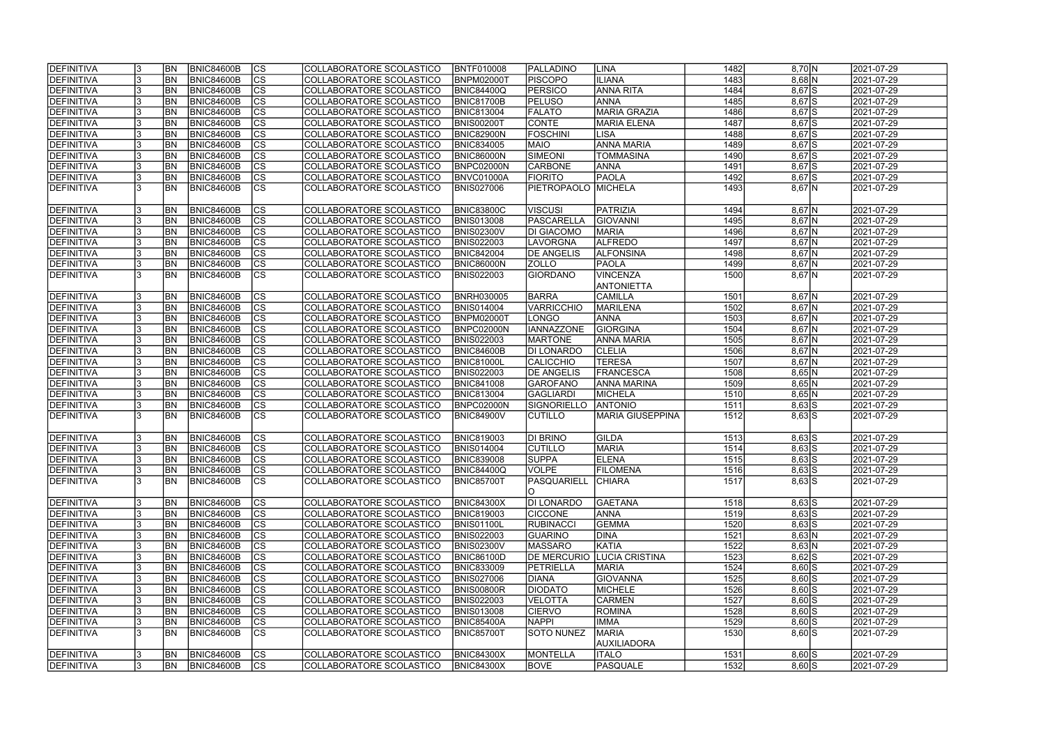| <b>DEFINITIVA</b> | <b>BN</b> | BNIC84600B        | CS                       | COLLABORATORE SCOLASTICO | <b>BNTF010008</b> | <b>PALLADINO</b>   | LINA                               | 1482 | 8,70 N     | 2021-07-29 |
|-------------------|-----------|-------------------|--------------------------|--------------------------|-------------------|--------------------|------------------------------------|------|------------|------------|
| DEFINITIVA        | <b>BN</b> | <b>BNIC84600B</b> | $ \overline{\text{cs}} $ | COLLABORATORE SCOLASTICO | <b>BNPM02000T</b> | <b>PISCOPO</b>     | <b>ILIANA</b>                      | 1483 | $8,68$ N   | 2021-07-29 |
| <b>DEFINITIVA</b> | <b>BN</b> | <b>BNIC84600B</b> | $\overline{\text{cs}}$   | COLLABORATORE SCOLASTICO | <b>BNIC84400Q</b> | <b>PERSICO</b>     | <b>ANNA RITA</b>                   | 1484 | $8,67$ S   | 2021-07-29 |
| DEFINITIVA        | BN        | <b>BNIC84600B</b> | $\overline{\text{CS}}$   | COLLABORATORE SCOLASTICO | BNIC81700B        | <b>PELUSO</b>      | ANNA                               | 1485 | $8,67$ S   | 2021-07-29 |
| DEFINITIVA        | <b>BN</b> | <b>BNIC84600B</b> | $\overline{\text{cs}}$   | COLLABORATORE SCOLASTICO | <b>BNIC813004</b> | <b>FALATO</b>      | <b>MARIA GRAZIA</b>                | 1486 | $8,67$ S   | 2021-07-29 |
| <b>DEFINITIVA</b> | <b>BN</b> | <b>BNIC84600B</b> | $\overline{\text{CS}}$   | COLLABORATORE SCOLASTICO | BNIS00200T        | <b>CONTE</b>       | <b>MARIA ELENA</b>                 | 1487 | $8,67$ S   | 2021-07-29 |
| <b>DEFINITIVA</b> | <b>BN</b> | <b>BNIC84600B</b> | $\overline{\text{CS}}$   | COLLABORATORE SCOLASTICO | BNIC82900N        | <b>FOSCHINI</b>    | <b>LISA</b>                        | 1488 | $8,67$ S   | 2021-07-29 |
| DEFINITIVA        | <b>BN</b> | <b>BNIC84600B</b> | $\overline{\text{CS}}$   | COLLABORATORE SCOLASTICO | <b>BNIC834005</b> | <b>MAIO</b>        | <b>ANNA MARIA</b>                  | 1489 | $8,67$ $S$ | 2021-07-29 |
| DEFINITIVA        | <b>BN</b> | <b>BNIC84600B</b> | $\overline{\text{CS}}$   | COLLABORATORE SCOLASTICO | <b>BNIC86000N</b> | SIMEONI            | <b>TOMMASINA</b>                   | 1490 | $8,67$ $S$ | 2021-07-29 |
| <b>DEFINITIVA</b> | <b>BN</b> | <b>BNIC84600B</b> | cs                       | COLLABORATORE SCOLASTICO | BNPC02000N        | <b>CARBONE</b>     | ANNA                               | 1491 | $8,67$ $S$ | 2021-07-29 |
| DEFINITIVA        | <b>BN</b> | <b>BNIC84600B</b> | $\overline{\text{CS}}$   | COLLABORATORE SCOLASTICO | BNVC01000A        | <b>FIORITO</b>     | <b>PAOLA</b>                       | 1492 | $8,67$ $S$ | 2021-07-29 |
| DEFINITIVA        | <b>BN</b> | <b>BNIC84600B</b> | $\overline{\text{CS}}$   | COLLABORATORE SCOLASTICO | <b>BNIS027006</b> | <b>PIETROPAOLO</b> | MICHELA                            | 1493 | $8,67$ N   | 2021-07-29 |
|                   |           |                   |                          |                          |                   |                    |                                    |      |            |            |
| DEFINITIVA        | <b>BN</b> | <b>BNIC84600B</b> | <b>CS</b>                | COLLABORATORE SCOLASTICO | <b>BNIC83800C</b> | <b>VISCUSI</b>     | PATRIZIA                           | 1494 | $8,67$ N   | 2021-07-29 |
| <b>DEFINITIVA</b> | <b>BN</b> | <b>BNIC84600B</b> | $\overline{\text{cs}}$   | COLLABORATORE SCOLASTICO | <b>BNIS013008</b> | PASCARELLA         | <b>GIOVANNI</b>                    | 1495 | $8,67$ N   | 2021-07-29 |
| <b>DEFINITIVA</b> | <b>BN</b> | <b>BNIC84600B</b> | $\overline{\text{CS}}$   | COLLABORATORE SCOLASTICO | <b>BNIS02300V</b> | <b>DI GIACOMO</b>  | <b>MARIA</b>                       | 1496 | $8,67$ N   | 2021-07-29 |
| DEFINITIVA        | <b>BN</b> | <b>BNIC84600B</b> | $\overline{\text{CS}}$   | COLLABORATORE SCOLASTICO | <b>BNIS022003</b> | <b>LAVORGNA</b>    | <b>ALFREDO</b>                     | 1497 | $8,67$ N   | 2021-07-29 |
| <b>DEFINITIVA</b> | <b>BN</b> | <b>BNIC84600B</b> | CS                       | COLLABORATORE SCOLASTICO | <b>BNIC842004</b> | <b>DE ANGELIS</b>  | <b>ALFONSINA</b>                   | 1498 | $8,67$ N   | 2021-07-29 |
| <b>DEFINITIVA</b> | <b>BN</b> | <b>BNIC84600B</b> | $\overline{\text{CS}}$   | COLLABORATORE SCOLASTICO | BNIC86000N        | <b>ZOLLO</b>       | PAOLA                              | 1499 | $8,67$ N   | 2021-07-29 |
| DEFINITIVA        | <b>BN</b> | <b>BNIC84600B</b> | CS                       | COLLABORATORE SCOLASTICO | <b>BNIS022003</b> | <b>GIORDANO</b>    | <b>VINCENZA</b>                    | 1500 | $8,67$ N   | 2021-07-29 |
|                   |           |                   |                          |                          |                   |                    | <b>ANTONIETTA</b>                  |      |            |            |
| DEFINITIVA        | <b>BN</b> | <b>BNIC84600B</b> | <b>CS</b>                | COLLABORATORE SCOLASTICO | <b>BNRH030005</b> | <b>BARRA</b>       | <b>CAMILLA</b>                     | 1501 | $8,67$ N   | 2021-07-29 |
| <b>DEFINITIVA</b> | <b>BN</b> | <b>BNIC84600B</b> | <b>CS</b>                | COLLABORATORE SCOLASTICO | <b>BNIS014004</b> | VARRICCHIO         | <b>MARILENA</b>                    | 1502 | $8,67$ N   | 2021-07-29 |
| <b>DEFINITIVA</b> | <b>BN</b> | <b>BNIC84600B</b> | <b>CS</b>                | COLLABORATORE SCOLASTICO | <b>BNPM02000T</b> | LONGO              | ANNA                               | 1503 | $8,67$ N   | 2021-07-29 |
| DEFINITIVA        | <b>BN</b> | <b>BNIC84600B</b> | $ \overline{\text{cs}} $ | COLLABORATORE SCOLASTICO | BNPC02000N        | <b>IANNAZZONE</b>  | <b>GIORGINA</b>                    | 1504 | $8,67$ N   | 2021-07-29 |
| DEFINITIVA        | <b>BN</b> | <b>BNIC84600B</b> | lcs                      | COLLABORATORE SCOLASTICO | <b>BNIS022003</b> | <b>MARTONE</b>     | <b>ANNA MARIA</b>                  | 1505 | $8,67$ N   | 2021-07-29 |
| DEFINITIVA        | <b>BN</b> | <b>BNIC84600B</b> | cs                       | COLLABORATORE SCOLASTICO | BNIC84600B        | <b>DI LONARDO</b>  | <b>CLELIA</b>                      | 1506 | $8,67$ N   | 2021-07-29 |
| <b>DEFINITIVA</b> | <b>BN</b> | <b>BNIC84600B</b> | cs                       | COLLABORATORE SCOLASTICO | <b>BNIC81000L</b> | <b>CALICCHIO</b>   | <b>TERESA</b>                      | 1507 | $8,67$ N   | 2021-07-29 |
| <b>DEFINITIVA</b> | <b>BN</b> | <b>BNIC84600B</b> | cs                       | COLLABORATORE SCOLASTICO | <b>BNIS022003</b> | <b>DE ANGELIS</b>  | FRANCESCA                          | 1508 | $8,65$ N   | 2021-07-29 |
| <b>DEFINITIVA</b> | <b>BN</b> | <b>BNIC84600B</b> | cs                       | COLLABORATORE SCOLASTICO | <b>BNIC841008</b> | GAROFANO           | <b>ANNA MARINA</b>                 | 1509 | $8,65$ N   | 2021-07-29 |
| <b>DEFINITIVA</b> | <b>BN</b> | <b>BNIC84600B</b> | $ \overline{\text{CS}} $ | COLLABORATORE SCOLASTICO | <b>BNIC813004</b> | GAGLIARDI          | <b>MICHELA</b>                     | 1510 | $8,65$ N   | 2021-07-29 |
| DEFINITIVA        | <b>BN</b> | <b>BNIC84600B</b> | $\overline{\text{CS}}$   | COLLABORATORE SCOLASTICO | BNPC02000N        | SIGNORIELLO        | <b>ANTONIO</b>                     | 1511 | $8,63$ S   | 2021-07-29 |
| <b>DEFINITIVA</b> | <b>BN</b> | <b>BNIC84600B</b> | $\overline{\text{cs}}$   | COLLABORATORE SCOLASTICO | BNIC84900V        | <b>CUTILLO</b>     | <b>MARIA GIUSEPPINA</b>            | 1512 | $8,63$ S   | 2021-07-29 |
|                   |           |                   |                          |                          |                   |                    |                                    |      |            |            |
| DEFINITIVA        | <b>BN</b> | <b>BNIC84600B</b> | CS                       | COLLABORATORE SCOLASTICO | <b>BNIC819003</b> | <b>DI BRINO</b>    | <b>GILDA</b>                       | 1513 | $8,63$ S   | 2021-07-29 |
| <b>DEFINITIVA</b> | <b>BN</b> | BNIC84600B        | $\overline{\text{cs}}$   | COLLABORATORE SCOLASTICO | <b>BNIS014004</b> | ICUTILLO           | <b>MARIA</b>                       | 1514 | $8,63$ S   | 2021-07-29 |
| <b>DEFINITIVA</b> | <b>BN</b> | BNIC84600B        | $\overline{c}$           | COLLABORATORE SCOLASTICO | <b>BNIC839008</b> | <b>SUPPA</b>       | <b>ELENA</b>                       | 1515 | $8,63$ S   | 2021-07-29 |
| <b>DEFINITIVA</b> | <b>BN</b> | <b>BNIC84600B</b> | CS                       | COLLABORATORE SCOLASTICO | <b>BNIC84400Q</b> | VOLPE              | <b>FILOMENA</b>                    | 1516 | $8,63$ S   | 2021-07-29 |
| <b>DEFINITIVA</b> | <b>BN</b> | BNIC84600B        | <b>CS</b>                | COLLABORATORE SCOLASTICO | <b>BNIC85700T</b> | PASQUARIELL<br>IO  | <b>CHIARA</b>                      | 1517 | $8,63$ S   | 2021-07-29 |
| <b>DEFINITIVA</b> | <b>BN</b> | BNIC84600B        | <b>CS</b>                | COLLABORATORE SCOLASTICO | <b>BNIC84300X</b> | <b>DI LONARDO</b>  | <b>GAETANA</b>                     | 1518 | $8,63$ $S$ | 2021-07-29 |
| <b>DEFINITIVA</b> | <b>BN</b> | <b>BNIC84600B</b> | CS                       | COLLABORATORE SCOLASTICO | <b>BNIC819003</b> | <b>CICCONE</b>     | <b>ANNA</b>                        | 1519 | $8,63$ S   | 2021-07-29 |
| DEFINITIVA        | <b>BN</b> | <b>BNIC84600B</b> | CS                       | COLLABORATORE SCOLASTICO | <b>BNIS01100L</b> | RUBINACCI          | <b>GEMMA</b>                       | 1520 | $8,63$ S   | 2021-07-29 |
| DEFINITIVA        | <b>BN</b> | <b>BNIC84600B</b> | <b>CS</b>                | COLLABORATORE SCOLASTICO | <b>BNIS022003</b> | <b>GUARINO</b>     | <b>DINA</b>                        | 1521 | 8,63 N     | 2021-07-29 |
| DEFINITIVA        | <b>BN</b> | BNIC84600B        | cs                       | COLLABORATORE SCOLASTICO | <b>BNIS02300V</b> | <b>MASSARO</b>     | KATIA                              | 1522 | 8,63 N     | 2021-07-29 |
| DEFINITIVA        | <b>BN</b> | <b>BNIC84600B</b> | cs                       | COLLABORATORE SCOLASTICO | <b>BNIC86100D</b> |                    | <b>DE MERCURIO LUCIA CRISTINA</b>  | 1523 | $8,62$ S   | 2021-07-29 |
| DEFINITIVA        | <b>BN</b> | <b>BNIC84600B</b> | $\overline{\text{CS}}$   | COLLABORATORE SCOLASTICO | <b>BNIC833009</b> | PETRIELLA          | <b>MARIA</b>                       | 1524 | $8,60$ S   | 2021-07-29 |
| <b>DEFINITIVA</b> | <b>BN</b> | <b>BNIC84600B</b> | $\overline{\text{CS}}$   | COLLABORATORE SCOLASTICO | <b>BNIS027006</b> | <b>DIANA</b>       | <b>GIOVANNA</b>                    | 1525 | $8,60$ S   | 2021-07-29 |
| <b>DEFINITIVA</b> | <b>BN</b> | <b>BNIC84600B</b> | $\overline{\text{CS}}$   | COLLABORATORE SCOLASTICO | <b>BNIS00800R</b> | <b>DIODATO</b>     | MICHELE                            | 1526 | $8,60$ S   | 2021-07-29 |
| <b>DEFINITIVA</b> | <b>BN</b> | <b>BNIC84600B</b> | $\overline{\text{CS}}$   | COLLABORATORE SCOLASTICO | <b>BNIS022003</b> | <b>VELOTTA</b>     | <b>CARMEN</b>                      | 1527 | $8,60$ S   | 2021-07-29 |
| <b>DEFINITIVA</b> | <b>BN</b> | <b>BNIC84600B</b> | $\overline{\text{CS}}$   | COLLABORATORE SCOLASTICO | <b>BNIS013008</b> | <b>CIERVO</b>      | <b>ROMINA</b>                      | 1528 | $8,60$ S   | 2021-07-29 |
| <b>DEFINITIVA</b> | BN        | <b>BNIC84600B</b> | CS                       | COLLABORATORE SCOLASTICO | <b>BNIC85400A</b> | <b>NAPPI</b>       | <b>IMMA</b>                        | 1529 | $8,60$ S   | 2021-07-29 |
| <b>DEFINITIVA</b> | IBN.      | <b>BNIC84600B</b> | $\overline{\text{CS}}$   | COLLABORATORE SCOLASTICO | <b>BNIC85700T</b> | SOTO NUNEZ         | <b>MARIA</b><br><b>AUXILIADORA</b> | 1530 | $8,60$ S   | 2021-07-29 |
| <b>DEFINITIVA</b> | <b>BN</b> | BNIC84600B        | CS                       | COLLABORATORE SCOLASTICO | <b>BNIC84300X</b> | MONTELLA           | <b>ITALO</b>                       | 1531 | $8,60$ S   | 2021-07-29 |
| <b>DEFINITIVA</b> | <b>BN</b> |                   | CS                       | COLLABORATORE SCOLASTICO |                   | <b>BOVE</b>        | PASQUALE                           | 1532 | $8,60$ S   |            |
|                   |           | <b>BNIC84600B</b> |                          |                          | <b>BNIC84300X</b> |                    |                                    |      |            | 2021-07-29 |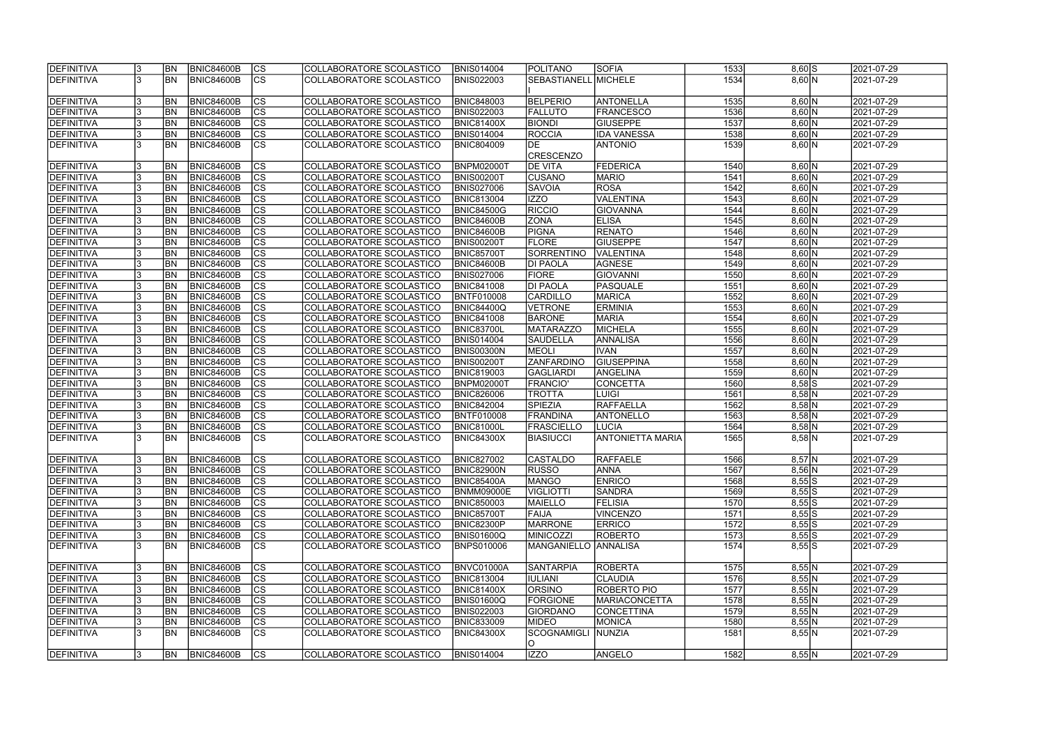| <b>DEFINITIVA</b> | <b>BN</b>      | <b>BNIC84600B</b> | <b>CS</b>                | COLLABORATORE SCOLASTICO | <b>BNIS014004</b> | <b>POLITANO</b>           | <b>SOFIA</b>            | 1533 | $8,60$ S | 2021-07-29 |
|-------------------|----------------|-------------------|--------------------------|--------------------------|-------------------|---------------------------|-------------------------|------|----------|------------|
| <b>DEFINITIVA</b> | <b>BN</b>      | <b>BNIC84600B</b> | $ \overline{\text{CS}} $ | COLLABORATORE SCOLASTICO | <b>BNIS022003</b> | SEBASTIANELL MICHELE      |                         | 1534 | 8,60 N   | 2021-07-29 |
| DEFINITIVA        | BN <sub></sub> | <b>BNIC84600B</b> | <b>CS</b>                | COLLABORATORE SCOLASTICO | <b>BNIC848003</b> | <b>BELPERIO</b>           | ANTONELLA               | 1535 | 8,60 N   | 2021-07-29 |
| <b>DEFINITIVA</b> | <b>BN</b>      | <b>BNIC84600B</b> | cs                       | COLLABORATORE SCOLASTICO | <b>BNIS022003</b> | <b>FALLUTO</b>            | <b>FRANCESCO</b>        | 1536 | 8,60 N   | 2021-07-29 |
| DEFINITIVA        | <b>BN</b>      | <b>BNIC84600B</b> | $\overline{\text{CS}}$   | COLLABORATORE SCOLASTICO | <b>BNIC81400X</b> | <b>BIONDI</b>             | <b>GIUSEPPE</b>         | 1537 | 8,60 N   | 2021-07-29 |
| <b>DEFINITIVA</b> | <b>BN</b>      | <b>BNIC84600B</b> | $\overline{\text{CS}}$   | COLLABORATORE SCOLASTICO | <b>BNIS014004</b> | <b>ROCCIA</b>             | <b>IDA VANESSA</b>      | 1538 | 8,60 N   | 2021-07-29 |
| <b>DEFINITIVA</b> | <b>BN</b>      | <b>BNIC84600B</b> | $\overline{\text{CS}}$   | COLLABORATORE SCOLASTICO | <b>BNIC804009</b> | DE                        | <b>ANTONIO</b>          | 1539 | 8,60 N   | 2021-07-29 |
|                   |                |                   |                          |                          |                   | <b>CRESCENZO</b>          |                         |      |          |            |
| DEFINITIVA        | BN <sub></sub> | <b>BNIC84600B</b> | <b>CS</b>                | COLLABORATORE SCOLASTICO | BNPM02000T        | <b>DE VITA</b>            | <b>FEDERICA</b>         | 1540 | 8,60 N   | 2021-07-29 |
| DEFINITIVA        | BN <sub></sub> | <b>BNIC84600B</b> | $\overline{\text{cs}}$   | COLLABORATORE SCOLASTICO | <b>BNIS00200T</b> | <b>CUSANO</b>             | <b>MARIO</b>            | 1541 | 8,60 N   | 2021-07-29 |
| DEFINITIVA        | BN <sub></sub> | <b>BNIC84600B</b> | cs                       | COLLABORATORE SCOLASTICO | <b>BNIS027006</b> | <b>SAVOIA</b>             | <b>ROSA</b>             | 1542 | 8,60 N   | 2021-07-29 |
| DEFINITIVA        | <b>BN</b>      | <b>BNIC84600B</b> | $ \overline{\text{CS}} $ | COLLABORATORE SCOLASTICO | <b>BNIC813004</b> | <b>IZZO</b>               | <b>VALENTINA</b>        | 1543 | 8,60 N   | 2021-07-29 |
| DEFINITIVA        | <b>BN</b>      | <b>BNIC84600B</b> | $ \overline{\text{CS}} $ | COLLABORATORE SCOLASTICO | <b>BNIC84500G</b> | <b>RICCIO</b>             | <b>GIOVANNA</b>         | 1544 | 8,60 N   | 2021-07-29 |
| DEFINITIVA        | <b>BN</b>      | <b>BNIC84600B</b> | $\overline{\text{CS}}$   | COLLABORATORE SCOLASTICO | <b>BNIC84600B</b> | <b>ZONA</b>               | <b>ELISA</b>            | 1545 | 8,60 N   | 2021-07-29 |
| DEFINITIVA        | <b>BN</b>      | <b>BNIC84600B</b> | $\overline{\text{cs}}$   | COLLABORATORE SCOLASTICO | <b>BNIC84600B</b> | <b>PIGNA</b>              | <b>RENATO</b>           | 1546 | 8,60 N   | 2021-07-29 |
| <b>DEFINITIVA</b> | <b>BN</b>      | <b>BNIC84600B</b> | $\overline{\text{CS}}$   | COLLABORATORE SCOLASTICO | <b>BNIS00200T</b> | <b>FLORE</b>              | <b>GIUSEPPE</b>         | 1547 | 8,60 N   | 2021-07-29 |
| <b>DEFINITIVA</b> | BN             | <b>BNIC84600B</b> | $\overline{\text{CS}}$   | COLLABORATORE SCOLASTICO | <b>BNIC85700T</b> | <b>SORRENTINO</b>         | <b>VALENTINA</b>        | 1548 | 8,60 N   | 2021-07-29 |
| DEFINITIVA        | <b>BN</b>      | <b>BNIC84600B</b> | $\overline{\text{CS}}$   | COLLABORATORE SCOLASTICO | <b>BNIC84600B</b> | <b>DI PAOLA</b>           | AGNESE                  | 1549 | 8,60 N   | 2021-07-29 |
| DEFINITIVA        | <b>BN</b>      | <b>BNIC84600B</b> | $\overline{\text{CS}}$   | COLLABORATORE SCOLASTICO | <b>BNIS027006</b> | <b>FIORE</b>              | <b>GIOVANNI</b>         | 1550 | 8,60 N   | 2021-07-29 |
| DEFINITIVA        | BN             | <b>BNIC84600B</b> | $\overline{\text{CS}}$   | COLLABORATORE SCOLASTICO | <b>BNIC841008</b> | <b>DI PAOLA</b>           | PASQUALE                | 1551 | 8,60 N   | 2021-07-29 |
| DEFINITIVA        | <b>BN</b>      | <b>BNIC84600B</b> | CS                       | COLLABORATORE SCOLASTICO | BNTF010008        | <b>CARDILLO</b>           | <b>MARICA</b>           | 1552 | 8,60 N   | 2021-07-29 |
| <b>DEFINITIVA</b> | <b>BN</b>      | <b>BNIC84600B</b> | <b>CS</b>                | COLLABORATORE SCOLASTICO | <b>BNIC84400Q</b> | <b>VETRONE</b>            | <b>ERMINIA</b>          | 1553 | 8,60 N   | 2021-07-29 |
| DEFINITIVA        | <b>BN</b>      | <b>BNIC84600B</b> | cs                       | COLLABORATORE SCOLASTICO | <b>BNIC841008</b> | <b>BARONE</b>             | <b>MARIA</b>            | 1554 | 8,60 N   | 2021-07-29 |
| DEFINITIVA        | <b>BN</b>      | <b>BNIC84600B</b> | <b>CS</b>                | COLLABORATORE SCOLASTICO | <b>BNIC83700L</b> | <b>MATARAZZO</b>          | MICHELA                 | 1555 | 8,60 N   | 2021-07-29 |
| DEFINITIVA        | <b>BN</b>      | <b>BNIC84600B</b> | cs                       | COLLABORATORE SCOLASTICO | <b>BNIS014004</b> | <b>SAUDELLA</b>           | <b>ANNALISA</b>         | 1556 | 8,60 N   | 2021-07-29 |
| DEFINITIVA        | BN <sub></sub> | <b>BNIC84600B</b> | cs                       | COLLABORATORE SCOLASTICO | <b>BNIS00300N</b> | <b>MEOLI</b>              | <b>IVAN</b>             | 1557 | 8,60 N   | 2021-07-29 |
| <b>DEFINITIVA</b> | BN <sub></sub> | <b>BNIC84600B</b> | cs                       | COLLABORATORE SCOLASTICO | <b>BNIS00200T</b> | <b>ZANFARDINO</b>         | GIUSEPPINA              | 1558 | 8,60 N   | 2021-07-29 |
| DEFINITIVA        | BN <sub></sub> | <b>BNIC84600B</b> | cs                       | COLLABORATORE SCOLASTICO | <b>BNIC819003</b> | GAGLIARDI                 | ANGELINA                | 1559 | 8,60 N   | 2021-07-29 |
| DEFINITIVA        | <b>BN</b>      | <b>BNIC84600B</b> | cs                       | COLLABORATORE SCOLASTICO | BNPM02000T        | <b>FRANCIO'</b>           | <b>CONCETTA</b>         | 1560 | $8,58$ S | 2021-07-29 |
| DEFINITIVA        | BN <sub></sub> | <b>BNIC84600B</b> | $\overline{\text{CS}}$   | COLLABORATORE SCOLASTICO | <b>BNIC826006</b> | <b>TROTTA</b>             | <b>LUIGI</b>            | 1561 | $8,58$ N | 2021-07-29 |
| DEFINITIVA        | <b>BN</b>      | <b>BNIC84600B</b> | $\overline{\text{CS}}$   | COLLABORATORE SCOLASTICO | <b>BNIC842004</b> | <b>SPIEZIA</b>            | <b>RAFFAELLA</b>        | 1562 | $8,58$ N | 2021-07-29 |
| DEFINITIVA        | <b>BN</b>      | <b>BNIC84600B</b> | $\overline{\text{CS}}$   | COLLABORATORE SCOLASTICO | BNTF010008        | FRANDINA                  | <b>ANTONELLO</b>        | 1563 | $8,58$ N | 2021-07-29 |
| DEFINITIVA        | BN             | <b>BNIC84600B</b> | $\overline{\text{CS}}$   | COLLABORATORE SCOLASTICO | <b>BNIC81000L</b> | <b>FRASCIELLO</b>         | <b>LUCIA</b>            | 1564 | $8,58$ N | 2021-07-29 |
| <b>DEFINITIVA</b> | <b>BN</b>      | <b>BNIC84600B</b> | $\overline{\text{CS}}$   | COLLABORATORE SCOLASTICO | <b>BNIC84300X</b> | <b>BIASIUCCI</b>          | <b>ANTONIETTA MARIA</b> | 1565 | $8,58$ N | 2021-07-29 |
| <b>DEFINITIVA</b> | <b>BN</b>      | BNIC84600B        | CS                       | COLLABORATORE SCOLASTICO | <b>BNIC827002</b> | <b>CASTALDO</b>           | RAFFAELE                | 1566 | $8,57$ N | 2021-07-29 |
| <b>DEFINITIVA</b> | <b>BN</b>      | <b>BNIC84600B</b> | CS                       | COLLABORATORE SCOLASTICO | <b>BNIC82900N</b> | <b>RUSSO</b>              | <b>ANNA</b>             | 1567 | 8,56 N   | 2021-07-29 |
| <b>DEFINITIVA</b> | <b>BN</b>      | <b>BNIC84600B</b> | CS                       | COLLABORATORE SCOLASTICO | <b>BNIC85400A</b> | <b>MANGO</b>              | <b>ENRICO</b>           | 1568 | $8,55$ S | 2021-07-29 |
| DEFINITIVA        | <b>BN</b>      | <b>BNIC84600B</b> | CS                       | COLLABORATORE SCOLASTICO | <b>BNMM09000E</b> | <b>VIGLIOTTI</b>          | <b>SANDRA</b>           | 1569 | $8,55$ S | 2021-07-29 |
| DEFINITIVA        | <b>BN</b>      | <b>BNIC84600B</b> | CS                       | COLLABORATORE SCOLASTICO | <b>BNIC850003</b> | <b>MAIELLO</b>            | <b>FELISIA</b>          | 1570 | $8,55$ S | 2021-07-29 |
| DEFINITIVA        | <b>BN</b>      | <b>BNIC84600B</b> | CS                       | COLLABORATORE SCOLASTICO | <b>BNIC85700T</b> | FAIJA                     | <b>VINCENZO</b>         | 1571 | $8,55$ S | 2021-07-29 |
| <b>DEFINITIVA</b> | <b>BN</b>      | <b>BNIC84600B</b> | <b>CS</b>                | COLLABORATORE SCOLASTICO | <b>BNIC82300P</b> | <b>MARRONE</b>            | <b>ERRICO</b>           | 1572 | $8,55$ S | 2021-07-29 |
| DEFINITIVA        | <b>BN</b>      | <b>BNIC84600B</b> | cs                       | COLLABORATORE SCOLASTICO | <b>BNIS01600Q</b> | MINICOZZI                 | <b>ROBERTO</b>          | 1573 | $8,55$ S | 2021-07-29 |
| DEFINITIVA        | IBN.           | BNIC84600B        | <b>CS</b>                | COLLABORATORE SCOLASTICO | <b>BNPS010006</b> | MANGANIELLO ANNALISA      |                         | 1574 | $8,55$ S | 2021-07-29 |
| DEFINITIVA        | <b>BN</b>      | <b>BNIC84600B</b> | CS                       | COLLABORATORE SCOLASTICO | BNVC01000A        | <b>SANTARPIA</b>          | ROBERTA                 | 1575 | 8,55 N   | 2021-07-29 |
| <b>DEFINITIVA</b> | <b>BN</b>      | <b>BNIC84600B</b> | cs                       | COLLABORATORE SCOLASTICO | <b>BNIC813004</b> | <b>IULIANI</b>            | <b>CLAUDIA</b>          | 1576 | $8,55$ N | 2021-07-29 |
| <b>DEFINITIVA</b> | <b>BN</b>      | <b>BNIC84600B</b> | cs                       | COLLABORATORE SCOLASTICO | <b>BNIC81400X</b> | <b>ORSINO</b>             | ROBERTO PIO             | 1577 | 8,55 N   | 2021-07-29 |
| <b>DEFINITIVA</b> | <b>BN</b>      | <b>BNIC84600B</b> | <b>CS</b>                | COLLABORATORE SCOLASTICO | <b>BNIS01600Q</b> | <b>FORGIONE</b>           | <b>MARIACONCETTA</b>    | 1578 | 8,55 N   | 2021-07-29 |
| <b>DEFINITIVA</b> | <b>BN</b>      | <b>BNIC84600B</b> | cs                       | COLLABORATORE SCOLASTICO | <b>BNIS022003</b> | GIORDANO                  | <b>CONCETTINA</b>       | 1579 | 8,55 N   | 2021-07-29 |
| <b>DEFINITIVA</b> | BN <sub></sub> | <b>BNIC84600B</b> | CS                       | COLLABORATORE SCOLASTICO | <b>BNIC833009</b> | <b>MIDEO</b>              | <b>MONICA</b>           | 1580 | $8,55$ N | 2021-07-29 |
| <b>DEFINITIVA</b> | IBN.           | <b>BNIC84600B</b> | <b>CS</b>                | COLLABORATORE SCOLASTICO | <b>BNIC84300X</b> | <b>SCOGNAMIGLI</b><br>IO. | NUNZIA                  | 1581 | 8,55 N   | 2021-07-29 |
| <b>DEFINITIVA</b> | BN             | BNIC84600B        | lcs                      | COLLABORATORE SCOLASTICO | <b>BNIS014004</b> | <b>IZZO</b>               | ANGELO                  | 1582 | 8,55 N   | 2021-07-29 |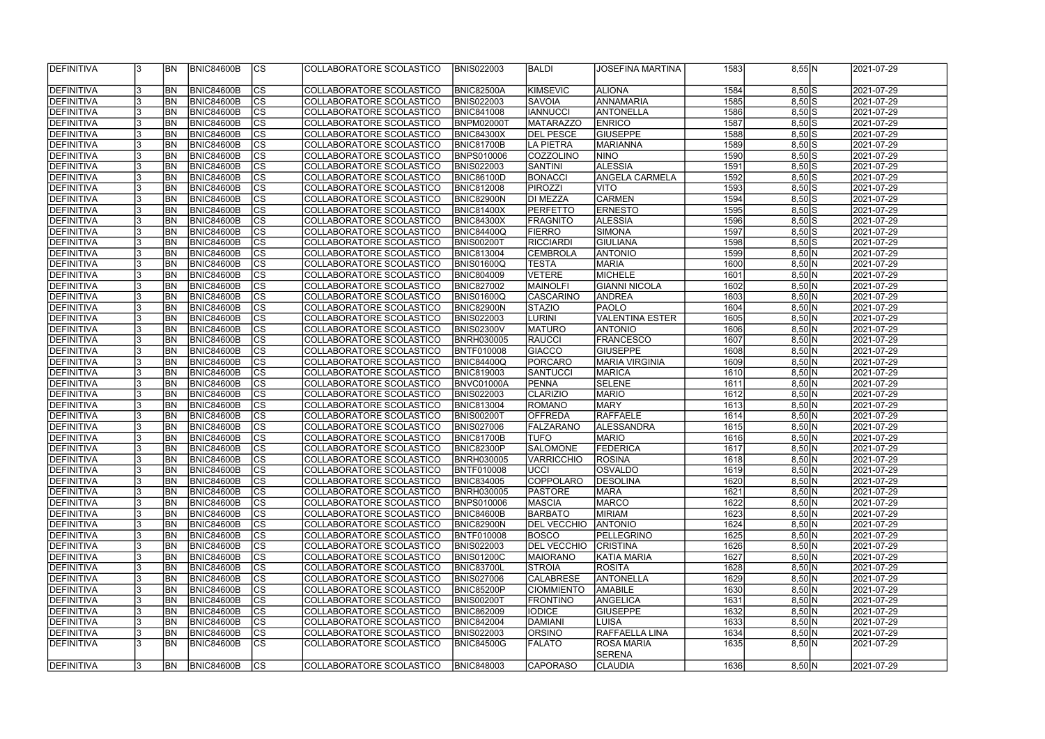| DEFINITIVA        |    | IBN        | <b>BNIC84600B</b> | <sub>Ics</sub> | COLLABORATORE SCOLASTICO        | <b>BNIS022003</b> | BALDI              | <b>JOSEFINA MARTINA</b>            | 1583 | 8,55 N   | 2021-07-29 |
|-------------------|----|------------|-------------------|----------------|---------------------------------|-------------------|--------------------|------------------------------------|------|----------|------------|
|                   |    |            |                   |                |                                 |                   |                    |                                    |      |          |            |
| DEFINITIVA        |    | <b>BN</b>  | <b>BNIC84600B</b> | CS             | COLLABORATORE SCOLASTICO        | <b>BNIC82500A</b> | KIMSEVIC           | <b>ALIONA</b>                      | 1584 | $8,50$ S | 2021-07-29 |
| DEFINITIVA        |    | BN         | <b>BNIC84600B</b> | $\overline{c}$ | COLLABORATORE SCOLASTICO        | <b>BNIS022003</b> | <b>SAVOIA</b>      | ANNAMARIA                          | 1585 | $8,50$ S | 2021-07-29 |
| <b>DEFINITIVA</b> |    | BN         | <b>BNIC84600B</b> | cs             | COLLABORATORE SCOLASTICO        | <b>BNIC841008</b> | <b>IANNUCCI</b>    | <b>ANTONELLA</b>                   | 1586 | $8,50$ S | 2021-07-29 |
| DEFINITIVA        |    | <b>BN</b>  | <b>BNIC84600B</b> | cs             | COLLABORATORE SCOLASTICO        | BNPM02000T        | <b>MATARAZZO</b>   | <b>ENRICO</b>                      | 1587 | $8,50$ S | 2021-07-29 |
| <b>DEFINITIVA</b> |    | <b>BN</b>  | <b>BNIC84600B</b> | cs             | COLLABORATORE SCOLASTICO        | <b>BNIC84300X</b> | <b>DEL PESCE</b>   | <b>GIUSEPPE</b>                    | 1588 | $8,50$ S | 2021-07-29 |
| DEFINITIVA        |    | <b>BN</b>  | <b>BNIC84600B</b> | cs             | COLLABORATORE SCOLASTICO        | <b>BNIC81700B</b> | LA PIETRA          | <b>MARIANNA</b>                    | 1589 | $8,50$ S | 2021-07-29 |
| DEFINITIVA        |    | BN         | <b>BNIC84600B</b> | cs             | COLLABORATORE SCOLASTICO        | <b>BNPS010006</b> | COZZOLINO          | <b>NINO</b>                        | 1590 | $8,50$ S | 2021-07-29 |
| DEFINITIVA        |    | BN         | <b>BNIC84600B</b> | cs             | COLLABORATORE SCOLASTICO        | <b>BNIS022003</b> | <b>SANTINI</b>     | <b>ALESSIA</b>                     | 1591 | $8,50$ S | 2021-07-29 |
| DEFINITIVA        |    | <b>BN</b>  | <b>BNIC84600B</b> | cs             | COLLABORATORE SCOLASTICO        | <b>BNIC86100D</b> | <b>BONACCI</b>     | <b>ANGELA CARMELA</b>              | 1592 | $8,50$ S | 2021-07-29 |
| <b>DEFINITIVA</b> |    | <b>BN</b>  | <b>BNIC84600B</b> | cs             | COLLABORATORE SCOLASTICO        | <b>BNIC812008</b> | <b>PIROZZI</b>     | <b>VITO</b>                        | 1593 | $8,50$ S | 2021-07-29 |
| DEFINITIVA        |    | <b>BN</b>  | <b>BNIC84600B</b> | cs             | COLLABORATORE SCOLASTICO        | <b>BNIC82900N</b> | <b>DI MEZZA</b>    | <b>CARMEN</b>                      | 1594 | $8,50$ S | 2021-07-29 |
| DEFINITIVA        |    | <b>BN</b>  | <b>BNIC84600B</b> | $ {\rm CS} $   | COLLABORATORE SCOLASTICO        | <b>BNIC81400X</b> | <b>PERFETTO</b>    | <b>ERNESTO</b>                     | 1595 | $8,50$ S | 2021-07-29 |
| DEFINITIVA        |    | <b>BN</b>  | <b>BNIC84600B</b> | $ {\rm CS} $   | COLLABORATORE SCOLASTICO        | <b>BNIC84300X</b> | <b>FRAGNITO</b>    | <b>ALESSIA</b>                     | 1596 | $8,50$ S | 2021-07-29 |
| DEFINITIVA        |    | <b>BN</b>  | <b>BNIC84600B</b> | cs             | COLLABORATORE SCOLASTICO        | <b>BNIC84400Q</b> | <b>FIERRO</b>      | SIMONA                             | 1597 | $8,50$ S | 2021-07-29 |
| DEFINITIVA        |    | BN         | <b>BNIC84600B</b> | cs             | COLLABORATORE SCOLASTICO        | <b>BNIS00200T</b> | RICCIARDI          | <b>GIULIANA</b>                    | 1598 | $8,50$ S | 2021-07-29 |
| DEFINITIVA        |    | <b>BN</b>  | <b>BNIC84600B</b> | cs             | COLLABORATORE SCOLASTICO        | <b>BNIC813004</b> | <b>CEMBROLA</b>    | <b>ANTONIO</b>                     | 1599 | 8,50 N   | 2021-07-29 |
| <b>DEFINITIVA</b> |    | BN         | <b>BNIC84600B</b> | cs             | COLLABORATORE SCOLASTICO        | BNIS01600Q        | <b>TESTA</b>       | <b>MARIA</b>                       | 1600 | 8,50 N   | 2021-07-29 |
| <b>DEFINITIVA</b> |    | BN         | <b>BNIC84600B</b> | cs             | COLLABORATORE SCOLASTICO        | <b>BNIC804009</b> | VETERE             | <b>MICHELE</b>                     | 1601 | 8,50 N   | 2021-07-29 |
| <b>DEFINITIVA</b> |    | BN         | <b>BNIC84600B</b> | $ {\rm CS} $   | COLLABORATORE SCOLASTICO        | <b>BNIC827002</b> | <b>MAINOLFI</b>    | <b>GIANNI NICOLA</b>               | 1602 | 8,50 N   | 2021-07-29 |
| <b>DEFINITIVA</b> |    | BN         | <b>BNIC84600B</b> | <b>CS</b>      | COLLABORATORE SCOLASTICO        | BNIS01600Q        | CASCARINO          | <b>ANDREA</b>                      | 1603 | 8,50 N   | 2021-07-29 |
| <b>DEFINITIVA</b> |    | <b>BN</b>  | <b>BNIC84600B</b> | <b>CS</b>      | COLLABORATORE SCOLASTICO        | <b>BNIC82900N</b> | <b>STAZIO</b>      | <b>PAOLO</b>                       | 1604 | 8,50 N   | 2021-07-29 |
| <b>DEFINITIVA</b> |    | BN         | <b>BNIC84600B</b> | <b>CS</b>      | COLLABORATORE SCOLASTICO        | <b>BNIS022003</b> | <b>LURINI</b>      | VALENTINA ESTER                    | 1605 | 8,50 N   | 2021-07-29 |
| DEFINITIVA        |    | BN         | <b>BNIC84600B</b> | $ {\rm cs} $   | COLLABORATORE SCOLASTICO        | <b>BNIS02300V</b> | <b>MATURO</b>      | <b>ANTONIO</b>                     | 1606 | 8,50 N   | 2021-07-29 |
| DEFINITIVA        |    | BN         | <b>BNIC84600B</b> | $ {\rm cs} $   | COLLABORATORE SCOLASTICO        | <b>BNRH030005</b> | <b>RAUCCI</b>      | <b>FRANCESCO</b>                   | 1607 | 8,50 N   | 2021-07-29 |
| DEFINITIVA        |    | <b>BN</b>  | <b>BNIC84600B</b> | $ {\rm cs} $   | COLLABORATORE SCOLASTICO        | BNTF010008        | <b>GIACCO</b>      | <b>GIUSEPPE</b>                    | 1608 | 8,50 N   | 2021-07-29 |
| DEFINITIVA        |    | <b>BN</b>  | <b>BNIC84600B</b> | $ {\rm cs} $   | COLLABORATORE SCOLASTICO        | <b>BNIC84400Q</b> | PORCARO            | <b>MARIA VIRGINIA</b>              | 1609 | 8,50 N   | 2021-07-29 |
| DEFINITIVA        |    | <b>BN</b>  | <b>BNIC84600B</b> | $ {\rm cs} $   | COLLABORATORE SCOLASTICO        | <b>BNIC819003</b> | <b>SANTUCCI</b>    | MARICA                             | 1610 | 8,50 N   | 2021-07-29 |
| DEFINITIVA        |    | <b>BN</b>  | <b>BNIC84600B</b> | $ {\rm cs} $   | COLLABORATORE SCOLASTICO        | BNVC01000A        | PENNA              | SELENE                             | 1611 | 8,50 N   | 2021-07-29 |
| DEFINITIVA        |    | <b>BN</b>  | <b>BNIC84600B</b> | cs             | COLLABORATORE SCOLASTICO        | <b>BNIS022003</b> | <b>CLARIZIO</b>    | <b>MARIO</b>                       | 1612 | 8,50 N   | 2021-07-29 |
| DEFINITIVA        |    | <b>BN</b>  | <b>BNIC84600B</b> | cs             | COLLABORATORE SCOLASTICO        | <b>BNIC813004</b> | ROMANO             | MARY                               | 1613 | 8,50 N   | 2021-07-29 |
| <b>DEFINITIVA</b> |    | BN         | <b>BNIC84600B</b> | $\overline{c}$ | COLLABORATORE SCOLASTICO        | <b>BNIS00200T</b> | <b>OFFREDA</b>     | RAFFAELE                           | 1614 | 8,50 N   | 2021-07-29 |
| <b>DEFINITIVA</b> |    | <b>BN</b>  | <b>BNIC84600B</b> | cs             | COLLABORATORE SCOLASTICO        | <b>BNIS027006</b> | FALZARANO          | <b>ALESSANDRA</b>                  | 1615 | 8,50 N   | 2021-07-29 |
| <b>DEFINITIVA</b> |    | <b>BN</b>  | <b>BNIC84600B</b> | $\overline{c}$ | <b>COLLABORATORE SCOLASTICO</b> | BNIC81700B        | <b>TUFO</b>        | <b>MARIO</b>                       | 1616 | 8,50 N   | 2021-07-29 |
| DEFINITIVA        |    | <b>BN</b>  | <b>BNIC84600B</b> | cs             | COLLABORATORE SCOLASTICO        | <b>BNIC82300P</b> | <b>SALOMONE</b>    | FEDERICA                           | 1617 | 8,50 N   | 2021-07-29 |
| <b>DEFINITIVA</b> |    | IBN.       | BNIC84600B        | CS             | COLLABORATORE SCOLASTICO        | <b>BNRH030005</b> | <b>VARRICCHIO</b>  | ROSINA                             | 1618 | 8,50 N   | 2021-07-29 |
| DEFINITIVA        |    | <b>IBN</b> | <b>BNIC84600B</b> | $ {\rm CS}$    | COLLABORATORE SCOLASTICO        | <b>BNTF010008</b> | <b>IUCCI</b>       | OSVALDO                            | 1619 | 8,50 N   | 2021-07-29 |
| DEFINITIVA        |    | <b>IBN</b> | <b>BNIC84600B</b> | $ {\rm CS} $   | COLLABORATORE SCOLASTICO        | <b>BNIC834005</b> | <b>COPPOLARO</b>   | <b>DESOLINA</b>                    | 1620 | 8,50 N   | 2021-07-29 |
| DEFINITIVA        |    | <b>IBN</b> | <b>BNIC84600B</b> | CS             | COLLABORATORE SCOLASTICO        | <b>BNRH030005</b> | <b>PASTORE</b>     | <b>MARA</b>                        | 1621 | 8,50 N   | 2021-07-29 |
| DEFINITIVA        |    | <b>BN</b>  | <b>BNIC84600B</b> | $ {\rm CS} $   | COLLABORATORE SCOLASTICO        | <b>BNPS010006</b> | <b>MASCIA</b>      | <b>MARCO</b>                       | 1622 | 8,50 N   | 2021-07-29 |
| DEFINITIVA        |    | <b>BN</b>  | <b>BNIC84600B</b> | $ {\rm CS} $   | COLLABORATORE SCOLASTICO        | <b>BNIC84600B</b> | <b>BARBATO</b>     | MIRIAM                             | 1623 | 8,50 N   | 2021-07-29 |
| DEFINITIVA        |    | <b>BN</b>  | BNIC84600B        | <sub>Ics</sub> | COLLABORATORE SCOLASTICO        | <b>BNIC82900N</b> | <b>DEL VECCHIO</b> | <b>ANTONIO</b>                     | 1624 | 8,50 N   | 2021-07-29 |
| DEFINITIVA        |    | <b>BN</b>  | <b>BNIC84600B</b> | $ {\rm CS} $   | COLLABORATORE SCOLASTICO        | <b>BNTF010008</b> | <b>BOSCO</b>       | PELLEGRINO                         | 1625 | 8,50 N   | 2021-07-29 |
| DEFINITIVA        |    | <b>BN</b>  | <b>BNIC84600B</b> | cs             | COLLABORATORE SCOLASTICO        | <b>BNIS022003</b> | <b>DEL VECCHIO</b> | <b>CRISTINA</b>                    | 1626 | 8,50 N   | 2021-07-29 |
| DEFINITIVA        |    | <b>BN</b>  | <b>BNIC84600B</b> | $ {\rm cs} $   | COLLABORATORE SCOLASTICO        | <b>BNIS01200C</b> | <b>MAIORANO</b>    | KATIA MARIA                        | 1627 | 8,50 N   | 2021-07-29 |
| DEFINITIVA        |    | <b>BN</b>  | <b>BNIC84600B</b> | cs             | COLLABORATORE SCOLASTICO        | <b>BNIC83700L</b> | <b>STROIA</b>      | <b>ROSITA</b>                      | 1628 | 8,50 N   | 2021-07-29 |
| DEFINITIVA        |    | <b>BN</b>  | <b>BNIC84600B</b> | $ {\rm CS} $   | COLLABORATORE SCOLASTICO        | <b>BNIS027006</b> | <b>CALABRESE</b>   | <b>ANTONELLA</b>                   | 1629 | 8,50 N   | 2021-07-29 |
| DEFINITIVA        |    | <b>BN</b>  | <b>BNIC84600B</b> | $ {\rm cs} $   | COLLABORATORE SCOLASTICO        | <b>BNIC85200P</b> | <b>CIOMMIENTO</b>  | <b>AMABILE</b>                     | 1630 | 8,50 N   | 2021-07-29 |
| DEFINITIVA        |    | <b>BN</b>  | <b>BNIC84600B</b> | $ {\rm CS} $   | COLLABORATORE SCOLASTICO        | <b>BNIS00200T</b> | <b>FRONTINO</b>    | ANGELICA                           | 1631 | 8,50 N   | 2021-07-29 |
| DEFINITIVA        |    | <b>BN</b>  | <b>BNIC84600B</b> | $ {\rm CS} $   | COLLABORATORE SCOLASTICO        | <b>BNIC862009</b> | <b>IODICE</b>      | <b>GIUSEPPE</b>                    | 1632 | 8,50 N   | 2021-07-29 |
| DEFINITIVA        |    | <b>BN</b>  | <b>BNIC84600B</b> | $ {\rm CS} $   | COLLABORATORE SCOLASTICO        | <b>BNIC842004</b> | DAMIANI            | <b>LUISA</b>                       | 1633 | 8,50 N   | 2021-07-29 |
| <b>DEFINITIVA</b> |    | BN         | <b>BNIC84600B</b> | $ {\rm CS} $   | COLLABORATORE SCOLASTICO        | <b>BNIS022003</b> | <b>ORSINO</b>      | RAFFAELLA LINA                     | 1634 | 8,50 N   | 2021-07-29 |
| <b>DEFINITIVA</b> |    | IBN        | <b>BNIC84600B</b> | <sub>Ics</sub> | COLLABORATORE SCOLASTICO        | BNIC84500G        | <b>FALATO</b>      | <b>ROSA MARIA</b><br><b>SERENA</b> | 1635 | 8,50 N   | 2021-07-29 |
| <b>DEFINITIVA</b> | 13 | <b>BN</b>  | <b>BNIC84600B</b> | ICS            | COLLABORATORE SCOLASTICO        | <b>BNIC848003</b> | <b>CAPORASO</b>    | <b>CLAUDIA</b>                     | 1636 | 8,50 N   | 2021-07-29 |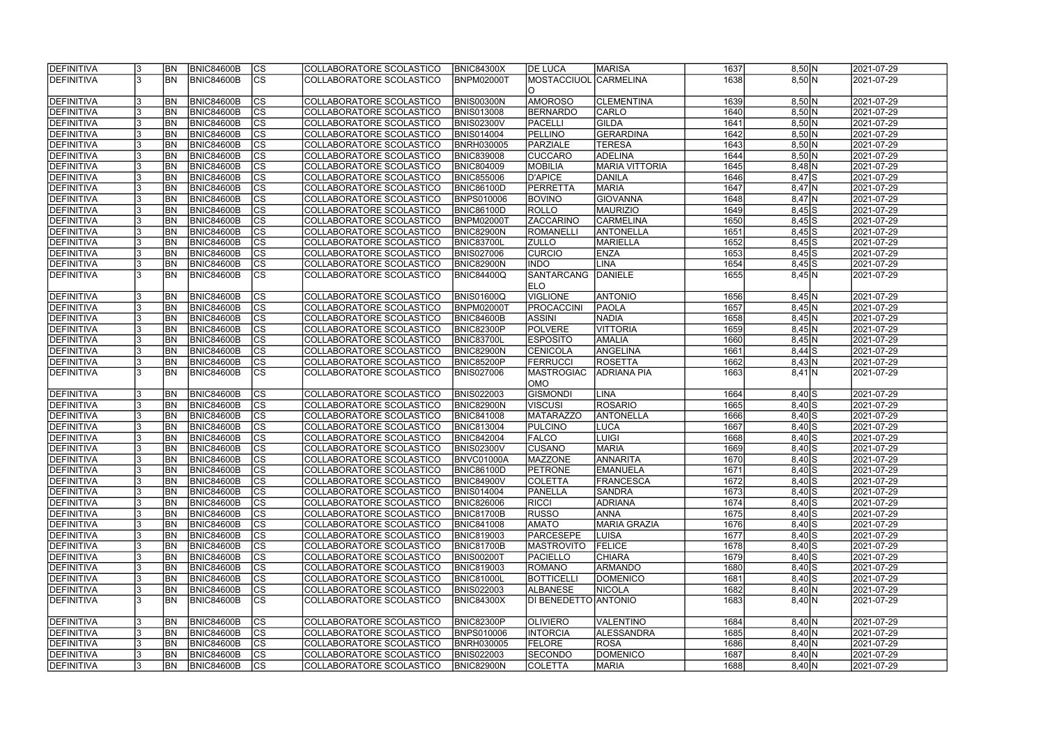| <b>DEFINITIVA</b> | <b>BN</b> | <b>BNIC84600B</b> | CS                       | COLLABORATORE SCOLASTICO | <b>BNIC84300X</b> | <b>IDE LUCA</b>           | <b>MARISA</b>         | 1637 | 8,50 N     | 2021-07-29 |
|-------------------|-----------|-------------------|--------------------------|--------------------------|-------------------|---------------------------|-----------------------|------|------------|------------|
| <b>DEFINITIVA</b> | <b>BN</b> | <b>BNIC84600B</b> | $\overline{\text{CS}}$   | COLLABORATORE SCOLASTICO | <b>BNPM02000T</b> | <b>MOSTACCIUOL</b>        | CARMELINA             | 1638 | 8,50 N     | 2021-07-29 |
|                   |           |                   |                          |                          |                   | IO.                       |                       |      |            |            |
| DEFINITIVA        | <b>BN</b> | <b>BNIC84600B</b> | <b>CS</b>                | COLLABORATORE SCOLASTICO | BNIS00300N        | <b>AMOROSO</b>            | <b>CLEMENTINA</b>     | 1639 | 8,50 N     | 2021-07-29 |
| <b>DEFINITIVA</b> | <b>BN</b> | <b>BNIC84600B</b> | cs                       | COLLABORATORE SCOLASTICO | <b>BNIS013008</b> | BERNARDO                  | <b>CARLO</b>          | 1640 | 8,50 N     | 2021-07-29 |
| <b>DEFINITIVA</b> | <b>BN</b> | <b>BNIC84600B</b> | cs                       | COLLABORATORE SCOLASTICO | <b>BNIS02300V</b> | <b>PACELLI</b>            | GILDA                 | 1641 | 8,50 N     | 2021-07-29 |
| <b>DEFINITIVA</b> | <b>BN</b> | <b>BNIC84600B</b> | $\overline{\text{CS}}$   | COLLABORATORE SCOLASTICO | <b>BNIS014004</b> | <b>PELLINO</b>            | GERARDINA             | 1642 | 8,50 N     | 2021-07-29 |
| DEFINITIVA        | <b>BN</b> | <b>BNIC84600B</b> | $\overline{\text{CS}}$   | COLLABORATORE SCOLASTICO | <b>BNRH030005</b> | PARZIALE                  | <b>TERESA</b>         | 1643 | 8,50 N     | 2021-07-29 |
| DEFINITIVA        | <b>BN</b> | <b>BNIC84600B</b> | cs                       | COLLABORATORE SCOLASTICO | <b>BNIC839008</b> | <b>CUCCARO</b>            | <b>ADELINA</b>        | 1644 | 8,50 N     | 2021-07-29 |
| <b>DEFINITIVA</b> | <b>BN</b> | <b>BNIC84600B</b> | cs                       | COLLABORATORE SCOLASTICO | <b>BNIC804009</b> | <b>MOBILIA</b>            | <b>MARIA VITTORIA</b> | 1645 | $8,48$ N   | 2021-07-29 |
| <b>DEFINITIVA</b> | <b>BN</b> | <b>BNIC84600B</b> | cs                       | COLLABORATORE SCOLASTICO | <b>BNIC855006</b> | D'APICE                   | DANILA                | 1646 | $8,47$ $S$ | 2021-07-29 |
| DEFINITIVA        | <b>BN</b> | <b>BNIC84600B</b> | cs                       | COLLABORATORE SCOLASTICO | <b>BNIC86100D</b> | PERRETTA                  | <b>MARIA</b>          | 1647 | $8,47$ N   | 2021-07-29 |
| <b>DEFINITIVA</b> | <b>BN</b> | <b>BNIC84600B</b> | <b>CS</b>                | COLLABORATORE SCOLASTICO | <b>BNPS010006</b> | <b>BOVINO</b>             | GIOVANNA              | 1648 | $8,47$ N   | 2021-07-29 |
| <b>DEFINITIVA</b> | <b>BN</b> | <b>BNIC84600B</b> | cs                       | COLLABORATORE SCOLASTICO | <b>BNIC86100D</b> | ROLLO                     | <b>MAURIZIO</b>       | 1649 | $8,45$ S   | 2021-07-29 |
| <b>DEFINITIVA</b> | <b>BN</b> | <b>BNIC84600B</b> | $ \overline{\text{CS}} $ | COLLABORATORE SCOLASTICO | <b>BNPM02000T</b> | <b>ZACCARINO</b>          | <b>CARMELINA</b>      | 1650 | $8,45$ S   | 2021-07-29 |
| DEFINITIVA        | <b>BN</b> | <b>BNIC84600B</b> | $\overline{\text{CS}}$   | COLLABORATORE SCOLASTICO | <b>BNIC82900N</b> | ROMANELLI                 | <b>ANTONELLA</b>      | 1651 | $8,45$ S   | 2021-07-29 |
| <b>DEFINITIVA</b> | <b>BN</b> | <b>BNIC84600B</b> | $\overline{\text{CS}}$   | COLLABORATORE SCOLASTICO |                   |                           | MARIELLA              | 1652 |            | 2021-07-29 |
|                   |           |                   |                          |                          | <b>BNIC83700L</b> | <b>ZULLO</b>              |                       |      | $8,45$ S   |            |
| <b>DEFINITIVA</b> | <b>BN</b> | <b>BNIC84600B</b> | CS                       | COLLABORATORE SCOLASTICO | <b>BNIS027006</b> | <b>CURCIO</b>             | <b>ENZA</b>           | 1653 | $8,45$ S   | 2021-07-29 |
| <b>DEFINITIVA</b> | BN        | <b>BNIC84600B</b> | $\overline{\text{CS}}$   | COLLABORATORE SCOLASTICO | BNIC82900N        | <b>INDO</b>               | LINA                  | 1654 | $8,45$ S   | 2021-07-29 |
| <b>DEFINITIVA</b> | <b>BN</b> | <b>BNIC84600B</b> | CS                       | COLLABORATORE SCOLASTICO | <b>BNIC84400Q</b> | SANTARCANG<br><b>IELO</b> | <b>DANIELE</b>        | 1655 | 8,45 N     | 2021-07-29 |
| DEFINITIVA        | <b>BN</b> | <b>BNIC84600B</b> | <b>CS</b>                | COLLABORATORE SCOLASTICO | <b>BNIS01600Q</b> | VIGLIONE                  | <b>ANTONIO</b>        | 1656 | 8,45 N     | 2021-07-29 |
| <b>DEFINITIVA</b> | <b>BN</b> | <b>BNIC84600B</b> | <b>CS</b>                | COLLABORATORE SCOLASTICO | <b>BNPM02000T</b> | <b>PROCACCINI</b>         | PAOLA                 | 1657 | 8,45 N     | 2021-07-29 |
| <b>DEFINITIVA</b> | <b>BN</b> | <b>BNIC84600B</b> | <b>CS</b>                | COLLABORATORE SCOLASTICO | <b>BNIC84600B</b> | <b>ASSINI</b>             | <b>NADIA</b>          | 1658 | 8,45 N     | 2021-07-29 |
| DEFINITIVA        | <b>BN</b> | <b>BNIC84600B</b> | cs                       | COLLABORATORE SCOLASTICO | <b>BNIC82300P</b> | <b>POLVERE</b>            | <b>VITTORIA</b>       | 1659 | 8,45 N     | 2021-07-29 |
| <b>DEFINITIVA</b> | <b>BN</b> | <b>BNIC84600B</b> | lcs                      | COLLABORATORE SCOLASTICO | <b>BNIC83700L</b> | <b>ESPOSITO</b>           | AMALIA                | 1660 | 8,45 N     | 2021-07-29 |
| DEFINITIVA        | <b>BN</b> | <b>BNIC84600B</b> | cs                       | COLLABORATORE SCOLASTICO | BNIC82900N        | CENICOLA                  | ANGELINA              | 1661 | $8,44$ S   | 2021-07-29 |
| <b>DEFINITIVA</b> | <b>BN</b> | <b>BNIC84600B</b> | lcs                      | COLLABORATORE SCOLASTICO | BNIC85200P        | FERRUCCI                  | <b>ROSETTA</b>        | 1662 | 8,43 N     | 2021-07-29 |
| <b>DEFINITIVA</b> | <b>BN</b> | <b>BNIC84600B</b> | $\overline{\text{CS}}$   | COLLABORATORE SCOLASTICO | <b>BNIS027006</b> | MASTROGIAC                | <b>ADRIANA PIA</b>    | 1663 | $8,41$ N   | 2021-07-29 |
|                   |           |                   |                          |                          |                   | OMO                       |                       |      |            |            |
| <b>DEFINITIVA</b> | <b>BN</b> | <b>BNIC84600B</b> | <b>CS</b>                | COLLABORATORE SCOLASTICO | <b>BNIS022003</b> | <b>GISMONDI</b>           | <b>LINA</b>           | 1664 | $8,40$ S   | 2021-07-29 |
| DEFINITIVA        | <b>BN</b> | <b>BNIC84600B</b> | $\overline{\text{CS}}$   | COLLABORATORE SCOLASTICO | <b>BNIC82900N</b> | <b>VISCUSI</b>            | <b>ROSARIO</b>        | 1665 | $8,40$ $S$ | 2021-07-29 |
| DEFINITIVA        | <b>BN</b> | <b>BNIC84600B</b> | $\overline{\text{cs}}$   | COLLABORATORE SCOLASTICO | <b>BNIC841008</b> | <b>MATARAZZO</b>          | <b>ANTONELLA</b>      | 1666 |            | 2021-07-29 |
|                   | <b>BN</b> |                   |                          |                          |                   | PULCINO                   |                       | 1667 | $8,40$ S   |            |
| DEFINITIVA        |           | <b>BNIC84600B</b> | $\overline{\text{CS}}$   | COLLABORATORE SCOLASTICO | <b>BNIC813004</b> |                           | LUCA                  |      | $8,40$ $S$ | 2021-07-29 |
| <b>DEFINITIVA</b> | <b>BN</b> | <b>BNIC84600B</b> | $\overline{\text{cs}}$   | COLLABORATORE SCOLASTICO | <b>BNIC842004</b> | <b>FALCO</b>              | <b>LUIGI</b>          | 1668 | $8,40$ S   | 2021-07-29 |
| DEFINITIVA        | <b>BN</b> | <b>BNIC84600B</b> | $\overline{\text{CS}}$   | COLLABORATORE SCOLASTICO | <b>BNIS02300V</b> | ICUSANO                   | <b>MARIA</b>          | 1669 | $8,40$ $S$ | 2021-07-29 |
| <b>DEFINITIVA</b> | <b>BN</b> | BNIC84600B        | $ {\rm cs}$              | COLLABORATORE SCOLASTICO | BNVC01000A        | MAZZONE                   | ANNARITA              | 1670 | $8,40$ S   | 2021-07-29 |
| DEFINITIVA        | <b>BN</b> | <b>BNIC84600B</b> | lcs                      | COLLABORATORE SCOLASTICO | <b>BNIC86100D</b> | <b>PETRONE</b>            | <b>EMANUELA</b>       | 1671 | $8,40$ $S$ | 2021-07-29 |
| <b>DEFINITIVA</b> | <b>BN</b> | BNIC84600B        | CS                       | COLLABORATORE SCOLASTICO | <b>BNIC84900V</b> | <b>COLETTA</b>            | <b>FRANCESCA</b>      | 1672 | $8,40$ $S$ | 2021-07-29 |
| <b>DEFINITIVA</b> | <b>BN</b> | <b>BNIC84600B</b> | <b>CS</b>                | COLLABORATORE SCOLASTICO | <b>BNIS014004</b> | <b>PANELLA</b>            | <b>SANDRA</b>         | 1673 | $8,40$ S   | 2021-07-29 |
| DEFINITIVA        | <b>BN</b> | <b>BNIC84600B</b> | <b>CS</b>                | COLLABORATORE SCOLASTICO | <b>BNIC826006</b> | <b>RICCI</b>              | <b>ADRIANA</b>        | 1674 | $8,40$ S   | 2021-07-29 |
| <b>DEFINITIVA</b> | <b>BN</b> | <b>BNIC84600B</b> | CS                       | COLLABORATORE SCOLASTICO | <b>BNIC81700B</b> | <b>RUSSO</b>              | <b>ANNA</b>           | 1675 | $8,40$ $S$ | 2021-07-29 |
| DEFINITIVA        | <b>BN</b> | <b>BNIC84600B</b> | CS                       | COLLABORATORE SCOLASTICO | <b>BNIC841008</b> | <b>AMATO</b>              | <b>MARIA GRAZIA</b>   | 1676 | $8,40$ S   | 2021-07-29 |
| <b>DEFINITIVA</b> | <b>BN</b> | BNIC84600B        | <b>CS</b>                | COLLABORATORE SCOLASTICO | <b>BNIC819003</b> | PARCESEPE                 | <b>LUISA</b>          | 1677 | $8,40$ $S$ | 2021-07-29 |
| <b>DEFINITIVA</b> | <b>BN</b> | BNIC84600B        | cs                       | COLLABORATORE SCOLASTICO | <b>BNIC81700B</b> | <b>MASTROVITO</b>         | <b>FELICE</b>         | 1678 | $8,40$ $S$ | 2021-07-29 |
| <b>DEFINITIVA</b> | <b>BN</b> | BNIC84600B        | CS                       | COLLABORATORE SCOLASTICO | <b>BNIS00200T</b> | <b>PACIELLO</b>           | <b>CHIARA</b>         | 1679 | $8,40$ $S$ | 2021-07-29 |
| <b>DEFINITIVA</b> | <b>BN</b> | <b>BNIC84600B</b> | cs                       | COLLABORATORE SCOLASTICO | <b>BNIC819003</b> | ROMANO                    | ARMANDO               | 1680 | $8,40$ S   | 2021-07-29 |
| <b>DEFINITIVA</b> | <b>BN</b> | BNIC84600B        | <b>CS</b>                | COLLABORATORE SCOLASTICO | <b>BNIC81000L</b> | <b>BOTTICELLI</b>         | DOMENICO              | 1681 | $8,40$ S   | 2021-07-29 |
| <b>DEFINITIVA</b> | <b>BN</b> | BNIC84600B        | $\overline{\text{CS}}$   | COLLABORATORE SCOLASTICO | <b>BNIS022003</b> | <b>ALBANESE</b>           | <b>NICOLA</b>         | 1682 | 8,40 N     | 2021-07-29 |
| <b>DEFINITIVA</b> | <b>BN</b> | BNIC84600B        | $\overline{\text{CS}}$   | COLLABORATORE SCOLASTICO | <b>BNIC84300X</b> | DI BENEDETTO ANTONIO      |                       | 1683 | 8,40 N     | 2021-07-29 |
|                   |           |                   |                          |                          |                   |                           |                       |      |            |            |
| <b>DEFINITIVA</b> | <b>BN</b> | <b>BNIC84600B</b> | CS                       | COLLABORATORE SCOLASTICO | <b>BNIC82300P</b> | <b>OLIVIERO</b>           | <b>VALENTINO</b>      | 1684 | 8,40 N     | 2021-07-29 |
| <b>DEFINITIVA</b> | IBN.      | <b>BNIC84600B</b> | cs                       | COLLABORATORE SCOLASTICO | <b>BNPS010006</b> | <b>INTORCIA</b>           | ALESSANDRA            | 1685 | 8,40 N     | 2021-07-29 |
| <b>DEFINITIVA</b> | IBN.      | <b>BNIC84600B</b> | CS                       | COLLABORATORE SCOLASTICO | <b>BNRH030005</b> | <b>FELORE</b>             | <b>ROSA</b>           | 1686 | 8,40 N     | 2021-07-29 |
| <b>DEFINITIVA</b> | IBN.      | <b>BNIC84600B</b> | CS                       | COLLABORATORE SCOLASTICO | <b>BNIS022003</b> | <b>SECONDO</b>            | <b>DOMENICO</b>       | 1687 | 8,40 N     | 2021-07-29 |
| <b>DEFINITIVA</b> | <b>BN</b> | <b>BNIC84600B</b> | CS                       | COLLABORATORE SCOLASTICO | <b>BNIC82900N</b> | <b>COLETTA</b>            | <b>MARIA</b>          | 1688 | 8,40 N     | 2021-07-29 |
|                   |           |                   |                          |                          |                   |                           |                       |      |            |            |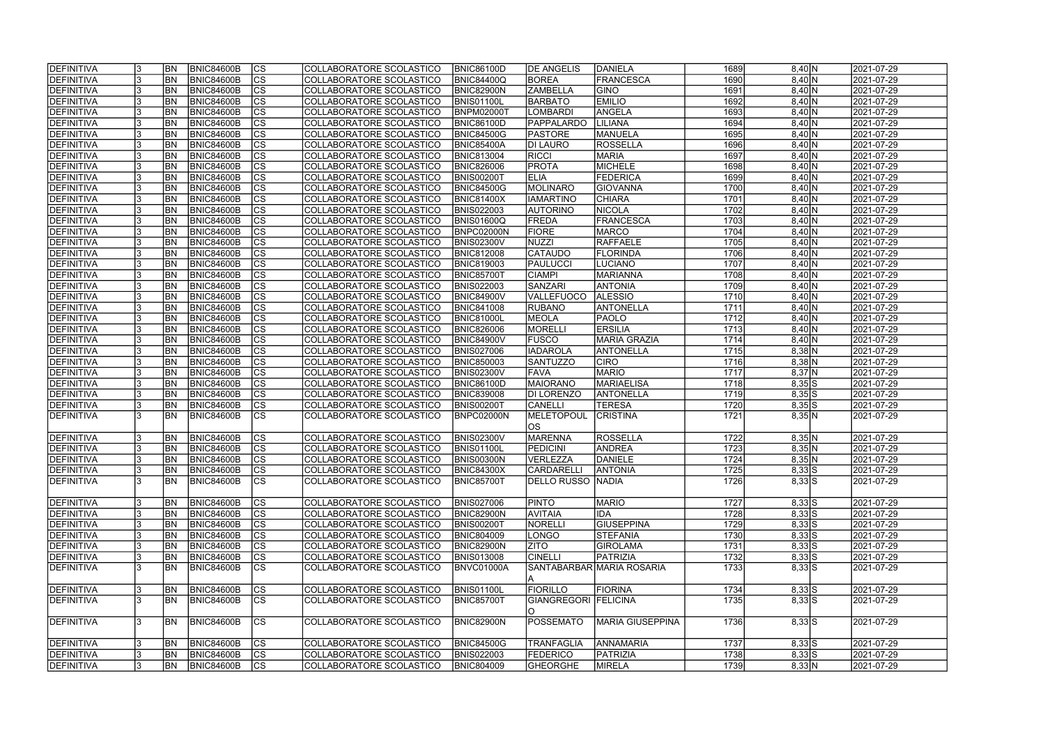| <b>DEFINITIVA</b> |    | <b>BN</b>  | <b>BNIC84600B</b> | <sub>Ics</sub> | COLLABORATORE SCOLASTICO | <b>BNIC86100D</b> | <b>IDE ANGELIS</b>   | DANIELA                   | 1689 | 8,40 N                                     | 2021-07-29 |
|-------------------|----|------------|-------------------|----------------|--------------------------|-------------------|----------------------|---------------------------|------|--------------------------------------------|------------|
| <b>DEFINITIVA</b> |    | <b>BN</b>  | <b>BNIC84600B</b> | cs             | COLLABORATORE SCOLASTICO | <b>BNIC84400Q</b> | <b>BOREA</b>         | FRANCESCA                 | 1690 | 8,40 N                                     | 2021-07-29 |
| DEFINITIVA        |    | <b>BN</b>  | <b>BNIC84600B</b> | cs             | COLLABORATORE SCOLASTICO | <b>BNIC82900N</b> | <b>ZAMBELLA</b>      | <b>GINO</b>               | 1691 | 8,40 N                                     | 2021-07-29 |
| <b>DEFINITIVA</b> |    | <b>BN</b>  | <b>BNIC84600B</b> | $\overline{c}$ | COLLABORATORE SCOLASTICO | <b>BNIS01100L</b> | <b>BARBATO</b>       | <b>EMILIO</b>             | 1692 | 8,40 N                                     | 2021-07-29 |
| <b>DEFINITIVA</b> |    | <b>BN</b>  | <b>BNIC84600B</b> | cs             | COLLABORATORE SCOLASTICO | <b>BNPM02000T</b> | <b>LOMBARDI</b>      | ANGELA                    | 1693 | 8,40 N                                     | 2021-07-29 |
| DEFINITIVA        |    | <b>BN</b>  | <b>BNIC84600B</b> | cs             | COLLABORATORE SCOLASTICO | <b>BNIC86100D</b> | <b>PAPPALARDO</b>    | LILIANA                   | 1694 | 8,40 N                                     | 2021-07-29 |
| DEFINITIVA        |    | <b>BN</b>  | <b>BNIC84600B</b> | cs             | COLLABORATORE SCOLASTICO | <b>BNIC84500G</b> | PASTORE              | MANUELA                   | 1695 | 8,40 N                                     | 2021-07-29 |
| DEFINITIVA        |    | <b>BN</b>  | <b>BNIC84600B</b> | cs             | COLLABORATORE SCOLASTICO | <b>BNIC85400A</b> | DI LAURO             | ROSSELLA                  | 1696 | 8,40 N                                     | 2021-07-29 |
| DEFINITIVA        |    | BN         | <b>BNIC84600B</b> | $ {\rm CS} $   | COLLABORATORE SCOLASTICO | <b>BNIC813004</b> | <b>RICCI</b>         | <b>MARIA</b>              | 1697 | 8,40 N                                     | 2021-07-29 |
| DEFINITIVA        |    | BN         | <b>BNIC84600B</b> | cs             | COLLABORATORE SCOLASTICO | <b>BNIC826006</b> | <b>PROTA</b>         | MICHELE                   | 1698 | 8,40 N                                     | 2021-07-29 |
| DEFINITIVA        |    | <b>BN</b>  | <b>BNIC84600B</b> | $ {\rm CS} $   | COLLABORATORE SCOLASTICO | <b>BNIS00200T</b> | <b>ELIA</b>          | <b>FEDERICA</b>           | 1699 | 8,40 N                                     | 2021-07-29 |
| DEFINITIVA        |    | <b>BN</b>  | <b>BNIC84600B</b> | cs             | COLLABORATORE SCOLASTICO | <b>BNIC84500G</b> | MOLINARO             | <b>GIOVANNA</b>           | 1700 | 8,40 N                                     | 2021-07-29 |
| DEFINITIVA        |    | <b>BN</b>  | <b>BNIC84600B</b> | cs             | COLLABORATORE SCOLASTICO | <b>BNIC81400X</b> | <b>IAMARTINO</b>     | <b>CHIARA</b>             | 1701 | 8,40 N                                     | 2021-07-29 |
| DEFINITIVA        |    | <b>BN</b>  | <b>BNIC84600B</b> | $ {\rm CS} $   | COLLABORATORE SCOLASTICO | <b>BNIS022003</b> | <b>AUTORINO</b>      | <b>NICOLA</b>             | 1702 | 8,40 N                                     | 2021-07-29 |
| DEFINITIVA        |    | <b>BN</b>  | <b>BNIC84600B</b> | $ {\rm CS} $   | COLLABORATORE SCOLASTICO | <b>BNIS01600Q</b> | FREDA                | FRANCESCA                 | 1703 | 8,40 N                                     | 2021-07-29 |
| DEFINITIVA        |    | <b>BN</b>  | <b>BNIC84600B</b> | $ {\rm CS} $   | COLLABORATORE SCOLASTICO | BNPC02000N        | <b>FIORE</b>         | <b>MARCO</b>              | 1704 | 8,40 N                                     | 2021-07-29 |
| DEFINITIVA        |    | BN         | <b>BNIC84600B</b> | cs             | COLLABORATORE SCOLASTICO | <b>BNIS02300V</b> | NUZZI                | <b>RAFFAELE</b>           | 1705 | 8,40 N                                     | 2021-07-29 |
| DEFINITIVA        |    | <b>BN</b>  | <b>BNIC84600B</b> | $ {\rm CS} $   | COLLABORATORE SCOLASTICO | <b>BNIC812008</b> | <b>CATAUDO</b>       | <b>FLORINDA</b>           | 1706 | 8,40 N                                     | 2021-07-29 |
| <b>DEFINITIVA</b> |    | <b>BN</b>  | <b>BNIC84600B</b> | $ {\rm CS} $   | COLLABORATORE SCOLASTICO | <b>BNIC819003</b> | PAULUCCI             | <b>LUCIANO</b>            | 1707 | 8,40 N                                     | 2021-07-29 |
| <b>DEFINITIVA</b> |    | <b>BN</b>  | <b>BNIC84600B</b> | cs             | COLLABORATORE SCOLASTICO | <b>BNIC85700T</b> | <b>CIAMPI</b>        | <b>MARIANNA</b>           | 1708 | 8,40 N                                     | 2021-07-29 |
| <b>DEFINITIVA</b> |    | <b>BN</b>  | <b>BNIC84600B</b> | $ {\rm cs} $   | COLLABORATORE SCOLASTICO | <b>BNIS022003</b> | <b>SANZARI</b>       | <b>ANTONIA</b>            | 1709 | 8,40 N                                     | 2021-07-29 |
| <b>DEFINITIVA</b> |    | BN         | <b>BNIC84600B</b> | <b>CS</b>      | COLLABORATORE SCOLASTICO | <b>BNIC84900V</b> | <b>VALLEFUOCO</b>    | <b>ALESSIO</b>            | 1710 | 8,40 N                                     | 2021-07-29 |
| <b>DEFINITIVA</b> |    | <b>BN</b>  | <b>BNIC84600B</b> | <b>CS</b>      | COLLABORATORE SCOLASTICO | <b>BNIC841008</b> | <b>RUBANO</b>        | ANTONELLA                 | 1711 | 8,40 N                                     | 2021-07-29 |
| DEFINITIVA        |    | <b>BN</b>  | <b>BNIC84600B</b> | CS             | COLLABORATORE SCOLASTICO | <b>BNIC81000L</b> | MEOLA                | <b>PAOLO</b>              | 1712 | 8,40 N                                     | 2021-07-29 |
| DEFINITIVA        |    | BN         | <b>BNIC84600B</b> | $ {\rm cs} $   | COLLABORATORE SCOLASTICO | <b>BNIC826006</b> | MORELLI              | <b>ERSILIA</b>            | 1713 | 8,40 N                                     | 2021-07-29 |
| DEFINITIVA        |    | BN         | <b>BNIC84600B</b> | $ {\rm CS} $   | COLLABORATORE SCOLASTICO | <b>BNIC84900V</b> | <b>FUSCO</b>         | <b>MARIA GRAZIA</b>       | 1714 | 8,40 N                                     | 2021-07-29 |
| DEFINITIVA        |    | <b>BN</b>  | <b>BNIC84600B</b> | $ {\rm cs} $   | COLLABORATORE SCOLASTICO | <b>BNIS027006</b> | <b>IADAROLA</b>      | ANTONELLA                 | 1715 | $8,38$ N                                   | 2021-07-29 |
| DEFINITIVA        |    | <b>BN</b>  | <b>BNIC84600B</b> | $ {\rm cs} $   | COLLABORATORE SCOLASTICO | <b>BNIC850003</b> | SANTUZZO             | <b>CIRO</b>               | 1716 | $8,38$ N                                   | 2021-07-29 |
| DEFINITIVA        |    | <b>BN</b>  | <b>BNIC84600B</b> | $ {\rm cs} $   | COLLABORATORE SCOLASTICO | <b>BNIS02300V</b> | <b>FAVA</b>          | <b>MARIO</b>              | 1717 | $8,37$ N                                   | 2021-07-29 |
| DEFINITIVA        |    | <b>BN</b>  | <b>BNIC84600B</b> | $ {\rm cs} $   | COLLABORATORE SCOLASTICO | <b>BNIC86100D</b> | <b>MAIORANO</b>      | <b>MARIAELISA</b>         | 1718 | $8,35\overline{\smash{\big)}\,\mathsf{S}}$ | 2021-07-29 |
| DEFINITIVA        |    | <b>BN</b>  | <b>BNIC84600B</b> | $\overline{c}$ | COLLABORATORE SCOLASTICO | <b>BNIC839008</b> | <b>DI LORENZO</b>    | <b>ANTONELLA</b>          | 1719 | $8,35$ S                                   | 2021-07-29 |
| DEFINITIVA        |    | <b>BN</b>  | <b>BNIC84600B</b> | cs             | COLLABORATORE SCOLASTICO | <b>BNIS00200T</b> | <b>CANELLI</b>       | <b>TERESA</b>             | 1720 | $8,35$ S                                   | 2021-07-29 |
| DEFINITIVA        |    | <b>BN</b>  | <b>BNIC84600B</b> | cs             | COLLABORATORE SCOLASTICO | BNPC02000N        | MELETOPOUL           | <b>CRISTINA</b>           | 1721 | 8,35 N                                     | 2021-07-29 |
|                   |    |            |                   |                |                          |                   | los                  |                           |      |                                            |            |
| DEFINITIVA        |    | <b>BN</b>  | <b>BNIC84600B</b> | $ {\rm CS} $   | COLLABORATORE SCOLASTICO | <b>BNIS02300V</b> | MARENNA              | ROSSELLA                  | 1722 | 8,35 N                                     | 2021-07-29 |
| DEFINITIVA        |    | <b>BN</b>  | <b>BNIC84600B</b> | $\overline{c}$ | COLLABORATORE SCOLASTICO | <b>BNIS01100L</b> | <b>PEDICINI</b>      | ANDREA                    | 1723 | 8,35 N                                     | 2021-07-29 |
| <b>DEFINITIVA</b> |    | <b>BN</b>  | BNIC84600B        | $\overline{c}$ | COLLABORATORE SCOLASTICO | <b>BNIS00300N</b> | VERLEZZA             | DANIELE                   | 1724 | 8,35 N                                     | 2021-07-29 |
| DEFINITIVA        |    | <b>BN</b>  | <b>BNIC84600B</b> | $ {\rm CS} $   | COLLABORATORE SCOLASTICO | <b>BNIC84300X</b> | <b>CARDARELLI</b>    | <b>ANTONIA</b>            | 1725 | $8,33$ S                                   | 2021-07-29 |
| DEFINITIVA        |    | <b>IBN</b> | <b>BNIC84600B</b> | $ {\rm CS} $   | COLLABORATORE SCOLASTICO | <b>BNIC85700T</b> | DELLO RUSSO NADIA    |                           | 1726 | $8,33$ S                                   | 2021-07-29 |
|                   |    |            |                   |                |                          |                   |                      |                           |      |                                            |            |
| DEFINITIVA        |    | <b>BN</b>  | <b>BNIC84600B</b> | $ {\rm CS} $   | COLLABORATORE SCOLASTICO | <b>BNIS027006</b> | <b>PINTO</b>         | <b>MARIO</b>              | 1727 | $8,33$ S                                   | 2021-07-29 |
| <b>DEFINITIVA</b> |    | <b>BN</b>  | <b>BNIC84600B</b> | $ {\rm CS} $   | COLLABORATORE SCOLASTICO | <b>BNIC82900N</b> | <b>AVITAIA</b>       | <b>IDA</b>                | 1728 | $8,33$ S                                   | 2021-07-29 |
| DEFINITIVA        |    | <b>BN</b>  | <b>BNIC84600B</b> | $ {\rm CS} $   | COLLABORATORE SCOLASTICO | <b>BNIS00200T</b> | NORELLI              | <b>GIUSEPPINA</b>         | 1729 | $8,33$ S                                   | 2021-07-29 |
| DEFINITIVA        |    | <b>BN</b>  | <b>BNIC84600B</b> | $ {\rm CS} $   | COLLABORATORE SCOLASTICO | <b>BNIC804009</b> | LONGO                | <b>STEFANIA</b>           | 1730 | $8,33$ S                                   | 2021-07-29 |
| DEFINITIVA        |    | <b>BN</b>  | <b>BNIC84600B</b> | cs             | COLLABORATORE SCOLASTICO | <b>BNIC82900N</b> | <b>ZITO</b>          | <b>GIROLAMA</b>           | 1731 | $8,33$ S                                   | 2021-07-29 |
| DEFINITIVA        |    | <b>BN</b>  | <b>BNIC84600B</b> | $ {\rm CS} $   | COLLABORATORE SCOLASTICO | <b>BNIS013008</b> | <b>CINELLI</b>       | PATRIZIA                  | 1732 | $8,33$ S                                   | 2021-07-29 |
| DEFINITIVA        |    | <b>BN</b>  | <b>BNIC84600B</b> | cs             | COLLABORATORE SCOLASTICO | BNVC01000A        |                      | SANTABARBAR MARIA ROSARIA | 1733 | $8,33\overline{S}$                         | 2021-07-29 |
|                   |    |            |                   |                |                          |                   | IA.                  |                           |      |                                            |            |
| DEFINITIVA        |    | <b>BN</b>  | BNIC84600B        | cs             | COLLABORATORE SCOLASTICO | <b>BNIS01100L</b> | <b>FIORILLO</b>      | FIORINA                   | 1734 | $8,33$ $S$                                 | 2021-07-29 |
| <b>DEFINITIVA</b> |    | <b>BN</b>  | <b>BNIC84600B</b> | cs             | COLLABORATORE SCOLASTICO | <b>BNIC85700T</b> | GIANGREGORI FELICINA |                           | 1735 | $8,33$ S                                   | 2021-07-29 |
|                   |    |            |                   |                |                          |                   | IO.                  |                           |      |                                            |            |
| DEFINITIVA        |    | <b>BN</b>  | <b>BNIC84600B</b> | $ {\rm CS} $   | COLLABORATORE SCOLASTICO | BNIC82900N        | <b>POSSEMATO</b>     | MARIA GIUSEPPINA          | 1736 | $8,33$ S                                   | 2021-07-29 |
|                   |    |            |                   |                |                          |                   |                      |                           |      |                                            |            |
| DEFINITIVA        |    | <b>BN</b>  | <b>BNIC84600B</b> | $ {\rm CS} $   | COLLABORATORE SCOLASTICO | <b>BNIC84500G</b> | <b>TRANFAGLIA</b>    | <b>ANNAMARIA</b>          | 1737 | $8,33$ S                                   | 2021-07-29 |
| DEFINITIVA        |    | <b>BN</b>  | <b>BNIC84600B</b> | $ {\rm CS} $   | COLLABORATORE SCOLASTICO | <b>BNIS022003</b> | <b>FEDERICO</b>      | PATRIZIA                  | 1738 | $8,33$ S                                   | 2021-07-29 |
| DEFINITIVA        | Ι3 | <b>BN</b>  | <b>BNIC84600B</b> | $ {\rm CS} $   | COLLABORATORE SCOLASTICO | <b>BNIC804009</b> | <b>GHEORGHE</b>      | MIRELA                    | 1739 | 8,33 N                                     | 2021-07-29 |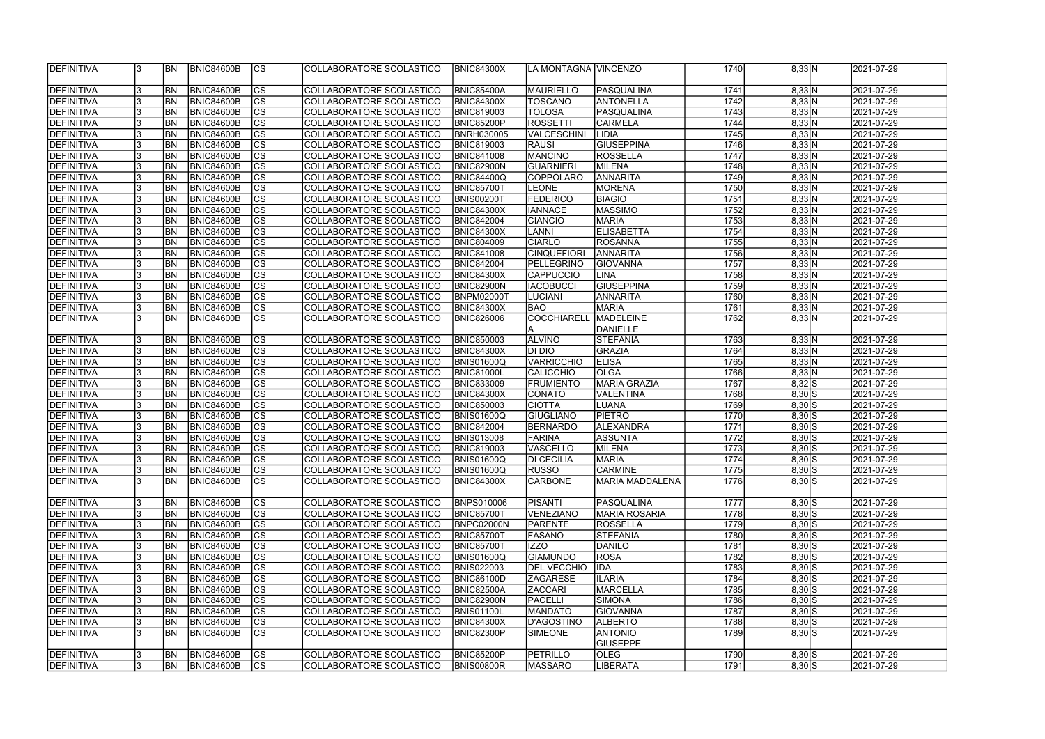| <b>IDEFINITIVA</b> |    | <b>IBN</b> | <b>BNIC84600B</b> | <sub>Ics</sub> | COLLABORATORE SCOLASTICO | <b>BNIC84300X</b> | LA MONTAGNA VINCENZO |                      | 1740 | 8,33 N             | 2021-07-29 |
|--------------------|----|------------|-------------------|----------------|--------------------------|-------------------|----------------------|----------------------|------|--------------------|------------|
|                    |    |            |                   |                |                          |                   |                      |                      |      |                    |            |
| DEFINITIVA         |    | <b>BN</b>  | <b>BNIC84600B</b> | cs             | COLLABORATORE SCOLASTICO | <b>BNIC85400A</b> | MAURIELLO            | <b>PASQUALINA</b>    | 1741 | 8,33 N             | 2021-07-29 |
| DEFINITIVA         |    | <b>BN</b>  | <b>BNIC84600B</b> | cs             | COLLABORATORE SCOLASTICO | <b>BNIC84300X</b> | <b>TOSCANO</b>       | <b>ANTONELLA</b>     | 1742 | 8,33 N             | 2021-07-29 |
| DEFINITIVA         |    | <b>BN</b>  | <b>BNIC84600B</b> | $\overline{c}$ | COLLABORATORE SCOLASTICO | <b>BNIC819003</b> | TOLOSA               | <b>PASQUALINA</b>    | 1743 | 8,33 N             | 2021-07-29 |
| DEFINITIVA         |    | <b>BN</b>  | <b>BNIC84600B</b> | cs             | COLLABORATORE SCOLASTICO | <b>BNIC85200P</b> | <b>ROSSETTI</b>      | <b>CARMELA</b>       | 1744 | 8,33 N             | 2021-07-29 |
| DEFINITIVA         |    | <b>BN</b>  | BNIC84600B        | cs             | COLLABORATORE SCOLASTICO | <b>BNRH030005</b> | VALCESCHINI          | LIDIA                | 1745 | 8,33 N             | 2021-07-29 |
| DEFINITIVA         |    | <b>BN</b>  | <b>BNIC84600B</b> | cs             | COLLABORATORE SCOLASTICO | <b>BNIC819003</b> | <b>RAUSI</b>         | GIUSEPPINA           | 1746 | 8,33 N             | 2021-07-29 |
| DEFINITIVA         |    | BN         | <b>BNIC84600B</b> | cs             | COLLABORATORE SCOLASTICO | <b>BNIC841008</b> | MANCINO              | ROSSELLA             | 1747 | 8,33 N             | 2021-07-29 |
| DEFINITIVA         |    | BN         | <b>BNIC84600B</b> | cs             | COLLABORATORE SCOLASTICO | <b>BNIC82900N</b> | <b>GUARNIERI</b>     | MILENA               | 1748 | 8,33 N             | 2021-07-29 |
| DEFINITIVA         |    | <b>BN</b>  | <b>BNIC84600B</b> | $ {\rm cs} $   | COLLABORATORE SCOLASTICO | <b>BNIC84400Q</b> | COPPOLARO            | ANNARITA             | 1749 | 8,33 N             | 2021-07-29 |
| <b>DEFINITIVA</b>  |    | <b>BN</b>  | <b>BNIC84600B</b> | cs             | COLLABORATORE SCOLASTICO | <b>BNIC85700T</b> | <b>LEONE</b>         | <b>MORENA</b>        | 1750 | 8,33 N             | 2021-07-29 |
| DEFINITIVA         |    | <b>BN</b>  | <b>BNIC84600B</b> | cs             | COLLABORATORE SCOLASTICO | <b>BNIS00200T</b> | <b>FEDERICO</b>      | <b>BIAGIO</b>        | 1751 | 8,33 N             | 2021-07-29 |
| DEFINITIVA         |    | <b>BN</b>  | <b>BNIC84600B</b> | cs             | COLLABORATORE SCOLASTICO | <b>BNIC84300X</b> | <b>IANNACE</b>       | MASSIMO              | 1752 | 8,33 N             | 2021-07-29 |
| DEFINITIVA         |    | <b>BN</b>  | <b>BNIC84600B</b> | cs             | COLLABORATORE SCOLASTICO | <b>BNIC842004</b> | <b>CIANCIO</b>       | <b>MARIA</b>         | 1753 | 8,33 N             | 2021-07-29 |
| DEFINITIVA         |    | <b>BN</b>  | <b>BNIC84600B</b> | cs             | COLLABORATORE SCOLASTICO | <b>BNIC84300X</b> | LANNI                | <b>ELISABETTA</b>    | 1754 | 8,33 N             | 2021-07-29 |
| DEFINITIVA         |    | BN         | <b>BNIC84600B</b> | cs             | COLLABORATORE SCOLASTICO | <b>BNIC804009</b> | <b>CIARLO</b>        | <b>ROSANNA</b>       | 1755 | 8,33 N             | 2021-07-29 |
| DEFINITIVA         |    | BN         | <b>BNIC84600B</b> | cs             | COLLABORATORE SCOLASTICO | <b>BNIC841008</b> | <b>CINQUEFIORI</b>   | ANNARITA             | 1756 | 8,33 N             | 2021-07-29 |
| DEFINITIVA         |    | <b>BN</b>  | <b>BNIC84600B</b> | cs             | COLLABORATORE SCOLASTICO | <b>BNIC842004</b> | PELLEGRINO           | <b>GIOVANNA</b>      | 1757 | 8,33 N             | 2021-07-29 |
| <b>DEFINITIVA</b>  |    | <b>BN</b>  | <b>BNIC84600B</b> | cs             | COLLABORATORE SCOLASTICO | <b>BNIC84300X</b> | <b>CAPPUCCIO</b>     | <b>LINA</b>          | 1758 | 8,33 N             | 2021-07-29 |
| DEFINITIVA         |    | <b>BN</b>  | <b>BNIC84600B</b> | cs             | COLLABORATORE SCOLASTICO | <b>BNIC82900N</b> | IACOBUCCI            | <b>GIUSEPPINA</b>    | 1759 | 8,33 N             | 2021-07-29 |
| <b>DEFINITIVA</b>  |    | <b>BN</b>  | <b>BNIC84600B</b> | cs             | COLLABORATORE SCOLASTICO | <b>BNPM02000T</b> | <b>LUCIANI</b>       | <b>ANNARITA</b>      | 1760 | 8,33 N             | 2021-07-29 |
| DEFINITIVA         |    | <b>BN</b>  | <b>BNIC84600B</b> | <b>CS</b>      | COLLABORATORE SCOLASTICO | <b>BNIC84300X</b> | BAO                  | <b>MARIA</b>         | 1761 | 8,33 N             | 2021-07-29 |
| DEFINITIVA         |    | <b>BN</b>  | BNIC84600B        | lcs            | COLLABORATORE SCOLASTICO | <b>BNIC826006</b> | COCCHIARELL          | MADELEINE            | 1762 | 8,33 N             | 2021-07-29 |
|                    |    |            |                   |                |                          |                   | IA.                  | DANIELLE             |      |                    |            |
| DEFINITIVA         |    | BN         | <b>BNIC84600B</b> | cs             | COLLABORATORE SCOLASTICO | <b>BNIC850003</b> | <b>ALVINO</b>        | <b>STEFANIA</b>      | 1763 | 8,33 N             | 2021-07-29 |
| DEFINITIVA         |    | BN         | <b>BNIC84600B</b> | $ {\rm cs} $   | COLLABORATORE SCOLASTICO | <b>BNIC84300X</b> | DI DIO               | GRAZIA               | 1764 | 8,33 N             | 2021-07-29 |
| DEFINITIVA         |    | <b>BN</b>  | <b>BNIC84600B</b> | $ {\rm cs} $   | COLLABORATORE SCOLASTICO | <b>BNIS01600Q</b> | VARRICCHIO           | <b>ELISA</b>         | 1765 | 8,33 N             | 2021-07-29 |
| DEFINITIVA         |    | <b>BN</b>  | BNIC84600B        | cs             | COLLABORATORE SCOLASTICO | <b>BNIC81000L</b> | <b>CALICCHIO</b>     | <b>OLGA</b>          | 1766 | 8,33 N             | 2021-07-29 |
| DEFINITIVA         |    | <b>BN</b>  | <b>BNIC84600B</b> | cs             | COLLABORATORE SCOLASTICO | <b>BNIC833009</b> | <b>FRUMIENTO</b>     | MARIA GRAZIA         | 1767 | $8,32$ S           | 2021-07-29 |
| DEFINITIVA         |    | <b>BN</b>  | BNIC84600B        | CS             | COLLABORATORE SCOLASTICO | <b>BNIC84300X</b> | <b>CONATO</b>        | <b>VALENTINA</b>     | 1768 | $8,30$ $S$         | 2021-07-29 |
| DEFINITIVA         |    | <b>BN</b>  | <b>BNIC84600B</b> | cs             | COLLABORATORE SCOLASTICO | <b>BNIC850003</b> | <b>CIOTTA</b>        | <b>LUANA</b>         | 1769 | $8,30$ S           | 2021-07-29 |
| DEFINITIVA         |    | BN         | <b>BNIC84600B</b> | $\overline{c}$ | COLLABORATORE SCOLASTICO | <b>BNIS01600Q</b> | GIUGLIANO            | <b>PIETRO</b>        | 1770 | $8,30$ $S$         | 2021-07-29 |
| DEFINITIVA         |    | BN         | <b>BNIC84600B</b> | cs             | COLLABORATORE SCOLASTICO | <b>BNIC842004</b> | BERNARDO             | <b>ALEXANDRA</b>     | 1771 | $8,30$ $S$         | 2021-07-29 |
| DEFINITIVA         |    | <b>BN</b>  | <b>BNIC84600B</b> | $\overline{c}$ | COLLABORATORE SCOLASTICO | <b>BNIS013008</b> | FARINA               | <b>ASSUNTA</b>       | 1772 | $8,30$ $S$         | 2021-07-29 |
| DEFINITIVA         |    | <b>BN</b>  | <b>BNIC84600B</b> | $\overline{c}$ | COLLABORATORE SCOLASTICO | <b>BNIC819003</b> | <b>VASCELLO</b>      | MILENA               | 1773 | $8,30$ S           | 2021-07-29 |
| <b>DEFINITIVA</b>  |    | IBN        | BNIC84600B        | CS             | COLLABORATORE SCOLASTICO | <b>BNIS01600Q</b> | <b>DI CECILIA</b>    | <b>MARIA</b>         | 1774 | $8,30$ S           | 2021-07-29 |
| <b>DEFINITIVA</b>  |    | <b>BN</b>  | <b>BNIC84600B</b> | $ {\rm CS} $   | COLLABORATORE SCOLASTICO | <b>BNIS01600Q</b> | <b>RUSSO</b>         | <b>CARMINE</b>       | 1775 | $8,30$ S           | 2021-07-29 |
| <b>DEFINITIVA</b>  |    | <b>IBN</b> | <b>BNIC84600B</b> | <sub>Ics</sub> | COLLABORATORE SCOLASTICO | <b>BNIC84300X</b> | <b>CARBONE</b>       | MARIA MADDALENA      | 1776 | $8,30\overline{S}$ | 2021-07-29 |
|                    |    |            |                   |                |                          |                   |                      |                      |      |                    |            |
| <b>DEFINITIVA</b>  |    | <b>BN</b>  | <b>BNIC84600B</b> | <sub>Ics</sub> | COLLABORATORE SCOLASTICO | <b>BNPS010006</b> | PISANTI              | PASQUALINA           | 1777 | $8,30$ S           | 2021-07-29 |
| DEFINITIVA         |    | <b>BN</b>  | <b>BNIC84600B</b> | $ {\rm CS} $   | COLLABORATORE SCOLASTICO | <b>BNIC85700T</b> | <b>VENEZIANO</b>     | <b>MARIA ROSARIA</b> | 1778 | $8,30$ $S$         | 2021-07-29 |
| <b>DEFINITIVA</b>  |    | <b>BN</b>  | <b>BNIC84600B</b> | $ {\rm CS} $   | COLLABORATORE SCOLASTICO | BNPC02000N        | PARENTE              | ROSSELLA             | 1779 | $8,30$ S           | 2021-07-29 |
| DEFINITIVA         |    | <b>BN</b>  | <b>BNIC84600B</b> | $ {\rm CS} $   | COLLABORATORE SCOLASTICO | <b>BNIC85700T</b> | <b>FASANO</b>        | <b>STEFANIA</b>      | 1780 | $8,30$ S           | 2021-07-29 |
| <b>DEFINITIVA</b>  |    | <b>BN</b>  | <b>BNIC84600B</b> | cs             | COLLABORATORE SCOLASTICO | <b>BNIC85700T</b> | IZZO                 | DANILO               | 1781 | $8,30$ S           | 2021-07-29 |
| DEFINITIVA         |    | <b>BN</b>  | <b>BNIC84600B</b> | $ {\rm CS} $   | COLLABORATORE SCOLASTICO | <b>BNIS01600Q</b> | GIAMUNDO             | ROSA                 | 1782 | $8,30$ S           | 2021-07-29 |
| <b>DEFINITIVA</b>  |    | <b>BN</b>  | <b>BNIC84600B</b> | cs             | COLLABORATORE SCOLASTICO | <b>BNIS022003</b> | <b>DEL VECCHIO</b>   | <b>IDA</b>           | 1783 | $8,30$ S           | 2021-07-29 |
| DEFINITIVA         |    | <b>BN</b>  | <b>BNIC84600B</b> | cs             | COLLABORATORE SCOLASTICO | <b>BNIC86100D</b> | <b>ZAGARESE</b>      | <b>ILARIA</b>        | 1784 | $8,30$ S           | 2021-07-29 |
| DEFINITIVA         |    | <b>BN</b>  | <b>BNIC84600B</b> | cs             | COLLABORATORE SCOLASTICO | <b>BNIC82500A</b> | <b>ZACCARI</b>       | <b>MARCELLA</b>      | 1785 | $8,30$ $S$         | 2021-07-29 |
| DEFINITIVA         |    | <b>BN</b>  | <b>BNIC84600B</b> | cs             | COLLABORATORE SCOLASTICO | <b>BNIC82900N</b> | <b>PACELLI</b>       | SIMONA               | 1786 | $8,30$ S           | 2021-07-29 |
| DEFINITIVA         |    | <b>BN</b>  | <b>BNIC84600B</b> | $ {\rm CS} $   | COLLABORATORE SCOLASTICO | <b>BNIS01100L</b> | <b>MANDATO</b>       | GIOVANNA             | 1787 | $8,30$ $S$         | 2021-07-29 |
| DEFINITIVA         |    | BN         | <b>BNIC84600B</b> | $ {\rm CS} $   | COLLABORATORE SCOLASTICO | <b>BNIC84300X</b> | D'AGOSTINO           | <b>ALBERTO</b>       | 1788 | $8,30$ $S$         | 2021-07-29 |
| DEFINITIVA         |    | BN         | <b>BNIC84600B</b> | $ {\rm CS} $   | COLLABORATORE SCOLASTICO | BNIC82300P        | <b>SIMEONE</b>       | <b>ANTONIO</b>       | 1789 | $8,30$ S           | 2021-07-29 |
|                    |    |            |                   |                |                          |                   |                      | <b>GIUSEPPE</b>      |      |                    |            |
| DEFINITIVA         |    | <b>IBN</b> | <b>BNIC84600B</b> | $ {\rm CS} $   | COLLABORATORE SCOLASTICO | <b>BNIC85200P</b> | <b>PETRILLO</b>      | <b>OLEG</b>          | 1790 | $8,30$ S           | 2021-07-29 |
| <b>DEFINITIVA</b>  | 13 | <b>BN</b>  | <b>BNIC84600B</b> | $ {\rm CS} $   | COLLABORATORE SCOLASTICO | <b>BNIS00800R</b> | <b>MASSARO</b>       | <b>LIBERATA</b>      | 1791 | $8,30$ S           | 2021-07-29 |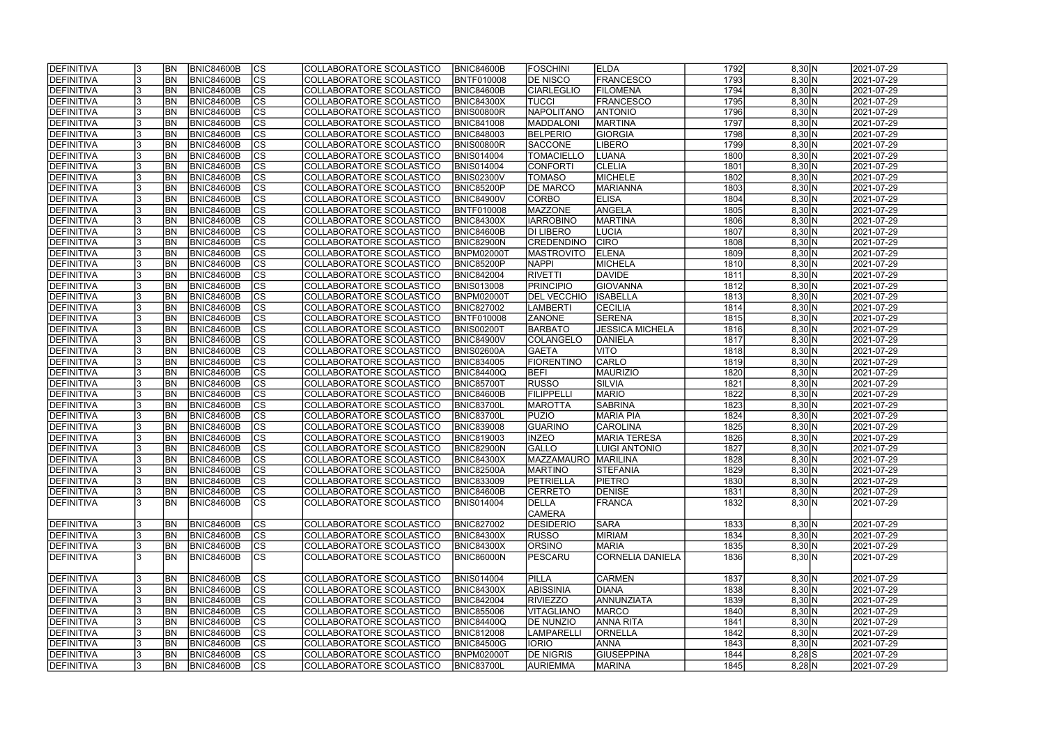| <b>DEFINITIVA</b>        |   | <b>BN</b>  | <b>BNIC84600B</b> | <sub>Ics</sub> | COLLABORATORE SCOLASTICO | <b>BNIC84600B</b> | <b>IFOSCHINI</b>    | <b>ELDA</b>            | 1792 | 8,30 N   | 2021-07-29 |
|--------------------------|---|------------|-------------------|----------------|--------------------------|-------------------|---------------------|------------------------|------|----------|------------|
| <b>DEFINITIVA</b>        |   | <b>BN</b>  | <b>BNIC84600B</b> | cs             | COLLABORATORE SCOLASTICO | <b>BNTF010008</b> | <b>DE NISCO</b>     | <b>FRANCESCO</b>       | 1793 | 8,30 N   | 2021-07-29 |
| DEFINITIVA               |   | <b>BN</b>  | <b>BNIC84600B</b> | cs             | COLLABORATORE SCOLASTICO | <b>BNIC84600B</b> | <b>CIARLEGLIO</b>   | <b>FILOMENA</b>        | 1794 | 8,30 N   | 2021-07-29 |
| <b>DEFINITIVA</b>        |   | <b>BN</b>  | <b>BNIC84600B</b> | $\overline{c}$ | COLLABORATORE SCOLASTICO | <b>BNIC84300X</b> | TUCCI               | <b>FRANCESCO</b>       | 1795 | 8,30 N   | 2021-07-29 |
| <b>DEFINITIVA</b>        |   | <b>BN</b>  | BNIC84600B        | cs             | COLLABORATORE SCOLASTICO | <b>BNIS00800R</b> | NAPOLITANO          | <b>ANTONIO</b>         | 1796 | 8,30 N   | 2021-07-29 |
| <b>DEFINITIVA</b>        |   | <b>BN</b>  | BNIC84600B        | cs             | COLLABORATORE SCOLASTICO | <b>BNIC841008</b> | MADDALONI           | MARTINA                | 1797 | 8,30 N   | 2021-07-29 |
| <b>DEFINITIVA</b>        |   | <b>BN</b>  | BNIC84600B        | CS             | COLLABORATORE SCOLASTICO | <b>BNIC848003</b> | <b>BELPERIO</b>     | <b>GIORGIA</b>         | 1798 | 8,30 N   | 2021-07-29 |
| DEFINITIVA               |   | <b>BN</b>  | BNIC84600B        | $ {\rm CS} $   | COLLABORATORE SCOLASTICO | <b>BNIS00800R</b> | <b>SACCONE</b>      | <b>LIBERO</b>          | 1799 | 8,30 N   | 2021-07-29 |
| DEFINITIVA               |   | <b>BN</b>  | <b>BNIC84600B</b> | $ {\rm CS} $   | COLLABORATORE SCOLASTICO | <b>BNIS014004</b> | <b>TOMACIELLO</b>   | LUANA                  | 1800 | 8,30 N   | 2021-07-29 |
| DEFINITIVA               |   | <b>BN</b>  | <b>BNIC84600B</b> | $ {\rm CS} $   | COLLABORATORE SCOLASTICO | <b>BNIS014004</b> | <b>CONFORTI</b>     | <b>CLELIA</b>          | 1801 | 8,30 N   | 2021-07-29 |
| <b>DEFINITIVA</b>        |   | <b>BN</b>  | <b>BNIC84600B</b> | $ {\rm CS} $   | COLLABORATORE SCOLASTICO | <b>BNIS02300V</b> | TOMASO              | MICHELE                | 1802 | 8,30 N   | 2021-07-29 |
| <b>DEFINITIVA</b>        |   | <b>BN</b>  | <b>BNIC84600B</b> | $ {\rm cs} $   | COLLABORATORE SCOLASTICO | <b>BNIC85200P</b> | <b>DE MARCO</b>     | MARIANNA               | 1803 | 8,30 N   | 2021-07-29 |
| DEFINITIVA               |   | <b>BN</b>  | <b>BNIC84600B</b> | cs             | COLLABORATORE SCOLASTICO | <b>BNIC84900V</b> | CORBO               | <b>ELISA</b>           | 1804 | 8,30 N   | 2021-07-29 |
| <b>DEFINITIVA</b>        |   | BN         | BNIC84600B        | $ {\rm CS} $   | COLLABORATORE SCOLASTICO | <b>BNTF010008</b> | MAZZONE             | ANGELA                 | 1805 | 8,30 N   | 2021-07-29 |
| DEFINITIVA               |   | <b>BN</b>  | <b>BNIC84600B</b> | $ {\rm CS} $   | COLLABORATORE SCOLASTICO | <b>BNIC84300X</b> | <b>IARROBINO</b>    | <b>MARTINA</b>         | 1806 | 8,30 N   | 2021-07-29 |
|                          |   |            |                   | $ {\rm CS} $   |                          |                   | <b>DI LIBERO</b>    |                        | 1807 |          |            |
| DEFINITIVA<br>DEFINITIVA |   | <b>BN</b>  | <b>BNIC84600B</b> |                | COLLABORATORE SCOLASTICO | <b>BNIC84600B</b> |                     | <b>LUCIA</b>           |      | 8,30 N   | 2021-07-29 |
|                          |   | BN         | BNIC84600B        | $ {\rm CS} $   | COLLABORATORE SCOLASTICO | <b>BNIC82900N</b> | <b>CREDENDINO</b>   | <b>CIRO</b>            | 1808 | 8,30 N   | 2021-07-29 |
| <b>DEFINITIVA</b>        |   | <b>BN</b>  | <b>BNIC84600B</b> | $ {\rm CS} $   | COLLABORATORE SCOLASTICO | <b>BNPM02000T</b> | <b>MASTROVITO</b>   | <b>ELENA</b>           | 1809 | 8,30 N   | 2021-07-29 |
| <b>DEFINITIVA</b>        |   | <b>BN</b>  | BNIC84600B        | <b>CS</b>      | COLLABORATORE SCOLASTICO | <b>BNIC85200P</b> | <b>NAPPI</b>        | <b>MICHELA</b>         | 1810 | 8,30 N   | 2021-07-29 |
| <b>DEFINITIVA</b>        |   | <b>BN</b>  | <b>BNIC84600B</b> | $ {\rm CS} $   | COLLABORATORE SCOLASTICO | <b>BNIC842004</b> | <b>RIVETTI</b>      | <b>DAVIDE</b>          | 1811 | 8,30 N   | 2021-07-29 |
| <b>DEFINITIVA</b>        |   | <b>BN</b>  | <b>BNIC84600B</b> | $ {\rm CS} $   | COLLABORATORE SCOLASTICO | <b>BNIS013008</b> | <b>PRINCIPIO</b>    | <b>GIOVANNA</b>        | 1812 | 8,30 N   | 2021-07-29 |
| <b>DEFINITIVA</b>        |   | <b>BN</b>  | BNIC84600B        | <b>CS</b>      | COLLABORATORE SCOLASTICO | <b>BNPM02000T</b> | <b>DEL VECCHIO</b>  | <b>ISABELLA</b>        | 1813 | 8,30 N   | 2021-07-29 |
| DEFINITIVA               |   | <b>BN</b>  | BNIC84600B        | CS             | COLLABORATORE SCOLASTICO | <b>BNIC827002</b> | <b>LAMBERTI</b>     | <b>CECILIA</b>         | 1814 | 8,30 N   | 2021-07-29 |
| DEFINITIVA               |   | <b>BN</b>  | BNIC84600B        | CS             | COLLABORATORE SCOLASTICO | <b>BNTF010008</b> | <b>ZANONE</b>       | <b>SERENA</b>          | 1815 | 8,30 N   | 2021-07-29 |
| DEFINITIVA               |   | BN         | <b>BNIC84600B</b> | $ {\rm cs} $   | COLLABORATORE SCOLASTICO | <b>BNIS00200T</b> | <b>BARBATO</b>      | <b>JESSICA MICHELA</b> | 1816 | 8,30 N   | 2021-07-29 |
| <b>DEFINITIVA</b>        |   | <b>BN</b>  | <b>BNIC84600B</b> | $ {\rm CS} $   | COLLABORATORE SCOLASTICO | <b>BNIC84900V</b> | COLANGELO           | DANIELA                | 1817 | 8,30 N   | 2021-07-29 |
| <b>DEFINITIVA</b>        |   | <b>BN</b>  | <b>BNIC84600B</b> | $ {\rm cs} $   | COLLABORATORE SCOLASTICO | <b>BNIS02600A</b> | <b>GAETA</b>        | <b>VITO</b>            | 1818 | 8,30 N   | 2021-07-29 |
| <b>DEFINITIVA</b>        |   | <b>BN</b>  | <b>BNIC84600B</b> | $ {\rm cs} $   | COLLABORATORE SCOLASTICO | <b>BNIC834005</b> | <b>FIORENTINO</b>   | CARLO                  | 1819 | 8,30 N   | 2021-07-29 |
| <b>DEFINITIVA</b>        |   | <b>BN</b>  | <b>BNIC84600B</b> | $ {\rm cs} $   | COLLABORATORE SCOLASTICO | <b>BNIC84400Q</b> | <b>BEFI</b>         | <b>MAURIZIO</b>        | 1820 | 8,30 N   | 2021-07-29 |
| <b>DEFINITIVA</b>        |   | <b>BN</b>  | <b>BNIC84600B</b> | $ {\rm cs} $   | COLLABORATORE SCOLASTICO | <b>BNIC85700T</b> | <b>RUSSO</b>        | SILVIA                 | 1821 | 8,30 N   | 2021-07-29 |
| <b>DEFINITIVA</b>        |   | <b>BN</b>  | <b>BNIC84600B</b> | $\overline{c}$ | COLLABORATORE SCOLASTICO | <b>BNIC84600B</b> | FILIPPELLI          | <b>MARIO</b>           | 1822 | 8,30 N   | 2021-07-29 |
| <b>DEFINITIVA</b>        |   | <b>BN</b>  | <b>BNIC84600B</b> | cs             | COLLABORATORE SCOLASTICO | <b>BNIC83700L</b> | <b>MAROTTA</b>      | SABRINA                | 1823 | 8,30 N   | 2021-07-29 |
| <b>DEFINITIVA</b>        |   | <b>BN</b>  | BNIC84600B        | cs             | COLLABORATORE SCOLASTICO | <b>BNIC83700L</b> | <b>PUZIO</b>        | <b>MARIA PIA</b>       | 1824 | 8,30 N   | 2021-07-29 |
| <b>DEFINITIVA</b>        |   | <b>BN</b>  | <b>BNIC84600B</b> | cs             | COLLABORATORE SCOLASTICO | <b>BNIC839008</b> | GUARINO             | CAROLINA               | 1825 | 8,30 N   | 2021-07-29 |
| <b>DEFINITIVA</b>        |   | <b>BN</b>  | BNIC84600B        | cs             | COLLABORATORE SCOLASTICO | <b>BNIC819003</b> | <b>INZEO</b>        | <b>MARIA TERESA</b>    | 1826 | 8,30 N   | 2021-07-29 |
| DEFINITIVA               |   | <b>BN</b>  | <b>BNIC84600B</b> | $\overline{c}$ | COLLABORATORE SCOLASTICO | <b>BNIC82900N</b> | <b>GALLO</b>        | <b>LUIGI ANTONIO</b>   | 1827 | 8,30 N   | 2021-07-29 |
| <b>DEFINITIVA</b>        |   | IBN        | <b>BNIC84600B</b> | $ {\rm CS}$    | COLLABORATORE SCOLASTICO | <b>BNIC84300X</b> | MAZZAMAURO MARILINA |                        | 1828 | 8,30 N   | 2021-07-29 |
| DEFINITIVA               |   | <b>IBN</b> | <b>BNIC84600B</b> | $ {\rm CS} $   | COLLABORATORE SCOLASTICO | <b>BNIC82500A</b> | <b>MARTINO</b>      | <b>STEFANIA</b>        | 1829 | 8,30 N   | 2021-07-29 |
| DEFINITIVA               |   | <b>IBN</b> | <b>BNIC84600B</b> | <sub>Ics</sub> | COLLABORATORE SCOLASTICO | <b>BNIC833009</b> | PETRIELLA           | <b>PIETRO</b>          | 1830 | 8,30 N   | 2021-07-29 |
| DEFINITIVA               |   | <b>BN</b>  | <b>BNIC84600B</b> | <sub>Ics</sub> | COLLABORATORE SCOLASTICO | <b>BNIC84600B</b> | <b>CERRETO</b>      | <b>DENISE</b>          | 1831 | 8,30 N   | 2021-07-29 |
| DEFINITIVA               |   | <b>BN</b>  | <b>BNIC84600B</b> | <sub>Ics</sub> | COLLABORATORE SCOLASTICO | <b>BNIS014004</b> | DELLA               | <b>FRANCA</b>          | 1832 | 8,30 N   | 2021-07-29 |
|                          |   |            |                   |                |                          |                   | <b>CAMERA</b>       |                        |      |          |            |
| DEFINITIVA               |   | <b>BN</b>  | <b>BNIC84600B</b> | $ {\rm CS} $   | COLLABORATORE SCOLASTICO | <b>BNIC827002</b> | DESIDERIO           | <b>SARA</b>            | 1833 | 8,30 N   | 2021-07-29 |
| <b>DEFINITIVA</b>        |   | <b>BN</b>  | <b>BNIC84600B</b> | $ {\rm CS} $   | COLLABORATORE SCOLASTICO | <b>BNIC84300X</b> | <b>RUSSO</b>        | MIRIAM                 | 1834 | 8,30 N   | 2021-07-29 |
| DEFINITIVA               |   | <b>BN</b>  | <b>BNIC84600B</b> | cs             | COLLABORATORE SCOLASTICO | <b>BNIC84300X</b> | <b>ORSINO</b>       | <b>MARIA</b>           | 1835 | 8,30 N   | 2021-07-29 |
| DEFINITIVA               |   | IBN        | <b>BNIC84600B</b> | $ {\rm CS} $   | COLLABORATORE SCOLASTICO | <b>BNIC86000N</b> | PESCARU             | CORNELIA DANIELA       | 1836 | 8,30 N   | 2021-07-29 |
|                          |   |            |                   |                |                          |                   |                     |                        |      |          |            |
| DEFINITIVA               |   | <b>BN</b>  | <b>BNIC84600B</b> | $ {\rm CS} $   | COLLABORATORE SCOLASTICO | <b>BNIS014004</b> | <b>PILLA</b>        | <b>CARMEN</b>          | 1837 | 8,30 N   | 2021-07-29 |
| DEFINITIVA               |   | <b>BN</b>  | <b>BNIC84600B</b> | $ {\rm cs} $   | COLLABORATORE SCOLASTICO | <b>BNIC84300X</b> | <b>ABISSINIA</b>    | <b>DIANA</b>           | 1838 | 8,30 N   | 2021-07-29 |
| DEFINITIVA               |   | <b>BN</b>  | <b>BNIC84600B</b> | cs             | COLLABORATORE SCOLASTICO | <b>BNIC842004</b> | <b>RIVIEZZO</b>     | ANNUNZIATA             | 1839 | 8,30 N   | 2021-07-29 |
| DEFINITIVA               |   | <b>BN</b>  | <b>BNIC84600B</b> | cs             | COLLABORATORE SCOLASTICO | <b>BNIC855006</b> | <b>VITAGLIANO</b>   | <b>MARCO</b>           | 1840 | 8,30 N   | 2021-07-29 |
| DEFINITIVA               |   | <b>BN</b>  | <b>BNIC84600B</b> | $ {\rm CS} $   | COLLABORATORE SCOLASTICO | <b>BNIC84400Q</b> | <b>DE NUNZIO</b>    | ANNA RITA              | 1841 | 8,30 N   | 2021-07-29 |
| <b>DEFINITIVA</b>        |   | <b>BN</b>  | <b>BNIC84600B</b> | $ {\rm cs} $   | COLLABORATORE SCOLASTICO | <b>BNIC812008</b> | <b>LAMPARELL</b>    | <b>ORNELLA</b>         | 1842 | 8,30 N   | 2021-07-29 |
| DEFINITIVA               |   | <b>BN</b>  | <b>BNIC84600B</b> | $ {\rm CS} $   | COLLABORATORE SCOLASTICO | <b>BNIC84500G</b> | <b>IORIO</b>        | <b>ANNA</b>            | 1843 | 8,30 N   | 2021-07-29 |
| <b>DEFINITIVA</b>        |   | <b>BN</b>  | <b>BNIC84600B</b> | $ {\rm CS} $   | COLLABORATORE SCOLASTICO | <b>BNPM02000T</b> | <b>DE NIGRIS</b>    | <b>GIUSEPPINA</b>      | 1844 | $8,28$ S | 2021-07-29 |
|                          |   |            |                   |                |                          |                   |                     |                        |      |          |            |
| DEFINITIVA               | 3 | <b>BN</b>  | <b>BNIC84600B</b> | <sub>Ics</sub> | COLLABORATORE SCOLASTICO | <b>BNIC83700L</b> | <b>AURIEMMA</b>     | <b>MARINA</b>          | 1845 | $8,28$ N | 2021-07-29 |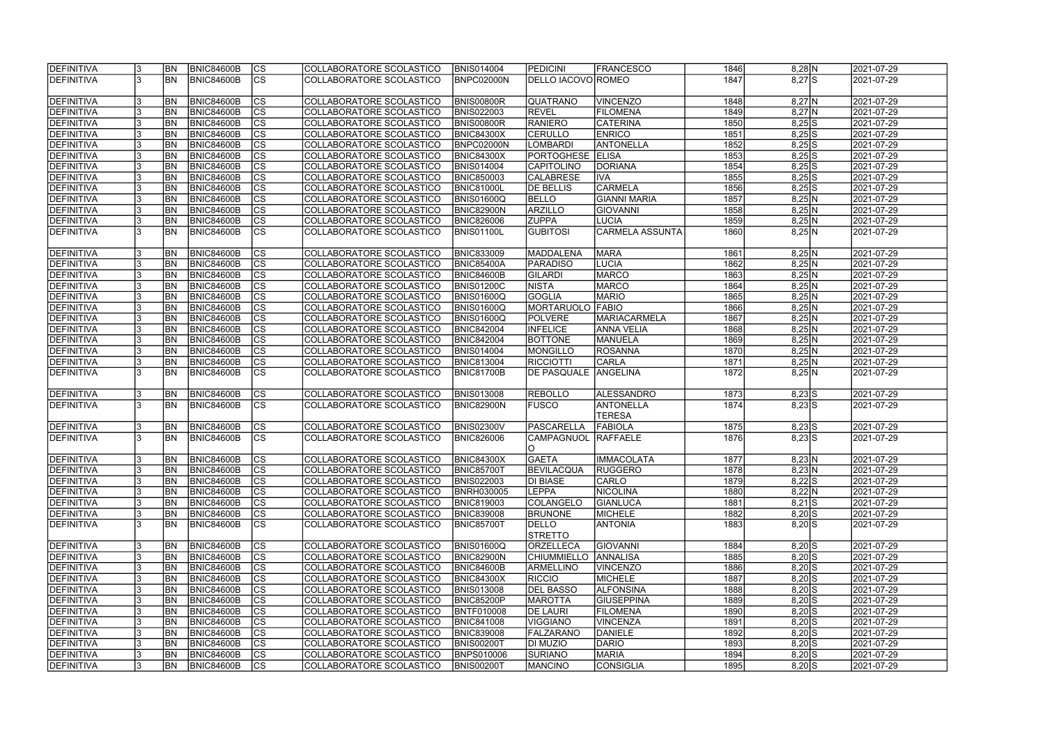| DEFINITIVA        |    | <b>BN</b>      | <b>BNIC84600B</b> | $ {\rm CS} $           | COLLABORATORE SCOLASTICO | <b>BNIS014004</b> | PEDICINI                | <b>FRANCESCO</b>                  | 1846 | $8,28$ N            | 2021-07-29 |
|-------------------|----|----------------|-------------------|------------------------|--------------------------|-------------------|-------------------------|-----------------------------------|------|---------------------|------------|
| <b>DEFINITIVA</b> |    | <b>BN</b>      | <b>BNIC84600B</b> | $\overline{c}$         | COLLABORATORE SCOLASTICO | BNPC02000N        | DELLO IACOVO ROMEO      |                                   | 1847 | $8,27$ S            | 2021-07-29 |
| DEFINITIVA        |    | <b>BN</b>      | <b>BNIC84600B</b> | cs                     | COLLABORATORE SCOLASTICO | <b>BNIS00800R</b> | <b>QUATRANO</b>         | <b>VINCENZO</b>                   | 1848 | $8,27$ N            | 2021-07-29 |
| <b>DEFINITIVA</b> |    | <b>BN</b>      | <b>BNIC84600B</b> | $\overline{c}$         | COLLABORATORE SCOLASTICO | <b>BNIS022003</b> | <b>REVEL</b>            | <b>FILOMENA</b>                   | 1849 | $8,27$ N            | 2021-07-29 |
| DEFINITIVA        |    | <b>BN</b>      | <b>BNIC84600B</b> | cs                     | COLLABORATORE SCOLASTICO | BNIS00800R        | <b>RANIERO</b>          | <b>CATERINA</b>                   | 1850 | $8,25$ S            | 2021-07-29 |
| <b>DEFINITIVA</b> |    | <b>BN</b>      | <b>BNIC84600B</b> | cs                     | COLLABORATORE SCOLASTICO | <b>BNIC84300X</b> | <b>CERULLO</b>          | <b>ENRICO</b>                     | 1851 | $8,25$ S            | 2021-07-29 |
| DEFINITIVA        |    | BN             | <b>BNIC84600B</b> | cs                     | COLLABORATORE SCOLASTICO | BNPC02000N        | <b>LOMBARDI</b>         | <b>ANTONELLA</b>                  | 1852 | $8,25$ S            | 2021-07-29 |
| DEFINITIVA        |    | <b>BN</b>      | <b>BNIC84600B</b> | cs                     | COLLABORATORE SCOLASTICO | <b>BNIC84300X</b> | <b>PORTOGHESE</b>       | <b>ELISA</b>                      | 1853 | $8,25$ S            | 2021-07-29 |
| DEFINITIVA        |    | <b>BN</b>      | <b>BNIC84600B</b> | cs                     | COLLABORATORE SCOLASTICO | <b>BNIS014004</b> | <b>CAPITOLINO</b>       | <b>DORIANA</b>                    | 1854 | $8,25$ S            | 2021-07-29 |
| DEFINITIVA        |    | <b>BN</b>      | <b>BNIC84600B</b> | $ {\rm CS} $           | COLLABORATORE SCOLASTICO | <b>BNIC850003</b> | <b>CALABRESE</b>        | <b>IVA</b>                        | 1855 | $8,25$ S            | 2021-07-29 |
| <b>DEFINITIVA</b> |    | <b>BN</b>      | <b>BNIC84600B</b> | cs                     | COLLABORATORE SCOLASTICO | <b>BNIC81000L</b> | <b>DE BELLIS</b>        | <b>CARMELA</b>                    | 1856 | $8,25$ S            | 2021-07-29 |
| DEFINITIVA        |    | <b>BN</b>      | <b>BNIC84600B</b> | cs                     | COLLABORATORE SCOLASTICO | <b>BNIS01600Q</b> | <b>BELLO</b>            | <b>GIANNI MARIA</b>               | 1857 | $8,25$ <sub>N</sub> | 2021-07-29 |
| DEFINITIVA        |    | <b>BN</b>      | <b>BNIC84600B</b> | cs                     | COLLABORATORE SCOLASTICO | BNIC82900N        | <b>ARZILLO</b>          | <b>GIOVANNI</b>                   | 1858 | $8,25$ N            | 2021-07-29 |
| DEFINITIVA        |    | <b>BN</b>      | <b>BNIC84600B</b> | cs                     | COLLABORATORE SCOLASTICO | <b>BNIC826006</b> | <b>ZUPPA</b>            | <b>LUCIA</b>                      | 1859 | $8,25$ <sub>N</sub> | 2021-07-29 |
| DEFINITIVA        |    | <b>BN</b>      | <b>BNIC84600B</b> | cs                     | COLLABORATORE SCOLASTICO | BNIS01100L        | <b>GUBITOSI</b>         | CARMELA ASSUNTA                   | 1860 | 8,25 N              | 2021-07-29 |
| DEFINITIVA        |    | <b>BN</b>      | <b>BNIC84600B</b> | $ {\rm CS} $           | COLLABORATORE SCOLASTICO | <b>BNIC833009</b> | MADDALENA               | <b>MARA</b>                       | 1861 | 8,25 N              | 2021-07-29 |
| DEFINITIVA        |    | <b>BN</b>      | <b>BNIC84600B</b> | cs                     | COLLABORATORE SCOLASTICO | <b>BNIC85400A</b> | <b>PARADISO</b>         | LUCIA                             | 1862 | $8,25$ N            | 2021-07-29 |
| DEFINITIVA        |    | BN             | <b>BNIC84600B</b> | cs                     | COLLABORATORE SCOLASTICO | BNIC84600B        | <b>GILARDI</b>          | <b>MARCO</b>                      | 1863 | $8,25$ N            | 2021-07-29 |
| <b>DEFINITIVA</b> |    | BN             | <b>BNIC84600B</b> | cs                     | COLLABORATORE SCOLASTICO | <b>BNIS01200C</b> | <b>NISTA</b>            | <b>MARCO</b>                      | 1864 | $8,25$ N            | 2021-07-29 |
| <b>DEFINITIVA</b> |    | BN             | <b>BNIC84600B</b> | cs                     | COLLABORATORE SCOLASTICO | BNIS01600Q        | <b>GOGLIA</b>           | <b>MARIO</b>                      | 1865 | $8,25$ N            | 2021-07-29 |
| DEFINITIVA        |    | <b>BN</b>      | <b>BNIC84600B</b> | cs                     | COLLABORATORE SCOLASTICO | BNIS01600Q        | MORTARUOLO              | FABIO                             | 1866 | $8,25$ N            | 2021-07-29 |
| <b>DEFINITIVA</b> |    | <b>BN</b>      | <b>BNIC84600B</b> | CS                     | COLLABORATORE SCOLASTICO | <b>BNIS01600Q</b> | <b>POLVERE</b>          | MARIACARMELA                      | 1867 | 8,25 N              | 2021-07-29 |
| DEFINITIVA        |    | BN             | <b>BNIC84600B</b> | cs                     | COLLABORATORE SCOLASTICO | <b>BNIC842004</b> | <b>INFELICE</b>         | <b>ANNA VELIA</b>                 | 1868 | 8,25 N              | 2021-07-29 |
| DEFINITIVA        |    | <b>BN</b>      | <b>BNIC84600B</b> | $ {\rm cs} $           | COLLABORATORE SCOLASTICO | <b>BNIC842004</b> | <b>BOTTONE</b>          | MANUELA                           | 1869 | 8,25 N              | 2021-07-29 |
| DEFINITIVA        |    | <b>BN</b>      | <b>BNIC84600B</b> | cs                     | COLLABORATORE SCOLASTICO | <b>BNIS014004</b> | <b>MONGILLO</b>         | <b>ROSANNA</b>                    | 1870 | 8,25 N              | 2021-07-29 |
| DEFINITIVA        |    | <b>BN</b>      | <b>BNIC84600B</b> | cs                     | COLLABORATORE SCOLASTICO | <b>BNIC813004</b> | <b>RICCIOTTI</b>        | <b>CARLA</b>                      | 1871 | 8,25 N              | 2021-07-29 |
| DEFINITIVA        |    | BN             | <b>BNIC84600B</b> | cs                     | COLLABORATORE SCOLASTICO | <b>BNIC81700B</b> | <b>DE PASQUALE</b>      | ANGELINA                          | 1872 | 8,25 N              | 2021-07-29 |
| DEFINITIVA        |    | <b>BN</b>      | <b>BNIC84600B</b> | CS                     | COLLABORATORE SCOLASTICO | <b>BNIS013008</b> | <b>REBOLLO</b>          | ALESSANDRO                        | 1873 | $8,23$ S            | 2021-07-29 |
| DEFINITIVA        |    | <b>BN</b>      | <b>BNIC84600B</b> | CS                     | COLLABORATORE SCOLASTICO | <b>BNIC82900N</b> | <b>FUSCO</b>            | <b>ANTONELLA</b><br><b>TERESA</b> | 1874 | $8,23$ S            | 2021-07-29 |
| DEFINITIVA        |    | <b>BN</b>      | <b>BNIC84600B</b> | $ {\rm CS} $           | COLLABORATORE SCOLASTICO | <b>BNIS02300V</b> | PASCARELLA              | <b>FABIOLA</b>                    | 1875 | $8,23$ S            | 2021-07-29 |
| DEFINITIVA        |    | <b>BN</b>      | BNIC84600B        | $\overline{\text{cs}}$ | COLLABORATORE SCOLASTICO | <b>BNIC826006</b> | CAMPAGNUOL<br>ΙO        | RAFFAELE                          | 1876 | $8,23$ S            | 2021-07-29 |
| <b>DEFINITIVA</b> |    | IBN            | BNIC84600B        | CS                     | COLLABORATORE SCOLASTICO | BNIC84300X        | <b>GAETA</b>            | <b>IMMACOLATA</b>                 | 1877 | 8,23 N              | 2021-07-29 |
| DEFINITIVA        |    | IBN            | <b>BNIC84600B</b> | $ {\rm CS}$            | COLLABORATORE SCOLASTICO | <b>BNIC85700T</b> | <b>BEVILACQUA</b>       | RUGGERO                           | 1878 | 8,23 N              | 2021-07-29 |
| DEFINITIVA        |    | IBN            | <b>BNIC84600B</b> | $ {\rm CS} $           | COLLABORATORE SCOLASTICO | <b>BNIS022003</b> | <b>DI BIASE</b>         | <b>CARLO</b>                      | 1879 | $8,22$ S            | 2021-07-29 |
| DEFINITIVA        |    | IBN            | <b>BNIC84600B</b> | <b>CS</b>              | COLLABORATORE SCOLASTICO | <b>BNRH030005</b> | <b>LEPPA</b>            | <b>NICOLINA</b>                   | 1880 | 8,22 N              | 2021-07-29 |
| DEFINITIVA        |    | <b>BN</b>      | <b>BNIC84600B</b> | $ {\rm CS} $           | COLLABORATORE SCOLASTICO | <b>BNIC819003</b> | <b>COLANGELO</b>        | GIANLUCA                          | 1881 | $8,21$ S            | 2021-07-29 |
| DEFINITIVA        |    | <b>BN</b>      | <b>BNIC84600B</b> | $ {\rm CS} $           | COLLABORATORE SCOLASTICO | <b>BNIC839008</b> | <b>BRUNONE</b>          | <b>MICHELE</b>                    | 1882 | $8,20$ S            | 2021-07-29 |
| DEFINITIVA        |    | <b>BN</b>      | <b>BNIC84600B</b> | <sub>Ics</sub>         | COLLABORATORE SCOLASTICO | <b>BNIC85700T</b> | DELLO<br><b>STRETTO</b> | <b>ANTONIA</b>                    | 1883 | $8,20$ S            | 2021-07-29 |
| DEFINITIVA        |    | BN <sub></sub> | <b>BNIC84600B</b> | $ {\rm cs} $           | COLLABORATORE SCOLASTICO | <b>BNIS01600Q</b> | <b>ORZELLECA</b>        | GIOVANNI                          | 1884 | $8,20$ S            | 2021-07-29 |
| DEFINITIVA        |    | <b>BN</b>      | <b>BNIC84600B</b> | cs                     | COLLABORATORE SCOLASTICO | <b>BNIC82900N</b> | <b>CHIUMMIELLO</b>      | <b>ANNALISA</b>                   | 1885 | $8,20$ S            | 2021-07-29 |
| DEFINITIVA        |    | <b>BN</b>      | <b>BNIC84600B</b> | cs                     | COLLABORATORE SCOLASTICO | <b>BNIC84600B</b> | <b>ARMELLINO</b>        | <b>VINCENZO</b>                   | 1886 | $8,20$ S            | 2021-07-29 |
| DEFINITIVA        |    | <b>BN</b>      | <b>BNIC84600B</b> | $ {\rm CS} $           | COLLABORATORE SCOLASTICO | <b>BNIC84300X</b> | <b>RICCIO</b>           | <b>MICHELE</b>                    | 1887 | $8,20$ S            | 2021-07-29 |
| DEFINITIVA        |    | <b>BN</b>      | <b>BNIC84600B</b> | $ {\rm CS} $           | COLLABORATORE SCOLASTICO | <b>BNIS013008</b> | <b>DEL BASSO</b>        | <b>ALFONSINA</b>                  | 1888 | $8,20$ S            | 2021-07-29 |
| DEFINITIVA        |    | <b>BN</b>      | <b>BNIC84600B</b> | $ {\rm CS} $           | COLLABORATORE SCOLASTICO | <b>BNIC85200P</b> | <b>MAROTTA</b>          | GIUSEPPINA                        | 1889 | $8,20$ S            | 2021-07-29 |
| DEFINITIVA        |    | <b>BN</b>      | <b>BNIC84600B</b> | $ {\rm CS} $           | COLLABORATORE SCOLASTICO | <b>BNTF010008</b> | <b>DE LAURI</b>         | <b>FILOMENA</b>                   | 1890 | $8,20$ S            | 2021-07-29 |
| DEFINITIVA        |    | <b>BN</b>      | <b>BNIC84600B</b> | $ {\rm CS} $           | COLLABORATORE SCOLASTICO | <b>BNIC841008</b> | VIGGIANO                | <b>VINCENZA</b>                   | 1891 | $8,20$ S            | 2021-07-29 |
| DEFINITIVA        |    | <b>BN</b>      | <b>BNIC84600B</b> | $ {\rm CS} $           | COLLABORATORE SCOLASTICO | <b>BNIC839008</b> | <b>FALZARANO</b>        | DANIELE                           | 1892 | $8,20$ S            | 2021-07-29 |
| DEFINITIVA        |    | <b>BN</b>      | <b>BNIC84600B</b> | $ {\rm CS} $           | COLLABORATORE SCOLASTICO | <b>BNIS00200T</b> | DI MUZIO                | DARIO                             | 1893 | $8,20$ S            | 2021-07-29 |
| <b>DEFINITIVA</b> |    | IBN            | <b>BNIC84600B</b> | $ {\rm CS} $           | COLLABORATORE SCOLASTICO | <b>BNPS010006</b> | <b>SURIANO</b>          | <b>MARIA</b>                      | 1894 | $8,20$ S            | 2021-07-29 |
| DEFINITIVA        | l3 | <b>BN</b>      | <b>BNIC84600B</b> | <sub>Ics</sub>         | COLLABORATORE SCOLASTICO | <b>BNIS00200T</b> | <b>MANCINO</b>          | CONSIGLIA                         | 1895 | $8,20$ S            | 2021-07-29 |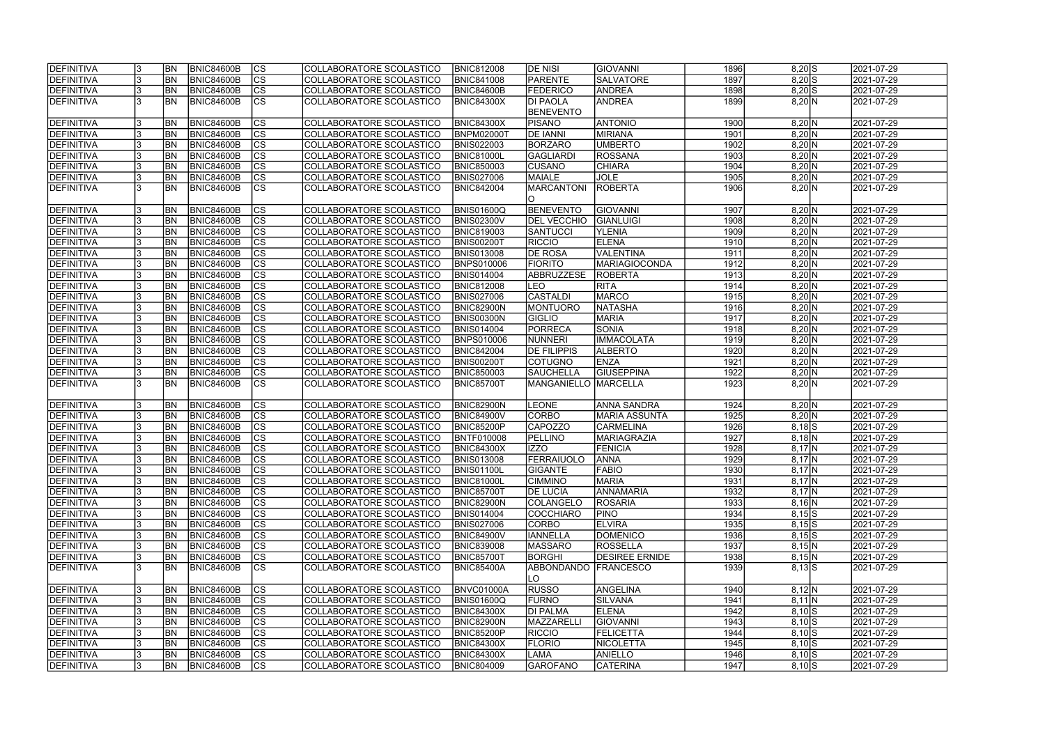| <b>IDEFINITIVA</b> | <b>BN</b> | BNIC84600B        | CS                       | COLLABORATORE SCOLASTICO | <b>BNIC812008</b> | <b>DE NISI</b>       | <b>GIOVANNI</b>       | 1896 | $8,20$ S               | 2021-07-29 |
|--------------------|-----------|-------------------|--------------------------|--------------------------|-------------------|----------------------|-----------------------|------|------------------------|------------|
| DEFINITIVA         | <b>BN</b> | <b>BNIC84600B</b> | cs                       | COLLABORATORE SCOLASTICO | <b>BNIC841008</b> | PARENTE              | <b>SALVATORE</b>      | 1897 | $8,20$ S               | 2021-07-29 |
| <b>DEFINITIVA</b>  | <b>BN</b> | <b>BNIC84600B</b> | $ \overline{\text{cs}} $ | COLLABORATORE SCOLASTICO | BNIC84600B        | <b>FEDERICO</b>      | <b>ANDREA</b>         | 1898 | $8,20$ S               | 2021-07-29 |
| <b>DEFINITIVA</b>  | <b>BN</b> | <b>BNIC84600B</b> | $\overline{\text{cs}}$   | COLLABORATORE SCOLASTICO | <b>BNIC84300X</b> | <b>DI PAOLA</b>      | <b>ANDREA</b>         | 1899 | 8,20 N                 | 2021-07-29 |
|                    |           |                   |                          |                          |                   | <b>BENEVENTO</b>     |                       |      |                        |            |
| <b>DEFINITIVA</b>  | BN        | <b>BNIC84600B</b> | <b>CS</b>                | COLLABORATORE SCOLASTICO | <b>BNIC84300X</b> | <b>PISANO</b>        | <b>ANTONIO</b>        | 1900 | 8,20 N                 | 2021-07-29 |
| <b>DEFINITIVA</b>  | <b>BN</b> | <b>BNIC84600B</b> | <b>CS</b>                | COLLABORATORE SCOLASTICO | <b>BNPM02000T</b> | <b>DE IANNI</b>      | <b>MIRIANA</b>        | 1901 | 8,20 N                 | 2021-07-29 |
| DEFINITIVA         | <b>BN</b> | <b>BNIC84600B</b> | $\overline{\text{CS}}$   | COLLABORATORE SCOLASTICO | <b>BNIS022003</b> | <b>BORZARO</b>       | <b>UMBERTO</b>        | 1902 | 8,20 N                 | 2021-07-29 |
| <b>DEFINITIVA</b>  | <b>BN</b> | <b>BNIC84600B</b> | $\overline{\text{CS}}$   | COLLABORATORE SCOLASTICO | <b>BNIC81000L</b> | <b>GAGLIARDI</b>     | ROSSANA               | 1903 | 8,20 N                 | 2021-07-29 |
| <b>DEFINITIVA</b>  | <b>BN</b> | <b>BNIC84600B</b> | cs                       | COLLABORATORE SCOLASTICO | <b>BNIC850003</b> | <b>CUSANO</b>        | <b>CHIARA</b>         | 1904 | 8,20 N                 | 2021-07-29 |
| <b>DEFINITIVA</b>  | <b>BN</b> | <b>BNIC84600B</b> | $\overline{\text{CS}}$   | COLLABORATORE SCOLASTICO | <b>BNIS027006</b> | MAIALE               | <b>JOLE</b>           | 1905 | 8,20 N                 | 2021-07-29 |
| DEFINITIVA         | <b>BN</b> | <b>BNIC84600B</b> | $\overline{\text{CS}}$   | COLLABORATORE SCOLASTICO | <b>BNIC842004</b> | <b>MARCANTONI</b>    | ROBERTA               | 1906 | 8,20 N                 | 2021-07-29 |
|                    |           |                   |                          |                          |                   | <sup>o</sup>         |                       |      |                        |            |
| DEFINITIVA         | <b>BN</b> | <b>BNIC84600B</b> | <b>CS</b>                | COLLABORATORE SCOLASTICO | <b>BNIS01600Q</b> | <b>BENEVENTO</b>     | <b>GIOVANNI</b>       | 1907 | 8,20 N                 | 2021-07-29 |
| <b>DEFINITIVA</b>  | <b>BN</b> | <b>BNIC84600B</b> | $\overline{\text{CS}}$   | COLLABORATORE SCOLASTICO | <b>BNIS02300V</b> | <b>DEL VECCHIO</b>   | GIANLUIGI             | 1908 | 8,20 N                 | 2021-07-29 |
| <b>DEFINITIVA</b>  | <b>BN</b> | <b>BNIC84600B</b> | $\overline{\text{CS}}$   |                          |                   | SANTUCCI             |                       | 1909 |                        |            |
|                    |           |                   |                          | COLLABORATORE SCOLASTICO | <b>BNIC819003</b> |                      | <b>YLENIA</b>         |      | 8,20 N                 | 2021-07-29 |
| DEFINITIVA         | <b>BN</b> | <b>BNIC84600B</b> | $\overline{\text{CS}}$   | COLLABORATORE SCOLASTICO | <b>BNIS00200T</b> | <b>RICCIO</b>        | <b>ELENA</b>          | 1910 | 8,20 N                 | 2021-07-29 |
| <b>DEFINITIVA</b>  | <b>BN</b> | <b>BNIC84600B</b> | CS                       | COLLABORATORE SCOLASTICO | <b>BNIS013008</b> | <b>DE ROSA</b>       | VALENTINA             | 1911 | 8,20 N                 | 2021-07-29 |
| DEFINITIVA         | <b>BN</b> | <b>BNIC84600B</b> | $\overline{\text{CS}}$   | COLLABORATORE SCOLASTICO | <b>BNPS010006</b> | <b>FIORITO</b>       | MARIAGIOCONDA         | 1912 | 8,20 N                 | 2021-07-29 |
| <b>DEFINITIVA</b>  | BN        | <b>BNIC84600B</b> | $\overline{\text{CS}}$   | COLLABORATORE SCOLASTICO | <b>BNIS014004</b> | ABBRUZZESE           | <b>ROBERTA</b>        | 1913 | 8,20 N                 | 2021-07-29 |
| DEFINITIVA         | <b>BN</b> | <b>BNIC84600B</b> | $\overline{\text{CS}}$   | COLLABORATORE SCOLASTICO | <b>BNIC812008</b> | <b>LEO</b>           | <b>RITA</b>           | 1914 | 8,20 N                 | 2021-07-29 |
| DEFINITIVA         | <b>BN</b> | <b>BNIC84600B</b> | CS                       | COLLABORATORE SCOLASTICO | <b>BNIS027006</b> | <b>CASTALDI</b>      | <b>MARCO</b>          | 1915 | 8,20 N                 | 2021-07-29 |
| <b>DEFINITIVA</b>  | <b>BN</b> | <b>BNIC84600B</b> | <b>CS</b>                | COLLABORATORE SCOLASTICO | BNIC82900N        | MONTUORO             | NATASHA               | 1916 | 8,20 N                 | 2021-07-29 |
| <b>DEFINITIVA</b>  | <b>BN</b> | <b>BNIC84600B</b> | <b>CS</b>                | COLLABORATORE SCOLASTICO | BNIS00300N        | <b>GIGLIO</b>        | <b>MARIA</b>          | 1917 | 8,20 N                 | 2021-07-29 |
| DEFINITIVA         | <b>BN</b> | <b>BNIC84600B</b> | $\overline{\text{CS}}$   | COLLABORATORE SCOLASTICO | <b>BNIS014004</b> | PORRECA              | SONIA                 | 1918 | 8,20 N                 | 2021-07-29 |
| <b>DEFINITIVA</b>  | <b>BN</b> | <b>BNIC84600B</b> | <b>CS</b>                | COLLABORATORE SCOLASTICO | <b>BNPS010006</b> | NUNNERI              | <b>IMMACOLATA</b>     | 1919 | 8,20 N                 | 2021-07-29 |
| DEFINITIVA         | <b>BN</b> | <b>BNIC84600B</b> | cs                       | COLLABORATORE SCOLASTICO | <b>BNIC842004</b> | <b>DE FILIPPIS</b>   | <b>ALBERTO</b>        | 1920 | 8,20 N                 | 2021-07-29 |
| <b>DEFINITIVA</b>  | <b>BN</b> | <b>BNIC84600B</b> | <b>CS</b>                | COLLABORATORE SCOLASTICO | <b>BNIS00200T</b> | <b>COTUGNO</b>       | <b>ENZA</b>           | 1921 | 8,20 N                 | 2021-07-29 |
| <b>DEFINITIVA</b>  | <b>BN</b> | <b>BNIC84600B</b> | cs                       | COLLABORATORE SCOLASTICO | <b>BNIC850003</b> | <b>SAUCHELLA</b>     | <b>GIUSEPPINA</b>     | 1922 | 8,20 N                 | 2021-07-29 |
| <b>DEFINITIVA</b>  | <b>BN</b> | <b>BNIC84600B</b> | <b>CS</b>                | COLLABORATORE SCOLASTICO | <b>BNIC85700T</b> | MANGANIELLO MARCELLA |                       | 1923 | 8,20 N                 | 2021-07-29 |
|                    |           |                   |                          |                          |                   |                      |                       |      |                        |            |
| <b>DEFINITIVA</b>  | <b>BN</b> | <b>BNIC84600B</b> | <b>CS</b>                | COLLABORATORE SCOLASTICO | <b>BNIC82900N</b> | <b>LEONE</b>         | ANNA SANDRA           | 1924 | 8,20 N                 | 2021-07-29 |
| <b>DEFINITIVA</b>  | <b>BN</b> | <b>BNIC84600B</b> | $\overline{\text{cs}}$   | COLLABORATORE SCOLASTICO | <b>BNIC84900V</b> | <b>CORBO</b>         | <b>MARIA ASSUNTA</b>  | 1925 | 8,20 N                 | 2021-07-29 |
| DEFINITIVA         | <b>BN</b> | <b>BNIC84600B</b> | $\overline{\text{CS}}$   | COLLABORATORE SCOLASTICO | <b>BNIC85200P</b> | CAPOZZO              | <b>CARMELINA</b>      | 1926 | $8,18$ $S$             | 2021-07-29 |
| DEFINITIVA         | <b>BN</b> | <b>BNIC84600B</b> | $\overline{\text{cs}}$   | COLLABORATORE SCOLASTICO | <b>BNTF010008</b> | PELLINO              | <b>MARIAGRAZIA</b>    | 1927 | $8,18$ N               | 2021-07-29 |
| DEFINITIVA         | <b>BN</b> | <b>BNIC84600B</b> | $\overline{\text{CS}}$   | COLLABORATORE SCOLASTICO | <b>BNIC84300X</b> | <b>IZZO</b>          | <b>FENICIA</b>        | 1928 | $8,17\overline{\rm N}$ | 2021-07-29 |
| <b>DEFINITIVA</b>  | <b>BN</b> | BNIC84600B        | CS                       | COLLABORATORE SCOLASTICO | <b>BNIS013008</b> | FERRAIUOLO           | ANNA                  | 1929 | $8,17$ N               | 2021-07-29 |
| DEFINITIVA         | <b>BN</b> | <b>BNIC84600B</b> | lcs                      | COLLABORATORE SCOLASTICO | <b>BNIS01100L</b> | <b>GIGANTE</b>       | <b>FABIO</b>          | 1930 | $8,17$ N               | 2021-07-29 |
| <b>DEFINITIVA</b>  | <b>BN</b> | BNIC84600B        | CS                       | COLLABORATORE SCOLASTICO | <b>BNIC81000L</b> | <b>CIMMINO</b>       | <b>MARIA</b>          | 1931 | $8,17$ N               | 2021-07-29 |
| <b>DEFINITIVA</b>  | <b>BN</b> | <b>BNIC84600B</b> | <b>CS</b>                | COLLABORATORE SCOLASTICO | <b>BNIC85700T</b> | <b>DE LUCIA</b>      | ANNAMARIA             | 1932 | $8,17$ N               | 2021-07-29 |
| DEFINITIVA         | <b>BN</b> | <b>BNIC84600B</b> | <b>CS</b>                | COLLABORATORE SCOLASTICO | <b>BNIC82900N</b> | <b>COLANGELO</b>     | <b>ROSARIA</b>        | 1933 | 8,16 N                 | 2021-07-29 |
| <b>DEFINITIVA</b>  | <b>BN</b> | <b>BNIC84600B</b> | CS                       | COLLABORATORE SCOLASTICO | <b>BNIS014004</b> | <b>COCCHIARO</b>     | <b>PINO</b>           | 1934 | $8,15$ $S$             | 2021-07-29 |
| DEFINITIVA         | <b>BN</b> | <b>BNIC84600B</b> | CS                       | COLLABORATORE SCOLASTICO | <b>BNIS027006</b> | CORBO                | <b>ELVIRA</b>         | 1935 | $8,15$ S               | 2021-07-29 |
| DEFINITIVA         | <b>BN</b> | BNIC84600B        | <b>CS</b>                | COLLABORATORE SCOLASTICO | <b>BNIC84900V</b> | <b>IANNELLA</b>      | DOMENICO              | 1936 | $8,15$ $S$             | 2021-07-29 |
| <b>DEFINITIVA</b>  | <b>BN</b> | BNIC84600B        | cs                       | COLLABORATORE SCOLASTICO | <b>BNIC839008</b> | <b>MASSARO</b>       | <b>ROSSELLA</b>       | 1937 | 8,15 N                 | 2021-07-29 |
| <b>DEFINITIVA</b>  | <b>BN</b> | BNIC84600B        | CS                       | COLLABORATORE SCOLASTICO | <b>BNIC85700T</b> | <b>BORGHI</b>        | <b>DESIREE ERNIDE</b> | 1938 | 8,15 N                 | 2021-07-29 |
| <b>DEFINITIVA</b>  | IBN.      | BNIC84600B        | <b>CS</b>                | COLLABORATORE SCOLASTICO | <b>BNIC85400A</b> | ABBONDANDO FRANCESCO |                       | 1939 | $8,13$ $S$             | 2021-07-29 |
|                    |           |                   |                          |                          |                   | LO.                  |                       |      |                        |            |
| <b>DEFINITIVA</b>  | <b>BN</b> | BNIC84600B        | <b>CS</b>                | COLLABORATORE SCOLASTICO | BNVC01000A        | <b>RUSSO</b>         | ANGELINA              | 1940 | 8,12 N                 | 2021-07-29 |
| DEFINITIVA         | <b>BN</b> | <b>BNIC84600B</b> | cs                       | COLLABORATORE SCOLASTICO | <b>BNIS01600Q</b> | <b>FURNO</b>         | SILVANA               | 1941 | $8,11$ N               | 2021-07-29 |
| <b>DEFINITIVA</b>  | <b>BN</b> | <b>BNIC84600B</b> | <b>CS</b>                | COLLABORATORE SCOLASTICO | <b>BNIC84300X</b> | <b>DI PALMA</b>      | <b>ELENA</b>          | 1942 | $8,10$ $S$             | 2021-07-29 |
| <b>DEFINITIVA</b>  | <b>BN</b> | <b>BNIC84600B</b> | CS                       | COLLABORATORE SCOLASTICO | <b>BNIC82900N</b> | MAZZARELLI           | <b>GIOVANNI</b>       | 1943 | $8,10$ S               | 2021-07-29 |
| <b>DEFINITIVA</b>  | <b>BN</b> | <b>BNIC84600B</b> | CS                       | COLLABORATORE SCOLASTICO | <b>BNIC85200P</b> | <b>RICCIO</b>        | <b>FELICETTA</b>      | 1944 | $8,10$ S               | 2021-07-29 |
| <b>DEFINITIVA</b>  | <b>BN</b> | <b>BNIC84600B</b> | <b>CS</b>                | COLLABORATORE SCOLASTICO | <b>BNIC84300X</b> | <b>FLORIO</b>        | <b>NICOLETTA</b>      | 1945 | $8,10$ $S$             | 2021-07-29 |
| <b>DEFINITIVA</b>  | IBN.      | BNIC84600B        | CS                       | COLLABORATORE SCOLASTICO | <b>BNIC84300X</b> | LAMA                 | <b>ANIELLO</b>        | 1946 | $8,10$ S               | 2021-07-29 |
| <b>DEFINITIVA</b>  | <b>BN</b> | <b>BNIC84600B</b> | lcs                      | COLLABORATORE SCOLASTICO | <b>BNIC804009</b> | <b>GAROFANO</b>      | <b>CATERINA</b>       | 1947 | $8,10$ S               | 2021-07-29 |
|                    |           |                   |                          |                          |                   |                      |                       |      |                        |            |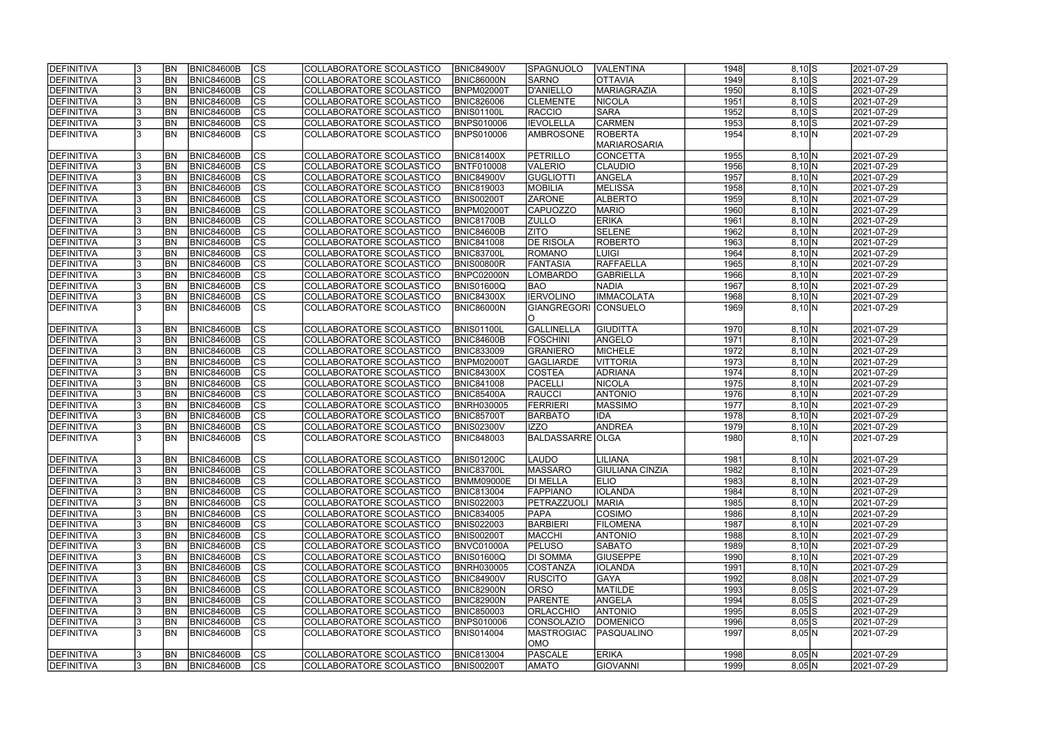| DEFINITIVA        |     | <b>BN</b>       | BNIC84600B        | $ {\rm CS} $           | COLLABORATORE SCOLASTICO | <b>BNIC84900V</b> | <b>SPAGNUOLO</b>        | <b>VALENTINA</b>       | 1948 | $8,10$ $S$  | 2021-07-29 |
|-------------------|-----|-----------------|-------------------|------------------------|--------------------------|-------------------|-------------------------|------------------------|------|-------------|------------|
| <b>DEFINITIVA</b> |     | <b>BN</b>       | <b>BNIC84600B</b> | $\overline{c}$         | COLLABORATORE SCOLASTICO | <b>BNIC86000N</b> | <b>SARNO</b>            | <b>OTTAVIA</b>         | 1949 | $8,10$ $S$  | 2021-07-29 |
| DEFINITIVA        |     | <b>BN</b>       | <b>BNIC84600B</b> | $\overline{c}$         | COLLABORATORE SCOLASTICO | <b>BNPM02000T</b> | D'ANIELLO               | MARIAGRAZIA            | 1950 | $8,10$ S    | 2021-07-29 |
| DEFINITIVA        |     | BN              | <b>BNIC84600B</b> | $\overline{c}$         | COLLABORATORE SCOLASTICO | <b>BNIC826006</b> | <b>CLEMENTE</b>         | NICOLA                 | 1951 | $8,10$ S    | 2021-07-29 |
| DEFINITIVA        |     | <b>BN</b>       | <b>BNIC84600B</b> | cs                     | COLLABORATORE SCOLASTICO | BNIS01100L        | RACCIO                  | <b>SARA</b>            | 1952 | $8,10$ S    | 2021-07-29 |
| DEFINITIVA        |     | BN              | <b>BNIC84600B</b> | cs                     | COLLABORATORE SCOLASTICO | <b>BNPS010006</b> | <b>IEVOLELLA</b>        | <b>CARMEN</b>          | 1953 | $8,10$ S    | 2021-07-29 |
| DEFINITIVA        |     | <b>BN</b>       | <b>BNIC84600B</b> | cs                     | COLLABORATORE SCOLASTICO | <b>BNPS010006</b> | <b>AMBROSONE</b>        | <b>ROBERTA</b>         | 1954 | 8,10 N      | 2021-07-29 |
|                   |     |                 |                   |                        |                          |                   |                         | MARIAROSARIA           |      |             |            |
| <b>DEFINITIVA</b> |     | <b>BN</b>       | <b>BNIC84600B</b> | CS                     | COLLABORATORE SCOLASTICO | <b>BNIC81400X</b> | PETRILLO                | CONCETTA               | 1955 | 8,10 N      | 2021-07-29 |
| DEFINITIVA        |     | BN              | <b>BNIC84600B</b> | cs                     | COLLABORATORE SCOLASTICO | <b>BNTF010008</b> | VALERIO                 | CLAUDIO                | 1956 | 8,10 N      | 2021-07-29 |
| DEFINITIVA        |     | <b>BN</b>       | <b>BNIC84600B</b> | cs                     | COLLABORATORE SCOLASTICO | <b>BNIC84900V</b> | <b>GUGLIOTTI</b>        | ANGELA                 | 1957 | 8,10 N      | 2021-07-29 |
| DEFINITIVA        |     | <b>BN</b>       | BNIC84600B        | cs                     | COLLABORATORE SCOLASTICO | <b>BNIC819003</b> | <b>MOBILIA</b>          | MELISSA                | 1958 | 8,10 N      | 2021-07-29 |
| DEFINITIVA        |     | <b>BN</b>       | <b>BNIC84600B</b> | $ {\rm CS} $           | COLLABORATORE SCOLASTICO | <b>BNIS00200T</b> | <b>ZARONE</b>           | <b>ALBERTO</b>         | 1959 | 8,10 N      | 2021-07-29 |
| DEFINITIVA        |     | <b>BN</b>       | <b>BNIC84600B</b> | cs                     | COLLABORATORE SCOLASTICO | <b>BNPM02000T</b> | <b>CAPUOZZO</b>         | <b>MARIO</b>           | 1960 | 8,10 N      | 2021-07-29 |
| DEFINITIVA        |     | <b>BN</b>       | <b>BNIC84600B</b> | cs                     | COLLABORATORE SCOLASTICO | <b>BNIC81700B</b> | <b>ZULLO</b>            | <b>ERIKA</b>           | 1961 | 8,10 N      | 2021-07-29 |
| DEFINITIVA        |     | <b>BN</b>       | <b>BNIC84600B</b> | cs                     | COLLABORATORE SCOLASTICO | <b>BNIC84600B</b> | <b>ZITO</b>             | SELENE                 | 1962 | 8,10 N      | 2021-07-29 |
| <b>DEFINITIVA</b> |     | <b>BN</b>       | <b>BNIC84600B</b> | cs                     | COLLABORATORE SCOLASTICO | <b>BNIC841008</b> | <b>DE RISOLA</b>        | <b>ROBERTO</b>         | 1963 | 8,10 N      | 2021-07-29 |
| DEFINITIVA        |     | <b>BN</b>       | <b>BNIC84600B</b> | cs                     | COLLABORATORE SCOLASTICO | BNIC83700L        | ROMANO                  | LUIGI                  | 1964 | 8,10 N      | 2021-07-29 |
| DEFINITIVA        |     | BN              | <b>BNIC84600B</b> | $ {\rm CS} $           | COLLABORATORE SCOLASTICO | BNIS00800R        | <b>FANTASIA</b>         | RAFFAELLA              | 1965 | 8,10 N      | 2021-07-29 |
| <b>DEFINITIVA</b> |     | BN              | <b>BNIC84600B</b> | cs                     | COLLABORATORE SCOLASTICO | BNPC02000N        | LOMBARDO                | <b>GABRIELLA</b>       | 1966 | 8,10 N      | 2021-07-29 |
| DEFINITIVA        |     | <b>BN</b>       | <b>BNIC84600B</b> | cs                     | COLLABORATORE SCOLASTICO | BNIS01600Q        | <b>BAO</b>              | <b>NADIA</b>           | 1967 | 8,10 N      | 2021-07-29 |
| DEFINITIVA        |     | BN              | <b>BNIC84600B</b> | $ {\rm cs} $           | COLLABORATORE SCOLASTICO | <b>BNIC84300X</b> | <b>IERVOLINO</b>        | <b>IMMACOLATA</b>      | 1968 | 8,10 N      | 2021-07-29 |
| DEFINITIVA        |     | BN              | <b>BNIC84600B</b> | <b>CS</b>              | COLLABORATORE SCOLASTICO | <b>BNIC86000N</b> | <b>GIANGREGORI</b>      | <b>CONSUELO</b>        | 1969 | 8,10 N      | 2021-07-29 |
|                   |     |                 |                   |                        |                          |                   | IO.                     |                        |      |             |            |
| DEFINITIVA        |     | <b>BN</b>       | <b>BNIC84600B</b> | $ {\rm cs} $           | COLLABORATORE SCOLASTICO | <b>BNIS01100L</b> | GALLINELLA              | <b>GIUDITTA</b>        | 1970 | 8,10 N      | 2021-07-29 |
| DEFINITIVA        |     | <b>BN</b>       | <b>BNIC84600B</b> | $ {\rm cs} $           | COLLABORATORE SCOLASTICO | <b>BNIC84600B</b> | <b>FOSCHINI</b>         | ANGELO                 | 1971 | 8,10 N      | 2021-07-29 |
| DEFINITIVA        |     | <b>BN</b>       | <b>BNIC84600B</b> | cs                     | COLLABORATORE SCOLASTICO | <b>BNIC833009</b> | GRANIERO                | MICHELE                | 1972 | 8,10 N      | 2021-07-29 |
| DEFINITIVA        |     | <b>BN</b>       | <b>BNIC84600B</b> | cs                     | COLLABORATORE SCOLASTICO | <b>BNPM02000T</b> | GAGLIARDE               | <b>VITTORIA</b>        | 1973 | 8,10 N      | 2021-07-29 |
| DEFINITIVA        |     | <b>BN</b>       | <b>BNIC84600B</b> | cs                     | COLLABORATORE SCOLASTICO | <b>BNIC84300X</b> | <b>COSTEA</b>           | <b>ADRIANA</b>         | 1974 | 8,10 N      | 2021-07-29 |
| DEFINITIVA        |     | <b>BN</b>       | <b>BNIC84600B</b> | cs                     | COLLABORATORE SCOLASTICO | <b>BNIC841008</b> | PACELLI                 | NICOLA                 | 1975 | 8,10 N      | 2021-07-29 |
| DEFINITIVA        |     | <b>BN</b>       | <b>BNIC84600B</b> | $\overline{\text{cs}}$ | COLLABORATORE SCOLASTICO | <b>BNIC85400A</b> | <b>RAUCCI</b>           | <b>ANTONIO</b>         | 1976 | 8,10 N      | 2021-07-29 |
| DEFINITIVA        |     | <b>BN</b>       | <b>BNIC84600B</b> | $\overline{c}$         | COLLABORATORE SCOLASTICO | <b>BNRH030005</b> | <b>FERRIERI</b>         | <b>MASSIMO</b>         | 1977 | 8,10 N      | 2021-07-29 |
| DEFINITIVA        |     | <b>BN</b>       | <b>BNIC84600B</b> | $\overline{c}$         | COLLABORATORE SCOLASTICO | <b>BNIC85700T</b> | <b>BARBATO</b>          | <b>IDA</b>             | 1978 | 8,10 N      | 2021-07-29 |
| DEFINITIVA        |     | <b>BN</b>       | <b>BNIC84600B</b> | cs                     | COLLABORATORE SCOLASTICO | <b>BNIS02300V</b> | <b>IZZO</b>             | <b>ANDREA</b>          | 1979 | 8,10 N      | 2021-07-29 |
| DEFINITIVA        |     | <b>BN</b>       | <b>BNIC84600B</b> | $\overline{\text{cs}}$ | COLLABORATORE SCOLASTICO | <b>BNIC848003</b> | <b>BALDASSARRE OLGA</b> |                        | 1980 | 8,10 N      | 2021-07-29 |
|                   |     |                 |                   |                        |                          |                   |                         |                        |      |             |            |
| <b>DEFINITIVA</b> | IJ  | $\overline{BN}$ | BNIC84600B        | CS                     | COLLABORATORE SCOLASTICO | <b>BNIS01200C</b> | LAUDO                   | <b>LILIANA</b>         | 1981 | $8,10 \, N$ | 2021-07-29 |
| DEFINITIVA        |     | <b>BN</b>       | BNIC84600B        | $ {\rm CS} $           | COLLABORATORE SCOLASTICO | <b>BNIC83700L</b> | <b>MASSARO</b>          | <b>GIULIANA CINZIA</b> | 1982 | 8,10 N      | 2021-07-29 |
| DEFINITIVA        |     | BN              | <b>BNIC84600B</b> | <sub>Ics</sub>         | COLLABORATORE SCOLASTICO | <b>BNMM09000E</b> | <b>DI MELLA</b>         | <b>ELIO</b>            | 1983 | 8,10 N      | 2021-07-29 |
| DEFINITIVA        |     | <b>BN</b>       | <b>BNIC84600B</b> | CS                     | COLLABORATORE SCOLASTICO | <b>BNIC813004</b> | <b>FAPPIANO</b>         | <b>IOLANDA</b>         | 1984 | 8,10 N      | 2021-07-29 |
| DEFINITIVA        | 13  | <b>BN</b>       | <b>BNIC84600B</b> | <sub>Ics</sub>         | COLLABORATORE SCOLASTICO | <b>BNIS022003</b> | <b>IPETRAZZUOLI</b>     | MARIA                  | 1985 | 8,10 N      | 2021-07-29 |
| DEFINITIVA        |     | <b>BN</b>       | <b>BNIC84600B</b> | $ {\rm CS} $           | COLLABORATORE SCOLASTICO | <b>BNIC834005</b> | <b>PAPA</b>             | COSIMO                 | 1986 | 8,10 N      | 2021-07-29 |
| DEFINITIVA        |     | <b>BN</b>       | <b>BNIC84600B</b> | cs                     | COLLABORATORE SCOLASTICO | <b>BNIS022003</b> | <b>BARBIERI</b>         | <b>FILOMENA</b>        | 1987 | 8,10 N      | 2021-07-29 |
| <b>DEFINITIVA</b> |     | <b>BN</b>       | <b>BNIC84600B</b> | CS                     | COLLABORATORE SCOLASTICO | <b>BNIS00200T</b> | <b>MACCHI</b>           | <b>ANTONIO</b>         | 1988 | 8,10 N      | 2021-07-29 |
| DEFINITIVA        |     | BN <sub></sub>  | <b>BNIC84600B</b> | cs                     | COLLABORATORE SCOLASTICO | BNVC01000A        | <b>PELUSO</b>           | SABATO                 | 1989 | 8,10 N      | 2021-07-29 |
| DEFINITIVA        |     | <b>BN</b>       | <b>BNIC84600B</b> | cs                     | COLLABORATORE SCOLASTICO | <b>BNIS01600Q</b> | <b>DI SOMMA</b>         | <b>GIUSEPPE</b>        | 1990 | 8,10 N      | 2021-07-29 |
| DEFINITIVA        |     | <b>BN</b>       | <b>BNIC84600B</b> | cs                     | COLLABORATORE SCOLASTICO | <b>BNRH030005</b> | COSTANZA                | <b>IOLANDA</b>         | 1991 | 8,10 N      | 2021-07-29 |
| DEFINITIVA        |     | <b>BN</b>       | <b>BNIC84600B</b> | cs                     | COLLABORATORE SCOLASTICO | <b>BNIC84900V</b> | <b>RUSCITO</b>          | <b>GAYA</b>            | 1992 | $8,08$ N    | 2021-07-29 |
| DEFINITIVA        |     | <b>BN</b>       | <b>BNIC84600B</b> | $ {\rm CS} $           | COLLABORATORE SCOLASTICO | <b>BNIC82900N</b> | <b>ORSO</b>             | MATILDE                | 1993 | $8,05$ $S$  | 2021-07-29 |
| DEFINITIVA        | 13  | <b>BN</b>       | <b>BNIC84600B</b> | cs                     | COLLABORATORE SCOLASTICO | <b>BNIC82900N</b> | PARENTE                 | ANGELA                 | 1994 | $8,05$ $S$  | 2021-07-29 |
| DEFINITIVA        |     | <b>BN</b>       | <b>BNIC84600B</b> | cs                     | COLLABORATORE SCOLASTICO | <b>BNIC850003</b> | <b>ORLACCHIO</b>        | <b>ANTONIO</b>         | 1995 | $8,05$ $S$  | 2021-07-29 |
| DEFINITIVA        |     | BN              | <b>BNIC84600B</b> | cs                     | COLLABORATORE SCOLASTICO | <b>BNPS010006</b> | CONSOLAZIO              | <b>DOMENICO</b>        | 1996 | $8,05$ $S$  | 2021-07-29 |
| DEFINITIVA        |     | BN              | <b>BNIC84600B</b> | <b>CS</b>              | COLLABORATORE SCOLASTICO | BNIS014004        | <b>MASTROGIAC</b>       | PASQUALINO             | 1997 | 8,05 N      | 2021-07-29 |
|                   |     |                 |                   |                        |                          |                   | OMO                     |                        |      |             |            |
| DEFINITIVA        |     | BN              | BNIC84600B        | <sub>Ics</sub>         | COLLABORATORE SCOLASTICO | <b>BNIC813004</b> | PASCALE                 | <b>ERIKA</b>           | 1998 | 8,05 N      | 2021-07-29 |
| DEFINITIVA        | 13. | <b>BN</b>       | <b>BNIC84600B</b> | <sub>Ics</sub>         | COLLABORATORE SCOLASTICO | <b>BNIS00200T</b> | <b>AMATO</b>            | <b>GIOVANNI</b>        | 1999 | 8,05 N      | 2021-07-29 |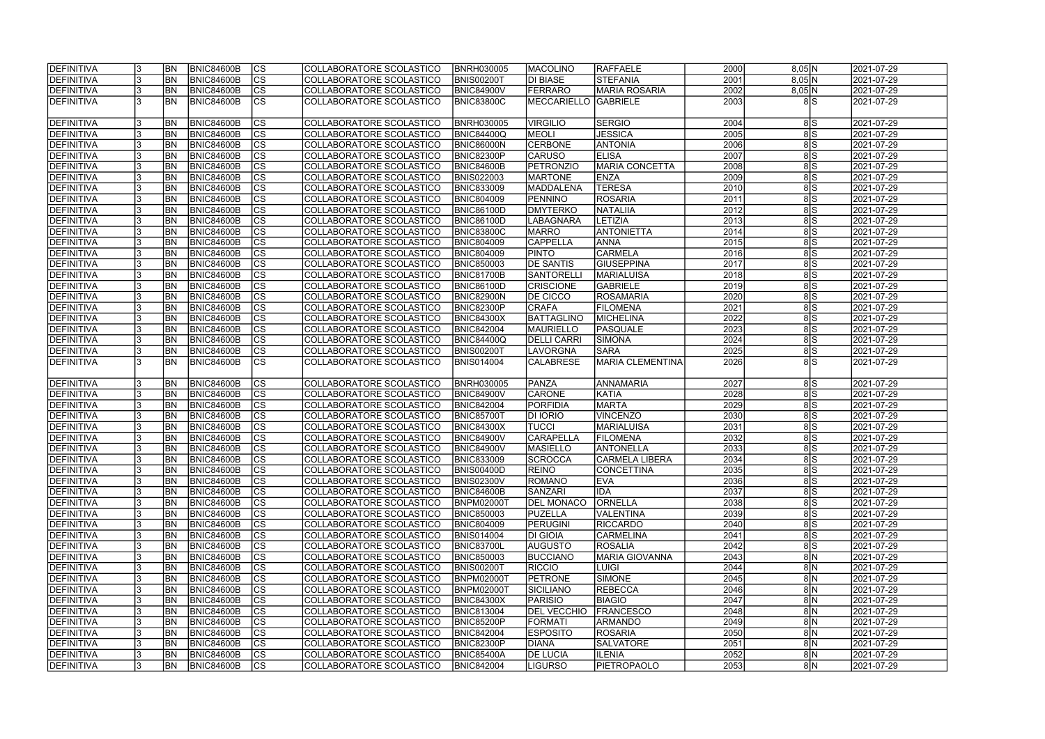| <b>DEFINITIVA</b> |     | <b>BN</b>      | <b>BNIC84600B</b> | $ {\rm CS} $           | COLLABORATORE SCOLASTICO | <b>BNRH030005</b> | <b>MACOLINO</b>    | RAFFAELE              | 2000 | 8,05 N              | 2021-07-29 |
|-------------------|-----|----------------|-------------------|------------------------|--------------------------|-------------------|--------------------|-----------------------|------|---------------------|------------|
| DEFINITIVA        |     | <b>BN</b>      | <b>BNIC84600B</b> | $\overline{c}$         | COLLABORATORE SCOLASTICO | <b>BNIS00200T</b> | <b>DI BIASE</b>    | STEFANIA              | 2001 | 8,05 N              | 2021-07-29 |
| DEFINITIVA        |     | <b>BN</b>      | <b>BNIC84600B</b> | $\overline{c}$         | COLLABORATORE SCOLASTICO | <b>BNIC84900V</b> | FERRARO            | <b>MARIA ROSARIA</b>  | 2002 | 8,05 N              | 2021-07-29 |
| DEFINITIVA        |     | BN             | <b>BNIC84600B</b> | $\overline{\text{cs}}$ | COLLABORATORE SCOLASTICO | <b>BNIC83800C</b> | MECCARIELLO        | <b>GABRIELE</b>       | 2003 | 8S                  | 2021-07-29 |
|                   |     |                |                   |                        |                          |                   |                    |                       |      |                     |            |
| DEFINITIVA        |     | BN             | <b>BNIC84600B</b> | <b>CS</b>              | COLLABORATORE SCOLASTICO | <b>BNRH030005</b> | <b>VIRGILIO</b>    | <b>SERGIO</b>         | 2004 | 8 S                 | 2021-07-29 |
| DEFINITIVA        |     | <b>BN</b>      | <b>BNIC84600B</b> | cs                     | COLLABORATORE SCOLASTICO | <b>BNIC84400Q</b> | MEOLI              | <b>JESSICA</b>        | 2005 | $\overline{8 S}$    | 2021-07-29 |
| DEFINITIVA        |     | <b>BN</b>      | <b>BNIC84600B</b> | cs                     | COLLABORATORE SCOLASTICO | <b>BNIC86000N</b> | <b>CERBONE</b>     | <b>ANTONIA</b>        | 2006 | $\overline{8 S}$    | 2021-07-29 |
| DEFINITIVA        |     | BN             | <b>BNIC84600B</b> | cs                     | COLLABORATORE SCOLASTICO | <b>BNIC82300P</b> | <b>CARUSO</b>      | <b>ELISA</b>          | 2007 | 8S                  | 2021-07-29 |
| DEFINITIVA        |     | <b>BN</b>      | <b>BNIC84600B</b> | cs                     | COLLABORATORE SCOLASTICO | BNIC84600B        | PETRONZIO          | <b>MARIA CONCETTA</b> | 2008 | 8S                  | 2021-07-29 |
| DEFINITIVA        |     | <b>BN</b>      | <b>BNIC84600B</b> | cs                     | COLLABORATORE SCOLASTICO | <b>BNIS022003</b> | <b>MARTONE</b>     | <b>ENZA</b>           | 2009 | 8S                  | 2021-07-29 |
| DEFINITIVA        |     | <b>BN</b>      | BNIC84600B        | $ {\rm cs} $           | COLLABORATORE SCOLASTICO | <b>BNIC833009</b> | MADDALENA          | <b>TERESA</b>         | 2010 | 8S                  | 2021-07-29 |
|                   |     |                |                   |                        |                          |                   |                    |                       | 2011 | 8S                  |            |
| DEFINITIVA        |     | <b>BN</b>      | <b>BNIC84600B</b> | $ {\rm CS} $           | COLLABORATORE SCOLASTICO | <b>BNIC804009</b> | PENNINO            | <b>ROSARIA</b>        |      |                     | 2021-07-29 |
| DEFINITIVA        |     | <b>BN</b>      | <b>BNIC84600B</b> | cs                     | COLLABORATORE SCOLASTICO | <b>BNIC86100D</b> | <b>DMYTERKO</b>    | NATALIIA              | 2012 | 8S                  | 2021-07-29 |
| DEFINITIVA        |     | <b>BN</b>      | <b>BNIC84600B</b> | cs                     | COLLABORATORE SCOLASTICO | <b>BNIC86100D</b> | <b>LABAGNARA</b>   | <b>LETIZIA</b>        | 2013 | 8S                  | 2021-07-29 |
| DEFINITIVA        |     | <b>BN</b>      | <b>BNIC84600B</b> | cs                     | COLLABORATORE SCOLASTICO | <b>BNIC83800C</b> | MARRO              | <b>ANTONIETTA</b>     | 2014 | 8S                  | 2021-07-29 |
| DEFINITIVA        |     | <b>BN</b>      | <b>BNIC84600B</b> | cs                     | COLLABORATORE SCOLASTICO | <b>BNIC804009</b> | <b>CAPPELLA</b>    | <b>ANNA</b>           | 2015 | $\sqrt{8}$          | 2021-07-29 |
| DEFINITIVA        |     | <b>BN</b>      | <b>BNIC84600B</b> | cs                     | COLLABORATORE SCOLASTICO | <b>BNIC804009</b> | <b>PINTO</b>       | <b>CARMELA</b>        | 2016 | 8S                  | 2021-07-29 |
| DEFINITIVA        |     | BN             | <b>BNIC84600B</b> | $ {\rm CS} $           | COLLABORATORE SCOLASTICO | <b>BNIC850003</b> | <b>DE SANTIS</b>   | <b>GIUSEPPINA</b>     | 2017 | 8S                  | 2021-07-29 |
| <b>DEFINITIVA</b> |     | BN             | <b>BNIC84600B</b> | cs                     | COLLABORATORE SCOLASTICO | BNIC81700B        | SANTORELLI         | <b>MARIALUISA</b>     | 2018 | 8S                  | 2021-07-29 |
| DEFINITIVA        |     | <b>BN</b>      | <b>BNIC84600B</b> | $ {\rm CS} $           | COLLABORATORE SCOLASTICO | <b>BNIC86100D</b> | <b>CRISCIONE</b>   | GABRIELE              | 2019 | 8S                  | 2021-07-29 |
| <b>DEFINITIVA</b> |     | BN             | <b>BNIC84600B</b> | <b>CS</b>              | COLLABORATORE SCOLASTICO | BNIC82900N        | <b>DE CICCO</b>    | ROSAMARIA             | 2020 | $\sqrt{8}$          | 2021-07-29 |
| DEFINITIVA        |     | BN             | <b>BNIC84600B</b> | <b>CS</b>              | COLLABORATORE SCOLASTICO | BNIC82300P        | <b>CRAFA</b>       | <b>FILOMENA</b>       | 2021 | $\sqrt{8}$          | 2021-07-29 |
| DEFINITIVA        |     | <b>BN</b>      | <b>BNIC84600B</b> | <b>CS</b>              | COLLABORATORE SCOLASTICO | <b>BNIC84300X</b> | BATTAGLINO         | MICHELINA             | 2022 | $\frac{8}{s}$       | 2021-07-29 |
| DEFINITIVA        |     | BN             | <b>BNIC84600B</b> | cs                     | COLLABORATORE SCOLASTICO | <b>BNIC842004</b> | <b>MAURIELLO</b>   | PASQUALE              | 2023 | $\sqrt{8}$          | 2021-07-29 |
| DEFINITIVA        |     | <b>BN</b>      | <b>BNIC84600B</b> | $ {\rm cs} $           | COLLABORATORE SCOLASTICO | <b>BNIC84400Q</b> | <b>DELLI CARRI</b> | SIMONA                | 2024 | 8 S                 | 2021-07-29 |
| DEFINITIVA        |     | <b>BN</b>      | <b>BNIC84600B</b> | cs                     | COLLABORATORE SCOLASTICO | <b>BNIS00200T</b> | <b>LAVORGNA</b>    | <b>SARA</b>           | 2025 | 8S                  | 2021-07-29 |
| DEFINITIVA        |     | <b>BN</b>      | <b>BNIC84600B</b> | <sub>lcs</sub>         | COLLABORATORE SCOLASTICO | <b>BNIS014004</b> | <b>CALABRESE</b>   | MARIA CLEMENTINA      | 2026 | 8S                  | 2021-07-29 |
|                   |     |                |                   |                        |                          |                   |                    |                       |      |                     |            |
| DEFINITIVA        |     | <b>BN</b>      | <b>BNIC84600B</b> | $ {\rm cs} $           | COLLABORATORE SCOLASTICO | <b>BNRH030005</b> | PANZA              | ANNAMARIA             | 2027 | 8 S                 | 2021-07-29 |
| DEFINITIVA        |     | <b>BN</b>      | <b>BNIC84600B</b> | cs                     | COLLABORATORE SCOLASTICO | <b>BNIC84900V</b> | <b>CARONE</b>      | KATIA                 | 2028 | $\overline{8}$ S    | 2021-07-29 |
| DEFINITIVA        |     | <b>BN</b>      | <b>BNIC84600B</b> | cs                     | COLLABORATORE SCOLASTICO | <b>BNIC842004</b> | PORFIDIA           | <b>MARTA</b>          | 2029 | $\overline{8}$ S    | 2021-07-29 |
| DEFINITIVA        |     | <b>BN</b>      | <b>BNIC84600B</b> | $\overline{c}$         | COLLABORATORE SCOLASTICO | <b>BNIC85700T</b> | <b>DI IORIO</b>    | VINCENZO              | 2030 | $\overline{8 S}$    | 2021-07-29 |
| DEFINITIVA        |     | <b>BN</b>      | <b>BNIC84600B</b> | cs                     | COLLABORATORE SCOLASTICO | <b>BNIC84300X</b> | <b>TUCCI</b>       | MARIALUISA            | 2031 | 8S                  | 2021-07-29 |
| DEFINITIVA        |     | <b>BN</b>      | <b>BNIC84600B</b> | $\overline{c}$         | COLLABORATORE SCOLASTICO | <b>BNIC84900V</b> | CARAPELLA          | <b>FILOMENA</b>       | 2032 | 8S                  | 2021-07-29 |
| DEFINITIVA        |     | <b>BN</b>      | <b>BNIC84600B</b> | cs                     | COLLABORATORE SCOLASTICO | <b>BNIC84900V</b> | <b>MASIELLO</b>    | ANTONELLA             | 2033 | 8S                  | 2021-07-29 |
| <b>DEFINITIVA</b> | IJ  | <b>BN</b>      | BNIC84600B        | CS                     | COLLABORATORE SCOLASTICO | <b>BNIC833009</b> | SCROCCA            | CARMELA LIBERA        | 2034 | 8 S                 | 2021-07-29 |
| DEFINITIVA        |     | BN             | BNIC84600B        | $ {\rm CS} $           | COLLABORATORE SCOLASTICO | <b>BNIS00400D</b> | <b>REINO</b>       | <b>CONCETTINA</b>     | 2035 | 8S                  | 2021-07-29 |
| DEFINITIVA        |     | BN             | <b>BNIC84600B</b> | <sub>Ics</sub>         | COLLABORATORE SCOLASTICO | <b>BNIS02300V</b> | ROMANO             | <b>EVA</b>            | 2036 | 8S                  | 2021-07-29 |
| DEFINITIVA        |     | BN             | <b>BNIC84600B</b> | <sub>Ics</sub>         | COLLABORATORE SCOLASTICO | <b>BNIC84600B</b> | <b>SANZARI</b>     | <b>IDA</b>            | 2037 | 8S                  | 2021-07-29 |
| DEFINITIVA        | 13  | <b>BN</b>      | <b>BNIC84600B</b> | <b>CS</b>              | COLLABORATORE SCOLASTICO | <b>BNPM02000T</b> | <b>DEL MONACO</b>  | <b>ORNELLA</b>        | 2038 | 8S                  | 2021-07-29 |
| DEFINITIVA        |     | <b>BN</b>      | <b>BNIC84600B</b> | $ {\rm CS} $           | COLLABORATORE SCOLASTICO | <b>BNIC850003</b> | <b>PUZELLA</b>     | VALENTINA             | 2039 | 8 S                 | 2021-07-29 |
| DEFINITIVA        |     | <b>BN</b>      | <b>BNIC84600B</b> | <b>CS</b>              | COLLABORATORE SCOLASTICO | <b>BNIC804009</b> | <b>PERUGINI</b>    | <b>RICCARDO</b>       | 2040 | 8 S                 | 2021-07-29 |
| <b>DEFINITIVA</b> |     | <b>BN</b>      | BNIC84600B        | <sub>Ics</sub>         | COLLABORATORE SCOLASTICO | <b>BNIS014004</b> | <b>DI GIOIA</b>    | <b>CARMELINA</b>      | 2041 | 8 S                 | 2021-07-29 |
| DEFINITIVA        |     | BN <sub></sub> | <b>BNIC84600B</b> | cs                     | COLLABORATORE SCOLASTICO | <b>BNIC83700L</b> | <b>AUGUSTO</b>     | <b>ROSALIA</b>        | 2042 | 8S                  | 2021-07-29 |
| DEFINITIVA        |     | BN <sub></sub> | BNIC84600B        | $ {\rm CS} $           | COLLABORATORE SCOLASTICO | <b>BNIC850003</b> | <b>BUCCIANO</b>    | <b>MARIA GIOVANNA</b> | 2043 | $8\vert N$          | 2021-07-29 |
| DEFINITIVA        |     | <b>BN</b>      | <b>BNIC84600B</b> | cs                     | COLLABORATORE SCOLASTICO | <b>BNIS00200T</b> | RICCIO             | LUIGI                 | 2044 | $8\vert N$          | 2021-07-29 |
| DEFINITIVA        |     | <b>BN</b>      | <b>BNIC84600B</b> | <sub>Ics</sub>         | COLLABORATORE SCOLASTICO | <b>BNPM02000T</b> | <b>PETRONE</b>     | SIMONE                | 2045 | 8 N                 | 2021-07-29 |
| DEFINITIVA        |     | <b>BN</b>      | <b>BNIC84600B</b> | $ {\rm CS} $           | COLLABORATORE SCOLASTICO | <b>BNPM02000T</b> | <b>SICILIANO</b>   | <b>REBECCA</b>        | 2046 | 8 N                 | 2021-07-29 |
|                   |     | <b>BN</b>      | <b>BNIC84600B</b> | $ {\rm CS} $           | COLLABORATORE SCOLASTICO |                   | <b>PARISIO</b>     | <b>BIAGIO</b>         | 2047 | $8\overline{\rm N}$ | 2021-07-29 |
| DEFINITIVA        |     |                |                   |                        |                          | <b>BNIC84300X</b> |                    |                       |      |                     |            |
| DEFINITIVA        |     | <b>BN</b>      | <b>BNIC84600B</b> | cs                     | COLLABORATORE SCOLASTICO | <b>BNIC813004</b> | <b>DEL VECCHIO</b> | <b>FRANCESCO</b>      | 2048 | $8\vert N$          | 2021-07-29 |
| DEFINITIVA        |     | BN             | <b>BNIC84600B</b> | cs                     | COLLABORATORE SCOLASTICO | <b>BNIC85200P</b> | <b>FORMATI</b>     | <b>ARMANDO</b>        | 2049 | $8\vert N$          | 2021-07-29 |
| <b>DEFINITIVA</b> |     | <b>BN</b>      | <b>BNIC84600B</b> | cs                     | COLLABORATORE SCOLASTICO | <b>BNIC842004</b> | <b>ESPOSITO</b>    | <b>ROSARIA</b>        | 2050 | 8 N                 | 2021-07-29 |
| DEFINITIVA        |     | <b>BN</b>      | <b>BNIC84600B</b> | <sub>Ics</sub>         | COLLABORATORE SCOLASTICO | <b>BNIC82300P</b> | <b>DIANA</b>       | <b>SALVATORE</b>      | 2051 | 8 N                 | 2021-07-29 |
| DEFINITIVA        |     | BN             | <b>BNIC84600B</b> | <b>CS</b>              | COLLABORATORE SCOLASTICO | <b>BNIC85400A</b> | <b>DE LUCIA</b>    | <b>ILENIA</b>         | 2052 | 8 N                 | 2021-07-29 |
| <b>DEFINITIVA</b> | 13. | <b>BN</b>      | BNIC84600B        | <sub>Ics</sub>         | COLLABORATORE SCOLASTICO | <b>BNIC842004</b> | LIGURSO            | PIETROPAOLO           | 2053 | 8 N                 | 2021-07-29 |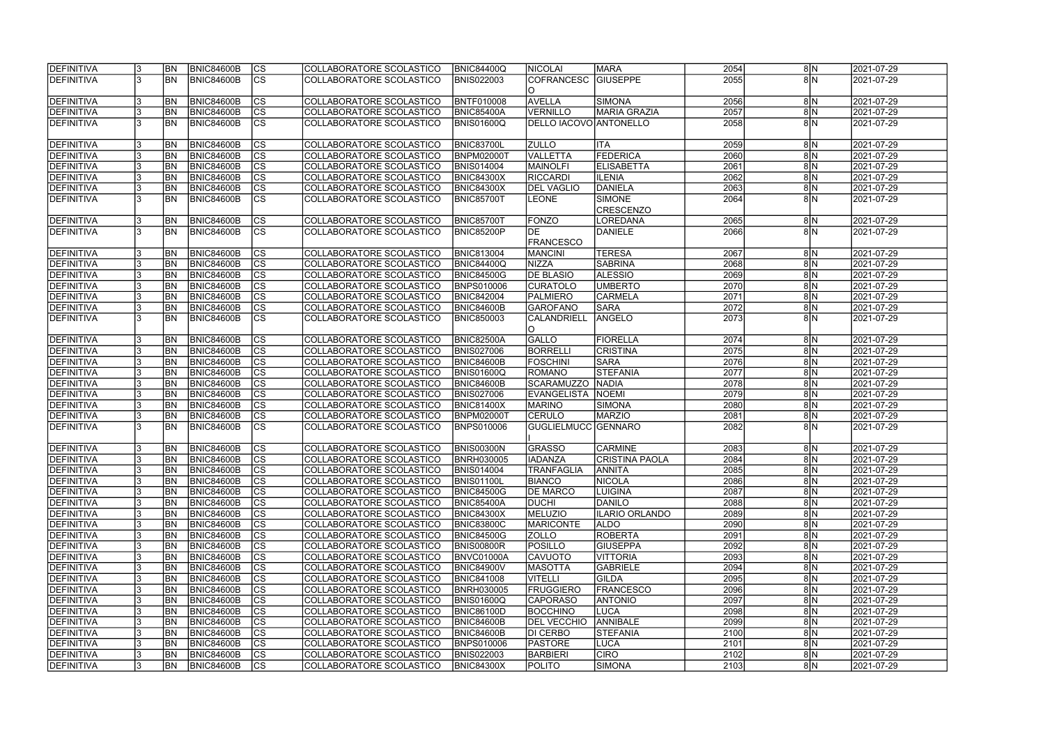| DEFINITIVA                      | <b>BN</b>              | <b>BNIC84600B</b>                      | CS                                               | COLLABORATORE SCOLASTICO                             | <b>BNIC84400Q</b>                      | <b>NICOLAI</b>                       | <b>MARA</b>                       | 2054         | 8 N                 | 2021-07-29               |
|---------------------------------|------------------------|----------------------------------------|--------------------------------------------------|------------------------------------------------------|----------------------------------------|--------------------------------------|-----------------------------------|--------------|---------------------|--------------------------|
| DEFINITIVA                      | <b>BN</b>              | <b>BNIC84600B</b>                      | $\overline{\text{CS}}$                           | COLLABORATORE SCOLASTICO                             | <b>BNIS022003</b>                      | <b>COFRANCESC</b><br>IO.             | <b>GIUSEPPE</b>                   | 2055         | 8 N                 | 2021-07-29               |
| DEFINITIVA                      | <b>BN</b>              | <b>BNIC84600B</b>                      | <b>CS</b>                                        | COLLABORATORE SCOLASTICO                             | BNTF010008                             | <b>AVELLA</b>                        | SIMONA                            | 2056         | 8 N                 | 2021-07-29               |
| <b>DEFINITIVA</b>               | <b>BN</b>              | <b>BNIC84600B</b>                      | $\overline{\text{CS}}$                           | COLLABORATORE SCOLASTICO                             | BNIC85400A                             | <b>VERNILLO</b>                      | MARIA GRAZIA                      | 2057         | 8 N                 | 2021-07-29               |
| DEFINITIVA                      | <b>BN</b>              | <b>BNIC84600B</b>                      | $\overline{\text{CS}}$                           | COLLABORATORE SCOLASTICO                             | BNIS01600Q                             | DELLO IACOVO ANTONELLO               |                                   | 2058         | 8 N                 | 2021-07-29               |
| DEFINITIVA                      | <b>BN</b>              | <b>BNIC84600B</b>                      | <b>CS</b>                                        | COLLABORATORE SCOLASTICO                             | <b>BNIC83700L</b>                      | <b>ZULLO</b>                         | <b>ITA</b>                        | 2059         | 8 N                 | 2021-07-29               |
| DEFINITIVA                      | BN                     | BNIC84600B                             | cs                                               | COLLABORATORE SCOLASTICO                             | <b>BNPM02000T</b>                      | <b>VALLETTA</b>                      | FEDERICA                          | 2060         | 8 N                 | 2021-07-29               |
| <b>DEFINITIVA</b>               | <b>BN</b>              | <b>BNIC84600B</b>                      | cs                                               | COLLABORATORE SCOLASTICO                             | <b>BNIS014004</b>                      | <b>MAINOLFI</b>                      | <b>ELISABETTA</b>                 | 2061         | 8 N                 | 2021-07-29               |
| DEFINITIVA                      | <b>BN</b>              | <b>BNIC84600B</b>                      | $ \overline{\text{CS}} $                         | COLLABORATORE SCOLASTICO                             | <b>BNIC84300X</b>                      | <b>RICCARDI</b>                      | <b>ILENIA</b>                     | 2062         | $8\vert N$          | 2021-07-29               |
| DEFINITIVA                      | <b>BN</b>              | <b>BNIC84600B</b>                      | cs                                               | COLLABORATORE SCOLASTICO                             | <b>BNIC84300X</b>                      | <b>DEL VAGLIO</b>                    | DANIELA                           | 2063         | $8\overline{\rm N}$ | 2021-07-29               |
| DEFINITIVA                      | <b>BN</b>              | BNIC84600B                             | $\overline{\text{CS}}$                           | COLLABORATORE SCOLASTICO                             | BNIC85700T                             | <b>LEONE</b>                         | <b>SIMONE</b><br><b>CRESCENZO</b> | 2064         | 8 N                 | 2021-07-29               |
| <b>DEFINITIVA</b>               | <b>BN</b>              | <b>BNIC84600B</b>                      | <b>CS</b>                                        | COLLABORATORE SCOLASTICO                             | <b>BNIC85700T</b>                      | FONZO                                | LOREDANA                          | 2065         | 8 N                 | 2021-07-29               |
| DEFINITIVA                      | <b>BN</b>              | <b>BNIC84600B</b>                      | $\overline{\text{cs}}$                           | COLLABORATORE SCOLASTICO                             | BNIC85200P                             | DE<br><b>FRANCESCO</b>               | <b>DANIELE</b>                    | 2066         | $8\overline{N}$     | 2021-07-29               |
| DEFINITIVA                      | <b>BN</b>              | <b>BNIC84600B</b>                      | CS                                               | COLLABORATORE SCOLASTICO                             | <b>BNIC813004</b>                      | MANCINI                              | <b>TERESA</b>                     | 2067         | 8 N                 | 2021-07-29               |
| <b>DEFINITIVA</b>               | <b>BN</b>              | <b>BNIC84600B</b>                      | $\overline{\text{CS}}$                           | COLLABORATORE SCOLASTICO                             | <b>BNIC84400Q</b>                      | NIZZA                                | SABRINA                           | 2068         | $8\vert N$          | 2021-07-29               |
| DEFINITIVA                      | <b>BN</b>              | <b>BNIC84600B</b>                      | $\overline{\text{CS}}$                           | COLLABORATORE SCOLASTICO                             | <b>BNIC84500G</b>                      | <b>DE BLASIO</b>                     | <b>ALESSIO</b>                    | 2069         | $8\vert N$          | 2021-07-29               |
| DEFINITIVA                      | <b>BN</b>              | <b>BNIC84600B</b>                      | CS                                               | COLLABORATORE SCOLASTICO                             | <b>BNPS010006</b>                      | <b>CURATOLO</b>                      | <b>UMBERTO</b>                    | 2070         | $8\vert N$          | 2021-07-29               |
| <b>DEFINITIVA</b>               | <b>BN</b>              | <b>BNIC84600B</b>                      | <b>CS</b>                                        | COLLABORATORE SCOLASTICO                             | <b>BNIC842004</b>                      | PALMIERO                             | <b>CARMELA</b>                    | 2071         | 8 N                 | 2021-07-29               |
| <b>DEFINITIVA</b>               | <b>BN</b>              | <b>BNIC84600B</b>                      | <b>CS</b>                                        | COLLABORATORE SCOLASTICO                             | BNIC84600B                             | <b>GAROFANO</b>                      | <b>SARA</b>                       | 2072         | 8 N                 | 2021-07-29               |
| <b>DEFINITIVA</b>               | <b>BN</b>              | <b>BNIC84600B</b>                      | $\overline{\text{CS}}$                           | COLLABORATORE SCOLASTICO                             | <b>BNIC850003</b>                      | CALANDRIELL<br>IO.                   | ANGELO                            | 2073         | 8 N                 | 2021-07-29               |
| DEFINITIVA                      | <b>BN</b>              | <b>BNIC84600B</b>                      | <b>CS</b>                                        | COLLABORATORE SCOLASTICO                             | BNIC82500A                             | GALLO                                | FIORELLA                          | 2074         | 8 N                 | 2021-07-29               |
| <b>DEFINITIVA</b>               | <b>BN</b>              | <b>BNIC84600B</b>                      | cs                                               | COLLABORATORE SCOLASTICO                             | <b>BNIS027006</b>                      | <b>BORRELLI</b>                      | <b>CRISTINA</b>                   | 2075         | $8\vert N$          | 2021-07-29               |
| DEFINITIVA                      | <b>BN</b>              | <b>BNIC84600B</b>                      | cs                                               | COLLABORATORE SCOLASTICO                             | BNIC84600B                             | <b>FOSCHINI</b>                      | <b>SARA</b>                       | 2076         | $8\vert N$          | 2021-07-29               |
| <b>DEFINITIVA</b>               | <b>BN</b>              | <b>BNIC84600B</b>                      | cs                                               | COLLABORATORE SCOLASTICO                             | <b>BNIS01600Q</b>                      | ROMANO                               | <b>STEFANIA</b>                   | 2077         | 8N                  | 2021-07-29               |
| DEFINITIVA                      | <b>BN</b>              | <b>BNIC84600B</b>                      | $\overline{\text{CS}}$                           | COLLABORATORE SCOLASTICO                             | BNIC84600B                             | SCARAMUZZO                           | <b>NADIA</b>                      | 2078         | $8\vert N$          | 2021-07-29               |
| <b>DEFINITIVA</b>               | BN                     | <b>BNIC84600B</b>                      | $\overline{\text{CS}}$                           | COLLABORATORE SCOLASTICO                             | <b>BNIS027006</b>                      | <b>EVANGELISTA</b>                   | <b>NOEMI</b>                      | 2079         | 8N                  | 2021-07-29               |
| DEFINITIVA                      | <b>BN</b>              | <b>BNIC84600B</b>                      | $\overline{\text{CS}}$                           | COLLABORATORE SCOLASTICO                             | <b>BNIC81400X</b>                      | <b>MARINO</b>                        | SIMONA                            | 2080         | 8N                  | 2021-07-29               |
| DEFINITIVA<br>DEFINITIVA        | <b>BN</b><br><b>BN</b> | <b>BNIC84600B</b><br><b>BNIC84600B</b> | $\overline{\text{CS}}$<br>$\overline{\text{cs}}$ | COLLABORATORE SCOLASTICO<br>COLLABORATORE SCOLASTICO | <b>BNPM02000T</b>                      | <b>CERULO</b><br>GUGLIELMUCC GENNARO | MARZIO                            | 2081<br>2082 | 8 N<br>$8\vert N$   | 2021-07-29<br>2021-07-29 |
|                                 |                        |                                        |                                                  |                                                      | <b>BNPS010006</b>                      |                                      |                                   |              |                     |                          |
| DEFINITIVA                      | <b>BN</b>              | BNIC84600B                             | CS                                               | COLLABORATORE SCOLASTICO                             | <b>BNIS00300N</b>                      | <b>GRASSO</b>                        | <b>CARMINE</b>                    | 2083         | 8 N                 | 2021-07-29               |
| <b>IDEFINITIVA</b>              | IBN I                  | BNIC84600B                             | CS                                               | COLLABORATORE SCOLASTICO_                            | <b>IBNRH030005</b>                     | <b>IIADANZA</b>                      | CRISTINA PAOLA                    | 2084         | 8 N                 | 2021-07-29               |
| <b>DEFINITIVA</b>               | <b>BN</b>              | BNIC84600B                             | CS                                               | COLLABORATORE SCOLASTICO                             | <b>BNIS014004</b>                      | <b>TRANFAGLIA</b>                    | <b>ANNITA</b>                     | 2085         | 8 N                 | 2021-07-29               |
| <b>DEFINITIVA</b>               | <b>BN</b>              | <b>BNIC84600B</b>                      | <b>CS</b>                                        | COLLABORATORE SCOLASTICO                             | <b>BNIS01100L</b>                      | <b>BIANCO</b>                        | <b>NICOLA</b>                     | 2086         | 8 N                 | 2021-07-29               |
| <b>DEFINITIVA</b>               | <b>BN</b>              | <b>BNIC84600B</b>                      | <b>CS</b>                                        | COLLABORATORE SCOLASTICO                             | <b>BNIC84500G</b>                      | <b>DE MARCO</b>                      | <b>LUIGINA</b>                    | 2087         | 8 N                 | 2021-07-29               |
| <b>DEFINITIVA</b>               | <b>BN</b>              | <b>BNIC84600B</b>                      | CS                                               | COLLABORATORE SCOLASTICO                             | <b>BNIC85400A</b>                      | <b>DUCHI</b>                         | DANILO<br><b>ILARIO ORLANDO</b>   | 2088         | 8 N                 | 2021-07-29               |
| DEFINITIVA                      | <b>BN</b><br><b>BN</b> | <b>BNIC84600B</b><br>BNIC84600B        | CS<br><b>CS</b>                                  | COLLABORATORE SCOLASTICO<br>COLLABORATORE SCOLASTICO | <b>BNIC84300X</b>                      | MELUZIO<br><b>MARICONTE</b>          | <b>ALDO</b>                       | 2089<br>2090 | 8 N                 | 2021-07-29               |
| <b>DEFINITIVA</b><br>DEFINITIVA | <b>BN</b>              | BNIC84600B                             | cs                                               |                                                      | <b>BNIC83800C</b>                      |                                      | <b>ROBERTA</b>                    | 2091         | 8 N<br>8 N          | 2021-07-29<br>2021-07-29 |
| <b>DEFINITIVA</b>               | <b>BN</b>              | <b>BNIC84600B</b>                      | CS                                               | COLLABORATORE SCOLASTICO<br>COLLABORATORE SCOLASTICO | <b>BNIC84500G</b><br><b>BNIS00800R</b> | <b>ZOLLO</b><br><b>POSILLO</b>       | <b>GIUSEPPA</b>                   | 2092         | 8 N                 | 2021-07-29               |
| <b>DEFINITIVA</b>               | <b>BN</b>              | <b>BNIC84600B</b>                      | cs                                               | COLLABORATORE SCOLASTICO                             | BNVC01000A                             | <b>CAVUOTO</b>                       | <b>VITTORIA</b>                   | 2093         | 8 N                 | 2021-07-29               |
| DEFINITIVA                      | <b>BN</b>              | BNIC84600B                             | <b>CS</b>                                        | COLLABORATORE SCOLASTICO                             | <b>BNIC84900V</b>                      | <b>MASOTTA</b>                       | <b>GABRIELE</b>                   | 2094         | 8 N                 | 2021-07-29               |
| <b>DEFINITIVA</b>               | <b>BN</b>              | <b>BNIC84600B</b>                      | $\overline{\text{CS}}$                           | COLLABORATORE SCOLASTICO                             | <b>BNIC841008</b>                      | <b>VITELLI</b>                       | <b>GILDA</b>                      | 2095         | 8 N                 | 2021-07-29               |
| <b>DEFINITIVA</b>               | <b>BN</b>              | <b>BNIC84600B</b>                      | cs                                               | COLLABORATORE SCOLASTICO                             | <b>BNRH030005</b>                      | FRUGGIERO                            | <b>FRANCESCO</b>                  | 2096         | 8 N                 | 2021-07-29               |
| <b>DEFINITIVA</b>               | <b>BN</b>              | <b>BNIC84600B</b>                      | <b>CS</b>                                        | COLLABORATORE SCOLASTICO                             | <b>BNIS01600Q</b>                      | <b>CAPORASO</b>                      | <b>ANTONIO</b>                    | 2097         | $8\vert N$          | 2021-07-29               |
| <b>DEFINITIVA</b>               | <b>BN</b>              | <b>BNIC84600B</b>                      | cs                                               | COLLABORATORE SCOLASTICO                             | <b>BNIC86100D</b>                      | <b>BOCCHINO</b>                      | LUCA                              | 2098         | $8\vert N$          | 2021-07-29               |
| <b>DEFINITIVA</b>               | IBN.                   | <b>BNIC84600B</b>                      | CS                                               | COLLABORATORE SCOLASTICO                             | <b>BNIC84600B</b>                      | <b>DEL VECCHIO</b>                   | <b>ANNIBALE</b>                   | 2099         | 8 N                 | 2021-07-29               |
| <b>DEFINITIVA</b>               | IBN.                   | <b>BNIC84600B</b>                      | <b>CS</b>                                        | COLLABORATORE SCOLASTICO                             | <b>BNIC84600B</b>                      | <b>DI CERBO</b>                      | <b>STEFANIA</b>                   | 2100         | 8 N                 | 2021-07-29               |
| <b>DEFINITIVA</b>               | IBN.                   | <b>BNIC84600B</b>                      | CS                                               | COLLABORATORE SCOLASTICO                             | <b>BNPS010006</b>                      | <b>PASTORE</b>                       | LUCA                              | 2101         | 8 N                 | 2021-07-29               |
| <b>DEFINITIVA</b>               | IBN.                   | <b>BNIC84600B</b>                      | <b>CS</b>                                        | COLLABORATORE SCOLASTICO                             | <b>BNIS022003</b>                      | <b>BARBIERI</b>                      | <b>CIRO</b>                       | 2102         | 8 N                 | 2021-07-29               |
| DEFINITIVA                      | <b>BN</b>              | <b>BNIC84600B</b>                      | CS                                               | COLLABORATORE SCOLASTICO                             | <b>BNIC84300X</b>                      | <b>POLITO</b>                        | SIMONA                            | 2103         | 8 N                 | 2021-07-29               |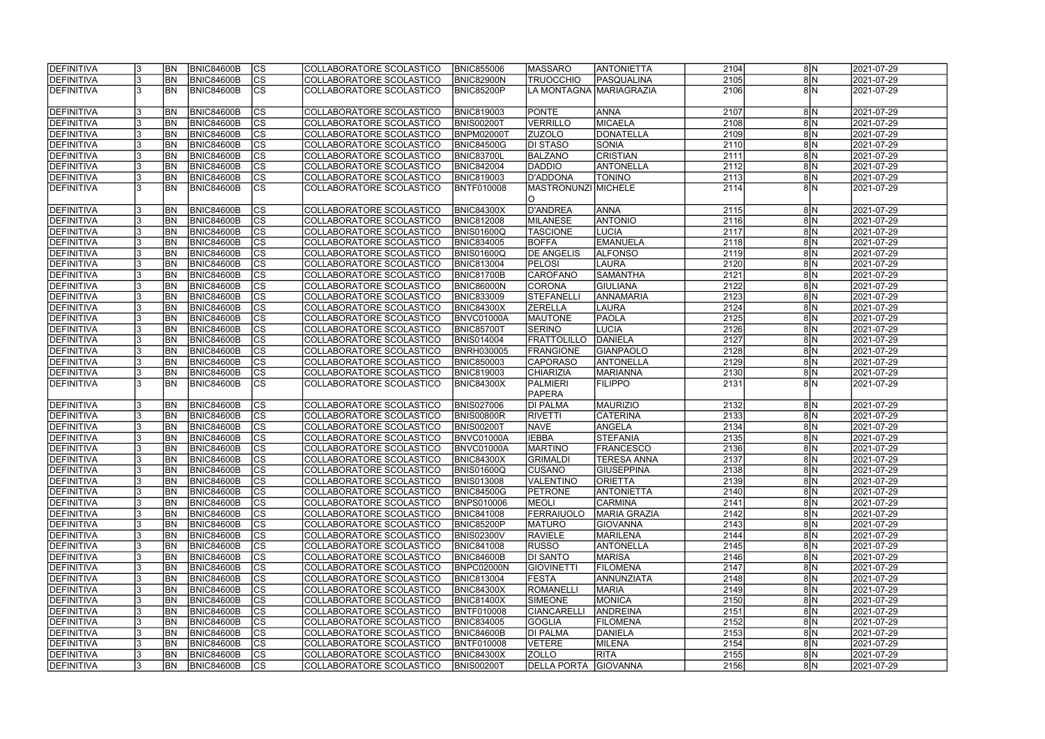| <b>DEFINITIVA</b> |     | <b>BN</b>      | <b>BNIC84600B</b> | <b>CS</b>                | COLLABORATORE SCOLASTICO | <b>BNIC855006</b> | <b>MASSARO</b>      | <b>ANTONIETTA</b>        | 2104 | 8 N                 | 2021-07-29              |
|-------------------|-----|----------------|-------------------|--------------------------|--------------------------|-------------------|---------------------|--------------------------|------|---------------------|-------------------------|
| <b>DEFINITIVA</b> |     | <b>BN</b>      | <b>BNIC84600B</b> | $\overline{\text{cs}}$   | COLLABORATORE SCOLASTICO | BNIC82900N        | <b>TRUOCCHIO</b>    | PASQUALINA               | 2105 | 8N                  | 2021-07-29              |
| DEFINITIVA        |     | <b>BN</b>      | <b>BNIC84600B</b> | cs                       | COLLABORATORE SCOLASTICO | <b>BNIC85200P</b> |                     | LA MONTAGNA  MARIAGRAZIA | 2106 | 8 <sub>N</sub>      | 2021-07-29              |
|                   |     |                |                   |                          |                          |                   |                     |                          |      |                     |                         |
| DEFINITIVA        |     | <b>BN</b>      | <b>BNIC84600B</b> | $\overline{\text{cs}}$   | COLLABORATORE SCOLASTICO | <b>BNIC819003</b> | <b>PONTE</b>        | <b>ANNA</b>              | 2107 | 8 N                 | 2021-07-29              |
| DEFINITIVA        |     | <b>BN</b>      | <b>BNIC84600B</b> | cs                       | COLLABORATORE SCOLASTICO | <b>BNIS00200T</b> | <b>VERRILLO</b>     | MICAELA                  | 2108 | 8N                  | 2021-07-29              |
| DEFINITIVA        |     | <b>BN</b>      | <b>BNIC84600B</b> | cs                       | COLLABORATORE SCOLASTICO | BNPM02000T        | <b>ZUZOLO</b>       | DONATELLA                | 2109 | 8N                  | 2021-07-29              |
| DEFINITIVA        |     | BN             | <b>BNIC84600B</b> | cs                       | COLLABORATORE SCOLASTICO | <b>BNIC84500G</b> | DI STASO            | <b>SONIA</b>             | 2110 | 8N                  | 2021-07-29              |
| DEFINITIVA        |     | <b>BN</b>      | <b>BNIC84600B</b> | cs                       | COLLABORATORE SCOLASTICO | BNIC83700L        | <b>BALZANO</b>      | <b>CRISTIAN</b>          | 2111 | 8 N                 | 2021-07-29              |
|                   |     | <b>BN</b>      |                   |                          |                          |                   |                     |                          |      |                     | $\sqrt{2021} - 07 - 29$ |
| DEFINITIVA        |     |                | <b>BNIC84600B</b> | cs                       | COLLABORATORE SCOLASTICO | <b>BNIC842004</b> | <b>DADDIO</b>       | <b>ANTONELLA</b>         | 2112 | 8 N                 |                         |
| DEFINITIVA        |     | <b>BN</b>      | BNIC84600B        | <b>CS</b>                | COLLABORATORE SCOLASTICO | <b>BNIC819003</b> | D'ADDONA            | <b>TONINO</b>            | 2113 | $8\vert N$          | 2021-07-29              |
| DEFINITIVA        |     | <b>BN</b>      | BNIC84600B        | <b>CS</b>                | COLLABORATORE SCOLASTICO | BNTF010008        | MASTRONUNZI MICHELE |                          | 2114 | $8\vert N$          | 2021-07-29              |
|                   |     |                |                   |                          |                          |                   |                     |                          |      |                     |                         |
| DEFINITIVA        |     | <b>BN</b>      | <b>BNIC84600B</b> | <b>CS</b>                | COLLABORATORE SCOLASTICO | <b>BNIC84300X</b> | <b>D'ANDREA</b>     | <b>ANNA</b>              | 2115 | $8\vert N$          | 2021-07-29              |
| DEFINITIVA        |     | <b>BN</b>      | <b>BNIC84600B</b> | $\overline{\text{cs}}$   | COLLABORATORE SCOLASTICO | <b>BNIC812008</b> | MILANESE            | <b>ANTONIO</b>           | 2116 | 8N                  | 2021-07-29              |
| DEFINITIVA        |     | <b>BN</b>      | <b>BNIC84600B</b> | $ \overline{\text{cs}} $ | COLLABORATORE SCOLASTICO | <b>BNIS01600Q</b> | <b>TASCIONE</b>     | <b>LUCIA</b>             | 2117 | $8\vert N$          | 2021-07-29              |
| DEFINITIVA        |     | <b>BN</b>      | BNIC84600B        | $\overline{\text{cs}}$   | COLLABORATORE SCOLASTICO | <b>BNIC834005</b> | <b>BOFFA</b>        | EMANUELA                 | 2118 | 8N                  | 2021-07-29              |
| <b>DEFINITIVA</b> |     | <b>BN</b>      | BNIC84600B        | $ \overline{\text{cs}} $ | COLLABORATORE SCOLASTICO | BNIS01600Q        | <b>DE ANGELIS</b>   | <b>ALFONSO</b>           | 2119 | $8\vert N$          | 2021-07-29              |
| DEFINITIVA        |     | <b>BN</b>      | <b>BNIC84600B</b> | $ \mathsf{CS} $          | COLLABORATORE SCOLASTICO | <b>BNIC813004</b> | <b>PELOSI</b>       | LAURA                    | 2120 | $8\vert N$          | 2021-07-29              |
| DEFINITIVA        |     | <b>BN</b>      | <b>BNIC84600B</b> | cs                       | COLLABORATORE SCOLASTICO | BNIC81700B        | CAROFANO            | <b>SAMANTHA</b>          | 2121 | $8\vert N$          | 2021-07-29              |
| DEFINITIVA        |     | <b>BN</b>      | BNIC84600B        | cs                       | COLLABORATORE SCOLASTICO | <b>BNIC86000N</b> | <b>CORONA</b>       | GIULIANA                 | 2122 | 8N                  | 2021-07-29              |
| DEFINITIVA        |     | <b>BN</b>      | <b>BNIC84600B</b> | cs                       | COLLABORATORE SCOLASTICO | <b>BNIC833009</b> | <b>STEFANELL</b>    | <b>ANNAMARIA</b>         | 2123 | $8\vert N$          | 2021-07-29              |
| DEFINITIVA        |     | <b>BN</b>      | <b>BNIC84600B</b> | CS                       | COLLABORATORE SCOLASTICO | <b>BNIC84300X</b> | <b>ZERELLA</b>      | <b>LAURA</b>             | 2124 | 8N                  | 2021-07-29              |
| DEFINITIVA        |     | <b>BN</b>      | <b>BNIC84600B</b> | <b>CS</b>                | COLLABORATORE SCOLASTICO | BNVC01000A        | <b>MAUTONE</b>      | <b>PAOLA</b>             | 2125 | 8 N                 | 2021-07-29              |
| DEFINITIVA        |     | <b>BN</b>      | <b>BNIC84600B</b> | cs                       | COLLABORATORE SCOLASTICO | <b>BNIC85700T</b> | <b>SERINO</b>       | <b>LUCIA</b>             | 2126 | $8\vert N$          | 2021-07-29              |
| DEFINITIVA        |     | <b>BN</b>      | <b>BNIC84600B</b> | <sub>cs</sub>            | COLLABORATORE SCOLASTICO | <b>BNIS014004</b> | <b>FRATTOLILLO</b>  | DANIELA                  | 2127 | 8 N                 | 2021-07-29              |
| DEFINITIVA        |     | <b>BN</b>      | <b>BNIC84600B</b> | cs                       | COLLABORATORE SCOLASTICO | <b>BNRH030005</b> | <b>FRANGIONE</b>    | GIANPAOLO                | 2128 | $8\vert N$          | 2021-07-29              |
| DEFINITIVA        |     | <b>BN</b>      | <b>BNIC84600B</b> | cs                       | COLLABORATORE SCOLASTICO | <b>BNIC850003</b> | <b>CAPORASO</b>     | <b>ANTONELLA</b>         | 2129 | 8 N                 | 2021-07-29              |
| DEFINITIVA        |     | <b>BN</b>      | <b>BNIC84600B</b> | cs                       | COLLABORATORE SCOLASTICO | <b>BNIC819003</b> | <b>CHIARIZIA</b>    | <b>MARIANNA</b>          | 2130 | $8\vert N$          | 2021-07-29              |
|                   |     |                |                   |                          |                          |                   |                     |                          |      | $8\vert N$          |                         |
| DEFINITIVA        |     | <b>BN</b>      | <b>BNIC84600B</b> | <b>CS</b>                | COLLABORATORE SCOLASTICO | <b>BNIC84300X</b> | <b>PALMIERI</b>     | <b>FILIPPO</b>           | 2131 |                     | 2021-07-29              |
|                   |     |                |                   |                          |                          |                   | <b>PAPERA</b>       |                          |      |                     |                         |
| DEFINITIVA        |     | <b>BN</b>      | <b>BNIC84600B</b> | cs                       | COLLABORATORE SCOLASTICO | <b>BNIS027006</b> | <b>DI PALMA</b>     | MAURIZIO                 | 2132 | 8 N                 | 2021-07-29              |
| DEFINITIVA        |     | <b>BN</b>      | <b>BNIC84600B</b> | $\overline{\text{cs}}$   | COLLABORATORE SCOLASTICO | BNIS00800R        | RIVETTI             | <b>CATERINA</b>          | 2133 | 8N                  | 2021-07-29              |
| DEFINITIVA        |     | <b>BN</b>      | <b>BNIC84600B</b> | cs                       | COLLABORATORE SCOLASTICO | <b>BNIS00200T</b> | <b>NAVE</b>         | ANGELA                   | 2134 | 8N                  | 2021-07-29              |
| DEFINITIVA        |     | <b>BN</b>      | <b>BNIC84600B</b> | $\overline{\text{cs}}$   | COLLABORATORE SCOLASTICO | BNVC01000A        | <b>IEBBA</b>        | <b>STEFANIA</b>          | 2135 | 8N                  | 2021-07-29              |
| DEFINITIVA        |     | <b>BN</b>      | <b>BNIC84600B</b> | cs                       | COLLABORATORE SCOLASTICO | BNVC01000A        | <b>MARTINO</b>      | <b>FRANCESCO</b>         | 2136 | 8N                  | 2021-07-29              |
| <b>DEFINITIVA</b> |     | <b>BN</b>      | BNIC84600B        | ျပၖ                      | COLLABORATORE SCOLASTICO | <b>BNIC84300X</b> | <b>GRIMALDI</b>     | <b>TERESA ANNA</b>       | 2137 | 8 N                 | 2021-07-29              |
| DEFINITIVA        |     | <b>BN</b>      | <b>BNIC84600B</b> | <b>CS</b>                | COLLABORATORE SCOLASTICO | <b>BNIS01600Q</b> | <b>CUSANO</b>       | <b>GIUSEPPINA</b>        | 2138 | 8N                  | 2021-07-29              |
| DEFINITIVA        |     | <b>BN</b>      | <b>BNIC84600B</b> | <b>CS</b>                | COLLABORATORE SCOLASTICO | <b>BNIS013008</b> | VALENTINO           | <b>ORIETTA</b>           | 2139 | 8 N                 | 2021-07-29              |
| DEFINITIVA        |     | <b>BN</b>      | <b>BNIC84600B</b> | <b>CS</b>                | COLLABORATORE SCOLASTICO | <b>BNIC84500G</b> | <b>PETRONE</b>      | <b>ANTONIETTA</b>        | 2140 | 8N                  | 2021-07-29              |
| DEFINITIVA        | 13. | <b>BN</b>      | <b>BNIC84600B</b> | <b>CS</b>                | COLLABORATORE SCOLASTICO | <b>BNPS010006</b> | <b>MEOLI</b>        | <b>CARMINA</b>           | 2141 | $8\vert N$          | 2021-07-29              |
| DEFINITIVA        |     | <b>BN</b>      | <b>BNIC84600B</b> | <b>CS</b>                | COLLABORATORE SCOLASTICO | <b>BNIC841008</b> | <b>FERRAIUOLO</b>   | MARIA GRAZIA             | 2142 | 8 N                 | 2021-07-29              |
| DEFINITIVA        |     | <b>BN</b>      | <b>BNIC84600B</b> | <b>CS</b>                | COLLABORATORE SCOLASTICO | <b>BNIC85200P</b> | <b>MATURO</b>       | <b>GIOVANNA</b>          | 2143 | 8 N                 | 2021-07-29              |
| DEFINITIVA        |     | <b>BN</b>      | <b>BNIC84600B</b> | CS                       | COLLABORATORE SCOLASTICO | <b>BNIS02300V</b> | <b>RAVIELE</b>      | MARILENA                 | 2144 | 8 N                 | 2021-07-29              |
| DEFINITIVA        |     | <b>BN</b>      | BNIC84600B        | cs                       | COLLABORATORE SCOLASTICO | <b>BNIC841008</b> | RUSSO               | <b>ANTONELLA</b>         | 2145 | 8 N                 | 2021-07-29              |
| DEFINITIVA        |     | <b>BN</b>      | <b>BNIC84600B</b> | cs                       | COLLABORATORE SCOLASTICO | <b>BNIC84600B</b> | DI SANTO            | <b>MARISA</b>            | 2146 | $8\vert N$          | 2021-07-29              |
| DEFINITIVA        |     | <b>BN</b>      | BNIC84600B        | cs                       | COLLABORATORE SCOLASTICO | BNPC02000N        | <b>GIOVINETTI</b>   | <b>FILOMENA</b>          | 2147 | $8\vert N$          | 2021-07-29              |
| DEFINITIVA        |     | <b>BN</b>      | <b>BNIC84600B</b> | cs                       | COLLABORATORE SCOLASTICO | <b>BNIC813004</b> | <b>FESTA</b>        | <b>ANNUNZIATA</b>        | 2148 | 8N                  | 2021-07-29              |
| DEFINITIVA        |     | <b>BN</b>      | <b>BNIC84600B</b> | cs                       | COLLABORATORE SCOLASTICO | <b>BNIC84300X</b> | <b>ROMANELLI</b>    | MARIA                    | 2149 | $8\overline{\rm N}$ | 2021-07-29              |
| DEFINITIVA        |     | <b>BN</b>      | <b>BNIC84600B</b> | cs                       | COLLABORATORE SCOLASTICO | <b>BNIC81400X</b> | <b>SIMEONE</b>      | MONICA                   | 2150 | $8\overline{\rm N}$ | 2021-07-29              |
| DEFINITIVA        |     | <b>BN</b>      | <b>BNIC84600B</b> | CS                       | COLLABORATORE SCOLASTICO | <b>BNTF010008</b> | <b>CIANCARELLI</b>  | <b>ANDREINA</b>          | 2151 | 8 N                 | 2021-07-29              |
| DEFINITIVA        |     | <b>BN</b>      | BNIC84600B        | CS                       | COLLABORATORE SCOLASTICO | <b>BNIC834005</b> | <b>GOGLIA</b>       | <b>FILOMENA</b>          | 2152 | $8\overline{\rm N}$ | 2021-07-29              |
|                   |     |                |                   | cs                       |                          |                   |                     |                          | 2153 |                     |                         |
| DEFINITIVA        |     | <b>BN</b>      | <b>BNIC84600B</b> |                          | COLLABORATORE SCOLASTICO | BNIC84600B        | <b>DI PALMA</b>     | DANIELA                  |      | 8 N                 | 2021-07-29              |
| DEFINITIVA        |     | BN             | <b>BNIC84600B</b> | <b>CS</b>                | COLLABORATORE SCOLASTICO | BNTF010008        | <b>VETERE</b>       | MILENA                   | 2154 | 8 N                 | 2021-07-29              |
| DEFINITIVA        |     | <b>BN</b>      | <b>BNIC84600B</b> | <b>CS</b>                | COLLABORATORE SCOLASTICO | <b>BNIC84300X</b> | ZOLLO               | <b>RITA</b>              | 2155 | 8 N                 | 2021-07-29              |
| DEFINITIVA        | 13. | BN <sub></sub> | <b>BNIC84600B</b> | <b>CS</b>                | COLLABORATORE SCOLASTICO | <b>BNIS00200T</b> | <b>DELLA PORTA</b>  | <b>GIOVANNA</b>          | 2156 | 8 N                 | 2021-07-29              |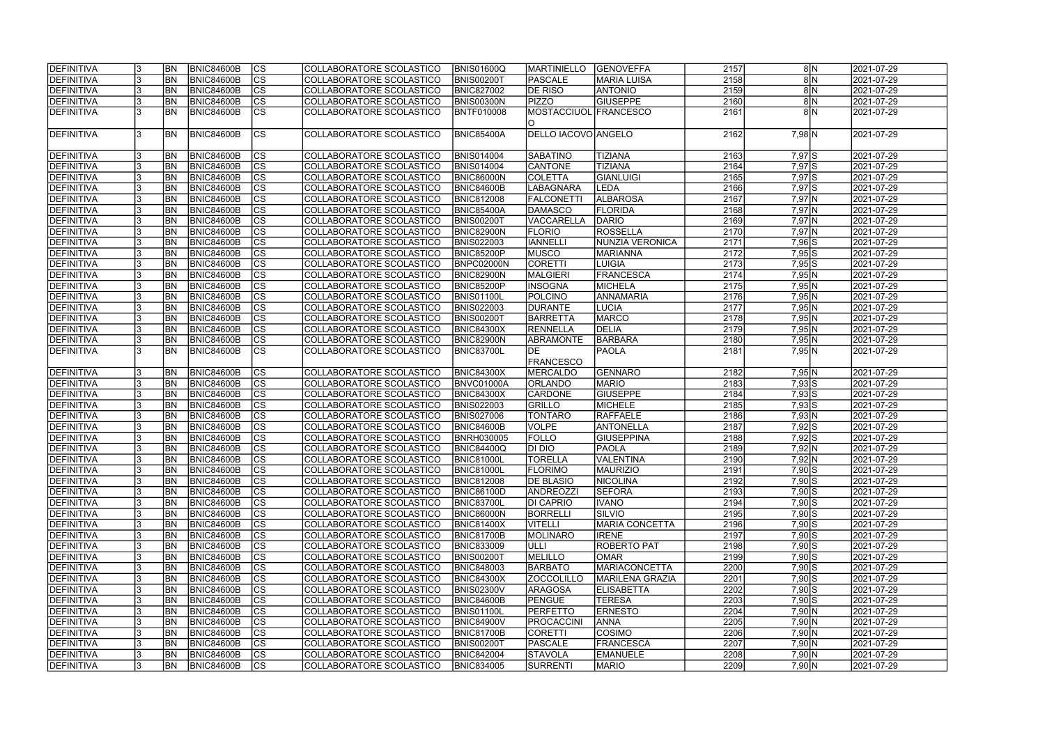| <b>IDEFINITIVA</b> |     | <b>BN</b>      | BNIC84600B        | lcs                      | COLLABORATORE SCOLASTICO | <b>BNIS01600Q</b> | MARTINIELLO           | <b>GENOVEFFA</b>      | 2157 | 8 N                             | 2021-07-29 |
|--------------------|-----|----------------|-------------------|--------------------------|--------------------------|-------------------|-----------------------|-----------------------|------|---------------------------------|------------|
| <b>DEFINITIVA</b>  |     | <b>BN</b>      | <b>BNIC84600B</b> | cs                       | COLLABORATORE SCOLASTICO | <b>BNIS00200T</b> | PASCALE               | MARIA LUISA           | 2158 | 8N                              | 2021-07-29 |
| DEFINITIVA         |     | <b>BN</b>      | <b>BNIC84600B</b> | $\overline{\text{cs}}$   | COLLABORATORE SCOLASTICO | <b>BNIC827002</b> | DE RISO               | <b>ANTONIO</b>        | 2159 | 8N                              | 2021-07-29 |
| DEFINITIVA         |     | <b>BN</b>      | <b>BNIC84600B</b> | $\overline{\text{CS}}$   | COLLABORATORE SCOLASTICO | <b>BNIS00300N</b> | <b>PIZZO</b>          | <b>GIUSEPPE</b>       | 2160 | 8N                              | 2021-07-29 |
| DEFINITIVA         |     | <b>BN</b>      | BNIC84600B        | $\overline{\text{CS}}$   | COLLABORATORE SCOLASTICO | BNTF010008        | MOSTACCIUOL FRANCESCO |                       | 2161 | 8 N                             | 2021-07-29 |
|                    |     |                |                   |                          |                          |                   | IO.                   |                       |      |                                 |            |
| DEFINITIVA         |     | <b>BN</b>      | <b>BNIC84600B</b> | <b>CS</b>                | COLLABORATORE SCOLASTICO | <b>BNIC85400A</b> | DELLO IACOVO ANGELO   |                       | 2162 | $7,98$ N                        | 2021-07-29 |
|                    |     |                |                   |                          |                          |                   |                       |                       |      |                                 |            |
| DEFINITIVA         |     | <b>BN</b>      | <b>BNIC84600B</b> | <b>CS</b>                | COLLABORATORE SCOLASTICO | <b>BNIS014004</b> | <b>SABATINO</b>       | <b>TIZIANA</b>        | 2163 | $7,97$ $S$                      | 2021-07-29 |
| DEFINITIVA         |     | BN             | <b>BNIC84600B</b> | cs                       | COLLABORATORE SCOLASTICO | <b>BNIS014004</b> | CANTONE               | <b>TIZIANA</b>        | 2164 | $7,97$ $S$                      | 2021-07-29 |
| DEFINITIVA         |     | <b>BN</b>      | <b>BNIC84600B</b> | cs                       | COLLABORATORE SCOLASTICO | <b>BNIC86000N</b> | <b>COLETTA</b>        | GIANLUIGI             | 2165 | $7,97$ $S$                      | 2021-07-29 |
| DEFINITIVA         |     | <b>BN</b>      | <b>BNIC84600B</b> | $ \overline{\text{cs}} $ | COLLABORATORE SCOLASTICO | <b>BNIC84600B</b> | <b>LABAGNARA</b>      | LEDA                  | 2166 | $7,97$ $S$                      | 2021-07-29 |
| DEFINITIVA         |     | <b>BN</b>      | <b>BNIC84600B</b> | $\overline{\text{cs}}$   | COLLABORATORE SCOLASTICO | <b>BNIC812008</b> | <b>FALCONETTI</b>     | <b>ALBAROSA</b>       | 2167 | $7,97$ N                        | 2021-07-29 |
| DEFINITIVA         |     | <b>BN</b>      | <b>BNIC84600B</b> | $\overline{\text{cs}}$   | COLLABORATORE SCOLASTICO | <b>BNIC85400A</b> | DAMASCO               | <b>FLORIDA</b>        | 2168 | $7,97$ N                        | 2021-07-29 |
| DEFINITIVA         |     | <b>BN</b>      | BNIC84600B        | $ \overline{\text{cs}} $ | COLLABORATORE SCOLASTICO | <b>BNIS00200T</b> | <b>VACCARELLA</b>     | DARIO                 | 2169 | $7,97$ N                        | 2021-07-29 |
|                    |     | <b>BN</b>      | <b>BNIC84600B</b> | $ \overline{\text{cs}} $ |                          |                   | <b>FLORIO</b>         | <b>ROSSELLA</b>       | 2170 |                                 |            |
| DEFINITIVA         |     |                |                   |                          | COLLABORATORE SCOLASTICO | <b>BNIC82900N</b> |                       | NUNZIA VERONICA       |      | $7,97$ N                        | 2021-07-29 |
| DEFINITIVA         |     | <b>BN</b>      | <b>BNIC84600B</b> | $\overline{\text{CS}}$   | COLLABORATORE SCOLASTICO | <b>BNIS022003</b> | <b>IANNELL</b>        |                       | 2171 | $7,96$ $S$                      | 2021-07-29 |
| DEFINITIVA         |     | BN             | BNIC84600B        | $ \mathsf{CS} $          | COLLABORATORE SCOLASTICO | <b>BNIC85200P</b> | <b>MUSCO</b>          | MARIANNA              | 2172 | $7,95$ S                        | 2021-07-29 |
| DEFINITIVA         |     | BN             | <b>BNIC84600B</b> | $ \overline{\text{cs}} $ | COLLABORATORE SCOLASTICO | BNPC02000N        | CORETTI               | <b>LUIGIA</b>         | 2173 | $7,95$ S                        | 2021-07-29 |
| DEFINITIVA         |     | BN             | BNIC84600B        | $\overline{\text{CS}}$   | COLLABORATORE SCOLASTICO | <b>BNIC82900N</b> | <b>MALGIERI</b>       | <b>FRANCESCA</b>      | 2174 | 7,95 N                          | 2021-07-29 |
| DEFINITIVA         |     | BN             | <b>BNIC84600B</b> | cs                       | COLLABORATORE SCOLASTICO | <b>BNIC85200P</b> | <b>INSOGNA</b>        | MICHELA               | 2175 | 7,95 N                          | 2021-07-29 |
| DEFINITIVA         |     | BN             | <b>BNIC84600B</b> | <b>CS</b>                | COLLABORATORE SCOLASTICO | <b>BNIS01100L</b> | <b>POLCINO</b>        | <b>ANNAMARIA</b>      | 2176 | 7,95 N                          | 2021-07-29 |
| DEFINITIVA         |     | <b>BN</b>      | BNIC84600B        | <b>CS</b>                | COLLABORATORE SCOLASTICO | <b>BNIS022003</b> | <b>DURANTE</b>        | LUCIA                 | 2177 | 7,95 N                          | 2021-07-29 |
| DEFINITIVA         |     | <b>BN</b>      | <b>BNIC84600B</b> | <b>CS</b>                | COLLABORATORE SCOLASTICO | <b>BNIS00200T</b> | BARRETTA              | <b>MARCO</b>          | 2178 | 7,95 N                          | 2021-07-29 |
| DEFINITIVA         |     | <b>BN</b>      | <b>BNIC84600B</b> | CS                       | COLLABORATORE SCOLASTICO | <b>BNIC84300X</b> | <b>RENNELLA</b>       | DELIA                 | 2179 | 7,95 N                          | 2021-07-29 |
| DEFINITIVA         |     | <b>BN</b>      | <b>BNIC84600B</b> | CS                       | COLLABORATORE SCOLASTICO | <b>BNIC82900N</b> | <b>ABRAMONTE</b>      | BARBARA               | 2180 | 7,95 N                          | 2021-07-29 |
| DEFINITIVA         |     | <b>BN</b>      | <b>BNIC84600B</b> | <b>CS</b>                | COLLABORATORE SCOLASTICO | <b>BNIC83700L</b> | IDE.                  | PAOLA                 | 2181 | 7,95 N                          | 2021-07-29 |
|                    |     |                |                   |                          |                          |                   | <b>FRANCESCO</b>      |                       |      |                                 |            |
| DEFINITIVA         |     | BN <sub></sub> | BNIC84600B        | CS                       | COLLABORATORE SCOLASTICO | <b>BNIC84300X</b> | MERCALDO              | GENNARO               | 2182 | 7,95 N                          | 2021-07-29 |
| DEFINITIVA         |     | <b>BN</b>      | <b>BNIC84600B</b> | cs                       | COLLABORATORE SCOLASTICO | BNVC01000A        | <b>ORLANDO</b>        | <b>MARIO</b>          | 2183 | $7,93$ S                        | 2021-07-29 |
| DEFINITIVA         |     | <b>BN</b>      | <b>BNIC84600B</b> | cs                       | COLLABORATORE SCOLASTICO | <b>BNIC84300X</b> | <b>CARDONE</b>        | <b>GIUSEPPE</b>       | 2184 | $7,93\overline{\smash{\big }S}$ | 2021-07-29 |
| DEFINITIVA         |     | <b>BN</b>      | <b>BNIC84600B</b> | cs                       | COLLABORATORE SCOLASTICO | <b>BNIS022003</b> | GRILLO                | MICHELE               | 2185 | $7,93$ $S$                      | 2021-07-29 |
| DEFINITIVA         |     | <b>BN</b>      | BNIC84600B        | $\overline{\text{cs}}$   | COLLABORATORE SCOLASTICO | <b>BNIS027006</b> | <b>TONTARO</b>        | RAFFAELE              | 2186 | 7,93 N                          | 2021-07-29 |
| DEFINITIVA         |     | <b>BN</b>      | <b>BNIC84600B</b> | cs                       | COLLABORATORE SCOLASTICO | <b>BNIC84600B</b> | VOLPE                 | <b>ANTONELLA</b>      | 2187 | $7,92$ S                        | 2021-07-29 |
| DEFINITIVA         |     | BN             | BNIC84600B        | $\overline{\text{cs}}$   | COLLABORATORE SCOLASTICO | BNRH030005        | <b>FOLLO</b>          | <b>GIUSEPPINA</b>     | 2188 | $7,92$ S                        | 2021-07-29 |
| DEFINITIVA         |     | <b>BN</b>      | BNIC84600B        | cs                       | COLLABORATORE SCOLASTICO | <b>BNIC84400Q</b> | DI DIO                | PAOLA                 | 2189 | 7,92 N                          | 2021-07-29 |
| <b>DEFINITIVA</b>  |     | <b>BN</b>      | <b>BNIC84600B</b> | CS                       | COLLABORATORE SCOLASTICO | <b>BNIC81000L</b> | <b>TORELLA</b>        | VALENTINA             | 2190 | 7,92 N                          | 2021-07-29 |
| DEFINITIVA         |     | BN <sub></sub> | <b>BNIC84600B</b> | <sub>lcs</sub>           | COLLABORATORE SCOLASTICO | <b>BNIC81000L</b> | <b>FLORIMO</b>        | <b>MAURIZIO</b>       | 2191 | $7,90$ S                        | 2021-07-29 |
| DEFINITIVA         |     | <b>BN</b>      | <b>BNIC84600B</b> | <sub>lcs</sub>           | COLLABORATORE SCOLASTICO | <b>BNIC812008</b> | <b>DE BLASIO</b>      | NICOLINA              | 2192 | $7,90\overline{S}$              | 2021-07-29 |
| DEFINITIVA         |     | BN <sub></sub> | <b>BNIC84600B</b> | CS                       | COLLABORATORE SCOLASTICO | <b>BNIC86100D</b> | ANDREOZZI             | <b>SEFORA</b>         | 2193 | $7,90\overline{S}$              | 2021-07-29 |
| DEFINITIVA         |     | <b>BN</b>      | <b>BNIC84600B</b> | lcs                      | COLLABORATORE SCOLASTICO | <b>BNIC83700L</b> | <b>DI CAPRIO</b>      | <b>IVANO</b>          | 2194 | $7,90$ $S$                      | 2021-07-29 |
| DEFINITIVA         |     | <b>BN</b>      | <b>BNIC84600B</b> | CS                       | COLLABORATORE SCOLASTICO | <b>BNIC86000N</b> | <b>BORRELLI</b>       | <b>SILVIO</b>         | 2195 | $7,90$ S                        | 2021-07-29 |
| DEFINITIVA         |     | <b>BN</b>      | <b>BNIC84600B</b> | <b>CS</b>                | COLLABORATORE SCOLASTICO | <b>BNIC81400X</b> | <b>VITELLI</b>        | <b>MARIA CONCETTA</b> | 2196 | $7,90$ S                        | 2021-07-29 |
| DEFINITIVA         |     | <b>BN</b>      | BNIC84600B        | <b>CS</b>                | COLLABORATORE SCOLASTICO | <b>BNIC81700B</b> | <b>MOLINARO</b>       | <b>IRENE</b>          | 2197 | $7,90$ S                        | 2021-07-29 |
| DEFINITIVA         |     | <b>BN</b>      | <b>BNIC84600B</b> | cs                       | COLLABORATORE SCOLASTICO | <b>BNIC833009</b> | <b>JULLI</b>          | ROBERTO PAT           | 2198 | $7,90$ S                        | 2021-07-29 |
| DEFINITIVA         |     | <b>BN</b>      | <b>BNIC84600B</b> | <sub>lcs</sub>           | COLLABORATORE SCOLASTICO | <b>BNIS00200T</b> | MELILLO               | <b>OMAR</b>           | 2199 | $7,90$ S                        | 2021-07-29 |
| DEFINITIVA         |     | <b>BN</b>      | <b>BNIC84600B</b> | cs                       | COLLABORATORE SCOLASTICO | <b>BNIC848003</b> | <b>BARBATO</b>        | <b>MARIACONCETTA</b>  | 2200 | $7,90$ S                        | 2021-07-29 |
| DEFINITIVA         |     | <b>BN</b>      | <b>BNIC84600B</b> | cs                       | COLLABORATORE SCOLASTICO | <b>BNIC84300X</b> | <b>ZOCCOLILLO</b>     | MARILENA GRAZIA       | 2201 | $7,90$ S                        | 2021-07-29 |
| DEFINITIVA         |     | <b>BN</b>      | <b>BNIC84600B</b> | cs                       | COLLABORATORE SCOLASTICO | <b>BNIS02300V</b> | <b>ARAGOSA</b>        | <b>ELISABETTA</b>     | 2202 | $7,90$ S                        | 2021-07-29 |
|                    |     |                |                   |                          |                          |                   |                       |                       |      |                                 |            |
| DEFINITIVA         |     | <b>BN</b>      | BNIC84600B        | cs                       | COLLABORATORE SCOLASTICO | <b>BNIC84600B</b> | PENGUE                | <b>TERESA</b>         | 2203 | $7,90$ S                        | 2021-07-29 |
| DEFINITIVA         |     | <b>BN</b>      | <b>BNIC84600B</b> | <b>CS</b>                | COLLABORATORE SCOLASTICO | <b>BNIS01100L</b> | PERFETTO              | <b>ERNESTO</b>        | 2204 | $7,90 \ N$                      | 2021-07-29 |
| DEFINITIVA         |     | <b>BN</b>      | BNIC84600B        | <b>CS</b>                | COLLABORATORE SCOLASTICO | <b>BNIC84900V</b> | <b>PROCACCINI</b>     | <b>ANNA</b>           | 2205 | $7,90 \ N$                      | 2021-07-29 |
| DEFINITIVA         |     | <b>BN</b>      | BNIC84600B        | <b>CS</b>                | COLLABORATORE SCOLASTICO | <b>BNIC81700B</b> | CORETTI               | COSIMO                | 2206 | $7,90 \ N$                      | 2021-07-29 |
| DEFINITIVA         |     | BN             | <b>BNIC84600B</b> | <b>CS</b>                | COLLABORATORE SCOLASTICO | <b>BNIS00200T</b> | <b>PASCALE</b>        | <b>FRANCESCA</b>      | 2207 | $7,90 \ N$                      | 2021-07-29 |
| DEFINITIVA         |     | <b>BN</b>      | <b>BNIC84600B</b> | <b>CS</b>                | COLLABORATORE SCOLASTICO | <b>BNIC842004</b> | <b>STAVOLA</b>        | EMANUELE              | 2208 | $7,90 \ N$                      | 2021-07-29 |
| DEFINITIVA         | 13. | BN <sub></sub> | <b>BNIC84600B</b> | $ {\rm cs} $             | COLLABORATORE SCOLASTICO | <b>BNIC834005</b> | SURRENTI              | <b>MARIO</b>          | 2209 | $7,90 \ N$                      | 2021-07-29 |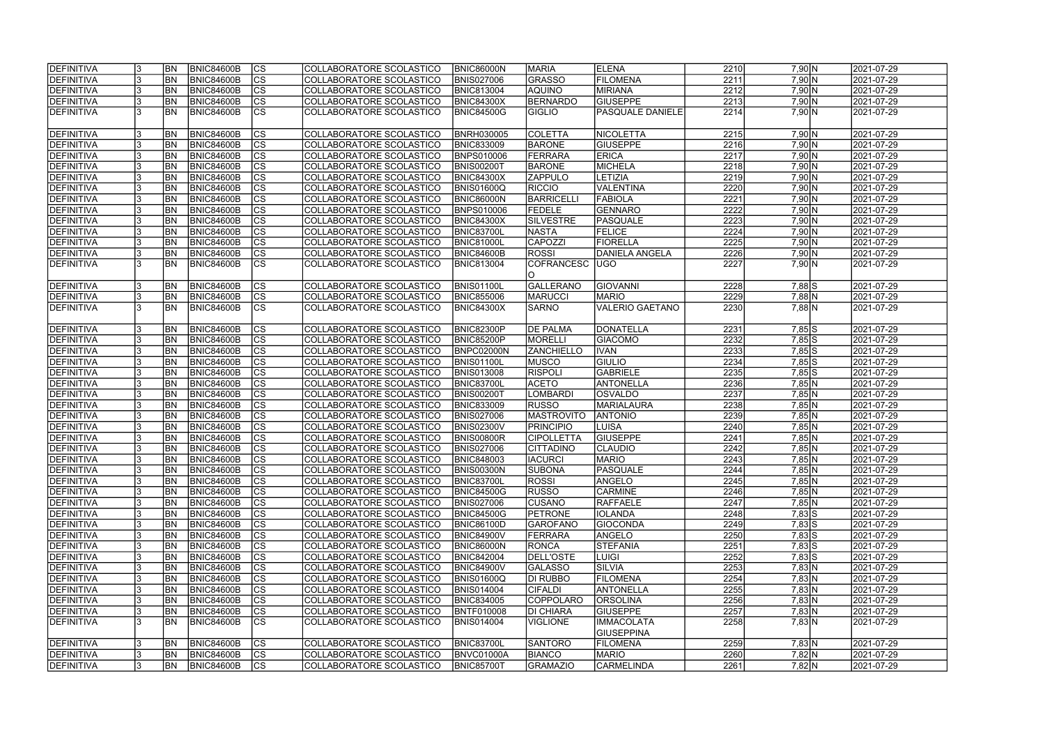| DEFINITIVA        | <b>BN</b> | <b>BNIC84600B</b> | CS                       | COLLABORATORE SCOLASTICO | <b>BNIC86000N</b> | <b>MARIA</b>      | <b>ELENA</b>           | 2210 | 7,90 N                    | 2021-07-29 |  |
|-------------------|-----------|-------------------|--------------------------|--------------------------|-------------------|-------------------|------------------------|------|---------------------------|------------|--|
| <b>DEFINITIVA</b> | <b>BN</b> | <b>BNIC84600B</b> | cs                       | COLLABORATORE SCOLASTICO | <b>BNIS027006</b> | <b>GRASSO</b>     | FILOMENA               | 2211 | 7,90 N                    | 2021-07-29 |  |
| <b>DEFINITIVA</b> | BN        | <b>BNIC84600B</b> | $ \overline{\text{cs}} $ | COLLABORATORE SCOLASTICO | <b>BNIC813004</b> | <b>AQUINO</b>     | <b>MIRIANA</b>         | 2212 | 7,90 N                    | 2021-07-29 |  |
| DEFINITIVA        | <b>BN</b> | <b>BNIC84600B</b> | cs                       | COLLABORATORE SCOLASTICO | <b>BNIC84300X</b> | BERNARDO          | <b>GIUSEPPE</b>        | 2213 | $7,90 \ N$                | 2021-07-29 |  |
| <b>DEFINITIVA</b> | <b>BN</b> | <b>BNIC84600B</b> | $\overline{\text{CS}}$   | COLLABORATORE SCOLASTICO | BNIC84500G        | <b>GIGLIO</b>     | PASQUALE DANIELE       | 2214 | $7,90 \ N$                | 2021-07-29 |  |
|                   |           |                   |                          |                          |                   |                   |                        |      |                           |            |  |
| DEFINITIVA        | <b>BN</b> | <b>BNIC84600B</b> | <b>CS</b>                | COLLABORATORE SCOLASTICO | <b>BNRH030005</b> | <b>COLETTA</b>    | NICOLETTA              | 2215 | 7,90 N                    | 2021-07-29 |  |
| DEFINITIVA        | <b>BN</b> | <b>BNIC84600B</b> | cs                       | COLLABORATORE SCOLASTICO | <b>BNIC833009</b> | <b>BARONE</b>     | <b>GIUSEPPE</b>        | 2216 | $7,90 \ N$                | 2021-07-29 |  |
| <b>DEFINITIVA</b> | <b>BN</b> | <b>BNIC84600B</b> | cs                       | COLLABORATORE SCOLASTICO | <b>BNPS010006</b> | FERRARA           | <b>ERICA</b>           | 2217 | $7,90 \ N$                | 2021-07-29 |  |
| <b>DEFINITIVA</b> | <b>BN</b> | <b>BNIC84600B</b> | cs                       | COLLABORATORE SCOLASTICO | <b>BNIS00200T</b> | <b>BARONE</b>     | MICHELA                | 2218 | $7,90 \ N$                | 2021-07-29 |  |
| DEFINITIVA        | <b>BN</b> | <b>BNIC84600B</b> | $ \overline{\text{cs}} $ | COLLABORATORE SCOLASTICO | <b>BNIC84300X</b> | <b>ZAPPULO</b>    | <b>LETIZIA</b>         | 2219 | 7,90 N                    | 2021-07-29 |  |
| DEFINITIVA        | <b>BN</b> | <b>BNIC84600B</b> | <b>CS</b>                | COLLABORATORE SCOLASTICO | <b>BNIS01600Q</b> | <b>RICCIO</b>     | VALENTINA              | 2220 | $7,90 \ N$                | 2021-07-29 |  |
| <b>DEFINITIVA</b> | <b>BN</b> | <b>BNIC84600B</b> | $ \overline{\text{CS}} $ | COLLABORATORE SCOLASTICO | BNIC86000N        | BARRICELL         | <b>FABIOLA</b>         | 2221 | 7,90 N                    | 2021-07-29 |  |
| <b>DEFINITIVA</b> | <b>BN</b> | <b>BNIC84600B</b> | $ \overline{\text{CS}} $ | COLLABORATORE SCOLASTICO | <b>BNPS010006</b> | <b>FEDELE</b>     | GENNARO                | 2222 | $7,90 \ N$                | 2021-07-29 |  |
| DEFINITIVA        | <b>BN</b> | <b>BNIC84600B</b> | $\overline{\text{CS}}$   | COLLABORATORE SCOLASTICO | <b>BNIC84300X</b> | <b>SILVESTRE</b>  | PASQUALE               | 2223 | 7,90 N                    | 2021-07-29 |  |
| <b>DEFINITIVA</b> | <b>BN</b> | <b>BNIC84600B</b> | $\overline{\text{CS}}$   | COLLABORATORE SCOLASTICO | <b>BNIC83700L</b> | <b>NASTA</b>      | <b>FELICE</b>          | 2224 | 7,90 N                    | 2021-07-29 |  |
| <b>DEFINITIVA</b> | <b>BN</b> | <b>BNIC84600B</b> | $\overline{\text{CS}}$   | COLLABORATORE SCOLASTICO | <b>BNIC81000L</b> | <b>CAPOZZI</b>    | FIORELLA               | 2225 | 7,90 N                    | 2021-07-29 |  |
| <b>DEFINITIVA</b> | <b>BN</b> | <b>BNIC84600B</b> | $\overline{\text{CS}}$   | COLLABORATORE SCOLASTICO | BNIC84600B        | ROSSI             | <b>DANIELA ANGELA</b>  | 2226 | 7,90 N                    | 2021-07-29 |  |
| DEFINITIVA        | <b>BN</b> | <b>BNIC84600B</b> | $\overline{\text{CS}}$   | COLLABORATORE SCOLASTICO | <b>BNIC813004</b> | <b>COFRANCESC</b> | UGO                    | 2227 | $7,90 \ N$                | 2021-07-29 |  |
|                   |           |                   |                          |                          |                   | IO.               |                        |      |                           |            |  |
| DEFINITIVA        | <b>BN</b> | BNIC84600B        | <b>CS</b>                | COLLABORATORE SCOLASTICO | BNIS01100L        | <b>GALLERANO</b>  | <b>GIOVANNI</b>        | 2228 | 7,88 S                    | 2021-07-29 |  |
| <b>DEFINITIVA</b> | <b>BN</b> | <b>BNIC84600B</b> | CS                       | COLLABORATORE SCOLASTICO | <b>BNIC855006</b> | <b>MARUCCI</b>    | <b>MARIO</b>           | 2229 | $7,88$ N                  | 2021-07-29 |  |
| <b>DEFINITIVA</b> | <b>BN</b> | <b>BNIC84600B</b> | <b>CS</b>                | COLLABORATORE SCOLASTICO | <b>BNIC84300X</b> | <b>SARNO</b>      | <b>VALERIO GAETANO</b> | 2230 | $7,88$ N                  | 2021-07-29 |  |
|                   |           |                   |                          |                          |                   |                   |                        |      |                           |            |  |
| DEFINITIVA        | <b>BN</b> | <b>BNIC84600B</b> | <b>CS</b>                | COLLABORATORE SCOLASTICO | <b>BNIC82300P</b> | <b>DE PALMA</b>   | DONATELLA              | 2231 | $7,85$ S                  | 2021-07-29 |  |
| DEFINITIVA        | <b>BN</b> | <b>BNIC84600B</b> | cs                       | COLLABORATORE SCOLASTICO | BNIC85200P        | <b>MORELLI</b>    | <b>GIACOMO</b>         | 2232 | $7,85$ S                  | 2021-07-29 |  |
| <b>DEFINITIVA</b> | <b>BN</b> | <b>BNIC84600B</b> | cs                       | COLLABORATORE SCOLASTICO | BNPC02000N        | <b>ZANCHIELLO</b> | <b>IVAN</b>            | 2233 | $7,85$ S                  | 2021-07-29 |  |
| DEFINITIVA        | <b>BN</b> | <b>BNIC84600B</b> | cs                       | COLLABORATORE SCOLASTICO | BNIS01100L        | <b>MUSCO</b>      | <b>GIULIO</b>          | 2234 | $7,85$ S                  | 2021-07-29 |  |
| <b>DEFINITIVA</b> | <b>BN</b> | <b>BNIC84600B</b> | cs                       | COLLABORATORE SCOLASTICO | <b>BNIS013008</b> | <b>RISPOLI</b>    | <b>GABRIELE</b>        | 2235 | $7,85$ S                  | 2021-07-29 |  |
| <b>DEFINITIVA</b> | <b>BN</b> | <b>BNIC84600B</b> | cs                       | COLLABORATORE SCOLASTICO | <b>BNIC83700L</b> | <b>ACETO</b>      | ANTONELLA              | 2236 | $7,85\overline{\text{N}}$ | 2021-07-29 |  |
| DEFINITIVA        | <b>BN</b> | <b>BNIC84600B</b> | $\overline{\text{CS}}$   | COLLABORATORE SCOLASTICO | <b>BNIS00200T</b> | LOMBARDI          | <b>OSVALDO</b>         | 2237 | 7,85 N                    | 2021-07-29 |  |
| DEFINITIVA        | <b>BN</b> | <b>BNIC84600B</b> | $\overline{\text{CS}}$   | COLLABORATORE SCOLASTICO | <b>BNIC833009</b> | <b>RUSSO</b>      | <b>MARIALAURA</b>      | 2238 | 7,85 N                    | 2021-07-29 |  |
| DEFINITIVA        | <b>BN</b> | <b>BNIC84600B</b> | $\overline{\text{CS}}$   | COLLABORATORE SCOLASTICO | <b>BNIS027006</b> | <b>MASTROVITO</b> | <b>ANTONIO</b>         | 2239 | 7,85 N                    | 2021-07-29 |  |
| DEFINITIVA        | <b>BN</b> | <b>BNIC84600B</b> | $ \overline{\text{cs}} $ | COLLABORATORE SCOLASTICO | <b>BNIS02300V</b> | <b>PRINCIPIO</b>  | <b>LUISA</b>           | 2240 | 7,85 N                    | 2021-07-29 |  |
| <b>DEFINITIVA</b> | <b>BN</b> | <b>BNIC84600B</b> | cs                       | COLLABORATORE SCOLASTICO | BNIS00800R        | CIPOLLETTA        | <b>GIUSEPPE</b>        | 2241 | 7,85 N                    | 2021-07-29 |  |
| <b>DEFINITIVA</b> | <b>BN</b> | <b>BNIC84600B</b> | $\overline{\text{cs}}$   | COLLABORATORE SCOLASTICO | <b>BNIS027006</b> | <b>CITTADINO</b>  | <b>CLAUDIO</b>         | 2242 | $7,85$ N                  | 2021-07-29 |  |
| <b>DEFINITIVA</b> | IBN I     | BNIC84600B        | CS                       | COLLABORATORE SCOLASTICO | <b>BNIC848003</b> | IACURCI           | IMARIO.                | 2243 | 7,85 N                    | 2021-07-29 |  |
| <b>DEFINITIVA</b> | <b>BN</b> | BNIC84600B        | CS                       | COLLABORATORE SCOLASTICO | <b>BNIS00300N</b> | <b>SUBONA</b>     | <b>PASQUALE</b>        | 2244 | 7,85 N                    | 2021-07-29 |  |
| DEFINITIVA        | <b>BN</b> | <b>BNIC84600B</b> | <b>CS</b>                | COLLABORATORE SCOLASTICO | <b>BNIC83700L</b> | <b>ROSSI</b>      | ANGELO                 | 2245 | 7,85 N                    | 2021-07-29 |  |
| <b>DEFINITIVA</b> | <b>BN</b> | <b>BNIC84600B</b> | <b>CS</b>                | COLLABORATORE SCOLASTICO | <b>BNIC84500G</b> | <b>RUSSO</b>      | <b>CARMINE</b>         | 2246 | 7,85 N                    | 2021-07-29 |  |
| <b>DEFINITIVA</b> | <b>BN</b> | <b>BNIC84600B</b> | CS                       | COLLABORATORE SCOLASTICO | <b>BNIS027006</b> | <b>CUSANO</b>     | RAFFAELE               | 2247 | 7,85 N                    | 2021-07-29 |  |
| DEFINITIVA        | <b>BN</b> | <b>BNIC84600B</b> | CS                       | COLLABORATORE SCOLASTICO | <b>BNIC84500G</b> | <b>PETRONE</b>    | <b>IOLANDA</b>         | 2248 | $7,83$ S                  | 2021-07-29 |  |
| DEFINITIVA        | <b>BN</b> | <b>BNIC84600B</b> | <b>CS</b>                | COLLABORATORE SCOLASTICO | <b>BNIC86100D</b> | <b>GAROFANO</b>   | <b>GIOCONDA</b>        | 2249 | $7,83$ S                  | 2021-07-29 |  |
| <b>DEFINITIVA</b> | <b>BN</b> | BNIC84600B        | cs                       | COLLABORATORE SCOLASTICO | <b>BNIC84900V</b> | FERRARA           | ANGELO                 | 2250 | $7,83$ S                  | 2021-07-29 |  |
| <b>DEFINITIVA</b> | <b>BN</b> | <b>BNIC84600B</b> | CS                       | COLLABORATORE SCOLASTICO | <b>BNIC86000N</b> | <b>RONCA</b>      | <b>STEFANIA</b>        | 2251 | $7,83$ S                  | 2021-07-29 |  |
| <b>DEFINITIVA</b> | <b>BN</b> | <b>BNIC84600B</b> | cs                       | COLLABORATORE SCOLASTICO | <b>BNIC842004</b> | DELL'OSTE         | <b>LUIGI</b>           | 2252 | $7,83$ S                  | 2021-07-29 |  |
| DEFINITIVA        | <b>BN</b> | <b>BNIC84600B</b> | <b>CS</b>                | COLLABORATORE SCOLASTICO | <b>BNIC84900V</b> | <b>GALASSO</b>    | <b>SILVIA</b>          | 2253 | 7,83 N                    | 2021-07-29 |  |
| <b>DEFINITIVA</b> | <b>BN</b> | <b>BNIC84600B</b> | $\overline{\text{CS}}$   | COLLABORATORE SCOLASTICO | <b>BNIS01600Q</b> | DI RUBBO          | FILOMENA               | 2254 | 7,83 N                    | 2021-07-29 |  |
| <b>DEFINITIVA</b> | <b>BN</b> | <b>BNIC84600B</b> | $\overline{\text{CS}}$   | COLLABORATORE SCOLASTICO | <b>BNIS014004</b> | <b>CIFALDI</b>    | ANTONELLA              | 2255 | 7,83 N                    | 2021-07-29 |  |
| <b>DEFINITIVA</b> | <b>BN</b> | <b>BNIC84600B</b> | <b>CS</b>                | COLLABORATORE SCOLASTICO | <b>BNIC834005</b> | COPPOLARO         | <b>ORSOLINA</b>        | 2256 | 7,83 N                    | 2021-07-29 |  |
| <b>DEFINITIVA</b> | <b>BN</b> | <b>BNIC84600B</b> | $\overline{\text{CS}}$   | COLLABORATORE SCOLASTICO | <b>BNTF010008</b> | <b>DI CHIARA</b>  | <b>GIUSEPPE</b>        | 2257 | 7,83 N                    | 2021-07-29 |  |
| <b>DEFINITIVA</b> | IBN.      | <b>BNIC84600B</b> | <b>CS</b>                | COLLABORATORE SCOLASTICO | BNIS014004        | VIGLIONE          | <b>IMMACOLATA</b>      | 2258 | 7,83 N                    | 2021-07-29 |  |
|                   |           |                   |                          |                          |                   |                   | <b>GIUSEPPINA</b>      |      |                           |            |  |
| <b>DEFINITIVA</b> | IBN.      | <b>BNIC84600B</b> | <b>CS</b>                | COLLABORATORE SCOLASTICO | <b>BNIC83700L</b> | <b>SANTORO</b>    | <b>FILOMENA</b>        | 2259 | 7,83 N                    | 2021-07-29 |  |
| <b>DEFINITIVA</b> | <b>BN</b> | <b>BNIC84600B</b> | CS                       | COLLABORATORE SCOLASTICO | BNVC01000A        | <b>BIANCO</b>     | <b>MARIO</b>           | 2260 | 7,82 N                    | 2021-07-29 |  |
| DEFINITIVA        | <b>BN</b> | <b>BNIC84600B</b> | CS                       | COLLABORATORE SCOLASTICO | <b>BNIC85700T</b> | <b>GRAMAZIO</b>   | <b>CARMELINDA</b>      | 2261 | 7,82 N                    | 2021-07-29 |  |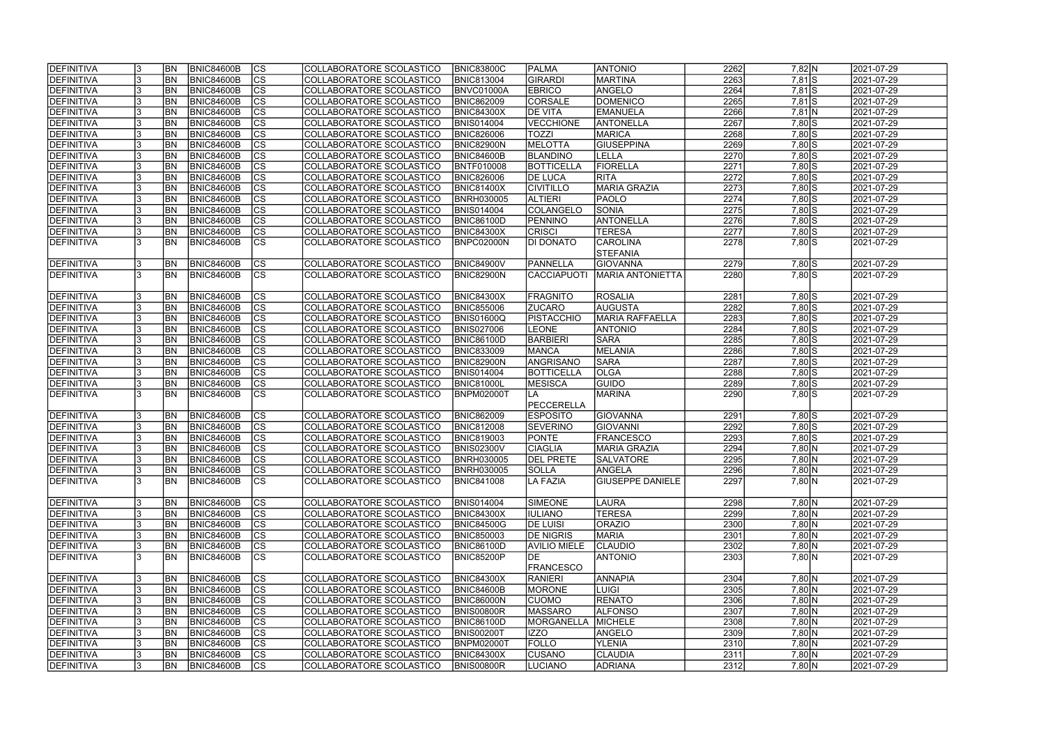| <b>DEFINITIVA</b> |    | <b>BN</b> | BNIC84600B        | $ {\rm CS} $           | COLLABORATORE SCOLASTICO | <b>BNIC83800C</b> | <b>PALMA</b>        | <b>ANTONIO</b>          | 2262 | 7,82 N             | 2021-07-29 |
|-------------------|----|-----------|-------------------|------------------------|--------------------------|-------------------|---------------------|-------------------------|------|--------------------|------------|
| DEFINITIVA        |    | <b>BN</b> | <b>BNIC84600B</b> | $\overline{c}$         | COLLABORATORE SCOLASTICO | <b>BNIC813004</b> | GIRARDI             | MARTINA                 | 2263 | $7,81$ S           | 2021-07-29 |
| DEFINITIVA        |    | <b>BN</b> | <b>BNIC84600B</b> | $\overline{c}$         | COLLABORATORE SCOLASTICO | BNVC01000A        | <b>EBRICO</b>       | ANGELO                  | 2264 | $7,81$ S           | 2021-07-29 |
| DEFINITIVA        |    | BN        | <b>BNIC84600B</b> | $\overline{c}$         | COLLABORATORE SCOLASTICO | <b>BNIC862009</b> | CORSALE             | DOMENICO                | 2265 | $7,81$ S           | 2021-07-29 |
| DEFINITIVA        |    | <b>BN</b> | <b>BNIC84600B</b> | cs                     | COLLABORATORE SCOLASTICO | <b>BNIC84300X</b> | <b>DE VITA</b>      | <b>EMANUELA</b>         | 2266 | $7,81$ N           | 2021-07-29 |
| DEFINITIVA        |    | BN        | <b>BNIC84600B</b> | $\overline{\text{cs}}$ | COLLABORATORE SCOLASTICO | <b>BNIS014004</b> | VECCHIONE           | ANTONELLA               | 2267 | $7,80$ S           | 2021-07-29 |
| DEFINITIVA        |    | <b>BN</b> | <b>BNIC84600B</b> | cs                     | COLLABORATORE SCOLASTICO | <b>BNIC826006</b> | <b>TOZZI</b>        | MARICA                  | 2268 | $7,80$ S           | 2021-07-29 |
| DEFINITIVA        |    | <b>BN</b> | <b>BNIC84600B</b> | cs                     | COLLABORATORE SCOLASTICO | <b>BNIC82900N</b> | MELOTTA             | <b>GIUSEPPINA</b>       | 2269 | $7,80$ S           | 2021-07-29 |
| DEFINITIVA        |    | BN        | <b>BNIC84600B</b> | cs                     | COLLABORATORE SCOLASTICO | <b>BNIC84600B</b> | BLANDINO            | <b>LELLA</b>            | 2270 | $7,80$ S           | 2021-07-29 |
| DEFINITIVA        |    | <b>BN</b> | <b>BNIC84600B</b> | cs                     | COLLABORATORE SCOLASTICO | <b>BNTF010008</b> | BOTTICELLA          | FIORELLA                | 2271 | $7,80$ S           | 2021-07-29 |
| DEFINITIVA        |    | <b>BN</b> | <b>BNIC84600B</b> | cs                     | COLLABORATORE SCOLASTICO | <b>BNIC826006</b> | <b>DE LUCA</b>      | RITA                    | 2272 | $7,80$ S           | 2021-07-29 |
| DEFINITIVA        |    | <b>BN</b> | <b>BNIC84600B</b> | cs                     | COLLABORATORE SCOLASTICO | <b>BNIC81400X</b> | <b>CIVITILLO</b>    | <b>MARIA GRAZIA</b>     | 2273 | $7,80$ S           | 2021-07-29 |
| DEFINITIVA        |    | <b>BN</b> | <b>BNIC84600B</b> | $ {\rm CS} $           | COLLABORATORE SCOLASTICO | <b>BNRH030005</b> | <b>ALTIERI</b>      | <b>PAOLO</b>            | 2274 | $7,80$ S           | 2021-07-29 |
| DEFINITIVA        |    | <b>BN</b> | <b>BNIC84600B</b> | cs                     | COLLABORATORE SCOLASTICO | <b>BNIS014004</b> | COLANGELO           | <b>SONIA</b>            | 2275 | $7,80$ S           | 2021-07-29 |
| DEFINITIVA        |    | <b>BN</b> | <b>BNIC84600B</b> | cs                     | COLLABORATORE SCOLASTICO | <b>BNIC86100D</b> | PENNINO             | ANTONELLA               | 2276 | $7,80$ S           | 2021-07-29 |
| DEFINITIVA        |    | <b>BN</b> | <b>BNIC84600B</b> | $ {\rm CS} $           | COLLABORATORE SCOLASTICO | <b>BNIC84300X</b> | <b>CRISCI</b>       | <b>TERESA</b>           | 2277 | $7,80$ S           | 2021-07-29 |
| DEFINITIVA        |    | <b>BN</b> | <b>BNIC84600B</b> | $\overline{\text{cs}}$ | COLLABORATORE SCOLASTICO | BNPC02000N        | <b>DI DONATO</b>    | <b>CAROLINA</b>         | 2278 | 7,80 S             | 2021-07-29 |
|                   |    |           |                   |                        |                          |                   |                     | <b>STEFANIA</b>         |      |                    |            |
| DEFINITIVA        |    | <b>BN</b> | <b>BNIC84600B</b> | $ {\rm CS} $           | COLLABORATORE SCOLASTICO | <b>BNIC84900V</b> | PANNELLA            | GIOVANNA                | 2279 | $7,80$ S           | 2021-07-29 |
| DEFINITIVA        |    | BN        | <b>BNIC84600B</b> | <b>CS</b>              | COLLABORATORE SCOLASTICO | <b>BNIC82900N</b> | CACCIAPUOTI         | <b>MARIA ANTONIETTA</b> | 2280 | $7,80$ S           | 2021-07-29 |
|                   |    |           |                   |                        |                          |                   |                     |                         |      |                    |            |
| DEFINITIVA        |    | BN        | <b>BNIC84600B</b> | CS                     | COLLABORATORE SCOLASTICO | <b>BNIC84300X</b> | <b>FRAGNITO</b>     | <b>ROSALIA</b>          | 2281 | $7,80$ S           | 2021-07-29 |
| DEFINITIVA        |    | BN        | <b>BNIC84600B</b> | <b>CS</b>              | COLLABORATORE SCOLASTICO | <b>BNIC855006</b> | <b>ZUCARO</b>       | <b>AUGUSTA</b>          | 2282 | $7,80$ S           | 2021-07-29 |
| DEFINITIVA        |    | <b>BN</b> | <b>BNIC84600B</b> | <b>CS</b>              | COLLABORATORE SCOLASTICO | BNIS01600Q        | PISTACCHIO          | MARIA RAFFAELLA         | 2283 | $7,80$ S           | 2021-07-29 |
| DEFINITIVA        |    | <b>BN</b> | <b>BNIC84600B</b> | cs                     | COLLABORATORE SCOLASTICO | <b>BNIS027006</b> | <b>LEONE</b>        | <b>ANTONIO</b>          | 2284 | $7,80$ S           | 2021-07-29 |
| DEFINITIVA        |    | <b>BN</b> | <b>BNIC84600B</b> | $ {\rm cs} $           | COLLABORATORE SCOLASTICO | <b>BNIC86100D</b> | <b>BARBIERI</b>     | <b>SARA</b>             | 2285 | $7,80$ S           | 2021-07-29 |
| DEFINITIVA        |    | <b>BN</b> | <b>BNIC84600B</b> | cs                     | COLLABORATORE SCOLASTICO | <b>BNIC833009</b> | <b>MANCA</b>        | MELANIA                 | 2286 | $7,80$ S           | 2021-07-29 |
| DEFINITIVA        |    | <b>BN</b> | <b>BNIC84600B</b> | cs                     | COLLABORATORE SCOLASTICO | <b>BNIC82900N</b> | ANGRISANO           | <b>SARA</b>             | 2287 | $7,80$ S           | 2021-07-29 |
| DEFINITIVA        |    | <b>BN</b> | <b>BNIC84600B</b> | cs                     | COLLABORATORE SCOLASTICO | <b>BNIS014004</b> | <b>BOTTICELLA</b>   | <b>OLGA</b>             | 2288 | $7,80$ S           | 2021-07-29 |
| DEFINITIVA        |    | <b>BN</b> | <b>BNIC84600B</b> | cs                     | COLLABORATORE SCOLASTICO | <b>BNIC81000L</b> | <b>MESISCA</b>      | <b>GUIDO</b>            | 2289 | $7,80\overline{S}$ | 2021-07-29 |
| DEFINITIVA        |    | <b>BN</b> | <b>BNIC84600B</b> | $\overline{\text{cs}}$ | COLLABORATORE SCOLASTICO | <b>BNPM02000T</b> | <b>LA</b>           | MARINA                  | 2290 | $7,80$ S           | 2021-07-29 |
|                   |    |           |                   |                        |                          |                   | PECCERELLA          |                         |      |                    |            |
| DEFINITIVA        |    | <b>BN</b> | <b>BNIC84600B</b> | cs                     | COLLABORATORE SCOLASTICO | <b>BNIC862009</b> | <b>ESPOSITO</b>     | <b>GIOVANNA</b>         | 2291 | $7,80$ S           | 2021-07-29 |
| DEFINITIVA        |    | <b>BN</b> | <b>BNIC84600B</b> | cs                     | COLLABORATORE SCOLASTICO | <b>BNIC812008</b> | <b>SEVERINO</b>     | <b>GIOVANNI</b>         | 2292 | $7,80$ S           | 2021-07-29 |
| DEFINITIVA        |    | <b>BN</b> | <b>BNIC84600B</b> | $\overline{c}$         | COLLABORATORE SCOLASTICO | <b>BNIC819003</b> | <b>PONTE</b>        | <b>FRANCESCO</b>        | 2293 | $7,80$ S           | 2021-07-29 |
| DEFINITIVA        |    | <b>BN</b> | <b>BNIC84600B</b> | cs                     | COLLABORATORE SCOLASTICO | <b>BNIS02300V</b> | <b>CIAGLIA</b>      | MARIA GRAZIA            | 2294 | 7,80 N             | 2021-07-29 |
| <b>DEFINITIVA</b> | IJ | <b>BN</b> | BNIC84600B        | CS                     | COLLABORATORE SCOLASTICO | <b>BNRH030005</b> | <b>DEL PRETE</b>    | <b>SALVATORE</b>        | 2295 | 7,80JN             | 2021-07-29 |
| DEFINITIVA        |    | <b>BN</b> | BNIC84600B        | $ {\rm CS} $           | COLLABORATORE SCOLASTICO | <b>BNRH030005</b> | <b>SOLLA</b>        | ANGELA                  | 2296 | $7,80$ N           | 2021-07-29 |
| DEFINITIVA        |    | BN        | <b>BNIC84600B</b> | lcs                    | COLLABORATORE SCOLASTICO | <b>BNIC841008</b> | LA FAZIA            | <b>GIUSEPPE DANIELE</b> | 2297 | 7,80 N             | 2021-07-29 |
|                   |    |           |                   |                        |                          |                   |                     |                         |      |                    |            |
| DEFINITIVA        |    | <b>BN</b> | <b>BNIC84600B</b> | <sub>Ics</sub>         | COLLABORATORE SCOLASTICO | <b>BNIS014004</b> | <b>SIMEONE</b>      | LAURA                   | 2298 | 7,80 N             | 2021-07-29 |
| DEFINITIVA        |    | <b>BN</b> | <b>BNIC84600B</b> | $ {\rm CS} $           | COLLABORATORE SCOLASTICO | <b>BNIC84300X</b> | <b>IULIANO</b>      | <b>TERESA</b>           | 2299 | $7,80$ N           | 2021-07-29 |
| DEFINITIVA        |    | <b>BN</b> | <b>BNIC84600B</b> | <sub>Ics</sub>         | COLLABORATORE SCOLASTICO | <b>BNIC84500G</b> | <b>DE LUISI</b>     | <b>ORAZIO</b>           | 2300 | 7,80 N             | 2021-07-29 |
| DEFINITIVA        |    | <b>BN</b> | <b>BNIC84600B</b> | <sub>Ics</sub>         | COLLABORATORE SCOLASTICO | <b>BNIC850003</b> | <b>DE NIGRIS</b>    | <b>MARIA</b>            | 2301 | $7,80 \ N$         | 2021-07-29 |
| DEFINITIVA        |    | <b>BN</b> | <b>BNIC84600B</b> | cs                     | COLLABORATORE SCOLASTICO | <b>BNIC86100D</b> | <b>AVILIO MIELE</b> | CLAUDIO                 | 2302 | 7,80 N             | 2021-07-29 |
| DEFINITIVA        |    | BN        | BNIC84600B        | <sub>Ics</sub>         | COLLABORATORE SCOLASTICO | <b>BNIC85200P</b> | <b>IDE</b>          | <b>ANTONIO</b>          | 2303 | 7,80 N             | 2021-07-29 |
|                   |    |           |                   |                        |                          |                   | <b>FRANCESCO</b>    |                         |      |                    |            |
| DEFINITIVA        |    | <b>BN</b> | <b>BNIC84600B</b> | <sub>Ics</sub>         | COLLABORATORE SCOLASTICO | <b>BNIC84300X</b> | <b>RANIERI</b>      | <b>ANNAPIA</b>          | 2304 | 7,80 N             | 2021-07-29 |
| DEFINITIVA        |    | <b>BN</b> | <b>BNIC84600B</b> | $ {\rm CS} $           | COLLABORATORE SCOLASTICO | <b>BNIC84600B</b> | <b>MORONE</b>       | LUIGI                   | 2305 | 7,80 N             | 2021-07-29 |
| DEFINITIVA        |    | <b>BN</b> | <b>BNIC84600B</b> | cs                     | COLLABORATORE SCOLASTICO | <b>BNIC86000N</b> | <b>CUOMO</b>        | <b>RENATO</b>           | 2306 | 7,80 N             | 2021-07-29 |
| DEFINITIVA        |    | <b>BN</b> | <b>BNIC84600B</b> | cs                     | COLLABORATORE SCOLASTICO | <b>BNIS00800R</b> | <b>MASSARO</b>      | <b>ALFONSO</b>          | 2307 | 7,80 N             | 2021-07-29 |
| DEFINITIVA        |    | BN        | <b>BNIC84600B</b> | cs                     | COLLABORATORE SCOLASTICO | <b>BNIC86100D</b> | <b>MORGANELLA</b>   | MICHELE                 | 2308 | $7,80$ N           | 2021-07-29 |
| <b>DEFINITIVA</b> |    | <b>BN</b> | <b>BNIC84600B</b> | cs                     | COLLABORATORE SCOLASTICO | <b>BNIS00200T</b> | <b>IZZO</b>         | ANGELO                  | 2309 | 7,80 N             | 2021-07-29 |
| DEFINITIVA        |    | BN        | <b>BNIC84600B</b> | cs                     | COLLABORATORE SCOLASTICO | <b>BNPM02000T</b> | <b>FOLLO</b>        | <b>YLENIA</b>           | 2310 | $7,80$ N           | 2021-07-29 |
| DEFINITIVA        |    | BN        | <b>BNIC84600B</b> | <sub>Ics</sub>         | COLLABORATORE SCOLASTICO | <b>BNIC84300X</b> | <b>CUSANO</b>       | <b>CLAUDIA</b>          | 2311 | $7,80 \ N$         | 2021-07-29 |
| <b>DEFINITIVA</b> | 13 | <b>BN</b> | <b>BNIC84600B</b> | <b>CS</b>              | COLLABORATORE SCOLASTICO | <b>BNIS00800R</b> | <b>LUCIANO</b>      | <b>ADRIANA</b>          | 2312 | 7,80 N             | 2021-07-29 |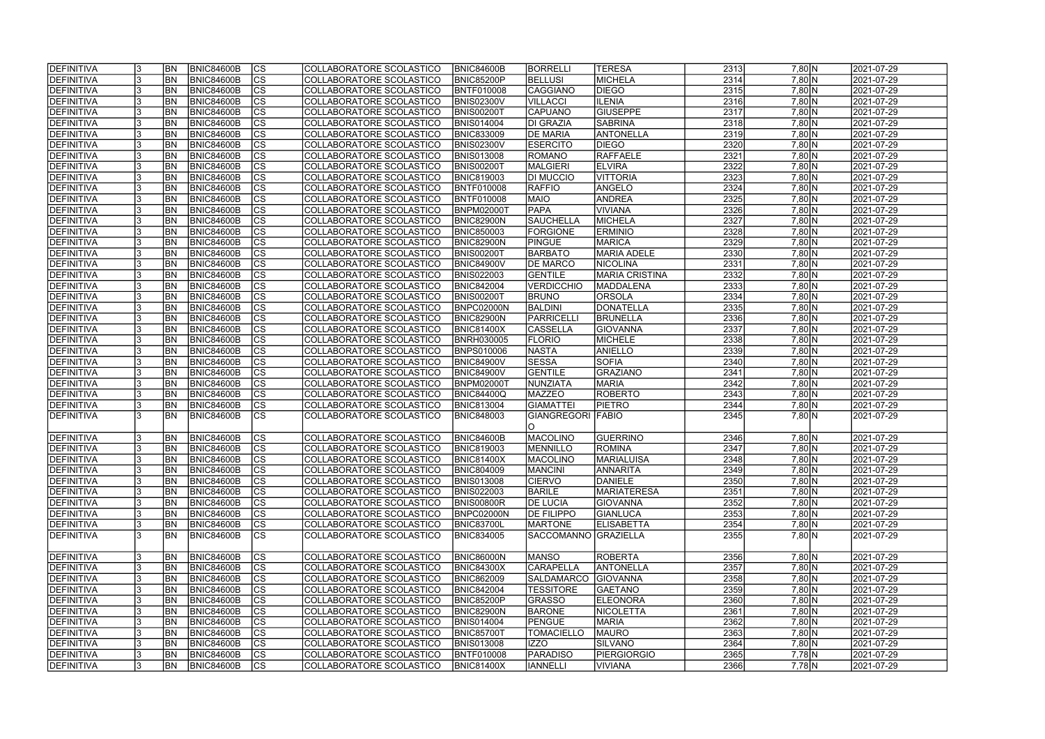| <b>IDEFINITIVA</b> | <b>BN</b> | <b>BNIC84600B</b> | lcs                      | COLLABORATORE SCOLASTICO        | <b>BNIC84600B</b> | <b>BORRELLI</b>          | <b>TERESA</b>         | 2313 | 7,80 N     | 2021-07-29 |
|--------------------|-----------|-------------------|--------------------------|---------------------------------|-------------------|--------------------------|-----------------------|------|------------|------------|
| DEFINITIVA         | <b>BN</b> | <b>BNIC84600B</b> | cs                       | COLLABORATORE SCOLASTICO        | BNIC85200P        | <b>BELLUSI</b>           | MICHELA               | 2314 | 7,80 N     | 2021-07-29 |
| <b>DEFINITIVA</b>  | <b>BN</b> | <b>BNIC84600B</b> | cs                       | COLLABORATORE SCOLASTICO        | <b>BNTF010008</b> | <b>CAGGIANO</b>          | <b>DIEGO</b>          | 2315 | 7,80 N     | 2021-07-29 |
| DEFINITIVA         | <b>BN</b> | <b>BNIC84600B</b> | $\overline{\text{CS}}$   | COLLABORATORE SCOLASTICO        | <b>BNIS02300V</b> | <b>VILLACCI</b>          | <b>ILENIA</b>         | 2316 | 7,80 N     | 2021-07-29 |
| DEFINITIVA         | <b>BN</b> | <b>BNIC84600B</b> | $\overline{\text{cs}}$   | COLLABORATORE SCOLASTICO        | <b>BNIS00200T</b> | <b>CAPUANO</b>           | <b>GIUSEPPE</b>       | 2317 | $7,80$ N   | 2021-07-29 |
| <b>DEFINITIVA</b>  | <b>BN</b> | <b>BNIC84600B</b> | $\overline{\text{CS}}$   | COLLABORATORE SCOLASTICO        | <b>BNIS014004</b> | <b>DI GRAZIA</b>         | <b>SABRINA</b>        | 2318 | 7,80 N     | 2021-07-29 |
| <b>DEFINITIVA</b>  | <b>BN</b> | <b>BNIC84600B</b> | $\overline{\text{CS}}$   | COLLABORATORE SCOLASTICO        | <b>BNIC833009</b> | <b>DE MARIA</b>          | ANTONELLA             | 2319 | $7,80$ N   | 2021-07-29 |
| DEFINITIVA         | <b>BN</b> | <b>BNIC84600B</b> | $\overline{\text{CS}}$   | COLLABORATORE SCOLASTICO        | <b>BNIS02300V</b> | <b>ESERCITO</b>          | <b>DIEGO</b>          | 2320 | 7,80 N     | 2021-07-29 |
| <b>DEFINITIVA</b>  | <b>BN</b> | <b>BNIC84600B</b> | $\overline{\text{CS}}$   | COLLABORATORE SCOLASTICO        | <b>BNIS013008</b> | <b>ROMANO</b>            | RAFFAELE              | 2321 | 7,80 N     | 2021-07-29 |
| DEFINITIVA         | BN        | <b>BNIC84600B</b> | cs                       | COLLABORATORE SCOLASTICO        | <b>BNIS00200T</b> | <b>MALGIERI</b>          | <b>ELVIRA</b>         | 2322 | 7,80 N     | 2021-07-29 |
| <b>DEFINITIVA</b>  | <b>BN</b> | <b>BNIC84600B</b> | $\overline{\text{CS}}$   | COLLABORATORE SCOLASTICO        | <b>BNIC819003</b> | <b>DI MUCCIO</b>         | <b>VITTORIA</b>       | 2323 | 7,80 N     | 2021-07-29 |
| DEFINITIVA         | <b>BN</b> | <b>BNIC84600B</b> | cs                       | COLLABORATORE SCOLASTICO        | <b>BNTF010008</b> | <b>RAFFIO</b>            | ANGELO                | 2324 | 7,80 N     | 2021-07-29 |
| <b>DEFINITIVA</b>  | <b>BN</b> | <b>BNIC84600B</b> | <b>CS</b>                | <b>COLLABORATORE SCOLASTICO</b> | BNTF010008        | <b>MAIO</b>              | <b>ANDREA</b>         | 2325 | 7,80 N     | 2021-07-29 |
| <b>DEFINITIVA</b>  | <b>BN</b> | <b>BNIC84600B</b> | $\overline{\text{CS}}$   | COLLABORATORE SCOLASTICO        | <b>BNPM02000T</b> | <b>PAPA</b>              | <b>VIVIANA</b>        | 2326 | 7,80 N     | 2021-07-29 |
| <b>DEFINITIVA</b>  | <b>BN</b> | <b>BNIC84600B</b> | $\overline{\text{CS}}$   | COLLABORATORE SCOLASTICO        | <b>BNIC82900N</b> | <b>SAUCHELLA</b>         | <b>MICHELA</b>        | 2327 | $7,80$ N   | 2021-07-29 |
| <b>DEFINITIVA</b>  | <b>BN</b> | <b>BNIC84600B</b> | CS                       | COLLABORATORE SCOLASTICO        | <b>BNIC850003</b> | <b>FORGIONE</b>          | <b>ERMINIO</b>        | 2328 | 7,80 N     | 2021-07-29 |
| DEFINITIVA         | <b>BN</b> | <b>BNIC84600B</b> | $\overline{\text{CS}}$   | COLLABORATORE SCOLASTICO        | BNIC82900N        | PINGUE                   | <b>MARICA</b>         | 2329 | 7,80 N     | 2021-07-29 |
| DEFINITIVA         | <b>BN</b> | <b>BNIC84600B</b> | CS                       | COLLABORATORE SCOLASTICO        | <b>BNIS00200T</b> | <b>BARBATO</b>           | <b>MARIA ADELE</b>    | 2330 | $7,80$ N   | 2021-07-29 |
| DEFINITIVA         | BN        | <b>BNIC84600B</b> | CS                       | COLLABORATORE SCOLASTICO        | <b>BNIC84900V</b> | <b>DE MARCO</b>          | NICOLINA              | 2331 | $7,80$ N   | 2021-07-29 |
| <b>DEFINITIVA</b>  | <b>BN</b> | <b>BNIC84600B</b> | CS                       | COLLABORATORE SCOLASTICO        | <b>BNIS022003</b> | GENTILE                  | <b>MARIA CRISTINA</b> | 2332 | 7,80 N     | 2021-07-29 |
| <b>DEFINITIVA</b>  | BN        | <b>BNIC84600B</b> | CS                       | COLLABORATORE SCOLASTICO        | <b>BNIC842004</b> | <b>VERDICCHIO</b>        | MADDALENA             | 2333 | 7,80 N     | 2021-07-29 |
| DEFINITIVA         | <b>BN</b> | <b>BNIC84600B</b> | <b>CS</b>                | COLLABORATORE SCOLASTICO        | <b>BNIS00200T</b> | <b>BRUNO</b>             | <b>ORSOLA</b>         | 2334 | 7,80 N     | 2021-07-29 |
| <b>DEFINITIVA</b>  | <b>BN</b> | <b>BNIC84600B</b> | <b>CS</b>                | COLLABORATORE SCOLASTICO        | BNPC02000N        | BALDINI                  | DONATELLA             | 2335 | 7,80 N     | 2021-07-29 |
| <b>DEFINITIVA</b>  | <b>BN</b> | <b>BNIC84600B</b> | <b>CS</b>                | COLLABORATORE SCOLASTICO        | BNIC82900N        | PARRICELL                | <b>BRUNELLA</b>       | 2336 | 7,80 N     | 2021-07-29 |
| DEFINITIVA         | <b>BN</b> | <b>BNIC84600B</b> | lcs                      | COLLABORATORE SCOLASTICO        | <b>BNIC81400X</b> | <b>CASSELLA</b>          | <b>GIOVANNA</b>       | 2337 | 7,80 N     | 2021-07-29 |
| <b>DEFINITIVA</b>  | <b>BN</b> | <b>BNIC84600B</b> | CS                       | COLLABORATORE SCOLASTICO        | <b>BNRH030005</b> | <b>FLORIO</b>            | MICHELE               | 2338 | 7,80 N     | 2021-07-29 |
| DEFINITIVA         | <b>BN</b> | <b>BNIC84600B</b> | lcs                      | COLLABORATORE SCOLASTICO        | <b>BNPS010006</b> | NASTA                    | <b>ANIELLO</b>        | 2339 | 7,80 N     | 2021-07-29 |
| <b>DEFINITIVA</b>  | <b>BN</b> | <b>BNIC84600B</b> | lcs                      | COLLABORATORE SCOLASTICO        | <b>BNIC84900V</b> | <b>SESSA</b>             | <b>SOFIA</b>          | 2340 | 7,80 N     | 2021-07-29 |
| <b>DEFINITIVA</b>  | <b>BN</b> | <b>BNIC84600B</b> | $ \overline{\text{cs}} $ | COLLABORATORE SCOLASTICO        | <b>BNIC84900V</b> | GENTILE                  | GRAZIANO              | 2341 | 7,80 N     | 2021-07-29 |
| DEFINITIVA         | <b>BN</b> | <b>BNIC84600B</b> | lcs                      | COLLABORATORE SCOLASTICO        | <b>BNPM02000T</b> | NUNZIATA                 | <b>MARIA</b>          | 2342 | $7,80$ N   | 2021-07-29 |
| <b>DEFINITIVA</b>  | <b>BN</b> | <b>BNIC84600B</b> | $ \overline{\text{CS}} $ | COLLABORATORE SCOLASTICO        | <b>BNIC84400Q</b> | <b>MAZZEO</b>            | <b>ROBERTO</b>        | 2343 | 7,80 N     | 2021-07-29 |
| DEFINITIVA         | <b>BN</b> | <b>BNIC84600B</b> | $\overline{\text{CS}}$   | COLLABORATORE SCOLASTICO        | <b>BNIC813004</b> | <b>GIAMATTEI</b>         | <b>PIETRO</b>         | 2344 | 7,80 N     | 2021-07-29 |
| <b>DEFINITIVA</b>  | IBN       | <b>BNIC84600B</b> | $\overline{\text{cs}}$   | <b>COLLABORATORE SCOLASTICO</b> | <b>BNIC848003</b> | <b>GIANGREGORI FABIO</b> |                       | 2345 | 7,80 N     | 2021-07-29 |
|                    |           |                   |                          |                                 |                   | IO.                      |                       |      |            |            |
| DEFINITIVA         | <b>BN</b> | <b>BNIC84600B</b> | CS                       | COLLABORATORE SCOLASTICO        | <b>BNIC84600B</b> | MACOLINO                 | GUERRINO              | 2346 | 7,80 N     | 2021-07-29 |
| <b>DEFINITIVA</b>  | <b>BN</b> | <b>BNIC84600B</b> | $\overline{\text{cs}}$   | COLLABORATORE SCOLASTICO        | <b>BNIC819003</b> | <b>MENNILLO</b>          | ROMINA                | 2347 | 7,80 N     | 2021-07-29 |
| <b>DEFINITIVA</b>  | <b>BN</b> | BNIC84600B        | $\overline{c}$           | COLLABORATORE SCOLASTICO        | <b>BNIC81400X</b> | MACOLINO                 | <b>MARIALUISA</b>     | 2348 | 7,80 N     | 2021-07-29 |
| DEFINITIVA         | <b>BN</b> | <b>BNIC84600B</b> | lcs                      | COLLABORATORE SCOLASTICO        | <b>BNIC804009</b> | <b>MANCINI</b>           | <b>ANNARITA</b>       | 2349 | $7,80 \ N$ | 2021-07-29 |
| <b>DEFINITIVA</b>  | <b>BN</b> | BNIC84600B        | CS                       | COLLABORATORE SCOLASTICO        | <b>BNIS013008</b> | <b>CIERVO</b>            | DANIELE               | 2350 | $7,80 \ N$ | 2021-07-29 |
| <b>DEFINITIVA</b>  | <b>BN</b> | <b>BNIC84600B</b> | <b>CS</b>                | COLLABORATORE SCOLASTICO        | <b>BNIS022003</b> | <b>BARILE</b>            | <b>MARIATERESA</b>    | 2351 | $7,80 \ N$ | 2021-07-29 |
| <b>DEFINITIVA</b>  | <b>BN</b> | <b>BNIC84600B</b> | <b>CS</b>                | COLLABORATORE SCOLASTICO        | <b>BNIS00800R</b> | <b>DE LUCIA</b>          | <b>GIOVANNA</b>       | 2352 | 7,80 N     | 2021-07-29 |
| <b>DEFINITIVA</b>  | <b>BN</b> | <b>BNIC84600B</b> | CS                       | COLLABORATORE SCOLASTICO        | BNPC02000N        | <b>DE FILIPPO</b>        | <b>GIANLUCA</b>       | 2353 | $7,80 \ N$ | 2021-07-29 |
| <b>DEFINITIVA</b>  | <b>BN</b> | <b>BNIC84600B</b> | CS                       | COLLABORATORE SCOLASTICO        | <b>BNIC83700L</b> | <b>MARTONE</b>           | <b>ELISABETTA</b>     | 2354 | 7,80 N     | 2021-07-29 |
| <b>DEFINITIVA</b>  | <b>BN</b> | BNIC84600B        | <b>CS</b>                | COLLABORATORE SCOLASTICO        | <b>BNIC834005</b> | SACCOMANNO  GRAZIELLA    |                       | 2355 | 7,80 N     | 2021-07-29 |
|                    |           |                   |                          |                                 |                   |                          |                       |      |            |            |
| DEFINITIVA         | <b>BN</b> | BNIC84600B        | CS                       | COLLABORATORE SCOLASTICO        | <b>BNIC86000N</b> | <b>MANSO</b>             | ROBERTA               | 2356 | $7,80 \ N$ | 2021-07-29 |
| <b>DEFINITIVA</b>  | <b>BN</b> | BNIC84600B        | CS                       | COLLABORATORE SCOLASTICO        | <b>BNIC84300X</b> | <b>CARAPELLA</b>         | ANTONELLA             | 2357 | 7,80 N     | 2021-07-29 |
| <b>DEFINITIVA</b>  | <b>BN</b> | BNIC84600B        | CS                       | COLLABORATORE SCOLASTICO        | <b>BNIC862009</b> | <b>SALDAMARCO</b>        | <b>GIOVANNA</b>       | 2358 | $7,80$ N   | 2021-07-29 |
| <b>DEFINITIVA</b>  | <b>BN</b> | <b>BNIC84600B</b> | $\overline{\text{CS}}$   | COLLABORATORE SCOLASTICO        | <b>BNIC842004</b> | <b>TESSITORE</b>         | <b>GAETANO</b>        | 2359 | 7,80 N     | 2021-07-29 |
| <b>DEFINITIVA</b>  | <b>BN</b> | <b>BNIC84600B</b> | $\overline{\text{CS}}$   | COLLABORATORE SCOLASTICO        | <b>BNIC85200P</b> | <b>GRASSO</b>            | <b>ELEONORA</b>       | 2360 | 7,80 N     | 2021-07-29 |
| <b>DEFINITIVA</b>  | <b>BN</b> | <b>BNIC84600B</b> | <b>CS</b>                | COLLABORATORE SCOLASTICO        | <b>BNIC82900N</b> | <b>BARONE</b>            | <b>NICOLETTA</b>      | 2361 | 7,80 N     | 2021-07-29 |
| <b>DEFINITIVA</b>  | <b>BN</b> | <b>BNIC84600B</b> | CS                       | COLLABORATORE SCOLASTICO        | <b>BNIS014004</b> | PENGUE                   | <b>MARIA</b>          | 2362 | $7,80$ N   | 2021-07-29 |
| <b>DEFINITIVA</b>  | <b>BN</b> | <b>BNIC84600B</b> | CS                       | COLLABORATORE SCOLASTICO        | <b>BNIC85700T</b> | <b>TOMACIELLO</b>        | <b>MAURO</b>          | 2363 | 7,80 N     | 2021-07-29 |
| <b>DEFINITIVA</b>  | <b>BN</b> | <b>BNIC84600B</b> | <b>CS</b>                | COLLABORATORE SCOLASTICO        | <b>BNIS013008</b> | lizzo                    | SILVANO               | 2364 | $7,80 \ N$ | 2021-07-29 |
| <b>DEFINITIVA</b>  | BN        | <b>BNIC84600B</b> | CS                       | COLLABORATORE SCOLASTICO        | <b>BNTF010008</b> | <b>PARADISO</b>          | <b>PIERGIORGIO</b>    | 2365 | 7,78 N     | 2021-07-29 |
| <b>DEFINITIVA</b>  | <b>BN</b> | <b>BNIC84600B</b> | CS                       | COLLABORATORE SCOLASTICO        | <b>BNIC81400X</b> | <b>IANNELLI</b>          | <b>VIVIANA</b>        | 2366 | $7,78$ N   | 2021-07-29 |
|                    |           |                   |                          |                                 |                   |                          |                       |      |            |            |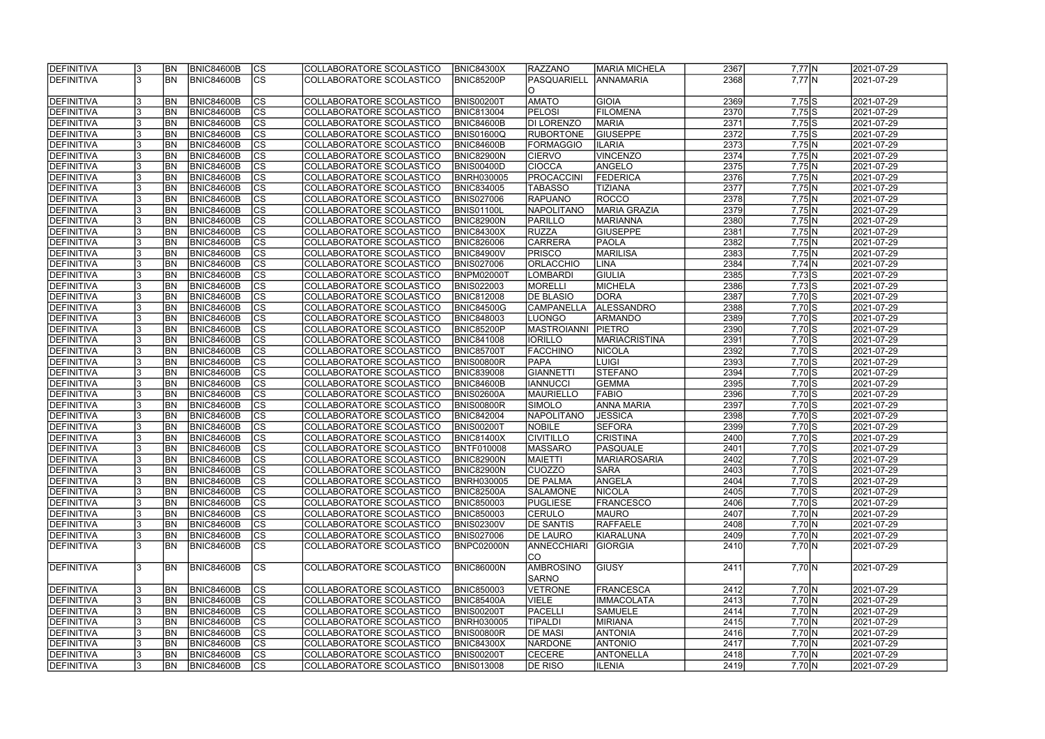| <b>DEFINITIVA</b>               | <b>BN</b> | <b>BNIC84600B</b>               | CS                       | COLLABORATORE SCOLASTICO                             | <b>BNIC84300X</b>                      | <b>RAZZANO</b>                   | <b>MARIA MICHELA</b>     | 2367 | $7,77$ N             | 2021-07-29 |
|---------------------------------|-----------|---------------------------------|--------------------------|------------------------------------------------------|----------------------------------------|----------------------------------|--------------------------|------|----------------------|------------|
| <b>DEFINITIVA</b>               | <b>BN</b> | <b>BNIC84600B</b>               | $\overline{\text{CS}}$   | COLLABORATORE SCOLASTICO                             | <b>BNIC85200P</b>                      | PASQUARIELL<br>IO.               | <b>ANNAMARIA</b>         | 2368 | $7,77$ N             | 2021-07-29 |
| <b>DEFINITIVA</b>               | BN        | <b>BNIC84600B</b>               | <b>CS</b>                | COLLABORATORE SCOLASTICO                             | BNIS00200T                             | <b>AMATO</b>                     | GIOIA                    | 2369 | $7,75$ S             | 2021-07-29 |
| <b>DEFINITIVA</b>               | <b>BN</b> | <b>BNIC84600B</b>               | cs                       | COLLABORATORE SCOLASTICO                             | <b>BNIC813004</b>                      | <b>PELOSI</b>                    | <b>FILOMENA</b>          | 2370 | $7,75$ S             | 2021-07-29 |
| <b>DEFINITIVA</b>               | <b>BN</b> | <b>BNIC84600B</b>               | $\overline{\text{CS}}$   | COLLABORATORE SCOLASTICO                             | <b>BNIC84600B</b>                      | <b>DI LORENZO</b>                | <b>MARIA</b>             | 2371 | $7,75$ S             | 2021-07-29 |
| <b>DEFINITIVA</b>               | <b>BN</b> | <b>BNIC84600B</b>               | $\overline{\text{CS}}$   | COLLABORATORE SCOLASTICO                             | BNIS01600Q                             | <b>RUBORTONE</b>                 | <b>GIUSEPPE</b>          | 2372 | 7,75S                | 2021-07-29 |
| <b>DEFINITIVA</b>               | <b>BN</b> | <b>BNIC84600B</b>               | $\overline{\text{CS}}$   | COLLABORATORE SCOLASTICO                             | <b>BNIC84600B</b>                      | <b>FORMAGGIO</b>                 | <b>ILARIA</b>            | 2373 | $7,75$ N             | 2021-07-29 |
| <b>DEFINITIVA</b>               | <b>BN</b> | <b>BNIC84600B</b>               | $\overline{\text{CS}}$   | COLLABORATORE SCOLASTICO                             | <b>BNIC82900N</b>                      | <b>CIERVO</b>                    | VINCENZO                 | 2374 | $7,75$ N             | 2021-07-29 |
| <b>DEFINITIVA</b>               | BN        | <b>BNIC84600B</b>               | cs                       | COLLABORATORE SCOLASTICO                             | <b>BNIS00400D</b>                      | <b>CIOCCA</b>                    | ANGELO                   | 2375 | $7,75$ N             | 2021-07-29 |
| <b>DEFINITIVA</b>               | <b>BN</b> | BNIC84600B                      | $\overline{\text{CS}}$   | COLLABORATORE SCOLASTICO                             | <b>BNRH030005</b>                      | <b>PROCACCINI</b>                | <b>FEDERICA</b>          | 2376 | $7,75$ N             | 2021-07-29 |
| DEFINITIVA                      | <b>BN</b> | <b>BNIC84600B</b>               | cs                       | COLLABORATORE SCOLASTICO                             | <b>BNIC834005</b>                      | TABASSO                          | <b>TIZIANA</b>           | 2377 | $7,75$ N             | 2021-07-29 |
| <b>DEFINITIVA</b>               | <b>BN</b> | <b>BNIC84600B</b>               | <b>CS</b>                | COLLABORATORE SCOLASTICO                             | <b>BNIS027006</b>                      | <b>RAPUANO</b>                   | ROCCO                    | 2378 | $7,75$ N             | 2021-07-29 |
| <b>DEFINITIVA</b>               | <b>BN</b> | <b>BNIC84600B</b>               | cs                       | COLLABORATORE SCOLASTICO                             | BNIS01100L                             | <b>NAPOLITANO</b>                | <b>MARIA GRAZIA</b>      | 2379 | $7,75$ N             | 2021-07-29 |
| <b>DEFINITIVA</b>               | <b>BN</b> | <b>BNIC84600B</b>               | CS                       | COLLABORATORE SCOLASTICO                             | <b>BNIC82900N</b>                      | PARILLO                          | MARIANNA                 | 2380 | $7,75 \overline{N}$  | 2021-07-29 |
| <b>DEFINITIVA</b>               | <b>BN</b> | <b>BNIC84600B</b>               | CS                       | COLLABORATORE SCOLASTICO                             | <b>BNIC84300X</b>                      | <b>RUZZA</b>                     | <b>GIUSEPPE</b>          | 2381 | $7,75$ N             | 2021-07-29 |
| DEFINITIVA                      | <b>BN</b> | <b>BNIC84600B</b>               | $\overline{\text{CS}}$   | COLLABORATORE SCOLASTICO                             | <b>BNIC826006</b>                      | CARRERA                          | PAOLA                    | 2382 | $7,75$ N             | 2021-07-29 |
| <b>DEFINITIVA</b>               | <b>BN</b> | <b>BNIC84600B</b>               | CS                       | COLLABORATORE SCOLASTICO                             | <b>BNIC84900V</b>                      | <b>PRISCO</b>                    | <b>MARILISA</b>          | 2383 | $7,75$ N             | 2021-07-29 |
| DEFINITIVA                      | BN        | <b>BNIC84600B</b>               | $\overline{\text{CS}}$   | COLLABORATORE SCOLASTICO                             | <b>BNIS027006</b>                      | <b>ORLACCHIO</b>                 | <b>LINA</b>              | 2384 | $7,74$ N             | 2021-07-29 |
| <b>DEFINITIVA</b>               | BN        | <b>BNIC84600B</b>               | $\overline{\text{CS}}$   | COLLABORATORE SCOLASTICO                             | <b>BNPM02000T</b>                      | <b>LOMBARDI</b>                  | <b>GIULIA</b>            | 2385 | $7,73$ S             | 2021-07-29 |
| <b>DEFINITIVA</b>               | BN        | <b>BNIC84600B</b>               | CS                       | COLLABORATORE SCOLASTICO                             | <b>BNIS022003</b>                      | MORELLI                          | <b>MICHELA</b>           | 2386 | $7,73$ S             | 2021-07-29 |
| DEFINITIVA                      | <b>BN</b> | <b>BNIC84600B</b>               | <b>CS</b>                | COLLABORATORE SCOLASTICO                             | <b>BNIC812008</b>                      | <b>DE BLASIO</b>                 | DORA                     | 2387 | $7,70$ S             | 2021-07-29 |
| <b>DEFINITIVA</b>               | <b>BN</b> | <b>BNIC84600B</b>               | <b>CS</b>                | COLLABORATORE SCOLASTICO                             | <b>BNIC84500G</b>                      | <b>CAMPANELLA</b>                | ALESSANDRO               | 2388 | $7,70$ S             | 2021-07-29 |
| <b>DEFINITIVA</b>               | <b>BN</b> | <b>BNIC84600B</b>               | <b>CS</b>                | COLLABORATORE SCOLASTICO                             | <b>BNIC848003</b>                      | ILUONGO                          | <b>ARMANDO</b>           | 2389 | $7,70$ S             | 2021-07-29 |
| DEFINITIVA                      | <b>BN</b> | <b>BNIC84600B</b>               | lcs                      | COLLABORATORE SCOLASTICO                             | <b>BNIC85200P</b>                      | <b>MASTROIANNI</b>               | <b>PIETRO</b>            | 2390 | $7,70$ S             | 2021-07-29 |
| <b>DEFINITIVA</b>               | <b>BN</b> | <b>BNIC84600B</b>               | lcs                      | COLLABORATORE SCOLASTICO                             | <b>BNIC841008</b>                      | <b>IORILLO</b>                   | <b>MARIACRISTINA</b>     | 2391 | $7,70$ S             | 2021-07-29 |
| <b>DEFINITIVA</b>               | <b>BN</b> | <b>BNIC84600B</b>               | cs                       | COLLABORATORE SCOLASTICO                             | <b>BNIC85700T</b>                      | <b>FACCHINO</b>                  | NICOLA                   | 2392 | $7,70$ S             | 2021-07-29 |
| <b>DEFINITIVA</b>               | <b>BN</b> | <b>BNIC84600B</b>               | lcs                      | COLLABORATORE SCOLASTICO                             | BNIS00800R                             | <b>PAPA</b>                      | <b>LUIGI</b>             | 2393 | $7,70$ S             | 2021-07-29 |
| <b>DEFINITIVA</b>               | <b>BN</b> | <b>BNIC84600B</b>               | cs                       | COLLABORATORE SCOLASTICO                             | <b>BNIC839008</b>                      | <b>GIANNETTI</b>                 | STEFANO                  | 2394 | $7,70$ S             | 2021-07-29 |
| DEFINITIVA                      | <b>BN</b> | <b>BNIC84600B</b>               | lcs                      | COLLABORATORE SCOLASTICO                             | <b>BNIC84600B</b>                      | <b>IANNUCCI</b>                  | <b>GEMMA</b>             | 2395 | $7,70$ S             | 2021-07-29 |
| <b>DEFINITIVA</b>               | <b>BN</b> | <b>BNIC84600B</b>               | $ \overline{\text{CS}} $ | COLLABORATORE SCOLASTICO                             | BNIS02600A                             | MAURIELLO                        | FABIO                    | 2396 | $7,70$ S             | 2021-07-29 |
| <b>DEFINITIVA</b>               | <b>BN</b> | <b>BNIC84600B</b>               | $\overline{\text{CS}}$   | COLLABORATORE SCOLASTICO                             | <b>BNIS00800R</b>                      | <b>SIMOLO</b>                    | <b>ANNA MARIA</b>        | 2397 | $7,70$ S             | 2021-07-29 |
| <b>DEFINITIVA</b>               | <b>BN</b> | <b>BNIC84600B</b>               | $\overline{\text{CS}}$   | COLLABORATORE SCOLASTICO                             | <b>BNIC842004</b>                      | <b>NAPOLITANO</b>                | <b>JESSICA</b>           | 2398 | $7,70$ S             | 2021-07-29 |
|                                 | <b>BN</b> | <b>BNIC84600B</b>               | $\overline{\text{CS}}$   | COLLABORATORE SCOLASTICO                             |                                        | <b>NOBILE</b>                    | <b>SEFORA</b>            | 2399 |                      | 2021-07-29 |
| DEFINITIVA<br><b>DEFINITIVA</b> | <b>BN</b> | <b>BNIC84600B</b>               | $\overline{\text{cs}}$   | COLLABORATORE SCOLASTICO                             | <b>BNIS00200T</b><br><b>BNIC81400X</b> | <b>CIVITILLO</b>                 | <b>CRISTINA</b>          | 2400 | $7,70$ S<br>$7,70$ S | 2021-07-29 |
|                                 | <b>BN</b> |                                 | $\overline{\text{CS}}$   | COLLABORATORE SCOLASTICO                             | <b>BNTF010008</b>                      | <b>IMASSARO</b>                  |                          | 2401 |                      |            |
| <b>DEFINITIVA</b>               | <b>BN</b> | <b>BNIC84600B</b>               |                          |                                                      |                                        |                                  | PASQUALE<br>MARIAROSARIA | 2402 | $7,70$ S             | 2021-07-29 |
| <b>DEFINITIVA</b>               |           | BNIC84600B                      | CS                       | COLLABORATORE SCOLASTICO                             | <b>BNIC82900N</b>                      | <b>MAIETTI</b><br><b>ICUOZZO</b> |                          |      | 7,70 S               | 2021-07-29 |
| DEFINITIVA                      | <b>BN</b> | <b>BNIC84600B</b>               | lcs                      | COLLABORATORE SCOLASTICO                             | <b>BNIC82900N</b>                      |                                  | <b>SARA</b>              | 2403 | $7,70$ S             | 2021-07-29 |
| <b>DEFINITIVA</b>               | <b>BN</b> | BNIC84600B                      | CS                       | COLLABORATORE SCOLASTICO                             | <b>BNRH030005</b>                      | <b>DE PALMA</b>                  | ANGELA                   | 2404 | $7,70$ S             | 2021-07-29 |
| <b>DEFINITIVA</b>               | <b>BN</b> | <b>BNIC84600B</b><br>BNIC84600B | <b>CS</b>                | COLLABORATORE SCOLASTICO                             | <b>BNIC82500A</b>                      | <b>SALAMONE</b>                  | <b>NICOLA</b>            | 2405 | $7,70$ S             | 2021-07-29 |
| <b>DEFINITIVA</b>               | <b>BN</b> |                                 | <b>CS</b>                | COLLABORATORE SCOLASTICO                             | <b>BNIC850003</b>                      | <b>PUGLIESE</b>                  | <b>FRANCESCO</b>         | 2406 | $7,70$ S             | 2021-07-29 |
| <b>DEFINITIVA</b>               | <b>BN</b> | <b>BNIC84600B</b>               | CS                       | COLLABORATORE SCOLASTICO                             | <b>BNIC850003</b>                      | <b>CERULO</b>                    | <b>MAURO</b>             | 2407 | 7,70 N               | 2021-07-29 |
| DEFINITIVA                      | <b>BN</b> | <b>BNIC84600B</b>               | CS                       | COLLABORATORE SCOLASTICO<br>COLLABORATORE SCOLASTICO | <b>BNIS02300V</b>                      | <b>DE SANTIS</b>                 | RAFFAELE                 | 2408 | $7,70 \ N$           | 2021-07-29 |
| <b>DEFINITIVA</b>               | <b>BN</b> | <b>BNIC84600B</b>               | <b>CS</b>                |                                                      | <b>BNIS027006</b>                      | <b>DE LAURO</b>                  | KIARALUNA                | 2409 | $7,70 \ N$           | 2021-07-29 |
| DEFINITIVA                      | <b>BN</b> | BNIC84600B                      | $\overline{\text{CS}}$   | COLLABORATORE SCOLASTICO                             | BNPC02000N                             | <b>ANNECCHIARI</b><br>lco        | <b>GIORGIA</b>           | 2410 | 7,70 N               | 2021-07-29 |
|                                 |           |                                 |                          |                                                      |                                        |                                  |                          |      |                      |            |
| DEFINITIVA                      | <b>BN</b> | BNIC84600B                      | <b>CS</b>                | COLLABORATORE SCOLASTICO                             | BNIC86000N                             | AMBROSINO                        | <b>GIUSY</b>             | 2411 | 7,70 N               | 2021-07-29 |
|                                 |           |                                 |                          |                                                      |                                        | <b>SARNO</b>                     |                          |      |                      |            |
| <b>DEFINITIVA</b>               | <b>BN</b> | BNIC84600B                      | CS                       | COLLABORATORE SCOLASTICO                             | <b>BNIC850003</b>                      | VETRONE                          | <b>FRANCESCA</b>         | 2412 | 7,70 N               | 2021-07-29 |
| <b>DEFINITIVA</b>               | <b>BN</b> | <b>BNIC84600B</b>               | $\overline{\text{cs}}$   | COLLABORATORE SCOLASTICO                             | <b>BNIC85400A</b>                      | <b>VIELE</b>                     | <b>IMMACOLATA</b>        | 2413 | 7,70 N               | 2021-07-29 |
| <b>DEFINITIVA</b>               | <b>BN</b> | <b>BNIC84600B</b>               | <b>CS</b>                | COLLABORATORE SCOLASTICO                             | <b>BNIS00200T</b>                      | PACELLI                          | <b>SAMUELE</b>           | 2414 | 7,70 N               | 2021-07-29 |
| <b>DEFINITIVA</b>               | <b>BN</b> | <b>BNIC84600B</b>               | CS                       | COLLABORATORE SCOLASTICO                             | <b>BNRH030005</b>                      | <b>TIPALDI</b>                   | <b>MIRIANA</b>           | 2415 | 7,70 N               | 2021-07-29 |
| <b>DEFINITIVA</b>               | <b>BN</b> | <b>BNIC84600B</b>               | CS                       | COLLABORATORE SCOLASTICO                             | <b>BNIS00800R</b>                      | <b>DE MASI</b>                   | <b>ANTONIA</b>           | 2416 | 7,70 N               | 2021-07-29 |
| <b>DEFINITIVA</b>               | <b>BN</b> | <b>BNIC84600B</b>               | <b>CS</b>                | COLLABORATORE SCOLASTICO                             | <b>BNIC84300X</b>                      | <b>NARDONE</b>                   | <b>ANTONIO</b>           | 2417 | $7,70 \ N$           | 2021-07-29 |
| <b>DEFINITIVA</b>               | BN        | <b>BNIC84600B</b>               | CS                       | COLLABORATORE SCOLASTICO                             | <b>BNIS00200T</b>                      | <b>CECERE</b>                    | <b>ANTONELLA</b>         | 2418 | $7,70 \ N$           | 2021-07-29 |
| <b>DEFINITIVA</b>               | <b>BN</b> | <b>BNIC84600B</b>               | CS                       | COLLABORATORE SCOLASTICO                             | <b>BNIS013008</b>                      | <b>DE RISO</b>                   | <b>ILENIA</b>            | 2419 | 7,70 N               | 2021-07-29 |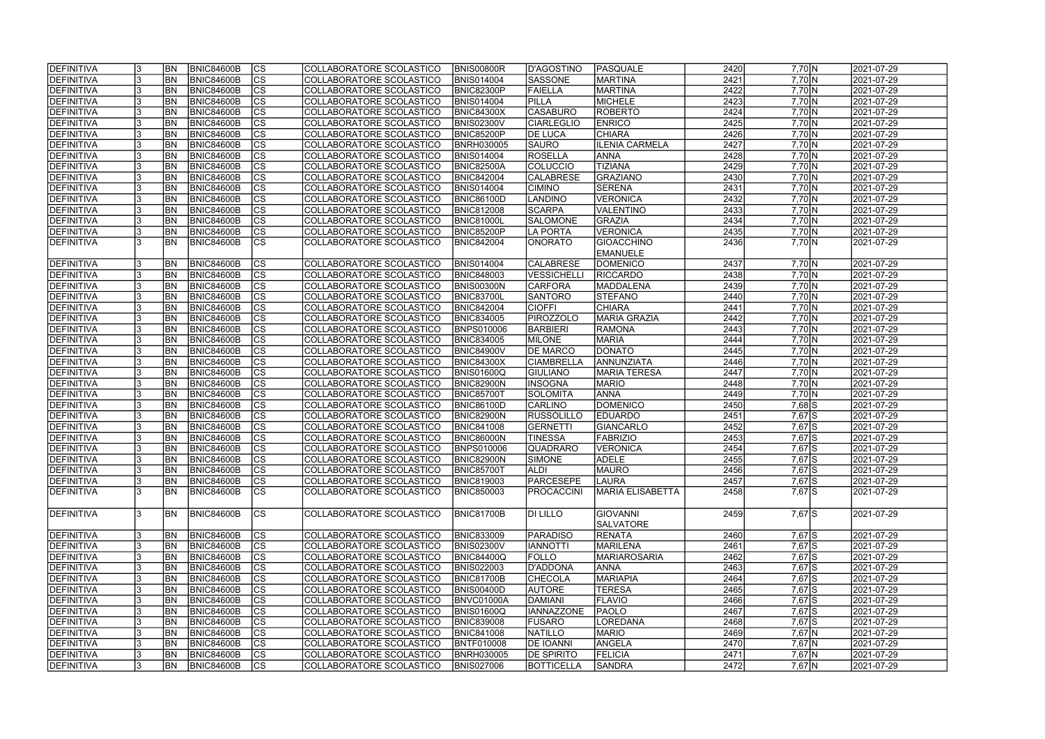| <b>DEFINITIVA</b> | <b>BN</b> | <b>BNIC84600B</b> | CS                       | COLLABORATORE SCOLASTICO        | <b>BNIS00800R</b> | D'AGOSTINO        | PASQUALE                | 2420 | 7,70 N             | 2021-07-29 |
|-------------------|-----------|-------------------|--------------------------|---------------------------------|-------------------|-------------------|-------------------------|------|--------------------|------------|
| <b>DEFINITIVA</b> | <b>BN</b> | <b>BNIC84600B</b> | cs                       | COLLABORATORE SCOLASTICO        | <b>BNIS014004</b> | <b>SASSONE</b>    | <b>MARTINA</b>          | 2421 | $7,70$ N           | 2021-07-29 |
| <b>DEFINITIVA</b> | <b>BN</b> | <b>BNIC84600B</b> | $ \overline{\text{cs}} $ | COLLABORATORE SCOLASTICO        | <b>BNIC82300P</b> | <b>FAIELLA</b>    | MARTINA                 | 2422 | 7,70 N             | 2021-07-29 |
| <b>DEFINITIVA</b> | BN        | <b>BNIC84600B</b> | $\overline{\text{CS}}$   | COLLABORATORE SCOLASTICO        | <b>BNIS014004</b> | <b>PILLA</b>      | <b>MICHELE</b>          | 2423 | 7,70 N             | 2021-07-29 |
| <b>DEFINITIVA</b> | <b>BN</b> | <b>BNIC84600B</b> | $\overline{\text{cs}}$   | COLLABORATORE SCOLASTICO        | <b>BNIC84300X</b> | <b>CASABURO</b>   | <b>ROBERTO</b>          | 2424 | 7,70 N             | 2021-07-29 |
| <b>DEFINITIVA</b> | <b>BN</b> | <b>BNIC84600B</b> | $\overline{\text{CS}}$   | COLLABORATORE SCOLASTICO        | <b>BNIS02300V</b> | <b>CIARLEGLIO</b> | <b>ENRICO</b>           | 2425 | 7,70 N             | 2021-07-29 |
| <b>DEFINITIVA</b> | <b>BN</b> | <b>BNIC84600B</b> | $\overline{\text{CS}}$   | COLLABORATORE SCOLASTICO        | BNIC85200P        | <b>DE LUCA</b>    | <b>CHIARA</b>           | 2426 | 7,70 N             | 2021-07-29 |
| <b>DEFINITIVA</b> | <b>BN</b> | <b>BNIC84600B</b> | $\overline{\text{CS}}$   | COLLABORATORE SCOLASTICO        | <b>BNRH030005</b> | <b>SAURO</b>      | <b>ILENIA CARMELA</b>   | 2427 | 7,70 N             | 2021-07-29 |
| <b>DEFINITIVA</b> | <b>BN</b> | <b>BNIC84600B</b> | cs                       | COLLABORATORE SCOLASTICO        | <b>BNIS014004</b> | ROSELLA           | <b>ANNA</b>             | 2428 | 7,70 N             | 2021-07-29 |
| <b>DEFINITIVA</b> | BN        | <b>BNIC84600B</b> | cs                       | COLLABORATORE SCOLASTICO        | <b>BNIC82500A</b> | <b>COLUCCIO</b>   | <b>TIZIANA</b>          | 2429 | 7,70 N             | 2021-07-29 |
| <b>DEFINITIVA</b> | <b>BN</b> | <b>BNIC84600B</b> | cs                       | COLLABORATORE SCOLASTICO        | <b>BNIC842004</b> | <b>CALABRESE</b>  | <b>GRAZIANO</b>         | 2430 | 7,70 N             | 2021-07-29 |
| DEFINITIVA        | <b>BN</b> | <b>BNIC84600B</b> | cs                       | COLLABORATORE SCOLASTICO        | <b>BNIS014004</b> | <b>CIMINO</b>     | <b>SERENA</b>           | 2431 | 7,70 N             | 2021-07-29 |
| <b>DEFINITIVA</b> | <b>BN</b> | <b>BNIC84600B</b> | <b>CS</b>                | <b>COLLABORATORE SCOLASTICO</b> | <b>BNIC86100D</b> | <b>LANDINO</b>    | <b>VERONICA</b>         | 2432 | 7,70 N             | 2021-07-29 |
| <b>DEFINITIVA</b> | <b>BN</b> | <b>BNIC84600B</b> | cs                       | COLLABORATORE SCOLASTICO        | <b>BNIC812008</b> | <b>SCARPA</b>     | VALENTINO               | 2433 | 7,70 N             | 2021-07-29 |
| <b>DEFINITIVA</b> | <b>BN</b> | <b>BNIC84600B</b> | $\overline{\text{CS}}$   | COLLABORATORE SCOLASTICO        | <b>BNIC81000L</b> | <b>SALOMONE</b>   | GRAZIA                  | 2434 | $7,70 \ N$         | 2021-07-29 |
| <b>DEFINITIVA</b> | <b>BN</b> | <b>BNIC84600B</b> | CS                       | COLLABORATORE SCOLASTICO        | <b>BNIC85200P</b> | LA PORTA          | <b>VERONICA</b>         | 2435 | 7,70 N             | 2021-07-29 |
| DEFINITIVA        | <b>BN</b> | <b>BNIC84600B</b> | $\overline{\text{cs}}$   | COLLABORATORE SCOLASTICO        | <b>BNIC842004</b> | <b>ONORATO</b>    | <b>GIOACCHINO</b>       | 2436 | 7,70 N             | 2021-07-29 |
|                   |           |                   |                          |                                 |                   |                   | <b>EMANUELE</b>         |      |                    |            |
| <b>DEFINITIVA</b> | <b>BN</b> | <b>BNIC84600B</b> | <b>CS</b>                | COLLABORATORE SCOLASTICO        | <b>BNIS014004</b> | <b>CALABRESE</b>  | <b>DOMENICO</b>         | 2437 | $7,70 \ N$         | 2021-07-29 |
| <b>DEFINITIVA</b> | <b>BN</b> | <b>BNIC84600B</b> | $ \overline{\text{CS}} $ | COLLABORATORE SCOLASTICO        | <b>BNIC848003</b> | VESSICHELLI       | <b>RICCARDO</b>         | 2438 | 7,70 N             | 2021-07-29 |
| <b>DEFINITIVA</b> | BN        | <b>BNIC84600B</b> | CS                       | COLLABORATORE SCOLASTICO        | BNIS00300N        | CARFORA           | MADDALENA               | 2439 | $7,70 \ N$         | 2021-07-29 |
| DEFINITIVA        | <b>BN</b> | <b>BNIC84600B</b> | <b>CS</b>                | COLLABORATORE SCOLASTICO        | <b>BNIC83700L</b> | SANTORO           | <b>STEFANO</b>          | 2440 | $7,70 \ N$         | 2021-07-29 |
| <b>DEFINITIVA</b> | <b>BN</b> | <b>BNIC84600B</b> | <b>CS</b>                | COLLABORATORE SCOLASTICO        | <b>BNIC842004</b> | <b>CIOFFI</b>     | <b>CHIARA</b>           | 2441 | 7,70 N             | 2021-07-29 |
| DEFINITIVA        | <b>BN</b> | <b>BNIC84600B</b> | <b>CS</b>                | COLLABORATORE SCOLASTICO        | <b>BNIC834005</b> | <b>PIROZZOLO</b>  | MARIA GRAZIA            | 2442 | 7,70 N             | 2021-07-29 |
| DEFINITIVA        | <b>BN</b> | <b>BNIC84600B</b> | $ \overline{\text{cs}} $ | COLLABORATORE SCOLASTICO        | <b>BNPS010006</b> | <b>BARBIERI</b>   | <b>RAMONA</b>           | 2443 | 7,70 N             | 2021-07-29 |
| <b>DEFINITIVA</b> | <b>BN</b> | <b>BNIC84600B</b> | lcs                      | COLLABORATORE SCOLASTICO        | <b>BNIC834005</b> | <b>MILONE</b>     | <b>MARIA</b>            | 2444 | 7,70 N             | 2021-07-29 |
| <b>DEFINITIVA</b> | <b>BN</b> | <b>BNIC84600B</b> | cs                       | COLLABORATORE SCOLASTICO        | <b>BNIC84900V</b> | <b>DE MARCO</b>   | <b>DONATO</b>           | 2445 | 7,70 N             | 2021-07-29 |
| <b>DEFINITIVA</b> | <b>BN</b> | <b>BNIC84600B</b> | lcs                      | COLLABORATORE SCOLASTICO        | <b>BNIC84300X</b> | <b>CIAMBRELLA</b> | ANNUNZIATA              | 2446 | 7,70 N             | 2021-07-29 |
| DEFINITIVA        | <b>BN</b> | <b>BNIC84600B</b> | cs                       | COLLABORATORE SCOLASTICO        | <b>BNIS01600Q</b> | <b>GIULIANO</b>   | MARIA TERESA            | 2447 | 7,70 N             | 2021-07-29 |
| DEFINITIVA        | <b>BN</b> | <b>BNIC84600B</b> | lcs                      | COLLABORATORE SCOLASTICO        | <b>BNIC82900N</b> | <b>INSOGNA</b>    | <b>MARIO</b>            | 2448 | 7,70 N             | 2021-07-29 |
| <b>DEFINITIVA</b> | <b>BN</b> | <b>BNIC84600B</b> | $ \mathsf{CS} $          | COLLABORATORE SCOLASTICO        | <b>BNIC85700T</b> | SOLOMITA          | <b>ANNA</b>             | 2449 | 7,70 N             | 2021-07-29 |
| DEFINITIVA        | <b>BN</b> | <b>BNIC84600B</b> | $\overline{\text{CS}}$   | COLLABORATORE SCOLASTICO        | <b>BNIC86100D</b> | <b>CARLINO</b>    | DOMENICO                | 2450 | $7,68\overline{S}$ | 2021-07-29 |
| <b>DEFINITIVA</b> | <b>BN</b> | <b>BNIC84600B</b> | $\overline{\text{CS}}$   | COLLABORATORE SCOLASTICO        | <b>BNIC82900N</b> | <b>RUSSOLILLO</b> | <b>EDUARDO</b>          | 2451 | $7,67$ $S$         | 2021-07-29 |
| DEFINITIVA        | <b>BN</b> | <b>BNIC84600B</b> | $\overline{\text{CS}}$   | COLLABORATORE SCOLASTICO        | <b>BNIC841008</b> | GERNETTI          | GIANCARLO               | 2452 | $7,67$ $S$         | 2021-07-29 |
| <b>DEFINITIVA</b> | <b>BN</b> | <b>BNIC84600B</b> | $\overline{\text{cs}}$   | COLLABORATORE SCOLASTICO        | BNIC86000N        | <b>TINESSA</b>    | FABRIZIO                | 2453 | $7,67$ $S$         | 2021-07-29 |
| DEFINITIVA        | <b>BN</b> | <b>BNIC84600B</b> | $\overline{\text{CS}}$   | COLLABORATORE SCOLASTICO        | <b>BNPS010006</b> | QUADRARO          | <b>VERONICA</b>         | 2454 | 7,67 S             | 2021-07-29 |
| <b>DEFINITIVA</b> | <b>BN</b> | BNIC84600B        | CS                       | COLLABORATORE SCOLASTICO        | <b>BNIC82900N</b> | <b>SIMONE</b>     | <b>ADELE</b>            | 2455 | 7,67 S             | 2021-07-29 |
| DEFINITIVA        | <b>BN</b> | <b>BNIC84600B</b> | lcs                      | COLLABORATORE SCOLASTICO        | <b>BNIC85700T</b> | <b>ALDI</b>       | <b>MAURO</b>            | 2456 | 7,67 S             | 2021-07-29 |
| <b>DEFINITIVA</b> | <b>BN</b> | <b>BNIC84600B</b> | CS                       | COLLABORATORE SCOLASTICO        | <b>BNIC819003</b> | PARCESEPE         | <b>LAURA</b>            | 2457 | 7,67 S             | 2021-07-29 |
| <b>DEFINITIVA</b> | <b>BN</b> | BNIC84600B        | <b>CS</b>                | COLLABORATORE SCOLASTICO        | <b>BNIC850003</b> | <b>PROCACCINI</b> | <b>MARIA ELISABETTA</b> | 2458 | 7,67 S             | 2021-07-29 |
|                   |           |                   |                          |                                 |                   |                   |                         |      |                    |            |
| DEFINITIVA        | <b>BN</b> | BNIC84600B        | <b>CS</b>                | COLLABORATORE SCOLASTICO        | <b>BNIC81700B</b> | DI LILLO          | <b>GIOVANNI</b>         | 2459 | 7,67 S             | 2021-07-29 |
|                   |           |                   |                          |                                 |                   |                   | <b>SALVATORE</b>        |      |                    |            |
| <b>DEFINITIVA</b> | <b>BN</b> | BNIC84600B        | CS                       | COLLABORATORE SCOLASTICO        | <b>BNIC833009</b> | <b>PARADISO</b>   | <b>RENATA</b>           | 2460 | 7,67 S             | 2021-07-29 |
| <b>DEFINITIVA</b> | <b>BN</b> | BNIC84600B        | cs                       | COLLABORATORE SCOLASTICO        | <b>BNIS02300V</b> | <b>IANNOTTI</b>   | MARILENA                | 2461 | 7,67 S             | 2021-07-29 |
| <b>DEFINITIVA</b> | <b>BN</b> | BNIC84600B        | CS                       | COLLABORATORE SCOLASTICO        | <b>BNIC84400Q</b> | <b>FOLLO</b>      | <b>MARIAROSARIA</b>     | 2462 | 7,67 S             | 2021-07-29 |
| DEFINITIVA        | <b>BN</b> | <b>BNIC84600B</b> | $\overline{\text{CS}}$   | COLLABORATORE SCOLASTICO        | <b>BNIS022003</b> | D'ADDONA          | <b>ANNA</b>             | 2463 | 7,67 S             | 2021-07-29 |
| <b>DEFINITIVA</b> | <b>BN</b> | <b>BNIC84600B</b> | $\overline{\text{CS}}$   | COLLABORATORE SCOLASTICO        | <b>BNIC81700B</b> | <b>CHECOLA</b>    | <b>MARIAPIA</b>         | 2464 | 7,67 S             | 2021-07-29 |
| DEFINITIVA        | <b>BN</b> | <b>BNIC84600B</b> | $\overline{\text{CS}}$   | COLLABORATORE SCOLASTICO        | <b>BNIS00400D</b> | <b>AUTORE</b>     | <b>TERESA</b>           | 2465 | $7,67$ $S$         | 2021-07-29 |
| <b>DEFINITIVA</b> | <b>BN</b> | <b>BNIC84600B</b> | $\overline{\text{CS}}$   | COLLABORATORE SCOLASTICO        | BNVC01000A        | DAMIANI           | FLAVIO                  | 2466 | 7,67 S             | 2021-07-29 |
| <b>DEFINITIVA</b> | <b>BN</b> | <b>BNIC84600B</b> | <b>CS</b>                | COLLABORATORE SCOLASTICO        | <b>BNIS01600Q</b> | <b>IANNAZZONE</b> | <b>PAOLO</b>            | 2467 | $7,67$ $S$         | 2021-07-29 |
| <b>DEFINITIVA</b> | <b>BN</b> | <b>BNIC84600B</b> | CS                       | COLLABORATORE SCOLASTICO        | <b>BNIC839008</b> | <b>FUSARO</b>     | <b>LOREDANA</b>         | 2468 | 7,67 S             | 2021-07-29 |
| <b>DEFINITIVA</b> | <b>BN</b> | <b>BNIC84600B</b> | CS                       | COLLABORATORE SCOLASTICO        | <b>BNIC841008</b> | <b>NATILLO</b>    | <b>MARIO</b>            | 2469 | $7,67$ N           | 2021-07-29 |
| <b>DEFINITIVA</b> | <b>BN</b> | <b>BNIC84600B</b> | <b>CS</b>                | COLLABORATORE SCOLASTICO        | BNTF010008        | <b>DE IOANNI</b>  | ANGELA                  | 2470 | $7,67$ N           | 2021-07-29 |
| <b>DEFINITIVA</b> | BN        | BNIC84600B        | CS                       | COLLABORATORE SCOLASTICO        | <b>BNRH030005</b> | <b>DE SPIRITO</b> | <b>FELICIA</b>          | 2471 | $7,67$ N           | 2021-07-29 |
| <b>DEFINITIVA</b> | <b>BN</b> | <b>BNIC84600B</b> | CS                       | COLLABORATORE SCOLASTICO        | <b>BNIS027006</b> | <b>BOTTICELLA</b> | <b>SANDRA</b>           | 2472 | $7,67$ N           | 2021-07-29 |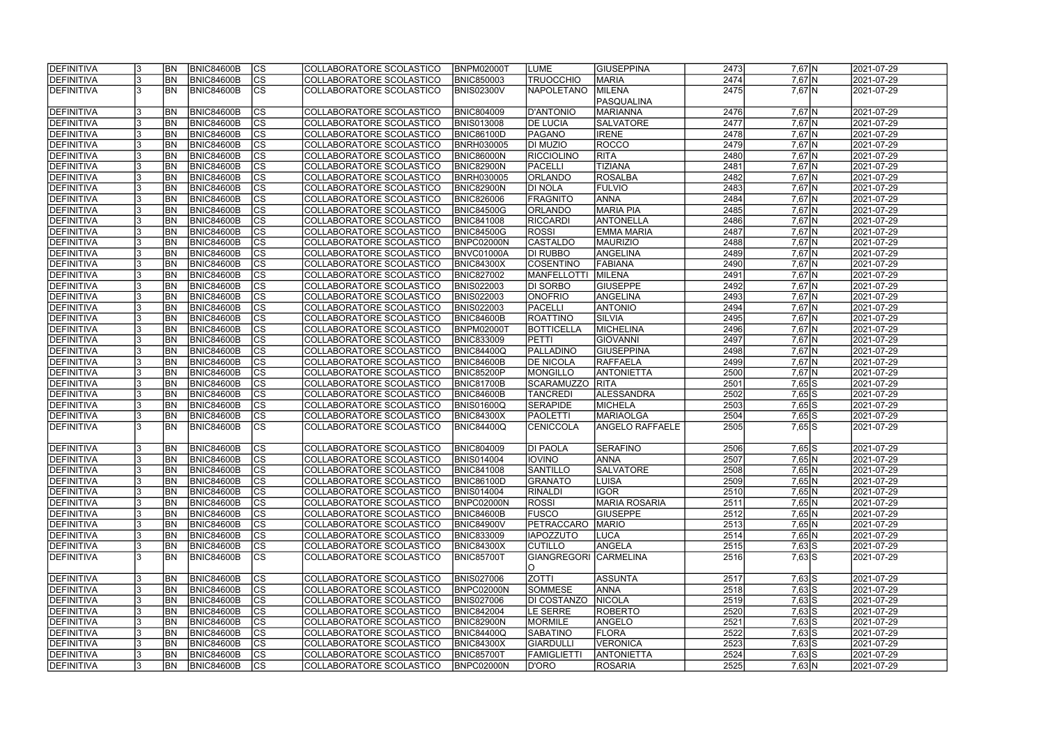| <b>IDEFINITIVA</b> |     | <b>BN</b>      | <b>BNIC84600B</b> | lcs                      | COLLABORATORE SCOLASTICO        | <b>BNPM02000T</b> | LUME                  | GIUSEPPINA             | 2473 | $7,67$ N   | 2021-07-29 |
|--------------------|-----|----------------|-------------------|--------------------------|---------------------------------|-------------------|-----------------------|------------------------|------|------------|------------|
| <b>DEFINITIVA</b>  |     | <b>BN</b>      | <b>BNIC84600B</b> | cs                       | COLLABORATORE SCOLASTICO        | <b>BNIC850003</b> | <b>TRUOCCHIO</b>      | <b>MARIA</b>           | 2474 | $7,67$ N   | 2021-07-29 |
| DEFINITIVA         |     | <b>BN</b>      | <b>BNIC84600B</b> | cs                       | COLLABORATORE SCOLASTICO        | <b>BNIS02300V</b> | <b>NAPOLETANO</b>     | <b>MILENA</b>          | 2475 | $7,67$ N   | 2021-07-29 |
|                    |     |                |                   |                          |                                 |                   |                       | PASQUALINA             |      |            |            |
| <b>DEFINITIVA</b>  |     | <b>BN</b>      | <b>BNIC84600B</b> | <b>CS</b>                | COLLABORATORE SCOLASTICO        | <b>BNIC804009</b> | <b>D'ANTONIO</b>      | MARIANNA               | 2476 | $7,67$ N   | 2021-07-29 |
| DEFINITIVA         |     | <b>BN</b>      | <b>BNIC84600B</b> | cs                       | COLLABORATORE SCOLASTICO        | <b>BNIS013008</b> | <b>DE LUCIA</b>       | <b>SALVATORE</b>       | 2477 | $7,67$ N   | 2021-07-29 |
| DEFINITIVA         |     | <b>BN</b>      | <b>BNIC84600B</b> | cs                       | COLLABORATORE SCOLASTICO        | <b>BNIC86100D</b> | PAGANO                | <b>IRENE</b>           | 2478 | $7,67$ N   | 2021-07-29 |
| DEFINITIVA         |     | BN             | BNIC84600B        | cs                       | COLLABORATORE SCOLASTICO        | <b>BNRH030005</b> | DI MUZIO              | <b>ROCCO</b>           | 2479 | $7,67$ N   | 2021-07-29 |
| DEFINITIVA         |     | BN             | <b>BNIC84600B</b> | cs                       | COLLABORATORE SCOLASTICO        | <b>BNIC86000N</b> | RICCIOLINO            | <b>RITA</b>            | 2480 | $7,67$ N   | 2021-07-29 |
|                    |     | BN             |                   |                          |                                 |                   |                       |                        |      |            |            |
| DEFINITIVA         |     |                | <b>BNIC84600B</b> | cs                       | COLLABORATORE SCOLASTICO        | <b>BNIC82900N</b> | PACELLI               | <b>TIZIANA</b>         | 2481 | $7,67$ N   | 2021-07-29 |
| DEFINITIVA         |     | <b>BN</b>      | <b>BNIC84600B</b> | cs                       | COLLABORATORE SCOLASTICO        | <b>BNRH030005</b> | <b>ORLANDO</b>        | <b>ROSALBA</b>         | 2482 | $7,67$ N   | 2021-07-29 |
| DEFINITIVA         |     | <b>BN</b>      | <b>BNIC84600B</b> | $\overline{\text{cs}}$   | COLLABORATORE SCOLASTICO        | <b>BNIC82900N</b> | <b>DI NOLA</b>        | <b>FULVIO</b>          | 2483 | $7,67$ N   | 2021-07-29 |
| DEFINITIVA         |     | <b>BN</b>      | <b>BNIC84600B</b> | $\overline{\text{cs}}$   | <b>COLLABORATORE SCOLASTICO</b> | <b>BNIC826006</b> | <b>FRAGNITO</b>       | <b>ANNA</b>            | 2484 | $7,67$ N   | 2021-07-29 |
| DEFINITIVA         |     | <b>BN</b>      | <b>BNIC84600B</b> | $\overline{\text{cs}}$   | COLLABORATORE SCOLASTICO        | <b>BNIC84500G</b> | <b>ORLANDO</b>        | <b>MARIA PIA</b>       | 2485 | $7,67$ N   | 2021-07-29 |
| DEFINITIVA         |     | <b>BN</b>      | <b>BNIC84600B</b> | $ \overline{\text{cs}} $ | COLLABORATORE SCOLASTICO        | <b>BNIC841008</b> | <b>RICCARDI</b>       | <b>ANTONELLA</b>       | 2486 | $7,67$ N   | 2021-07-29 |
| DEFINITIVA         |     | <b>BN</b>      | <b>BNIC84600B</b> | $ \overline{\text{cs}} $ | COLLABORATORE SCOLASTICO        | <b>BNIC84500G</b> | <b>ROSSI</b>          | <b>EMMA MARIA</b>      | 2487 | $7,67$ N   | 2021-07-29 |
| DEFINITIVA         |     | <b>BN</b>      | BNIC84600B        | $ \overline{\text{cs}} $ | COLLABORATORE SCOLASTICO        | BNPC02000N        | <b>CASTALDO</b>       | <b>MAURIZIO</b>        | 2488 | $7,67$ N   | 2021-07-29 |
| DEFINITIVA         |     | BN             | BNIC84600B        | $ \mathsf{CS} $          | COLLABORATORE SCOLASTICO        | BNVC01000A        | DI RUBBO              | ANGELINA               | 2489 | $7,67$ N   | 2021-07-29 |
| DEFINITIVA         |     | BN             | <b>BNIC84600B</b> | cs                       | COLLABORATORE SCOLASTICO        | <b>BNIC84300X</b> | <b>COSENTINO</b>      | <b>FABIANA</b>         | 2490 | $7,67$ N   | 2021-07-29 |
| DEFINITIVA         |     | BN             | BNIC84600B        | cs                       | COLLABORATORE SCOLASTICO        | <b>BNIC827002</b> | <b>MANFELLOTTI</b>    | MILENA                 | 2491 | $7,67$ N   | 2021-07-29 |
| DEFINITIVA         |     | BN             | BNIC84600B        | $ \overline{\text{cs}} $ | COLLABORATORE SCOLASTICO        | <b>BNIS022003</b> | DI SORBO              | <b>GIUSEPPE</b>        | 2492 | $7,67$ N   | 2021-07-29 |
| DEFINITIVA         |     | <b>BN</b>      | <b>BNIC84600B</b> | <b>CS</b>                | COLLABORATORE SCOLASTICO        | <b>BNIS022003</b> | <b>ONOFRIO</b>        | ANGELINA               | 2493 | $7,67$ N   | 2021-07-29 |
| DEFINITIVA         |     | <b>BN</b>      | <b>BNIC84600B</b> | <b>CS</b>                | COLLABORATORE SCOLASTICO        | <b>BNIS022003</b> | PACELLI               | <b>ANTONIO</b>         | 2494 | $7,67$ N   | 2021-07-29 |
|                    |     |                |                   |                          |                                 |                   |                       |                        |      |            |            |
| DEFINITIVA         |     | <b>BN</b>      | <b>BNIC84600B</b> | <b>CS</b>                | COLLABORATORE SCOLASTICO        | <b>BNIC84600B</b> | <b>ROATTINO</b>       | SILVIA                 | 2495 | $7,67$ N   | 2021-07-29 |
| DEFINITIVA         |     | <b>BN</b>      | <b>BNIC84600B</b> | CS                       | COLLABORATORE SCOLASTICO        | <b>BNPM02000T</b> | <b>BOTTICELLA</b>     | <b>MICHELINA</b>       | 2496 | $7,67$ N   | 2021-07-29 |
| DEFINITIVA         |     | <b>BN</b>      | <b>BNIC84600B</b> | CS                       | COLLABORATORE SCOLASTICO        | <b>ENIC833009</b> | <b>PETTI</b>          | <b>GIOVANNI</b>        | 2497 | $7,67$ N   | 2021-07-29 |
| DEFINITIVA         |     | <b>BN</b>      | <b>BNIC84600B</b> | <b>CS</b>                | COLLABORATORE SCOLASTICO        | <b>BNIC84400Q</b> | PALLADINO             | GIUSEPPINA             | 2498 | $7,67$ N   | 2021-07-29 |
| DEFINITIVA         |     | <b>BN</b>      | <b>BNIC84600B</b> | cs                       | COLLABORATORE SCOLASTICO        | <b>BNIC84600B</b> | <b>DE NICOLA</b>      | RAFFAELA               | 2499 | $7,67$ N   | 2021-07-29 |
| DEFINITIVA         |     | <b>BN</b>      | <b>BNIC84600B</b> | cs                       | COLLABORATORE SCOLASTICO        | <b>BNIC85200P</b> | MONGILLO              | <b>ANTONIETTA</b>      | 2500 | $7,67$ N   | 2021-07-29 |
| DEFINITIVA         |     | <b>BN</b>      | <b>BNIC84600B</b> | cs                       | COLLABORATORE SCOLASTICO        | <b>BNIC81700B</b> | <b>SCARAMUZZO</b>     | RITA                   | 2501 | $7,65$ S   | 2021-07-29 |
| DEFINITIVA         |     | <b>BN</b>      | <b>BNIC84600B</b> | $\overline{\text{cs}}$   | COLLABORATORE SCOLASTICO        | <b>BNIC84600B</b> | <b>TANCREDI</b>       | ALESSANDRA             | 2502 | $7,65$ S   | 2021-07-29 |
| DEFINITIVA         |     | <b>BN</b>      | <b>BNIC84600B</b> | cs                       | COLLABORATORE SCOLASTICO        | <b>BNIS01600Q</b> | <b>SERAPIDE</b>       | MICHELA                | 2503 | $7,65$ S   | 2021-07-29 |
| DEFINITIVA         |     | <b>BN</b>      | <b>BNIC84600B</b> | cs                       | COLLABORATORE SCOLASTICO        | <b>BNIC84300X</b> | <b>PAOLETTI</b>       | MARIAOLGA              | 2504 | $7,65$ S   | 2021-07-29 |
| DEFINITIVA         |     | <b>BN</b>      | <b>BNIC84600B</b> | $\overline{\text{CS}}$   | COLLABORATORE SCOLASTICO        | BNIC84400Q        | <b>CENICCOLA</b>      | <b>ANGELO RAFFAELE</b> | 2505 | $7,65$ S   | 2021-07-29 |
|                    |     |                |                   |                          |                                 |                   |                       |                        |      |            |            |
| DEFINITIVA         |     | BN             | <b>BNIC84600B</b> | <b>CS</b>                | COLLABORATORE SCOLASTICO        | <b>BNIC804009</b> | <b>DI PAOLA</b>       | <b>SERAFINO</b>        | 2506 | $7,65$ S   | 2021-07-29 |
| <b>DEFINITIVA</b>  |     | <b>BN</b>      | <b>BNIC84600B</b> | ျပၖ                      | COLLABORATORE SCOLASTICO        | <b>BNIS014004</b> | <b>IOVINO</b>         | <b>ANNA</b>            | 2507 | 7,65 N     | 2021-07-29 |
| <b>DEFINITIVA</b>  |     | <b>BN</b>      | <b>BNIC84600B</b> | <b>CS</b>                | COLLABORATORE SCOLASTICO        | <b>BNIC841008</b> | <b>SANTILLO</b>       | <b>SALVATORE</b>       | 2508 | $7,65$ N   | 2021-07-29 |
| <b>DEFINITIVA</b>  |     | <b>BN</b>      | <b>BNIC84600B</b> | <b>CS</b>                | COLLABORATORE SCOLASTICO        | <b>BNIC86100D</b> | <b>GRANATO</b>        | <b>LUISA</b>           | 2509 | $7,65$ N   | 2021-07-29 |
|                    |     |                |                   |                          |                                 |                   |                       |                        |      |            |            |
| DEFINITIVA         |     | BN <sub></sub> | BNIC84600B        | CS                       | COLLABORATORE SCOLASTICO        | <b>BNIS014004</b> | <b>RINALDI</b>        | <b>IGOR</b>            | 2510 | 7,65 N     | 2021-07-29 |
| DEFINITIVA         | 13. | <b>BN</b>      | <b>BNIC84600B</b> | CS                       | COLLABORATORE SCOLASTICO        | BNPC02000N        | <b>ROSSI</b>          | <b>MARIA ROSARIA</b>   | 2511 | 7,65 N     | 2021-07-29 |
| DEFINITIVA         |     | <b>BN</b>      | <b>BNIC84600B</b> | <b>CS</b>                | COLLABORATORE SCOLASTICO        | <b>BNIC84600B</b> | <b>FUSCO</b>          | <b>GIUSEPPE</b>        | 2512 | 7,65 N     | 2021-07-29 |
| DEFINITIVA         |     | <b>BN</b>      | BNIC84600B        | <b>CS</b>                | COLLABORATORE SCOLASTICO        | <b>BNIC84900V</b> | PETRACCARO            | <b>MARIO</b>           | 2513 | 7,65 N     | 2021-07-29 |
| DEFINITIVA         |     | <b>BN</b>      | <b>BNIC84600B</b> | <b>CS</b>                | COLLABORATORE SCOLASTICO        | <b>BNIC833009</b> | <b>IAPOZZUTO</b>      | <b>LUCA</b>            | 2514 | $7,65$ N   | 2021-07-29 |
| DEFINITIVA         |     | <b>BN</b>      | BNIC84600B        | cs                       | COLLABORATORE SCOLASTICO        | <b>BNIC84300X</b> | <b>CUTILLO</b>        | ANGELA                 | 2515 | $7,63$ S   | 2021-07-29 |
| DEFINITIVA         |     | IBN.           | <b>BNIC84600B</b> | Ics                      | COLLABORATORE SCOLASTICO        | <b>BNIC85700T</b> | GIANGREGORI CARMELINA |                        | 2516 | $7,63$ $S$ | 2021-07-29 |
|                    |     |                |                   |                          |                                 |                   | O                     |                        |      |            |            |
| DEFINITIVA         |     | <b>BN</b>      | <b>BNIC84600B</b> | CS                       | COLLABORATORE SCOLASTICO        | <b>BNIS027006</b> | <b>ZOTTI</b>          | ASSUNTA                | 2517 | $7,63$ S   | 2021-07-29 |
| DEFINITIVA         |     | <b>BN</b>      | <b>BNIC84600B</b> | cs                       | COLLABORATORE SCOLASTICO        | BNPC02000N        | <b>SOMMESE</b>        | <b>ANNA</b>            | 2518 | $7,63$ S   | 2021-07-29 |
| DEFINITIVA         |     | <b>BN</b>      | <b>BNIC84600B</b> | <b>CS</b>                | COLLABORATORE SCOLASTICO        | <b>BNIS027006</b> | <b>DI COSTANZO</b>    | <b>NICOLA</b>          | 2519 | $7,63$ S   | 2021-07-29 |
| DEFINITIVA         |     | <b>BN</b>      | <b>BNIC84600B</b> | cs                       | COLLABORATORE SCOLASTICO        | <b>BNIC842004</b> | LE SERRE              | <b>ROBERTO</b>         | 2520 | $7,63$ S   | 2021-07-29 |
| DEFINITIVA         |     | <b>BN</b>      | BNIC84600B        | <b>CS</b>                | COLLABORATORE SCOLASTICO        | <b>BNIC82900N</b> | MORMILE               | ANGELO                 | 2521 | $7,63$ S   | 2021-07-29 |
| DEFINITIVA         |     | <b>BN</b>      | <b>BNIC84600B</b> | <b>CS</b>                | COLLABORATORE SCOLASTICO        | <b>BNIC84400Q</b> | <b>SABATINO</b>       | FLORA                  | 2522 | $7,63$ S   | 2021-07-29 |
| DEFINITIVA         |     | <b>BN</b>      | <b>BNIC84600B</b> | <b>CS</b>                | COLLABORATORE SCOLASTICO        | <b>BNIC84300X</b> | <b>GIARDULLI</b>      | <b>VERONICA</b>        | 2523 | $7,63$ S   | 2021-07-29 |
|                    |     |                |                   |                          |                                 |                   |                       |                        |      |            |            |
| DEFINITIVA         |     | <b>BN</b>      | <b>BNIC84600B</b> | <b>CS</b>                | COLLABORATORE SCOLASTICO        | <b>BNIC85700T</b> | FAMIGLIETTI           | <b>ANTONIETTA</b>      | 2524 | $7,63$ S   | 2021-07-29 |
| DEFINITIVA         | 13. | <b>BN</b>      | <b>BNIC84600B</b> | <b>CS</b>                | COLLABORATORE SCOLASTICO        | <b>BNPC02000N</b> | D'ORO                 | <b>ROSARIA</b>         | 2525 | 7,63 N     | 2021-07-29 |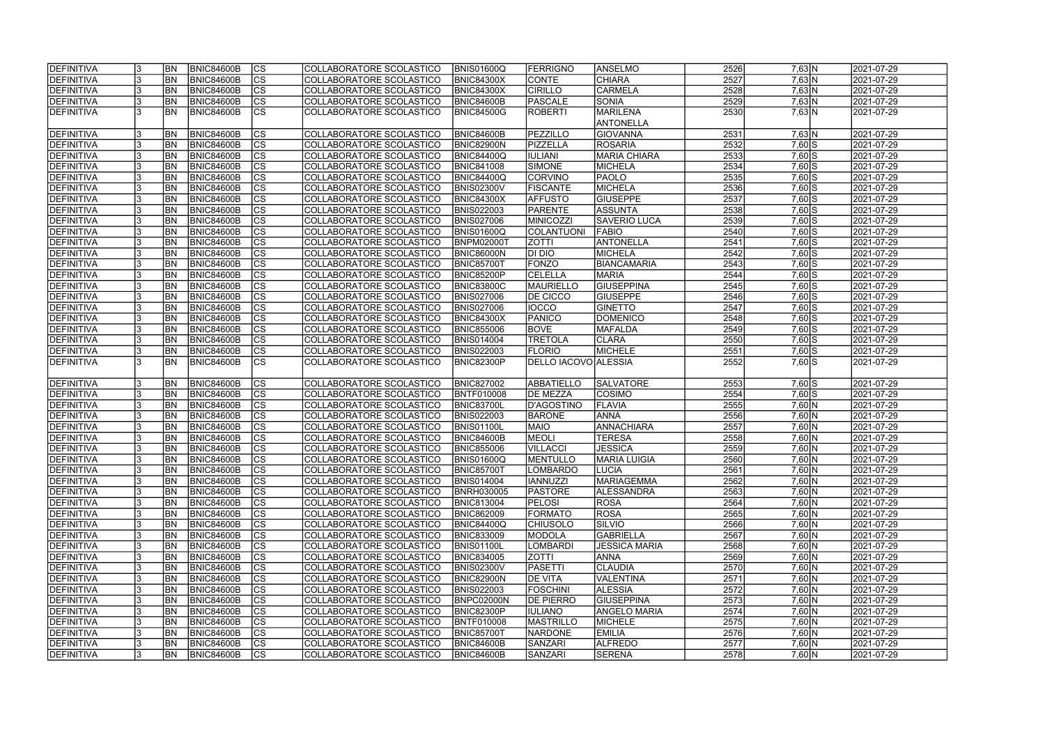| <b>IDEFINITIVA</b> | <b>BN</b> | <b>BNIC84600B</b> | lcs                      | COLLABORATORE SCOLASTICO        | <b>BNIS01600Q</b> | <b>FERRIGNO</b>      | <b>ANSELMO</b>       | 2526 | 7,63 N         | 2021-07-29              |
|--------------------|-----------|-------------------|--------------------------|---------------------------------|-------------------|----------------------|----------------------|------|----------------|-------------------------|
| DEFINITIVA         | <b>BN</b> | <b>BNIC84600B</b> | cs                       | COLLABORATORE SCOLASTICO        | <b>BNIC84300X</b> | <b>CONTE</b>         | <b>CHIARA</b>        | 2527 | 7,63 N         | 2021-07-29              |
| <b>DEFINITIVA</b>  | <b>BN</b> | <b>BNIC84600B</b> | $ \overline{\text{cs}} $ | COLLABORATORE SCOLASTICO        | <b>BNIC84300X</b> | <b>CIRILLO</b>       | <b>CARMELA</b>       | 2528 | 7,63 N         | 2021-07-29              |
| <b>DEFINITIVA</b>  | BN        | <b>BNIC84600B</b> | $\overline{\text{CS}}$   | COLLABORATORE SCOLASTICO        | BNIC84600B        | PASCALE              | SONIA                | 2529 | $7,63$ N       | 2021-07-29              |
| <b>DEFINITIVA</b>  | <b>BN</b> | <b>BNIC84600B</b> | $\overline{\text{CS}}$   | COLLABORATORE SCOLASTICO        | BNIC84500G        | ROBERTI              | <b>MARILENA</b>      | 2530 | 7,63 N         | 2021-07-29              |
|                    |           |                   |                          |                                 |                   |                      | <b>ANTONELLA</b>     |      |                |                         |
| <b>DEFINITIVA</b>  | BN        | <b>BNIC84600B</b> | CS                       | COLLABORATORE SCOLASTICO        | BNIC84600B        | PEZZILLO             | <b>GIOVANNA</b>      | 2531 | 7,63 N         | 2021-07-29              |
| <b>DEFINITIVA</b>  | <b>BN</b> | <b>BNIC84600B</b> | $\overline{\text{CS}}$   | COLLABORATORE SCOLASTICO        | <b>BNIC82900N</b> | PIZZELLA             | <b>ROSARIA</b>       | 2532 | $7,60$ S       | 2021-07-29              |
| <b>DEFINITIVA</b>  | <b>BN</b> | <b>BNIC84600B</b> | cs                       | COLLABORATORE SCOLASTICO        | <b>BNIC84400Q</b> | <b>IULIANI</b>       | <b>MARIA CHIARA</b>  | 2533 | $7,60$ S       | 2021-07-29              |
| <b>DEFINITIVA</b>  | <b>BN</b> | <b>BNIC84600B</b> | cs                       | COLLABORATORE SCOLASTICO        | <b>BNIC841008</b> | SIMONE               | MICHELA              | 2534 | $7,60$ S       | 2021-07-29              |
| <b>DEFINITIVA</b>  | <b>BN</b> | <b>BNIC84600B</b> | $\overline{\text{CS}}$   | COLLABORATORE SCOLASTICO        | <b>BNIC84400Q</b> | <b>CORVINO</b>       | <b>PAOLO</b>         | 2535 | $7,60$ S       | 2021-07-29              |
| DEFINITIVA         | <b>BN</b> | <b>BNIC84600B</b> | cs                       | COLLABORATORE SCOLASTICO        | <b>BNIS02300V</b> | <b>FISCANTE</b>      | MICHELA              | 2536 | $7,60$ S       | 2021-07-29              |
| <b>DEFINITIVA</b>  | <b>BN</b> | <b>BNIC84600B</b> | <b>CS</b>                | <b>COLLABORATORE SCOLASTICO</b> | <b>BNIC84300X</b> | <b>AFFUSTO</b>       | GIUSEPPE             | 2537 | $7,60$ S       | 2021-07-29              |
| <b>DEFINITIVA</b>  | <b>BN</b> | <b>BNIC84600B</b> | $\overline{\text{CS}}$   | COLLABORATORE SCOLASTICO        | <b>BNIS022003</b> | PARENTE              | <b>ASSUNTA</b>       | 2538 | $7,60$ S       | 2021-07-29              |
| <b>DEFINITIVA</b>  | <b>BN</b> | <b>BNIC84600B</b> | $\overline{\text{CS}}$   | COLLABORATORE SCOLASTICO        | <b>BNIS027006</b> | <b>MINICOZZI</b>     | SAVERIO LUCA         | 2539 | $7,60$ S       | 2021-07-29              |
| <b>DEFINITIVA</b>  | <b>BN</b> | <b>BNIC84600B</b> | CS                       | COLLABORATORE SCOLASTICO        | <b>BNIS01600Q</b> | COLANTUONI           | <b>FABIO</b>         | 2540 | $7,60$ S       | 2021-07-29              |
| <b>DEFINITIVA</b>  | <b>BN</b> | <b>BNIC84600B</b> | $\overline{\text{CS}}$   | COLLABORATORE SCOLASTICO        | <b>BNPM02000T</b> | <b>ZOTTI</b>         | ANTONELLA            | 2541 | $7,60$ S       | 2021-07-29              |
| <b>DEFINITIVA</b>  | <b>BN</b> | <b>BNIC84600B</b> | CS                       | COLLABORATORE SCOLASTICO        | <b>BNIC86000N</b> | DI DIO               | <b>MICHELA</b>       | 2542 | $7,60$ S       | 2021-07-29              |
| DEFINITIVA         | <b>BN</b> | <b>BNIC84600B</b> | $\overline{\text{CS}}$   | COLLABORATORE SCOLASTICO        | <b>BNIC85700T</b> | <b>FONZO</b>         | <b>BIANCAMARIA</b>   | 2543 | $7,60$ S       | 2021-07-29              |
| <b>DEFINITIVA</b>  | BN        | <b>BNIC84600B</b> | $\overline{\text{CS}}$   | COLLABORATORE SCOLASTICO        | <b>BNIC85200P</b> | <b>CELELLA</b>       | <b>MARIA</b>         | 2544 | $7,60$ S       | 2021-07-29              |
| <b>DEFINITIVA</b>  | BN        | <b>BNIC84600B</b> | CS                       | COLLABORATORE SCOLASTICO        | <b>BNIC83800C</b> | MAURIELLO            | <b>GIUSEPPINA</b>    | 2545 | $7,60$ S       | 2021-07-29              |
| DEFINITIVA         | <b>BN</b> | <b>BNIC84600B</b> | CS                       | COLLABORATORE SCOLASTICO        | <b>BNIS027006</b> | <b>DE CICCO</b>      | <b>GIUSEPPE</b>      | 2546 | $7,60$ S       | 2021-07-29              |
| <b>DEFINITIVA</b>  | <b>BN</b> | <b>BNIC84600B</b> | <b>CS</b>                | COLLABORATORE SCOLASTICO        | <b>BNIS027006</b> | IOCCO                | <b>GINETTO</b>       | 2547 | $7,60$ S       | 2021-07-29              |
| <b>DEFINITIVA</b>  | <b>BN</b> | <b>BNIC84600B</b> | <b>CS</b>                | COLLABORATORE SCOLASTICO        | <b>BNIC84300X</b> | PANICO               | DOMENICO             | 2548 | $7,60$ S       | 2021-07-29              |
| <b>DEFINITIVA</b>  | <b>BN</b> | <b>BNIC84600B</b> | lcs                      | COLLABORATORE SCOLASTICO        | <b>BNIC855006</b> | <b>BOVE</b>          | <b>MAFALDA</b>       | 2549 | $7,60$ S       | 2021-07-29              |
| <b>DEFINITIVA</b>  | <b>BN</b> | <b>BNIC84600B</b> | <b>CS</b>                | COLLABORATORE SCOLASTICO        | <b>BNIS014004</b> | <b>TRETOLA</b>       | <b>CLARA</b>         | 2550 | $7,60$ S       | 2021-07-29              |
| <b>DEFINITIVA</b>  | <b>BN</b> | <b>BNIC84600B</b> | lcs                      | COLLABORATORE SCOLASTICO        | <b>BNIS022003</b> | <b>FLORIO</b>        | <b>MICHELE</b>       | 2551 | $7,60$ S       | 2021-07-29              |
| <b>DEFINITIVA</b>  | <b>BN</b> | <b>BNIC84600B</b> | <b>CS</b>                | COLLABORATORE SCOLASTICO        | <b>BNIC82300P</b> | DELLO IACOVO ALESSIA |                      | 2552 | $7,60$ S       | 2021-07-29              |
|                    |           |                   |                          |                                 |                   |                      |                      |      |                |                         |
| <b>DEFINITIVA</b>  | <b>BN</b> | <b>BNIC84600B</b> | <b>CS</b>                | COLLABORATORE SCOLASTICO        | <b>BNIC827002</b> | ABBATIELLO           | <b>SALVATORE</b>     | 2553 | $7,60$ S       | 2021-07-29              |
| <b>DEFINITIVA</b>  | <b>BN</b> | <b>BNIC84600B</b> | $ \overline{\text{CS}} $ | COLLABORATORE SCOLASTICO        | <b>BNTF010008</b> | <b>DE MEZZA</b>      | <b>COSIMO</b>        | 2554 | $7,60$ S       | 2021-07-29              |
| DEFINITIVA         | <b>BN</b> | <b>BNIC84600B</b> | $\overline{\text{CS}}$   | COLLABORATORE SCOLASTICO        | <b>BNIC83700L</b> | D'AGOSTINO           | FLAVIA               | 2555 | 7,60 N         | 2021-07-29              |
| <b>DEFINITIVA</b>  | <b>BN</b> | <b>BNIC84600B</b> | $\overline{\text{CS}}$   | COLLABORATORE SCOLASTICO        | <b>BNIS022003</b> | <b>BARONE</b>        | <b>ANNA</b>          | 2556 | 7,60 N         | 2021-07-29              |
| DEFINITIVA         | <b>BN</b> | <b>BNIC84600B</b> | $\overline{\text{CS}}$   | COLLABORATORE SCOLASTICO        | <b>BNIS01100L</b> | <b>MAIO</b>          | ANNACHIARA           | 2557 | 7,60 N         | 2021-07-29              |
| DEFINITIVA         | <b>BN</b> | <b>BNIC84600B</b> | $\overline{\text{cs}}$   | COLLABORATORE SCOLASTICO        | BNIC84600B        | MEOLI                | <b>TERESA</b>        | 2558 | 7,60 N         | 2021-07-29              |
| DEFINITIVA         | <b>BN</b> | <b>BNIC84600B</b> | $\overline{\text{CS}}$   | COLLABORATORE SCOLASTICO        | <b>BNIC855006</b> | <b>VILLACCI</b>      | <b>JESSICA</b>       | 2559 | $7,60$ N       | 2021-07-29              |
| <b>DEFINITIVA</b>  | <b>BN</b> | BNIC84600B        | CS                       | COLLABORATORE SCOLASTICO        | <b>BNIS01600Q</b> | <b>MENTULLO</b>      | <b>MARIA LUIGIA</b>  | 2560 | $7,60 \ N$     | 2021-07-29              |
| DEFINITIVA         | <b>BN</b> | <b>BNIC84600B</b> | lcs                      | COLLABORATORE SCOLASTICO        | <b>BNIC85700T</b> | <b>LOMBARDO</b>      | LUCIA                | 2561 | $7,60 \ N$     | 2021-07-29              |
| <b>DEFINITIVA</b>  | <b>BN</b> | BNIC84600B        | CS                       | COLLABORATORE SCOLASTICO        | <b>BNIS014004</b> | <b>IANNUZZI</b>      | <b>MARIAGEMMA</b>    | 2562 | $7,60 \ N$     | 2021-07-29              |
| <b>DEFINITIVA</b>  | <b>BN</b> | <b>BNIC84600B</b> | <b>CS</b>                | COLLABORATORE SCOLASTICO        | <b>BNRH030005</b> | <b>PASTORE</b>       | <b>ALESSANDRA</b>    | 2563 | $7,60 \ N$     | 2021-07-29              |
| <b>DEFINITIVA</b>  | <b>BN</b> | <b>BNIC84600B</b> | <b>CS</b>                | COLLABORATORE SCOLASTICO        | <b>BNIC813004</b> | <b>PELOSI</b>        | <b>ROSA</b>          | 2564 | $7,60 \vert N$ | 2021-07-29              |
| <b>DEFINITIVA</b>  | <b>BN</b> | <b>BNIC84600B</b> | CS                       | COLLABORATORE SCOLASTICO        | <b>BNIC862009</b> | <b>FORMATO</b>       | <b>ROSA</b>          | 2565 | $7,60 \vert N$ | 2021-07-29              |
| <b>DEFINITIVA</b>  | <b>BN</b> | <b>BNIC84600B</b> | CS                       | COLLABORATORE SCOLASTICO        | <b>BNIC84400Q</b> | <b>CHIUSOLO</b>      | SILVIO               | 2566 | $7,60 \ N$     | 2021-07-29              |
| <b>DEFINITIVA</b>  | <b>BN</b> | <b>BNIC84600B</b> | <b>CS</b>                | COLLABORATORE SCOLASTICO        | <b>BNIC833009</b> | <b>MODOLA</b>        | <b>GABRIELLA</b>     | 2567 | $7,60 \ N$     | 2021-07-29              |
| <b>DEFINITIVA</b>  | <b>BN</b> | BNIC84600B        | cs                       | COLLABORATORE SCOLASTICO        | <b>BNIS01100L</b> | LOMBARDI             | <b>JESSICA MARIA</b> | 2568 | 7,60 N         | $\sqrt{2021} - 07 - 29$ |
| <b>DEFINITIVA</b>  | <b>BN</b> | BNIC84600B        | CS                       | COLLABORATORE SCOLASTICO        | <b>BNIC834005</b> | <b>ZOTTI</b>         | <b>ANNA</b>          | 2569 | $7,60 \ N$     | 2021-07-29              |
| <b>DEFINITIVA</b>  | <b>BN</b> | <b>BNIC84600B</b> | CS                       | COLLABORATORE SCOLASTICO        | <b>BNIS02300V</b> | <b>PASETTI</b>       | <b>CLAUDIA</b>       | 2570 | 7,60 N         | 2021-07-29              |
| <b>DEFINITIVA</b>  | <b>BN</b> | <b>BNIC84600B</b> | <b>CS</b>                | COLLABORATORE SCOLASTICO        | <b>BNIC82900N</b> | <b>DE VITA</b>       | VALENTINA            | 2571 | $7,60 \vert N$ | 2021-07-29              |
| <b>DEFINITIVA</b>  | <b>BN</b> | <b>BNIC84600B</b> | $\overline{\text{CS}}$   | COLLABORATORE SCOLASTICO        | <b>BNIS022003</b> | <b>FOSCHINI</b>      | <b>ALESSIA</b>       | 2572 | 7,60 N         | 2021-07-29              |
| <b>DEFINITIVA</b>  | <b>BN</b> | <b>BNIC84600B</b> | $\overline{\text{CS}}$   | COLLABORATORE SCOLASTICO        | BNPC02000N        | <b>DE PIERRO</b>     | <b>GIUSEPPINA</b>    | 2573 | 7,60 N         | 2021-07-29              |
| <b>DEFINITIVA</b>  | <b>BN</b> | <b>BNIC84600B</b> | <b>CS</b>                | COLLABORATORE SCOLASTICO        | <b>BNIC82300P</b> | <b>IULIANO</b>       | <b>ANGELO MARIA</b>  | 2574 | 7,60 N         | 2021-07-29              |
| <b>DEFINITIVA</b>  | <b>BN</b> | <b>BNIC84600B</b> | CS                       | COLLABORATORE SCOLASTICO        | <b>BNTF010008</b> | <b>MASTRILLO</b>     | MICHELE              | 2575 | $7,60$ N       | 2021-07-29              |
| <b>DEFINITIVA</b>  | IBN.      | <b>BNIC84600B</b> | CS                       | COLLABORATORE SCOLASTICO        | <b>BNIC85700T</b> | <b>NARDONE</b>       | <b>EMILIA</b>        | 2576 | 7,60 N         | 2021-07-29              |
| <b>DEFINITIVA</b>  | <b>BN</b> | <b>BNIC84600B</b> | CS                       | COLLABORATORE SCOLASTICO        | <b>BNIC84600B</b> | <b>SANZARI</b>       | <b>ALFREDO</b>       | 2577 | $7,60 \ N$     | 2021-07-29              |
| <b>DEFINITIVA</b>  | <b>BN</b> | <b>BNIC84600B</b> | CS                       | COLLABORATORE SCOLASTICO        | <b>BNIC84600B</b> | <b>SANZARI</b>       | <b>SERENA</b>        | 2578 | $7,60 \vert N$ | 2021-07-29              |
|                    |           |                   |                          |                                 |                   |                      |                      |      |                |                         |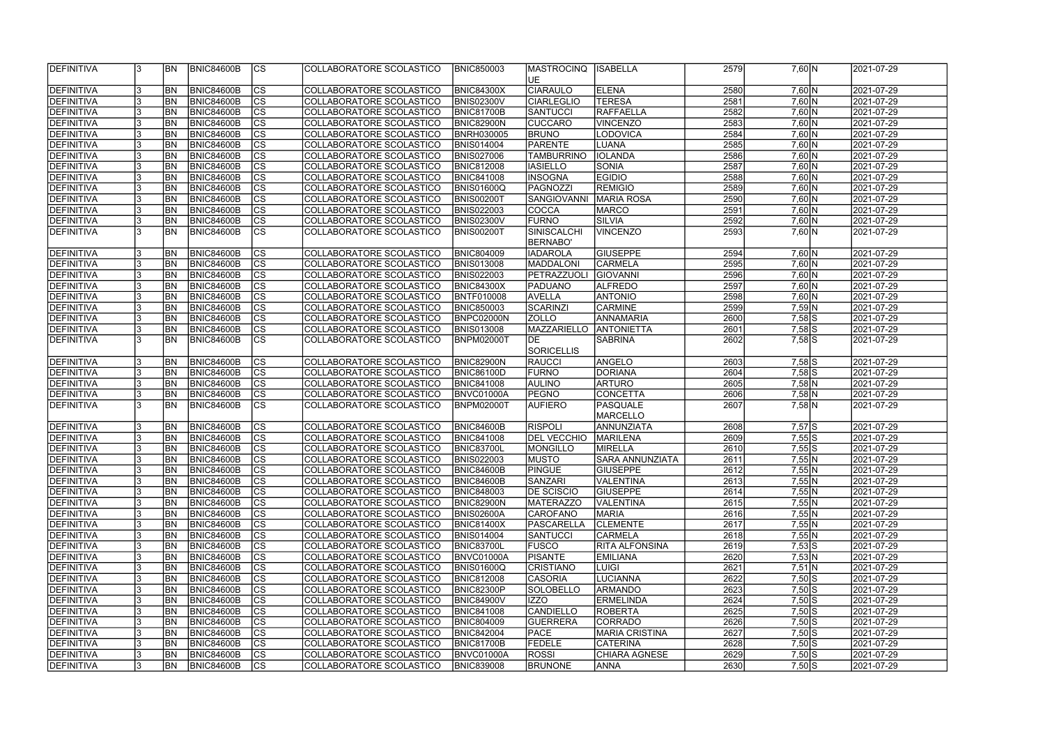| DEFINITIVA         |    | <b>BN</b>  | <b>BNIC84600B</b> | <sub>Ics</sub>         | COLLABORATORE SCOLASTICO  | <b>BNIC850003</b> | <b>MASTROCINQ</b>  | <b>ISABELLA</b>       | 2579 | 7,60 N                 | 2021-07-29 |
|--------------------|----|------------|-------------------|------------------------|---------------------------|-------------------|--------------------|-----------------------|------|------------------------|------------|
|                    |    |            |                   |                        |                           |                   | UE.                |                       |      |                        |            |
| DEFINITIVA         |    | <b>BN</b>  | <b>BNIC84600B</b> | cs                     | COLLABORATORE SCOLASTICO  | <b>BNIC84300X</b> | <b>CIARAULO</b>    | <b>ELENA</b>          | 2580 | 7,60 N                 | 2021-07-29 |
| <b>DEFINITIVA</b>  |    | BN         | BNIC84600B        | $\overline{c}$         | COLLABORATORE SCOLASTICO  | <b>BNIS02300V</b> | <b>CIARLEGLIO</b>  | <b>TERESA</b>         | 2581 | $7,60$ N               | 2021-07-29 |
|                    |    | <b>BN</b>  |                   | $\overline{c}$         | COLLABORATORE SCOLASTICO  |                   |                    |                       | 2582 | $7,60$ N               |            |
| DEFINITIVA         |    |            | BNIC84600B        |                        |                           | <b>BNIC81700B</b> | SANTUCCI           | <b>RAFFAELLA</b>      |      |                        | 2021-07-29 |
| <b>DEFINITIVA</b>  |    | <b>BN</b>  | BNIC84600B        | $\overline{\text{cs}}$ | COLLABORATORE SCOLASTICO  | <b>BNIC82900N</b> | <b>CUCCARO</b>     | VINCENZO              | 2583 | 7,60 N                 | 2021-07-29 |
| DEFINITIVA         |    | BN         | <b>BNIC84600B</b> | $\overline{c}$         | COLLABORATORE SCOLASTICO  | <b>BNRH030005</b> | <b>BRUNO</b>       | LODOVICA              | 2584 | 7,60 N                 | 2021-07-29 |
| DEFINITIVA         |    | BN         | <b>BNIC84600B</b> | cs                     | COLLABORATORE SCOLASTICO  | <b>BNIS014004</b> | PARENTE            | LUANA                 | 2585 | 7,60 N                 | 2021-07-29 |
| DEFINITIVA         |    | BN         | <b>BNIC84600B</b> | $\overline{c}$         | COLLABORATORE SCOLASTICO  | <b>BNIS027006</b> | <b>TAMBURRINO</b>  | <b>IOLANDA</b>        | 2586 | 7,60 N                 | 2021-07-29 |
| DEFINITIVA         |    | <b>BN</b>  | <b>BNIC84600B</b> | cs                     | COLLABORATORE SCOLASTICO  | <b>BNIC812008</b> | <b>IASIELLO</b>    | <b>SONIA</b>          | 2587 | 7,60 N                 | 2021-07-29 |
| <b>DEFINITIVA</b>  |    | BN         | <b>BNIC84600B</b> | $ {\rm cs} $           | COLLABORATORE SCOLASTICO  | <b>BNIC841008</b> | <b>INSOGNA</b>     | <b>EGIDIO</b>         | 2588 | 7,60 N                 | 2021-07-29 |
| DEFINITIVA         |    | <b>BN</b>  | <b>BNIC84600B</b> | $ {\rm cs} $           | COLLABORATORE SCOLASTICO  | <b>BNIS01600Q</b> | PAGNOZZI           | <b>REMIGIO</b>        | 2589 | 7,60 N                 | 2021-07-29 |
| DEFINITIVA         |    | <b>BN</b>  | <b>BNIC84600B</b> | cs                     | COLLABORATORE SCOLASTICO  | <b>BNIS00200T</b> | SANGIOVANNI        | <b>MARIA ROSA</b>     | 2590 | $7,60\overline{\rm N}$ | 2021-07-29 |
| DEFINITIVA         |    | <b>BN</b>  | <b>BNIC84600B</b> | cs                     | COLLABORATORE SCOLASTICO  | <b>BNIS022003</b> | COCCA              | <b>MARCO</b>          | 2591 | 7,60 N                 | 2021-07-29 |
| DEFINITIVA         |    | <b>BN</b>  | <b>BNIC84600B</b> | cs                     | COLLABORATORE SCOLASTICO  | <b>BNIS02300V</b> | FURNO              | SILVIA                | 2592 | 7,60 N                 | 2021-07-29 |
| DEFINITIVA         |    | <b>BN</b>  | <b>BNIC84600B</b> | $\overline{\text{cs}}$ | COLLABORATORE SCOLASTICO  | <b>BNIS00200T</b> | SINISCALCHI        | <b>VINCENZO</b>       | 2593 | 7,60 N                 | 2021-07-29 |
|                    |    |            |                   |                        |                           |                   | <b>BERNABO'</b>    |                       |      |                        |            |
| DEFINITIVA         |    | <b>BN</b>  | <b>BNIC84600B</b> | $ {\rm CS} $           | COLLABORATORE SCOLASTICO  | <b>BNIC804009</b> | <b>IADAROLA</b>    | <b>GIUSEPPE</b>       | 2594 | 7,60 N                 | 2021-07-29 |
| <b>DEFINITIVA</b>  |    | <b>BN</b>  | <b>BNIC84600B</b> | cs                     | COLLABORATORE SCOLASTICO  | <b>BNIS013008</b> | MADDALONI          | <b>CARMELA</b>        | 2595 | 7,60 N                 | 2021-07-29 |
|                    |    |            |                   |                        |                           |                   |                    |                       |      |                        |            |
| <b>DEFINITIVA</b>  |    | <b>BN</b>  | <b>BNIC84600B</b> | cs                     | COLLABORATORE SCOLASTICO  | <b>BNIS022003</b> | PETRAZZUOLI        | GIOVANNI              | 2596 | $7,60$ N               | 2021-07-29 |
| <b>DEFINITIVA</b>  |    | <b>BN</b>  | BNIC84600B        | cs                     | COLLABORATORE SCOLASTICO  | <b>BNIC84300X</b> | <b>PADUANO</b>     | <b>ALFREDO</b>        | 2597 | 7,60 N                 | 2021-07-29 |
| <b>DEFINITIVA</b>  |    | <b>BN</b>  | BNIC84600B        | <b>CS</b>              | COLLABORATORE SCOLASTICO  | <b>BNTF010008</b> | <b>AVELLA</b>      | <b>ANTONIO</b>        | 2598 | 7,60 N                 | 2021-07-29 |
| <b>DEFINITIVA</b>  |    | BN         | <b>BNIC84600B</b> | <b>CS</b>              | COLLABORATORE SCOLASTICO  | <b>BNIC850003</b> | SCARINZI           | <b>CARMINE</b>        | 2599 | 7,59 N                 | 2021-07-29 |
| DEFINITIVA         |    | BN         | <b>BNIC84600B</b> | cs                     | COLLABORATORE SCOLASTICO  | BNPC02000N        | <b>ZOLLO</b>       | ANNAMARIA             | 2600 | $7,58$ S               | 2021-07-29 |
| DEFINITIVA         |    | BN         | <b>BNIC84600B</b> | $ {\rm cs} $           | COLLABORATORE SCOLASTICO  | <b>BNIS013008</b> | MAZZARIELLO        | <b>ANTONIETTA</b>     | 2601 | $7,58$ S               | 2021-07-29 |
| DEFINITIVA         |    | BN         | <b>BNIC84600B</b> | cs                     | COLLABORATORE SCOLASTICO  | BNPM02000T        | <b>I</b> DE        | <b>SABRINA</b>        | 2602 | $7,58$ S               | 2021-07-29 |
|                    |    |            |                   |                        |                           |                   | SORICELLIS         |                       |      |                        |            |
| DEFINITIVA         |    | <b>BN</b>  | <b>BNIC84600B</b> | $ {\rm cs} $           | COLLABORATORE SCOLASTICO  | BNIC82900N        | RAUCCI             | ANGELO                | 2603 | $7,58$ S               | 2021-07-29 |
| DEFINITIVA         |    | <b>BN</b>  | <b>BNIC84600B</b> | cs                     | COLLABORATORE SCOLASTICO  | <b>BNIC86100D</b> | FURNO              | DORIANA               | 2604 | $7,58$ S               | 2021-07-29 |
| DEFINITIVA         |    | <b>BN</b>  | <b>BNIC84600B</b> | cs                     | COLLABORATORE SCOLASTICO  | <b>BNIC841008</b> | <b>AULINO</b>      | <b>ARTURO</b>         | 2605 | $7,58$ N               | 2021-07-29 |
| <b>DEFINITIVA</b>  |    | <b>BN</b>  | BNIC84600B        | $\overline{c}$         | COLLABORATORE SCOLASTICO  | BNVC01000A        | <b>PEGNO</b>       | CONCETTA              | 2606 | $7,58$ N               | 2021-07-29 |
| DEFINITIVA         |    | <b>BN</b>  | BNIC84600B        | $\overline{\text{cs}}$ | COLLABORATORE SCOLASTICO  | BNPM02000T        | <b>AUFIERO</b>     | <b>PASQUALE</b>       | 2607 | $7,58$ N               | 2021-07-29 |
|                    |    |            |                   |                        |                           |                   |                    | MARCELLO              |      |                        |            |
|                    |    |            |                   |                        |                           |                   | <b>RISPOLI</b>     |                       |      |                        |            |
| DEFINITIVA         |    | <b>BN</b>  | <b>BNIC84600B</b> | cs                     | COLLABORATORE SCOLASTICO  | <b>BNIC84600B</b> |                    | ANNUNZIATA            | 2608 | $7,57$ S               | 2021-07-29 |
| DEFINITIVA         |    | <b>BN</b>  | <b>BNIC84600B</b> | cs                     | COLLABORATORE SCOLASTICO  | <b>BNIC841008</b> | <b>DEL VECCHIO</b> | <b>MARILENA</b>       | 2609 | 7,55S                  | 2021-07-29 |
| DEFINITIVA         |    | BN         | <b>BNIC84600B</b> | $\overline{c}$         | COLLABORATORE SCOLASTICO  | <b>BNIC83700L</b> | <b>MONGILLO</b>    | MIRELLA               | 2610 | $7,55$ S               | 2021-07-29 |
| <b>IDEFINITIVA</b> |    | IBN        | BNIC84600B        | CS                     | COLLABORATORE SCOLASTICO_ | <b>BNIS022003</b> | <b>IMUSTO</b>      | SARA ANNUNZIATA       | 2611 | 7,55 N                 | 2021-07-29 |
| DEFINITIVA         |    | <b>IBN</b> | <b>BNIC84600B</b> | <sub>Ics</sub>         | COLLABORATORE SCOLASTICO  | <b>BNIC84600B</b> | <b>PINGUE</b>      | <b>GIUSEPPE</b>       | 2612 | 7,55 N                 | 2021-07-29 |
| DEFINITIVA         |    | <b>IBN</b> | <b>BNIC84600B</b> | <sub>Ics</sub>         | COLLABORATORE SCOLASTICO  | <b>BNIC84600B</b> | <b>SANZARI</b>     | VALENTINA             | 2613 | 7,55 N                 | 2021-07-29 |
| DEFINITIVA         |    | <b>BN</b>  | <b>BNIC84600B</b> | $ {\rm CS} $           | COLLABORATORE SCOLASTICO  | <b>BNIC848003</b> | <b>DE SCISCIO</b>  | <b>GIUSEPPE</b>       | 2614 | 7,55 N                 | 2021-07-29 |
| DEFINITIVA         |    | <b>BN</b>  | <b>BNIC84600B</b> | $ {\rm CS} $           | COLLABORATORE SCOLASTICO  | <b>BNIC82900N</b> | <b>MATERAZZO</b>   | <b>VALENTINA</b>      | 2615 | 7,55 N                 | 2021-07-29 |
| DEFINITIVA         |    | <b>BN</b>  | <b>BNIC84600B</b> | $ {\rm CS} $           | COLLABORATORE SCOLASTICO  | <b>BNIS02600A</b> | <b>CAROFANO</b>    | <b>MARIA</b>          | 2616 | $7,55$ N               | 2021-07-29 |
| <b>DEFINITIVA</b>  |    | <b>BN</b>  | <b>BNIC84600B</b> | <sub>Ics</sub>         | COLLABORATORE SCOLASTICO  | <b>BNIC81400X</b> | <b>PASCARELLA</b>  | <b>CLEMENTE</b>       | 2617 | 7,55 N                 | 2021-07-29 |
| DEFINITIVA         |    | <b>BN</b>  | <b>BNIC84600B</b> | cs                     | COLLABORATORE SCOLASTICO  | <b>BNIS014004</b> | SANTUCCI           | <b>CARMELA</b>        | 2618 | 7,55 N                 | 2021-07-29 |
| DEFINITIVA         |    | <b>BN</b>  | <b>BNIC84600B</b> | $ {\rm CS} $           | COLLABORATORE SCOLASTICO  | <b>BNIC83700L</b> | <b>FUSCO</b>       | <b>RITA ALFONSINA</b> | 2619 | $7,53$ S               | 2021-07-29 |
| DEFINITIVA         |    | <b>BN</b>  | <b>BNIC84600B</b> | cs                     | COLLABORATORE SCOLASTICO  | BNVC01000A        | <b>PISANTE</b>     | <b>EMILIANA</b>       | 2620 | 7,53 N                 | 2021-07-29 |
| DEFINITIVA         |    | <b>BN</b>  | <b>BNIC84600B</b> | $ {\rm CS} $           | COLLABORATORE SCOLASTICO  | <b>BNIS01600Q</b> | <b>CRISTIANO</b>   | <b>LUIGI</b>          | 2621 | $7,51$ N               | 2021-07-29 |
| DEFINITIVA         |    | <b>BN</b>  | <b>BNIC84600B</b> | cs                     | COLLABORATORE SCOLASTICO  | <b>BNIC812008</b> | <b>CASORIA</b>     | LUCIANNA              | 2622 | $7,50$ S               | 2021-07-29 |
|                    |    | <b>BN</b>  | <b>BNIC84600B</b> | $ {\rm cs} $           |                           | <b>BNIC82300P</b> | SOLOBELLO          | <b>ARMANDO</b>        | 2623 | $7,50$ S               | 2021-07-29 |
| DEFINITIVA         |    |            |                   |                        | COLLABORATORE SCOLASTICO  |                   |                    |                       |      |                        |            |
| DEFINITIVA         |    | <b>BN</b>  | <b>BNIC84600B</b> | cs                     | COLLABORATORE SCOLASTICO  | <b>BNIC84900V</b> | <b>IZZO</b>        | <b>ERMELINDA</b>      | 2624 | $7,50$ $S$             | 2021-07-29 |
| <b>DEFINITIVA</b>  |    | <b>BN</b>  | <b>BNIC84600B</b> | $ {\rm CS} $           | COLLABORATORE SCOLASTICO  | <b>BNIC841008</b> | CANDIELLO          | <b>ROBERTA</b>        | 2625 | $7,50$ S               | 2021-07-29 |
| DEFINITIVA         |    | <b>BN</b>  | <b>BNIC84600B</b> | $ {\rm cs} $           | COLLABORATORE SCOLASTICO  | <b>BNIC804009</b> | <b>GUERRERA</b>    | CORRADO               | 2626 | $7,50$ S               | 2021-07-29 |
| DEFINITIVA         |    | <b>BN</b>  | <b>BNIC84600B</b> | $ {\rm CS} $           | COLLABORATORE SCOLASTICO  | <b>BNIC842004</b> | <b>PACE</b>        | MARIA CRISTINA        | 2627 | $7,50$ S               | 2021-07-29 |
| <b>DEFINITIVA</b>  |    | BN         | <b>BNIC84600B</b> | $ {\rm CS} $           | COLLABORATORE SCOLASTICO  | <b>BNIC81700B</b> | <b>FEDELE</b>      | <b>CATERINA</b>       | 2628 | $7,50$ S               | 2021-07-29 |
| DEFINITIVA         |    | <b>IBN</b> | <b>BNIC84600B</b> | <sub>Ics</sub>         | COLLABORATORE SCOLASTICO  | BNVC01000A        | ROSSI              | CHIARA AGNESE         | 2629 | $7,50$ S               | 2021-07-29 |
| DEFINITIVA         | 13 | <b>BN</b>  | BNIC84600B        | $ {\rm CS} $           | COLLABORATORE SCOLASTICO  | <b>BNIC839008</b> | <b>BRUNONE</b>     | <b>ANNA</b>           | 2630 | $7,50$ S               | 2021-07-29 |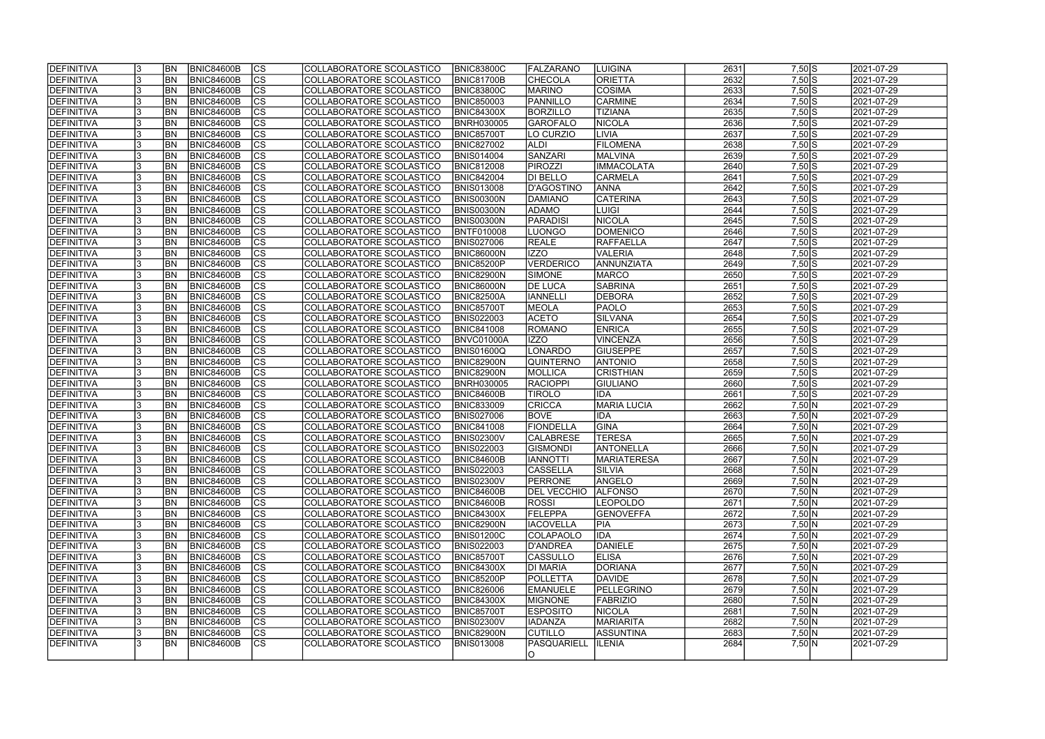| <b>IDEFINITIVA</b> | <b>BN</b>  | <b>BNIC84600B</b> | <sub>Ics</sub> | COLLABORATORE SCOLASTICO | <b>BNIC83800C</b> | <b>FALZARANO</b>   | LUIGINA            | 2631 | $7,50$ S                                 | 2021-07-29 |
|--------------------|------------|-------------------|----------------|--------------------------|-------------------|--------------------|--------------------|------|------------------------------------------|------------|
| <b>DEFINITIVA</b>  | <b>BN</b>  | <b>BNIC84600B</b> | cs             | COLLABORATORE SCOLASTICO | <b>BNIC81700B</b> | <b>CHECOLA</b>     | <b>ORIETTA</b>     | 2632 | $7,50$ S                                 | 2021-07-29 |
| DEFINITIVA         | <b>BN</b>  | <b>BNIC84600B</b> | cs             | COLLABORATORE SCOLASTICO | <b>BNIC83800C</b> | <b>MARINO</b>      | <b>COSIMA</b>      | 2633 | $7,50$ S                                 | 2021-07-29 |
| <b>DEFINITIVA</b>  | <b>BN</b>  | BNIC84600B        | $\overline{c}$ | COLLABORATORE SCOLASTICO | <b>BNIC850003</b> | PANNILLO           | <b>CARMINE</b>     | 2634 | $7,50$ S                                 | 2021-07-29 |
| <b>DEFINITIVA</b>  | <b>BN</b>  | BNIC84600B        | cs             | COLLABORATORE SCOLASTICO | <b>BNIC84300X</b> | <b>BORZILLO</b>    | <b>TIZIANA</b>     | 2635 | $7,50$ S                                 | 2021-07-29 |
| <b>DEFINITIVA</b>  | <b>BN</b>  | BNIC84600B        | cs             | COLLABORATORE SCOLASTICO | <b>BNRH030005</b> | <b>GAROFALO</b>    | NICOLA             | 2636 | $7,50$ S                                 | 2021-07-29 |
| <b>DEFINITIVA</b>  | <b>BN</b>  | BNIC84600B        | cs             | COLLABORATORE SCOLASTICO | <b>BNIC85700T</b> | LO CURZIO          | <b>LIVIA</b>       | 2637 | $7,50$ S                                 | 2021-07-29 |
| DEFINITIVA         | <b>BN</b>  | BNIC84600B        | cs             | COLLABORATORE SCOLASTICO | <b>BNIC827002</b> | <b>ALDI</b>        | <b>FILOMENA</b>    | 2638 | $7,50$ S                                 | 2021-07-29 |
| DEFINITIVA         | BN         | <b>BNIC84600B</b> | $ {\rm CS} $   | COLLABORATORE SCOLASTICO | <b>BNIS014004</b> | SANZARI            | MALVINA            | 2639 | $7,50$ S                                 | 2021-07-29 |
| DEFINITIVA         | <b>BN</b>  | <b>BNIC84600B</b> | <sub>Ics</sub> | COLLABORATORE SCOLASTICO | <b>BNIC812008</b> | <b>PIROZZI</b>     | <b>IMMACOLATA</b>  | 2640 | $7,50$ S                                 | 2021-07-29 |
| <b>DEFINITIVA</b>  | <b>BN</b>  | <b>BNIC84600B</b> | $ {\rm CS} $   | COLLABORATORE SCOLASTICO | <b>BNIC842004</b> | DI BELLO           | <b>CARMELA</b>     | 2641 | $7,50$ S                                 | 2021-07-29 |
| <b>DEFINITIVA</b>  | <b>BN</b>  | <b>BNIC84600B</b> | $ {\rm cs} $   | COLLABORATORE SCOLASTICO | <b>BNIS013008</b> | D'AGOSTINO         | <b>ANNA</b>        | 2642 | $7,50$ S                                 | 2021-07-29 |
|                    |            |                   | cs             |                          | <b>BNIS00300N</b> | DAMIANO            | <b>CATERINA</b>    | 2643 |                                          |            |
| DEFINITIVA         | <b>BN</b>  | <b>BNIC84600B</b> |                | COLLABORATORE SCOLASTICO |                   |                    |                    |      | $7,50$ S                                 | 2021-07-29 |
| <b>DEFINITIVA</b>  | <b>BN</b>  | BNIC84600B        | $ {\rm CS} $   | COLLABORATORE SCOLASTICO | <b>BNIS00300N</b> | <b>ADAMO</b>       | LUIGI              | 2644 | $7,50$ S                                 | 2021-07-29 |
| DEFINITIVA         | <b>BN</b>  | <b>BNIC84600B</b> | $ {\rm CS} $   | COLLABORATORE SCOLASTICO | <b>BNIS00300N</b> | PARADISI           | <b>NICOLA</b>      | 2645 | $7,50$ S                                 | 2021-07-29 |
| DEFINITIVA         | <b>BN</b>  | <b>BNIC84600B</b> | $ {\rm CS} $   | COLLABORATORE SCOLASTICO | <b>BNTF010008</b> | <b>LUONGO</b>      | <b>DOMENICO</b>    | 2646 | $7,50$ S                                 | 2021-07-29 |
| DEFINITIVA         | BN         | BNIC84600B        | $ {\rm CS} $   | COLLABORATORE SCOLASTICO | <b>BNIS027006</b> | <b>REALE</b>       | <b>RAFFAELLA</b>   | 2647 | $7,50$ S                                 | 2021-07-29 |
| <b>DEFINITIVA</b>  | <b>BN</b>  | <b>BNIC84600B</b> | $ {\rm CS} $   | COLLABORATORE SCOLASTICO | <b>BNIC86000N</b> | IZZO               | VALERIA            | 2648 | $7,50$ S                                 | 2021-07-29 |
| <b>DEFINITIVA</b>  | <b>BN</b>  | BNIC84600B        | <b>CS</b>      | COLLABORATORE SCOLASTICO | BNIC85200P        | VERDERICO          | ANNUNZIATA         | 2649 | $7,50$ S                                 | 2021-07-29 |
| <b>DEFINITIVA</b>  | <b>BN</b>  | <b>BNIC84600B</b> | $ {\rm cs} $   | COLLABORATORE SCOLASTICO | <b>BNIC82900N</b> | <b>SIMONE</b>      | <b>MARCO</b>       | 2650 | $7,50$ S                                 | 2021-07-29 |
| <b>DEFINITIVA</b>  | <b>BN</b>  | BNIC84600B        | $ {\rm cs} $   | COLLABORATORE SCOLASTICO | BNIC86000N        | <b>DE LUCA</b>     | <b>SABRINA</b>     | 2651 | $7,50$ S                                 | 2021-07-29 |
| <b>DEFINITIVA</b>  | <b>BN</b>  | BNIC84600B        | <b>CS</b>      | COLLABORATORE SCOLASTICO | <b>BNIC82500A</b> | <b>IANNELLI</b>    | <b>DEBORA</b>      | 2652 | $7,50$ S                                 | 2021-07-29 |
| <b>DEFINITIVA</b>  | <b>BN</b>  | BNIC84600B        | <b>CS</b>      | COLLABORATORE SCOLASTICO | <b>BNIC85700T</b> | <b>MEOLA</b>       | <b>PAOLO</b>       | 2653 | $7,50\overline{\smash{\big }\mathbf{S}}$ | 2021-07-29 |
| <b>DEFINITIVA</b>  | <b>BN</b>  | BNIC84600B        | CS             | COLLABORATORE SCOLASTICO | <b>BNIS022003</b> | <b>ACETO</b>       | SILVANA            | 2654 | $7,50$ S                                 | 2021-07-29 |
| DEFINITIVA         | BN         | <b>BNIC84600B</b> | $ {\rm cs} $   | COLLABORATORE SCOLASTICO | <b>BNIC841008</b> | ROMANO             | <b>ENRICA</b>      | 2655 | $7,50$ S                                 | 2021-07-29 |
| <b>DEFINITIVA</b>  | <b>BN</b>  | <b>BNIC84600B</b> | $ {\rm CS} $   | COLLABORATORE SCOLASTICO | BNVC01000A        | IZZO               | <b>VINCENZA</b>    | 2656 | $7,50$ S                                 | 2021-07-29 |
| <b>DEFINITIVA</b>  | <b>BN</b>  | <b>BNIC84600B</b> | $ {\rm cs} $   | COLLABORATORE SCOLASTICO | <b>BNIS01600Q</b> | LONARDO            | <b>GIUSEPPE</b>    | 2657 | $7,50$ S                                 | 2021-07-29 |
| <b>DEFINITIVA</b>  | <b>BN</b>  | <b>BNIC84600B</b> | $ {\rm cs} $   | COLLABORATORE SCOLASTICO | <b>BNIC82900N</b> | <b>QUINTERNO</b>   | <b>ANTONIO</b>     | 2658 | $7,50$ S                                 | 2021-07-29 |
| <b>DEFINITIVA</b>  | <b>BN</b>  | <b>BNIC84600B</b> | $ {\rm cs} $   | COLLABORATORE SCOLASTICO | <b>BNIC82900N</b> | MOLLICA            | <b>CRISTHIAN</b>   | 2659 | $7,50$ S                                 | 2021-07-29 |
| <b>DEFINITIVA</b>  | <b>BN</b>  | <b>BNIC84600B</b> | $ {\rm cs} $   | COLLABORATORE SCOLASTICO | <b>BNRH030005</b> | RACIOPPI           | GIULIANO           | 2660 | $7,50\overline{\text{S}}$                | 2021-07-29 |
| <b>DEFINITIVA</b>  | <b>BN</b>  | <b>BNIC84600B</b> | $\overline{c}$ | COLLABORATORE SCOLASTICO | <b>BNIC84600B</b> | <b>TIROLO</b>      | <b>IDA</b>         | 2661 | $7,50$ S                                 | 2021-07-29 |
| <b>DEFINITIVA</b>  | <b>BN</b>  | <b>BNIC84600B</b> | cs             | COLLABORATORE SCOLASTICO | <b>BNIC833009</b> | <b>CRICCA</b>      | <b>MARIA LUCIA</b> | 2662 | 7,50 N                                   | 2021-07-29 |
| <b>DEFINITIVA</b>  | <b>BN</b>  | BNIC84600B        | CS             | COLLABORATORE SCOLASTICO | <b>BNIS027006</b> | <b>BOVE</b>        | <b>IDA</b>         | 2663 | 7,50 N                                   | 2021-07-29 |
| <b>DEFINITIVA</b>  | <b>BN</b>  | <b>BNIC84600B</b> | cs             | COLLABORATORE SCOLASTICO | <b>BNIC841008</b> | FIONDELLA          | GINA               | 2664 | 7,50 N                                   | 2021-07-29 |
| <b>DEFINITIVA</b>  | <b>BN</b>  | BNIC84600B        | cs             | COLLABORATORE SCOLASTICO | <b>BNIS02300V</b> | <b>CALABRESE</b>   | <b>TERESA</b>      | 2665 | 7,50 N                                   | 2021-07-29 |
| DEFINITIVA         | <b>BN</b>  | <b>BNIC84600B</b> | $\overline{c}$ | COLLABORATORE SCOLASTICO | <b>BNIS022003</b> | <b>GISMONDI</b>    | ANTONELLA          | 2666 | 7,50 N                                   | 2021-07-29 |
| <b>DEFINITIVA</b>  | IBN.       | <b>BNIC84600B</b> | CS             | COLLABORATORE SCOLASTICO | BNIC84600B        | <b>IANNOTTI</b>    | MARIATERESA        | 2667 | 7,50 N                                   | 2021-07-29 |
| DEFINITIVA         | <b>IBN</b> | <b>BNIC84600B</b> | $ {\rm CS} $   | COLLABORATORE SCOLASTICO | <b>BNIS022003</b> | <b>CASSELLA</b>    | <b>SILVIA</b>      | 2668 | 7,50 N                                   | 2021-07-29 |
| DEFINITIVA         | <b>IBN</b> | <b>BNIC84600B</b> | <sub>Ics</sub> | COLLABORATORE SCOLASTICO | <b>BNIS02300V</b> | PERRONE            | ANGELO             | 2669 | 7,50 N                                   | 2021-07-29 |
| DEFINITIVA         | <b>BN</b>  | <b>BNIC84600B</b> | <sub>Ics</sub> | COLLABORATORE SCOLASTICO | <b>BNIC84600B</b> | <b>DEL VECCHIO</b> | <b>ALFONSO</b>     | 2670 | 7,50 N                                   | 2021-07-29 |
| DEFINITIVA         | <b>BN</b>  | <b>BNIC84600B</b> | $ {\rm CS} $   | COLLABORATORE SCOLASTICO | <b>BNIC84600B</b> | <b>ROSSI</b>       | <b>LEOPOLDO</b>    | 2671 | 7,50 N                                   | 2021-07-29 |
| <b>DEFINITIVA</b>  | <b>BN</b>  | <b>BNIC84600B</b> | $ {\rm CS} $   | COLLABORATORE SCOLASTICO | <b>BNIC84300X</b> | FELEPPA            | <b>GENOVEFFA</b>   | 2672 | 7,50 N                                   | 2021-07-29 |
| DEFINITIVA         | <b>BN</b>  | <b>BNIC84600B</b> | $ {\rm CS} $   | COLLABORATORE SCOLASTICO | <b>BNIC82900N</b> | <b>IACOVELLA</b>   | <b>PIA</b>         | 2673 | 7,50 N                                   | 2021-07-29 |
| <b>DEFINITIVA</b>  | <b>BN</b>  | <b>BNIC84600B</b> | <sub>Ics</sub> | COLLABORATORE SCOLASTICO | <b>BNIS01200C</b> | <b>COLAPAOLO</b>   | <b>IDA</b>         | 2674 | 7,50 N                                   | 2021-07-29 |
| DEFINITIVA         | <b>BN</b>  | <b>BNIC84600B</b> | cs             | COLLABORATORE SCOLASTICO | <b>BNIS022003</b> | D'ANDREA           | DANIELE            | 2675 | 7,50 N                                   | 2021-07-29 |
| DEFINITIVA         | <b>BN</b>  | <b>BNIC84600B</b> | $ {\rm CS} $   | COLLABORATORE SCOLASTICO | <b>BNIC85700T</b> | <b>CASSULLO</b>    | <b>ELISA</b>       | 2676 | 7,50 N                                   | 2021-07-29 |
| DEFINITIVA         | <b>BN</b>  | <b>BNIC84600B</b> | cs             | COLLABORATORE SCOLASTICO | <b>BNIC84300X</b> | <b>DI MARIA</b>    | DORIANA            | 2677 | 7,50 N                                   | 2021-07-29 |
| DEFINITIVA         | <b>BN</b>  | <b>BNIC84600B</b> | $ {\rm CS} $   | COLLABORATORE SCOLASTICO | <b>BNIC85200P</b> | <b>POLLETTA</b>    | DAVIDE             | 2678 | $7,50 \overline{N}$                      | 2021-07-29 |
| DEFINITIVA         | <b>BN</b>  | <b>BNIC84600B</b> | cs             | COLLABORATORE SCOLASTICO | <b>BNIC826006</b> | <b>EMANUELE</b>    | PELLEGRINO         | 2679 | 7,50 N                                   | 2021-07-29 |
| DEFINITIVA         | <b>BN</b>  | <b>BNIC84600B</b> | cs             | COLLABORATORE SCOLASTICO | <b>BNIC84300X</b> | <b>MIGNONE</b>     | <b>FABRIZIO</b>    | 2680 | 7,50 N                                   | 2021-07-29 |
| DEFINITIVA         | <b>BN</b>  | <b>BNIC84600B</b> | $ {\rm CS} $   | COLLABORATORE SCOLASTICO | <b>BNIC85700T</b> | <b>ESPOSITO</b>    | <b>NICOLA</b>      | 2681 | 7,50 N                                   | 2021-07-29 |
| DEFINITIVA         | <b>BN</b>  | <b>BNIC84600B</b> | $ {\rm CS} $   | COLLABORATORE SCOLASTICO | <b>BNIS02300V</b> | <b>IADANZA</b>     | MARIARITA          | 2682 | 7,50 N                                   | 2021-07-29 |
| DEFINITIVA         | <b>BN</b>  | <b>BNIC84600B</b> | $ {\rm CS} $   | COLLABORATORE SCOLASTICO | <b>BNIC82900N</b> | <b>CUTILLO</b>     | ASSUNTINA          | 2683 | 7,50 N                                   | 2021-07-29 |
| <b>DEFINITIVA</b>  | <b>BN</b>  | <b>BNIC84600B</b> | <sub>Ics</sub> | COLLABORATORE SCOLASTICO | <b>BNIS013008</b> | PASQUARIELL        | <b>ILENIA</b>      | 2684 | 7,50 N                                   | 2021-07-29 |
|                    |            |                   |                |                          |                   | IО                 |                    |      |                                          |            |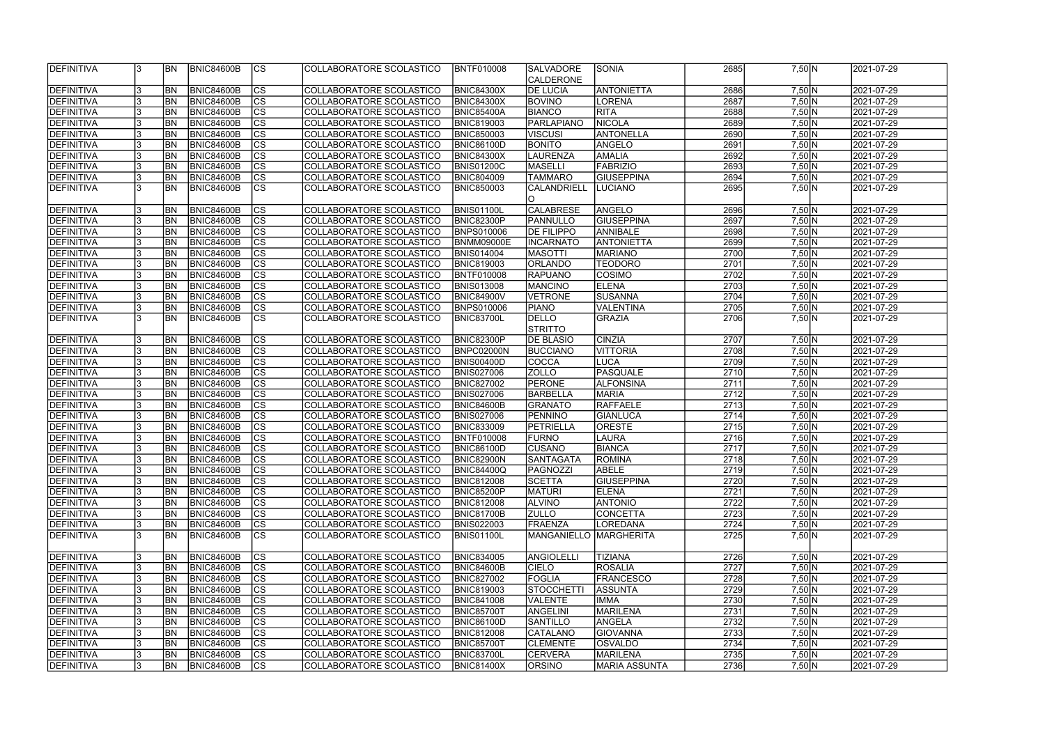| DEFINITIVA                      |    | <b>BN</b>              | <b>BNIC84600B</b>                      | <sub>Ics</sub>                 | COLLABORATORE SCOLASTICO                             | <b>BNTF010008</b>                      | <b>SALVADORE</b>         | <b>SONIA</b>                       | 2685         | 7,50 N                        | 2021-07-29               |  |
|---------------------------------|----|------------------------|----------------------------------------|--------------------------------|------------------------------------------------------|----------------------------------------|--------------------------|------------------------------------|--------------|-------------------------------|--------------------------|--|
|                                 |    |                        |                                        |                                |                                                      |                                        | <b>CALDERONE</b>         |                                    |              |                               |                          |  |
| DEFINITIVA                      |    | <b>BN</b>              | <b>BNIC84600B</b>                      | cs                             | COLLABORATORE SCOLASTICO                             | <b>BNIC84300X</b>                      | <b>DE LUCIA</b>          | <b>ANTONIETTA</b>                  | 2686         | 7,50 N                        | 2021-07-29               |  |
| <b>DEFINITIVA</b>               |    | <b>BN</b>              | BNIC84600B                             | $\overline{c}$                 | COLLABORATORE SCOLASTICO                             | <b>BNIC84300X</b>                      | <b>BOVINO</b>            | LORENA                             | 2687         | $7,50$ N                      | 2021-07-29               |  |
| DEFINITIVA                      |    | <b>BN</b>              | BNIC84600B                             | $\overline{c}$                 | COLLABORATORE SCOLASTICO                             | <b>BNIC85400A</b>                      | <b>BIANCO</b>            | <b>RITA</b>                        | 2688         | 7,50 N                        | 2021-07-29               |  |
| <b>DEFINITIVA</b>               |    | <b>BN</b>              | BNIC84600B                             | cs                             | COLLABORATORE SCOLASTICO                             | <b>BNIC819003</b>                      | PARLAPIANO               | NICOLA                             | 2689         | 7,50 N                        | 2021-07-29               |  |
| DEFINITIVA                      |    | BN                     | BNIC84600B                             | cs                             | COLLABORATORE SCOLASTICO                             | <b>BNIC850003</b>                      | <b>VISCUSI</b>           | ANTONELLA                          | 2690         | 7,50 N                        | 2021-07-29               |  |
| DEFINITIVA                      |    | BN                     | <b>BNIC84600B</b>                      | cs                             | COLLABORATORE SCOLASTICO                             | <b>BNIC86100D</b>                      | <b>BONITO</b>            | ANGELO                             | 2691         | 7,50 N                        | 2021-07-29               |  |
| DEFINITIVA                      |    | BN                     | <b>BNIC84600B</b>                      | cs                             | COLLABORATORE SCOLASTICO                             | <b>BNIC84300X</b>                      | LAURENZA                 | <b>AMALIA</b>                      | 2692         | 7,50 N                        | 2021-07-29               |  |
| DEFINITIVA                      |    | <b>BN</b>              | <b>BNIC84600B</b>                      | $ {\rm cs} $                   | COLLABORATORE SCOLASTICO                             | <b>BNIS01200C</b>                      | MASELLI                  | FABRIZIO                           | 2693         | 7,50 N                        | 2021-07-29               |  |
| DEFINITIVA                      |    | BN                     | <b>BNIC84600B</b>                      | cs                             | COLLABORATORE SCOLASTICO                             | <b>BNIC804009</b>                      | <b>TAMMARO</b>           | <b>GIUSEPPINA</b>                  | 2694         | 7,50 N                        | 2021-07-29               |  |
| DEFINITIVA                      |    | BN                     | <b>BNIC84600B</b>                      | cs                             | COLLABORATORE SCOLASTICO                             | <b>BNIC850003</b>                      | <b>CALANDRIELL</b>       | LUCIANO                            | 2695         | 7,50 N                        | 2021-07-29               |  |
|                                 |    |                        |                                        |                                |                                                      |                                        |                          |                                    |              |                               |                          |  |
| DEFINITIVA                      |    | <b>BN</b>              | <b>BNIC84600B</b>                      | <b>CS</b>                      | COLLABORATORE SCOLASTICO                             | <b>BNIS01100L</b>                      | <b>CALABRESE</b>         | ANGELO                             | 2696         | $7,50$ N                      | 2021-07-29               |  |
| DEFINITIVA                      |    | BN                     | <b>BNIC84600B</b>                      | cs                             | COLLABORATORE SCOLASTICO                             | <b>BNIC82300P</b>                      | PANNULLO                 | <b>GIUSEPPINA</b>                  | 2697         | 7,50 N                        | 2021-07-29               |  |
| DEFINITIVA                      |    | BN                     | <b>BNIC84600B</b>                      | cs                             | COLLABORATORE SCOLASTICO                             | <b>BNPS010006</b>                      | <b>DE FILIPPO</b>        | ANNIBALE                           | 2698         | 7,50 N                        | 2021-07-29               |  |
| DEFINITIVA                      |    | BN                     | <b>BNIC84600B</b>                      | cs                             | COLLABORATORE SCOLASTICO                             | <b>BNMM09000E</b>                      | <b>INCARNATO</b>         | <b>ANTONIETTA</b>                  | 2699         | $7,50\overline{\rm N}$        | 2021-07-29               |  |
| <b>DEFINITIVA</b>               |    | <b>BN</b>              | BNIC84600B                             | cs                             | COLLABORATORE SCOLASTICO                             | <b>BNIS014004</b>                      | <b>MASOTTI</b>           | <b>MARIANO</b>                     | 2700         | 7,50 N                        | 2021-07-29               |  |
| <b>DEFINITIVA</b>               |    | <b>BN</b>              | <b>BNIC84600B</b>                      | cs                             | COLLABORATORE SCOLASTICO                             | <b>BNIC819003</b>                      | ORLANDO                  | <b>TEODORO</b>                     | 2701         | 7,50 N                        | 2021-07-29               |  |
| <b>DEFINITIVA</b>               |    | <b>BN</b>              | BNIC84600B                             | cs                             | COLLABORATORE SCOLASTICO                             | <b>BNTF010008</b>                      | <b>RAPUANO</b>           | COSIMO                             | 2702         | $7,50$ N                      | 2021-07-29               |  |
| <b>DEFINITIVA</b>               |    | <b>BN</b>              | BNIC84600B                             | cs                             | COLLABORATORE SCOLASTICO                             | <b>BNIS013008</b>                      | <b>MANCINO</b>           | <b>ELENA</b>                       | 2703         | 7,50 N                        | 2021-07-29               |  |
|                                 |    | <b>BN</b>              | BNIC84600B                             | <b>CS</b>                      | COLLABORATORE SCOLASTICO                             |                                        | VETRONE                  | SUSANNA                            | 2704         | 7,50 N                        | 2021-07-29               |  |
| <b>DEFINITIVA</b>               |    | BN                     |                                        | <b>CS</b>                      |                                                      | <b>BNIC84900V</b>                      |                          |                                    | 2705         |                               |                          |  |
| <b>DEFINITIVA</b>               |    |                        | BNIC84600B                             | cs                             | COLLABORATORE SCOLASTICO                             | <b>BNPS010006</b>                      | <b>PIANO</b>             | VALENTINA                          |              | 7,50 N                        | 2021-07-29               |  |
| DEFINITIVA                      |    | <b>BN</b>              | <b>BNIC84600B</b>                      |                                | COLLABORATORE SCOLASTICO                             | <b>BNIC83700L</b>                      | <b>DELLO</b>             | <b>GRAZIA</b>                      | 2706         | 7,50 N                        | 2021-07-29               |  |
|                                 |    |                        | <b>BNIC84600B</b>                      |                                |                                                      | <b>BNIC82300P</b>                      | <b>STRITTO</b>           | <b>CINZIA</b>                      | 2707         |                               |                          |  |
| DEFINITIVA                      |    | <b>BN</b>              |                                        | $ {\rm cs} $<br> cs            | COLLABORATORE SCOLASTICO                             |                                        | <b>DE BLASIO</b>         |                                    | 2708         | 7,50 N<br>$7,50 \overline{N}$ | 2021-07-29               |  |
| DEFINITIVA<br>DEFINITIVA        |    | <b>BN</b><br><b>BN</b> | <b>BNIC84600B</b><br>BNIC84600B        | cs                             | COLLABORATORE SCOLASTICO<br>COLLABORATORE SCOLASTICO | BNPC02000N<br><b>BNIS00400D</b>        | <b>BUCCIANO</b><br>COCCA | <b>VITTORIA</b><br><b>LUCA</b>     | 2709         | 7,50 N                        | 2021-07-29<br>2021-07-29 |  |
|                                 |    | <b>BN</b>              | <b>BNIC84600B</b>                      | cs                             | COLLABORATORE SCOLASTICO                             | <b>BNIS027006</b>                      | <b>ZOLLO</b>             | PASQUALE                           | 2710         | 7,50 N                        | 2021-07-29               |  |
| <b>DEFINITIVA</b>               |    | <b>BN</b>              | <b>BNIC84600B</b>                      | cs                             | COLLABORATORE SCOLASTICO                             | <b>BNIC827002</b>                      | PERONE                   | <b>ALFONSINA</b>                   | 2711         | 7,50 N                        | 2021-07-29               |  |
| DEFINITIVA<br><b>DEFINITIVA</b> |    | <b>BN</b>              | <b>BNIC84600B</b>                      | $\overline{c}$                 | COLLABORATORE SCOLASTICO                             | <b>BNIS027006</b>                      | BARBELLA                 | <b>MARIA</b>                       | 2712         | 7,50 N                        | 2021-07-29               |  |
| <b>DEFINITIVA</b>               |    | BN                     | BNIC84600B                             | $\overline{c}$                 | COLLABORATORE SCOLASTICO                             | <b>BNIC84600B</b>                      | GRANATO                  | <b>RAFFAELE</b>                    | 2713         | $7,50$ N                      | 2021-07-29               |  |
| <b>DEFINITIVA</b>               |    | BN                     | <b>BNIC84600B</b>                      | $ {\rm cs} $                   | COLLABORATORE SCOLASTICO                             | <b>BNIS027006</b>                      | <b>PENNINO</b>           | GIANLUCA                           | 2714         | 7,50 N                        | 2021-07-29               |  |
| <b>DEFINITIVA</b>               |    | BN                     | BNIC84600B                             | $\overline{c}$                 | COLLABORATORE SCOLASTICO                             | <b>BNIC833009</b>                      | PETRIELLA                | <b>ORESTE</b>                      | 2715         | $7,50$ N                      | 2021-07-29               |  |
| <b>DEFINITIVA</b>               |    | <b>BN</b>              | BNIC84600B                             | cs                             | COLLABORATORE SCOLASTICO                             | <b>BNTF010008</b>                      | <b>FURNO</b>             | LAURA                              | 2716         | $7,50$ N                      |                          |  |
|                                 |    | BN                     |                                        | $\overline{c}$                 |                                                      |                                        | <b>CUSANO</b>            |                                    | 2717         | $7,50$ N                      | 2021-07-29               |  |
| DEFINITIVA                      |    |                        | <b>BNIC84600B</b>                      |                                | COLLABORATORE SCOLASTICO                             | <b>BNIC86100D</b>                      |                          | <b>BIANCA</b>                      |              |                               | 2021-07-29               |  |
| <b>IDEFINITIVA</b>              |    | IBN                    | BNIC84600B<br><b>BNIC84600B</b>        | <sub>ICS</sub>                 | COLLABORATORE SCOLASTICO_                            | <b>BNIC82900N</b>                      | <b>SANTAGATA</b>         | <b>IROMINA</b>                     | <b>2718</b>  | 7,50 N                        | 2021-07-29               |  |
| DEFINITIVA                      |    | <b>IBN</b>             |                                        | <sub>Ics</sub>                 | COLLABORATORE SCOLASTICO                             | <b>BNIC84400Q</b>                      | PAGNOZZI                 | ABELE                              | 2719         | 7,50 N                        | 2021-07-29               |  |
| DEFINITIVA<br>DEFINITIVA        |    | <b>BN</b><br><b>BN</b> | <b>BNIC84600B</b><br><b>BNIC84600B</b> | <sub>Ics</sub><br>$ {\rm CS} $ | COLLABORATORE SCOLASTICO<br>COLLABORATORE SCOLASTICO | <b>BNIC812008</b><br><b>BNIC85200P</b> | <b>SCETTA</b>            | <b>GIUSEPPINA</b><br>ELENA         | 2720<br>2721 | 7,50 N                        | 2021-07-29<br>2021-07-29 |  |
|                                 |    |                        |                                        |                                |                                                      |                                        | <b>MATURI</b>            |                                    | 2722         | 7,50 N                        |                          |  |
| DEFINITIVA<br>DEFINITIVA        |    | <b>BN</b>              | <b>BNIC84600B</b><br><b>BNIC84600B</b> | $ {\rm CS} $<br><sub>Ics</sub> | COLLABORATORE SCOLASTICO                             | <b>BNIC812008</b>                      | <b>ALVINO</b>            | <b>ANTONIO</b>                     |              | 7,50 N                        | 2021-07-29<br>2021-07-29 |  |
|                                 |    | <b>BN</b>              |                                        |                                | COLLABORATORE SCOLASTICO                             | <b>BNIC81700B</b>                      | <b>ZULLO</b>             | CONCETTA                           | 2723         | 7,50 N                        |                          |  |
| <b>DEFINITIVA</b>               |    | <b>BN</b>              | <b>BNIC84600B</b>                      | <sub>Ics</sub>                 | COLLABORATORE SCOLASTICO                             | <b>BNIS022003</b>                      | FRAENZA                  | LOREDANA                           | 2724         | $7,50 \ N$                    | 2021-07-29               |  |
| DEFINITIVA                      |    | IBN                    | <b>BNIC84600B</b>                      | $ {\rm CS} $                   | COLLABORATORE SCOLASTICO                             | <b>BNIS01100L</b>                      | MANGANIELLO MARGHERITA   |                                    | 2725         | 7,50 N                        | 2021-07-29               |  |
|                                 |    |                        |                                        |                                |                                                      |                                        |                          |                                    |              |                               | 2021-07-29               |  |
| DEFINITIVA                      |    | <b>BN</b>              | <b>BNIC84600B</b>                      | $ {\rm CS} $                   | COLLABORATORE SCOLASTICO                             | <b>BNIC834005</b>                      | <b>ANGIOLELLI</b>        | <b>TIZIANA</b>                     | 2726<br>2727 | 7,50 N                        |                          |  |
| DEFINITIVA                      |    | <b>BN</b>              | <b>BNIC84600B</b>                      | $ {\rm CS} $                   | COLLABORATORE SCOLASTICO                             | <b>BNIC84600B</b>                      | <b>CIELO</b>             | <b>ROSALIA</b>                     |              | 7,50 N                        | 2021-07-29               |  |
| DEFINITIVA                      |    | <b>BN</b>              | <b>BNIC84600B</b>                      | cs <br>$ {\rm cs} $            | COLLABORATORE SCOLASTICO                             | <b>BNIC827002</b>                      | FOGLIA                   | <b>FRANCESCO</b><br><b>ASSUNTA</b> | 2728<br>2729 | 7,50 N                        | 2021-07-29<br>2021-07-29 |  |
| DEFINITIVA                      |    | <b>BN</b>              | <b>BNIC84600B</b>                      |                                | COLLABORATORE SCOLASTICO                             | <b>BNIC819003</b>                      | <b>STOCCHETTI</b>        |                                    |              | 7,50 N                        | 2021-07-29               |  |
| DEFINITIVA                      |    | <b>BN</b>              | <b>BNIC84600B</b>                      | cs <br>$ {\rm CS} $            | COLLABORATORE SCOLASTICO                             | <b>BNIC841008</b>                      | <b>VALENTE</b>           | <b>IMMA</b>                        | 2730<br>2731 | 7,50 N                        | 2021-07-29               |  |
| <b>DEFINITIVA</b>               |    | <b>BN</b>              | <b>BNIC84600B</b>                      | $ {\rm cs} $                   | COLLABORATORE SCOLASTICO                             | <b>BNIC85700T</b>                      | <b>ANGELINI</b>          | MARILENA                           |              | 7,50 N                        |                          |  |
| DEFINITIVA                      |    | <b>BN</b>              | <b>BNIC84600B</b>                      |                                | COLLABORATORE SCOLASTICO                             | <b>BNIC86100D</b>                      | <b>SANTILLO</b>          | ANGELA                             | 2732         | 7,50 N                        | 2021-07-29               |  |
| DEFINITIVA                      |    | <b>BN</b>              | <b>BNIC84600B</b>                      | $ {\rm CS} $                   | COLLABORATORE SCOLASTICO                             | <b>BNIC812008</b>                      | <b>CATALANO</b>          | <b>GIOVANNA</b>                    | 2733         | 7,50 N                        | 2021-07-29               |  |
| <b>DEFINITIVA</b>               |    | <b>IBN</b>             | <b>BNIC84600B</b>                      | $ {\rm CS} $                   | COLLABORATORE SCOLASTICO                             | <b>BNIC85700T</b>                      | <b>CLEMENTE</b>          | OSVALDO                            | 2734         | 7,50 N                        | 2021-07-29               |  |
| DEFINITIVA                      |    | <b>IBN</b>             | <b>BNIC84600B</b>                      | <sub>Ics</sub>                 | COLLABORATORE SCOLASTICO                             | <b>BNIC83700L</b>                      | <b>CERVERA</b>           | MARILENA                           | 2735         | 7,50 N                        | 2021-07-29               |  |
| DEFINITIVA                      | 13 | <b>BN</b>              | BNIC84600B                             | $ {\rm CS} $                   | COLLABORATORE SCOLASTICO                             | <b>BNIC81400X</b>                      | <b>ORSINO</b>            | MARIA ASSUNTA                      | 2736         | $7,50 \ N$                    | 2021-07-29               |  |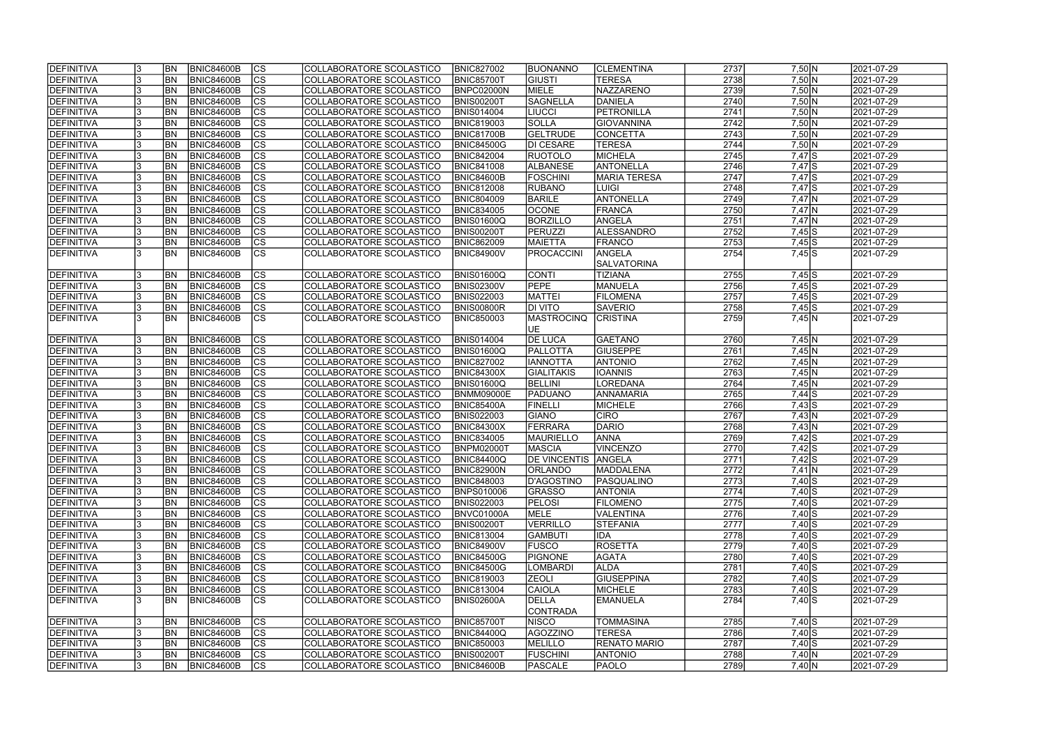| <b>DEFINITIVA</b> |    | <b>BN</b>      | BNIC84600B        | $ {\rm CS} $           | COLLABORATORE SCOLASTICO        | <b>BNIC827002</b> | <b>BUONANNO</b>            | <b>CLEMENTINA</b>   | 2737 | 7,50 N     | 2021-07-29 |
|-------------------|----|----------------|-------------------|------------------------|---------------------------------|-------------------|----------------------------|---------------------|------|------------|------------|
| DEFINITIVA        |    | <b>BN</b>      | <b>BNIC84600B</b> | $\overline{c}$         | COLLABORATORE SCOLASTICO        | <b>BNIC85700T</b> | <b>GIUSTI</b>              | <b>TERESA</b>       | 2738 | $7,50$ N   | 2021-07-29 |
| DEFINITIVA        |    | <b>BN</b>      | <b>BNIC84600B</b> | $\overline{c}$         | COLLABORATORE SCOLASTICO        | BNPC02000N        | MIELE                      | NAZZARENO           | 2739 | $7,50$ N   | 2021-07-29 |
| DEFINITIVA        |    | BN             | <b>BNIC84600B</b> | $\overline{c}$         | COLLABORATORE SCOLASTICO        | <b>BNIS00200T</b> | <b>SAGNELLA</b>            | <b>DANIELA</b>      | 2740 | $7,50$ N   | 2021-07-29 |
| DEFINITIVA        |    | <b>BN</b>      | <b>BNIC84600B</b> | cs                     | COLLABORATORE SCOLASTICO        | <b>BNIS014004</b> | <b>LIUCCI</b>              | PETRONILLA          | 2741 | $7,50$ N   | 2021-07-29 |
| DEFINITIVA        |    | BN             | <b>BNIC84600B</b> | $\overline{\text{cs}}$ | COLLABORATORE SCOLASTICO        | <b>BNIC819003</b> | <b>SOLLA</b>               | GIOVANNINA          | 2742 | 7,50 N     | 2021-07-29 |
| DEFINITIVA        |    | BN             | <b>BNIC84600B</b> | cs                     | COLLABORATORE SCOLASTICO        | BNIC81700B        | <b>GELTRUDE</b>            | CONCETTA            | 2743 | 7,50 N     | 2021-07-29 |
| DEFINITIVA        |    | <b>BN</b>      | <b>BNIC84600B</b> | cs                     | COLLABORATORE SCOLASTICO        | <b>BNIC84500G</b> | <b>DI CESARE</b>           | <b>TERESA</b>       | 2744 | 7,50 N     | 2021-07-29 |
| DEFINITIVA        |    | <b>BN</b>      | <b>BNIC84600B</b> | cs                     | COLLABORATORE SCOLASTICO        | <b>BNIC842004</b> | <b>RUOTOLO</b>             | MICHELA             | 2745 | $7,47$ $S$ | 2021-07-29 |
| DEFINITIVA        |    | <b>BN</b>      | <b>BNIC84600B</b> | cs                     | COLLABORATORE SCOLASTICO        | <b>BNIC841008</b> | <b>ALBANESE</b>            | ANTONELLA           | 2746 | $7,47$ S   | 2021-07-29 |
| DEFINITIVA        |    | <b>BN</b>      | <b>BNIC84600B</b> | cs                     | COLLABORATORE SCOLASTICO        | BNIC84600B        | <b>FOSCHINI</b>            | <b>MARIA TERESA</b> | 2747 | $7,47$ $S$ | 2021-07-29 |
| DEFINITIVA        |    | <b>BN</b>      | <b>BNIC84600B</b> | $ {\rm cs} $           | COLLABORATORE SCOLASTICO        | <b>BNIC812008</b> | <b>RUBANO</b>              | LUIGI               | 2748 | $7,47$ S   | 2021-07-29 |
| DEFINITIVA        |    | <b>BN</b>      | <b>BNIC84600B</b> | $ {\rm CS} $           | COLLABORATORE SCOLASTICO        | <b>BNIC804009</b> | <b>BARILE</b>              | ANTONELLA           | 2749 | $7,47$ N   | 2021-07-29 |
| DEFINITIVA        |    | <b>BN</b>      | <b>BNIC84600B</b> | cs                     | COLLABORATORE SCOLASTICO        | <b>BNIC834005</b> | <b>OCONE</b>               | <b>FRANCA</b>       | 2750 | $7,47$ N   | 2021-07-29 |
| DEFINITIVA        |    | <b>BN</b>      | <b>BNIC84600B</b> | cs                     | COLLABORATORE SCOLASTICO        | <b>BNIS01600Q</b> | <b>BORZILLO</b>            | ANGELA              | 2751 | $7,47$ N   | 2021-07-29 |
| DEFINITIVA        |    | <b>BN</b>      | <b>BNIC84600B</b> | cs                     | COLLABORATORE SCOLASTICO        | <b>BNIS00200T</b> | <b>PERUZZI</b>             | ALESSANDRO          | 2752 | $7,45$ S   | 2021-07-29 |
| DEFINITIVA        |    | <b>BN</b>      | <b>BNIC84600B</b> | cs                     | COLLABORATORE SCOLASTICO        | <b>BNIC862009</b> | <b>MAIETTA</b>             | FRANCO              | 2753 | $7,45$ S   | 2021-07-29 |
| DEFINITIVA        |    | <b>BN</b>      | <b>BNIC84600B</b> | <b>CS</b>              | COLLABORATORE SCOLASTICO        | <b>BNIC84900V</b> | <b>PROCACCINI</b>          | ANGELA              | 2754 | $7,45$ S   | 2021-07-29 |
|                   |    |                |                   |                        |                                 |                   |                            | <b>SALVATORINA</b>  |      |            |            |
|                   |    |                |                   |                        |                                 |                   |                            |                     |      |            |            |
| <b>DEFINITIVA</b> |    | <b>BN</b>      | <b>BNIC84600B</b> | $ {\rm CS} $           | COLLABORATORE SCOLASTICO        | <b>BNIS01600Q</b> | <b>CONTI</b>               | <b>TIZIANA</b>      | 2755 | $7,45$ S   | 2021-07-29 |
| DEFINITIVA        |    | BN             | <b>BNIC84600B</b> | cs                     | COLLABORATORE SCOLASTICO        | BNIS02300V        | PEPE                       | MANUELA             | 2756 | $7,45$ S   | 2021-07-29 |
| DEFINITIVA        |    | BN             | <b>BNIC84600B</b> | $ {\rm CS} $           | COLLABORATORE SCOLASTICO        | <b>BNIS022003</b> | <b>MATTEI</b>              | <b>FILOMENA</b>     | 2757 | $7,45$ S   | 2021-07-29 |
| DEFINITIVA        |    | <b>BN</b>      | <b>BNIC84600B</b> | <b>CS</b>              | COLLABORATORE SCOLASTICO        | BNIS00800R        | <b>DI VITO</b>             | <b>SAVERIO</b>      | 2758 | $7,45$ S   | 2021-07-29 |
| DEFINITIVA        |    | <b>BN</b>      | <b>BNIC84600B</b> | lcs                    | COLLABORATORE SCOLASTICO        | <b>BNIC850003</b> | <b>MASTROCINQ</b>          | <b>CRISTINA</b>     | 2759 | 7,45 N     | 2021-07-29 |
|                   |    |                |                   |                        |                                 |                   | UE                         |                     |      |            |            |
| DEFINITIVA        |    | <b>BN</b>      | <b>BNIC84600B</b> | CS                     | COLLABORATORE SCOLASTICO        | <b>BNIS014004</b> | <b>DE LUCA</b>             | <b>GAETANO</b>      | 2760 | $7,45$ N   | 2021-07-29 |
| DEFINITIVA        |    | <b>BN</b>      | <b>BNIC84600B</b> | cs                     | COLLABORATORE SCOLASTICO        | <b>BNIS01600Q</b> | PALLOTTA                   | <b>GIUSEPPE</b>     | 2761 | $7,45$ N   | 2021-07-29 |
| DEFINITIVA        |    | <b>BN</b>      | <b>BNIC84600B</b> | $ {\rm cs} $           | COLLABORATORE SCOLASTICO        | <b>BNIC827002</b> | <b>IANNOTTA</b>            | <b>ANTONIO</b>      | 2762 | $7,45$ N   | 2021-07-29 |
| DEFINITIVA        |    | <b>BN</b>      | <b>BNIC84600B</b> | cs                     | COLLABORATORE SCOLASTICO        | <b>BNIC84300X</b> | <b>GIALITAKIS</b>          | <b>IOANNIS</b>      | 2763 | $7,45$ N   | 2021-07-29 |
| DEFINITIVA        |    | <b>BN</b>      | <b>BNIC84600B</b> | cs                     | COLLABORATORE SCOLASTICO        | <b>BNIS01600Q</b> | BELLINI                    | LOREDANA            | 2764 | $7,45$ N   | 2021-07-29 |
| DEFINITIVA        |    | <b>BN</b>      | <b>BNIC84600B</b> | $\overline{\text{cs}}$ | COLLABORATORE SCOLASTICO        | <b>BNMM09000E</b> | <b>PADUANO</b>             | ANNAMARIA           | 2765 | $7,44$ S   | 2021-07-29 |
| DEFINITIVA        |    | <b>BN</b>      | <b>BNIC84600B</b> | cs                     | COLLABORATORE SCOLASTICO        | <b>BNIC85400A</b> | FINELLI                    | MICHELE             | 2766 | $7,43$ S   | 2021-07-29 |
| DEFINITIVA        |    | <b>BN</b>      | <b>BNIC84600B</b> | $\overline{c}$         | <b>COLLABORATORE SCOLASTICO</b> | <b>BNIS022003</b> | GIANO                      | <b>CIRO</b>         | 2767 | 7,43 N     | 2021-07-29 |
| DEFINITIVA        |    | <b>BN</b>      | <b>BNIC84600B</b> | cs                     | COLLABORATORE SCOLASTICO        | <b>BNIC84300X</b> | FERRARA                    | DARIO               | 2768 | 7,43 N     | 2021-07-29 |
| DEFINITIVA        |    | <b>BN</b>      | <b>BNIC84600B</b> | $\overline{c}$         | COLLABORATORE SCOLASTICO        | <b>BNIC834005</b> | MAURIELLO                  | <b>ANNA</b>         | 2769 | $7,42$ S   | 2021-07-29 |
| DEFINITIVA        |    | <b>BN</b>      | <b>BNIC84600B</b> | cs                     | COLLABORATORE SCOLASTICO        | <b>BNPM02000T</b> | <b>MASCIA</b>              | <b>VINCENZO</b>     | 2770 | $7,42$ S   | 2021-07-29 |
| <b>DEFINITIVA</b> | 13 | <b>BN</b>      | BNIC84600B        | CS                     | COLLABORATORE SCOLASTICO        | <b>BNIC84400Q</b> | <b>DE VINCENTIS ANGELA</b> |                     | 2771 | 7,42 S     | 2021-07-29 |
| DEFINITIVA        |    | <b>BN</b>      | BNIC84600B        | $ {\rm CS} $           | COLLABORATORE SCOLASTICO        | <b>BNIC82900N</b> | <b>ORLANDO</b>             | <b>MADDALENA</b>    | 2772 | $7,41$ N   | 2021-07-29 |
| DEFINITIVA        |    | BN             | <b>BNIC84600B</b> | <sub>Ics</sub>         | COLLABORATORE SCOLASTICO        | <b>BNIC848003</b> | D'AGOSTINO                 | PASQUALINO          | 2773 | $7,40$ S   | 2021-07-29 |
| DEFINITIVA        |    | <b>BN</b>      | <b>BNIC84600B</b> | <sub>Ics</sub>         | COLLABORATORE SCOLASTICO        | <b>BNPS010006</b> | <b>GRASSO</b>              | <b>ANTONIA</b>      | 2774 | $7,40$ S   | 2021-07-29 |
| DEFINITIVA        | 13 | <b>BN</b>      | <b>BNIC84600B</b> | <b>CS</b>              | COLLABORATORE SCOLASTICO        | <b>BNIS022003</b> | <b>PELOSI</b>              | <b>FILOMENO</b>     | 2775 | $7,40$ S   | 2021-07-29 |
| DEFINITIVA        |    | <b>BN</b>      | <b>BNIC84600B</b> | $ {\rm CS} $           | COLLABORATORE SCOLASTICO        | BNVC01000A        | MELE                       | VALENTINA           | 2776 | $7,40$ S   | 2021-07-29 |
| DEFINITIVA        |    | <b>BN</b>      | <b>BNIC84600B</b> | <sub>Ics</sub>         | COLLABORATORE SCOLASTICO        | <b>BNIS00200T</b> | <b>VERRILLO</b>            | <b>STEFANIA</b>     | 2777 | $7,40$ S   | 2021-07-29 |
| <b>DEFINITIVA</b> |    | <b>BN</b>      | <b>BNIC84600B</b> | <sub>Ics</sub>         | COLLABORATORE SCOLASTICO        | <b>BNIC813004</b> | <b>GAMBUTI</b>             | IDA                 | 2778 | $7,40$ S   | 2021-07-29 |
| <b>DEFINITIVA</b> |    | BN <sub></sub> | <b>BNIC84600B</b> | cs                     | COLLABORATORE SCOLASTICO        | <b>BNIC84900V</b> | <b>FUSCO</b>               | ROSETTA             | 2779 | $7,40$ S   | 2021-07-29 |
| DEFINITIVA        |    | BN <sub></sub> | <b>BNIC84600B</b> | cs                     | COLLABORATORE SCOLASTICO        | <b>BNIC84500G</b> | PIGNONE                    | <b>AGATA</b>        | 2780 | $7,40$ S   | 2021-07-29 |
| DEFINITIVA        |    | <b>BN</b>      | <b>BNIC84600B</b> | cs                     | COLLABORATORE SCOLASTICO        | <b>BNIC84500G</b> | <b>LOMBARDI</b>            | <b>ALDA</b>         | 2781 | $7,40$ S   | 2021-07-29 |
| DEFINITIVA        |    | <b>BN</b>      | <b>BNIC84600B</b> | cs                     | COLLABORATORE SCOLASTICO        | <b>BNIC819003</b> | <b>ZEOLI</b>               | <b>GIUSEPPINA</b>   | 2782 | $7,40$ S   | 2021-07-29 |
| DEFINITIVA        |    | <b>BN</b>      | <b>BNIC84600B</b> | $ {\rm CS} $           | COLLABORATORE SCOLASTICO        | <b>BNIC813004</b> | <b>CAIOLA</b>              | MICHELE             | 2783 | $7,40$ S   | 2021-07-29 |
| DEFINITIVA        |    | <b>BN</b>      | <b>BNIC84600B</b> | cs                     | COLLABORATORE SCOLASTICO        | BNIS02600A        | <b>DELLA</b>               | <b>EMANUELA</b>     | 2784 | $7,40$ S   | 2021-07-29 |
|                   |    |                |                   |                        |                                 |                   | <b>CONTRADA</b>            |                     |      |            |            |
| DEFINITIVA        |    | <b>BN</b>      | <b>BNIC84600B</b> | $ {\rm CS} $           | COLLABORATORE SCOLASTICO        | <b>BNIC85700T</b> | <b>NISCO</b>               | TOMMASINA           | 2785 | $7,40$ S   | 2021-07-29 |
| DEFINITIVA        |    | <b>BN</b>      | <b>BNIC84600B</b> | $ {\rm CS} $           | COLLABORATORE SCOLASTICO        | <b>BNIC84400Q</b> | AGOZZINO                   | <b>TERESA</b>       | 2786 | $7,40$ S   | 2021-07-29 |
| DEFINITIVA        |    | <b>BN</b>      | <b>BNIC84600B</b> | cs                     | COLLABORATORE SCOLASTICO        | <b>BNIC850003</b> | <b>MELILLO</b>             | <b>RENATO MARIO</b> | 2787 | $7,40$ S   | 2021-07-29 |
| DEFINITIVA        |    | <b>BN</b>      | <b>BNIC84600B</b> | <sub>Ics</sub>         | COLLABORATORE SCOLASTICO        | <b>BNIS00200T</b> | <b>FUSCHINI</b>            | <b>ANTONIO</b>      | 2788 | $7,40 \ N$ | 2021-07-29 |
| <b>DEFINITIVA</b> | 13 | <b>BN</b>      | <b>BNIC84600B</b> | <b>CS</b>              | COLLABORATORE SCOLASTICO        | <b>BNIC84600B</b> | PASCALE                    | <b>PAOLO</b>        | 2789 | $7,40 \ N$ | 2021-07-29 |
|                   |    |                |                   |                        |                                 |                   |                            |                     |      |            |            |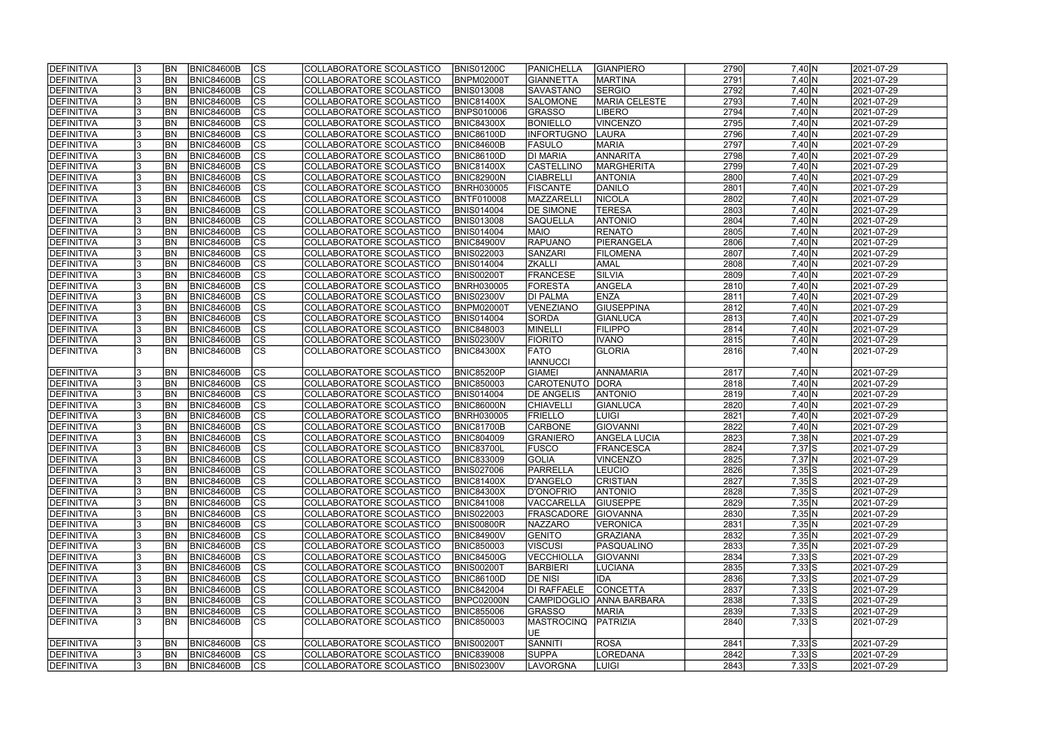| <b>DEFINITIVA</b> |    | <b>BN</b>  | <b>BNIC84600B</b> | $ {\rm CS} $   | COLLABORATORE SCOLASTICO | <b>BNIS01200C</b> | PANICHELLA        | <b>GIANPIERO</b>         | 2790 | $7,40 \ N$                               | 2021-07-29 |
|-------------------|----|------------|-------------------|----------------|--------------------------|-------------------|-------------------|--------------------------|------|------------------------------------------|------------|
| DEFINITIVA        |    | <b>BN</b>  | <b>BNIC84600B</b> | cs             | COLLABORATORE SCOLASTICO | <b>BNPM02000T</b> | <b>GIANNETTA</b>  | <b>MARTINA</b>           | 2791 | 7,40 N                                   | 2021-07-29 |
| DEFINITIVA        |    | <b>BN</b>  | <b>BNIC84600B</b> | cs             | COLLABORATORE SCOLASTICO | <b>BNIS013008</b> | <b>SAVASTANO</b>  | <b>SERGIO</b>            | 2792 | 7,40 N                                   | 2021-07-29 |
| DEFINITIVA        |    | <b>BN</b>  | <b>BNIC84600B</b> | $\overline{c}$ | COLLABORATORE SCOLASTICO | <b>BNIC81400X</b> | <b>SALOMONE</b>   | <b>MARIA CELESTE</b>     | 2793 | 7,40 N                                   | 2021-07-29 |
| <b>DEFINITIVA</b> |    | <b>BN</b>  | <b>BNIC84600B</b> | cs             | COLLABORATORE SCOLASTICO | <b>BNPS010006</b> | <b>GRASSO</b>     | <b>LIBERO</b>            | 2794 | 7,40 N                                   | 2021-07-29 |
| DEFINITIVA        |    | <b>BN</b>  | <b>BNIC84600B</b> | cs             | COLLABORATORE SCOLASTICO | <b>BNIC84300X</b> | <b>BONIELLO</b>   | <b>VINCENZO</b>          | 2795 | 7,40 N                                   | 2021-07-29 |
| DEFINITIVA        |    | <b>BN</b>  | <b>BNIC84600B</b> | cs             | COLLABORATORE SCOLASTICO | <b>BNIC86100D</b> | <b>INFORTUGNO</b> | <b>LAURA</b>             | 2796 | $7,40 \ N$                               | 2021-07-29 |
| DEFINITIVA        |    | <b>BN</b>  | BNIC84600B        | cs             | COLLABORATORE SCOLASTICO | <b>BNIC84600B</b> | <b>FASULO</b>     | <b>MARIA</b>             | 2797 | $7,40 \ N$                               | 2021-07-29 |
| DEFINITIVA        |    | <b>BN</b>  | <b>BNIC84600B</b> | $ {\rm CS} $   | COLLABORATORE SCOLASTICO | <b>BNIC86100D</b> | <b>DI MARIA</b>   | <b>ANNARITA</b>          | 2798 | 7,40 N                                   | 2021-07-29 |
| <b>DEFINITIVA</b> |    | <b>BN</b>  | <b>BNIC84600B</b> | cs             | COLLABORATORE SCOLASTICO | <b>BNIC81400X</b> | <b>CASTELLINO</b> | <b>MARGHERITA</b>        | 2799 | 7,40 N                                   | 2021-07-29 |
| DEFINITIVA        |    | <b>BN</b>  | <b>BNIC84600B</b> | cs             | COLLABORATORE SCOLASTICO | <b>BNIC82900N</b> | <b>CIABRELLI</b>  | <b>ANTONIA</b>           | 2800 | 7,40 N                                   | 2021-07-29 |
| DEFINITIVA        |    | <b>BN</b>  | <b>BNIC84600B</b> | cs             | COLLABORATORE SCOLASTICO | <b>BNRH030005</b> | <b>FISCANTE</b>   | DANILO                   | 2801 | $7,40 \ N$                               | 2021-07-29 |
| DEFINITIVA        |    | <b>BN</b>  | <b>BNIC84600B</b> | cs             | COLLABORATORE SCOLASTICO | <b>BNTF010008</b> | MAZZARELL         | NICOLA                   | 2802 | $7,40 \ N$                               | 2021-07-29 |
| DEFINITIVA        |    | <b>BN</b>  | <b>BNIC84600B</b> | $ {\rm CS} $   | COLLABORATORE SCOLASTICO | <b>BNIS014004</b> | <b>DE SIMONE</b>  | <b>TERESA</b>            | 2803 | 7,40 N                                   | 2021-07-29 |
| DEFINITIVA        |    | <b>BN</b>  | <b>BNIC84600B</b> | $ {\rm CS} $   | COLLABORATORE SCOLASTICO | <b>BNIS013008</b> | <b>SAQUELLA</b>   | <b>ANTONIO</b>           | 2804 | $7,40 \ N$                               | 2021-07-29 |
| DEFINITIVA        |    | <b>BN</b>  | <b>BNIC84600B</b> | $ {\rm CS} $   | COLLABORATORE SCOLASTICO | <b>BNIS014004</b> | <b>MAIO</b>       | <b>RENATO</b>            | 2805 | $7,40 \overline{N}$                      | 2021-07-29 |
| DEFINITIVA        |    | <b>BN</b>  | BNIC84600B        | cs             | COLLABORATORE SCOLASTICO | <b>BNIC84900V</b> | <b>RAPUANO</b>    | PIERANGELA               | 2806 | 7,40 N                                   | 2021-07-29 |
|                   |    | <b>BN</b>  | <b>BNIC84600B</b> | $ {\rm CS} $   |                          | <b>BNIS022003</b> | SANZARI           | <b>FILOMENA</b>          | 2807 | $7,40$ N                                 | 2021-07-29 |
| DEFINITIVA        |    |            |                   |                | COLLABORATORE SCOLASTICO |                   |                   |                          |      |                                          |            |
| <b>DEFINITIVA</b> |    | <b>BN</b>  | <b>BNIC84600B</b> | <b>CS</b>      | COLLABORATORE SCOLASTICO | <b>BNIS014004</b> | <b>ZKALLI</b>     | <b>AMAL</b>              | 2808 | 7,40 N                                   | 2021-07-29 |
| <b>DEFINITIVA</b> |    | <b>BN</b>  | <b>BNIC84600B</b> | cs             | COLLABORATORE SCOLASTICO | <b>BNIS00200T</b> | <b>FRANCESE</b>   | <b>SILVIA</b>            | 2809 | 7,40 N                                   | 2021-07-29 |
| <b>DEFINITIVA</b> |    | <b>BN</b>  | <b>BNIC84600B</b> | $ {\rm cs} $   | COLLABORATORE SCOLASTICO | <b>BNRH030005</b> | <b>FORESTA</b>    | ANGELA                   | 2810 | 7,40 N                                   | 2021-07-29 |
| <b>DEFINITIVA</b> |    | <b>BN</b>  | <b>BNIC84600B</b> | <b>CS</b>      | COLLABORATORE SCOLASTICO | <b>BNIS02300V</b> | <b>DI PALMA</b>   | <b>ENZA</b>              | 2811 | 7,40 N                                   | 2021-07-29 |
| DEFINITIVA        |    | <b>BN</b>  | <b>BNIC84600B</b> | <b>CS</b>      | COLLABORATORE SCOLASTICO | <b>BNPM02000T</b> | VENEZIANO         | <b>GIUSEPPINA</b>        | 2812 | $7,40 \ N$                               | 2021-07-29 |
| <b>DEFINITIVA</b> |    | BN         | <b>BNIC84600B</b> | CS             | COLLABORATORE SCOLASTICO | <b>BNIS014004</b> | <b>SORDA</b>      | GIANLUCA                 | 2813 | $7,40 \ N$                               | 2021-07-29 |
| DEFINITIVA        |    | <b>BN</b>  | <b>BNIC84600B</b> | $ {\rm cs} $   | COLLABORATORE SCOLASTICO | <b>BNIC848003</b> | MINELLI           | <b>FILIPPO</b>           | 2814 | $7,40 \ N$                               | 2021-07-29 |
| DEFINITIVA        |    | BN         | <b>BNIC84600B</b> | $ {\rm CS} $   | COLLABORATORE SCOLASTICO | <b>BNIS02300V</b> | <b>FIORITO</b>    | <b>IVANO</b>             | 2815 | $7,40 \ N$                               | 2021-07-29 |
| DEFINITIVA        |    | <b>BN</b>  | <b>BNIC84600B</b> | $ {\rm cs} $   | COLLABORATORE SCOLASTICO | <b>BNIC84300X</b> | <b>FATO</b>       | <b>GLORIA</b>            | 2816 | $7,40 \vert N$                           | 2021-07-29 |
|                   |    |            |                   |                |                          |                   | <b>IANNUCCI</b>   |                          |      |                                          |            |
| DEFINITIVA        |    | <b>BN</b>  | <b>BNIC84600B</b> | $ {\rm cs} $   | COLLABORATORE SCOLASTICO | <b>BNIC85200P</b> | <b>GIAMEI</b>     | ANNAMARIA                | 2817 | 7,40 N                                   | 2021-07-29 |
| DEFINITIVA        |    | <b>BN</b>  | <b>BNIC84600B</b> | $ {\rm cs} $   | COLLABORATORE SCOLASTICO | <b>BNIC850003</b> | CAROTENUTO DORA   |                          | 2818 | $7,40 \overline{N}$                      | 2021-07-29 |
| DEFINITIVA        |    | <b>BN</b>  | <b>BNIC84600B</b> | $\overline{c}$ | COLLABORATORE SCOLASTICO | <b>BNIS014004</b> | <b>DE ANGELIS</b> | <b>ANTONIO</b>           | 2819 | $7,40 \ N$                               | 2021-07-29 |
| DEFINITIVA        |    | <b>BN</b>  | <b>BNIC84600B</b> | cs             | COLLABORATORE SCOLASTICO | <b>BNIC86000N</b> | <b>CHIAVELLI</b>  | GIANLUCA                 | 2820 | 7,40 N                                   | 2021-07-29 |
| <b>DEFINITIVA</b> |    | <b>BN</b>  | <b>BNIC84600B</b> | CS             | COLLABORATORE SCOLASTICO | <b>BNRH030005</b> | FRIELLO           | <b>LUIGI</b>             | 2821 | $7,40 \ N$                               | 2021-07-29 |
| <b>DEFINITIVA</b> |    | <b>BN</b>  | <b>BNIC84600B</b> | cs             | COLLABORATORE SCOLASTICO | <b>BNIC81700B</b> | <b>CARBONE</b>    | <b>GIOVANNI</b>          | 2822 | $7,40 \overline{N}$                      | 2021-07-29 |
| DEFINITIVA        |    | <b>BN</b>  | <b>BNIC84600B</b> | cs             | COLLABORATORE SCOLASTICO | <b>BNIC804009</b> | GRANIERO          | <b>ANGELA LUCIA</b>      | 2823 | $7,38$ N                                 | 2021-07-29 |
| DEFINITIVA        |    | <b>BN</b>  | <b>BNIC84600B</b> | $\overline{c}$ | COLLABORATORE SCOLASTICO | <b>BNIC83700L</b> | FUSCO             | <b>FRANCESCA</b>         | 2824 | $7,37$ $S$                               | 2021-07-29 |
| <b>DEFINITIVA</b> |    | IBN        | BNIC84600B        | CS             | COLLABORATORE SCOLASTICO | <b>BNIC833009</b> | GOLIA             | VINCENZO                 | 2825 | $7,37$ <sub>N</sub>                      | 2021-07-29 |
| DEFINITIVA        |    | <b>IBN</b> | <b>BNIC84600B</b> | $ {\rm CS} $   | COLLABORATORE SCOLASTICO | <b>BNIS027006</b> | PARRELLA          | <b>LEUCIO</b>            | 2826 | $7,35$ S                                 | 2021-07-29 |
| DEFINITIVA        |    | IBN        | <b>BNIC84600B</b> | <sub>Ics</sub> | COLLABORATORE SCOLASTICO | <b>BNIC81400X</b> | D'ANGELO          | <b>CRISTIAN</b>          | 2827 | $7,35$ S                                 | 2021-07-29 |
| DEFINITIVA        |    | <b>BN</b>  | <b>BNIC84600B</b> | <sub>Ics</sub> | COLLABORATORE SCOLASTICO | <b>BNIC84300X</b> | D'ONOFRIO         | <b>ANTONIO</b>           | 2828 | $7,35\overline{\smash{\big }\mathsf{S}}$ | 2021-07-29 |
| <b>DEFINITIVA</b> |    | <b>BN</b>  | <b>BNIC84600B</b> | $ {\rm CS} $   | COLLABORATORE SCOLASTICO | <b>BNIC841008</b> | <b>VACCARELLA</b> | <b>GIUSEPPE</b>          | 2829 | 7,35 N                                   | 2021-07-29 |
| DEFINITIVA        |    | <b>BN</b>  | <b>BNIC84600B</b> | <sub>Ics</sub> | COLLABORATORE SCOLASTICO | <b>BNIS022003</b> | <b>FRASCADORE</b> | <b>GIOVANNA</b>          | 2830 | 7,35 N                                   | 2021-07-29 |
| DEFINITIVA        |    | <b>BN</b>  | <b>BNIC84600B</b> | $ {\rm CS} $   | COLLABORATORE SCOLASTICO | <b>BNIS00800R</b> | <b>NAZZARO</b>    | VERONICA                 | 2831 | 7,35 N                                   | 2021-07-29 |
| <b>DEFINITIVA</b> |    | <b>BN</b>  | <b>BNIC84600B</b> | $ {\rm CS} $   | COLLABORATORE SCOLASTICO | <b>BNIC84900V</b> | <b>GENITO</b>     | GRAZIANA                 | 2832 | 7,35 N                                   | 2021-07-29 |
| DEFINITIVA        |    | <b>BN</b>  | <b>BNIC84600B</b> | cs             | COLLABORATORE SCOLASTICO | <b>BNIC850003</b> | <b>VISCUSI</b>    | PASQUALINO               | 2833 | 7,35 N                                   | 2021-07-29 |
| DEFINITIVA        |    | <b>BN</b>  | <b>BNIC84600B</b> | $ {\rm CS} $   | COLLABORATORE SCOLASTICO | <b>BNIC84500G</b> | <b>VECCHIOLLA</b> | <b>GIOVANNI</b>          | 2834 | $7,33$ S                                 | 2021-07-29 |
| DEFINITIVA        |    | <b>BN</b>  | <b>BNIC84600B</b> | cs             | COLLABORATORE SCOLASTICO | <b>BNIS00200T</b> | <b>BARBIERI</b>   | LUCIANA                  | 2835 | $7,33$ S                                 | 2021-07-29 |
| DEFINITIVA        |    | <b>BN</b>  | <b>BNIC84600B</b> | $ {\rm CS} $   | COLLABORATORE SCOLASTICO | <b>BNIC86100D</b> | <b>DE NISI</b>    | <b>IDA</b>               | 2836 | $7,33$ S                                 | 2021-07-29 |
| DEFINITIVA        |    | <b>BN</b>  | <b>BNIC84600B</b> | $ {\rm CS} $   | COLLABORATORE SCOLASTICO | <b>BNIC842004</b> | DI RAFFAELE       | <b>CONCETTA</b>          | 2837 | $7,33$ S                                 | 2021-07-29 |
| DEFINITIVA        |    | <b>BN</b>  | <b>BNIC84600B</b> | cs             | COLLABORATORE SCOLASTICO | BNPC02000N        |                   | CAMPIDOGLIO ANNA BARBARA | 2838 | $7,33$ S                                 | 2021-07-29 |
| DEFINITIVA        |    | <b>BN</b>  | <b>BNIC84600B</b> | cs             | COLLABORATORE SCOLASTICO | <b>BNIC855006</b> | GRASSO            | <b>MARIA</b>             | 2839 | $7,33$ $S$                               | 2021-07-29 |
| DEFINITIVA        |    | <b>BN</b>  | BNIC84600B        | Ics            | COLLABORATORE SCOLASTICO | <b>BNIC850003</b> | <b>MASTROCINQ</b> | PATRIZIA                 | 2840 | $7,33$ S                                 | 2021-07-29 |
|                   |    |            |                   |                |                          |                   | IUE.              |                          |      |                                          |            |
| DEFINITIVA        |    | <b>BN</b>  | <b>BNIC84600B</b> | <sub>Ics</sub> | COLLABORATORE SCOLASTICO | <b>BNIS00200T</b> | SANNITI           | <b>ROSA</b>              | 2841 | $7,33$ S                                 | 2021-07-29 |
| <b>DEFINITIVA</b> |    | <b>BN</b>  | <b>BNIC84600B</b> | $ {\rm CS} $   | COLLABORATORE SCOLASTICO | <b>BNIC839008</b> | <b>SUPPA</b>      | LOREDANA                 | 2842 | $7,33$ S                                 | 2021-07-29 |
| <b>DEFINITIVA</b> | 13 | <b>BN</b>  | <b>BNIC84600B</b> | CS             | COLLABORATORE SCOLASTICO | <b>BNIS02300V</b> | <b>LAVORGNA</b>   | <b>LUIGI</b>             | 2843 | $7,33$ S                                 | 2021-07-29 |
|                   |    |            |                   |                |                          |                   |                   |                          |      |                                          |            |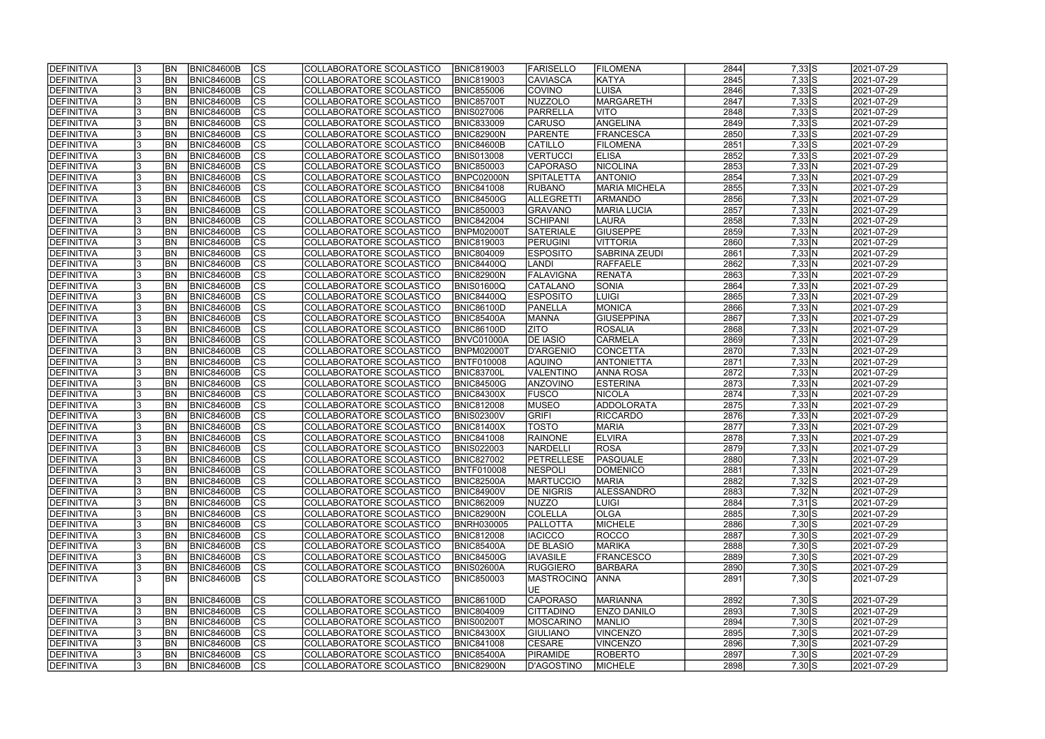| cs <br>2845<br><b>DEFINITIVA</b><br><b>BN</b><br><b>BNIC84600B</b><br>COLLABORATORE SCOLASTICO<br><b>BNIC819003</b><br><b>CAVIASCA</b><br>KATYA<br>$7,33$ $S$<br>2021-07-29<br> cs <br>2846<br><b>BNIC84600B</b><br> COVINO<br>$7,33$ S<br>2021-07-29<br>DEFINITIVA<br> BN<br>COLLABORATORE SCOLASTICO<br><b>BNIC855006</b><br><b>LUISA</b><br>$\overline{c}$<br>2847<br>$7,33$ S<br><b>BNIC84600B</b><br>NUZZOLO<br><b>MARGARETH</b><br>2021-07-29<br>DEFINITIVA<br> BN<br>COLLABORATORE SCOLASTICO<br><b>BNIC85700T</b><br> cs <br>2848<br><b>BNIC84600B</b><br>$7,33$ S<br>2021-07-29<br><b>DEFINITIVA</b><br> BN<br>COLLABORATORE SCOLASTICO<br><b>BNIS027006</b><br>PARRELLA<br><b>NITO</b><br> cs <br><b>BNIC84600B</b><br>ANGELINA<br>2849<br>$7,33$ S<br>DEFINITIVA<br> BN<br>COLLABORATORE SCOLASTICO<br><b>BNIC833009</b><br><b>CARUSO</b><br>2021-07-29<br> cs <br>2850<br><b>BNIC84600B</b><br>PARENTE<br>$7,33$ S<br>2021-07-29<br>DEFINITIVA<br> BN<br>COLLABORATORE SCOLASTICO<br><b>BNIC82900N</b><br><b>FRANCESCA</b><br> cs <br>2851<br><b>BN</b><br><b>BNIC84600B</b><br><b>CATILLO</b><br>$7,33$ S<br>2021-07-29<br>DEFINITIVA<br>COLLABORATORE SCOLASTICO<br><b>BNIC84600B</b><br><b>FILOMENA</b><br> cs <br><b>BN</b><br><b>BNIC84600B</b><br><b>VERTUCCI</b><br>2852<br>$7,33$ S<br>2021-07-29<br>DEFINITIVA<br>COLLABORATORE SCOLASTICO<br><b>BNIS013008</b><br><b>ELISA</b><br> cs <br><b>BN</b><br><b>BNIC84600B</b><br><b>CAPORASO</b><br>NICOLINA<br>2853<br>2021-07-29<br>DEFINITIVA<br>COLLABORATORE SCOLASTICO<br><b>BNIC850003</b><br>7,33 N<br> cs <br><b>ANTONIO</b><br>2854<br>DEFINITIVA<br><b>BN</b><br><b>BNIC84600B</b><br>COLLABORATORE SCOLASTICO<br>BNPC02000N<br><b>SPITALETTA</b><br>7,33 N<br>2021-07-29<br>$ {\rm CS} $<br><b>MARIA MICHELA</b><br>2855<br>DEFINITIVA<br><b>BNIC84600B</b><br>COLLABORATORE SCOLASTICO<br><b>BNIC841008</b><br>7,33 N<br>2021-07-29<br> BN<br><b>RUBANO</b><br>$ {\rm CS} $<br>2856<br><b>BNIC84600B</b><br><b>BNIC84500G</b><br>ALLEGRETTI<br>7,33 N<br>2021-07-29<br>DEFINITIVA<br><b>BN</b><br>COLLABORATORE SCOLASTICO<br><b>ARMANDO</b><br> cs <br>2857<br><b>BNIC84600B</b><br><b>MARIA LUCIA</b><br>7,33 N<br>2021-07-29<br>DEFINITIVA<br> BN<br>COLLABORATORE SCOLASTICO<br><b>BNIC850003</b><br><b>GRAVANO</b><br> cs <br>2858<br><b>BNIC84600B</b><br><b>BNIC842004</b><br><b>SCHIPANI</b><br>7,33 N<br>2021-07-29<br>DEFINITIVA<br><b>BN</b><br>COLLABORATORE SCOLASTICO<br>LAURA<br> cs <br>2859<br><b>BN</b><br><b>BNIC84600B</b><br><b>SATERIALE</b><br><b>GIUSEPPE</b><br>7,33 N<br>2021-07-29<br>DEFINITIVA<br>COLLABORATORE SCOLASTICO<br><b>BNPM02000T</b><br> cs <br>2860<br>7,33 N<br>2021-07-29<br>DEFINITIVA<br><b>BN</b><br><b>BNIC84600B</b><br><b>BNIC819003</b><br>PERUGINI<br><b>VITTORIA</b><br>COLLABORATORE SCOLASTICO<br> cs <br><b>BN</b><br><b>BNIC84600B</b><br><b>SABRINA ZEUDI</b><br>2861<br>7,33 N<br>2021-07-29<br>DEFINITIVA<br>COLLABORATORE SCOLASTICO<br><b>BNIC804009</b><br><b>ESPOSITO</b><br> cs <br>2862<br>7,33 N<br>2021-07-29<br><b>DEFINITIVA</b><br> BN<br><b>BNIC84600B</b><br>COLLABORATORE SCOLASTICO<br>BNIC84400Q<br><b>LANDI</b><br><b>RAFFAELE</b><br> cs <br>2863<br>7,33 N<br>2021-07-29<br><b>DEFINITIVA</b><br> BN<br><b>BNIC84600B</b><br>COLLABORATORE SCOLASTICO<br>BNIC82900N<br><b>FALAVIGNA</b><br><b>RENATA</b><br><b>CS</b><br>2864<br>7,33 N<br>2021-07-29<br><b>DEFINITIVA</b><br> BN<br><b>BNIC84600B</b><br>COLLABORATORE SCOLASTICO<br>BNIS01600Q<br><b>CATALANO</b><br>SONIA<br><b>CS</b><br>2865<br><b>BNIC84600B</b><br>7,33 N<br><b>DEFINITIVA</b><br> BN<br>COLLABORATORE SCOLASTICO<br>BNIC84400Q<br><b>ESPOSITO</b><br>LUIGI<br>2021-07-29<br><b>CS</b><br>2866<br><b>BNIC84600B</b><br>MONICA<br>7,33 N<br>2021-07-29<br>DEFINITIVA<br> BN<br>COLLABORATORE SCOLASTICO<br><b>BNIC86100D</b><br>PANELLA<br>2867<br><b>BN</b><br><b>BNIC84600B</b><br> CS<br><b>GIUSEPPINA</b><br>7,33 N<br>2021-07-29<br>DEFINITIVA<br>COLLABORATORE SCOLASTICO<br><b>BNIC85400A</b><br><b>MANNA</b><br><b>CS</b><br><b>BN</b><br><b>BNIC84600B</b><br><b>ZITO</b><br><b>ROSALIA</b><br>2868<br>7,33 N<br>2021-07-29<br>DEFINITIVA<br>COLLABORATORE SCOLASTICO<br><b>BNIC86100D</b><br>$ {\rm cs} $<br><b>BN</b><br><b>BNIC84600B</b><br><b>DE IASIO</b><br><b>CARMELA</b><br>2869<br>7,33 N<br>2021-07-29<br>DEFINITIVA<br>COLLABORATORE SCOLASTICO<br>BNVC01000A<br>$ {\rm cs} $<br>2870<br><b>BN</b><br><b>BNIC84600B</b><br>COLLABORATORE SCOLASTICO<br>D'ARGENIO<br>CONCETTA<br>7,33 N<br>2021-07-29<br>DEFINITIVA<br><b>BNPM02000T</b><br>$ {\rm cs} $<br>2871<br><b>BNIC84600B</b><br><b>AQUINO</b><br>7,33 N<br>DEFINITIVA<br><b>BN</b><br>COLLABORATORE SCOLASTICO<br><b>BNTF010008</b><br><b>ANTONIETTA</b><br>2021-07-29<br> cs <br>2872<br><b>BN</b><br><b>BNIC84600B</b><br>COLLABORATORE SCOLASTICO<br>BNIC83700L<br><b>VALENTINO</b><br>7,33 N<br>2021-07-29<br>DEFINITIVA<br><b>ANNA ROSA</b><br>$ {\rm cs} $<br>2873<br><b>BNIC84600B</b><br><b>BNIC84500G</b><br><b>ANZOVINO</b><br><b>ESTERINA</b><br>7,33 N<br>2021-07-29<br>DEFINITIVA<br><b>BN</b><br>COLLABORATORE SCOLASTICO<br> cs <br><b>BNIC84600B</b><br><b>FUSCO</b><br>NICOLA<br>2874<br>7,33 N<br>2021-07-29<br>DEFINITIVA<br><b>BN</b><br>COLLABORATORE SCOLASTICO<br><b>BNIC84300X</b><br> cs <br>2875<br><b>BNIC84600B</b><br><b>MUSEO</b><br>ADDOLORATA<br>7,33 N<br>2021-07-29<br>DEFINITIVA<br><b>BN</b><br>COLLABORATORE SCOLASTICO<br><b>BNIC812008</b><br>$\overline{c}$<br>GRIFI<br>2876<br>2021-07-29<br><b>BN</b><br><b>BNIC84600B</b><br>COLLABORATORE SCOLASTICO<br><b>BNIS02300V</b><br><b>RICCARDO</b><br>7,33 N<br>DEFINITIVA<br> cs <br>2877<br><b>BN</b><br> TOSTO<br><b>MARIA</b><br>7,33 N<br>2021-07-29<br>DEFINITIVA<br><b>BNIC84600B</b><br>COLLABORATORE SCOLASTICO<br><b>BNIC81400X</b><br>$\overline{c}$<br>2878<br>DEFINITIVA<br><b>BN</b><br><b>BNIC84600B</b><br><b>BNIC841008</b><br><b>RAINONE</b><br><b>ELVIRA</b><br>7,33 N<br>2021-07-29<br>COLLABORATORE SCOLASTICO<br> cs <br>2879<br>ROSA<br>7,33 N<br>DEFINITIVA<br> BN<br><b>BNIC84600B</b><br>COLLABORATORE SCOLASTICO<br><b>BNIS022003</b><br><b>NARDELLI</b><br>2021-07-29<br><b>DEFINITIVA</b><br>BNIC84600B<br><b>PETRELLESE</b><br>PASQUALE<br>2880<br>2021-07-29<br><b>BN</b><br>COLLABORATORE SCOLASTICO<br><b>BNIC827002</b><br>7,33 N<br> CS <br>13<br>$ {\rm CS} $<br>DEFINITIVA<br><b>BN</b><br>BNIC84600B<br>COLLABORATORE SCOLASTICO<br><b>BNTF010008</b><br><b>NESPOLI</b><br>2881<br>7,33 N<br>2021-07-29<br><b>DOMENICO</b><br><sub>Ics</sub><br>2882<br>DEFINITIVA<br><b>BNIC84600B</b><br><b>MARTUCCIO</b><br>$7,32$ S<br>2021-07-29<br> BN<br>COLLABORATORE SCOLASTICO<br><b>BNIC82500A</b><br><b>IMARIA</b><br> CS<br>2883<br>DEFINITIVA<br><b>BN</b><br><b>BNIC84600B</b><br>COLLABORATORE SCOLASTICO<br><b>DE NIGRIS</b><br><b>ALESSANDRO</b><br>7,32 N<br>2021-07-29<br><b>BNIC84900V</b><br>2884<br>DEFINITIVA<br><b>BNIC84600B</b><br><sub>Ics</sub><br>$7,31$ $S$<br>2021-07-29<br><b>BN</b><br>COLLABORATORE SCOLASTICO<br><b>BNIC862009</b><br>NUZZO<br><b>LUIGI</b><br>13<br>DEFINITIVA<br><b>BN</b><br><b>BNIC84600B</b><br>$ {\rm CS} $<br><b>COLELLA</b><br><b>OLGA</b><br>2885<br>COLLABORATORE SCOLASTICO<br><b>BNIC82900N</b><br>$7,30$ S<br>2021-07-29<br>DEFINITIVA<br><b>BN</b><br><b>BNIC84600B</b><br><sub>Ics</sub><br>PALLOTTA<br>MICHELE<br>2886<br>COLLABORATORE SCOLASTICO<br><b>BNRH030005</b><br>$7,30$ S<br>2021-07-29<br><sub>Ics</sub><br><b>DEFINITIVA</b><br>BNIC84600B<br>COLLABORATORE SCOLASTICO<br><b>BNIC812008</b><br><b>IACICCO</b><br>ROCCO<br>2887<br>$7,30$ S<br>2021-07-29<br><b>BN</b><br> cs <br>2888<br>DEFINITIVA<br><b>BNIC84600B</b><br>COLLABORATORE SCOLASTICO<br><b>MARIKA</b><br>$7,30$ S<br>2021-07-29<br>BN <sub></sub><br><b>BNIC85400A</b><br><b>DE BLASIO</b><br> cs <br>2889<br>DEFINITIVA<br><b>BNIC84600B</b><br><b>IAVASILE</b><br><b>FRANCESCO</b><br>$7,30$ S<br>2021-07-29<br>BN <sub></sub><br>COLLABORATORE SCOLASTICO<br><b>BNIC84500G</b><br> cs <br><b>BNIC84600B</b><br><b>RUGGIERO</b><br>2890<br>$7,30$ S<br>2021-07-29<br>DEFINITIVA<br><b>BN</b><br>COLLABORATORE SCOLASTICO<br><b>BNIS02600A</b><br>BARBARA<br><b>CS</b><br>2891<br>$7,30$ S<br>DEFINITIVA<br>BNIC84600B<br>COLLABORATORE SCOLASTICO<br><b>BNIC850003</b><br><b>MASTROCINQ</b><br>2021-07-29<br> BN<br><b>JANNA</b><br>UE<br>DEFINITIVA<br><b>BNIC84600B</b><br>$ {\rm CS} $<br>CAPORASO<br>MARIANNA<br>2892<br>2021-07-29<br><b>BN</b><br>COLLABORATORE SCOLASTICO<br><b>BNIC86100D</b><br>$7,30$ S<br> cs <br><b>BNIC84600B</b><br><b>ENZO DANILO</b><br>2893<br>$7,30$ S<br>2021-07-29<br>DEFINITIVA<br><b>BN</b><br>COLLABORATORE SCOLASTICO<br><b>BNIC804009</b><br><b>CITTADINO</b><br>$ {\rm CS} $<br><b>BNIC84600B</b><br>2894<br>$7,30$ S<br>2021-07-29<br>DEFINITIVA<br>COLLABORATORE SCOLASTICO<br><b>BNIS00200T</b><br><b>MOSCARINO</b><br><b>MANLIO</b><br><b>BN</b><br> cs <br>2895<br>$7,30$ S<br>DEFINITIVA<br><b>BNIC84600B</b><br>COLLABORATORE SCOLASTICO<br><b>BNIC84300X</b><br><b>VINCENZO</b><br>2021-07-29<br><b>BN</b><br><b>GIULIANO</b><br>2896<br><sub>Ics</sub><br>$7,30$ S<br>DEFINITIVA<br><b>BNIC84600B</b><br><b>CESARE</b><br>VINCENZO<br>2021-07-29<br><b>BN</b><br>COLLABORATORE SCOLASTICO<br><b>BNIC841008</b><br><sub>Ics</sub><br>2897<br>$7,30$ S<br>DEFINITIVA<br><b>BNIC84600B</b><br><b>PIRAMIDE</b><br>ROBERTO<br>2021-07-29<br> BN<br>COLLABORATORE SCOLASTICO<br><b>BNIC85400A</b><br><b>CS</b><br><b>DEFINITIVA</b><br><b>BNIC84600B</b><br>COLLABORATORE SCOLASTICO<br>D'AGOSTINO<br>MICHELE<br>2898<br>$7,30$ S<br>2021-07-29<br>13.<br> BN<br><b>BNIC82900N</b> | DEFINITIVA | <b>BN</b> | <b>BNIC84600B</b> | <sub>Ics</sub> | COLLABORATORE SCOLASTICO | <b>BNIC819003</b> | FARISELLO | <b>FILOMENA</b> | 2844 | $7,33$ $S$ | 2021-07-29 |
|--------------------------------------------------------------------------------------------------------------------------------------------------------------------------------------------------------------------------------------------------------------------------------------------------------------------------------------------------------------------------------------------------------------------------------------------------------------------------------------------------------------------------------------------------------------------------------------------------------------------------------------------------------------------------------------------------------------------------------------------------------------------------------------------------------------------------------------------------------------------------------------------------------------------------------------------------------------------------------------------------------------------------------------------------------------------------------------------------------------------------------------------------------------------------------------------------------------------------------------------------------------------------------------------------------------------------------------------------------------------------------------------------------------------------------------------------------------------------------------------------------------------------------------------------------------------------------------------------------------------------------------------------------------------------------------------------------------------------------------------------------------------------------------------------------------------------------------------------------------------------------------------------------------------------------------------------------------------------------------------------------------------------------------------------------------------------------------------------------------------------------------------------------------------------------------------------------------------------------------------------------------------------------------------------------------------------------------------------------------------------------------------------------------------------------------------------------------------------------------------------------------------------------------------------------------------------------------------------------------------------------------------------------------------------------------------------------------------------------------------------------------------------------------------------------------------------------------------------------------------------------------------------------------------------------------------------------------------------------------------------------------------------------------------------------------------------------------------------------------------------------------------------------------------------------------------------------------------------------------------------------------------------------------------------------------------------------------------------------------------------------------------------------------------------------------------------------------------------------------------------------------------------------------------------------------------------------------------------------------------------------------------------------------------------------------------------------------------------------------------------------------------------------------------------------------------------------------------------------------------------------------------------------------------------------------------------------------------------------------------------------------------------------------------------------------------------------------------------------------------------------------------------------------------------------------------------------------------------------------------------------------------------------------------------------------------------------------------------------------------------------------------------------------------------------------------------------------------------------------------------------------------------------------------------------------------------------------------------------------------------------------------------------------------------------------------------------------------------------------------------------------------------------------------------------------------------------------------------------------------------------------------------------------------------------------------------------------------------------------------------------------------------------------------------------------------------------------------------------------------------------------------------------------------------------------------------------------------------------------------------------------------------------------------------------------------------------------------------------------------------------------------------------------------------------------------------------------------------------------------------------------------------------------------------------------------------------------------------------------------------------------------------------------------------------------------------------------------------------------------------------------------------------------------------------------------------------------------------------------------------------------------------------------------------------------------------------------------------------------------------------------------------------------------------------------------------------------------------------------------------------------------------------------------------------------------------------------------------------------------------------------------------------------------------------------------------------------------------------------------------------------------------------------------------------------------------------------------------------------------------------------------------------------------------------------------------------------------------------------------------------------------------------------------------------------------------------------------------------------------------------------------------------------------------------------------------------------------------------------------------------------------------------------------------------------------------------------------------------------------------------------------------------------------------------------------------------------------------------------------------------------------------------------------------------------------------------------------------------------------------------------------------------------------------------------------------------------------------------------------------------------------------------------------------------------------------------------------------------------------------------------------------------------------------------------------------------------------------------------------------------------------------------------------------------------------------------------------------------------------------------------------------------------------------------------------------------------------------------------------------------------------------------------------------------------------------------------------------------------------------------------------------------------------------------------------------------------------------------------------------------------------------------------------------------------------------------------------------------------------------------------------------------------------------------------------------------------------------------------------------------------------------------------------------------------------------------------------------------------------------------------------------------------------------------------------------------------------------------------------------------------------------------------------------------------------------------------------------------------------------------------------------------------------------------------------------------------------------------------------------------------------------------------------------------------------------------------------------------------------------------------------------------------------------------------------------------------------------------------------------------------------------------------------------------------------------------------------------------------------------------------------------------------------------------------------------------------------------------------------------------------------------------------------------------------------------------------------------------------------------------------------------------------------------------------------------------------------------------------------------------------------------------------------------------------------------------------|------------|-----------|-------------------|----------------|--------------------------|-------------------|-----------|-----------------|------|------------|------------|
|                                                                                                                                                                                                                                                                                                                                                                                                                                                                                                                                                                                                                                                                                                                                                                                                                                                                                                                                                                                                                                                                                                                                                                                                                                                                                                                                                                                                                                                                                                                                                                                                                                                                                                                                                                                                                                                                                                                                                                                                                                                                                                                                                                                                                                                                                                                                                                                                                                                                                                                                                                                                                                                                                                                                                                                                                                                                                                                                                                                                                                                                                                                                                                                                                                                                                                                                                                                                                                                                                                                                                                                                                                                                                                                                                                                                                                                                                                                                                                                                                                                                                                                                                                                                                                                                                                                                                                                                                                                                                                                                                                                                                                                                                                                                                                                                                                                                                                                                                                                                                                                                                                                                                                                                                                                                                                                                                                                                                                                                                                                                                                                                                                                                                                                                                                                                                                                                                                                                                                                                                                                                                                                                                                                                                                                                                                                                                                                                                                                                                                                                                                                                                                                                                                                                                                                                                                                                                                                                                                                                                                                                                                                                                                                                                                                                                                                                                                                                                                                                                                                                                                                                                                                                                                                                                                                                                                                                                                                                                                                                                                                                                                                                                                                                                                                                                                                                                                                                                                                                                                                                                                                                                                                                                                                                                                                                                                                                                                                                                                                                                                                                                                                                                                                                                                                                                                                                                                                                                                                                                                                                                                                                                                                                                                              |            |           |                   |                |                          |                   |           |                 |      |            |            |
|                                                                                                                                                                                                                                                                                                                                                                                                                                                                                                                                                                                                                                                                                                                                                                                                                                                                                                                                                                                                                                                                                                                                                                                                                                                                                                                                                                                                                                                                                                                                                                                                                                                                                                                                                                                                                                                                                                                                                                                                                                                                                                                                                                                                                                                                                                                                                                                                                                                                                                                                                                                                                                                                                                                                                                                                                                                                                                                                                                                                                                                                                                                                                                                                                                                                                                                                                                                                                                                                                                                                                                                                                                                                                                                                                                                                                                                                                                                                                                                                                                                                                                                                                                                                                                                                                                                                                                                                                                                                                                                                                                                                                                                                                                                                                                                                                                                                                                                                                                                                                                                                                                                                                                                                                                                                                                                                                                                                                                                                                                                                                                                                                                                                                                                                                                                                                                                                                                                                                                                                                                                                                                                                                                                                                                                                                                                                                                                                                                                                                                                                                                                                                                                                                                                                                                                                                                                                                                                                                                                                                                                                                                                                                                                                                                                                                                                                                                                                                                                                                                                                                                                                                                                                                                                                                                                                                                                                                                                                                                                                                                                                                                                                                                                                                                                                                                                                                                                                                                                                                                                                                                                                                                                                                                                                                                                                                                                                                                                                                                                                                                                                                                                                                                                                                                                                                                                                                                                                                                                                                                                                                                                                                                                                                                              |            |           |                   |                |                          |                   |           |                 |      |            |            |
|                                                                                                                                                                                                                                                                                                                                                                                                                                                                                                                                                                                                                                                                                                                                                                                                                                                                                                                                                                                                                                                                                                                                                                                                                                                                                                                                                                                                                                                                                                                                                                                                                                                                                                                                                                                                                                                                                                                                                                                                                                                                                                                                                                                                                                                                                                                                                                                                                                                                                                                                                                                                                                                                                                                                                                                                                                                                                                                                                                                                                                                                                                                                                                                                                                                                                                                                                                                                                                                                                                                                                                                                                                                                                                                                                                                                                                                                                                                                                                                                                                                                                                                                                                                                                                                                                                                                                                                                                                                                                                                                                                                                                                                                                                                                                                                                                                                                                                                                                                                                                                                                                                                                                                                                                                                                                                                                                                                                                                                                                                                                                                                                                                                                                                                                                                                                                                                                                                                                                                                                                                                                                                                                                                                                                                                                                                                                                                                                                                                                                                                                                                                                                                                                                                                                                                                                                                                                                                                                                                                                                                                                                                                                                                                                                                                                                                                                                                                                                                                                                                                                                                                                                                                                                                                                                                                                                                                                                                                                                                                                                                                                                                                                                                                                                                                                                                                                                                                                                                                                                                                                                                                                                                                                                                                                                                                                                                                                                                                                                                                                                                                                                                                                                                                                                                                                                                                                                                                                                                                                                                                                                                                                                                                                                                              |            |           |                   |                |                          |                   |           |                 |      |            |            |
|                                                                                                                                                                                                                                                                                                                                                                                                                                                                                                                                                                                                                                                                                                                                                                                                                                                                                                                                                                                                                                                                                                                                                                                                                                                                                                                                                                                                                                                                                                                                                                                                                                                                                                                                                                                                                                                                                                                                                                                                                                                                                                                                                                                                                                                                                                                                                                                                                                                                                                                                                                                                                                                                                                                                                                                                                                                                                                                                                                                                                                                                                                                                                                                                                                                                                                                                                                                                                                                                                                                                                                                                                                                                                                                                                                                                                                                                                                                                                                                                                                                                                                                                                                                                                                                                                                                                                                                                                                                                                                                                                                                                                                                                                                                                                                                                                                                                                                                                                                                                                                                                                                                                                                                                                                                                                                                                                                                                                                                                                                                                                                                                                                                                                                                                                                                                                                                                                                                                                                                                                                                                                                                                                                                                                                                                                                                                                                                                                                                                                                                                                                                                                                                                                                                                                                                                                                                                                                                                                                                                                                                                                                                                                                                                                                                                                                                                                                                                                                                                                                                                                                                                                                                                                                                                                                                                                                                                                                                                                                                                                                                                                                                                                                                                                                                                                                                                                                                                                                                                                                                                                                                                                                                                                                                                                                                                                                                                                                                                                                                                                                                                                                                                                                                                                                                                                                                                                                                                                                                                                                                                                                                                                                                                                                              |            |           |                   |                |                          |                   |           |                 |      |            |            |
|                                                                                                                                                                                                                                                                                                                                                                                                                                                                                                                                                                                                                                                                                                                                                                                                                                                                                                                                                                                                                                                                                                                                                                                                                                                                                                                                                                                                                                                                                                                                                                                                                                                                                                                                                                                                                                                                                                                                                                                                                                                                                                                                                                                                                                                                                                                                                                                                                                                                                                                                                                                                                                                                                                                                                                                                                                                                                                                                                                                                                                                                                                                                                                                                                                                                                                                                                                                                                                                                                                                                                                                                                                                                                                                                                                                                                                                                                                                                                                                                                                                                                                                                                                                                                                                                                                                                                                                                                                                                                                                                                                                                                                                                                                                                                                                                                                                                                                                                                                                                                                                                                                                                                                                                                                                                                                                                                                                                                                                                                                                                                                                                                                                                                                                                                                                                                                                                                                                                                                                                                                                                                                                                                                                                                                                                                                                                                                                                                                                                                                                                                                                                                                                                                                                                                                                                                                                                                                                                                                                                                                                                                                                                                                                                                                                                                                                                                                                                                                                                                                                                                                                                                                                                                                                                                                                                                                                                                                                                                                                                                                                                                                                                                                                                                                                                                                                                                                                                                                                                                                                                                                                                                                                                                                                                                                                                                                                                                                                                                                                                                                                                                                                                                                                                                                                                                                                                                                                                                                                                                                                                                                                                                                                                                                              |            |           |                   |                |                          |                   |           |                 |      |            |            |
|                                                                                                                                                                                                                                                                                                                                                                                                                                                                                                                                                                                                                                                                                                                                                                                                                                                                                                                                                                                                                                                                                                                                                                                                                                                                                                                                                                                                                                                                                                                                                                                                                                                                                                                                                                                                                                                                                                                                                                                                                                                                                                                                                                                                                                                                                                                                                                                                                                                                                                                                                                                                                                                                                                                                                                                                                                                                                                                                                                                                                                                                                                                                                                                                                                                                                                                                                                                                                                                                                                                                                                                                                                                                                                                                                                                                                                                                                                                                                                                                                                                                                                                                                                                                                                                                                                                                                                                                                                                                                                                                                                                                                                                                                                                                                                                                                                                                                                                                                                                                                                                                                                                                                                                                                                                                                                                                                                                                                                                                                                                                                                                                                                                                                                                                                                                                                                                                                                                                                                                                                                                                                                                                                                                                                                                                                                                                                                                                                                                                                                                                                                                                                                                                                                                                                                                                                                                                                                                                                                                                                                                                                                                                                                                                                                                                                                                                                                                                                                                                                                                                                                                                                                                                                                                                                                                                                                                                                                                                                                                                                                                                                                                                                                                                                                                                                                                                                                                                                                                                                                                                                                                                                                                                                                                                                                                                                                                                                                                                                                                                                                                                                                                                                                                                                                                                                                                                                                                                                                                                                                                                                                                                                                                                                                              |            |           |                   |                |                          |                   |           |                 |      |            |            |
|                                                                                                                                                                                                                                                                                                                                                                                                                                                                                                                                                                                                                                                                                                                                                                                                                                                                                                                                                                                                                                                                                                                                                                                                                                                                                                                                                                                                                                                                                                                                                                                                                                                                                                                                                                                                                                                                                                                                                                                                                                                                                                                                                                                                                                                                                                                                                                                                                                                                                                                                                                                                                                                                                                                                                                                                                                                                                                                                                                                                                                                                                                                                                                                                                                                                                                                                                                                                                                                                                                                                                                                                                                                                                                                                                                                                                                                                                                                                                                                                                                                                                                                                                                                                                                                                                                                                                                                                                                                                                                                                                                                                                                                                                                                                                                                                                                                                                                                                                                                                                                                                                                                                                                                                                                                                                                                                                                                                                                                                                                                                                                                                                                                                                                                                                                                                                                                                                                                                                                                                                                                                                                                                                                                                                                                                                                                                                                                                                                                                                                                                                                                                                                                                                                                                                                                                                                                                                                                                                                                                                                                                                                                                                                                                                                                                                                                                                                                                                                                                                                                                                                                                                                                                                                                                                                                                                                                                                                                                                                                                                                                                                                                                                                                                                                                                                                                                                                                                                                                                                                                                                                                                                                                                                                                                                                                                                                                                                                                                                                                                                                                                                                                                                                                                                                                                                                                                                                                                                                                                                                                                                                                                                                                                                                              |            |           |                   |                |                          |                   |           |                 |      |            |            |
|                                                                                                                                                                                                                                                                                                                                                                                                                                                                                                                                                                                                                                                                                                                                                                                                                                                                                                                                                                                                                                                                                                                                                                                                                                                                                                                                                                                                                                                                                                                                                                                                                                                                                                                                                                                                                                                                                                                                                                                                                                                                                                                                                                                                                                                                                                                                                                                                                                                                                                                                                                                                                                                                                                                                                                                                                                                                                                                                                                                                                                                                                                                                                                                                                                                                                                                                                                                                                                                                                                                                                                                                                                                                                                                                                                                                                                                                                                                                                                                                                                                                                                                                                                                                                                                                                                                                                                                                                                                                                                                                                                                                                                                                                                                                                                                                                                                                                                                                                                                                                                                                                                                                                                                                                                                                                                                                                                                                                                                                                                                                                                                                                                                                                                                                                                                                                                                                                                                                                                                                                                                                                                                                                                                                                                                                                                                                                                                                                                                                                                                                                                                                                                                                                                                                                                                                                                                                                                                                                                                                                                                                                                                                                                                                                                                                                                                                                                                                                                                                                                                                                                                                                                                                                                                                                                                                                                                                                                                                                                                                                                                                                                                                                                                                                                                                                                                                                                                                                                                                                                                                                                                                                                                                                                                                                                                                                                                                                                                                                                                                                                                                                                                                                                                                                                                                                                                                                                                                                                                                                                                                                                                                                                                                                                              |            |           |                   |                |                          |                   |           |                 |      |            |            |
|                                                                                                                                                                                                                                                                                                                                                                                                                                                                                                                                                                                                                                                                                                                                                                                                                                                                                                                                                                                                                                                                                                                                                                                                                                                                                                                                                                                                                                                                                                                                                                                                                                                                                                                                                                                                                                                                                                                                                                                                                                                                                                                                                                                                                                                                                                                                                                                                                                                                                                                                                                                                                                                                                                                                                                                                                                                                                                                                                                                                                                                                                                                                                                                                                                                                                                                                                                                                                                                                                                                                                                                                                                                                                                                                                                                                                                                                                                                                                                                                                                                                                                                                                                                                                                                                                                                                                                                                                                                                                                                                                                                                                                                                                                                                                                                                                                                                                                                                                                                                                                                                                                                                                                                                                                                                                                                                                                                                                                                                                                                                                                                                                                                                                                                                                                                                                                                                                                                                                                                                                                                                                                                                                                                                                                                                                                                                                                                                                                                                                                                                                                                                                                                                                                                                                                                                                                                                                                                                                                                                                                                                                                                                                                                                                                                                                                                                                                                                                                                                                                                                                                                                                                                                                                                                                                                                                                                                                                                                                                                                                                                                                                                                                                                                                                                                                                                                                                                                                                                                                                                                                                                                                                                                                                                                                                                                                                                                                                                                                                                                                                                                                                                                                                                                                                                                                                                                                                                                                                                                                                                                                                                                                                                                                                              |            |           |                   |                |                          |                   |           |                 |      |            |            |
|                                                                                                                                                                                                                                                                                                                                                                                                                                                                                                                                                                                                                                                                                                                                                                                                                                                                                                                                                                                                                                                                                                                                                                                                                                                                                                                                                                                                                                                                                                                                                                                                                                                                                                                                                                                                                                                                                                                                                                                                                                                                                                                                                                                                                                                                                                                                                                                                                                                                                                                                                                                                                                                                                                                                                                                                                                                                                                                                                                                                                                                                                                                                                                                                                                                                                                                                                                                                                                                                                                                                                                                                                                                                                                                                                                                                                                                                                                                                                                                                                                                                                                                                                                                                                                                                                                                                                                                                                                                                                                                                                                                                                                                                                                                                                                                                                                                                                                                                                                                                                                                                                                                                                                                                                                                                                                                                                                                                                                                                                                                                                                                                                                                                                                                                                                                                                                                                                                                                                                                                                                                                                                                                                                                                                                                                                                                                                                                                                                                                                                                                                                                                                                                                                                                                                                                                                                                                                                                                                                                                                                                                                                                                                                                                                                                                                                                                                                                                                                                                                                                                                                                                                                                                                                                                                                                                                                                                                                                                                                                                                                                                                                                                                                                                                                                                                                                                                                                                                                                                                                                                                                                                                                                                                                                                                                                                                                                                                                                                                                                                                                                                                                                                                                                                                                                                                                                                                                                                                                                                                                                                                                                                                                                                                                              |            |           |                   |                |                          |                   |           |                 |      |            |            |
|                                                                                                                                                                                                                                                                                                                                                                                                                                                                                                                                                                                                                                                                                                                                                                                                                                                                                                                                                                                                                                                                                                                                                                                                                                                                                                                                                                                                                                                                                                                                                                                                                                                                                                                                                                                                                                                                                                                                                                                                                                                                                                                                                                                                                                                                                                                                                                                                                                                                                                                                                                                                                                                                                                                                                                                                                                                                                                                                                                                                                                                                                                                                                                                                                                                                                                                                                                                                                                                                                                                                                                                                                                                                                                                                                                                                                                                                                                                                                                                                                                                                                                                                                                                                                                                                                                                                                                                                                                                                                                                                                                                                                                                                                                                                                                                                                                                                                                                                                                                                                                                                                                                                                                                                                                                                                                                                                                                                                                                                                                                                                                                                                                                                                                                                                                                                                                                                                                                                                                                                                                                                                                                                                                                                                                                                                                                                                                                                                                                                                                                                                                                                                                                                                                                                                                                                                                                                                                                                                                                                                                                                                                                                                                                                                                                                                                                                                                                                                                                                                                                                                                                                                                                                                                                                                                                                                                                                                                                                                                                                                                                                                                                                                                                                                                                                                                                                                                                                                                                                                                                                                                                                                                                                                                                                                                                                                                                                                                                                                                                                                                                                                                                                                                                                                                                                                                                                                                                                                                                                                                                                                                                                                                                                                                              |            |           |                   |                |                          |                   |           |                 |      |            |            |
|                                                                                                                                                                                                                                                                                                                                                                                                                                                                                                                                                                                                                                                                                                                                                                                                                                                                                                                                                                                                                                                                                                                                                                                                                                                                                                                                                                                                                                                                                                                                                                                                                                                                                                                                                                                                                                                                                                                                                                                                                                                                                                                                                                                                                                                                                                                                                                                                                                                                                                                                                                                                                                                                                                                                                                                                                                                                                                                                                                                                                                                                                                                                                                                                                                                                                                                                                                                                                                                                                                                                                                                                                                                                                                                                                                                                                                                                                                                                                                                                                                                                                                                                                                                                                                                                                                                                                                                                                                                                                                                                                                                                                                                                                                                                                                                                                                                                                                                                                                                                                                                                                                                                                                                                                                                                                                                                                                                                                                                                                                                                                                                                                                                                                                                                                                                                                                                                                                                                                                                                                                                                                                                                                                                                                                                                                                                                                                                                                                                                                                                                                                                                                                                                                                                                                                                                                                                                                                                                                                                                                                                                                                                                                                                                                                                                                                                                                                                                                                                                                                                                                                                                                                                                                                                                                                                                                                                                                                                                                                                                                                                                                                                                                                                                                                                                                                                                                                                                                                                                                                                                                                                                                                                                                                                                                                                                                                                                                                                                                                                                                                                                                                                                                                                                                                                                                                                                                                                                                                                                                                                                                                                                                                                                                                              |            |           |                   |                |                          |                   |           |                 |      |            |            |
|                                                                                                                                                                                                                                                                                                                                                                                                                                                                                                                                                                                                                                                                                                                                                                                                                                                                                                                                                                                                                                                                                                                                                                                                                                                                                                                                                                                                                                                                                                                                                                                                                                                                                                                                                                                                                                                                                                                                                                                                                                                                                                                                                                                                                                                                                                                                                                                                                                                                                                                                                                                                                                                                                                                                                                                                                                                                                                                                                                                                                                                                                                                                                                                                                                                                                                                                                                                                                                                                                                                                                                                                                                                                                                                                                                                                                                                                                                                                                                                                                                                                                                                                                                                                                                                                                                                                                                                                                                                                                                                                                                                                                                                                                                                                                                                                                                                                                                                                                                                                                                                                                                                                                                                                                                                                                                                                                                                                                                                                                                                                                                                                                                                                                                                                                                                                                                                                                                                                                                                                                                                                                                                                                                                                                                                                                                                                                                                                                                                                                                                                                                                                                                                                                                                                                                                                                                                                                                                                                                                                                                                                                                                                                                                                                                                                                                                                                                                                                                                                                                                                                                                                                                                                                                                                                                                                                                                                                                                                                                                                                                                                                                                                                                                                                                                                                                                                                                                                                                                                                                                                                                                                                                                                                                                                                                                                                                                                                                                                                                                                                                                                                                                                                                                                                                                                                                                                                                                                                                                                                                                                                                                                                                                                                                              |            |           |                   |                |                          |                   |           |                 |      |            |            |
|                                                                                                                                                                                                                                                                                                                                                                                                                                                                                                                                                                                                                                                                                                                                                                                                                                                                                                                                                                                                                                                                                                                                                                                                                                                                                                                                                                                                                                                                                                                                                                                                                                                                                                                                                                                                                                                                                                                                                                                                                                                                                                                                                                                                                                                                                                                                                                                                                                                                                                                                                                                                                                                                                                                                                                                                                                                                                                                                                                                                                                                                                                                                                                                                                                                                                                                                                                                                                                                                                                                                                                                                                                                                                                                                                                                                                                                                                                                                                                                                                                                                                                                                                                                                                                                                                                                                                                                                                                                                                                                                                                                                                                                                                                                                                                                                                                                                                                                                                                                                                                                                                                                                                                                                                                                                                                                                                                                                                                                                                                                                                                                                                                                                                                                                                                                                                                                                                                                                                                                                                                                                                                                                                                                                                                                                                                                                                                                                                                                                                                                                                                                                                                                                                                                                                                                                                                                                                                                                                                                                                                                                                                                                                                                                                                                                                                                                                                                                                                                                                                                                                                                                                                                                                                                                                                                                                                                                                                                                                                                                                                                                                                                                                                                                                                                                                                                                                                                                                                                                                                                                                                                                                                                                                                                                                                                                                                                                                                                                                                                                                                                                                                                                                                                                                                                                                                                                                                                                                                                                                                                                                                                                                                                                                                              |            |           |                   |                |                          |                   |           |                 |      |            |            |
|                                                                                                                                                                                                                                                                                                                                                                                                                                                                                                                                                                                                                                                                                                                                                                                                                                                                                                                                                                                                                                                                                                                                                                                                                                                                                                                                                                                                                                                                                                                                                                                                                                                                                                                                                                                                                                                                                                                                                                                                                                                                                                                                                                                                                                                                                                                                                                                                                                                                                                                                                                                                                                                                                                                                                                                                                                                                                                                                                                                                                                                                                                                                                                                                                                                                                                                                                                                                                                                                                                                                                                                                                                                                                                                                                                                                                                                                                                                                                                                                                                                                                                                                                                                                                                                                                                                                                                                                                                                                                                                                                                                                                                                                                                                                                                                                                                                                                                                                                                                                                                                                                                                                                                                                                                                                                                                                                                                                                                                                                                                                                                                                                                                                                                                                                                                                                                                                                                                                                                                                                                                                                                                                                                                                                                                                                                                                                                                                                                                                                                                                                                                                                                                                                                                                                                                                                                                                                                                                                                                                                                                                                                                                                                                                                                                                                                                                                                                                                                                                                                                                                                                                                                                                                                                                                                                                                                                                                                                                                                                                                                                                                                                                                                                                                                                                                                                                                                                                                                                                                                                                                                                                                                                                                                                                                                                                                                                                                                                                                                                                                                                                                                                                                                                                                                                                                                                                                                                                                                                                                                                                                                                                                                                                                                              |            |           |                   |                |                          |                   |           |                 |      |            |            |
|                                                                                                                                                                                                                                                                                                                                                                                                                                                                                                                                                                                                                                                                                                                                                                                                                                                                                                                                                                                                                                                                                                                                                                                                                                                                                                                                                                                                                                                                                                                                                                                                                                                                                                                                                                                                                                                                                                                                                                                                                                                                                                                                                                                                                                                                                                                                                                                                                                                                                                                                                                                                                                                                                                                                                                                                                                                                                                                                                                                                                                                                                                                                                                                                                                                                                                                                                                                                                                                                                                                                                                                                                                                                                                                                                                                                                                                                                                                                                                                                                                                                                                                                                                                                                                                                                                                                                                                                                                                                                                                                                                                                                                                                                                                                                                                                                                                                                                                                                                                                                                                                                                                                                                                                                                                                                                                                                                                                                                                                                                                                                                                                                                                                                                                                                                                                                                                                                                                                                                                                                                                                                                                                                                                                                                                                                                                                                                                                                                                                                                                                                                                                                                                                                                                                                                                                                                                                                                                                                                                                                                                                                                                                                                                                                                                                                                                                                                                                                                                                                                                                                                                                                                                                                                                                                                                                                                                                                                                                                                                                                                                                                                                                                                                                                                                                                                                                                                                                                                                                                                                                                                                                                                                                                                                                                                                                                                                                                                                                                                                                                                                                                                                                                                                                                                                                                                                                                                                                                                                                                                                                                                                                                                                                                                              |            |           |                   |                |                          |                   |           |                 |      |            |            |
|                                                                                                                                                                                                                                                                                                                                                                                                                                                                                                                                                                                                                                                                                                                                                                                                                                                                                                                                                                                                                                                                                                                                                                                                                                                                                                                                                                                                                                                                                                                                                                                                                                                                                                                                                                                                                                                                                                                                                                                                                                                                                                                                                                                                                                                                                                                                                                                                                                                                                                                                                                                                                                                                                                                                                                                                                                                                                                                                                                                                                                                                                                                                                                                                                                                                                                                                                                                                                                                                                                                                                                                                                                                                                                                                                                                                                                                                                                                                                                                                                                                                                                                                                                                                                                                                                                                                                                                                                                                                                                                                                                                                                                                                                                                                                                                                                                                                                                                                                                                                                                                                                                                                                                                                                                                                                                                                                                                                                                                                                                                                                                                                                                                                                                                                                                                                                                                                                                                                                                                                                                                                                                                                                                                                                                                                                                                                                                                                                                                                                                                                                                                                                                                                                                                                                                                                                                                                                                                                                                                                                                                                                                                                                                                                                                                                                                                                                                                                                                                                                                                                                                                                                                                                                                                                                                                                                                                                                                                                                                                                                                                                                                                                                                                                                                                                                                                                                                                                                                                                                                                                                                                                                                                                                                                                                                                                                                                                                                                                                                                                                                                                                                                                                                                                                                                                                                                                                                                                                                                                                                                                                                                                                                                                                                              |            |           |                   |                |                          |                   |           |                 |      |            |            |
|                                                                                                                                                                                                                                                                                                                                                                                                                                                                                                                                                                                                                                                                                                                                                                                                                                                                                                                                                                                                                                                                                                                                                                                                                                                                                                                                                                                                                                                                                                                                                                                                                                                                                                                                                                                                                                                                                                                                                                                                                                                                                                                                                                                                                                                                                                                                                                                                                                                                                                                                                                                                                                                                                                                                                                                                                                                                                                                                                                                                                                                                                                                                                                                                                                                                                                                                                                                                                                                                                                                                                                                                                                                                                                                                                                                                                                                                                                                                                                                                                                                                                                                                                                                                                                                                                                                                                                                                                                                                                                                                                                                                                                                                                                                                                                                                                                                                                                                                                                                                                                                                                                                                                                                                                                                                                                                                                                                                                                                                                                                                                                                                                                                                                                                                                                                                                                                                                                                                                                                                                                                                                                                                                                                                                                                                                                                                                                                                                                                                                                                                                                                                                                                                                                                                                                                                                                                                                                                                                                                                                                                                                                                                                                                                                                                                                                                                                                                                                                                                                                                                                                                                                                                                                                                                                                                                                                                                                                                                                                                                                                                                                                                                                                                                                                                                                                                                                                                                                                                                                                                                                                                                                                                                                                                                                                                                                                                                                                                                                                                                                                                                                                                                                                                                                                                                                                                                                                                                                                                                                                                                                                                                                                                                                                              |            |           |                   |                |                          |                   |           |                 |      |            |            |
|                                                                                                                                                                                                                                                                                                                                                                                                                                                                                                                                                                                                                                                                                                                                                                                                                                                                                                                                                                                                                                                                                                                                                                                                                                                                                                                                                                                                                                                                                                                                                                                                                                                                                                                                                                                                                                                                                                                                                                                                                                                                                                                                                                                                                                                                                                                                                                                                                                                                                                                                                                                                                                                                                                                                                                                                                                                                                                                                                                                                                                                                                                                                                                                                                                                                                                                                                                                                                                                                                                                                                                                                                                                                                                                                                                                                                                                                                                                                                                                                                                                                                                                                                                                                                                                                                                                                                                                                                                                                                                                                                                                                                                                                                                                                                                                                                                                                                                                                                                                                                                                                                                                                                                                                                                                                                                                                                                                                                                                                                                                                                                                                                                                                                                                                                                                                                                                                                                                                                                                                                                                                                                                                                                                                                                                                                                                                                                                                                                                                                                                                                                                                                                                                                                                                                                                                                                                                                                                                                                                                                                                                                                                                                                                                                                                                                                                                                                                                                                                                                                                                                                                                                                                                                                                                                                                                                                                                                                                                                                                                                                                                                                                                                                                                                                                                                                                                                                                                                                                                                                                                                                                                                                                                                                                                                                                                                                                                                                                                                                                                                                                                                                                                                                                                                                                                                                                                                                                                                                                                                                                                                                                                                                                                                                              |            |           |                   |                |                          |                   |           |                 |      |            |            |
|                                                                                                                                                                                                                                                                                                                                                                                                                                                                                                                                                                                                                                                                                                                                                                                                                                                                                                                                                                                                                                                                                                                                                                                                                                                                                                                                                                                                                                                                                                                                                                                                                                                                                                                                                                                                                                                                                                                                                                                                                                                                                                                                                                                                                                                                                                                                                                                                                                                                                                                                                                                                                                                                                                                                                                                                                                                                                                                                                                                                                                                                                                                                                                                                                                                                                                                                                                                                                                                                                                                                                                                                                                                                                                                                                                                                                                                                                                                                                                                                                                                                                                                                                                                                                                                                                                                                                                                                                                                                                                                                                                                                                                                                                                                                                                                                                                                                                                                                                                                                                                                                                                                                                                                                                                                                                                                                                                                                                                                                                                                                                                                                                                                                                                                                                                                                                                                                                                                                                                                                                                                                                                                                                                                                                                                                                                                                                                                                                                                                                                                                                                                                                                                                                                                                                                                                                                                                                                                                                                                                                                                                                                                                                                                                                                                                                                                                                                                                                                                                                                                                                                                                                                                                                                                                                                                                                                                                                                                                                                                                                                                                                                                                                                                                                                                                                                                                                                                                                                                                                                                                                                                                                                                                                                                                                                                                                                                                                                                                                                                                                                                                                                                                                                                                                                                                                                                                                                                                                                                                                                                                                                                                                                                                                                              |            |           |                   |                |                          |                   |           |                 |      |            |            |
|                                                                                                                                                                                                                                                                                                                                                                                                                                                                                                                                                                                                                                                                                                                                                                                                                                                                                                                                                                                                                                                                                                                                                                                                                                                                                                                                                                                                                                                                                                                                                                                                                                                                                                                                                                                                                                                                                                                                                                                                                                                                                                                                                                                                                                                                                                                                                                                                                                                                                                                                                                                                                                                                                                                                                                                                                                                                                                                                                                                                                                                                                                                                                                                                                                                                                                                                                                                                                                                                                                                                                                                                                                                                                                                                                                                                                                                                                                                                                                                                                                                                                                                                                                                                                                                                                                                                                                                                                                                                                                                                                                                                                                                                                                                                                                                                                                                                                                                                                                                                                                                                                                                                                                                                                                                                                                                                                                                                                                                                                                                                                                                                                                                                                                                                                                                                                                                                                                                                                                                                                                                                                                                                                                                                                                                                                                                                                                                                                                                                                                                                                                                                                                                                                                                                                                                                                                                                                                                                                                                                                                                                                                                                                                                                                                                                                                                                                                                                                                                                                                                                                                                                                                                                                                                                                                                                                                                                                                                                                                                                                                                                                                                                                                                                                                                                                                                                                                                                                                                                                                                                                                                                                                                                                                                                                                                                                                                                                                                                                                                                                                                                                                                                                                                                                                                                                                                                                                                                                                                                                                                                                                                                                                                                                                              |            |           |                   |                |                          |                   |           |                 |      |            |            |
|                                                                                                                                                                                                                                                                                                                                                                                                                                                                                                                                                                                                                                                                                                                                                                                                                                                                                                                                                                                                                                                                                                                                                                                                                                                                                                                                                                                                                                                                                                                                                                                                                                                                                                                                                                                                                                                                                                                                                                                                                                                                                                                                                                                                                                                                                                                                                                                                                                                                                                                                                                                                                                                                                                                                                                                                                                                                                                                                                                                                                                                                                                                                                                                                                                                                                                                                                                                                                                                                                                                                                                                                                                                                                                                                                                                                                                                                                                                                                                                                                                                                                                                                                                                                                                                                                                                                                                                                                                                                                                                                                                                                                                                                                                                                                                                                                                                                                                                                                                                                                                                                                                                                                                                                                                                                                                                                                                                                                                                                                                                                                                                                                                                                                                                                                                                                                                                                                                                                                                                                                                                                                                                                                                                                                                                                                                                                                                                                                                                                                                                                                                                                                                                                                                                                                                                                                                                                                                                                                                                                                                                                                                                                                                                                                                                                                                                                                                                                                                                                                                                                                                                                                                                                                                                                                                                                                                                                                                                                                                                                                                                                                                                                                                                                                                                                                                                                                                                                                                                                                                                                                                                                                                                                                                                                                                                                                                                                                                                                                                                                                                                                                                                                                                                                                                                                                                                                                                                                                                                                                                                                                                                                                                                                                                              |            |           |                   |                |                          |                   |           |                 |      |            |            |
|                                                                                                                                                                                                                                                                                                                                                                                                                                                                                                                                                                                                                                                                                                                                                                                                                                                                                                                                                                                                                                                                                                                                                                                                                                                                                                                                                                                                                                                                                                                                                                                                                                                                                                                                                                                                                                                                                                                                                                                                                                                                                                                                                                                                                                                                                                                                                                                                                                                                                                                                                                                                                                                                                                                                                                                                                                                                                                                                                                                                                                                                                                                                                                                                                                                                                                                                                                                                                                                                                                                                                                                                                                                                                                                                                                                                                                                                                                                                                                                                                                                                                                                                                                                                                                                                                                                                                                                                                                                                                                                                                                                                                                                                                                                                                                                                                                                                                                                                                                                                                                                                                                                                                                                                                                                                                                                                                                                                                                                                                                                                                                                                                                                                                                                                                                                                                                                                                                                                                                                                                                                                                                                                                                                                                                                                                                                                                                                                                                                                                                                                                                                                                                                                                                                                                                                                                                                                                                                                                                                                                                                                                                                                                                                                                                                                                                                                                                                                                                                                                                                                                                                                                                                                                                                                                                                                                                                                                                                                                                                                                                                                                                                                                                                                                                                                                                                                                                                                                                                                                                                                                                                                                                                                                                                                                                                                                                                                                                                                                                                                                                                                                                                                                                                                                                                                                                                                                                                                                                                                                                                                                                                                                                                                                                              |            |           |                   |                |                          |                   |           |                 |      |            |            |
|                                                                                                                                                                                                                                                                                                                                                                                                                                                                                                                                                                                                                                                                                                                                                                                                                                                                                                                                                                                                                                                                                                                                                                                                                                                                                                                                                                                                                                                                                                                                                                                                                                                                                                                                                                                                                                                                                                                                                                                                                                                                                                                                                                                                                                                                                                                                                                                                                                                                                                                                                                                                                                                                                                                                                                                                                                                                                                                                                                                                                                                                                                                                                                                                                                                                                                                                                                                                                                                                                                                                                                                                                                                                                                                                                                                                                                                                                                                                                                                                                                                                                                                                                                                                                                                                                                                                                                                                                                                                                                                                                                                                                                                                                                                                                                                                                                                                                                                                                                                                                                                                                                                                                                                                                                                                                                                                                                                                                                                                                                                                                                                                                                                                                                                                                                                                                                                                                                                                                                                                                                                                                                                                                                                                                                                                                                                                                                                                                                                                                                                                                                                                                                                                                                                                                                                                                                                                                                                                                                                                                                                                                                                                                                                                                                                                                                                                                                                                                                                                                                                                                                                                                                                                                                                                                                                                                                                                                                                                                                                                                                                                                                                                                                                                                                                                                                                                                                                                                                                                                                                                                                                                                                                                                                                                                                                                                                                                                                                                                                                                                                                                                                                                                                                                                                                                                                                                                                                                                                                                                                                                                                                                                                                                                                              |            |           |                   |                |                          |                   |           |                 |      |            |            |
|                                                                                                                                                                                                                                                                                                                                                                                                                                                                                                                                                                                                                                                                                                                                                                                                                                                                                                                                                                                                                                                                                                                                                                                                                                                                                                                                                                                                                                                                                                                                                                                                                                                                                                                                                                                                                                                                                                                                                                                                                                                                                                                                                                                                                                                                                                                                                                                                                                                                                                                                                                                                                                                                                                                                                                                                                                                                                                                                                                                                                                                                                                                                                                                                                                                                                                                                                                                                                                                                                                                                                                                                                                                                                                                                                                                                                                                                                                                                                                                                                                                                                                                                                                                                                                                                                                                                                                                                                                                                                                                                                                                                                                                                                                                                                                                                                                                                                                                                                                                                                                                                                                                                                                                                                                                                                                                                                                                                                                                                                                                                                                                                                                                                                                                                                                                                                                                                                                                                                                                                                                                                                                                                                                                                                                                                                                                                                                                                                                                                                                                                                                                                                                                                                                                                                                                                                                                                                                                                                                                                                                                                                                                                                                                                                                                                                                                                                                                                                                                                                                                                                                                                                                                                                                                                                                                                                                                                                                                                                                                                                                                                                                                                                                                                                                                                                                                                                                                                                                                                                                                                                                                                                                                                                                                                                                                                                                                                                                                                                                                                                                                                                                                                                                                                                                                                                                                                                                                                                                                                                                                                                                                                                                                                                                              |            |           |                   |                |                          |                   |           |                 |      |            |            |
|                                                                                                                                                                                                                                                                                                                                                                                                                                                                                                                                                                                                                                                                                                                                                                                                                                                                                                                                                                                                                                                                                                                                                                                                                                                                                                                                                                                                                                                                                                                                                                                                                                                                                                                                                                                                                                                                                                                                                                                                                                                                                                                                                                                                                                                                                                                                                                                                                                                                                                                                                                                                                                                                                                                                                                                                                                                                                                                                                                                                                                                                                                                                                                                                                                                                                                                                                                                                                                                                                                                                                                                                                                                                                                                                                                                                                                                                                                                                                                                                                                                                                                                                                                                                                                                                                                                                                                                                                                                                                                                                                                                                                                                                                                                                                                                                                                                                                                                                                                                                                                                                                                                                                                                                                                                                                                                                                                                                                                                                                                                                                                                                                                                                                                                                                                                                                                                                                                                                                                                                                                                                                                                                                                                                                                                                                                                                                                                                                                                                                                                                                                                                                                                                                                                                                                                                                                                                                                                                                                                                                                                                                                                                                                                                                                                                                                                                                                                                                                                                                                                                                                                                                                                                                                                                                                                                                                                                                                                                                                                                                                                                                                                                                                                                                                                                                                                                                                                                                                                                                                                                                                                                                                                                                                                                                                                                                                                                                                                                                                                                                                                                                                                                                                                                                                                                                                                                                                                                                                                                                                                                                                                                                                                                                                              |            |           |                   |                |                          |                   |           |                 |      |            |            |
|                                                                                                                                                                                                                                                                                                                                                                                                                                                                                                                                                                                                                                                                                                                                                                                                                                                                                                                                                                                                                                                                                                                                                                                                                                                                                                                                                                                                                                                                                                                                                                                                                                                                                                                                                                                                                                                                                                                                                                                                                                                                                                                                                                                                                                                                                                                                                                                                                                                                                                                                                                                                                                                                                                                                                                                                                                                                                                                                                                                                                                                                                                                                                                                                                                                                                                                                                                                                                                                                                                                                                                                                                                                                                                                                                                                                                                                                                                                                                                                                                                                                                                                                                                                                                                                                                                                                                                                                                                                                                                                                                                                                                                                                                                                                                                                                                                                                                                                                                                                                                                                                                                                                                                                                                                                                                                                                                                                                                                                                                                                                                                                                                                                                                                                                                                                                                                                                                                                                                                                                                                                                                                                                                                                                                                                                                                                                                                                                                                                                                                                                                                                                                                                                                                                                                                                                                                                                                                                                                                                                                                                                                                                                                                                                                                                                                                                                                                                                                                                                                                                                                                                                                                                                                                                                                                                                                                                                                                                                                                                                                                                                                                                                                                                                                                                                                                                                                                                                                                                                                                                                                                                                                                                                                                                                                                                                                                                                                                                                                                                                                                                                                                                                                                                                                                                                                                                                                                                                                                                                                                                                                                                                                                                                                                              |            |           |                   |                |                          |                   |           |                 |      |            |            |
|                                                                                                                                                                                                                                                                                                                                                                                                                                                                                                                                                                                                                                                                                                                                                                                                                                                                                                                                                                                                                                                                                                                                                                                                                                                                                                                                                                                                                                                                                                                                                                                                                                                                                                                                                                                                                                                                                                                                                                                                                                                                                                                                                                                                                                                                                                                                                                                                                                                                                                                                                                                                                                                                                                                                                                                                                                                                                                                                                                                                                                                                                                                                                                                                                                                                                                                                                                                                                                                                                                                                                                                                                                                                                                                                                                                                                                                                                                                                                                                                                                                                                                                                                                                                                                                                                                                                                                                                                                                                                                                                                                                                                                                                                                                                                                                                                                                                                                                                                                                                                                                                                                                                                                                                                                                                                                                                                                                                                                                                                                                                                                                                                                                                                                                                                                                                                                                                                                                                                                                                                                                                                                                                                                                                                                                                                                                                                                                                                                                                                                                                                                                                                                                                                                                                                                                                                                                                                                                                                                                                                                                                                                                                                                                                                                                                                                                                                                                                                                                                                                                                                                                                                                                                                                                                                                                                                                                                                                                                                                                                                                                                                                                                                                                                                                                                                                                                                                                                                                                                                                                                                                                                                                                                                                                                                                                                                                                                                                                                                                                                                                                                                                                                                                                                                                                                                                                                                                                                                                                                                                                                                                                                                                                                                                              |            |           |                   |                |                          |                   |           |                 |      |            |            |
|                                                                                                                                                                                                                                                                                                                                                                                                                                                                                                                                                                                                                                                                                                                                                                                                                                                                                                                                                                                                                                                                                                                                                                                                                                                                                                                                                                                                                                                                                                                                                                                                                                                                                                                                                                                                                                                                                                                                                                                                                                                                                                                                                                                                                                                                                                                                                                                                                                                                                                                                                                                                                                                                                                                                                                                                                                                                                                                                                                                                                                                                                                                                                                                                                                                                                                                                                                                                                                                                                                                                                                                                                                                                                                                                                                                                                                                                                                                                                                                                                                                                                                                                                                                                                                                                                                                                                                                                                                                                                                                                                                                                                                                                                                                                                                                                                                                                                                                                                                                                                                                                                                                                                                                                                                                                                                                                                                                                                                                                                                                                                                                                                                                                                                                                                                                                                                                                                                                                                                                                                                                                                                                                                                                                                                                                                                                                                                                                                                                                                                                                                                                                                                                                                                                                                                                                                                                                                                                                                                                                                                                                                                                                                                                                                                                                                                                                                                                                                                                                                                                                                                                                                                                                                                                                                                                                                                                                                                                                                                                                                                                                                                                                                                                                                                                                                                                                                                                                                                                                                                                                                                                                                                                                                                                                                                                                                                                                                                                                                                                                                                                                                                                                                                                                                                                                                                                                                                                                                                                                                                                                                                                                                                                                                                              |            |           |                   |                |                          |                   |           |                 |      |            |            |
|                                                                                                                                                                                                                                                                                                                                                                                                                                                                                                                                                                                                                                                                                                                                                                                                                                                                                                                                                                                                                                                                                                                                                                                                                                                                                                                                                                                                                                                                                                                                                                                                                                                                                                                                                                                                                                                                                                                                                                                                                                                                                                                                                                                                                                                                                                                                                                                                                                                                                                                                                                                                                                                                                                                                                                                                                                                                                                                                                                                                                                                                                                                                                                                                                                                                                                                                                                                                                                                                                                                                                                                                                                                                                                                                                                                                                                                                                                                                                                                                                                                                                                                                                                                                                                                                                                                                                                                                                                                                                                                                                                                                                                                                                                                                                                                                                                                                                                                                                                                                                                                                                                                                                                                                                                                                                                                                                                                                                                                                                                                                                                                                                                                                                                                                                                                                                                                                                                                                                                                                                                                                                                                                                                                                                                                                                                                                                                                                                                                                                                                                                                                                                                                                                                                                                                                                                                                                                                                                                                                                                                                                                                                                                                                                                                                                                                                                                                                                                                                                                                                                                                                                                                                                                                                                                                                                                                                                                                                                                                                                                                                                                                                                                                                                                                                                                                                                                                                                                                                                                                                                                                                                                                                                                                                                                                                                                                                                                                                                                                                                                                                                                                                                                                                                                                                                                                                                                                                                                                                                                                                                                                                                                                                                                                              |            |           |                   |                |                          |                   |           |                 |      |            |            |
|                                                                                                                                                                                                                                                                                                                                                                                                                                                                                                                                                                                                                                                                                                                                                                                                                                                                                                                                                                                                                                                                                                                                                                                                                                                                                                                                                                                                                                                                                                                                                                                                                                                                                                                                                                                                                                                                                                                                                                                                                                                                                                                                                                                                                                                                                                                                                                                                                                                                                                                                                                                                                                                                                                                                                                                                                                                                                                                                                                                                                                                                                                                                                                                                                                                                                                                                                                                                                                                                                                                                                                                                                                                                                                                                                                                                                                                                                                                                                                                                                                                                                                                                                                                                                                                                                                                                                                                                                                                                                                                                                                                                                                                                                                                                                                                                                                                                                                                                                                                                                                                                                                                                                                                                                                                                                                                                                                                                                                                                                                                                                                                                                                                                                                                                                                                                                                                                                                                                                                                                                                                                                                                                                                                                                                                                                                                                                                                                                                                                                                                                                                                                                                                                                                                                                                                                                                                                                                                                                                                                                                                                                                                                                                                                                                                                                                                                                                                                                                                                                                                                                                                                                                                                                                                                                                                                                                                                                                                                                                                                                                                                                                                                                                                                                                                                                                                                                                                                                                                                                                                                                                                                                                                                                                                                                                                                                                                                                                                                                                                                                                                                                                                                                                                                                                                                                                                                                                                                                                                                                                                                                                                                                                                                                                              |            |           |                   |                |                          |                   |           |                 |      |            |            |
|                                                                                                                                                                                                                                                                                                                                                                                                                                                                                                                                                                                                                                                                                                                                                                                                                                                                                                                                                                                                                                                                                                                                                                                                                                                                                                                                                                                                                                                                                                                                                                                                                                                                                                                                                                                                                                                                                                                                                                                                                                                                                                                                                                                                                                                                                                                                                                                                                                                                                                                                                                                                                                                                                                                                                                                                                                                                                                                                                                                                                                                                                                                                                                                                                                                                                                                                                                                                                                                                                                                                                                                                                                                                                                                                                                                                                                                                                                                                                                                                                                                                                                                                                                                                                                                                                                                                                                                                                                                                                                                                                                                                                                                                                                                                                                                                                                                                                                                                                                                                                                                                                                                                                                                                                                                                                                                                                                                                                                                                                                                                                                                                                                                                                                                                                                                                                                                                                                                                                                                                                                                                                                                                                                                                                                                                                                                                                                                                                                                                                                                                                                                                                                                                                                                                                                                                                                                                                                                                                                                                                                                                                                                                                                                                                                                                                                                                                                                                                                                                                                                                                                                                                                                                                                                                                                                                                                                                                                                                                                                                                                                                                                                                                                                                                                                                                                                                                                                                                                                                                                                                                                                                                                                                                                                                                                                                                                                                                                                                                                                                                                                                                                                                                                                                                                                                                                                                                                                                                                                                                                                                                                                                                                                                                                              |            |           |                   |                |                          |                   |           |                 |      |            |            |
|                                                                                                                                                                                                                                                                                                                                                                                                                                                                                                                                                                                                                                                                                                                                                                                                                                                                                                                                                                                                                                                                                                                                                                                                                                                                                                                                                                                                                                                                                                                                                                                                                                                                                                                                                                                                                                                                                                                                                                                                                                                                                                                                                                                                                                                                                                                                                                                                                                                                                                                                                                                                                                                                                                                                                                                                                                                                                                                                                                                                                                                                                                                                                                                                                                                                                                                                                                                                                                                                                                                                                                                                                                                                                                                                                                                                                                                                                                                                                                                                                                                                                                                                                                                                                                                                                                                                                                                                                                                                                                                                                                                                                                                                                                                                                                                                                                                                                                                                                                                                                                                                                                                                                                                                                                                                                                                                                                                                                                                                                                                                                                                                                                                                                                                                                                                                                                                                                                                                                                                                                                                                                                                                                                                                                                                                                                                                                                                                                                                                                                                                                                                                                                                                                                                                                                                                                                                                                                                                                                                                                                                                                                                                                                                                                                                                                                                                                                                                                                                                                                                                                                                                                                                                                                                                                                                                                                                                                                                                                                                                                                                                                                                                                                                                                                                                                                                                                                                                                                                                                                                                                                                                                                                                                                                                                                                                                                                                                                                                                                                                                                                                                                                                                                                                                                                                                                                                                                                                                                                                                                                                                                                                                                                                                                              |            |           |                   |                |                          |                   |           |                 |      |            |            |
|                                                                                                                                                                                                                                                                                                                                                                                                                                                                                                                                                                                                                                                                                                                                                                                                                                                                                                                                                                                                                                                                                                                                                                                                                                                                                                                                                                                                                                                                                                                                                                                                                                                                                                                                                                                                                                                                                                                                                                                                                                                                                                                                                                                                                                                                                                                                                                                                                                                                                                                                                                                                                                                                                                                                                                                                                                                                                                                                                                                                                                                                                                                                                                                                                                                                                                                                                                                                                                                                                                                                                                                                                                                                                                                                                                                                                                                                                                                                                                                                                                                                                                                                                                                                                                                                                                                                                                                                                                                                                                                                                                                                                                                                                                                                                                                                                                                                                                                                                                                                                                                                                                                                                                                                                                                                                                                                                                                                                                                                                                                                                                                                                                                                                                                                                                                                                                                                                                                                                                                                                                                                                                                                                                                                                                                                                                                                                                                                                                                                                                                                                                                                                                                                                                                                                                                                                                                                                                                                                                                                                                                                                                                                                                                                                                                                                                                                                                                                                                                                                                                                                                                                                                                                                                                                                                                                                                                                                                                                                                                                                                                                                                                                                                                                                                                                                                                                                                                                                                                                                                                                                                                                                                                                                                                                                                                                                                                                                                                                                                                                                                                                                                                                                                                                                                                                                                                                                                                                                                                                                                                                                                                                                                                                                                              |            |           |                   |                |                          |                   |           |                 |      |            |            |
|                                                                                                                                                                                                                                                                                                                                                                                                                                                                                                                                                                                                                                                                                                                                                                                                                                                                                                                                                                                                                                                                                                                                                                                                                                                                                                                                                                                                                                                                                                                                                                                                                                                                                                                                                                                                                                                                                                                                                                                                                                                                                                                                                                                                                                                                                                                                                                                                                                                                                                                                                                                                                                                                                                                                                                                                                                                                                                                                                                                                                                                                                                                                                                                                                                                                                                                                                                                                                                                                                                                                                                                                                                                                                                                                                                                                                                                                                                                                                                                                                                                                                                                                                                                                                                                                                                                                                                                                                                                                                                                                                                                                                                                                                                                                                                                                                                                                                                                                                                                                                                                                                                                                                                                                                                                                                                                                                                                                                                                                                                                                                                                                                                                                                                                                                                                                                                                                                                                                                                                                                                                                                                                                                                                                                                                                                                                                                                                                                                                                                                                                                                                                                                                                                                                                                                                                                                                                                                                                                                                                                                                                                                                                                                                                                                                                                                                                                                                                                                                                                                                                                                                                                                                                                                                                                                                                                                                                                                                                                                                                                                                                                                                                                                                                                                                                                                                                                                                                                                                                                                                                                                                                                                                                                                                                                                                                                                                                                                                                                                                                                                                                                                                                                                                                                                                                                                                                                                                                                                                                                                                                                                                                                                                                                                              |            |           |                   |                |                          |                   |           |                 |      |            |            |
|                                                                                                                                                                                                                                                                                                                                                                                                                                                                                                                                                                                                                                                                                                                                                                                                                                                                                                                                                                                                                                                                                                                                                                                                                                                                                                                                                                                                                                                                                                                                                                                                                                                                                                                                                                                                                                                                                                                                                                                                                                                                                                                                                                                                                                                                                                                                                                                                                                                                                                                                                                                                                                                                                                                                                                                                                                                                                                                                                                                                                                                                                                                                                                                                                                                                                                                                                                                                                                                                                                                                                                                                                                                                                                                                                                                                                                                                                                                                                                                                                                                                                                                                                                                                                                                                                                                                                                                                                                                                                                                                                                                                                                                                                                                                                                                                                                                                                                                                                                                                                                                                                                                                                                                                                                                                                                                                                                                                                                                                                                                                                                                                                                                                                                                                                                                                                                                                                                                                                                                                                                                                                                                                                                                                                                                                                                                                                                                                                                                                                                                                                                                                                                                                                                                                                                                                                                                                                                                                                                                                                                                                                                                                                                                                                                                                                                                                                                                                                                                                                                                                                                                                                                                                                                                                                                                                                                                                                                                                                                                                                                                                                                                                                                                                                                                                                                                                                                                                                                                                                                                                                                                                                                                                                                                                                                                                                                                                                                                                                                                                                                                                                                                                                                                                                                                                                                                                                                                                                                                                                                                                                                                                                                                                                                              |            |           |                   |                |                          |                   |           |                 |      |            |            |
|                                                                                                                                                                                                                                                                                                                                                                                                                                                                                                                                                                                                                                                                                                                                                                                                                                                                                                                                                                                                                                                                                                                                                                                                                                                                                                                                                                                                                                                                                                                                                                                                                                                                                                                                                                                                                                                                                                                                                                                                                                                                                                                                                                                                                                                                                                                                                                                                                                                                                                                                                                                                                                                                                                                                                                                                                                                                                                                                                                                                                                                                                                                                                                                                                                                                                                                                                                                                                                                                                                                                                                                                                                                                                                                                                                                                                                                                                                                                                                                                                                                                                                                                                                                                                                                                                                                                                                                                                                                                                                                                                                                                                                                                                                                                                                                                                                                                                                                                                                                                                                                                                                                                                                                                                                                                                                                                                                                                                                                                                                                                                                                                                                                                                                                                                                                                                                                                                                                                                                                                                                                                                                                                                                                                                                                                                                                                                                                                                                                                                                                                                                                                                                                                                                                                                                                                                                                                                                                                                                                                                                                                                                                                                                                                                                                                                                                                                                                                                                                                                                                                                                                                                                                                                                                                                                                                                                                                                                                                                                                                                                                                                                                                                                                                                                                                                                                                                                                                                                                                                                                                                                                                                                                                                                                                                                                                                                                                                                                                                                                                                                                                                                                                                                                                                                                                                                                                                                                                                                                                                                                                                                                                                                                                                                              |            |           |                   |                |                          |                   |           |                 |      |            |            |
|                                                                                                                                                                                                                                                                                                                                                                                                                                                                                                                                                                                                                                                                                                                                                                                                                                                                                                                                                                                                                                                                                                                                                                                                                                                                                                                                                                                                                                                                                                                                                                                                                                                                                                                                                                                                                                                                                                                                                                                                                                                                                                                                                                                                                                                                                                                                                                                                                                                                                                                                                                                                                                                                                                                                                                                                                                                                                                                                                                                                                                                                                                                                                                                                                                                                                                                                                                                                                                                                                                                                                                                                                                                                                                                                                                                                                                                                                                                                                                                                                                                                                                                                                                                                                                                                                                                                                                                                                                                                                                                                                                                                                                                                                                                                                                                                                                                                                                                                                                                                                                                                                                                                                                                                                                                                                                                                                                                                                                                                                                                                                                                                                                                                                                                                                                                                                                                                                                                                                                                                                                                                                                                                                                                                                                                                                                                                                                                                                                                                                                                                                                                                                                                                                                                                                                                                                                                                                                                                                                                                                                                                                                                                                                                                                                                                                                                                                                                                                                                                                                                                                                                                                                                                                                                                                                                                                                                                                                                                                                                                                                                                                                                                                                                                                                                                                                                                                                                                                                                                                                                                                                                                                                                                                                                                                                                                                                                                                                                                                                                                                                                                                                                                                                                                                                                                                                                                                                                                                                                                                                                                                                                                                                                                                                              |            |           |                   |                |                          |                   |           |                 |      |            |            |
|                                                                                                                                                                                                                                                                                                                                                                                                                                                                                                                                                                                                                                                                                                                                                                                                                                                                                                                                                                                                                                                                                                                                                                                                                                                                                                                                                                                                                                                                                                                                                                                                                                                                                                                                                                                                                                                                                                                                                                                                                                                                                                                                                                                                                                                                                                                                                                                                                                                                                                                                                                                                                                                                                                                                                                                                                                                                                                                                                                                                                                                                                                                                                                                                                                                                                                                                                                                                                                                                                                                                                                                                                                                                                                                                                                                                                                                                                                                                                                                                                                                                                                                                                                                                                                                                                                                                                                                                                                                                                                                                                                                                                                                                                                                                                                                                                                                                                                                                                                                                                                                                                                                                                                                                                                                                                                                                                                                                                                                                                                                                                                                                                                                                                                                                                                                                                                                                                                                                                                                                                                                                                                                                                                                                                                                                                                                                                                                                                                                                                                                                                                                                                                                                                                                                                                                                                                                                                                                                                                                                                                                                                                                                                                                                                                                                                                                                                                                                                                                                                                                                                                                                                                                                                                                                                                                                                                                                                                                                                                                                                                                                                                                                                                                                                                                                                                                                                                                                                                                                                                                                                                                                                                                                                                                                                                                                                                                                                                                                                                                                                                                                                                                                                                                                                                                                                                                                                                                                                                                                                                                                                                                                                                                                                                              |            |           |                   |                |                          |                   |           |                 |      |            |            |
|                                                                                                                                                                                                                                                                                                                                                                                                                                                                                                                                                                                                                                                                                                                                                                                                                                                                                                                                                                                                                                                                                                                                                                                                                                                                                                                                                                                                                                                                                                                                                                                                                                                                                                                                                                                                                                                                                                                                                                                                                                                                                                                                                                                                                                                                                                                                                                                                                                                                                                                                                                                                                                                                                                                                                                                                                                                                                                                                                                                                                                                                                                                                                                                                                                                                                                                                                                                                                                                                                                                                                                                                                                                                                                                                                                                                                                                                                                                                                                                                                                                                                                                                                                                                                                                                                                                                                                                                                                                                                                                                                                                                                                                                                                                                                                                                                                                                                                                                                                                                                                                                                                                                                                                                                                                                                                                                                                                                                                                                                                                                                                                                                                                                                                                                                                                                                                                                                                                                                                                                                                                                                                                                                                                                                                                                                                                                                                                                                                                                                                                                                                                                                                                                                                                                                                                                                                                                                                                                                                                                                                                                                                                                                                                                                                                                                                                                                                                                                                                                                                                                                                                                                                                                                                                                                                                                                                                                                                                                                                                                                                                                                                                                                                                                                                                                                                                                                                                                                                                                                                                                                                                                                                                                                                                                                                                                                                                                                                                                                                                                                                                                                                                                                                                                                                                                                                                                                                                                                                                                                                                                                                                                                                                                                                              |            |           |                   |                |                          |                   |           |                 |      |            |            |
|                                                                                                                                                                                                                                                                                                                                                                                                                                                                                                                                                                                                                                                                                                                                                                                                                                                                                                                                                                                                                                                                                                                                                                                                                                                                                                                                                                                                                                                                                                                                                                                                                                                                                                                                                                                                                                                                                                                                                                                                                                                                                                                                                                                                                                                                                                                                                                                                                                                                                                                                                                                                                                                                                                                                                                                                                                                                                                                                                                                                                                                                                                                                                                                                                                                                                                                                                                                                                                                                                                                                                                                                                                                                                                                                                                                                                                                                                                                                                                                                                                                                                                                                                                                                                                                                                                                                                                                                                                                                                                                                                                                                                                                                                                                                                                                                                                                                                                                                                                                                                                                                                                                                                                                                                                                                                                                                                                                                                                                                                                                                                                                                                                                                                                                                                                                                                                                                                                                                                                                                                                                                                                                                                                                                                                                                                                                                                                                                                                                                                                                                                                                                                                                                                                                                                                                                                                                                                                                                                                                                                                                                                                                                                                                                                                                                                                                                                                                                                                                                                                                                                                                                                                                                                                                                                                                                                                                                                                                                                                                                                                                                                                                                                                                                                                                                                                                                                                                                                                                                                                                                                                                                                                                                                                                                                                                                                                                                                                                                                                                                                                                                                                                                                                                                                                                                                                                                                                                                                                                                                                                                                                                                                                                                                                              |            |           |                   |                |                          |                   |           |                 |      |            |            |
|                                                                                                                                                                                                                                                                                                                                                                                                                                                                                                                                                                                                                                                                                                                                                                                                                                                                                                                                                                                                                                                                                                                                                                                                                                                                                                                                                                                                                                                                                                                                                                                                                                                                                                                                                                                                                                                                                                                                                                                                                                                                                                                                                                                                                                                                                                                                                                                                                                                                                                                                                                                                                                                                                                                                                                                                                                                                                                                                                                                                                                                                                                                                                                                                                                                                                                                                                                                                                                                                                                                                                                                                                                                                                                                                                                                                                                                                                                                                                                                                                                                                                                                                                                                                                                                                                                                                                                                                                                                                                                                                                                                                                                                                                                                                                                                                                                                                                                                                                                                                                                                                                                                                                                                                                                                                                                                                                                                                                                                                                                                                                                                                                                                                                                                                                                                                                                                                                                                                                                                                                                                                                                                                                                                                                                                                                                                                                                                                                                                                                                                                                                                                                                                                                                                                                                                                                                                                                                                                                                                                                                                                                                                                                                                                                                                                                                                                                                                                                                                                                                                                                                                                                                                                                                                                                                                                                                                                                                                                                                                                                                                                                                                                                                                                                                                                                                                                                                                                                                                                                                                                                                                                                                                                                                                                                                                                                                                                                                                                                                                                                                                                                                                                                                                                                                                                                                                                                                                                                                                                                                                                                                                                                                                                                                              |            |           |                   |                |                          |                   |           |                 |      |            |            |
|                                                                                                                                                                                                                                                                                                                                                                                                                                                                                                                                                                                                                                                                                                                                                                                                                                                                                                                                                                                                                                                                                                                                                                                                                                                                                                                                                                                                                                                                                                                                                                                                                                                                                                                                                                                                                                                                                                                                                                                                                                                                                                                                                                                                                                                                                                                                                                                                                                                                                                                                                                                                                                                                                                                                                                                                                                                                                                                                                                                                                                                                                                                                                                                                                                                                                                                                                                                                                                                                                                                                                                                                                                                                                                                                                                                                                                                                                                                                                                                                                                                                                                                                                                                                                                                                                                                                                                                                                                                                                                                                                                                                                                                                                                                                                                                                                                                                                                                                                                                                                                                                                                                                                                                                                                                                                                                                                                                                                                                                                                                                                                                                                                                                                                                                                                                                                                                                                                                                                                                                                                                                                                                                                                                                                                                                                                                                                                                                                                                                                                                                                                                                                                                                                                                                                                                                                                                                                                                                                                                                                                                                                                                                                                                                                                                                                                                                                                                                                                                                                                                                                                                                                                                                                                                                                                                                                                                                                                                                                                                                                                                                                                                                                                                                                                                                                                                                                                                                                                                                                                                                                                                                                                                                                                                                                                                                                                                                                                                                                                                                                                                                                                                                                                                                                                                                                                                                                                                                                                                                                                                                                                                                                                                                                                              |            |           |                   |                |                          |                   |           |                 |      |            |            |
|                                                                                                                                                                                                                                                                                                                                                                                                                                                                                                                                                                                                                                                                                                                                                                                                                                                                                                                                                                                                                                                                                                                                                                                                                                                                                                                                                                                                                                                                                                                                                                                                                                                                                                                                                                                                                                                                                                                                                                                                                                                                                                                                                                                                                                                                                                                                                                                                                                                                                                                                                                                                                                                                                                                                                                                                                                                                                                                                                                                                                                                                                                                                                                                                                                                                                                                                                                                                                                                                                                                                                                                                                                                                                                                                                                                                                                                                                                                                                                                                                                                                                                                                                                                                                                                                                                                                                                                                                                                                                                                                                                                                                                                                                                                                                                                                                                                                                                                                                                                                                                                                                                                                                                                                                                                                                                                                                                                                                                                                                                                                                                                                                                                                                                                                                                                                                                                                                                                                                                                                                                                                                                                                                                                                                                                                                                                                                                                                                                                                                                                                                                                                                                                                                                                                                                                                                                                                                                                                                                                                                                                                                                                                                                                                                                                                                                                                                                                                                                                                                                                                                                                                                                                                                                                                                                                                                                                                                                                                                                                                                                                                                                                                                                                                                                                                                                                                                                                                                                                                                                                                                                                                                                                                                                                                                                                                                                                                                                                                                                                                                                                                                                                                                                                                                                                                                                                                                                                                                                                                                                                                                                                                                                                                                                              |            |           |                   |                |                          |                   |           |                 |      |            |            |
|                                                                                                                                                                                                                                                                                                                                                                                                                                                                                                                                                                                                                                                                                                                                                                                                                                                                                                                                                                                                                                                                                                                                                                                                                                                                                                                                                                                                                                                                                                                                                                                                                                                                                                                                                                                                                                                                                                                                                                                                                                                                                                                                                                                                                                                                                                                                                                                                                                                                                                                                                                                                                                                                                                                                                                                                                                                                                                                                                                                                                                                                                                                                                                                                                                                                                                                                                                                                                                                                                                                                                                                                                                                                                                                                                                                                                                                                                                                                                                                                                                                                                                                                                                                                                                                                                                                                                                                                                                                                                                                                                                                                                                                                                                                                                                                                                                                                                                                                                                                                                                                                                                                                                                                                                                                                                                                                                                                                                                                                                                                                                                                                                                                                                                                                                                                                                                                                                                                                                                                                                                                                                                                                                                                                                                                                                                                                                                                                                                                                                                                                                                                                                                                                                                                                                                                                                                                                                                                                                                                                                                                                                                                                                                                                                                                                                                                                                                                                                                                                                                                                                                                                                                                                                                                                                                                                                                                                                                                                                                                                                                                                                                                                                                                                                                                                                                                                                                                                                                                                                                                                                                                                                                                                                                                                                                                                                                                                                                                                                                                                                                                                                                                                                                                                                                                                                                                                                                                                                                                                                                                                                                                                                                                                                                              |            |           |                   |                |                          |                   |           |                 |      |            |            |
|                                                                                                                                                                                                                                                                                                                                                                                                                                                                                                                                                                                                                                                                                                                                                                                                                                                                                                                                                                                                                                                                                                                                                                                                                                                                                                                                                                                                                                                                                                                                                                                                                                                                                                                                                                                                                                                                                                                                                                                                                                                                                                                                                                                                                                                                                                                                                                                                                                                                                                                                                                                                                                                                                                                                                                                                                                                                                                                                                                                                                                                                                                                                                                                                                                                                                                                                                                                                                                                                                                                                                                                                                                                                                                                                                                                                                                                                                                                                                                                                                                                                                                                                                                                                                                                                                                                                                                                                                                                                                                                                                                                                                                                                                                                                                                                                                                                                                                                                                                                                                                                                                                                                                                                                                                                                                                                                                                                                                                                                                                                                                                                                                                                                                                                                                                                                                                                                                                                                                                                                                                                                                                                                                                                                                                                                                                                                                                                                                                                                                                                                                                                                                                                                                                                                                                                                                                                                                                                                                                                                                                                                                                                                                                                                                                                                                                                                                                                                                                                                                                                                                                                                                                                                                                                                                                                                                                                                                                                                                                                                                                                                                                                                                                                                                                                                                                                                                                                                                                                                                                                                                                                                                                                                                                                                                                                                                                                                                                                                                                                                                                                                                                                                                                                                                                                                                                                                                                                                                                                                                                                                                                                                                                                                                                              |            |           |                   |                |                          |                   |           |                 |      |            |            |
|                                                                                                                                                                                                                                                                                                                                                                                                                                                                                                                                                                                                                                                                                                                                                                                                                                                                                                                                                                                                                                                                                                                                                                                                                                                                                                                                                                                                                                                                                                                                                                                                                                                                                                                                                                                                                                                                                                                                                                                                                                                                                                                                                                                                                                                                                                                                                                                                                                                                                                                                                                                                                                                                                                                                                                                                                                                                                                                                                                                                                                                                                                                                                                                                                                                                                                                                                                                                                                                                                                                                                                                                                                                                                                                                                                                                                                                                                                                                                                                                                                                                                                                                                                                                                                                                                                                                                                                                                                                                                                                                                                                                                                                                                                                                                                                                                                                                                                                                                                                                                                                                                                                                                                                                                                                                                                                                                                                                                                                                                                                                                                                                                                                                                                                                                                                                                                                                                                                                                                                                                                                                                                                                                                                                                                                                                                                                                                                                                                                                                                                                                                                                                                                                                                                                                                                                                                                                                                                                                                                                                                                                                                                                                                                                                                                                                                                                                                                                                                                                                                                                                                                                                                                                                                                                                                                                                                                                                                                                                                                                                                                                                                                                                                                                                                                                                                                                                                                                                                                                                                                                                                                                                                                                                                                                                                                                                                                                                                                                                                                                                                                                                                                                                                                                                                                                                                                                                                                                                                                                                                                                                                                                                                                                                                              |            |           |                   |                |                          |                   |           |                 |      |            |            |
|                                                                                                                                                                                                                                                                                                                                                                                                                                                                                                                                                                                                                                                                                                                                                                                                                                                                                                                                                                                                                                                                                                                                                                                                                                                                                                                                                                                                                                                                                                                                                                                                                                                                                                                                                                                                                                                                                                                                                                                                                                                                                                                                                                                                                                                                                                                                                                                                                                                                                                                                                                                                                                                                                                                                                                                                                                                                                                                                                                                                                                                                                                                                                                                                                                                                                                                                                                                                                                                                                                                                                                                                                                                                                                                                                                                                                                                                                                                                                                                                                                                                                                                                                                                                                                                                                                                                                                                                                                                                                                                                                                                                                                                                                                                                                                                                                                                                                                                                                                                                                                                                                                                                                                                                                                                                                                                                                                                                                                                                                                                                                                                                                                                                                                                                                                                                                                                                                                                                                                                                                                                                                                                                                                                                                                                                                                                                                                                                                                                                                                                                                                                                                                                                                                                                                                                                                                                                                                                                                                                                                                                                                                                                                                                                                                                                                                                                                                                                                                                                                                                                                                                                                                                                                                                                                                                                                                                                                                                                                                                                                                                                                                                                                                                                                                                                                                                                                                                                                                                                                                                                                                                                                                                                                                                                                                                                                                                                                                                                                                                                                                                                                                                                                                                                                                                                                                                                                                                                                                                                                                                                                                                                                                                                                                              |            |           |                   |                |                          |                   |           |                 |      |            |            |
|                                                                                                                                                                                                                                                                                                                                                                                                                                                                                                                                                                                                                                                                                                                                                                                                                                                                                                                                                                                                                                                                                                                                                                                                                                                                                                                                                                                                                                                                                                                                                                                                                                                                                                                                                                                                                                                                                                                                                                                                                                                                                                                                                                                                                                                                                                                                                                                                                                                                                                                                                                                                                                                                                                                                                                                                                                                                                                                                                                                                                                                                                                                                                                                                                                                                                                                                                                                                                                                                                                                                                                                                                                                                                                                                                                                                                                                                                                                                                                                                                                                                                                                                                                                                                                                                                                                                                                                                                                                                                                                                                                                                                                                                                                                                                                                                                                                                                                                                                                                                                                                                                                                                                                                                                                                                                                                                                                                                                                                                                                                                                                                                                                                                                                                                                                                                                                                                                                                                                                                                                                                                                                                                                                                                                                                                                                                                                                                                                                                                                                                                                                                                                                                                                                                                                                                                                                                                                                                                                                                                                                                                                                                                                                                                                                                                                                                                                                                                                                                                                                                                                                                                                                                                                                                                                                                                                                                                                                                                                                                                                                                                                                                                                                                                                                                                                                                                                                                                                                                                                                                                                                                                                                                                                                                                                                                                                                                                                                                                                                                                                                                                                                                                                                                                                                                                                                                                                                                                                                                                                                                                                                                                                                                                                                              |            |           |                   |                |                          |                   |           |                 |      |            |            |
|                                                                                                                                                                                                                                                                                                                                                                                                                                                                                                                                                                                                                                                                                                                                                                                                                                                                                                                                                                                                                                                                                                                                                                                                                                                                                                                                                                                                                                                                                                                                                                                                                                                                                                                                                                                                                                                                                                                                                                                                                                                                                                                                                                                                                                                                                                                                                                                                                                                                                                                                                                                                                                                                                                                                                                                                                                                                                                                                                                                                                                                                                                                                                                                                                                                                                                                                                                                                                                                                                                                                                                                                                                                                                                                                                                                                                                                                                                                                                                                                                                                                                                                                                                                                                                                                                                                                                                                                                                                                                                                                                                                                                                                                                                                                                                                                                                                                                                                                                                                                                                                                                                                                                                                                                                                                                                                                                                                                                                                                                                                                                                                                                                                                                                                                                                                                                                                                                                                                                                                                                                                                                                                                                                                                                                                                                                                                                                                                                                                                                                                                                                                                                                                                                                                                                                                                                                                                                                                                                                                                                                                                                                                                                                                                                                                                                                                                                                                                                                                                                                                                                                                                                                                                                                                                                                                                                                                                                                                                                                                                                                                                                                                                                                                                                                                                                                                                                                                                                                                                                                                                                                                                                                                                                                                                                                                                                                                                                                                                                                                                                                                                                                                                                                                                                                                                                                                                                                                                                                                                                                                                                                                                                                                                                                              |            |           |                   |                |                          |                   |           |                 |      |            |            |
|                                                                                                                                                                                                                                                                                                                                                                                                                                                                                                                                                                                                                                                                                                                                                                                                                                                                                                                                                                                                                                                                                                                                                                                                                                                                                                                                                                                                                                                                                                                                                                                                                                                                                                                                                                                                                                                                                                                                                                                                                                                                                                                                                                                                                                                                                                                                                                                                                                                                                                                                                                                                                                                                                                                                                                                                                                                                                                                                                                                                                                                                                                                                                                                                                                                                                                                                                                                                                                                                                                                                                                                                                                                                                                                                                                                                                                                                                                                                                                                                                                                                                                                                                                                                                                                                                                                                                                                                                                                                                                                                                                                                                                                                                                                                                                                                                                                                                                                                                                                                                                                                                                                                                                                                                                                                                                                                                                                                                                                                                                                                                                                                                                                                                                                                                                                                                                                                                                                                                                                                                                                                                                                                                                                                                                                                                                                                                                                                                                                                                                                                                                                                                                                                                                                                                                                                                                                                                                                                                                                                                                                                                                                                                                                                                                                                                                                                                                                                                                                                                                                                                                                                                                                                                                                                                                                                                                                                                                                                                                                                                                                                                                                                                                                                                                                                                                                                                                                                                                                                                                                                                                                                                                                                                                                                                                                                                                                                                                                                                                                                                                                                                                                                                                                                                                                                                                                                                                                                                                                                                                                                                                                                                                                                                                              |            |           |                   |                |                          |                   |           |                 |      |            |            |
|                                                                                                                                                                                                                                                                                                                                                                                                                                                                                                                                                                                                                                                                                                                                                                                                                                                                                                                                                                                                                                                                                                                                                                                                                                                                                                                                                                                                                                                                                                                                                                                                                                                                                                                                                                                                                                                                                                                                                                                                                                                                                                                                                                                                                                                                                                                                                                                                                                                                                                                                                                                                                                                                                                                                                                                                                                                                                                                                                                                                                                                                                                                                                                                                                                                                                                                                                                                                                                                                                                                                                                                                                                                                                                                                                                                                                                                                                                                                                                                                                                                                                                                                                                                                                                                                                                                                                                                                                                                                                                                                                                                                                                                                                                                                                                                                                                                                                                                                                                                                                                                                                                                                                                                                                                                                                                                                                                                                                                                                                                                                                                                                                                                                                                                                                                                                                                                                                                                                                                                                                                                                                                                                                                                                                                                                                                                                                                                                                                                                                                                                                                                                                                                                                                                                                                                                                                                                                                                                                                                                                                                                                                                                                                                                                                                                                                                                                                                                                                                                                                                                                                                                                                                                                                                                                                                                                                                                                                                                                                                                                                                                                                                                                                                                                                                                                                                                                                                                                                                                                                                                                                                                                                                                                                                                                                                                                                                                                                                                                                                                                                                                                                                                                                                                                                                                                                                                                                                                                                                                                                                                                                                                                                                                                                              |            |           |                   |                |                          |                   |           |                 |      |            |            |
|                                                                                                                                                                                                                                                                                                                                                                                                                                                                                                                                                                                                                                                                                                                                                                                                                                                                                                                                                                                                                                                                                                                                                                                                                                                                                                                                                                                                                                                                                                                                                                                                                                                                                                                                                                                                                                                                                                                                                                                                                                                                                                                                                                                                                                                                                                                                                                                                                                                                                                                                                                                                                                                                                                                                                                                                                                                                                                                                                                                                                                                                                                                                                                                                                                                                                                                                                                                                                                                                                                                                                                                                                                                                                                                                                                                                                                                                                                                                                                                                                                                                                                                                                                                                                                                                                                                                                                                                                                                                                                                                                                                                                                                                                                                                                                                                                                                                                                                                                                                                                                                                                                                                                                                                                                                                                                                                                                                                                                                                                                                                                                                                                                                                                                                                                                                                                                                                                                                                                                                                                                                                                                                                                                                                                                                                                                                                                                                                                                                                                                                                                                                                                                                                                                                                                                                                                                                                                                                                                                                                                                                                                                                                                                                                                                                                                                                                                                                                                                                                                                                                                                                                                                                                                                                                                                                                                                                                                                                                                                                                                                                                                                                                                                                                                                                                                                                                                                                                                                                                                                                                                                                                                                                                                                                                                                                                                                                                                                                                                                                                                                                                                                                                                                                                                                                                                                                                                                                                                                                                                                                                                                                                                                                                                                              |            |           |                   |                |                          |                   |           |                 |      |            |            |
|                                                                                                                                                                                                                                                                                                                                                                                                                                                                                                                                                                                                                                                                                                                                                                                                                                                                                                                                                                                                                                                                                                                                                                                                                                                                                                                                                                                                                                                                                                                                                                                                                                                                                                                                                                                                                                                                                                                                                                                                                                                                                                                                                                                                                                                                                                                                                                                                                                                                                                                                                                                                                                                                                                                                                                                                                                                                                                                                                                                                                                                                                                                                                                                                                                                                                                                                                                                                                                                                                                                                                                                                                                                                                                                                                                                                                                                                                                                                                                                                                                                                                                                                                                                                                                                                                                                                                                                                                                                                                                                                                                                                                                                                                                                                                                                                                                                                                                                                                                                                                                                                                                                                                                                                                                                                                                                                                                                                                                                                                                                                                                                                                                                                                                                                                                                                                                                                                                                                                                                                                                                                                                                                                                                                                                                                                                                                                                                                                                                                                                                                                                                                                                                                                                                                                                                                                                                                                                                                                                                                                                                                                                                                                                                                                                                                                                                                                                                                                                                                                                                                                                                                                                                                                                                                                                                                                                                                                                                                                                                                                                                                                                                                                                                                                                                                                                                                                                                                                                                                                                                                                                                                                                                                                                                                                                                                                                                                                                                                                                                                                                                                                                                                                                                                                                                                                                                                                                                                                                                                                                                                                                                                                                                                                                              |            |           |                   |                |                          |                   |           |                 |      |            |            |
|                                                                                                                                                                                                                                                                                                                                                                                                                                                                                                                                                                                                                                                                                                                                                                                                                                                                                                                                                                                                                                                                                                                                                                                                                                                                                                                                                                                                                                                                                                                                                                                                                                                                                                                                                                                                                                                                                                                                                                                                                                                                                                                                                                                                                                                                                                                                                                                                                                                                                                                                                                                                                                                                                                                                                                                                                                                                                                                                                                                                                                                                                                                                                                                                                                                                                                                                                                                                                                                                                                                                                                                                                                                                                                                                                                                                                                                                                                                                                                                                                                                                                                                                                                                                                                                                                                                                                                                                                                                                                                                                                                                                                                                                                                                                                                                                                                                                                                                                                                                                                                                                                                                                                                                                                                                                                                                                                                                                                                                                                                                                                                                                                                                                                                                                                                                                                                                                                                                                                                                                                                                                                                                                                                                                                                                                                                                                                                                                                                                                                                                                                                                                                                                                                                                                                                                                                                                                                                                                                                                                                                                                                                                                                                                                                                                                                                                                                                                                                                                                                                                                                                                                                                                                                                                                                                                                                                                                                                                                                                                                                                                                                                                                                                                                                                                                                                                                                                                                                                                                                                                                                                                                                                                                                                                                                                                                                                                                                                                                                                                                                                                                                                                                                                                                                                                                                                                                                                                                                                                                                                                                                                                                                                                                                                              |            |           |                   |                |                          |                   |           |                 |      |            |            |
|                                                                                                                                                                                                                                                                                                                                                                                                                                                                                                                                                                                                                                                                                                                                                                                                                                                                                                                                                                                                                                                                                                                                                                                                                                                                                                                                                                                                                                                                                                                                                                                                                                                                                                                                                                                                                                                                                                                                                                                                                                                                                                                                                                                                                                                                                                                                                                                                                                                                                                                                                                                                                                                                                                                                                                                                                                                                                                                                                                                                                                                                                                                                                                                                                                                                                                                                                                                                                                                                                                                                                                                                                                                                                                                                                                                                                                                                                                                                                                                                                                                                                                                                                                                                                                                                                                                                                                                                                                                                                                                                                                                                                                                                                                                                                                                                                                                                                                                                                                                                                                                                                                                                                                                                                                                                                                                                                                                                                                                                                                                                                                                                                                                                                                                                                                                                                                                                                                                                                                                                                                                                                                                                                                                                                                                                                                                                                                                                                                                                                                                                                                                                                                                                                                                                                                                                                                                                                                                                                                                                                                                                                                                                                                                                                                                                                                                                                                                                                                                                                                                                                                                                                                                                                                                                                                                                                                                                                                                                                                                                                                                                                                                                                                                                                                                                                                                                                                                                                                                                                                                                                                                                                                                                                                                                                                                                                                                                                                                                                                                                                                                                                                                                                                                                                                                                                                                                                                                                                                                                                                                                                                                                                                                                                                              |            |           |                   |                |                          |                   |           |                 |      |            |            |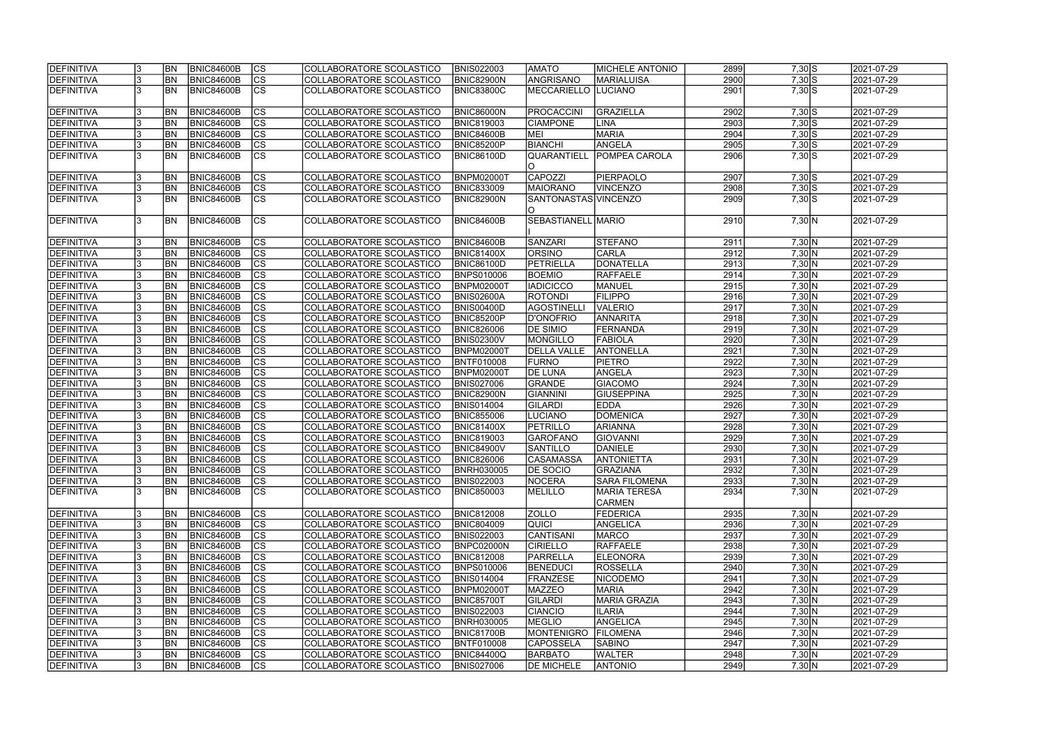| DEFINITIVA        | 13. | <b>BN</b>  | <b>BNIC84600B</b> | <sub>lcs</sub>         | COLLABORATORE SCOLASTICO | <b>BNIS022003</b> | <b>AMATO</b>              | <b>MICHELE ANTONIO</b>               | 2899 | $7,30$ S | 2021-07-29 |
|-------------------|-----|------------|-------------------|------------------------|--------------------------|-------------------|---------------------------|--------------------------------------|------|----------|------------|
| <b>DEFINITIVA</b> |     | <b>BN</b>  | <b>BNIC84600B</b> | $\overline{c}$         | COLLABORATORE SCOLASTICO | <b>BNIC82900N</b> | ANGRISANO                 | <b>MARIALUISA</b>                    | 2900 | $7,30$ S | 2021-07-29 |
| <b>DEFINITIVA</b> |     | <b>BN</b>  | BNIC84600B        | $\overline{\text{cs}}$ | COLLABORATORE SCOLASTICO | <b>BNIC83800C</b> | <b>MECCARIELLO</b>        | <b>LUCIANO</b>                       | 2901 | $7,30$ S | 2021-07-29 |
| <b>DEFINITIVA</b> |     | <b>BN</b>  | <b>BNIC84600B</b> | $\overline{\text{CS}}$ | COLLABORATORE SCOLASTICO | BNIC86000N        | <b>PROCACCINI</b>         | <b>GRAZIELLA</b>                     | 2902 | $7,30$ S | 2021-07-29 |
| <b>DEFINITIVA</b> |     | <b>BN</b>  | <b>BNIC84600B</b> | $\overline{\text{cs}}$ | COLLABORATORE SCOLASTICO | <b>BNIC819003</b> | <b>CIAMPONE</b>           | LINA                                 | 2903 | $7,30$ S | 2021-07-29 |
| <b>DEFINITIVA</b> |     | <b>BN</b>  | <b>BNIC84600B</b> | $\overline{\text{CS}}$ | COLLABORATORE SCOLASTICO | <b>BNIC84600B</b> | MEI                       | <b>MARIA</b>                         | 2904 | $7,30$ S | 2021-07-29 |
| <b>DEFINITIVA</b> | 13. | BN         | <b>BNIC84600B</b> | cs                     | COLLABORATORE SCOLASTICO | <b>BNIC85200P</b> | <b>BIANCHI</b>            | ANGELA                               | 2905 | $7,30$ S | 2021-07-29 |
| <b>DEFINITIVA</b> |     | <b>BN</b>  | <b>BNIC84600B</b> | $\overline{\text{cs}}$ | COLLABORATORE SCOLASTICO | <b>BNIC86100D</b> | QUARANTIELL               | <b>POMPEA CAROLA</b>                 | 2906 | $7,30$ S | 2021-07-29 |
|                   |     |            |                   |                        |                          |                   | IO.                       |                                      |      |          |            |
| <b>DEFINITIVA</b> |     | <b>BN</b>  | BNIC84600B        | CS                     | COLLABORATORE SCOLASTICO | BNPM02000T        | CAPOZZI                   | PIERPAOLO                            | 2907 | $7,30$ S | 2021-07-29 |
| <b>DEFINITIVA</b> |     | <b>BN</b>  | <b>BNIC84600B</b> | $\overline{c}$         | COLLABORATORE SCOLASTICO | <b>BNIC833009</b> | <b>MAIORANO</b>           | VINCENZO                             | 2908 | $7,30$ S | 2021-07-29 |
| <b>DEFINITIVA</b> |     | <b>BN</b>  | <b>BNIC84600B</b> | cs                     | COLLABORATORE SCOLASTICO | BNIC82900N        | SANTONASTAS VINCENZO<br>O |                                      | 2909 | $7,30$ S | 2021-07-29 |
| <b>DEFINITIVA</b> |     | <b>IBN</b> | <b>BNIC84600B</b> | $\overline{\text{CS}}$ | COLLABORATORE SCOLASTICO | <b>BNIC84600B</b> | SEBASTIANELL MARIO        |                                      | 2910 | 7,30 N   | 2021-07-29 |
| DEFINITIVA        |     | <b>BN</b>  | <b>BNIC84600B</b> | <b>CS</b>              | COLLABORATORE SCOLASTICO | <b>BNIC84600B</b> | SANZARI                   | <b>STEFANO</b>                       | 2911 | 7,30 N   | 2021-07-29 |
| <b>DEFINITIVA</b> |     | <b>BN</b>  | <b>BNIC84600B</b> | CS                     | COLLABORATORE SCOLASTICO | <b>BNIC81400X</b> | <b>ORSINO</b>             | <b>CARLA</b>                         | 2912 | 7,30 N   | 2021-07-29 |
| <b>DEFINITIVA</b> |     | <b>BN</b>  | <b>BNIC84600B</b> | CS                     | COLLABORATORE SCOLASTICO | <b>BNIC86100D</b> | PETRIELLA                 | DONATELLA                            | 2913 | 7,30 N   | 2021-07-29 |
| <b>DEFINITIVA</b> |     | <b>BN</b>  | <b>BNIC84600B</b> | $\overline{\text{cs}}$ | COLLABORATORE SCOLASTICO | BNPS010006        | <b>BOEMIO</b>             | <b>RAFFAELE</b>                      | 2914 | 7,30 N   | 2021-07-29 |
|                   |     | <b>BN</b>  | <b>BNIC84600B</b> | cs                     | COLLABORATORE SCOLASTICO |                   | <b>IADICICCO</b>          | MANUEL                               | 2915 | 7,30 N   |            |
| <b>DEFINITIVA</b> |     |            |                   |                        |                          | BNPM02000T        |                           |                                      |      |          | 2021-07-29 |
| <b>DEFINITIVA</b> |     | <b>BN</b>  | <b>BNIC84600B</b> | $\overline{\text{cs}}$ | COLLABORATORE SCOLASTICO | <b>BNIS02600A</b> | <b>ROTONDI</b>            | <b>FILIPPO</b>                       | 2916 | 7,30 N   | 2021-07-29 |
| <b>DEFINITIVA</b> |     | <b>BN</b>  | <b>BNIC84600B</b> | <b>CS</b>              | COLLABORATORE SCOLASTICO | <b>BNIS00400D</b> | <b>AGOSTINELLI</b>        | <b>VALERIO</b>                       | 2917 | 7,30 N   | 2021-07-29 |
| <b>DEFINITIVA</b> |     | <b>BN</b>  | <b>BNIC84600B</b> | <b>CS</b>              | COLLABORATORE SCOLASTICO | <b>BNIC85200P</b> | D'ONOFRIO                 | <b>ANNARITA</b>                      | 2918 | 7,30 N   | 2021-07-29 |
| <b>DEFINITIVA</b> | 13. | <b>BN</b>  | <b>BNIC84600B</b> | CS                     | COLLABORATORE SCOLASTICO | <b>BNIC826006</b> | <b>DE SIMIO</b>           | <b>FERNANDA</b>                      | 2919 | 7,30 N   | 2021-07-29 |
| <b>DEFINITIVA</b> |     | <b>BN</b>  | <b>BNIC84600B</b> | cs                     | COLLABORATORE SCOLASTICO | <b>BNIS02300V</b> | MONGILLO                  | FABIOLA                              | 2920 | 7,30 N   | 2021-07-29 |
| <b>DEFINITIVA</b> |     | <b>BN</b>  | <b>BNIC84600B</b> | cs                     | COLLABORATORE SCOLASTICO | <b>BNPM02000T</b> | <b>DELLA VALLE</b>        | <b>ANTONELLA</b>                     | 2921 | 7,30 N   | 2021-07-29 |
| <b>DEFINITIVA</b> |     | <b>BN</b>  | <b>BNIC84600B</b> | cs                     | COLLABORATORE SCOLASTICO | <b>BNTF010008</b> | <b>FURNO</b>              | <b>PIETRO</b>                        | 2922 | 7,30 N   | 2021-07-29 |
| <b>DEFINITIVA</b> |     | <b>BN</b>  | <b>BNIC84600B</b> | cs                     | COLLABORATORE SCOLASTICO | BNPM02000T        | <b>DE LUNA</b>            | ANGELA                               | 2923 | 7,30 N   | 2021-07-29 |
| <b>DEFINITIVA</b> |     | <b>BN</b>  | <b>BNIC84600B</b> | cs                     | COLLABORATORE SCOLASTICO | <b>BNIS027006</b> | GRANDE                    | <b>GIACOMO</b>                       | 2924 | 7,30 N   | 2021-07-29 |
| <b>DEFINITIVA</b> |     | <b>BN</b>  | <b>BNIC84600B</b> | $\overline{\text{cs}}$ | COLLABORATORE SCOLASTICO | <b>BNIC82900N</b> | <b>GIANNINI</b>           | <b>GIUSEPPINA</b>                    | 2925 | 7,30 N   | 2021-07-29 |
| <b>DEFINITIVA</b> |     | <b>BN</b>  | <b>BNIC84600B</b> | cs                     | COLLABORATORE SCOLASTICO | <b>BNIS014004</b> | <b>GILARDI</b>            | <b>EDDA</b>                          | 2926 | 7,30 N   | 2021-07-29 |
| <b>DEFINITIVA</b> | 13. | <b>BN</b>  | BNIC84600B        | cs                     | COLLABORATORE SCOLASTICO | <b>BNIC855006</b> | LUCIANO                   | <b>DOMENICA</b>                      | 2927 | 7,30 N   | 2021-07-29 |
| <b>DEFINITIVA</b> |     | <b>BN</b>  | <b>BNIC84600B</b> | cs                     | COLLABORATORE SCOLASTICO | <b>BNIC81400X</b> | PETRILLO                  | <b>ARIANNA</b>                       | 2928 | 7,30 N   | 2021-07-29 |
| <b>DEFINITIVA</b> |     | <b>BN</b>  | BNIC84600B        | $\overline{c}$         | COLLABORATORE SCOLASTICO | <b>BNIC819003</b> | GAROFANO                  | GIOVANNI                             | 2929 | 7,30 N   | 2021-07-29 |
| <b>DEFINITIVA</b> |     | <b>BN</b>  | <b>BNIC84600B</b> | cs                     | COLLABORATORE SCOLASTICO | <b>BNIC84900V</b> | <b>SANTILLO</b>           | <b>DANIELE</b>                       | 2930 | 7,30 N   | 2021-07-29 |
| <b>DEFINITIVA</b> | Iउ  | <b>BN</b>  | <b>BNIC84600B</b> | CS                     | COLLABORATORE SCOLASTICO | <b>BNIC826006</b> | <b>CASAMASSA</b>          | <b>ANTONIETTA</b>                    | 2931 | 7,30 N   | 2021-07-29 |
| DEFINITIVA        |     | <b>BN</b>  | <b>BNIC84600B</b> | cs                     | COLLABORATORE SCOLASTICO | <b>BNRH030005</b> | <b>DE SOCIO</b>           | <b>GRAZIANA</b>                      | 2932 | 7,30 N   | 2021-07-29 |
| DEFINITIVA        | 13. | <b>BN</b>  | <b>BNIC84600B</b> | $\overline{\text{cs}}$ | COLLABORATORE SCOLASTICO | <b>BNIS022003</b> | NOCERA                    | <b>SARA FILOMENA</b>                 | 2933 | 7,30 N   | 2021-07-29 |
| DEFINITIVA        | I3. | <b>BN</b>  | BNIC84600B        | <b>CS</b>              | COLLABORATORE SCOLASTICO | <b>BNIC850003</b> | MELILLO                   | <b>MARIA TERESA</b><br><b>CARMEN</b> | 2934 | 7,30 N   | 2021-07-29 |
| DEFINITIVA        |     | <b>BN</b>  | <b>BNIC84600B</b> | CS                     | COLLABORATORE SCOLASTICO | <b>BNIC812008</b> | <b>ZOLLO</b>              | <b>FEDERICA</b>                      | 2935 | 7,30 N   | 2021-07-29 |
| DEFINITIVA        |     | <b>BN</b>  | <b>BNIC84600B</b> | cs                     | COLLABORATORE SCOLASTICO | <b>BNIC804009</b> | <b>QUICI</b>              | <b>ANGELICA</b>                      | 2936 | 7,30 N   | 2021-07-29 |
| DEFINITIVA        |     | <b>BN</b>  | <b>BNIC84600B</b> | <sub>lcs</sub>         | COLLABORATORE SCOLASTICO | <b>BNIS022003</b> | <b>CANTISANI</b>          | <b>MARCO</b>                         | 2937 | 7,30 N   | 2021-07-29 |
| <b>DEFINITIVA</b> |     | <b>BN</b>  | <b>BNIC84600B</b> | cs                     | COLLABORATORE SCOLASTICO | BNPC02000N        | <b>CIRIELLO</b>           | <b>RAFFAELE</b>                      | 2938 | 7,30 N   | 2021-07-29 |
| DEFINITIVA        |     | <b>BN</b>  | <b>BNIC84600B</b> | cs                     | COLLABORATORE SCOLASTICO | <b>BNIC812008</b> | PARRELLA                  | <b>ELEONORA</b>                      | 2939 | 7,30 N   | 2021-07-29 |
| DEFINITIVA        |     | <b>BN</b>  | <b>BNIC84600B</b> | <b>CS</b>              | COLLABORATORE SCOLASTICO | <b>BNPS010006</b> | BENEDUCI                  | <b>ROSSELLA</b>                      | 2940 | 7,30 N   | 2021-07-29 |
| <b>DEFINITIVA</b> |     | <b>BN</b>  | <b>BNIC84600B</b> | <b>CS</b>              | COLLABORATORE SCOLASTICO | <b>BNIS014004</b> | FRANZESE                  | <b>NICODEMO</b>                      | 2941 |          | 2021-07-29 |
| DEFINITIVA        |     |            | <b>BNIC84600B</b> | <b>CS</b>              |                          |                   | <b>MAZZEO</b>             | <b>MARIA</b>                         | 2942 | 7,30 N   |            |
|                   | 13. | <b>BN</b>  |                   |                        | COLLABORATORE SCOLASTICO | <b>BNPM02000T</b> |                           |                                      |      | 7,30 N   | 2021-07-29 |
| DEFINITIVA        |     | <b>BN</b>  | <b>BNIC84600B</b> | <b>CS</b>              | COLLABORATORE SCOLASTICO | <b>BNIC85700T</b> | GILARDI                   | MARIA GRAZIA                         | 2943 | 7,30 N   | 2021-07-29 |
| DEFINITIVA        |     | <b>BN</b>  | <b>BNIC84600B</b> | cs                     | COLLABORATORE SCOLASTICO | <b>BNIS022003</b> | <b>CIANCIO</b>            | <b>ILARIA</b>                        | 2944 | 7,30 N   | 2021-07-29 |
| <b>DEFINITIVA</b> |     | <b>BN</b>  | <b>BNIC84600B</b> | <b>CS</b>              | COLLABORATORE SCOLASTICO | <b>BNRH030005</b> | MEGLIO                    | ANGELICA                             | 2945 | 7,30 N   | 2021-07-29 |
| <b>DEFINITIVA</b> |     | <b>BN</b>  | <b>BNIC84600B</b> | <b>CS</b>              | COLLABORATORE SCOLASTICO | <b>BNIC81700B</b> | <b>MONTENIGRO</b>         | <b>FILOMENA</b>                      | 2946 | 7,30 N   | 2021-07-29 |
| DEFINITIVA        |     | <b>BN</b>  | <b>BNIC84600B</b> | lcs                    | COLLABORATORE SCOLASTICO | BNTF010008        | <b>CAPOSSELA</b>          | <b>SABINO</b>                        | 2947 | 7,30 N   | 2021-07-29 |
| DEFINITIVA        |     | <b>BN</b>  | <b>BNIC84600B</b> | CS                     | COLLABORATORE SCOLASTICO | <b>BNIC84400Q</b> | <b>BARBATO</b>            | <b>WALTER</b>                        | 2948 | 7,30 N   | 2021-07-29 |
| DEFINITIVA        | 13. | <b>BN</b>  | <b>BNIC84600B</b> | <b>CS</b>              | COLLABORATORE SCOLASTICO | <b>BNIS027006</b> | <b>DE MICHELE</b>         | <b>ANTONIO</b>                       | 2949 | 7,30 N   | 2021-07-29 |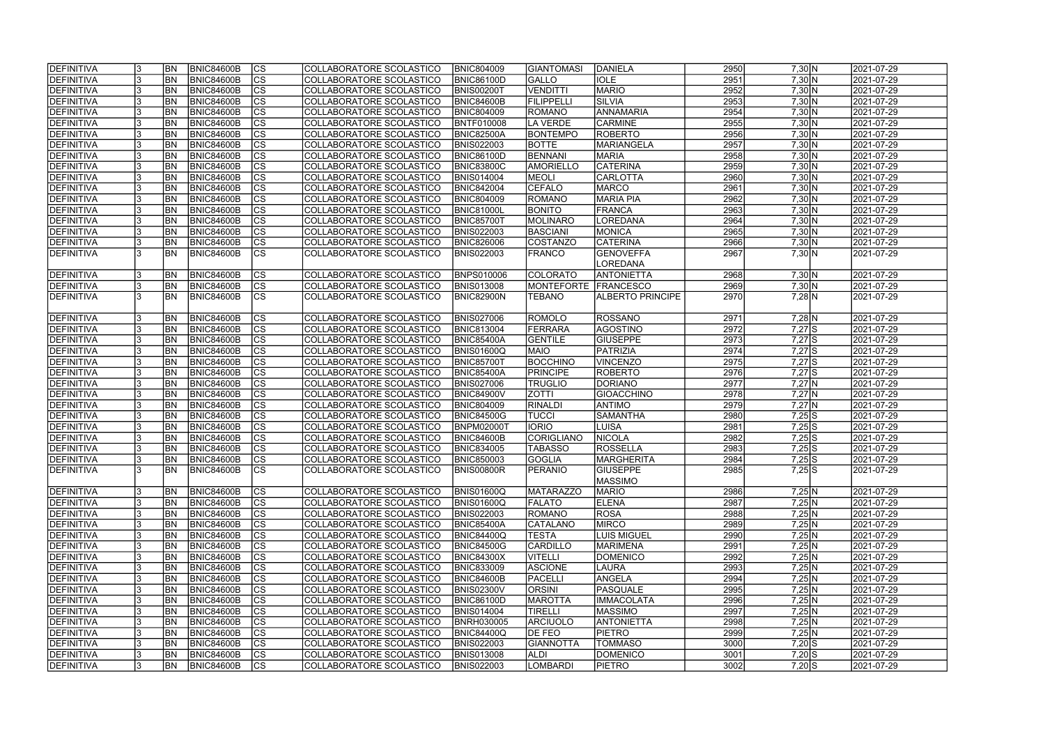| <b>IDEFINITIVA</b> | <b>BN</b> | <b>BNIC84600B</b> | CS                       | COLLABORATORE SCOLASTICO | <b>BNIC804009</b> | <b>GIANTOMASI</b> | DANIELA            | 2950 | 7,30 N     | 2021-07-29 |
|--------------------|-----------|-------------------|--------------------------|--------------------------|-------------------|-------------------|--------------------|------|------------|------------|
| <b>DEFINITIVA</b>  | <b>BN</b> | <b>BNIC84600B</b> | cs                       | COLLABORATORE SCOLASTICO | <b>BNIC86100D</b> | GALLO             | <b>IOLE</b>        | 2951 | 7,30 N     | 2021-07-29 |
| DEFINITIVA         | <b>BN</b> | <b>BNIC84600B</b> | $\overline{\text{cs}}$   | COLLABORATORE SCOLASTICO | <b>BNIS00200T</b> | <b>VENDITTI</b>   | <b>MARIO</b>       | 2952 | 7,30 N     | 2021-07-29 |
| DEFINITIVA         | <b>BN</b> | <b>BNIC84600B</b> | $ \overline{\text{cs}} $ | COLLABORATORE SCOLASTICO | BNIC84600B        | FILIPPELLI        | SILVIA             | 2953 | 7,30 N     | 2021-07-29 |
| DEFINITIVA         | <b>BN</b> | <b>BNIC84600B</b> | cs                       | COLLABORATORE SCOLASTICO | <b>BNIC804009</b> | ROMANO            | ANNAMARIA          | 2954 | 7,30 N     | 2021-07-29 |
| <b>DEFINITIVA</b>  | <b>BN</b> | <b>BNIC84600B</b> | cs                       | COLLABORATORE SCOLASTICO | <b>BNTF010008</b> | LA VERDE          | <b>CARMINE</b>     | 2955 | 7,30 N     | 2021-07-29 |
| <b>DEFINITIVA</b>  | <b>BN</b> | <b>BNIC84600B</b> | $\overline{\text{CS}}$   | COLLABORATORE SCOLASTICO | <b>BNIC82500A</b> | <b>BONTEMPO</b>   | ROBERTO            | 2956 | 7,30 N     | 2021-07-29 |
| <b>DEFINITIVA</b>  | <b>BN</b> | <b>BNIC84600B</b> | $\overline{\text{CS}}$   | COLLABORATORE SCOLASTICO | <b>BNIS022003</b> | <b>BOTTE</b>      | <b>MARIANGELA</b>  | 2957 | 7,30 N     | 2021-07-29 |
| <b>DEFINITIVA</b>  | <b>BN</b> | <b>BNIC84600B</b> | cs                       | COLLABORATORE SCOLASTICO | <b>BNIC86100D</b> | BENNANI           | <b>MARIA</b>       | 2958 | 7,30 N     | 2021-07-29 |
| <b>DEFINITIVA</b>  | <b>BN</b> | <b>BNIC84600B</b> | cs                       | COLLABORATORE SCOLASTICO | <b>BNIC83800C</b> | AMORIELLO         | <b>CATERINA</b>    | 2959 | 7,30 N     | 2021-07-29 |
| DEFINITIVA         | <b>BN</b> | <b>BNIC84600B</b> | <b>CS</b>                | COLLABORATORE SCOLASTICO | <b>BNIS014004</b> | MEOLI             | CARLOTTA           | 2960 | 7,30 N     | 2021-07-29 |
| DEFINITIVA         | <b>BN</b> | <b>BNIC84600B</b> | $\overline{\text{cs}}$   | COLLABORATORE SCOLASTICO | <b>BNIC842004</b> | <b>CEFALO</b>     | MARCO              | 2961 | 7,30 N     | 2021-07-29 |
| <b>DEFINITIVA</b>  | <b>BN</b> | <b>BNIC84600B</b> | <b>CS</b>                | COLLABORATORE SCOLASTICO | <b>BNIC804009</b> | <b>ROMANO</b>     | <b>MARIA PIA</b>   | 2962 | 7,30 N     | 2021-07-29 |
| <b>DEFINITIVA</b>  | <b>BN</b> | <b>BNIC84600B</b> | <b>CS</b>                | COLLABORATORE SCOLASTICO | <b>BNIC81000L</b> | <b>BONITO</b>     | FRANCA             | 2963 | 7,30 N     | 2021-07-29 |
| <b>DEFINITIVA</b>  | <b>BN</b> | <b>BNIC84600B</b> | $\overline{\text{CS}}$   | COLLABORATORE SCOLASTICO | <b>BNIC85700T</b> | <b>MOLINARO</b>   | LOREDANA           | 2964 | 7,30 N     | 2021-07-29 |
| <b>DEFINITIVA</b>  | <b>BN</b> | <b>BNIC84600B</b> | $\overline{\text{cs}}$   | COLLABORATORE SCOLASTICO | <b>BNIS022003</b> | <b>BASCIANI</b>   | MONICA             | 2965 | 7,30 N     | 2021-07-29 |
| DEFINITIVA         | <b>BN</b> | <b>BNIC84600B</b> | $\overline{\text{CS}}$   | COLLABORATORE SCOLASTICO | <b>BNIC826006</b> | <b>COSTANZO</b>   | <b>CATERINA</b>    | 2966 | 7,30 N     | 2021-07-29 |
| DEFINITIVA         | <b>BN</b> | <b>BNIC84600B</b> | CS                       | COLLABORATORE SCOLASTICO | <b>BNIS022003</b> | <b>FRANCO</b>     | <b>GENOVEFFA</b>   | 2967 | 7,30 N     | 2021-07-29 |
|                    |           |                   |                          |                          |                   |                   | LOREDANA           |      |            |            |
| <b>DEFINITIVA</b>  | <b>BN</b> | <b>BNIC84600B</b> | CS                       | COLLABORATORE SCOLASTICO | <b>BNPS010006</b> | COLORATO          | <b>ANTONIETTA</b>  | 2968 | 7,30 N     | 2021-07-29 |
| <b>DEFINITIVA</b>  | BN        | <b>BNIC84600B</b> | cs                       | COLLABORATORE SCOLASTICO | <b>BNIS013008</b> | <b>MONTEFORTE</b> | <b>FRANCESCO</b>   | 2969 | 7,30 N     | 2021-07-29 |
| <b>DEFINITIVA</b>  | <b>BN</b> | BNIC84600B        | lcs                      | COLLABORATORE SCOLASTICO | <b>BNIC82900N</b> | <b>TEBANO</b>     | ALBERTO PRINCIPE   | 2970 | $7,28$ N   | 2021-07-29 |
|                    |           |                   |                          |                          |                   |                   |                    |      |            |            |
| <b>DEFINITIVA</b>  | <b>BN</b> | <b>BNIC84600B</b> | <b>CS</b>                | COLLABORATORE SCOLASTICO | <b>BNIS027006</b> | <b>ROMOLO</b>     | ROSSANO            | 2971 | $7,28$ N   | 2021-07-29 |
| <b>DEFINITIVA</b>  | <b>BN</b> | <b>BNIC84600B</b> | lcs                      | COLLABORATORE SCOLASTICO | <b>BNIC813004</b> | FERRARA           | AGOSTINO           | 2972 | $7,27$ S   | 2021-07-29 |
| <b>DEFINITIVA</b>  | <b>BN</b> | <b>BNIC84600B</b> | CS                       | COLLABORATORE SCOLASTICO | <b>BNIC85400A</b> | <b>GENTILE</b>    | <b>GIUSEPPE</b>    | 2973 | $7,27$ S   | 2021-07-29 |
| <b>DEFINITIVA</b>  | <b>BN</b> | <b>BNIC84600B</b> | cs                       | COLLABORATORE SCOLASTICO | BNIS01600Q        | <b>MAIO</b>       | PATRIZIA           | 2974 | $7,27$ S   | 2021-07-29 |
| <b>DEFINITIVA</b>  | <b>BN</b> | BNIC84600B        | cs                       | COLLABORATORE SCOLASTICO | <b>BNIC85700T</b> | <b>BOCCHINO</b>   | <b>VINCENZO</b>    | 2975 | $7,27$ S   | 2021-07-29 |
| <b>DEFINITIVA</b>  | <b>BN</b> | <b>BNIC84600B</b> | cs                       | COLLABORATORE SCOLASTICO | <b>BNIC85400A</b> | PRINCIPE          | ROBERTO            | 2976 | $7,27$ S   | 2021-07-29 |
| <b>DEFINITIVA</b>  | <b>BN</b> | <b>BNIC84600B</b> | CS                       | COLLABORATORE SCOLASTICO | <b>BNIS027006</b> | <b>TRUGLIO</b>    | DORIANO            | 2977 | $7,27$ N   | 2021-07-29 |
| <b>DEFINITIVA</b>  | <b>BN</b> | <b>BNIC84600B</b> | $ \mathsf{CS} $          | COLLABORATORE SCOLASTICO | <b>BNIC84900V</b> | <b>ZOTTI</b>      | GIOACCHINO         | 2978 | $7,27$ N   | 2021-07-29 |
| <b>DEFINITIVA</b>  | <b>BN</b> | <b>BNIC84600B</b> | $\overline{\text{CS}}$   | COLLABORATORE SCOLASTICO | <b>BNIC804009</b> | <b>RINALDI</b>    | <b>ANTIMO</b>      | 2979 | $7,27$ N   | 2021-07-29 |
| DEFINITIVA         | <b>BN</b> | <b>BNIC84600B</b> | $\overline{\text{cs}}$   | COLLABORATORE SCOLASTICO | <b>BNIC84500G</b> | <b>TUCCI</b>      | SAMANTHA           | 2980 | $7,25$ S   | 2021-07-29 |
| DEFINITIVA         | <b>BN</b> | <b>BNIC84600B</b> | cs                       | COLLABORATORE SCOLASTICO | <b>BNPM02000T</b> | <b>IORIO</b>      | LUISA              | 2981 | $7,25$ S   | 2021-07-29 |
| <b>DEFINITIVA</b>  | <b>BN</b> | <b>BNIC84600B</b> | $\overline{\text{cs}}$   | COLLABORATORE SCOLASTICO | BNIC84600B        | CORIGLIANO        | <b>NICOLA</b>      | 2982 | $7,25$ S   | 2021-07-29 |
| <b>DEFINITIVA</b>  | <b>BN</b> | <b>BNIC84600B</b> | $\overline{\text{cs}}$   | COLLABORATORE SCOLASTICO | <b>BNIC834005</b> | <b>TABASSO</b>    | IROSSELLA          | 2983 | $7,25$ S   | 2021-07-29 |
| <b>DEFINITIVA</b>  | <b>BN</b> | <b>BNIC84600B</b> | CS                       | COLLABORATORE SCOLASTICO | <b>BNIC850003</b> | <b>GOGLIA</b>     | MARGHERITA         | 2984 | $7,25$ $S$ | 2021-07-29 |
| <b>DEFINITIVA</b>  | <b>BN</b> | BNIC84600B        | Ics                      | COLLABORATORE SCOLASTICO | BNIS00800R        | <b>PERANIO</b>    | <b>GIUSEPPE</b>    | 2985 | $7,25$ S   | 2021-07-29 |
|                    |           |                   |                          |                          |                   |                   | <b>MASSIMO</b>     |      |            |            |
| <b>DEFINITIVA</b>  | <b>BN</b> | BNIC84600B        | CS                       | COLLABORATORE SCOLASTICO | <b>BNIS01600Q</b> | <b>IMATARAZZO</b> | <b>MARIO</b>       | 2986 | 7,25 N     | 2021-07-29 |
| DEFINITIVA         | <b>BN</b> | <b>BNIC84600B</b> | CS                       | COLLABORATORE SCOLASTICO | <b>BNIS01600Q</b> | <b>FALATO</b>     | <b>ELENA</b>       | 2987 | 7,25 N     | 2021-07-29 |
| <b>DEFINITIVA</b>  | <b>BN</b> | <b>BNIC84600B</b> | CS                       | COLLABORATORE SCOLASTICO | <b>BNIS022003</b> | ROMANO            | ROSA               | 2988 | 7,25 N     | 2021-07-29 |
| <b>DEFINITIVA</b>  | <b>BN</b> | <b>BNIC84600B</b> | CS                       | COLLABORATORE SCOLASTICO | <b>BNIC85400A</b> | CATALANO          | <b>MIRCO</b>       | 2989 | 7,25 N     | 2021-07-29 |
| <b>DEFINITIVA</b>  | <b>BN</b> | BNIC84600B        | CS                       | COLLABORATORE SCOLASTICO | <b>BNIC84400Q</b> | TESTA             | <b>LUIS MIGUEL</b> | 2990 | 7,25 N     | 2021-07-29 |
| DEFINITIVA         | <b>BN</b> | BNIC84600B        | cs                       | COLLABORATORE SCOLASTICO | <b>BNIC84500G</b> | CARDILLO          | <b>MARIMENA</b>    | 2991 | 7,25 N     | 2021-07-29 |
| <b>DEFINITIVA</b>  | <b>BN</b> | BNIC84600B        | CS                       | COLLABORATORE SCOLASTICO | <b>BNIC84300X</b> | <b>VITELLI</b>    | <b>DOMENICO</b>    | 2992 | 7,25 N     | 2021-07-29 |
| <b>DEFINITIVA</b>  | <b>BN</b> | BNIC84600B        | CS                       | COLLABORATORE SCOLASTICO | <b>BNIC833009</b> | <b>ASCIONE</b>    | LAURA              | 2993 | 7,25 N     | 2021-07-29 |
| DEFINITIVA         | <b>BN</b> | <b>BNIC84600B</b> | $\overline{\text{CS}}$   | COLLABORATORE SCOLASTICO | <b>BNIC84600B</b> | <b>PACELLI</b>    | ANGELA             | 2994 | 7,25 N     | 2021-07-29 |
| <b>DEFINITIVA</b>  | <b>BN</b> | BNIC84600B        | cs                       | COLLABORATORE SCOLASTICO | <b>BNIS02300V</b> | <b>ORSINI</b>     | PASQUALE           | 2995 | 7,25 N     | 2021-07-29 |
| DEFINITIVA         | <b>BN</b> | <b>BNIC84600B</b> | cs                       | COLLABORATORE SCOLASTICO | <b>BNIC86100D</b> | <b>MAROTTA</b>    | <b>IMMACOLATA</b>  | 2996 | 7,25 N     | 2021-07-29 |
| <b>DEFINITIVA</b>  | <b>BN</b> | <b>BNIC84600B</b> | cs                       | COLLABORATORE SCOLASTICO | <b>BNIS014004</b> | <b>TIRELLI</b>    | <b>MASSIMO</b>     | 2997 | 7,25 N     | 2021-07-29 |
| <b>DEFINITIVA</b>  | <b>BN</b> | <b>BNIC84600B</b> | CS                       | COLLABORATORE SCOLASTICO | <b>BNRH030005</b> | <b>ARCIUOLO</b>   | <b>ANTONIETTA</b>  | 2998 | 7,25 N     | 2021-07-29 |
| <b>DEFINITIVA</b>  | <b>BN</b> | <b>BNIC84600B</b> | CS                       | COLLABORATORE SCOLASTICO | <b>BNIC84400Q</b> | <b>DE FEO</b>     | <b>PIETRO</b>      | 2999 | 7,25 N     | 2021-07-29 |
| <b>DEFINITIVA</b>  | IBN       | <b>BNIC84600B</b> | lcs                      | COLLABORATORE SCOLASTICO | <b>BNIS022003</b> | <b>GIANNOTTA</b>  | TOMMASO            | 3000 | $7,20$ S   | 2021-07-29 |
| <b>DEFINITIVA</b>  | BN        | <b>BNIC84600B</b> | CS                       | COLLABORATORE SCOLASTICO | <b>BNIS013008</b> | <b>ALDI</b>       | <b>DOMENICO</b>    | 3001 | $7,20$ S   | 2021-07-29 |
| <b>DEFINITIVA</b>  | <b>BN</b> | BNIC84600B        | lcs                      | COLLABORATORE SCOLASTICO | <b>BNIS022003</b> | <b>LOMBARDI</b>   | <b>PIETRO</b>      | 3002 | $7,20$ S   | 2021-07-29 |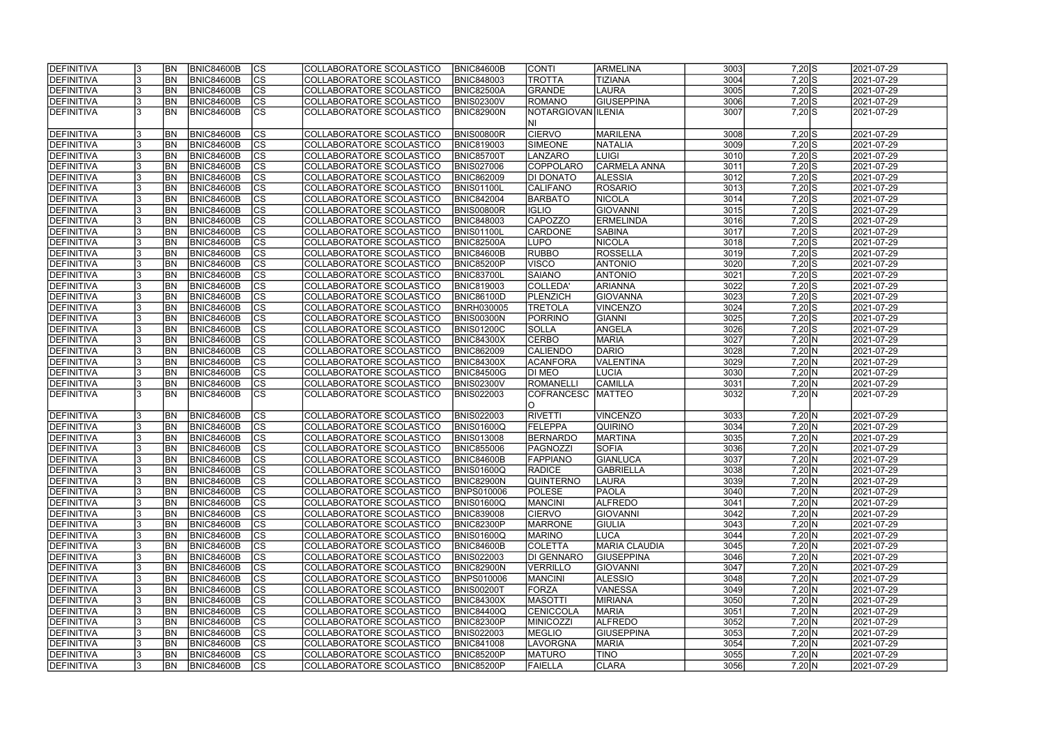| <b>IDEFINITIVA</b> | <b>BN</b> | <b>BNIC84600B</b> | lcs                      | COLLABORATORE SCOLASTICO | <b>BNIC84600B</b> | <b>CONTI</b>       | <b>ARMELINA</b>      | 3003 | $7,20$ S   | 2021-07-29              |
|--------------------|-----------|-------------------|--------------------------|--------------------------|-------------------|--------------------|----------------------|------|------------|-------------------------|
| DEFINITIVA         | <b>BN</b> | <b>BNIC84600B</b> | cs                       | COLLABORATORE SCOLASTICO | <b>BNIC848003</b> | TROTTA             | <b>TIZIANA</b>       | 3004 | $7,20$ S   | 2021-07-29              |
| <b>DEFINITIVA</b>  | <b>BN</b> | <b>BNIC84600B</b> | $ \overline{\text{cs}} $ | COLLABORATORE SCOLASTICO | <b>BNIC82500A</b> | GRANDE             | <b>LAURA</b>         | 3005 | $7,20$ S   | 2021-07-29              |
| <b>DEFINITIVA</b>  | BN        | <b>BNIC84600B</b> | $\overline{\text{CS}}$   | COLLABORATORE SCOLASTICO | <b>BNIS02300V</b> | ROMANO             | <b>GIUSEPPINA</b>    | 3006 | $7,20$ S   | 2021-07-29              |
| <b>DEFINITIVA</b>  | <b>BN</b> | <b>BNIC84600B</b> | $\overline{\text{CS}}$   | COLLABORATORE SCOLASTICO | BNIC82900N        | NOTARGIOVAN ILENIA |                      | 3007 | $7,20$ S   | 2021-07-29              |
|                    |           |                   |                          |                          |                   | INI                |                      |      |            |                         |
| <b>DEFINITIVA</b>  | BN        | <b>BNIC84600B</b> | <b>CS</b>                | COLLABORATORE SCOLASTICO | BNIS00800R        | <b>CIERVO</b>      | <b>MARILENA</b>      | 3008 | $7,20$ S   | 2021-07-29              |
| DEFINITIVA         | <b>BN</b> | <b>BNIC84600B</b> | $\overline{\text{CS}}$   | COLLABORATORE SCOLASTICO | <b>BNIC819003</b> | <b>SIMEONE</b>     | NATALIA              | 3009 | $7,20$ S   | 2021-07-29              |
| DEFINITIVA         | <b>BN</b> | <b>BNIC84600B</b> | cs                       | COLLABORATORE SCOLASTICO | <b>BNIC85700T</b> | LANZARO            | <b>LUIGI</b>         | 3010 | $7,20$ S   | 2021-07-29              |
| <b>DEFINITIVA</b>  | BN        | <b>BNIC84600B</b> | cs                       | COLLABORATORE SCOLASTICO | <b>BNIS027006</b> | COPPOLARO          | <b>CARMELA ANNA</b>  | 3011 | $7,20$ S   | 2021-07-29              |
| DEFINITIVA         | <b>BN</b> | <b>BNIC84600B</b> | $\overline{\text{CS}}$   | COLLABORATORE SCOLASTICO | <b>BNIC862009</b> | <b>DI DONATO</b>   | <b>ALESSIA</b>       | 3012 | $7,20$ S   | 2021-07-29              |
| DEFINITIVA         | <b>BN</b> | <b>BNIC84600B</b> | cs                       | COLLABORATORE SCOLASTICO | BNIS01100L        | CALIFANO           | <b>ROSARIO</b>       | 3013 | $7,20$ S   | 2021-07-29              |
| <b>DEFINITIVA</b>  | <b>BN</b> | <b>BNIC84600B</b> | <b>CS</b>                | COLLABORATORE SCOLASTICO | <b>BNIC842004</b> | <b>BARBATO</b>     | <b>NICOLA</b>        | 3014 | $7,20$ S   | 2021-07-29              |
| <b>DEFINITIVA</b>  | <b>BN</b> | <b>BNIC84600B</b> | $\overline{\text{CS}}$   | COLLABORATORE SCOLASTICO | BNIS00800R        | <b>IGLIO</b>       | GIOVANNI             | 3015 | $7,20$ S   | 2021-07-29              |
| <b>DEFINITIVA</b>  | <b>BN</b> | <b>BNIC84600B</b> | $\overline{\text{CS}}$   | COLLABORATORE SCOLASTICO | <b>BNIC848003</b> | <b>CAPOZZO</b>     | <b>ERMELINDA</b>     | 3016 | $7,20$ S   | 2021-07-29              |
| <b>DEFINITIVA</b>  | <b>BN</b> | <b>BNIC84600B</b> | $\overline{\text{CS}}$   | COLLABORATORE SCOLASTICO | <b>BNIS01100L</b> | <b>CARDONE</b>     | <b>SABINA</b>        | 3017 | $7,20$ S   | 2021-07-29              |
| DEFINITIVA         | <b>BN</b> | <b>BNIC84600B</b> | $\overline{\text{CS}}$   | COLLABORATORE SCOLASTICO | <b>BNIC82500A</b> | <b>LUPO</b>        | <b>NICOLA</b>        | 3018 | $7,20$ S   | 2021-07-29              |
| <b>DEFINITIVA</b>  | <b>BN</b> | <b>BNIC84600B</b> | CS                       | COLLABORATORE SCOLASTICO | BNIC84600B        | <b>RUBBO</b>       | <b>ROSSELLA</b>      | 3019 | $7,20$ S   | 2021-07-29              |
| DEFINITIVA         | <b>BN</b> | <b>BNIC84600B</b> | $\overline{\text{CS}}$   | COLLABORATORE SCOLASTICO | BNIC85200P        | <b>VISCO</b>       | <b>ANTONIO</b>       | 3020 | $7,20$ S   | 2021-07-29              |
| <b>DEFINITIVA</b>  | BN        | <b>BNIC84600B</b> | $\overline{\text{CS}}$   | COLLABORATORE SCOLASTICO | <b>BNIC83700L</b> | <b>SAIANO</b>      | <b>ANTONIO</b>       | 3021 | $7,20$ S   | 2021-07-29              |
| DEFINITIVA         | BN        | <b>BNIC84600B</b> | $\overline{\text{CS}}$   | COLLABORATORE SCOLASTICO | <b>BNIC819003</b> | COLLEDA'           | <b>ARIANNA</b>       | 3022 | $7,20$ S   | 2021-07-29              |
| DEFINITIVA         | <b>BN</b> | <b>BNIC84600B</b> | <b>CS</b>                | COLLABORATORE SCOLASTICO | BNIC86100D        | PLENZICH           | GIOVANNA             | 3023 | $7,20$ S   | 2021-07-29              |
| <b>DEFINITIVA</b>  | <b>BN</b> | <b>BNIC84600B</b> | <b>CS</b>                | COLLABORATORE SCOLASTICO | <b>BNRH030005</b> | <b>TRETOLA</b>     | <b>VINCENZO</b>      | 3024 | $7,20$ S   | 2021-07-29              |
| <b>DEFINITIVA</b>  | <b>BN</b> | <b>BNIC84600B</b> | <b>CS</b>                | COLLABORATORE SCOLASTICO | <b>BNIS00300N</b> | PORRINO            | GIANNI               | 3025 | $7,20$ S   | 2021-07-29              |
| DEFINITIVA         | <b>BN</b> | <b>BNIC84600B</b> | $ \overline{\text{cs}} $ | COLLABORATORE SCOLASTICO | <b>BNIS01200C</b> | SOLLA              | ANGELA               | 3026 | $7,20$ S   | 2021-07-29              |
| <b>DEFINITIVA</b>  | <b>BN</b> | <b>BNIC84600B</b> | lcs                      | COLLABORATORE SCOLASTICO | <b>BNIC84300X</b> | <b>CERBO</b>       | <b>MARIA</b>         | 3027 | 7,20 N     | 2021-07-29              |
| DEFINITIVA         | <b>BN</b> | <b>BNIC84600B</b> | cs                       | COLLABORATORE SCOLASTICO | <b>BNIC862009</b> | CALIENDO           | DARIO                | 3028 | 7,20 N     | 2021-07-29              |
| <b>DEFINITIVA</b>  | <b>BN</b> | <b>BNIC84600B</b> | <b>CS</b>                | COLLABORATORE SCOLASTICO | <b>BNIC84300X</b> | <b>ACANFORA</b>    | <b>VALENTINA</b>     | 3029 | 7,20 N     | 2021-07-29              |
| DEFINITIVA         | <b>BN</b> | <b>BNIC84600B</b> | cs                       | COLLABORATORE SCOLASTICO | <b>BNIC84500G</b> | DI MEO             | <b>LUCIA</b>         | 3030 | $7,20$ N   | 2021-07-29              |
| DEFINITIVA         | <b>BN</b> | <b>BNIC84600B</b> | lcs                      | COLLABORATORE SCOLASTICO | <b>BNIS02300V</b> | ROMANELLI          | <b>CAMILLA</b>       | 3031 | 7,20 N     | 2021-07-29              |
| <b>DEFINITIVA</b>  | <b>BN</b> | BNIC84600B        | $\overline{\text{CS}}$   | COLLABORATORE SCOLASTICO | <b>BNIS022003</b> | COFRANCESC         | <b>MATTEO</b>        | 3032 | 7,20 N     | 2021-07-29              |
|                    |           |                   |                          |                          |                   | IO.                |                      |      |            |                         |
| <b>DEFINITIVA</b>  | <b>BN</b> | <b>BNIC84600B</b> | <b>CS</b>                | COLLABORATORE SCOLASTICO | <b>BNIS022003</b> | <b>RIVETTI</b>     | VINCENZO             | 3033 | 7,20 N     | 2021-07-29              |
| <b>DEFINITIVA</b>  | <b>BN</b> | <b>BNIC84600B</b> | cs                       | COLLABORATORE SCOLASTICO | <b>BNIS01600Q</b> | <b>FELEPPA</b>     | QUIRINO              | 3034 | 7,20 N     | 2021-07-29              |
| DEFINITIVA         | <b>BN</b> | <b>BNIC84600B</b> | $\overline{\text{cs}}$   | COLLABORATORE SCOLASTICO | <b>BNIS013008</b> | BERNARDO           | <b>MARTINA</b>       | 3035 | 7,20 N     | 2021-07-29              |
| <b>DEFINITIVA</b>  | <b>BN</b> | <b>BNIC84600B</b> | $\overline{\text{CS}}$   | COLLABORATORE SCOLASTICO | <b>BNIC855006</b> | IPAGNOZZI          | <b>SOFIA</b>         | 3036 | 7,20 N     | 2021-07-29              |
| <b>DEFINITIVA</b>  | <b>BN</b> | BNIC84600B        | CS                       | COLLABORATORE SCOLASTICO | <b>BNIC84600B</b> | <b>FAPPIANO</b>    | GIANLUCA             | 3037 | 7,20 N     | 2021-07-29              |
| DEFINITIVA         | <b>BN</b> | <b>BNIC84600B</b> | lcs                      | COLLABORATORE SCOLASTICO | <b>BNIS01600Q</b> | <b>RADICE</b>      | <b>GABRIELLA</b>     | 3038 | $7,20 \ N$ | 2021-07-29              |
| <b>DEFINITIVA</b>  | <b>BN</b> | BNIC84600B        | CS                       | COLLABORATORE SCOLASTICO | <b>BNIC82900N</b> | <b>QUINTERNO</b>   | <b>LAURA</b>         | 3039 | $7,20 \ N$ | 2021-07-29              |
| <b>DEFINITIVA</b>  | <b>BN</b> | <b>BNIC84600B</b> | <b>CS</b>                | COLLABORATORE SCOLASTICO | <b>BNPS010006</b> | <b>POLESE</b>      | <b>PAOLA</b>         | 3040 | $7,20 \ N$ | 2021-07-29              |
| DEFINITIVA         | <b>BN</b> | <b>BNIC84600B</b> | <b>CS</b>                | COLLABORATORE SCOLASTICO | <b>BNIS01600Q</b> | <b>MANCINI</b>     | <b>ALFREDO</b>       | 3041 | 7,20 N     | 2021-07-29              |
| <b>DEFINITIVA</b>  | <b>BN</b> | <b>BNIC84600B</b> | CS                       | COLLABORATORE SCOLASTICO | <b>BNIC839008</b> | <b>CIERVO</b>      | <b>GIOVANNI</b>      | 3042 | 7,20 N     | 2021-07-29              |
| <b>DEFINITIVA</b>  | <b>BN</b> | <b>BNIC84600B</b> | CS                       | COLLABORATORE SCOLASTICO | <b>BNIC82300P</b> | <b>MARRONE</b>     | <b>GIULIA</b>        | 3043 | 7,20 N     | 2021-07-29              |
| <b>DEFINITIVA</b>  | <b>BN</b> | <b>BNIC84600B</b> | <b>CS</b>                | COLLABORATORE SCOLASTICO | <b>BNIS01600Q</b> | <b>MARINO</b>      | <b>LUCA</b>          | 3044 | $7,20 \ N$ | 2021-07-29              |
| <b>DEFINITIVA</b>  | <b>BN</b> | BNIC84600B        | cs                       | COLLABORATORE SCOLASTICO | <b>BNIC84600B</b> | <b>COLETTA</b>     | <b>MARIA CLAUDIA</b> | 3045 | 7,20 N     | $\sqrt{2021} - 07 - 29$ |
| <b>DEFINITIVA</b>  | <b>BN</b> | <b>BNIC84600B</b> | CS                       | COLLABORATORE SCOLASTICO | <b>BNIS022003</b> | DI GENNARO         | <b>GIUSEPPINA</b>    | 3046 | $7,20 \ N$ | 2021-07-29              |
| <b>DEFINITIVA</b>  | <b>BN</b> | <b>BNIC84600B</b> | CS                       | COLLABORATORE SCOLASTICO | <b>BNIC82900N</b> | VERRILLO           | <b>GIOVANNI</b>      | 3047 | 7,20 N     | 2021-07-29              |
| <b>DEFINITIVA</b>  | <b>BN</b> | <b>BNIC84600B</b> | <b>CS</b>                | COLLABORATORE SCOLASTICO | <b>BNPS010006</b> | <b>MANCINI</b>     | <b>ALESSIO</b>       | 3048 | 7,20 N     | 2021-07-29              |
| <b>DEFINITIVA</b>  | <b>BN</b> | <b>BNIC84600B</b> | $\overline{\text{CS}}$   | COLLABORATORE SCOLASTICO | <b>BNIS00200T</b> | FORZA              | <b>VANESSA</b>       | 3049 | 7,20 N     | 2021-07-29              |
| <b>DEFINITIVA</b>  | <b>BN</b> | <b>BNIC84600B</b> | $\overline{\text{CS}}$   | COLLABORATORE SCOLASTICO | <b>BNIC84300X</b> | <b>MASOTTI</b>     | MIRIANA              | 3050 | 7,20 N     | 2021-07-29              |
| <b>DEFINITIVA</b>  | <b>BN</b> | <b>BNIC84600B</b> | <b>CS</b>                | COLLABORATORE SCOLASTICO | <b>BNIC84400Q</b> | <b>CENICCOLA</b>   | <b>MARIA</b>         | 3051 | 7,20 N     | 2021-07-29              |
| <b>DEFINITIVA</b>  | <b>BN</b> | <b>BNIC84600B</b> | CS                       | COLLABORATORE SCOLASTICO | <b>BNIC82300P</b> | <b>MINICOZZI</b>   | <b>ALFREDO</b>       | 3052 | 7,20 N     | 2021-07-29              |
| <b>DEFINITIVA</b>  | IBN.      | <b>BNIC84600B</b> | CS                       | COLLABORATORE SCOLASTICO | <b>BNIS022003</b> | <b>MEGLIO</b>      | <b>GIUSEPPINA</b>    | 3053 | $7,20 \ N$ | 2021-07-29              |
| <b>DEFINITIVA</b>  | IBN.      | <b>BNIC84600B</b> | <b>CS</b>                | COLLABORATORE SCOLASTICO | <b>BNIC841008</b> | LAVORGNA           | <b>MARIA</b>         | 3054 | $7,20 \ N$ | 2021-07-29              |
| <b>DEFINITIVA</b>  | IBN.      | <b>BNIC84600B</b> | CS                       | COLLABORATORE SCOLASTICO | <b>BNIC85200P</b> | <b>MATURO</b>      | <b>TINO</b>          | 3055 | $7,20 \ N$ | 2021-07-29              |
| <b>DEFINITIVA</b>  | <b>BN</b> | <b>BNIC84600B</b> | lcs                      | COLLABORATORE SCOLASTICO | <b>BNIC85200P</b> | <b>FAIELLA</b>     | <b>CLARA</b>         | 3056 | $7,20 \ N$ | 2021-07-29              |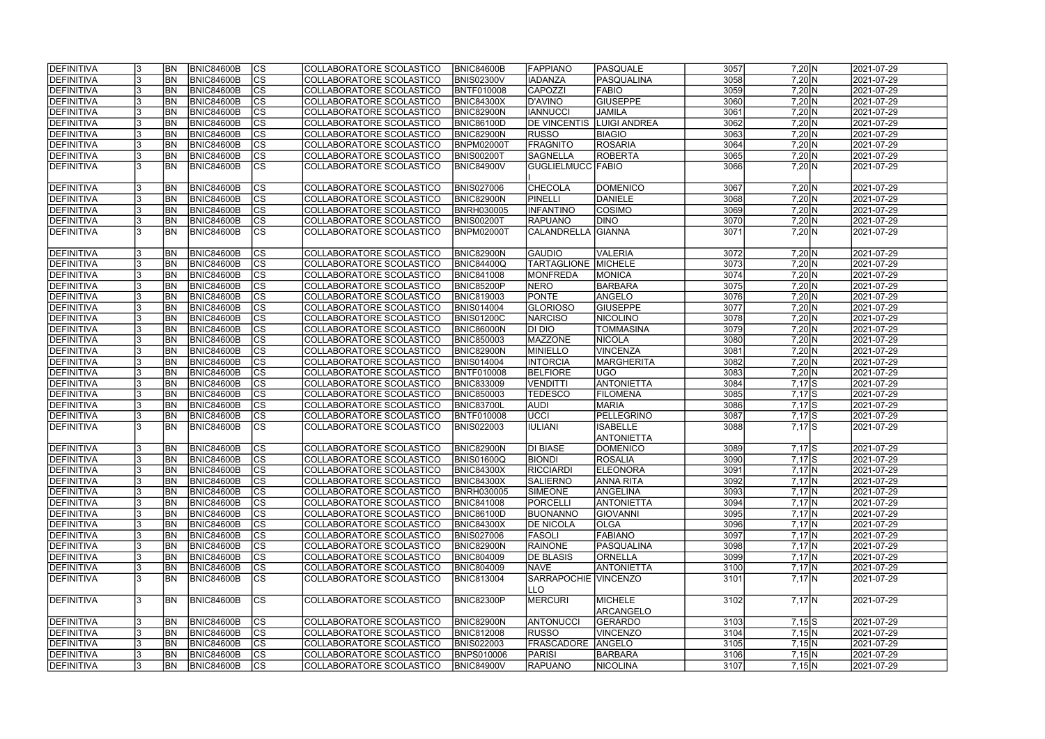| DEFINITIVA        |     | <b>BN</b>  | <b>BNIC84600B</b> | $ {\rm CS} $   | COLLABORATORE SCOLASTICO | <b>BNIC84600B</b> | <b>FAPPIANO</b>             | PASQUALE          | 3057 | $7,20 \ N$ | 2021-07-29 |
|-------------------|-----|------------|-------------------|----------------|--------------------------|-------------------|-----------------------------|-------------------|------|------------|------------|
| DEFINITIVA        |     | <b>BN</b>  | <b>BNIC84600B</b> | $\overline{c}$ | COLLABORATORE SCOLASTICO | <b>BNIS02300V</b> | <b>IADANZA</b>              | <b>PASQUALINA</b> | 3058 | 7,20 N     | 2021-07-29 |
| DEFINITIVA        |     | <b>BN</b>  | <b>BNIC84600B</b> | $\overline{c}$ | COLLABORATORE SCOLASTICO | <b>BNTF010008</b> | <b>CAPOZZI</b>              | <b>FABIO</b>      | 3059 | 7,20 N     | 2021-07-29 |
| DEFINITIVA        |     | BN         | <b>BNIC84600B</b> | cs             | COLLABORATORE SCOLASTICO | <b>BNIC84300X</b> | D'AVINO                     | <b>GIUSEPPE</b>   | 3060 | $7,20$ N   | 2021-07-29 |
| DEFINITIVA        |     | <b>BN</b>  | <b>BNIC84600B</b> | cs             | COLLABORATORE SCOLASTICO | <b>BNIC82900N</b> | <b>IANNUCCI</b>             | <b>JAMILA</b>     | 3061 | $7,20 \ N$ | 2021-07-29 |
| DEFINITIVA        |     | BN         | <b>BNIC84600B</b> | cs             | COLLABORATORE SCOLASTICO | <b>BNIC86100D</b> | <b>DE VINCENTIS</b>         | LUIGI ANDREA      | 3062 | 7,20 N     | 2021-07-29 |
| DEFINITIVA        |     | <b>BN</b>  | <b>BNIC84600B</b> | cs             | COLLABORATORE SCOLASTICO | BNIC82900N        | <b>RUSSO</b>                | <b>BIAGIO</b>     | 3063 | $7,20 \ N$ | 2021-07-29 |
| DEFINITIVA        | 13  | <b>BN</b>  | <b>BNIC84600B</b> | cs             | COLLABORATORE SCOLASTICO | <b>BNPM02000T</b> | <b>FRAGNITO</b>             | <b>ROSARIA</b>    | 3064 | $7,20 \ N$ | 2021-07-29 |
| DEFINITIVA        |     | <b>BN</b>  | <b>BNIC84600B</b> | cs             | COLLABORATORE SCOLASTICO | <b>BNIS00200T</b> | SAGNELLA                    | ROBERTA           | 3065 | $7,20 \ N$ | 2021-07-29 |
| DEFINITIVA        |     | <b>BN</b>  | <b>BNIC84600B</b> | cs             | COLLABORATORE SCOLASTICO | <b>BNIC84900V</b> | GUGLIELMUCC  FABIO          |                   | 3066 | $7,20 \ N$ | 2021-07-29 |
|                   |     |            |                   |                |                          |                   |                             |                   |      |            |            |
| <b>DEFINITIVA</b> |     | <b>BN</b>  | <b>BNIC84600B</b> | $ {\rm cs} $   | COLLABORATORE SCOLASTICO | <b>BNIS027006</b> | <b>CHECOLA</b>              | <b>DOMENICO</b>   | 3067 | 7,20 N     | 2021-07-29 |
| DEFINITIVA        |     | <b>BN</b>  | <b>BNIC84600B</b> | cs             | COLLABORATORE SCOLASTICO | <b>BNIC82900N</b> | PINELLI                     | DANIELE           | 3068 | 7,20 N     | 2021-07-29 |
| DEFINITIVA        |     | <b>BN</b>  | <b>BNIC84600B</b> | cs             | COLLABORATORE SCOLASTICO | <b>BNRH030005</b> | <b>INFANTINO</b>            | COSIMO            | 3069 | 7,20 N     | 2021-07-29 |
| DEFINITIVA        |     | <b>BN</b>  | <b>BNIC84600B</b> | cs             | COLLABORATORE SCOLASTICO | <b>BNIS00200T</b> | <b>RAPUANO</b>              | <b>DINO</b>       | 3070 | $7,20 \ N$ | 2021-07-29 |
| DEFINITIVA        |     | <b>BN</b>  | <b>BNIC84600B</b> | cs             | COLLABORATORE SCOLASTICO | BNPM02000T        | <b>CALANDRELLA</b>          | GIANNA            | 3071 | 7,20 N     | 2021-07-29 |
|                   |     |            |                   |                |                          |                   |                             |                   |      |            |            |
| DEFINITIVA        |     | <b>BN</b>  | <b>BNIC84600B</b> | $ {\rm CS} $   | COLLABORATORE SCOLASTICO | <b>BNIC82900N</b> | <b>GAUDIO</b>               | VALERIA           | 3072 | 7,20 N     | 2021-07-29 |
| DEFINITIVA        |     | BN         | <b>BNIC84600B</b> | cs             | COLLABORATORE SCOLASTICO | <b>BNIC84400Q</b> | TARTAGLIONE                 | MICHELE           | 3073 | 7,20 N     | 2021-07-29 |
| <b>DEFINITIVA</b> |     | BN         | <b>BNIC84600B</b> | cs             | COLLABORATORE SCOLASTICO | <b>BNIC841008</b> | MONFREDA                    | MONICA            | 3074 | 7,20 N     | 2021-07-29 |
| DEFINITIVA        |     | <b>BN</b>  | <b>BNIC84600B</b> | cs             | COLLABORATORE SCOLASTICO | BNIC85200P        | NERO                        | <b>BARBARA</b>    | 3075 | 7,20 N     | 2021-07-29 |
| DEFINITIVA        |     | BN         | <b>BNIC84600B</b> | $ {\rm cs} $   | COLLABORATORE SCOLASTICO | <b>BNIC819003</b> | PONTE                       | ANGELO            | 3076 | 7,20 N     | 2021-07-29 |
| DEFINITIVA        |     | BN         | <b>BNIC84600B</b> | $ {\rm cs} $   | COLLABORATORE SCOLASTICO | <b>BNIS014004</b> | <b>GLORIOSO</b>             | <b>GIUSEPPE</b>   | 3077 | $7,20 \ N$ | 2021-07-29 |
| DEFINITIVA        |     | <b>BN</b>  | <b>BNIC84600B</b> | $ {\rm cs} $   | COLLABORATORE SCOLASTICO | <b>BNIS01200C</b> | <b>NARCISO</b>              | NICOLINO          | 3078 | 7,20 N     | 2021-07-29 |
| DEFINITIVA        |     | <b>BN</b>  | <b>BNIC84600B</b> | cs             | COLLABORATORE SCOLASTICO | <b>BNIC86000N</b> | DI DIO                      | <b>TOMMASINA</b>  | 3079 | 7,20 N     | 2021-07-29 |
| DEFINITIVA        |     | <b>BN</b>  | <b>BNIC84600B</b> | $ {\rm cs} $   | COLLABORATORE SCOLASTICO | <b>BNIC850003</b> | MAZZONE                     | <b>NICOLA</b>     | 3080 | 7,20 N     | 2021-07-29 |
| DEFINITIVA        |     | <b>BN</b>  | <b>BNIC84600B</b> | cs             | COLLABORATORE SCOLASTICO | <b>BNIC82900N</b> | MINIELLO                    | <b>VINCENZA</b>   | 3081 | 7,20 N     | 2021-07-29 |
| DEFINITIVA        |     | <b>BN</b>  | <b>BNIC84600B</b> | $ {\rm cs} $   | COLLABORATORE SCOLASTICO | <b>BNIS014004</b> | <b>INTORCIA</b>             | MARGHERITA        | 3082 | 7,20 N     | 2021-07-29 |
| DEFINITIVA        |     | <b>BN</b>  | <b>BNIC84600B</b> | cs             | COLLABORATORE SCOLASTICO | <b>BNTF010008</b> | <b>BELFIORE</b>             | ∣∪GO              | 3083 | 7,20 N     | 2021-07-29 |
| DEFINITIVA        |     | <b>BN</b>  | <b>BNIC84600B</b> | cs             | COLLABORATORE SCOLASTICO | <b>BNIC833009</b> | VENDITTI                    | <b>ANTONIETTA</b> | 3084 | $7,17$ S   | 2021-07-29 |
| DEFINITIVA        |     | <b>BN</b>  | <b>BNIC84600B</b> | $\overline{c}$ | COLLABORATORE SCOLASTICO | <b>BNIC850003</b> | <b>TEDESCO</b>              | <b>FILOMENA</b>   | 3085 | $7,17$ $S$ | 2021-07-29 |
| DEFINITIVA        |     | <b>BN</b>  | <b>BNIC84600B</b> | cs             | COLLABORATORE SCOLASTICO | <b>BNIC83700L</b> | <b>AUDI</b>                 | <b>MARIA</b>      | 3086 | 7,17S      | 2021-07-29 |
| DEFINITIVA        | 13  | <b>BN</b>  | BNIC84600B        | $\overline{c}$ | COLLABORATORE SCOLASTICO | <b>BNTF010008</b> | <b>UCCI</b>                 | <b>PELLEGRINO</b> | 3087 | $7,17$ S   | 2021-07-29 |
| DEFINITIVA        |     | <b>BN</b>  | <b>BNIC84600B</b> | cs             | COLLABORATORE SCOLASTICO | <b>BNIS022003</b> | <b>IULIANI</b>              | <b>ISABELLE</b>   | 3088 | $7,17$ S   | 2021-07-29 |
|                   |     |            |                   |                |                          |                   |                             | <b>ANTONIETTA</b> |      |            |            |
| DEFINITIVA        |     | <b>IBN</b> | BNIC84600B        | <b>CS</b>      | COLLABORATORE SCOLASTICO | BNIC82900N        | <b>DI BIASE</b>             | <b>DOMENICO</b>   | 3089 | $7,17$ $S$ | 2021-07-29 |
| <b>DEFINITIVA</b> | Iა  | <b>BN</b>  | BNIC84600B        | CS             | COLLABORATORE SCOLASTICO | <b>BNIS01600Q</b> | <b>BIONDI</b>               | <b>ROSALIA</b>    | 3090 | 7,17 S     | 2021-07-29 |
| DEFINITIVA        |     | <b>BN</b>  | <b>BNIC84600B</b> | $ {\rm cs} $   | COLLABORATORE SCOLASTICO | <b>BNIC84300X</b> | RICCIARDI                   | <b>ELEONORA</b>   | 3091 | $7,17$ N   | 2021-07-29 |
| DEFINITIVA        |     | <b>IBN</b> | BNIC84600B        | $ {\rm CS} $   | COLLABORATORE SCOLASTICO | <b>BNIC84300X</b> | <b>SALIERNO</b>             | ANNA RITA         | 3092 | $7,17$ N   | 2021-07-29 |
| DEFINITIVA        |     | <b>BN</b>  | <b>BNIC84600B</b> | <sub>Ics</sub> | COLLABORATORE SCOLASTICO | <b>BNRH030005</b> | <b>SIMEONE</b>              | ANGELINA          | 3093 | $7,17$ N   | 2021-07-29 |
| <b>DEFINITIVA</b> | 13  | <b>BN</b>  | <b>BNIC84600B</b> | $ {\rm CS} $   | COLLABORATORE SCOLASTICO | <b>BNIC841008</b> | PORCELLI                    | <b>ANTONIETTA</b> | 3094 | $7,17$ N   | 2021-07-29 |
| DEFINITIVA        |     | <b>BN</b>  | <b>BNIC84600B</b> | $ {\rm CS} $   | COLLABORATORE SCOLASTICO | <b>BNIC86100D</b> | BUONANNO                    | <b>GIOVANNI</b>   | 3095 | $7,17$ N   | 2021-07-29 |
| DEFINITIVA        |     | <b>BN</b>  | <b>BNIC84600B</b> | cs             | COLLABORATORE SCOLASTICO | <b>BNIC84300X</b> | <b>DE NICOLA</b>            | OLGA              | 3096 | $7,17$ N   | 2021-07-29 |
| <b>DEFINITIVA</b> |     | <b>BN</b>  | <b>BNIC84600B</b> | $ {\rm CS} $   | COLLABORATORE SCOLASTICO | <b>BNIS027006</b> | <b>FASOLI</b>               | <b>FABIANO</b>    | 3097 | $7,17$ N   | 2021-07-29 |
| DEFINITIVA        |     | BN         | <b>BNIC84600B</b> | cs             | COLLABORATORE SCOLASTICO | <b>BNIC82900N</b> | <b>RAINONE</b>              | PASQUALINA        | 3098 | $7,17$ N   | 2021-07-29 |
| DEFINITIVA        |     | BN         | <b>BNIC84600B</b> | cs             | COLLABORATORE SCOLASTICO | <b>BNIC804009</b> | <b>DE BLASIS</b>            | <b>ORNELLA</b>    | 3099 | $7,17$ N   | 2021-07-29 |
| DEFINITIVA        |     | <b>BN</b>  | <b>BNIC84600B</b> | cs             | COLLABORATORE SCOLASTICO | <b>BNIC804009</b> | <b>NAVE</b>                 | <b>ANTONIETTA</b> | 3100 | $7,17$ N   | 2021-07-29 |
| DEFINITIVA        |     | <b>IBN</b> | BNIC84600B        | $ {\rm CS} $   | COLLABORATORE SCOLASTICO | <b>BNIC813004</b> | <b>SARRAPOCHIE VINCENZO</b> |                   | 3101 | $7,17$ N   | 2021-07-29 |
|                   |     |            |                   |                |                          |                   | <b>LLO</b>                  |                   |      |            |            |
| DEFINITIVA        |     | <b>BN</b>  | BNIC84600B        | <b>CS</b>      | COLLABORATORE SCOLASTICO | <b>BNIC82300P</b> | MERCURI                     | MICHELE           | 3102 | $7,17$ N   | 2021-07-29 |
|                   |     |            |                   |                |                          |                   |                             | ARCANGELO         |      |            |            |
| DEFINITIVA        |     | <b>BN</b>  | <b>BNIC84600B</b> | $ {\rm CS} $   | COLLABORATORE SCOLASTICO | <b>BNIC82900N</b> | <b>ANTONUCCI</b>            | GERARDO           | 3103 | $7,15$ $S$ | 2021-07-29 |
| DEFINITIVA        |     | <b>BN</b>  | <b>BNIC84600B</b> | $ {\rm cs} $   | COLLABORATORE SCOLASTICO | <b>BNIC812008</b> | <b>RUSSO</b>                | VINCENZO          | 3104 | 7,15 N     | 2021-07-29 |
| DEFINITIVA        |     | <b>BN</b>  | <b>BNIC84600B</b> | $ {\rm CS} $   | COLLABORATORE SCOLASTICO | <b>BNIS022003</b> | <b>FRASCADORE</b>           | <b>ANGELO</b>     | 3105 | 7,15 N     | 2021-07-29 |
| DEFINITIVA        |     | <b>BN</b>  | <b>BNIC84600B</b> | $ {\rm CS} $   | COLLABORATORE SCOLASTICO | <b>BNPS010006</b> | <b>PARISI</b>               | BARBARA           | 3106 | 7,15 N     | 2021-07-29 |
| <b>DEFINITIVA</b> | 13. | <b>BN</b>  | <b>BNIC84600B</b> | <b>CS</b>      | COLLABORATORE SCOLASTICO | <b>BNIC84900V</b> | <b>RAPUANO</b>              | NICOLINA          | 3107 | 7,15 N     | 2021-07-29 |
|                   |     |            |                   |                |                          |                   |                             |                   |      |            |            |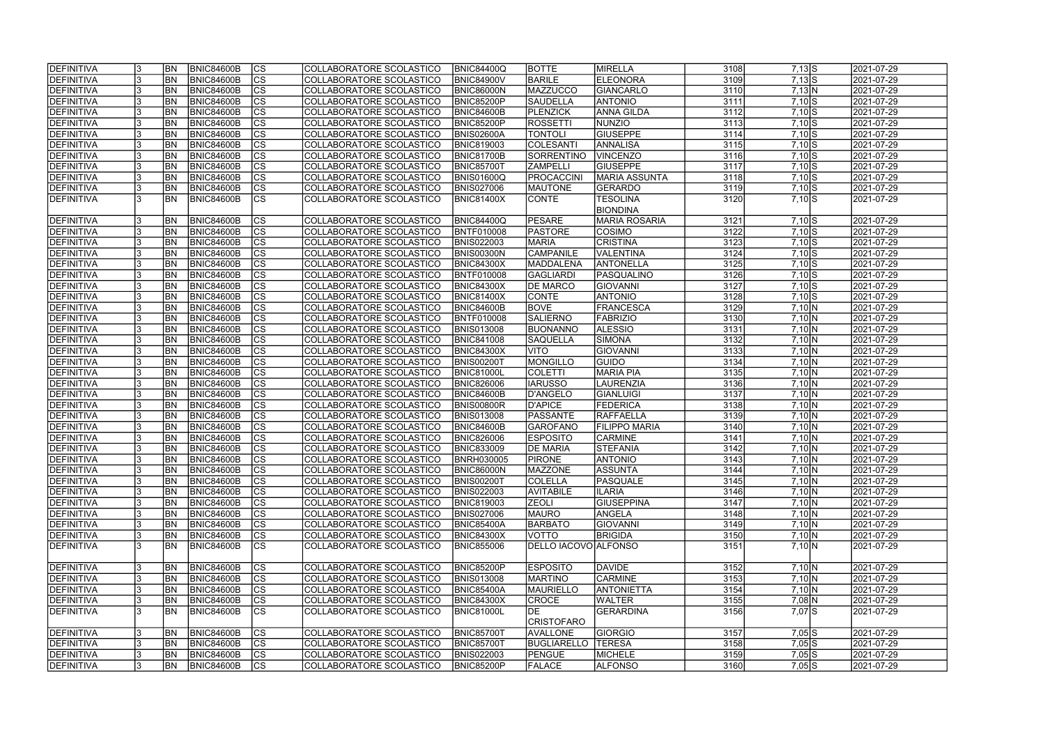| <b>IDEFINITIVA</b> | <b>BN</b> | <b>BNIC84600B</b> | CS                       | COLLABORATORE SCOLASTICO | <b>BNIC84400Q</b> | <b>BOTTE</b>         | MIRELLA              | 3108             | $7,13$ $S$         | 2021-07-29 |
|--------------------|-----------|-------------------|--------------------------|--------------------------|-------------------|----------------------|----------------------|------------------|--------------------|------------|
| DEFINITIVA         | <b>BN</b> | <b>BNIC84600B</b> | cs                       | COLLABORATORE SCOLASTICO | <b>BNIC84900V</b> | <b>BARILE</b>        | ELEONORA             | 3109             | $7,13$ $S$         | 2021-07-29 |
| <b>DEFINITIVA</b>  | <b>BN</b> | <b>BNIC84600B</b> | $ \overline{\text{cs}} $ | COLLABORATORE SCOLASTICO | <b>BNIC86000N</b> | MAZZUCCO             | GIANCARLO            | 3110             | 7,13 N             | 2021-07-29 |
| DEFINITIVA         | BN        | <b>BNIC84600B</b> | $\overline{\text{CS}}$   | COLLABORATORE SCOLASTICO | BNIC85200P        | SAUDELLA             | <b>ANTONIO</b>       | 3111             | $7,10$ S           | 2021-07-29 |
| <b>DEFINITIVA</b>  | <b>BN</b> | <b>BNIC84600B</b> | $\overline{\text{cs}}$   | COLLABORATORE SCOLASTICO | BNIC84600B        | PLENZICK             | <b>ANNA GILDA</b>    | $\frac{3112}{ }$ | $7,10$ S           | 2021-07-29 |
| <b>DEFINITIVA</b>  | <b>BN</b> | <b>BNIC84600B</b> | $\overline{\text{CS}}$   | COLLABORATORE SCOLASTICO | BNIC85200P        | <b>ROSSETTI</b>      | NUNZIO               | 3113             | $7,10$ S           | 2021-07-29 |
| <b>DEFINITIVA</b>  | <b>BN</b> | <b>BNIC84600B</b> | $\overline{\text{CS}}$   | COLLABORATORE SCOLASTICO | <b>BNIS02600A</b> | <b>TONTOLI</b>       | <b>GIUSEPPE</b>      | 3114             | $7,10\overline{S}$ | 2021-07-29 |
| <b>DEFINITIVA</b>  | <b>BN</b> | <b>BNIC84600B</b> | $\overline{\text{CS}}$   | COLLABORATORE SCOLASTICO | <b>BNIC819003</b> | COLESANTI            | <b>ANNALISA</b>      | 3115             | $7,10$ S           | 2021-07-29 |
| <b>DEFINITIVA</b>  | <b>BN</b> | <b>BNIC84600B</b> | $\overline{\text{CS}}$   | COLLABORATORE SCOLASTICO | <b>BNIC81700B</b> | SORRENTINO           | VINCENZO             | 3116             | $7,10$ S           | 2021-07-29 |
| <b>DEFINITIVA</b>  | BN        | <b>BNIC84600B</b> | cs                       | COLLABORATORE SCOLASTICO | <b>BNIC85700T</b> | <b>ZAMPELLI</b>      | <b>GIUSEPPE</b>      | 3117             | $7,10$ S           | 2021-07-29 |
| <b>DEFINITIVA</b>  | <b>BN</b> | <b>BNIC84600B</b> | $\overline{\text{CS}}$   | COLLABORATORE SCOLASTICO | BNIS01600Q        | <b>PROCACCINI</b>    | MARIA ASSUNTA        | 3118             | $7,10$ S           | 2021-07-29 |
| DEFINITIVA         | <b>BN</b> | <b>BNIC84600B</b> | cs                       | COLLABORATORE SCOLASTICO | <b>BNIS027006</b> | <b>MAUTONE</b>       | GERARDO              | 3119             | $7,10$ $S$         | 2021-07-29 |
| <b>DEFINITIVA</b>  | IBN       | <b>BNIC84600B</b> | $\overline{\text{CS}}$   | COLLABORATORE SCOLASTICO | <b>BNIC81400X</b> | CONTE                | <b>TESOLINA</b>      | 3120             | $7,10\overline{S}$ | 2021-07-29 |
|                    |           |                   |                          |                          |                   |                      | <b>BIONDINA</b>      |                  |                    |            |
| DEFINITIVA         | <b>BN</b> | <b>BNIC84600B</b> | <b>CS</b>                | COLLABORATORE SCOLASTICO | <b>BNIC84400Q</b> | PESARE               | <b>MARIA ROSARIA</b> | 3121             | $7,10$ $S$         | 2021-07-29 |
| <b>DEFINITIVA</b>  | <b>BN</b> | <b>BNIC84600B</b> | $\overline{\text{CS}}$   | COLLABORATORE SCOLASTICO | <b>BNTF010008</b> | <b>PASTORE</b>       | <b>COSIMO</b>        | 3122             | $7,10$ $S$         | 2021-07-29 |
| DEFINITIVA         | <b>BN</b> | <b>BNIC84600B</b> | $ \overline{\text{CS}} $ | COLLABORATORE SCOLASTICO | <b>BNIS022003</b> | <b>MARIA</b>         | <b>CRISTINA</b>      | $\frac{1}{3123}$ | $7,10$ S           | 2021-07-29 |
| <b>DEFINITIVA</b>  | <b>BN</b> | <b>BNIC84600B</b> | CS                       | COLLABORATORE SCOLASTICO | BNIS00300N        | <b>CAMPANILE</b>     | VALENTINA            | 3124             | $7,10$ S           | 2021-07-29 |
| DEFINITIVA         | BN        | <b>BNIC84600B</b> | $\overline{\text{CS}}$   | COLLABORATORE SCOLASTICO | <b>BNIC84300X</b> | MADDALENA            | <b>ANTONELLA</b>     | 3125             | $7,10$ S           | 2021-07-29 |
| <b>DEFINITIVA</b>  | BN        | <b>BNIC84600B</b> | $\overline{\text{CS}}$   | COLLABORATORE SCOLASTICO | <b>BNTF010008</b> | GAGLIARDI            | PASQUALINO           | 3126             | $7,10$ S           | 2021-07-29 |
| <b>DEFINITIVA</b>  | BN        | <b>BNIC84600B</b> | $\overline{\text{CS}}$   | COLLABORATORE SCOLASTICO | <b>BNIC84300X</b> | <b>DE MARCO</b>      | GIOVANNI             | $\frac{1}{3127}$ | $7,10$ S           | 2021-07-29 |
| DEFINITIVA         | <b>BN</b> | <b>BNIC84600B</b> | CS                       | COLLABORATORE SCOLASTICO | <b>BNIC81400X</b> | <b>CONTE</b>         | <b>ANTONIO</b>       | 3128             | $7,10$ $S$         | 2021-07-29 |
| <b>DEFINITIVA</b>  | <b>BN</b> | <b>BNIC84600B</b> | <b>CS</b>                | COLLABORATORE SCOLASTICO | BNIC84600B        | <b>BOVE</b>          | <b>FRANCESCA</b>     | 3129             | $7,10 \ N$         | 2021-07-29 |
| <b>DEFINITIVA</b>  | <b>BN</b> | <b>BNIC84600B</b> | <b>CS</b>                | COLLABORATORE SCOLASTICO | <b>BNTF010008</b> | <b>SALIERNO</b>      | FABRIZIO             | 3130             | $7,10 \ N$         | 2021-07-29 |
| DEFINITIVA         | <b>BN</b> | <b>BNIC84600B</b> | lcs                      | COLLABORATORE SCOLASTICO | <b>BNIS013008</b> | BUONANNO             | <b>ALESSIO</b>       | 3131             | 7,10 N             | 2021-07-29 |
| <b>DEFINITIVA</b>  | <b>BN</b> | <b>BNIC84600B</b> | lcs                      | COLLABORATORE SCOLASTICO | <b>BNIC841008</b> | <b>SAQUELLA</b>      | SIMONA               | 3132             | $7,10 \ N$         | 2021-07-29 |
| <b>DEFINITIVA</b>  | <b>BN</b> | <b>BNIC84600B</b> | cs                       | COLLABORATORE SCOLASTICO | <b>BNIC84300X</b> | <b>NITO</b>          | GIOVANNI             | 3133             | 7,10 N             | 2021-07-29 |
| <b>DEFINITIVA</b>  | <b>BN</b> | <b>BNIC84600B</b> | lcs                      | COLLABORATORE SCOLASTICO | <b>BNIS00200T</b> | MONGILLO             | <b>GUIDO</b>         | 3134             | 7,10 N             | 2021-07-29 |
| DEFINITIVA         | <b>BN</b> | <b>BNIC84600B</b> | cs                       | COLLABORATORE SCOLASTICO | <b>BNIC81000L</b> | <b>COLETTI</b>       | <b>MARIA PIA</b>     | 3135             | $7,10\ N$          | 2021-07-29 |
| DEFINITIVA         | <b>BN</b> | <b>BNIC84600B</b> | lcs                      | COLLABORATORE SCOLASTICO | <b>BNIC826006</b> | <b>IARUSSO</b>       | <b>LAURENZIA</b>     | 3136             | $7,10 \ N$         | 2021-07-29 |
| DEFINITIVA         | <b>BN</b> | <b>BNIC84600B</b> | $ \mathsf{CS} $          | COLLABORATORE SCOLASTICO | BNIC84600B        | D'ANGELO             | <b>GIANLUIGI</b>     | 3137             | $7,10 \ N$         | 2021-07-29 |
| DEFINITIVA         | <b>BN</b> | <b>BNIC84600B</b> | $\overline{\text{CS}}$   | COLLABORATORE SCOLASTICO | BNIS00800R        | D'APICE              | <b>FEDERICA</b>      | 3138             | 7,10 N             | 2021-07-29 |
| <b>DEFINITIVA</b>  | <b>BN</b> | <b>BNIC84600B</b> | $\overline{\text{CS}}$   | COLLABORATORE SCOLASTICO | <b>BNIS013008</b> | <b>PASSANTE</b>      | RAFFAELLA            | 3139             | 7,10 N             | 2021-07-29 |
| DEFINITIVA         | <b>BN</b> | <b>BNIC84600B</b> | $\overline{\text{CS}}$   | COLLABORATORE SCOLASTICO | <b>BNIC84600B</b> | GAROFANO             | <b>FILIPPO MARIA</b> | 3140             | 7,10 N             | 2021-07-29 |
| DEFINITIVA         | <b>BN</b> | <b>BNIC84600B</b> | $\overline{\text{cs}}$   | COLLABORATORE SCOLASTICO | <b>BNIC826006</b> | <b>ESPOSITO</b>      | <b>CARMINE</b>       | 3141             | 7,10 N             | 2021-07-29 |
| <b>DEFINITIVA</b>  | <b>BN</b> | <b>BNIC84600B</b> | $\overline{\text{CS}}$   | COLLABORATORE SCOLASTICO | <b>BNIC833009</b> | <b>DE MARIA</b>      | <b>STEFANIA</b>      | $3142$           | $7,10 \ N$         | 2021-07-29 |
| <b>DEFINITIVA</b>  | <b>BN</b> | BNIC84600B        | $ {\rm cs}$              | COLLABORATORE SCOLASTICO | <b>BNRH030005</b> | PIRONE               | <b>ANTONIO</b>       | -3143            | 7,10JN             | 2021-07-29 |
| DEFINITIVA         | <b>BN</b> | <b>BNIC84600B</b> | lcs                      | COLLABORATORE SCOLASTICO | <b>BNIC86000N</b> | <b>MAZZONE</b>       | <b>ASSUNTA</b>       | 3144             | $7,10 \ N$         | 2021-07-29 |
| <b>DEFINITIVA</b>  | <b>BN</b> | BNIC84600B        | CS                       | COLLABORATORE SCOLASTICO | <b>BNIS00200T</b> | <b>COLELLA</b>       | PASQUALE             | 3145             | $7,10 \ N$         | 2021-07-29 |
| <b>DEFINITIVA</b>  | <b>BN</b> | <b>BNIC84600B</b> | <b>CS</b>                | COLLABORATORE SCOLASTICO | <b>BNIS022003</b> | <b>AVITABILE</b>     | <b>ILARIA</b>        | 3146             | $7,10 \ N$         | 2021-07-29 |
| DEFINITIVA         | <b>BN</b> | <b>BNIC84600B</b> | <b>CS</b>                | COLLABORATORE SCOLASTICO | <b>BNIC819003</b> | <b>ZEOLI</b>         | <b>GIUSEPPINA</b>    | 3147             | $7,10 \ N$         | 2021-07-29 |
| <b>DEFINITIVA</b>  | <b>BN</b> | <b>BNIC84600B</b> | CS                       | COLLABORATORE SCOLASTICO | <b>BNIS027006</b> | <b>MAURO</b>         | ANGELA               | 3148             | $7,10 \ N$         | 2021-07-29 |
| DEFINITIVA         | <b>BN</b> | <b>BNIC84600B</b> | CS                       | COLLABORATORE SCOLASTICO | <b>BNIC85400A</b> | <b>BARBATO</b>       | <b>GIOVANNI</b>      | 3149             | $7,10 \ N$         | 2021-07-29 |
| <b>DEFINITIVA</b>  | <b>BN</b> | <b>BNIC84600B</b> | <b>CS</b>                | COLLABORATORE SCOLASTICO | <b>BNIC84300X</b> | VOTTO                | <b>BRIGIDA</b>       | 3150             | $7,10 \ N$         | 2021-07-29 |
| DEFINITIVA         | <b>BN</b> | BNIC84600B        | <b>CS</b>                | COLLABORATORE SCOLASTICO | <b>BNIC855006</b> | DELLO IACOVO ALFONSO |                      | 3151             | $7,10 \ N$         | 2021-07-29 |
|                    |           |                   |                          |                          |                   |                      |                      |                  |                    |            |
| DEFINITIVA         | <b>BN</b> | BNIC84600B        | <b>CS</b>                | COLLABORATORE SCOLASTICO | <b>BNIC85200P</b> | <b>ESPOSITO</b>      | DAVIDE               | 3152             | $7,10 \ N$         | 2021-07-29 |
| DEFINITIVA         | <b>BN</b> | BNIC84600B        | cs                       | COLLABORATORE SCOLASTICO | <b>BNIS013008</b> | <b>MARTINO</b>       | <b>CARMINE</b>       | 3153             | $7,10\ N$          | 2021-07-29 |
| <b>DEFINITIVA</b>  | <b>BN</b> | BNIC84600B        | $\overline{\text{CS}}$   | COLLABORATORE SCOLASTICO | <b>BNIC85400A</b> | <b>MAURIELLO</b>     | <b>ANTONIETTA</b>    | 3154             | 7,10 N             | 2021-07-29 |
| <b>DEFINITIVA</b>  | <b>BN</b> | <b>BNIC84600B</b> | $\overline{\text{CS}}$   | COLLABORATORE SCOLASTICO | <b>BNIC84300X</b> | <b>CROCE</b>         | <b>WALTER</b>        | 3155             | $7,08$ N           | 2021-07-29 |
| <b>DEFINITIVA</b>  | <b>BN</b> | <b>BNIC84600B</b> | <b>CS</b>                | COLLABORATORE SCOLASTICO | BNIC81000L        | IDE.                 | <b>GERARDINA</b>     | 3156             | 7,07 S             | 2021-07-29 |
|                    |           |                   |                          |                          |                   | CRISTOFARO           |                      |                  |                    |            |
| <b>DEFINITIVA</b>  | <b>BN</b> | BNIC84600B        | CS                       | COLLABORATORE SCOLASTICO | <b>BNIC85700T</b> | AVALLONE             | <b>GIORGIO</b>       | 3157             | $7,05$ S           | 2021-07-29 |
| <b>DEFINITIVA</b>  | IBN.      | <b>BNIC84600B</b> | CS                       | COLLABORATORE SCOLASTICO | <b>BNIC85700T</b> | <b>BUGLIARELLO</b>   | <b>TERESA</b>        | 3158             | $7,05$ S           | 2021-07-29 |
| <b>DEFINITIVA</b>  | <b>BN</b> | <b>BNIC84600B</b> | CS                       | COLLABORATORE SCOLASTICO | <b>BNIS022003</b> | <b>PENGUE</b>        | <b>MICHELE</b>       | 3159             | $7,05$ S           | 2021-07-29 |
| <b>DEFINITIVA</b>  | <b>BN</b> | <b>BNIC84600B</b> | CS                       | COLLABORATORE SCOLASTICO | <b>BNIC85200P</b> | <b>FALACE</b>        | <b>ALFONSO</b>       | 3160             | $7,05$ S           | 2021-07-29 |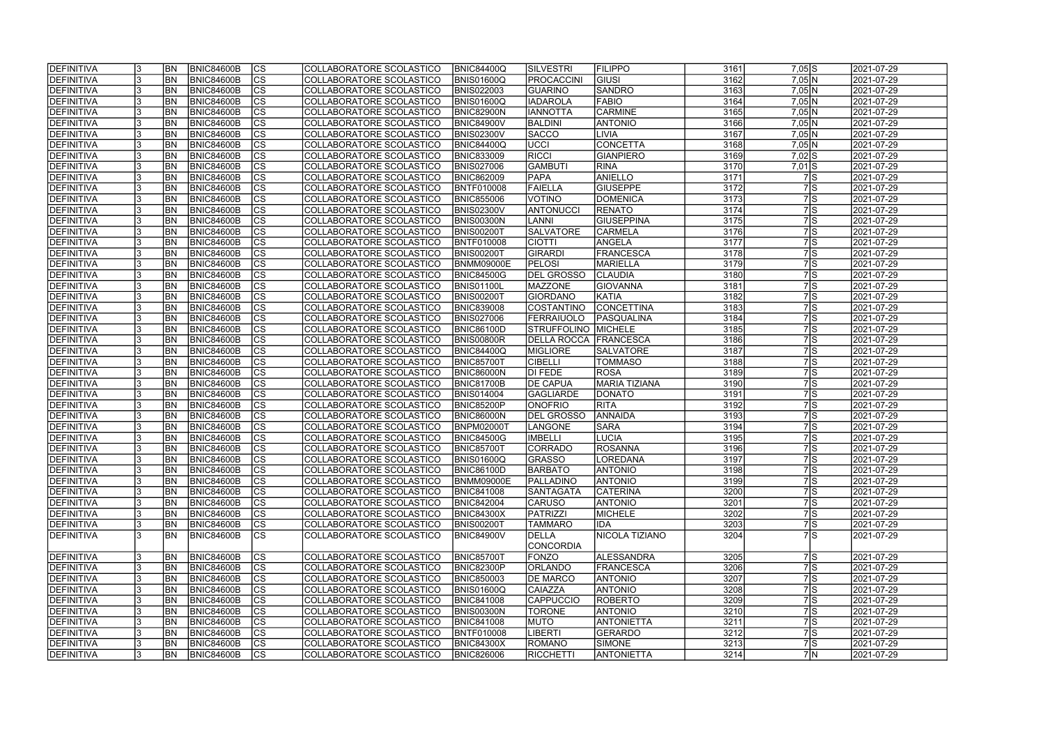| <b>DEFINITIVA</b> |     | <b>BN</b>  | <b>BNIC84600B</b> | <sub>Ics</sub>         | COLLABORATORE SCOLASTICO        | <b>BNIC84400Q</b> | <b>SILVESTRI</b>   | <b>FILIPPO</b>       | 3161 | $7,05$ S            | 2021-07-29 |
|-------------------|-----|------------|-------------------|------------------------|---------------------------------|-------------------|--------------------|----------------------|------|---------------------|------------|
| DEFINITIVA        |     | <b>BN</b>  | <b>BNIC84600B</b> | cs                     | COLLABORATORE SCOLASTICO        | <b>BNIS01600Q</b> | <b>PROCACCINI</b>  | GIUSI                | 3162 | $7,05$ N            | 2021-07-29 |
| DEFINITIVA        |     | BN         | <b>BNIC84600B</b> | cs                     | COLLABORATORE SCOLASTICO        | <b>BNIS022003</b> | <b>GUARINO</b>     | SANDRO               | 3163 | 7,05 N              | 2021-07-29 |
| DEFINITIVA        |     | BN         | <b>BNIC84600B</b> | $\overline{\text{cs}}$ | COLLABORATORE SCOLASTICO        | BNIS01600Q        | <b>IADAROLA</b>    | <b>FABIO</b>         | 3164 | 7,05 N              | 2021-07-29 |
| DEFINITIVA        |     | BN         | <b>BNIC84600B</b> | cs                     | COLLABORATORE SCOLASTICO        | <b>BNIC82900N</b> | <b>IANNOTTA</b>    | <b>CARMINE</b>       | 3165 | 7,05 N              | 2021-07-29 |
| DEFINITIVA        |     | BN         | <b>BNIC84600B</b> | $\overline{\text{CS}}$ | COLLABORATORE SCOLASTICO        | <b>BNIC84900V</b> | <b>BALDINI</b>     | <b>ANTONIO</b>       | 3166 | 7,05 N              | 2021-07-29 |
| DEFINITIVA        |     | <b>BN</b>  | <b>BNIC84600B</b> | <b>CS</b>              | COLLABORATORE SCOLASTICO        | <b>BNIS02300V</b> | <b>SACCO</b>       | LIVIA                | 3167 | 7,05 N              | 2021-07-29 |
| DEFINITIVA        |     | <b>BN</b>  | <b>BNIC84600B</b> | cs                     | COLLABORATORE SCOLASTICO        | <b>BNIC84400Q</b> | ∣∪ccı              | <b>CONCETTA</b>      | 3168 | 7,05 N              | 2021-07-29 |
| DEFINITIVA        |     | <b>BN</b>  | <b>BNIC84600B</b> | cs                     | COLLABORATORE SCOLASTICO        | <b>BNIC833009</b> | <b>RICCI</b>       | <b>GIANPIERO</b>     | 3169 | $7,02$ S            | 2021-07-29 |
| DEFINITIVA        |     | <b>BN</b>  | <b>BNIC84600B</b> | cs                     | COLLABORATORE SCOLASTICO        | <b>BNIS027006</b> | <b>GAMBUTI</b>     | <b>RINA</b>          | 3170 | $7,01$ S            | 2021-07-29 |
| DEFINITIVA        |     | <b>BN</b>  | <b>BNIC84600B</b> | cs                     | COLLABORATORE SCOLASTICO        | <b>BNIC862009</b> | <b>PAPA</b>        | ANIELLO              | 3171 | 7 S                 | 2021-07-29 |
| DEFINITIVA        |     | <b>BN</b>  | <b>BNIC84600B</b> | cs                     | COLLABORATORE SCOLASTICO        | BNTF010008        | FAIELLA            | <b>GIUSEPPE</b>      | 3172 | 7S                  | 2021-07-29 |
| DEFINITIVA        |     | <b>BN</b>  | <b>BNIC84600B</b> | cs                     | <b>COLLABORATORE SCOLASTICO</b> | <b>BNIC855006</b> | VOTINO             | <b>DOMENICA</b>      | 3173 | $7$ $\mid$ S        | 2021-07-29 |
| DEFINITIVA        |     | <b>BN</b>  | <b>BNIC84600B</b> | <b>CS</b>              | COLLABORATORE SCOLASTICO        | <b>BNIS02300V</b> | <b>ANTONUCCI</b>   | <b>RENATO</b>        | 3174 | 7 S                 | 2021-07-29 |
| DEFINITIVA        |     | <b>BN</b>  | <b>BNIC84600B</b> | <b>CS</b>              | COLLABORATORE SCOLASTICO        | <b>BNIS00300N</b> | <b>LANNI</b>       | <b>GIUSEPPINA</b>    | 3175 | $7$ $\mid$ S        | 2021-07-29 |
| DEFINITIVA        |     | <b>BN</b>  | <b>BNIC84600B</b> | <b>CS</b>              | COLLABORATORE SCOLASTICO        | <b>BNIS00200T</b> | <b>SALVATORE</b>   | <b>CARMELA</b>       | 3176 | 7 S                 | 2021-07-29 |
| DEFINITIVA        |     | <b>BN</b>  | <b>BNIC84600B</b> | cs                     | COLLABORATORE SCOLASTICO        | <b>BNTF010008</b> | <b>CIOTTI</b>      | ANGELA               | 3177 | $7$ $\vert S \vert$ | 2021-07-29 |
| DEFINITIVA        |     | <b>BN</b>  | <b>BNIC84600B</b> | <b>CS</b>              | COLLABORATORE SCOLASTICO        | <b>BNIS00200T</b> | GIRARDI            | FRANCESCA            | 3178 | $7$ $\mid$ S        | 2021-07-29 |
| DEFINITIVA        |     | BN         | <b>BNIC84600B</b> | $\overline{\text{cs}}$ | COLLABORATORE SCOLASTICO        | BNMM09000E        | <b>PELOSI</b>      | <b>MARIELLA</b>      | 3179 | 7 S                 | 2021-07-29 |
| <b>DEFINITIVA</b> |     | BN         | <b>BNIC84600B</b> | <b>CS</b>              | COLLABORATORE SCOLASTICO        | <b>BNIC84500G</b> | DEL GROSSO         | <b>CLAUDIA</b>       | 3180 | 7S                  | 2021-07-29 |
| <b>DEFINITIVA</b> |     | BN         | <b>BNIC84600B</b> | <b>CS</b>              | COLLABORATORE SCOLASTICO        | BNIS01100L        | <b>MAZZONE</b>     | <b>GIOVANNA</b>      | 3181 | 7 S                 | 2021-07-29 |
| <b>DEFINITIVA</b> |     | BN         | <b>BNIC84600B</b> | <b>CS</b>              | COLLABORATORE SCOLASTICO        | <b>BNIS00200T</b> | <b>GIORDANO</b>    | <b>KATIA</b>         | 3182 | $7$ S               | 2021-07-29 |
| DEFINITIVA        |     | BN         | <b>BNIC84600B</b> | CS                     | COLLABORATORE SCOLASTICO        | <b>BNIC839008</b> | COSTANTINO         | CONCETTINA           | 3183 | 7S                  | 2021-07-29 |
| DEFINITIVA        |     | <b>BN</b>  | <b>BNIC84600B</b> | <b>CS</b>              | COLLABORATORE SCOLASTICO        | <b>BNIS027006</b> | FERRAIUOLO         | <b>PASQUALINA</b>    | 3184 | 7S                  | 2021-07-29 |
| DEFINITIVA        |     | <b>BN</b>  | <b>BNIC84600B</b> | lcs                    | COLLABORATORE SCOLASTICO        | <b>BNIC86100D</b> | STRUFFOLINO        | <b>MICHELE</b>       | 3185 | $7$ S               | 2021-07-29 |
| DEFINITIVA        |     | <b>BN</b>  | <b>BNIC84600B</b> | CS                     | COLLABORATORE SCOLASTICO        | <b>BNIS00800R</b> | <b>DELLA ROCCA</b> | <b>FRANCESCA</b>     | 3186 | 7 S                 | 2021-07-29 |
| DEFINITIVA        |     | <b>BN</b>  | <b>BNIC84600B</b> | <sub>lcs</sub>         | COLLABORATORE SCOLASTICO        | <b>BNIC84400Q</b> | <b>MIGLIORE</b>    | <b>SALVATORE</b>     | 3187 | $7$ $\mid$ S        | 2021-07-29 |
| <b>DEFINITIVA</b> |     | <b>BN</b>  | <b>BNIC84600B</b> | $ {\rm cs} $           | COLLABORATORE SCOLASTICO        | <b>BNIC85700T</b> | <b>CIBELLI</b>     | <b>TOMMASO</b>       | 3188 | 7S                  | 2021-07-29 |
| DEFINITIVA        |     | <b>BN</b>  | <b>BNIC84600B</b> | cs                     | COLLABORATORE SCOLASTICO        | BNIC86000N        | DI FEDE            | <b>ROSA</b>          | 3189 | 7 S                 | 2021-07-29 |
| DEFINITIVA        |     | <b>BN</b>  | <b>BNIC84600B</b> | $ {\rm cs} $           | COLLABORATORE SCOLASTICO        | <b>BNIC81700B</b> | <b>DE CAPUA</b>    | <b>MARIA TIZIANA</b> | 3190 | $7$ S               | 2021-07-29 |
| DEFINITIVA        |     | <b>BN</b>  | <b>BNIC84600B</b> | $\overline{\text{cs}}$ | COLLABORATORE SCOLASTICO        | <b>BNIS014004</b> | <b>GAGLIARDE</b>   | <b>DONATO</b>        | 3191 | 7 S                 | 2021-07-29 |
| DEFINITIVA        |     | <b>BN</b>  | <b>BNIC84600B</b> | $\overline{\text{CS}}$ | COLLABORATORE SCOLASTICO        | <b>BNIC85200P</b> | <b>ONOFRIO</b>     | <b>RITA</b>          | 3192 | 7 S                 | 2021-07-29 |
| DEFINITIVA        |     | <b>BN</b>  | <b>BNIC84600B</b> | $\overline{\text{cs}}$ | <b>COLLABORATORE SCOLASTICO</b> | <b>BNIC86000N</b> | DEL GROSSO         | ANNAIDA              | 3193 | 7 S                 | 2021-07-29 |
| DEFINITIVA        |     | <b>BN</b>  | <b>BNIC84600B</b> | cs                     | COLLABORATORE SCOLASTICO        | <b>BNPM02000T</b> | LANGONE            | <b>SARA</b>          | 3194 | 7 S                 | 2021-07-29 |
| DEFINITIVA        |     | <b>BN</b>  | <b>BNIC84600B</b> | $\overline{\text{cs}}$ | COLLABORATORE SCOLASTICO        | <b>BNIC84500G</b> | <b>IMBELLI</b>     | <b>LUCIA</b>         | 3195 | 7 S                 | 2021-07-29 |
| DEFINITIVA        |     | <b>BN</b>  | <b>BNIC84600B</b> | $\overline{\text{cs}}$ | COLLABORATORE SCOLASTICO        | <b>BNIC85700T</b> | <b>CORRADO</b>     | ROSANNA              | 3196 | 7S                  | 2021-07-29 |
| <b>DEFINITIVA</b> |     | <b>BN</b>  | BNIC84600B        | CS                     | COLLABORATORE SCOLASTICO        | <b>BNIS01600Q</b> | <b>GRASSO</b>      | LOREDANA             | 3197 |                     | 2021-07-29 |
| DEFINITIVA        |     | <b>BN</b>  | BNIC84600B        | <sub>Ics</sub>         | COLLABORATORE SCOLASTICO        | <b>BNIC86100D</b> | <b>BARBATO</b>     | <b>ANTONIO</b>       | 3198 | 75<br>$7$ $\mid$ S  | 2021-07-29 |
| DEFINITIVA        |     | BN         | <b>BNIC84600B</b> | CS                     | COLLABORATORE SCOLASTICO        | <b>BNMM09000E</b> | <b>PALLADINO</b>   | <b>ANTONIO</b>       | 3199 | 7 S                 | 2021-07-29 |
| DEFINITIVA        |     | <b>BN</b>  | <b>BNIC84600B</b> | <b>CS</b>              | COLLABORATORE SCOLASTICO        | <b>BNIC841008</b> | <b>SANTAGATA</b>   | <b>CATERINA</b>      | 3200 | 7S                  | 2021-07-29 |
| DEFINITIVA        |     | <b>BN</b>  | <b>BNIC84600B</b> | CS                     | COLLABORATORE SCOLASTICO        | <b>BNIC842004</b> | <b>CARUSO</b>      | <b>ANTONIO</b>       | 3201 | 7S                  | 2021-07-29 |
| DEFINITIVA        |     | <b>BN</b>  | <b>BNIC84600B</b> | <sub>Ics</sub>         | COLLABORATORE SCOLASTICO        | <b>BNIC84300X</b> | PATRIZZI           | MICHELE              | 3202 | 7 S                 | 2021-07-29 |
| DEFINITIVA        |     | <b>BN</b>  | <b>BNIC84600B</b> | <sub>Ics</sub>         | COLLABORATORE SCOLASTICO        | <b>BNIS00200T</b> | <b>TAMMARO</b>     | <b>IDA</b>           | 3203 | 7 S                 | 2021-07-29 |
| DEFINITIVA        |     | BN         | BNIC84600B        | ICS.                   | COLLABORATORE SCOLASTICO        | <b>BNIC84900V</b> | DELLA              | NICOLA TIZIANO       | 3204 | 7lS                 | 2021-07-29 |
|                   |     |            |                   |                        |                                 |                   | <b>CONCORDIA</b>   |                      |      |                     |            |
| DEFINITIVA        |     | <b>BN</b>  | <b>BNIC84600B</b> | <sub>Ics</sub>         | COLLABORATORE SCOLASTICO        | <b>BNIC85700T</b> | <b>FONZO</b>       | <b>ALESSANDRA</b>    | 3205 | 7 S                 | 2021-07-29 |
| DEFINITIVA        |     | <b>BN</b>  | <b>BNIC84600B</b> | cs                     | COLLABORATORE SCOLASTICO        | <b>BNIC82300P</b> | <b>ORLANDO</b>     | <b>FRANCESCA</b>     | 3206 | $7$ S               | 2021-07-29 |
| DEFINITIVA        |     | <b>IBN</b> | BNIC84600B        | CS                     | COLLABORATORE SCOLASTICO        | <b>BNIC850003</b> | <b>DE MARCO</b>    | <b>ANTONIO</b>       | 3207 | 7 S                 | 2021-07-29 |
| DEFINITIVA        |     | <b>BN</b>  | <b>BNIC84600B</b> | <b>CS</b>              | COLLABORATORE SCOLASTICO        | <b>BNIS01600Q</b> | <b>CAIAZZA</b>     | <b>ANTONIO</b>       | 3208 | 7 S                 | 2021-07-29 |
| DEFINITIVA        |     | <b>BN</b>  | <b>BNIC84600B</b> | cs                     | COLLABORATORE SCOLASTICO        | <b>BNIC841008</b> | <b>CAPPUCCIO</b>   | <b>ROBERTO</b>       | 3209 | $7$ S               | 2021-07-29 |
| DEFINITIVA        |     | <b>BN</b>  | <b>BNIC84600B</b> | $\overline{\text{CS}}$ | COLLABORATORE SCOLASTICO        | <b>BNIS00300N</b> | <b>TORONE</b>      | <b>ANTONIO</b>       | 3210 | 7 S                 | 2021-07-29 |
| DEFINITIVA        |     | <b>BN</b>  | <b>BNIC84600B</b> | <b>CS</b>              | COLLABORATORE SCOLASTICO        | <b>BNIC841008</b> | <b>MUTO</b>        | <b>ANTONIETTA</b>    | 3211 | $7$ $\mid$ S        | 2021-07-29 |
| DEFINITIVA        |     | <b>BN</b>  | <b>BNIC84600B</b> | <b>CS</b>              | COLLABORATORE SCOLASTICO        | <b>BNTF010008</b> | <b>LIBERTI</b>     | GERARDO              | 3212 | 7 S                 | 2021-07-29 |
| DEFINITIVA        |     | <b>BN</b>  | <b>BNIC84600B</b> | <sub>Ics</sub>         | COLLABORATORE SCOLASTICO        | <b>BNIC84300X</b> | ROMANO             | SIMONE               | 3213 | 7 S                 | 2021-07-29 |
|                   |     |            |                   |                        |                                 |                   |                    |                      |      |                     |            |
| <b>DEFINITIVA</b> | 13. | <b>BN</b>  | <b>BNIC84600B</b> | <sub>Ics</sub>         | COLLABORATORE SCOLASTICO        | <b>BNIC826006</b> | <b>RICCHETTI</b>   | <b>ANTONIETTA</b>    | 3214 | 7 N                 | 2021-07-29 |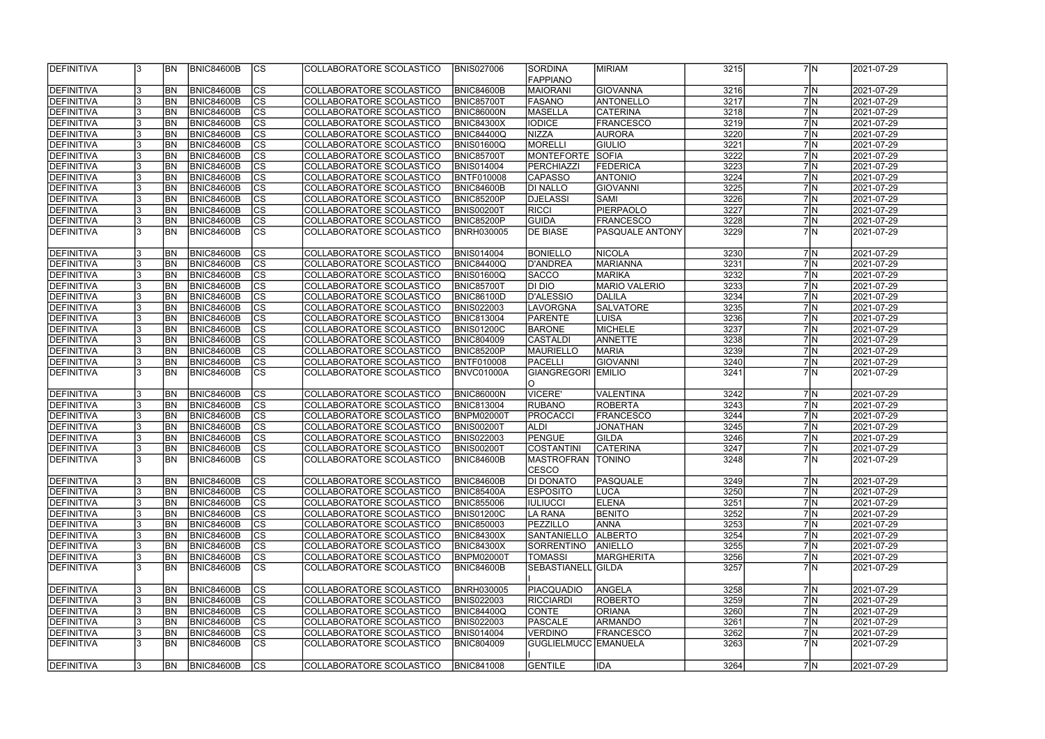| <b>IDEFINITIVA</b> | l3  | <b>BN</b>      | <b>BNIC84600B</b> | ICS            | ICOLLABORATORE SCOLASTICO | <b>BNIS027006</b> | <b>SORDINA</b>           | <b>MIRIAM</b>        | 3215 | 7 <sup>IN</sup> | 2021-07-29 |
|--------------------|-----|----------------|-------------------|----------------|---------------------------|-------------------|--------------------------|----------------------|------|-----------------|------------|
|                    |     |                |                   |                |                           |                   | <b>FAPPIANO</b>          |                      |      |                 |            |
| DEFINITIVA         | 3   | <b>BN</b>      | <b>BNIC84600B</b> | CS             | COLLABORATORE SCOLASTICO  | <b>BNIC84600B</b> | <b>MAIORANI</b>          | <b>GIOVANNA</b>      | 3216 | 7N              | 2021-07-29 |
| DEFINITIVA         | 3   | <b>BN</b>      | <b>BNIC84600B</b> | cs             | COLLABORATORE SCOLASTICO  | <b>BNIC85700T</b> | <b>FASANO</b>            | <b>ANTONELLO</b>     | 3217 | 7N              | 2021-07-29 |
| DEFINITIVA         | 3   | <b>BN</b>      | <b>BNIC84600B</b> | CS             | COLLABORATORE SCOLASTICO  | <b>BNIC86000N</b> | <b>MASELLA</b>           | <b>CATERINA</b>      | 3218 | 7N              | 2021-07-29 |
| DEFINITIVA         | 3   | <b>BN</b>      | <b>BNIC84600B</b> | cs             | COLLABORATORE SCOLASTICO  | <b>BNIC84300X</b> | <b>IODICE</b>            | <b>FRANCESCO</b>     | 3219 | 7N              | 2021-07-29 |
| DEFINITIVA         | l3  | <b>BN</b>      | <b>BNIC84600B</b> | CS             | COLLABORATORE SCOLASTICO  | <b>BNIC84400Q</b> | <b>NIZZA</b>             | <b>AURORA</b>        | 3220 | 7M              | 2021-07-29 |
| DEFINITIVA         | l3  | <b>BN</b>      | <b>BNIC84600B</b> | cs             | COLLABORATORE SCOLASTICO  | <b>BNIS01600Q</b> | <b>MORELLI</b>           | <b>GIULIO</b>        | 3221 | 7N              | 2021-07-29 |
| DEFINITIVA         | l3  | <b>BN</b>      | <b>BNIC84600B</b> | CS             | COLLABORATORE SCOLASTICO  | <b>BNIC85700T</b> | <b>MONTEFORTE</b>        | <b>SOFIA</b>         | 3222 | 7N              | 2021-07-29 |
| <b>DEFINITIVA</b>  |     | <b>BN</b>      | <b>BNIC84600B</b> | CS             | COLLABORATORE SCOLASTICO  | <b>BNIS014004</b> | <b>PERCHIAZZI</b>        | FEDERICA             | 3223 | 7N              | 2021-07-29 |
| DEFINITIVA         |     | <b>BN</b>      | <b>BNIC84600B</b> | <b>CS</b>      | COLLABORATORE SCOLASTICO  | <b>BNTF010008</b> | <b>CAPASSO</b>           | <b>ANTONIO</b>       | 3224 | 7N              | 2021-07-29 |
| DEFINITIVA         | 3   | <b>BN</b>      | <b>BNIC84600B</b> | <b>CS</b>      | COLLABORATORE SCOLASTICO  | <b>BNIC84600B</b> | <b>DI NALLO</b>          | <b>GIOVANNI</b>      | 3225 | 7N              | 2021-07-29 |
| DEFINITIVA         | 3   | <b>BN</b>      | <b>BNIC84600B</b> | <b>CS</b>      | COLLABORATORE SCOLASTICO  | <b>BNIC85200P</b> | <b>DJELASSI</b>          | SAMI                 | 3226 | 7N              | 2021-07-29 |
| DEFINITIVA         | 3   | <b>BN</b>      | <b>BNIC84600B</b> | <b>CS</b>      | COLLABORATORE SCOLASTICO  | <b>BNIS00200T</b> | <b>RICCI</b>             | <b>PIERPAOLO</b>     | 3227 | 7N              | 2021-07-29 |
| DEFINITIVA         | 3   | <b>BN</b>      | <b>BNIC84600B</b> | <b>CS</b>      | COLLABORATORE SCOLASTICO  | <b>BNIC85200P</b> | <b>GUIDA</b>             | <b>FRANCESCO</b>     | 3228 | 7N              | 2021-07-29 |
| <b>DEFINITIVA</b>  | l3  | <b>BN</b>      | <b>BNIC84600B</b> | cs             | COLLABORATORE SCOLASTICO  | <b>BNRH030005</b> | <b>DE BIASE</b>          | PASQUALE ANTONY      | 3229 | 7M              | 2021-07-29 |
| <b>DEFINITIVA</b>  | 13. | BN <sub></sub> | <b>BNIC84600B</b> | CS             | COLLABORATORE SCOLASTICO  | <b>BNIS014004</b> | <b>BONIELLO</b>          | <b>NICOLA</b>        | 3230 | 7N              | 2021-07-29 |
| DEFINITIVA         | 3   | <b>BN</b>      | <b>BNIC84600B</b> | <b>CS</b>      | COLLABORATORE SCOLASTICO  | <b>BNIC84400Q</b> | <b>D'ANDREA</b>          | <b>MARIANNA</b>      | 3231 | 7 <sub>N</sub>  | 2021-07-29 |
| DEFINITIVA         |     | <b>BN</b>      | <b>BNIC84600B</b> | <b>CS</b>      | COLLABORATORE SCOLASTICO  | <b>BNIS01600Q</b> | <b>SACCO</b>             | <b>MARIKA</b>        | 3232 | 7N              | 2021-07-29 |
| DEFINITIVA         | 3   | <b>BN</b>      | <b>BNIC84600B</b> | <b>CS</b>      | COLLABORATORE SCOLASTICO  | BNIC85700T        | DI DIO                   | <b>MARIO VALERIO</b> | 3233 | 7N              | 2021-07-29 |
| DEFINITIVA         | 13. | <b>BN</b>      | <b>BNIC84600B</b> | CS             | COLLABORATORE SCOLASTICO  | <b>BNIC86100D</b> | <b>D'ALESSIO</b>         | <b>DALILA</b>        | 3234 | 7N              | 2021-07-29 |
| <b>DEFINITIVA</b>  | 13. | <b>BN</b>      | <b>BNIC84600B</b> | CS             | COLLABORATORE SCOLASTICO  | <b>BNIS022003</b> | LAVORGNA                 | <b>SALVATORE</b>     | 3235 | 7N              | 2021-07-29 |
| <b>DEFINITIVA</b>  | l3  | <b>BN</b>      | <b>BNIC84600B</b> | CS             | COLLABORATORE SCOLASTICO  | <b>BNIC813004</b> | PARENTE                  | LUISA                | 3236 | 7 <sup>IN</sup> | 2021-07-29 |
| DEFINITIVA         | 3   | <b>BN</b>      | <b>BNIC84600B</b> | CS             | COLLABORATORE SCOLASTICO  | <b>BNIS01200C</b> | <b>BARONE</b>            | <b>MICHELE</b>       | 3237 | 7N              | 2021-07-29 |
| <b>DEFINITIVA</b>  | 3   | BN <sub></sub> | <b>BNIC84600B</b> | CS             | COLLABORATORE SCOLASTICO  | <b>BNIC804009</b> | <b>CASTALDI</b>          | <b>ANNETTE</b>       | 3238 | 7N              | 2021-07-29 |
| <b>DEFINITIVA</b>  | 3   | BN             | <b>BNIC84600B</b> | CS             | COLLABORATORE SCOLASTICO  | BNIC85200P        | <b>MAURIELLO</b>         | MARIA                | 3239 | 7N              |            |
|                    |     | <b>BN</b>      |                   |                |                           |                   |                          |                      |      | 7N              | 2021-07-29 |
| DEFINITIVA         | 3   |                | <b>BNIC84600B</b> | CS             | COLLABORATORE SCOLASTICO  | <b>BNTF010008</b> | <b>PACELLI</b>           | <b>GIOVANNI</b>      | 3240 | 7N              | 2021-07-29 |
| DEFINITIVA         | l3  | <b>BN</b>      | <b>BNIC84600B</b> | lcs            | COLLABORATORE SCOLASTICO  | BNVC01000A        | GIANGREGORI EMILIO<br>O  |                      | 3241 |                 | 2021-07-29 |
| DEFINITIVA         | 3   | <b>BN</b>      | <b>BNIC84600B</b> | CS             | COLLABORATORE SCOLASTICO  | <b>BNIC86000N</b> | <b>VICERE'</b>           | <b>VALENTINA</b>     | 3242 | 7N              | 2021-07-29 |
| DEFINITIVA         | 3   | BN <sub></sub> | <b>BNIC84600B</b> | cs             | COLLABORATORE SCOLASTICO  | <b>BNIC813004</b> | <b>RUBANO</b>            | <b>ROBERTA</b>       | 3243 | 7N              | 2021-07-29 |
| DEFINITIVA         | 3   | <b>BN</b>      | <b>BNIC84600B</b> | cs             | COLLABORATORE SCOLASTICO  | <b>BNPM02000T</b> | <b>PROCACCI</b>          | <b>FRANCESCO</b>     | 3244 | 7N              | 2021-07-29 |
| DEFINITIVA         | 3   | BN <sub></sub> | <b>BNIC84600B</b> | cs             | COLLABORATORE SCOLASTICO  | <b>BNIS00200T</b> | <b>ALDI</b>              | <b>JONATHAN</b>      | 3245 | 7N              | 2021-07-29 |
| DEFINITIVA         |     | <b>BN</b>      | <b>BNIC84600B</b> | cs             | COLLABORATORE SCOLASTICO  | <b>BNIS022003</b> | <b>PENGUE</b>            | <b>GILDA</b>         | 3246 | 7N              | 2021-07-29 |
| <b>DEFINITIVA</b>  | 3   | <b>BN</b>      | <b>BNIC84600B</b> | cs             | COLLABORATORE SCOLASTICO  | <b>BNIS00200T</b> | <b>COSTANTINI</b>        | <b>CATERINA</b>      | 3247 | 7N              | 2021-07-29 |
| <b>DEFINITIVA</b>  | IЗ  | <b>BN</b>      | <b>BNIC84600B</b> | $\overline{c}$ | COLLABORATORE SCOLASTICO  | <b>BNIC84600B</b> | <b>MASTROFRAN TONINO</b> |                      | 3248 | 7N              | 2021-07-29 |
|                    |     |                |                   |                |                           |                   | <b>CESCO</b>             |                      |      |                 |            |
| <b>DEFINITIVA</b>  | 3   | <b>BN</b>      | <b>BNIC84600B</b> | <b>CS</b>      | COLLABORATORE SCOLASTICO  | <b>BNIC84600B</b> | DI DONATO                | PASQUALE             | 3249 | 7 N             | 2021-07-29 |
| DEFINITIVA         | 3   | <b>BN</b>      | <b>BNIC84600B</b> | CS             | COLLABORATORE SCOLASTICO  | <b>BNIC85400A</b> | <b>ESPOSITO</b>          | LUCA                 | 3250 | 7N              | 2021-07-29 |
| <b>DEFINITIVA</b>  | 3   | <b>BN</b>      | <b>BNIC84600B</b> | ICS            | COLLABORATORE SCOLASTICO  | <b>BNIC855006</b> | <b>IULIUCCI</b>          | <b>ELENA</b>         | 3251 | 7N              | 2021-07-29 |
| <b>DEFINITIVA</b>  | 3   | <b>BN</b>      | <b>BNIC84600B</b> | <sub>Ics</sub> | COLLABORATORE SCOLASTICO  | <b>BNIS01200C</b> | LA RANA                  | <b>BENITO</b>        | 3252 | 7N              | 2021-07-29 |
| <b>DEFINITIVA</b>  | 3   | <b>BN</b>      | <b>BNIC84600B</b> | <sub>lcs</sub> | COLLABORATORE SCOLASTICO  | <b>BNIC850003</b> | PEZZILLO                 | <b>ANNA</b>          | 3253 | 7N              | 2021-07-29 |
| <b>DEFINITIVA</b>  | 3   | <b>BN</b>      | <b>BNIC84600B</b> | <sub>lcs</sub> | COLLABORATORE SCOLASTICO  | <b>BNIC84300X</b> | <b>SANTANIELLO</b>       | <b>ALBERTO</b>       | 3254 | 7N              | 2021-07-29 |
| DEFINITIVA         | 3   | <b>BN</b>      | <b>BNIC84600B</b> | cs             | COLLABORATORE SCOLASTICO  | <b>BNIC84300X</b> | SORRENTINO               | <b>ANIELLO</b>       | 3255 | 7N              | 2021-07-29 |
| DEFINITIVA         | 3   | <b>BN</b>      | BNIC84600B        | cs             | COLLABORATORE SCOLASTICO  | <b>BNPM02000T</b> | TOMASSI                  | <b>MARGHERITA</b>    | 3256 | 7N              | 2021-07-29 |
| DEFINITIVA         | 13. | <b>BN</b>      | <b>BNIC84600B</b> | <b>CS</b>      | COLLABORATORE SCOLASTICO  | <b>BNIC84600B</b> | SEBASTIANELL GILDA       |                      | 3257 | 7N              | 2021-07-29 |
| <b>DEFINITIVA</b>  | 3   | <b>BN</b>      | <b>BNIC84600B</b> | <sub>lcs</sub> | COLLABORATORE SCOLASTICO  | <b>BNRH030005</b> | <b>PIACQUADIO</b>        | ANGELA               | 3258 | 7 N             | 2021-07-29 |
| DEFINITIVA         | 3   | BN             | <b>BNIC84600B</b> | cs             | COLLABORATORE SCOLASTICO  | <b>BNIS022003</b> | <b>RICCIARDI</b>         | <b>ROBERTO</b>       | 3259 | 7N              | 2021-07-29 |
| DEFINITIVA         | 3   | <b>BN</b>      | <b>BNIC84600B</b> | cs             | COLLABORATORE SCOLASTICO  | <b>BNIC84400Q</b> | <b>CONTE</b>             | <b>ORIANA</b>        | 3260 | 7N              | 2021-07-29 |
| <b>DEFINITIVA</b>  | 3   | BN             | <b>BNIC84600B</b> | cs             | COLLABORATORE SCOLASTICO  | <b>BNIS022003</b> | <b>PASCALE</b>           | <b>ARMANDO</b>       | 3261 | 7N              | 2021-07-29 |
| <b>DEFINITIVA</b>  | 3   | BN             | <b>BNIC84600B</b> | $ {\rm CS} $   | COLLABORATORE SCOLASTICO  | <b>BNIS014004</b> | <b>VERDINO</b>           | <b>FRANCESCO</b>     | 3262 | 7N              | 2021-07-29 |
| <b>DEFINITIVA</b>  | l3. | <b>BN</b>      | <b>BNIC84600B</b> | <b>CS</b>      | COLLABORATORE SCOLASTICO  | <b>BNIC804009</b> | GUGLIELMUCC EMANUELA     |                      | 3263 | 7N              | 2021-07-29 |
|                    |     | BN             |                   |                |                           |                   |                          |                      |      | 7N              |            |
| <b>DEFINITIVA</b>  | 3   |                | <b>BNIC84600B</b> | ICS.           | COLLABORATORE SCOLASTICO  | <b>BNIC841008</b> | <b>GENTILE</b>           | IDA                  | 3264 |                 | 2021-07-29 |

|                | 7 N                 | 2021-07-29       |
|----------------|---------------------|------------------|
|                |                     |                  |
| 7              | ΙN                  | 2021-07-29       |
| $\overline{7}$ | N                   | 2021-07-29       |
|                | 7 N                 | 2021-07-29       |
|                | 7 N                 | 2021-07-29       |
|                | 7 N                 | 2021-07-29       |
|                | $\overline{7}$ N    | 2021-07-29       |
|                | $\overline{7}$ N    | 2021-07-29       |
|                | $7 \overline{N}$    | 2021-07-29       |
|                | $\overline{7}$ N    | 2021-07-29       |
|                | $\overline{7}$ N    | 2021-07-29       |
|                | $\overline{7}$ N    | 2021-07-29       |
| $\overline{7}$ | ΙN                  | 2021-07-29       |
| $\overline{7}$ | N                   | 2021-07-29       |
| $\overline{7}$ | N                   | 2021-07-29       |
|                |                     |                  |
| 7              | N                   | 2021-07-29       |
| 7              | N                   | 2021-07-29       |
| $\overline{7}$ | N                   | 2021-07-29       |
|                | 7   N               | 2021-07-29       |
|                | 7   N               | 2021-07-29       |
|                | 7 N                 | 2021-07-29       |
|                | 7 N                 | 2021-07-29       |
|                | 7 N                 | 2021-07-29       |
|                | 7 N                 | 2021-07-29       |
| 7              |                     |                  |
| $\overline{7}$ | ΙN                  | 2021-07-29       |
| $\overline{7}$ | N                   | 2021-07-29       |
|                | N                   | 2021-07-29       |
| 7              | N                   | 2021-07-29       |
| $\overline{7}$ | N                   | 2021-07-29       |
| $\overline{7}$ | N                   | 2021-07-29       |
| $\overline{7}$ |                     |                  |
|                | N                   | 2021-07-29       |
| 7<br>7         | N                   | 2021-07-29       |
|                | N                   | 2021-07-29       |
|                | 7   N               | 2021-07-29       |
| 7              | N                   | 2021-07-29       |
| 7              | N)                  | 2021-07-29       |
|                | $7\overline{\rm N}$ | 2021-07-29       |
|                | $7\overline{\rm N}$ | 2021-07-29       |
|                | $7 \overline{N}$    | $2021 - 07 - 29$ |
|                | 7N                  | 2021-07-29       |
|                | 7N                  | 2021-07-29       |
| 7              | N                   | 2021-07-29       |
| $\overline{7}$ | N                   | 2021-07-29       |
|                |                     |                  |
| 7              | N                   | 2021-07-29       |
| $\overline{7}$ | N                   | 2021-07-29       |
| 7              | N                   | 2021-07-29       |
| $\overline{7}$ | N                   | 2021-07-29       |
| $\overline{7}$ | N                   | 2021-07-29       |
| 7              | N                   | 2021-07-29       |
|                |                     |                  |
| 7              | N                   | 2021-07-29       |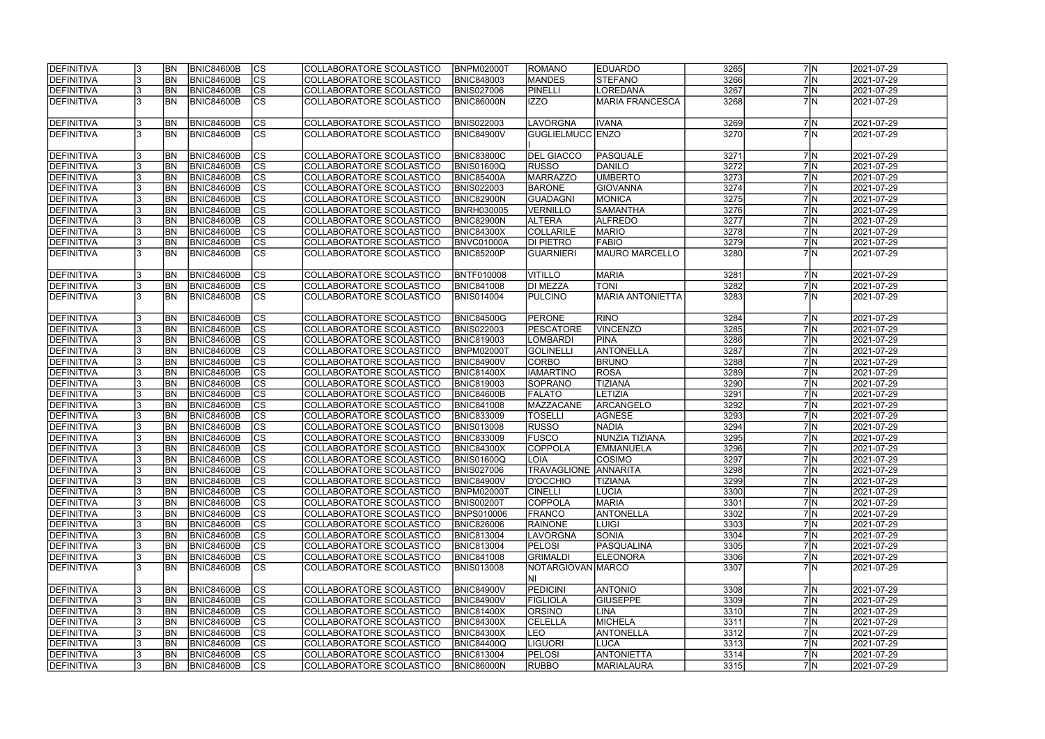| <b>IDEFINITIVA</b> | <b>BN</b> | BNIC84600B        | lcs                      | COLLABORATORE SCOLASTICO | <b>BNPM02000T</b> | ROMANO                      | <b>EDUARDO</b>          | 3265 | 7 N | 2021-07-29 |
|--------------------|-----------|-------------------|--------------------------|--------------------------|-------------------|-----------------------------|-------------------------|------|-----|------------|
| <b>DEFINITIVA</b>  | <b>BN</b> | <b>BNIC84600B</b> | cs                       | COLLABORATORE SCOLASTICO | <b>BNIC848003</b> | <b>MANDES</b>               | STEFANO                 | 3266 | 7N  | 2021-07-29 |
| <b>DEFINITIVA</b>  | <b>BN</b> | <b>BNIC84600B</b> | cs                       | COLLABORATORE SCOLASTICO | <b>BNIS027006</b> | PINELLI                     | <b>LOREDANA</b>         | 3267 | 7N  | 2021-07-29 |
| <b>DEFINITIVA</b>  | <b>BN</b> | <b>BNIC84600B</b> | $\overline{\text{cs}}$   | COLLABORATORE SCOLASTICO | <b>BNIC86000N</b> | IZZO                        | <b>MARIA FRANCESCA</b>  | 3268 | 7 N | 2021-07-29 |
|                    |           |                   |                          |                          |                   |                             |                         |      |     |            |
| <b>DEFINITIVA</b>  | BN        | <b>BNIC84600B</b> | <b>CS</b>                | COLLABORATORE SCOLASTICO | <b>BNIS022003</b> | LAVORGNA                    | <b>IVANA</b>            | 3269 | 7 N | 2021-07-29 |
| <b>DEFINITIVA</b>  | <b>BN</b> | <b>BNIC84600B</b> | <b>CS</b>                | COLLABORATORE SCOLASTICO | <b>BNIC84900V</b> | GUGLIELMUCC ENZO            |                         | 3270 | 7 N | 2021-07-29 |
|                    |           |                   |                          |                          |                   |                             |                         |      |     |            |
| DEFINITIVA         | <b>BN</b> | <b>BNIC84600B</b> | <b>CS</b>                | COLLABORATORE SCOLASTICO | <b>BNIC83800C</b> | <b>DEL GIACCO</b>           | PASQUALE                | 3271 | 7 N | 2021-07-29 |
| <b>DEFINITIVA</b>  | BN        | <b>BNIC84600B</b> | cs                       | COLLABORATORE SCOLASTICO | <b>BNIS01600Q</b> | <b>RUSSO</b>                | DANILO                  | 3272 | 7 N | 2021-07-29 |
| DEFINITIVA         | <b>BN</b> | <b>BNIC84600B</b> | cs                       | COLLABORATORE SCOLASTICO | BNIC85400A        | <b>MARRAZZO</b>             | <b>UMBERTO</b>          | 3273 | 7 N | 2021-07-29 |
| DEFINITIVA         | <b>BN</b> | <b>BNIC84600B</b> | cs                       | COLLABORATORE SCOLASTICO | <b>BNIS022003</b> | <b>BARONE</b>               | <b>GIOVANNA</b>         | 3274 | 7 N | 2021-07-29 |
| <b>DEFINITIVA</b>  | <b>BN</b> | <b>BNIC84600B</b> | <b>CS</b>                | COLLABORATORE SCOLASTICO | BNIC82900N        | GUADAGNI                    | MONICA                  | 3275 | 7N  | 2021-07-29 |
| <b>DEFINITIVA</b>  | <b>BN</b> | <b>BNIC84600B</b> | $\overline{\text{CS}}$   | COLLABORATORE SCOLASTICO | <b>BNRH030005</b> | VERNILLO                    | <b>SAMANTHA</b>         | 3276 | 7 N | 2021-07-29 |
| <b>DEFINITIVA</b>  | <b>BN</b> | <b>BNIC84600B</b> | CS                       | COLLABORATORE SCOLASTICO | BNIC82900N        | <b>ALTERA</b>               | <b>ALFREDO</b>          | 3277 | 7N  | 2021-07-29 |
| <b>DEFINITIVA</b>  | <b>BN</b> | <b>BNIC84600B</b> | CS                       | COLLABORATORE SCOLASTICO | <b>BNIC84300X</b> | <b>COLLARILE</b>            | <b>MARIO</b>            | 3278 | 7 N | 2021-07-29 |
| <b>DEFINITIVA</b>  | <b>BN</b> |                   | $\overline{\text{CS}}$   | COLLABORATORE SCOLASTICO |                   | <b>DI PIETRO</b>            | <b>FABIO</b>            | 3279 | 7N  |            |
|                    |           | <b>BNIC84600B</b> |                          |                          | BNVC01000A        |                             |                         |      |     | 2021-07-29 |
| DEFINITIVA         | <b>BN</b> | <b>BNIC84600B</b> | $\overline{\text{CS}}$   | COLLABORATORE SCOLASTICO | <b>BNIC85200P</b> | <b>GUARNIERI</b>            | <b>MAURO MARCELLO</b>   | 3280 | 7N  | 2021-07-29 |
|                    |           |                   |                          |                          |                   |                             |                         |      |     |            |
| <b>DEFINITIVA</b>  | <b>BN</b> | <b>BNIC84600B</b> | <b>CS</b>                | COLLABORATORE SCOLASTICO | <b>BNTF010008</b> | <b>VITILLO</b>              | <b>MARIA</b>            | 3281 | 7 N | 2021-07-29 |
| <b>DEFINITIVA</b>  | <b>BN</b> | <b>BNIC84600B</b> | CS                       | COLLABORATORE SCOLASTICO | <b>BNIC841008</b> | DI MEZZA                    | <b>TONI</b>             | 3282 | 7N  | 2021-07-29 |
| <b>DEFINITIVA</b>  | <b>BN</b> | <b>BNIC84600B</b> | <b>CS</b>                | COLLABORATORE SCOLASTICO | BNIS014004        | <b>PULCINO</b>              | <b>MARIA ANTONIETTA</b> | 3283 | 7 N | 2021-07-29 |
|                    |           |                   |                          |                          |                   |                             |                         |      |     |            |
| <b>DEFINITIVA</b>  | <b>BN</b> | <b>BNIC84600B</b> | <b>CS</b>                | COLLABORATORE SCOLASTICO | <b>BNIC84500G</b> | <b>PERONE</b>               | <b>RINO</b>             | 3284 | 7 N | 2021-07-29 |
| DEFINITIVA         | <b>BN</b> | <b>BNIC84600B</b> | $ \overline{\text{CS}} $ | COLLABORATORE SCOLASTICO | <b>BNIS022003</b> | <b>PESCATORE</b>            | <b>VINCENZO</b>         | 3285 | 7 N | 2021-07-29 |
| <b>DEFINITIVA</b>  | <b>BN</b> | <b>BNIC84600B</b> | lcs                      | COLLABORATORE SCOLASTICO | <b>BNIC819003</b> | LOMBARDI                    | PINA                    | 3286 | 7 N | 2021-07-29 |
| DEFINITIVA         | <b>BN</b> | <b>BNIC84600B</b> | cs                       | COLLABORATORE SCOLASTICO | BNPM02000T        | GOLINELLI                   | ANTONELLA               | 3287 | 7 N | 2021-07-29 |
| <b>DEFINITIVA</b>  | <b>BN</b> | <b>BNIC84600B</b> | <b>CS</b>                | COLLABORATORE SCOLASTICO | <b>BNIC84900V</b> | CORBO                       | <b>BRUNO</b>            | 3288 | 7 N | 2021-07-29 |
| <b>DEFINITIVA</b>  | <b>BN</b> | <b>BNIC84600B</b> | cs                       | COLLABORATORE SCOLASTICO | <b>BNIC81400X</b> | <b>IAMARTINO</b>            | <b>ROSA</b>             | 3289 | 7 N | 2021-07-29 |
| <b>DEFINITIVA</b>  | <b>BN</b> | <b>BNIC84600B</b> | lcs                      | COLLABORATORE SCOLASTICO | <b>BNIC819003</b> | SOPRANO                     | <b>TIZIANA</b>          | 3290 | 7N  | 2021-07-29 |
| <b>DEFINITIVA</b>  | <b>BN</b> | <b>BNIC84600B</b> | $ \overline{\text{CS}} $ | COLLABORATORE SCOLASTICO | BNIC84600B        | <b>FALATO</b>               | <b>LETIZIA</b>          | 3291 | 7 N | 2021-07-29 |
| <b>DEFINITIVA</b>  | BN        | <b>BNIC84600B</b> | $\overline{\text{CS}}$   | COLLABORATORE SCOLASTICO | <b>BNIC841008</b> | MAZZACANE                   | ARCANGELO               | 3292 | 7 N | 2021-07-29 |
| DEFINITIVA         | <b>BN</b> | <b>BNIC84600B</b> | $\overline{\text{CS}}$   | COLLABORATORE SCOLASTICO | <b>BNIC833009</b> | <b>TOSELLI</b>              | <b>AGNESE</b>           | 3293 | 7N  | 2021-07-29 |
| DEFINITIVA         | <b>BN</b> | <b>BNIC84600B</b> | $\overline{\text{CS}}$   | COLLABORATORE SCOLASTICO | <b>BNIS013008</b> | <b>RUSSO</b>                | <b>NADIA</b>            | 3294 | 7 N | 2021-07-29 |
| <b>DEFINITIVA</b>  | <b>BN</b> | <b>BNIC84600B</b> | $\overline{\text{CS}}$   | COLLABORATORE SCOLASTICO | <b>BNIC833009</b> | <b>FUSCO</b>                | NUNZIA TIZIANA          | 3295 | 7N  | 2021-07-29 |
| <b>DEFINITIVA</b>  | <b>BN</b> | <b>BNIC84600B</b> | $\overline{\text{CS}}$   | COLLABORATORE SCOLASTICO | <b>BNIC84300X</b> | COPPOLA                     | <b>EMMANUELA</b>        | 3296 | 7N  | 2021-07-29 |
| <b>DEFINITIVA</b>  | <b>BN</b> | BNIC84600B        | CS                       | COLLABORATORE SCOLASTICO | <b>BNIS01600Q</b> | <b>ILOIA</b>                | <b>COSIMO</b>           | 3297 | 7 N | 2021-07-29 |
| DEFINITIVA         | <b>BN</b> | <b>BNIC84600B</b> | lcs                      | COLLABORATORE SCOLASTICO | <b>BNIS027006</b> | <b>TRAVAGLIONE ANNARITA</b> |                         | 3298 | 7N  | 2021-07-29 |
| <b>DEFINITIVA</b>  | <b>BN</b> | BNIC84600B        | CS                       | COLLABORATORE SCOLASTICO | <b>BNIC84900V</b> | <b>D'OCCHIO</b>             | <b>TIZIANA</b>          | 3299 | 7 N | 2021-07-29 |
| <b>DEFINITIVA</b>  | <b>BN</b> | <b>BNIC84600B</b> | <b>CS</b>                | COLLABORATORE SCOLASTICO | <b>BNPM02000T</b> | <b>CINELLI</b>              | <b>LUCIA</b>            | 3300 | 7 N | 2021-07-29 |
| DEFINITIVA         | <b>BN</b> | <b>BNIC84600B</b> | <b>CS</b>                | COLLABORATORE SCOLASTICO | <b>BNIS00200T</b> | <b>COPPOLA</b>              | <b>MARIA</b>            | 3301 | 7 N | 2021-07-29 |
| <b>DEFINITIVA</b>  | <b>BN</b> | <b>BNIC84600B</b> | CS                       | COLLABORATORE SCOLASTICO | <b>BNPS010006</b> | <b>FRANCO</b>               | ANTONELLA               | 3302 | 7 N | 2021-07-29 |
| DEFINITIVA         | <b>BN</b> | <b>BNIC84600B</b> | CS                       | COLLABORATORE SCOLASTICO | <b>BNIC826006</b> | <b>RAINONE</b>              | LUIGI                   | 3303 | 7 N | 2021-07-29 |
| DEFINITIVA         | <b>BN</b> | BNIC84600B        | <b>CS</b>                | COLLABORATORE SCOLASTICO | <b>BNIC813004</b> | LAVORGNA                    | SONIA                   | 3304 | 7 N | 2021-07-29 |
| <b>DEFINITIVA</b>  | <b>BN</b> | BNIC84600B        | cs                       | COLLABORATORE SCOLASTICO | <b>BNIC813004</b> | <b>PELOSI</b>               | PASQUALINA              | 3305 | 7 N | 2021-07-29 |
| DEFINITIVA         | <b>BN</b> | BNIC84600B        | CS                       | COLLABORATORE SCOLASTICO | <b>BNIC841008</b> | <b>GRIMALDI</b>             | <b>ELEONORA</b>         | 3306 | 7 N | 2021-07-29 |
| <b>DEFINITIVA</b>  | IBN       | BNIC84600B        | <b>CS</b>                | COLLABORATORE SCOLASTICO | <b>BNIS013008</b> | NOTARGIOVAN MARCO           |                         | 3307 | 7 N | 2021-07-29 |
|                    |           |                   |                          |                          |                   | INI                         |                         |      |     |            |
| <b>DEFINITIVA</b>  | <b>BN</b> | BNIC84600B        | <b>CS</b>                | COLLABORATORE SCOLASTICO | <b>BNIC84900V</b> | <b>PEDICINI</b>             | <b>ANTONIO</b>          | 3308 | 7 N | 2021-07-29 |
| DEFINITIVA         | <b>BN</b> | <b>BNIC84600B</b> | cs                       | COLLABORATORE SCOLASTICO | <b>BNIC84900V</b> | FIGLIOLA                    | <b>GIUSEPPE</b>         | 3309 | 7N  | 2021-07-29 |
| <b>DEFINITIVA</b>  | <b>BN</b> | <b>BNIC84600B</b> | <b>CS</b>                | COLLABORATORE SCOLASTICO | <b>BNIC81400X</b> | <b>ORSINO</b>               | <b>LINA</b>             | 3310 | 7 N | 2021-07-29 |
| <b>DEFINITIVA</b>  | <b>BN</b> | <b>BNIC84600B</b> | CS                       | COLLABORATORE SCOLASTICO | <b>BNIC84300X</b> | <b>CELELLA</b>              | MICHELA                 | 3311 | 7N  | 2021-07-29 |
| <b>DEFINITIVA</b>  | <b>BN</b> | <b>BNIC84600B</b> | CS                       | COLLABORATORE SCOLASTICO | <b>BNIC84300X</b> | <b>LEO</b>                  | <b>ANTONELLA</b>        | 3312 | 7 N | 2021-07-29 |
| <b>DEFINITIVA</b>  | <b>BN</b> | <b>BNIC84600B</b> | <b>CS</b>                | COLLABORATORE SCOLASTICO | <b>BNIC84400Q</b> | <b>LIGUORI</b>              | <b>LUCA</b>             | 3313 | 7 N | 2021-07-29 |
| <b>DEFINITIVA</b>  | IBN.      | <b>BNIC84600B</b> | CS                       | COLLABORATORE SCOLASTICO | <b>BNIC813004</b> | <b>PELOSI</b>               | <b>ANTONIETTA</b>       | 3314 | 7 N | 2021-07-29 |
| <b>DEFINITIVA</b>  | <b>BN</b> | <b>BNIC84600B</b> | lcs                      | COLLABORATORE SCOLASTICO | <b>BNIC86000N</b> | <b>RUBBO</b>                | <b>MARIALAURA</b>       | 3315 | 7 N | 2021-07-29 |
|                    |           |                   |                          |                          |                   |                             |                         |      |     |            |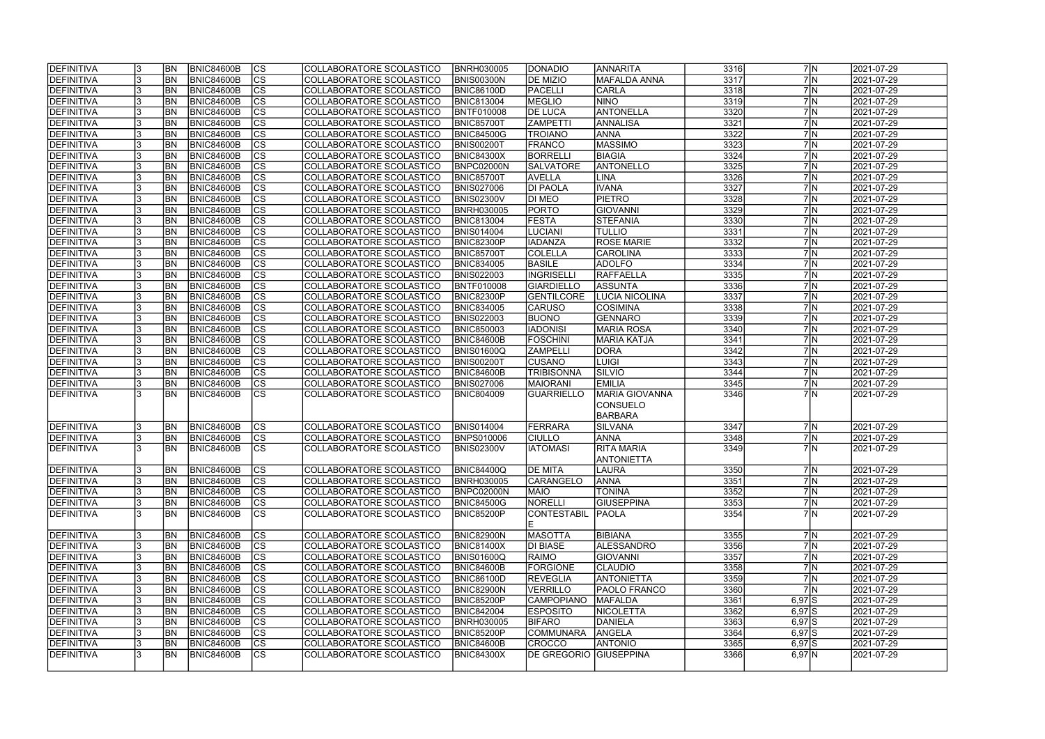| <b>DEFINITIVA</b> |   | <b>BN</b> | BNIC84600B        | <sub>Ics</sub>         | COLLABORATORE SCOLASTICO | <b>BNRH030005</b> | <b>DONADIO</b>          | <b>ANNARITA</b>       | 3316 |            | 7 N | 2021-07-29 |
|-------------------|---|-----------|-------------------|------------------------|--------------------------|-------------------|-------------------------|-----------------------|------|------------|-----|------------|
| DEFINITIVA        |   | <b>BN</b> | <b>BNIC84600B</b> | $\overline{c}$         | COLLABORATORE SCOLASTICO | BNIS00300N        | <b>DE MIZIO</b>         | <b>MAFALDA ANNA</b>   | 3317 |            | 7N  | 2021-07-29 |
| DEFINITIVA        |   | <b>BN</b> | <b>BNIC84600B</b> | $\overline{c}$         | COLLABORATORE SCOLASTICO | <b>BNIC86100D</b> | PACELLI                 | <b>CARLA</b>          | 3318 |            | 7 N | 2021-07-29 |
| DEFINITIVA        |   | BN        | <b>BNIC84600B</b> | $\overline{\text{cs}}$ | COLLABORATORE SCOLASTICO | <b>BNIC813004</b> | <b>MEGLIO</b>           | <b>NINO</b>           | 3319 |            | 7N  | 2021-07-29 |
| DEFINITIVA        |   | <b>BN</b> | <b>BNIC84600B</b> | cs                     | COLLABORATORE SCOLASTICO | <b>BNTF010008</b> | <b>DE LUCA</b>          | ANTONELLA             | 3320 |            | 7N  | 2021-07-29 |
| DEFINITIVA        |   | <b>BN</b> | <b>BNIC84600B</b> | cs                     | COLLABORATORE SCOLASTICO | <b>BNIC85700T</b> | <b>ZAMPETTI</b>         | <b>ANNALISA</b>       | 3321 |            | 7 N | 2021-07-29 |
| DEFINITIVA        |   | <b>BN</b> | <b>BNIC84600B</b> | $\overline{\text{CS}}$ | COLLABORATORE SCOLASTICO | <b>BNIC84500G</b> | <b>TROIANO</b>          | <b>ANNA</b>           | 3322 |            | 7N  | 2021-07-29 |
| DEFINITIVA        |   | <b>BN</b> | <b>BNIC84600B</b> | cs                     | COLLABORATORE SCOLASTICO | <b>BNIS00200T</b> | <b>FRANCO</b>           | MASSIMO               | 3323 |            | 7 N | 2021-07-29 |
| DEFINITIVA        |   | <b>BN</b> | <b>BNIC84600B</b> | cs                     | COLLABORATORE SCOLASTICO | <b>BNIC84300X</b> | <b>BORRELLI</b>         | <b>BIAGIA</b>         | 3324 |            | 7 N | 2021-07-29 |
| DEFINITIVA        |   | BN        | <b>BNIC84600B</b> | cs                     | COLLABORATORE SCOLASTICO | BNPC02000N        | <b>SALVATORE</b>        | ANTONELLO             | 3325 |            | 7N  | 2021-07-29 |
| DEFINITIVA        |   | <b>BN</b> | <b>BNIC84600B</b> | cs                     | COLLABORATORE SCOLASTICO | <b>BNIC85700T</b> | <b>AVELLA</b>           | <b>LINA</b>           | 3326 |            | 7 N | 2021-07-29 |
| DEFINITIVA        |   | <b>BN</b> | <b>BNIC84600B</b> | cs                     | COLLABORATORE SCOLASTICO | <b>BNIS027006</b> | <b>DI PAOLA</b>         | <b>IVANA</b>          | 3327 |            | 7 N | 2021-07-29 |
| DEFINITIVA        |   | <b>BN</b> | <b>BNIC84600B</b> | cs                     | COLLABORATORE SCOLASTICO | <b>BNIS02300V</b> | <b>DI MEO</b>           | PIETRO                | 3328 |            | 7N  | 2021-07-29 |
| DEFINITIVA        |   | <b>BN</b> | <b>BNIC84600B</b> | cs                     | COLLABORATORE SCOLASTICO | <b>BNRH030005</b> | PORTO                   | <b>GIOVANNI</b>       | 3329 |            | 7N  | 2021-07-29 |
| DEFINITIVA        |   | <b>BN</b> | <b>BNIC84600B</b> | $\overline{\text{cs}}$ | COLLABORATORE SCOLASTICO | <b>BNIC813004</b> | <b>FESTA</b>            | <b>STEFANIA</b>       | 3330 |            | 7N  | 2021-07-29 |
| DEFINITIVA        |   | <b>BN</b> | <b>BNIC84600B</b> | cs                     | COLLABORATORE SCOLASTICO | <b>BNIS014004</b> | <b>LUCIANI</b>          | <b>TULLIO</b>         | 3331 |            | 7 N | 2021-07-29 |
| DEFINITIVA        |   | <b>BN</b> | <b>BNIC84600B</b> | cs                     | COLLABORATORE SCOLASTICO | BNIC82300P        | <b>IADANZA</b>          | <b>ROSE MARIE</b>     | 3332 |            | 7N  | 2021-07-29 |
| DEFINITIVA        |   | <b>BN</b> | <b>BNIC84600B</b> | cs                     | COLLABORATORE SCOLASTICO | <b>BNIC85700T</b> | COLELLA                 | CAROLINA              | 3333 |            | 7N  | 2021-07-29 |
| DEFINITIVA        |   | BN        | <b>BNIC84600B</b> | cs                     | COLLABORATORE SCOLASTICO | <b>BNIC834005</b> | <b>BASILE</b>           | <b>ADOLFO</b>         | 3334 |            | 7 N | 2021-07-29 |
| <b>DEFINITIVA</b> |   | BN        | <b>BNIC84600B</b> | cs                     | COLLABORATORE SCOLASTICO | <b>BNIS022003</b> | <b>INGRISELLI</b>       | RAFFAELLA             | 3335 |            | 7 N | 2021-07-29 |
| DEFINITIVA        |   | <b>BN</b> | <b>BNIC84600B</b> | cs                     | COLLABORATORE SCOLASTICO | BNTF010008        | GIARDIELLO              | <b>ASSUNTA</b>        | 3336 |            | 7N  | 2021-07-29 |
| DEFINITIVA        |   | BN        | <b>BNIC84600B</b> | <b>CS</b>              | COLLABORATORE SCOLASTICO | BNIC82300P        | <b>GENTILCORE</b>       | LUCIA NICOLINA        | 3337 |            | 7 N | 2021-07-29 |
| DEFINITIVA        |   | <b>BN</b> | <b>BNIC84600B</b> | CS                     | COLLABORATORE SCOLASTICO | <b>BNIC834005</b> | <b>CARUSO</b>           | <b>COSIMINA</b>       | 3338 |            | 7 N | 2021-07-29 |
| DEFINITIVA        |   | <b>BN</b> | <b>BNIC84600B</b> | <b>CS</b>              | COLLABORATORE SCOLASTICO | <b>BNIS022003</b> | <b>BUONO</b>            | GENNARO               | 3339 |            | 7N  | 2021-07-29 |
| DEFINITIVA        |   | <b>BN</b> | <b>BNIC84600B</b> | cs                     | COLLABORATORE SCOLASTICO | <b>BNIC850003</b> | <b>IADONISI</b>         | MARIA ROSA            | 3340 |            | 7N  | 2021-07-29 |
| DEFINITIVA        |   | <b>BN</b> | <b>BNIC84600B</b> | CS                     | COLLABORATORE SCOLASTICO | BNIC84600B        | <b>FOSCHINI</b>         | MARIA KATJA           | 3341 |            | 7N  | 2021-07-29 |
| DEFINITIVA        |   | <b>BN</b> | <b>BNIC84600B</b> | cs                     | COLLABORATORE SCOLASTICO | BNIS01600Q        | <b>ZAMPELLI</b>         | <b>DORA</b>           | 3342 |            | 7 N | 2021-07-29 |
| DEFINITIVA        |   | <b>BN</b> | <b>BNIC84600B</b> | $ {\rm cs} $           | COLLABORATORE SCOLASTICO | <b>BNIS00200T</b> | <b>CUSANO</b>           | <b>LUIGI</b>          | 3343 |            | 7 N | 2021-07-29 |
| DEFINITIVA        |   | <b>BN</b> | <b>BNIC84600B</b> | cs                     | COLLABORATORE SCOLASTICO | BNIC84600B        | <b>TRIBISONNA</b>       | SILVIO                | 3344 |            | 7N  | 2021-07-29 |
| DEFINITIVA        |   | <b>BN</b> | <b>BNIC84600B</b> | $ {\rm cs} $           | COLLABORATORE SCOLASTICO | <b>BNIS027006</b> | <b>MAIORANI</b>         | <b>EMILIA</b>         | 3345 |            | 7N  | 2021-07-29 |
| DEFINITIVA        |   | <b>BN</b> | <b>BNIC84600B</b> | $\overline{\text{cs}}$ | COLLABORATORE SCOLASTICO | <b>BNIC804009</b> | GUARRIELLO              | <b>MARIA GIOVANNA</b> | 3346 |            | 7M  | 2021-07-29 |
|                   |   |           |                   |                        |                          |                   |                         | <b>CONSUELO</b>       |      |            |     |            |
|                   |   |           |                   |                        |                          |                   |                         | <b>BARBARA</b>        |      |            |     |            |
| DEFINITIVA        |   | <b>BN</b> | <b>BNIC84600B</b> | CS                     | COLLABORATORE SCOLASTICO | <b>BNIS014004</b> | FERRARA                 | SILVANA               | 3347 |            | 7 N | 2021-07-29 |
| <b>DEFINITIVA</b> |   | <b>BN</b> | <b>BNIC84600B</b> | $\overline{c}$         | COLLABORATORE SCOLASTICO | <b>BNPS010006</b> | <b>CIULLO</b>           | ANNA                  | 3348 |            | 7N  | 2021-07-29 |
| DEFINITIVA        |   | <b>BN</b> | <b>BNIC84600B</b> | $\overline{\text{cs}}$ | COLLABORATORE SCOLASTICO | <b>BNIS02300V</b> | <b>IATOMASI</b>         | <b>RITA MARIA</b>     | 3349 |            | 7N  | 2021-07-29 |
|                   |   |           |                   |                        |                          |                   |                         | <b>ANTONIETTA</b>     |      |            |     |            |
| DEFINITIVA        |   | <b>BN</b> | BNIC84600B        | <sub>Ics</sub>         | COLLABORATORE SCOLASTICO | <b>BNIC84400Q</b> | <b>IDE MITA</b>         | <b>LAURA</b>          | 3350 |            | 7 N | 2021-07-29 |
| DEFINITIVA        |   | BN        | <b>BNIC84600B</b> | cs                     | COLLABORATORE SCOLASTICO | <b>BNRH030005</b> | <b>CARANGELO</b>        | <b>ANNA</b>           | 3351 |            | 7 N | 2021-07-29 |
| DEFINITIVA        |   | <b>BN</b> | <b>BNIC84600B</b> | <b>CS</b>              | COLLABORATORE SCOLASTICO | BNPC02000N        | <b>MAIO</b>             | <b>TONINA</b>         | 3352 |            | 7 N | 2021-07-29 |
| DEFINITIVA        | 3 | <b>BN</b> | <b>BNIC84600B</b> | CS                     | COLLABORATORE SCOLASTICO | <b>BNIC84500G</b> | NORELLI                 | <b>GIUSEPPINA</b>     | 3353 |            | 7 N | 2021-07-29 |
| DEFINITIVA        |   | <b>BN</b> | BNIC84600B        | lcs                    | COLLABORATORE SCOLASTICO | <b>BNIC85200P</b> | CONTESTABIL             | <b>PAOLA</b>          | 3354 |            | 7M  | 2021-07-29 |
|                   |   |           |                   |                        |                          |                   | IE.                     |                       |      |            |     |            |
| DEFINITIVA        |   | <b>BN</b> | <b>BNIC84600B</b> | CS                     | COLLABORATORE SCOLASTICO | <b>BNIC82900N</b> | <b>MASOTTA</b>          | <b>BIBIANA</b>        | 3355 |            | 7 N | 2021-07-29 |
| DEFINITIVA        |   | <b>BN</b> | BNIC84600B        | cs                     | COLLABORATORE SCOLASTICO | <b>BNIC81400X</b> | <b>DI BIASE</b>         | ALESSANDRO            | 3356 |            | 7 N | 2021-07-29 |
| DEFINITIVA        |   | <b>BN</b> | <b>BNIC84600B</b> | cs                     | COLLABORATORE SCOLASTICO | <b>BNIS01600Q</b> | RAIMO                   | GIOVANNI              | 3357 |            | 7 N | 2021-07-29 |
| DEFINITIVA        |   | <b>BN</b> | <b>BNIC84600B</b> | cs                     | COLLABORATORE SCOLASTICO | <b>BNIC84600B</b> | FORGIONE                | <b>CLAUDIO</b>        | 3358 |            | 7 N | 2021-07-29 |
| DEFINITIVA        |   | <b>BN</b> | <b>BNIC84600B</b> | cs                     | COLLABORATORE SCOLASTICO | <b>BNIC86100D</b> | <b>REVEGLIA</b>         | <b>ANTONIETTA</b>     | 3359 |            | 7N  | 2021-07-29 |
| DEFINITIVA        |   | <b>BN</b> | <b>BNIC84600B</b> | <b>CS</b>              | COLLABORATORE SCOLASTICO | <b>BNIC82900N</b> | VERRILLO                | PAOLO FRANCO          | 3360 |            | 7 N | 2021-07-29 |
| DEFINITIVA        |   | <b>BN</b> | <b>BNIC84600B</b> | $\overline{\text{cs}}$ | COLLABORATORE SCOLASTICO | <b>BNIC85200P</b> | <b>CAMPOPIANO</b>       | MAFALDA               | 3361 | $6,97$ $S$ |     | 2021-07-29 |
| DEFINITIVA        |   | <b>BN</b> | <b>BNIC84600B</b> | $\overline{\text{CS}}$ | COLLABORATORE SCOLASTICO | <b>BNIC842004</b> | <b>ESPOSITO</b>         | <b>NICOLETTA</b>      | 3362 | $6,97$ $S$ |     | 2021-07-29 |
| DEFINITIVA        |   | BN        | <b>BNIC84600B</b> | $\overline{\text{cs}}$ | COLLABORATORE SCOLASTICO | <b>BNRH030005</b> | <b>BIFARO</b>           | DANIELA               | 3363 | $6,97$ $S$ |     | 2021-07-29 |
| DEFINITIVA        |   | <b>BN</b> | <b>BNIC84600B</b> | <b>CS</b>              | COLLABORATORE SCOLASTICO | <b>BNIC85200P</b> | COMMUNARA               | ANGELA                | 3364 | $6,97$ $S$ |     | 2021-07-29 |
| DEFINITIVA        |   | BN        | <b>BNIC84600B</b> | CS                     | COLLABORATORE SCOLASTICO | BNIC84600B        | <b>CROCCO</b>           | <b>ANTONIO</b>        | 3365 | $6,97$ $S$ |     | 2021-07-29 |
| DEFINITIVA        |   | <b>BN</b> | <b>BNIC84600B</b> | $\overline{\text{CS}}$ | COLLABORATORE SCOLASTICO | <b>BNIC84300X</b> | DE GREGORIO  GIUSEPPINA |                       | 3366 | $6,97$ N   |     | 2021-07-29 |
|                   |   |           |                   |                        |                          |                   |                         |                       |      |            |     |            |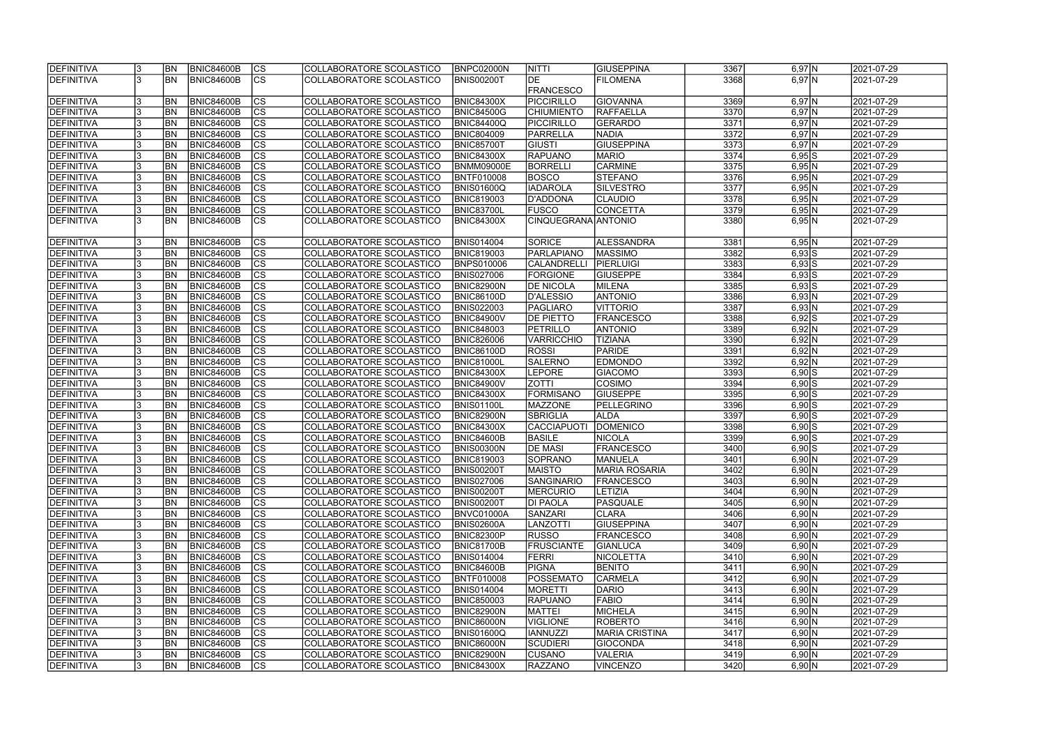| <b>DEFINITIVA</b> | <b>BN</b>      | <b>BNIC84600B</b> | CS                       | COLLABORATORE SCOLASTICO  | <b>BNPC02000N</b> | <b>NITTI</b>        | GIUSEPPINA            | 3367 | $6,97$ N   | 2021-07-29          |
|-------------------|----------------|-------------------|--------------------------|---------------------------|-------------------|---------------------|-----------------------|------|------------|---------------------|
| <b>DEFINITIVA</b> | <b>BN</b>      | <b>BNIC84600B</b> | $ \overline{\text{CS}} $ | COLLABORATORE SCOLASTICO  | <b>BNIS00200T</b> | <b>DE</b>           | <b>FILOMENA</b>       | 3368 | $6,97$ N   | 2021-07-29          |
|                   |                |                   |                          |                           |                   | <b>FRANCESCO</b>    |                       |      |            |                     |
| DEFINITIVA        | BN <sub></sub> | <b>BNIC84600B</b> | <b>CS</b>                | COLLABORATORE SCOLASTICO  | <b>BNIC84300X</b> | <b>PICCIRILLO</b>   | <b>GIOVANNA</b>       | 3369 | $6,97$ N   | 2021-07-29          |
| <b>DEFINITIVA</b> | <b>BN</b>      | <b>BNIC84600B</b> | cs                       | COLLABORATORE SCOLASTICO  | <b>BNIC84500G</b> | <b>CHIUMIENTO</b>   | RAFFAELLA             | 3370 | $6,97$ N   | 2021-07-29          |
| DEFINITIVA        | <b>BN</b>      | <b>BNIC84600B</b> | cs                       | COLLABORATORE SCOLASTICO  | <b>BNIC84400Q</b> | PICCIRILLO          | GERARDO               | 3371 | $6,97$ N   | 2021-07-29          |
| <b>DEFINITIVA</b> | <b>BN</b>      | <b>BNIC84600B</b> | $\overline{\text{CS}}$   | COLLABORATORE SCOLASTICO  | <b>BNIC804009</b> | PARRELLA            | <b>NADIA</b>          | 3372 | $6,97$ N   | 2021-07-29          |
| DEFINITIVA        | <b>BN</b>      | <b>BNIC84600B</b> | cs                       | COLLABORATORE SCOLASTICO  | <b>BNIC85700T</b> | GIUSTI              | <b>GIUSEPPINA</b>     | 3373 | $6,97$ N   | 2021-07-29          |
| <b>DEFINITIVA</b> | <b>BN</b>      | <b>BNIC84600B</b> | $ \overline{\text{cs}} $ | COLLABORATORE SCOLASTICO  | <b>BNIC84300X</b> | <b>RAPUANO</b>      | <b>MARIO</b>          | 3374 | $6,95$ $S$ | 2021-07-29          |
| <b>DEFINITIVA</b> | <b>BN</b>      | <b>BNIC84600B</b> | cs                       | COLLABORATORE SCOLASTICO  | <b>BNMM09000E</b> | <b>BORRELLI</b>     | <b>CARMINE</b>        | 3375 | 6,95 N     | 2021-07-29          |
| DEFINITIVA        | <b>BN</b>      | <b>BNIC84600B</b> | $ \overline{\text{CS}} $ | COLLABORATORE SCOLASTICO  | BNTF010008        | <b>BOSCO</b>        | STEFANO               | 3376 | 6,95 N     | 2021-07-29          |
| DEFINITIVA        | BN <sub></sub> | <b>BNIC84600B</b> | $\overline{\text{cs}}$   | COLLABORATORE SCOLASTICO  | <b>BNIS01600Q</b> | <b>IADAROLA</b>     | SILVESTRO             | 3377 | $6,95$ N   | 2021-07-29          |
| DEFINITIVA        | <b>BN</b>      | <b>BNIC84600B</b> | $ \overline{\text{CS}} $ | COLLABORATORE SCOLASTICO  | <b>BNIC819003</b> | D'ADDONA            | CLAUDIO               | 3378 | 6,95 N     | 2021-07-29          |
| <b>DEFINITIVA</b> | BN <sub></sub> | <b>BNIC84600B</b> | $ \overline{\text{CS}} $ | COLLABORATORE SCOLASTICO  | <b>BNIC83700L</b> | <b>FUSCO</b>        | <b>CONCETTA</b>       | 3379 | $6,95$ N   | 2021-07-29          |
| DEFINITIVA        | <b>BN</b>      | <b>BNIC84600B</b> | $\overline{\text{cs}}$   | COLLABORATORE SCOLASTICO  | <b>BNIC84300X</b> | CINQUEGRANA ANTONIO |                       | 3380 | 6,95 N     | 2021-07-29          |
|                   |                |                   |                          |                           |                   |                     |                       |      |            |                     |
| DEFINITIVA        | <b>BN</b>      | <b>BNIC84600B</b> | CS                       | COLLABORATORE SCOLASTICO  | <b>BNIS014004</b> | <b>SORICE</b>       | ALESSANDRA            | 3381 | $6,95$ N   | 2021-07-29          |
| DEFINITIVA        | <b>BN</b>      | <b>BNIC84600B</b> | $ \overline{\text{CS}} $ | COLLABORATORE SCOLASTICO  | <b>BNIC819003</b> | <b>PARLAPIANO</b>   | <b>MASSIMO</b>        | 3382 | $6,93$ S   | 2021-07-29          |
| DEFINITIVA        | BN <sub></sub> | <b>BNIC84600B</b> | $ \overline{\text{CS}} $ | COLLABORATORE SCOLASTICO  | BNPS010006        | <b>CALANDRELLI</b>  | PIERLUIGI             | 3383 | $6,93$ S   | 2021-07-29          |
| <b>DEFINITIVA</b> | <b>BN</b>      | <b>BNIC84600B</b> | $ \mathsf{CS} $          | COLLABORATORE SCOLASTICO  | <b>BNIS027006</b> | <b>FORGIONE</b>     | <b>GIUSEPPE</b>       | 3384 | $6,93$ S   | 2021-07-29          |
| DEFINITIVA        | <b>BN</b>      | <b>BNIC84600B</b> | $ \mathsf{CS} $          | COLLABORATORE SCOLASTICO  | <b>BNIC82900N</b> | <b>DE NICOLA</b>    | <b>MILENA</b>         | 3385 | $6,93$ S   | 2021-07-29          |
| DEFINITIVA        | <b>BN</b>      | <b>BNIC84600B</b> | CS                       | COLLABORATORE SCOLASTICO  | <b>BNIC86100D</b> | D'ALESSIO           | <b>ANTONIO</b>        | 3386 | 6,93 N     | 2021-07-29          |
| DEFINITIVA        | <b>BN</b>      | <b>BNIC84600B</b> | $\overline{\text{CS}}$   | COLLABORATORE SCOLASTICO  | <b>BNIS022003</b> | <b>PAGLIARO</b>     | <b>VITTORIO</b>       | 3387 | 6,93 N     | 2021-07-29          |
| DEFINITIVA        | <b>BN</b>      | <b>BNIC84600B</b> | cs                       | COLLABORATORE SCOLASTICO  | <b>BNIC84900V</b> | <b>DE PIETTO</b>    | <b>FRANCESCO</b>      | 3388 | $6,92$ S   | 2021-07-29          |
| <b>DEFINITIVA</b> | <b>BN</b>      | <b>BNIC84600B</b> | CS                       | COLLABORATORE SCOLASTICO  | <b>BNIC848003</b> | PETRILLO            | <b>ANTONIO</b>        | 3389 | 6,92 N     | 2021-07-29          |
| DEFINITIVA        | <b>BN</b>      | <b>BNIC84600B</b> | cs                       | COLLABORATORE SCOLASTICO  | <b>BNIC826006</b> | <b>VARRICCHIO</b>   | <b>TIZIANA</b>        | 3390 | 6,92 N     | 2021-07-29          |
| DEFINITIVA        | BN <sub></sub> | <b>BNIC84600B</b> | cs                       | COLLABORATORE SCOLASTICO  | <b>BNIC86100D</b> | <b>ROSSI</b>        | <b>PARIDE</b>         | 3391 | 6,92 N     | 2021-07-29          |
| DEFINITIVA        | BN <sub></sub> | <b>BNIC84600B</b> | cs                       | COLLABORATORE SCOLASTICO  | <b>BNIC81000L</b> | <b>SALERNO</b>      | <b>EDMONDO</b>        | 3392 | 6,92 N     | 2021-07-29          |
| <b>DEFINITIVA</b> | BN <sub></sub> | <b>BNIC84600B</b> | cs                       | COLLABORATORE SCOLASTICO  | <b>BNIC84300X</b> | <b>LEPORE</b>       | <b>GIACOMO</b>        | 3393 | $6,90$ S   | 2021-07-29          |
| DEFINITIVA        | <b>BN</b>      | <b>BNIC84600B</b> | cs                       | COLLABORATORE SCOLASTICO  | <b>BNIC84900V</b> | <b>ZOTTI</b>        | <b>COSIMO</b>         | 3394 | $6,90$ S   | 2021-07-29          |
| DEFINITIVA        | BN <sub></sub> | <b>BNIC84600B</b> | $ \overline{\text{CS}} $ | COLLABORATORE SCOLASTICO  | <b>BNIC84300X</b> | <b>FORMISANO</b>    | <b>GIUSEPPE</b>       | 3395 | $6,90$ S   | 2021-07-29          |
| <b>DEFINITIVA</b> | <b>BN</b>      | <b>BNIC84600B</b> | $\overline{\text{cs}}$   | COLLABORATORE SCOLASTICO  | <b>BNIS01100L</b> | <b>MAZZONE</b>      | PELLEGRINO            | 3396 | $6,90$ S   | 2021-07-29          |
| DEFINITIVA        | <b>BN</b>      | <b>BNIC84600B</b> | cs                       | COLLABORATORE SCOLASTICO  | <b>BNIC82900N</b> | <b>SBRIGLIA</b>     | <b>ALDA</b>           | 3397 | $6,90$ $S$ | 2021-07-29          |
| DEFINITIVA        | BN             | <b>BNIC84600B</b> | $ \overline{\text{cs}} $ | COLLABORATORE SCOLASTICO  | <b>BNIC84300X</b> | <b>CACCIAPUOTI</b>  | <b>DOMENICO</b>       | 3398 | $6,90$ $S$ | 2021-07-29          |
| DEFINITIVA        | <b>BN</b>      | <b>BNIC84600B</b> | cs                       | COLLABORATORE SCOLASTICO  | <b>BNIC84600B</b> | <b>BASILE</b>       | <b>NICOLA</b>         | 3399 | $6,90$ S   | 2021-07-29          |
| <b>DEFINITIVA</b> | BN <sub></sub> | <b>BNIC84600B</b> | $\overline{\text{CS}}$   | COLLABORATORE SCOLASTICO  | <b>BNIS00300N</b> | <b>DE MASI</b>      | <b>FRANCESCO</b>      | 3400 | $6,90$ S   | 2021-07-29          |
| <b>DEFINITIVA</b> | IBN -          | <b>BNIC84600B</b> | CS                       | COLLABORATORE SCOLASTICO_ | <b>BNIC819003</b> | SOPRANO             | IMANUELA              | 3401 | 6,90 N     | 2021-07-29          |
| <b>DEFINITIVA</b> | <b>BN</b>      | BNIC84600B        | <b>CS</b>                | COLLABORATORE SCOLASTICO  | <b>BNIS00200T</b> | <b>MAISTO</b>       | <b>MARIA ROSARIA</b>  | 3402 | 6,90 N     | 2021-07-29          |
| <b>DEFINITIVA</b> | <b>BN</b>      | <b>BNIC84600B</b> | CS                       | COLLABORATORE SCOLASTICO  | <b>BNIS027006</b> | <b>SANGINARIO</b>   | <b>FRANCESCO</b>      | 3403 | 6,90 N     | 2021-07-29          |
| <b>DEFINITIVA</b> | <b>BN</b>      | <b>BNIC84600B</b> | CS                       | COLLABORATORE SCOLASTICO  | <b>BNIS00200T</b> | <b>MERCURIO</b>     | <b>LETIZIA</b>        | 3404 | 6,90 N     | 2021-07-29          |
| <b>DEFINITIVA</b> | <b>BN</b>      | <b>BNIC84600B</b> | CS                       | COLLABORATORE SCOLASTICO  | <b>BNIS00200T</b> | <b>DI PAOLA</b>     | PASQUALE              | 3405 | 6,90 N     | 2021-07-29          |
| DEFINITIVA        | <b>BN</b>      | <b>BNIC84600B</b> | CS                       | COLLABORATORE SCOLASTICO  | BNVC01000A        | <b>SANZARI</b>      | <b>CLARA</b>          | 3406 | 6,90 N     | 2021-07-29          |
| <b>DEFINITIVA</b> | <b>BN</b>      | <b>BNIC84600B</b> | CS                       | COLLABORATORE SCOLASTICO  | <b>BNIS02600A</b> | <b>LANZOTTI</b>     | GIUSEPPINA            | 3407 | 6,90 N     | 2021-07-29          |
| <b>DEFINITIVA</b> | <b>BN</b>      | <b>BNIC84600B</b> | cs                       | COLLABORATORE SCOLASTICO  | <b>BNIC82300P</b> | <b>RUSSO</b>        | FRANCESCO             | 3408 | 6,90 N     | $\sqrt{2021-07-29}$ |
| <b>DEFINITIVA</b> | BN             | <b>BNIC84600B</b> | <b>CS</b>                | COLLABORATORE SCOLASTICO  | <b>BNIC81700B</b> | <b>FRUSCIANTE</b>   | <b>GIANLUCA</b>       | 3409 | 6,90 N     | 2021-07-29          |
| <b>DEFINITIVA</b> | <b>BN</b>      | <b>BNIC84600B</b> | cs                       | COLLABORATORE SCOLASTICO  | <b>BNIS014004</b> | <b>FERRI</b>        | <b>NICOLETTA</b>      | 3410 | 6,90 N     | 2021-07-29          |
| <b>DEFINITIVA</b> | <b>BN</b>      | <b>BNIC84600B</b> | CS                       | COLLABORATORE SCOLASTICO  | <b>BNIC84600B</b> | <b>PIGNA</b>        | <b>BENITO</b>         | 3411 | 6,90 N     | 2021-07-29          |
| <b>DEFINITIVA</b> | <b>BN</b>      | <b>BNIC84600B</b> | $\overline{\text{CS}}$   | COLLABORATORE SCOLASTICO  | <b>BNTF010008</b> | <b>POSSEMATO</b>    | CARMELA               | 3412 | 6,90 N     | 2021-07-29          |
| <b>DEFINITIVA</b> | <b>BN</b>      | <b>BNIC84600B</b> | cs                       | COLLABORATORE SCOLASTICO  | <b>BNIS014004</b> | <b>MORETTI</b>      | DARIO                 | 3413 | 6,90 N     | 2021-07-29          |
| <b>DEFINITIVA</b> | <b>BN</b>      | <b>BNIC84600B</b> | <b>CS</b>                | COLLABORATORE SCOLASTICO  | <b>BNIC850003</b> | <b>RAPUANO</b>      | <b>FABIO</b>          | 3414 | 6,90 N     | 2021-07-29          |
| <b>DEFINITIVA</b> | <b>BN</b>      | <b>BNIC84600B</b> | cs                       | COLLABORATORE SCOLASTICO  | <b>BNIC82900N</b> | <b>MATTEI</b>       | MICHELA               | 3415 | 6,90 N     | 2021-07-29          |
| <b>DEFINITIVA</b> | BN <sub></sub> | <b>BNIC84600B</b> | CS                       | COLLABORATORE SCOLASTICO  | <b>BNIC86000N</b> | <b>VIGLIONE</b>     | <b>ROBERTO</b>        | 3416 | 6,90 N     | 2021-07-29          |
| <b>DEFINITIVA</b> | BN <sub></sub> | <b>BNIC84600B</b> | cs                       | COLLABORATORE SCOLASTICO  | <b>BNIS01600Q</b> | <b>IANNUZZI</b>     | <b>MARIA CRISTINA</b> | 3417 | 6,90 N     | 2021-07-29          |
| <b>DEFINITIVA</b> | <b>BN</b>      | <b>BNIC84600B</b> | CS                       | COLLABORATORE SCOLASTICO  | <b>BNIC86000N</b> | <b>SCUDIERI</b>     | <b>GIOCONDA</b>       | 3418 | 6,90 N     | 2021-07-29          |
| <b>DEFINITIVA</b> | <b>BN</b>      | <b>BNIC84600B</b> | CS                       | COLLABORATORE SCOLASTICO  | <b>BNIC82900N</b> | <b>CUSANO</b>       | VALERIA               | 3419 | 6,90 N     | 2021-07-29          |
| DEFINITIVA        | BN <sub></sub> | <b>BNIC84600B</b> | <b>CS</b>                | COLLABORATORE SCOLASTICO  | <b>BNIC84300X</b> | <b>RAZZANO</b>      | <b>VINCENZO</b>       | 3420 | 6,90 N     | 2021-07-29          |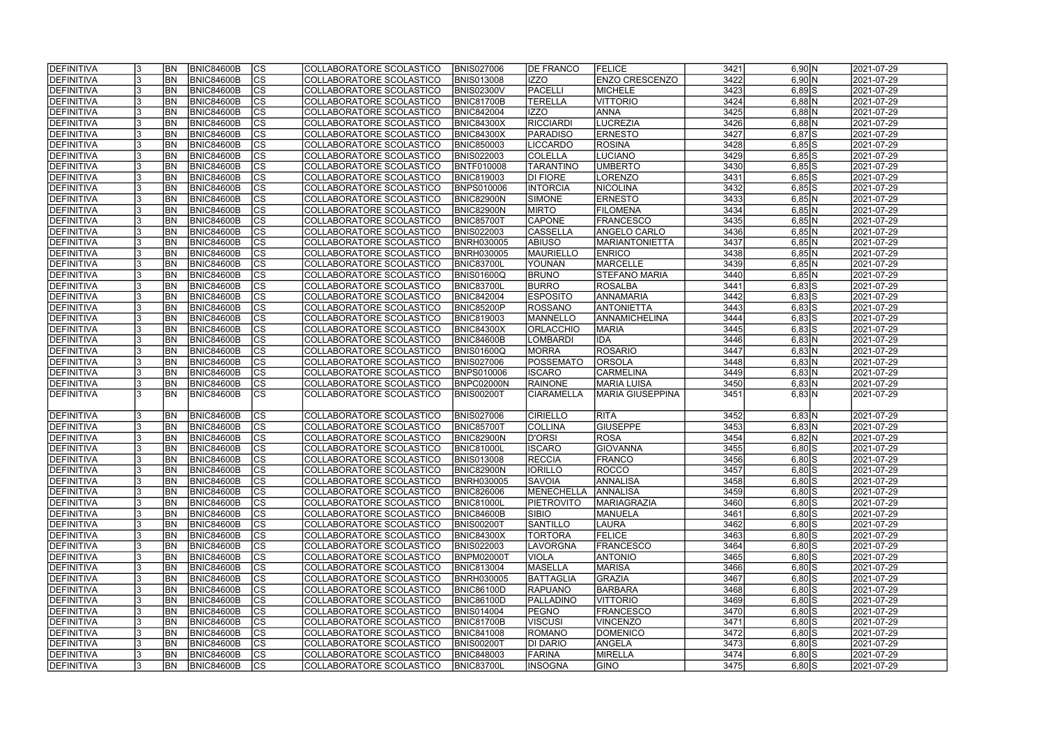| <b>IDEFINITIVA</b> | <b>BN</b> | <b>BNIC84600B</b> | <b>CS</b>                | COLLABORATORE SCOLASTICO | <b>BNIS027006</b> | <b>DE FRANCO</b>  | <b>FELICE</b>           | 3421 | 6,90 N     | 2021-07-29 |
|--------------------|-----------|-------------------|--------------------------|--------------------------|-------------------|-------------------|-------------------------|------|------------|------------|
| DEFINITIVA         | <b>BN</b> | <b>BNIC84600B</b> | cs                       | COLLABORATORE SCOLASTICO | <b>BNIS013008</b> | IZZO              | <b>ENZO CRESCENZO</b>   | 3422 | 6,90 N     | 2021-07-29 |
| <b>DEFINITIVA</b>  | <b>BN</b> | <b>BNIC84600B</b> | cs                       | COLLABORATORE SCOLASTICO | <b>BNIS02300V</b> | PACELLI           | <b>MICHELE</b>          | 3423 | $6,89$ $S$ | 2021-07-29 |
| DEFINITIVA         | BN        | <b>BNIC84600B</b> | $\overline{\text{CS}}$   | COLLABORATORE SCOLASTICO | <b>BNIC81700B</b> | <b>TERELLA</b>    | <b>VITTORIO</b>         | 3424 | $6,88$ N   | 2021-07-29 |
| <b>DEFINITIVA</b>  | <b>BN</b> | <b>BNIC84600B</b> | $\overline{\text{cs}}$   | COLLABORATORE SCOLASTICO | <b>BNIC842004</b> | <b>IZZO</b>       | <b>ANNA</b>             | 3425 | $6,88$ N   | 2021-07-29 |
| <b>DEFINITIVA</b>  | <b>BN</b> | <b>BNIC84600B</b> | $\overline{\text{CS}}$   | COLLABORATORE SCOLASTICO | <b>BNIC84300X</b> | RICCIARDI         | <b>LUCREZIA</b>         | 3426 | $6,88$ N   | 2021-07-29 |
| <b>DEFINITIVA</b>  | <b>BN</b> | <b>BNIC84600B</b> | $\overline{\text{CS}}$   | COLLABORATORE SCOLASTICO | <b>BNIC84300X</b> | PARADISO          | <b>ERNESTO</b>          | 3427 | $6,87$ $S$ | 2021-07-29 |
| <b>DEFINITIVA</b>  | <b>BN</b> | <b>BNIC84600B</b> | $\overline{\text{CS}}$   | COLLABORATORE SCOLASTICO | <b>BNIC850003</b> | LICCARDO          | <b>ROSINA</b>           | 3428 | $6,85$ S   | 2021-07-29 |
| DEFINITIVA         | <b>BN</b> | <b>BNIC84600B</b> | $\overline{\text{CS}}$   | COLLABORATORE SCOLASTICO | <b>BNIS022003</b> | COLELLA           | LUCIANO                 | 3429 | $6,85$ S   | 2021-07-29 |
| <b>DEFINITIVA</b>  | BN        | <b>BNIC84600B</b> | cs                       | COLLABORATORE SCOLASTICO | <b>BNTF010008</b> | <b>TARANTINO</b>  | <b>UMBERTO</b>          | 3430 | $6,85$ S   | 2021-07-29 |
| DEFINITIVA         | <b>BN</b> | <b>BNIC84600B</b> | $\overline{\text{CS}}$   | COLLABORATORE SCOLASTICO | <b>BNIC819003</b> | <b>DI FIORE</b>   | <b>LORENZO</b>          | 3431 | $6,85$ $S$ | 2021-07-29 |
| DEFINITIVA         | <b>BN</b> | <b>BNIC84600B</b> | cs                       | COLLABORATORE SCOLASTICO | <b>BNPS010006</b> | <b>INTORCIA</b>   | <b>NICOLINA</b>         | 3432 | $6,85$ S   | 2021-07-29 |
| <b>DEFINITIVA</b>  | <b>BN</b> | <b>BNIC84600B</b> | cs                       | COLLABORATORE SCOLASTICO | BNIC82900N        | SIMONE            | <b>ERNESTO</b>          | 3433 | $6,85$ N   | 2021-07-29 |
| <b>DEFINITIVA</b>  | <b>BN</b> | <b>BNIC84600B</b> | $\overline{\text{CS}}$   | COLLABORATORE SCOLASTICO | <b>BNIC82900N</b> | <b>MIRTO</b>      | <b>FILOMENA</b>         | 3434 | $6,85$ N   | 2021-07-29 |
| <b>DEFINITIVA</b>  | <b>BN</b> | <b>BNIC84600B</b> | CS                       | COLLABORATORE SCOLASTICO | <b>BNIC85700T</b> | <b>CAPONE</b>     | <b>FRANCESCO</b>        | 3435 | $6,85$ N   | 2021-07-29 |
| <b>DEFINITIVA</b>  | <b>BN</b> | <b>BNIC84600B</b> | CS                       | COLLABORATORE SCOLASTICO | <b>BNIS022003</b> | CASSELLA          | <b>ANGELO CARLO</b>     | 3436 | $6,85$ N   | 2021-07-29 |
| <b>DEFINITIVA</b>  | <b>BN</b> | <b>BNIC84600B</b> | $\overline{\text{CS}}$   | COLLABORATORE SCOLASTICO | <b>BNRH030005</b> | <b>ABIUSO</b>     | <b>MARIANTONIETTA</b>   | 3437 | $6,85$ N   | 2021-07-29 |
| <b>DEFINITIVA</b>  | <b>BN</b> | <b>BNIC84600B</b> | CS                       | COLLABORATORE SCOLASTICO | <b>BNRH030005</b> | <b>MAURIELLO</b>  | <b>ENRICO</b>           | 3438 | $6,85$ N   | 2021-07-29 |
| DEFINITIVA         | BN        | <b>BNIC84600B</b> | $\overline{\text{CS}}$   | COLLABORATORE SCOLASTICO | <b>BNIC83700L</b> | YOUNAN            | <b>MARCELLE</b>         | 3439 | $6,85$ N   | 2021-07-29 |
| <b>DEFINITIVA</b>  | <b>BN</b> | <b>BNIC84600B</b> | $\overline{\text{CS}}$   | COLLABORATORE SCOLASTICO | BNIS01600Q        | <b>BRUNO</b>      | STEFANO MARIA           | 3440 | $6,85$ N   | 2021-07-29 |
| <b>DEFINITIVA</b>  | BN        | <b>BNIC84600B</b> | CS                       | COLLABORATORE SCOLASTICO | <b>BNIC83700L</b> | <b>BURRO</b>      | <b>ROSALBA</b>          | 3441 | $6,83$ S   | 2021-07-29 |
| DEFINITIVA         | <b>BN</b> | <b>BNIC84600B</b> | <b>CS</b>                | COLLABORATORE SCOLASTICO | <b>BNIC842004</b> | <b>ESPOSITO</b>   | <b>ANNAMARIA</b>        | 3442 | $6,83$ S   | 2021-07-29 |
| <b>DEFINITIVA</b>  | <b>BN</b> | <b>BNIC84600B</b> | <b>CS</b>                | COLLABORATORE SCOLASTICO | BNIC85200P        | ROSSANO           | <b>ANTONIETTA</b>       | 3443 | $6,83$ S   | 2021-07-29 |
| DEFINITIVA         | <b>BN</b> | <b>BNIC84600B</b> | <b>CS</b>                | COLLABORATORE SCOLASTICO | <b>BNIC819003</b> | <b>MANNELLO</b>   | ANNAMICHELINA           | 3444 | $6,83$ S   | 2021-07-29 |
| DEFINITIVA         | <b>BN</b> | <b>BNIC84600B</b> | <b>CS</b>                | COLLABORATORE SCOLASTICO | <b>BNIC84300X</b> | <b>ORLACCHIO</b>  | <b>MARIA</b>            | 3445 | $6,83$ $S$ | 2021-07-29 |
| <b>DEFINITIVA</b>  | <b>BN</b> | <b>BNIC84600B</b> | <b>CS</b>                | COLLABORATORE SCOLASTICO | BNIC84600B        | LOMBARDI          | <b>IDA</b>              | 3446 | 6,83 N     | 2021-07-29 |
| DEFINITIVA         | <b>BN</b> | <b>BNIC84600B</b> | cs                       | COLLABORATORE SCOLASTICO | BNIS01600Q        | <b>MORRA</b>      | <b>ROSARIO</b>          | 3447 | 6,83 N     | 2021-07-29 |
| <b>DEFINITIVA</b>  | <b>BN</b> | <b>BNIC84600B</b> | <b>CS</b>                | COLLABORATORE SCOLASTICO | <b>BNIS027006</b> | POSSEMATO         | <b>ORSOLA</b>           | 3448 | 6,83 N     | 2021-07-29 |
| DEFINITIVA         | <b>BN</b> | <b>BNIC84600B</b> | $ \overline{\text{cs}} $ | COLLABORATORE SCOLASTICO | <b>BNPS010006</b> | <b>ISCARO</b>     | <b>CARMELINA</b>        | 3449 | $6,83$ N   | 2021-07-29 |
| DEFINITIVA         | <b>BN</b> | <b>BNIC84600B</b> | lcs                      | COLLABORATORE SCOLASTICO | BNPC02000N        | RAINONE           | <b>MARIA LUISA</b>      | 3450 | 6,83 N     | 2021-07-29 |
| <b>DEFINITIVA</b>  | <b>BN</b> | <b>BNIC84600B</b> | $\overline{\text{CS}}$   | COLLABORATORE SCOLASTICO | <b>BNIS00200T</b> | <b>CIARAMELLA</b> | <b>MARIA GIUSEPPINA</b> | 3451 | 6,83 N     | 2021-07-29 |
|                    |           |                   |                          |                          |                   |                   |                         |      |            |            |
| <b>DEFINITIVA</b>  | <b>BN</b> | <b>BNIC84600B</b> | <b>CS</b>                | COLLABORATORE SCOLASTICO | <b>BNIS027006</b> | <b>CIRIELLO</b>   | <b>RITA</b>             | 3452 | 6,83 N     | 2021-07-29 |
| DEFINITIVA         | <b>BN</b> | <b>BNIC84600B</b> | cs                       | COLLABORATORE SCOLASTICO | <b>BNIC85700T</b> | <b>COLLINA</b>    | <b>GIUSEPPE</b>         | 3453 | 6,83 N     | 2021-07-29 |
| DEFINITIVA         | <b>BN</b> | <b>BNIC84600B</b> | $\overline{\text{cs}}$   | COLLABORATORE SCOLASTICO | BNIC82900N        | D'ORSI            | <b>ROSA</b>             | 3454 | $6,82$ N   | 2021-07-29 |
| DEFINITIVA         | <b>BN</b> | <b>BNIC84600B</b> | $\overline{\text{CS}}$   | COLLABORATORE SCOLASTICO | <b>BNIC81000L</b> | <b>ISCARO</b>     | <b>GIOVANNA</b>         | 3455 | $6,80$ S   | 2021-07-29 |
| <b>DEFINITIVA</b>  | <b>BN</b> | BNIC84600B        | CS                       | COLLABORATORE SCOLASTICO | <b>BNIS013008</b> | RECCIA            | FRANCO                  | 3456 | $6,80$ S   | 2021-07-29 |
| DEFINITIVA         | <b>BN</b> | <b>BNIC84600B</b> | lcs                      | COLLABORATORE SCOLASTICO | <b>BNIC82900N</b> | <b>IORILLO</b>    | ROCCO                   | 3457 | $6,80$ $S$ | 2021-07-29 |
| <b>DEFINITIVA</b>  | <b>BN</b> | BNIC84600B        | CS                       | COLLABORATORE SCOLASTICO | <b>BNRH030005</b> | <b>SAVOIA</b>     | <b>ANNALISA</b>         | 3458 | $6,80$ S   | 2021-07-29 |
| <b>DEFINITIVA</b>  | <b>BN</b> | <b>BNIC84600B</b> | <b>CS</b>                | COLLABORATORE SCOLASTICO | <b>BNIC826006</b> | <b>MENECHELLA</b> | <b>ANNALISA</b>         | 3459 | $6,80$ S   | 2021-07-29 |
| DEFINITIVA         | <b>BN</b> | <b>BNIC84600B</b> | <b>CS</b>                | COLLABORATORE SCOLASTICO | <b>BNIC81000L</b> | <b>PIETROVITO</b> | <b>MARIAGRAZIA</b>      | 3460 | $6,80$ $S$ | 2021-07-29 |
| <b>DEFINITIVA</b>  | <b>BN</b> | <b>BNIC84600B</b> | CS                       | COLLABORATORE SCOLASTICO | <b>BNIC84600B</b> | <b>SIBIO</b>      | MANUELA                 | 3461 | $6,80$ $S$ | 2021-07-29 |
| DEFINITIVA         | <b>BN</b> | <b>BNIC84600B</b> | CS                       | COLLABORATORE SCOLASTICO | <b>BNIS00200T</b> | <b>SANTILLO</b>   | LAURA                   | 3462 | $6,80$ $S$ | 2021-07-29 |
| DEFINITIVA         | <b>BN</b> | <b>BNIC84600B</b> | <b>CS</b>                | COLLABORATORE SCOLASTICO | <b>BNIC84300X</b> | <b>TORTORA</b>    | <b>FELICE</b>           | 3463 | $6,80$ $S$ | 2021-07-29 |
| <b>DEFINITIVA</b>  | <b>BN</b> | BNIC84600B        | cs                       | COLLABORATORE SCOLASTICO | <b>BNIS022003</b> | LAVORGNA          | <b>FRANCESCO</b>        | 3464 | $6,80$ $S$ | 2021-07-29 |
| <b>DEFINITIVA</b>  | <b>BN</b> | BNIC84600B        | CS                       | COLLABORATORE SCOLASTICO | <b>BNPM02000T</b> | <b>VIOLA</b>      | <b>ANTONIO</b>          | 3465 | $6,80$ $S$ | 2021-07-29 |
| <b>DEFINITIVA</b>  | <b>BN</b> | <b>BNIC84600B</b> | CS                       | COLLABORATORE SCOLASTICO | <b>BNIC813004</b> | <b>MASELLA</b>    | <b>MARISA</b>           | 3466 | $6,80$ S   | 2021-07-29 |
| <b>DEFINITIVA</b>  | <b>BN</b> | <b>BNIC84600B</b> | <b>CS</b>                | COLLABORATORE SCOLASTICO | <b>BNRH030005</b> | BATTAGLIA         | GRAZIA                  | 3467 | $6,80$ S   | 2021-07-29 |
| <b>DEFINITIVA</b>  | <b>BN</b> | <b>BNIC84600B</b> | $\overline{\text{CS}}$   | COLLABORATORE SCOLASTICO | <b>BNIC86100D</b> | <b>RAPUANO</b>    | <b>BARBARA</b>          | 3468 | $6,80$ $S$ | 2021-07-29 |
| <b>DEFINITIVA</b>  | <b>BN</b> | <b>BNIC84600B</b> | $\overline{\text{CS}}$   | COLLABORATORE SCOLASTICO | <b>BNIC86100D</b> | PALLADINO         | VITTORIO                | 3469 | $6,80$ $S$ | 2021-07-29 |
| <b>DEFINITIVA</b>  | <b>BN</b> | <b>BNIC84600B</b> | <b>CS</b>                | COLLABORATORE SCOLASTICO | <b>BNIS014004</b> | <b>PEGNO</b>      | <b>FRANCESCO</b>        | 3470 | $6,80$ $S$ | 2021-07-29 |
| <b>DEFINITIVA</b>  | <b>BN</b> | <b>BNIC84600B</b> | CS                       | COLLABORATORE SCOLASTICO | <b>BNIC81700B</b> | <b>VISCUSI</b>    | <b>VINCENZO</b>         | 3471 | $6,80$ $S$ | 2021-07-29 |
| <b>DEFINITIVA</b>  | IBN.      | <b>BNIC84600B</b> | CS                       | COLLABORATORE SCOLASTICO | <b>BNIC841008</b> | <b>ROMANO</b>     | <b>DOMENICO</b>         | 3472 | $6,80$  S  | 2021-07-29 |
| <b>DEFINITIVA</b>  | IBN.      | <b>BNIC84600B</b> | <b>CS</b>                | COLLABORATORE SCOLASTICO | <b>BNIS00200T</b> | DI DARIO          | ANGELA                  | 3473 | $6,80$ $S$ | 2021-07-29 |
| <b>DEFINITIVA</b>  | IBN.      | <b>BNIC84600B</b> | CS                       | COLLABORATORE SCOLASTICO | <b>BNIC848003</b> | <b>FARINA</b>     | <b>MIRELLA</b>          | 3474 | $6,80$ S   | 2021-07-29 |
| <b>DEFINITIVA</b>  | <b>BN</b> | <b>BNIC84600B</b> | lcs                      | COLLABORATORE SCOLASTICO | <b>BNIC83700L</b> | <b>INSOGNA</b>    | <b>GINO</b>             | 3475 | $6,80$ S   | 2021-07-29 |
|                    |           |                   |                          |                          |                   |                   |                         |      |            |            |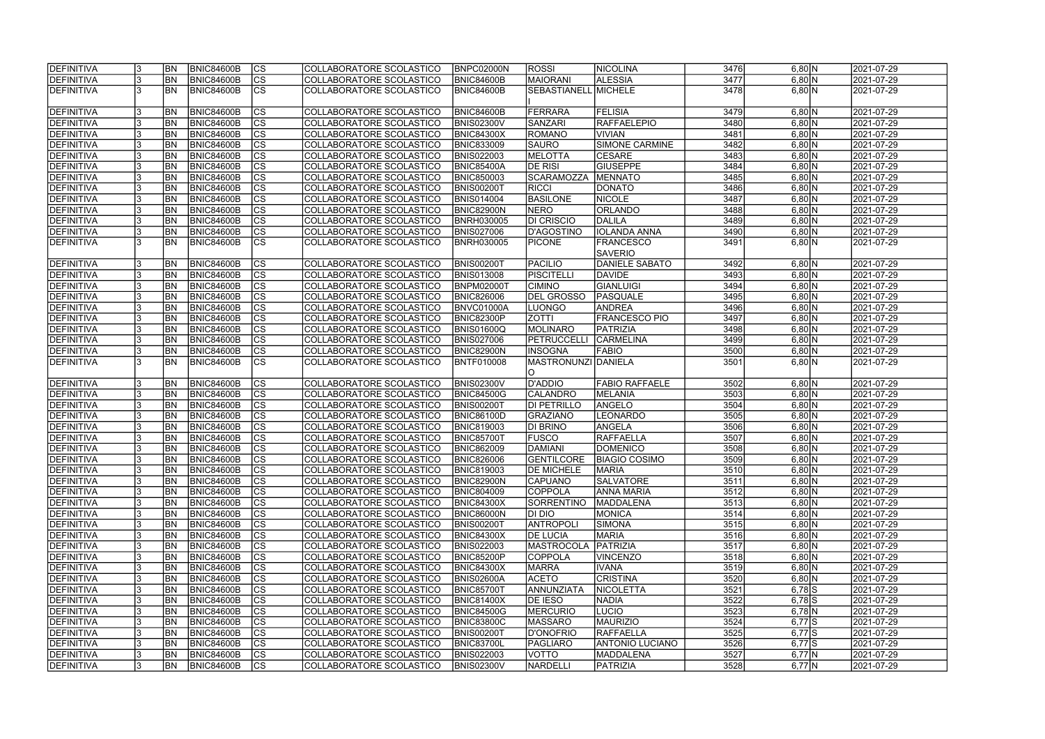| DEFINITIVA        |     | <b>BN</b>      | <b>BNIC84600B</b> | <b>CS</b>                | COLLABORATORE SCOLASTICO | <b>BNPC02000N</b> | <b>ROSSI</b>         | NICOLINA               | 3476 | 6,80 N   | 2021-07-29 |
|-------------------|-----|----------------|-------------------|--------------------------|--------------------------|-------------------|----------------------|------------------------|------|----------|------------|
| DEFINITIVA        |     | <b>BN</b>      | <b>BNIC84600B</b> | $\overline{\text{cs}}$   | COLLABORATORE SCOLASTICO | <b>BNIC84600B</b> | <b>MAIORANI</b>      | <b>ALESSIA</b>         | 3477 | 6,80 N   | 2021-07-29 |
| DEFINITIVA        |     | <b>BN</b>      | <b>BNIC84600B</b> | cs                       | COLLABORATORE SCOLASTICO | BNIC84600B        | SEBASTIANELL MICHELE |                        | 3478 | 6,80 N   | 2021-07-29 |
|                   |     |                |                   |                          |                          |                   |                      |                        |      |          |            |
| DEFINITIVA        |     | <b>BN</b>      | <b>BNIC84600B</b> | $\overline{\text{CS}}$   | COLLABORATORE SCOLASTICO | BNIC84600B        | <b>FERRARA</b>       | <b>FELISIA</b>         | 3479 | 6,80 N   | 2021-07-29 |
| DEFINITIVA        |     | <b>BN</b>      | BNIC84600B        | cs                       | COLLABORATORE SCOLASTICO | <b>BNIS02300V</b> | <b>SANZARI</b>       | <b>RAFFAELEPIO</b>     | 3480 | 6,80 N   | 2021-07-29 |
| DEFINITIVA        |     | <b>BN</b>      | <b>BNIC84600B</b> | cs                       | COLLABORATORE SCOLASTICO | <b>BNIC84300X</b> | <b>ROMANO</b>        | <b>VIVIAN</b>          | 3481 | 6,80 N   | 2021-07-29 |
| DEFINITIVA        |     | BN             | <b>BNIC84600B</b> | cs                       | COLLABORATORE SCOLASTICO | <b>BNIC833009</b> | <b>SAURO</b>         | <b>SIMONE CARMINE</b>  | 3482 | 6,80 N   | 2021-07-29 |
| DEFINITIVA        |     | BN             | <b>BNIC84600B</b> | cs                       | COLLABORATORE SCOLASTICO | <b>BNIS022003</b> | <b>MELOTTA</b>       | <b>CESARE</b>          | 3483 | 6,80 N   | 2021-07-29 |
| DEFINITIVA        |     | <b>BN</b>      | <b>BNIC84600B</b> | $\overline{\text{cs}}$   | COLLABORATORE SCOLASTICO | <b>BNIC85400A</b> | <b>DE RISI</b>       | <b>GIUSEPPE</b>        | 3484 | 6,80 N   | 2021-07-29 |
| DEFINITIVA        |     | <b>BN</b>      | <b>BNIC84600B</b> | <b>CS</b>                | COLLABORATORE SCOLASTICO | <b>BNIC850003</b> | <b>SCARAMOZZA</b>    | <b>MENNATO</b>         | 3485 | 6,80 N   | 2021-07-29 |
| DEFINITIVA        |     | <b>BN</b>      | <b>BNIC84600B</b> | cs                       | COLLABORATORE SCOLASTICO | <b>BNIS00200T</b> | <b>RICCI</b>         | <b>DONATO</b>          | 3486 | 6,80 N   | 2021-07-29 |
| DEFINITIVA        |     | <b>BN</b>      | <b>BNIC84600B</b> | cs                       | COLLABORATORE SCOLASTICO | <b>BNIS014004</b> | <b>BASILONE</b>      | <b>NICOLE</b>          | 3487 | 6,80 N   | 2021-07-29 |
| DEFINITIVA        |     | <b>BN</b>      | <b>BNIC84600B</b> | $\overline{\text{cs}}$   | COLLABORATORE SCOLASTICO | <b>BNIC82900N</b> | <b>NERO</b>          | <b>ORLANDO</b>         | 3488 | 6,80 N   | 2021-07-29 |
|                   |     | <b>BN</b>      |                   | $\overline{\text{cs}}$   |                          |                   | <b>DI CRISCIO</b>    |                        | 3489 | $6,80$ N |            |
| DEFINITIVA        |     |                | <b>BNIC84600B</b> |                          | COLLABORATORE SCOLASTICO | <b>BNRH030005</b> |                      | DALILA                 |      |          | 2021-07-29 |
| DEFINITIVA        |     | <b>BN</b>      | <b>BNIC84600B</b> | $ \overline{\text{cs}} $ | COLLABORATORE SCOLASTICO | <b>BNIS027006</b> | <b>D'AGOSTINO</b>    | <b>IOLANDA ANNA</b>    | 3490 | 6,80 N   | 2021-07-29 |
| DEFINITIVA        |     | <b>IBN</b>     | <b>BNIC84600B</b> | $\overline{\text{cs}}$   | COLLABORATORE SCOLASTICO | <b>BNRH030005</b> | <b>PICONE</b>        | <b>FRANCESCO</b>       | 3491 | 6,80 N   | 2021-07-29 |
|                   |     |                |                   |                          |                          |                   |                      | <b>SAVERIO</b>         |      |          |            |
| DEFINITIVA        |     | <b>BN</b>      | BNIC84600B        | <b>CS</b>                | COLLABORATORE SCOLASTICO | <b>BNIS00200T</b> | <b>PACILIO</b>       | <b>DANIELE SABATO</b>  | 3492 | 6,80 N   | 2021-07-29 |
| DEFINITIVA        |     | <b>BN</b>      | BNIC84600B        | cs                       | COLLABORATORE SCOLASTICO | <b>BNIS013008</b> | <b>PISCITELLI</b>    | <b>DAVIDE</b>          | 3493 | 6,80 N   | 2021-07-29 |
| DEFINITIVA        |     | <b>BN</b>      | <b>BNIC84600B</b> | cs                       | COLLABORATORE SCOLASTICO | BNPM02000T        | <b>CIMINO</b>        | <b>GIANLUIGI</b>       | 3494 | 6,80 N   | 2021-07-29 |
| DEFINITIVA        |     | <b>BN</b>      | <b>BNIC84600B</b> | cs                       | COLLABORATORE SCOLASTICO | <b>BNIC826006</b> | <b>DEL GROSSO</b>    | PASQUALE               | 3495 | 6,80 N   | 2021-07-29 |
| DEFINITIVA        |     | <b>BN</b>      | <b>BNIC84600B</b> | cs                       | COLLABORATORE SCOLASTICO | BNVC01000A        | LUONGO               | <b>ANDREA</b>          | 3496 | 6,80 N   | 2021-07-29 |
| DEFINITIVA        |     | <b>BN</b>      | <b>BNIC84600B</b> | CS                       | COLLABORATORE SCOLASTICO | <b>BNIC82300P</b> | <b>ZOTTI</b>         | <b>FRANCESCO PIO</b>   | 3497 | 6,80 N   | 2021-07-29 |
| DEFINITIVA        |     | <b>BN</b>      | <b>BNIC84600B</b> | cs                       | COLLABORATORE SCOLASTICO | <b>BNIS01600Q</b> | <b>MOLINARO</b>      | PATRIZIA               | 3498 | 6,80 N   | 2021-07-29 |
| DEFINITIVA        |     | <b>BN</b>      | <b>BNIC84600B</b> | <sub>cs</sub>            | COLLABORATORE SCOLASTICO | <b>BNIS027006</b> | <b>PETRUCCELLI</b>   | <b>CARMELINA</b>       | 3499 | 6,80 N   | 2021-07-29 |
| DEFINITIVA        |     | <b>BN</b>      | <b>BNIC84600B</b> | cs                       | COLLABORATORE SCOLASTICO | <b>BNIC82900N</b> | <b>INSOGNA</b>       | <b>FABIO</b>           | 3500 | 6,80 N   | 2021-07-29 |
| DEFINITIVA        |     | <b>BN</b>      | BNIC84600B        | lcs                      | COLLABORATORE SCOLASTICO | BNTF010008        | MASTRONUNZI DANIELA  |                        | 3501 | 6,80 N   | 2021-07-29 |
|                   |     |                |                   |                          |                          |                   | O                    |                        |      |          |            |
| DEFINITIVA        |     | <b>BN</b>      | <b>BNIC84600B</b> | CS                       | COLLABORATORE SCOLASTICO | <b>BNIS02300V</b> | D'ADDIO              | <b>FABIO RAFFAELE</b>  | 3502 | 6,80 N   | 2021-07-29 |
| DEFINITIVA        |     | <b>BN</b>      | <b>BNIC84600B</b> | $\overline{\text{cs}}$   | COLLABORATORE SCOLASTICO | <b>BNIC84500G</b> | <b>CALANDRO</b>      | MELANIA                | 3503 | 6,80 N   | 2021-07-29 |
| DEFINITIVA        |     | <b>BN</b>      | <b>BNIC84600B</b> | $\overline{\text{cs}}$   | COLLABORATORE SCOLASTICO | <b>BNIS00200T</b> | <b>DI PETRILLO</b>   | ANGELO                 | 3504 | $6,80$ N | 2021-07-29 |
| DEFINITIVA        |     | <b>BN</b>      | BNIC84600B        | $\overline{\text{cs}}$   | COLLABORATORE SCOLASTICO | <b>BNIC86100D</b> | <b>GRAZIANO</b>      | <b>LEONARDO</b>        | 3505 | 6,80 N   | 2021-07-29 |
| DEFINITIVA        |     | <b>BN</b>      | <b>BNIC84600B</b> | cs                       | COLLABORATORE SCOLASTICO | <b>BNIC819003</b> | DI BRINO             | ANGELA                 | 3506 | 6,80 N   | 2021-07-29 |
| DEFINITIVA        |     | <b>BN</b>      | <b>BNIC84600B</b> | $\overline{\text{cs}}$   | COLLABORATORE SCOLASTICO | <b>BNIC85700T</b> | <b>FUSCO</b>         | <b>RAFFAELLA</b>       | 3507 | 6,80 N   | 2021-07-29 |
| DEFINITIVA        |     | <b>BN</b>      | <b>BNIC84600B</b> | cs                       | COLLABORATORE SCOLASTICO | <b>BNIC862009</b> | <b>DAMIANI</b>       | <b>DOMENICO</b>        | 3508 | 6,80 N   | 2021-07-29 |
| <b>DEFINITIVA</b> |     | <b>BN</b>      | BNIC84600B        | CS                       | COLLABORATORE SCOLASTICO | <b>BNIC826006</b> | GENTILCORE           | <b>BIAGIO COSIMO</b>   | 3509 | 6,80 N   | 2021-07-29 |
| DEFINITIVA        |     | <b>BN</b>      | <b>BNIC84600B</b> | <sub>lcs</sub>           | COLLABORATORE SCOLASTICO | <b>BNIC819003</b> | <b>DE MICHELE</b>    | <b>MARIA</b>           | 3510 | 6,80 N   | 2021-07-29 |
| DEFINITIVA        |     | <b>BN</b>      | <b>BNIC84600B</b> | <b>CS</b>                | COLLABORATORE SCOLASTICO | <b>BNIC82900N</b> | CAPUANO              | <b>SALVATORE</b>       | 3511 | 6,80 N   | 2021-07-29 |
| DEFINITIVA        |     | <b>BN</b>      | BNIC84600B        | <b>CS</b>                | COLLABORATORE SCOLASTICO | <b>BNIC804009</b> | <b>COPPOLA</b>       | <b>ANNA MARIA</b>      | 3512 | 6,80 N   | 2021-07-29 |
| DEFINITIVA        | 13. | <b>BN</b>      | <b>BNIC84600B</b> | <b>CS</b>                | COLLABORATORE SCOLASTICO | <b>BNIC84300X</b> | <b>SORRENTINO</b>    | MADDALENA              | 3513 | 6,80 N   | 2021-07-29 |
| DEFINITIVA        |     | <b>BN</b>      | <b>BNIC84600B</b> | <b>CS</b>                | COLLABORATORE SCOLASTICO | <b>BNIC86000N</b> | DI DIO               | MONICA                 | 3514 | 6,80 N   | 2021-07-29 |
| DEFINITIVA        |     | <b>BN</b>      | <b>BNIC84600B</b> | <b>CS</b>                | COLLABORATORE SCOLASTICO | <b>BNIS00200T</b> | <b>ANTROPOLI</b>     | SIMONA                 | 3515 | 6,80 N   | 2021-07-29 |
| DEFINITIVA        |     | <b>BN</b>      | <b>BNIC84600B</b> | CS                       | COLLABORATORE SCOLASTICO | <b>BNIC84300X</b> | <b>DE LUCIA</b>      | <b>MARIA</b>           | 3516 | 6,80 N   | 2021-07-29 |
| DEFINITIVA        |     | <b>BN</b>      | BNIC84600B        | cs                       | COLLABORATORE SCOLASTICO | <b>BNIS022003</b> | MASTROCOLA           | PATRIZIA               | 3517 | 6,80 N   | 2021-07-29 |
| DEFINITIVA        |     | <b>BN</b>      | <b>BNIC84600B</b> | cs                       | COLLABORATORE SCOLASTICO | <b>BNIC85200P</b> | <b>COPPOLA</b>       | <b>VINCENZO</b>        | 3518 | 6,80 N   | 2021-07-29 |
| DEFINITIVA        |     | <b>BN</b>      | BNIC84600B        | cs                       | COLLABORATORE SCOLASTICO | <b>BNIC84300X</b> | <b>MARRA</b>         | <b>IVANA</b>           | 3519 | 6,80 N   | 2021-07-29 |
| DEFINITIVA        |     | <b>BN</b>      | <b>BNIC84600B</b> | cs                       | COLLABORATORE SCOLASTICO | <b>BNIS02600A</b> | <b>ACETO</b>         | <b>CRISTINA</b>        | 3520 | 6,80 N   | 2021-07-29 |
| DEFINITIVA        |     | <b>BN</b>      | <b>BNIC84600B</b> | cs                       | COLLABORATORE SCOLASTICO | <b>BNIC85700T</b> | ANNUNZIATA           | NICOLETTA              | 3521 | $6,78$ S | 2021-07-29 |
| DEFINITIVA        |     | <b>BN</b>      | <b>BNIC84600B</b> | cs                       | COLLABORATORE SCOLASTICO | <b>BNIC81400X</b> | DE IESO              | <b>NADIA</b>           | 3522 | $6,78$ S | 2021-07-29 |
| DEFINITIVA        |     | <b>BN</b>      | <b>BNIC84600B</b> | <b>CS</b>                | COLLABORATORE SCOLASTICO | <b>BNIC84500G</b> | <b>MERCURIO</b>      | LUCIO                  | 3523 | $6,78$ N | 2021-07-29 |
|                   |     |                |                   |                          |                          |                   |                      | <b>MAURIZIO</b>        | 3524 | $6,77$ S |            |
| DEFINITIVA        |     | <b>BN</b>      | BNIC84600B        | CS                       | COLLABORATORE SCOLASTICO | <b>BNIC83800C</b> | <b>MASSARO</b>       |                        |      |          | 2021-07-29 |
| DEFINITIVA        |     | <b>BN</b>      | <b>BNIC84600B</b> | cs                       | COLLABORATORE SCOLASTICO | <b>BNIS00200T</b> | <b>D'ONOFRIO</b>     | <b>RAFFAELLA</b>       | 3525 | $6,77$ S | 2021-07-29 |
| DEFINITIVA        |     | BN             | <b>BNIC84600B</b> | <b>CS</b>                | COLLABORATORE SCOLASTICO | <b>BNIC83700L</b> | <b>PAGLIARO</b>      | <b>ANTONIO LUCIANO</b> | 3526 | $6,77$ S | 2021-07-29 |
| DEFINITIVA        |     | <b>BN</b>      | <b>BNIC84600B</b> | <b>CS</b>                | COLLABORATORE SCOLASTICO | <b>BNIS022003</b> | VOTTO                | <b>MADDALENA</b>       | 3527 | $6,77$ N | 2021-07-29 |
| DEFINITIVA        | 13. | BN <sub></sub> | <b>BNIC84600B</b> | <b>CS</b>                | COLLABORATORE SCOLASTICO | <b>BNIS02300V</b> | NARDELLI             | PATRIZIA               | 3528 | $6,77$ N | 2021-07-29 |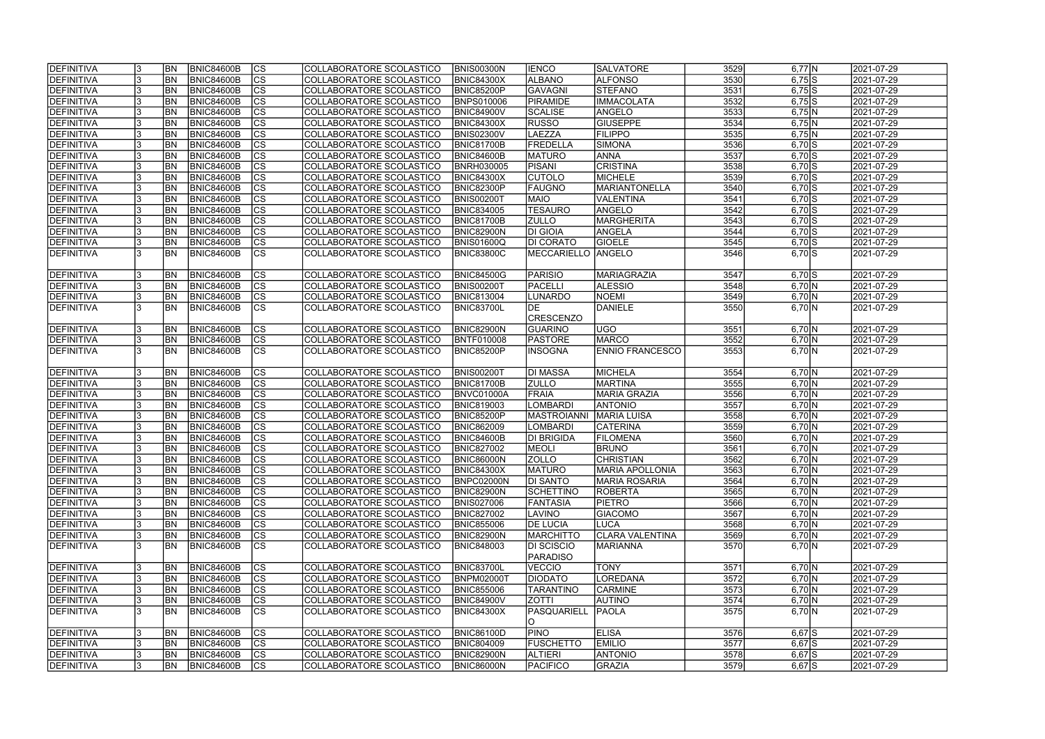| DEFINITIVA        |   | <b>BN</b>  | <b>BNIC84600B</b> | $ {\rm CS} $   | COLLABORATORE SCOLASTICO | <b>BNIS00300N</b> | <b>IENCO</b>       | <b>SALVATORE</b>       | 3529 | $6,77$ N            | 2021-07-29 |
|-------------------|---|------------|-------------------|----------------|--------------------------|-------------------|--------------------|------------------------|------|---------------------|------------|
| DEFINITIVA        |   | <b>BN</b>  | <b>BNIC84600B</b> | $\overline{c}$ | COLLABORATORE SCOLASTICO | <b>BNIC84300X</b> | <b>ALBANO</b>      | <b>ALFONSO</b>         | 3530 | $6,75$ S            | 2021-07-29 |
| DEFINITIVA        |   | <b>BN</b>  | <b>BNIC84600B</b> | cs             | COLLABORATORE SCOLASTICO | BNIC85200P        | <b>GAVAGNI</b>     | <b>STEFANO</b>         | 3531 | $6,75$ S            | 2021-07-29 |
| DEFINITIVA        |   | <b>BN</b>  | <b>BNIC84600B</b> | $\overline{c}$ | COLLABORATORE SCOLASTICO | <b>BNPS010006</b> | PIRAMIDE           | <b>IMMACOLATA</b>      | 3532 | $6,75$ S            | 2021-07-29 |
| <b>DEFINITIVA</b> |   | <b>BN</b>  | <b>BNIC84600B</b> | cs             | COLLABORATORE SCOLASTICO | <b>BNIC84900V</b> | <b>SCALISE</b>     | ANGELO                 | 3533 | $6,75$ N            | 2021-07-29 |
| DEFINITIVA        |   | <b>BN</b>  | <b>BNIC84600B</b> | cs             | COLLABORATORE SCOLASTICO | <b>BNIC84300X</b> | <b>RUSSO</b>       | <b>GIUSEPPE</b>        | 3534 | 6,75 N              | 2021-07-29 |
| DEFINITIVA        |   | <b>BN</b>  | BNIC84600B        | cs             | COLLABORATORE SCOLASTICO | <b>BNIS02300V</b> | LAEZZA             | <b>FILIPPO</b>         | 3535 | 6,75 N              | 2021-07-29 |
| DEFINITIVA        |   | <b>BN</b>  | <b>BNIC84600B</b> | cs             | COLLABORATORE SCOLASTICO | <b>BNIC81700B</b> | FREDELLA           | SIMONA                 | 3536 | $6,70$ $S$          | 2021-07-29 |
| DEFINITIVA        |   | BN         | <b>BNIC84600B</b> | cs             | COLLABORATORE SCOLASTICO | <b>BNIC84600B</b> | <b>MATURO</b>      | <b>ANNA</b>            | 3537 | $6,70$ $S$          | 2021-07-29 |
| <b>DEFINITIVA</b> |   | BN         | <b>BNIC84600B</b> | cs             | COLLABORATORE SCOLASTICO | <b>BNRH030005</b> | <b>PISANI</b>      | <b>CRISTINA</b>        | 3538 | $6,70$ S            | 2021-07-29 |
| DEFINITIVA        |   | <b>BN</b>  | <b>BNIC84600B</b> | cs             | COLLABORATORE SCOLASTICO | <b>BNIC84300X</b> | <b>CUTOLO</b>      | MICHELE                | 3539 | $6,70$ S            | 2021-07-29 |
| DEFINITIVA        |   | <b>BN</b>  | <b>BNIC84600B</b> | cs             | COLLABORATORE SCOLASTICO | <b>BNIC82300P</b> | FAUGNO             | MARIANTONELLA          | 3540 | $6,70$ S            | 2021-07-29 |
| DEFINITIVA        |   | <b>BN</b>  | <b>BNIC84600B</b> | $ {\rm cs} $   | COLLABORATORE SCOLASTICO | <b>BNIS00200T</b> | <b>MAIO</b>        | VALENTINA              | 3541 | $6,70$ S            | 2021-07-29 |
| DEFINITIVA        |   | <b>BN</b>  | <b>BNIC84600B</b> | cs             | COLLABORATORE SCOLASTICO | <b>BNIC834005</b> | <b>TESAURO</b>     | ANGELO                 | 3542 | $6,70$ S            | 2021-07-29 |
| <b>DEFINITIVA</b> |   | <b>BN</b>  | <b>BNIC84600B</b> | cs             | COLLABORATORE SCOLASTICO | <b>BNIC81700B</b> | <b>ZULLO</b>       | MARGHERITA             | 3543 | $6,70$ S            | 2021-07-29 |
| DEFINITIVA        |   | <b>BN</b>  | <b>BNIC84600B</b> | cs             | COLLABORATORE SCOLASTICO | <b>BNIC82900N</b> | <b>DI GIOIA</b>    | ANGELA                 | 3544 | $6,70$ S            | 2021-07-29 |
| <b>DEFINITIVA</b> |   | BN         | <b>BNIC84600B</b> | cs             | COLLABORATORE SCOLASTICO | <b>BNIS01600Q</b> | <b>DI CORATO</b>   | <b>GIOELE</b>          | 3545 | $6,70$ S            | 2021-07-29 |
| DEFINITIVA        |   | <b>BN</b>  | <b>BNIC84600B</b> | <b>CS</b>      | COLLABORATORE SCOLASTICO | <b>BNIC83800C</b> | MECCARIELLO        | ANGELO                 | 3546 | $6,70$ S            | 2021-07-29 |
|                   |   |            |                   |                |                          |                   |                    |                        |      |                     |            |
| DEFINITIVA        |   | <b>BN</b>  | <b>BNIC84600B</b> | $ {\rm cs} $   | COLLABORATORE SCOLASTICO | <b>BNIC84500G</b> | PARISIO            | <b>MARIAGRAZIA</b>     | 3547 | $6,70$ $S$          | 2021-07-29 |
| DEFINITIVA        |   | <b>BN</b>  | <b>BNIC84600B</b> | $ {\rm cs} $   | COLLABORATORE SCOLASTICO | <b>BNIS00200T</b> | PACELLI            | <b>ALESSIO</b>         | 3548 | 6,70 N              | 2021-07-29 |
| DEFINITIVA        |   | <b>BN</b>  | <b>BNIC84600B</b> | $ {\rm cs} $   | COLLABORATORE SCOLASTICO | <b>BNIC813004</b> | <b>LUNARDO</b>     | NOEMI                  | 3549 | 6,70 N              | 2021-07-29 |
| DEFINITIVA        |   | <b>BN</b>  | <b>BNIC84600B</b> | <b>CS</b>      | COLLABORATORE SCOLASTICO | BNIC83700L        | <b>IDE</b>         | <b>DANIELE</b>         | 3550 | 6,70 N              | 2021-07-29 |
|                   |   |            |                   |                |                          |                   | <b>CRESCENZO</b>   |                        |      |                     |            |
| DEFINITIVA        |   | <b>BN</b>  | <b>BNIC84600B</b> | $ {\rm CS} $   | COLLABORATORE SCOLASTICO | <b>BNIC82900N</b> | GUARINO            | lugo.                  | 3551 | 6,70 N              | 2021-07-29 |
| DEFINITIVA        |   | BN         | <b>BNIC84600B</b> | $ {\rm CS} $   | COLLABORATORE SCOLASTICO | <b>BNTF010008</b> | <b>PASTORE</b>     | <b>MARCO</b>           | 3552 | 6,70 N              | 2021-07-29 |
| DEFINITIVA        |   | <b>BN</b>  | <b>BNIC84600B</b> | $ {\rm cs} $   | COLLABORATORE SCOLASTICO | <b>BNIC85200P</b> | <b>INSOGNA</b>     | <b>ENNIO FRANCESCO</b> | 3553 | 6,70 N              | 2021-07-29 |
|                   |   |            |                   |                |                          |                   |                    |                        |      |                     |            |
| DEFINITIVA        |   | <b>BN</b>  | <b>BNIC84600B</b> | $ {\rm cs} $   | COLLABORATORE SCOLASTICO | <b>BNIS00200T</b> | <b>DI MASSA</b>    | MICHELA                | 3554 | 6,70 N              | 2021-07-29 |
| DEFINITIVA        |   | <b>BN</b>  | <b>BNIC84600B</b> | cs             | COLLABORATORE SCOLASTICO | <b>BNIC81700B</b> | <b>ZULLO</b>       | MARTINA                | 3555 | 6,70 N              | 2021-07-29 |
| DEFINITIVA        |   | <b>BN</b>  | <b>BNIC84600B</b> | $\overline{c}$ | COLLABORATORE SCOLASTICO | BNVC01000A        | FRAIA              | <b>MARIA GRAZIA</b>    | 3556 | $6,70 \overline{N}$ | 2021-07-29 |
| DEFINITIVA        |   | <b>BN</b>  | <b>BNIC84600B</b> | CS             | COLLABORATORE SCOLASTICO | <b>BNIC819003</b> | LOMBARDI           | <b>ANTONIO</b>         | 3557 | 6,70 N              | 2021-07-29 |
| <b>DEFINITIVA</b> |   | BN         | <b>BNIC84600B</b> | $\overline{c}$ | COLLABORATORE SCOLASTICO | BNIC85200P        | <b>MASTROIANNI</b> | <b>MARIA LUISA</b>     | 3558 | 6,70 N              | 2021-07-29 |
| DEFINITIVA        |   | BN         | <b>BNIC84600B</b> | cs             | COLLABORATORE SCOLASTICO | <b>BNIC862009</b> | LOMBARDI           | <b>CATERINA</b>        | 3559 | 6,70 N              | 2021-07-29 |
| <b>DEFINITIVA</b> |   | <b>BN</b>  | BNIC84600B        | $\overline{c}$ | COLLABORATORE SCOLASTICO | <b>BNIC84600B</b> | <b>DI BRIGIDA</b>  | <b>FILOMENA</b>        | 3560 | 6,70 N              | 2021-07-29 |
| DEFINITIVA        |   | <b>BN</b>  | <b>BNIC84600B</b> | $\overline{c}$ | COLLABORATORE SCOLASTICO | <b>BNIC827002</b> | <b>MEOLI</b>       | <b>BRUNO</b>           | 3561 | 6,70 N              | 2021-07-29 |
| <b>DEFINITIVA</b> |   | IBN.       | BNIC84600B        | CS             | COLLABORATORE SCOLASTICO | BNIC86000N        | <b>ZOLLO</b>       | <b>CHRISTIAN</b>       | 3562 | 6,70 N              | 2021-07-29 |
| DEFINITIVA        |   | <b>IBN</b> | <b>BNIC84600B</b> | $ {\rm CS} $   | COLLABORATORE SCOLASTICO | <b>BNIC84300X</b> | <b>MATURO</b>      | MARIA APOLLONIA        | 3563 | 6,70 N              | 2021-07-29 |
| DEFINITIVA        |   | <b>IBN</b> | <b>BNIC84600B</b> | $ {\rm CS} $   | COLLABORATORE SCOLASTICO | BNPC02000N        | <b>DI SANTO</b>    | MARIA ROSARIA          | 3564 | 6,70 N              | 2021-07-29 |
| DEFINITIVA        |   | <b>BN</b>  | <b>BNIC84600B</b> | <sub>Ics</sub> | COLLABORATORE SCOLASTICO | <b>BNIC82900N</b> | SCHETTINO          | ROBERTA                | 3565 | 6,70 N              | 2021-07-29 |
| <b>DEFINITIVA</b> |   | <b>BN</b>  | <b>BNIC84600B</b> | $ {\rm CS} $   | COLLABORATORE SCOLASTICO | <b>BNIS027006</b> | <b>FANTASIA</b>    | <b>PIETRO</b>          | 3566 | 6,70 N              | 2021-07-29 |
| DEFINITIVA        |   | <b>BN</b>  | <b>BNIC84600B</b> | $ {\rm CS} $   | COLLABORATORE SCOLASTICO | <b>BNIC827002</b> | LAVINO             | <b>GIACOMO</b>         | 3567 | 6,70 N              | 2021-07-29 |
| DEFINITIVA        |   | <b>BN</b>  | <b>BNIC84600B</b> | $ {\rm CS} $   | COLLABORATORE SCOLASTICO | <b>BNIC855006</b> | <b>DE LUCIA</b>    | LUCA                   | 3568 | 6,70 N              | 2021-07-29 |
| <b>DEFINITIVA</b> |   | <b>BN</b>  | <b>BNIC84600B</b> | <sub>Ics</sub> | COLLABORATORE SCOLASTICO | <b>BNIC82900N</b> | <b>MARCHITTO</b>   | CLARA VALENTINA        | 3569 | 6,70 N              | 2021-07-29 |
| DEFINITIVA        |   | <b>BN</b>  | BNIC84600B        | $ {\rm CS}$    | COLLABORATORE SCOLASTICO | <b>BNIC848003</b> | <b>DI SCISCIO</b>  | <b>MARIANNA</b>        | 3570 | 6,70 N              | 2021-07-29 |
|                   |   |            |                   |                |                          |                   | <b>PARADISO</b>    |                        |      |                     |            |
| DEFINITIVA        |   | <b>BN</b>  | <b>BNIC84600B</b> | $ {\rm CS} $   | COLLABORATORE SCOLASTICO | <b>BNIC83700L</b> | <b>VECCIO</b>      | <b>TONY</b>            | 3571 | 6,70 N              | 2021-07-29 |
| DEFINITIVA        |   | <b>BN</b>  | <b>BNIC84600B</b> | $ {\rm CS} $   | COLLABORATORE SCOLASTICO | <b>BNPM02000T</b> | <b>DIODATO</b>     | LOREDANA               | 3572 | 6,70 N              | 2021-07-29 |
| DEFINITIVA        |   | <b>BN</b>  | <b>BNIC84600B</b> | cs             | COLLABORATORE SCOLASTICO | <b>BNIC855006</b> | <b>TARANTINO</b>   | <b>CARMINE</b>         | 3573 | 6,70 N              | 2021-07-29 |
| DEFINITIVA        |   | <b>BN</b>  | <b>BNIC84600B</b> | $ {\rm cs} $   | COLLABORATORE SCOLASTICO | <b>BNIC84900V</b> | <b>ZOTTI</b>       | <b>AUTINO</b>          | 3574 | 6,70 N              | 2021-07-29 |
| DEFINITIVA        |   | <b>BN</b>  | <b>BNIC84600B</b> | Ics            | COLLABORATORE SCOLASTICO | <b>BNIC84300X</b> | PASQUARIELL        | <b>PAOLA</b>           | 3575 | 6,70 N              | 2021-07-29 |
|                   |   |            |                   |                |                          |                   | IO.                |                        |      |                     |            |
| DEFINITIVA        |   | IBN        | <b>BNIC84600B</b> | $ {\rm CS} $   | COLLABORATORE SCOLASTICO | <b>BNIC86100D</b> | <b>PINO</b>        | <b>ELISA</b>           | 3576 | $6,67$ $S$          | 2021-07-29 |
| <b>DEFINITIVA</b> |   | <b>BN</b>  | <b>BNIC84600B</b> | $ {\rm CS} $   | COLLABORATORE SCOLASTICO | <b>BNIC804009</b> | <b>FUSCHETTO</b>   | <b>EMILIO</b>          | 3577 | $6,67$ S            | 2021-07-29 |
| DEFINITIVA        |   | <b>BN</b>  | <b>BNIC84600B</b> | $ {\rm CS} $   | COLLABORATORE SCOLASTICO | <b>BNIC82900N</b> | <b>ALTIERI</b>     | <b>ANTONIO</b>         | 3578 | $6,67$ $S$          | 2021-07-29 |
| DEFINITIVA        | 3 | <b>BN</b>  | <b>BNIC84600B</b> | <sub>Ics</sub> | COLLABORATORE SCOLASTICO | <b>BNIC86000N</b> | PACIFICO           | <b>GRAZIA</b>          | 3579 | $6,67$ $S$          | 2021-07-29 |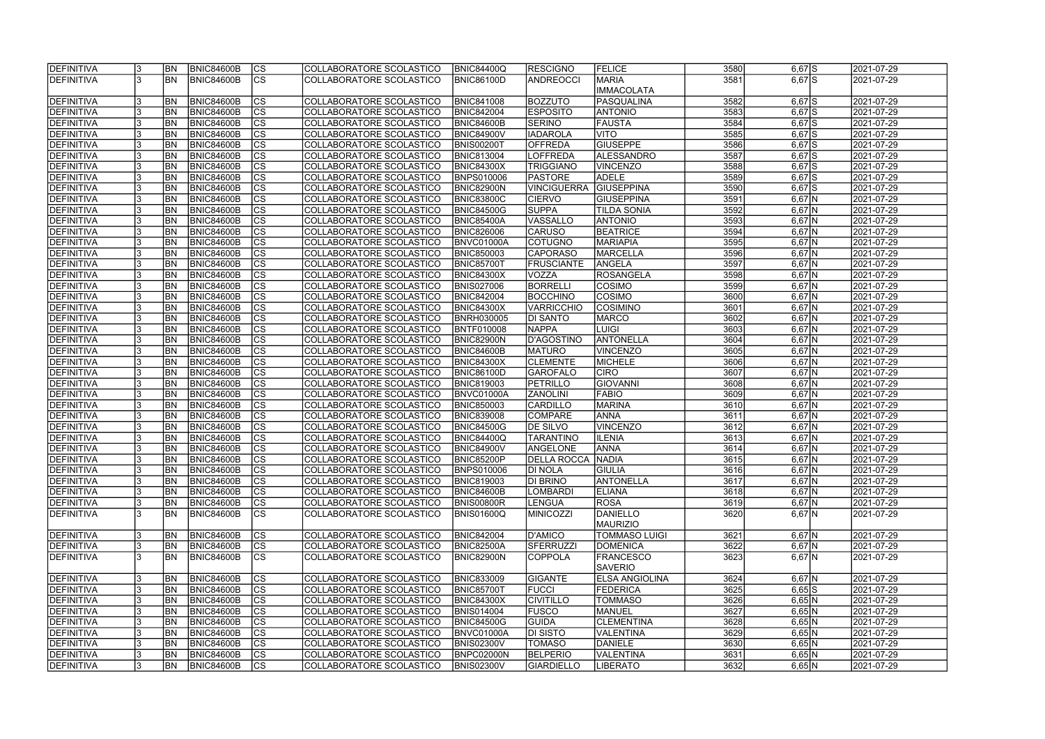| <b>DEFINITIVA</b> | BN <sub></sub> | <b>BNIC84600B</b> | CS                       | COLLABORATORE SCOLASTICO | <b>BNIC84400Q</b> | <b>RESCIGNO</b>          | <b>FELICE</b>         | 3580 | $6,67$ $S$ | 2021-07-29 |
|-------------------|----------------|-------------------|--------------------------|--------------------------|-------------------|--------------------------|-----------------------|------|------------|------------|
| <b>DEFINITIVA</b> | <b>BN</b>      | <b>BNIC84600B</b> | $\overline{\text{CS}}$   | COLLABORATORE SCOLASTICO | <b>BNIC86100D</b> | <b>ANDREOCCI</b>         | <b>MARIA</b>          | 3581 | $6,67$ $S$ | 2021-07-29 |
|                   |                |                   |                          |                          |                   |                          | <b>IMMACOLATA</b>     |      |            |            |
| <b>DEFINITIVA</b> | BN <sub></sub> | <b>BNIC84600B</b> | <b>CS</b>                | COLLABORATORE SCOLASTICO | <b>BNIC841008</b> | <b>BOZZUTO</b>           | PASQUALINA            | 3582 | $6,67$ $S$ | 2021-07-29 |
| <b>DEFINITIVA</b> | <b>BN</b>      | BNIC84600B        | cs                       | COLLABORATORE SCOLASTICO | <b>BNIC842004</b> | <b>ESPOSITO</b>          | <b>ANTONIO</b>        | 3583 | $6,67$ $S$ | 2021-07-29 |
| <b>DEFINITIVA</b> | <b>BN</b>      | BNIC84600B        | cs                       | COLLABORATORE SCOLASTICO | <b>BNIC84600B</b> | <b>SERINO</b>            | <b>FAUSTA</b>         | 3584 | $6,67$ $S$ | 2021-07-29 |
| DEFINITIVA        | <b>BN</b>      | <b>BNIC84600B</b> | $\overline{\text{CS}}$   | COLLABORATORE SCOLASTICO | <b>BNIC84900V</b> | <b>IADAROLA</b>          | <b>VITO</b>           | 3585 | $6,67$ $S$ | 2021-07-29 |
| <b>DEFINITIVA</b> | <b>BN</b>      | <b>BNIC84600B</b> | $\overline{\text{CS}}$   | COLLABORATORE SCOLASTICO | BNIS00200T        | <b>OFFREDA</b>           | <b>GIUSEPPE</b>       | 3586 | $6,67$ $S$ | 2021-07-29 |
| <b>DEFINITIVA</b> | <b>BN</b>      | <b>BNIC84600B</b> | $\overline{\text{CS}}$   | COLLABORATORE SCOLASTICO | <b>BNIC813004</b> | <b>LOFFREDA</b>          | ALESSANDRO            | 3587 | $6,67$ $S$ | 2021-07-29 |
| <b>DEFINITIVA</b> | <b>BN</b>      | <b>BNIC84600B</b> | cs                       | COLLABORATORE SCOLASTICO | <b>BNIC84300X</b> | <b>TRIGGIANO</b>         | <b>VINCENZO</b>       | 3588 | $6,67$ $S$ | 2021-07-29 |
| <b>DEFINITIVA</b> | <b>BN</b>      | BNIC84600B        | cs                       | COLLABORATORE SCOLASTICO | BNPS010006        | <b>PASTORE</b>           | <b>ADELE</b>          | 3589 | $6,67$ $S$ | 2021-07-29 |
| DEFINITIVA        | <b>BN</b>      | <b>BNIC84600B</b> | cs                       | COLLABORATORE SCOLASTICO | <b>BNIC82900N</b> | <b>VINCIGUERRA</b>       | <b>GIUSEPPINA</b>     | 3590 | $6,67$ $S$ | 2021-07-29 |
| <b>DEFINITIVA</b> | BN <sub></sub> | <b>BNIC84600B</b> | cs                       | COLLABORATORE SCOLASTICO | <b>BNIC83800C</b> | <b>CIERVO</b>            | <b>GIUSEPPINA</b>     | 3591 | $6,67$ N   | 2021-07-29 |
| <b>DEFINITIVA</b> | <b>BN</b>      | <b>BNIC84600B</b> | cs                       | COLLABORATORE SCOLASTICO | <b>BNIC84500G</b> | <b>SUPPA</b>             | TILDA SONIA           | 3592 | $6,67$ N   | 2021-07-29 |
| <b>DEFINITIVA</b> | <b>BN</b>      | <b>BNIC84600B</b> | $ \overline{\text{CS}} $ | COLLABORATORE SCOLASTICO | <b>BNIC85400A</b> | <b>VASSALLO</b>          | <b>ANTONIO</b>        | 3593 | $6,67$ N   | 2021-07-29 |
| <b>DEFINITIVA</b> | <b>BN</b>      | <b>BNIC84600B</b> | $\overline{\text{CS}}$   | COLLABORATORE SCOLASTICO | <b>BNIC826006</b> | <b>CARUSO</b>            | <b>BEATRICE</b>       | 3594 | $6,67$ N   | 2021-07-29 |
| <b>DEFINITIVA</b> | <b>BN</b>      | <b>BNIC84600B</b> | $\overline{\text{CS}}$   | COLLABORATORE SCOLASTICO | BNVC01000A        | <b>COTUGNO</b>           | MARIAPIA              | 3595 | $6,67$ N   | 2021-07-29 |
| <b>DEFINITIVA</b> | <b>BN</b>      | <b>BNIC84600B</b> | CS                       | COLLABORATORE SCOLASTICO | <b>BNIC850003</b> | <b>CAPORASO</b>          | MARCELLA              | 3596 | $6,67$ N   | 2021-07-29 |
| DEFINITIVA        | BN             | <b>BNIC84600B</b> | CS                       | COLLABORATORE SCOLASTICO | <b>BNIC85700T</b> | <b>FRUSCIANTE</b>        | <b>ANGELA</b>         | 3597 | $6,67$ N   | 2021-07-29 |
| <b>DEFINITIVA</b> | BN <sub></sub> | <b>BNIC84600B</b> | $\overline{\text{CS}}$   | COLLABORATORE SCOLASTICO | <b>BNIC84300X</b> | VOZZA                    | <b>ROSANGELA</b>      | 3598 | $6,67$ N   | 2021-07-29 |
| <b>DEFINITIVA</b> | <b>BN</b>      | <b>BNIC84600B</b> | $\overline{\text{CS}}$   | COLLABORATORE SCOLASTICO | <b>BNIS027006</b> | <b>BORRELLI</b>          | COSIMO                | 3599 | $6,67$ N   | 2021-07-29 |
| DEFINITIVA        | <b>BN</b>      | <b>BNIC84600B</b> | <b>CS</b>                | COLLABORATORE SCOLASTICO | <b>BNIC842004</b> | <b>BOCCHINO</b>          | <b>COSIMO</b>         | 3600 | $6,67$ N   | 2021-07-29 |
| <b>DEFINITIVA</b> | <b>BN</b>      | <b>BNIC84600B</b> | <b>CS</b>                | COLLABORATORE SCOLASTICO | <b>BNIC84300X</b> | <b>VARRICCHIO</b>        | <b>COSIMINO</b>       | 3601 | $6,67$ N   | 2021-07-29 |
| <b>DEFINITIVA</b> | <b>BN</b>      | <b>BNIC84600B</b> | <b>CS</b>                | COLLABORATORE SCOLASTICO | <b>BNRH030005</b> | DI SANTO                 | <b>MARCO</b>          | 3602 | $6,67$ N   | 2021-07-29 |
| DEFINITIVA        | <b>BN</b>      | <b>BNIC84600B</b> | $ \overline{\text{cs}} $ | COLLABORATORE SCOLASTICO | BNTF010008        | <b>NAPPA</b>             | LUIGI                 | 3603 | $6,67$ N   | 2021-07-29 |
| <b>DEFINITIVA</b> | <b>BN</b>      | <b>BNIC84600B</b> | <b>CS</b>                | COLLABORATORE SCOLASTICO | <b>BNIC82900N</b> | <b>D'AGOSTINO</b>        | ANTONELLA             | 3604 | $6,67$ N   | 2021-07-29 |
| <b>DEFINITIVA</b> | <b>BN</b>      | <b>BNIC84600B</b> | cs                       | COLLABORATORE SCOLASTICO | <b>BNIC84600B</b> | <b>MATURO</b>            | <b>VINCENZO</b>       | 3605 | $6,67$ N   | 2021-07-29 |
| <b>DEFINITIVA</b> | BN <sub></sub> | <b>BNIC84600B</b> | lcs                      | COLLABORATORE SCOLASTICO | <b>BNIC84300X</b> | <b>CLEMENTE</b>          | MICHELE               | 3606 | $6,67$ N   | 2021-07-29 |
| <b>DEFINITIVA</b> | BN <sub></sub> | <b>BNIC84600B</b> | cs                       | COLLABORATORE SCOLASTICO | <b>BNIC86100D</b> | <b>GAROFALO</b>          | <b>CIRO</b>           | 3607 | $6,67$ N   | 2021-07-29 |
| DEFINITIVA        | BN <sub></sub> | <b>BNIC84600B</b> | lcs                      | COLLABORATORE SCOLASTICO | <b>BNIC819003</b> | <b>PETRILLO</b>          | <b>GIOVANNI</b>       | 3608 | $6,67$ N   | 2021-07-29 |
| DEFINITIVA        | <b>BN</b>      | <b>BNIC84600B</b> | $ \mathsf{CS} $          | COLLABORATORE SCOLASTICO | BNVC01000A        | <b>ZANOLINI</b>          | <b>FABIO</b>          | 3609 | $6,67$ N   | 2021-07-29 |
| DEFINITIVA        | BN <sub></sub> | <b>BNIC84600B</b> | $\overline{\text{CS}}$   | COLLABORATORE SCOLASTICO | <b>BNIC850003</b> | <b>CARDILLO</b>          | MARINA                | 3610 | $6,67$ N   | 2021-07-29 |
| <b>DEFINITIVA</b> | <b>BN</b>      | <b>BNIC84600B</b> | $\overline{\text{CS}}$   | COLLABORATORE SCOLASTICO | <b>BNIC839008</b> | <b>COMPARE</b>           | <b>ANNA</b>           | 3611 | $6,67$ N   | 2021-07-29 |
| DEFINITIVA        | <b>BN</b>      | <b>BNIC84600B</b> | $\overline{\text{CS}}$   | COLLABORATORE SCOLASTICO | <b>BNIC84500G</b> | <b>DE SILVO</b>          | <b>VINCENZO</b>       | 3612 | $6,67$ N   | 2021-07-29 |
| DEFINITIVA        | <b>BN</b>      | <b>BNIC84600B</b> | $ \overline{\text{cs}} $ | COLLABORATORE SCOLASTICO | <b>BNIC84400Q</b> | <b>TARANTINO</b>         | <b>ILENIA</b>         | 3613 | $6,67$ N   | 2021-07-29 |
| <b>DEFINITIVA</b> | <b>BN</b>      | <b>BNIC84600B</b> | $\overline{\text{CS}}$   | COLLABORATORE SCOLASTICO | <b>BNIC84900V</b> | ANGELONE                 | <b>ANNA</b>           | 3614 | $6,67$ N   | 2021-07-29 |
| <b>DEFINITIVA</b> | <b>BN</b>      | BNIC84600B        | CS                       | COLLABORATORE SCOLASTICO | <b>BNIC85200P</b> | <b>DELLA ROCCA NADIA</b> |                       | 3615 | $6,67$ N   | 2021-07-29 |
| DEFINITIVA        | <b>BN</b>      | <b>BNIC84600B</b> | <sub>lcs</sub>           | COLLABORATORE SCOLASTICO | <b>BNPS010006</b> | <b>DI NOLA</b>           | GIULIA                | 3616 | $6,67$ N   | 2021-07-29 |
| <b>DEFINITIVA</b> | <b>BN</b>      | BNIC84600B        | CS                       | COLLABORATORE SCOLASTICO | <b>BNIC819003</b> | DI BRINO                 | ANTONELLA             | 3617 | $6,67$ N   | 2021-07-29 |
| DEFINITIVA        | BN <sub></sub> | <b>BNIC84600B</b> | <b>CS</b>                | COLLABORATORE SCOLASTICO | BNIC84600B        | <b>LOMBARDI</b>          | <b>ELIANA</b>         | 3618 | $6,67$ N   | 2021-07-29 |
| <b>DEFINITIVA</b> | <b>BN</b>      | <b>BNIC84600B</b> | <b>CS</b>                | COLLABORATORE SCOLASTICO | <b>BNIS00800R</b> | <b>LENGUA</b>            | <b>ROSA</b>           | 3619 | $6,67$ N   | 2021-07-29 |
| <b>DEFINITIVA</b> | <b>BN</b>      | BNIC84600B        | <b>CS</b>                | COLLABORATORE SCOLASTICO | BNIS01600Q        | <b>MINICOZZI</b>         | DANIELLO              | 3620 | $6,67$ N   | 2021-07-29 |
|                   |                |                   |                          |                          |                   |                          | <b>MAURIZIO</b>       |      |            |            |
| <b>DEFINITIVA</b> | <b>BN</b>      | <b>BNIC84600B</b> | <b>CS</b>                | COLLABORATORE SCOLASTICO | <b>BNIC842004</b> | <b>D'AMICO</b>           | <b>TOMMASO LUIGI</b>  | 3621 | $6,67$ N   | 2021-07-29 |
| <b>DEFINITIVA</b> | <b>BN</b>      | <b>BNIC84600B</b> | cs                       | COLLABORATORE SCOLASTICO | <b>BNIC82500A</b> | SFERRUZZI                | DOMENICA              | 3622 | $6,67$ N   | 2021-07-29 |
| DEFINITIVA        | IBN            | BNIC84600B        | lcs                      | COLLABORATORE SCOLASTICO | BNIC82900N        | <b>COPPOLA</b>           | <b>FRANCESCO</b>      | 3623 | $6,67$ N   | 2021-07-29 |
|                   |                |                   |                          |                          |                   |                          | <b>SAVERIO</b>        |      |            |            |
| <b>DEFINITIVA</b> | <b>BN</b>      | <b>BNIC84600B</b> | CS                       | COLLABORATORE SCOLASTICO | <b>BNIC833009</b> | <b>GIGANTE</b>           | <b>ELSA ANGIOLINA</b> | 3624 | $6,67$ N   | 2021-07-29 |
| <b>DEFINITIVA</b> | <b>BN</b>      | <b>BNIC84600B</b> | cs                       | COLLABORATORE SCOLASTICO | <b>BNIC85700T</b> | <b>FUCCI</b>             | <b>FEDERICA</b>       | 3625 | $6,65$ S   | 2021-07-29 |
| <b>DEFINITIVA</b> | <b>BN</b>      | <b>BNIC84600B</b> | cs                       | COLLABORATORE SCOLASTICO | <b>BNIC84300X</b> | <b>CIVITILLO</b>         | <b>TOMMASO</b>        | 3626 | $6,65$ N   | 2021-07-29 |
| <b>DEFINITIVA</b> | <b>BN</b>      | <b>BNIC84600B</b> | <b>CS</b>                | COLLABORATORE SCOLASTICO | <b>BNIS014004</b> | <b>FUSCO</b>             | MANUEL                | 3627 | $6,65$ N   | 2021-07-29 |
| <b>DEFINITIVA</b> | <b>BN</b>      | <b>BNIC84600B</b> | CS                       | COLLABORATORE SCOLASTICO | <b>BNIC84500G</b> | <b>GUIDA</b>             | <b>CLEMENTINA</b>     | 3628 | 6,65 N     | 2021-07-29 |
| <b>DEFINITIVA</b> | <b>BN</b>      | <b>BNIC84600B</b> | CS                       | COLLABORATORE SCOLASTICO | BNVC01000A        | <b>DI SISTO</b>          | <b>VALENTINA</b>      | 3629 | $6,65$ N   | 2021-07-29 |
| <b>DEFINITIVA</b> | BN <sub></sub> | <b>BNIC84600B</b> | <b>CS</b>                | COLLABORATORE SCOLASTICO | <b>BNIS02300V</b> | <b>TOMASO</b>            | DANIELE               | 3630 | $6,65$ N   | 2021-07-29 |
| <b>DEFINITIVA</b> | BN <sub></sub> | <b>BNIC84600B</b> | CS                       | COLLABORATORE SCOLASTICO | BNPC02000N        | <b>BELPERIO</b>          | VALENTINA             | 3631 | $6,65$ N   | 2021-07-29 |
| <b>DEFINITIVA</b> | BN <sub></sub> | <b>BNIC84600B</b> | CS                       | COLLABORATORE SCOLASTICO | <b>BNIS02300V</b> | GIARDIELLO               | LIBERATO              | 3632 | $6,65$ N   | 2021-07-29 |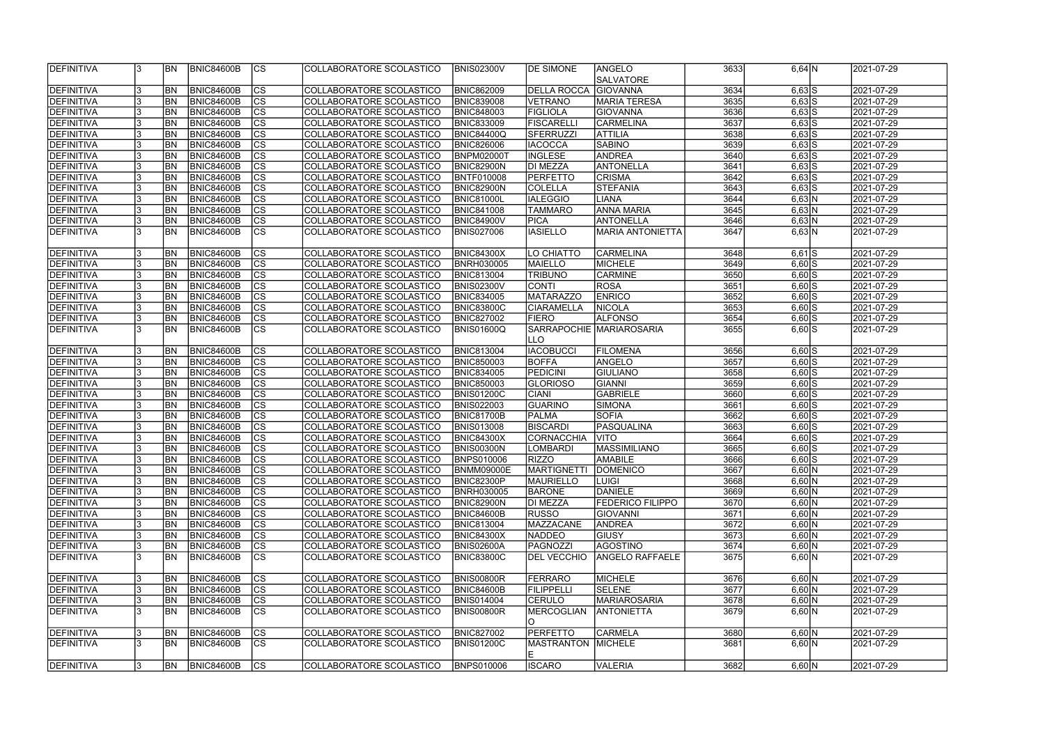| <b>DEFINITIVA</b> | 13             | <b>BN</b>  | <b>BNIC84600B</b> | cs                     | COLLABORATORE SCOLASTICO        | <b>BNIS02300V</b> | <b>DE SIMONE</b>   | <b>ANGELO</b>           | 3633 | $6,64$ N   | 2021-07-29 |
|-------------------|----------------|------------|-------------------|------------------------|---------------------------------|-------------------|--------------------|-------------------------|------|------------|------------|
|                   |                |            |                   |                        |                                 |                   |                    | <b>SALVATORE</b>        |      |            |            |
| DEFINITIVA        | 3              | <b>BN</b>  | <b>BNIC84600B</b> | $ {\rm CS} $           | COLLABORATORE SCOLASTICO        | <b>BNIC862009</b> | <b>DELLA ROCCA</b> | <b>GIOVANNA</b>         | 3634 | $6,63$ $S$ | 2021-07-29 |
| DEFINITIVA        | 3              | <b>BN</b>  | BNIC84600B        | $\overline{\text{cs}}$ | COLLABORATORE SCOLASTICO        | <b>BNIC839008</b> | VETRANO            | MARIA TERESA            | 3635 | $6,63$ S   | 2021-07-29 |
| <b>DEFINITIVA</b> | l3             | <b>BN</b>  | BNIC84600B        | $\overline{\text{cs}}$ | COLLABORATORE SCOLASTICO        | <b>BNIC848003</b> | <b>FIGLIOLA</b>    | <b>GIOVANNA</b>         | 3636 | $6,63$ S   | 2021-07-29 |
| <b>DEFINITIVA</b> | 3              | <b>BN</b>  | BNIC84600B        | cs                     | COLLABORATORE SCOLASTICO        | <b>BNIC833009</b> | <b>FISCARELLI</b>  | CARMELINA               | 3637 | $6,63$ S   | 2021-07-29 |
| DEFINITIVA        | 13             | <b>BN</b>  | BNIC84600B        | cs                     | COLLABORATORE SCOLASTICO        | <b>BNIC84400Q</b> | SFERRUZZI          | <b>ATTILIA</b>          | 3638 | $6,63$ $S$ | 2021-07-29 |
| DEFINITIVA        | 13             | <b>BN</b>  | <b>BNIC84600B</b> | cs                     | COLLABORATORE SCOLASTICO        | <b>BNIC826006</b> | <b>IACOCCA</b>     | <b>SABINO</b>           | 3639 | $6,63$ S   | 2021-07-29 |
| DEFINITIVA        | l3             | <b>BN</b>  | BNIC84600B        | $\overline{\text{cs}}$ | COLLABORATORE SCOLASTICO        | <b>BNPM02000T</b> | <b>INGLESE</b>     | <b>ANDREA</b>           | 3640 | $6,63$ $S$ | 2021-07-29 |
| DEFINITIVA        | l3             | <b>BN</b>  | BNIC84600B        | cs                     | COLLABORATORE SCOLASTICO        | <b>BNIC82900N</b> | DI MEZZA           | ANTONELLA               | 3641 | $6,63$ S   | 2021-07-29 |
| DEFINITIVA        | 3              | <b>BN</b>  | <b>BNIC84600B</b> | cs                     | COLLABORATORE SCOLASTICO        | <b>BNTF010008</b> | <b>PERFETTO</b>    | <b>CRISMA</b>           | 3642 | $6,63$ S   | 2021-07-29 |
| DEFINITIVA        | 3              | <b>BN</b>  | <b>BNIC84600B</b> | cs                     | COLLABORATORE SCOLASTICO        | <b>BNIC82900N</b> | <b>COLELLA</b>     | STEFANIA                | 3643 | $6,63$ S   | 2021-07-29 |
| DEFINITIVA        | 3              | <b>BN</b>  | <b>BNIC84600B</b> | cs                     | COLLABORATORE SCOLASTICO        | <b>BNIC81000L</b> | <b>IALEGGIO</b>    | <b>LIANA</b>            | 3644 | 6,63 N     | 2021-07-29 |
| DEFINITIVA        | 3              | <b>BN</b>  | <b>BNIC84600B</b> | <b>CS</b>              | COLLABORATORE SCOLASTICO        | <b>BNIC841008</b> | <b>TAMMARO</b>     | <b>ANNA MARIA</b>       | 3645 | $6,63$ N   | 2021-07-29 |
| DEFINITIVA        | 3              | <b>BN</b>  | <b>BNIC84600B</b> | $ {\rm CS} $           | COLLABORATORE SCOLASTICO        | <b>BNIC84900V</b> | <b>PICA</b>        | <b>ANTONELLA</b>        | 3646 | 6,63 N     | 2021-07-29 |
| <b>DEFINITIVA</b> | 3              | <b>BN</b>  | BNIC84600B        | $\overline{\text{cs}}$ | COLLABORATORE SCOLASTICO        | <b>BNIS027006</b> | <b>IASIELLO</b>    | <b>MARIA ANTONIETTA</b> | 3647 | 6,63 N     | 2021-07-29 |
|                   |                |            |                   |                        |                                 |                   |                    |                         |      |            |            |
| DEFINITIVA        | IЗ             | <b>BN</b>  | <b>BNIC84600B</b> | <b>CS</b>              | COLLABORATORE SCOLASTICO        | <b>BNIC84300X</b> | LO CHIATTO         | CARMELINA               | 3648 | $6,61$ $S$ | 2021-07-29 |
| DEFINITIVA        | 3              | <b>BN</b>  | BNIC84600B        | $\overline{\text{cs}}$ | COLLABORATORE SCOLASTICO        | <b>BNRH030005</b> | MAIELLO            | MICHELE                 | 3649 | $6,60$ S   | 2021-07-29 |
| <b>DEFINITIVA</b> | 3              | <b>BN</b>  | BNIC84600B        | $\overline{\text{cs}}$ | COLLABORATORE SCOLASTICO        | <b>BNIC813004</b> | <b>TRIBUNO</b>     | <b>CARMINE</b>          | 3650 | $6,60$ S   | 2021-07-29 |
| <b>DEFINITIVA</b> | l3             | <b>BN</b>  | <b>BNIC84600B</b> | $\overline{\text{CS}}$ | COLLABORATORE SCOLASTICO        | <b>BNIS02300V</b> | <b>CONTI</b>       | ROSA                    | 3651 | $6,60$ S   | 2021-07-29 |
| <b>DEFINITIVA</b> | 3              | <b>BN</b>  | <b>BNIC84600B</b> | cs                     | COLLABORATORE SCOLASTICO        | <b>BNIC834005</b> | MATARAZZO          | <b>ENRICO</b>           | 3652 | $6,60$ $S$ | 2021-07-29 |
| DEFINITIVA        | 13             | <b>BN</b>  | <b>BNIC84600B</b> | <b>CS</b>              | COLLABORATORE SCOLASTICO        | <b>BNIC83800C</b> | <b>CIARAMELLA</b>  | <b>NICOLA</b>           | 3653 | $6,60$ S   | 2021-07-29 |
| DEFINITIVA        | 3              | <b>BN</b>  | <b>BNIC84600B</b> | cs                     | COLLABORATORE SCOLASTICO        | <b>BNIC827002</b> | <b>FIERO</b>       | <b>ALFONSO</b>          | 3654 | $6,60$ $S$ | 2021-07-29 |
| <b>DEFINITIVA</b> | l3             | <b>BN</b>  | <b>BNIC84600B</b> | cs                     | COLLABORATORE SCOLASTICO        | <b>BNIS01600Q</b> | SARRAPOCHIE        | <b>MARIAROSARIA</b>     | 3655 | $6,60$ S   | 2021-07-29 |
|                   |                |            |                   |                        |                                 |                   | ILLO               |                         |      |            |            |
| DEFINITIVA        | 13             | <b>BN</b>  | <b>BNIC84600B</b> | cs                     | COLLABORATORE SCOLASTICO        | <b>BNIC813004</b> | <b>IACOBUCCI</b>   | <b>FILOMENA</b>         | 3656 | $6,60$ S   | 2021-07-29 |
| DEFINITIVA        | 3              | <b>BN</b>  | <b>BNIC84600B</b> | cs                     | COLLABORATORE SCOLASTICO        | <b>BNIC850003</b> | <b>BOFFA</b>       | ANGELO                  | 3657 | $6,60$ S   | 2021-07-29 |
| <b>DEFINITIVA</b> | 3              | <b>BN</b>  | <b>BNIC84600B</b> | cs                     | COLLABORATORE SCOLASTICO        | <b>BNIC834005</b> | PEDICINI           | <b>GIULIANO</b>         | 3658 | $6,60$ S   | 2021-07-29 |
| <b>DEFINITIVA</b> | 3              | <b>BN</b>  | <b>BNIC84600B</b> | cs                     | COLLABORATORE SCOLASTICO        | <b>BNIC850003</b> | <b>GLORIOSO</b>    | GIANNI                  | 3659 | $6,60$ S   | 2021-07-29 |
| <b>DEFINITIVA</b> | 3              | <b>BN</b>  | <b>BNIC84600B</b> | $\overline{\text{cs}}$ | COLLABORATORE SCOLASTICO        | <b>BNIS01200C</b> | <b>CIANI</b>       | <b>GABRIELE</b>         | 3660 | $6,60$ S   | 2021-07-29 |
| <b>DEFINITIVA</b> | $\overline{3}$ | <b>BN</b>  | BNIC84600B        | $\overline{\text{cs}}$ | <b>COLLABORATORE SCOLASTICO</b> | <b>BNIS022003</b> | GUARINO            | SIMONA                  | 3661 | $6,60$ S   | 2021-07-29 |
| DEFINITIVA        | 3              | <b>BN</b>  | <b>BNIC84600B</b> | cs                     | COLLABORATORE SCOLASTICO        | <b>BNIC81700B</b> | PALMA              | <b>SOFIA</b>            | 3662 | $6,60$ S   | 2021-07-29 |
| <b>DEFINITIVA</b> | 3              | <b>BN</b>  | BNIC84600B        | cs                     | COLLABORATORE SCOLASTICO        | <b>BNIS013008</b> | <b>BISCARDI</b>    | <b>PASQUALINA</b>       | 3663 | $6,60$ S   | 2021-07-29 |
| <b>DEFINITIVA</b> | 3              | <b>BN</b>  | <b>BNIC84600B</b> | $\overline{\text{CS}}$ | COLLABORATORE SCOLASTICO        | <b>BNIC84300X</b> | CORNACCHIA         | <b>VITO</b>             | 3664 | $6,60$ S   | 2021-07-29 |
| <b>DEFINITIVA</b> | 3              | <b>BN</b>  | <b>BNIC84600B</b> | $\overline{\text{cs}}$ | COLLABORATORE SCOLASTICO        | <b>BNIS00300N</b> | <b>LOMBARDI</b>    | MASSIMILIANO            | 3665 | $6,60$ S   | 2021-07-29 |
| <b>DEFINITIVA</b> | ıз             | IBN.       | <b>BNIC84600B</b> | <sub>ICS</sub>         | COLLABORATORE SCOLASTICO        | <b>BNPS010006</b> | <b>RIZZO</b>       | AMABILE                 | 3666 | $6,60$ S   | 2021-07-29 |
| DEFINITIVA        | l3             | <b>BN</b>  | <b>BNIC84600B</b> | lcs                    | COLLABORATORE SCOLASTICO        | <b>BNMM09000E</b> | <b>MARTIGNETTI</b> | <b>DOMENICO</b>         | 3667 | 6,60 N     | 2021-07-29 |
| <b>DEFINITIVA</b> | 3              | <b>BN</b>  | <b>BNIC84600B</b> | CS                     | COLLABORATORE SCOLASTICO        | <b>BNIC82300P</b> | MAURIELLO          | ILUIGI                  | 3668 | 6,60 N     | 2021-07-29 |
| <b>DEFINITIVA</b> | 13             | <b>BN</b>  | <b>BNIC84600B</b> | CS                     | COLLABORATORE SCOLASTICO        | <b>BNRH030005</b> | <b>BARONE</b>      | DANIELE                 | 3669 | 6,60 N     | 2021-07-29 |
| DEFINITIVA        | 3              | <b>BN</b>  | <b>BNIC84600B</b> | cs                     | COLLABORATORE SCOLASTICO        | <b>BNIC82900N</b> | DI MEZZA           | <b>FEDERICO FILIPPO</b> | 3670 | 6,60 N     | 2021-07-29 |
| DEFINITIVA        | 3              | <b>BN</b>  | <b>BNIC84600B</b> | $\overline{\text{CS}}$ | COLLABORATORE SCOLASTICO        | <b>BNIC84600B</b> | <b>RUSSO</b>       | <b>GIOVANNI</b>         | 3671 | 6,60 N     | 2021-07-29 |
| DEFINITIVA        | 3              | <b>BN</b>  | <b>BNIC84600B</b> | CS                     | COLLABORATORE SCOLASTICO        | <b>BNIC813004</b> | <b>MAZZACANE</b>   | <b>ANDREA</b>           | 3672 | 6,60 N     | 2021-07-29 |
| DEFINITIVA        | 3              | <b>BN</b>  | <b>BNIC84600B</b> | cs                     | COLLABORATORE SCOLASTICO        | <b>BNIC84300X</b> | <b>NADDEO</b>      | <b>GIUSY</b>            | 3673 | 6,60 N     | 2021-07-29 |
| DEFINITIVA        | 3              | <b>BN</b>  | <b>BNIC84600B</b> | cs                     | COLLABORATORE SCOLASTICO        | <b>BNIS02600A</b> | PAGNOZZI           | <b>AGOSTINO</b>         | 3674 | 6,60 N     | 2021-07-29 |
| DEFINITIVA        | 3              | <b>IBN</b> | <b>BNIC84600B</b> | cs                     | COLLABORATORE SCOLASTICO        | <b>BNIC83800C</b> | <b>DEL VECCHIO</b> | <b>ANGELO RAFFAELE</b>  | 3675 | 6,60 N     | 2021-07-29 |
| DEFINITIVA        | 3              | <b>BN</b>  | <b>BNIC84600B</b> | cs                     | COLLABORATORE SCOLASTICO        | <b>BNIS00800R</b> | FERRARO            | MICHELE                 | 3676 | 6,60 N     | 2021-07-29 |
| DEFINITIVA        | 3              | <b>BN</b>  | <b>BNIC84600B</b> | cs                     | COLLABORATORE SCOLASTICO        | <b>BNIC84600B</b> | FILIPPELLI         | <b>SELENE</b>           | 3677 | 6,60 N     | 2021-07-29 |
| <b>DEFINITIVA</b> | 3              | <b>BN</b>  | <b>BNIC84600B</b> | <b>CS</b>              | COLLABORATORE SCOLASTICO        | <b>BNIS014004</b> | <b>CERULO</b>      | <b>MARIAROSARIA</b>     | 3678 | 6,60 N     | 2021-07-29 |
| <b>DEFINITIVA</b> | 13             | <b>BN</b>  | <b>BNIC84600B</b> | CS                     | COLLABORATORE SCOLASTICO        | <b>BNIS00800R</b> | <b>MERCOGLIAN</b>  | <b>ANTONIETTA</b>       | 3679 | 6,60 N     | 2021-07-29 |
|                   |                |            |                   |                        |                                 |                   |                    |                         |      |            |            |
| <b>DEFINITIVA</b> | 3              | <b>BN</b>  | <b>BNIC84600B</b> | CS                     | COLLABORATORE SCOLASTICO        | <b>BNIC827002</b> | <b>PERFETTO</b>    | <b>CARMELA</b>          | 3680 | 6,60 N     | 2021-07-29 |
| <b>DEFINITIVA</b> | 3              | <b>IBN</b> | <b>BNIC84600B</b> | <b>CS</b>              | COLLABORATORE SCOLASTICO        | <b>BNIS01200C</b> | MASTRANTON MICHELE |                         | 3681 | 6,60 N     | 2021-07-29 |
|                   |                |            |                   |                        |                                 |                   | IE.                |                         |      |            |            |
| <b>DEFINITIVA</b> | 3              | <b>BN</b>  | <b>BNIC84600B</b> | Ics                    | COLLABORATORE SCOLASTICO        | <b>BNPS010006</b> | <b>ISCARO</b>      | <b>VALERIA</b>          | 3682 | 6,60 N     | 2021-07-29 |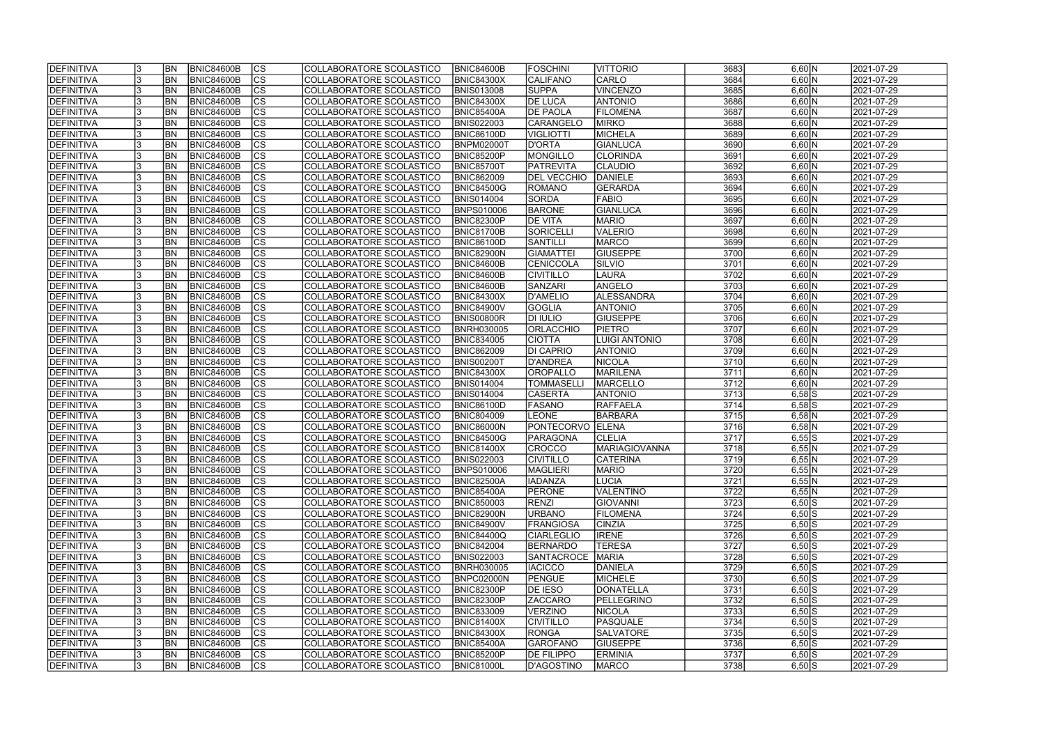| <b>IDEFINITIVA</b> | <b>BN</b> | <b>BNIC84600B</b> | <b>CS</b>                | COLLABORATORE SCOLASTICO | <b>BNIC84600B</b> | <b>IFOSCHINI</b>   | VITTORIO             | 3683 | 6,60 N     | 2021-07-29 |
|--------------------|-----------|-------------------|--------------------------|--------------------------|-------------------|--------------------|----------------------|------|------------|------------|
| <b>DEFINITIVA</b>  | <b>BN</b> | <b>BNIC84600B</b> | cs                       | COLLABORATORE SCOLASTICO | <b>BNIC84300X</b> | <b>CALIFANO</b>    | CARLO                | 3684 | 6,60 N     | 2021-07-29 |
| <b>DEFINITIVA</b>  | <b>BN</b> | <b>BNIC84600B</b> | cs                       | COLLABORATORE SCOLASTICO | <b>BNIS013008</b> | <b>SUPPA</b>       | <b>VINCENZO</b>      | 3685 | 6,60 N     | 2021-07-29 |
| <b>DEFINITIVA</b>  | <b>BN</b> | <b>BNIC84600B</b> | $\overline{\text{CS}}$   | COLLABORATORE SCOLASTICO | <b>BNIC84300X</b> | <b>DE LUCA</b>     | <b>ANTONIO</b>       | 3686 | 6,60 N     | 2021-07-29 |
| DEFINITIVA         | <b>BN</b> | <b>BNIC84600B</b> | $\overline{\text{cs}}$   | COLLABORATORE SCOLASTICO | BNIC85400A        | <b>DE PAOLA</b>    | <b>FILOMENA</b>      | 3687 | 6,60 N     | 2021-07-29 |
| <b>DEFINITIVA</b>  | <b>BN</b> | <b>BNIC84600B</b> | $\overline{\text{CS}}$   | COLLABORATORE SCOLASTICO | <b>BNIS022003</b> | <b>CARANGELO</b>   | <b>MIRKO</b>         | 3688 | 6,60 N     | 2021-07-29 |
| DEFINITIVA         | <b>BN</b> | <b>BNIC84600B</b> | <b>CS</b>                | COLLABORATORE SCOLASTICO | BNIC86100D        | VIGLIOTTI          | <b>MICHELA</b>       | 3689 | 6,60 N     | 2021-07-29 |
| <b>DEFINITIVA</b>  | <b>BN</b> | <b>BNIC84600B</b> | $\overline{\text{CS}}$   | COLLABORATORE SCOLASTICO | <b>BNPM02000T</b> | <b>D'ORTA</b>      | GIANLUCA             | 3690 | 6,60 N     | 2021-07-29 |
| DEFINITIVA         | <b>BN</b> | <b>BNIC84600B</b> | <b>CS</b>                | COLLABORATORE SCOLASTICO | <b>BNIC85200P</b> | MONGILLO           | <b>CLORINDA</b>      | 3691 | 6,60 N     | 2021-07-29 |
| <b>DEFINITIVA</b>  | <b>BN</b> | <b>BNIC84600B</b> | cs                       | COLLABORATORE SCOLASTICO | <b>BNIC85700T</b> | <b>PATREVITA</b>   | <b>CLAUDIO</b>       | 3692 | 6,60 N     | 2021-07-29 |
| DEFINITIVA         | <b>BN</b> | <b>BNIC84600B</b> | $\overline{\text{CS}}$   | COLLABORATORE SCOLASTICO | <b>BNIC862009</b> | <b>DEL VECCHIO</b> | <b>DANIELE</b>       | 3693 | 6,60 N     | 2021-07-29 |
| DEFINITIVA         | BN        | <b>BNIC84600B</b> | cs                       | COLLABORATORE SCOLASTICO | <b>BNIC84500G</b> | ROMANO             | <b>GERARDA</b>       | 3694 | 6,60 N     | 2021-07-29 |
| <b>DEFINITIVA</b>  | <b>BN</b> | <b>BNIC84600B</b> | cs                       | COLLABORATORE SCOLASTICO | <b>BNIS014004</b> | <b>SORDA</b>       | FABIO                | 3695 | 6,60 N     | 2021-07-29 |
| <b>DEFINITIVA</b>  | <b>BN</b> | <b>BNIC84600B</b> | $\overline{\text{CS}}$   | COLLABORATORE SCOLASTICO | <b>BNPS010006</b> | <b>BARONE</b>      | <b>GIANLUCA</b>      | 3696 | 6,60 N     | 2021-07-29 |
| <b>DEFINITIVA</b>  | <b>BN</b> | <b>BNIC84600B</b> | $\overline{\text{CS}}$   | COLLABORATORE SCOLASTICO | BNIC82300P        | <b>DE VITA</b>     | <b>MARIO</b>         | 3697 | 6,60 N     | 2021-07-29 |
| <b>DEFINITIVA</b>  | <b>BN</b> | <b>BNIC84600B</b> | CS                       | COLLABORATORE SCOLASTICO | <b>BNIC81700B</b> | SORICELLI          | <b>VALERIO</b>       | 3698 | 6,60 N     | 2021-07-29 |
| <b>DEFINITIVA</b>  | <b>BN</b> | <b>BNIC84600B</b> | $\overline{\text{CS}}$   | COLLABORATORE SCOLASTICO | BNIC86100D        | SANTILLI           | <b>MARCO</b>         | 3699 | 6,60 N     | 2021-07-29 |
| <b>DEFINITIVA</b>  | <b>BN</b> | <b>BNIC84600B</b> | CS                       | COLLABORATORE SCOLASTICO | BNIC82900N        | <b>GIAMATTEI</b>   | <b>GIUSEPPE</b>      | 3700 | 6,60 N     | 2021-07-29 |
| DEFINITIVA         | BN        | <b>BNIC84600B</b> | CS                       | COLLABORATORE SCOLASTICO | BNIC84600B        | CENICCOLA          | SILVIO               | 3701 | 6,60 N     | 2021-07-29 |
| <b>DEFINITIVA</b>  | <b>BN</b> | <b>BNIC84600B</b> | CS                       | COLLABORATORE SCOLASTICO | BNIC84600B        | <b>CIVITILLO</b>   | <b>LAURA</b>         | 3702 | 6,60 N     | 2021-07-29 |
| <b>DEFINITIVA</b>  | BN        | <b>BNIC84600B</b> | CS                       | COLLABORATORE SCOLASTICO | BNIC84600B        | <b>SANZARI</b>     | ANGELO               | 3703 | 6,60 N     | 2021-07-29 |
| DEFINITIVA         | BN        | <b>BNIC84600B</b> | <b>CS</b>                | COLLABORATORE SCOLASTICO | <b>BNIC84300X</b> | D'AMELIO           | ALESSANDRA           | 3704 | 6,60 N     | 2021-07-29 |
| <b>DEFINITIVA</b>  | <b>BN</b> | <b>BNIC84600B</b> | <b>CS</b>                | COLLABORATORE SCOLASTICO | <b>BNIC84900V</b> | <b>GOGLIA</b>      | <b>ANTONIO</b>       | 3705 | 6,60 N     | 2021-07-29 |
| DEFINITIVA         | <b>BN</b> | <b>BNIC84600B</b> | <b>CS</b>                | COLLABORATORE SCOLASTICO | BNIS00800R        | <b>DI IULIO</b>    | <b>GIUSEPPE</b>      | 3706 | 6,60 N     | 2021-07-29 |
| DEFINITIVA         | <b>BN</b> | <b>BNIC84600B</b> | lcs                      | COLLABORATORE SCOLASTICO | <b>BNRH030005</b> | <b>ORLACCHIO</b>   | <b>PIETRO</b>        | 3707 | 6,60 N     | 2021-07-29 |
| <b>DEFINITIVA</b>  | <b>BN</b> | <b>BNIC84600B</b> | <b>CS</b>                | COLLABORATORE SCOLASTICO | <b>BNIC834005</b> | <b>CIOTTA</b>      | <b>LUIGI ANTONIO</b> | 3708 | 6,60 N     | 2021-07-29 |
| <b>DEFINITIVA</b>  | <b>BN</b> | <b>BNIC84600B</b> | lcs                      | COLLABORATORE SCOLASTICO | <b>BNIC862009</b> | <b>DI CAPRIO</b>   | <b>ANTONIO</b>       | 3709 | 6,60 N     | 2021-07-29 |
| <b>DEFINITIVA</b>  | <b>BN</b> | <b>BNIC84600B</b> | lcs                      | COLLABORATORE SCOLASTICO | BNIS00200T        | D'ANDREA           | <b>NICOLA</b>        | 3710 | 6,60 N     | 2021-07-29 |
| <b>DEFINITIVA</b>  | <b>BN</b> | <b>BNIC84600B</b> | $ \overline{\text{cs}} $ | COLLABORATORE SCOLASTICO | <b>BNIC84300X</b> | <b>OROPALLO</b>    | <b>MARILENA</b>      | 3711 | 6,60 N     | 2021-07-29 |
| DEFINITIVA         | <b>BN</b> | <b>BNIC84600B</b> | lcs                      | COLLABORATORE SCOLASTICO | <b>BNIS014004</b> | <b>TOMMASELL</b>   | MARCELLO             | 3712 | 6,60 N     | 2021-07-29 |
| DEFINITIVA         | <b>BN</b> | <b>BNIC84600B</b> | $ \overline{\text{CS}} $ | COLLABORATORE SCOLASTICO | <b>BNIS014004</b> | <b>CASERTA</b>     | <b>ANTONIO</b>       | 3713 | $6,58$ S   | 2021-07-29 |
| DEFINITIVA         | <b>BN</b> | <b>BNIC84600B</b> | $\overline{\text{CS}}$   | COLLABORATORE SCOLASTICO | BNIC86100D        | <b>FASANO</b>      | RAFFAELA             | 3714 | $6,58$ S   | 2021-07-29 |
| DEFINITIVA         | <b>BN</b> | <b>BNIC84600B</b> | $\overline{\text{CS}}$   | COLLABORATORE SCOLASTICO | <b>BNIC804009</b> | <b>LEONE</b>       | <b>BARBARA</b>       | 3715 | $6,58$ N   | 2021-07-29 |
| DEFINITIVA         | <b>BN</b> | <b>BNIC84600B</b> | $\overline{\text{CS}}$   | COLLABORATORE SCOLASTICO | <b>BNIC86000N</b> | PONTECORVO ELENA   |                      | 3716 | $6,58$ N   | 2021-07-29 |
| <b>DEFINITIVA</b>  | <b>BN</b> | <b>BNIC84600B</b> | $\overline{\text{CS}}$   | COLLABORATORE SCOLASTICO | <b>BNIC84500G</b> | <b>PARAGONA</b>    | <b>CLELIA</b>        | 3717 | $6,55$ S   | 2021-07-29 |
| DEFINITIVA         | <b>BN</b> | <b>BNIC84600B</b> | $\overline{\text{CS}}$   | COLLABORATORE SCOLASTICO | <b>BNIC81400X</b> | <b>CROCCO</b>      | <b>MARIAGIOVANNA</b> | 3718 | $6,55$ N   | 2021-07-29 |
| <b>DEFINITIVA</b>  | <b>BN</b> | BNIC84600B        | $ {\rm cs}$              | COLLABORATORE SCOLASTICO | <b>BNIS022003</b> | <b>CIVITILLO</b>   | <b>CATERINA</b>      | 3719 | $6,55$ N   | 2021-07-29 |
| DEFINITIVA         | <b>BN</b> | <b>BNIC84600B</b> | lcs                      | COLLABORATORE SCOLASTICO | <b>BNPS010006</b> | <b>MAGLIERI</b>    | <b>MARIO</b>         | 3720 | $6,55$ N   | 2021-07-29 |
| <b>DEFINITIVA</b>  | <b>BN</b> | BNIC84600B        | CS                       | COLLABORATORE SCOLASTICO | <b>BNIC82500A</b> | <b>IADANZA</b>     | LUCIA                | 3721 | $6,55$ N   | 2021-07-29 |
| <b>DEFINITIVA</b>  | <b>BN</b> | <b>BNIC84600B</b> | <b>CS</b>                | COLLABORATORE SCOLASTICO | <b>BNIC85400A</b> | <b>PERONE</b>      | <b>VALENTINO</b>     | 3722 | $6,55$ N   | 2021-07-29 |
| DEFINITIVA         | <b>BN</b> | <b>BNIC84600B</b> | <b>CS</b>                | COLLABORATORE SCOLASTICO | <b>BNIC850003</b> | <b>RENZI</b>       | GIOVANNI             | 3723 | $6,50$ $S$ | 2021-07-29 |
| <b>DEFINITIVA</b>  | <b>BN</b> | <b>BNIC84600B</b> | CS                       | COLLABORATORE SCOLASTICO | <b>BNIC82900N</b> | <b>URBANO</b>      | <b>FILOMENA</b>      | 3724 | $6,50$ $S$ | 2021-07-29 |
| DEFINITIVA         | <b>BN</b> | <b>BNIC84600B</b> | CS                       | COLLABORATORE SCOLASTICO | <b>BNIC84900V</b> | <b>FRANGIOSA</b>   | <b>CINZIA</b>        | 3725 | $6,50$ S   | 2021-07-29 |
| DEFINITIVA         | <b>BN</b> | BNIC84600B        | <b>CS</b>                | COLLABORATORE SCOLASTICO | <b>BNIC84400Q</b> | CIARLEGLIO         | <b>IRENE</b>         | 3726 | $6,50$ $S$ | 2021-07-29 |
| <b>DEFINITIVA</b>  | <b>BN</b> | BNIC84600B        | CS                       | COLLABORATORE SCOLASTICO | <b>BNIC842004</b> | <b>BERNARDO</b>    | <b>TERESA</b>        | 3727 | $6,50$ $S$ | 2021-07-29 |
| <b>DEFINITIVA</b>  | <b>BN</b> | BNIC84600B        | CS                       | COLLABORATORE SCOLASTICO | <b>BNIS022003</b> | <b>SANTACROCE</b>  | MARIA                | 3728 | $6,50$ $S$ | 2021-07-29 |
| <b>DEFINITIVA</b>  | <b>BN</b> | BNIC84600B        | CS                       | COLLABORATORE SCOLASTICO | <b>BNRH030005</b> | <b>IACICCO</b>     | DANIELA              | 3729 | $6,50$ S   | 2021-07-29 |
| <b>DEFINITIVA</b>  | <b>BN</b> | BNIC84600B        | <b>CS</b>                | COLLABORATORE SCOLASTICO | <b>BNPC02000N</b> | PENGUE             | MICHELE              | 3730 | $6,50$ $S$ | 2021-07-29 |
| <b>DEFINITIVA</b>  | <b>BN</b> | BNIC84600B        | <b>CS</b>                | COLLABORATORE SCOLASTICO | <b>BNIC82300P</b> | <b>DE IESO</b>     | DONATELLA            | 3731 | $6,50$ $S$ | 2021-07-29 |
| <b>DEFINITIVA</b>  | <b>BN</b> | <b>BNIC84600B</b> | cs                       | COLLABORATORE SCOLASTICO | <b>BNIC82300P</b> | <b>ZACCARO</b>     | PELLEGRINO           | 3732 | $6,50$ $S$ | 2021-07-29 |
| <b>DEFINITIVA</b>  | <b>BN</b> | <b>BNIC84600B</b> | <b>CS</b>                | COLLABORATORE SCOLASTICO | <b>BNIC833009</b> | <b>VERZINO</b>     | <b>NICOLA</b>        | 3733 | $6,50$ $S$ | 2021-07-29 |
| <b>DEFINITIVA</b>  | <b>BN</b> | <b>BNIC84600B</b> | CS                       | COLLABORATORE SCOLASTICO | <b>BNIC81400X</b> | <b>CIVITILLO</b>   | PASQUALE             | 3734 | $6,50$ S   | 2021-07-29 |
| <b>DEFINITIVA</b>  | IBN.      | <b>BNIC84600B</b> | CS                       | COLLABORATORE SCOLASTICO | <b>BNIC84300X</b> | <b>RONGA</b>       | <b>SALVATORE</b>     | 3735 | $6,50$ $S$ | 2021-07-29 |
| <b>DEFINITIVA</b>  | IBN.      | <b>BNIC84600B</b> | <b>CS</b>                | COLLABORATORE SCOLASTICO | <b>BNIC85400A</b> | <b>GAROFANO</b>    | <b>GIUSEPPE</b>      | 3736 | $6,50$ S   | 2021-07-29 |
| <b>DEFINITIVA</b>  | IBN.      | <b>BNIC84600B</b> | CS                       | COLLABORATORE SCOLASTICO | <b>BNIC85200P</b> | <b>DE FILIPPO</b>  | <b>ERMINIA</b>       | 3737 | $6,50$ $S$ | 2021-07-29 |
| <b>DEFINITIVA</b>  | <b>BN</b> | <b>BNIC84600B</b> | CS                       | COLLABORATORE SCOLASTICO | <b>BNIC81000L</b> | D'AGOSTINO         | <b>MARCO</b>         | 3738 | $6,50$ $S$ | 2021-07-29 |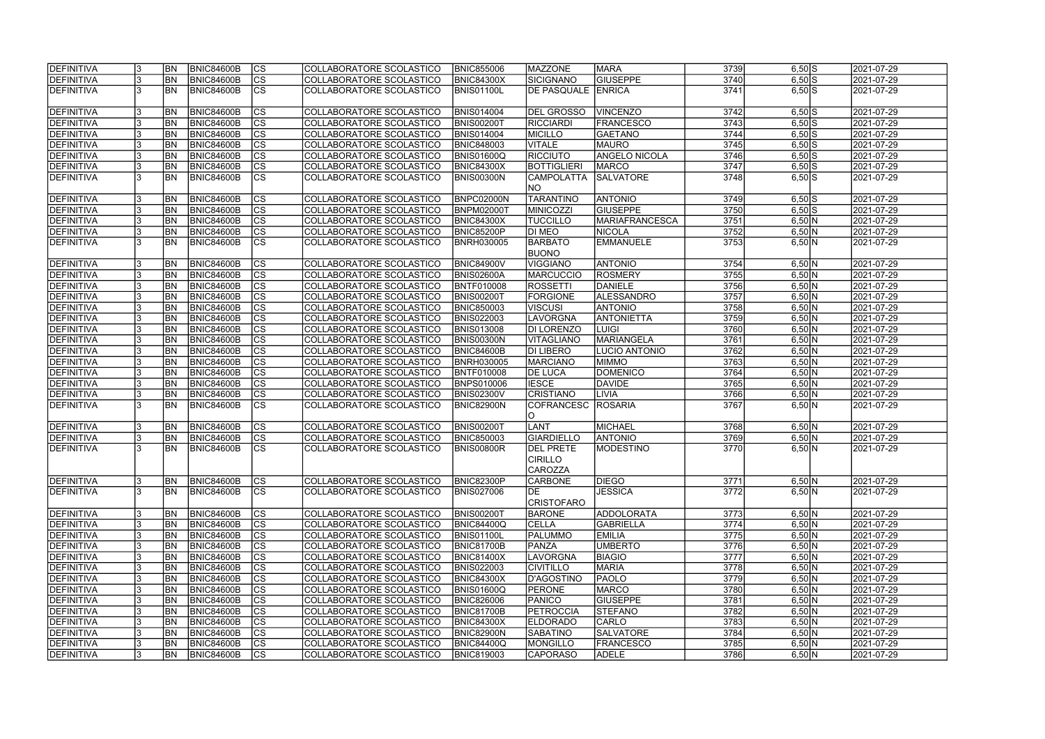| DEFINITIVA        |     | <b>BN</b>      | <b>BNIC84600B</b> | <b>CS</b>                | COLLABORATORE SCOLASTICO | <b>BNIC855006</b> | <b>MAZZONE</b>                                | <b>MARA</b>          | 3739 | $6,50$ $S$ | 2021-07-29 |
|-------------------|-----|----------------|-------------------|--------------------------|--------------------------|-------------------|-----------------------------------------------|----------------------|------|------------|------------|
| DEFINITIVA        |     | <b>BN</b>      | <b>BNIC84600B</b> | $\overline{\text{cs}}$   | COLLABORATORE SCOLASTICO | <b>BNIC84300X</b> | <b>SICIGNANO</b>                              | <b>GIUSEPPE</b>      | 3740 | $6,50$ S   | 2021-07-29 |
| DEFINITIVA        |     | <b>BN</b>      | <b>BNIC84600B</b> | $\overline{\text{cs}}$   | COLLABORATORE SCOLASTICO | <b>BNIS01100L</b> | DE PASQUALE ENRICA                            |                      | 3741 | $6,50$ S   | 2021-07-29 |
| DEFINITIVA        |     | <b>BN</b>      | <b>BNIC84600B</b> | $\overline{\text{CS}}$   | COLLABORATORE SCOLASTICO | <b>BNIS014004</b> | <b>DEL GROSSO</b>                             | <b>VINCENZO</b>      | 3742 | $6,50$ S   | 2021-07-29 |
| DEFINITIVA        |     | <b>BN</b>      | BNIC84600B        | $\overline{\text{cs}}$   | COLLABORATORE SCOLASTICO | <b>BNIS00200T</b> | RICCIARDI                                     | <b>FRANCESCO</b>     | 3743 | $6,50$ S   | 2021-07-29 |
| DEFINITIVA        |     | <b>BN</b>      | <b>BNIC84600B</b> | cs                       | COLLABORATORE SCOLASTICO | <b>BNIS014004</b> | <b>MICILLO</b>                                | <b>GAETANO</b>       | 3744 | $6,50$ S   | 2021-07-29 |
| DEFINITIVA        |     | <b>BN</b>      | <b>BNIC84600B</b> | cs                       | COLLABORATORE SCOLASTICO | <b>BNIC848003</b> | <b>VITALE</b>                                 | MAURO                | 3745 | $6,50$ $S$ | 2021-07-29 |
| DEFINITIVA        |     | <b>BN</b>      | <b>BNIC84600B</b> | cs                       | COLLABORATORE SCOLASTICO | <b>BNIS01600Q</b> | <b>RICCIUTO</b>                               | <b>ANGELO NICOLA</b> | 3746 | $6,50$ S   | 2021-07-29 |
| DEFINITIVA        |     | <b>BN</b>      | <b>BNIC84600B</b> | cs                       | COLLABORATORE SCOLASTICO | <b>BNIC84300X</b> | <b>BOTTIGLIERI</b>                            | MARCO                | 3747 | $6,50$ S   | 2021-07-29 |
| DEFINITIVA        |     | <b>BN</b>      | <b>BNIC84600B</b> | <b>CS</b>                | COLLABORATORE SCOLASTICO |                   | <b>CAMPOLATTA</b>                             | <b>SALVATORE</b>     | 3748 | $6,50$ $S$ |            |
|                   |     |                |                   |                          |                          | <b>BNIS00300N</b> | <b>NO</b>                                     |                      |      |            | 2021-07-29 |
| <b>DEFINITIVA</b> |     | <b>BN</b>      | <b>BNIC84600B</b> | cs                       | COLLABORATORE SCOLASTICO | BNPC02000N        | <b>TARANTINO</b>                              | <b>ANTONIO</b>       | 3749 | $6,50$ S   | 2021-07-29 |
| DEFINITIVA        |     | <b>BN</b>      | <b>BNIC84600B</b> | $\overline{\text{cs}}$   | COLLABORATORE SCOLASTICO | BNPM02000T        | MINICOZZI                                     | <b>GIUSEPPE</b>      | 3750 | $6,50$ $S$ | 2021-07-29 |
| DEFINITIVA        |     | <b>BN</b>      | <b>BNIC84600B</b> | $\overline{\text{cs}}$   | COLLABORATORE SCOLASTICO | <b>BNIC84300X</b> | <b>TUCCILLO</b>                               | MARIAFRANCESCA       | 3751 | 6,50 N     | 2021-07-29 |
| DEFINITIVA        |     | <b>BN</b>      | <b>BNIC84600B</b> | $ \overline{\text{cs}} $ | COLLABORATORE SCOLASTICO | <b>BNIC85200P</b> | DI MEO                                        | <b>NICOLA</b>        | 3752 | 6,50 N     | 2021-07-29 |
| DEFINITIVA        |     | <b>BN</b>      | <b>BNIC84600B</b> | $\overline{\text{cs}}$   | COLLABORATORE SCOLASTICO | <b>BNRH030005</b> | <b>BARBATO</b><br><b>BUONO</b>                | <b>EMMANUELE</b>     | 3753 | 6,50 N     | 2021-07-29 |
| DEFINITIVA        |     | <b>BN</b>      | BNIC84600B        | <b>CS</b>                | COLLABORATORE SCOLASTICO | <b>BNIC84900V</b> | <b>VIGGIANO</b>                               | <b>ANTONIO</b>       | 3754 | 6,50 N     | 2021-07-29 |
| DEFINITIVA        |     | <b>BN</b>      | BNIC84600B        | cs                       | COLLABORATORE SCOLASTICO | BNIS02600A        | <b>MARCUCCIO</b>                              | <b>ROSMERY</b>       | 3755 | 6,50 N     | 2021-07-29 |
| DEFINITIVA        |     | <b>BN</b>      | <b>BNIC84600B</b> | cs                       | COLLABORATORE SCOLASTICO | BNTF010008        | <b>ROSSETTI</b>                               | DANIELE              | 3756 | 6,50 N     | 2021-07-29 |
| DEFINITIVA        |     | <b>BN</b>      | <b>BNIC84600B</b> | cs                       | COLLABORATORE SCOLASTICO | <b>BNIS00200T</b> | <b>FORGIONE</b>                               | <b>ALESSANDRO</b>    | 3757 | 6,50 N     | 2021-07-29 |
| DEFINITIVA        |     | <b>BN</b>      | <b>BNIC84600B</b> | cs                       | COLLABORATORE SCOLASTICO | <b>BNIC850003</b> | <b>VISCUSI</b>                                | <b>ANTONIO</b>       | 3758 | 6,50 N     | 2021-07-29 |
| DEFINITIVA        |     | <b>BN</b>      | <b>BNIC84600B</b> | CS                       | COLLABORATORE SCOLASTICO | <b>BNIS022003</b> | LAVORGNA                                      | <b>ANTONIETTA</b>    | 3759 | 6,50 N     | 2021-07-29 |
| DEFINITIVA        |     | <b>BN</b>      | <b>BNIC84600B</b> | cs                       | COLLABORATORE SCOLASTICO | <b>BNIS013008</b> | DI LORENZO                                    | <b>LUIGI</b>         | 3760 | 6,50 N     | 2021-07-29 |
| DEFINITIVA        |     | <b>BN</b>      | <b>BNIC84600B</b> | <sub>cs</sub>            | COLLABORATORE SCOLASTICO | <b>BNIS00300N</b> | VITAGLIANO                                    | MARIANGELA           | 3761 | 6,50 N     | 2021-07-29 |
| DEFINITIVA        |     | <b>BN</b>      | BNIC84600B        | cs                       | COLLABORATORE SCOLASTICO | BNIC84600B        | <b>DI LIBERO</b>                              | LUCIO ANTONIO        | 3762 | 6,50 N     | 2021-07-29 |
| DEFINITIVA        |     | <b>BN</b>      | <b>BNIC84600B</b> | cs                       | COLLABORATORE SCOLASTICO | <b>BNRH030005</b> | <b>MARCIANO</b>                               | <b>MIMMO</b>         | 3763 | 6,50 N     | 2021-07-29 |
| DEFINITIVA        |     | <b>BN</b>      | <b>BNIC84600B</b> | $\overline{c}$           | COLLABORATORE SCOLASTICO | BNTF010008        | <b>DE LUCA</b>                                | <b>DOMENICO</b>      | 3764 | 6,50 N     | 2021-07-29 |
| DEFINITIVA        |     | <b>BN</b>      | <b>BNIC84600B</b> | cs                       | COLLABORATORE SCOLASTICO | <b>BNPS010006</b> | <b>IESCE</b>                                  | <b>DAVIDE</b>        | 3765 | 6,50 N     | 2021-07-29 |
| DEFINITIVA        |     | <b>BN</b>      | <b>BNIC84600B</b> | $\overline{\text{cs}}$   | COLLABORATORE SCOLASTICO | <b>BNIS02300V</b> | <b>CRISTIANO</b>                              | LIVIA                | 3766 | 6,50 N     | 2021-07-29 |
| DEFINITIVA        |     | <b>BN</b>      | <b>BNIC84600B</b> | $\overline{\text{CS}}$   | COLLABORATORE SCOLASTICO | <b>BNIC82900N</b> | <b>COFRANCESC</b>                             | <b>ROSARIA</b>       | 3767 | 6,50 N     | 2021-07-29 |
|                   |     |                |                   |                          |                          |                   | O                                             |                      |      |            |            |
| DEFINITIVA        |     | <b>BN</b>      | <b>BNIC84600B</b> | cs                       | COLLABORATORE SCOLASTICO | <b>BNIS00200T</b> | <b>LANT</b>                                   | MICHAEL              | 3768 | 6,50 N     | 2021-07-29 |
| <b>DEFINITIVA</b> |     | <b>BN</b>      | <b>BNIC84600B</b> | $\overline{\text{cs}}$   | COLLABORATORE SCOLASTICO | <b>BNIC850003</b> | <b>GIARDIELLO</b>                             | <b>ANTONIO</b>       | 3769 | 6,50 N     | 2021-07-29 |
| DEFINITIVA        |     | <b>BN</b>      | <b>BNIC84600B</b> | cs                       | COLLABORATORE SCOLASTICO | <b>BNIS00800R</b> | <b>DEL PRETE</b><br><b>CIRILLO</b><br>CAROZZA | MODESTINO            | 3770 | 6,50 N     | 2021-07-29 |
| DEFINITIVA        |     | <b>BN</b>      | <b>BNIC84600B</b> | <b>CS</b>                | COLLABORATORE SCOLASTICO | <b>BNIC82300P</b> | <b>CARBONE</b>                                | <b>DIEGO</b>         | 3771 | 6,50 N     | 2021-07-29 |
| DEFINITIVA        | l3  | <b>BN</b>      | BNIC84600B        | $\overline{\text{cs}}$   | COLLABORATORE SCOLASTICO | <b>BNIS027006</b> | DE                                            | <b>JESSICA</b>       | 3772 | 6,50 N     | 2021-07-29 |
|                   |     |                |                   |                          |                          |                   | <b>CRISTOFARO</b>                             |                      |      |            |            |
| DEFINITIVA        |     | <b>BN</b>      | <b>BNIC84600B</b> | <b>CS</b>                | COLLABORATORE SCOLASTICO | <b>BNIS00200T</b> | <b>BARONE</b>                                 | <b>ADDOLORATA</b>    | 3773 | 6,50 N     | 2021-07-29 |
| DEFINITIVA        |     | <b>BN</b>      | <b>BNIC84600B</b> | cs                       | COLLABORATORE SCOLASTICO | BNIC84400Q        | CELLA                                         | <b>GABRIELLA</b>     | 3774 | 6,50 N     | 2021-07-29 |
| DEFINITIVA        |     | <b>BN</b>      | <b>BNIC84600B</b> | CS                       | COLLABORATORE SCOLASTICO | <b>BNIS01100L</b> | <b>PALUMMO</b>                                | <b>EMILIA</b>        | 3775 | 6,50 N     | 2021-07-29 |
| <b>DEFINITIVA</b> |     | <b>BN</b>      | <b>BNIC84600B</b> | $\overline{\text{cs}}$   | COLLABORATORE SCOLASTICO | <b>BNIC81700B</b> | <b>PANZA</b>                                  | <b>UMBERTO</b>       | 3776 | 6,50 N     | 2021-07-29 |
| DEFINITIVA        |     | <b>BN</b>      | <b>BNIC84600B</b> | cs                       | COLLABORATORE SCOLASTICO | <b>BNIC81400X</b> | LAVORGNA                                      | <b>BIAGIO</b>        | 3777 | 6,50 N     | 2021-07-29 |
| DEFINITIVA        |     | <b>BN</b>      | <b>BNIC84600B</b> | $\overline{\text{cs}}$   | COLLABORATORE SCOLASTICO | <b>BNIS022003</b> | <b>CIVITILLO</b>                              | <b>MARIA</b>         | 3778 | 6,50 N     | 2021-07-29 |
| DEFINITIVA        |     | <b>BN</b>      | <b>BNIC84600B</b> | $\overline{\text{cs}}$   | COLLABORATORE SCOLASTICO | <b>BNIC84300X</b> | D'AGOSTINO                                    | <b>PAOLO</b>         | 3779 | 6,50 N     | 2021-07-29 |
| DEFINITIVA        |     | <b>BN</b>      | <b>BNIC84600B</b> | cs                       | COLLABORATORE SCOLASTICO | <b>BNIS01600Q</b> | <b>PERONE</b>                                 | <b>MARCO</b>         | 3780 | 6,50 N     | 2021-07-29 |
| DEFINITIVA        | 13  | <b>BN</b>      | <b>BNIC84600B</b> | $\overline{\text{cs}}$   | COLLABORATORE SCOLASTICO | <b>BNIC826006</b> | <b>PANICO</b>                                 | <b>GIUSEPPE</b>      | 3781 | 6,50 N     | 2021-07-29 |
| DEFINITIVA        |     | <b>BN</b>      | <b>BNIC84600B</b> | CS                       | COLLABORATORE SCOLASTICO | <b>BNIC81700B</b> | <b>PETROCCIA</b>                              | STEFANO              | 3782 | 6,50 N     | 2021-07-29 |
| DEFINITIVA        |     | <b>BN</b>      | <b>BNIC84600B</b> | <b>CS</b>                | COLLABORATORE SCOLASTICO | <b>BNIC84300X</b> | <b>ELDORADO</b>                               | <b>CARLO</b>         | 3783 | 6,50 N     | 2021-07-29 |
| DEFINITIVA        |     | BN             | <b>BNIC84600B</b> | $ \overline{\text{cs}} $ | COLLABORATORE SCOLASTICO | <b>BNIC82900N</b> | <b>SABATINO</b>                               | <b>SALVATORE</b>     | 3784 | 6,50 N     | 2021-07-29 |
| DEFINITIVA        |     | <b>BN</b>      | BNIC84600B        | <b>CS</b>                | COLLABORATORE SCOLASTICO | BNIC84400Q        | <b>MONGILLO</b>                               | <b>FRANCESCO</b>     | 3785 | 6,50 N     | 2021-07-29 |
| DEFINITIVA        | 13. | BN <sub></sub> | <b>BNIC84600B</b> | <b>CS</b>                | COLLABORATORE SCOLASTICO | <b>BNIC819003</b> | CAPORASO                                      | <b>ADELE</b>         | 3786 | 6,50 N     | 2021-07-29 |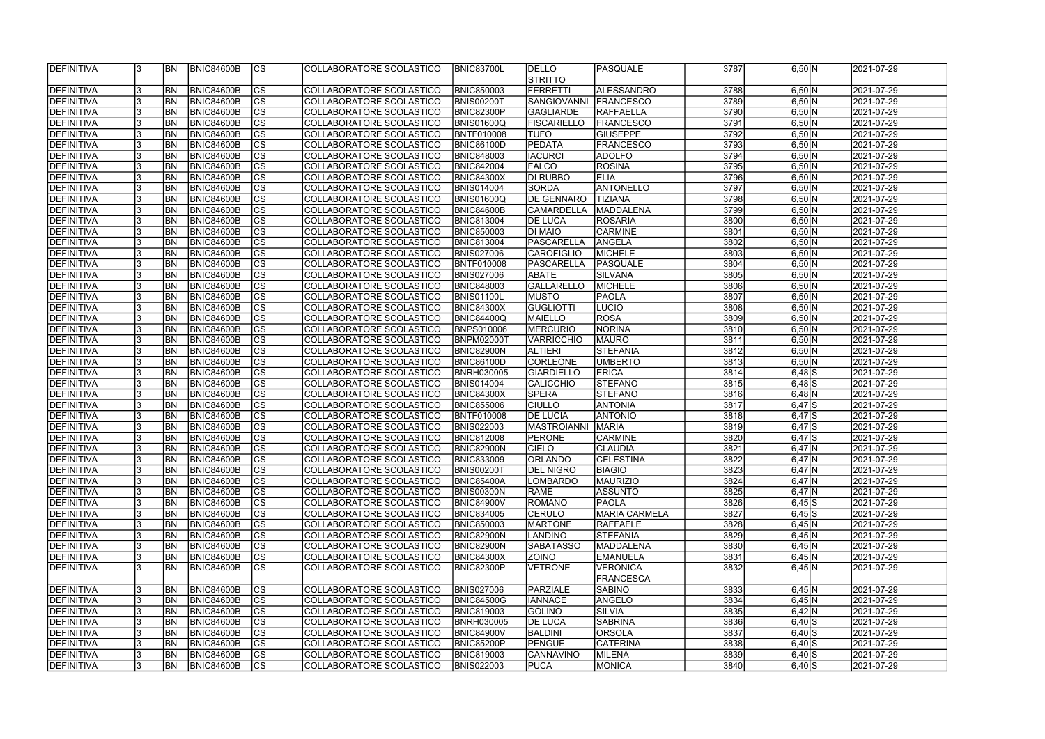| DEFINITIVA         |    | <b>BN</b>      | <b>BNIC84600B</b> | <sub>Ics</sub> | COLLABORATORE SCOLASTICO | <b>BNIC83700L</b> | <b>DELLO</b>       | <b>PASQUALE</b>      | 3787 | 6,50 N     | 2021-07-29               |
|--------------------|----|----------------|-------------------|----------------|--------------------------|-------------------|--------------------|----------------------|------|------------|--------------------------|
|                    |    |                |                   |                |                          |                   | <b>STRITTO</b>     |                      |      |            |                          |
| <b>DEFINITIVA</b>  |    | BN             | <b>BNIC84600B</b> | $ {\rm CS} $   | COLLABORATORE SCOLASTICO | <b>BNIC850003</b> | FERRETTI           | ALESSANDRO           | 3788 | 6,50 N     | 2021-07-29               |
| <b>DEFINITIVA</b>  |    | BN             | <b>BNIC84600B</b> | cs             | COLLABORATORE SCOLASTICO | <b>BNIS00200T</b> | SANGIOVANNI        | <b>FRANCESCO</b>     | 3789 | 6,50 N     | 2021-07-29               |
|                    |    | <b>BN</b>      |                   | cs             | COLLABORATORE SCOLASTICO |                   |                    |                      | 3790 |            |                          |
| DEFINITIVA         |    |                | <b>BNIC84600B</b> |                |                          | <b>BNIC82300P</b> | <b>GAGLIARDE</b>   | <b>RAFFAELLA</b>     |      | 6,50 N     | 2021-07-29               |
| <b>DEFINITIVA</b>  |    | <b>BN</b>      | BNIC84600B        | cs             | COLLABORATORE SCOLASTICO | BNIS01600Q        | <b>FISCARIELLO</b> | <b>FRANCESCO</b>     | 3791 | 6,50 N     | 2021-07-29               |
| DEFINITIVA         |    | <b>BN</b>      | <b>BNIC84600B</b> | cs             | COLLABORATORE SCOLASTICO | <b>BNTF010008</b> | <b>TUFO</b>        | <b>GIUSEPPE</b>      | 3792 | 6,50 N     | 2021-07-29               |
| DEFINITIVA         |    | BN             | <b>BNIC84600B</b> | cs             | COLLABORATORE SCOLASTICO | <b>BNIC86100D</b> | PEDATA             | <b>FRANCESCO</b>     | 3793 | 6,50 N     | 2021-07-29               |
| DEFINITIVA         |    | <b>BN</b>      | <b>BNIC84600B</b> | cs             | COLLABORATORE SCOLASTICO | <b>BNIC848003</b> | <b>IACURCI</b>     | <b>ADOLFO</b>        | 3794 | 6,50 N     | 2021-07-29               |
| DEFINITIVA         |    | <b>BN</b>      | <b>BNIC84600B</b> | $ {\rm cs} $   | COLLABORATORE SCOLASTICO | <b>BNIC842004</b> | <b>FALCO</b>       | <b>ROSINA</b>        | 3795 | 6,50 N     | 2021-07-29               |
| <b>DEFINITIVA</b>  |    | <b>BN</b>      | <b>BNIC84600B</b> | cs             | COLLABORATORE SCOLASTICO | <b>BNIC84300X</b> | DI RUBBO           | <b>ELIA</b>          | 3796 | 6,50 N     | 2021-07-29               |
| DEFINITIVA         |    | BN             | <b>BNIC84600B</b> | cs             | COLLABORATORE SCOLASTICO | <b>BNIS014004</b> | <b>SORDA</b>       | <b>ANTONELLO</b>     | 3797 | 6,50 N     | 2021-07-29               |
| <b>DEFINITIVA</b>  |    | <b>BN</b>      | <b>BNIC84600B</b> | cs             | COLLABORATORE SCOLASTICO | BNIS01600Q        | <b>DE GENNARO</b>  | <b>TIZIANA</b>       | 3798 | 6,50 N     | 2021-07-29               |
| DEFINITIVA         |    | <b>BN</b>      | <b>BNIC84600B</b> | cs             | COLLABORATORE SCOLASTICO | <b>BNIC84600B</b> | <b>CAMARDELLA</b>  | MADDALENA            | 3799 | 6,50 N     | 2021-07-29               |
| DEFINITIVA         |    | BN             | <b>BNIC84600B</b> | cs             | COLLABORATORE SCOLASTICO | <b>BNIC813004</b> | <b>DE LUCA</b>     | <b>ROSARIA</b>       | 3800 | 6,50 N     | 2021-07-29               |
| DEFINITIVA         |    | BN             | <b>BNIC84600B</b> | cs             | COLLABORATORE SCOLASTICO | <b>BNIC850003</b> | <b>DI MAIO</b>     | <b>CARMINE</b>       | 3801 | 6,50 N     | 2021-07-29               |
| <b>DEFINITIVA</b>  |    | BN             | <b>BNIC84600B</b> | cs             | COLLABORATORE SCOLASTICO | <b>BNIC813004</b> | PASCARELLA         | ANGELA               | 3802 | 6,50 N     | 2021-07-29               |
| <b>DEFINITIVA</b>  |    | BN             | <b>BNIC84600B</b> | cs             | COLLABORATORE SCOLASTICO | <b>BNIS027006</b> | <b>CAROFIGLIO</b>  | <b>MICHELE</b>       | 3803 | 6,50 N     | 2021-07-29               |
| <b>DEFINITIVA</b>  |    | BN             | <b>BNIC84600B</b> | cs             | COLLABORATORE SCOLASTICO | BNTF010008        | <b>PASCARELLA</b>  | PASQUALE             | 3804 | 6,50 N     | 2021-07-29               |
|                    |    | BN             | <b>BNIC84600B</b> | cs             |                          |                   |                    | <b>SILVANA</b>       | 3805 | 6,50 N     | 2021-07-29               |
| <b>DEFINITIVA</b>  |    |                |                   |                | COLLABORATORE SCOLASTICO | <b>BNIS027006</b> | <b>ABATE</b>       |                      |      |            |                          |
| <b>DEFINITIVA</b>  |    | BN             | <b>BNIC84600B</b> | <b>CS</b>      | COLLABORATORE SCOLASTICO | <b>BNIC848003</b> | GALLARELLO         | <b>MICHELE</b>       | 3806 | 6,50 N     | 2021-07-29               |
| <b>DEFINITIVA</b>  |    | <b>BN</b>      | <b>BNIC84600B</b> | <b>CS</b>      | COLLABORATORE SCOLASTICO | BNIS01100L        | <b>MUSTO</b>       | <b>PAOLA</b>         | 3807 | 6,50 N     | 2021-07-29               |
| <b>DEFINITIVA</b>  |    | BN             | <b>BNIC84600B</b> | <b>CS</b>      | COLLABORATORE SCOLASTICO | <b>BNIC84300X</b> | <b>GUGLIOTTI</b>   | LUCIO                | 3808 | 6,50 N     | 2021-07-29               |
| DEFINITIVA         |    | BN             | <b>BNIC84600B</b> | $ {\rm cs} $   | COLLABORATORE SCOLASTICO | <b>BNIC84400Q</b> | <b>MAIELLO</b>     | ROSA                 | 3809 | 6,50 N     | 2021-07-29               |
| DEFINITIVA         |    | BN             | <b>BNIC84600B</b> | $ {\rm cs} $   | COLLABORATORE SCOLASTICO | <b>BNPS010006</b> | <b>MERCURIO</b>    | NORINA               | 3810 | 6,50 N     | 2021-07-29               |
| <b>DEFINITIVA</b>  |    | <b>BN</b>      | <b>BNIC84600B</b> | cs             | COLLABORATORE SCOLASTICO | BNPM02000T        | <b>VARRICCHIO</b>  | <b>MAURO</b>         | 3811 | 6,50 N     | 2021-07-29               |
| DEFINITIVA         |    | <b>BN</b>      | <b>BNIC84600B</b> | $ {\rm cs} $   | COLLABORATORE SCOLASTICO | <b>BNIC82900N</b> | <b>ALTIERI</b>     | <b>STEFANIA</b>      | 3812 | 6,50 N     | 2021-07-29               |
| <b>DEFINITIVA</b>  |    | <b>BN</b>      | <b>BNIC84600B</b> | cs             | COLLABORATORE SCOLASTICO | <b>BNIC86100D</b> | CORLEONE           | <b>UMBERTO</b>       | 3813 | 6,50 N     | 2021-07-29               |
| <b>DEFINITIVA</b>  |    | <b>BN</b>      | <b>BNIC84600B</b> | cs             | COLLABORATORE SCOLASTICO | <b>BNRH030005</b> | <b>GIARDIELLO</b>  | <b>ERICA</b>         | 3814 | $6,48$ S   | 2021-07-29               |
| <b>DEFINITIVA</b>  |    | <b>BN</b>      | <b>BNIC84600B</b> | cs             | COLLABORATORE SCOLASTICO | <b>BNIS014004</b> | CALICCHIO          | <b>STEFANO</b>       | 3815 | $6,48$ S   | 2021-07-29               |
| <b>DEFINITIVA</b>  |    | <b>BN</b>      | <b>BNIC84600B</b> | $ {\rm CS} $   | COLLABORATORE SCOLASTICO | <b>BNIC84300X</b> | <b>SPERA</b>       | <b>STEFANO</b>       | 3816 | $6,48$ N   | 2021-07-29               |
| <b>DEFINITIVA</b>  |    | BN             | <b>BNIC84600B</b> | $\overline{c}$ | COLLABORATORE SCOLASTICO | <b>BNIC855006</b> | <b>CIULLO</b>      | <b>ANTONIA</b>       | 3817 | $6,47$ $S$ | 2021-07-29               |
| <b>DEFINITIVA</b>  |    | <b>BN</b>      | <b>BNIC84600B</b> | cs             | COLLABORATORE SCOLASTICO | <b>BNTF010008</b> | <b>DE LUCIA</b>    | <b>ANTONIO</b>       | 3818 | $6,47$ $S$ | 2021-07-29               |
| <b>DEFINITIVA</b>  |    | BN             | <b>BNIC84600B</b> | $\overline{c}$ | COLLABORATORE SCOLASTICO | <b>BNIS022003</b> | <b>MASTROIANNI</b> | <b>MARIA</b>         | 3819 | $6,47$ $S$ | 2021-07-29               |
| <b>DEFINITIVA</b>  |    | <b>BN</b>      | <b>BNIC84600B</b> | cs             | COLLABORATORE SCOLASTICO | <b>BNIC812008</b> | PERONE             | <b>CARMINE</b>       | 3820 | $6,47$ $S$ | 2021-07-29               |
| DEFINITIVA         |    | <b>BN</b>      | <b>BNIC84600B</b> | $\overline{c}$ | COLLABORATORE SCOLASTICO | BNIC82900N        | <b>CIELO</b>       | CLAUDIA              | 3821 | $6,47$ N   | 2021-07-29               |
| <b>IDEFINITIVA</b> |    | IBN            | BNIC84600B        | CS             | COLLABORATORE SCOLASTICO | <b>BNIC833009</b> | <b>JORLANDO</b>    | ICELESTINA           | 3822 | $6,47$  N  | 2021-07-29               |
| DEFINITIVA         |    | <b>IBN</b>     | <b>BNIC84600B</b> | $ {\rm CS} $   | COLLABORATORE SCOLASTICO | <b>BNIS00200T</b> | <b>DEL NIGRO</b>   | <b>BIAGIO</b>        | 3823 | $6,47$ N   | 2021-07-29               |
| DEFINITIVA         |    | <b>IBN</b>     | <b>BNIC84600B</b> | $ {\rm CS} $   | COLLABORATORE SCOLASTICO | <b>BNIC85400A</b> | <b>LOMBARDO</b>    | <b>MAURIZIO</b>      | 3824 | $6,47$ N   | 2021-07-29               |
| DEFINITIVA         |    | <b>BN</b>      | <b>BNIC84600B</b> | $ {\rm CS} $   | COLLABORATORE SCOLASTICO | <b>BNIS00300N</b> | <b>RAME</b>        | ASSUNTO              | 3825 | $6,47$ N   | 2021-07-29               |
| DEFINITIVA         |    | <b>BN</b>      | <b>BNIC84600B</b> | $ {\rm CS} $   | COLLABORATORE SCOLASTICO | <b>BNIC84900V</b> | ROMANO             | <b>PAOLA</b>         | 3826 | $6,45$ $S$ | 2021-07-29               |
| DEFINITIVA         |    | <b>BN</b>      | <b>BNIC84600B</b> | $ {\rm CS} $   | COLLABORATORE SCOLASTICO | <b>BNIC834005</b> | <b>CERULO</b>      | <b>MARIA CARMELA</b> | 3827 | $6,45$ $S$ | 2021-07-29               |
|                    |    |                |                   |                |                          |                   |                    |                      |      |            |                          |
| <b>DEFINITIVA</b>  |    | <b>BN</b>      | <b>BNIC84600B</b> | $ {\rm CS} $   | COLLABORATORE SCOLASTICO | <b>BNIC850003</b> | <b>MARTONE</b>     | RAFFAELE             | 3828 | 6,45 N     | 2021-07-29<br>2021-07-29 |
| DEFINITIVA         |    | BN             | <b>BNIC84600B</b> | cs             | COLLABORATORE SCOLASTICO | <b>BNIC82900N</b> | LANDINO            | <b>STEFANIA</b>      | 3829 | 6,45 N     |                          |
| DEFINITIVA         |    | <b>BN</b>      | <b>BNIC84600B</b> | $ {\rm cs} $   | COLLABORATORE SCOLASTICO | <b>BNIC82900N</b> | <b>SABATASSO</b>   | MADDALENA            | 3830 | 6,45 N     | 2021-07-29               |
| DEFINITIVA         |    | <b>BN</b>      | <b>BNIC84600B</b> | cs             | COLLABORATORE SCOLASTICO | <b>BNIC84300X</b> | <b>ZOINO</b>       | <b>EMANUELA</b>      | 3831 | 6,45 N     | 2021-07-29               |
| DEFINITIVA         |    | IBN            | <b>BNIC84600B</b> | <sub>Ics</sub> | COLLABORATORE SCOLASTICO | <b>BNIC82300P</b> | VETRONE            | <b>VERONICA</b>      | 3832 | $6,45$ N   | 2021-07-29               |
|                    |    |                |                   |                |                          |                   |                    | <b>FRANCESCA</b>     |      |            |                          |
| DEFINITIVA         |    | BN <sub></sub> | <b>BNIC84600B</b> | $ {\rm CS} $   | COLLABORATORE SCOLASTICO | <b>BNIS027006</b> | PARZIALE           | <b>SABINO</b>        | 3833 | $6,45$ N   | 2021-07-29               |
| DEFINITIVA         |    | <b>BN</b>      | <b>BNIC84600B</b> | $ {\rm cs} $   | COLLABORATORE SCOLASTICO | <b>BNIC84500G</b> | <b>IANNACE</b>     | ANGELO               | 3834 | 6,45 N     | 2021-07-29               |
| DEFINITIVA         |    | <b>BN</b>      | <b>BNIC84600B</b> | $ {\rm CS} $   | COLLABORATORE SCOLASTICO | <b>BNIC819003</b> | <b>GOLINO</b>      | <b>SILVIA</b>        | 3835 | 6,42 N     | 2021-07-29               |
| DEFINITIVA         |    | <b>BN</b>      | <b>BNIC84600B</b> | $ {\rm CS} $   | COLLABORATORE SCOLASTICO | <b>BNRH030005</b> | <b>DE LUCA</b>     | SABRINA              | 3836 | $6,40$ $S$ | 2021-07-29               |
| DEFINITIVA         |    | <b>BN</b>      | <b>BNIC84600B</b> | $ {\rm CS} $   | COLLABORATORE SCOLASTICO | <b>BNIC84900V</b> | BALDINI            | ORSOLA               | 3837 | $6,40$ $S$ | 2021-07-29               |
| <b>DEFINITIVA</b>  |    | <b>IBN</b>     | <b>BNIC84600B</b> | <b>CS</b>      | COLLABORATORE SCOLASTICO | <b>BNIC85200P</b> | <b>PENGUE</b>      | CATERINA             | 3838 | $6,40$ $S$ | 2021-07-29               |
| DEFINITIVA         |    | <b>IBN</b>     | <b>BNIC84600B</b> | CS             | COLLABORATORE SCOLASTICO | <b>BNIC819003</b> | <b>CANNAVINO</b>   | MILENA               | 3839 | $6,40$ S   | 2021-07-29               |
| DEFINITIVA         | l3 | <b>BN</b>      | BNIC84600B        | <sub>Ics</sub> | COLLABORATORE SCOLASTICO | <b>BNIS022003</b> | <b>PUCA</b>        | MONICA               | 3840 | $6,40$ $S$ | 2021-07-29               |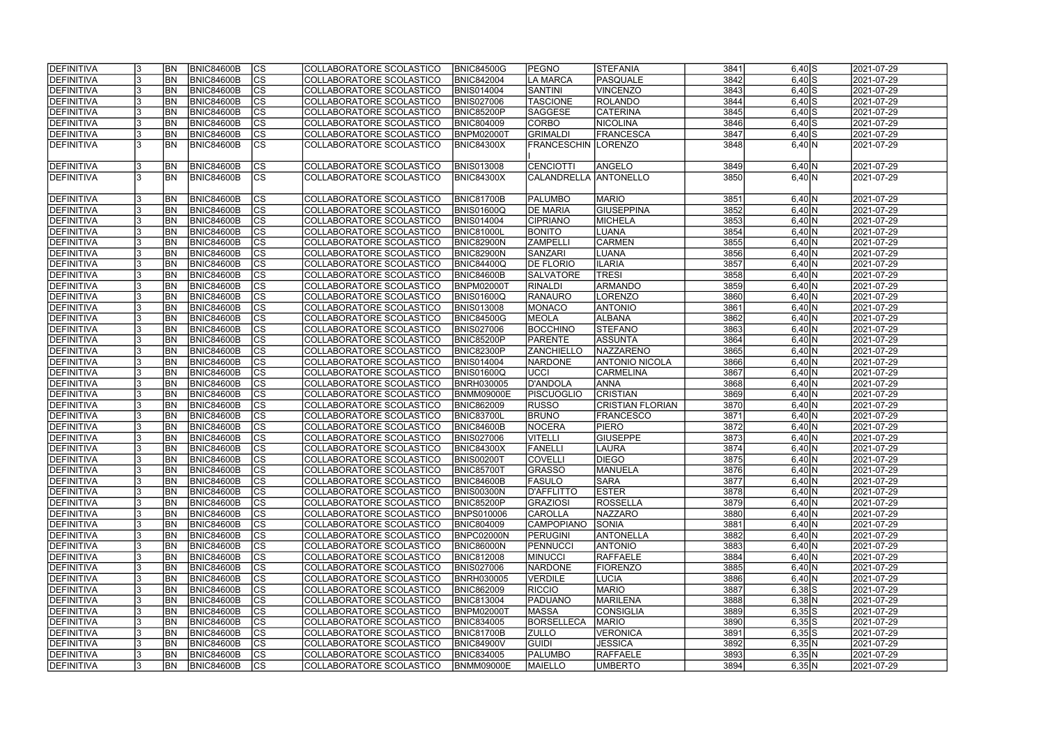| <b>IDEFINITIVA</b> | <b>BN</b>      | BNIC84600B        | lcs                      | COLLABORATORE SCOLASTICO | <b>BNIC84500G</b> | <b>PEGNO</b>           | <b>STEFANIA</b>         | 3841 | $6,40$ $S$          | 2021-07-29 |
|--------------------|----------------|-------------------|--------------------------|--------------------------|-------------------|------------------------|-------------------------|------|---------------------|------------|
| <b>DEFINITIVA</b>  | <b>BN</b>      | <b>BNIC84600B</b> | cs                       | COLLABORATORE SCOLASTICO | <b>BNIC842004</b> | LA MARCA               | PASQUALE                | 3842 | $6,40$ $S$          | 2021-07-29 |
| DEFINITIVA         | BN             | <b>BNIC84600B</b> | $\overline{\text{cs}}$   | COLLABORATORE SCOLASTICO | <b>BNIS014004</b> | <b>SANTINI</b>         | <b>VINCENZO</b>         | 3843 | $6,40$ S            | 2021-07-29 |
| DEFINITIVA         | BN             | <b>BNIC84600B</b> | $\overline{\text{CS}}$   | COLLABORATORE SCOLASTICO | <b>BNIS027006</b> | <b>TASCIONE</b>        | ROLANDO                 | 3844 | $6,40$ S            | 2021-07-29 |
| DEFINITIVA         | BN             | <b>BNIC84600B</b> | $\overline{\text{cs}}$   | COLLABORATORE SCOLASTICO | <b>BNIC85200P</b> | <b>SAGGESE</b>         | <b>CATERINA</b>         | 3845 | $6,40$ S            | 2021-07-29 |
| DEFINITIVA         | BN             | <b>BNIC84600B</b> | cs                       | COLLABORATORE SCOLASTICO | <b>BNIC804009</b> | CORBO                  | NICOLINA                | 3846 | $6,40$ S            | 2021-07-29 |
| DEFINITIVA         | BN             | <b>BNIC84600B</b> | $\overline{\text{CS}}$   | COLLABORATORE SCOLASTICO | BNPM02000T        | <b>GRIMALDI</b>        | <b>FRANCESCA</b>        | 3847 | $6,40$ $S$          | 2021-07-29 |
| DEFINITIVA         | <b>BN</b>      | <b>BNIC84600B</b> | $\overline{\text{cs}}$   | COLLABORATORE SCOLASTICO | <b>BNIC84300X</b> | <b>FRANCESCHIN</b>     | LORENZO                 | 3848 | 6,40 N              | 2021-07-29 |
|                    |                |                   |                          |                          |                   |                        |                         |      |                     |            |
| DEFINITIVA         | BN             | <b>BNIC84600B</b> | <b>CS</b>                | COLLABORATORE SCOLASTICO | <b>BNIS013008</b> | CENCIOTTI              | ANGELO                  | 3849 | $6,40 \overline{N}$ | 2021-07-29 |
| DEFINITIVA         | <b>BN</b>      | BNIC84600B        | <b>CS</b>                | COLLABORATORE SCOLASTICO | <b>BNIC84300X</b> | CALANDRELLA  ANTONELLO |                         | 3850 | 6,40 N              | 2021-07-29 |
|                    |                |                   |                          |                          |                   |                        |                         |      |                     |            |
| DEFINITIVA         | BN <sub></sub> | <b>BNIC84600B</b> | CS                       | COLLABORATORE SCOLASTICO | <b>BNIC81700B</b> | <b>PALUMBO</b>         | <b>MARIO</b>            | 3851 | 6,40 N              | 2021-07-29 |
| DEFINITIVA         | <b>BN</b>      | BNIC84600B        | $\overline{\text{cs}}$   | COLLABORATORE SCOLASTICO | <b>BNIS01600Q</b> | <b>DE MARIA</b>        | <b>GIUSEPPINA</b>       | 3852 | 6,40 N              | 2021-07-29 |
|                    | <b>BN</b>      |                   | $ \overline{\text{cs}} $ |                          |                   | <b>CIPRIANO</b>        |                         |      |                     |            |
| DEFINITIVA         |                | <b>BNIC84600B</b> |                          | COLLABORATORE SCOLASTICO | <b>BNIS014004</b> |                        | MICHELA                 | 3853 | 6,40 N              | 2021-07-29 |
| DEFINITIVA         | <b>BN</b>      | <b>BNIC84600B</b> | $ \overline{\text{cs}} $ | COLLABORATORE SCOLASTICO | <b>BNIC81000L</b> | <b>BONITO</b>          | <b>LUANA</b>            | 3854 | 6,40 N              | 2021-07-29 |
| DEFINITIVA         | <b>BN</b>      | <b>BNIC84600B</b> | $\overline{\text{CS}}$   | COLLABORATORE SCOLASTICO | <b>BNIC82900N</b> | <b>ZAMPELLI</b>        | <b>CARMEN</b>           | 3855 | 6,40 N              | 2021-07-29 |
| DEFINITIVA         | <b>BN</b>      | BNIC84600B        | $ \mathsf{CS} $          | COLLABORATORE SCOLASTICO | <b>BNIC82900N</b> | SANZARI                | <b>LUANA</b>            | 3856 | 6,40 N              | 2021-07-29 |
| DEFINITIVA         | BN             | <b>BNIC84600B</b> | $ \mathsf{CS} $          | COLLABORATORE SCOLASTICO | <b>BNIC84400Q</b> | <b>DE FLORIO</b>       | <b>ILARIA</b>           | 3857 | 6,40 N              | 2021-07-29 |
| DEFINITIVA         | BN             | BNIC84600B        | $\overline{\text{CS}}$   | COLLABORATORE SCOLASTICO | <b>BNIC84600B</b> | <b>SALVATORE</b>       | <b>TRESI</b>            | 3858 | 6,40 N              | 2021-07-29 |
| DEFINITIVA         | BN             | BNIC84600B        | cs                       | COLLABORATORE SCOLASTICO | BNPM02000T        | <b>RINALDI</b>         | ARMANDO                 | 3859 | 6,40 N              | 2021-07-29 |
| DEFINITIVA         | BN             | <b>BNIC84600B</b> | <b>CS</b>                | COLLABORATORE SCOLASTICO | BNIS01600Q        | RANAURO                | <b>LORENZO</b>          | 3860 | 6,40 N              | 2021-07-29 |
| DEFINITIVA         | BN             | <b>BNIC84600B</b> | <b>CS</b>                | COLLABORATORE SCOLASTICO | <b>BNIS013008</b> | <b>IMONACO</b>         | <b>ANTONIO</b>          | 3861 | 6,40 N              | 2021-07-29 |
| DEFINITIVA         | <b>BN</b>      | <b>BNIC84600B</b> | <b>CS</b>                | COLLABORATORE SCOLASTICO | <b>BNIC84500G</b> | <b>MEOLA</b>           | <b>ALBANA</b>           | 3862 | 6,40 N              | 2021-07-29 |
| DEFINITIVA         | <b>BN</b>      | <b>BNIC84600B</b> | cs                       | COLLABORATORE SCOLASTICO | <b>BNIS027006</b> | <b>BOCCHINO</b>        | <b>STEFANO</b>          | 3863 | 6,40 N              | 2021-07-29 |
| DEFINITIVA         | <b>BN</b>      | <b>BNIC84600B</b> | CS                       | COLLABORATORE SCOLASTICO | <b>BNIC85200P</b> | <b>PARENTE</b>         | ASSUNTA                 | 3864 | 6,40 N              | 2021-07-29 |
| DEFINITIVA         | <b>BN</b>      | <b>BNIC84600B</b> | cs                       | COLLABORATORE SCOLASTICO | <b>BNIC82300P</b> | <b>ZANCHIELLO</b>      | <b>NAZZARENO</b>        | 3865 | 6,40 N              | 2021-07-29 |
| DEFINITIVA         | <b>BN</b>      | BNIC84600B        | cs                       | COLLABORATORE SCOLASTICO | <b>BNIS014004</b> | <b>NARDONE</b>         | <b>ANTONIO NICOLA</b>   | 3866 | 6,40 N              | 2021-07-29 |
| DEFINITIVA         | <b>BN</b>      | BNIC84600B        | cs                       | COLLABORATORE SCOLASTICO | <b>BNIS01600Q</b> | ∪CCI                   | CARMELINA               | 3867 | 6,40 N              | 2021-07-29 |
| DEFINITIVA         | <b>BN</b>      | <b>BNIC84600B</b> | cs                       | COLLABORATORE SCOLASTICO | <b>BNRH030005</b> | D'ANDOLA               | <b>ANNA</b>             | 3868 | 6,40 N              | 2021-07-29 |
| DEFINITIVA         | <b>BN</b>      | <b>BNIC84600B</b> | cs                       | COLLABORATORE SCOLASTICO | <b>BNMM09000E</b> | <b>PISCUOGLIO</b>      | <b>CRISTIAN</b>         | 3869 | 6,40 N              | 2021-07-29 |
| DEFINITIVA         | <b>BN</b>      | <b>BNIC84600B</b> | $\overline{\text{cs}}$   | COLLABORATORE SCOLASTICO | <b>BNIC862009</b> | <b>RUSSO</b>           | <b>CRISTIAN FLORIAN</b> | 3870 | 6,40 N              | 2021-07-29 |
| DEFINITIVA         | <b>BN</b>      | <b>BNIC84600B</b> | $\overline{\text{cs}}$   | COLLABORATORE SCOLASTICO | <b>BNIC83700L</b> | <b>BRUNO</b>           | <b>FRANCESCO</b>        | 3871 | 6,40 N              | 2021-07-29 |
| DEFINITIVA         | <b>BN</b>      | <b>BNIC84600B</b> | cs                       | COLLABORATORE SCOLASTICO | BNIC84600B        | NOCERA                 | <b>PIERO</b>            | 3872 | 6,40 N              | 2021-07-29 |
| DEFINITIVA         | BN             | <b>BNIC84600B</b> | $\overline{\text{cs}}$   | COLLABORATORE SCOLASTICO | <b>BNIS027006</b> | <b>VITELLI</b>         | <b>GIUSEPPE</b>         | 3873 | 6,40 N              | 2021-07-29 |
| DEFINITIVA         | <b>BN</b>      | BNIC84600B        | cs                       | COLLABORATORE SCOLASTICO | <b>BNIC84300X</b> | FANELLI                | <b>LAURA</b>            | 3874 | 6,40 N              | 2021-07-29 |
| <b>DEFINITIVA</b>  | <b>BN</b>      | <b>BNIC84600B</b> | CS                       | COLLABORATORE SCOLASTICO | <b>BNIS00200T</b> | <b>COVELLI</b>         | <b>IDIEGO</b>           | 3875 | $6,40$  N           | 2021-07-29 |
| DEFINITIVA         | BN <sub></sub> | <b>BNIC84600B</b> | <sub>lcs</sub>           | COLLABORATORE SCOLASTICO | <b>BNIC85700T</b> | <b>GRASSO</b>          | MANUELA                 | 3876 | 6,40 N              | 2021-07-29 |
| DEFINITIVA         | <b>BN</b>      | <b>BNIC84600B</b> | CS                       | COLLABORATORE SCOLASTICO | <b>BNIC84600B</b> | <b>FASULO</b>          | ISARA                   | 3877 | 6,40 N              | 2021-07-29 |
| DEFINITIVA         | BN <sub></sub> | <b>BNIC84600B</b> | CS                       | COLLABORATORE SCOLASTICO | <b>BNIS00300N</b> | D'AFFLITTO             | <b>ESTER</b>            | 3878 | 6,40 N              | 2021-07-29 |
| DEFINITIVA         | <b>BN</b>      | <b>BNIC84600B</b> | CS                       | COLLABORATORE SCOLASTICO | <b>BNIC85200P</b> | <b>GRAZIOSI</b>        | ROSSELLA                | 3879 | 6,40 N              | 2021-07-29 |
| DEFINITIVA         | <b>BN</b>      | <b>BNIC84600B</b> | CS                       | COLLABORATORE SCOLASTICO | <b>BNPS010006</b> | <b>CAROLLA</b>         | NAZZARO                 | 3880 | 6,40 N              | 2021-07-29 |
| DEFINITIVA         | <b>BN</b>      | <b>BNIC84600B</b> | <b>CS</b>                | COLLABORATORE SCOLASTICO | <b>BNIC804009</b> | CAMPOPIANO_            | SONIA                   | 3881 | 6,40 N              | 2021-07-29 |
| DEFINITIVA         | <b>BN</b>      | BNIC84600B        | CS                       | COLLABORATORE SCOLASTICO | BNPC02000N        | <b>PERUGINI</b>        | <b>ANTONELLA</b>        | 3882 | 6,40 N              | 2021-07-29 |
| <b>DEFINITIVA</b>  | <b>BN</b>      | <b>BNIC84600B</b> | cs                       | COLLABORATORE SCOLASTICO | <b>BNIC86000N</b> | PENNUCCI               | <b>ANTONIO</b>          | 3883 | 6,40 N              | 2021-07-29 |
| DEFINITIVA         | <b>BN</b>      | <b>BNIC84600B</b> | cs                       | COLLABORATORE SCOLASTICO | <b>BNIC812008</b> | <b>MINUCCI</b>         | RAFFAELE                | 3884 | 6,40 N              | 2021-07-29 |
| DEFINITIVA         | <b>BN</b>      | <b>BNIC84600B</b> | cs                       | COLLABORATORE SCOLASTICO | <b>BNIS027006</b> | <b>NARDONE</b>         | <b>FIORENZO</b>         | 3885 | 6,40 N              | 2021-07-29 |
| DEFINITIVA         | <b>BN</b>      | <b>BNIC84600B</b> | cs                       | COLLABORATORE SCOLASTICO | <b>BNRH030005</b> | <b>VERDILE</b>         | LUCIA                   | 3886 | 6,40 N              | 2021-07-29 |
| DEFINITIVA         | <b>BN</b>      | <b>BNIC84600B</b> | cs                       | COLLABORATORE SCOLASTICO | <b>BNIC862009</b> | <b>RICCIO</b>          | <b>MARIO</b>            | 3887 | $6,38$ $S$          | 2021-07-29 |
| DEFINITIVA         | <b>BN</b>      | BNIC84600B        | cs                       |                          | <b>BNIC813004</b> | <b>PADUANO</b>         | MARILENA                | 3888 | $6,38$ N            | 2021-07-29 |
|                    |                |                   |                          | COLLABORATORE SCOLASTICO |                   |                        |                         |      |                     |            |
| DEFINITIVA         | <b>BN</b>      | <b>BNIC84600B</b> | <b>CS</b>                | COLLABORATORE SCOLASTICO | <b>BNPM02000T</b> | <b>MASSA</b>           | <b>CONSIGLIA</b>        | 3889 | $6,35$ S            | 2021-07-29 |
| DEFINITIVA         | <b>BN</b>      | BNIC84600B        | <b>CS</b>                | COLLABORATORE SCOLASTICO | <b>BNIC834005</b> | <b>BORSELLECA</b>      | <b>MARIO</b>            | 3890 | $6,35$ S            | 2021-07-29 |
| DEFINITIVA         | <b>BN</b>      | BNIC84600B        | <b>CS</b>                | COLLABORATORE SCOLASTICO | <b>BNIC81700B</b> | <b>ZULLO</b>           | <b>VERONICA</b>         | 3891 | $6,35$ S            | 2021-07-29 |
| DEFINITIVA         | BN             | BNIC84600B        | <b>CS</b>                | COLLABORATORE SCOLASTICO | <b>BNIC84900V</b> | <b>GUIDI</b>           | <b>JESSICA</b>          | 3892 | 6,35 N              | 2021-07-29 |
| DEFINITIVA         | <b>BN</b>      | <b>BNIC84600B</b> | <b>CS</b>                | COLLABORATORE SCOLASTICO | <b>BNIC834005</b> | <b>PALUMBO</b>         | <b>RAFFAELE</b>         | 3893 | 6,35 N              | 2021-07-29 |
| DEFINITIVA         | BN <sub></sub> | BNIC84600B        | <sub>lcs</sub>           | COLLABORATORE SCOLASTICO | <b>BNMM09000E</b> | <b>MAIELLO</b>         | UMBERTO                 | 3894 | 6,35 N              | 2021-07-29 |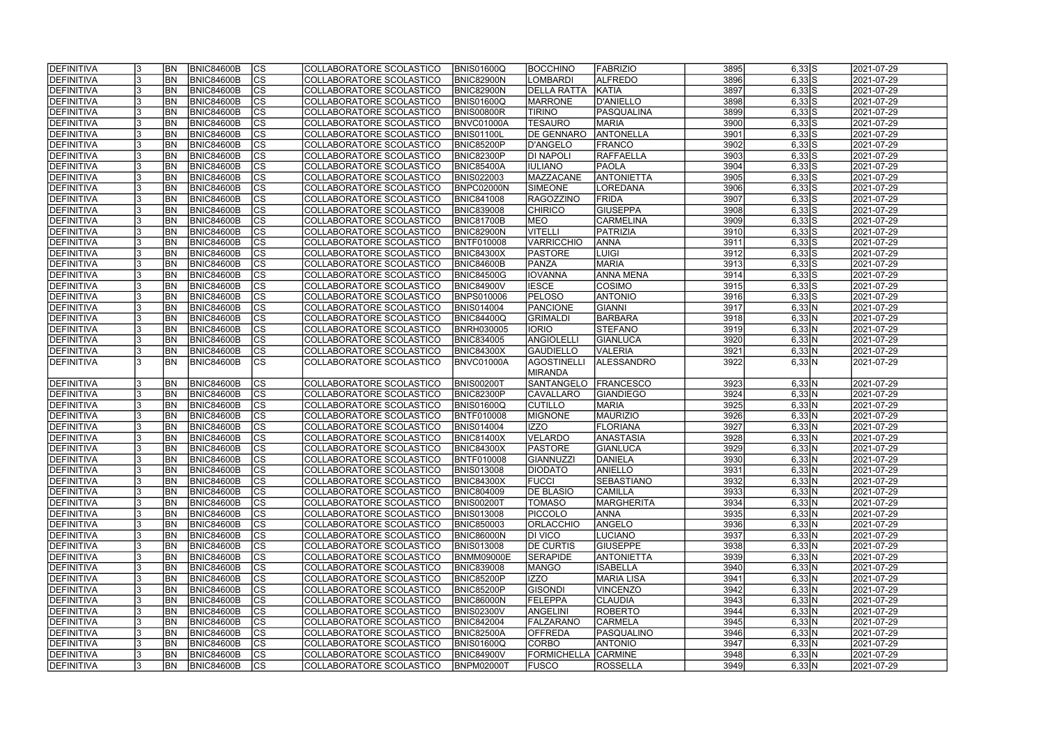| <b>DEFINITIVA</b> |     | <b>BN</b>      | BNIC84600B        | $ {\rm CS} $   | COLLABORATORE SCOLASTICO | <b>BNIS01600Q</b> | <b>BOCCHINO</b>            | <b>FABRIZIO</b>   | 3895 | $6,33$ S   | 2021-07-29              |
|-------------------|-----|----------------|-------------------|----------------|--------------------------|-------------------|----------------------------|-------------------|------|------------|-------------------------|
| DEFINITIVA        |     | <b>BN</b>      | <b>BNIC84600B</b> | $\overline{c}$ | COLLABORATORE SCOLASTICO | BNIC82900N        | <b>LOMBARDI</b>            | <b>ALFREDO</b>    | 3896 | $6,33$ S   | 2021-07-29              |
| DEFINITIVA        |     | BN             | <b>BNIC84600B</b> | $\overline{c}$ | COLLABORATORE SCOLASTICO | <b>BNIC82900N</b> | <b>DELLA RATTA</b>         | KATIA             | 3897 | $6,33$ S   | 2021-07-29              |
| DEFINITIVA        |     | BN             | <b>BNIC84600B</b> | $\overline{c}$ | COLLABORATORE SCOLASTICO | BNIS01600Q        | <b>MARRONE</b>             | D'ANIELLO         | 3898 | $6,33$ S   | 2021-07-29              |
| DEFINITIVA        |     | BN             | <b>BNIC84600B</b> | cs             | COLLABORATORE SCOLASTICO | BNIS00800R        | <b>TIRINO</b>              | <b>PASQUALINA</b> | 3899 | $6,33$ S   | 2021-07-29              |
| DEFINITIVA        |     | BN             | <b>BNIC84600B</b> | cs             | COLLABORATORE SCOLASTICO | BNVC01000A        | <b>TESAURO</b>             | <b>MARIA</b>      | 3900 | $6,33$ S   | 2021-07-29              |
| DEFINITIVA        |     | BN             | <b>BNIC84600B</b> | cs             | COLLABORATORE SCOLASTICO | BNIS01100L        | <b>DE GENNARO</b>          | <b>ANTONELLA</b>  | 3901 | $6,33$ S   | 2021-07-29              |
| DEFINITIVA        |     | <b>BN</b>      | <b>BNIC84600B</b> | cs             | COLLABORATORE SCOLASTICO | <b>BNIC85200P</b> | D'ANGELO                   | <b>FRANCO</b>     | 3902 | $6,33$ S   | 2021-07-29              |
| DEFINITIVA        |     | <b>BN</b>      | <b>BNIC84600B</b> | cs             | COLLABORATORE SCOLASTICO | <b>BNIC82300P</b> | <b>DI NAPOLI</b>           | <b>RAFFAELLA</b>  | 3903 | $6,33$ S   | 2021-07-29              |
| DEFINITIVA        |     | <b>BN</b>      | <b>BNIC84600B</b> | cs             | COLLABORATORE SCOLASTICO | <b>BNIC85400A</b> | <b>IULIANO</b>             | <b>PAOLA</b>      | 3904 | $6,33$ S   | 2021-07-29              |
| DEFINITIVA        |     | <b>BN</b>      | <b>BNIC84600B</b> | cs             | COLLABORATORE SCOLASTICO | <b>BNIS022003</b> | MAZZACANE                  | <b>ANTONIETTA</b> | 3905 | $6,33$ $S$ | 2021-07-29              |
| DEFINITIVA        |     | <b>BN</b>      | <b>BNIC84600B</b> | $ {\rm cs} $   | COLLABORATORE SCOLASTICO | BNPC02000N        | <b>SIMEONE</b>             | LOREDANA          | 3906 | $6,33$ S   | 2021-07-29              |
| DEFINITIVA        |     | <b>BN</b>      | <b>BNIC84600B</b> | $ {\rm CS} $   | COLLABORATORE SCOLASTICO | <b>BNIC841008</b> | <b>RAGOZZINO</b>           | FRIDA             | 3907 | $6,33$ S   | 2021-07-29              |
| DEFINITIVA        |     | BN             | <b>BNIC84600B</b> | cs             | COLLABORATORE SCOLASTICO | <b>BNIC839008</b> | <b>CHIRICO</b>             | <b>GIUSEPPA</b>   | 3908 | $6,33$ S   | 2021-07-29              |
| DEFINITIVA        |     | <b>BN</b>      | <b>BNIC84600B</b> | cs             | COLLABORATORE SCOLASTICO | <b>BNIC81700B</b> | <b>MEO</b>                 | <b>CARMELINA</b>  | 3909 | $6,33$ S   | 2021-07-29              |
| DEFINITIVA        |     | <b>BN</b>      | <b>BNIC84600B</b> | cs             | COLLABORATORE SCOLASTICO | <b>BNIC82900N</b> | <b>VITELLI</b>             | PATRIZIA          | 3910 | $6,33$ S   | 2021-07-29              |
| DEFINITIVA        |     | <b>BN</b>      | <b>BNIC84600B</b> | cs             | COLLABORATORE SCOLASTICO | BNTF010008        | <b>VARRICCHIO</b>          | <b>ANNA</b>       | 3911 | $6,33$ S   | 2021-07-29              |
| DEFINITIVA        |     | <b>BN</b>      | <b>BNIC84600B</b> | cs             | COLLABORATORE SCOLASTICO |                   | <b>PASTORE</b>             |                   | 3912 | $6,33$ S   | 2021-07-29              |
|                   |     |                |                   |                |                          | <b>BNIC84300X</b> |                            | <b>LUIGI</b>      |      |            |                         |
| <b>DEFINITIVA</b> |     | BN             | <b>BNIC84600B</b> | cs             | COLLABORATORE SCOLASTICO | BNIC84600B        | PANZA                      | <b>MARIA</b>      | 3913 | $6,33$ S   | 2021-07-29              |
| <b>DEFINITIVA</b> |     | BN             | <b>BNIC84600B</b> | cs             | COLLABORATORE SCOLASTICO | <b>BNIC84500G</b> | <b>IOVANNA</b>             | <b>ANNA MENA</b>  | 3914 | $6,33$ S   | 2021-07-29              |
| <b>DEFINITIVA</b> |     | BN             | <b>BNIC84600B</b> | <b>CS</b>      | COLLABORATORE SCOLASTICO | <b>BNIC84900V</b> | <b>IESCE</b>               | COSIMO            | 3915 | $6,33$ S   | 2021-07-29              |
| <b>DEFINITIVA</b> |     | BN             | <b>BNIC84600B</b> | <b>CS</b>      | COLLABORATORE SCOLASTICO | <b>BNPS010006</b> | <b>PELOSO</b>              | <b>ANTONIO</b>    | 3916 | $6,33$ S   | 2021-07-29              |
| DEFINITIVA        |     | BN             | <b>BNIC84600B</b> | <b>CS</b>      | COLLABORATORE SCOLASTICO | <b>BNIS014004</b> | PANCIONE                   | GIANNI            | 3917 | 6,33 N     | 2021-07-29              |
| DEFINITIVA        |     | <b>BN</b>      | <b>BNIC84600B</b> | CS             | COLLABORATORE SCOLASTICO | BNIC84400Q        | <b>GRIMALDI</b>            | <b>BARBARA</b>    | 3918 | 6,33 N     | 2021-07-29              |
| DEFINITIVA        |     | BN             | <b>BNIC84600B</b> | <b>CS</b>      | COLLABORATORE SCOLASTICO | <b>BNRH030005</b> | <b>IORIO</b>               | <b>STEFANO</b>    | 3919 | 6,33 N     | 2021-07-29              |
| DEFINITIVA        |     | <b>BN</b>      | <b>BNIC84600B</b> | $ {\rm cs} $   | COLLABORATORE SCOLASTICO | <b>BNIC834005</b> | ANGIOLELL                  | GIANLUCA          | 3920 | 6,33 N     | 2021-07-29              |
| DEFINITIVA        |     | BN             | <b>BNIC84600B</b> | <b>CS</b>      | COLLABORATORE SCOLASTICO | <b>BNIC84300X</b> | <b>GAUDIELLO</b>           | <b>VALERIA</b>    | 3921 | 6,33 N     | 2021-07-29              |
| DEFINITIVA        |     | BN             | <b>BNIC84600B</b> | <b>CS</b>      | COLLABORATORE SCOLASTICO | BNVC01000A        | <b>AGOSTINELLI</b>         | ALESSANDRO        | 3922 | 6,33 N     | 2021-07-29              |
|                   |     |                |                   |                |                          |                   | MIRANDA                    |                   |      |            |                         |
| DEFINITIVA        |     | <b>BN</b>      | <b>BNIC84600B</b> | $ {\rm cs} $   | COLLABORATORE SCOLASTICO | <b>BNIS00200T</b> | SANTANGELO                 | <b>FRANCESCO</b>  | 3923 | 6,33 N     | 2021-07-29              |
| DEFINITIVA        |     | <b>BN</b>      | <b>BNIC84600B</b> | cs             | COLLABORATORE SCOLASTICO | <b>BNIC82300P</b> | <b>CAVALLARO</b>           | <b>GIANDIEGO</b>  | 3924 | 6,33 N     | 2021-07-29              |
| DEFINITIVA        |     | <b>BN</b>      | <b>BNIC84600B</b> | cs             | COLLABORATORE SCOLASTICO | <b>BNIS01600Q</b> | <b>CUTILLO</b>             | <b>MARIA</b>      | 3925 | 6,33 N     | 2021-07-29              |
| DEFINITIVA        |     | <b>BN</b>      | <b>BNIC84600B</b> | $\overline{c}$ | COLLABORATORE SCOLASTICO | <b>BNTF010008</b> | <b>MIGNONE</b>             | MAURIZIO          | 3926 | 6,33 N     | 2021-07-29              |
| DEFINITIVA        |     | <b>BN</b>      | <b>BNIC84600B</b> | cs             | COLLABORATORE SCOLASTICO | <b>BNIS014004</b> | IZZO                       | <b>FLORIANA</b>   | 3927 | 6,33 N     | 2021-07-29              |
| DEFINITIVA        |     | <b>BN</b>      | <b>BNIC84600B</b> | $\overline{c}$ | COLLABORATORE SCOLASTICO | <b>BNIC81400X</b> | <b>VELARDO</b>             | <b>ANASTASIA</b>  | 3928 | 6,33 N     | 2021-07-29              |
| DEFINITIVA        |     | BN             | <b>BNIC84600B</b> | cs             | COLLABORATORE SCOLASTICO | <b>BNIC84300X</b> | <b>PASTORE</b>             | GIANLUCA          | 3929 | 6,33 N     | 2021-07-29              |
| <b>DEFINITIVA</b> | IJ  | <b>BN</b>      | BNIC84600B        | CS             | COLLABORATORE SCOLASTICO | <b>BNTF010008</b> | GIANNUZZI                  | DANIELA           | 3930 | 6,33 N     | 2021-07-29              |
| DEFINITIVA        |     | BN             | BNIC84600B        | $ {\rm CS} $   | COLLABORATORE SCOLASTICO | <b>BNIS013008</b> | <b>DIODATO</b>             | <b>ANIELLO</b>    | 3931 | 6,33 N     | 2021-07-29              |
| DEFINITIVA        |     | BN             | <b>BNIC84600B</b> | <sub>Ics</sub> | COLLABORATORE SCOLASTICO | <b>BNIC84300X</b> | <b>FUCCI</b>               | <b>SEBASTIANO</b> | 3932 | 6,33 N     | 2021-07-29              |
| DEFINITIVA        |     | BN             | <b>BNIC84600B</b> | <sub>Ics</sub> | COLLABORATORE SCOLASTICO | <b>BNIC804009</b> | <b>DE BLASIO</b>           | <b>CAMILLA</b>    | 3933 | 6,33 N     | 2021-07-29              |
| DEFINITIVA        | 13  | <b>BN</b>      | <b>BNIC84600B</b> | <sub>Ics</sub> | COLLABORATORE SCOLASTICO | <b>BNIS00200T</b> | <b>TOMASO</b>              | <b>MARGHERITA</b> | 3934 | 6,33 N     | 2021-07-29              |
| DEFINITIVA        |     | <b>BN</b>      | <b>BNIC84600B</b> | $ {\rm CS} $   | COLLABORATORE SCOLASTICO | <b>BNIS013008</b> | <b>PICCOLO</b>             | <b>ANNA</b>       | 3935 | 6,33 N     | 2021-07-29              |
| DEFINITIVA        |     | <b>BN</b>      | <b>BNIC84600B</b> | <sub>Ics</sub> | COLLABORATORE SCOLASTICO | <b>BNIC850003</b> | <b>ORLACCHIO</b>           | ANGELO            | 3936 | 6,33 N     | 2021-07-29              |
| DEFINITIVA        |     | <b>BN</b>      | BNIC84600B        | <sub>Ics</sub> | COLLABORATORE SCOLASTICO | <b>BNIC86000N</b> | <b>DI VICO</b>             | LUCIANO           | 3937 | 6,33 N     | 2021-07-29              |
| DEFINITIVA        |     | BN <sub></sub> | <b>BNIC84600B</b> | cs             | COLLABORATORE SCOLASTICO | <b>BNIS013008</b> | <b>DE CURTIS</b>           | <b>GIUSEPPE</b>   | 3938 | 6,33 N     | $\sqrt{2021} - 07 - 29$ |
| DEFINITIVA        |     | <b>BN</b>      | <b>BNIC84600B</b> | $ {\rm CS} $   | COLLABORATORE SCOLASTICO | <b>BNMM09000E</b> | <b>SERAPIDE</b>            | <b>ANTONIETTA</b> | 3939 | 6,33 N     | 2021-07-29              |
| DEFINITIVA        |     | <b>BN</b>      | <b>BNIC84600B</b> | cs             | COLLABORATORE SCOLASTICO | <b>BNIC839008</b> | <b>MANGO</b>               | <b>ISABELLA</b>   | 3940 | 6,33 N     | 2021-07-29              |
| DEFINITIVA        |     | <b>BN</b>      | <b>BNIC84600B</b> | cs             | COLLABORATORE SCOLASTICO | <b>BNIC85200P</b> | IZZO                       | <b>MARIA LISA</b> | 3941 | 6,33 N     | 2021-07-29              |
| DEFINITIVA        |     | <b>BN</b>      | <b>BNIC84600B</b> | $ {\rm CS} $   | COLLABORATORE SCOLASTICO | <b>BNIC85200P</b> | <b>GISONDI</b>             | VINCENZO          | 3942 | 6,33 N     | 2021-07-29              |
| <b>DEFINITIVA</b> |     | <b>BN</b>      | <b>BNIC84600B</b> | $ {\rm CS} $   | COLLABORATORE SCOLASTICO | <b>BNIC86000N</b> | FELEPPA                    | <b>CLAUDIA</b>    | 3943 | 6,33 N     | 2021-07-29              |
| DEFINITIVA        |     | <b>BN</b>      | <b>BNIC84600B</b> | cs             | COLLABORATORE SCOLASTICO | <b>BNIS02300V</b> | <b>ANGELINI</b>            | ROBERTO           | 3944 | 6,33 N     | 2021-07-29              |
| DEFINITIVA        |     | BN             | <b>BNIC84600B</b> | cs             | COLLABORATORE SCOLASTICO | <b>BNIC842004</b> | FALZARANO                  | <b>CARMELA</b>    | 3945 | 6,33 N     | 2021-07-29              |
| DEFINITIVA        |     | <b>BN</b>      | <b>BNIC84600B</b> | cs             | COLLABORATORE SCOLASTICO | <b>BNIC82500A</b> | <b>OFFREDA</b>             | PASQUALINO        | 3946 | 6,33 N     | 2021-07-29              |
| DEFINITIVA        |     | BN             | <b>BNIC84600B</b> | <sub>Ics</sub> | COLLABORATORE SCOLASTICO | <b>BNIS01600Q</b> | <b>CORBO</b>               | <b>ANTONIO</b>    | 3947 | 6,33 N     | 2021-07-29              |
| DEFINITIVA        |     | BN             | <b>BNIC84600B</b> | <b>CS</b>      | COLLABORATORE SCOLASTICO | <b>BNIC84900V</b> | <b>FORMICHELLA CARMINE</b> |                   | 3948 | 6,33 N     | 2021-07-29              |
| <b>DEFINITIVA</b> | 13. | <b>BN</b>      | <b>BNIC84600B</b> | <b>CS</b>      | COLLABORATORE SCOLASTICO | BNPM02000T        | <b>FUSCO</b>               | ROSSELLA          | 3949 | 6,33 N     | 2021-07-29              |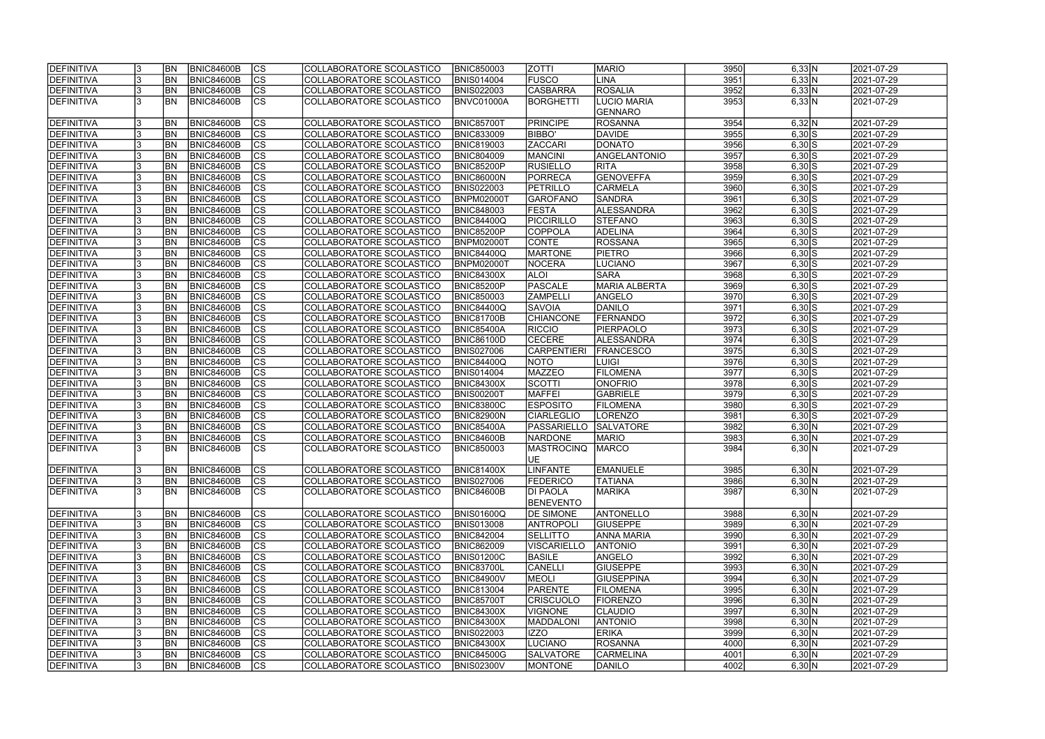| <b>IDEFINITIVA</b> |   | <b>BN</b> | <b>BNIC84600B</b> | <b>CS</b>                | COLLABORATORE SCOLASTICO        | <b>BNIC850003</b> | <b>ZOTTI</b>       | <b>MARIO</b>         | 3950 | 6,33 N             | 2021-07-29 |
|--------------------|---|-----------|-------------------|--------------------------|---------------------------------|-------------------|--------------------|----------------------|------|--------------------|------------|
| DEFINITIVA         |   | <b>BN</b> | <b>BNIC84600B</b> | cs                       | COLLABORATORE SCOLASTICO        | <b>BNIS014004</b> | <b>FUSCO</b>       | <b>LINA</b>          | 3951 | 6,33 N             | 2021-07-29 |
| <b>DEFINITIVA</b>  |   | <b>BN</b> | <b>BNIC84600B</b> | $ \overline{\text{cs}} $ | COLLABORATORE SCOLASTICO        | <b>BNIS022003</b> | CASBARRA           | <b>ROSALIA</b>       | 3952 | 6,33 N             | 2021-07-29 |
| <b>DEFINITIVA</b>  |   | <b>BN</b> | <b>BNIC84600B</b> | $\overline{\text{cs}}$   | COLLABORATORE SCOLASTICO        | BNVC01000A        | BORGHETTI          | LUCIO MARIA          | 3953 | 6,33 N             | 2021-07-29 |
|                    |   |           |                   |                          |                                 |                   |                    | <b>GENNARO</b>       |      |                    |            |
| <b>DEFINITIVA</b>  |   | <b>BN</b> | <b>BNIC84600B</b> | <b>CS</b>                | COLLABORATORE SCOLASTICO        | <b>BNIC85700T</b> | <b>PRINCIPE</b>    | <b>ROSANNA</b>       | 3954 | 6,32 N             | 2021-07-29 |
| <b>DEFINITIVA</b>  |   | <b>BN</b> | <b>BNIC84600B</b> | <b>CS</b>                | COLLABORATORE SCOLASTICO        | <b>BNIC833009</b> | <b>BIBBO'</b>      | <b>DAVIDE</b>        | 3955 | $6,30$ $S$         | 2021-07-29 |
| DEFINITIVA         |   | <b>BN</b> | <b>BNIC84600B</b> | $\overline{\text{CS}}$   | COLLABORATORE SCOLASTICO        | <b>BNIC819003</b> | <b>ZACCARI</b>     | DONATO               | 3956 | $6,30$ $S$         | 2021-07-29 |
| DEFINITIVA         |   | <b>BN</b> | <b>BNIC84600B</b> | $\overline{\text{CS}}$   | COLLABORATORE SCOLASTICO        | <b>BNIC804009</b> | <b>MANCINI</b>     | ANGELANTONIO         | 3957 | $6,30$ $S$         | 2021-07-29 |
| <b>DEFINITIVA</b>  |   | BN        | <b>BNIC84600B</b> | cs                       | COLLABORATORE SCOLASTICO        | BNIC85200P        | <b>RUSIELLO</b>    | <b>RITA</b>          | 3958 | $6,30$ $S$         | 2021-07-29 |
| <b>DEFINITIVA</b>  |   | <b>BN</b> | <b>BNIC84600B</b> | $\overline{\text{CS}}$   | COLLABORATORE SCOLASTICO        | BNIC86000N        | PORRECA            | <b>GENOVEFFA</b>     | 3959 | $6,30$ S           | 2021-07-29 |
| DEFINITIVA         |   | <b>BN</b> | <b>BNIC84600B</b> | cs                       | COLLABORATORE SCOLASTICO        | <b>BNIS022003</b> | PETRILLO           | <b>CARMELA</b>       | 3960 | $6,30$ $S$         | 2021-07-29 |
| <b>DEFINITIVA</b>  |   | <b>BN</b> | <b>BNIC84600B</b> | <b>CS</b>                | <b>COLLABORATORE SCOLASTICO</b> | BNPM02000T        | GAROFANO           | <b>SANDRA</b>        | 3961 | $6,30$ $S$         | 2021-07-29 |
| <b>DEFINITIVA</b>  |   | <b>BN</b> | <b>BNIC84600B</b> | $\overline{\text{CS}}$   | COLLABORATORE SCOLASTICO        | <b>BNIC848003</b> | <b>FESTA</b>       | ALESSANDRA           | 3962 | $6,30$ $S$         | 2021-07-29 |
| <b>DEFINITIVA</b>  |   | <b>BN</b> | <b>BNIC84600B</b> | $\overline{\text{CS}}$   | COLLABORATORE SCOLASTICO        | <b>BNIC84400Q</b> | PICCIRILLO         | <b>STEFANO</b>       | 3963 | $6,30$ $S$         | 2021-07-29 |
| <b>DEFINITIVA</b>  |   | <b>BN</b> | <b>BNIC84600B</b> | $\overline{\text{CS}}$   | COLLABORATORE SCOLASTICO        | BNIC85200P        | <b>COPPOLA</b>     | <b>ADELINA</b>       | 3964 | $6,30$ $S$         | 2021-07-29 |
| DEFINITIVA         |   | <b>BN</b> | <b>BNIC84600B</b> | $\overline{\text{CS}}$   | COLLABORATORE SCOLASTICO        | BNPM02000T        | <b>CONTE</b>       | ROSSANA              | 3965 | $6,30$ $S$         | 2021-07-29 |
| DEFINITIVA         |   | <b>BN</b> | <b>BNIC84600B</b> | CS                       | COLLABORATORE SCOLASTICO        | <b>BNIC84400Q</b> | MARTONE            | <b>PIETRO</b>        | 3966 | $6,30$ $S$         | 2021-07-29 |
| DEFINITIVA         |   | <b>BN</b> | <b>BNIC84600B</b> | $\overline{\text{CS}}$   | COLLABORATORE SCOLASTICO        | BNPM02000T        | <b>NOCERA</b>      | <b>LUCIANO</b>       | 3967 | $6,30$ $S$         | 2021-07-29 |
| <b>DEFINITIVA</b>  |   | <b>BN</b> | <b>BNIC84600B</b> | $\overline{\text{CS}}$   | COLLABORATORE SCOLASTICO        | <b>BNIC84300X</b> | <b>ALOI</b>        | <b>SARA</b>          | 3968 | $6,30$ $S$         | 2021-07-29 |
| DEFINITIVA         |   | BN        | <b>BNIC84600B</b> | $\overline{\text{CS}}$   | COLLABORATORE SCOLASTICO        | BNIC85200P        | PASCALE            | <b>MARIA ALBERTA</b> | 3969 | $6,30$ $S$         | 2021-07-29 |
| DEFINITIVA         |   | <b>BN</b> | <b>BNIC84600B</b> | <b>CS</b>                | COLLABORATORE SCOLASTICO        | <b>BNIC850003</b> | <b>ZAMPELLI</b>    | ANGELO               | 3970 | $6,30$ $S$         | 2021-07-29 |
| DEFINITIVA         |   | <b>BN</b> | <b>BNIC84600B</b> | <b>CS</b>                | COLLABORATORE SCOLASTICO        | <b>BNIC84400Q</b> | <b>SAVOIA</b>      | DANILO               | 3971 | $6,30$ $S$         | 2021-07-29 |
| <b>DEFINITIVA</b>  |   | <b>BN</b> | <b>BNIC84600B</b> | <b>CS</b>                | COLLABORATORE SCOLASTICO        | BNIC81700B        | <b>CHIANCONE</b>   | <b>FERNANDO</b>      | 3972 | $6,30$ $S$         | 2021-07-29 |
| DEFINITIVA         |   | <b>BN</b> | <b>BNIC84600B</b> | $ \overline{\text{CS}} $ | COLLABORATORE SCOLASTICO        | BNIC85400A        | <b>RICCIO</b>      | PIERPAOLO            | 3973 | $6,30$ $S$         | 2021-07-29 |
| DEFINITIVA         |   | <b>BN</b> | <b>BNIC84600B</b> | lcs                      | COLLABORATORE SCOLASTICO        | BNIC86100D        | <b>CECERE</b>      | <b>ALESSANDRA</b>    | 3974 | $6,30$ $S$         | 2021-07-29 |
| DEFINITIVA         |   | <b>BN</b> | <b>BNIC84600B</b> | cs                       | COLLABORATORE SCOLASTICO        | <b>BNIS027006</b> | <b>CARPENTIERI</b> | <b>FRANCESCO</b>     | 3975 | $6,30$ $S$         | 2021-07-29 |
| <b>DEFINITIVA</b>  |   | <b>BN</b> | <b>BNIC84600B</b> | lcs                      | COLLABORATORE SCOLASTICO        | <b>BNIC84400Q</b> | NOTO               | <b>LUIGI</b>         | 3976 | $6,30$ $S$         | 2021-07-29 |
| <b>DEFINITIVA</b>  |   | <b>BN</b> | <b>BNIC84600B</b> | cs                       | COLLABORATORE SCOLASTICO        | <b>BNIS014004</b> | <b>MAZZEO</b>      | <b>FILOMENA</b>      | 3977 | $6,30$ $S$         | 2021-07-29 |
| DEFINITIVA         |   | <b>BN</b> | <b>BNIC84600B</b> | lcs                      | COLLABORATORE SCOLASTICO        | <b>BNIC84300X</b> | <b>SCOTTI</b>      | <b>ONOFRIO</b>       | 3978 | $6,30$ $S$         | 2021-07-29 |
| DEFINITIVA         |   | <b>BN</b> | <b>BNIC84600B</b> | $ \overline{\text{CS}} $ | COLLABORATORE SCOLASTICO        | BNIS00200T        | <b>MAFFEI</b>      | <b>GABRIELE</b>      | 3979 | $6,30$ S           | 2021-07-29 |
| DEFINITIVA         |   | <b>BN</b> | <b>BNIC84600B</b> | $\overline{\text{CS}}$   | COLLABORATORE SCOLASTICO        | <b>BNIC83800C</b> | <b>ESPOSITO</b>    | FILOMENA             | 3980 | $6,30\overline{S}$ | 2021-07-29 |
| DEFINITIVA         |   | <b>BN</b> | <b>BNIC84600B</b> | $\overline{\text{CS}}$   | COLLABORATORE SCOLASTICO        | <b>BNIC82900N</b> | <b>CIARLEGLIO</b>  | <b>LORENZO</b>       | 3981 | $6,30$ $S$         | 2021-07-29 |
| DEFINITIVA         |   | <b>BN</b> | <b>BNIC84600B</b> | $\overline{\text{CS}}$   | COLLABORATORE SCOLASTICO        | <b>BNIC85400A</b> | PASSARIELLO        | <b>SALVATORE</b>     | 3982 | 6,30 N             | 2021-07-29 |
| <b>DEFINITIVA</b>  |   | <b>BN</b> | <b>BNIC84600B</b> | $\overline{\text{CS}}$   | COLLABORATORE SCOLASTICO        | BNIC84600B        | <b>NARDONE</b>     | <b>MARIO</b>         | 3983 | 6,30 N             | 2021-07-29 |
| <b>DEFINITIVA</b>  |   | <b>BN</b> | <b>BNIC84600B</b> | $\overline{\text{cs}}$   | COLLABORATORE SCOLASTICO        | <b>BNIC850003</b> | MASTROCINQ         | <b>MARCO</b>         | 3984 | 6,30 N             | 2021-07-29 |
|                    |   |           |                   |                          |                                 |                   | UE                 |                      |      |                    |            |
| <b>DEFINITIVA</b>  |   | <b>BN</b> | <b>BNIC84600B</b> | <b>CS</b>                | COLLABORATORE SCOLASTICO        | <b>BNIC81400X</b> | LINFANTE           | <b>EMANUELE</b>      | 3985 | 6,30 N             | 2021-07-29 |
| <b>DEFINITIVA</b>  |   | BN        | <b>BNIC84600B</b> | <b>CS</b>                | COLLABORATORE SCOLASTICO        | <b>BNIS027006</b> | <b>FEDERICO</b>    | <b>TATIANA</b>       | 3986 | 6,30 N             | 2021-07-29 |
| <b>DEFINITIVA</b>  | 3 | <b>BN</b> | BNIC84600B        | <b>CS</b>                | COLLABORATORE SCOLASTICO        | BNIC84600B        | <b>DI PAOLA</b>    | <b>MARIKA</b>        | 3987 | 6,30 N             | 2021-07-29 |
|                    |   |           |                   |                          |                                 |                   | <b>BENEVENTO</b>   |                      |      |                    |            |
| <b>DEFINITIVA</b>  |   | <b>BN</b> | <b>BNIC84600B</b> | <b>CS</b>                | COLLABORATORE SCOLASTICO        | <b>BNIS01600Q</b> | <b>DE SIMONE</b>   | <b>ANTONELLO</b>     | 3988 | 6,30 N             | 2021-07-29 |
| DEFINITIVA         |   | <b>BN</b> | <b>BNIC84600B</b> | $\overline{\text{cs}}$   | COLLABORATORE SCOLASTICO        | <b>BNIS013008</b> | ANTROPOLI          | <b>GIUSEPPE</b>      | 3989 | 6,30 N             | 2021-07-29 |
| <b>DEFINITIVA</b>  |   | <b>BN</b> | <b>BNIC84600B</b> | <b>CS</b>                | COLLABORATORE SCOLASTICO        | <b>BNIC842004</b> | <b>SELLITTO</b>    | <b>ANNA MARIA</b>    | 3990 | 6,30 N             | 2021-07-29 |
| <b>DEFINITIVA</b>  |   | <b>BN</b> | <b>BNIC84600B</b> | $\overline{\text{CS}}$   | COLLABORATORE SCOLASTICO        | <b>BNIC862009</b> | VISCARIELLO        | <b>ANTONIO</b>       | 3991 | 6,30 N             | 2021-07-29 |
| <b>DEFINITIVA</b>  |   | <b>BN</b> | <b>BNIC84600B</b> | $\overline{\text{CS}}$   | COLLABORATORE SCOLASTICO        | <b>BNIS01200C</b> | <b>BASILE</b>      | ANGELO               | 3992 | 6,30 N             | 2021-07-29 |
| <b>DEFINITIVA</b>  |   | BN        | <b>BNIC84600B</b> | $\overline{\text{CS}}$   | COLLABORATORE SCOLASTICO        | <b>BNIC83700L</b> | CANELLI            | <b>GIUSEPPE</b>      | 3993 | 6,30 N             | 2021-07-29 |
| <b>DEFINITIVA</b>  |   | <b>BN</b> | <b>BNIC84600B</b> | $\overline{\text{CS}}$   | COLLABORATORE SCOLASTICO        | <b>BNIC84900V</b> | MEOLI              | <b>GIUSEPPINA</b>    | 3994 | 6,30 N             | 2021-07-29 |
| <b>DEFINITIVA</b>  |   | <b>BN</b> | <b>BNIC84600B</b> | $\overline{\text{cs}}$   | COLLABORATORE SCOLASTICO        | <b>BNIC813004</b> | <b>PARENTE</b>     | FILOMENA             | 3995 | 6,30 N             | 2021-07-29 |
| DEFINITIVA         |   | <b>BN</b> | <b>BNIC84600B</b> | $\overline{\text{cs}}$   | COLLABORATORE SCOLASTICO        | <b>BNIC85700T</b> | <b>CRISCUOLO</b>   | FIORENZO             | 3996 | 6,30 N             | 2021-07-29 |
| DEFINITIVA         |   | <b>BN</b> | <b>BNIC84600B</b> | $\overline{\text{CS}}$   | COLLABORATORE SCOLASTICO        | <b>BNIC84300X</b> | <b>VIGNONE</b>     | <b>CLAUDIO</b>       | 3997 | 6,30 N             | 2021-07-29 |
| DEFINITIVA         |   | BN        | <b>BNIC84600B</b> | $\overline{\text{CS}}$   | COLLABORATORE SCOLASTICO        | <b>BNIC84300X</b> | <b>MADDALONI</b>   | <b>ANTONIO</b>       | 3998 | 6,30 N             | 2021-07-29 |
| <b>DEFINITIVA</b>  |   | BN        | <b>BNIC84600B</b> | CS                       | COLLABORATORE SCOLASTICO        | <b>BNIS022003</b> | <b>IZZO</b>        | <b>ERIKA</b>         | 3999 | 6,30 N             | 2021-07-29 |
| <b>DEFINITIVA</b>  |   | BN        | <b>BNIC84600B</b> | CS                       | COLLABORATORE SCOLASTICO        | <b>BNIC84300X</b> | <b>LUCIANO</b>     | <b>ROSANNA</b>       | 4000 | 6,30 N             | 2021-07-29 |
| <b>DEFINITIVA</b>  |   | BN        | <b>BNIC84600B</b> | CS                       | COLLABORATORE SCOLASTICO        | <b>BNIC84500G</b> | <b>SALVATORE</b>   | <b>CARMELINA</b>     | 4001 | 6,30 N             | 2021-07-29 |
| <b>DEFINITIVA</b>  |   | <b>BN</b> | <b>BNIC84600B</b> | CS                       | COLLABORATORE SCOLASTICO        | <b>BNIS02300V</b> | <b>MONTONE</b>     | DANILO               | 4002 | 6,30 N             | 2021-07-29 |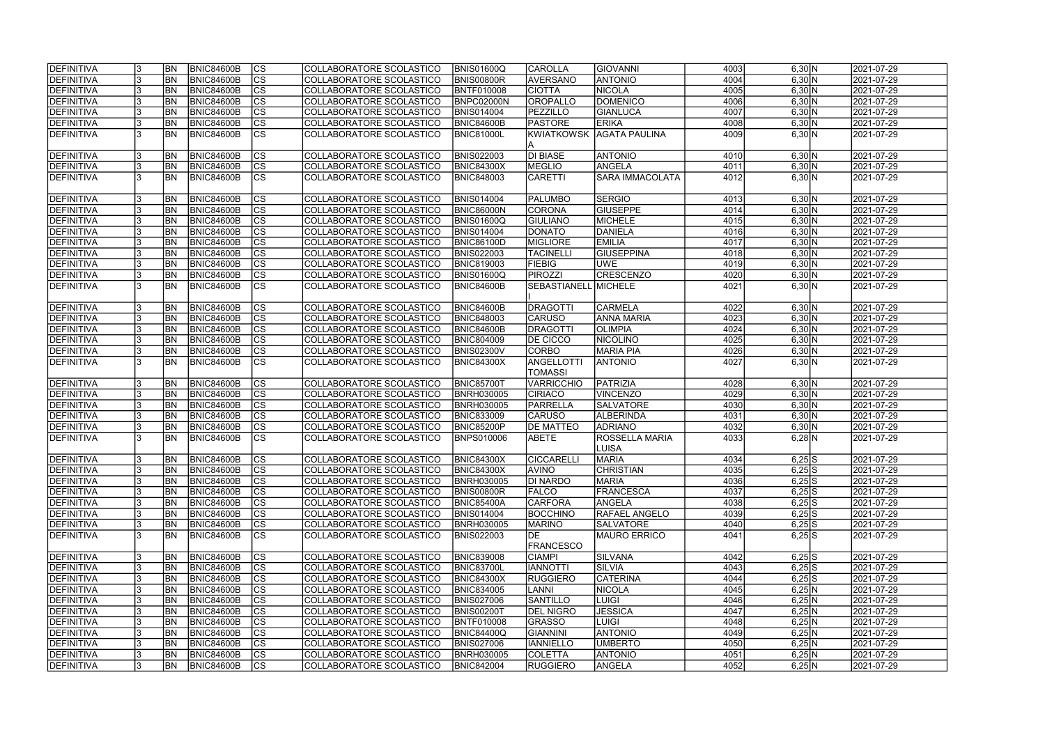| <b>IDEFINITIVA</b> | <b>BN</b>      | BNIC84600B        | CS                       | COLLABORATORE SCOLASTICO | <b>BNIS01600Q</b> | <b>CAROLLA</b>           | GIOVANNI                              | 4003 | 6,30 N              | 2021-07-29 |
|--------------------|----------------|-------------------|--------------------------|--------------------------|-------------------|--------------------------|---------------------------------------|------|---------------------|------------|
| DEFINITIVA         | <b>BN</b>      | <b>BNIC84600B</b> | $\overline{\text{cs}}$   | COLLABORATORE SCOLASTICO | <b>BNIS00800R</b> | <b>AVERSANO</b>          | <b>ANTONIO</b>                        | 4004 | 6,30 N              | 2021-07-29 |
| <b>DEFINITIVA</b>  | <b>BN</b>      | <b>BNIC84600B</b> | $\overline{\text{cs}}$   | COLLABORATORE SCOLASTICO | <b>BNTF010008</b> | <b>CIOTTA</b>            | <b>NICOLA</b>                         | 4005 | 6,30 N              | 2021-07-29 |
| DEFINITIVA         | <b>BN</b>      | <b>BNIC84600B</b> | $\overline{\text{cs}}$   | COLLABORATORE SCOLASTICO | BNPC02000N        | <b>OROPALLO</b>          | <b>DOMENICO</b>                       | 4006 | 6,30 N              | 2021-07-29 |
| <b>DEFINITIVA</b>  | <b>BN</b>      | <b>BNIC84600B</b> | cs                       | COLLABORATORE SCOLASTICO | <b>BNIS014004</b> | <b>PEZZILLO</b>          | <b>GIANLUCA</b>                       | 4007 | 6,30 N              | 2021-07-29 |
| DEFINITIVA         | <b>BN</b>      | <b>BNIC84600B</b> | $\overline{\text{CS}}$   | COLLABORATORE SCOLASTICO | BNIC84600B        | <b>PASTORE</b>           | <b>ERIKA</b>                          | 4008 | 6,30 N              | 2021-07-29 |
| <b>DEFINITIVA</b>  | <b>BN</b>      | <b>BNIC84600B</b> | <b>CS</b>                | COLLABORATORE SCOLASTICO | BNIC81000L        | <b>KWIATKOWSK</b><br>IA. | <b>AGATA PAULINA</b>                  | 4009 | 6,30 N              | 2021-07-29 |
| DEFINITIVA         | <b>BN</b>      | BNIC84600B        | CS                       | COLLABORATORE SCOLASTICO | <b>BNIS022003</b> | <b>DI BIASE</b>          | <b>ANTONIO</b>                        | 4010 | 6,30 N              | 2021-07-29 |
| DEFINITIVA         | <b>BN</b>      | <b>BNIC84600B</b> | cs                       | COLLABORATORE SCOLASTICO | <b>BNIC84300X</b> | MEGLIO                   | ANGELA                                | 4011 | 6,30 N              | 2021-07-29 |
| <b>DEFINITIVA</b>  | <b>BN</b>      | BNIC84600B        | cs                       | COLLABORATORE SCOLASTICO | <b>BNIC848003</b> | <b>CARETTI</b>           | <b>SARA IMMACOLATA</b>                | 4012 | 6,30 N              | 2021-07-29 |
| <b>DEFINITIVA</b>  | <b>BN</b>      | <b>BNIC84600B</b> | CS                       | COLLABORATORE SCOLASTICO | <b>BNIS014004</b> | <b>PALUMBO</b>           | SERGIO                                | 4013 | 6,30 N              | 2021-07-29 |
| <b>DEFINITIVA</b>  | <b>BN</b>      | BNIC84600B        | <b>CS</b>                | COLLABORATORE SCOLASTICO | <b>BNIC86000N</b> | <b>CORONA</b>            | <b>GIUSEPPE</b>                       | 4014 | 6,30 N              | 2021-07-29 |
| DEFINITIVA         | <b>BN</b>      | <b>BNIC84600B</b> | cs                       | COLLABORATORE SCOLASTICO | <b>BNIS01600Q</b> | <b>GIULIANO</b>          | MICHELE                               | 4015 | 6,30 N              | 2021-07-29 |
| DEFINITIVA         | <b>BN</b>      | <b>BNIC84600B</b> | $\overline{\text{cs}}$   | COLLABORATORE SCOLASTICO | <b>BNIS014004</b> | <b>DONATO</b>            | DANIELA                               | 4016 | 6,30 N              | 2021-07-29 |
| <b>DEFINITIVA</b>  | <b>BN</b>      | <b>BNIC84600B</b> | $ \overline{\text{CS}} $ | COLLABORATORE SCOLASTICO | <b>BNIC86100D</b> | <b>MIGLIORE</b>          | <b>EMILIA</b>                         | 4017 | 6,30 N              | 2021-07-29 |
| <b>DEFINITIVA</b>  | <b>BN</b>      | <b>BNIC84600B</b> | $ \overline{\text{CS}} $ | COLLABORATORE SCOLASTICO | <b>BNIS022003</b> | <b>TACINELLI</b>         | <b>GIUSEPPINA</b>                     | 4018 | 6,30 N              | 2021-07-29 |
| <b>DEFINITIVA</b>  | <b>BN</b>      | <b>BNIC84600B</b> | $ \overline{\text{CS}} $ | COLLABORATORE SCOLASTICO | <b>BNIC819003</b> | <b>FIEBIG</b>            | <b>UWE</b>                            | 4019 | $6,30 \overline{N}$ | 2021-07-29 |
| DEFINITIVA         | BN             | <b>BNIC84600B</b> | $\overline{\text{CS}}$   | COLLABORATORE SCOLASTICO | BNIS01600Q        | <b>PIROZZI</b>           | <b>CRESCENZO</b>                      | 4020 | 6,30 N              | 2021-07-29 |
| <b>DEFINITIVA</b>  | <b>BN</b>      | <b>BNIC84600B</b> | $\overline{\text{cs}}$   | COLLABORATORE SCOLASTICO | BNIC84600B        | SEBASTIANELL             | MICHELE                               | 4021 | 6,30 N              | 2021-07-29 |
| DEFINITIVA         | <b>BN</b>      | <b>BNIC84600B</b> | <b>CS</b>                | COLLABORATORE SCOLASTICO | <b>BNIC84600B</b> | DRAGOTTI                 | <b>CARMELA</b>                        | 4022 | 6,30 N              | 2021-07-29 |
| DEFINITIVA         | <b>BN</b>      | <b>BNIC84600B</b> | CS                       | COLLABORATORE SCOLASTICO | <b>BNIC848003</b> | <b>CARUSO</b>            | ANNA MARIA                            | 4023 | 6,30 N              | 2021-07-29 |
| DEFINITIVA         | <b>BN</b>      | <b>BNIC84600B</b> | lcs                      | COLLABORATORE SCOLASTICO | BNIC84600B        | DRAGOTTI                 | <b>OLIMPIA</b>                        | 4024 | 6,30 N              | 2021-07-29 |
| DEFINITIVA         | <b>BN</b>      | <b>BNIC84600B</b> | lcs                      | COLLABORATORE SCOLASTICO | <b>BNIC804009</b> | <b>DE CICCO</b>          | NICOLINO                              | 4025 | 6,30 N              | 2021-07-29 |
| <b>DEFINITIVA</b>  | <b>BN</b>      | <b>BNIC84600B</b> | cs                       | COLLABORATORE SCOLASTICO | <b>BNIS02300V</b> | <b>CORBO</b>             | <b>MARIA PIA</b>                      | 4026 | 6,30 N              | 2021-07-29 |
| <b>DEFINITIVA</b>  | BN             | BNIC84600B        | $\overline{\text{cs}}$   | COLLABORATORE SCOLASTICO | <b>BNIC84300X</b> | <b>ANGELLOTTI</b>        | <b>ANTONIO</b>                        | 4027 | 6,30 N              | 2021-07-29 |
|                    |                |                   |                          |                          |                   | <b>TOMASSI</b>           |                                       |      |                     |            |
| <b>DEFINITIVA</b>  | <b>BN</b>      | <b>BNIC84600B</b> | CS                       | COLLABORATORE SCOLASTICO | <b>BNIC85700T</b> | <b>VARRICCHIO</b>        | PATRIZIA                              | 4028 | 6,30 N              | 2021-07-29 |
| <b>DEFINITIVA</b>  | <b>BN</b>      | BNIC84600B        | cs                       | COLLABORATORE SCOLASTICO | <b>BNRH030005</b> | <b>CIRIACO</b>           | <b>VINCENZO</b>                       | 4029 | 6,30 N              | 2021-07-29 |
| <b>DEFINITIVA</b>  | <b>BN</b>      | BNIC84600B        | $ \mathsf{CS} $          | COLLABORATORE SCOLASTICO | <b>BNRH030005</b> | PARRELLA                 | <b>SALVATORE</b>                      | 4030 | 6,30 N              | 2021-07-29 |
| <b>DEFINITIVA</b>  | <b>BN</b>      | <b>BNIC84600B</b> | $\overline{\text{cs}}$   | COLLABORATORE SCOLASTICO | <b>BNIC833009</b> | <b>CARUSO</b>            | <b>ALBERINDA</b>                      | 4031 | 6,30 N              | 2021-07-29 |
| <b>DEFINITIVA</b>  | <b>BN</b>      | <b>BNIC84600B</b> | cs                       | COLLABORATORE SCOLASTICO | BNIC85200P        | <b>DE MATTEO</b>         | <b>ADRIANO</b>                        | 4032 | 6,30 N              | 2021-07-29 |
| DEFINITIVA         | <b>BN</b>      | <b>BNIC84600B</b> | $\overline{\text{cs}}$   | COLLABORATORE SCOLASTICO | <b>BNPS010006</b> | ABETE                    | <b>ROSSELLA MARIA</b><br><b>LUISA</b> | 4033 | $6,28$ N            | 2021-07-29 |
| <b>DEFINITIVA</b>  | <b>BN</b>      | BNIC84600B        |                          | COLLABORATORE SCOLASTICO | BNIC84300X        | <b>CICCARELLI</b>        | <b>MARIA</b>                          | 4034 | $6,25$ S            | 2021-07-29 |
| DEFINITIVA         | <b>BN</b>      | BNIC84600B        | CS <br>lcs               | COLLABORATORE SCOLASTICO | <b>BNIC84300X</b> | <b>AVINO</b>             | <b>CHRISTIAN</b>                      | 4035 | $6,25$ S            | 2021-07-29 |
| <b>DEFINITIVA</b>  | <b>BN</b>      | BNIC84600B        | CS                       | COLLABORATORE SCOLASTICO | <b>BNRH030005</b> | <b>DI NARDO</b>          | <b>MARIA</b>                          | 4036 | $6,25$ S            | 2021-07-29 |
| <b>DEFINITIVA</b>  | <b>BN</b>      | <b>BNIC84600B</b> | CS                       | COLLABORATORE SCOLASTICO | <b>BNIS00800R</b> | <b>FALCO</b>             | <b>FRANCESCA</b>                      | 4037 | $6,25$ S            | 2021-07-29 |
| DEFINITIVA         | <b>BN</b>      | <b>BNIC84600B</b> | lcs                      | COLLABORATORE SCOLASTICO | <b>BNIC85400A</b> | <b>CARFORA</b>           | ANGELA                                | 4038 | $6,25$ S            | 2021-07-29 |
| <b>DEFINITIVA</b>  | <b>BN</b>      | <b>BNIC84600B</b> | CS                       | COLLABORATORE SCOLASTICO | <b>BNIS014004</b> | <b>BOCCHINO</b>          | <b>RAFAEL ANGELO</b>                  | 4039 | $6,25$ S            | 2021-07-29 |
| <b>DEFINITIVA</b>  | <b>BN</b>      | <b>BNIC84600B</b> | CS                       | COLLABORATORE SCOLASTICO | <b>BNRH030005</b> | <b>MARINO</b>            | <b>SALVATORE</b>                      | 4040 | $6,25$ S            | 2021-07-29 |
| <b>DEFINITIVA</b>  | <b>BN</b>      | BNIC84600B        | <b>CS</b>                | COLLABORATORE SCOLASTICO | <b>BNIS022003</b> | IDE                      | <b>MAURO ERRICO</b>                   | 4041 | $6,25$ S            | 2021-07-29 |
|                    |                |                   |                          |                          |                   | <b>FRANCESCO</b>         |                                       |      |                     |            |
| DEFINITIVA         | <b>BN</b>      | BNIC84600B        | CS                       | COLLABORATORE SCOLASTICO | <b>BNIC839008</b> | <b>CIAMPI</b>            | SILVANA                               | 4042 | $6,25$ S            | 2021-07-29 |
| <b>DEFINITIVA</b>  | <b>BN</b>      | BNIC84600B        | CS                       | COLLABORATORE SCOLASTICO | <b>BNIC83700L</b> | <b>IANNOTTI</b>          | <b>SILVIA</b>                         | 4043 | $6,25$ S            | 2021-07-29 |
| <b>DEFINITIVA</b>  | <b>BN</b>      | BNIC84600B        | cs                       | COLLABORATORE SCOLASTICO | <b>BNIC84300X</b> | <b>RUGGIERO</b>          | <b>CATERINA</b>                       | 4044 | $6,25$ S            | 2021-07-29 |
| <b>DEFINITIVA</b>  | <b>BN</b>      | BNIC84600B        | cs                       | COLLABORATORE SCOLASTICO | <b>BNIC834005</b> | <b>LANNI</b>             | NICOLA                                | 4045 | 6,25 N              | 2021-07-29 |
| <b>DEFINITIVA</b>  | <b>BN</b>      | <b>BNIC84600B</b> | cs                       | COLLABORATORE SCOLASTICO | <b>BNIS027006</b> | <b>SANTILLO</b>          | LUIGI                                 | 4046 | 6,25 N              | 2021-07-29 |
| <b>DEFINITIVA</b>  | <b>BN</b>      | <b>BNIC84600B</b> | cs                       | COLLABORATORE SCOLASTICO | <b>BNIS00200T</b> | <b>DEL NIGRO</b>         | <b>JESSICA</b>                        | 4047 | 6,25 N              | 2021-07-29 |
| <b>DEFINITIVA</b>  | BN <sub></sub> | <b>BNIC84600B</b> | CS                       | COLLABORATORE SCOLASTICO | <b>BNTF010008</b> | <b>GRASSO</b>            | <b>LUIGI</b>                          | 4048 | 6,25 N              | 2021-07-29 |
| <b>DEFINITIVA</b>  | <b>BN</b>      | <b>BNIC84600B</b> | cs                       | COLLABORATORE SCOLASTICO | <b>BNIC84400Q</b> | <b>GIANNINI</b>          | <b>ANTONIO</b>                        | 4049 | 6,25 N              | 2021-07-29 |
| <b>DEFINITIVA</b>  | IBN.           | <b>BNIC84600B</b> | lcs                      | COLLABORATORE SCOLASTICO | <b>BNIS027006</b> | <b>IANNIELLO</b>         | UMBERTO                               | 4050 | 6,25 N              | 2021-07-29 |
| <b>DEFINITIVA</b>  | BN             | <b>BNIC84600B</b> | CS                       | COLLABORATORE SCOLASTICO | <b>BNRH030005</b> | <b>COLETTA</b>           | <b>ANTONIO</b>                        | 4051 | 6,25 N              | 2021-07-29 |
| <b>DEFINITIVA</b>  | <b>BN</b>      | BNIC84600B        | lcs                      | COLLABORATORE SCOLASTICO | <b>BNIC842004</b> | <b>RUGGIERO</b>          | ANGELA                                | 4052 | 6,25 N              | 2021-07-29 |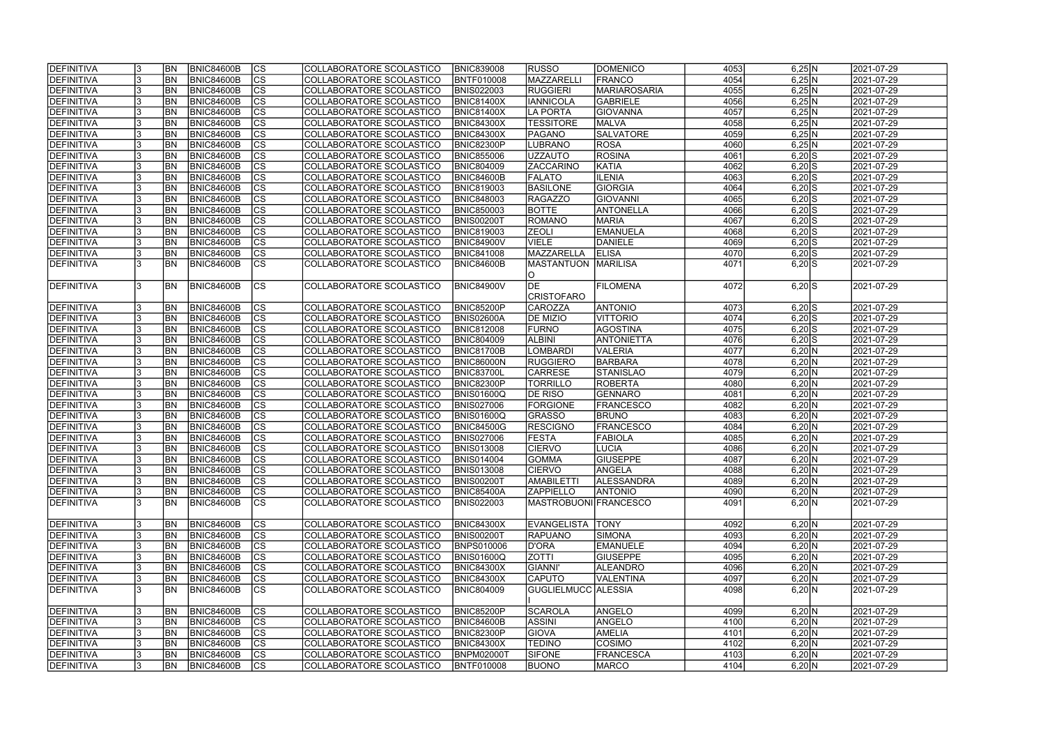| <b>DEFINITIVA</b> |     | <b>BN</b>  | <b>BNIC84600B</b> | $ {\rm CS} $   | COLLABORATORE SCOLASTICO        | <b>BNIC839008</b> | <b>RUSSO</b>          | DOMENICO            | 4053 | 6,25 N              | 2021-07-29 |
|-------------------|-----|------------|-------------------|----------------|---------------------------------|-------------------|-----------------------|---------------------|------|---------------------|------------|
| DEFINITIVA        |     | <b>BN</b>  | <b>BNIC84600B</b> | $\overline{c}$ | COLLABORATORE SCOLASTICO        | <b>BNTF010008</b> | MAZZARELL             | <b>FRANCO</b>       | 4054 | $6,25$ N            | 2021-07-29 |
| DEFINITIVA        |     | <b>BN</b>  | <b>BNIC84600B</b> | $\overline{c}$ | COLLABORATORE SCOLASTICO        | <b>BNIS022003</b> | <b>RUGGIERI</b>       | <b>MARIAROSARIA</b> | 4055 | 6,25 N              | 2021-07-29 |
| DEFINITIVA        |     | BN         | <b>BNIC84600B</b> | cs             | COLLABORATORE SCOLASTICO        | <b>BNIC81400X</b> | <b>IANNICOLA</b>      | GABRIELE            | 4056 | $6,25$ N            | 2021-07-29 |
| DEFINITIVA        |     | <b>BN</b>  | <b>BNIC84600B</b> | cs             | COLLABORATORE SCOLASTICO        | <b>BNIC81400X</b> | LA PORTA              | <b>GIOVANNA</b>     | 4057 | $6,25$ N            | 2021-07-29 |
| DEFINITIVA        |     | BN         | <b>BNIC84600B</b> | cs             | COLLABORATORE SCOLASTICO        | <b>BNIC84300X</b> | <b>TESSITORE</b>      | <b>MALVA</b>        | 4058 | $6,25$ N            | 2021-07-29 |
| DEFINITIVA        |     | <b>BN</b>  | <b>BNIC84600B</b> | cs             | COLLABORATORE SCOLASTICO        | <b>BNIC84300X</b> | PAGANO                | <b>SALVATORE</b>    | 4059 | 6,25 N              | 2021-07-29 |
| DEFINITIVA        | 13  | <b>BN</b>  | <b>BNIC84600B</b> | cs             | COLLABORATORE SCOLASTICO        | <b>BNIC82300P</b> | <b>LUBRANO</b>        | <b>ROSA</b>         | 4060 | 6,25 N              | 2021-07-29 |
| DEFINITIVA        |     | <b>BN</b>  | <b>BNIC84600B</b> | cs             | COLLABORATORE SCOLASTICO        | <b>BNIC855006</b> | <b>UZZAUTO</b>        | <b>ROSINA</b>       | 4061 | $6,20$ $S$          | 2021-07-29 |
| DEFINITIVA        |     | <b>BN</b>  | <b>BNIC84600B</b> | cs             | COLLABORATORE SCOLASTICO        | <b>BNIC804009</b> | <b>ZACCARINO</b>      | KATIA               | 4062 | $6,20$ S            | 2021-07-29 |
| DEFINITIVA        |     | <b>BN</b>  | <b>BNIC84600B</b> | $ {\rm cs} $   | COLLABORATORE SCOLASTICO        | <b>BNIC84600B</b> | <b>FALATO</b>         | <b>ILENIA</b>       | 4063 | $6,20$ $S$          | 2021-07-29 |
| DEFINITIVA        |     | <b>BN</b>  | <b>BNIC84600B</b> | cs             | COLLABORATORE SCOLASTICO        | <b>BNIC819003</b> | <b>BASILONE</b>       | <b>GIORGIA</b>      | 4064 | $6,20$ S            | 2021-07-29 |
| DEFINITIVA        |     | <b>BN</b>  | <b>BNIC84600B</b> | cs             | COLLABORATORE SCOLASTICO        | <b>BNIC848003</b> | RAGAZZO               | <b>GIOVANNI</b>     | 4065 | $6,20$ S            | 2021-07-29 |
| DEFINITIVA        |     | BN         | <b>BNIC84600B</b> | cs             | COLLABORATORE SCOLASTICO        | <b>BNIC850003</b> | <b>BOTTE</b>          | ANTONELLA           | 4066 | $6,20$ S            | 2021-07-29 |
| DEFINITIVA        |     | <b>BN</b>  | <b>BNIC84600B</b> | cs             | COLLABORATORE SCOLASTICO        | <b>BNIS00200T</b> | ROMANO                | <b>MARIA</b>        | 4067 | $6,20$ S            | 2021-07-29 |
| DEFINITIVA        |     | <b>BN</b>  | <b>BNIC84600B</b> | cs             | COLLABORATORE SCOLASTICO        | <b>BNIC819003</b> | <b>ZEOLI</b>          | <b>EMANUELA</b>     | 4068 | $6,20$ S            | 2021-07-29 |
| DEFINITIVA        | 3   | <b>BN</b>  | <b>BNIC84600B</b> | $\overline{c}$ | COLLABORATORE SCOLASTICO        | <b>BNIC84900V</b> | <b>VIELE</b>          | DANIELE             | 4069 | $6,20$ S            | 2021-07-29 |
| DEFINITIVA        |     | <b>BN</b>  | <b>BNIC84600B</b> | cs             | COLLABORATORE SCOLASTICO        | <b>BNIC841008</b> | MAZZARELLA            | <b>ELISA</b>        | 4070 | $6,20$ S            | 2021-07-29 |
| <b>DEFINITIVA</b> |     | BN         | <b>BNIC84600B</b> | <b>CS</b>      | COLLABORATORE SCOLASTICO        | <b>BNIC84600B</b> | <b>MASTANTUON</b>     | MARILISA            | 4071 | $6,20$ S            | 2021-07-29 |
|                   |     |            |                   |                |                                 |                   | IO                    |                     |      |                     |            |
| DEFINITIVA        |     | <b>BN</b>  | <b>BNIC84600B</b> | <b>CS</b>      | COLLABORATORE SCOLASTICO        | <b>BNIC84900V</b> | DE                    | <b>FILOMENA</b>     | 4072 | $6,20$ S            | 2021-07-29 |
|                   |     |            |                   |                |                                 |                   | <b>CRISTOFARO</b>     |                     |      |                     |            |
| DEFINITIVA        |     | <b>BN</b>  | <b>BNIC84600B</b> | $ {\rm cs} $   | COLLABORATORE SCOLASTICO        | <b>BNIC85200P</b> | <b>CAROZZA</b>        | <b>ANTONIO</b>      | 4073 | $6,20$ S            | 2021-07-29 |
| DEFINITIVA        |     | <b>BN</b>  | <b>BNIC84600B</b> | $ {\rm cs} $   | COLLABORATORE SCOLASTICO        | <b>BNIS02600A</b> | <b>DE MIZIO</b>       | VITTORIO            | 4074 | $6,20$ S            | 2021-07-29 |
| DEFINITIVA        |     | <b>BN</b>  | <b>BNIC84600B</b> | cs             | COLLABORATORE SCOLASTICO        | <b>BNIC812008</b> | <b>FURNO</b>          | AGOSTINA            | 4075 | $6,20$ S            | 2021-07-29 |
| DEFINITIVA        |     | <b>BN</b>  | <b>BNIC84600B</b> | $ {\rm cs} $   | COLLABORATORE SCOLASTICO        | <b>BNIC804009</b> | <b>ALBINI</b>         | <b>ANTONIETTA</b>   | 4076 | $6,20$ S            | 2021-07-29 |
| DEFINITIVA        |     | <b>BN</b>  | <b>BNIC84600B</b> | cs             | COLLABORATORE SCOLASTICO        | <b>BNIC81700B</b> | <b>LOMBARDI</b>       | <b>VALERIA</b>      | 4077 | 6,20 N              | 2021-07-29 |
| DEFINITIVA        |     | <b>BN</b>  | <b>BNIC84600B</b> | cs             | COLLABORATORE SCOLASTICO        | <b>BNIC86000N</b> | <b>RUGGIERO</b>       | <b>BARBARA</b>      | 4078 | 6,20 N              | 2021-07-29 |
| DEFINITIVA        |     | <b>BN</b>  | <b>BNIC84600B</b> | cs             | COLLABORATORE SCOLASTICO        | <b>BNIC83700L</b> | <b>CARRESE</b>        | STANISLAO           | 4079 | 6,20 N              | 2021-07-29 |
| DEFINITIVA        |     | <b>BN</b>  | <b>BNIC84600B</b> | cs             | COLLABORATORE SCOLASTICO        | <b>BNIC82300P</b> | <b>TORRILLO</b>       | <b>ROBERTA</b>      | 4080 | 6,20 N              | 2021-07-29 |
| DEFINITIVA        |     | <b>BN</b>  | <b>BNIC84600B</b> | $\overline{c}$ | COLLABORATORE SCOLASTICO        | <b>BNIS01600Q</b> | <b>DE RISO</b>        | GENNARO             | 4081 | 6,20 N              | 2021-07-29 |
| DEFINITIVA        |     | <b>BN</b>  | <b>BNIC84600B</b> | $\overline{c}$ | COLLABORATORE SCOLASTICO        | <b>BNIS027006</b> | <b>FORGIONE</b>       | <b>FRANCESCO</b>    | 4082 | 6,20 N              | 2021-07-29 |
| DEFINITIVA        |     | <b>BN</b>  | BNIC84600B        | $\overline{c}$ | COLLABORATORE SCOLASTICO        | <b>BNIS01600Q</b> | GRASSO                | <b>BRUNO</b>        | 4083 | 6,20 N              | 2021-07-29 |
| DEFINITIVA        |     | <b>BN</b>  | <b>BNIC84600B</b> | $\overline{c}$ | COLLABORATORE SCOLASTICO        | <b>BNIC84500G</b> | <b>RESCIGNO</b>       | <b>FRANCESCO</b>    | 4084 | 6,20 N              | 2021-07-29 |
| DEFINITIVA        |     | <b>BN</b>  | <b>BNIC84600B</b> | $\overline{c}$ | <b>COLLABORATORE SCOLASTICO</b> | <b>BNIS027006</b> | <b>FESTA</b>          | <b>FABIOLA</b>      | 4085 | 6,20 N              | 2021-07-29 |
| DEFINITIVA        |     | <b>BN</b>  | <b>BNIC84600B</b> | cs             | COLLABORATORE SCOLASTICO        | <b>BNIS013008</b> | <b>CIERVO</b>         | <b>LUCIA</b>        | 4086 | 6,20 N              | 2021-07-29 |
| <b>DEFINITIVA</b> | Iა  | <b>BN</b>  | BNIC84600B        | CS             | COLLABORATORE SCOLASTICO        | <b>BNIS014004</b> | GOMMA                 | <b>GIUSEPPE</b>     | 4087 | 6,20 N              | 2021-07-29 |
| DEFINITIVA        |     | <b>BN</b>  | <b>BNIC84600B</b> | $ {\rm CS} $   | COLLABORATORE SCOLASTICO        | <b>BNIS013008</b> | <b>CIERVO</b>         | ANGELA              | 4088 | 6,20 N              | 2021-07-29 |
| DEFINITIVA        |     | <b>IBN</b> | BNIC84600B        | <sub>Ics</sub> | COLLABORATORE SCOLASTICO        | <b>BNIS00200T</b> | AMABILETTI            | <b>ALESSANDRA</b>   | 4089 | 6,20 N              | 2021-07-29 |
| <b>DEFINITIVA</b> |     | <b>BN</b>  | <b>BNIC84600B</b> | <sub>Ics</sub> | COLLABORATORE SCOLASTICO        | <b>BNIC85400A</b> | <b>ZAPPIELLO</b>      | ANTONIO             | 4090 | 6,20 N              | 2021-07-29 |
| DEFINITIVA        | 13  | <b>BN</b>  | BNIC84600B        | <b>CS</b>      | COLLABORATORE SCOLASTICO        | <b>BNIS022003</b> | MASTROBUONI FRANCESCO |                     | 4091 | 6,20 N              | 2021-07-29 |
|                   |     |            |                   |                |                                 |                   |                       |                     |      |                     |            |
| DEFINITIVA        |     | <b>BN</b>  | <b>BNIC84600B</b> | $ {\rm CS} $   | COLLABORATORE SCOLASTICO        | <b>BNIC84300X</b> | EVANGELISTA TONY      |                     | 4092 | 6,20 N              | 2021-07-29 |
| DEFINITIVA        |     | <b>BN</b>  | <b>BNIC84600B</b> | $ {\rm CS} $   | COLLABORATORE SCOLASTICO        | <b>BNIS00200T</b> | RAPUANO               | SIMONA              | 4093 | 6,20 N              | 2021-07-29 |
| DEFINITIVA        |     | <b>BN</b>  | <b>BNIC84600B</b> | cs             | COLLABORATORE SCOLASTICO        | <b>BNPS010006</b> | D'ORA                 | <b>EMANUELE</b>     | 4094 | 6,20 N              | 2021-07-29 |
| DEFINITIVA        |     | <b>BN</b>  | <b>BNIC84600B</b> | cs             | COLLABORATORE SCOLASTICO        | <b>BNIS01600Q</b> | <b>ZOTTI</b>          | <b>GIUSEPPE</b>     | 4095 | 6,20 N              | 2021-07-29 |
| DEFINITIVA        |     | <b>BN</b>  | <b>BNIC84600B</b> | cs             | COLLABORATORE SCOLASTICO        | <b>BNIC84300X</b> | <b>GIANNI'</b>        | <b>ALEANDRO</b>     | 4096 | 6,20 N              | 2021-07-29 |
| DEFINITIVA        |     | <b>BN</b>  | <b>BNIC84600B</b> | cs             | COLLABORATORE SCOLASTICO        | <b>BNIC84300X</b> | <b>CAPUTO</b>         | <b>VALENTINA</b>    | 4097 | $6,20 \overline{N}$ | 2021-07-29 |
| DEFINITIVA        |     | <b>BN</b>  | BNIC84600B        | <sub>Ics</sub> | COLLABORATORE SCOLASTICO        | <b>BNIC804009</b> | GUGLIELMUCC  ALESSIA  |                     | 4098 | 6,20 N              | 2021-07-29 |
|                   |     |            |                   |                |                                 |                   |                       |                     |      |                     |            |
| DEFINITIVA        |     | <b>BN</b>  | <b>BNIC84600B</b> | $ {\rm CS} $   | COLLABORATORE SCOLASTICO        | <b>BNIC85200P</b> | <b>SCAROLA</b>        | ANGELO              | 4099 | 6,20 N              | 2021-07-29 |
| DEFINITIVA        |     | <b>BN</b>  | <b>BNIC84600B</b> | $ {\rm CS} $   | COLLABORATORE SCOLASTICO        | <b>BNIC84600B</b> | <b>ASSINI</b>         | ANGELO              | 4100 | 6,20 N              | 2021-07-29 |
| DEFINITIVA        |     | <b>BN</b>  | <b>BNIC84600B</b> | $ {\rm CS} $   | COLLABORATORE SCOLASTICO        | <b>BNIC82300P</b> | <b>GIOVA</b>          | <b>AMELIA</b>       | 4101 | 6,20 N              | 2021-07-29 |
| DEFINITIVA        |     | BN         | <b>BNIC84600B</b> | $ {\rm CS} $   | COLLABORATORE SCOLASTICO        | <b>BNIC84300X</b> | <b>TEDINO</b>         | COSIMO              | 4102 | 6,20 N              | 2021-07-29 |
| DEFINITIVA        |     | BN         | <b>BNIC84600B</b> | <sub>Ics</sub> | COLLABORATORE SCOLASTICO        | <b>BNPM02000T</b> | <b>SIFONE</b>         | <b>FRANCESCA</b>    | 4103 | 6,20 N              | 2021-07-29 |
| <b>DEFINITIVA</b> | 13. | <b>BN</b>  | <b>BNIC84600B</b> | <b>CS</b>      | COLLABORATORE SCOLASTICO        | <b>BNTF010008</b> | <b>BUONO</b>          | <b>MARCO</b>        | 4104 | 6,20 N              | 2021-07-29 |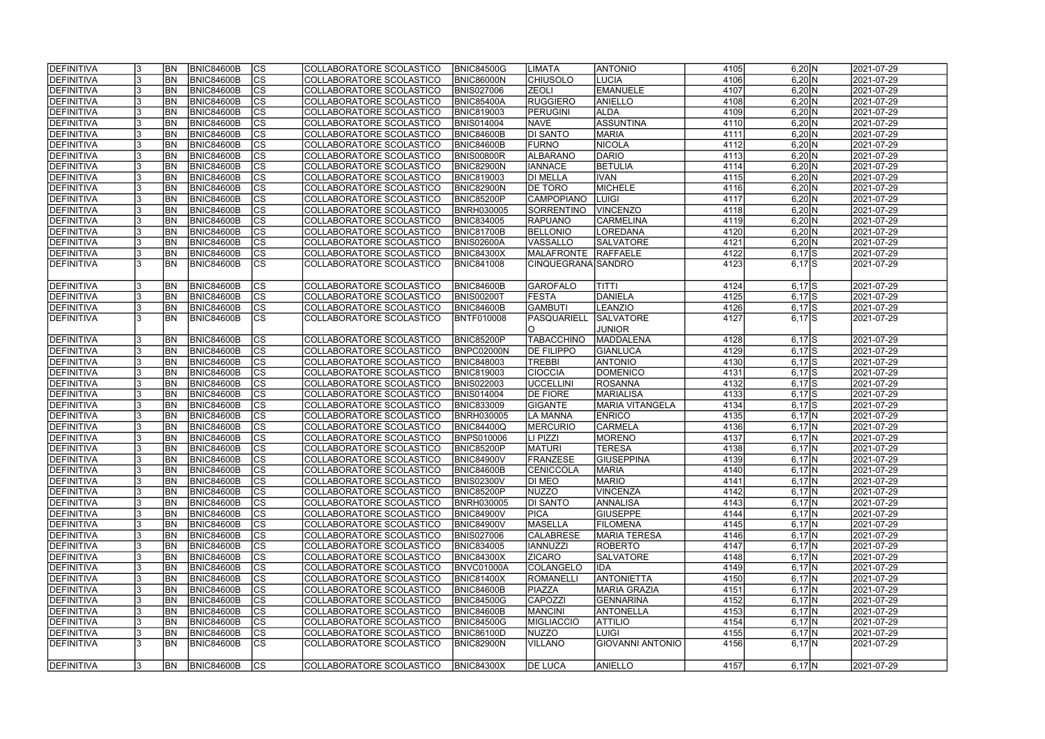| DEFINITIVA        |    | <b>BN</b>      | <b>BNIC84600B</b> | $ {\rm CS} $   | COLLABORATORE SCOLASTICO | <b>BNIC84500G</b> | <b>LIMATA</b>      | <b>ANTONIO</b>          | 4105 | 6,20 N     | 2021-07-29 |
|-------------------|----|----------------|-------------------|----------------|--------------------------|-------------------|--------------------|-------------------------|------|------------|------------|
| DEFINITIVA        |    | <b>BN</b>      | <b>BNIC84600B</b> | cs             | COLLABORATORE SCOLASTICO | <b>BNIC86000N</b> | <b>CHIUSOLO</b>    | LUCIA                   | 4106 | 6,20 N     | 2021-07-29 |
| DEFINITIVA        |    | <b>BN</b>      | <b>BNIC84600B</b> | cs             | COLLABORATORE SCOLASTICO | <b>BNIS027006</b> | <b>ZEOLI</b>       | EMANUELE                | 4107 | 6,20 N     | 2021-07-29 |
| DEFINITIVA        |    | <b>BN</b>      | BNIC84600B        | $\overline{c}$ | COLLABORATORE SCOLASTICO | <b>BNIC85400A</b> | <b>RUGGIERO</b>    | <b>ANIELLO</b>          | 4108 | 6,20 N     | 2021-07-29 |
| <b>DEFINITIVA</b> |    | <b>BN</b>      | BNIC84600B        | cs             | COLLABORATORE SCOLASTICO | <b>BNIC819003</b> | <b>PERUGINI</b>    | <b>ALDA</b>             | 4109 | 6,20 N     | 2021-07-29 |
| DEFINITIVA        |    | <b>BN</b>      | BNIC84600B        | cs             | COLLABORATORE SCOLASTICO | <b>BNIS014004</b> | <b>NAVE</b>        | ASSUNTINA               | 4110 | 6,20 N     | 2021-07-29 |
| DEFINITIVA        |    | <b>BN</b>      | BNIC84600B        | cs             | COLLABORATORE SCOLASTICO | <b>BNIC84600B</b> | <b>DI SANTO</b>    | MARIA                   | 4111 | 6,20 N     | 2021-07-29 |
| DEFINITIVA        |    | <b>BN</b>      | <b>BNIC84600B</b> | cs             | COLLABORATORE SCOLASTICO | <b>BNIC84600B</b> | <b>FURNO</b>       | NICOLA                  | 4112 | 6,20 N     | 2021-07-29 |
| DEFINITIVA        |    | BN             | <b>BNIC84600B</b> | cs             | COLLABORATORE SCOLASTICO | <b>BNIS00800R</b> | ALBARANO           | DARIO                   | 4113 | 6,20 N     | 2021-07-29 |
| DEFINITIVA        |    | BN             | <b>BNIC84600B</b> | cs             | COLLABORATORE SCOLASTICO | <b>BNIC82900N</b> | <b>IANNACE</b>     | <b>BETULIA</b>          | 4114 | 6,20 N     | 2021-07-29 |
| DEFINITIVA        |    | <b>BN</b>      | <b>BNIC84600B</b> | cs             | COLLABORATORE SCOLASTICO | <b>BNIC819003</b> | <b>DI MELLA</b>    | <b>IVAN</b>             | 4115 | 6,20 N     | 2021-07-29 |
| DEFINITIVA        |    | <b>BN</b>      | <b>BNIC84600B</b> | cs             | COLLABORATORE SCOLASTICO | <b>BNIC82900N</b> | <b>DE TORO</b>     | MICHELE                 | 4116 | 6,20 N     | 2021-07-29 |
| DEFINITIVA        |    | <b>BN</b>      | <b>BNIC84600B</b> | $ {\rm cs} $   | COLLABORATORE SCOLASTICO | <b>BNIC85200P</b> | <b>CAMPOPIANO</b>  | <b>LUIGI</b>            | 4117 | 6,20 N     | 2021-07-29 |
| DEFINITIVA        |    | <b>BN</b>      | <b>BNIC84600B</b> | cs             | COLLABORATORE SCOLASTICO | <b>BNRH030005</b> | SORRENTINO         | VINCENZO                | 4118 | 6,20 N     | 2021-07-29 |
| <b>DEFINITIVA</b> |    | <b>BN</b>      | <b>BNIC84600B</b> | cs             | COLLABORATORE SCOLASTICO | <b>BNIC834005</b> | <b>RAPUANO</b>     | <b>CARMELINA</b>        | 4119 | 6,20 N     | 2021-07-29 |
| DEFINITIVA        |    | <b>BN</b>      | <b>BNIC84600B</b> | cs             | COLLABORATORE SCOLASTICO | <b>BNIC81700B</b> | <b>BELLONIO</b>    | LOREDANA                | 4120 | 6,20 N     | 2021-07-29 |
| DEFINITIVA        |    | BN             | <b>BNIC84600B</b> | cs             | COLLABORATORE SCOLASTICO | <b>BNIS02600A</b> | VASSALLO           | <b>SALVATORE</b>        | 4121 | 6,20 N     | 2021-07-29 |
| DEFINITIVA        |    | <b>BN</b>      | <b>BNIC84600B</b> | $ {\rm CS} $   | COLLABORATORE SCOLASTICO | <b>BNIC84300X</b> | MALAFRONTE         | RAFFAELE                | 4122 | $6,17$ S   | 2021-07-29 |
| <b>DEFINITIVA</b> |    | <b>BN</b>      | BNIC84600B        | <b>CS</b>      | COLLABORATORE SCOLASTICO | <b>BNIC841008</b> | CINQUEGRANA SANDRO |                         | 4123 | $6,17$ $S$ | 2021-07-29 |
|                   |    |                |                   |                |                          |                   |                    |                         |      |            |            |
| DEFINITIVA        |    | <b>BN</b>      | <b>BNIC84600B</b> | $ {\rm cs} $   | COLLABORATORE SCOLASTICO | <b>BNIC84600B</b> | <b>GAROFALO</b>    | ITITTI                  | 4124 | $6,17$ $S$ | 2021-07-29 |
| DEFINITIVA        |    | <b>BN</b>      | <b>BNIC84600B</b> | $ {\rm cs} $   | COLLABORATORE SCOLASTICO | <b>BNIS00200T</b> | <b>FESTA</b>       | DANIELA                 | 4125 | $6,17$ $S$ | 2021-07-29 |
| DEFINITIVA        |    | <b>BN</b>      | <b>BNIC84600B</b> | <b>CS</b>      | COLLABORATORE SCOLASTICO | <b>BNIC84600B</b> | <b>GAMBUTI</b>     | <b>LEANZIO</b>          | 4126 | $6,17$ S   | 2021-07-29 |
| DEFINITIVA        |    | <b>BN</b>      | <b>BNIC84600B</b> | Ics            | COLLABORATORE SCOLASTICO | <b>BNTF010008</b> | PASQUARIELL        | <b>SALVATORE</b>        | 4127 | $6,17$ $S$ | 2021-07-29 |
|                   |    |                |                   |                |                          |                   | IO.                | JUNIOR                  |      |            |            |
| DEFINITIVA        |    | <b>BN</b>      | <b>BNIC84600B</b> | $ {\rm CS} $   | COLLABORATORE SCOLASTICO | <b>BNIC85200P</b> | <b>TABACCHINO</b>  | MADDALENA               | 4128 | $6,17$ $S$ | 2021-07-29 |
| DEFINITIVA        |    | BN             | <b>BNIC84600B</b> | $ {\rm cs} $   | COLLABORATORE SCOLASTICO | BNPC02000N        | <b>DE FILIPPO</b>  | GIANLUCA                | 4129 | $6,17$ $S$ | 2021-07-29 |
| DEFINITIVA        |    | <b>BN</b>      | <b>BNIC84600B</b> | $ {\rm cs} $   | COLLABORATORE SCOLASTICO | <b>BNIC848003</b> | <b>TREBBI</b>      | <b>ANTONIO</b>          | 4130 | $6,17$ S   | 2021-07-29 |
| DEFINITIVA        |    | <b>BN</b>      | <b>BNIC84600B</b> | cs             | COLLABORATORE SCOLASTICO | <b>BNIC819003</b> | <b>CIOCCIA</b>     | DOMENICO                | 4131 | $6,17$ S   | 2021-07-29 |
| DEFINITIVA        |    | <b>BN</b>      | <b>BNIC84600B</b> | $ {\rm cs} $   | COLLABORATORE SCOLASTICO | <b>BNIS022003</b> | <b>UCCELLINI</b>   | <b>ROSANNA</b>          | 4132 | $6,17$ $S$ | 2021-07-29 |
| DEFINITIVA        |    | <b>BN</b>      | <b>BNIC84600B</b> | CS             | COLLABORATORE SCOLASTICO | <b>BNIS014004</b> | <b>DE FIORE</b>    | <b>MARIALISA</b>        | 4133 | $6,17$ $S$ | 2021-07-29 |
| DEFINITIVA        |    | <b>BN</b>      | <b>BNIC84600B</b> | CS             | COLLABORATORE SCOLASTICO | <b>BNIC833009</b> | GIGANTE            | <b>MARIA VITANGELA</b>  | 4134 | $6,17$ $S$ | 2021-07-29 |
| <b>DEFINITIVA</b> |    | <b>BN</b>      | <b>BNIC84600B</b> | $\overline{c}$ | COLLABORATORE SCOLASTICO | <b>BNRH030005</b> | LA MANNA           | <b>ENRICO</b>           | 4135 | $6,17$ N   | 2021-07-29 |
| DEFINITIVA        |    | BN             | <b>BNIC84600B</b> | cs             | COLLABORATORE SCOLASTICO | <b>BNIC84400Q</b> | <b>MERCURIO</b>    | <b>CARMELA</b>          | 4136 | $6,17$ N   | 2021-07-29 |
| DEFINITIVA        |    | <b>BN</b>      | BNIC84600B        | $\overline{c}$ | COLLABORATORE SCOLASTICO | <b>BNPS010006</b> | LI PIZZI           | MORENO                  | 4137 | $6,17$ N   | 2021-07-29 |
| DEFINITIVA        |    | <b>BN</b>      | <b>BNIC84600B</b> | $\overline{c}$ | COLLABORATORE SCOLASTICO | <b>BNIC85200P</b> | <b>MATURI</b>      | <b>TERESA</b>           | 4138 | $6,17$ N   | 2021-07-29 |
| <b>DEFINITIVA</b> |    | IBN            | <b>BNIC84600B</b> | CS             | COLLABORATORE SCOLASTICO | BNIC84900V        | FRANZESE           | GIUSEPPINA              | 4139 | $6,17$  N  | 2021-07-29 |
| DEFINITIVA        |    | <b>IBN</b>     | <b>BNIC84600B</b> | $ {\rm CS} $   | COLLABORATORE SCOLASTICO | <b>BNIC84600B</b> | CENICCOLA          | <b>MARIA</b>            | 4140 | $6,17$ N   | 2021-07-29 |
| DEFINITIVA        |    | <b>IBN</b>     | <b>BNIC84600B</b> | $ {\rm CS} $   | COLLABORATORE SCOLASTICO | <b>BNIS02300V</b> | DI MEO             | <b>MARIO</b>            | 4141 | $6,17$ N   | 2021-07-29 |
| DEFINITIVA        |    | <b>BN</b>      | <b>BNIC84600B</b> | <sub>Ics</sub> | COLLABORATORE SCOLASTICO | <b>BNIC85200P</b> | <b>NUZZO</b>       | <b>VINCENZA</b>         | 4142 | $6,17$ N   | 2021-07-29 |
| <b>DEFINITIVA</b> |    | <b>BN</b>      | <b>BNIC84600B</b> | $ {\rm CS} $   | COLLABORATORE SCOLASTICO | <b>BNRH030005</b> | <b>DI SANTO</b>    | ANNALISA                | 4143 | $6,17$ N   | 2021-07-29 |
| DEFINITIVA        |    | <b>BN</b>      | <b>BNIC84600B</b> | $ {\rm CS} $   | COLLABORATORE SCOLASTICO | <b>BNIC84900V</b> | <b>PICA</b>        | <b>GIUSEPPE</b>         | 4144 | $6,17$ N   | 2021-07-29 |
| DEFINITIVA        |    | <b>BN</b>      | <b>BNIC84600B</b> | $ {\rm CS} $   | COLLABORATORE SCOLASTICO | <b>BNIC84900V</b> | <b>MASELLA</b>     | <b>FILOMENA</b>         | 4145 | $6,17$ N   | 2021-07-29 |
| DEFINITIVA        |    | <b>BN</b>      | <b>BNIC84600B</b> | $ {\rm CS} $   | COLLABORATORE SCOLASTICO | <b>BNIS027006</b> | <b>CALABRESE</b>   | <b>MARIA TERESA</b>     | 4146 | $6,17$ N   | 2021-07-29 |
| DEFINITIVA        |    | <b>BN</b>      | <b>BNIC84600B</b> | cs             | COLLABORATORE SCOLASTICO | <b>BNIC834005</b> | <b>IANNUZZI</b>    | <b>ROBERTO</b>          | 4147 | $6,17$ N   | 2021-07-29 |
| DEFINITIVA        |    | <b>BN</b>      | <b>BNIC84600B</b> | $ {\rm CS} $   | COLLABORATORE SCOLASTICO | <b>BNIC84300X</b> | <b>ZICARO</b>      | <b>SALVATORE</b>        | 4148 | $6,17$ N   | 2021-07-29 |
| DEFINITIVA        |    | <b>BN</b>      | <b>BNIC84600B</b> | cs             | COLLABORATORE SCOLASTICO | BNVC01000A        | <b>COLANGELO</b>   | <b>IDA</b>              | 4149 | $6,17$ N   | 2021-07-29 |
| DEFINITIVA        |    | <b>BN</b>      | <b>BNIC84600B</b> | $ {\rm CS} $   | COLLABORATORE SCOLASTICO | <b>BNIC81400X</b> | ROMANELLI          | <b>ANTONIETTA</b>       | 4150 | $6,17$ N   | 2021-07-29 |
| DEFINITIVA        |    | <b>BN</b>      | <b>BNIC84600B</b> | cs             | COLLABORATORE SCOLASTICO | <b>BNIC84600B</b> | PIAZZA             | MARIA GRAZIA            | 4151 | $6,17$ N   | 2021-07-29 |
| DEFINITIVA        |    | <b>BN</b>      | <b>BNIC84600B</b> | $ {\rm cs} $   | COLLABORATORE SCOLASTICO | <b>BNIC84500G</b> | CAPOZZI            | GENNARINA               | 4152 | $6,17$ N   | 2021-07-29 |
| DEFINITIVA        |    | <b>BN</b>      | <b>BNIC84600B</b> | cs             | COLLABORATORE SCOLASTICO | <b>BNIC84600B</b> | <b>MANCINI</b>     | <b>ANTONELLA</b>        | 4153 | $6,17$ N   | 2021-07-29 |
| DEFINITIVA        |    | <b>BN</b>      | <b>BNIC84600B</b> | $ {\rm CS} $   | COLLABORATORE SCOLASTICO | <b>BNIC84500G</b> | <b>MIGLIACCIO</b>  | <b>ATTILIO</b>          | 4154 | $6,17$ N   | 2021-07-29 |
| <b>DEFINITIVA</b> |    | <b>BN</b>      | <b>BNIC84600B</b> | $ {\rm CS} $   | COLLABORATORE SCOLASTICO | <b>BNIC86100D</b> | NUZZO              | LUIGI                   | 4155 | $6,17$ N   | 2021-07-29 |
| <b>DEFINITIVA</b> |    | BN             | <b>BNIC84600B</b> | $ {\rm CS} $   | COLLABORATORE SCOLASTICO | <b>BNIC82900N</b> | <b>VILLANO</b>     | <b>GIOVANNI ANTONIO</b> | 4156 | $6,17$ N   | 2021-07-29 |
|                   |    |                |                   |                |                          |                   |                    |                         |      |            |            |
| <b>DEFINITIVA</b> | 13 | BN <sub></sub> | <b>BNIC84600B</b> | $ {\rm CS} $   | COLLABORATORE SCOLASTICO | <b>BNIC84300X</b> | <b>DE LUCA</b>     | <b>ANIELLO</b>          | 4157 | $6,17$ N   | 2021-07-29 |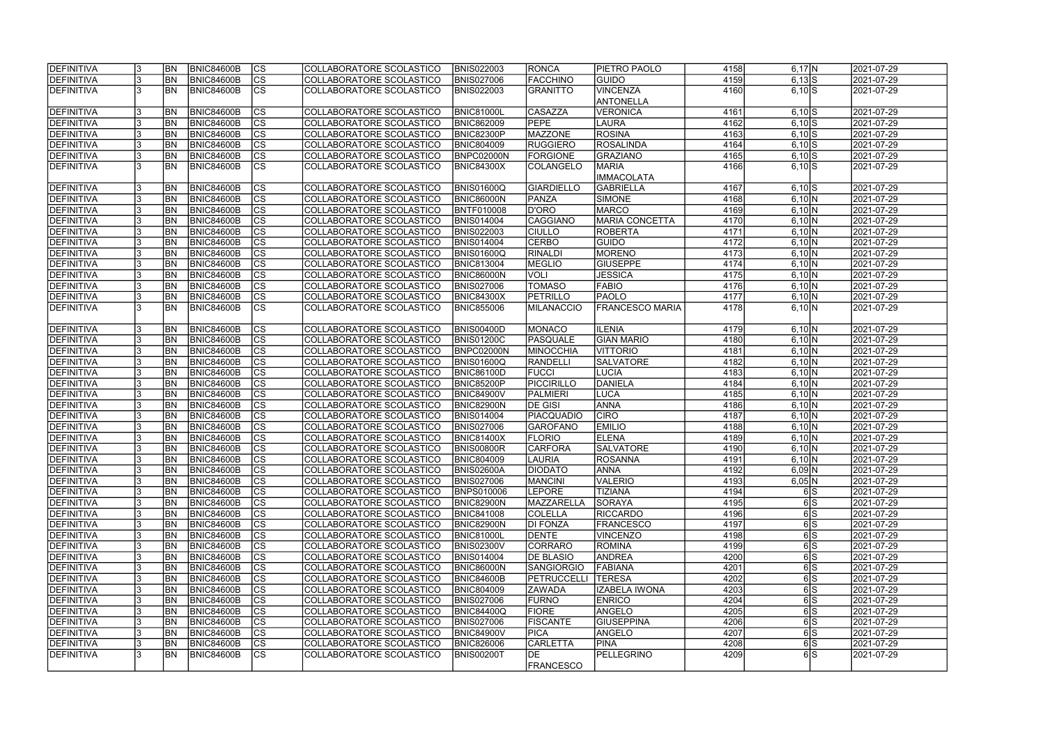| <b>DEFINITIVA</b> |    | <b>BN</b> | <b>BNIC84600B</b> | <b>CS</b>                | COLLABORATORE SCOLASTICO | <b>BNIS022003</b> | <b>RONCA</b>           | <b>PIETRO PAOLO</b>    | 4158 | $6,17$ N   | 2021-07-29 |
|-------------------|----|-----------|-------------------|--------------------------|--------------------------|-------------------|------------------------|------------------------|------|------------|------------|
| DEFINITIVA        |    | <b>BN</b> | <b>BNIC84600B</b> | $\overline{\text{cs}}$   | COLLABORATORE SCOLASTICO | <b>BNIS027006</b> | <b>FACCHINO</b>        | <b>GUIDO</b>           | 4159 | $6,13$ $S$ | 2021-07-29 |
| DEFINITIVA        |    | <b>BN</b> | <b>BNIC84600B</b> | cs                       | COLLABORATORE SCOLASTICO | <b>BNIS022003</b> | <b>GRANITTO</b>        | <b>VINCENZA</b>        | 4160 | $6,10$ S   | 2021-07-29 |
|                   |    |           |                   |                          |                          |                   |                        | <b>ANTONELLA</b>       |      |            |            |
| DEFINITIVA        |    | <b>BN</b> | <b>BNIC84600B</b> | $\overline{\text{cs}}$   | COLLABORATORE SCOLASTICO | <b>BNIC81000L</b> | CASAZZA                | <b>VERONICA</b>        | 4161 | $6,10$ $S$ | 2021-07-29 |
| DEFINITIVA        |    | <b>BN</b> | <b>BNIC84600B</b> | cs                       | COLLABORATORE SCOLASTICO | <b>BNIC862009</b> | <b>PEPE</b>            | LAURA                  | 4162 | $6,10$ S   | 2021-07-29 |
| DEFINITIVA        |    | <b>BN</b> | <b>BNIC84600B</b> | cs                       | COLLABORATORE SCOLASTICO | BNIC82300P        | <b>MAZZONE</b>         | <b>ROSINA</b>          | 4163 | $6,10$ S   | 2021-07-29 |
| DEFINITIVA        |    | BN        | <b>BNIC84600B</b> | cs                       | COLLABORATORE SCOLASTICO | <b>BNIC804009</b> | RUGGIERO               | <b>ROSALINDA</b>       | 4164 | $6,10$ $S$ | 2021-07-29 |
| DEFINITIVA        |    | BN        | BNIC84600B        | <b>CS</b>                | COLLABORATORE SCOLASTICO | BNPC02000N        | <b>FORGIONE</b>        | <b>GRAZIANO</b>        | 4165 | $6,10$ $S$ | 2021-07-29 |
| DEFINITIVA        |    | <b>BN</b> | BNIC84600B        | <b>CS</b>                | COLLABORATORE SCOLASTICO | <b>BNIC84300X</b> | COLANGELO              | <b>MARIA</b>           | 4166 | $6,10$ $S$ | 2021-07-29 |
|                   |    |           |                   |                          |                          |                   |                        | <b>IMMACOLATA</b>      |      |            |            |
| DEFINITIVA        |    | <b>BN</b> | BNIC84600B        | cs                       | COLLABORATORE SCOLASTICO | <b>BNIS01600Q</b> | <b>GIARDIELLO</b>      | <b>GABRIELLA</b>       | 4167 | $6,10$ $S$ | 2021-07-29 |
|                   |    | <b>BN</b> |                   | cs                       |                          |                   |                        |                        |      |            |            |
| DEFINITIVA        |    |           | <b>BNIC84600B</b> |                          | COLLABORATORE SCOLASTICO | BNIC86000N        | <b>PANZA</b>           | <b>SIMONE</b>          | 4168 | 6,10 N     | 2021-07-29 |
| DEFINITIVA        |    | <b>BN</b> | <b>BNIC84600B</b> | $\overline{\text{cs}}$   | COLLABORATORE SCOLASTICO | BNTF010008        | <b>D'ORO</b>           | <b>MARCO</b>           | 4169 | 6,10 N     | 2021-07-29 |
| DEFINITIVA        |    | <b>BN</b> | <b>BNIC84600B</b> | $\overline{\text{cs}}$   | COLLABORATORE SCOLASTICO | <b>BNIS014004</b> | <b>CAGGIANO</b>        | <b>MARIA CONCETTA</b>  | 4170 | 6,10 N     | 2021-07-29 |
| DEFINITIVA        |    | <b>BN</b> | <b>BNIC84600B</b> | $ \overline{\text{cs}} $ | COLLABORATORE SCOLASTICO | <b>BNIS022003</b> | <b>CIULLO</b>          | <b>ROBERTA</b>         | 4171 | 6,10 N     | 2021-07-29 |
| DEFINITIVA        |    | BN        | BNIC84600B        | $\overline{\text{cs}}$   | COLLABORATORE SCOLASTICO | <b>BNIS014004</b> | <b>CERBO</b>           | GUIDO                  | 4172 | 6,10 N     | 2021-07-29 |
| DEFINITIVA        |    | <b>BN</b> | BNIC84600B        | cs                       | COLLABORATORE SCOLASTICO | <b>BNIS01600Q</b> | RINALDI                | MORENO                 | 4173 | 6,10 N     | 2021-07-29 |
| DEFINITIVA        |    | <b>BN</b> | <b>BNIC84600B</b> | $ \mathsf{CS} $          | COLLABORATORE SCOLASTICO | <b>BNIC813004</b> | <b>MEGLIO</b>          | <b>GIUSEPPE</b>        | 4174 | 6,10 N     | 2021-07-29 |
| DEFINITIVA        |    | <b>BN</b> | BNIC84600B        | cs                       | COLLABORATORE SCOLASTICO | <b>BNIC86000N</b> | <b>VOLI</b>            | <b>JESSICA</b>         | 4175 | 6,10 N     | 2021-07-29 |
| DEFINITIVA        |    | <b>BN</b> | BNIC84600B        | cs                       | COLLABORATORE SCOLASTICO | <b>BNIS027006</b> | <b>TOMASO</b>          | <b>FABIO</b>           | 4176 | 6,10 N     | 2021-07-29 |
| DEFINITIVA        |    | <b>BN</b> | <b>BNIC84600B</b> | cs                       | COLLABORATORE SCOLASTICO | <b>BNIC84300X</b> | <b>PETRILLO</b>        | <b>PAOLO</b>           | 4177 | 6,10 N     | 2021-07-29 |
| DEFINITIVA        |    | <b>BN</b> | BNIC84600B        | lcs                      | COLLABORATORE SCOLASTICO | <b>BNIC855006</b> | <b>MILANACCIO</b>      | <b>FRANCESCO MARIA</b> | 4178 | 6,10 N     | 2021-07-29 |
|                   |    |           |                   |                          |                          |                   |                        |                        |      |            |            |
| DEFINITIVA        |    | <b>BN</b> | <b>BNIC84600B</b> | CS                       | COLLABORATORE SCOLASTICO | <b>BNIS00400D</b> | <b>MONACO</b>          | <b>ILENIA</b>          | 4179 | 6,10 N     | 2021-07-29 |
| DEFINITIVA        |    | <b>BN</b> | <b>BNIC84600B</b> | <sub>cs</sub>            | COLLABORATORE SCOLASTICO | <b>BNIS01200C</b> | PASQUALE               | <b>GIAN MARIO</b>      | 4180 | 6,10 N     | 2021-07-29 |
| DEFINITIVA        |    | <b>BN</b> | <b>BNIC84600B</b> | cs                       | COLLABORATORE SCOLASTICO | BNPC02000N        | <b>MINOCCHIA</b>       | <b>VITTORIO</b>        | 4181 | 6,10 N     | 2021-07-29 |
| DEFINITIVA        |    | <b>BN</b> | <b>BNIC84600B</b> | cs                       | COLLABORATORE SCOLASTICO | BNIS01600Q        | <b>RANDELLI</b>        | <b>SALVATORE</b>       | 4182 | 6,10 N     | 2021-07-29 |
| DEFINITIVA        |    | <b>BN</b> | <b>BNIC84600B</b> | cs                       | COLLABORATORE SCOLASTICO | <b>BNIC86100D</b> | <b>FUCCI</b>           | <b>LUCIA</b>           | 4183 | 6,10 N     | 2021-07-29 |
| DEFINITIVA        |    | <b>BN</b> | <b>BNIC84600B</b> | cs                       | COLLABORATORE SCOLASTICO | BNIC85200P        | PICCIRILLO             | DANIELA                | 4184 | 6,10 N     | 2021-07-29 |
| DEFINITIVA        |    | <b>BN</b> | <b>BNIC84600B</b> | $\overline{\text{cs}}$   | COLLABORATORE SCOLASTICO | <b>BNIC84900V</b> | <b>PALMIERI</b>        | <b>LUCA</b>            | 4185 | 6,10 N     | 2021-07-29 |
| DEFINITIVA        |    | <b>BN</b> | <b>BNIC84600B</b> | cs                       | COLLABORATORE SCOLASTICO | <b>BNIC82900N</b> | <b>DE GISI</b>         | <b>ANNA</b>            | 4186 | 6,10 N     | 2021-07-29 |
| DEFINITIVA        |    | <b>BN</b> | BNIC84600B        | $\overline{\text{cs}}$   | COLLABORATORE SCOLASTICO | <b>BNIS014004</b> | <b>PIACQUADIO</b>      | <b>CIRO</b>            | 4187 | 6,10 N     | 2021-07-29 |
| DEFINITIVA        |    | <b>BN</b> | BNIC84600B        | cs                       | COLLABORATORE SCOLASTICO | <b>BNIS027006</b> | <b>GAROFANO</b>        | <b>EMILIO</b>          | 4188 | 6,10 N     | 2021-07-29 |
| DEFINITIVA        |    | <b>BN</b> | <b>BNIC84600B</b> | $\overline{\text{cs}}$   | COLLABORATORE SCOLASTICO | <b>BNIC81400X</b> | <b>FLORIO</b>          | <b>ELENA</b>           | 4189 | 6,10 N     | 2021-07-29 |
| DEFINITIVA        |    | <b>BN</b> | <b>BNIC84600B</b> | cs                       | COLLABORATORE SCOLASTICO | <b>BNIS00800R</b> | <b>CARFORA</b>         | <b>SALVATORE</b>       | 4190 | 6,10 N     | 2021-07-29 |
| <b>DEFINITIVA</b> |    | <b>BN</b> | <b>BNIC84600B</b> | CS                       | COLLABORATORE SCOLASTICO | <b>BNIC804009</b> | <b>LAURIA</b>          | <b>ROSANNA</b>         | 4191 | 6,10 N     | 2021-07-29 |
| DEFINITIVA        |    | <b>BN</b> | <b>BNIC84600B</b> | <sub>lcs</sub>           | COLLABORATORE SCOLASTICO | <b>BNIS02600A</b> | DIODATO                | ANNA                   | 4192 | $6,09$ N   | 2021-07-29 |
| <b>DEFINITIVA</b> |    | <b>BN</b> | BNIC84600B        | cs                       | COLLABORATORE SCOLASTICO | <b>BNIS027006</b> | <b>MANCINI</b>         | <b>VALERIO</b>         | 4193 | 6,05 N     | 2021-07-29 |
| DEFINITIVA        |    | <b>BN</b> | BNIC84600B        | <b>CS</b>                | COLLABORATORE SCOLASTICO | BNPS010006        | <b>LEPORE</b>          | <b>TIZIANA</b>         | 4194 | 6 S        | 2021-07-29 |
| DEFINITIVA        | 13 | <b>BN</b> | <b>BNIC84600B</b> | <b>CS</b>                | COLLABORATORE SCOLASTICO | BNIC82900N        | MAZZARELLA             | SORAYA                 | 4195 | 6 S        | 2021-07-29 |
| DEFINITIVA        |    | <b>BN</b> | <b>BNIC84600B</b> | <b>CS</b>                | COLLABORATORE SCOLASTICO | <b>BNIC841008</b> | <b>COLELLA</b>         | <b>RICCARDO</b>        | 4196 | 6 S        | 2021-07-29 |
| DEFINITIVA        |    | <b>BN</b> | <b>BNIC84600B</b> | <b>CS</b>                | COLLABORATORE SCOLASTICO | <b>BNIC82900N</b> | <b>DI FONZA</b>        | <b>FRANCESCO</b>       | 4197 | 6 S        | 2021-07-29 |
| DEFINITIVA        |    | <b>BN</b> | <b>BNIC84600B</b> | CS                       | COLLABORATORE SCOLASTICO | <b>BNIC81000L</b> | <b>DENTE</b>           | <b>VINCENZO</b>        | 4198 | 6 S        | 2021-07-29 |
| DEFINITIVA        |    | <b>BN</b> | <b>BNIC84600B</b> | cs                       | COLLABORATORE SCOLASTICO | <b>BNIS02300V</b> | <b>CORRARO</b>         | <b>ROMINA</b>          | 4199 | 6S         | 2021-07-29 |
| DEFINITIVA        |    | <b>BN</b> | <b>BNIC84600B</b> | cs                       | COLLABORATORE SCOLASTICO | <b>BNIS014004</b> | <b>DE BLASIO</b>       | <b>ANDREA</b>          | 4200 | 6 S        | 2021-07-29 |
| DEFINITIVA        |    | <b>BN</b> | BNIC84600B        | cs                       | COLLABORATORE SCOLASTICO | BNIC86000N        | <b>SANGIORGIO</b>      | FABIANA                | 4201 | 6S         | 2021-07-29 |
| DEFINITIVA        |    | <b>BN</b> | <b>BNIC84600B</b> | cs                       | COLLABORATORE SCOLASTICO | <b>BNIC84600B</b> | <b>PETRUCCELLI</b>     | <b>TERESA</b>          | 4202 | 6S         | 2021-07-29 |
| DEFINITIVA        |    | <b>BN</b> | <b>BNIC84600B</b> | cs                       | COLLABORATORE SCOLASTICO | <b>BNIC804009</b> | <b>ZAWADA</b>          | <b>IZABELA IWONA</b>   | 4203 | 6 S        | 2021-07-29 |
| DEFINITIVA        |    | <b>BN</b> | <b>BNIC84600B</b> | cs                       | COLLABORATORE SCOLASTICO |                   | <b>FURNO</b>           | <b>ENRICO</b>          | 4204 | 6 S        | 2021-07-29 |
|                   |    |           |                   |                          |                          | <b>BNIS027006</b> |                        |                        |      |            |            |
| DEFINITIVA        |    | <b>BN</b> | <b>BNIC84600B</b> | CS                       | COLLABORATORE SCOLASTICO | <b>BNIC84400Q</b> | <b>FIORE</b>           | ANGELO                 | 4205 | 6 S        | 2021-07-29 |
| DEFINITIVA        |    | <b>BN</b> | BNIC84600B        | CS                       | COLLABORATORE SCOLASTICO | <b>BNIS027006</b> | <b>FISCANTE</b>        | <b>GIUSEPPINA</b>      | 4206 | 6S         | 2021-07-29 |
| DEFINITIVA        |    | <b>BN</b> | <b>BNIC84600B</b> | cs                       | COLLABORATORE SCOLASTICO | <b>BNIC84900V</b> | <b>PICA</b>            | ANGELO                 | 4207 | 6 S        | 2021-07-29 |
| DEFINITIVA        |    | <b>BN</b> | <b>BNIC84600B</b> | <b>CS</b>                | COLLABORATORE SCOLASTICO | <b>BNIC826006</b> | <b>CARLETTA</b>        | <b>PINA</b>            | 4208 | 6S         | 2021-07-29 |
| DEFINITIVA        |    | IBN       | BNIC84600B        | $\overline{\text{CS}}$   | COLLABORATORE SCOLASTICO | <b>BNIS00200T</b> | DE<br><b>FRANCESCO</b> | PELLEGRINO             | 4209 | 6S         | 2021-07-29 |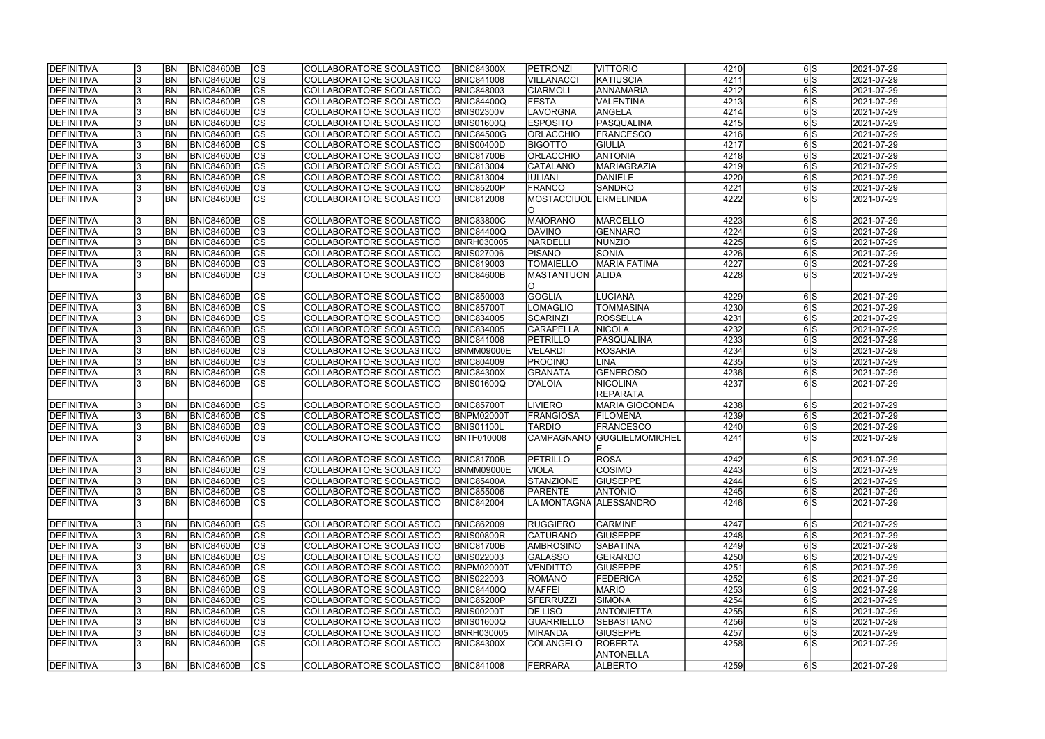| <b>IDEFINITIVA</b> | <b>BN</b> | BNIC84600B        | lcs                      | COLLABORATORE SCOLASTICO | <b>BNIC84300X</b> | <b>PETRONZI</b>         | <b>VITTORIO</b>                    | 4210 | 6 S              | 2021-07-29 |
|--------------------|-----------|-------------------|--------------------------|--------------------------|-------------------|-------------------------|------------------------------------|------|------------------|------------|
| DEFINITIVA         | <b>BN</b> | <b>BNIC84600B</b> | $\overline{\text{cs}}$   | COLLABORATORE SCOLASTICO | <b>BNIC841008</b> | <b>VILLANACCI</b>       | KATIUSCIA                          | 4211 | 6S               | 2021-07-29 |
| <b>DEFINITIVA</b>  | <b>BN</b> | <b>BNIC84600B</b> | $\overline{\text{cs}}$   | COLLABORATORE SCOLASTICO | <b>BNIC848003</b> | <b>CIARMOLI</b>         | <b>ANNAMARIA</b>                   | 4212 | 6S               | 2021-07-29 |
| DEFINITIVA         | BN        | <b>BNIC84600B</b> | $\overline{\text{CS}}$   | COLLABORATORE SCOLASTICO | <b>BNIC84400Q</b> | <b>FESTA</b>            | VALENTINA                          | 4213 | 6S               | 2021-07-29 |
| DEFINITIVA         | <b>BN</b> | <b>BNIC84600B</b> | $\overline{\text{cs}}$   | COLLABORATORE SCOLASTICO | <b>BNIS02300V</b> | LAVORGNA                | ANGELA                             | 4214 | 6S               | 2021-07-29 |
| <b>DEFINITIVA</b>  | <b>BN</b> | <b>BNIC84600B</b> | $\overline{\text{CS}}$   | COLLABORATORE SCOLASTICO | BNIS01600Q        | <b>ESPOSITO</b>         | PASQUALINA                         | 4215 | 6S               | 2021-07-29 |
| <b>DEFINITIVA</b>  | <b>BN</b> | <b>BNIC84600B</b> | $\overline{\text{CS}}$   | COLLABORATORE SCOLASTICO | <b>BNIC84500G</b> | <b>ORLACCHIO</b>        | <b>FRANCESCO</b>                   | 4216 | $\overline{6 S}$ | 2021-07-29 |
| DEFINITIVA         | <b>BN</b> | <b>BNIC84600B</b> | $\overline{\text{CS}}$   | COLLABORATORE SCOLASTICO | <b>BNIS00400D</b> | <b>BIGOTTO</b>          | <b>GIULIA</b>                      | 4217 | 6S               | 2021-07-29 |
| <b>DEFINITIVA</b>  | <b>BN</b> | <b>BNIC84600B</b> | $\overline{\text{CS}}$   | COLLABORATORE SCOLASTICO | <b>BNIC81700B</b> | <b>ORLACCHIO</b>        | <b>ANTONIA</b>                     | 4218 | 6 S              | 2021-07-29 |
| DEFINITIVA         | <b>BN</b> | <b>BNIC84600B</b> | cs                       | COLLABORATORE SCOLASTICO | <b>BNIC813004</b> | <b>CATALANO</b>         | <b>MARIAGRAZIA</b>                 | 4219 | 6 S              | 2021-07-29 |
| <b>DEFINITIVA</b>  | <b>BN</b> | <b>BNIC84600B</b> | $\overline{\text{CS}}$   | COLLABORATORE SCOLASTICO | <b>BNIC813004</b> | <b>IULIANI</b>          | <b>DANIELE</b>                     | 4220 | 6 S              | 2021-07-29 |
| DEFINITIVA         | <b>BN</b> | <b>BNIC84600B</b> | cs                       | COLLABORATORE SCOLASTICO | BNIC85200P        | FRANCO                  | <b>SANDRO</b>                      | 4221 | 6 S              | 2021-07-29 |
| DEFINITIVA         | IBN       | <b>BNIC84600B</b> | $\overline{\text{CS}}$   | COLLABORATORE SCOLASTICO | <b>BNIC812008</b> | MOSTACCIUOL ERMELINDA   |                                    | 4222 | 6S               | 2021-07-29 |
|                    |           |                   |                          |                          |                   | IO.                     |                                    |      |                  |            |
| DEFINITIVA         | <b>BN</b> | <b>BNIC84600B</b> | CS                       | COLLABORATORE SCOLASTICO | <b>BNIC83800C</b> | <b>MAIORANO</b>         | MARCELLO                           | 4223 | 6 S              | 2021-07-29 |
| <b>DEFINITIVA</b>  | <b>BN</b> | <b>BNIC84600B</b> | $\overline{\text{CS}}$   | COLLABORATORE SCOLASTICO | <b>BNIC84400Q</b> | DAVINO                  | GENNARO                            | 4224 | 6S               | 2021-07-29 |
| DEFINITIVA         | <b>BN</b> | <b>BNIC84600B</b> | $ \overline{\text{CS}} $ | COLLABORATORE SCOLASTICO | <b>BNRH030005</b> | NARDELLI                | NUNZIO                             | 4225 | 6S               | 2021-07-29 |
| DEFINITIVA         | <b>BN</b> | <b>BNIC84600B</b> | CS                       | COLLABORATORE SCOLASTICO | <b>BNIS027006</b> | <b>PISANO</b>           | <b>SONIA</b>                       | 4226 | 6 S              | 2021-07-29 |
| <b>DEFINITIVA</b>  | <b>BN</b> | <b>BNIC84600B</b> | $\overline{\text{CS}}$   | COLLABORATORE SCOLASTICO | <b>BNIC819003</b> | <b>TOMAIELLO</b>        | <b>MARIA FATIMA</b>                | 4227 | 6 S              | 2021-07-29 |
| <b>IDEFINITIVA</b> | <b>BN</b> | <b>BNIC84600B</b> | CS                       | COLLABORATORE SCOLASTICO | BNIC84600B        | MASTANTUON  ALIDA       |                                    | 4228 | 6S               | 2021-07-29 |
|                    |           |                   |                          |                          |                   | IO.                     |                                    |      |                  |            |
| DEFINITIVA         | <b>BN</b> | <b>BNIC84600B</b> | <b>CS</b>                | COLLABORATORE SCOLASTICO | <b>BNIC850003</b> | <b>GOGLIA</b>           | <b>LUCIANA</b>                     | 4229 | 6 S              | 2021-07-29 |
| <b>DEFINITIVA</b>  | <b>BN</b> | <b>BNIC84600B</b> | <b>CS</b>                | COLLABORATORE SCOLASTICO | <b>BNIC85700T</b> | <b>LOMAGLIO</b>         | <b>TOMMASINA</b>                   | 4230 | 6S               | 2021-07-29 |
| <b>DEFINITIVA</b>  | <b>BN</b> | <b>BNIC84600B</b> | <b>CS</b>                | COLLABORATORE SCOLASTICO | <b>BNIC834005</b> | SCARINZI                | <b>ROSSELLA</b>                    | 4231 | 6 S              | 2021-07-29 |
| <b>DEFINITIVA</b>  | <b>BN</b> | <b>BNIC84600B</b> | $ \overline{\text{cs}} $ | COLLABORATORE SCOLASTICO | <b>BNIC834005</b> | <b>CARAPELLA</b>        | <b>NICOLA</b>                      | 4232 | 6 S              | 2021-07-29 |
| DEFINITIVA         | <b>BN</b> | <b>BNIC84600B</b> | <b>CS</b>                | COLLABORATORE SCOLASTICO | <b>BNIC841008</b> | PETRILLO                | PASQUALINA                         | 4233 | 6 S              | 2021-07-29 |
| <b>DEFINITIVA</b>  | <b>BN</b> | <b>BNIC84600B</b> | cs                       | COLLABORATORE SCOLASTICO | <b>BNMM09000E</b> | <b>VELARDI</b>          | <b>ROSARIA</b>                     | 4234 | 6 S              | 2021-07-29 |
| <b>DEFINITIVA</b>  | <b>BN</b> | <b>BNIC84600B</b> | <b>CS</b>                | COLLABORATORE SCOLASTICO | <b>BNIC804009</b> | PROCINO                 | <b>LINA</b>                        | 4235 | 6 S              | 2021-07-29 |
| <b>DEFINITIVA</b>  | <b>BN</b> | <b>BNIC84600B</b> | cs                       | COLLABORATORE SCOLASTICO | <b>BNIC84300X</b> | GRANATA                 | GENEROSO                           | 4236 | 6 S              | 2021-07-29 |
| <b>DEFINITIVA</b>  | <b>BN</b> | BNIC84600B        | <b>CS</b>                | COLLABORATORE SCOLASTICO | BNIS01600Q        | D'ALOIA                 | <b>NICOLINA</b><br><b>REPARATA</b> | 4237 | 6S               | 2021-07-29 |
| <b>DEFINITIVA</b>  | <b>BN</b> | <b>BNIC84600B</b> | <b>CS</b>                | COLLABORATORE SCOLASTICO | <b>BNIC85700T</b> | <b>LIVIERO</b>          | <b>MARIA GIOCONDA</b>              | 4238 | 6 S              | 2021-07-29 |
| <b>DEFINITIVA</b>  | <b>BN</b> | BNIC84600B        | $\overline{\text{cs}}$   | COLLABORATORE SCOLASTICO | <b>BNPM02000T</b> | <b>FRANGIOSA</b>        | <b>FILOMENA</b>                    | 4239 | 6S               | 2021-07-29 |
| <b>DEFINITIVA</b>  | <b>BN</b> | <b>BNIC84600B</b> | $\overline{\text{CS}}$   | COLLABORATORE SCOLASTICO | <b>BNIS01100L</b> | <b>TARDIO</b>           | <b>FRANCESCO</b>                   | 4240 | 6 S              | 2021-07-29 |
| DEFINITIVA         | <b>BN</b> | <b>BNIC84600B</b> | $\overline{\text{cs}}$   | COLLABORATORE SCOLASTICO | BNTF010008        | <b>CAMPAGNANO</b>       | <b>GUGLIELMOMICHEL</b>             | 4241 | 6S               | 2021-07-29 |
|                    |           |                   |                          |                          |                   |                         |                                    |      |                  |            |
| <b>DEFINITIVA</b>  | <b>BN</b> | BNIC84600B        | CS                       | COLLABORATORE SCOLASTICO | <b>BNIC81700B</b> | <b>PETRILLO</b>         | <b>ROSA</b>                        | 4242 | 615              | 2021-07-29 |
| <b>DEFINITIVA</b>  | <b>BN</b> | <b>BNIC84600B</b> | lcs                      | COLLABORATORE SCOLASTICO | <b>BNMM09000E</b> | <b>VIOLA</b>            | <b>COSIMO</b>                      | 4243 | 6 S              | 2021-07-29 |
| <b>DEFINITIVA</b>  | <b>BN</b> | <b>BNIC84600B</b> | CS                       | COLLABORATORE SCOLASTICO | <b>BNIC85400A</b> | STANZIONE               | <b>GIUSEPPE</b>                    | 4244 | 6 S              | 2021-07-29 |
| <b>DEFINITIVA</b>  | <b>BN</b> | <b>BNIC84600B</b> | <b>CS</b>                | COLLABORATORE SCOLASTICO | <b>BNIC855006</b> | <b>PARENTE</b>          | <b>ANTONIO</b>                     | 4245 | 6S               | 2021-07-29 |
| DEFINITIVA         | <b>BN</b> | <b>BNIC84600B</b> | <b>CS</b>                | COLLABORATORE SCOLASTICO | <b>BNIC842004</b> | LA MONTAGNA AALESSANDRO |                                    | 4246 | 6S               | 2021-07-29 |
| <b>DEFINITIVA</b>  | <b>BN</b> | BNIC84600B        | <b>CS</b>                | COLLABORATORE SCOLASTICO | <b>BNIC862009</b> | <b>RUGGIERO</b>         | <b>CARMINE</b>                     | 4247 | 6 S              | 2021-07-29 |
| <b>DEFINITIVA</b>  | <b>BN</b> | <b>BNIC84600B</b> | CS                       | COLLABORATORE SCOLASTICO | <b>BNIS00800R</b> | <b>CATURANO</b>         | <b>GIUSEPPE</b>                    | 4248 | 6 S              | 2021-07-29 |
| <b>DEFINITIVA</b>  | <b>BN</b> | BNIC84600B        | cs                       | COLLABORATORE SCOLASTICO | <b>BNIC81700B</b> | <b>AMBROSINO</b>        | <b>SABATINA</b>                    | 4249 | 6 S              | 2021-07-29 |
| <b>DEFINITIVA</b>  | <b>BN</b> | BNIC84600B        | CS                       | COLLABORATORE SCOLASTICO | <b>BNIS022003</b> | <b>GALASSO</b>          | GERARDO                            | 4250 | 6 S              | 2021-07-29 |
| DEFINITIVA         | <b>BN</b> | <b>BNIC84600B</b> | $\overline{\text{CS}}$   | COLLABORATORE SCOLASTICO | <b>BNPM02000T</b> | <b>VENDITTO</b>         | <b>GIUSEPPE</b>                    | 4251 | 6S               | 2021-07-29 |
| <b>DEFINITIVA</b>  | <b>BN</b> | <b>BNIC84600B</b> | $\overline{\text{CS}}$   | COLLABORATORE SCOLASTICO | <b>BNIS022003</b> | ROMANO                  | <b>FEDERICA</b>                    | 4252 | 6S               | 2021-07-29 |
| <b>DEFINITIVA</b>  | <b>BN</b> | <b>BNIC84600B</b> | $\overline{\text{CS}}$   | COLLABORATORE SCOLASTICO | <b>BNIC84400Q</b> | <b>MAFFEI</b>           | <b>MARIO</b>                       | 4253 | 6 S              | 2021-07-29 |
| <b>DEFINITIVA</b>  | <b>BN</b> | <b>BNIC84600B</b> | $\overline{\text{CS}}$   | COLLABORATORE SCOLASTICO | <b>BNIC85200P</b> | <b>SFERRUZZI</b>        | <b>SIMONA</b>                      | 4254 | 6S               | 2021-07-29 |
| <b>DEFINITIVA</b>  | <b>BN</b> | <b>BNIC84600B</b> | <b>CS</b>                | COLLABORATORE SCOLASTICO | <b>BNIS00200T</b> | DE LISO                 | <b>ANTONIETTA</b>                  | 4255 | 6 S              | 2021-07-29 |
| <b>DEFINITIVA</b>  | <b>BN</b> | <b>BNIC84600B</b> | CS                       | COLLABORATORE SCOLASTICO | BNIS01600Q        | GUARRIELLO              | SEBASTIANO                         | 4256 | 6S               | 2021-07-29 |
| <b>DEFINITIVA</b>  | <b>BN</b> | <b>BNIC84600B</b> | CS                       | COLLABORATORE SCOLASTICO | <b>BNRH030005</b> | <b>MIRANDA</b>          | <b>GIUSEPPE</b>                    | 4257 | 6 S              | 2021-07-29 |
| <b>DEFINITIVA</b>  | IBN.      | <b>BNIC84600B</b> | <b>CS</b>                | COLLABORATORE SCOLASTICO | <b>BNIC84300X</b> | COLANGELO               | <b>ROBERTA</b><br><b>ANTONELLA</b> | 4258 | 6 S              | 2021-07-29 |
| <b>DEFINITIVA</b>  | <b>BN</b> | BNIC84600B        | <b>CS</b>                | COLLABORATORE SCOLASTICO | <b>BNIC841008</b> | FERRARA                 | <b>ALBERTO</b>                     | 4259 | 6 S              | 2021-07-29 |
|                    |           |                   |                          |                          |                   |                         |                                    |      |                  |            |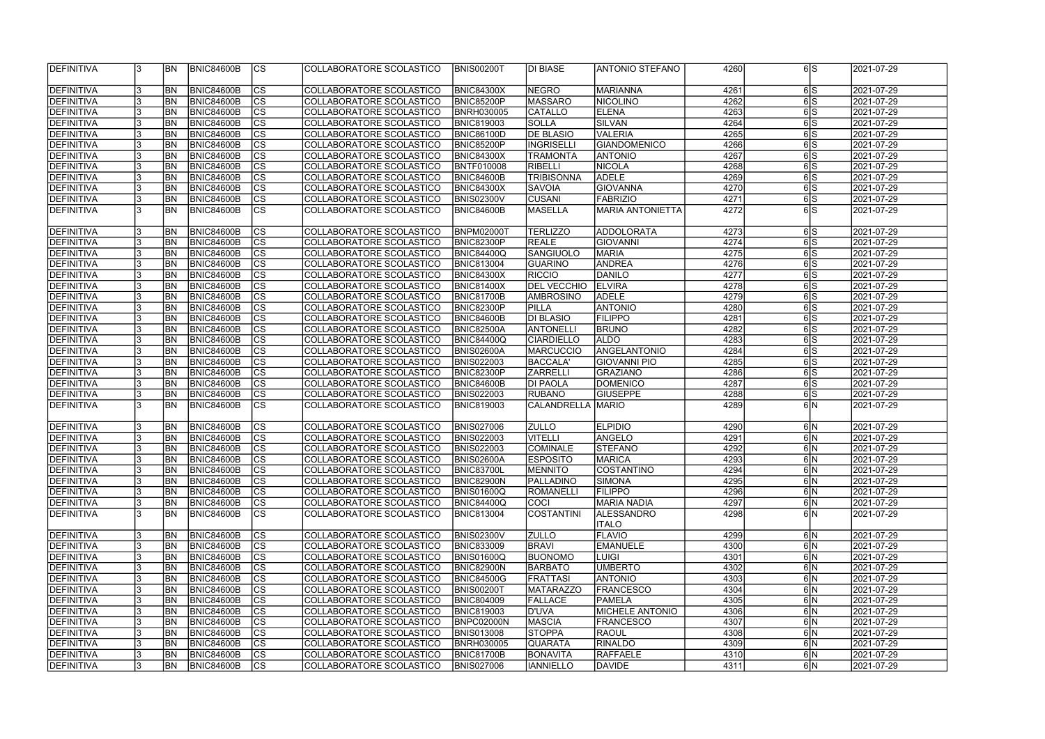| DEFINITIVA        | 13  | <b>BN</b>      | BNIC84600B        | <sub>Ics</sub> | COLLABORATORE SCOLASTICO | <b>BNIS00200T</b> | DI BIASE                 | ANTONIO STEFANO                   | 4260 | 6S                  | 2021-07-29 |
|-------------------|-----|----------------|-------------------|----------------|--------------------------|-------------------|--------------------------|-----------------------------------|------|---------------------|------------|
| DEFINITIVA        | 3   | BN <sub></sub> | <b>BNIC84600B</b> | $ {\rm CS} $   | COLLABORATORE SCOLASTICO | <b>BNIC84300X</b> | <b>NEGRO</b>             | <b>MARIANNA</b>                   | 4261 | 6 S                 | 2021-07-29 |
| DEFINITIVA        | 3   | <b>BN</b>      | BNIC84600B        | $ {\rm CS} $   | COLLABORATORE SCOLASTICO | <b>BNIC85200P</b> | <b>MASSARO</b>           | <b>NICOLINO</b>                   | 4262 | 6S                  | 2021-07-29 |
| DEFINITIVA        | 3   | <b>BN</b>      | BNIC84600B        | cs             | COLLABORATORE SCOLASTICO | <b>BNRH030005</b> | CATALLO                  | <b>ELENA</b>                      | 4263 | 6S                  | 2021-07-29 |
| DEFINITIVA        | 3   | <b>BN</b>      | BNIC84600B        | cs             | COLLABORATORE SCOLASTICO | <b>BNIC819003</b> | <b>SOLLA</b>             | <b>SILVAN</b>                     | 4264 | 6S                  | 2021-07-29 |
| DEFINITIVA        | 3   | <b>BN</b>      | <b>BNIC84600B</b> | <sub>lcs</sub> | COLLABORATORE SCOLASTICO | <b>BNIC86100D</b> | DE BLASIO                | <b>VALERIA</b>                    | 4265 | 6S                  | 2021-07-29 |
| DEFINITIVA        | 13  | <b>BN</b>      | BNIC84600B        | cs             | COLLABORATORE SCOLASTICO | <b>BNIC85200P</b> | <b>INGRISELLI</b>        | <b>GIANDOMENICO</b>               | 4266 | 6S                  | 2021-07-29 |
| DEFINITIVA        | 13  | <b>BN</b>      | BNIC84600B        | cs             | COLLABORATORE SCOLASTICO | <b>BNIC84300X</b> | <b>TRAMONTA</b>          | <b>ANTONIO</b>                    | 4267 | 6S                  | 2021-07-29 |
| DEFINITIVA        | 13  | <b>BN</b>      | BNIC84600B        | <sub>lcs</sub> | COLLABORATORE SCOLASTICO | <b>BNTF010008</b> | <b>RIBELLI</b>           | <b>NICOLA</b>                     | 4268 | 6S                  | 2021-07-29 |
| DEFINITIVA        | 3   | <b>BN</b>      | BNIC84600B        | cs             | COLLABORATORE SCOLASTICO | <b>BNIC84600B</b> | <b>TRIBISONNA</b>        | <b>ADELE</b>                      | 4269 | 6S                  | 2021-07-29 |
| DEFINITIVA        | 3   | <b>BN</b>      | <b>BNIC84600B</b> | cs             | COLLABORATORE SCOLASTICO | <b>BNIC84300X</b> | <b>SAVOIA</b>            | <b>GIOVANNA</b>                   | 4270 | 6S                  | 2021-07-29 |
| DEFINITIVA        | 3   | <b>BN</b>      | <b>BNIC84600B</b> | cs             | COLLABORATORE SCOLASTICO | <b>BNIS02300V</b> | <b>CUSANI</b>            | <b>FABRIZIO</b>                   | 4271 | 6S                  | 2021-07-29 |
| DEFINITIVA        | l3  | <b>BN</b>      | <b>BNIC84600B</b> | cs             | COLLABORATORE SCOLASTICO | <b>BNIC84600B</b> | <b>MASELLA</b>           | <b>MARIA ANTONIETTA</b>           | 4272 | 6S                  | 2021-07-29 |
| DEFINITIVA        | 3   | <b>BN</b>      | <b>BNIC84600B</b> | cs             | COLLABORATORE SCOLASTICO | <b>BNPM02000T</b> | <b>TERLIZZO</b>          | <b>ADDOLORATA</b>                 | 4273 | $6\overline{S}$     | 2021-07-29 |
| DEFINITIVA        | 3   | <b>BN</b>      | BNIC84600B        | $\overline{c}$ | COLLABORATORE SCOLASTICO | <b>BNIC82300P</b> | <b>REALE</b>             | <b>GIOVANNI</b>                   | 4274 | 6S                  | 2021-07-29 |
| DEFINITIVA        | 3   | <b>BN</b>      | BNIC84600B        | cs             | COLLABORATORE SCOLASTICO | <b>BNIC84400Q</b> | <b>SANGIUOLO</b>         | <b>MARIA</b>                      | 4275 | 6S                  | 2021-07-29 |
| DEFINITIVA        | 3   | BN <sub></sub> | BNIC84600B        | cs             | COLLABORATORE SCOLASTICO | <b>BNIC813004</b> | <b>GUARINO</b>           | <b>ANDREA</b>                     | 4276 | 6S                  | 2021-07-29 |
| DEFINITIVA        | 3   | <b>BN</b>      | BNIC84600B        | <b>CS</b>      | COLLABORATORE SCOLASTICO | <b>BNIC84300X</b> | <b>RICCIO</b>            | <b>DANILO</b>                     | 4277 | 6S                  | 2021-07-29 |
| DEFINITIVA        | 3   | <b>BN</b>      | BNIC84600B        | <b>CS</b>      | COLLABORATORE SCOLASTICO | <b>BNIC81400X</b> | DEL VECCHIO              | <b>ELVIRA</b>                     | 4278 | 6S                  | 2021-07-29 |
| DEFINITIVA        | 3   | <b>BN</b>      | BNIC84600B        | <sub>cs</sub>  | COLLABORATORE SCOLASTICO | <b>BNIC81700B</b> | <b>AMBROSINO</b>         | <b>ADELE</b>                      | 4279 | 6S                  | 2021-07-29 |
| DEFINITIVA        | 3   | <b>BN</b>      | BNIC84600B        | <sub>lcs</sub> | COLLABORATORE SCOLASTICO | <b>BNIC82300P</b> | <b>PILLA</b>             | <b>ANTONIO</b>                    | 4280 | 6S                  | 2021-07-29 |
| DEFINITIVA        | 13  | <b>BN</b>      | <b>BNIC84600B</b> | <sub>lcs</sub> | COLLABORATORE SCOLASTICO | <b>BNIC84600B</b> | DI BLASIO                | <b>FILIPPO</b>                    | 4281 | 6S                  | 2021-07-29 |
| DEFINITIVA        | 3   | <b>BN</b>      | BNIC84600B        | $ {\rm cs}$    | COLLABORATORE SCOLASTICO | <b>BNIC82500A</b> | <b>ANTONELLI</b>         | <b>BRUNO</b>                      | 4282 | 6 S                 | 2021-07-29 |
| DEFINITIVA        | 3   | <b>BN</b>      | BNIC84600B        | $ {\rm cs} $   | COLLABORATORE SCOLASTICO | <b>BNIC84400Q</b> | <b>CIARDIELLO</b>        | <b>ALDO</b>                       | 4283 | 6S                  | 2021-07-29 |
| DEFINITIVA        | 3   | <b>BN</b>      | <b>BNIC84600B</b> | $ {\rm cs} $   | COLLABORATORE SCOLASTICO | <b>BNIS02600A</b> | <b>MARCUCCIO</b>         | ANGELANTONIO                      | 4284 | 6S                  | 2021-07-29 |
| DEFINITIVA        | 3   | BN <sub></sub> | <b>BNIC84600B</b> | $ {\rm cs}$    | COLLABORATORE SCOLASTICO | <b>BNIS022003</b> | <b>BACCALA'</b>          | <b>GIOVANNI PIO</b>               | 4285 | 6S                  | 2021-07-29 |
| DEFINITIVA        | 3   | <b>BN</b>      | <b>BNIC84600B</b> | cs             | COLLABORATORE SCOLASTICO | <b>BNIC82300P</b> | <b>ZARRELLI</b>          | <b>GRAZIANO</b>                   | 4286 | 6S                  | 2021-07-29 |
| DEFINITIVA        | 3   | <b>BN</b>      | <b>BNIC84600B</b> | $ {\rm cs} $   | COLLABORATORE SCOLASTICO | <b>BNIC84600B</b> | DI PAOLA                 | <b>DOMENICO</b>                   | 4287 | 6S                  | 2021-07-29 |
| DEFINITIVA        | 3   | <b>BN</b>      | <b>BNIC84600B</b> | cs             | COLLABORATORE SCOLASTICO | <b>BNIS022003</b> | <b>RUBANO</b>            | <b>GIUSEPPE</b>                   | 4288 | 6S                  | 2021-07-29 |
| DEFINITIVA        | 13  | <b>BN</b>      | BNIC84600B        | $ {\rm CS} $   | COLLABORATORE SCOLASTICO | <b>BNIC819003</b> | <b>CALANDRELLA MARIO</b> |                                   | 4289 | 6N                  | 2021-07-29 |
|                   |     |                |                   |                |                          |                   |                          |                                   |      |                     |            |
| DEFINITIVA        | 3   | <b>BN</b>      | <b>BNIC84600B</b> | <sub>lcs</sub> | COLLABORATORE SCOLASTICO | <b>BNIS027006</b> | <b>ZULLO</b>             | <b>ELPIDIO</b>                    | 4290 | 6 N                 | 2021-07-29 |
| DEFINITIVA        | 3   | BN <sub></sub> | BNIC84600B        | cs             | COLLABORATORE SCOLASTICO | <b>BNIS022003</b> | <b>VITELLI</b>           | <b>ANGELO</b>                     | 4291 | 6N                  | 2021-07-29 |
| DEFINITIVA        | 3   | <b>BN</b>      | <b>BNIC84600B</b> | <sub>lcs</sub> | COLLABORATORE SCOLASTICO | <b>BNIS022003</b> | <b>COMINALE</b>          | <b>STEFANO</b>                    | 4292 | 6N                  | 2021-07-29 |
| <b>DEFINITIVA</b> | 13. | BN             | BNIC84600B        | $\overline{c}$ | COLLABORATORE SCOLASTICO | <b>BNIS02600A</b> | <b>ESPOSITO</b>          | <b>MARICA</b>                     | 4293 | 6N                  | 2021-07-29 |
| DEFINITIVA        | 3   | <b>BN</b>      | <b>BNIC84600B</b> | $ {\rm CS}$    | COLLABORATORE SCOLASTICO | <b>BNIC83700L</b> | <b>MENNITO</b>           | COSTANTINO                        | 4294 | 6N                  | 2021-07-29 |
| DEFINITIVA        | 3   | <b>BN</b>      | <b>BNIC84600B</b> | <sub>Ics</sub> | COLLABORATORE SCOLASTICO | <b>BNIC82900N</b> | <b>PALLADINO</b>         | <b>SIMONA</b>                     | 4295 | 6N                  | 2021-07-29 |
| DEFINITIVA        | 3   | <b>BN</b>      | <b>BNIC84600B</b> | <sub>Ics</sub> | COLLABORATORE SCOLASTICO | <b>BNIS01600Q</b> | <b>ROMANELLI</b>         | <b>FILIPPO</b>                    | 4296 | 6 N                 | 2021-07-29 |
| DEFINITIVA        | 3   | <b>BN</b>      | <b>BNIC84600B</b> | $ {\rm CS}$    | COLLABORATORE SCOLASTICO | <b>BNIC84400Q</b> | COCI                     | MARIA NADIA                       | 4297 | 6 N                 | 2021-07-29 |
| DEFINITIVA        | 3   | <b>BN</b>      | <b>BNIC84600B</b> | CS             | COLLABORATORE SCOLASTICO | <b>BNIC813004</b> | <b>COSTANTINI</b>        | <b>ALESSANDRO</b><br><b>ITALO</b> | 4298 | 6lN                 | 2021-07-29 |
| <b>DEFINITIVA</b> | 3   | BN             | <b>BNIC84600B</b> | $ {\rm cs} $   | COLLABORATORE SCOLASTICO | <b>BNIS02300V</b> | <b>ZULLO</b>             | <b>FLAVIO</b>                     | 4299 | 6N                  | 2021-07-29 |
| <b>DEFINITIVA</b> | 3   | <b>BN</b>      | BNIC84600B        | $ {\rm cs} $   | COLLABORATORE SCOLASTICO | <b>BNIC833009</b> | <b>BRAVI</b>             | <b>EMANUELE</b>                   | 4300 | 6N                  | 2021-07-29 |
| DEFINITIVA        | 3   | <b>BN</b>      | <b>BNIC84600B</b> | $ {\rm CS}$    | COLLABORATORE SCOLASTICO | <b>BNIS01600Q</b> | <b>BUONOMO</b>           | <b>LUIGI</b>                      | 4301 | 6N                  | 2021-07-29 |
| DEFINITIVA        | 3   | <b>BN</b>      | <b>BNIC84600B</b> | cs             | COLLABORATORE SCOLASTICO | <b>BNIC82900N</b> | <b>BARBATO</b>           | <b>UMBERTO</b>                    | 4302 | 6N                  | 2021-07-29 |
| DEFINITIVA        | 3   | <b>BN</b>      | <b>BNIC84600B</b> | <sub>lcs</sub> | COLLABORATORE SCOLASTICO | <b>BNIC84500G</b> | <b>FRATTASI</b>          | <b>ANTONIO</b>                    | 4303 | 6N                  | 2021-07-29 |
| DEFINITIVA        | 3   | <b>BN</b>      | <b>BNIC84600B</b> | cs             | COLLABORATORE SCOLASTICO | <b>BNIS00200T</b> | <b>MATARAZZO</b>         | <b>FRANCESCO</b>                  | 4304 | $6\overline{\rm N}$ | 2021-07-29 |
| DEFINITIVA        | 3   | <b>BN</b>      | <b>BNIC84600B</b> | $ {\rm cs} $   | COLLABORATORE SCOLASTICO | <b>BNIC804009</b> | <b>FALLACE</b>           | PAMELA                            | 4305 | 6 N                 | 2021-07-29 |
| DEFINITIVA        | 3   | <b>BN</b>      | <b>BNIC84600B</b> | $ {\rm cs} $   | COLLABORATORE SCOLASTICO | <b>BNIC819003</b> | D'UVA                    | <b>MICHELE ANTONIO</b>            | 4306 | 6N                  | 2021-07-29 |
| DEFINITIVA        | 3   | <b>BN</b>      | <b>BNIC84600B</b> | $ {\rm CS}$    | COLLABORATORE SCOLASTICO | BNPC02000N        | <b>MASCIA</b>            | <b>FRANCESCO</b>                  | 4307 | 6N                  | 2021-07-29 |
| DEFINITIVA        | 3   | <b>BN</b>      | <b>BNIC84600B</b> | $ {\rm CS}$    | COLLABORATORE SCOLASTICO | <b>BNIS013008</b> | <b>STOPPA</b>            | <b>RAOUL</b>                      | 4308 | 6N                  | 2021-07-29 |
| DEFINITIVA        | 3   | <b>BN</b>      | <b>BNIC84600B</b> | $ {\rm CS} $   | COLLABORATORE SCOLASTICO | <b>BNRH030005</b> | <b>QUARATA</b>           | <b>RINALDO</b>                    | 4309 | 6N                  | 2021-07-29 |
| DEFINITIVA        | 3   | <b>BN</b>      | <b>BNIC84600B</b> | <sub>Ics</sub> | COLLABORATORE SCOLASTICO | <b>BNIC81700B</b> | <b>BONAVITA</b>          | <b>RAFFAELE</b>                   | 4310 | 6N                  | 2021-07-29 |
| <b>DEFINITIVA</b> | 3   | BN <sub></sub> | BNIC84600B        | <sub>Ics</sub> | COLLABORATORE SCOLASTICO | <b>BNIS027006</b> | <b>IANNIELLO</b>         | <b>DAVIDE</b>                     | 4311 | 6N                  | 2021-07-29 |
|                   |     |                |                   |                |                          |                   |                          |                                   |      |                     |            |

| 4260         |                | 6 S                     | 2021-07-29               |
|--------------|----------------|-------------------------|--------------------------|
|              |                |                         |                          |
| 4261         |                | 6S                      | 2021-07-29               |
| 4262         |                | 6S                      | 2021-07-29               |
| 4263         |                | 6S                      | 2021-07-29               |
| 4264         |                | 6S                      | 2021-07-29               |
| 4265         |                | 6 S                     | 2021-07-29               |
| 4266         |                | 6 S                     | 2021-07-29               |
| 4267         |                | 6 S                     | 2021-07-29               |
| 4268         |                | 6 S                     | 2021-07-29               |
| 4269         |                | 6 $\overline{5}$        | 2021-07-29               |
| 4270         |                | ढाड                     | 2021-07-29               |
|              |                | $\overline{6 S}$        |                          |
| 4271<br>4272 |                | ଗs                      | 2021-07-29<br>2021-07-29 |
|              |                |                         |                          |
| 4273         |                | 6 S                     | 2021-07-29               |
| 4274         | 6              | $\overline{\mathsf{s}}$ | 2021-07-29               |
| 4275         | $6\phantom{a}$ | S                       | 2021-07-29               |
| 4276         |                | 6S                      | 2021-07-29               |
| 4277         |                | 6S                      | 2021-07-29               |
| 4278         |                | 6S                      | 2021-07-29               |
| 4279         |                | 6 S                     | 2021-07-29               |
| 4280         |                | $\overline{6}$          | 2021-07-29               |
| 4281         |                | 6 S                     | 2021-07-29               |
|              |                | 6 S                     |                          |
| 4282         |                |                         | 2021-07-29               |
| 4283         |                | 6 S                     | 2021-07-29               |
| 4284         | 6              | $\overline{\mathsf{s}}$ | 2021-07-29               |
| 4285         |                | ଗs                      | 2021-07-29               |
| 4286         |                | 6 S                     | 2021-07-29               |
| 4287         |                | 6S                      | 2021-07-29               |
| 4288         |                | $\overline{6 S}$        | 2021-07-29               |
| 4289         |                | $6\overline{\rm N}$     | 2021-07-29               |
| 4290         |                | 6 N                     | 2021-07-29               |
| 4291         | 6              | N                       | 2021-07-29               |
| 4292         |                | $\overline{6}$  N       | 2021-07-29               |
| 4293         |                | 6 N                     | 2021-07-29               |
| 4294         |                | 6 N                     | 2021-07-29               |
| 4295         |                | 6 N                     | 2021-07-29               |
| 4296         |                | 6 N                     | 2021-07-29               |
| 4297         |                | 6 N                     | 2021-07-29               |
| 4298         |                | 6 N                     | 2021-07-29               |
|              |                |                         |                          |
| 4299         |                | 6 N                     | 2021-07-29               |
| 4300         |                | 6 N                     | 2021-07-29               |
| 4301         |                | 6 N                     | 2021-07-29               |
| 4302         |                | 6 N                     | 2021-07-29               |
| 4303         |                | 6 N                     | 2021-07-29               |
| 4304         |                | 6 N                     | 2021-07-29               |
| 4305         |                | 6 N                     | 2021-07-29               |
| 4306         |                | 6 N                     | 2021-07-29               |
| 4307         |                | 6 N                     | 2021-07-29               |
| 4308         |                | 6 N                     | 2021-07-29               |
|              |                | 6 N                     | 2021-07-29               |
| 4309         |                |                         |                          |
| 4310         |                | 6 N                     | 2021-07-29               |
| 4311         |                | 6 N                     | 2021-07-29               |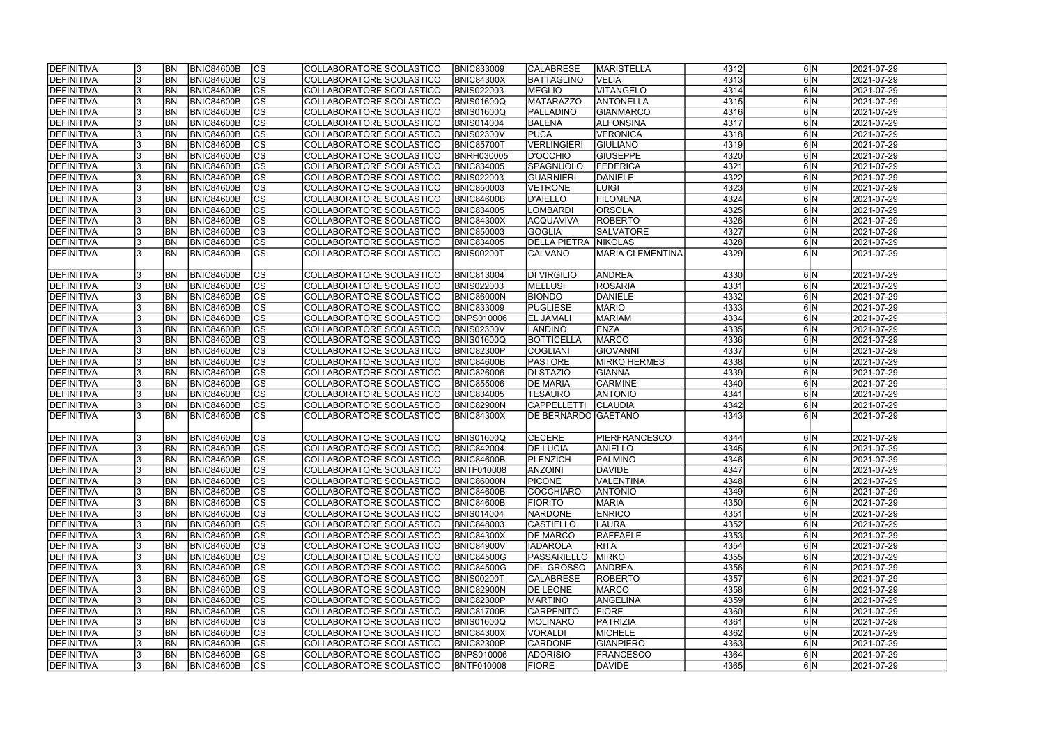| <b>DEFINITIVA</b> | BN <sub></sub> | <b>BNIC84600B</b> | CS                       | COLLABORATORE SCOLASTICO | <b>BNIC833009</b> | <b>CALABRESE</b>    | <b>MARISTELLA</b>       | 4312 | 6 N                 | 2021-07-29              |
|-------------------|----------------|-------------------|--------------------------|--------------------------|-------------------|---------------------|-------------------------|------|---------------------|-------------------------|
| DEFINITIVA        | <b>BN</b>      | <b>BNIC84600B</b> | cs                       | COLLABORATORE SCOLASTICO | <b>BNIC84300X</b> | <b>BATTAGLINO</b>   | <b>VELIA</b>            | 4313 | 6N                  | 2021-07-29              |
| <b>DEFINITIVA</b> | BN <sub></sub> | <b>BNIC84600B</b> | $\overline{\text{cs}}$   | COLLABORATORE SCOLASTICO | <b>BNIS022003</b> | <b>MEGLIO</b>       | <b>VITANGELO</b>        | 4314 | 6N                  | 2021-07-29              |
| <b>DEFINITIVA</b> | <b>BN</b>      | <b>BNIC84600B</b> | $\overline{\text{CS}}$   | COLLABORATORE SCOLASTICO | <b>BNIS01600Q</b> | <b>MATARAZZO</b>    | <b>ANTONELLA</b>        | 4315 | 6N                  | 2021-07-29              |
| DEFINITIVA        | <b>BN</b>      | <b>BNIC84600B</b> | $\overline{\text{cs}}$   | COLLABORATORE SCOLASTICO | BNIS01600Q        | PALLADINO           | <b>GIANMARCO</b>        | 4316 | 6N                  | 2021-07-29              |
| <b>DEFINITIVA</b> | <b>BN</b>      | <b>BNIC84600B</b> | $\overline{\text{CS}}$   | COLLABORATORE SCOLASTICO | <b>BNIS014004</b> | <b>BALENA</b>       | <b>ALFONSINA</b>        | 4317 | 6N                  | 2021-07-29              |
| <b>DEFINITIVA</b> | <b>BN</b>      | <b>BNIC84600B</b> | $\overline{\text{CS}}$   | COLLABORATORE SCOLASTICO | <b>BNIS02300V</b> | <b>PUCA</b>         | <b>VERONICA</b>         | 4318 | 6N                  | 2021-07-29              |
| <b>DEFINITIVA</b> | <b>BN</b>      | <b>BNIC84600B</b> | $\overline{\text{CS}}$   | COLLABORATORE SCOLASTICO | <b>BNIC85700T</b> | <b>VERLINGIERI</b>  | <b>GIULIANO</b>         | 4319 | 6 N                 | 2021-07-29              |
| <b>DEFINITIVA</b> | <b>BN</b>      | <b>BNIC84600B</b> | $\overline{\text{CS}}$   | COLLABORATORE SCOLASTICO | <b>BNRH030005</b> | <b>D'OCCHIO</b>     | <b>GIUSEPPE</b>         | 4320 | 6 N                 | 2021-07-29              |
| DEFINITIVA        | <b>BN</b>      | <b>BNIC84600B</b> | cs                       | COLLABORATORE SCOLASTICO | <b>BNIC834005</b> | <b>SPAGNUOLO</b>    | FEDERICA                | 4321 | 6 N                 | $\sqrt{2021} - 07 - 29$ |
| <b>DEFINITIVA</b> | <b>BN</b>      | <b>BNIC84600B</b> | cs                       | COLLABORATORE SCOLASTICO | <b>BNIS022003</b> | <b>GUARNIERI</b>    | DANIELE                 | 4322 | 6 N                 | 2021-07-29              |
| DEFINITIVA        | <b>BN</b>      | <b>BNIC84600B</b> | cs                       | COLLABORATORE SCOLASTICO | <b>BNIC850003</b> | <b>VETRONE</b>      | <b>LUIGI</b>            | 4323 | 6 N                 | 2021-07-29              |
| <b>DEFINITIVA</b> | BN <sub></sub> | <b>BNIC84600B</b> | cs                       | COLLABORATORE SCOLASTICO | <b>BNIC84600B</b> | <b>D'AIELLO</b>     | <b>FILOMENA</b>         | 4324 | 6N                  | 2021-07-29              |
| <b>DEFINITIVA</b> | BN <sub></sub> | <b>BNIC84600B</b> | cs                       | COLLABORATORE SCOLASTICO | <b>BNIC834005</b> | <b>LOMBARDI</b>     | ORSOLA                  | 4325 | 6N                  | 2021-07-29              |
| <b>DEFINITIVA</b> | <b>BN</b>      | <b>BNIC84600B</b> | $ \overline{\text{CS}} $ | COLLABORATORE SCOLASTICO | <b>BNIC84300X</b> | <b>ACQUAVIVA</b>    | <b>ROBERTO</b>          | 4326 | 6N                  | 2021-07-29              |
| <b>DEFINITIVA</b> | <b>BN</b>      | <b>BNIC84600B</b> | $\overline{\text{CS}}$   | COLLABORATORE SCOLASTICO | <b>BNIC850003</b> | <b>GOGLIA</b>       | <b>SALVATORE</b>        | 4327 | 6N                  | 2021-07-29              |
| <b>DEFINITIVA</b> | <b>BN</b>      | <b>BNIC84600B</b> | $\overline{\text{CS}}$   | COLLABORATORE SCOLASTICO | <b>BNIC834005</b> | <b>DELLA PIETRA</b> | <b>NIKOLAS</b>          | 4328 | $6\overline{\rm N}$ | 2021-07-29              |
| DEFINITIVA        | <b>BN</b>      | <b>BNIC84600B</b> | $\overline{\text{CS}}$   | COLLABORATORE SCOLASTICO | <b>BNIS00200T</b> | CALVANO             | <b>MARIA CLEMENTINA</b> | 4329 | 6IN                 | 2021-07-29              |
|                   |                |                   |                          |                          |                   |                     |                         |      |                     |                         |
| <b>DEFINITIVA</b> | BN <sub></sub> | <b>BNIC84600B</b> | lcs                      | COLLABORATORE SCOLASTICO | <b>BNIC813004</b> | <b>DI VIRGILIO</b>  | <b>ANDREA</b>           | 4330 | 6 N                 | 2021-07-29              |
| <b>DEFINITIVA</b> | <b>BN</b>      | <b>BNIC84600B</b> | <b>CS</b>                | COLLABORATORE SCOLASTICO | <b>BNIS022003</b> | <b>MELLUSI</b>      | <b>ROSARIA</b>          | 4331 | 6 N                 | 2021-07-29              |
| <b>DEFINITIVA</b> | <b>BN</b>      | <b>BNIC84600B</b> | <b>CS</b>                | COLLABORATORE SCOLASTICO | <b>BNIC86000N</b> | <b>BIONDO</b>       | DANIELE                 | 4332 | 6 N                 | 2021-07-29              |
| <b>DEFINITIVA</b> | <b>BN</b>      | <b>BNIC84600B</b> | <b>CS</b>                | COLLABORATORE SCOLASTICO | <b>BNIC833009</b> | <b>PUGLIESE</b>     | <b>MARIO</b>            | 4333 | 6 N                 | 2021-07-29              |
| <b>DEFINITIVA</b> | <b>BN</b>      | <b>BNIC84600B</b> | <b>CS</b>                | COLLABORATORE SCOLASTICO | <b>BNPS010006</b> | <b>EL JAMALI</b>    | <b>MARIAM</b>           | 4334 | 6 N                 | 2021-07-29              |
| <b>DEFINITIVA</b> | <b>BN</b>      | <b>BNIC84600B</b> | $ \overline{\text{cs}} $ | COLLABORATORE SCOLASTICO | <b>BNIS02300V</b> | <b>LANDINO</b>      | <b>ENZA</b>             | 4335 | 6 N                 | 2021-07-29              |
| DEFINITIVA        | <b>BN</b>      | <b>BNIC84600B</b> | <b>CS</b>                | COLLABORATORE SCOLASTICO | <b>BNIS01600Q</b> | <b>BOTTICELLA</b>   | MARCO                   | 4336 | 6 N                 | 2021-07-29              |
| DEFINITIVA        | <b>BN</b>      | <b>BNIC84600B</b> | cs                       | COLLABORATORE SCOLASTICO | <b>BNIC82300P</b> | <b>COGLIANI</b>     | GIOVANNI                | 4337 | 6 N                 | 2021-07-29              |
| <b>DEFINITIVA</b> | BN <sub></sub> | <b>BNIC84600B</b> | lcs                      | COLLABORATORE SCOLASTICO | <b>BNIC84600B</b> | <b>PASTORE</b>      | <b>MIRKO HERMES</b>     | 4338 | 6 N                 | 2021-07-29              |
| <b>DEFINITIVA</b> | BN <sub></sub> | <b>BNIC84600B</b> | cs                       | COLLABORATORE SCOLASTICO | <b>BNIC826006</b> | <b>DI STAZIO</b>    | GIANNA                  | 4339 | 6 N                 | 2021-07-29              |
| <b>DEFINITIVA</b> | <b>BN</b>      | <b>BNIC84600B</b> | cs                       | COLLABORATORE SCOLASTICO | <b>BNIC855006</b> | <b>DE MARIA</b>     | <b>CARMINE</b>          | 4340 | 6 N                 | 2021-07-29              |
| <b>DEFINITIVA</b> | <b>BN</b>      | <b>BNIC84600B</b> | $ \overline{\text{CS}} $ | COLLABORATORE SCOLASTICO | <b>BNIC834005</b> | <b>TESAURO</b>      | <b>ANTONIO</b>          | 4341 | 6 N                 | 2021-07-29              |
| <b>DEFINITIVA</b> | BN <sub></sub> | <b>BNIC84600B</b> | $\overline{\text{CS}}$   | COLLABORATORE SCOLASTICO | <b>BNIC82900N</b> | <b>CAPPELLETTI</b>  | <b>CLAUDIA</b>          | 4342 | 6N                  | 2021-07-29              |
| <b>DEFINITIVA</b> | <b>BN</b>      | <b>BNIC84600B</b> | $\overline{\text{cs}}$   | COLLABORATORE SCOLASTICO | <b>BNIC84300X</b> | DE BERNARDO GAETANO |                         | 4343 | 6IN                 | 2021-07-29              |
|                   |                |                   |                          |                          |                   |                     |                         |      |                     |                         |
| <b>DEFINITIVA</b> | <b>BN</b>      | <b>BNIC84600B</b> | CS                       | COLLABORATORE SCOLASTICO | <b>BNIS01600Q</b> | <b>CECERE</b>       | PIERFRANCESCO           | 4344 | 6 N                 | 2021-07-29              |
| <b>DEFINITIVA</b> | BN <sub></sub> | <b>BNIC84600B</b> | $\overline{\text{cs}}$   | COLLABORATORE SCOLASTICO | <b>BNIC842004</b> | <b>DE LUCIA</b>     | <b>ANIELLO</b>          | 4345 | 6 N                 | 2021-07-29              |
| <b>DEFINITIVA</b> | <b>BN</b>      | BNIC84600B        | cs                       | COLLABORATORE SCOLASTICO | <b>BNIC84600B</b> | PLENZICH            | PALMINO                 | 4346 | 6 N                 | 2021-07-29              |
| DEFINITIVA        | <b>BN</b>      | <b>BNIC84600B</b> | <sub>lcs</sub>           | COLLABORATORE SCOLASTICO | <b>BNTF010008</b> | <b>ANZOINI</b>      | <b>DAVIDE</b>           | 4347 | 6N                  | 2021-07-29              |
| <b>DEFINITIVA</b> | <b>BN</b>      | BNIC84600B        | CS                       | COLLABORATORE SCOLASTICO | BNIC86000N        | <b>PICONE</b>       | VALENTINA               | 4348 | 6 N                 | 2021-07-29              |
| <b>DEFINITIVA</b> | <b>BN</b>      | <b>BNIC84600B</b> | <b>CS</b>                | COLLABORATORE SCOLASTICO | BNIC84600B        | <b>COCCHIARO</b>    | <b>ANTONIO</b>          | 4349 | 6N                  | 2021-07-29              |
| DEFINITIVA        | <b>BN</b>      | <b>BNIC84600B</b> | <b>CS</b>                | COLLABORATORE SCOLASTICO | <b>BNIC84600B</b> | <b>FIORITO</b>      | <b>MARIA</b>            | 4350 | 6 N                 | 2021-07-29              |
| <b>DEFINITIVA</b> | <b>BN</b>      | <b>BNIC84600B</b> | CS                       | COLLABORATORE SCOLASTICO | <b>BNIS014004</b> | <b>NARDONE</b>      | <b>ENRICO</b>           | 4351 | 6 N                 | 2021-07-29              |
| <b>DEFINITIVA</b> | <b>BN</b>      | <b>BNIC84600B</b> | CS                       | COLLABORATORE SCOLASTICO | <b>BNIC848003</b> | <b>CASTIELLO</b>    | <b>LAURA</b>            | 4352 | 6 N                 | 2021-07-29              |
| <b>DEFINITIVA</b> | <b>BN</b>      | <b>BNIC84600B</b> | <b>CS</b>                | COLLABORATORE SCOLASTICO | <b>BNIC84300X</b> | <b>DE MARCO</b>     | RAFFAELE                | 4353 | 6 N                 | 2021-07-29              |
| <b>DEFINITIVA</b> | <b>BN</b>      | <b>BNIC84600B</b> | cs                       | COLLABORATORE SCOLASTICO | <b>BNIC84900V</b> | <b>IADAROLA</b>     | <b>RITA</b>             | 4354 | 6 N                 | 2021-07-29              |
| <b>DEFINITIVA</b> | BN             | <b>BNIC84600B</b> | CS                       | COLLABORATORE SCOLASTICO | <b>BNIC84500G</b> | PASSARIELLO         | <b>MIRKO</b>            | 4355 | 6 N                 | 2021-07-29              |
| <b>DEFINITIVA</b> | <b>BN</b>      | <b>BNIC84600B</b> | cs                       | COLLABORATORE SCOLASTICO | <b>BNIC84500G</b> | <b>DEL GROSSO</b>   | <b>ANDREA</b>           | 4356 | 6 N                 | 2021-07-29              |
| <b>DEFINITIVA</b> | <b>BN</b>      | <b>BNIC84600B</b> | CS                       | COLLABORATORE SCOLASTICO | <b>BNIS00200T</b> | <b>CALABRESE</b>    | <b>ROBERTO</b>          | 4357 | 6N                  | 2021-07-29              |
| <b>DEFINITIVA</b> | <b>BN</b>      | <b>BNIC84600B</b> | $\overline{\text{CS}}$   | COLLABORATORE SCOLASTICO | <b>BNIC82900N</b> | <b>DE LEONE</b>     | MARCO                   | 4358 | 6 N                 | 2021-07-29              |
| <b>DEFINITIVA</b> | <b>BN</b>      | <b>BNIC84600B</b> | $\overline{\text{CS}}$   | COLLABORATORE SCOLASTICO | <b>BNIC82300P</b> | <b>MARTINO</b>      | ANGELINA                | 4359 | 6 N                 | 2021-07-29              |
| <b>DEFINITIVA</b> | <b>BN</b>      | <b>BNIC84600B</b> | <b>CS</b>                | COLLABORATORE SCOLASTICO | <b>BNIC81700B</b> | <b>CARPENITO</b>    | <b>FIORE</b>            | 4360 | 6 N                 | 2021-07-29              |
| <b>DEFINITIVA</b> | <b>BN</b>      | <b>BNIC84600B</b> | CS                       | COLLABORATORE SCOLASTICO | BNIS01600Q        | MOLINARO            | PATRIZIA                | 4361 | 6N                  | 2021-07-29              |
| <b>DEFINITIVA</b> | BN <sub></sub> | <b>BNIC84600B</b> | CS                       | COLLABORATORE SCOLASTICO | <b>BNIC84300X</b> | <b>VORALDI</b>      | MICHELE                 | 4362 | 6 N                 | 2021-07-29              |
| <b>DEFINITIVA</b> | BN <sub></sub> | <b>BNIC84600B</b> | CS                       | COLLABORATORE SCOLASTICO | <b>BNIC82300P</b> | <b>CARDONE</b>      | <b>GIANPIERO</b>        | 4363 | 6 N                 | 2021-07-29              |
| <b>DEFINITIVA</b> | <b>BN</b>      | <b>BNIC84600B</b> | CS                       | COLLABORATORE SCOLASTICO | <b>BNPS010006</b> | <b>ADORISIO</b>     | <b>FRANCESCO</b>        | 4364 | 6 N                 | 2021-07-29              |
| <b>DEFINITIVA</b> | <b>BN</b>      | <b>BNIC84600B</b> | lcs                      | COLLABORATORE SCOLASTICO | <b>BNTF010008</b> | <b>FIORE</b>        | DAVIDE                  | 4365 | 6 N                 | 2021-07-29              |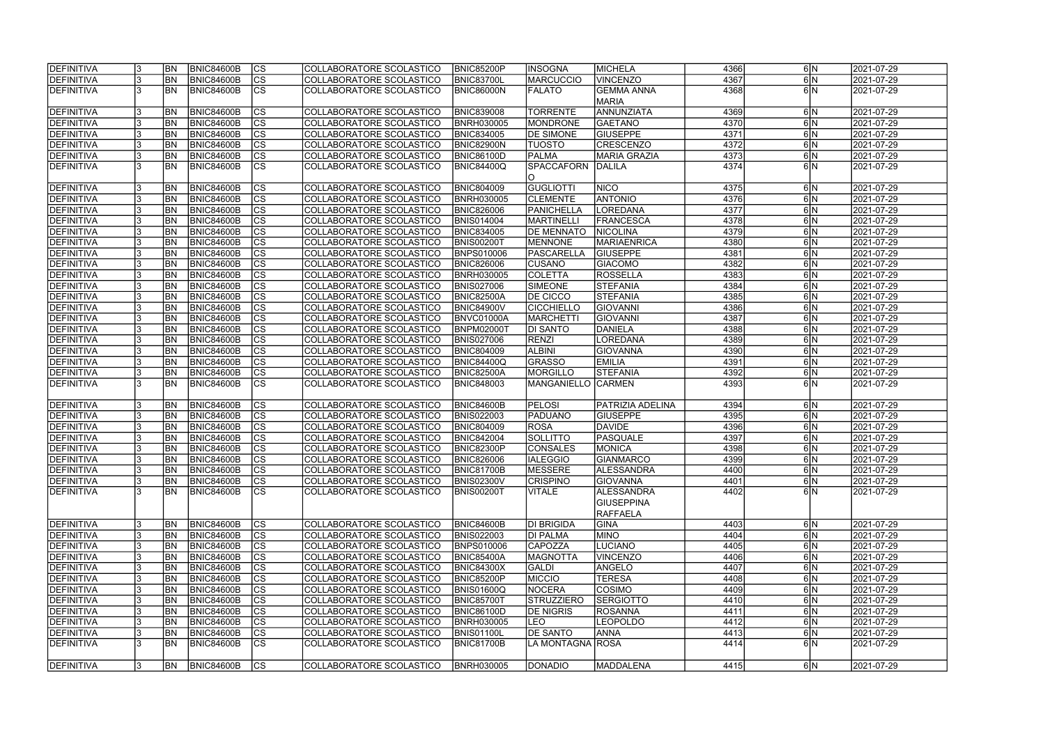| <b>DEFINITIVA</b> |     | <b>BN</b>  | <b>BNIC84600B</b> | <b>CS</b>                | COLLABORATORE SCOLASTICO | <b>BNIC85200P</b> | <b>INSOGNA</b>     | MICHELA                    | 4366 | 6 N                 | 2021-07-29 |
|-------------------|-----|------------|-------------------|--------------------------|--------------------------|-------------------|--------------------|----------------------------|------|---------------------|------------|
| <b>DEFINITIVA</b> |     | <b>BN</b>  | <b>BNIC84600B</b> | $\overline{\text{cs}}$   | COLLABORATORE SCOLASTICO | <b>BNIC83700L</b> | <b>MARCUCCIO</b>   | <b>VINCENZO</b>            | 4367 | 6N                  | 2021-07-29 |
| DEFINITIVA        |     | <b>BN</b>  | <b>BNIC84600B</b> | cs                       | COLLABORATORE SCOLASTICO | BNIC86000N        | <b>FALATO</b>      | <b>GEMMA ANNA</b>          | 4368 | 6N                  | 2021-07-29 |
|                   |     |            |                   |                          |                          |                   |                    | <b>MARIA</b>               |      |                     |            |
| DEFINITIVA        |     | <b>BN</b>  | <b>BNIC84600B</b> | $\overline{\text{cs}}$   | COLLABORATORE SCOLASTICO | <b>BNIC839008</b> | <b>TORRENTE</b>    | ANNUNZIATA                 | 4369 | 6 N                 | 2021-07-29 |
| DEFINITIVA        |     | <b>BN</b>  | <b>BNIC84600B</b> | cs                       | COLLABORATORE SCOLASTICO | <b>BNRH030005</b> | <b>MONDRONE</b>    | <b>GAETANO</b>             | 4370 | 6N                  | 2021-07-29 |
| DEFINITIVA        |     | <b>BN</b>  | <b>BNIC84600B</b> | cs                       | COLLABORATORE SCOLASTICO | <b>BNIC834005</b> | <b>DE SIMONE</b>   | <b>GIUSEPPE</b>            | 4371 | 6N                  | 2021-07-29 |
| DEFINITIVA        |     | <b>BN</b>  | <b>BNIC84600B</b> | cs                       | COLLABORATORE SCOLASTICO | <b>BNIC82900N</b> | <b>TUOSTO</b>      | <b>CRESCENZO</b>           | 4372 | 6N                  | 2021-07-29 |
| DEFINITIVA        |     | <b>BN</b>  | BNIC84600B        | <b>CS</b>                | COLLABORATORE SCOLASTICO | <b>BNIC86100D</b> | <b>PALMA</b>       | <b>MARIA GRAZIA</b>        | 4373 | 6 N                 | 2021-07-29 |
| DEFINITIVA        |     | <b>BN</b>  | BNIC84600B        | <b>CS</b>                | COLLABORATORE SCOLASTICO | BNIC84400Q        | <b>SPACCAFORN</b>  | DALILA                     | 4374 | 6IN                 | 2021-07-29 |
|                   |     |            |                   |                          |                          |                   |                    |                            |      |                     |            |
| DEFINITIVA        |     | <b>BN</b>  | BNIC84600B        | cs                       | COLLABORATORE SCOLASTICO | <b>BNIC804009</b> | <b>GUGLIOTTI</b>   | <b>NICO</b>                | 4375 | 6 N                 | 2021-07-29 |
| DEFINITIVA        |     | <b>BN</b>  | <b>BNIC84600B</b> | $\overline{c}$           | COLLABORATORE SCOLASTICO | <b>BNRH030005</b> | <b>CLEMENTE</b>    | <b>ANTONIO</b>             | 4376 | 6N                  | 2021-07-29 |
| DEFINITIVA        |     | <b>BN</b>  | <b>BNIC84600B</b> | $\overline{\text{cs}}$   | COLLABORATORE SCOLASTICO | <b>BNIC826006</b> | <b>PANICHELLA</b>  | LOREDANA                   | 4377 | 6N                  | 2021-07-29 |
| DEFINITIVA        |     | <b>BN</b>  | <b>BNIC84600B</b> | $\overline{\text{cs}}$   | COLLABORATORE SCOLASTICO | <b>BNIS014004</b> | <b>MARTINELLI</b>  | FRANCESCA                  | 4378 | 6N                  | 2021-07-29 |
| DEFINITIVA        |     | <b>BN</b>  | <b>BNIC84600B</b> | $ \overline{\text{cs}} $ | COLLABORATORE SCOLASTICO | <b>BNIC834005</b> | <b>DE MENNATO</b>  | NICOLINA                   | 4379 | $6\overline{\rm N}$ | 2021-07-29 |
| DEFINITIVA        |     | <b>BN</b>  | BNIC84600B        | $\overline{\text{cs}}$   | COLLABORATORE SCOLASTICO | <b>BNIS00200T</b> | <b>MENNONE</b>     | <b>MARIAENRICA</b>         | 4380 | $6\overline{\rm N}$ | 2021-07-29 |
| <b>DEFINITIVA</b> |     | <b>BN</b>  | BNIC84600B        | cs                       | COLLABORATORE SCOLASTICO | <b>BNPS010006</b> | <b>PASCARELLA</b>  | <b>GIUSEPPE</b>            | 4381 | $6\overline{\rm N}$ |            |
|                   |     |            |                   |                          |                          |                   |                    |                            | 4382 | $6\overline{\rm N}$ | 2021-07-29 |
| DEFINITIVA        |     | <b>BN</b>  | <b>BNIC84600B</b> | <b>CS</b><br> cs         | COLLABORATORE SCOLASTICO | <b>BNIC826006</b> | <b>CUSANO</b>      | <b>GIACOMO</b><br>ROSSELLA | 4383 |                     | 2021-07-29 |
| DEFINITIVA        |     | <b>BN</b>  | <b>BNIC84600B</b> |                          | COLLABORATORE SCOLASTICO | <b>BNRH030005</b> | <b>COLETTA</b>     |                            |      | 6 N                 | 2021-07-29 |
| <b>DEFINITIVA</b> |     | <b>BN</b>  | BNIC84600B        | cs                       | COLLABORATORE SCOLASTICO | <b>BNIS027006</b> | <b>SIMEONE</b>     | <b>STEFANIA</b>            | 4384 | $6\overline{\rm N}$ | 2021-07-29 |
| DEFINITIVA        |     | <b>BN</b>  | <b>BNIC84600B</b> | cs                       | COLLABORATORE SCOLASTICO | <b>BNIC82500A</b> | DE CICCO           | <b>STEFANIA</b>            | 4385 | 6 N                 | 2021-07-29 |
| DEFINITIVA        |     | <b>BN</b>  | <b>BNIC84600B</b> | CS                       | COLLABORATORE SCOLASTICO | <b>BNIC84900V</b> | <b>CICCHIELLO</b>  | <b>GIOVANNI</b>            | 4386 | 6N                  | 2021-07-29 |
| DEFINITIVA        |     | <b>BN</b>  | <b>BNIC84600B</b> | <b>CS</b>                | COLLABORATORE SCOLASTICO | BNVC01000A        | <b>MARCHETTI</b>   | GIOVANNI                   | 4387 | 6 N                 | 2021-07-29 |
| DEFINITIVA        |     | <b>BN</b>  | <b>BNIC84600B</b> | cs                       | COLLABORATORE SCOLASTICO | BNPM02000T        | DI SANTO           | DANIELA                    | 4388 | 6 N                 | 2021-07-29 |
| DEFINITIVA        |     | <b>BN</b>  | <b>BNIC84600B</b> | <sub>cs</sub>            | COLLABORATORE SCOLASTICO | <b>BNIS027006</b> | <b>RENZI</b>       | LOREDANA                   | 4389 | 6 N                 | 2021-07-29 |
| DEFINITIVA        |     | <b>BN</b>  | <b>BNIC84600B</b> | <sub>cs</sub>            | COLLABORATORE SCOLASTICO | <b>BNIC804009</b> | <b>ALBINI</b>      | <b>GIOVANNA</b>            | 4390 | 6 N                 | 2021-07-29 |
| DEFINITIVA        |     | <b>BN</b>  | <b>BNIC84600B</b> | <sub>cs</sub>            | COLLABORATORE SCOLASTICO | <b>BNIC84400Q</b> | <b>GRASSO</b>      | <b>EMILIA</b>              | 4391 | 6 N                 | 2021-07-29 |
| DEFINITIVA        |     | <b>BN</b>  | <b>BNIC84600B</b> | cs                       | COLLABORATORE SCOLASTICO | <b>BNIC82500A</b> | <b>MORGILLO</b>    | <b>STEFANIA</b>            | 4392 | 6 N                 | 2021-07-29 |
| DEFINITIVA        |     | <b>BN</b>  | <b>BNIC84600B</b> | <b>CS</b>                | COLLABORATORE SCOLASTICO | <b>BNIC848003</b> | <b>MANGANIELLO</b> | <b>CARMEN</b>              | 4393 | 6 N                 | 2021-07-29 |
|                   |     |            |                   |                          |                          |                   |                    |                            |      |                     |            |
| DEFINITIVA        |     | <b>BN</b>  | <b>BNIC84600B</b> | CS                       | COLLABORATORE SCOLASTICO | BNIC84600B        | <b>PELOSI</b>      | <b>PATRIZIA ADELINA</b>    | 4394 | 6 N                 | 2021-07-29 |
| DEFINITIVA        |     | <b>BN</b>  | <b>BNIC84600B</b> | $\overline{\text{cs}}$   | COLLABORATORE SCOLASTICO | <b>BNIS022003</b> | PADUANO            | <b>GIUSEPPE</b>            | 4395 | 6N                  | 2021-07-29 |
| DEFINITIVA        |     | <b>BN</b>  | <b>BNIC84600B</b> | cs                       | COLLABORATORE SCOLASTICO | <b>BNIC804009</b> | <b>ROSA</b>        | <b>DAVIDE</b>              | 4396 | 6 N                 | 2021-07-29 |
| DEFINITIVA        |     | <b>BN</b>  | <b>BNIC84600B</b> | $\overline{\text{cs}}$   | COLLABORATORE SCOLASTICO | <b>BNIC842004</b> | <b>SOLLITTO</b>    | <b>PASQUALE</b>            | 4397 | 6N                  | 2021-07-29 |
| DEFINITIVA        |     | <b>BN</b>  | <b>BNIC84600B</b> | cs                       | COLLABORATORE SCOLASTICO | <b>BNIC82300P</b> | <b>CONSALES</b>    | MONICA                     | 4398 | 6N                  | 2021-07-29 |
| <b>DEFINITIVA</b> |     | <b>BN</b>  | BNIC84600B        | CS                       | COLLABORATORE SCOLASTICO | <b>BNIC826006</b> | <b>IALEGGIO</b>    | GIANMARCO                  | 4399 | 6 N                 | 2021-07-29 |
| DEFINITIVA        |     | <b>BN</b>  | <b>BNIC84600B</b> | cs                       | COLLABORATORE SCOLASTICO | <b>BNIC81700B</b> | MESSERE            | <b>ALESSANDRA</b>          | 4400 | 6N                  | 2021-07-29 |
| DEFINITIVA        |     | <b>BN</b>  | BNIC84600B        | cs                       | COLLABORATORE SCOLASTICO | <b>BNIS02300V</b> | <b>CRISPINO</b>    | <b>GIOVANNA</b>            | 4401 | 6 N                 | 2021-07-29 |
| DEFINITIVA        |     | <b>BN</b>  | BNIC84600B        | lcs                      | COLLABORATORE SCOLASTICO | <b>BNIS00200T</b> | <b>VITALE</b>      | ALESSANDRA                 | 4402 | 6N                  | 2021-07-29 |
|                   |     |            |                   |                          |                          |                   |                    | <b>GIUSEPPINA</b>          |      |                     |            |
|                   |     |            |                   |                          |                          |                   |                    | RAFFAELA                   |      |                     |            |
| DEFINITIVA        |     | <b>BN</b>  | <b>BNIC84600B</b> | <b>CS</b>                | COLLABORATORE SCOLASTICO | <b>BNIC84600B</b> | DI BRIGIDA         | <b>GINA</b>                | 4403 | 6 N                 | 2021-07-29 |
| DEFINITIVA        |     | <b>BN</b>  | <b>BNIC84600B</b> | <b>CS</b>                | COLLABORATORE SCOLASTICO | <b>BNIS022003</b> | DI PALMA           | <b>MINO</b>                | 4404 | 6 N                 | 2021-07-29 |
| <b>DEFINITIVA</b> |     | <b>BN</b>  | <b>BNIC84600B</b> | cs                       | COLLABORATORE SCOLASTICO | <b>BNPS010006</b> | <b>CAPOZZA</b>     | <b>LUCIANO</b>             | 4405 | 6 N                 | 2021-07-29 |
| DEFINITIVA        |     | <b>BN</b>  | <b>BNIC84600B</b> | cs                       | COLLABORATORE SCOLASTICO | BNIC85400A        | MAGNOTTA           | <b>VINCENZO</b>            | 4406 | 6N                  | 2021-07-29 |
| DEFINITIVA        |     | <b>BN</b>  | <b>BNIC84600B</b> | cs                       | COLLABORATORE SCOLASTICO | <b>BNIC84300X</b> | <b>GALDI</b>       | ANGELO                     | 4407 | 6 N                 | 2021-07-29 |
| DEFINITIVA        |     | <b>BN</b>  | <b>BNIC84600B</b> | cs                       | COLLABORATORE SCOLASTICO | <b>BNIC85200P</b> | <b>MICCIO</b>      | <b>TERESA</b>              | 4408 | 6N                  | 2021-07-29 |
| DEFINITIVA        |     | <b>BN</b>  | <b>BNIC84600B</b> | <b>CS</b>                | COLLABORATORE SCOLASTICO | <b>BNIS01600Q</b> | <b>NOCERA</b>      | COSIMO                     | 4409 | 6N                  | 2021-07-29 |
| DEFINITIVA        |     | <b>BN</b>  | <b>BNIC84600B</b> | $\overline{\text{cs}}$   | COLLABORATORE SCOLASTICO | <b>BNIC85700T</b> | <b>STRUZZIERO</b>  | <b>SERGIOTTO</b>           | 4410 | 6N                  | 2021-07-29 |
| DEFINITIVA        |     | <b>BN</b>  | <b>BNIC84600B</b> | <b>CS</b>                | COLLABORATORE SCOLASTICO | <b>BNIC86100D</b> | <b>DE NIGRIS</b>   | <b>ROSANNA</b>             | 4411 | 6 N                 | 2021-07-29 |
| DEFINITIVA        |     | <b>BN</b>  | <b>BNIC84600B</b> | <b>CS</b>                | COLLABORATORE SCOLASTICO | <b>BNRH030005</b> | LEO                | <b>LEOPOLDO</b>            | 4412 | 6N                  | 2021-07-29 |
| DEFINITIVA        |     | <b>BN</b>  | <b>BNIC84600B</b> | <b>CS</b>                | COLLABORATORE SCOLASTICO | <b>BNIS01100L</b> | <b>DE SANTO</b>    | ANNA                       | 4413 | 6 N                 | 2021-07-29 |
| DEFINITIVA        |     | <b>IBN</b> | BNIC84600B        | $\overline{\text{CS}}$   | COLLABORATORE SCOLASTICO | <b>BNIC81700B</b> | LA MONTAGNA  ROSA  |                            | 4414 | 6 N                 | 2021-07-29 |
|                   |     |            |                   |                          |                          |                   |                    |                            |      |                     |            |
| DEFINITIVA        | 13. | <b>BN</b>  | <b>BNIC84600B</b> | <b>CS</b>                | COLLABORATORE SCOLASTICO | <b>BNRH030005</b> | <b>DONADIO</b>     | <b>MADDALENA</b>           | 4415 | 6 N                 | 2021-07-29 |
|                   |     |            |                   |                          |                          |                   |                    |                            |      |                     |            |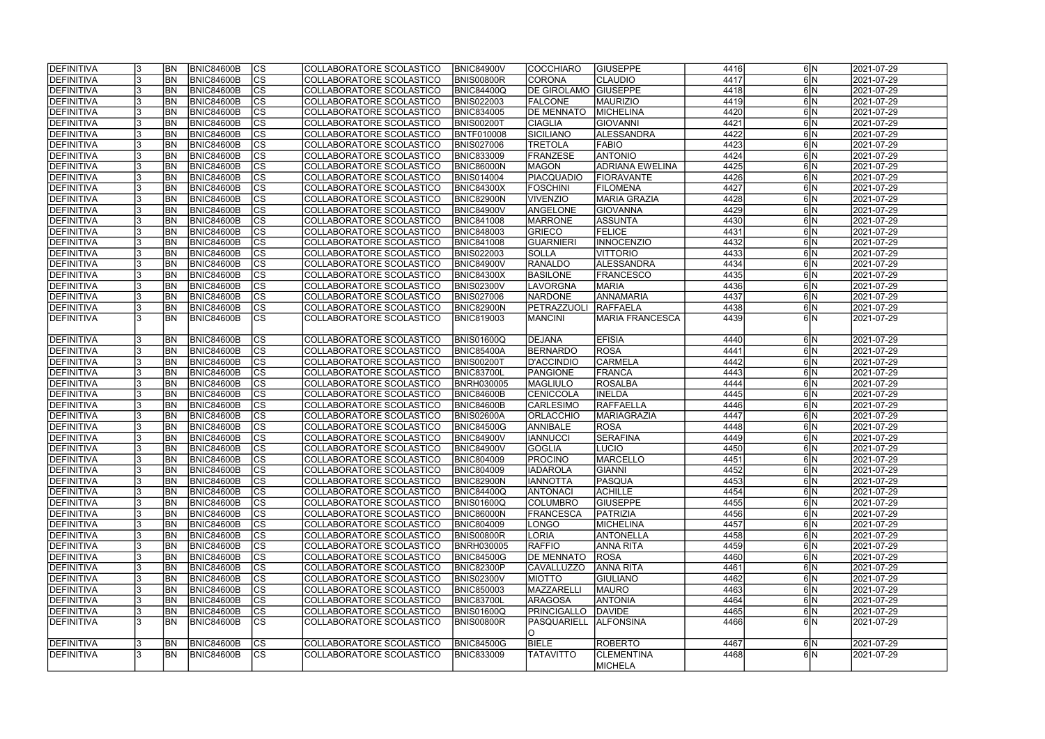| <b>DEFINITIVA</b> | <b>BN</b>      | <b>BNIC84600B</b> | $ {\rm CS} $   | COLLABORATORE SCOLASTICO        | <b>BNIC84900V</b> | <b>COCCHIARO</b>    | <b>GIUSEPPE</b>        | 4416 | 6 N         | 2021-07-29 |
|-------------------|----------------|-------------------|----------------|---------------------------------|-------------------|---------------------|------------------------|------|-------------|------------|
| DEFINITIVA        | <b>BN</b>      | BNIC84600B        | cs             | COLLABORATORE SCOLASTICO        | <b>BNIS00800R</b> | CORONA              | <b>CLAUDIO</b>         | 4417 | 6 N         | 2021-07-29 |
| DEFINITIVA        | BN             | <b>BNIC84600B</b> | cs             | COLLABORATORE SCOLASTICO        | BNIC84400Q        | <b>DE GIROLAMO</b>  | <b>GIUSEPPE</b>        | 4418 | 6 N         | 2021-07-29 |
| DEFINITIVA        | BN             | <b>BNIC84600B</b> | $\overline{c}$ | COLLABORATORE SCOLASTICO        | <b>BNIS022003</b> | <b>FALCONE</b>      | <b>MAURIZIO</b>        | 4419 | 6 N         | 2021-07-29 |
| <b>DEFINITIVA</b> | BN             | <b>BNIC84600B</b> | cs             | COLLABORATORE SCOLASTICO        | <b>BNIC834005</b> | <b>DE MENNATO</b>   | MICHELINA              | 4420 | 6N          | 2021-07-29 |
| DEFINITIVA        | <b>BN</b>      | <b>BNIC84600B</b> | cs             | COLLABORATORE SCOLASTICO        | BNIS00200T        | <b>CIAGLIA</b>      | <b>GIOVANNI</b>        | 4421 | 6 N         | 2021-07-29 |
| DEFINITIVA        | <b>BN</b>      | <b>BNIC84600B</b> | cs             | COLLABORATORE SCOLASTICO        | <b>BNTF010008</b> | SICILIANO           | ALESSANDRA             | 4422 | 6N          | 2021-07-29 |
| DEFINITIVA        | <b>BN</b>      | <b>BNIC84600B</b> | cs             | COLLABORATORE SCOLASTICO        | <b>BNIS027006</b> | <b>TRETOLA</b>      | <b>FABIO</b>           | 4423 | 6 N         | 2021-07-29 |
| DEFINITIVA        | BN             | <b>BNIC84600B</b> | $ {\rm CS} $   | COLLABORATORE SCOLASTICO        | <b>BNIC833009</b> | <b>FRANZESE</b>     | <b>ANTONIO</b>         | 4424 | 6 N         | 2021-07-29 |
| <b>DEFINITIVA</b> | <b>BN</b>      | <b>BNIC84600B</b> | cs             | COLLABORATORE SCOLASTICO        | <b>BNIC86000N</b> | <b>MAGON</b>        | <b>ADRIANA EWELINA</b> | 4425 | 6 N         | 2021-07-29 |
| DEFINITIVA        | <b>BN</b>      | <b>BNIC84600B</b> | $ {\rm CS} $   | COLLABORATORE SCOLASTICO        | <b>BNIS014004</b> | PIACQUADIO          | FIORAVANTE             | 4426 | 6 N         | 2021-07-29 |
| <b>DEFINITIVA</b> | <b>BN</b>      | <b>BNIC84600B</b> | cs             | COLLABORATORE SCOLASTICO        | <b>BNIC84300X</b> | <b>FOSCHINI</b>     | <b>FILOMENA</b>        | 4427 | 6 N         | 2021-07-29 |
| DEFINITIVA        | <b>BN</b>      | <b>BNIC84600B</b> | cs             | COLLABORATORE SCOLASTICO        | <b>BNIC82900N</b> | <b>VIVENZIO</b>     | MARIA GRAZIA           | 4428 | 6 N         | 2021-07-29 |
| DEFINITIVA        | <b>BN</b>      | <b>BNIC84600B</b> | $ {\rm CS} $   | COLLABORATORE SCOLASTICO        | <b>BNIC84900V</b> | ANGELONE            | <b>GIOVANNA</b>        | 4429 | 6 N         | 2021-07-29 |
| DEFINITIVA        | <b>BN</b>      | <b>BNIC84600B</b> | cs             | COLLABORATORE SCOLASTICO        | <b>BNIC841008</b> | <b>MARRONE</b>      | <b>ASSUNTA</b>         | 4430 | 6N          | 2021-07-29 |
| DEFINITIVA        | <b>BN</b>      | <b>BNIC84600B</b> | $ {\rm CS} $   | COLLABORATORE SCOLASTICO        | <b>BNIC848003</b> | GRIECO              | <b>FELICE</b>          | 4431 | 6 N         | 2021-07-29 |
| DEFINITIVA        | BN             | <b>BNIC84600B</b> | cs             | COLLABORATORE SCOLASTICO        | <b>BNIC841008</b> | GUARNIERI           | <b>INNOCENZIO</b>      | 4432 | 6 N         | 2021-07-29 |
| DEFINITIVA        | <b>BN</b>      | <b>BNIC84600B</b> | $ {\rm CS} $   | COLLABORATORE SCOLASTICO        | <b>BNIS022003</b> | <b>SOLLA</b>        | VITTORIO               | 4433 | 6 N         | 2021-07-29 |
| DEFINITIVA        | BN             | <b>BNIC84600B</b> | <b>CS</b>      | COLLABORATORE SCOLASTICO        | <b>BNIC84900V</b> | <b>RANALDO</b>      | ALESSANDRA             | 4434 | 6 N         | 2021-07-29 |
| DEFINITIVA        | BN             | <b>BNIC84600B</b> | cs             | COLLABORATORE SCOLASTICO        | <b>BNIC84300X</b> | <b>BASILONE</b>     | <b>FRANCESCO</b>       | 4435 | 6 N         | 2021-07-29 |
| DEFINITIVA        | BN             | <b>BNIC84600B</b> | $ {\rm CS} $   | COLLABORATORE SCOLASTICO        | <b>BNIS02300V</b> | LAVORGNA            | <b>MARIA</b>           | 4436 | 6 N         | 2021-07-29 |
| <b>DEFINITIVA</b> | IBN            | <b>BNIC84600B</b> | <b>CS</b>      | COLLABORATORE SCOLASTICO        | <b>BNIS027006</b> | <b>NARDONE</b>      | ANNAMARIA              | 4437 | 6 N         | 2021-07-29 |
| DEFINITIVA        | <b>BN</b>      | <b>BNIC84600B</b> | <b>CS</b>      | COLLABORATORE SCOLASTICO        | <b>BNIC82900N</b> | <b>IPETRAZZUOLI</b> | <b>RAFFAELA</b>        | 4438 | 6 N         | 2021-07-29 |
| DEFINITIVA        | <b>BN</b>      | <b>BNIC84600B</b> | <b>CS</b>      | COLLABORATORE SCOLASTICO        | <b>BNIC819003</b> | <b>MANCINI</b>      | <b>MARIA FRANCESCA</b> | 4439 | $6\vert N$  | 2021-07-29 |
|                   |                |                   |                |                                 |                   |                     |                        |      |             |            |
| DEFINITIVA        | <b>BN</b>      | BNIC84600B        | <b>CS</b>      | COLLABORATORE SCOLASTICO        | <b>BNIS01600Q</b> | DEJANA              | <b>EFISIA</b>          | 4440 | 6 N         | 2021-07-29 |
| DEFINITIVA        | <b>BN</b>      | <b>BNIC84600B</b> | $ {\rm cs} $   | COLLABORATORE SCOLASTICO        | <b>BNIC85400A</b> | BERNARDO            | ROSA                   | 4441 | 6 N         | 2021-07-29 |
| DEFINITIVA        | <b>BN</b>      | <b>BNIC84600B</b> | $ {\rm cs} $   | COLLABORATORE SCOLASTICO        | <b>BNIS00200T</b> | D'ACCINDIO          | <b>CARMELA</b>         | 4442 | 6 N         | 2021-07-29 |
| DEFINITIVA        | <b>BN</b>      | <b>BNIC84600B</b> | $ {\rm cs} $   | COLLABORATORE SCOLASTICO        | <b>BNIC83700L</b> | PANGIONE            | FRANCA                 | 4443 | 6 N         | 2021-07-29 |
| DEFINITIVA        | <b>BN</b>      | <b>BNIC84600B</b> | $ {\rm cs} $   | COLLABORATORE SCOLASTICO        | <b>BNRH030005</b> | <b>MAGLIULO</b>     | <b>ROSALBA</b>         | 4444 | 6 N         | 2021-07-29 |
| DEFINITIVA        | <b>BN</b>      | <b>BNIC84600B</b> | cs             | COLLABORATORE SCOLASTICO        | <b>BNIC84600B</b> | CENICCOLA           | <b>INELDA</b>          | 4445 | 6 N         | 2021-07-29 |
| DEFINITIVA        | <b>BN</b>      | <b>BNIC84600B</b> | CS             | COLLABORATORE SCOLASTICO        | BNIC84600B        | <b>CARLESIMO</b>    | RAFFAELLA              | 4446 | 6 N         | 2021-07-29 |
| DEFINITIVA        | BN             | <b>BNIC84600B</b> | $\overline{c}$ | COLLABORATORE SCOLASTICO        | <b>BNIS02600A</b> | <b>ORLACCHIO</b>    | <b>MARIAGRAZIA</b>     | 4447 | 6 N         | 2021-07-29 |
| DEFINITIVA        | <b>BN</b>      | <b>BNIC84600B</b> | cs             | COLLABORATORE SCOLASTICO        | <b>BNIC84500G</b> | <b>ANNIBALE</b>     | ROSA                   | 4448 | 6 N         | 2021-07-29 |
| DEFINITIVA        | <b>BN</b>      | <b>BNIC84600B</b> | cs             | <b>COLLABORATORE SCOLASTICO</b> | <b>BNIC84900V</b> | <b>IANNUCCI</b>     | <b>SERAFINA</b>        | 4449 | 6 N         | 2021-07-29 |
| DEFINITIVA        | <b>BN</b>      | <b>BNIC84600B</b> | cs             | COLLABORATORE SCOLASTICO        | <b>BNIC84900V</b> | <b>GOGLIA</b>       | LUCIO                  | 4450 | 6 N         | 2021-07-29 |
| <b>DEFINITIVA</b> | IBN            | BNIC84600B        | CS             | COLLABORATORE SCOLASTICO        | <b>BNIC804009</b> | <b>PROCINO</b>      | MARCELLO               | 4451 | <b>6 N</b>  | 2021-07-29 |
| DEFINITIVA        | <b>IBN</b>     | <b>BNIC84600B</b> | $ {\rm cs} $   | COLLABORATORE SCOLASTICO        | <b>BNIC804009</b> | <b>IADAROLA</b>     | <b>GIANNI</b>          | 4452 | 6 N         | 2021-07-29 |
| DEFINITIVA        | <b>IBN</b>     | <b>BNIC84600B</b> | $ {\rm CS} $   | COLLABORATORE SCOLASTICO        | <b>BNIC82900N</b> | <b>IANNOTTA</b>     | <b>PASQUA</b>          | 4453 | 6 N         | 2021-07-29 |
| DEFINITIVA        | <b>IBN</b>     | <b>BNIC84600B</b> | <b>CS</b>      | COLLABORATORE SCOLASTICO        | <b>BNIC84400Q</b> | <b>ANTONACI</b>     | <b>ACHILLE</b>         | 4454 | 6 N         | 2021-07-29 |
| <b>DEFINITIVA</b> | <b>BN</b>      | <b>BNIC84600B</b> | $ {\rm CS} $   | COLLABORATORE SCOLASTICO        | <b>BNIS01600Q</b> | <b>COLUMBRO</b>     | <b>GIUSEPPE</b>        | 4455 | 6 N         | 2021-07-29 |
| DEFINITIVA        | <b>BN</b>      | <b>BNIC84600B</b> | $ {\rm CS} $   | COLLABORATORE SCOLASTICO        | <b>BNIC86000N</b> | <b>FRANCESCA</b>    | PATRIZIA               | 4456 | 6 N         | 2021-07-29 |
| DEFINITIVA        | <b>BN</b>      | <b>BNIC84600B</b> | $ {\rm CS} $   | COLLABORATORE SCOLASTICO        | <b>BNIC804009</b> | LONGO               | MICHELINA              | 4457 | 6 N         | 2021-07-29 |
| DEFINITIVA        | <b>BN</b>      | <b>BNIC84600B</b> | $ {\rm CS} $   | COLLABORATORE SCOLASTICO        | <b>BNIS00800R</b> | LORIA               | <b>ANTONELLA</b>       | 4458 | 6 N         | 2021-07-29 |
| DEFINITIVA        | BN <sub></sub> | <b>BNIC84600B</b> | cs             | COLLABORATORE SCOLASTICO        | <b>BNRH030005</b> | <b>RAFFIO</b>       | <b>ANNA RITA</b>       | 4459 | 6 N         | 2021-07-29 |
| DEFINITIVA        | <b>BN</b>      | <b>BNIC84600B</b> | $ {\rm cs} $   | COLLABORATORE SCOLASTICO        | <b>BNIC84500G</b> | <b>DE MENNATO</b>   | <b>ROSA</b>            | 4460 | 6 N         | 2021-07-29 |
| DEFINITIVA        | <b>BN</b>      | <b>BNIC84600B</b> | cs             | COLLABORATORE SCOLASTICO        | <b>BNIC82300P</b> | CAVALLUZZO          | <b>ANNA RITA</b>       | 4461 | 6 N         | 2021-07-29 |
| DEFINITIVA        | <b>BN</b>      | <b>BNIC84600B</b> | $ {\rm CS} $   | COLLABORATORE SCOLASTICO        | <b>BNIS02300V</b> | <b>MIOTTO</b>       | <b>GIULIANO</b>        | 4462 | 6 N         | 2021-07-29 |
| DEFINITIVA        | <b>BN</b>      | <b>BNIC84600B</b> | $ {\rm CS} $   | COLLABORATORE SCOLASTICO        | <b>BNIC850003</b> | MAZZARELLI          | MAURO                  | 4463 | 6 N         | 2021-07-29 |
| DEFINITIVA        | <b>BN</b>      | <b>BNIC84600B</b> | $ {\rm CS} $   | COLLABORATORE SCOLASTICO        | <b>BNIC83700L</b> | <b>ARAGOSA</b>      | <b>ANTONIA</b>         | 4464 | 6 N         | 2021-07-29 |
| DEFINITIVA        | <b>BN</b>      | <b>BNIC84600B</b> | $ {\rm CS} $   | COLLABORATORE SCOLASTICO        | <b>BNIS01600Q</b> | PRINCIGALLO         | DAVIDE                 | 4465 | 6 N         | 2021-07-29 |
| DEFINITIVA        | IBN            | <b>BNIC84600B</b> | <b>CS</b>      | COLLABORATORE SCOLASTICO        | BNIS00800R        | <b>PASQUARIELL</b>  | <b>ALFONSINA</b>       | 4466 | $6\text{N}$ | 2021-07-29 |
|                   |                |                   |                |                                 |                   | IO.                 |                        |      |             |            |
| DEFINITIVA        | <b>BN</b>      | <b>BNIC84600B</b> | <sub>Ics</sub> | COLLABORATORE SCOLASTICO        | <b>BNIC84500G</b> | <b>BIELE</b>        | ROBERTO                | 4467 | 6 N         | 2021-07-29 |
| <b>DEFINITIVA</b> | <b>IBN</b>     | <b>BNIC84600B</b> | <sub>Ics</sub> | COLLABORATORE SCOLASTICO        | <b>BNIC833009</b> | <b>TATAVITTO</b>    | <b>CLEMENTINA</b>      | 4468 | 6 N         | 2021-07-29 |
|                   |                |                   |                |                                 |                   |                     | <b>MICHELA</b>         |      |             |            |